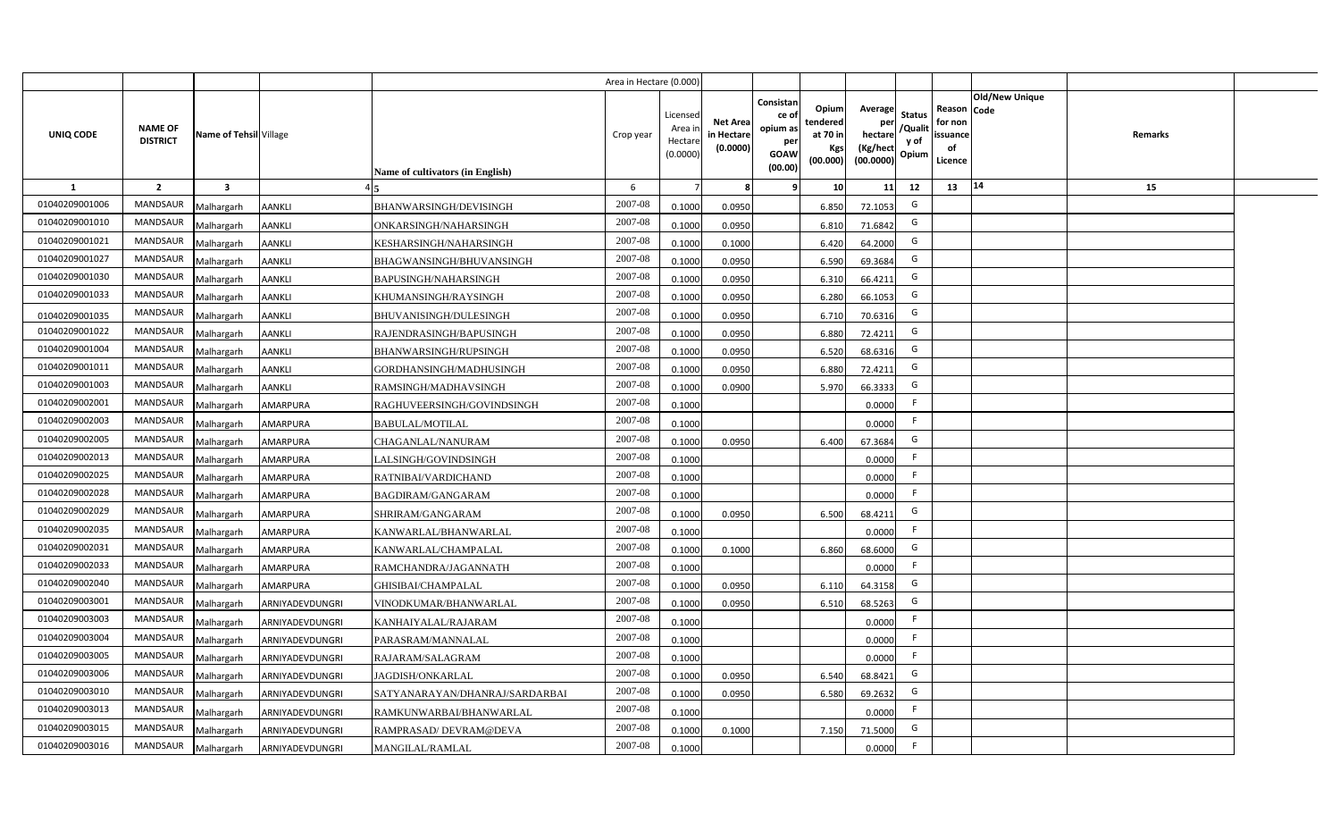|                |                                   |                         |                 |                                  | Area in Hectare (0.000 |                                          |                                           |                                                                 |                                                  |                                                    |                                           |                                                     |                       |         |  |
|----------------|-----------------------------------|-------------------------|-----------------|----------------------------------|------------------------|------------------------------------------|-------------------------------------------|-----------------------------------------------------------------|--------------------------------------------------|----------------------------------------------------|-------------------------------------------|-----------------------------------------------------|-----------------------|---------|--|
| UNIQ CODE      | <b>NAME OF</b><br><b>DISTRICT</b> | Name of Tehsil Village  |                 | Name of cultivators (in English) | Crop year              | Licensec<br>Area i<br>Hectar<br>(0.0000) | <b>Net Area</b><br>in Hectare<br>(0.0000) | Consistan<br>ce of<br>opium as<br>per<br><b>GOAW</b><br>(00.00) | Opium<br>tendered<br>at 70 in<br>Kgs<br>(00.000) | Average<br>per<br>hectare<br>(Kg/hect<br>(00.0000) | <b>Status</b><br>/Qualit<br>y of<br>Opium | Reason Code<br>for non<br>issuance<br>of<br>Licence | <b>Old/New Unique</b> | Remarks |  |
| 1              | $\overline{2}$                    | $\overline{\mathbf{3}}$ |                 |                                  | 6                      |                                          |                                           | <b>q</b>                                                        | 10                                               | 11                                                 | 12                                        | 13                                                  | 14                    | 15      |  |
| 01040209001006 | <b>MANDSAUR</b>                   | Malhargarh              | <b>AANKLI</b>   | <b>BHANWARSINGH/DEVISINGH</b>    | 2007-08                | 0.1000                                   | 0.0950                                    |                                                                 | 6.850                                            | 72.1053                                            | G                                         |                                                     |                       |         |  |
| 01040209001010 | <b>MANDSAUR</b>                   | Malhargarh              | <b>AANKLI</b>   | ONKARSINGH/NAHARSINGH            | 2007-08                | 0.100                                    | 0.0950                                    |                                                                 | 6.810                                            | 71.6842                                            | G                                         |                                                     |                       |         |  |
| 01040209001021 | <b>MANDSAUR</b>                   | Malhargarh              | <b>AANKLI</b>   | KESHARSINGH/NAHARSINGH           | 2007-08                | 0.100                                    | 0.1000                                    |                                                                 | 6.420                                            | 64.2000                                            | G                                         |                                                     |                       |         |  |
| 01040209001027 | <b>MANDSAUR</b>                   | Malhargarh              | <b>AANKLI</b>   | BHAGWANSINGH/BHUVANSINGH         | 2007-08                | 0.1000                                   | 0.0950                                    |                                                                 | 6.590                                            | 69.3684                                            | G                                         |                                                     |                       |         |  |
| 01040209001030 | MANDSAUR                          | Malhargarh              | <b>AANKLI</b>   | <b>BAPUSINGH/NAHARSINGH</b>      | 2007-08                | 0.1000                                   | 0.0950                                    |                                                                 | 6.310                                            | 66.4211                                            | G                                         |                                                     |                       |         |  |
| 01040209001033 | <b>MANDSAUR</b>                   | Malhargarh              | <b>AANKLI</b>   | KHUMANSINGH/RAYSINGH             | 2007-08                | 0.1000                                   | 0.0950                                    |                                                                 | 6.280                                            | 66.1053                                            | G                                         |                                                     |                       |         |  |
| 01040209001035 | MANDSAUR                          | Malhargarh              | <b>AANKLI</b>   | BHUVANISINGH/DULESINGH           | 2007-08                | 0.1000                                   | 0.0950                                    |                                                                 | 6.710                                            | 70.6316                                            | G                                         |                                                     |                       |         |  |
| 01040209001022 | <b>MANDSAUR</b>                   | Malhargarh              | <b>AANKLI</b>   | RAJENDRASINGH/BAPUSINGH          | 2007-08                | 0.1000                                   | 0.0950                                    |                                                                 | 6.880                                            | 72.4211                                            | G                                         |                                                     |                       |         |  |
| 01040209001004 | <b>MANDSAUR</b>                   | Malhargarh              | <b>AANKLI</b>   | BHANWARSINGH/RUPSINGH            | 2007-08                | 0.1000                                   | 0.0950                                    |                                                                 | 6.520                                            | 68.6316                                            | G                                         |                                                     |                       |         |  |
| 01040209001011 | <b>MANDSAUR</b>                   | Malhargarh              | <b>AANKLI</b>   | GORDHANSINGH/MADHUSINGH          | 2007-08                | 0.1000                                   | 0.0950                                    |                                                                 | 6.880                                            | 72.4211                                            | G                                         |                                                     |                       |         |  |
| 01040209001003 | <b>MANDSAUR</b>                   | Malhargarh              | <b>AANKLI</b>   | RAMSINGH/MADHAVSINGH             | 2007-08                | 0.100                                    | 0.0900                                    |                                                                 | 5.970                                            | 66.3333                                            | G                                         |                                                     |                       |         |  |
| 01040209002001 | <b>MANDSAUR</b>                   | Malhargarh              | <b>AMARPURA</b> | RAGHUVEERSINGH/GOVINDSINGH       | 2007-08                | 0.1000                                   |                                           |                                                                 |                                                  | 0.0000                                             | -F                                        |                                                     |                       |         |  |
| 01040209002003 | <b>MANDSAUR</b>                   | Malhargarh              | <b>AMARPURA</b> | <b>BABULAL/MOTILAL</b>           | 2007-08                | 0.1000                                   |                                           |                                                                 |                                                  | 0.0000                                             | E                                         |                                                     |                       |         |  |
| 01040209002005 | <b>MANDSAUR</b>                   | Malhargarh              | <b>AMARPURA</b> | CHAGANLAL/NANURAM                | 2007-08                | 0.1000                                   | 0.0950                                    |                                                                 | 6.400                                            | 67.3684                                            | G                                         |                                                     |                       |         |  |
| 01040209002013 | <b>MANDSAUR</b>                   | Malhargarh              | <b>AMARPURA</b> | LALSINGH/GOVINDSINGH             | 2007-08                | 0.1000                                   |                                           |                                                                 |                                                  | 0.0000                                             | F.                                        |                                                     |                       |         |  |
| 01040209002025 | <b>MANDSAUR</b>                   | Malhargarh              | AMARPURA        | RATNIBAI/VARDICHAND              | 2007-08                | 0.1000                                   |                                           |                                                                 |                                                  | 0.0000                                             | F.                                        |                                                     |                       |         |  |
| 01040209002028 | <b>MANDSAUR</b>                   | Malhargarh              | <b>AMARPURA</b> | BAGDIRAM/GANGARAM                | 2007-08                | 0.1000                                   |                                           |                                                                 |                                                  | 0.0000                                             | E                                         |                                                     |                       |         |  |
| 01040209002029 | <b>MANDSAUR</b>                   | Malhargarh              | <b>AMARPURA</b> | SHRIRAM/GANGARAM                 | 2007-08                | 0.100                                    | 0.0950                                    |                                                                 | 6.500                                            | 68.4211                                            | G                                         |                                                     |                       |         |  |
| 01040209002035 | <b>MANDSAUR</b>                   | Malhargarh              | <b>AMARPURA</b> | KANWARLAL/BHANWARLAL             | 2007-08                | 0.1000                                   |                                           |                                                                 |                                                  | 0.0000                                             | F.                                        |                                                     |                       |         |  |
| 01040209002031 | <b>MANDSAUR</b>                   | Malhargarh              | AMARPURA        | KANWARLAL/CHAMPALAL              | $2007 - 08$            | 0.100                                    | 0.1000                                    |                                                                 | 6.860                                            | 68.6000                                            | G                                         |                                                     |                       |         |  |
| 01040209002033 | <b>MANDSAUR</b>                   | Malhargarh              | AMARPURA        | RAMCHANDRA/JAGANNATH             | 2007-08                | 0.1000                                   |                                           |                                                                 |                                                  | 0.0000                                             | E                                         |                                                     |                       |         |  |
| 01040209002040 | <b>MANDSAUR</b>                   | Malhargarh              | AMARPURA        | GHISIBAI/CHAMPALAL               | 2007-08                | 0.100                                    | 0.0950                                    |                                                                 | 6.110                                            | 64.3158                                            | G                                         |                                                     |                       |         |  |
| 01040209003001 | <b>MANDSAUR</b>                   | Malhargarh              | ARNIYADEVDUNGRI | VINODKUMAR/BHANWARLAL            | 2007-08                | 0.1000                                   | 0.095                                     |                                                                 | 6.510                                            | 68.5263                                            | G                                         |                                                     |                       |         |  |
| 01040209003003 | MANDSAUR                          | Malhargarh              | ARNIYADEVDUNGRI | KANHAIYALAL/RAJARAM              | 2007-08                | 0.1000                                   |                                           |                                                                 |                                                  | 0.0000                                             | F                                         |                                                     |                       |         |  |
| 01040209003004 | MANDSAUR                          | Malhargarh              | ARNIYADEVDUNGRI | PARASRAM/MANNALAL                | 2007-08                | 0.1000                                   |                                           |                                                                 |                                                  | 0.0000                                             | F                                         |                                                     |                       |         |  |
| 01040209003005 | MANDSAUR                          | Malhargarh              | ARNIYADEVDUNGRI | RAJARAM/SALAGRAM                 | 2007-08                | 0.1000                                   |                                           |                                                                 |                                                  | 0.0000                                             | -F                                        |                                                     |                       |         |  |
| 01040209003006 | MANDSAUR                          | Malhargarh              | ARNIYADEVDUNGRI | JAGDISH/ONKARLAL                 | 2007-08                | 0.1000                                   | 0.0950                                    |                                                                 | 6.540                                            | 68.8421                                            | G                                         |                                                     |                       |         |  |
| 01040209003010 | MANDSAUR                          | Malhargarh              | ARNIYADEVDUNGRI | SATYANARAYAN/DHANRAJ/SARDARBAI   | 2007-08                | 0.1000                                   | 0.095                                     |                                                                 | 6.580                                            | 69.2632                                            | G                                         |                                                     |                       |         |  |
| 01040209003013 | MANDSAUR                          | Malhargarh              | ARNIYADEVDUNGRI | RAMKUNWARBAI/BHANWARLAL          | 2007-08                | 0.1000                                   |                                           |                                                                 |                                                  | 0.0000                                             | E                                         |                                                     |                       |         |  |
| 01040209003015 | MANDSAUR                          | Malhargarh              | ARNIYADEVDUNGRI | RAMPRASAD/ DEVRAM@DEVA           | 2007-08                | 0.1000                                   | 0.1000                                    |                                                                 | 7.150                                            | 71.5000                                            | G                                         |                                                     |                       |         |  |
| 01040209003016 | MANDSAUR                          | Malhargarh              | ARNIYADEVDUNGRI | MANGILAL/RAMLAL                  | 2007-08                | 0.1000                                   |                                           |                                                                 |                                                  | 0.0000                                             | -F                                        |                                                     |                       |         |  |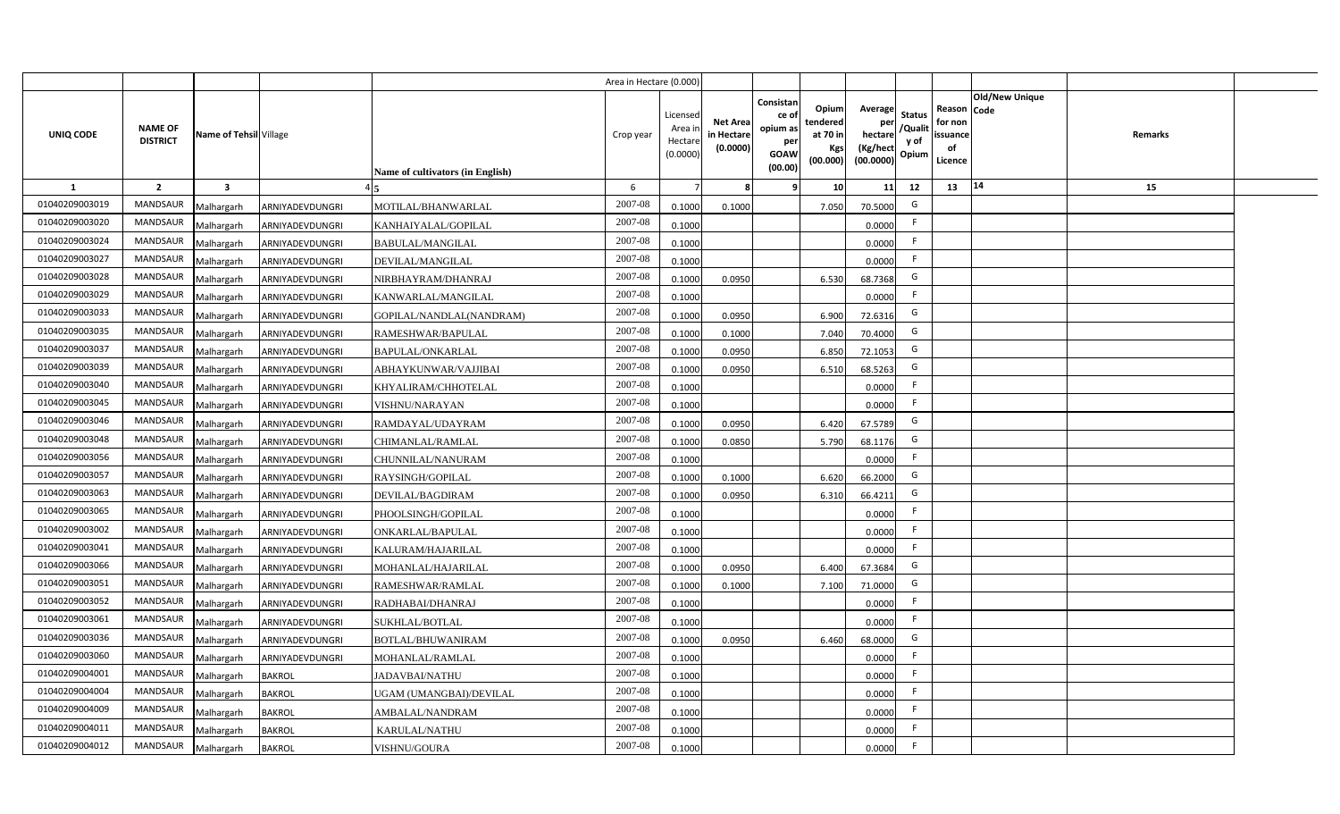|                |                                   |                         |                 |                                  | Area in Hectare (0.000 |                                          |                                          |                                                                 |                                                  |                                                    |                                           |                                                     |                |                |  |
|----------------|-----------------------------------|-------------------------|-----------------|----------------------------------|------------------------|------------------------------------------|------------------------------------------|-----------------------------------------------------------------|--------------------------------------------------|----------------------------------------------------|-------------------------------------------|-----------------------------------------------------|----------------|----------------|--|
| UNIQ CODE      | <b>NAME OF</b><br><b>DISTRICT</b> | Name of Tehsil Village  |                 | Name of cultivators (in English) | Crop year              | Licensec<br>Area i<br>Hectar<br>(0.0000) | <b>Net Area</b><br>in Hectar<br>(0.0000) | Consistan<br>ce of<br>opium as<br>per<br><b>GOAW</b><br>(00.00) | Opium<br>tendered<br>at 70 in<br>Kgs<br>(00.000) | Average<br>per<br>hectare<br>(Kg/hect<br>(00.0000) | <b>Status</b><br>/Qualit<br>y of<br>Opium | Reason Code<br>for non<br>issuance<br>of<br>Licence | Old/New Unique | <b>Remarks</b> |  |
| 1              | $\overline{2}$                    | $\overline{\mathbf{3}}$ |                 |                                  | 6                      |                                          |                                          | ٠q                                                              | 10 <sup>1</sup>                                  | 11                                                 | 12                                        | 13                                                  | 14             | 15             |  |
| 01040209003019 | <b>MANDSAUR</b>                   | Malhargarh              | ARNIYADEVDUNGRI | MOTILAL/BHANWARLAL               | 2007-08                | 0.1000                                   | 0.1000                                   |                                                                 | 7.050                                            | 70.5000                                            | G                                         |                                                     |                |                |  |
| 01040209003020 | MANDSAUR                          | Malhargarh              | ARNIYADEVDUNGRI | KANHAIYALAL/GOPILAL              | 2007-08                | 0.1000                                   |                                          |                                                                 |                                                  | 0.0000                                             | F.                                        |                                                     |                |                |  |
| 01040209003024 | <b>MANDSAUR</b>                   | Malhargarh              | ARNIYADEVDUNGRI | <b>BABULAL/MANGILAL</b>          | 2007-08                | 0.1000                                   |                                          |                                                                 |                                                  | 0.0000                                             | - F                                       |                                                     |                |                |  |
| 01040209003027 | <b>MANDSAUR</b>                   | Malhargarh              | ARNIYADEVDUNGRI | DEVILAL/MANGILAL                 | 2007-08                | 0.1000                                   |                                          |                                                                 |                                                  | 0.0000                                             | -F                                        |                                                     |                |                |  |
| 01040209003028 | MANDSAUR                          | Malhargarh              | ARNIYADEVDUNGRI | NIRBHAYRAM/DHANRAJ               | 2007-08                | 0.100                                    | 0.0950                                   |                                                                 | 6.530                                            | 68.7368                                            | G                                         |                                                     |                |                |  |
| 01040209003029 | <b>MANDSAUR</b>                   | Malhargarh              | ARNIYADEVDUNGRI | KANWARLAL/MANGILAL               | 2007-08                | 0.1000                                   |                                          |                                                                 |                                                  | 0.0000                                             | F.                                        |                                                     |                |                |  |
| 01040209003033 | <b>MANDSAUR</b>                   | Malhargarh              | ARNIYADEVDUNGRI | GOPILAL/NANDLAL(NANDRAM)         | 2007-08                | 0.1000                                   | 0.0950                                   |                                                                 | 6.900                                            | 72.6316                                            | G                                         |                                                     |                |                |  |
| 01040209003035 | MANDSAUR                          | Malhargarh              | ARNIYADEVDUNGRI | RAMESHWAR/BAPULAL                | 2007-08                | 0.1000                                   | 0.1000                                   |                                                                 | 7.040                                            | 70.4000                                            | G                                         |                                                     |                |                |  |
| 01040209003037 | MANDSAUR                          | Malhargarh              | ARNIYADEVDUNGRI | BAPULAL/ONKARLAL                 | 2007-08                | 0.100                                    | 0.0950                                   |                                                                 | 6.850                                            | 72.1053                                            | G                                         |                                                     |                |                |  |
| 01040209003039 | MANDSAUR                          | Malhargarh              | ARNIYADEVDUNGRI | ABHAYKUNWAR/VAJJIBAI             | 2007-08                | 0.100                                    | 0.0950                                   |                                                                 | 6.510                                            | 68.5263                                            | G                                         |                                                     |                |                |  |
| 01040209003040 | MANDSAUR                          | Malhargarh              | ARNIYADEVDUNGRI | KHYALIRAM/CHHOTELAL              | 2007-08                | 0.1000                                   |                                          |                                                                 |                                                  | 0.0000                                             |                                           |                                                     |                |                |  |
| 01040209003045 | MANDSAUR                          | Malhargarh              | ARNIYADEVDUNGRI | VISHNU/NARAYAN                   | 2007-08                | 0.1000                                   |                                          |                                                                 |                                                  | 0.0000                                             | -F                                        |                                                     |                |                |  |
| 01040209003046 | <b>MANDSAUR</b>                   | Malhargarh              | ARNIYADEVDUNGRI | RAMDAYAL/UDAYRAM                 | 2007-08                | 0.1000                                   | 0.0950                                   |                                                                 | 6.420                                            | 67.5789                                            | G                                         |                                                     |                |                |  |
| 01040209003048 | <b>MANDSAUR</b>                   | Malhargarh              | ARNIYADEVDUNGRI | CHIMANLAL/RAMLAL                 | 2007-08                | 0.1000                                   | 0.0850                                   |                                                                 | 5.790                                            | 68.1176                                            | G                                         |                                                     |                |                |  |
| 01040209003056 | <b>MANDSAUR</b>                   | Malhargarh              | ARNIYADEVDUNGRI | CHUNNILAL/NANURAM                | 2007-08                | 0.1000                                   |                                          |                                                                 |                                                  | 0.0000                                             | E                                         |                                                     |                |                |  |
| 01040209003057 | <b>MANDSAUR</b>                   | Malhargarh              | ARNIYADEVDUNGRI | RAYSINGH/GOPILAL                 | 2007-08                | 0.1000                                   | 0.1000                                   |                                                                 | 6.620                                            | 66.2000                                            | G                                         |                                                     |                |                |  |
| 01040209003063 | <b>MANDSAUR</b>                   | Malhargarh              | ARNIYADEVDUNGRI | DEVILAL/BAGDIRAM                 | 2007-08                | 0.1000                                   | 0.0950                                   |                                                                 | 6.310                                            | 66.4211                                            | G                                         |                                                     |                |                |  |
| 01040209003065 | <b>MANDSAUR</b>                   | Malhargarh              | ARNIYADEVDUNGRI | PHOOLSINGH/GOPILAL               | 2007-08                | 0.1000                                   |                                          |                                                                 |                                                  | 0.0000                                             | F.                                        |                                                     |                |                |  |
| 01040209003002 | <b>MANDSAUR</b>                   | Malhargarh              | ARNIYADEVDUNGRI | ONKARLAL/BAPULAL                 | 2007-08                | 0.1000                                   |                                          |                                                                 |                                                  | 0.0000                                             | F.                                        |                                                     |                |                |  |
| 01040209003041 | <b>MANDSAUR</b>                   | Malhargarh              | ARNIYADEVDUNGRI | KALURAM/HAJARILAL                | 2007-08                | 0.1000                                   |                                          |                                                                 |                                                  | 0.0000                                             | F.                                        |                                                     |                |                |  |
| 01040209003066 | <b>MANDSAUR</b>                   | Malhargarh              | ARNIYADEVDUNGRI | MOHANLAL/HAJARILAL               | 2007-08                | 0.1000                                   | 0.0950                                   |                                                                 | 6.400                                            | 67.3684                                            | G                                         |                                                     |                |                |  |
| 01040209003051 | <b>MANDSAUR</b>                   | Malhargarh              | ARNIYADEVDUNGRI | RAMESHWAR/RAMLAL                 | 2007-08                | 0.100                                    | 0.1000                                   |                                                                 | 7.100                                            | 71.0000                                            | G                                         |                                                     |                |                |  |
| 01040209003052 | <b>MANDSAUR</b>                   | Malhargarh              | ARNIYADEVDUNGRI | RADHABAI/DHANRAJ                 | 2007-08                | 0.100                                    |                                          |                                                                 |                                                  | 0.0000                                             | -F                                        |                                                     |                |                |  |
| 01040209003061 | <b>MANDSAUR</b>                   | Malhargarh              | ARNIYADEVDUNGRI | SUKHLAL/BOTLAL                   | 2007-08                | 0.1000                                   |                                          |                                                                 |                                                  | 0.0000                                             | -F                                        |                                                     |                |                |  |
| 01040209003036 | <b>MANDSAUR</b>                   | Malhargarh              | ARNIYADEVDUNGRI | <b>BOTLAL/BHUWANIRAM</b>         | 2007-08                | 0.1000                                   | 0.095                                    |                                                                 | 6.460                                            | 68.0000                                            | G                                         |                                                     |                |                |  |
| 01040209003060 | MANDSAUR                          | Malhargarh              | ARNIYADEVDUNGRI | MOHANLAL/RAMLAL                  | 2007-08                | 0.1000                                   |                                          |                                                                 |                                                  | 0.0000                                             | F                                         |                                                     |                |                |  |
| 01040209004001 | MANDSAUR                          | Malhargarh              | <b>BAKROL</b>   | JADAVBAI/NATHU                   | 2007-08                | 0.1000                                   |                                          |                                                                 |                                                  | 0.0000                                             | F                                         |                                                     |                |                |  |
| 01040209004004 | MANDSAUR                          | Malhargarh              | <b>BAKROL</b>   | <b>JGAM (UMANGBAI)/DEVILAL</b>   | 2007-08                | 0.1000                                   |                                          |                                                                 |                                                  | 0.0000                                             | F                                         |                                                     |                |                |  |
| 01040209004009 | MANDSAUR                          | Malhargarh              | <b>BAKROL</b>   | AMBALAL/NANDRAM                  | 2007-08                | 0.1000                                   |                                          |                                                                 |                                                  | 0.0000                                             | -F                                        |                                                     |                |                |  |
| 01040209004011 | MANDSAUR                          | Malhargarh              | <b>BAKROL</b>   | KARULAL/NATHU                    | 2007-08                | 0.1000                                   |                                          |                                                                 |                                                  | 0.0000                                             | -F                                        |                                                     |                |                |  |
| 01040209004012 | MANDSAUR                          | Malhargarh              | <b>BAKROL</b>   | VISHNU/GOURA                     | 2007-08                | 0.1000                                   |                                          |                                                                 |                                                  | 0.0000                                             | -F                                        |                                                     |                |                |  |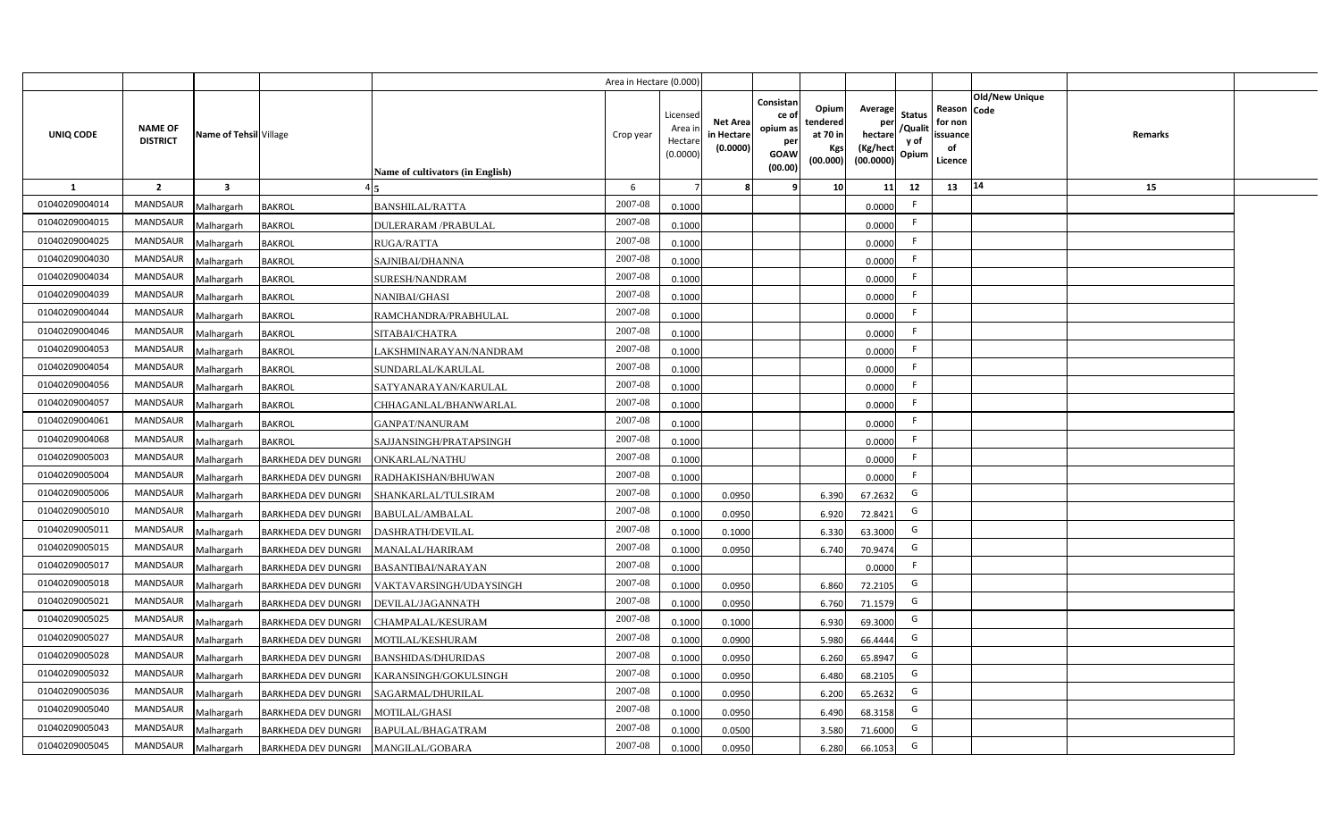|                |                                   |                         |                            |                                  | Area in Hectare (0.000) |                                          |                                           |                                                                |                                                  |                                                    |                                           |                                                                       |         |  |
|----------------|-----------------------------------|-------------------------|----------------------------|----------------------------------|-------------------------|------------------------------------------|-------------------------------------------|----------------------------------------------------------------|--------------------------------------------------|----------------------------------------------------|-------------------------------------------|-----------------------------------------------------------------------|---------|--|
| UNIQ CODE      | <b>NAME OF</b><br><b>DISTRICT</b> | Name of Tehsil Village  |                            | Name of cultivators (in English) | Crop year               | Licensec<br>Area i<br>Hectar<br>(0.0000) | <b>Net Area</b><br>in Hectare<br>(0.0000) | Consistan<br>ce o<br>opium as<br>per<br><b>GOAW</b><br>(00.00) | Opium<br>tendered<br>at 70 in<br>Kgs<br>(00.000) | Average<br>per<br>hectare<br>(Kg/hect<br>(00.0000) | <b>Status</b><br>/Qualit<br>y of<br>Opium | Old/New Unique<br>Reason Code<br>for non<br>issuance<br>of<br>Licence | Remarks |  |
| $\mathbf{1}$   | $\overline{2}$                    | $\overline{\mathbf{3}}$ |                            |                                  | 6                       |                                          |                                           |                                                                | 10                                               | 11                                                 | 12                                        | 14<br>13                                                              | 15      |  |
| 01040209004014 | <b>MANDSAUR</b>                   | Malhargarh              | <b>BAKROL</b>              | <b>BANSHILAL/RATTA</b>           | 2007-08                 | 0.1000                                   |                                           |                                                                |                                                  | 0.0000                                             | F.                                        |                                                                       |         |  |
| 01040209004015 | MANDSAUR                          | Malhargarh              | <b>BAKROL</b>              | <b>DULERARAM/PRABULAL</b>        | 2007-08                 | 0.1000                                   |                                           |                                                                |                                                  | 0.0000                                             | F.                                        |                                                                       |         |  |
| 01040209004025 | <b>MANDSAUR</b>                   | Malhargarh              | <b>BAKROL</b>              | RUGA/RATTA                       | 2007-08                 | 0.1000                                   |                                           |                                                                |                                                  | 0.0000                                             | -F                                        |                                                                       |         |  |
| 01040209004030 | <b>MANDSAUR</b>                   | Malhargarh              | <b>BAKROL</b>              | SAJNIBAI/DHANNA                  | 2007-08                 | 0.1000                                   |                                           |                                                                |                                                  | 0.0000                                             | F.                                        |                                                                       |         |  |
| 01040209004034 | <b>MANDSAUR</b>                   | Malhargarh              | <b>BAKROL</b>              | SURESH/NANDRAM                   | 2007-08                 | 0.1000                                   |                                           |                                                                |                                                  | 0.0000                                             | -F                                        |                                                                       |         |  |
| 01040209004039 | <b>MANDSAUR</b>                   | Malhargarh              | <b>BAKROL</b>              | NANIBAI/GHASI                    | 2007-08                 | 0.1000                                   |                                           |                                                                |                                                  | 0.0000                                             | F.                                        |                                                                       |         |  |
| 01040209004044 | MANDSAUR                          | Malhargarh              | <b>BAKROL</b>              | RAMCHANDRA/PRABHULAL             | 2007-08                 | 0.1000                                   |                                           |                                                                |                                                  | 0.0000                                             | F.                                        |                                                                       |         |  |
| 01040209004046 | MANDSAUR                          | Malhargarh              | <b>BAKROL</b>              | SITABAI/CHATRA                   | 2007-08                 | 0.1000                                   |                                           |                                                                |                                                  | 0.0000                                             | F.                                        |                                                                       |         |  |
| 01040209004053 | <b>MANDSAUR</b>                   | Malhargarh              | <b>BAKROL</b>              | LAKSHMINARAYAN/NANDRAM           | 2007-08                 | 0.1000                                   |                                           |                                                                |                                                  | 0.0000                                             | F.                                        |                                                                       |         |  |
| 01040209004054 | <b>MANDSAUR</b>                   | Malhargarh              | <b>BAKROL</b>              | SUNDARLAL/KARULAL                | 2007-08                 | 0.1000                                   |                                           |                                                                |                                                  | 0.0000                                             | F.                                        |                                                                       |         |  |
| 01040209004056 | <b>MANDSAUR</b>                   | Malhargarh              | <b>BAKROL</b>              | SATYANARAYAN/KARULAL             | 2007-08                 | 0.1000                                   |                                           |                                                                |                                                  | 0.0000                                             |                                           |                                                                       |         |  |
| 01040209004057 | <b>MANDSAUR</b>                   | Malhargarh              | <b>BAKROL</b>              | CHHAGANLAL/BHANWARLAL            | 2007-08                 | 0.1000                                   |                                           |                                                                |                                                  | 0.0000                                             | F.                                        |                                                                       |         |  |
| 01040209004061 | <b>MANDSAUR</b>                   | Malhargarh              | <b>BAKROL</b>              | GANPAT/NANURAM                   | 2007-08                 | 0.1000                                   |                                           |                                                                |                                                  | 0.0000                                             | -F                                        |                                                                       |         |  |
| 01040209004068 | MANDSAUR                          | Malhargarh              | <b>BAKROL</b>              | SAJJANSINGH/PRATAPSINGH          | 2007-08                 | 0.1000                                   |                                           |                                                                |                                                  | 0.0000                                             | -F                                        |                                                                       |         |  |
| 01040209005003 | MANDSAUR                          | Malhargarh              | <b>BARKHEDA DEV DUNGRI</b> | <b>ONKARLAL/NATHU</b>            | 2007-08                 | 0.1000                                   |                                           |                                                                |                                                  | 0.0000                                             | F.                                        |                                                                       |         |  |
| 01040209005004 | <b>MANDSAUR</b>                   | Malhargarh              | <b>BARKHEDA DEV DUNGRI</b> | RADHAKISHAN/BHUWAN               | 2007-08                 | 0.1000                                   |                                           |                                                                |                                                  | 0.0000                                             | F.                                        |                                                                       |         |  |
| 01040209005006 | <b>MANDSAUR</b>                   | Malhargarh              | <b>BARKHEDA DEV DUNGRI</b> | SHANKARLAL/TULSIRAM              | 2007-08                 | 0.1000                                   | 0.0950                                    |                                                                | 6.390                                            | 67.2632                                            | G                                         |                                                                       |         |  |
| 01040209005010 | MANDSAUR                          | Malhargarh              | <b>BARKHEDA DEV DUNGRI</b> | BABULAL/AMBALAL                  | 2007-08                 | 0.1000                                   | 0.0950                                    |                                                                | 6.920                                            | 72.8421                                            | G                                         |                                                                       |         |  |
| 01040209005011 | <b>MANDSAUR</b>                   | Malhargarh              | <b>BARKHEDA DEV DUNGRI</b> | DASHRATH/DEVILAL                 | 2007-08                 | 0.100                                    | 0.1000                                    |                                                                | 6.330                                            | 63.3000                                            | G                                         |                                                                       |         |  |
| 01040209005015 | MANDSAUR                          | Malhargarh              | <b>BARKHEDA DEV DUNGRI</b> | <b>MANALAL/HARIRAM</b>           | 2007-08                 | 0.1000                                   | 0.0950                                    |                                                                | 6.740                                            | 70.9474                                            | G                                         |                                                                       |         |  |
| 01040209005017 | MANDSAUR                          | Malhargarh              | <b>BARKHEDA DEV DUNGRI</b> | BASANTIBAI/NARAYAN               | 2007-08                 | 0.1000                                   |                                           |                                                                |                                                  | 0.0000                                             | F.                                        |                                                                       |         |  |
| 01040209005018 | MANDSAUR                          | Malhargarh              | <b>BARKHEDA DEV DUNGRI</b> | VAKTAVARSINGH/UDAYSINGH          | 2007-08                 | 0.1000                                   | 0.0950                                    |                                                                | 6.860                                            | 72.2105                                            | G                                         |                                                                       |         |  |
| 01040209005021 | <b>MANDSAUR</b>                   | Malhargarh              | <b>BARKHEDA DEV DUNGRI</b> | DEVILAL/JAGANNATH                | 2007-08                 | 0.1000                                   | 0.0950                                    |                                                                | 6.760                                            | 71.1579                                            | G                                         |                                                                       |         |  |
| 01040209005025 | <b>MANDSAUR</b>                   | Malhargarh              | BARKHEDA DEV DUNGRI        | CHAMPALAL/KESURAM                | 2007-08                 | 0.1000                                   | 0.1000                                    |                                                                | 6.930                                            | 69.3000                                            | G                                         |                                                                       |         |  |
| 01040209005027 | MANDSAUR                          | Malhargarh              | <b>BARKHEDA DEV DUNGRI</b> | MOTILAL/KESHURAM                 | 2007-08                 | 0.1000                                   | 0.0900                                    |                                                                | 5.980                                            | 66.4444                                            | G                                         |                                                                       |         |  |
| 01040209005028 | MANDSAUR                          | Malhargarh              | <b>BARKHEDA DEV DUNGRI</b> | <b>BANSHIDAS/DHURIDAS</b>        | 2007-08                 | 0.1000                                   | 0.0950                                    |                                                                | 6.260                                            | 65.8947                                            | G                                         |                                                                       |         |  |
| 01040209005032 | MANDSAUR                          | Malhargarh              | <b>BARKHEDA DEV DUNGRI</b> | KARANSINGH/GOKULSINGH            | 2007-08                 | 0.1000                                   | 0.0950                                    |                                                                | 6.480                                            | 68.2105                                            | G                                         |                                                                       |         |  |
| 01040209005036 | MANDSAUR                          | Malhargarh              | BARKHEDA DEV DUNGRI        | SAGARMAL/DHURILAL                | 2007-08                 | 0.1000                                   | 0.0950                                    |                                                                | 6.200                                            | 65.2632                                            | G                                         |                                                                       |         |  |
| 01040209005040 | MANDSAUR                          | Malhargarh              | BARKHEDA DEV DUNGRI        | MOTILAL/GHASI                    | 2007-08                 | 0.1000                                   | 0.0950                                    |                                                                | 6.490                                            | 68.3158                                            | G                                         |                                                                       |         |  |
| 01040209005043 | MANDSAUR                          | Malhargarh              | BARKHEDA DEV DUNGRI        | BAPULAL/BHAGATRAM                | 2007-08                 | 0.1000                                   | 0.0500                                    |                                                                | 3.580                                            | 71.6000                                            | G                                         |                                                                       |         |  |
| 01040209005045 | MANDSAUR                          | Malhargarh              | <b>BARKHEDA DEV DUNGRI</b> | MANGILAL/GOBARA                  | 2007-08                 | 0.1000                                   | 0.0950                                    |                                                                | 6.280                                            | 66.1053                                            | G                                         |                                                                       |         |  |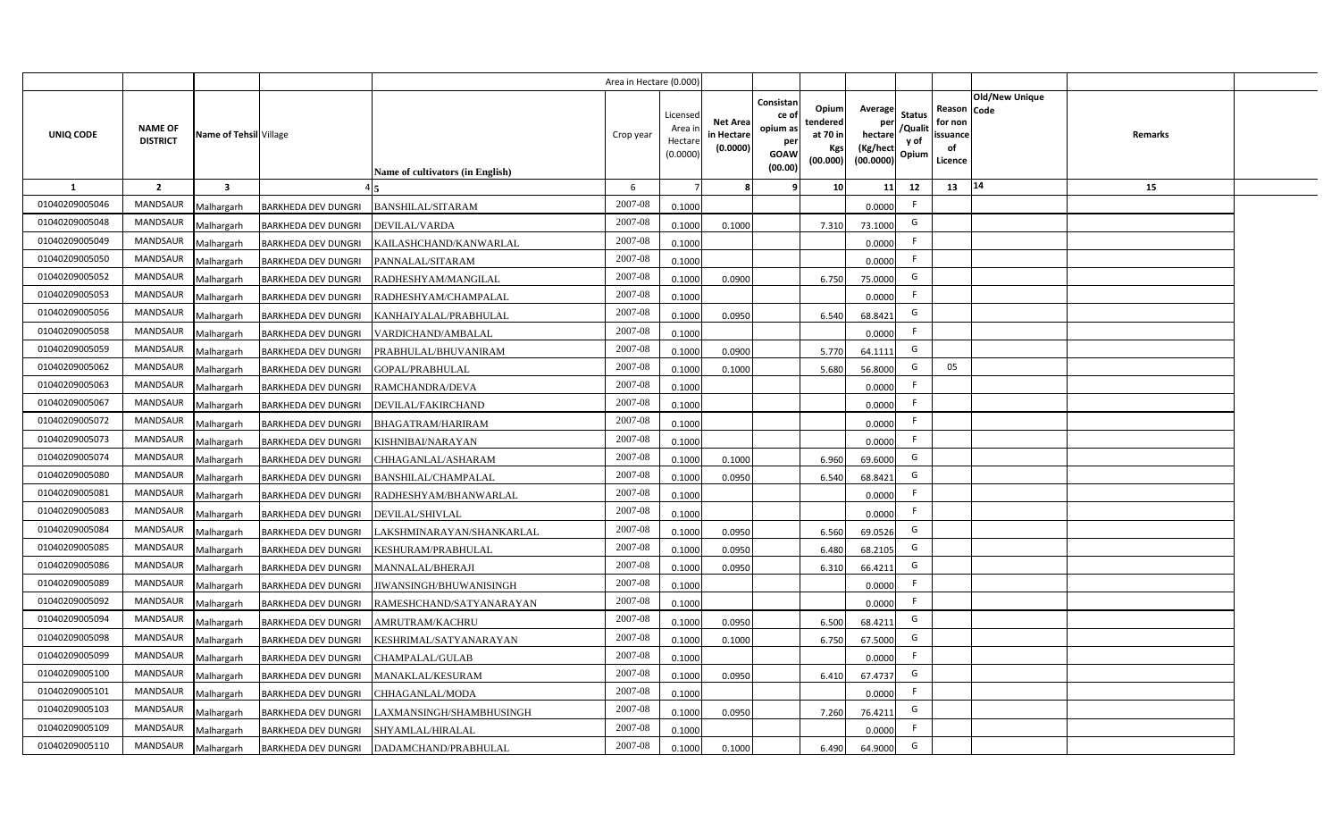|                  |                                   |                         |                            |                                         | Area in Hectare (0.000) |                                           |                                           |                                                                |                                                         |                                                    |                                           |                                                     |                                  |  |
|------------------|-----------------------------------|-------------------------|----------------------------|-----------------------------------------|-------------------------|-------------------------------------------|-------------------------------------------|----------------------------------------------------------------|---------------------------------------------------------|----------------------------------------------------|-------------------------------------------|-----------------------------------------------------|----------------------------------|--|
| <b>UNIQ CODE</b> | <b>NAME OF</b><br><b>DISTRICT</b> | Name of Tehsil Village  |                            | <b>Name of cultivators (in English)</b> | Crop year               | Licensed<br>Area i<br>Hectare<br>(0.0000) | <b>Net Area</b><br>in Hectare<br>(0.0000) | Consistan<br>ce o<br>opium as<br>per<br><b>GOAW</b><br>(00.00) | Opium<br>tendered<br>at 70 in<br><b>Kgs</b><br>(00.000) | Average<br>per<br>hectare<br>(Kg/hect<br>(00.0000) | <b>Status</b><br>/Qualit<br>y of<br>Opium | Reason Code<br>for non<br>issuance<br>of<br>Licence | <b>Old/New Unique</b><br>Remarks |  |
| 1                | $\overline{2}$                    | $\overline{\mathbf{3}}$ |                            |                                         | 6                       |                                           | 8                                         | ٩                                                              | 10 <sup>1</sup>                                         | 11                                                 | 12                                        | 13                                                  | 14<br>15                         |  |
| 01040209005046   | MANDSAUR                          | Malhargarh              | <b>BARKHEDA DEV DUNGRI</b> | <b>BANSHILAL/SITARAM</b>                | 2007-08                 | 0.1000                                    |                                           |                                                                |                                                         | 0.0000                                             | F.                                        |                                                     |                                  |  |
| 01040209005048   | <b>MANDSAUR</b>                   | Malhargarh              | <b>BARKHEDA DEV DUNGRI</b> | DEVILAL/VARDA                           | 2007-08                 | 0.1000                                    | 0.1000                                    |                                                                | 7.310                                                   | 73.1000                                            | G                                         |                                                     |                                  |  |
| 01040209005049   | MANDSAUR                          | Malhargarh              | <b>BARKHEDA DEV DUNGRI</b> | KAILASHCHAND/KANWARLAL                  | 2007-08                 | 0.1000                                    |                                           |                                                                |                                                         | 0.0000                                             | F                                         |                                                     |                                  |  |
| 01040209005050   | MANDSAUR                          | Malhargarh              | <b>BARKHEDA DEV DUNGRI</b> | PANNALAL/SITARAM                        | 2007-08                 | 0.1000                                    |                                           |                                                                |                                                         | 0.0000                                             | F.                                        |                                                     |                                  |  |
| 01040209005052   | <b>MANDSAUR</b>                   | Malhargarh              | <b>BARKHEDA DEV DUNGRI</b> | RADHESHYAM/MANGILAL                     | 2007-08                 | 0.1000                                    | 0.0900                                    |                                                                | 6.750                                                   | 75.0000                                            | G                                         |                                                     |                                  |  |
| 01040209005053   | <b>MANDSAUR</b>                   | Malhargarh              | <b>BARKHEDA DEV DUNGRI</b> | RADHESHYAM/CHAMPALAL                    | 2007-08                 | 0.1000                                    |                                           |                                                                |                                                         | 0.0000                                             | F.                                        |                                                     |                                  |  |
| 01040209005056   | <b>MANDSAUR</b>                   | Malhargarh              | <b>BARKHEDA DEV DUNGRI</b> | KANHAIYALAL/PRABHULAL                   | 2007-08                 | 0.1000                                    | 0.0950                                    |                                                                | 6.540                                                   | 68.8421                                            | G                                         |                                                     |                                  |  |
| 01040209005058   | <b>MANDSAUR</b>                   | Malhargarh              | <b>BARKHEDA DEV DUNGRI</b> | VARDICHAND/AMBALAL                      | 2007-08                 | 0.1000                                    |                                           |                                                                |                                                         | 0.0000                                             | F                                         |                                                     |                                  |  |
| 01040209005059   | <b>MANDSAUR</b>                   | Malhargarh              | <b>BARKHEDA DEV DUNGRI</b> | PRABHULAL/BHUVANIRAM                    | 2007-08                 | 0.1000                                    | 0.0900                                    |                                                                | 5.770                                                   | 64.1111                                            | G                                         |                                                     |                                  |  |
| 01040209005062   | <b>MANDSAUR</b>                   | Malhargarh              | <b>BARKHEDA DEV DUNGRI</b> | GOPAL/PRABHULAL                         | 2007-08                 | 0.1000                                    | 0.1000                                    |                                                                | 5.680                                                   | 56.8000                                            | G                                         | 05                                                  |                                  |  |
| 01040209005063   | MANDSAUR                          | Malhargarh              | <b>BARKHEDA DEV DUNGRI</b> | RAMCHANDRA/DEVA                         | 2007-08                 | 0.1000                                    |                                           |                                                                |                                                         | 0.0000                                             | F.                                        |                                                     |                                  |  |
| 01040209005067   | MANDSAUR                          | Malhargarh              | <b>BARKHEDA DEV DUNGRI</b> | DEVILAL/FAKIRCHAND                      | 2007-08                 | 0.1000                                    |                                           |                                                                |                                                         | 0.0000                                             | F.                                        |                                                     |                                  |  |
| 01040209005072   | MANDSAUR                          | Malhargarh              | <b>BARKHEDA DEV DUNGRI</b> | <b>BHAGATRAM/HARIRAM</b>                | 2007-08                 | 0.1000                                    |                                           |                                                                |                                                         | 0.0000                                             | F                                         |                                                     |                                  |  |
| 01040209005073   | MANDSAUR                          | Malhargarh              | <b>BARKHEDA DEV DUNGRI</b> | KISHNIBAI/NARAYAN                       | 2007-08                 | 0.1000                                    |                                           |                                                                |                                                         | 0.0000                                             | F                                         |                                                     |                                  |  |
| 01040209005074   | <b>MANDSAUR</b>                   | Malhargarh              | <b>BARKHEDA DEV DUNGRI</b> | CHHAGANLAL/ASHARAM                      | 2007-08                 | 0.1000                                    | 0.1000                                    |                                                                | 6.960                                                   | 69.6000                                            | G                                         |                                                     |                                  |  |
| 01040209005080   | <b>MANDSAUR</b>                   | Malhargarh              | <b>BARKHEDA DEV DUNGRI</b> | BANSHILAL/CHAMPALAL                     | 2007-08                 | 0.1000                                    | 0.0950                                    |                                                                | 6.540                                                   | 68.8421                                            | G                                         |                                                     |                                  |  |
| 01040209005081   | <b>MANDSAUR</b>                   | Malhargarh              | <b>BARKHEDA DEV DUNGRI</b> | RADHESHYAM/BHANWARLAL                   | 2007-08                 | 0.1000                                    |                                           |                                                                |                                                         | 0.0000                                             | F                                         |                                                     |                                  |  |
| 01040209005083   | <b>MANDSAUR</b>                   | Malhargarh              | <b>BARKHEDA DEV DUNGRI</b> | DEVILAL/SHIVLAL                         | 2007-08                 | 0.1000                                    |                                           |                                                                |                                                         | 0.0000                                             | F                                         |                                                     |                                  |  |
| 01040209005084   | MANDSAUR                          | Malhargarh              | <b>BARKHEDA DEV DUNGRI</b> | LAKSHMINARAYAN/SHANKARLAL               | 2007-08                 | 0.1000                                    | 0.0950                                    |                                                                | 6.560                                                   | 69.0526                                            | G                                         |                                                     |                                  |  |
| 01040209005085   | MANDSAUR                          | Malhargarh              | <b>BARKHEDA DEV DUNGRI</b> | KESHURAM/PRABHULAL                      | $2007 - 08$             | 0.1000                                    | 0.0950                                    |                                                                | 6.480                                                   | 68.2105                                            | G                                         |                                                     |                                  |  |
| 01040209005086   | <b>MANDSAUR</b>                   | Malhargarh              | <b>BARKHEDA DEV DUNGRI</b> | <b>MANNALAL/BHERAJI</b>                 | 2007-08                 | 0.1000                                    | 0.0950                                    |                                                                | 6.310                                                   | 66.4211                                            | G                                         |                                                     |                                  |  |
| 01040209005089   | <b>MANDSAUR</b>                   | Malhargarh              | <b>BARKHEDA DEV DUNGRI</b> | JIWANSINGH/BHUWANISINGH                 | 2007-08                 | 0.1000                                    |                                           |                                                                |                                                         | 0.0000                                             | F.                                        |                                                     |                                  |  |
| 01040209005092   | <b>MANDSAUR</b>                   | Malhargarh              | <b>BARKHEDA DEV DUNGRI</b> | RAMESHCHAND/SATYANARAYAN                | 2007-08                 | 0.1000                                    |                                           |                                                                |                                                         | 0.0000                                             | F                                         |                                                     |                                  |  |
| 01040209005094   | <b>MANDSAUR</b>                   | Malhargarh              | <b>BARKHEDA DEV DUNGRI</b> | AMRUTRAM/KACHRU                         | 2007-08                 | 0.1000                                    | 0.0950                                    |                                                                | 6.500                                                   | 68.4211                                            | G                                         |                                                     |                                  |  |
| 01040209005098   | MANDSAUR                          | Malhargarh              | <b>BARKHEDA DEV DUNGRI</b> | KESHRIMAL/SATYANARAYAN                  | 2007-08                 | 0.1000                                    | 0.1000                                    |                                                                | 6.750                                                   | 67.5000                                            | G                                         |                                                     |                                  |  |
| 01040209005099   | MANDSAUR                          | Malhargarh              | BARKHEDA DEV DUNGRI        | CHAMPALAL/GULAB                         | 2007-08                 | 0.1000                                    |                                           |                                                                |                                                         | 0.0000                                             | F                                         |                                                     |                                  |  |
| 01040209005100   | MANDSAUR                          | Malhargarh              | <b>BARKHEDA DEV DUNGRI</b> | MANAKLAL/KESURAM                        | 2007-08                 | 0.1000                                    | 0.0950                                    |                                                                | 6.410                                                   | 67.4737                                            | G                                         |                                                     |                                  |  |
| 01040209005101   | MANDSAUR                          | Malhargarh              | <b>BARKHEDA DEV DUNGRI</b> | CHHAGANLAL/MODA                         | 2007-08                 | 0.1000                                    |                                           |                                                                |                                                         | 0.0000                                             | F.                                        |                                                     |                                  |  |
| 01040209005103   | MANDSAUR                          | Malhargarh              | <b>BARKHEDA DEV DUNGRI</b> | LAXMANSINGH/SHAMBHUSINGH                | 2007-08                 | 0.1000                                    | 0.0950                                    |                                                                | 7.260                                                   | 76.4211                                            | G                                         |                                                     |                                  |  |
| 01040209005109   | MANDSAUR                          | Malhargarh              | BARKHEDA DEV DUNGRI        | SHYAMLAL/HIRALAL                        | 2007-08                 | 0.1000                                    |                                           |                                                                |                                                         | 0.0000                                             | F                                         |                                                     |                                  |  |
| 01040209005110   | MANDSAUR                          | Malhargarh              | <b>BARKHEDA DEV DUNGRI</b> | DADAMCHAND/PRABHULAL                    | 2007-08                 | 0.1000                                    | 0.1000                                    |                                                                | 6.490                                                   | 64.9000                                            | G                                         |                                                     |                                  |  |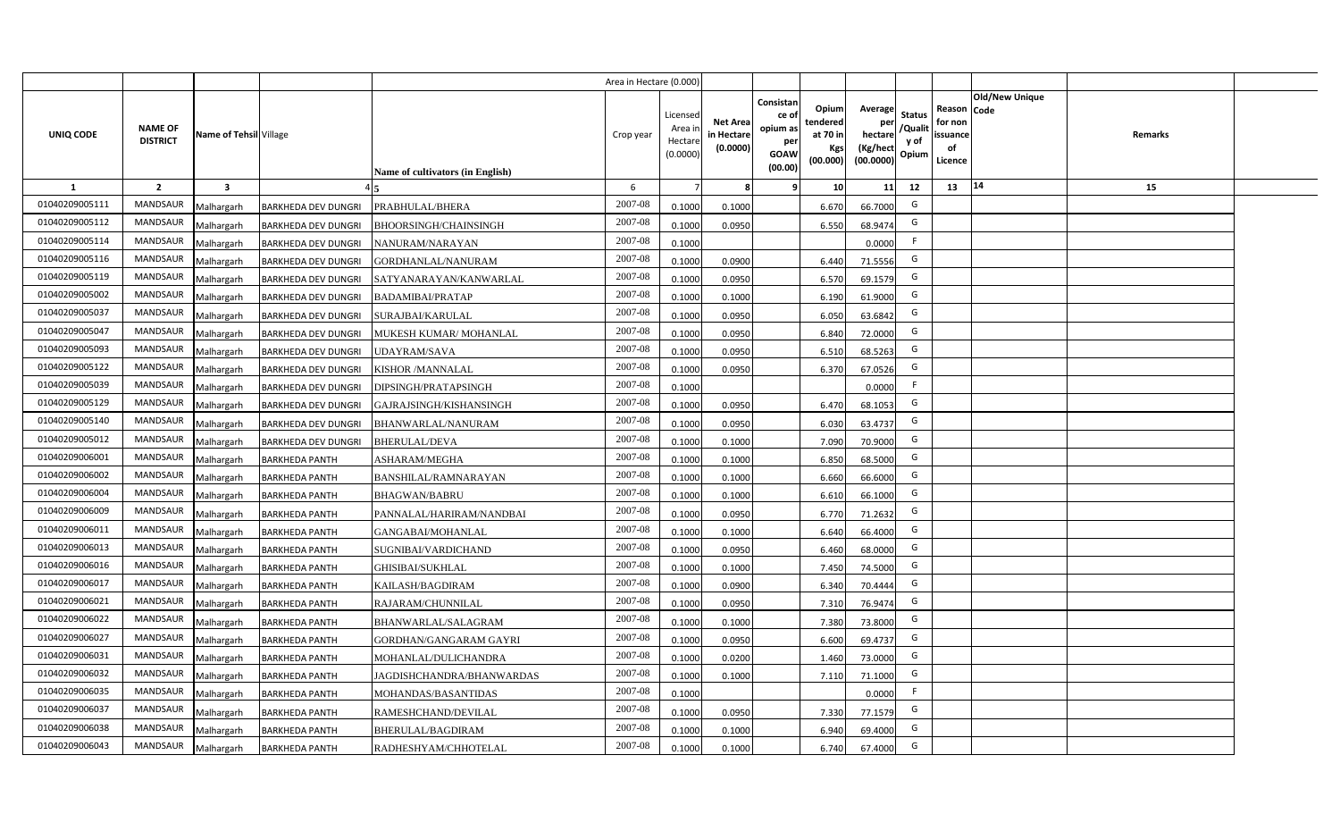|                |                                   |                        |                            |                                         | Area in Hectare (0.000) |                                           |                                           |                                                         |                                                  |                                                    |                                           |                                                     |                                  |  |
|----------------|-----------------------------------|------------------------|----------------------------|-----------------------------------------|-------------------------|-------------------------------------------|-------------------------------------------|---------------------------------------------------------|--------------------------------------------------|----------------------------------------------------|-------------------------------------------|-----------------------------------------------------|----------------------------------|--|
| UNIQ CODE      | <b>NAME OF</b><br><b>DISTRICT</b> | Name of Tehsil Village |                            | <b>Name of cultivators (in English)</b> | Crop year               | Licensed<br>Area i<br>Hectare<br>(0.0000) | <b>Net Area</b><br>in Hectare<br>(0.0000) | Consistan<br>ce o<br>opium as<br>per<br>GOAW<br>(00.00) | Opium<br>tendered<br>at 70 in<br>Kgs<br>(00.000) | Average<br>per<br>hectare<br>(Kg/hect<br>(00.0000) | <b>Status</b><br>/Qualit<br>y of<br>Opium | Reason Code<br>for non<br>issuance<br>of<br>Licence | <b>Old/New Unique</b><br>Remarks |  |
| 1              | $\overline{2}$                    | 3                      |                            |                                         | 6                       |                                           | 8                                         | ۹                                                       | 10                                               | 11                                                 | 12                                        | 13                                                  | 14<br>15                         |  |
| 01040209005111 | <b>MANDSAUR</b>                   | Malhargarh             | <b>BARKHEDA DEV DUNGRI</b> | PRABHULAL/BHERA                         | 2007-08                 | 0.1000                                    | 0.1000                                    |                                                         | 6.670                                            | 66.7000                                            | G                                         |                                                     |                                  |  |
| 01040209005112 | MANDSAUR                          | Malhargarh             | <b>BARKHEDA DEV DUNGRI</b> | <b>BHOORSINGH/CHAINSINGH</b>            | 2007-08                 | 0.1000                                    | 0.0950                                    |                                                         | 6.550                                            | 68.9474                                            | G                                         |                                                     |                                  |  |
| 01040209005114 | <b>MANDSAUR</b>                   | Malhargarh             | <b>BARKHEDA DEV DUNGRI</b> | NANURAM/NARAYAN                         | 2007-08                 | 0.1000                                    |                                           |                                                         |                                                  | 0.0000                                             | F                                         |                                                     |                                  |  |
| 01040209005116 | <b>MANDSAUR</b>                   | Malhargarh             | <b>BARKHEDA DEV DUNGRI</b> | GORDHANLAL/NANURAM                      | 2007-08                 | 0.1000                                    | 0.0900                                    |                                                         | 6.440                                            | 71.5556                                            | G                                         |                                                     |                                  |  |
| 01040209005119 | <b>MANDSAUR</b>                   | Malhargarh             | <b>BARKHEDA DEV DUNGRI</b> | SATYANARAYAN/KANWARLAL                  | 2007-08                 | 0.1000                                    | 0.0950                                    |                                                         | 6.570                                            | 69.1579                                            | G                                         |                                                     |                                  |  |
| 01040209005002 | <b>MANDSAUR</b>                   | Malhargarh             | <b>BARKHEDA DEV DUNGRI</b> | <b>BADAMIBAI/PRATAP</b>                 | 2007-08                 | 0.1000                                    | 0.1000                                    |                                                         | 6.190                                            | 61.9000                                            | G                                         |                                                     |                                  |  |
| 01040209005037 | <b>MANDSAUR</b>                   | Malhargarh             | <b>BARKHEDA DEV DUNGRI</b> | SURAJBAI/KARULAL                        | 2007-08                 | 0.1000                                    | 0.0950                                    |                                                         | 6.050                                            | 63.6842                                            | G                                         |                                                     |                                  |  |
| 01040209005047 | <b>MANDSAUR</b>                   | Malhargarh             | <b>BARKHEDA DEV DUNGRI</b> | MUKESH KUMAR/MOHANLAL                   | 2007-08                 | 0.1000                                    | 0.0950                                    |                                                         | 6.840                                            | 72.0000                                            | G                                         |                                                     |                                  |  |
| 01040209005093 | MANDSAUR                          | Malhargarh             | <b>BARKHEDA DEV DUNGRI</b> | <b>JDAYRAM/SAVA</b>                     | 2007-08                 | 0.1000                                    | 0.0950                                    |                                                         | 6.510                                            | 68.5263                                            | G                                         |                                                     |                                  |  |
| 01040209005122 | <b>MANDSAUR</b>                   | Malhargarh             | <b>BARKHEDA DEV DUNGRI</b> | KISHOR / MANNALAL                       | 2007-08                 | 0.1000                                    | 0.0950                                    |                                                         | 6.370                                            | 67.0526                                            | G                                         |                                                     |                                  |  |
| 01040209005039 | MANDSAUR                          | Malhargarh             | <b>BARKHEDA DEV DUNGRI</b> | DIPSINGH/PRATAPSINGH                    | 2007-08                 | 0.1000                                    |                                           |                                                         |                                                  | 0.0000                                             | F                                         |                                                     |                                  |  |
| 01040209005129 | <b>MANDSAUR</b>                   | Malhargarh             | <b>BARKHEDA DEV DUNGRI</b> | GAJRAJSINGH/KISHANSINGH                 | 2007-08                 | 0.1000                                    | 0.0950                                    |                                                         | 6.470                                            | 68.1053                                            | G                                         |                                                     |                                  |  |
| 01040209005140 | <b>MANDSAUR</b>                   | Malhargarh             | <b>BARKHEDA DEV DUNGRI</b> | BHANWARLAL/NANURAM                      | 2007-08                 | 0.1000                                    | 0.0950                                    |                                                         | 6.030                                            | 63.4737                                            | G                                         |                                                     |                                  |  |
| 01040209005012 | MANDSAUR                          | Malhargarh             | <b>BARKHEDA DEV DUNGRI</b> | <b>BHERULAL/DEVA</b>                    | 2007-08                 | 0.1000                                    | 0.1000                                    |                                                         | 7.090                                            | 70.9000                                            | G                                         |                                                     |                                  |  |
| 01040209006001 | <b>MANDSAUR</b>                   | Malhargarh             | <b>BARKHEDA PANTH</b>      | ASHARAM/MEGHA                           | 2007-08                 | 0.1000                                    | 0.1000                                    |                                                         | 6.850                                            | 68.5000                                            | G                                         |                                                     |                                  |  |
| 01040209006002 | MANDSAUR                          | Malhargarh             | <b>BARKHEDA PANTH</b>      | BANSHILAL/RAMNARAYAN                    | 2007-08                 | 0.1000                                    | 0.1000                                    |                                                         | 6.660                                            | 66.6000                                            | G                                         |                                                     |                                  |  |
| 01040209006004 | <b>MANDSAUR</b>                   | Malhargarh             | <b>BARKHEDA PANTH</b>      | <b>BHAGWAN/BABRU</b>                    | 2007-08                 | 0.1000                                    | 0.1000                                    |                                                         | 6.610                                            | 66.1000                                            | G                                         |                                                     |                                  |  |
| 01040209006009 | <b>MANDSAUR</b>                   | Malhargarh             | <b>BARKHEDA PANTH</b>      | PANNALAL/HARIRAM/NANDBAI                | 2007-08                 | 0.1000                                    | 0.0950                                    |                                                         | 6.770                                            | 71.2632                                            | G                                         |                                                     |                                  |  |
| 01040209006011 | <b>MANDSAUR</b>                   | Malhargarh             | <b>BARKHEDA PANTH</b>      | GANGABAI/MOHANLAL                       | 2007-08                 | 0.1000                                    | 0.1000                                    |                                                         | 6.640                                            | 66.4000                                            | G                                         |                                                     |                                  |  |
| 01040209006013 | <b>MANDSAUR</b>                   | Malhargarh             | <b>BARKHEDA PANTH</b>      | SUGNIBAI/VARDICHAND                     | $2007 - 08$             | 0.1000                                    | 0.0950                                    |                                                         | 6.460                                            | 68.0000                                            | G                                         |                                                     |                                  |  |
| 01040209006016 | <b>MANDSAUR</b>                   | Malhargarh             | <b>BARKHEDA PANTH</b>      | <b>GHISIBAI/SUKHLAL</b>                 | 2007-08                 | 0.1000                                    | 0.1000                                    |                                                         | 7.450                                            | 74.5000                                            | G                                         |                                                     |                                  |  |
| 01040209006017 | <b>MANDSAUR</b>                   | Malhargarh             | <b>BARKHEDA PANTH</b>      | KAILASH/BAGDIRAM                        | $2007 - 08$             | 0.1000                                    | 0.0900                                    |                                                         | 6.340                                            | 70.4444                                            | G                                         |                                                     |                                  |  |
| 01040209006021 | <b>MANDSAUR</b>                   | Malhargarh             | <b>BARKHEDA PANTH</b>      | RAJARAM/CHUNNILAL                       | 2007-08                 | 0.1000                                    | 0.0950                                    |                                                         | 7.31                                             | 76.9474                                            | G                                         |                                                     |                                  |  |
| 01040209006022 | MANDSAUR                          | Malhargarh             | <b>BARKHEDA PANTH</b>      | BHANWARLAL/SALAGRAM                     | 2007-08                 | 0.1000                                    | 0.1000                                    |                                                         | 7.380                                            | 73.8000                                            | G                                         |                                                     |                                  |  |
| 01040209006027 | <b>MANDSAUR</b>                   | Malhargarh             | <b>BARKHEDA PANTH</b>      | GORDHAN/GANGARAM GAYRI                  | 2007-08                 | 0.1000                                    | 0.0950                                    |                                                         | 6.600                                            | 69.4737                                            | G                                         |                                                     |                                  |  |
| 01040209006031 | <b>MANDSAUR</b>                   | Malhargarh             | <b>BARKHEDA PANTH</b>      | MOHANLAL/DULICHANDRA                    | 2007-08                 | 0.1000                                    | 0.0200                                    |                                                         | 1.460                                            | 73.0000                                            | G                                         |                                                     |                                  |  |
| 01040209006032 | <b>MANDSAUR</b>                   | Malhargarh             | <b>BARKHEDA PANTH</b>      | JAGDISHCHANDRA/BHANWARDAS               | 2007-08                 | 0.1000                                    | 0.1000                                    |                                                         | 7.110                                            | 71.1000                                            | G                                         |                                                     |                                  |  |
| 01040209006035 | MANDSAUR                          | Malhargarh             | <b>BARKHEDA PANTH</b>      | MOHANDAS/BASANTIDAS                     | 2007-08                 | 0.1000                                    |                                           |                                                         |                                                  | 0.0000                                             | F                                         |                                                     |                                  |  |
| 01040209006037 | <b>MANDSAUR</b>                   | Malhargarh             | <b>BARKHEDA PANTH</b>      | RAMESHCHAND/DEVILAL                     | 2007-08                 | 0.1000                                    | 0.0950                                    |                                                         | 7.330                                            | 77.1579                                            | G                                         |                                                     |                                  |  |
| 01040209006038 | <b>MANDSAUR</b>                   | Malhargarh             | <b>BARKHEDA PANTH</b>      | BHERULAL/BAGDIRAM                       | 2007-08                 | 0.1000                                    | 0.1000                                    |                                                         | 6.940                                            | 69.4000                                            | G                                         |                                                     |                                  |  |
| 01040209006043 | MANDSAUR                          | Malhargarh             | <b>BARKHEDA PANTH</b>      | RADHESHYAM/CHHOTELAL                    | 2007-08                 | 0.1000                                    | 0.1000                                    |                                                         | 6.740                                            | 67.4000                                            | G                                         |                                                     |                                  |  |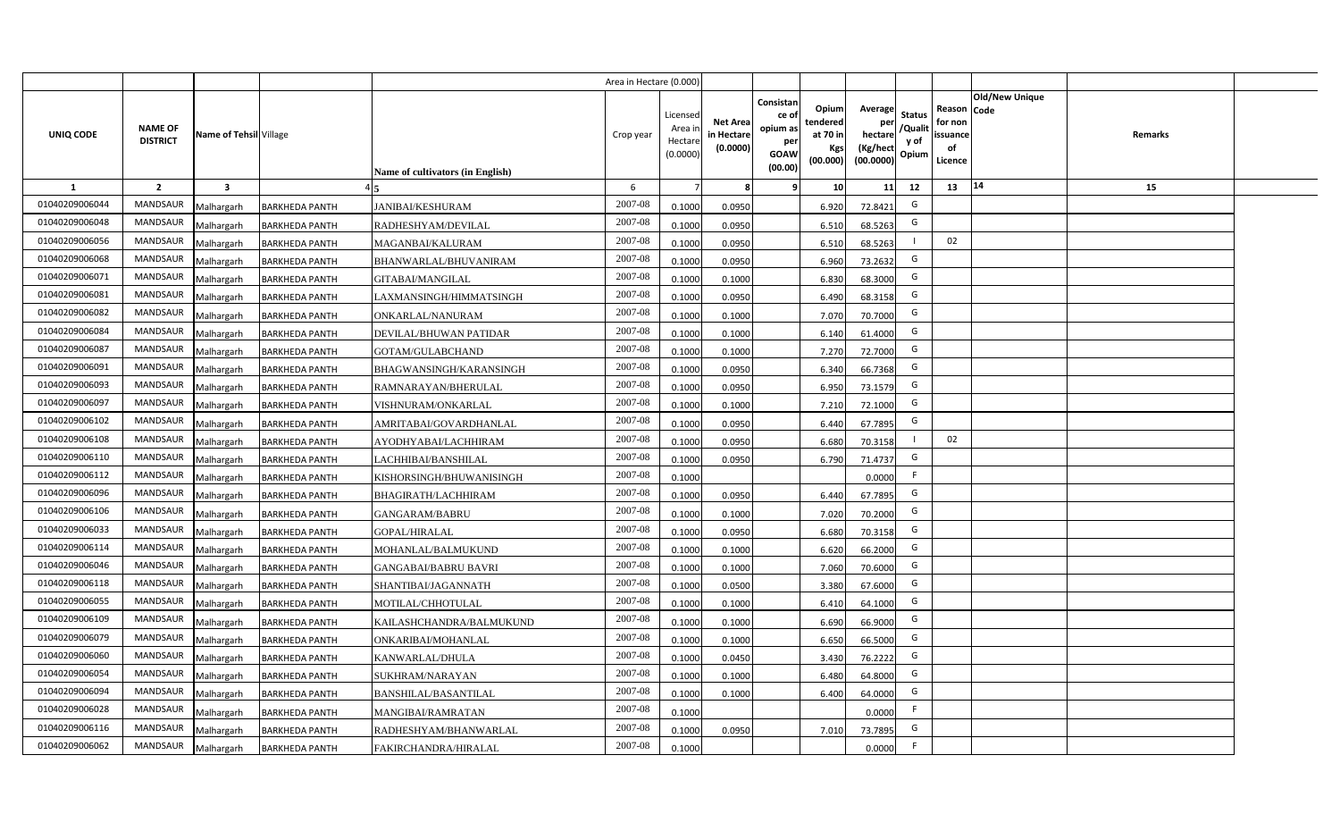|                |                                   |                         |                       |                                         | Area in Hectare (0.000) |                                           |                                           |                                                                |                                                         |                                                    |                                           |                                                     |                                  |  |
|----------------|-----------------------------------|-------------------------|-----------------------|-----------------------------------------|-------------------------|-------------------------------------------|-------------------------------------------|----------------------------------------------------------------|---------------------------------------------------------|----------------------------------------------------|-------------------------------------------|-----------------------------------------------------|----------------------------------|--|
| UNIQ CODE      | <b>NAME OF</b><br><b>DISTRICT</b> | Name of Tehsil Village  |                       | <b>Name of cultivators (in English)</b> | Crop year               | Licensed<br>Area i<br>Hectare<br>(0.0000) | <b>Net Area</b><br>in Hectare<br>(0.0000) | Consistan<br>ce o<br>opium as<br>per<br><b>GOAW</b><br>(00.00) | Opium<br>tendered<br>at 70 in<br><b>Kgs</b><br>(00.000) | Average<br>per<br>hectare<br>(Kg/hect<br>(00.0000) | <b>Status</b><br>/Qualit<br>y of<br>Opium | Reason Code<br>for non<br>issuance<br>of<br>Licence | <b>Old/New Unique</b><br>Remarks |  |
| 1              | $\overline{2}$                    | $\overline{\mathbf{3}}$ |                       |                                         | 6                       |                                           | 8                                         | 9                                                              | 10 <sup>1</sup>                                         | 11                                                 | 12                                        | 13                                                  | 14<br>15                         |  |
| 01040209006044 | MANDSAUR                          | Malhargarh              | <b>BARKHEDA PANTH</b> | <b>JANIBAI/KESHURAM</b>                 | 2007-08                 | 0.1000                                    | 0.0950                                    |                                                                | 6.920                                                   | 72.8421                                            | G                                         |                                                     |                                  |  |
| 01040209006048 | <b>MANDSAUR</b>                   | Malhargarh              | <b>BARKHEDA PANTH</b> | RADHESHYAM/DEVILAL                      | 2007-08                 | 0.1000                                    | 0.0950                                    |                                                                | 6.510                                                   | 68.5263                                            | G                                         |                                                     |                                  |  |
| 01040209006056 | MANDSAUR                          | Malhargarh              | <b>BARKHEDA PANTH</b> | MAGANBAI/KALURAM                        | 2007-08                 | 0.1000                                    | 0.0950                                    |                                                                | 6.510                                                   | 68.5263                                            |                                           | 02                                                  |                                  |  |
| 01040209006068 | <b>MANDSAUR</b>                   | Malhargarh              | <b>BARKHEDA PANTH</b> | BHANWARLAL/BHUVANIRAM                   | 2007-08                 | 0.1000                                    | 0.0950                                    |                                                                | 6.960                                                   | 73.2632                                            | G                                         |                                                     |                                  |  |
| 01040209006071 | <b>MANDSAUR</b>                   | Malhargarh              | <b>BARKHEDA PANTH</b> | GITABAI/MANGILAL                        | 2007-08                 | 0.1000                                    | 0.1000                                    |                                                                | 6.830                                                   | 68.3000                                            | G                                         |                                                     |                                  |  |
| 01040209006081 | <b>MANDSAUR</b>                   | Malhargarh              | <b>BARKHEDA PANTH</b> | LAXMANSINGH/HIMMATSINGH                 | 2007-08                 | 0.1000                                    | 0.0950                                    |                                                                | 6.490                                                   | 68.3158                                            | G                                         |                                                     |                                  |  |
| 01040209006082 | <b>MANDSAUR</b>                   | Malhargarh              | <b>BARKHEDA PANTH</b> | ONKARLAL/NANURAM                        | 2007-08                 | 0.1000                                    | 0.1000                                    |                                                                | 7.070                                                   | 70.7000                                            | G                                         |                                                     |                                  |  |
| 01040209006084 | <b>MANDSAUR</b>                   | Malhargarh              | <b>BARKHEDA PANTH</b> | DEVILAL/BHUWAN PATIDAR                  | 2007-08                 | 0.1000                                    | 0.1000                                    |                                                                | 6.140                                                   | 61.4000                                            | G                                         |                                                     |                                  |  |
| 01040209006087 | <b>MANDSAUR</b>                   | Malhargarh              | <b>BARKHEDA PANTH</b> | GOTAM/GULABCHAND                        | 2007-08                 | 0.1000                                    | 0.1000                                    |                                                                | 7.270                                                   | 72.7000                                            | G                                         |                                                     |                                  |  |
| 01040209006091 | <b>MANDSAUR</b>                   | Malhargarh              | <b>BARKHEDA PANTH</b> | BHAGWANSINGH/KARANSINGH                 | 2007-08                 | 0.1000                                    | 0.0950                                    |                                                                | 6.340                                                   | 66.7368                                            | G                                         |                                                     |                                  |  |
| 01040209006093 | <b>MANDSAUR</b>                   | Malhargarh              | <b>BARKHEDA PANTH</b> | RAMNARAYAN/BHERULAL                     | 2007-08                 | 0.1000                                    | 0.0950                                    |                                                                | 6.950                                                   | 73.1579                                            | G                                         |                                                     |                                  |  |
| 01040209006097 | <b>MANDSAUR</b>                   | Malhargarh              | <b>BARKHEDA PANTH</b> | VISHNURAM/ONKARLAL                      | 2007-08                 | 0.1000                                    | 0.1000                                    |                                                                | 7.210                                                   | 72.1000                                            | G                                         |                                                     |                                  |  |
| 01040209006102 | MANDSAUR                          | Malhargarh              | <b>BARKHEDA PANTH</b> | AMRITABAI/GOVARDHANLAL                  | 2007-08                 | 0.1000                                    | 0.0950                                    |                                                                | 6.440                                                   | 67.7895                                            | G                                         |                                                     |                                  |  |
| 01040209006108 | <b>MANDSAUR</b>                   | Malhargarh              | <b>BARKHEDA PANTH</b> | AYODHYABAI/LACHHIRAM                    | 2007-08                 | 0.1000                                    | 0.0950                                    |                                                                | 6.680                                                   | 70.3158                                            |                                           | 02                                                  |                                  |  |
| 01040209006110 | MANDSAUR                          | Malhargarh              | <b>BARKHEDA PANTH</b> | LACHHIBAI/BANSHILAL                     | 2007-08                 | 0.1000                                    | 0.0950                                    |                                                                | 6.790                                                   | 71.4737                                            | G                                         |                                                     |                                  |  |
| 01040209006112 | <b>MANDSAUR</b>                   | Malhargarh              | <b>BARKHEDA PANTH</b> | KISHORSINGH/BHUWANISINGH                | 2007-08                 | 0.1000                                    |                                           |                                                                |                                                         | 0.0000                                             | F.                                        |                                                     |                                  |  |
| 01040209006096 | <b>MANDSAUR</b>                   | Malhargarh              | <b>BARKHEDA PANTH</b> | <b>BHAGIRATH/LACHHIRAM</b>              | 2007-08                 | 0.1000                                    | 0.0950                                    |                                                                | 6.440                                                   | 67.7895                                            | G                                         |                                                     |                                  |  |
| 01040209006106 | <b>MANDSAUR</b>                   | Malhargarh              | <b>BARKHEDA PANTH</b> | GANGARAM/BABRU                          | 2007-08                 | 0.1000                                    | 0.1000                                    |                                                                | 7.020                                                   | 70.2000                                            | G                                         |                                                     |                                  |  |
| 01040209006033 | <b>MANDSAUR</b>                   | Malhargarh              | <b>BARKHEDA PANTH</b> | <b>GOPAL/HIRALAL</b>                    | 2007-08                 | 0.1000                                    | 0.0950                                    |                                                                | 6.680                                                   | 70.3158                                            | G                                         |                                                     |                                  |  |
| 01040209006114 | MANDSAUR                          | Malhargarh              | <b>BARKHEDA PANTH</b> | MOHANLAL/BALMUKUND                      | 2007-08                 | 0.1000                                    | 0.1000                                    |                                                                | 6.620                                                   | 66.2000                                            | G                                         |                                                     |                                  |  |
| 01040209006046 | <b>MANDSAUR</b>                   | Malhargarh              | <b>BARKHEDA PANTH</b> | <b>GANGABAI/BABRU BAVRI</b>             | $2007 - 08$             | 0.1000                                    | 0.1000                                    |                                                                | 7.060                                                   | 70.6000                                            | G                                         |                                                     |                                  |  |
| 01040209006118 | <b>MANDSAUR</b>                   | Malhargarh              | <b>BARKHEDA PANTH</b> | SHANTIBAI/JAGANNATH                     | 2007-08                 | 0.1000                                    | 0.0500                                    |                                                                | 3.380                                                   | 67.6000                                            | G                                         |                                                     |                                  |  |
| 01040209006055 | <b>MANDSAUR</b>                   | Malhargarh              | <b>BARKHEDA PANTH</b> | MOTILAL/CHHOTULAL                       | 2007-08                 | 0.1000                                    | 0.1000                                    |                                                                | 6.410                                                   | 64.1000                                            | G                                         |                                                     |                                  |  |
| 01040209006109 | <b>MANDSAUR</b>                   | Malhargarh              | <b>BARKHEDA PANTH</b> | KAILASHCHANDRA/BALMUKUND                | 2007-08                 | 0.1000                                    | 0.1000                                    |                                                                | 6.690                                                   | 66.9000                                            | G                                         |                                                     |                                  |  |
| 01040209006079 | <b>MANDSAUR</b>                   | Malhargarh              | <b>BARKHEDA PANTH</b> | ONKARIBAI/MOHANLAL                      | 2007-08                 | 0.1000                                    | 0.1000                                    |                                                                | 6.650                                                   | 66.5000                                            | G                                         |                                                     |                                  |  |
| 01040209006060 | <b>MANDSAUR</b>                   | Malhargarh              | <b>BARKHEDA PANTH</b> | KANWARLAL/DHULA                         | 2007-08                 | 0.1000                                    | 0.0450                                    |                                                                | 3.430                                                   | 76.2222                                            | G                                         |                                                     |                                  |  |
| 01040209006054 | MANDSAUR                          | Malhargarh              | <b>BARKHEDA PANTH</b> | SUKHRAM/NARAYAN                         | 2007-08                 | 0.1000                                    | 0.1000                                    |                                                                | 6.480                                                   | 64.8000                                            | G                                         |                                                     |                                  |  |
| 01040209006094 | MANDSAUR                          | Malhargarh              | <b>BARKHEDA PANTH</b> | <b>BANSHILAL/BASANTILAL</b>             | 2007-08                 | 0.1000                                    | 0.1000                                    |                                                                | 6.400                                                   | 64.0000                                            | G                                         |                                                     |                                  |  |
| 01040209006028 | MANDSAUR                          | Malhargarh              | <b>BARKHEDA PANTH</b> | MANGIBAI/RAMRATAN                       | 2007-08                 | 0.1000                                    |                                           |                                                                |                                                         | 0.0000                                             | F                                         |                                                     |                                  |  |
| 01040209006116 | MANDSAUR                          | Malhargarh              | <b>BARKHEDA PANTH</b> | RADHESHYAM/BHANWARLAL                   | 2007-08                 | 0.1000                                    | 0.0950                                    |                                                                | 7.010                                                   | 73.7895                                            | G                                         |                                                     |                                  |  |
| 01040209006062 | MANDSAUR                          | Malhargarh              | <b>BARKHEDA PANTH</b> | FAKIRCHANDRA/HIRALAL                    | 2007-08                 | 0.1000                                    |                                           |                                                                |                                                         | 0.0000                                             | F                                         |                                                     |                                  |  |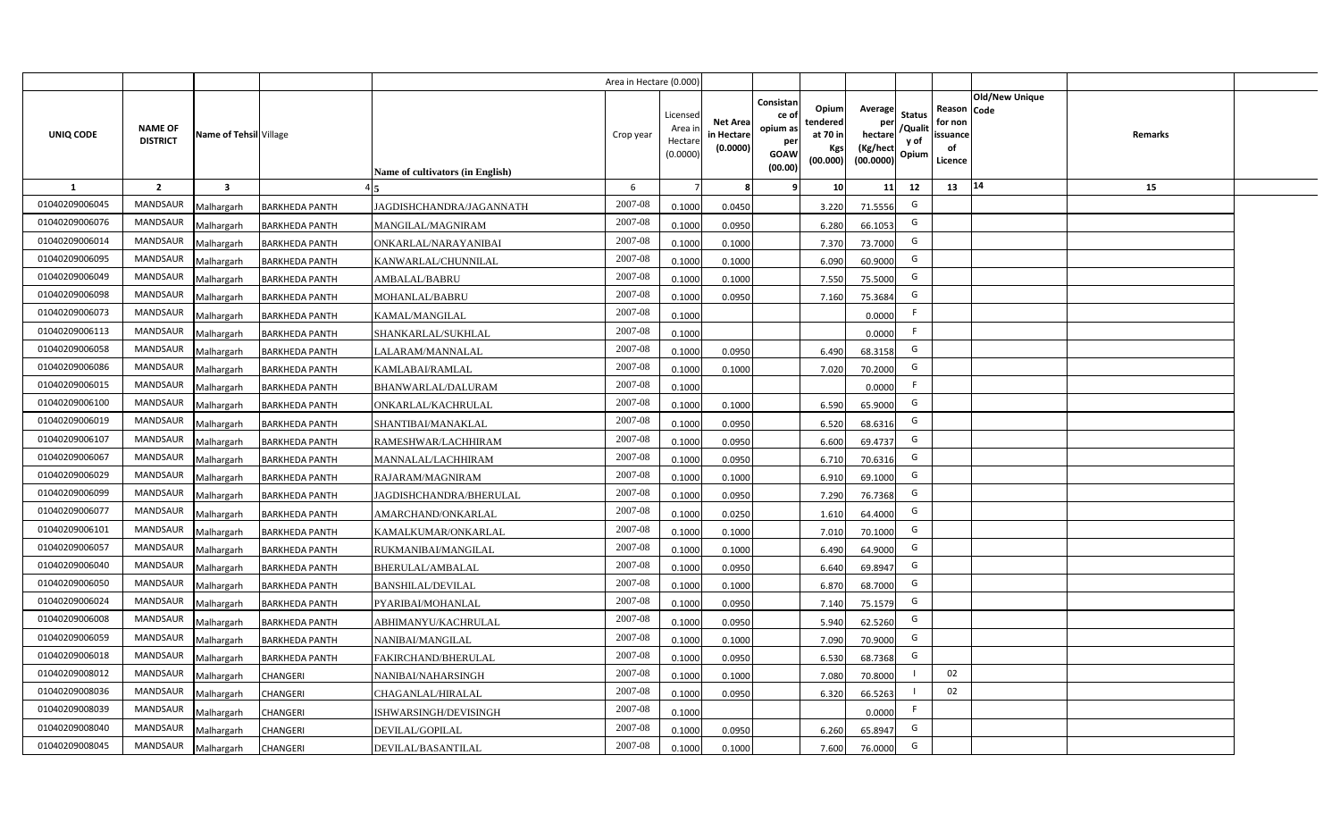|                |                                   |                        |                       |                                         | Area in Hectare (0.000) |                                           |                                           |                                                                |                                                  |                                                    |                                           |                                                     |                                  |  |
|----------------|-----------------------------------|------------------------|-----------------------|-----------------------------------------|-------------------------|-------------------------------------------|-------------------------------------------|----------------------------------------------------------------|--------------------------------------------------|----------------------------------------------------|-------------------------------------------|-----------------------------------------------------|----------------------------------|--|
| UNIQ CODE      | <b>NAME OF</b><br><b>DISTRICT</b> | Name of Tehsil Village |                       | <b>Name of cultivators (in English)</b> | Crop year               | Licensed<br>Area i<br>Hectare<br>(0.0000) | <b>Net Area</b><br>in Hectare<br>(0.0000) | Consistan<br>ce o<br>opium as<br>per<br><b>GOAW</b><br>(00.00) | Opium<br>tendered<br>at 70 in<br>Kgs<br>(00.000) | Average<br>per<br>hectare<br>(Kg/hect<br>(00.0000) | <b>Status</b><br>/Qualit<br>y of<br>Opium | Reason Code<br>for non<br>issuance<br>of<br>Licence | <b>Old/New Unique</b><br>Remarks |  |
| 1              | $\overline{2}$                    | 3                      |                       |                                         | 6                       |                                           | -8                                        | 9                                                              | 10 <sup>1</sup>                                  | 11                                                 | 12                                        | 13                                                  | 14<br>15                         |  |
| 01040209006045 | <b>MANDSAUR</b>                   | Malhargarh             | <b>BARKHEDA PANTH</b> | JAGDISHCHANDRA/JAGANNATH                | 2007-08                 | 0.1000                                    | 0.0450                                    |                                                                | 3.220                                            | 71.5556                                            | G                                         |                                                     |                                  |  |
| 01040209006076 | MANDSAUR                          | Malhargarh             | <b>BARKHEDA PANTH</b> | MANGILAL/MAGNIRAM                       | 2007-08                 | 0.1000                                    | 0.0950                                    |                                                                | 6.280                                            | 66.1053                                            | G                                         |                                                     |                                  |  |
| 01040209006014 | <b>MANDSAUR</b>                   | Malhargarh             | <b>BARKHEDA PANTH</b> | ONKARLAL/NARAYANIBAI                    | 2007-08                 | 0.1000                                    | 0.1000                                    |                                                                | 7.370                                            | 73.7000                                            | G                                         |                                                     |                                  |  |
| 01040209006095 | <b>MANDSAUR</b>                   | Malhargarh             | <b>BARKHEDA PANTH</b> | KANWARLAL/CHUNNILAL                     | 2007-08                 | 0.1000                                    | 0.1000                                    |                                                                | 6.090                                            | 60.9000                                            | G                                         |                                                     |                                  |  |
| 01040209006049 | <b>MANDSAUR</b>                   | Malhargarh             | <b>BARKHEDA PANTH</b> | <b>AMBALAL/BABRU</b>                    | 2007-08                 | 0.1000                                    | 0.1000                                    |                                                                | 7.550                                            | 75.5000                                            | G                                         |                                                     |                                  |  |
| 01040209006098 | <b>MANDSAUR</b>                   | Malhargarh             | <b>BARKHEDA PANTH</b> | MOHANLAL/BABRU                          | 2007-08                 | 0.1000                                    | 0.0950                                    |                                                                | 7.160                                            | 75.3684                                            | G                                         |                                                     |                                  |  |
| 01040209006073 | <b>MANDSAUR</b>                   | Malhargarh             | <b>BARKHEDA PANTH</b> | KAMAL/MANGILAL                          | 2007-08                 | 0.1000                                    |                                           |                                                                |                                                  | 0.0000                                             | F                                         |                                                     |                                  |  |
| 01040209006113 | <b>MANDSAUR</b>                   | Malhargarh             | <b>BARKHEDA PANTH</b> | SHANKARLAL/SUKHLAL                      | 2007-08                 | 0.1000                                    |                                           |                                                                |                                                  | 0.0000                                             | F                                         |                                                     |                                  |  |
| 01040209006058 | <b>MANDSAUR</b>                   | Malhargarh             | <b>BARKHEDA PANTH</b> | LALARAM/MANNALAL                        | 2007-08                 | 0.1000                                    | 0.0950                                    |                                                                | 6.490                                            | 68.3158                                            | G                                         |                                                     |                                  |  |
| 01040209006086 | <b>MANDSAUR</b>                   | Malhargarh             | <b>BARKHEDA PANTH</b> | KAMLABAI/RAMLAL                         | 2007-08                 | 0.1000                                    | 0.1000                                    |                                                                | 7.020                                            | 70.2000                                            | G                                         |                                                     |                                  |  |
| 01040209006015 | <b>MANDSAUR</b>                   | Malhargarh             | <b>BARKHEDA PANTH</b> | BHANWARLAL/DALURAM                      | 2007-08                 | 0.1000                                    |                                           |                                                                |                                                  | 0.0000                                             | F                                         |                                                     |                                  |  |
| 01040209006100 | <b>MANDSAUR</b>                   | Malhargarh             | <b>BARKHEDA PANTH</b> | ONKARLAL/KACHRULAL                      | 2007-08                 | 0.1000                                    | 0.1000                                    |                                                                | 6.590                                            | 65.9000                                            | G                                         |                                                     |                                  |  |
| 01040209006019 | <b>MANDSAUR</b>                   | Malhargarh             | <b>BARKHEDA PANTH</b> | SHANTIBAI/MANAKLAL                      | $2007 - 08$             | 0.1000                                    | 0.0950                                    |                                                                | 6.520                                            | 68.6316                                            | G                                         |                                                     |                                  |  |
| 01040209006107 | <b>MANDSAUR</b>                   | Malhargarh             | <b>BARKHEDA PANTH</b> | RAMESHWAR/LACHHIRAM                     | 2007-08                 | 0.1000                                    | 0.0950                                    |                                                                | 6.600                                            | 69.4737                                            | G                                         |                                                     |                                  |  |
| 01040209006067 | <b>MANDSAUR</b>                   | Malhargarh             | <b>BARKHEDA PANTH</b> | MANNALAL/LACHHIRAM                      | 2007-08                 | 0.1000                                    | 0.0950                                    |                                                                | 6.710                                            | 70.6316                                            | G                                         |                                                     |                                  |  |
| 01040209006029 | <b>MANDSAUR</b>                   | Malhargarh             | <b>BARKHEDA PANTH</b> | RAJARAM/MAGNIRAM                        | 2007-08                 | 0.1000                                    | 0.1000                                    |                                                                | 6.910                                            | 69.1000                                            | G                                         |                                                     |                                  |  |
| 01040209006099 | <b>MANDSAUR</b>                   | Malhargarh             | <b>BARKHEDA PANTH</b> | JAGDISHCHANDRA/BHERULAL                 | 2007-08                 | 0.1000                                    | 0.0950                                    |                                                                | 7.290                                            | 76.7368                                            | G                                         |                                                     |                                  |  |
| 01040209006077 | <b>MANDSAUR</b>                   | Malhargarh             | <b>BARKHEDA PANTH</b> | AMARCHAND/ONKARLAL                      | 2007-08                 | 0.1000                                    | 0.0250                                    |                                                                | 1.610                                            | 64.4000                                            | G                                         |                                                     |                                  |  |
| 01040209006101 | <b>MANDSAUR</b>                   | Malhargarh             | <b>BARKHEDA PANTH</b> | KAMALKUMAR/ONKARLAL                     | 2007-08                 | 0.1000                                    | 0.1000                                    |                                                                | 7.010                                            | 70.1000                                            | G                                         |                                                     |                                  |  |
| 01040209006057 | <b>MANDSAUR</b>                   | Malhargarh             | <b>BARKHEDA PANTH</b> | RUKMANIBAI/MANGILAL                     | 2007-08                 | 0.1000                                    | 0.1000                                    |                                                                | 6.490                                            | 64.9000                                            | G                                         |                                                     |                                  |  |
| 01040209006040 | <b>MANDSAUR</b>                   | Malhargarh             | <b>BARKHEDA PANTH</b> | BHERULAL/AMBALAL                        | 2007-08                 | 0.1000                                    | 0.0950                                    |                                                                | 6.640                                            | 69.8947                                            | G                                         |                                                     |                                  |  |
| 01040209006050 | <b>MANDSAUR</b>                   | Malhargarh             | <b>BARKHEDA PANTH</b> | <b>BANSHILAL/DEVILAL</b>                | 2007-08                 | 0.1000                                    | 0.1000                                    |                                                                | 6.870                                            | 68.7000                                            | G                                         |                                                     |                                  |  |
| 01040209006024 | <b>MANDSAUR</b>                   | Malhargarh             | <b>BARKHEDA PANTH</b> | PYARIBAI/MOHANLAL                       | 2007-08                 | 0.1000                                    | 0.0950                                    |                                                                | 7.140                                            | 75.1579                                            | G                                         |                                                     |                                  |  |
| 01040209006008 | <b>MANDSAUR</b>                   | Malhargarh             | <b>BARKHEDA PANTH</b> | ABHIMANYU/KACHRULAL                     | 2007-08                 | 0.1000                                    | 0.0950                                    |                                                                | 5.940                                            | 62.5260                                            | G                                         |                                                     |                                  |  |
| 01040209006059 | <b>MANDSAUR</b>                   | Malhargarh             | <b>BARKHEDA PANTH</b> | NANIBAI/MANGILAL                        | 2007-08                 | 0.1000                                    | 0.1000                                    |                                                                | 7.090                                            | 70.9000                                            | G                                         |                                                     |                                  |  |
| 01040209006018 | <b>MANDSAUR</b>                   | Malhargarh             | <b>BARKHEDA PANTH</b> | FAKIRCHAND/BHERULAL                     | 2007-08                 | 0.1000                                    | 0.0950                                    |                                                                | 6.530                                            | 68.7368                                            | G                                         |                                                     |                                  |  |
| 01040209008012 | MANDSAUR                          | Malhargarh             | <b>CHANGERI</b>       | NANIBAI/NAHARSINGH                      | 2007-08                 | 0.1000                                    | 0.1000                                    |                                                                | 7.080                                            | 70.8000                                            |                                           | 02                                                  |                                  |  |
| 01040209008036 | MANDSAUR                          | Malhargarh             | CHANGERI              | CHAGANLAL/HIRALAL                       | 2007-08                 | 0.1000                                    | 0.0950                                    |                                                                | 6.320                                            | 66.5263                                            |                                           | 02                                                  |                                  |  |
| 01040209008039 | MANDSAUR                          | Malhargarh             | <b>CHANGERI</b>       | ISHWARSINGH/DEVISINGH                   | 2007-08                 | 0.1000                                    |                                           |                                                                |                                                  | 0.0000                                             | F                                         |                                                     |                                  |  |
| 01040209008040 | MANDSAUR                          | Malhargarh             | CHANGERI              | DEVILAL/GOPILAL                         | 2007-08                 | 0.1000                                    | 0.0950                                    |                                                                | 6.260                                            | 65.8947                                            | G                                         |                                                     |                                  |  |
| 01040209008045 | MANDSAUR                          | Malhargarh             | <b>CHANGERI</b>       | DEVILAL/BASANTILAL                      | 2007-08                 | 0.1000                                    | 0.1000                                    |                                                                | 7.600                                            | 76.0000                                            | G                                         |                                                     |                                  |  |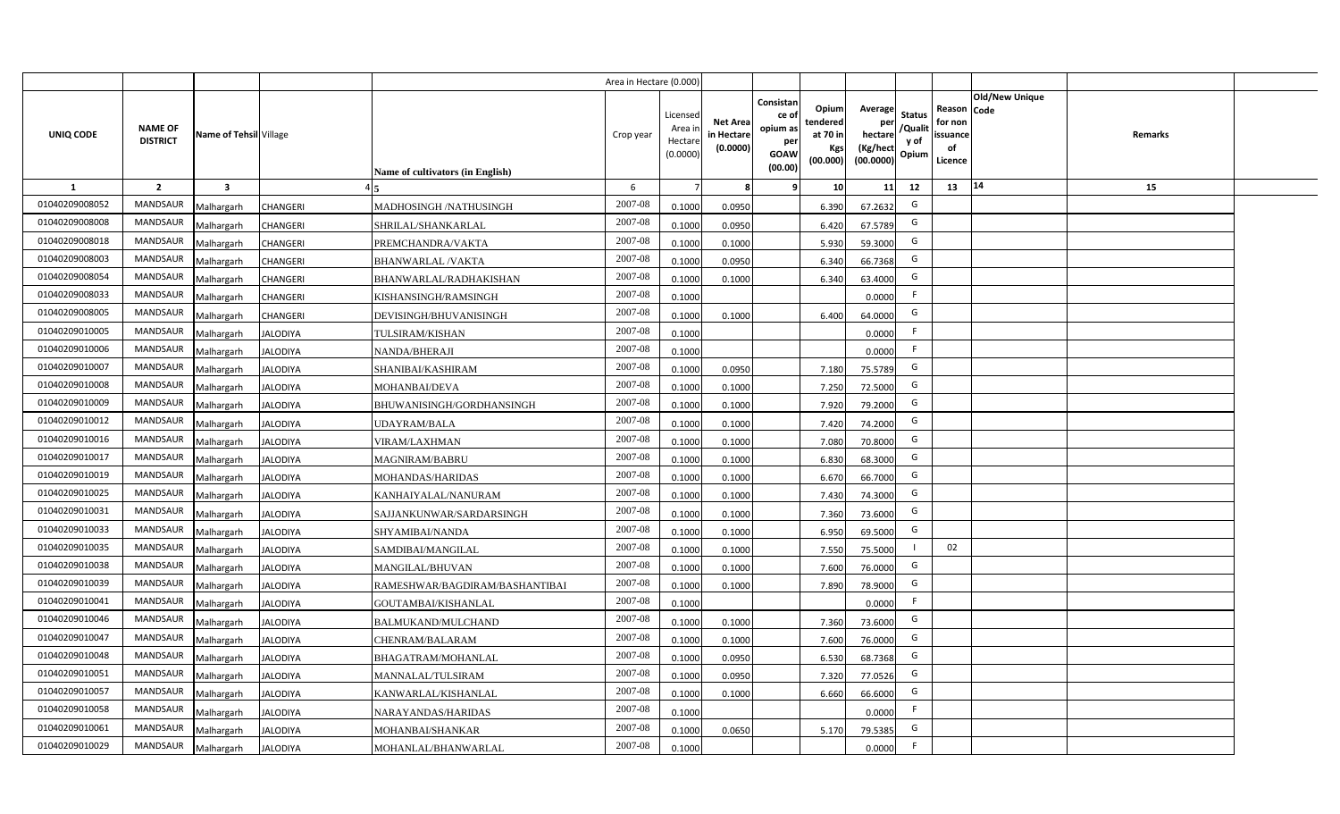|                |                                   |                         |                 |                                  | Area in Hectare (0.000) |                                           |                                           |                                                                 |                                                  |                                                    |                                           |                                                     |                       |         |  |
|----------------|-----------------------------------|-------------------------|-----------------|----------------------------------|-------------------------|-------------------------------------------|-------------------------------------------|-----------------------------------------------------------------|--------------------------------------------------|----------------------------------------------------|-------------------------------------------|-----------------------------------------------------|-----------------------|---------|--|
| UNIQ CODE      | <b>NAME OF</b><br><b>DISTRICT</b> | Name of Tehsil Village  |                 | Name of cultivators (in English) | Crop year               | Licensed<br>Area i<br>Hectare<br>(0.0000) | <b>Net Area</b><br>in Hectare<br>(0.0000) | Consistan<br>ce of<br>opium as<br>per<br><b>GOAW</b><br>(00.00) | Opium<br>tendered<br>at 70 in<br>Kgs<br>(00.000) | Average<br>per<br>hectare<br>(Kg/hect<br>(00.0000) | <b>Status</b><br>/Qualit<br>y of<br>Opium | Reason Code<br>for non<br>issuance<br>of<br>Licence | <b>Old/New Unique</b> | Remarks |  |
| 1              | $\overline{2}$                    | $\overline{\mathbf{3}}$ |                 |                                  | 6                       |                                           | 8                                         | 9                                                               | 10 <sup>1</sup>                                  | 11                                                 | 12                                        | 13                                                  | 14                    | 15      |  |
| 01040209008052 | MANDSAUR                          | Malhargarh              | <b>CHANGERI</b> | MADHOSINGH /NATHUSINGH           | 2007-08                 | 0.1000                                    | 0.0950                                    |                                                                 | 6.390                                            | 67.2632                                            | G                                         |                                                     |                       |         |  |
| 01040209008008 | <b>MANDSAUR</b>                   | Malhargarh              | <b>CHANGERI</b> | SHRILAL/SHANKARLAL               | 2007-08                 | 0.1000                                    | 0.0950                                    |                                                                 | 6.420                                            | 67.5789                                            | G                                         |                                                     |                       |         |  |
| 01040209008018 | <b>MANDSAUR</b>                   | Malhargarh              | CHANGERI        | PREMCHANDRA/VAKTA                | 2007-08                 | 0.1000                                    | 0.1000                                    |                                                                 | 5.930                                            | 59.3000                                            | G                                         |                                                     |                       |         |  |
| 01040209008003 | MANDSAUR                          | Malhargarh              | <b>CHANGERI</b> | <b>BHANWARLAL/VAKTA</b>          | 2007-08                 | 0.1000                                    | 0.0950                                    |                                                                 | 6.340                                            | 66.7368                                            | G                                         |                                                     |                       |         |  |
| 01040209008054 | <b>MANDSAUR</b>                   | Malhargarh              | CHANGERI        | BHANWARLAL/RADHAKISHAN           | 2007-08                 | 0.1000                                    | 0.1000                                    |                                                                 | 6.340                                            | 63.4000                                            | G                                         |                                                     |                       |         |  |
| 01040209008033 | MANDSAUR                          | Malhargarh              | <b>CHANGERI</b> | KISHANSINGH/RAMSINGH             | 2007-08                 | 0.1000                                    |                                           |                                                                 |                                                  | 0.0000                                             | F.                                        |                                                     |                       |         |  |
| 01040209008005 | MANDSAUR                          | Malhargarh              | <b>CHANGERI</b> | DEVISINGH/BHUVANISINGH           | 2007-08                 | 0.1000                                    | 0.1000                                    |                                                                 | 6.400                                            | 64.0000                                            | G                                         |                                                     |                       |         |  |
| 01040209010005 | MANDSAUR                          | Malhargarh              | <b>JALODIYA</b> | TULSIRAM/KISHAN                  | 2007-08                 | 0.1000                                    |                                           |                                                                 |                                                  | 0.0000                                             | F                                         |                                                     |                       |         |  |
| 01040209010006 | <b>MANDSAUR</b>                   | Malhargarh              | <b>JALODIYA</b> | NANDA/BHERAJI                    | 2007-08                 | 0.1000                                    |                                           |                                                                 |                                                  | 0.0000                                             | F                                         |                                                     |                       |         |  |
| 01040209010007 | MANDSAUR                          | Malhargarh              | <b>JALODIYA</b> | SHANIBAI/KASHIRAM                | 2007-08                 | 0.1000                                    | 0.0950                                    |                                                                 | 7.180                                            | 75.5789                                            | G                                         |                                                     |                       |         |  |
| 01040209010008 | <b>MANDSAUR</b>                   | Malhargarh              | <b>JALODIYA</b> | MOHANBAI/DEVA                    | 2007-08                 | 0.1000                                    | 0.1000                                    |                                                                 | 7.250                                            | 72.5000                                            | G                                         |                                                     |                       |         |  |
| 01040209010009 | MANDSAUR                          | Malhargarh              | <b>JALODIYA</b> | BHUWANISINGH/GORDHANSINGH        | 2007-08                 | 0.1000                                    | 0.1000                                    |                                                                 | 7.920                                            | 79.2000                                            | G                                         |                                                     |                       |         |  |
| 01040209010012 | <b>MANDSAUR</b>                   | Malhargarh              | <b>JALODIYA</b> | UDAYRAM/BALA                     | $2007 - 08$             | 0.1000                                    | 0.1000                                    |                                                                 | 7.420                                            | 74.2000                                            | G                                         |                                                     |                       |         |  |
| 01040209010016 | <b>MANDSAUR</b>                   | Malhargarh              | <b>JALODIYA</b> | VIRAM/LAXHMAN                    | 2007-08                 | 0.1000                                    | 0.1000                                    |                                                                 | 7.080                                            | 70.8000                                            | G                                         |                                                     |                       |         |  |
| 01040209010017 | <b>MANDSAUR</b>                   | Malhargarh              | <b>JALODIYA</b> | <b>MAGNIRAM/BABRU</b>            | 2007-08                 | 0.1000                                    | 0.1000                                    |                                                                 | 6.830                                            | 68.3000                                            | G                                         |                                                     |                       |         |  |
| 01040209010019 | <b>MANDSAUR</b>                   | Malhargarh              | <b>JALODIYA</b> | MOHANDAS/HARIDAS                 | 2007-08                 | 0.1000                                    | 0.1000                                    |                                                                 | 6.670                                            | 66.7000                                            | G                                         |                                                     |                       |         |  |
| 01040209010025 | <b>MANDSAUR</b>                   | Malhargarh              | <b>JALODIYA</b> | KANHAIYALAL/NANURAM              | 2007-08                 | 0.1000                                    | 0.1000                                    |                                                                 | 7.430                                            | 74.3000                                            | G                                         |                                                     |                       |         |  |
| 01040209010031 | <b>MANDSAUR</b>                   | Malhargarh              | <b>JALODIYA</b> | SAJJANKUNWAR/SARDARSINGH         | 2007-08                 | 0.1000                                    | 0.1000                                    |                                                                 | 7.360                                            | 73.6000                                            | G                                         |                                                     |                       |         |  |
| 01040209010033 | MANDSAUR                          | Malhargarh              | <b>JALODIYA</b> | SHYAMIBAI/NANDA                  | 2007-08                 | 0.1000                                    | 0.1000                                    |                                                                 | 6.950                                            | 69.5000                                            | G                                         |                                                     |                       |         |  |
| 01040209010035 | <b>MANDSAUR</b>                   | Malhargarh              | <b>JALODIYA</b> | SAMDIBAI/MANGILAL                | 2007-08                 | 0.1000                                    | 0.1000                                    |                                                                 | 7.550                                            | 75.5000                                            | - 1                                       | 02                                                  |                       |         |  |
| 01040209010038 | MANDSAUR                          | Malhargarh              | <b>JALODIYA</b> | <b>MANGILAL/BHUVAN</b>           | 2007-08                 | 0.1000                                    | 0.1000                                    |                                                                 | 7.600                                            | 76.0000                                            | G                                         |                                                     |                       |         |  |
| 01040209010039 | <b>MANDSAUR</b>                   | Malhargarh              | <b>JALODIYA</b> | RAMESHWAR/BAGDIRAM/BASHANTIBAI   | 2007-08                 | 0.1000                                    | 0.1000                                    |                                                                 | 7.890                                            | 78.9000                                            | G                                         |                                                     |                       |         |  |
| 01040209010041 | <b>MANDSAUR</b>                   | Malhargarh              | <b>JALODIYA</b> | GOUTAMBAI/KISHANLAL              | 2007-08                 | 0.1000                                    |                                           |                                                                 |                                                  | 0.0000                                             | F.                                        |                                                     |                       |         |  |
| 01040209010046 | <b>MANDSAUR</b>                   | Malhargarh              | <b>JALODIYA</b> | BALMUKAND/MULCHAND               | $2007 - 08$             | 0.1000                                    | 0.1000                                    |                                                                 | 7.360                                            | 73.6000                                            | G                                         |                                                     |                       |         |  |
| 01040209010047 | <b>MANDSAUR</b>                   | Malhargarh              | <b>JALODIYA</b> | CHENRAM/BALARAM                  | 2007-08                 | 0.1000                                    | 0.1000                                    |                                                                 | 7.600                                            | 76.0000                                            | G                                         |                                                     |                       |         |  |
| 01040209010048 | <b>MANDSAUR</b>                   | Malhargarh              | <b>JALODIYA</b> | BHAGATRAM/MOHANLAL               | 2007-08                 | 0.1000                                    | 0.0950                                    |                                                                 | 6.530                                            | 68.7368                                            | G                                         |                                                     |                       |         |  |
| 01040209010051 | MANDSAUR                          | Malhargarh              | <b>JALODIYA</b> | MANNALAL/TULSIRAM                | 2007-08                 | 0.1000                                    | 0.0950                                    |                                                                 | 7.320                                            | 77.0526                                            | G                                         |                                                     |                       |         |  |
| 01040209010057 | <b>MANDSAUR</b>                   | Malhargarh              | <b>JALODIYA</b> | KANWARLAL/KISHANLAL              | 2007-08                 | 0.1000                                    | 0.1000                                    |                                                                 | 6.660                                            | 66.6000                                            | G                                         |                                                     |                       |         |  |
| 01040209010058 | <b>MANDSAUR</b>                   | Malhargarh              | <b>JALODIYA</b> | NARAYANDAS/HARIDAS               | 2007-08                 | 0.1000                                    |                                           |                                                                 |                                                  | 0.0000                                             | F                                         |                                                     |                       |         |  |
| 01040209010061 | <b>MANDSAUR</b>                   | Malhargarh              | <b>JALODIYA</b> | MOHANBAI/SHANKAR                 | 2007-08                 | 0.1000                                    | 0.0650                                    |                                                                 | 5.170                                            | 79.5385                                            | G                                         |                                                     |                       |         |  |
| 01040209010029 | MANDSAUR                          | Malhargarh              | <b>JALODIYA</b> | MOHANLAL/BHANWARLAL              | 2007-08                 | 0.1000                                    |                                           |                                                                 |                                                  | 0.0000                                             | F.                                        |                                                     |                       |         |  |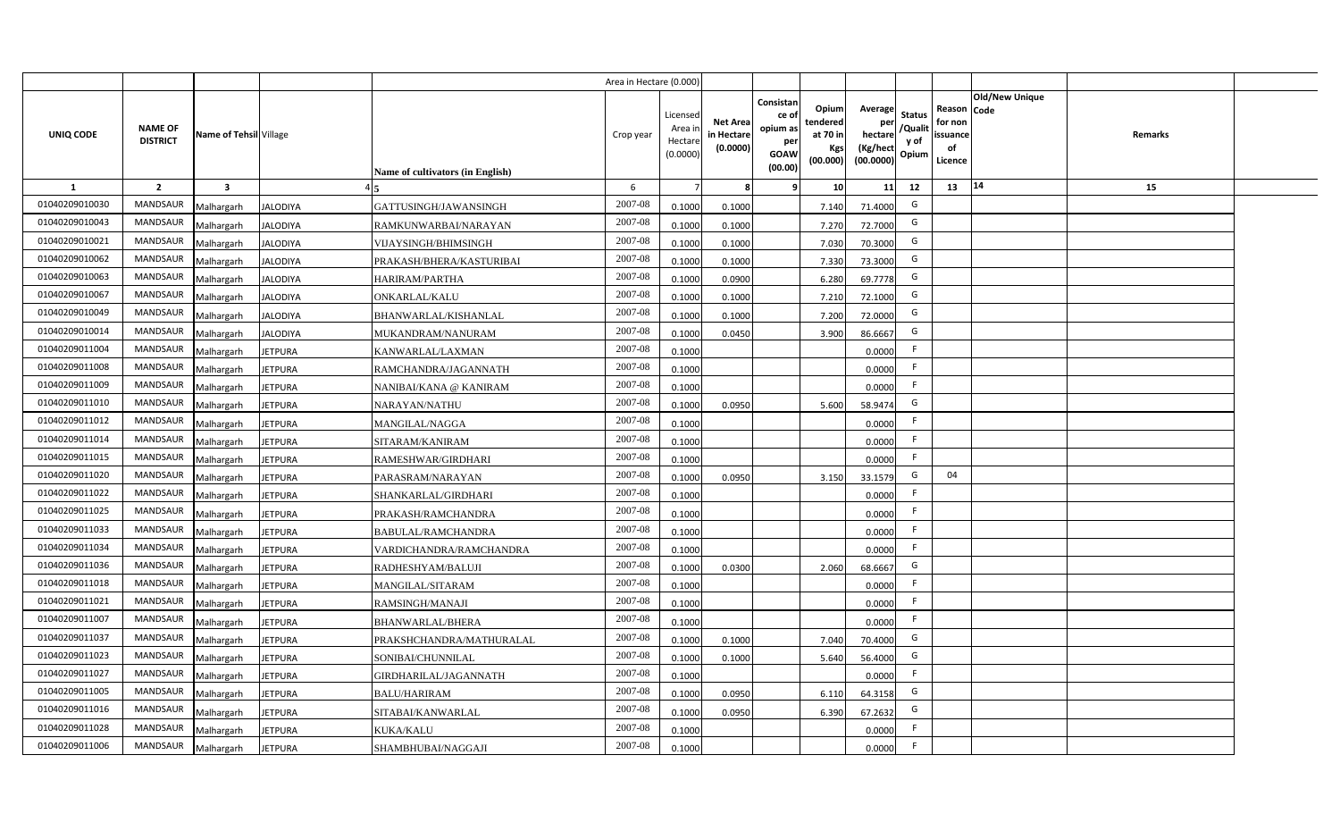|                |                                   |                         |                 |                                  | Area in Hectare (0.000) |                                          |                                           |                                                                |                                                  |                                                    |                                           |                                                                       |         |  |
|----------------|-----------------------------------|-------------------------|-----------------|----------------------------------|-------------------------|------------------------------------------|-------------------------------------------|----------------------------------------------------------------|--------------------------------------------------|----------------------------------------------------|-------------------------------------------|-----------------------------------------------------------------------|---------|--|
| UNIQ CODE      | <b>NAME OF</b><br><b>DISTRICT</b> | Name of Tehsil Village  |                 | Name of cultivators (in English) | Crop year               | Licensec<br>Area i<br>Hectar<br>(0.0000) | <b>Net Area</b><br>in Hectare<br>(0.0000) | Consistan<br>ce o<br>opium as<br>per<br><b>GOAW</b><br>(00.00) | Opium<br>tendered<br>at 70 in<br>Kgs<br>(00.000) | Average<br>per<br>hectare<br>(Kg/hect<br>(00.0000) | <b>Status</b><br>/Qualit<br>y of<br>Opium | Old/New Unique<br>Reason Code<br>for non<br>issuance<br>of<br>Licence | Remarks |  |
| <b>1</b>       | $\overline{2}$                    | $\overline{\mathbf{3}}$ |                 |                                  | 6                       |                                          |                                           |                                                                | 10                                               | 11                                                 | 12                                        | 14<br>13                                                              | 15      |  |
| 01040209010030 | <b>MANDSAUR</b>                   | Malhargarh              | <b>JALODIYA</b> | GATTUSINGH/JAWANSINGH            | 2007-08                 | 0.1000                                   | 0.1000                                    |                                                                | 7.140                                            | 71.4000                                            | G                                         |                                                                       |         |  |
| 01040209010043 | MANDSAUR                          | Malhargarh              | <b>JALODIYA</b> | RAMKUNWARBAI/NARAYAN             | 2007-08                 | 0.1000                                   | 0.1000                                    |                                                                | 7.270                                            | 72.7000                                            | G                                         |                                                                       |         |  |
| 01040209010021 | <b>MANDSAUR</b>                   | Malhargarh              | <b>JALODIYA</b> | VIJAYSINGH/BHIMSINGH             | 2007-08                 | 0.1000                                   | 0.1000                                    |                                                                | 7.030                                            | 70.3000                                            | G                                         |                                                                       |         |  |
| 01040209010062 | <b>MANDSAUR</b>                   | Malhargarh              | JALODIYA        | PRAKASH/BHERA/KASTURIBAI         | 2007-08                 | 0.100                                    | 0.1000                                    |                                                                | 7.330                                            | 73.3000                                            | G                                         |                                                                       |         |  |
| 01040209010063 | <b>MANDSAUR</b>                   | Malhargarh              | <b>JALODIYA</b> | HARIRAM/PARTHA                   | 2007-08                 | 0.1000                                   | 0.0900                                    |                                                                | 6.280                                            | 69.7778                                            | G                                         |                                                                       |         |  |
| 01040209010067 | <b>MANDSAUR</b>                   | Malhargarh              | <b>JALODIYA</b> | ONKARLAL/KALU                    | 2007-08                 | 0.100                                    | 0.1000                                    |                                                                | 7.210                                            | 72.1000                                            | G                                         |                                                                       |         |  |
| 01040209010049 | <b>MANDSAUR</b>                   | Malhargarh              | <b>JALODIYA</b> | BHANWARLAL/KISHANLAL             | 2007-08                 | 0.1000                                   | 0.1000                                    |                                                                | 7.200                                            | 72.0000                                            | G                                         |                                                                       |         |  |
| 01040209010014 | <b>MANDSAUR</b>                   | Malhargarh              | <b>JALODIYA</b> | MUKANDRAM/NANURAM                | 2007-08                 | 0.1000                                   | 0.0450                                    |                                                                | 3.900                                            | 86.6667                                            | G                                         |                                                                       |         |  |
| 01040209011004 | <b>MANDSAUR</b>                   | Malhargarh              | <b>JETPURA</b>  | KANWARLAL/LAXMAN                 | 2007-08                 | 0.1000                                   |                                           |                                                                |                                                  | 0.0000                                             | F.                                        |                                                                       |         |  |
| 01040209011008 | <b>MANDSAUR</b>                   | Malhargarh              | <b>JETPURA</b>  | RAMCHANDRA/JAGANNATH             | 2007-08                 | 0.1000                                   |                                           |                                                                |                                                  | 0.000C                                             | F.                                        |                                                                       |         |  |
| 01040209011009 | <b>MANDSAUR</b>                   | Malhargarh              | <b>JETPURA</b>  | NANIBAI/KANA @ KANIRAM           | 2007-08                 | 0.1000                                   |                                           |                                                                |                                                  | 0.0000                                             | E                                         |                                                                       |         |  |
| 01040209011010 | <b>MANDSAUR</b>                   | Malhargarh              | <b>JETPURA</b>  | NARAYAN/NATHU                    | 2007-08                 | 0.1000                                   | 0.0950                                    |                                                                | 5.600                                            | 58.9474                                            | G                                         |                                                                       |         |  |
| 01040209011012 | <b>MANDSAUR</b>                   | Malhargarh              | <b>JETPURA</b>  | MANGILAL/NAGGA                   | 2007-08                 | 0.1000                                   |                                           |                                                                |                                                  | 0.0000                                             | -F                                        |                                                                       |         |  |
| 01040209011014 | MANDSAUR                          | Malhargarh              | <b>JETPURA</b>  | SITARAM/KANIRAM                  | 2007-08                 | 0.1000                                   |                                           |                                                                |                                                  | 0.0000                                             | F.                                        |                                                                       |         |  |
| 01040209011015 | <b>MANDSAUR</b>                   | Malhargarh              | <b>JETPURA</b>  | RAMESHWAR/GIRDHARI               | 2007-08                 | 0.1000                                   |                                           |                                                                |                                                  | 0.0000                                             | F.                                        |                                                                       |         |  |
| 01040209011020 | MANDSAUR                          | Malhargarh              | <b>JETPURA</b>  | PARASRAM/NARAYAN                 | 2007-08                 | 0.1000                                   | 0.0950                                    |                                                                | 3.150                                            | 33.1579                                            | G                                         | 04                                                                    |         |  |
| 01040209011022 | MANDSAUR                          | Malhargarh              | <b>JETPURA</b>  | SHANKARLAL/GIRDHARI              | 2007-08                 | 0.1000                                   |                                           |                                                                |                                                  | 0.0000                                             | F.                                        |                                                                       |         |  |
| 01040209011025 | <b>MANDSAUR</b>                   | Malhargarh              | <b>JETPURA</b>  | PRAKASH/RAMCHANDRA               | 2007-08                 | 0.1000                                   |                                           |                                                                |                                                  | 0.0000                                             | F.                                        |                                                                       |         |  |
| 01040209011033 | <b>MANDSAUR</b>                   | Malhargarh              | <b>JETPURA</b>  | BABULAL/RAMCHANDRA               | 2007-08                 | 0.1000                                   |                                           |                                                                |                                                  | 0.0000                                             | F.                                        |                                                                       |         |  |
| 01040209011034 | MANDSAUR                          | Malhargarh              | <b>JETPURA</b>  | VARDICHANDRA/RAMCHANDRA          | 2007-08                 | 0.1000                                   |                                           |                                                                |                                                  | 0.0000                                             | F.                                        |                                                                       |         |  |
| 01040209011036 | MANDSAUR                          | Malhargarh              | <b>JETPURA</b>  | RADHESHYAM/BALUJI                | 2007-08                 | 0.1000                                   | 0.0300                                    |                                                                | 2.060                                            | 68.6667                                            | G                                         |                                                                       |         |  |
| 01040209011018 | MANDSAUR                          | Malhargarh              | <b>JETPURA</b>  | MANGILAL/SITARAM                 | 2007-08                 | 0.1000                                   |                                           |                                                                |                                                  | 0.0000                                             | F.                                        |                                                                       |         |  |
| 01040209011021 | <b>MANDSAUR</b>                   | Malhargarh              | <b>JETPURA</b>  | RAMSINGH/MANAJI                  | 2007-08                 | 0.1000                                   |                                           |                                                                |                                                  | 0.0000                                             | F.                                        |                                                                       |         |  |
| 01040209011007 | <b>MANDSAUR</b>                   | Malhargarh              | <b>JETPURA</b>  | BHANWARLAL/BHERA                 | 2007-08                 | 0.1000                                   |                                           |                                                                |                                                  | 0.0000                                             | -F                                        |                                                                       |         |  |
| 01040209011037 | <b>MANDSAUR</b>                   | Malhargarh              | <b>JETPURA</b>  | PRAKSHCHANDRA/MATHURALAL         | 2007-08                 | 0.1000                                   | 0.1000                                    |                                                                | 7.040                                            | 70.4000                                            | G                                         |                                                                       |         |  |
| 01040209011023 | <b>MANDSAUR</b>                   | Malhargarh              | <b>JETPURA</b>  | SONIBAI/CHUNNILAL                | 2007-08                 | 0.1000                                   | 0.1000                                    |                                                                | 5.640                                            | 56.4000                                            | G                                         |                                                                       |         |  |
| 01040209011027 | <b>MANDSAUR</b>                   | Malhargarh              | <b>JETPURA</b>  | GIRDHARILAL/JAGANNATH            | 2007-08                 | 0.1000                                   |                                           |                                                                |                                                  | 0.0000                                             | F                                         |                                                                       |         |  |
| 01040209011005 | MANDSAUR                          | Malhargarh              | <b>JETPURA</b>  | <b>BALU/HARIRAM</b>              | 2007-08                 | 0.1000                                   | 0.0950                                    |                                                                | 6.110                                            | 64.3158                                            | G                                         |                                                                       |         |  |
| 01040209011016 | MANDSAUR                          | Malhargarh              | <b>JETPURA</b>  | SITABAI/KANWARLAL                | 2007-08                 | 0.1000                                   | 0.0950                                    |                                                                | 6.390                                            | 67.2632                                            | G                                         |                                                                       |         |  |
| 01040209011028 | MANDSAUR                          | Malhargarh              | <b>JETPURA</b>  | KUKA/KALU                        | 2007-08                 | 0.1000                                   |                                           |                                                                |                                                  | 0.0000                                             | E                                         |                                                                       |         |  |
| 01040209011006 | MANDSAUR                          | Malhargarh              | <b>JETPURA</b>  | SHAMBHUBAI/NAGGAJI               | 2007-08                 | 0.1000                                   |                                           |                                                                |                                                  | 0.0000                                             | E                                         |                                                                       |         |  |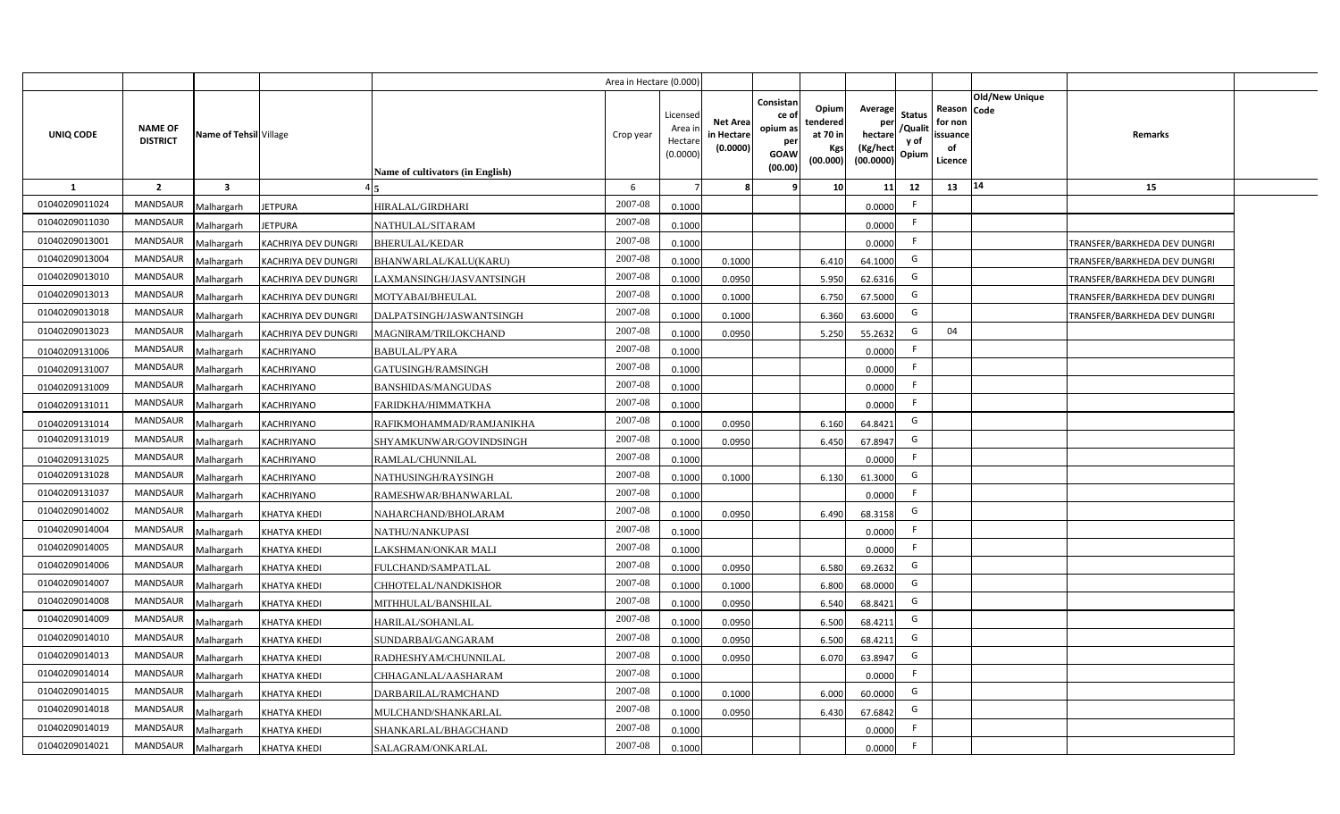|                |                                   |                         |                     |                                  | Area in Hectare (0.000) |                                          |                                           |                                                         |                                                          |                                                            |                                  |                                                     |                       |                              |  |
|----------------|-----------------------------------|-------------------------|---------------------|----------------------------------|-------------------------|------------------------------------------|-------------------------------------------|---------------------------------------------------------|----------------------------------------------------------|------------------------------------------------------------|----------------------------------|-----------------------------------------------------|-----------------------|------------------------------|--|
| UNIQ CODE      | <b>NAME OF</b><br><b>DISTRICT</b> | Name of Tehsil Village  |                     | Name of cultivators (in English) | Crop year               | Licensed<br>Area i<br>Hectar<br>(0.0000) | <b>Net Area</b><br>in Hectare<br>(0.0000) | Consistan<br>ce o<br>opium as<br>per<br>GOAW<br>(00.00) | Opiuml<br>tendered<br>at 70 in<br><b>Kgs</b><br>(00.000) | Average<br>per<br>hectare<br>(Kg/hect<br>$(00.0000)$ Opium | <b>Status</b><br>/Qualit<br>y of | Reason Code<br>for non<br>issuance<br>of<br>Licence | <b>Old/New Unique</b> | <b>Remarks</b>               |  |
| <b>1</b>       | $\overline{2}$                    | $\overline{\mathbf{3}}$ |                     |                                  | 6                       |                                          |                                           |                                                         | 10                                                       | 11                                                         | 12                               | 13                                                  | 14                    | 15                           |  |
| 01040209011024 | <b>MANDSAUR</b>                   | Malhargarh              | <b>IETPURA</b>      | HIRALAL/GIRDHARI                 | 2007-08                 | 0.1000                                   |                                           |                                                         |                                                          | 0.0000                                                     | F.                               |                                                     |                       |                              |  |
| 01040209011030 | <b>MANDSAUR</b>                   | Malhargarh              | <b>IETPURA</b>      | NATHULAL/SITARAM                 | 2007-08                 | 0.1000                                   |                                           |                                                         |                                                          | 0.0000                                                     | F.                               |                                                     |                       |                              |  |
| 01040209013001 | <b>MANDSAUR</b>                   | Malhargarh              | KACHRIYA DEV DUNGRI | <b>BHERULAL/KEDAR</b>            | 2007-08                 | 0.1000                                   |                                           |                                                         |                                                          | 0.0000                                                     | F.                               |                                                     |                       | TRANSFER/BARKHEDA DEV DUNGRI |  |
| 01040209013004 | <b>MANDSAUR</b>                   | Malhargarh              | KACHRIYA DEV DUNGRI | BHANWARLAL/KALU(KARU)            | 2007-08                 | 0.1000                                   | 0.1000                                    |                                                         | 6.410                                                    | 64.1000                                                    | G                                |                                                     |                       | TRANSFER/BARKHEDA DEV DUNGRI |  |
| 01040209013010 | <b>MANDSAUR</b>                   | Malhargarh              | KACHRIYA DEV DUNGRI | LAXMANSINGH/JASVANTSINGH         | 2007-08                 | 0.1000                                   | 0.0950                                    |                                                         | 5.950                                                    | 62.6316                                                    | G                                |                                                     |                       | TRANSFER/BARKHEDA DEV DUNGRI |  |
| 01040209013013 | <b>MANDSAUR</b>                   | Malhargarh              | KACHRIYA DEV DUNGRI | MOTYABAI/BHEULAL                 | 2007-08                 | 0.100                                    | 0.1000                                    |                                                         | 6.750                                                    | 67.5000                                                    | G                                |                                                     |                       | TRANSFER/BARKHEDA DEV DUNGRI |  |
| 01040209013018 | <b>MANDSAUR</b>                   | Malhargarh              | KACHRIYA DEV DUNGRI | DALPATSINGH/JASWANTSINGH         | 2007-08                 | 0.100                                    | 0.1000                                    |                                                         | 6.360                                                    | 63.6000                                                    | G                                |                                                     |                       | TRANSFER/BARKHEDA DEV DUNGRI |  |
| 01040209013023 | <b>MANDSAUR</b>                   | Malhargarh              | KACHRIYA DEV DUNGRI | MAGNIRAM/TRILOKCHAND             | 2007-08                 | 0.100                                    | 0.0950                                    |                                                         | 5.250                                                    | 55.2632                                                    | G                                | 04                                                  |                       |                              |  |
| 01040209131006 | <b>MANDSAUR</b>                   | Malhargarh              | KACHRIYANO          | BABULAL/PYARA                    | 2007-08                 | 0.1000                                   |                                           |                                                         |                                                          | 0.0000                                                     | F.                               |                                                     |                       |                              |  |
| 01040209131007 | <b>MANDSAUR</b>                   | Malhargarh              | KACHRIYANO          | GATUSINGH/RAMSINGH               | 2007-08                 | 0.1000                                   |                                           |                                                         |                                                          | 0.0000                                                     | F.                               |                                                     |                       |                              |  |
| 01040209131009 | MANDSAUR                          | Malhargarh              | KACHRIYANO          | BANSHIDAS/MANGUDAS               | 2007-08                 | 0.1000                                   |                                           |                                                         |                                                          | 0.0000                                                     | F.                               |                                                     |                       |                              |  |
| 01040209131011 | MANDSAUR                          | Malhargarh              | KACHRIYANO          | FARIDKHA/HIMMATKHA               | 2007-08                 | 0.1000                                   |                                           |                                                         |                                                          | 0.0000                                                     | F.                               |                                                     |                       |                              |  |
| 01040209131014 | <b>MANDSAUR</b>                   | Malhargarh              | KACHRIYANO          | RAFIKMOHAMMAD/RAMJANIKHA         | 2007-08                 | 0.1000                                   | 0.0950                                    |                                                         | 6.160                                                    | 64.8421                                                    | G                                |                                                     |                       |                              |  |
| 01040209131019 | <b>MANDSAUR</b>                   | Malhargarh              | KACHRIYANO          | SHYAMKUNWAR/GOVINDSINGH          | 2007-08                 | 0.1000                                   | 0.0950                                    |                                                         | 6.450                                                    | 67.8947                                                    | G                                |                                                     |                       |                              |  |
| 01040209131025 | <b>MANDSAUR</b>                   | Malhargarh              | KACHRIYANO          | RAMLAL/CHUNNILAL                 | 2007-08                 | 0.1000                                   |                                           |                                                         |                                                          | 0.0000                                                     | F.                               |                                                     |                       |                              |  |
| 01040209131028 | <b>MANDSAUR</b>                   | Malhargarh              | KACHRIYANO          | NATHUSINGH/RAYSINGH              | 2007-08                 | 0.1000                                   | 0.1000                                    |                                                         | 6.130                                                    | 61.3000                                                    | G                                |                                                     |                       |                              |  |
| 01040209131037 | <b>MANDSAUR</b>                   | Malhargarh              | KACHRIYANO          | RAMESHWAR/BHANWARLAL             | 2007-08                 | 0.1000                                   |                                           |                                                         |                                                          | 0.0000                                                     | F.                               |                                                     |                       |                              |  |
| 01040209014002 | <b>MANDSAUR</b>                   | Malhargarh              | KHATYA KHEDI        | NAHARCHAND/BHOLARAM              | 2007-08                 | 0.100                                    | 0.0950                                    |                                                         | 6.490                                                    | 68.3158                                                    | G                                |                                                     |                       |                              |  |
| 01040209014004 | <b>MANDSAUR</b>                   | Malhargarh              | KHATYA KHEDI        | NATHU/NANKUPASI                  | 2007-08                 | 0.1000                                   |                                           |                                                         |                                                          | 0.0000                                                     | F.                               |                                                     |                       |                              |  |
| 01040209014005 | <b>MANDSAUR</b>                   | Malhargarh              | KHATYA KHEDI        | LAKSHMAN/ONKAR MALI              | 2007-08                 | 0.1000                                   |                                           |                                                         |                                                          | 0.0000                                                     | F.                               |                                                     |                       |                              |  |
| 01040209014006 | <b>MANDSAUR</b>                   | Malhargarh              | KHATYA KHEDI        | FULCHAND/SAMPATLAL               | 2007-08                 | 0.1000                                   | 0.0950                                    |                                                         | 6.580                                                    | 69.2632                                                    | G                                |                                                     |                       |                              |  |
| 01040209014007 | <b>MANDSAUR</b>                   | Malhargarh              | KHATYA KHEDI        | CHHOTELAL/NANDKISHOR             | 2007-08                 | 0.1000                                   | 0.1000                                    |                                                         | 6.800                                                    | 68.0000                                                    | G                                |                                                     |                       |                              |  |
| 01040209014008 | <b>MANDSAUR</b>                   | Malhargarh              | KHATYA KHEDI        | MITHHULAL/BANSHILAL              | 2007-08                 | 0.1000                                   | 0.0950                                    |                                                         | 6.540                                                    | 68.8421                                                    | G                                |                                                     |                       |                              |  |
| 01040209014009 | <b>MANDSAUR</b>                   | Malhargarh              | KHATYA KHEDI        | HARILAL/SOHANLAL                 | 2007-08                 | 0.1000                                   | 0.0950                                    |                                                         | 6.500                                                    | 68.4211                                                    | G                                |                                                     |                       |                              |  |
| 01040209014010 | <b>MANDSAUR</b>                   | Malhargarh              | KHATYA KHEDI        | SUNDARBAI/GANGARAM               | 2007-08                 | 0.100                                    | 0.0950                                    |                                                         | 6.500                                                    | 68.4211                                                    | G                                |                                                     |                       |                              |  |
| 01040209014013 | <b>MANDSAUR</b>                   | Malhargarh              | KHATYA KHEDI        | RADHESHYAM/CHUNNILAL             | 2007-08                 | 0.100                                    | 0.0950                                    |                                                         | 6.070                                                    | 63.8947                                                    | G                                |                                                     |                       |                              |  |
| 01040209014014 | <b>MANDSAUR</b>                   | Malhargarh              | KHATYA KHEDI        | CHHAGANLAL/AASHARAM              | 2007-08                 | 0.1000                                   |                                           |                                                         |                                                          | 0.0000                                                     | F.                               |                                                     |                       |                              |  |
| 01040209014015 | <b>MANDSAUR</b>                   | Malhargarh              | KHATYA KHEDI        | DARBARILAL/RAMCHAND              | 2007-08                 | 0.1000                                   | 0.1000                                    |                                                         | 6.000                                                    | 60.0000                                                    | G                                |                                                     |                       |                              |  |
| 01040209014018 | <b>MANDSAUR</b>                   | Malhargarh              | KHATYA KHEDI        | MULCHAND/SHANKARLAL              | 2007-08                 | 0.1000                                   | 0.0950                                    |                                                         | 6.430                                                    | 67.6842                                                    | G                                |                                                     |                       |                              |  |
| 01040209014019 | <b>MANDSAUR</b>                   | Malhargarh              | KHATYA KHEDI        | SHANKARLAL/BHAGCHAND             | 2007-08                 | 0.1000                                   |                                           |                                                         |                                                          | 0.0000                                                     | F                                |                                                     |                       |                              |  |
| 01040209014021 | MANDSAUR                          | Malhargarh              | <b>KHATYA KHEDI</b> | SALAGRAM/ONKARLAL                | 2007-08                 | 0.1000                                   |                                           |                                                         |                                                          | 0.0000                                                     | F                                |                                                     |                       |                              |  |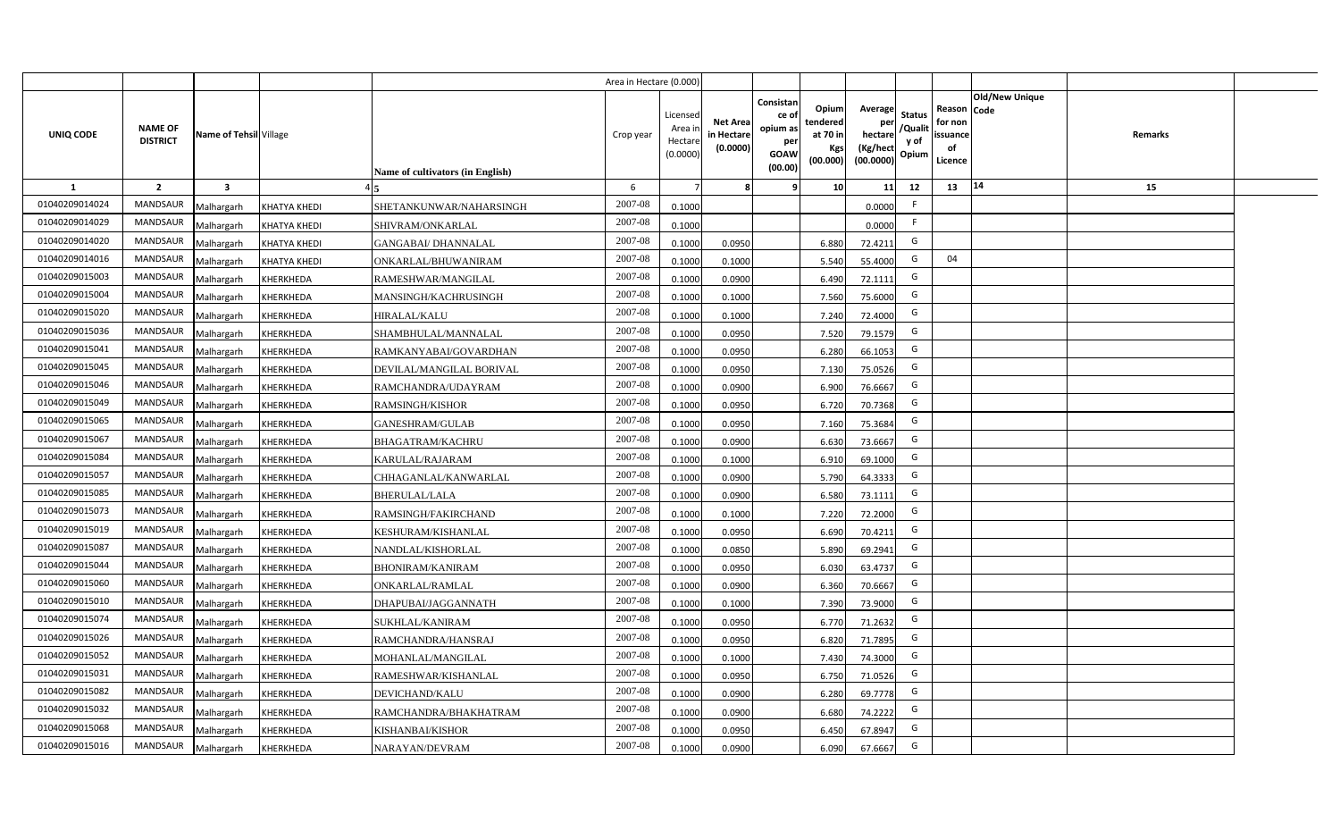|                |                                   |                         |                     |                                  | Area in Hectare (0.000) |                                           |                                           |                                                                                                                     |                                                    |                                           |                                                     |                       |         |  |
|----------------|-----------------------------------|-------------------------|---------------------|----------------------------------|-------------------------|-------------------------------------------|-------------------------------------------|---------------------------------------------------------------------------------------------------------------------|----------------------------------------------------|-------------------------------------------|-----------------------------------------------------|-----------------------|---------|--|
| UNIQ CODE      | <b>NAME OF</b><br><b>DISTRICT</b> | Name of Tehsil Village  |                     | Name of cultivators (in English) | Crop year               | Licensed<br>Area i<br>Hectare<br>(0.0000) | <b>Net Area</b><br>in Hectare<br>(0.0000) | Consistan<br>Opium<br>ce of<br>tendered<br>opium as<br>at 70 in<br>per<br>Kgs<br><b>GOAW</b><br>(00.000)<br>(00.00) | Average<br>per<br>hectare<br>(Kg/hect<br>(00.0000) | <b>Status</b><br>/Qualit<br>y of<br>Opium | Reason Code<br>for non<br>issuance<br>of<br>Licence | <b>Old/New Unique</b> | Remarks |  |
| 1              | $\overline{2}$                    | $\overline{\mathbf{3}}$ |                     |                                  | 6                       |                                           |                                           | 10 <sup>1</sup><br>-9                                                                                               | 11                                                 | 12                                        | 13                                                  | 14                    | 15      |  |
| 01040209014024 | <b>MANDSAUR</b>                   | Malhargarh              | <b>KHATYA KHEDI</b> | SHETANKUNWAR/NAHARSINGH          | 2007-08                 | 0.1000                                    |                                           |                                                                                                                     | 0.0000                                             | F                                         |                                                     |                       |         |  |
| 01040209014029 | MANDSAUR                          | Malhargarh              | <b>KHATYA KHEDI</b> | SHIVRAM/ONKARLAL                 | 2007-08                 | 0.1000                                    |                                           |                                                                                                                     | 0.0000                                             | F.                                        |                                                     |                       |         |  |
| 01040209014020 | <b>MANDSAUR</b>                   | Malhargarh              | <b>KHATYA KHEDI</b> | <b>GANGABAI/ DHANNALAL</b>       | 2007-08                 | 0.1000                                    | 0.0950                                    | 6.880                                                                                                               | 72.4211                                            | G                                         |                                                     |                       |         |  |
| 01040209014016 | <b>MANDSAUR</b>                   | Malhargarh              | <b>KHATYA KHEDI</b> | ONKARLAL/BHUWANIRAM              | 2007-08                 | 0.1000                                    | 0.1000                                    | 5.540                                                                                                               | 55.4000                                            | G                                         | 04                                                  |                       |         |  |
| 01040209015003 | MANDSAUR                          | Malhargarh              | KHERKHEDA           | RAMESHWAR/MANGILAL               | 2007-08                 | 0.1000                                    | 0.0900                                    | 6.490                                                                                                               | 72.1111                                            | G                                         |                                                     |                       |         |  |
| 01040209015004 | <b>MANDSAUR</b>                   | Malhargarh              | KHERKHEDA           | MANSINGH/KACHRUSINGH             | 2007-08                 | 0.1000                                    | 0.1000                                    | 7.560                                                                                                               | 75.6000                                            | G                                         |                                                     |                       |         |  |
| 01040209015020 | <b>MANDSAUR</b>                   | Malhargarh              | <b>KHERKHEDA</b>    | <b>HIRALAL/KALU</b>              | 2007-08                 | 0.1000                                    | 0.1000                                    | 7.240                                                                                                               | 72.4000                                            | G                                         |                                                     |                       |         |  |
| 01040209015036 | MANDSAUR                          | Malhargarh              | KHERKHEDA           | SHAMBHULAL/MANNALAL              | 2007-08                 | 0.1000                                    | 0.0950                                    | 7.520                                                                                                               | 79.1579                                            | G                                         |                                                     |                       |         |  |
| 01040209015041 | MANDSAUR                          | Malhargarh              | KHERKHEDA           | RAMKANYABAI/GOVARDHAN            | 2007-08                 | 0.1000                                    | 0.0950                                    | 6.280                                                                                                               | 66.1053                                            | G                                         |                                                     |                       |         |  |
| 01040209015045 | MANDSAUR                          | Malhargarh              | KHERKHEDA           | DEVILAL/MANGILAL BORIVAL         | 2007-08                 | 0.1000                                    | 0.0950                                    | 7.130                                                                                                               | 75.0526                                            | G                                         |                                                     |                       |         |  |
| 01040209015046 | MANDSAUR                          | Malhargarh              | KHERKHEDA           | RAMCHANDRA/UDAYRAM               | 2007-08                 | 0.1000                                    | 0.0900                                    | 6.900                                                                                                               | 76.6667                                            | G                                         |                                                     |                       |         |  |
| 01040209015049 | MANDSAUR                          | Malhargarh              | <b>KHERKHEDA</b>    | <b>RAMSINGH/KISHOR</b>           | 2007-08                 | 0.1000                                    | 0.0950                                    | 6.720                                                                                                               | 70.7368                                            | G                                         |                                                     |                       |         |  |
| 01040209015065 | <b>MANDSAUR</b>                   | Malhargarh              | KHERKHEDA           | <b>GANESHRAM/GULAB</b>           | 2007-08                 | 0.1000                                    | 0.0950                                    | 7.160                                                                                                               | 75.3684                                            | G                                         |                                                     |                       |         |  |
| 01040209015067 | <b>MANDSAUR</b>                   | Malhargarh              | <b>KHERKHEDA</b>    | <b>BHAGATRAM/KACHRU</b>          | 2007-08                 | 0.1000                                    | 0.0900                                    | 6.630                                                                                                               | 73.6667                                            | G                                         |                                                     |                       |         |  |
| 01040209015084 | <b>MANDSAUR</b>                   | Malhargarh              | KHERKHEDA           | KARULAL/RAJARAM                  | 2007-08                 | 0.1000                                    | 0.1000                                    | 6.910                                                                                                               | 69.1000                                            | G                                         |                                                     |                       |         |  |
| 01040209015057 | MANDSAUR                          | Malhargarh              | KHERKHEDA           | CHHAGANLAL/KANWARLAL             | 2007-08                 | 0.1000                                    | 0.0900                                    | 5.790                                                                                                               | 64.3333                                            | G                                         |                                                     |                       |         |  |
| 01040209015085 | MANDSAUR                          | Malhargarh              | KHERKHEDA           | <b>BHERULAL/LALA</b>             | 2007-08                 | 0.1000                                    | 0.0900                                    | 6.580                                                                                                               | 73.1111                                            | G                                         |                                                     |                       |         |  |
| 01040209015073 | <b>MANDSAUR</b>                   | Malhargarh              | KHERKHEDA           | RAMSINGH/FAKIRCHAND              | 2007-08                 | 0.1000                                    | 0.1000                                    | 7.220                                                                                                               | 72.2000                                            | G                                         |                                                     |                       |         |  |
| 01040209015019 | MANDSAUR                          | Malhargarh              | <b>KHERKHEDA</b>    | KESHURAM/KISHANLAL               | 2007-08                 | 0.1000                                    | 0.0950                                    | 6.690                                                                                                               | 70.4211                                            | G                                         |                                                     |                       |         |  |
| 01040209015087 | <b>MANDSAUR</b>                   | Malhargarh              | KHERKHEDA           | NANDLAL/KISHORLAL                | 2007-08                 | 0.1000                                    | 0.0850                                    | 5.890                                                                                                               | 69.2941                                            | G                                         |                                                     |                       |         |  |
| 01040209015044 | <b>MANDSAUR</b>                   | Malhargarh              | KHERKHEDA           | <b>BHONIRAM/KANIRAM</b>          | 2007-08                 | 0.1000                                    | 0.0950                                    | 6.030                                                                                                               | 63.4737                                            | G                                         |                                                     |                       |         |  |
| 01040209015060 | <b>MANDSAUR</b>                   | Malhargarh              | KHERKHEDA           | <b>ONKARLAL/RAMLAL</b>           | 2007-08                 | 0.1000                                    | 0.0900                                    | 6.360                                                                                                               | 70.6667                                            | G                                         |                                                     |                       |         |  |
| 01040209015010 | MANDSAUR                          | Malhargarh              | KHERKHEDA           | DHAPUBAI/JAGGANNATH              | 2007-08                 | 0.1000                                    | 0.1000                                    | 7.390                                                                                                               | 73.9000                                            | G                                         |                                                     |                       |         |  |
| 01040209015074 | <b>MANDSAUR</b>                   | Malhargarh              | KHERKHEDA           | <b>SUKHLAL/KANIRAM</b>           | 2007-08                 | 0.1000                                    | 0.0950                                    | 6.770                                                                                                               | 71.2632                                            | G                                         |                                                     |                       |         |  |
| 01040209015026 | <b>MANDSAUR</b>                   | Malhargarh              | KHERKHEDA           | RAMCHANDRA/HANSRAJ               | 2007-08                 | 0.1000                                    | 0.0950                                    | 6.820                                                                                                               | 71.7895                                            | G                                         |                                                     |                       |         |  |
| 01040209015052 | MANDSAUR                          | Malhargarh              | KHERKHEDA           | MOHANLAL/MANGILAL                | 2007-08                 | 0.1000                                    | 0.1000                                    | 7.430                                                                                                               | 74.3000                                            | G                                         |                                                     |                       |         |  |
| 01040209015031 | MANDSAUR                          | Malhargarh              | KHERKHEDA           | RAMESHWAR/KISHANLAL              | 2007-08                 | 0.1000                                    | 0.0950                                    | 6.750                                                                                                               | 71.0526                                            | G                                         |                                                     |                       |         |  |
| 01040209015082 | MANDSAUR                          | Malhargarh              | KHERKHEDA           | DEVICHAND/KALU                   | 2007-08                 | 0.1000                                    | 0.0900                                    | 6.280                                                                                                               | 69.7778                                            | G                                         |                                                     |                       |         |  |
| 01040209015032 | MANDSAUR                          | Malhargarh              | KHERKHEDA           | RAMCHANDRA/BHAKHATRAM            | 2007-08                 | 0.1000                                    | 0.0900                                    | 6.680                                                                                                               | 74.2222                                            | G                                         |                                                     |                       |         |  |
| 01040209015068 | MANDSAUR                          | Malhargarh              | KHERKHEDA           | KISHANBAI/KISHOR                 | 2007-08                 | 0.1000                                    | 0.0950                                    | 6.450                                                                                                               | 67.8947                                            | G                                         |                                                     |                       |         |  |
| 01040209015016 | MANDSAUR                          | Malhargarh              | <b>KHERKHEDA</b>    | NARAYAN/DEVRAM                   | 2007-08                 | 0.1000                                    | 0.0900                                    | 6.090                                                                                                               | 67.6667                                            | G                                         |                                                     |                       |         |  |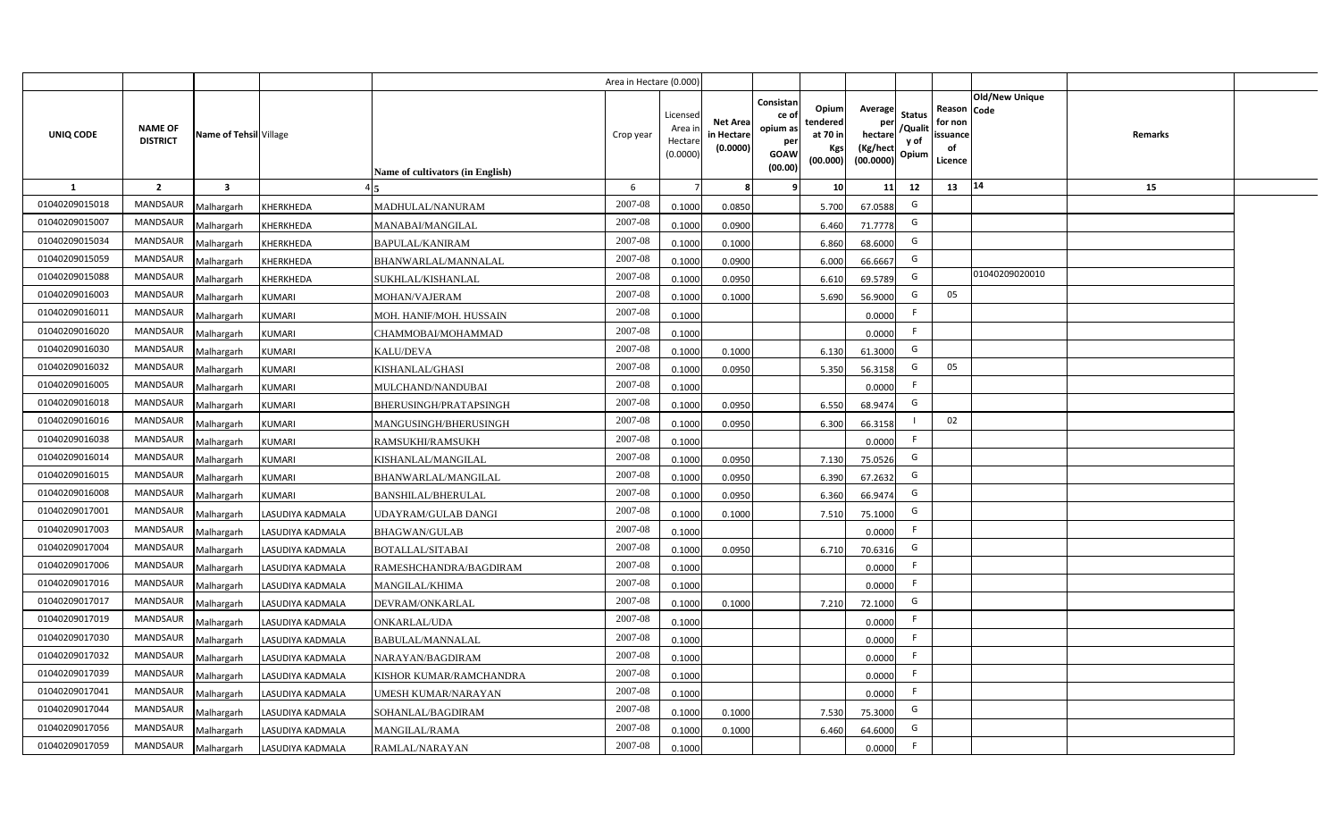|                |                                   |                         |                  |                                  | Area in Hectare (0.000) |                                           |                                           |                                                                                                                     |                                                    |                                           |                                                     |                       |         |  |
|----------------|-----------------------------------|-------------------------|------------------|----------------------------------|-------------------------|-------------------------------------------|-------------------------------------------|---------------------------------------------------------------------------------------------------------------------|----------------------------------------------------|-------------------------------------------|-----------------------------------------------------|-----------------------|---------|--|
| UNIQ CODE      | <b>NAME OF</b><br><b>DISTRICT</b> | Name of Tehsil Village  |                  | Name of cultivators (in English) | Crop year               | Licensed<br>Area i<br>Hectare<br>(0.0000) | <b>Net Area</b><br>in Hectare<br>(0.0000) | Consistan<br>Opium<br>ce of<br>tendered<br>opium as<br>at 70 in<br>per<br>Kgs<br><b>GOAW</b><br>(00.000)<br>(00.00) | Average<br>per<br>hectare<br>(Kg/hect<br>(00.0000) | <b>Status</b><br>/Qualit<br>y of<br>Opium | Reason Code<br>for non<br>issuance<br>of<br>Licence | <b>Old/New Unique</b> | Remarks |  |
| 1              | $\overline{2}$                    | $\overline{\mathbf{3}}$ |                  |                                  | 6                       |                                           | 8                                         | -9<br>10 <sup>1</sup>                                                                                               | 11                                                 | 12                                        | 13                                                  | 14                    | 15      |  |
| 01040209015018 | MANDSAUR                          | Malhargarh              | <b>KHERKHEDA</b> | MADHULAL/NANURAM                 | 2007-08                 | 0.1000                                    | 0.0850                                    | 5.700                                                                                                               | 67.0588                                            | G                                         |                                                     |                       |         |  |
| 01040209015007 | MANDSAUR                          | Malhargarh              | KHERKHEDA        | MANABAI/MANGILAL                 | 2007-08                 | 0.1000                                    | 0.0900                                    | 6.460                                                                                                               | 71.7778                                            | G                                         |                                                     |                       |         |  |
| 01040209015034 | <b>MANDSAUR</b>                   | Malhargarh              | KHERKHEDA        | <b>BAPULAL/KANIRAM</b>           | 2007-08                 | 0.1000                                    | 0.1000                                    | 6.860                                                                                                               | 68.6000                                            | G                                         |                                                     |                       |         |  |
| 01040209015059 | <b>MANDSAUR</b>                   | Malhargarh              | KHERKHEDA        | BHANWARLAL/MANNALAL              | 2007-08                 | 0.1000                                    | 0.0900                                    | 6.000                                                                                                               | 66.6667                                            | G                                         |                                                     |                       |         |  |
| 01040209015088 | MANDSAUR                          | Malhargarh              | KHERKHEDA        | SUKHLAL/KISHANLAL                | 2007-08                 | 0.1000                                    | 0.0950                                    | 6.610                                                                                                               | 69.5789                                            | G                                         |                                                     | 01040209020010        |         |  |
| 01040209016003 | MANDSAUR                          | Malhargarh              | <b>KUMARI</b>    | MOHAN/VAJERAM                    | 2007-08                 | 0.1000                                    | 0.1000                                    | 5.690                                                                                                               | 56.9000                                            | G                                         | 05                                                  |                       |         |  |
| 01040209016011 | MANDSAUR                          | Malhargarh              | <b>KUMARI</b>    | MOH. HANIF/MOH. HUSSAIN          | 2007-08                 | 0.1000                                    |                                           |                                                                                                                     | 0.0000                                             | F.                                        |                                                     |                       |         |  |
| 01040209016020 | MANDSAUR                          | Malhargarh              | <b>KUMARI</b>    | CHAMMOBAI/MOHAMMAD               | 2007-08                 | 0.1000                                    |                                           |                                                                                                                     | 0.0000                                             | F.                                        |                                                     |                       |         |  |
| 01040209016030 | <b>MANDSAUR</b>                   | Malhargarh              | <b>KUMARI</b>    | <b>KALU/DEVA</b>                 | 2007-08                 | 0.1000                                    | 0.1000                                    | 6.130                                                                                                               | 61.3000                                            | G                                         |                                                     |                       |         |  |
| 01040209016032 | <b>MANDSAUR</b>                   | Malhargarh              | <b>KUMARI</b>    | KISHANLAL/GHASI                  | 2007-08                 | 0.1000                                    | 0.0950                                    | 5.350                                                                                                               | 56.3158                                            | G                                         | 05                                                  |                       |         |  |
| 01040209016005 | MANDSAUR                          | Malhargarh              | <b>KUMARI</b>    | MULCHAND/NANDUBAI                | 2007-08                 | 0.1000                                    |                                           |                                                                                                                     | 0.0000                                             | -F                                        |                                                     |                       |         |  |
| 01040209016018 | <b>MANDSAUR</b>                   | Malhargarh              | <b>KUMARI</b>    | BHERUSINGH/PRATAPSINGH           | 2007-08                 | 0.1000                                    | 0.0950                                    | 6.550                                                                                                               | 68.9474                                            | G                                         |                                                     |                       |         |  |
| 01040209016016 | <b>MANDSAUR</b>                   | Malhargarh              | <b>KUMARI</b>    | MANGUSINGH/BHERUSINGH            | 2007-08                 | 0.1000                                    | 0.0950                                    | 6.300                                                                                                               | 66.3158                                            |                                           | 02                                                  |                       |         |  |
| 01040209016038 | <b>MANDSAUR</b>                   | Malhargarh              | <b>KUMARI</b>    | RAMSUKHI/RAMSUKH                 | 2007-08                 | 0.1000                                    |                                           |                                                                                                                     | 0.0000                                             | F                                         |                                                     |                       |         |  |
| 01040209016014 | <b>MANDSAUR</b>                   | Malhargarh              | <b>KUMARI</b>    | KISHANLAL/MANGILAL               | 2007-08                 | 0.1000                                    | 0.0950                                    | 7.130                                                                                                               | 75.0526                                            | G                                         |                                                     |                       |         |  |
| 01040209016015 | MANDSAUR                          | Malhargarh              | <b>KUMARI</b>    | BHANWARLAL/MANGILAL              | 2007-08                 | 0.1000                                    | 0.0950                                    | 6.390                                                                                                               | 67.2632                                            | G                                         |                                                     |                       |         |  |
| 01040209016008 | <b>MANDSAUR</b>                   | Malhargarh              | <b>KUMARI</b>    | <b>BANSHILAL/BHERULAL</b>        | 2007-08                 | 0.1000                                    | 0.0950                                    | 6.360                                                                                                               | 66.9474                                            | G                                         |                                                     |                       |         |  |
| 01040209017001 | MANDSAUR                          | Malhargarh              | LASUDIYA KADMALA | UDAYRAM/GULAB DANGI              | 2007-08                 | 0.1000                                    | 0.1000                                    | 7.510                                                                                                               | 75.1000                                            | G                                         |                                                     |                       |         |  |
| 01040209017003 | <b>MANDSAUR</b>                   | Malhargarh              | LASUDIYA KADMALA | <b>BHAGWAN/GULAB</b>             | 2007-08                 | 0.1000                                    |                                           |                                                                                                                     | 0.0000                                             | F                                         |                                                     |                       |         |  |
| 01040209017004 | <b>MANDSAUR</b>                   | Malhargarh              | LASUDIYA KADMALA | BOTALLAL/SITABAI                 | 2007-08                 | 0.1000                                    | 0.0950                                    | 6.710                                                                                                               | 70.6316                                            | G                                         |                                                     |                       |         |  |
| 01040209017006 | <b>MANDSAUR</b>                   | Malhargarh              | LASUDIYA KADMALA | RAMESHCHANDRA/BAGDIRAM           | 2007-08                 | 0.1000                                    |                                           |                                                                                                                     | 0.0000                                             | F                                         |                                                     |                       |         |  |
| 01040209017016 | <b>MANDSAUR</b>                   | Malhargarh              | LASUDIYA KADMALA | <b>MANGILAL/KHIMA</b>            | $2007 - 08$             | 0.1000                                    |                                           |                                                                                                                     | 0.0000                                             | F                                         |                                                     |                       |         |  |
| 01040209017017 | <b>MANDSAUR</b>                   | Malhargarh              | LASUDIYA KADMALA | DEVRAM/ONKARLAL                  | 2007-08                 | 0.1000                                    | 0.1000                                    | 7.210                                                                                                               | 72.1000                                            | G                                         |                                                     |                       |         |  |
| 01040209017019 | <b>MANDSAUR</b>                   | Malhargarh              | LASUDIYA KADMALA | ONKARLAL/UDA                     | 2007-08                 | 0.1000                                    |                                           |                                                                                                                     | 0.0000                                             | F                                         |                                                     |                       |         |  |
| 01040209017030 | MANDSAUR                          | Malhargarh              | LASUDIYA KADMALA | BABULAL/MANNALAL                 | 2007-08                 | 0.1000                                    |                                           |                                                                                                                     | 0.0000                                             | F                                         |                                                     |                       |         |  |
| 01040209017032 | MANDSAUR                          | Malhargarh              | LASUDIYA KADMALA | NARAYAN/BAGDIRAM                 | 2007-08                 | 0.1000                                    |                                           |                                                                                                                     | 0.0000                                             | F.                                        |                                                     |                       |         |  |
| 01040209017039 | MANDSAUR                          | Malhargarh              | LASUDIYA KADMALA | KISHOR KUMAR/RAMCHANDRA          | 2007-08                 | 0.1000                                    |                                           |                                                                                                                     | 0.0000                                             | F                                         |                                                     |                       |         |  |
| 01040209017041 | MANDSAUR                          | Malhargarh              | LASUDIYA KADMALA | UMESH KUMAR/NARAYAN              | 2007-08                 | 0.1000                                    |                                           |                                                                                                                     | 0.0000                                             | F                                         |                                                     |                       |         |  |
| 01040209017044 | MANDSAUR                          | Malhargarh              | LASUDIYA KADMALA | SOHANLAL/BAGDIRAM                | 2007-08                 | 0.1000                                    | 0.1000                                    | 7.530                                                                                                               | 75.3000                                            | G                                         |                                                     |                       |         |  |
| 01040209017056 | MANDSAUR                          | Malhargarh              | LASUDIYA KADMALA | <b>MANGILAL/RAMA</b>             | 2007-08                 | 0.1000                                    | 0.1000                                    | 6.460                                                                                                               | 64.6000                                            | G                                         |                                                     |                       |         |  |
| 01040209017059 | MANDSAUR                          | Malhargarh              | LASUDIYA KADMALA | RAMLAL/NARAYAN                   | 2007-08                 | 0.1000                                    |                                           |                                                                                                                     | 0.0000                                             | F                                         |                                                     |                       |         |  |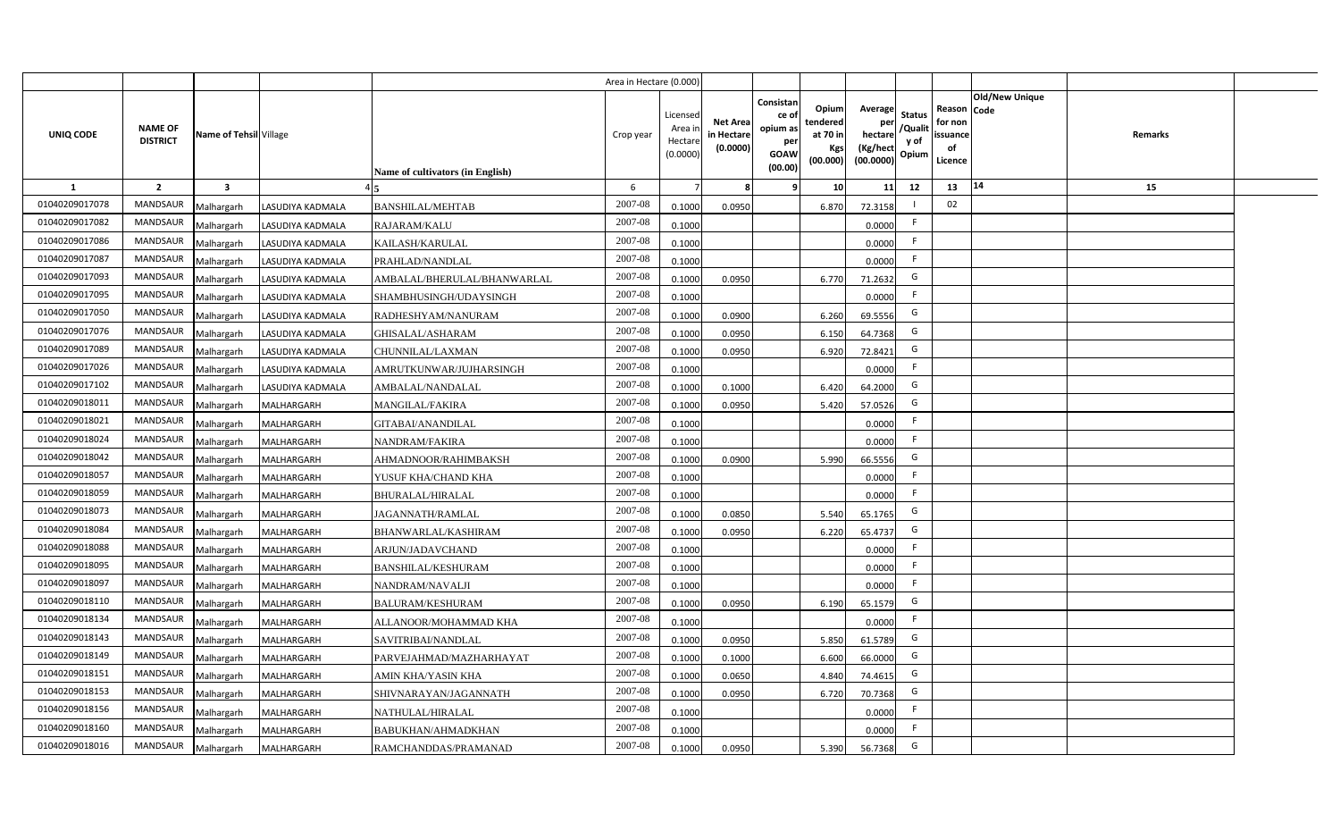|                |                                   |                         |                   |                                  | Area in Hectare (0.000 |                                          |                                           |                                                                 |                                                  |                                                    |                                           |                                                     |                |                |  |
|----------------|-----------------------------------|-------------------------|-------------------|----------------------------------|------------------------|------------------------------------------|-------------------------------------------|-----------------------------------------------------------------|--------------------------------------------------|----------------------------------------------------|-------------------------------------------|-----------------------------------------------------|----------------|----------------|--|
| UNIQ CODE      | <b>NAME OF</b><br><b>DISTRICT</b> | Name of Tehsil Village  |                   | Name of cultivators (in English) | Crop year              | Licensed<br>Area i<br>Hectar<br>(0.0000) | <b>Net Area</b><br>in Hectare<br>(0.0000) | Consistan<br>ce of<br>opium as<br>per<br><b>GOAW</b><br>(00.00) | Opium<br>tendered<br>at 70 in<br>Kgs<br>(00.000) | Average<br>per<br>hectare<br>(Kg/hect<br>(00.0000) | <b>Status</b><br>/Qualit<br>y of<br>Opium | Reason Code<br>for non<br>issuance<br>of<br>Licence | Old/New Unique | <b>Remarks</b> |  |
| 1              | $\overline{2}$                    | $\overline{\mathbf{3}}$ |                   |                                  | -6                     |                                          |                                           | -9                                                              | 10 <sup>1</sup>                                  | 11                                                 | 12                                        | 13                                                  | 14             | 15             |  |
| 01040209017078 | <b>MANDSAUR</b>                   | Malhargarh              | LASUDIYA KADMALA  | <b>BANSHILAL/MEHTAB</b>          | 2007-08                | 0.1000                                   | 0.0950                                    |                                                                 | 6.870                                            | 72.3158                                            |                                           | 02                                                  |                |                |  |
| 01040209017082 | MANDSAUR                          | Malhargarh              | LASUDIYA KADMALA  | RAJARAM/KALU                     | 2007-08                | 0.1000                                   |                                           |                                                                 |                                                  | 0.0000                                             | F.                                        |                                                     |                |                |  |
| 01040209017086 | <b>MANDSAUR</b>                   | Malhargarh              | LASUDIYA KADMALA  | KAILASH/KARULAL                  | 2007-08                | 0.1000                                   |                                           |                                                                 |                                                  | 0.0000                                             | - F                                       |                                                     |                |                |  |
| 01040209017087 | <b>MANDSAUR</b>                   | Malhargarh              | LASUDIYA KADMALA  | PRAHLAD/NANDLAL                  | 2007-08                | 0.1000                                   |                                           |                                                                 |                                                  | 0.0000                                             | -F                                        |                                                     |                |                |  |
| 01040209017093 | MANDSAUR                          | Malhargarh              | LASUDIYA KADMALA  | AMBALAL/BHERULAL/BHANWARLAL      | 2007-08                | 0.1000                                   | 0.0950                                    |                                                                 | 6.770                                            | 71.2632                                            | G                                         |                                                     |                |                |  |
| 01040209017095 | <b>MANDSAUR</b>                   | Malhargarh              | LASUDIYA KADMALA  | SHAMBHUSINGH/UDAYSINGH           | 2007-08                | 0.1000                                   |                                           |                                                                 |                                                  | 0.0000                                             | F.                                        |                                                     |                |                |  |
| 01040209017050 | <b>MANDSAUR</b>                   | Malhargarh              | LASUDIYA KADMALA  | RADHESHYAM/NANURAM               | 2007-08                | 0.1000                                   | 0.0900                                    |                                                                 | 6.260                                            | 69.5556                                            | G                                         |                                                     |                |                |  |
| 01040209017076 | MANDSAUR                          | Malhargarh              | LASUDIYA KADMALA  | GHISALAL/ASHARAM                 | 2007-08                | 0.1000                                   | 0.0950                                    |                                                                 | 6.150                                            | 64.7368                                            | G                                         |                                                     |                |                |  |
| 01040209017089 | MANDSAUR                          | Malhargarh              | LASUDIYA KADMALA  | CHUNNILAL/LAXMAN                 | 2007-08                | 0.100                                    | 0.0950                                    |                                                                 | 6.920                                            | 72.8421                                            | G                                         |                                                     |                |                |  |
| 01040209017026 | MANDSAUR                          | Malhargarh              | LASUDIYA KADMALA  | AMRUTKUNWAR/JUJHARSINGH          | 2007-08                | 0.1000                                   |                                           |                                                                 |                                                  | 0.0000                                             | -F                                        |                                                     |                |                |  |
| 01040209017102 | MANDSAUR                          | Malhargarh              | LASUDIYA KADMALA  | AMBALAL/NANDALAL                 | 2007-08                | 0.1000                                   | 0.1000                                    |                                                                 | 6.420                                            | 64.2000                                            | G                                         |                                                     |                |                |  |
| 01040209018011 | <b>MANDSAUR</b>                   | Malhargarh              | <b>MALHARGARH</b> | <b>MANGILAL/FAKIRA</b>           | 2007-08                | 0.1000                                   | 0.0950                                    |                                                                 | 5.420                                            | 57.0526                                            | G                                         |                                                     |                |                |  |
| 01040209018021 | <b>MANDSAUR</b>                   | Malhargarh              | MALHARGARH        | GITABAI/ANANDILAL                | 2007-08                | 0.1000                                   |                                           |                                                                 |                                                  | 0.0000                                             | -F                                        |                                                     |                |                |  |
| 01040209018024 | <b>MANDSAUR</b>                   | Malhargarh              | <b>MALHARGARH</b> | <b>NANDRAM/FAKIRA</b>            | 2007-08                | 0.1000                                   |                                           |                                                                 |                                                  | 0.0000                                             | F.                                        |                                                     |                |                |  |
| 01040209018042 | <b>MANDSAUR</b>                   | Malhargarh              | MALHARGARH        | AHMADNOOR/RAHIMBAKSH             | 2007-08                | 0.1000                                   | 0.0900                                    |                                                                 | 5.990                                            | 66.5556                                            | G                                         |                                                     |                |                |  |
| 01040209018057 | <b>MANDSAUR</b>                   | Malhargarh              | MALHARGARH        | YUSUF KHA/CHAND KHA              | 2007-08                | 0.1000                                   |                                           |                                                                 |                                                  | 0.0000                                             | F.                                        |                                                     |                |                |  |
| 01040209018059 | <b>MANDSAUR</b>                   | Malhargarh              | <b>MALHARGARH</b> | <b>BHURALAL/HIRALAL</b>          | 2007-08                | 0.1000                                   |                                           |                                                                 |                                                  | 0.0000                                             | -F                                        |                                                     |                |                |  |
| 01040209018073 | <b>MANDSAUR</b>                   | Malhargarh              | MALHARGARH        | JAGANNATH/RAMLAL                 | 2007-08                | 0.1000                                   | 0.0850                                    |                                                                 | 5.540                                            | 65.1765                                            | G                                         |                                                     |                |                |  |
| 01040209018084 | <b>MANDSAUR</b>                   | Malhargarh              | MALHARGARH        | BHANWARLAL/KASHIRAM              | 2007-08                | 0.100                                    | 0.0950                                    |                                                                 | 6.220                                            | 65.4737                                            | G                                         |                                                     |                |                |  |
| 01040209018088 | <b>MANDSAUR</b>                   | Malhargarh              | MALHARGARH        | ARJUN/JADAVCHAND                 | 2007-08                | 0.1000                                   |                                           |                                                                 |                                                  | 0.0000                                             | F.                                        |                                                     |                |                |  |
| 01040209018095 | <b>MANDSAUR</b>                   | Malhargarh              | MALHARGARH        | BANSHILAL/KESHURAM               | 2007-08                | 0.1000                                   |                                           |                                                                 |                                                  | 0.0000                                             | -F                                        |                                                     |                |                |  |
| 01040209018097 | <b>MANDSAUR</b>                   | Malhargarh              | MALHARGARH        | NANDRAM/NAVALJI                  | 2007-08                | 0.100                                    |                                           |                                                                 |                                                  | 0.0000                                             | -F                                        |                                                     |                |                |  |
| 01040209018110 | MANDSAUR                          | Malhargarh              | MALHARGARH        | <b>BALURAM/KESHURAM</b>          | 2007-08                | 0.100                                    | 0.0950                                    |                                                                 | 6.190                                            | 65.1579                                            | G                                         |                                                     |                |                |  |
| 01040209018134 | <b>MANDSAUR</b>                   | Malhargarh              | MALHARGARH        | ALLANOOR/MOHAMMAD KHA            | 2007-08                | 0.1000                                   |                                           |                                                                 |                                                  | 0.0000                                             | -F                                        |                                                     |                |                |  |
| 01040209018143 | <b>MANDSAUR</b>                   | Malhargarh              | MALHARGARH        | SAVITRIBAI/NANDLAL               | 2007-08                | 0.1000                                   | 0.0950                                    |                                                                 | 5.850                                            | 61.5789                                            | G                                         |                                                     |                |                |  |
| 01040209018149 | MANDSAUR                          | Malhargarh              | MALHARGARH        | PARVEJAHMAD/MAZHARHAYAT          | 2007-08                | 0.1000                                   | 0.1000                                    |                                                                 | 6.600                                            | 66.0000                                            | G                                         |                                                     |                |                |  |
| 01040209018151 | MANDSAUR                          | Malhargarh              | MALHARGARH        | AMIN KHA/YASIN KHA               | 2007-08                | 0.1000                                   | 0.0650                                    |                                                                 | 4.840                                            | 74.4615                                            | G                                         |                                                     |                |                |  |
| 01040209018153 | MANDSAUR                          | Malhargarh              | MALHARGARH        | SHIVNARAYAN/JAGANNATH            | 2007-08                | 0.1000                                   | 0.095                                     |                                                                 | 6.720                                            | 70.7368                                            | G                                         |                                                     |                |                |  |
| 01040209018156 | MANDSAUR                          | Malhargarh              | <b>MALHARGARH</b> | NATHULAL/HIRALAL                 | 2007-08                | 0.1000                                   |                                           |                                                                 |                                                  | 0.0000                                             | -F                                        |                                                     |                |                |  |
| 01040209018160 | MANDSAUR                          | Malhargarh              | MALHARGARH        | BABUKHAN/AHMADKHAN               | 2007-08                | 0.1000                                   |                                           |                                                                 |                                                  | 0.0000                                             | -F                                        |                                                     |                |                |  |
| 01040209018016 | MANDSAUR                          | Malhargarh              | <b>MALHARGARH</b> | RAMCHANDDAS/PRAMANAD             | 2007-08                | 0.1000                                   | 0.0950                                    |                                                                 | 5.390                                            | 56.7368                                            | G                                         |                                                     |                |                |  |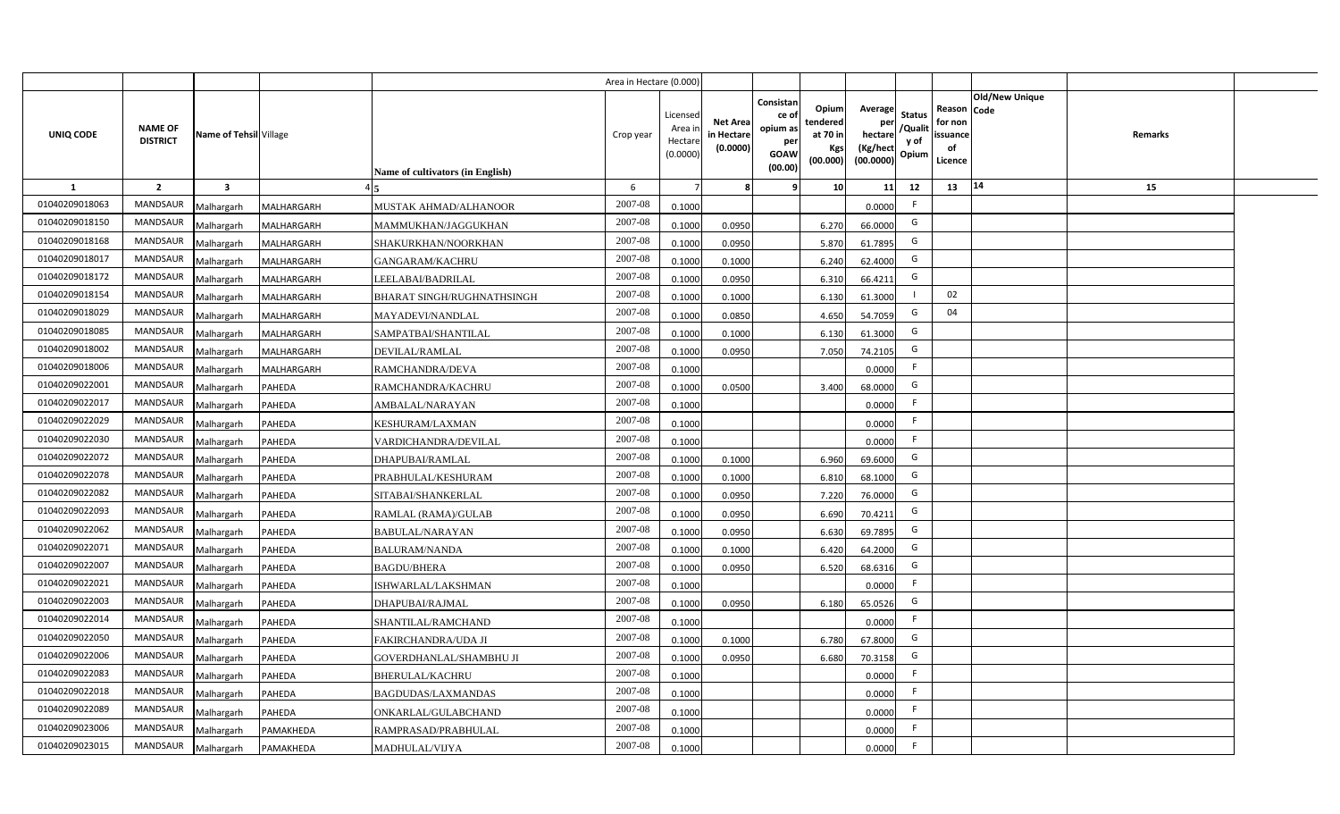|                |                                   |                         |               |                                   | Area in Hectare (0.000) |                                           |                                           |                                                                                                                     |                                                    |                                           |                                                     |                       |         |  |
|----------------|-----------------------------------|-------------------------|---------------|-----------------------------------|-------------------------|-------------------------------------------|-------------------------------------------|---------------------------------------------------------------------------------------------------------------------|----------------------------------------------------|-------------------------------------------|-----------------------------------------------------|-----------------------|---------|--|
| UNIQ CODE      | <b>NAME OF</b><br><b>DISTRICT</b> | Name of Tehsil Village  |               | Name of cultivators (in English)  | Crop year               | Licensed<br>Area i<br>Hectare<br>(0.0000) | <b>Net Area</b><br>in Hectare<br>(0.0000) | Consistan<br>Opium<br>ce of<br>tendered<br>opium as<br>at 70 in<br>per<br>Kgs<br><b>GOAW</b><br>(00.000)<br>(00.00) | Average<br>per<br>hectare<br>(Kg/hect<br>(00.0000) | <b>Status</b><br>/Qualit<br>y of<br>Opium | Reason Code<br>for non<br>issuance<br>of<br>Licence | <b>Old/New Unique</b> | Remarks |  |
| 1              | $\overline{2}$                    | $\overline{\mathbf{3}}$ |               |                                   | 6                       |                                           | 8                                         | 10 <sup>1</sup><br>9                                                                                                | 11                                                 | 12                                        | 13                                                  | 14                    | 15      |  |
| 01040209018063 | <b>MANDSAUR</b>                   | Malhargarh              | MALHARGARH    | MUSTAK AHMAD/ALHANOOR             | 2007-08                 | 0.1000                                    |                                           |                                                                                                                     | 0.0000                                             | F                                         |                                                     |                       |         |  |
| 01040209018150 | MANDSAUR                          | Malhargarh              | MALHARGARH    | MAMMUKHAN/JAGGUKHAN               | 2007-08                 | 0.1000                                    | 0.0950                                    | 6.270                                                                                                               | 66.0000                                            | G                                         |                                                     |                       |         |  |
| 01040209018168 | <b>MANDSAUR</b>                   | Malhargarh              | MALHARGARH    | SHAKURKHAN/NOORKHAN               | 2007-08                 | 0.1000                                    | 0.0950                                    | 5.870                                                                                                               | 61.7895                                            | G                                         |                                                     |                       |         |  |
| 01040209018017 | <b>MANDSAUR</b>                   | Malhargarh              | MALHARGARH    | <b>GANGARAM/KACHRU</b>            | 2007-08                 | 0.1000                                    | 0.1000                                    | 6.240                                                                                                               | 62.4000                                            | G                                         |                                                     |                       |         |  |
| 01040209018172 | MANDSAUR                          | Malhargarh              | MALHARGARH    | LEELABAI/BADRILAL                 | 2007-08                 | 0.1000                                    | 0.0950                                    | 6.310                                                                                                               | 66.4211                                            | G                                         |                                                     |                       |         |  |
| 01040209018154 | <b>MANDSAUR</b>                   | Malhargarh              | MALHARGARH    | <b>BHARAT SINGH/RUGHNATHSINGH</b> | 2007-08                 | 0.1000                                    | 0.1000                                    | 6.130                                                                                                               | 61.3000                                            |                                           | 02                                                  |                       |         |  |
| 01040209018029 | <b>MANDSAUR</b>                   | Malhargarh              | MALHARGARH    | MAYADEVI/NANDLAL                  | 2007-08                 | 0.1000                                    | 0.0850                                    | 4.650                                                                                                               | 54.7059                                            | G                                         | 04                                                  |                       |         |  |
| 01040209018085 | MANDSAUR                          | Malhargarh              | MALHARGARH    | SAMPATBAI/SHANTILAL               | 2007-08                 | 0.1000                                    | 0.1000                                    | 6.130                                                                                                               | 61.3000                                            | G                                         |                                                     |                       |         |  |
| 01040209018002 | MANDSAUR                          | Malhargarh              | MALHARGARH    | DEVILAL/RAMLAL                    | 2007-08                 | 0.1000                                    | 0.0950                                    | 7.050                                                                                                               | 74.2105                                            | G                                         |                                                     |                       |         |  |
| 01040209018006 | MANDSAUR                          | Malhargarh              | MALHARGARH    | RAMCHANDRA/DEVA                   | 2007-08                 | 0.1000                                    |                                           |                                                                                                                     | 0.0000                                             | F                                         |                                                     |                       |         |  |
| 01040209022001 | <b>MANDSAUR</b>                   | Malhargarh              | <b>PAHEDA</b> | RAMCHANDRA/KACHRU                 | 2007-08                 | 0.1000                                    | 0.0500                                    | 3.400                                                                                                               | 68.0000                                            | G                                         |                                                     |                       |         |  |
| 01040209022017 | MANDSAUR                          | Malhargarh              | <b>PAHEDA</b> | AMBALAL/NARAYAN                   | 2007-08                 | 0.1000                                    |                                           |                                                                                                                     | 0.0000                                             | -F                                        |                                                     |                       |         |  |
| 01040209022029 | <b>MANDSAUR</b>                   | Malhargarh              | <b>PAHEDA</b> | KESHURAM/LAXMAN                   | 2007-08                 | 0.1000                                    |                                           |                                                                                                                     | 0.0000                                             | F                                         |                                                     |                       |         |  |
| 01040209022030 | <b>MANDSAUR</b>                   | Malhargarh              | <b>PAHEDA</b> | VARDICHANDRA/DEVILAL              | 2007-08                 | 0.1000                                    |                                           |                                                                                                                     | 0.0000                                             | F                                         |                                                     |                       |         |  |
| 01040209022072 | <b>MANDSAUR</b>                   | Malhargarh              | <b>PAHEDA</b> | DHAPUBAI/RAMLAL                   | 2007-08                 | 0.1000                                    | 0.1000                                    | 6.960                                                                                                               | 69.6000                                            | G                                         |                                                     |                       |         |  |
| 01040209022078 | MANDSAUR                          | Malhargarh              | <b>PAHEDA</b> | PRABHULAL/KESHURAM                | 2007-08                 | 0.1000                                    | 0.1000                                    | 6.810                                                                                                               | 68.1000                                            | G                                         |                                                     |                       |         |  |
| 01040209022082 | MANDSAUR                          | Malhargarh              | <b>PAHEDA</b> | SITABAI/SHANKERLAL                | 2007-08                 | 0.1000                                    | 0.0950                                    | 7.220                                                                                                               | 76.0000                                            | G                                         |                                                     |                       |         |  |
| 01040209022093 | <b>MANDSAUR</b>                   | Malhargarh              | <b>PAHEDA</b> | RAMLAL (RAMA)/GULAB               | 2007-08                 | 0.1000                                    | 0.0950                                    | 6.690                                                                                                               | 70.4211                                            | G                                         |                                                     |                       |         |  |
| 01040209022062 | <b>MANDSAUR</b>                   | Malhargarh              | <b>PAHEDA</b> | <b>BABULAL/NARAYAN</b>            | 2007-08                 | 0.1000                                    | 0.0950                                    | 6.630                                                                                                               | 69.7895                                            | G                                         |                                                     |                       |         |  |
| 01040209022071 | <b>MANDSAUR</b>                   | Malhargarh              | <b>PAHEDA</b> | <b>BALURAM/NANDA</b>              | 2007-08                 | 0.1000                                    | 0.1000                                    | 6.420                                                                                                               | 64.2000                                            | G                                         |                                                     |                       |         |  |
| 01040209022007 | <b>MANDSAUR</b>                   | Malhargarh              | PAHEDA        | <b>BAGDU/BHERA</b>                | 2007-08                 | 0.1000                                    | 0.0950                                    | 6.520                                                                                                               | 68.6316                                            | G                                         |                                                     |                       |         |  |
| 01040209022021 | <b>MANDSAUR</b>                   | Malhargarh              | PAHEDA        | ISHWARLAL/LAKSHMAN                | 2007-08                 | 0.1000                                    |                                           |                                                                                                                     | 0.0000                                             | F                                         |                                                     |                       |         |  |
| 01040209022003 | MANDSAUR                          | Malhargarh              | PAHEDA        | DHAPUBAI/RAJMAL                   | 2007-08                 | 0.1000                                    | 0.0950                                    | 6.180                                                                                                               | 65.0526                                            | G                                         |                                                     |                       |         |  |
| 01040209022014 | <b>MANDSAUR</b>                   | Malhargarh              | PAHEDA        | SHANTILAL/RAMCHAND                | 2007-08                 | 0.1000                                    |                                           |                                                                                                                     | 0.0000                                             | F.                                        |                                                     |                       |         |  |
| 01040209022050 | <b>MANDSAUR</b>                   | Malhargarh              | PAHEDA        | <b>FAKIRCHANDRA/UDA JI</b>        | 2007-08                 | 0.1000                                    | 0.1000                                    | 6.780                                                                                                               | 67.8000                                            | G                                         |                                                     |                       |         |  |
| 01040209022006 | MANDSAUR                          | Malhargarh              | PAHEDA        | GOVERDHANLAL/SHAMBHU JI           | 2007-08                 | 0.1000                                    | 0.0950                                    | 6.680                                                                                                               | 70.3158                                            | G                                         |                                                     |                       |         |  |
| 01040209022083 | MANDSAUR                          | Malhargarh              | <b>PAHEDA</b> | <b>BHERULAL/KACHRU</b>            | 2007-08                 | 0.1000                                    |                                           |                                                                                                                     | 0.0000                                             | F                                         |                                                     |                       |         |  |
| 01040209022018 | MANDSAUR                          | Malhargarh              | PAHEDA        | BAGDUDAS/LAXMANDAS                | 2007-08                 | 0.1000                                    |                                           |                                                                                                                     | 0.0000                                             | F                                         |                                                     |                       |         |  |
| 01040209022089 | MANDSAUR                          | Malhargarh              | <b>PAHEDA</b> | ONKARLAL/GULABCHAND               | 2007-08                 | 0.1000                                    |                                           |                                                                                                                     | 0.0000                                             | F                                         |                                                     |                       |         |  |
| 01040209023006 | MANDSAUR                          | Malhargarh              | PAMAKHEDA     | RAMPRASAD/PRABHULAL               | 2007-08                 | 0.1000                                    |                                           |                                                                                                                     | 0.0000                                             | F.                                        |                                                     |                       |         |  |
| 01040209023015 | MANDSAUR                          | Malhargarh              | PAMAKHEDA     | MADHULAL/VIJYA                    | 2007-08                 | 0.1000                                    |                                           |                                                                                                                     | 0.0000                                             | F.                                        |                                                     |                       |         |  |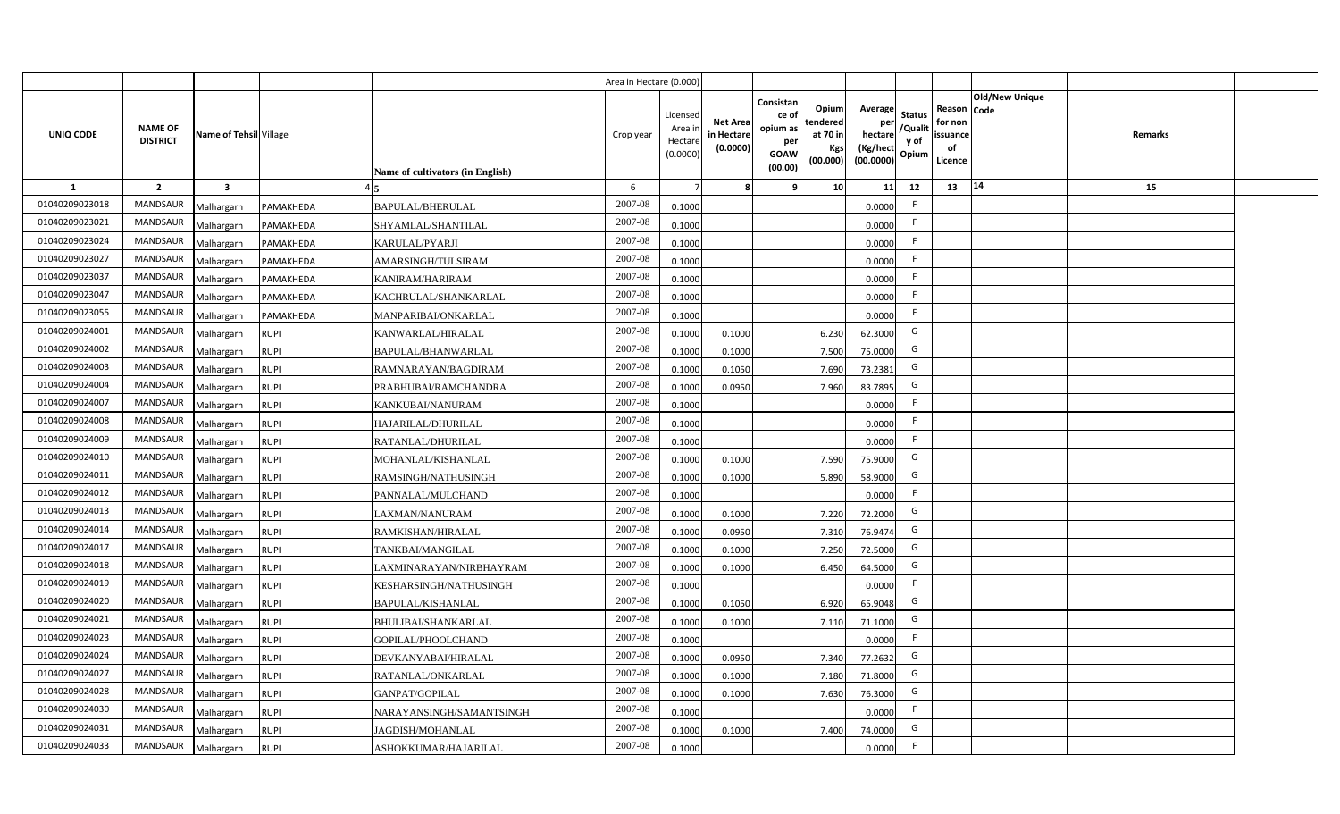|                |                                   |                         |             |                                  | Area in Hectare (0.000 |                                          |                                          |                                                                 |                                                  |                                                    |                                           |                                                     |                |         |  |
|----------------|-----------------------------------|-------------------------|-------------|----------------------------------|------------------------|------------------------------------------|------------------------------------------|-----------------------------------------------------------------|--------------------------------------------------|----------------------------------------------------|-------------------------------------------|-----------------------------------------------------|----------------|---------|--|
| UNIQ CODE      | <b>NAME OF</b><br><b>DISTRICT</b> | Name of Tehsil Village  |             | Name of cultivators (in English) | Crop year              | Licensed<br>Area i<br>Hectar<br>(0.0000) | <b>Net Area</b><br>in Hectar<br>(0.0000) | Consistan<br>ce of<br>opium as<br>per<br><b>GOAW</b><br>(00.00) | Opium<br>tendered<br>at 70 in<br>Kgs<br>(00.000) | Average<br>per<br>hectare<br>(Kg/hect<br>(00.0000) | <b>Status</b><br>/Qualit<br>y of<br>Opium | Reason Code<br>for non<br>issuance<br>of<br>Licence | Old/New Unique | Remarks |  |
| 1              | $\overline{2}$                    | $\overline{\mathbf{3}}$ |             |                                  | -6                     |                                          |                                          | ٠q                                                              | 10 <sup>1</sup>                                  | 11                                                 | 12                                        | 13                                                  | $\vert 14$     | 15      |  |
| 01040209023018 | <b>MANDSAUR</b>                   | Malhargarh              | PAMAKHEDA   | <b>BAPULAL/BHERULAL</b>          | 2007-08                | 0.1000                                   |                                          |                                                                 |                                                  | 0.0000                                             | -F                                        |                                                     |                |         |  |
| 01040209023021 | MANDSAUR                          | Malhargarh              | PAMAKHEDA   | SHYAMLAL/SHANTILAL               | 2007-08                | 0.1000                                   |                                          |                                                                 |                                                  | 0.0000                                             | F.                                        |                                                     |                |         |  |
| 01040209023024 | <b>MANDSAUR</b>                   | Malhargarh              | PAMAKHEDA   | KARULAL/PYARJI                   | 2007-08                | 0.1000                                   |                                          |                                                                 |                                                  | 0.0000                                             |                                           |                                                     |                |         |  |
| 01040209023027 | <b>MANDSAUR</b>                   | Malhargarh              | PAMAKHEDA   | AMARSINGH/TULSIRAM               | 2007-08                | 0.1000                                   |                                          |                                                                 |                                                  | 0.0000                                             | -F                                        |                                                     |                |         |  |
| 01040209023037 | MANDSAUR                          | Malhargarh              | PAMAKHEDA   | KANIRAM/HARIRAM                  | 2007-08                | 0.1000                                   |                                          |                                                                 |                                                  | 0.0000                                             |                                           |                                                     |                |         |  |
| 01040209023047 | <b>MANDSAUR</b>                   | Malhargarh              | PAMAKHEDA   | KACHRULAL/SHANKARLAL             | 2007-08                | 0.1000                                   |                                          |                                                                 |                                                  | 0.0000                                             | F.                                        |                                                     |                |         |  |
| 01040209023055 | <b>MANDSAUR</b>                   | Malhargarh              | PAMAKHEDA   | MANPARIBAI/ONKARLAL              | 2007-08                | 0.1000                                   |                                          |                                                                 |                                                  | 0.0000                                             | F.                                        |                                                     |                |         |  |
| 01040209024001 | MANDSAUR                          | Malhargarh              | <b>RUPI</b> | KANWARLAL/HIRALAL                | 2007-08                | 0.1000                                   | 0.1000                                   |                                                                 | 6.230                                            | 62.3000                                            | G                                         |                                                     |                |         |  |
| 01040209024002 | MANDSAUR                          | Malhargarh              | <b>RUPI</b> | BAPULAL/BHANWARLAL               | 2007-08                | 0.100                                    | 0.1000                                   |                                                                 | 7.500                                            | 75.0000                                            | G                                         |                                                     |                |         |  |
| 01040209024003 | MANDSAUR                          | Malhargarh              | <b>RUPI</b> | RAMNARAYAN/BAGDIRAM              | 2007-08                | 0.100                                    | 0.1050                                   |                                                                 | 7.690                                            | 73.2381                                            | G                                         |                                                     |                |         |  |
| 01040209024004 | MANDSAUR                          | Malhargarh              | <b>RUPI</b> | PRABHUBAI/RAMCHANDRA             | 2007-08                | 0.1000                                   | 0.0950                                   |                                                                 | 7.960                                            | 83.7895                                            | G                                         |                                                     |                |         |  |
| 01040209024007 | <b>MANDSAUR</b>                   | Malhargarh              | <b>RUPI</b> | KANKUBAI/NANURAM                 | 2007-08                | 0.1000                                   |                                          |                                                                 |                                                  | 0.0000                                             | -F                                        |                                                     |                |         |  |
| 01040209024008 | <b>MANDSAUR</b>                   | Malhargarh              | <b>RUPI</b> | HAJARILAL/DHURILAL               | 2007-08                | 0.1000                                   |                                          |                                                                 |                                                  | 0.0000                                             | -F                                        |                                                     |                |         |  |
| 01040209024009 | <b>MANDSAUR</b>                   | Malhargarh              | <b>RUPI</b> | RATANLAL/DHURILAL                | 2007-08                | 0.1000                                   |                                          |                                                                 |                                                  | 0.0000                                             | F.                                        |                                                     |                |         |  |
| 01040209024010 | <b>MANDSAUR</b>                   | Malhargarh              | <b>RUPI</b> | MOHANLAL/KISHANLAL               | 2007-08                | 0.1000                                   | 0.1000                                   |                                                                 | 7.590                                            | 75.9000                                            | G                                         |                                                     |                |         |  |
| 01040209024011 | <b>MANDSAUR</b>                   | Malhargarh              | <b>RUPI</b> | RAMSINGH/NATHUSINGH              | 2007-08                | 0.1000                                   | 0.1000                                   |                                                                 | 5.890                                            | 58.9000                                            | G                                         |                                                     |                |         |  |
| 01040209024012 | MANDSAUR                          | Malhargarh              | <b>RUPI</b> | PANNALAL/MULCHAND                | 2007-08                | 0.1000                                   |                                          |                                                                 |                                                  | 0.0000                                             | -F                                        |                                                     |                |         |  |
| 01040209024013 | <b>MANDSAUR</b>                   | Malhargarh              | <b>RUPI</b> | LAXMAN/NANURAM                   | 2007-08                | 0.1000                                   | 0.1000                                   |                                                                 | 7.220                                            | 72.2000                                            | G                                         |                                                     |                |         |  |
| 01040209024014 | <b>MANDSAUR</b>                   | Malhargarh              | <b>RUPI</b> | RAMKISHAN/HIRALAL                | 2007-08                | 0.100                                    | 0.0950                                   |                                                                 | 7.310                                            | 76.9474                                            | G                                         |                                                     |                |         |  |
| 01040209024017 | <b>MANDSAUR</b>                   | Malhargarh              | <b>RUPI</b> | TANKBAI/MANGILAL                 | 2007-08                | 0.1000                                   | 0.1000                                   |                                                                 | 7.250                                            | 72.5000                                            | G                                         |                                                     |                |         |  |
| 01040209024018 | <b>MANDSAUR</b>                   | Malhargarh              | <b>RUPI</b> | LAXMINARAYAN/NIRBHAYRAM          | 2007-08                | 0.100                                    | 0.1000                                   |                                                                 | 6.450                                            | 64.5000                                            | G                                         |                                                     |                |         |  |
| 01040209024019 | <b>MANDSAUR</b>                   | Malhargarh              | <b>RUPI</b> | KESHARSINGH/NATHUSINGH           | 2007-08                | 0.100                                    |                                          |                                                                 |                                                  | 0.0000                                             | -F                                        |                                                     |                |         |  |
| 01040209024020 | MANDSAUR                          | Malhargarh              | <b>RUPI</b> | BAPULAL/KISHANLAL                | 2007-08                | 0.100                                    | 0.1050                                   |                                                                 | 6.920                                            | 65.9048                                            | G                                         |                                                     |                |         |  |
| 01040209024021 | <b>MANDSAUR</b>                   | Malhargarh              | <b>RUPI</b> | <b>BHULIBAI/SHANKARLAL</b>       | 2007-08                | 0.100                                    | 0.1000                                   |                                                                 | 7.110                                            | 71.1000                                            | G                                         |                                                     |                |         |  |
| 01040209024023 | <b>MANDSAUR</b>                   | Malhargarh              | <b>RUPI</b> | GOPILAL/PHOOLCHAND               | $2007 - 08$            | 0.1000                                   |                                          |                                                                 |                                                  | 0.0000                                             | F.                                        |                                                     |                |         |  |
| 01040209024024 | MANDSAUR                          | Malhargarh              | <b>RUPI</b> | DEVKANYABAI/HIRALAL              | 2007-08                | 0.1000                                   | 0.0950                                   |                                                                 | 7.340                                            | 77.2632                                            | G                                         |                                                     |                |         |  |
| 01040209024027 | MANDSAUR                          | Malhargarh              | <b>RUPI</b> | RATANLAL/ONKARLAL                | 2007-08                | 0.1000                                   | 0.1000                                   |                                                                 | 7.180                                            | 71.8000                                            | G                                         |                                                     |                |         |  |
| 01040209024028 | MANDSAUR                          | Malhargarh              | <b>RUPI</b> | GANPAT/GOPILAL                   | 2007-08                | 0.1000                                   | 0.1000                                   |                                                                 | 7.630                                            | 76.3000                                            | G                                         |                                                     |                |         |  |
| 01040209024030 | MANDSAUR                          | Malhargarh              | <b>RUPI</b> | NARAYANSINGH/SAMANTSINGH         | 2007-08                | 0.1000                                   |                                          |                                                                 |                                                  | 0.0000                                             | -F                                        |                                                     |                |         |  |
| 01040209024031 | MANDSAUR                          | Malhargarh              | <b>RUPI</b> | JAGDISH/MOHANLAL                 | 2007-08                | 0.1000                                   | 0.1000                                   |                                                                 | 7.400                                            | 74.0000                                            | G                                         |                                                     |                |         |  |
| 01040209024033 | MANDSAUR                          | Malhargarh              | <b>RUPI</b> | ASHOKKUMAR/HAJARILAL             | 2007-08                | 0.1000                                   |                                          |                                                                 |                                                  | 0.0000                                             | -F                                        |                                                     |                |         |  |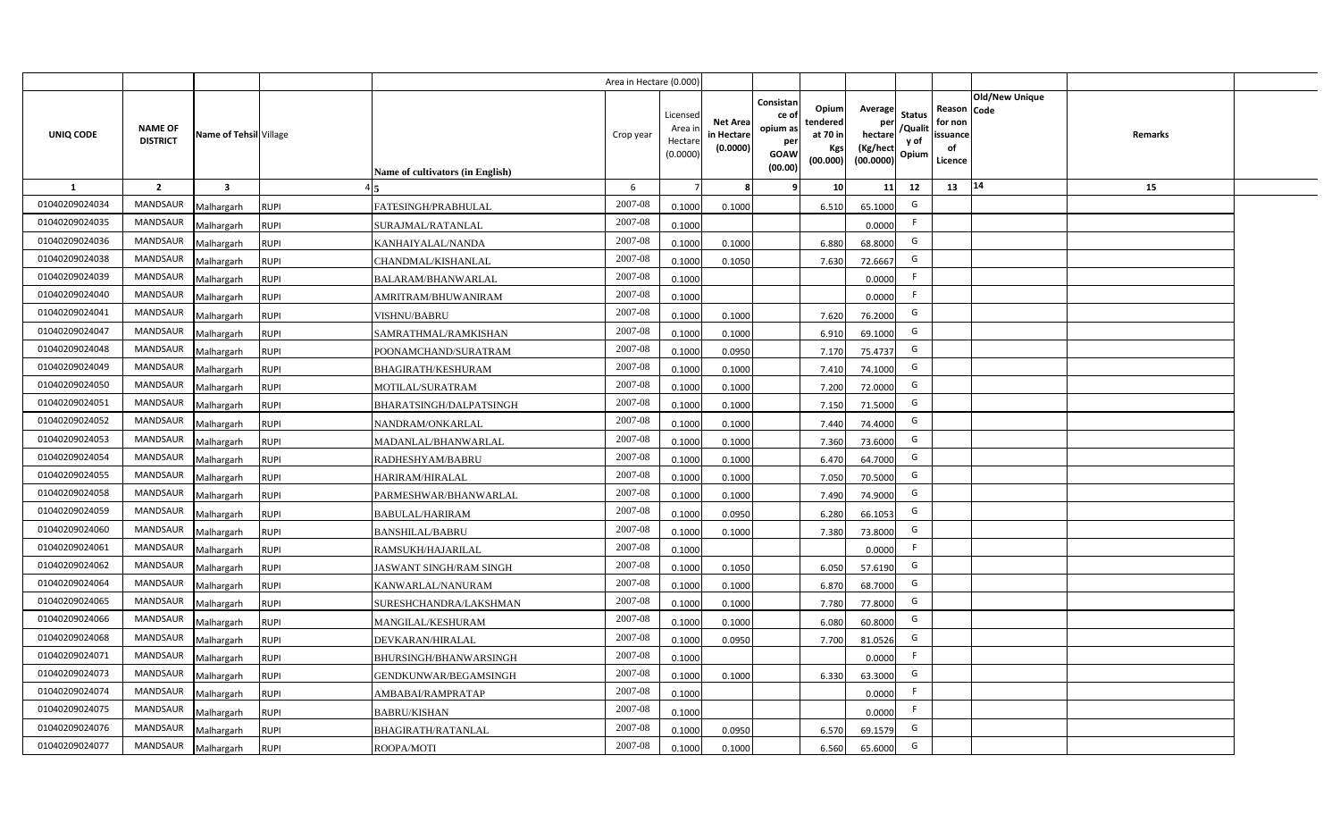|                |                                   |                         |             |                                  | Area in Hectare (0.000) |                                          |                                           |                                                          |                                                  |                                                    |                                           |                                                     |                |                |  |
|----------------|-----------------------------------|-------------------------|-------------|----------------------------------|-------------------------|------------------------------------------|-------------------------------------------|----------------------------------------------------------|--------------------------------------------------|----------------------------------------------------|-------------------------------------------|-----------------------------------------------------|----------------|----------------|--|
| UNIQ CODE      | <b>NAME OF</b><br><b>DISTRICT</b> | Name of Tehsil Village  |             | Name of cultivators (in English) | Crop year               | Licensec<br>Area i<br>Hectar<br>(0.0000) | <b>Net Area</b><br>in Hectare<br>(0.0000) | Consistan<br>ce of<br>opium as<br>per<br>GOAW<br>(00.00) | Opium<br>tendered<br>at 70 in<br>Kgs<br>(00.000) | Average<br>per<br>hectare<br>(Kg/hect<br>(00.0000) | <b>Status</b><br>/Qualit<br>y of<br>Opium | Reason Code<br>for non<br>issuance<br>of<br>Licence | Old/New Unique | <b>Remarks</b> |  |
| 1              | $\overline{2}$                    | $\overline{\mathbf{3}}$ |             |                                  | 6                       |                                          |                                           | ٠q                                                       | 10                                               | 11                                                 | 12                                        | 13                                                  | 14             | 15             |  |
| 01040209024034 | MANDSAUR                          | Malhargarh              | <b>RUPI</b> | FATESINGH/PRABHULAL              | 2007-08                 | 0.1000                                   | 0.1000                                    |                                                          | 6.510                                            | 65.1000                                            | G                                         |                                                     |                |                |  |
| 01040209024035 | MANDSAUR                          | Malhargarh              | <b>RUPI</b> | SURAJMAL/RATANLAL                | 2007-08                 | 0.1000                                   |                                           |                                                          |                                                  | 0.0000                                             | F.                                        |                                                     |                |                |  |
| 01040209024036 | <b>MANDSAUR</b>                   | Malhargarh              | <b>RUPI</b> | KANHAIYALAL/NANDA                | 2007-08                 | 0.100                                    | 0.1000                                    |                                                          | 6.880                                            | 68.8000                                            | G                                         |                                                     |                |                |  |
| 01040209024038 | <b>MANDSAUR</b>                   | Malhargarh              | <b>RUPI</b> | CHANDMAL/KISHANLAL               | 2007-08                 | 0.100                                    | 0.1050                                    |                                                          | 7.630                                            | 72.6667                                            | G                                         |                                                     |                |                |  |
| 01040209024039 | MANDSAUR                          | Malhargarh              | <b>RUPI</b> | <b>BALARAM/BHANWARLAL</b>        | 2007-08                 | 0.1000                                   |                                           |                                                          |                                                  | 0.0000                                             | -F                                        |                                                     |                |                |  |
| 01040209024040 | <b>MANDSAUR</b>                   | Malhargarh              | <b>RUPI</b> | AMRITRAM/BHUWANIRAM              | 2007-08                 | 0.1000                                   |                                           |                                                          |                                                  | 0.0000                                             | F.                                        |                                                     |                |                |  |
| 01040209024041 | <b>MANDSAUR</b>                   | Malhargarh              | <b>RUPI</b> | <b>VISHNU/BABRU</b>              | 2007-08                 | 0.1000                                   | 0.1000                                    |                                                          | 7.620                                            | 76.2000                                            | G                                         |                                                     |                |                |  |
| 01040209024047 | <b>MANDSAUR</b>                   | Malhargarh              | <b>RUPI</b> | SAMRATHMAL/RAMKISHAN             | 2007-08                 | 0.1000                                   | 0.1000                                    |                                                          | 6.910                                            | 69.1000                                            | G                                         |                                                     |                |                |  |
| 01040209024048 | <b>MANDSAUR</b>                   | Malhargarh              | <b>RUPI</b> | POONAMCHAND/SURATRAM             | 2007-08                 | 0.100                                    | 0.0950                                    |                                                          | 7.170                                            | 75.4737                                            | G                                         |                                                     |                |                |  |
| 01040209024049 | <b>MANDSAUR</b>                   | Malhargarh              | <b>RUPI</b> | <b>BHAGIRATH/KESHURAM</b>        | 2007-08                 | 0.1000                                   | 0.1000                                    |                                                          | 7.410                                            | 74.1000                                            | G                                         |                                                     |                |                |  |
| 01040209024050 | <b>MANDSAUR</b>                   | Malhargarh              | <b>RUPI</b> | MOTILAL/SURATRAM                 | 2007-08                 | 0.1000                                   | 0.1000                                    |                                                          | 7.200                                            | 72.0000                                            | G                                         |                                                     |                |                |  |
| 01040209024051 | <b>MANDSAUR</b>                   | Malhargarh              | <b>RUPI</b> | BHARATSINGH/DALPATSINGH          | 2007-08                 | 0.1000                                   | 0.1000                                    |                                                          | 7.150                                            | 71.5000                                            | G                                         |                                                     |                |                |  |
| 01040209024052 | <b>MANDSAUR</b>                   | Malhargarh              | <b>RUPI</b> | NANDRAM/ONKARLAL                 | 2007-08                 | 0.1000                                   | 0.1000                                    |                                                          | 7.440                                            | 74.4000                                            | G                                         |                                                     |                |                |  |
| 01040209024053 | <b>MANDSAUR</b>                   | Malhargarh              | <b>RUPI</b> | MADANLAL/BHANWARLAL              | 2007-08                 | 0.1000                                   | 0.1000                                    |                                                          | 7.360                                            | 73.6000                                            | G                                         |                                                     |                |                |  |
| 01040209024054 | <b>MANDSAUR</b>                   | Malhargarh              | <b>RUPI</b> | RADHESHYAM/BABRU                 | 2007-08                 | 0.1000                                   | 0.1000                                    |                                                          | 6.470                                            | 64.7000                                            | G                                         |                                                     |                |                |  |
| 01040209024055 | <b>MANDSAUR</b>                   | Malhargarh              | <b>RUPI</b> | HARIRAM/HIRALAL                  | 2007-08                 | 0.1000                                   | 0.1000                                    |                                                          | 7.050                                            | 70.5000                                            | G                                         |                                                     |                |                |  |
| 01040209024058 | <b>MANDSAUR</b>                   | Malhargarh              | <b>RUPI</b> | PARMESHWAR/BHANWARLAL            | 2007-08                 | 0.1000                                   | 0.1000                                    |                                                          | 7.490                                            | 74.9000                                            | G                                         |                                                     |                |                |  |
| 01040209024059 | <b>MANDSAUR</b>                   | Malhargarh              | <b>RUPI</b> | <b>BABULAL/HARIRAM</b>           | 2007-08                 | 0.1000                                   | 0.0950                                    |                                                          | 6.280                                            | 66.1053                                            | G                                         |                                                     |                |                |  |
| 01040209024060 | <b>MANDSAUR</b>                   | Malhargarh              | <b>RUPI</b> | <b>BANSHILAL/BABRU</b>           | 2007-08                 | 0.100                                    | 0.1000                                    |                                                          | 7.380                                            | 73.8000                                            | G                                         |                                                     |                |                |  |
| 01040209024061 | <b>MANDSAUR</b>                   | Malhargarh              | <b>RUPI</b> | RAMSUKH/HAJARILAL                | 2007-08                 | 0.1000                                   |                                           |                                                          |                                                  | 0.0000                                             | E                                         |                                                     |                |                |  |
| 01040209024062 | MANDSAUR                          | Malhargarh              | <b>RUPI</b> | <b>JASWANT SINGH/RAM SINGH</b>   | 2007-08                 | 0.1000                                   | 0.1050                                    |                                                          | 6.050                                            | 57.6190                                            | G                                         |                                                     |                |                |  |
| 01040209024064 | MANDSAUR                          | Malhargarh              | <b>RUPI</b> | KANWARLAL/NANURAM                | 2007-08                 | 0.100                                    | 0.1000                                    |                                                          | 6.870                                            | 68.7000                                            | G                                         |                                                     |                |                |  |
| 01040209024065 | <b>MANDSAUR</b>                   | Malhargarh              | <b>RUPI</b> | SURESHCHANDRA/LAKSHMAN           | 2007-08                 | 0.100                                    | 0.1000                                    |                                                          | 7.780                                            | 77.8000                                            | G                                         |                                                     |                |                |  |
| 01040209024066 | <b>MANDSAUR</b>                   | Malhargarh              | <b>RUPI</b> | MANGILAL/KESHURAM                | 2007-08                 | 0.1000                                   | 0.1000                                    |                                                          | 6.080                                            | 60.8000                                            | G                                         |                                                     |                |                |  |
| 01040209024068 | <b>MANDSAUR</b>                   | Malhargarh              | <b>RUPI</b> | DEVKARAN/HIRALAL                 | 2007-08                 | 0.100                                    | 0.0950                                    |                                                          | 7.700                                            | 81.0526                                            | G                                         |                                                     |                |                |  |
| 01040209024071 | MANDSAUR                          | Malhargarh              | <b>RUPI</b> | BHURSINGH/BHANWARSINGH           | 2007-08                 | 0.1000                                   |                                           |                                                          |                                                  | 0.0000                                             | F                                         |                                                     |                |                |  |
| 01040209024073 | MANDSAUR                          | Malhargarh              | <b>RUPI</b> | GENDKUNWAR/BEGAMSINGH            | 2007-08                 | 0.1000                                   | 0.1000                                    |                                                          | 6.330                                            | 63.3000                                            | G                                         |                                                     |                |                |  |
| 01040209024074 | MANDSAUR                          | Malhargarh              | <b>RUPI</b> | AMBABAI/RAMPRATAP                | 2007-08                 | 0.1000                                   |                                           |                                                          |                                                  | 0.0000                                             | F                                         |                                                     |                |                |  |
| 01040209024075 | MANDSAUR                          | Malhargarh              | <b>RUPI</b> | <b>BABRU/KISHAN</b>              | 2007-08                 | 0.1000                                   |                                           |                                                          |                                                  | 0.0000                                             | -F                                        |                                                     |                |                |  |
| 01040209024076 | MANDSAUR                          | Malhargarh              | <b>RUPI</b> | BHAGIRATH/RATANLAL               | 2007-08                 | 0.1000                                   | 0.0950                                    |                                                          | 6.570                                            | 69.1579                                            | G                                         |                                                     |                |                |  |
| 01040209024077 | MANDSAUR                          | Malhargarh              | <b>RUPI</b> | ROOPA/MOTI                       | 2007-08                 | 0.1000                                   | 0.1000                                    |                                                          | 6.560                                            | 65.6000                                            | G                                         |                                                     |                |                |  |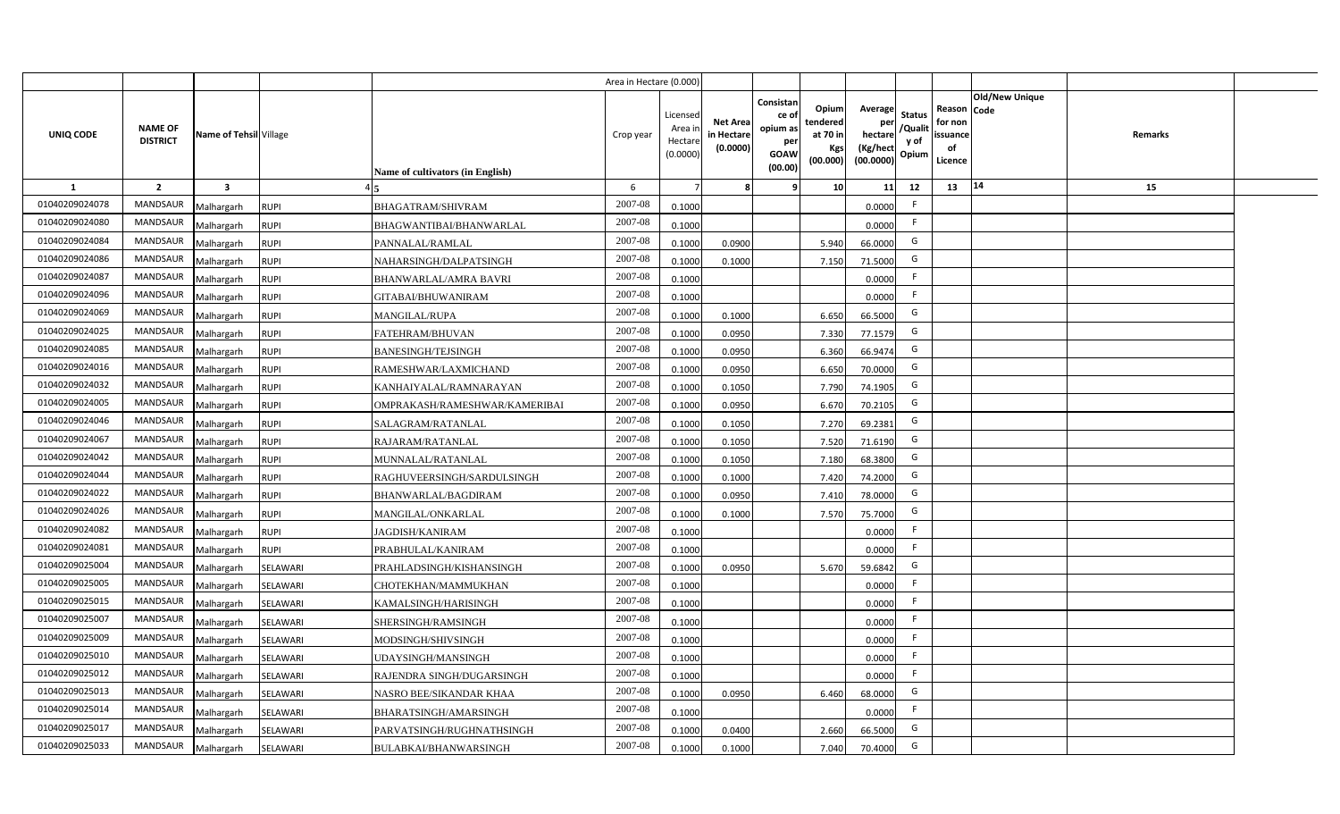|                  |                                   |                         |             |                                  | Area in Hectare (0.000 |                                          |                                           |                                                                 |                                                  |                                                    |                                           |                                                     |                       |         |  |
|------------------|-----------------------------------|-------------------------|-------------|----------------------------------|------------------------|------------------------------------------|-------------------------------------------|-----------------------------------------------------------------|--------------------------------------------------|----------------------------------------------------|-------------------------------------------|-----------------------------------------------------|-----------------------|---------|--|
| <b>UNIQ CODE</b> | <b>NAME OF</b><br><b>DISTRICT</b> | Name of Tehsil Village  |             | Name of cultivators (in English) | Crop year              | Licensec<br>Area i<br>Hectar<br>(0.0000) | <b>Net Area</b><br>in Hectare<br>(0.0000) | Consistan<br>ce of<br>opium as<br>per<br><b>GOAW</b><br>(00.00) | Opium<br>tendered<br>at 70 in<br>Kgs<br>(00.000) | Average<br>per<br>hectare<br>(Kg/hect<br>(00.0000) | <b>Status</b><br>/Qualit<br>y of<br>Opium | Reason Code<br>for non<br>issuance<br>of<br>Licence | <b>Old/New Unique</b> | Remarks |  |
| 1                | $\overline{2}$                    | $\overline{\mathbf{3}}$ |             |                                  | 6                      |                                          |                                           | q                                                               | 10                                               | 11                                                 | 12                                        | 13                                                  | 14                    | 15      |  |
| 01040209024078   | <b>MANDSAUR</b>                   | Malhargarh              | <b>RUPI</b> | <b>BHAGATRAM/SHIVRAM</b>         | 2007-08                | 0.1000                                   |                                           |                                                                 |                                                  | 0.0000                                             | -F                                        |                                                     |                       |         |  |
| 01040209024080   | <b>MANDSAUR</b>                   | Malhargarh              | <b>RUPI</b> | BHAGWANTIBAI/BHANWARLAL          | 2007-08                | 0.1000                                   |                                           |                                                                 |                                                  | 0.0000                                             | -F                                        |                                                     |                       |         |  |
| 01040209024084   | MANDSAUR                          | Malhargarh              | <b>RUPI</b> | PANNALAL/RAMLAL                  | 2007-08                | 0.100                                    | 0.0900                                    |                                                                 | 5.940                                            | 66.0000                                            | G                                         |                                                     |                       |         |  |
| 01040209024086   | <b>MANDSAUR</b>                   | Malhargarh              | <b>RUPI</b> | NAHARSINGH/DALPATSINGH           | 2007-08                | 0.100                                    | 0.1000                                    |                                                                 | 7.150                                            | 71.5000                                            | G                                         |                                                     |                       |         |  |
| 01040209024087   | MANDSAUR                          | Malhargarh              | <b>RUPI</b> | BHANWARLAL/AMRA BAVRI            | 2007-08                | 0.1000                                   |                                           |                                                                 |                                                  | 0.0000                                             | -F                                        |                                                     |                       |         |  |
| 01040209024096   | <b>MANDSAUR</b>                   | Malhargarh              | <b>RUPI</b> | GITABAI/BHUWANIRAM               | 2007-08                | 0.1000                                   |                                           |                                                                 |                                                  | 0.0000                                             | -F                                        |                                                     |                       |         |  |
| 01040209024069   | MANDSAUR                          | Malhargarh              | <b>RUPI</b> | <b>MANGILAL/RUPA</b>             | 2007-08                | 0.1000                                   | 0.1000                                    |                                                                 | 6.650                                            | 66.5000                                            | G                                         |                                                     |                       |         |  |
| 01040209024025   | <b>MANDSAUR</b>                   | Malhargarh              | <b>RUPI</b> | FATEHRAM/BHUVAN                  | 2007-08                | 0.1000                                   | 0.0950                                    |                                                                 | 7.330                                            | 77.1579                                            | G                                         |                                                     |                       |         |  |
| 01040209024085   | <b>MANDSAUR</b>                   | Malhargarh              | <b>RUPI</b> | <b>BANESINGH/TEJSINGH</b>        | 2007-08                | 0.1000                                   | 0.0950                                    |                                                                 | 6.360                                            | 66.9474                                            | G                                         |                                                     |                       |         |  |
| 01040209024016   | <b>MANDSAUR</b>                   | Malhargarh              | <b>RUPI</b> | RAMESHWAR/LAXMICHAND             | 2007-08                | 0.1000                                   | 0.0950                                    |                                                                 | 6.650                                            | 70.0000                                            | G                                         |                                                     |                       |         |  |
| 01040209024032   | <b>MANDSAUR</b>                   | Malhargarh              | <b>RUPI</b> | KANHAIYALAL/RAMNARAYAN           | 2007-08                | 0.1000                                   | 0.1050                                    |                                                                 | 7.790                                            | 74.1905                                            | G                                         |                                                     |                       |         |  |
| 01040209024005   | <b>MANDSAUR</b>                   | Malhargarh              | <b>RUPI</b> | OMPRAKASH/RAMESHWAR/KAMERIBAI    | 2007-08                | 0.1000                                   | 0.0950                                    |                                                                 | 6.670                                            | 70.2105                                            | G                                         |                                                     |                       |         |  |
| 01040209024046   | <b>MANDSAUR</b>                   | Malhargarh              | <b>RUPI</b> | SALAGRAM/RATANLAL                | 2007-08                | 0.1000                                   | 0.1050                                    |                                                                 | 7.270                                            | 69.2381                                            | G                                         |                                                     |                       |         |  |
| 01040209024067   | <b>MANDSAUR</b>                   | Malhargarh              | <b>RUPI</b> | RAJARAM/RATANLAL                 | 2007-08                | 0.1000                                   | 0.1050                                    |                                                                 | 7.520                                            | 71.6190                                            | G                                         |                                                     |                       |         |  |
| 01040209024042   | <b>MANDSAUR</b>                   | Malhargarh              | <b>RUPI</b> | MUNNALAL/RATANLAL                | 2007-08                | 0.1000                                   | 0.1050                                    |                                                                 | 7.180                                            | 68.3800                                            | G                                         |                                                     |                       |         |  |
| 01040209024044   | <b>MANDSAUR</b>                   | Malhargarh              | <b>RUPI</b> | RAGHUVEERSINGH/SARDULSINGH       | 2007-08                | 0.1000                                   | 0.1000                                    |                                                                 | 7.420                                            | 74.2000                                            | G                                         |                                                     |                       |         |  |
| 01040209024022   | <b>MANDSAUR</b>                   | Malhargarh              | <b>RUPI</b> | BHANWARLAL/BAGDIRAM              | 2007-08                | 0.100                                    | 0.0950                                    |                                                                 | 7.410                                            | 78.0000                                            | G                                         |                                                     |                       |         |  |
| 01040209024026   | <b>MANDSAUR</b>                   | Malhargarh              | <b>RUPI</b> | MANGILAL/ONKARLAL                | 2007-08                | 0.100                                    | 0.1000                                    |                                                                 | 7.570                                            | 75.7000                                            | G                                         |                                                     |                       |         |  |
| 01040209024082   | <b>MANDSAUR</b>                   | Malhargarh              | <b>RUPI</b> | <b>JAGDISH/KANIRAM</b>           | 2007-08                | 0.1000                                   |                                           |                                                                 |                                                  | 0.0000                                             | -F                                        |                                                     |                       |         |  |
| 01040209024081   | <b>MANDSAUR</b>                   | Malhargarh              | <b>RUPI</b> | PRABHULAL/KANIRAM                | $2007 - 08$            | 0.100                                    |                                           |                                                                 |                                                  | 0.0000                                             | -F                                        |                                                     |                       |         |  |
| 01040209025004   | <b>MANDSAUR</b>                   | Malhargarh              | SELAWARI    | PRAHLADSINGH/KISHANSINGH         | 2007-08                | 0.100                                    | 0.095                                     |                                                                 | 5.670                                            | 59.6842                                            | G                                         |                                                     |                       |         |  |
| 01040209025005   | <b>MANDSAUR</b>                   | Malhargarh              | SELAWARI    | CHOTEKHAN/MAMMUKHAN              | 2007-08                | 0.1000                                   |                                           |                                                                 |                                                  | 0.0000                                             | E                                         |                                                     |                       |         |  |
| 01040209025015   | <b>MANDSAUR</b>                   | Malhargarh              | SELAWARI    | KAMALSINGH/HARISINGH             | 2007-08                | 0.1000                                   |                                           |                                                                 |                                                  | 0.0000                                             | F.                                        |                                                     |                       |         |  |
| 01040209025007   | MANDSAUR                          | Malhargarh              | SELAWARI    | SHERSINGH/RAMSINGH               | 2007-08                | 0.1000                                   |                                           |                                                                 |                                                  | 0.0000                                             | -F                                        |                                                     |                       |         |  |
| 01040209025009   | MANDSAUR                          | Malhargarh              | SELAWARI    | MODSINGH/SHIVSINGH               | 2007-08                | 0.1000                                   |                                           |                                                                 |                                                  | 0.0000                                             | F                                         |                                                     |                       |         |  |
| 01040209025010   | MANDSAUR                          | Malhargarh              | SELAWARI    | <b>JDAYSINGH/MANSINGH</b>        | 2007-08                | 0.1000                                   |                                           |                                                                 |                                                  | 0.0000                                             | F.                                        |                                                     |                       |         |  |
| 01040209025012   | MANDSAUR                          | Malhargarh              | SELAWARI    | RAJENDRA SINGH/DUGARSINGH        | 2007-08                | 0.1000                                   |                                           |                                                                 |                                                  | 0.0000                                             | E                                         |                                                     |                       |         |  |
| 01040209025013   | MANDSAUR                          | Malhargarh              | SELAWARI    | NASRO BEE/SIKANDAR KHAA          | 2007-08                | 0.1000                                   | 0.095                                     |                                                                 | 6.460                                            | 68.0000                                            | G                                         |                                                     |                       |         |  |
| 01040209025014   | MANDSAUR                          | Malhargarh              | SELAWARI    | BHARATSINGH/AMARSINGH            | 2007-08                | 0.1000                                   |                                           |                                                                 |                                                  | 0.0000                                             | E                                         |                                                     |                       |         |  |
| 01040209025017   | <b>MANDSAUR</b>                   | Malhargarh              | SELAWARI    | PARVATSINGH/RUGHNATHSINGH        | 2007-08                | 0.1000                                   | 0.0400                                    |                                                                 | 2.660                                            | 66.5000                                            | G                                         |                                                     |                       |         |  |
| 01040209025033   | MANDSAUR                          | Malhargarh              | SELAWARI    | <b>BULABKAI/BHANWARSINGH</b>     | 2007-08                | 0.1000                                   | 0.1000                                    |                                                                 | 7.040                                            | 70.4000                                            | G                                         |                                                     |                       |         |  |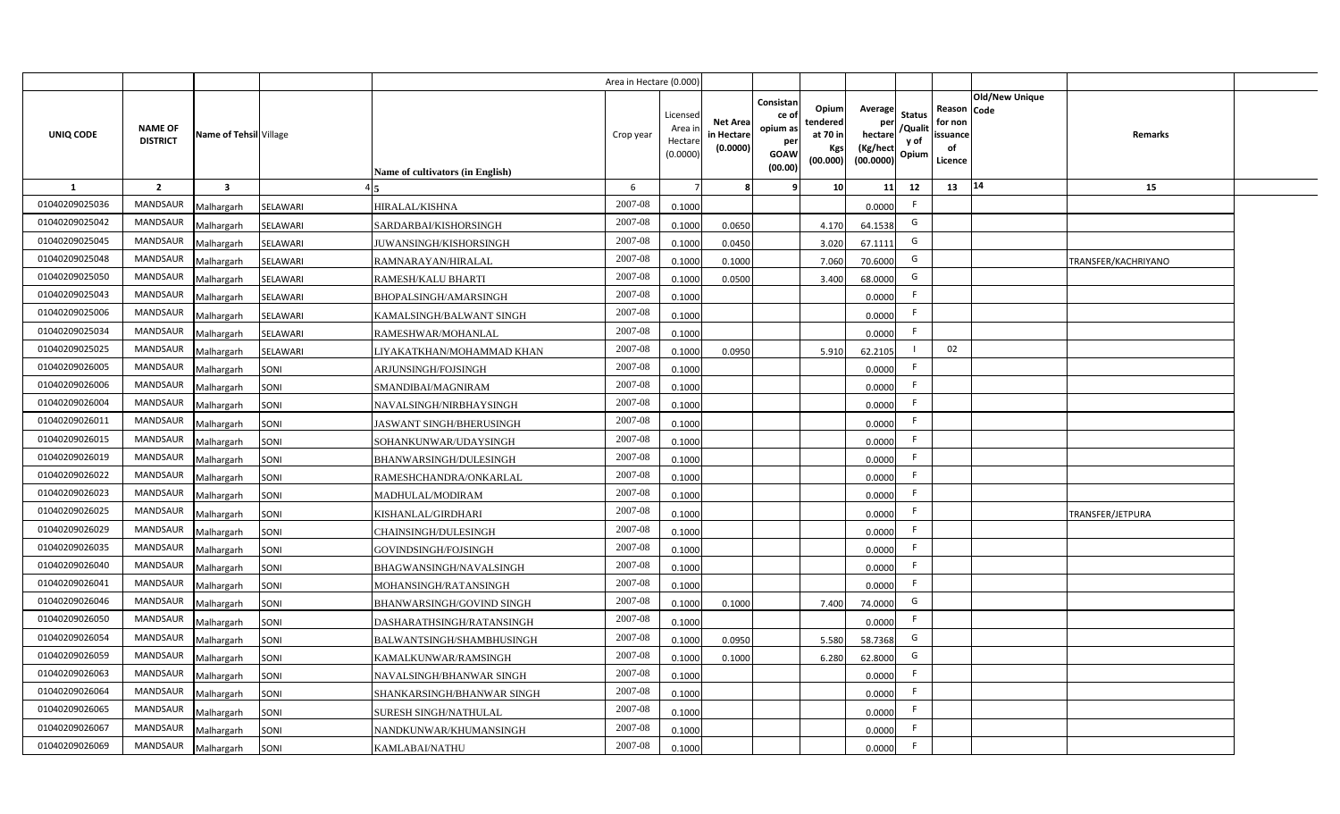|                |                                   |                         |          |                                  | Area in Hectare (0.000) |                                          |                                           |                                                                |                                                  |                                                    |                                           |                                                                       |                     |  |
|----------------|-----------------------------------|-------------------------|----------|----------------------------------|-------------------------|------------------------------------------|-------------------------------------------|----------------------------------------------------------------|--------------------------------------------------|----------------------------------------------------|-------------------------------------------|-----------------------------------------------------------------------|---------------------|--|
| UNIQ CODE      | <b>NAME OF</b><br><b>DISTRICT</b> | Name of Tehsil Village  |          | Name of cultivators (in English) | Crop year               | Licensec<br>Area i<br>Hectar<br>(0.0000) | <b>Net Area</b><br>in Hectare<br>(0.0000) | Consistan<br>ce o<br>opium as<br>per<br><b>GOAW</b><br>(00.00) | Opium<br>tendered<br>at 70 in<br>Kgs<br>(00.000) | Average<br>per<br>hectare<br>(Kg/hect<br>(00.0000) | <b>Status</b><br>/Qualit<br>y of<br>Opium | Old/New Unique<br>Reason Code<br>for non<br>issuance<br>of<br>Licence | Remarks             |  |
| <b>1</b>       | $\overline{2}$                    | $\overline{\mathbf{3}}$ |          |                                  | 6                       |                                          |                                           |                                                                | 10                                               | 11                                                 | 12                                        | 14<br>13                                                              | 15                  |  |
| 01040209025036 | <b>MANDSAUR</b>                   | Malhargarh              | SELAWARI | HIRALAL/KISHNA                   | 2007-08                 | 0.1000                                   |                                           |                                                                |                                                  | 0.0000                                             | F.                                        |                                                                       |                     |  |
| 01040209025042 | MANDSAUR                          | Malhargarh              | SELAWARI | SARDARBAI/KISHORSINGH            | 2007-08                 | 0.1000                                   | 0.0650                                    |                                                                | 4.170                                            | 64.1538                                            | G                                         |                                                                       |                     |  |
| 01040209025045 | <b>MANDSAUR</b>                   | Malhargarh              | SELAWARI | JUWANSINGH/KISHORSINGH           | 2007-08                 | 0.1000                                   | 0.0450                                    |                                                                | 3.020                                            | 67.1111                                            | G                                         |                                                                       |                     |  |
| 01040209025048 | <b>MANDSAUR</b>                   | Malhargarh              | SELAWARI | RAMNARAYAN/HIRALAL               | 2007-08                 | 0.100                                    | 0.1000                                    |                                                                | 7.060                                            | 70.6000                                            | G                                         |                                                                       | TRANSFER/KACHRIYANO |  |
| 01040209025050 | MANDSAUR                          | Malhargarh              | SELAWARI | RAMESH/KALU BHARTI               | 2007-08                 | 0.1000                                   | 0.0500                                    |                                                                | 3.400                                            | 68.0000                                            | G                                         |                                                                       |                     |  |
| 01040209025043 | MANDSAUR                          | Malhargarh              | SELAWARI | BHOPALSINGH/AMARSINGH            | 2007-08                 | 0.1000                                   |                                           |                                                                |                                                  | 0.0000                                             | F                                         |                                                                       |                     |  |
| 01040209025006 | MANDSAUR                          | Malhargarh              | SELAWARI | KAMALSINGH/BALWANT SINGH         | 2007-08                 | 0.1000                                   |                                           |                                                                |                                                  | 0.0000                                             | F.                                        |                                                                       |                     |  |
| 01040209025034 | MANDSAUR                          | Malhargarh              | SELAWARI | RAMESHWAR/MOHANLAL               | 2007-08                 | 0.1000                                   |                                           |                                                                |                                                  | 0.0000                                             | F.                                        |                                                                       |                     |  |
| 01040209025025 | <b>MANDSAUR</b>                   | Malhargarh              | SELAWARI | LIYAKATKHAN/MOHAMMAD KHAN        | 2007-08                 | 0.1000                                   | 0.0950                                    |                                                                | 5.910                                            | 62.2105                                            |                                           | 02                                                                    |                     |  |
| 01040209026005 | <b>MANDSAUR</b>                   | Malhargarh              | SONI     | ARJUNSINGH/FOJSINGH              | 2007-08                 | 0.1000                                   |                                           |                                                                |                                                  | 0.0000                                             | F.                                        |                                                                       |                     |  |
| 01040209026006 | MANDSAUR                          | Malhargarh              | SONI     | SMANDIBAI/MAGNIRAM               | 2007-08                 | 0.1000                                   |                                           |                                                                |                                                  | 0.0000                                             |                                           |                                                                       |                     |  |
| 01040209026004 | <b>MANDSAUR</b>                   | Malhargarh              | SONI     | NAVALSINGH/NIRBHAYSINGH          | 2007-08                 | 0.1000                                   |                                           |                                                                |                                                  | 0.0000                                             | F.                                        |                                                                       |                     |  |
| 01040209026011 | <b>MANDSAUR</b>                   | Malhargarh              | SONI     | <b>JASWANT SINGH/BHERUSINGH</b>  | 2007-08                 | 0.1000                                   |                                           |                                                                |                                                  | 0.0000                                             | -F                                        |                                                                       |                     |  |
| 01040209026015 | MANDSAUR                          | Malhargarh              | SONI     | SOHANKUNWAR/UDAYSINGH            | 2007-08                 | 0.1000                                   |                                           |                                                                |                                                  | 0.0000                                             | F.                                        |                                                                       |                     |  |
| 01040209026019 | <b>MANDSAUR</b>                   | Malhargarh              | SONI     | BHANWARSINGH/DULESINGH           | 2007-08                 | 0.1000                                   |                                           |                                                                |                                                  | 0.0000                                             | F.                                        |                                                                       |                     |  |
| 01040209026022 | MANDSAUR                          | Malhargarh              | SONI     | RAMESHCHANDRA/ONKARLAL           | 2007-08                 | 0.1000                                   |                                           |                                                                |                                                  | 0.0000                                             | F.                                        |                                                                       |                     |  |
| 01040209026023 | MANDSAUR                          | Malhargarh              | SONI     | MADHULAL/MODIRAM                 | 2007-08                 | 0.1000                                   |                                           |                                                                |                                                  | 0.0000                                             | F.                                        |                                                                       |                     |  |
| 01040209026025 | MANDSAUR                          | Malhargarh              | SONI     | KISHANLAL/GIRDHARI               | 2007-08                 | 0.1000                                   |                                           |                                                                |                                                  | 0.0000                                             | F.                                        |                                                                       | TRANSFER/JETPURA    |  |
| 01040209026029 | MANDSAUR                          | Malhargarh              | SONI     | CHAINSINGH/DULESINGH             | 2007-08                 | 0.100                                    |                                           |                                                                |                                                  | 0.0000                                             | F.                                        |                                                                       |                     |  |
| 01040209026035 | MANDSAUR                          | Malhargarh              | SONI     | GOVINDSINGH/FOJSINGH             | 2007-08                 | 0.1000                                   |                                           |                                                                |                                                  | 0.0000                                             | F.                                        |                                                                       |                     |  |
| 01040209026040 | MANDSAUR                          | Malhargarh              | SONI     | BHAGWANSINGH/NAVALSINGH          | 2007-08                 | 0.1000                                   |                                           |                                                                |                                                  | 0.0000                                             | F.                                        |                                                                       |                     |  |
| 01040209026041 | MANDSAUR                          | Malhargarh              | SONI     | MOHANSINGH/RATANSINGH            | 2007-08                 | 0.1000                                   |                                           |                                                                |                                                  | 0.0000                                             | F.                                        |                                                                       |                     |  |
| 01040209026046 | MANDSAUR                          | Malhargarh              | SONI     | BHANWARSINGH/GOVIND SINGH        | 2007-08                 | 0.1000                                   | 0.1000                                    |                                                                | 7.400                                            | 74.0000                                            | G                                         |                                                                       |                     |  |
| 01040209026050 | <b>MANDSAUR</b>                   | Malhargarh              | SONI     | DASHARATHSINGH/RATANSINGH        | 2007-08                 | 0.1000                                   |                                           |                                                                |                                                  | 0.0000                                             | F.                                        |                                                                       |                     |  |
| 01040209026054 | MANDSAUR                          | Malhargarh              | SONI     | BALWANTSINGH/SHAMBHUSINGH        | 2007-08                 | 0.1000                                   | 0.0950                                    |                                                                | 5.580                                            | 58.7368                                            | G                                         |                                                                       |                     |  |
| 01040209026059 | MANDSAUR                          | Malhargarh              | SONI     | KAMALKUNWAR/RAMSINGH             | 2007-08                 | 0.1000                                   | 0.1000                                    |                                                                | 6.280                                            | 62.8000                                            | G                                         |                                                                       |                     |  |
| 01040209026063 | MANDSAUR                          | Malhargarh              | SONI     | NAVALSINGH/BHANWAR SINGH         | 2007-08                 | 0.1000                                   |                                           |                                                                |                                                  | 0.0000                                             | F                                         |                                                                       |                     |  |
| 01040209026064 | MANDSAUR                          | Malhargarh              | SONI     | SHANKARSINGH/BHANWAR SINGH       | 2007-08                 | 0.1000                                   |                                           |                                                                |                                                  | 0.0000                                             | E                                         |                                                                       |                     |  |
| 01040209026065 | MANDSAUR                          | Malhargarh              | SONI     | <b>SURESH SINGH/NATHULAL</b>     | 2007-08                 | 0.1000                                   |                                           |                                                                |                                                  | 0.0000                                             | F.                                        |                                                                       |                     |  |
| 01040209026067 | MANDSAUR                          | Malhargarh              | SONI     | NANDKUNWAR/KHUMANSINGH           | 2007-08                 | 0.1000                                   |                                           |                                                                |                                                  | 0.0000                                             | E                                         |                                                                       |                     |  |
| 01040209026069 | MANDSAUR                          | Malhargarh              | SONI     | KAMLABAI/NATHU                   | 2007-08                 | 0.1000                                   |                                           |                                                                |                                                  | 0.0000                                             | E                                         |                                                                       |                     |  |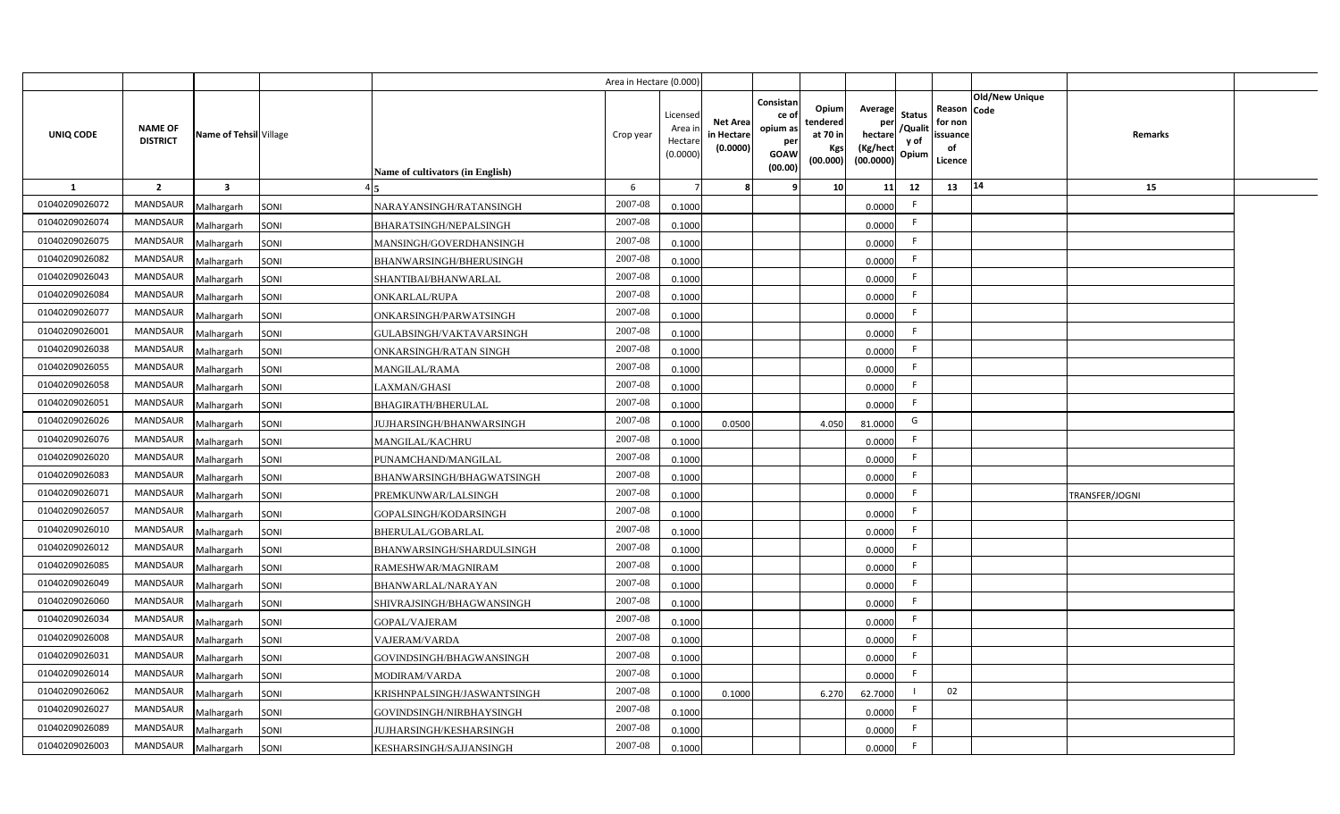|                |                                   |                         |      |                                  | Area in Hectare (0.000 |                                          |                                           |                                                          |                                                  |                                                             |                                |                                                     |                       |                |  |
|----------------|-----------------------------------|-------------------------|------|----------------------------------|------------------------|------------------------------------------|-------------------------------------------|----------------------------------------------------------|--------------------------------------------------|-------------------------------------------------------------|--------------------------------|-----------------------------------------------------|-----------------------|----------------|--|
| UNIQ CODE      | <b>NAME OF</b><br><b>DISTRICT</b> | Name of Tehsil Village  |      | Name of cultivators (in English) | Crop year              | Licensed<br>Area i<br>Hectar<br>(0.0000) | <b>Net Area</b><br>in Hectare<br>(0.0000) | Consistan<br>ce of<br>opium as<br>per<br>GOAW<br>(00.00) | Opium<br>tendered<br>at 70 in<br>Kgs<br>(00.000) | Average<br>per<br>hectare / Qualit<br>(Kg/hect<br>(00.0000) | <b>Status</b><br>y of<br>Opium | Reason Code<br>for non<br>issuance<br>of<br>Licence | <b>Old/New Unique</b> | Remarks        |  |
| 1              | $\overline{2}$                    | $\overline{\mathbf{3}}$ |      |                                  | 6                      |                                          |                                           |                                                          | 10 <sup>1</sup>                                  | 11                                                          | 12                             | 13                                                  | $ 14\rangle$          | 15             |  |
| 01040209026072 | MANDSAUR                          | Malhargarh              | SONI | NARAYANSINGH/RATANSINGH          | 2007-08                | 0.1000                                   |                                           |                                                          |                                                  | 0.0000                                                      | F.                             |                                                     |                       |                |  |
| 01040209026074 | MANDSAUR                          | Malhargarh              | SONI | BHARATSINGH/NEPALSINGH           | 2007-08                | 0.1000                                   |                                           |                                                          |                                                  | 0.0000                                                      | F                              |                                                     |                       |                |  |
| 01040209026075 | MANDSAUR                          | Malhargarh              | SONI | MANSINGH/GOVERDHANSINGH          | 2007-08                | 0.1000                                   |                                           |                                                          |                                                  | 0.0000                                                      | F.                             |                                                     |                       |                |  |
| 01040209026082 | <b>MANDSAUR</b>                   | Malhargarh              | SONI | BHANWARSINGH/BHERUSINGH          | 2007-08                | 0.1000                                   |                                           |                                                          |                                                  | 0.0000                                                      | F                              |                                                     |                       |                |  |
| 01040209026043 | MANDSAUR                          | Malhargarh              | SONI | SHANTIBAI/BHANWARLAL             | 2007-08                | 0.1000                                   |                                           |                                                          |                                                  | 0.0000                                                      | F.                             |                                                     |                       |                |  |
| 01040209026084 | <b>MANDSAUR</b>                   | Malhargarh              | SONI | <b>ONKARLAL/RUPA</b>             | 2007-08                | 0.1000                                   |                                           |                                                          |                                                  | 0.0000                                                      | F.                             |                                                     |                       |                |  |
| 01040209026077 | MANDSAUR                          | Malhargarh              | SONI | ONKARSINGH/PARWATSINGH           | 2007-08                | 0.1000                                   |                                           |                                                          |                                                  | 0.0000                                                      | F.                             |                                                     |                       |                |  |
| 01040209026001 | <b>MANDSAUR</b>                   | Malhargarh              | SONI | GULABSINGH/VAKTAVARSINGH         | 2007-08                | 0.1000                                   |                                           |                                                          |                                                  | 0.0000                                                      | F.                             |                                                     |                       |                |  |
| 01040209026038 | MANDSAUR                          | Malhargarh              | SONI | ONKARSINGH/RATAN SINGH           | 2007-08                | 0.1000                                   |                                           |                                                          |                                                  | 0.0000                                                      | F                              |                                                     |                       |                |  |
| 01040209026055 | MANDSAUR                          | Malhargarh              | SONI | <b>MANGILAL/RAMA</b>             | 2007-08                | 0.1000                                   |                                           |                                                          |                                                  | 0.0000                                                      | F.                             |                                                     |                       |                |  |
| 01040209026058 | MANDSAUR                          | Malhargarh              | SONI | LAXMAN/GHASI                     | 2007-08                | 0.1000                                   |                                           |                                                          |                                                  | 0.0000                                                      | F.                             |                                                     |                       |                |  |
| 01040209026051 | MANDSAUR                          | Malhargarh              | SONI | BHAGIRATH/BHERULAL               | 2007-08                | 0.1000                                   |                                           |                                                          |                                                  | 0.0000                                                      | F.                             |                                                     |                       |                |  |
| 01040209026026 | MANDSAUR                          | Malhargarh              | SONI | JUJHARSINGH/BHANWARSINGH         | 2007-08                | 0.1000                                   | 0.0500                                    |                                                          | 4.050                                            | 81.0000                                                     | G                              |                                                     |                       |                |  |
| 01040209026076 | MANDSAUR                          | Malhargarh              | SONI | MANGILAL/KACHRU                  | 2007-08                | 0.1000                                   |                                           |                                                          |                                                  | 0.0000                                                      | F.                             |                                                     |                       |                |  |
| 01040209026020 | MANDSAUR                          | Malhargarh              | SONI | PUNAMCHAND/MANGILAL              | 2007-08                | 0.1000                                   |                                           |                                                          |                                                  | 0.0000                                                      | F                              |                                                     |                       |                |  |
| 01040209026083 | <b>MANDSAUR</b>                   | Malhargarh              | SONI | BHANWARSINGH/BHAGWATSINGH        | 2007-08                | 0.1000                                   |                                           |                                                          |                                                  | 0.0000                                                      | F.                             |                                                     |                       |                |  |
| 01040209026071 | MANDSAUR                          | Malhargarh              | SONI | PREMKUNWAR/LALSINGH              | 2007-08                | 0.1000                                   |                                           |                                                          |                                                  | 0.0000                                                      | F.                             |                                                     |                       | TRANSFER/JOGNI |  |
| 01040209026057 | <b>MANDSAUR</b>                   | Malhargarh              | SONI | GOPALSINGH/KODARSINGH            | 2007-08                | 0.1000                                   |                                           |                                                          |                                                  | 0.0000                                                      | F.                             |                                                     |                       |                |  |
| 01040209026010 | MANDSAUR                          | Malhargarh              | SONI | BHERULAL/GOBARLAL                | 2007-08                | 0.1000                                   |                                           |                                                          |                                                  | 0.0000                                                      | F.                             |                                                     |                       |                |  |
| 01040209026012 | MANDSAUR                          | Malhargarh              | SONI | BHANWARSINGH/SHARDULSINGH        | 2007-08                | 0.1000                                   |                                           |                                                          |                                                  | 0.0000                                                      | F.                             |                                                     |                       |                |  |
| 01040209026085 | <b>MANDSAUR</b>                   | Malhargarh              | SONI | RAMESHWAR/MAGNIRAM               | 2007-08                | 0.1000                                   |                                           |                                                          |                                                  | 0.0000                                                      | F.                             |                                                     |                       |                |  |
| 01040209026049 | MANDSAUR                          | Malhargarh              | SONI | <b>BHANWARLAL/NARAYAN</b>        | 2007-08                | 0.1000                                   |                                           |                                                          |                                                  | 0.0000                                                      | F.                             |                                                     |                       |                |  |
| 01040209026060 | <b>MANDSAUR</b>                   | Malhargarh              | SONI | SHIVRAJSINGH/BHAGWANSINGH        | 2007-08                | 0.1000                                   |                                           |                                                          |                                                  | 0.0000                                                      | F.                             |                                                     |                       |                |  |
| 01040209026034 | <b>MANDSAUR</b>                   | Malhargarh              | SONI | GOPAL/VAJERAM                    | 2007-08                | 0.1000                                   |                                           |                                                          |                                                  | 0.0000                                                      | F.                             |                                                     |                       |                |  |
| 01040209026008 | <b>MANDSAUR</b>                   | Malhargarh              | SONI | <b>VAJERAM/VARDA</b>             | 2007-08                | 0.1000                                   |                                           |                                                          |                                                  | 0.0000                                                      | F                              |                                                     |                       |                |  |
| 01040209026031 | <b>MANDSAUR</b>                   | Malhargarh              | SONI | GOVINDSINGH/BHAGWANSINGH         | 2007-08                | 0.1000                                   |                                           |                                                          |                                                  | 0.0000                                                      | F.                             |                                                     |                       |                |  |
| 01040209026014 | MANDSAUR                          | Malhargarh              | SONI | MODIRAM/VARDA                    | 2007-08                | 0.1000                                   |                                           |                                                          |                                                  | 0.0000                                                      | F                              |                                                     |                       |                |  |
| 01040209026062 | MANDSAUR                          | Malhargarh              | SONI | KRISHNPALSINGH/JASWANTSINGH      | 2007-08                | 0.1000                                   | 0.1000                                    |                                                          | 6.270                                            | 62.7000                                                     | $\overline{1}$                 | 02                                                  |                       |                |  |
| 01040209026027 | MANDSAUR                          | Malhargarh              | SONI | GOVINDSINGH/NIRBHAYSINGH         | 2007-08                | 0.1000                                   |                                           |                                                          |                                                  | 0.0000                                                      | F.                             |                                                     |                       |                |  |
| 01040209026089 | MANDSAUR                          | Malhargarh              | SONI | JUJHARSINGH/KESHARSINGH          | 2007-08                | 0.1000                                   |                                           |                                                          |                                                  | 0.0000                                                      | F.                             |                                                     |                       |                |  |
| 01040209026003 | MANDSAUR                          | Malhargarh              | SONI | KESHARSINGH/SAJJANSINGH          | 2007-08                | 0.1000                                   |                                           |                                                          |                                                  | 0.0000                                                      | F.                             |                                                     |                       |                |  |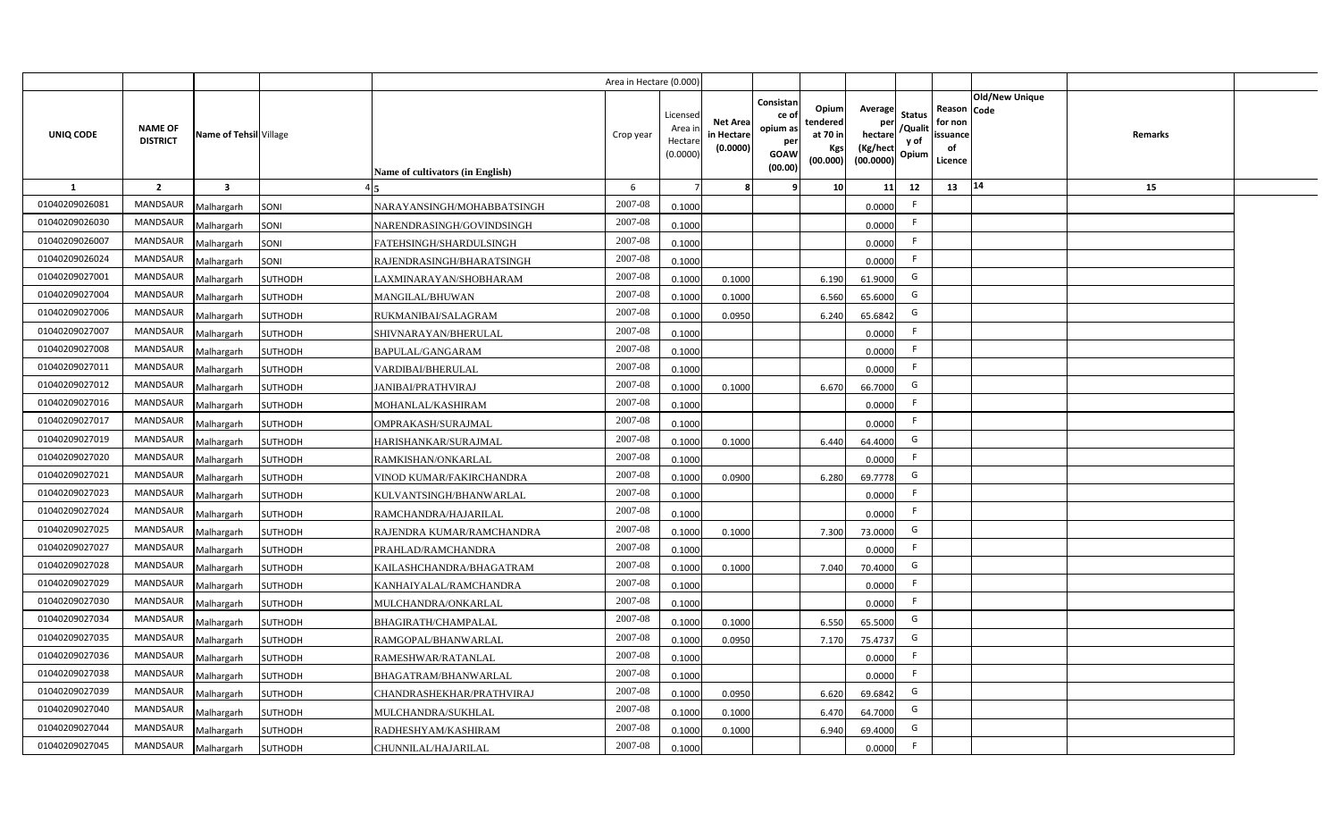|                |                                   |                         |                |                                  | Area in Hectare (0.000 |                                          |                                          |                                                                 |                                                  |                                                    |                                           |                                                     |                       |                |  |
|----------------|-----------------------------------|-------------------------|----------------|----------------------------------|------------------------|------------------------------------------|------------------------------------------|-----------------------------------------------------------------|--------------------------------------------------|----------------------------------------------------|-------------------------------------------|-----------------------------------------------------|-----------------------|----------------|--|
| UNIQ CODE      | <b>NAME OF</b><br><b>DISTRICT</b> | Name of Tehsil Village  |                | Name of cultivators (in English) | Crop year              | Licensed<br>Area i<br>Hectar<br>(0.0000) | <b>Net Area</b><br>in Hectar<br>(0.0000) | Consistan<br>ce of<br>opium as<br>per<br><b>GOAW</b><br>(00.00) | Opium<br>tendered<br>at 70 in<br>Kgs<br>(00.000) | Average<br>per<br>hectare<br>(Kg/hect<br>(00.0000) | <b>Status</b><br>/Qualit<br>y of<br>Opium | Reason Code<br>for non<br>issuance<br>of<br>Licence | <b>Old/New Unique</b> | <b>Remarks</b> |  |
| 1              | $\overline{2}$                    | $\overline{\mathbf{3}}$ |                |                                  | 6                      |                                          |                                          | ٠q                                                              | 10 <sup>1</sup>                                  | 11                                                 | 12                                        | 13                                                  | 14                    | 15             |  |
| 01040209026081 | <b>MANDSAUR</b>                   | Malhargarh              | SONI           | NARAYANSINGH/MOHABBATSINGH       | 2007-08                | 0.1000                                   |                                          |                                                                 |                                                  | 0.0000                                             | E                                         |                                                     |                       |                |  |
| 01040209026030 | MANDSAUR                          | Malhargarh              | SONI           | NARENDRASINGH/GOVINDSINGH        | 2007-08                | 0.1000                                   |                                          |                                                                 |                                                  | 0.0000                                             | F.                                        |                                                     |                       |                |  |
| 01040209026007 | <b>MANDSAUR</b>                   | Malhargarh              | SONI           | FATEHSINGH/SHARDULSINGH          | 2007-08                | 0.1000                                   |                                          |                                                                 |                                                  | 0.0000                                             | - F                                       |                                                     |                       |                |  |
| 01040209026024 | <b>MANDSAUR</b>                   | Malhargarh              | SONI           | RAJENDRASINGH/BHARATSINGH        | 2007-08                | 0.1000                                   |                                          |                                                                 |                                                  | 0.0000                                             | -F                                        |                                                     |                       |                |  |
| 01040209027001 | MANDSAUR                          | Malhargarh              | <b>SUTHODH</b> | LAXMINARAYAN/SHOBHARAM           | 2007-08                | 0.100                                    | 0.1000                                   |                                                                 | 6.190                                            | 61.9000                                            | G                                         |                                                     |                       |                |  |
| 01040209027004 | <b>MANDSAUR</b>                   | Malhargarh              | SUTHODH        | <b>MANGILAL/BHUWAN</b>           | 2007-08                | 0.1000                                   | 0.1000                                   |                                                                 | 6.560                                            | 65.6000                                            | G                                         |                                                     |                       |                |  |
| 01040209027006 | <b>MANDSAUR</b>                   | Malhargarh              | <b>SUTHODH</b> | RUKMANIBAI/SALAGRAM              | 2007-08                | 0.1000                                   | 0.0950                                   |                                                                 | 6.240                                            | 65.6842                                            | G                                         |                                                     |                       |                |  |
| 01040209027007 | MANDSAUR                          | Malhargarh              | <b>SUTHODH</b> | SHIVNARAYAN/BHERULAL             | 2007-08                | 0.1000                                   |                                          |                                                                 |                                                  | 0.0000                                             | E                                         |                                                     |                       |                |  |
| 01040209027008 | MANDSAUR                          | Malhargarh              | <b>SUTHODH</b> | BAPULAL/GANGARAM                 | 2007-08                | 0.1000                                   |                                          |                                                                 |                                                  | 0.0000                                             | F.                                        |                                                     |                       |                |  |
| 01040209027011 | MANDSAUR                          | Malhargarh              | <b>SUTHODH</b> | VARDIBAI/BHERULAL                | 2007-08                | 0.1000                                   |                                          |                                                                 |                                                  | 0.0000                                             | -F                                        |                                                     |                       |                |  |
| 01040209027012 | MANDSAUR                          | Malhargarh              | <b>SUTHODH</b> | JANIBAI/PRATHVIRAJ               | 2007-08                | 0.1000                                   | 0.1000                                   |                                                                 | 6.670                                            | 66.7000                                            | G                                         |                                                     |                       |                |  |
| 01040209027016 | MANDSAUR                          | Malhargarh              | <b>SUTHODH</b> | MOHANLAL/KASHIRAM                | 2007-08                | 0.1000                                   |                                          |                                                                 |                                                  | 0.0000                                             | -F                                        |                                                     |                       |                |  |
| 01040209027017 | <b>MANDSAUR</b>                   | Malhargarh              | <b>SUTHODH</b> | OMPRAKASH/SURAJMAL               | 2007-08                | 0.1000                                   |                                          |                                                                 |                                                  | 0.0000                                             | -F                                        |                                                     |                       |                |  |
| 01040209027019 | <b>MANDSAUR</b>                   | Malhargarh              | <b>SUTHODH</b> | HARISHANKAR/SURAJMAL             | 2007-08                | 0.1000                                   | 0.1000                                   |                                                                 | 6.440                                            | 64.4000                                            | G                                         |                                                     |                       |                |  |
| 01040209027020 | <b>MANDSAUR</b>                   | Malhargarh              | SUTHODH        | RAMKISHAN/ONKARLAL               | 2007-08                | 0.1000                                   |                                          |                                                                 |                                                  | 0.0000                                             | F.                                        |                                                     |                       |                |  |
| 01040209027021 | <b>MANDSAUR</b>                   | Malhargarh              | <b>SUTHODH</b> | VINOD KUMAR/FAKIRCHANDRA         | 2007-08                | 0.1000                                   | 0.0900                                   |                                                                 | 6.280                                            | 69.7778                                            | G                                         |                                                     |                       |                |  |
| 01040209027023 | MANDSAUR                          | Malhargarh              | <b>SUTHODH</b> | KULVANTSINGH/BHANWARLAL          | 2007-08                | 0.1000                                   |                                          |                                                                 |                                                  | 0.0000                                             | -F                                        |                                                     |                       |                |  |
| 01040209027024 | <b>MANDSAUR</b>                   | Malhargarh              | <b>SUTHODH</b> | RAMCHANDRA/HAJARILAL             | 2007-08                | 0.1000                                   |                                          |                                                                 |                                                  | 0.0000                                             | F.                                        |                                                     |                       |                |  |
| 01040209027025 | <b>MANDSAUR</b>                   | Malhargarh              | <b>SUTHODH</b> | RAJENDRA KUMAR/RAMCHANDRA        | 2007-08                | 0.1000                                   | 0.1000                                   |                                                                 | 7.300                                            | 73.0000                                            | G                                         |                                                     |                       |                |  |
| 01040209027027 | <b>MANDSAUR</b>                   | Malhargarh              | <b>SUTHODH</b> | PRAHLAD/RAMCHANDRA               | 2007-08                | 0.1000                                   |                                          |                                                                 |                                                  | 0.0000                                             | F.                                        |                                                     |                       |                |  |
| 01040209027028 | <b>MANDSAUR</b>                   | Malhargarh              | <b>SUTHODH</b> | KAILASHCHANDRA/BHAGATRAM         | 2007-08                | 0.1000                                   | 0.1000                                   |                                                                 | 7.040                                            | 70.4000                                            | G                                         |                                                     |                       |                |  |
| 01040209027029 | MANDSAUR                          | Malhargarh              | <b>SUTHODH</b> | KANHAIYALAL/RAMCHANDRA           | 2007-08                | 0.100                                    |                                          |                                                                 |                                                  | 0.0000                                             | -F                                        |                                                     |                       |                |  |
| 01040209027030 | MANDSAUR                          | Malhargarh              | SUTHODH        | MULCHANDRA/ONKARLAL              | 2007-08                | 0.100                                    |                                          |                                                                 |                                                  | 0.0000                                             | -F                                        |                                                     |                       |                |  |
| 01040209027034 | MANDSAUR                          | Malhargarh              | <b>SUTHODH</b> | BHAGIRATH/CHAMPALAL              | 2007-08                | 0.1000                                   | 0.1000                                   |                                                                 | 6.550                                            | 65.5000                                            | G                                         |                                                     |                       |                |  |
| 01040209027035 | MANDSAUR                          | Malhargarh              | SUTHODH        | RAMGOPAL/BHANWARLAL              | 2007-08                | 0.1000                                   | 0.0950                                   |                                                                 | 7.170                                            | 75.4737                                            | G                                         |                                                     |                       |                |  |
| 01040209027036 | MANDSAUR                          | Malhargarh              | <b>SUTHODH</b> | RAMESHWAR/RATANLAL               | 2007-08                | 0.1000                                   |                                          |                                                                 |                                                  | 0.0000                                             | F                                         |                                                     |                       |                |  |
| 01040209027038 | MANDSAUR                          | Malhargarh              | <b>SUTHODH</b> | BHAGATRAM/BHANWARLAL             | 2007-08                | 0.1000                                   |                                          |                                                                 |                                                  | 0.0000                                             | F                                         |                                                     |                       |                |  |
| 01040209027039 | MANDSAUR                          | Malhargarh              | <b>SUTHODH</b> | CHANDRASHEKHAR/PRATHVIRAJ        | 2007-08                | 0.1000                                   | 0.095                                    |                                                                 | 6.620                                            | 69.6842                                            | G                                         |                                                     |                       |                |  |
| 01040209027040 | MANDSAUR                          | Malhargarh              | <b>SUTHODH</b> | MULCHANDRA/SUKHLAL               | 2007-08                | 0.1000                                   | 0.1000                                   |                                                                 | 6.470                                            | 64.7000                                            | G                                         |                                                     |                       |                |  |
| 01040209027044 | MANDSAUR                          | Malhargarh              | SUTHODH        | RADHESHYAM/KASHIRAM              | 2007-08                | 0.1000                                   | 0.1000                                   |                                                                 | 6.940                                            | 69.4000                                            | G                                         |                                                     |                       |                |  |
| 01040209027045 | MANDSAUR                          | Malhargarh              | <b>SUTHODH</b> | CHUNNILAL/HAJARILAL              | 2007-08                | 0.1000                                   |                                          |                                                                 |                                                  | 0.0000                                             | -F                                        |                                                     |                       |                |  |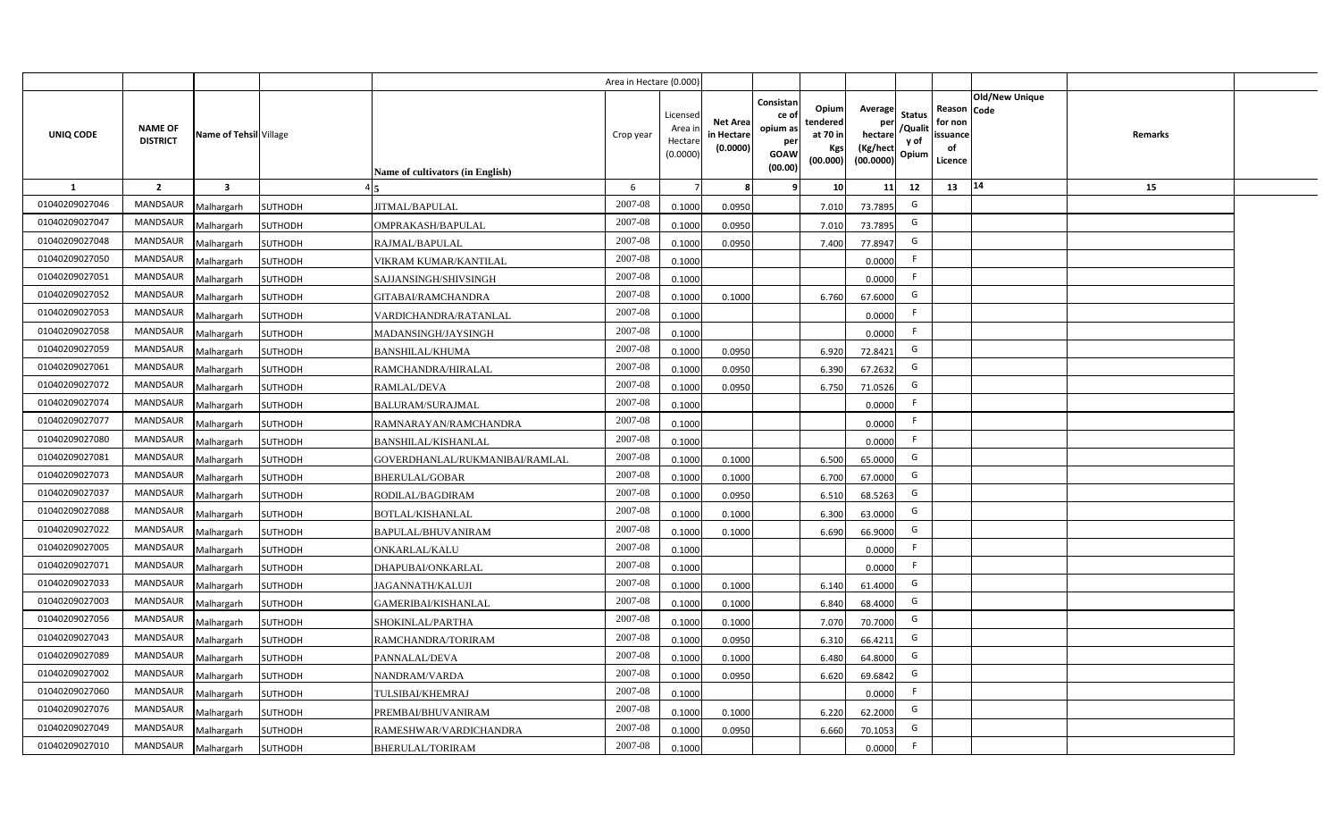|                |                                   |                         |                |                                  | Area in Hectare (0.000) |                                           |                                           |                                                                 |                                                  |                                                    |                                           |                                                     |                       |         |  |
|----------------|-----------------------------------|-------------------------|----------------|----------------------------------|-------------------------|-------------------------------------------|-------------------------------------------|-----------------------------------------------------------------|--------------------------------------------------|----------------------------------------------------|-------------------------------------------|-----------------------------------------------------|-----------------------|---------|--|
| UNIQ CODE      | <b>NAME OF</b><br><b>DISTRICT</b> | Name of Tehsil Village  |                | Name of cultivators (in English) | Crop year               | Licensed<br>Area i<br>Hectare<br>(0.0000) | <b>Net Area</b><br>in Hectare<br>(0.0000) | Consistan<br>ce of<br>opium as<br>per<br><b>GOAW</b><br>(00.00) | Opium<br>tendered<br>at 70 in<br>Kgs<br>(00.000) | Average<br>per<br>hectare<br>(Kg/hect<br>(00.0000) | <b>Status</b><br>/Qualit<br>y of<br>Opium | Reason Code<br>for non<br>issuance<br>of<br>Licence | <b>Old/New Unique</b> | Remarks |  |
| 1              | $\overline{2}$                    | $\overline{\mathbf{3}}$ |                |                                  | 6                       |                                           | 8                                         | -9                                                              | 10 <sup>1</sup>                                  | 11                                                 | 12                                        | 13                                                  | 14                    | 15      |  |
| 01040209027046 | <b>MANDSAUR</b>                   | Malhargarh              | <b>SUTHODH</b> | JITMAL/BAPULAL                   | 2007-08                 | 0.1000                                    | 0.0950                                    |                                                                 | 7.010                                            | 73.7895                                            | G                                         |                                                     |                       |         |  |
| 01040209027047 | MANDSAUR                          | Malhargarh              | <b>SUTHODH</b> | OMPRAKASH/BAPULAL                | 2007-08                 | 0.1000                                    | 0.0950                                    |                                                                 | 7.010                                            | 73.7895                                            | G                                         |                                                     |                       |         |  |
| 01040209027048 | <b>MANDSAUR</b>                   | Malhargarh              | <b>SUTHODH</b> | RAJMAL/BAPULAL                   | 2007-08                 | 0.1000                                    | 0.0950                                    |                                                                 | 7.400                                            | 77.8947                                            | G                                         |                                                     |                       |         |  |
| 01040209027050 | <b>MANDSAUR</b>                   | Malhargarh              | SUTHODH        | VIKRAM KUMAR/KANTILAL            | 2007-08                 | 0.1000                                    |                                           |                                                                 |                                                  | 0.0000                                             | -F                                        |                                                     |                       |         |  |
| 01040209027051 | MANDSAUR                          | Malhargarh              | <b>SUTHODH</b> | SAJJANSINGH/SHIVSINGH            | 2007-08                 | 0.1000                                    |                                           |                                                                 |                                                  | 0.0000                                             | -F                                        |                                                     |                       |         |  |
| 01040209027052 | <b>MANDSAUR</b>                   | Malhargarh              | <b>SUTHODH</b> | GITABAI/RAMCHANDRA               | 2007-08                 | 0.1000                                    | 0.1000                                    |                                                                 | 6.760                                            | 67.6000                                            | G                                         |                                                     |                       |         |  |
| 01040209027053 | <b>MANDSAUR</b>                   | Malhargarh              | <b>SUTHODH</b> | VARDICHANDRA/RATANLAL            | 2007-08                 | 0.1000                                    |                                           |                                                                 |                                                  | 0.0000                                             | F                                         |                                                     |                       |         |  |
| 01040209027058 | MANDSAUR                          | Malhargarh              | <b>SUTHODH</b> | MADANSINGH/JAYSINGH              | 2007-08                 | 0.1000                                    |                                           |                                                                 |                                                  | 0.0000                                             | F                                         |                                                     |                       |         |  |
| 01040209027059 | MANDSAUR                          | Malhargarh              | <b>SUTHODH</b> | <b>BANSHILAL/KHUMA</b>           | 2007-08                 | 0.1000                                    | 0.0950                                    |                                                                 | 6.920                                            | 72.8421                                            | G                                         |                                                     |                       |         |  |
| 01040209027061 | MANDSAUR                          | Malhargarh              | <b>SUTHODH</b> | RAMCHANDRA/HIRALAL               | 2007-08                 | 0.1000                                    | 0.0950                                    |                                                                 | 6.390                                            | 67.2632                                            | G                                         |                                                     |                       |         |  |
| 01040209027072 | MANDSAUR                          | Malhargarh              | <b>SUTHODH</b> | <b>RAMLAL/DEVA</b>               | 2007-08                 | 0.1000                                    | 0.0950                                    |                                                                 | 6.750                                            | 71.0526                                            | G                                         |                                                     |                       |         |  |
| 01040209027074 | MANDSAUR                          | Malhargarh              | <b>SUTHODH</b> | <b>BALURAM/SURAJMAL</b>          | 2007-08                 | 0.1000                                    |                                           |                                                                 |                                                  | 0.0000                                             | -F                                        |                                                     |                       |         |  |
| 01040209027077 | <b>MANDSAUR</b>                   | Malhargarh              | <b>SUTHODH</b> | RAMNARAYAN/RAMCHANDRA            | 2007-08                 | 0.1000                                    |                                           |                                                                 |                                                  | 0.0000                                             | F                                         |                                                     |                       |         |  |
| 01040209027080 | <b>MANDSAUR</b>                   | Malhargarh              | <b>SUTHODH</b> | <b>BANSHILAL/KISHANLAL</b>       | 2007-08                 | 0.1000                                    |                                           |                                                                 |                                                  | 0.0000                                             | F                                         |                                                     |                       |         |  |
| 01040209027081 | <b>MANDSAUR</b>                   | Malhargarh              | SUTHODH        | GOVERDHANLAL/RUKMANIBAI/RAMLAL   | 2007-08                 | 0.1000                                    | 0.1000                                    |                                                                 | 6.500                                            | 65.0000                                            | G                                         |                                                     |                       |         |  |
| 01040209027073 | MANDSAUR                          | Malhargarh              | <b>SUTHODH</b> | <b>BHERULAL/GOBAR</b>            | 2007-08                 | 0.1000                                    | 0.1000                                    |                                                                 | 6.700                                            | 67.0000                                            | G                                         |                                                     |                       |         |  |
| 01040209027037 | MANDSAUR                          | Malhargarh              | <b>SUTHODH</b> | RODILAL/BAGDIRAM                 | 2007-08                 | 0.1000                                    | 0.0950                                    |                                                                 | 6.510                                            | 68.5263                                            | G                                         |                                                     |                       |         |  |
| 01040209027088 | <b>MANDSAUR</b>                   | Malhargarh              | <b>SUTHODH</b> | <b>BOTLAL/KISHANLAL</b>          | 2007-08                 | 0.1000                                    | 0.1000                                    |                                                                 | 6.300                                            | 63.0000                                            | G                                         |                                                     |                       |         |  |
| 01040209027022 | <b>MANDSAUR</b>                   | Malhargarh              | <b>SUTHODH</b> | BAPULAL/BHUVANIRAM               | 2007-08                 | 0.1000                                    | 0.1000                                    |                                                                 | 6.690                                            | 66.9000                                            | G                                         |                                                     |                       |         |  |
| 01040209027005 | <b>MANDSAUR</b>                   | Malhargarh              | <b>SUTHODH</b> | <b>ONKARLAL/KALU</b>             | 2007-08                 | 0.1000                                    |                                           |                                                                 |                                                  | 0.0000                                             | F.                                        |                                                     |                       |         |  |
| 01040209027071 | <b>MANDSAUR</b>                   | Malhargarh              | <b>SUTHODH</b> | DHAPUBAI/ONKARLAL                | 2007-08                 | 0.1000                                    |                                           |                                                                 |                                                  | 0.0000                                             | F.                                        |                                                     |                       |         |  |
| 01040209027033 | MANDSAUR                          | Malhargarh              | <b>SUTHODH</b> | <b>JAGANNATH/KALUJI</b>          | 2007-08                 | 0.1000                                    | 0.1000                                    |                                                                 | 6.140                                            | 61.4000                                            | G                                         |                                                     |                       |         |  |
| 01040209027003 | MANDSAUR                          | Malhargarh              | SUTHODH        | GAMERIBAI/KISHANLAL              | 2007-08                 | 0.1000                                    | 0.1000                                    |                                                                 | 6.840                                            | 68.4000                                            | G                                         |                                                     |                       |         |  |
| 01040209027056 | <b>MANDSAUR</b>                   | Malhargarh              | <b>SUTHODH</b> | SHOKINLAL/PARTHA                 | 2007-08                 | 0.1000                                    | 0.1000                                    |                                                                 | 7.070                                            | 70.7000                                            | G                                         |                                                     |                       |         |  |
| 01040209027043 | <b>MANDSAUR</b>                   | Malhargarh              | SUTHODH        | RAMCHANDRA/TORIRAM               | 2007-08                 | 0.1000                                    | 0.0950                                    |                                                                 | 6.31                                             | 66.4211                                            | G                                         |                                                     |                       |         |  |
| 01040209027089 | MANDSAUR                          | Malhargarh              | <b>SUTHODH</b> | PANNALAL/DEVA                    | 2007-08                 | 0.1000                                    | 0.1000                                    |                                                                 | 6.480                                            | 64.8000                                            | G                                         |                                                     |                       |         |  |
| 01040209027002 | MANDSAUR                          | Malhargarh              | <b>SUTHODH</b> | NANDRAM/VARDA                    | 2007-08                 | 0.1000                                    | 0.0950                                    |                                                                 | 6.620                                            | 69.6842                                            | G                                         |                                                     |                       |         |  |
| 01040209027060 | MANDSAUR                          | Malhargarh              | SUTHODH        | TULSIBAI/KHEMRAJ                 | 2007-08                 | 0.1000                                    |                                           |                                                                 |                                                  | 0.0000                                             | F                                         |                                                     |                       |         |  |
| 01040209027076 | MANDSAUR                          | Malhargarh              | <b>SUTHODH</b> | PREMBAI/BHUVANIRAM               | 2007-08                 | 0.1000                                    | 0.1000                                    |                                                                 | 6.220                                            | 62.2000                                            | G                                         |                                                     |                       |         |  |
| 01040209027049 | MANDSAUR                          | Malhargarh              | <b>SUTHODH</b> | RAMESHWAR/VARDICHANDRA           | 2007-08                 | 0.1000                                    | 0.0950                                    |                                                                 | 6.660                                            | 70.1053                                            | G                                         |                                                     |                       |         |  |
| 01040209027010 | MANDSAUR                          | Malhargarh              | <b>SUTHODH</b> | <b>BHERULAL/TORIRAM</b>          | 2007-08                 | 0.1000                                    |                                           |                                                                 |                                                  | 0.0000                                             | F.                                        |                                                     |                       |         |  |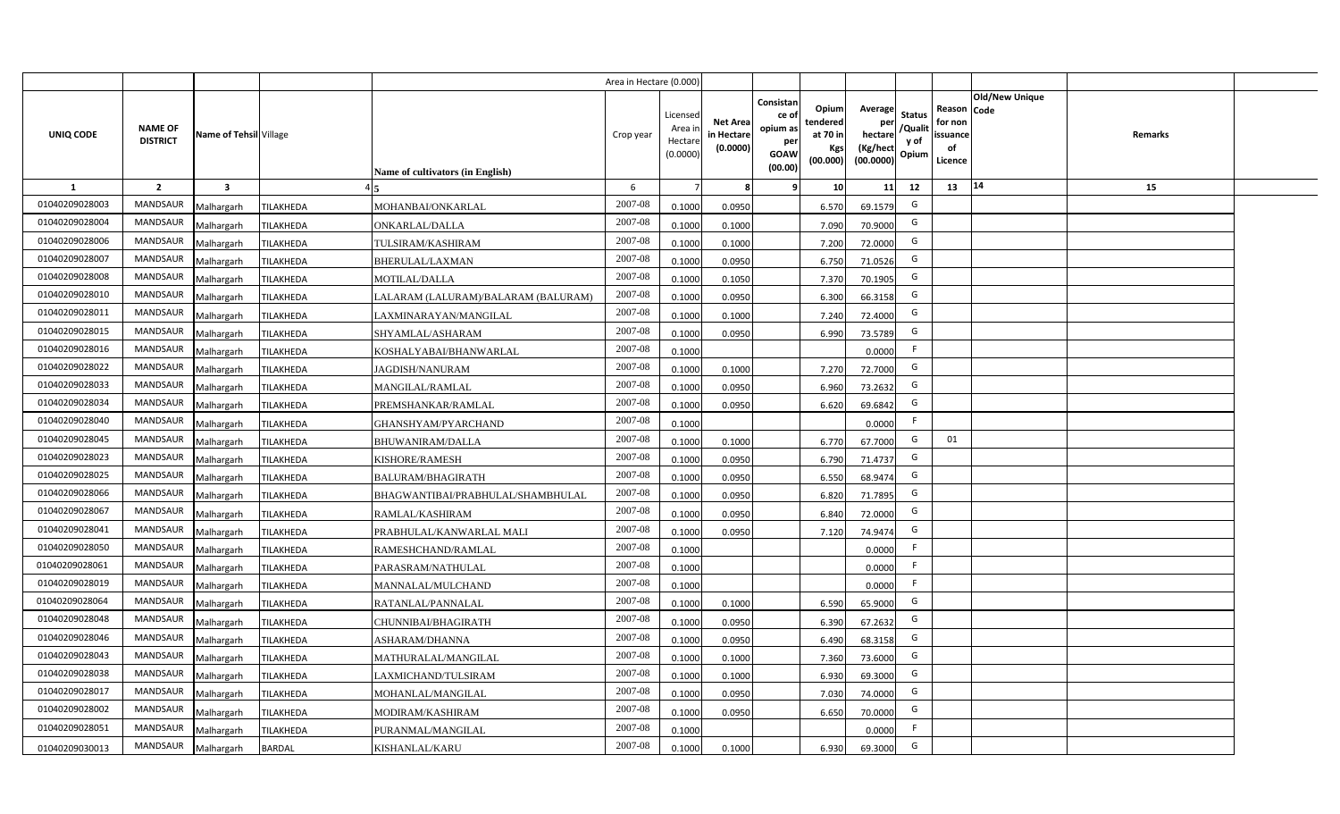|                |                                   |                         |                  |                                     | Area in Hectare (0.000) |                                           |                                           |                                                                                                                     |                                                    |                                           |                                                     |                       |         |  |
|----------------|-----------------------------------|-------------------------|------------------|-------------------------------------|-------------------------|-------------------------------------------|-------------------------------------------|---------------------------------------------------------------------------------------------------------------------|----------------------------------------------------|-------------------------------------------|-----------------------------------------------------|-----------------------|---------|--|
| UNIQ CODE      | <b>NAME OF</b><br><b>DISTRICT</b> | Name of Tehsil Village  |                  | Name of cultivators (in English)    | Crop year               | Licensed<br>Area i<br>Hectare<br>(0.0000) | <b>Net Area</b><br>in Hectare<br>(0.0000) | Consistan<br>Opium<br>ce of<br>tendered<br>opium as<br>at 70 in<br>per<br>Kgs<br><b>GOAW</b><br>(00.000)<br>(00.00) | Average<br>per<br>hectare<br>(Kg/hect<br>(00.0000) | <b>Status</b><br>/Qualit<br>y of<br>Opium | Reason Code<br>for non<br>issuance<br>of<br>Licence | <b>Old/New Unique</b> | Remarks |  |
| 1              | $\overline{2}$                    | $\overline{\mathbf{3}}$ |                  |                                     | 6                       |                                           | 8                                         | 10<br>-9                                                                                                            | 11                                                 | 12                                        | 13                                                  | 14                    | 15      |  |
| 01040209028003 | <b>MANDSAUR</b>                   | Malhargarh              | <b>TILAKHEDA</b> | MOHANBAI/ONKARLAL                   | 2007-08                 | 0.1000                                    | 0.0950                                    | 6.570                                                                                                               | 69.1579                                            | G                                         |                                                     |                       |         |  |
| 01040209028004 | MANDSAUR                          | Malhargarh              | <b>TILAKHEDA</b> | <b>ONKARLAL/DALLA</b>               | 2007-08                 | 0.1000                                    | 0.1000                                    | 7.090                                                                                                               | 70.9000                                            | G                                         |                                                     |                       |         |  |
| 01040209028006 | <b>MANDSAUR</b>                   | Malhargarh              | <b>TILAKHEDA</b> | TULSIRAM/KASHIRAM                   | 2007-08                 | 0.1000                                    | 0.1000                                    | 7.200                                                                                                               | 72.0000                                            | G                                         |                                                     |                       |         |  |
| 01040209028007 | <b>MANDSAUR</b>                   | Malhargarh              | <b>TILAKHEDA</b> | <b>BHERULAL/LAXMAN</b>              | 2007-08                 | 0.1000                                    | 0.0950                                    | 6.750                                                                                                               | 71.0526                                            | G                                         |                                                     |                       |         |  |
| 01040209028008 | MANDSAUR                          | Malhargarh              | TILAKHEDA        | MOTILAL/DALLA                       | 2007-08                 | 0.1000                                    | 0.1050                                    | 7.370                                                                                                               | 70.1905                                            | G                                         |                                                     |                       |         |  |
| 01040209028010 | <b>MANDSAUR</b>                   | Malhargarh              | <b>TILAKHEDA</b> | LALARAM (LALURAM)/BALARAM (BALURAM) | 2007-08                 | 0.1000                                    | 0.0950                                    | 6.300                                                                                                               | 66.3158                                            | G                                         |                                                     |                       |         |  |
| 01040209028011 | <b>MANDSAUR</b>                   | Malhargarh              | TILAKHEDA        | LAXMINARAYAN/MANGILAL               | 2007-08                 | 0.1000                                    | 0.1000                                    | 7.240                                                                                                               | 72.4000                                            | G                                         |                                                     |                       |         |  |
| 01040209028015 | MANDSAUR                          | Malhargarh              | <b>TILAKHEDA</b> | SHYAMLAL/ASHARAM                    | 2007-08                 | 0.1000                                    | 0.0950                                    | 6.990                                                                                                               | 73.5789                                            | G                                         |                                                     |                       |         |  |
| 01040209028016 | MANDSAUR                          | Malhargarh              | TILAKHEDA        | KOSHALYABAI/BHANWARLAL              | 2007-08                 | 0.1000                                    |                                           |                                                                                                                     | 0.0000                                             | F.                                        |                                                     |                       |         |  |
| 01040209028022 | MANDSAUR                          | Malhargarh              | <b>TILAKHEDA</b> | <b>JAGDISH/NANURAM</b>              | 2007-08                 | 0.1000                                    | 0.1000                                    | 7.270                                                                                                               | 72.7000                                            | G                                         |                                                     |                       |         |  |
| 01040209028033 | <b>MANDSAUR</b>                   | Malhargarh              | <b>TILAKHEDA</b> | <b>MANGILAL/RAMLAL</b>              | 2007-08                 | 0.1000                                    | 0.0950                                    | 6.960                                                                                                               | 73.2632                                            | G                                         |                                                     |                       |         |  |
| 01040209028034 | MANDSAUR                          | Malhargarh              | <b>TILAKHEDA</b> | PREMSHANKAR/RAMLAL                  | 2007-08                 | 0.1000                                    | 0.0950                                    | 6.620                                                                                                               | 69.6842                                            | G                                         |                                                     |                       |         |  |
| 01040209028040 | <b>MANDSAUR</b>                   | Malhargarh              | <b>TILAKHEDA</b> | GHANSHYAM/PYARCHAND                 | 2007-08                 | 0.1000                                    |                                           |                                                                                                                     | 0.0000                                             | F                                         |                                                     |                       |         |  |
| 01040209028045 | <b>MANDSAUR</b>                   | Malhargarh              | <b>TILAKHEDA</b> | <b>BHUWANIRAM/DALLA</b>             | 2007-08                 | 0.1000                                    | 0.1000                                    | 6.770                                                                                                               | 67.7000                                            | G                                         | 01                                                  |                       |         |  |
| 01040209028023 | <b>MANDSAUR</b>                   | Malhargarh              | <b>TILAKHEDA</b> | KISHORE/RAMESH                      | 2007-08                 | 0.1000                                    | 0.0950                                    | 6.790                                                                                                               | 71.4737                                            | G                                         |                                                     |                       |         |  |
| 01040209028025 | MANDSAUR                          | Malhargarh              | <b>TILAKHEDA</b> | <b>BALURAM/BHAGIRATH</b>            | 2007-08                 | 0.1000                                    | 0.0950                                    | 6.550                                                                                                               | 68.9474                                            | G                                         |                                                     |                       |         |  |
| 01040209028066 | MANDSAUR                          | Malhargarh              | <b>TILAKHEDA</b> | BHAGWANTIBAI/PRABHULAL/SHAMBHULAL   | 2007-08                 | 0.1000                                    | 0.0950                                    | 6.820                                                                                                               | 71.7895                                            | G                                         |                                                     |                       |         |  |
| 01040209028067 | <b>MANDSAUR</b>                   | Malhargarh              | <b>TILAKHEDA</b> | RAMLAL/KASHIRAM                     | 2007-08                 | 0.1000                                    | 0.0950                                    | 6.840                                                                                                               | 72.0000                                            | G                                         |                                                     |                       |         |  |
| 01040209028041 | MANDSAUR                          | Malhargarh              | TILAKHEDA        | PRABHULAL/KANWARLAL MALI            | 2007-08                 | 0.1000                                    | 0.0950                                    | 7.120                                                                                                               | 74.9474                                            | G                                         |                                                     |                       |         |  |
| 01040209028050 | <b>MANDSAUR</b>                   | Malhargarh              | <b>TILAKHEDA</b> | RAMESHCHAND/RAMLAL                  | 2007-08                 | 0.1000                                    |                                           |                                                                                                                     | 0.0000                                             | F.                                        |                                                     |                       |         |  |
| 01040209028061 | <b>MANDSAUR</b>                   | Malhargarh              | TILAKHEDA        | PARASRAM/NATHULAL                   | 2007-08                 | 0.1000                                    |                                           |                                                                                                                     | 0.0000                                             | F.                                        |                                                     |                       |         |  |
| 01040209028019 | <b>MANDSAUR</b>                   | Malhargarh              | <b>TILAKHEDA</b> | MANNALAL/MULCHAND                   | 2007-08                 | 0.1000                                    |                                           |                                                                                                                     | 0.0000                                             | -F                                        |                                                     |                       |         |  |
| 01040209028064 | MANDSAUR                          | Malhargarh              | <b>TILAKHEDA</b> | RATANLAL/PANNALAL                   | $2007 - 08$             | 0.1000                                    | 0.1000                                    | 6.590                                                                                                               | 65.9000                                            | G                                         |                                                     |                       |         |  |
| 01040209028048 | <b>MANDSAUR</b>                   | Malhargarh              | <b>TILAKHEDA</b> | CHUNNIBAI/BHAGIRATH                 | 2007-08                 | 0.1000                                    | 0.0950                                    | 6.390                                                                                                               | 67.2632                                            | G                                         |                                                     |                       |         |  |
| 01040209028046 | <b>MANDSAUR</b>                   | Malhargarh              | <b>TILAKHEDA</b> | ASHARAM/DHANNA                      | 2007-08                 | 0.1000                                    | 0.0950                                    | 6.490                                                                                                               | 68.3158                                            | G                                         |                                                     |                       |         |  |
| 01040209028043 | MANDSAUR                          | Malhargarh              | TILAKHEDA        | MATHURALAL/MANGILAL                 | 2007-08                 | 0.1000                                    | 0.1000                                    | 7.360                                                                                                               | 73.6000                                            | G                                         |                                                     |                       |         |  |
| 01040209028038 | MANDSAUR                          | Malhargarh              | <b>TILAKHEDA</b> | LAXMICHAND/TULSIRAM                 | 2007-08                 | 0.1000                                    | 0.1000                                    | 6.930                                                                                                               | 69.3000                                            | G                                         |                                                     |                       |         |  |
| 01040209028017 | MANDSAUR                          | Malhargarh              | TILAKHEDA        | MOHANLAL/MANGILAL                   | 2007-08                 | 0.1000                                    | 0.0950                                    | 7.030                                                                                                               | 74.0000                                            | G                                         |                                                     |                       |         |  |
| 01040209028002 | MANDSAUR                          | Malhargarh              | TILAKHEDA        | MODIRAM/KASHIRAM                    | 2007-08                 | 0.1000                                    | 0.0950                                    | 6.650                                                                                                               | 70.0000                                            | G                                         |                                                     |                       |         |  |
| 01040209028051 | MANDSAUR                          | Malhargarh              | <b>TILAKHEDA</b> | PURANMAL/MANGILAL                   | 2007-08                 | 0.1000                                    |                                           |                                                                                                                     | 0.0000                                             | F                                         |                                                     |                       |         |  |
| 01040209030013 | MANDSAUR                          | Malhargarh              | <b>BARDAL</b>    | KISHANLAL/KARU                      | 2007-08                 | 0.1000                                    | 0.1000                                    | 6.930                                                                                                               | 69.3000                                            | G                                         |                                                     |                       |         |  |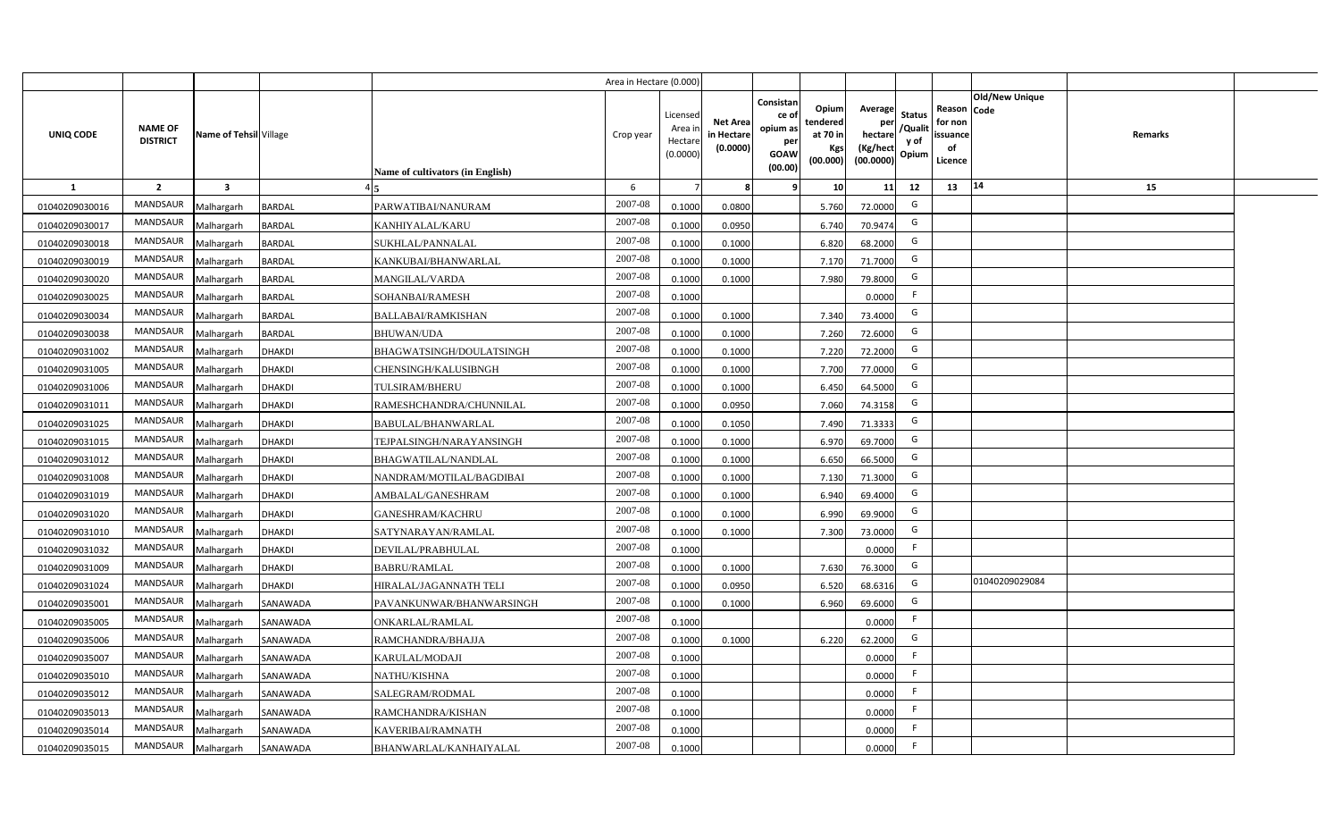|                |                                   |                         |               |                                  | Area in Hectare (0.000) |                                          |                                           |                                                         |                                                  |                                                    |                                           |                                                                       |         |  |
|----------------|-----------------------------------|-------------------------|---------------|----------------------------------|-------------------------|------------------------------------------|-------------------------------------------|---------------------------------------------------------|--------------------------------------------------|----------------------------------------------------|-------------------------------------------|-----------------------------------------------------------------------|---------|--|
| UNIQ CODE      | <b>NAME OF</b><br><b>DISTRICT</b> | Name of Tehsil Village  |               | Name of cultivators (in English) | Crop year               | Licensec<br>Area i<br>Hectar<br>(0.0000) | <b>Net Area</b><br>in Hectare<br>(0.0000) | Consistan<br>ce o<br>opium as<br>per<br>GOAW<br>(00.00) | Opium<br>tendered<br>at 70 in<br>Kgs<br>(00.000) | Average<br>per<br>hectare<br>(Kg/hect<br>(00.0000) | <b>Status</b><br>/Qualit<br>y of<br>Opium | Old/New Unique<br>Reason Code<br>for non<br>issuance<br>of<br>Licence | Remarks |  |
| $\mathbf{1}$   | $\overline{2}$                    | $\overline{\mathbf{3}}$ |               |                                  | 6                       |                                          |                                           |                                                         | 10                                               | 11                                                 | 12                                        | 14<br>13                                                              | 15      |  |
| 01040209030016 | MANDSAUR                          | Malhargarh              | <b>BARDAL</b> | PARWATIBAI/NANURAM               | 2007-08                 | 0.1000                                   | 0.0800                                    |                                                         | 5.760                                            | 72.0000                                            | G                                         |                                                                       |         |  |
| 01040209030017 | MANDSAUR                          | Malhargarh              | <b>BARDAL</b> | KANHIYALAL/KARU                  | 2007-08                 | 0.1000                                   | 0.0950                                    |                                                         | 6.740                                            | 70.9474                                            | G                                         |                                                                       |         |  |
| 01040209030018 | MANDSAUR                          | Malhargarh              | <b>BARDAL</b> | SUKHLAL/PANNALAL                 | 2007-08                 | 0.1000                                   | 0.1000                                    |                                                         | 6.820                                            | 68.2000                                            | G                                         |                                                                       |         |  |
| 01040209030019 | MANDSAUR                          | Malhargarh              | <b>BARDAL</b> | KANKUBAI/BHANWARLAL              | 2007-08                 | 0.100                                    | 0.1000                                    |                                                         | 7.170                                            | 71.7000                                            | G                                         |                                                                       |         |  |
| 01040209030020 | MANDSAUR                          | Malhargarh              | <b>BARDAL</b> | <b>MANGILAL/VARDA</b>            | 2007-08                 | 0.1000                                   | 0.1000                                    |                                                         | 7.980                                            | 79.8000                                            | G                                         |                                                                       |         |  |
| 01040209030025 | MANDSAUR                          | Malhargarh              | <b>BARDAL</b> | SOHANBAI/RAMESH                  | 2007-08                 | 0.1000                                   |                                           |                                                         |                                                  | 0.0000                                             | F                                         |                                                                       |         |  |
| 01040209030034 | MANDSAUR                          | Malhargarh              | <b>BARDAL</b> | BALLABAI/RAMKISHAN               | 2007-08                 | 0.1000                                   | 0.1000                                    |                                                         | 7.340                                            | 73.4000                                            | G                                         |                                                                       |         |  |
| 01040209030038 | MANDSAUR                          | Malhargarh              | <b>BARDAL</b> | <b>BHUWAN/UDA</b>                | 2007-08                 | 0.1000                                   | 0.1000                                    |                                                         | 7.260                                            | 72.6000                                            | G                                         |                                                                       |         |  |
| 01040209031002 | <b>MANDSAUR</b>                   | Malhargarh              | <b>DHAKDI</b> | BHAGWATSINGH/DOULATSINGH         | 2007-08                 | 0.1000                                   | 0.1000                                    |                                                         | 7.220                                            | 72.2000                                            | G                                         |                                                                       |         |  |
| 01040209031005 | <b>MANDSAUR</b>                   | Malhargarh              | <b>DHAKDI</b> | CHENSINGH/KALUSIBNGH             | 2007-08                 | 0.1000                                   | 0.1000                                    |                                                         | 7.700                                            | 77.0000                                            | G                                         |                                                                       |         |  |
| 01040209031006 | MANDSAUR                          | Malhargarh              | <b>DHAKDI</b> | <b>TULSIRAM/BHERU</b>            | 2007-08                 | 0.1000                                   | 0.1000                                    |                                                         | 6.450                                            | 64.5000                                            | G                                         |                                                                       |         |  |
| 01040209031011 | MANDSAUR                          | Malhargarh              | <b>DHAKDI</b> | RAMESHCHANDRA/CHUNNILAL          | 2007-08                 | 0.1000                                   | 0.0950                                    |                                                         | 7.060                                            | 74.3158                                            | G                                         |                                                                       |         |  |
| 01040209031025 | MANDSAUR                          | Malhargarh              | <b>DHAKDI</b> | BABULAL/BHANWARLAL               | 2007-08                 | 0.1000                                   | 0.1050                                    |                                                         | 7.490                                            | 71.3333                                            | G                                         |                                                                       |         |  |
| 01040209031015 | MANDSAUR                          | Malhargarh              | <b>DHAKDI</b> | TEJPALSINGH/NARAYANSINGH         | 2007-08                 | 0.1000                                   | 0.1000                                    |                                                         | 6.970                                            | 69.7000                                            | G                                         |                                                                       |         |  |
| 01040209031012 | MANDSAUR                          | Malhargarh              | <b>DHAKDI</b> | BHAGWATILAL/NANDLAL              | 2007-08                 | 0.1000                                   | 0.1000                                    |                                                         | 6.650                                            | 66.5000                                            | G                                         |                                                                       |         |  |
| 01040209031008 | MANDSAUR                          | Malhargarh              | <b>DHAKDI</b> | NANDRAM/MOTILAL/BAGDIBAI         | 2007-08                 | 0.1000                                   | 0.1000                                    |                                                         | 7.130                                            | 71.3000                                            | G                                         |                                                                       |         |  |
| 01040209031019 | MANDSAUR                          | Malhargarh              | <b>DHAKDI</b> | AMBALAL/GANESHRAM                | 2007-08                 | 0.1000                                   | 0.1000                                    |                                                         | 6.940                                            | 69.4000                                            | G                                         |                                                                       |         |  |
| 01040209031020 | MANDSAUR                          | Malhargarh              | <b>DHAKDI</b> | GANESHRAM/KACHRU                 | 2007-08                 | 0.100                                    | 0.1000                                    |                                                         | 6.990                                            | 69.9000                                            | G                                         |                                                                       |         |  |
| 01040209031010 | MANDSAUR                          | Malhargarh              | <b>DHAKDI</b> | SATYNARAYAN/RAMLAL               | 2007-08                 | 0.100                                    | 0.1000                                    |                                                         | 7.300                                            | 73.0000                                            | G                                         |                                                                       |         |  |
| 01040209031032 | MANDSAUR                          | Malhargarh              | <b>DHAKDI</b> | DEVILAL/PRABHULAL                | 2007-08                 | 0.1000                                   |                                           |                                                         |                                                  | 0.0000                                             | F.                                        |                                                                       |         |  |
| 01040209031009 | MANDSAUR                          | Malhargarh              | DHAKDI        | BABRU/RAMLAL                     | 2007-08                 | 0.1000                                   | 0.1000                                    |                                                         | 7.630                                            | 76.3000                                            | G                                         |                                                                       |         |  |
| 01040209031024 | <b>MANDSAUR</b>                   | Malhargarh              | <b>DHAKDI</b> | HRALAL/JAGANNATH TELI            | 2007-08                 | 0.1000                                   | 0.0950                                    |                                                         | 6.520                                            | 68.6316                                            | G                                         | 01040209029084                                                        |         |  |
| 01040209035001 | MANDSAUR                          | Malhargarh              | SANAWADA      | PAVANKUNWAR/BHANWARSINGH         | 2007-08                 | 0.1000                                   | 0.1000                                    |                                                         | 6.960                                            | 69.6000                                            | G                                         |                                                                       |         |  |
| 01040209035005 | <b>MANDSAUR</b>                   | Malhargarh              | SANAWADA      | <b>ONKARLAL/RAMLAL</b>           | 2007-08                 | 0.1000                                   |                                           |                                                         |                                                  | 0.0000                                             | -F                                        |                                                                       |         |  |
| 01040209035006 | MANDSAUR                          | Malhargarh              | SANAWADA      | RAMCHANDRA/BHAJJA                | 2007-08                 | 0.1000                                   | 0.1000                                    |                                                         | 6.220                                            | 62.2000                                            | G                                         |                                                                       |         |  |
| 01040209035007 | MANDSAUR                          | Malhargarh              | SANAWADA      | KARULAL/MODAJI                   | 2007-08                 | 0.1000                                   |                                           |                                                         |                                                  | 0.0000                                             | F                                         |                                                                       |         |  |
| 01040209035010 | MANDSAUR                          | Malhargarh              | SANAWADA      | NATHU/KISHNA                     | 2007-08                 | 0.1000                                   |                                           |                                                         |                                                  | 0.0000                                             | F                                         |                                                                       |         |  |
| 01040209035012 | MANDSAUR                          | Malhargarh              | SANAWADA      | SALEGRAM/RODMAL                  | 2007-08                 | 0.1000                                   |                                           |                                                         |                                                  | 0.0000                                             | E                                         |                                                                       |         |  |
| 01040209035013 | MANDSAUR                          | Malhargarh              | SANAWADA      | RAMCHANDRA/KISHAN                | 2007-08                 | 0.1000                                   |                                           |                                                         |                                                  | 0.000C                                             | F.                                        |                                                                       |         |  |
| 01040209035014 | MANDSAUR                          | Malhargarh              | SANAWADA      | KAVERIBAI/RAMNATH                | 2007-08                 | 0.1000                                   |                                           |                                                         |                                                  | 0.0000                                             |                                           |                                                                       |         |  |
| 01040209035015 | MANDSAUR                          | Malhargarh              | SANAWADA      | BHANWARLAL/KANHAIYALAL           | 2007-08                 | 0.1000                                   |                                           |                                                         |                                                  | 0.0000                                             | E                                         |                                                                       |         |  |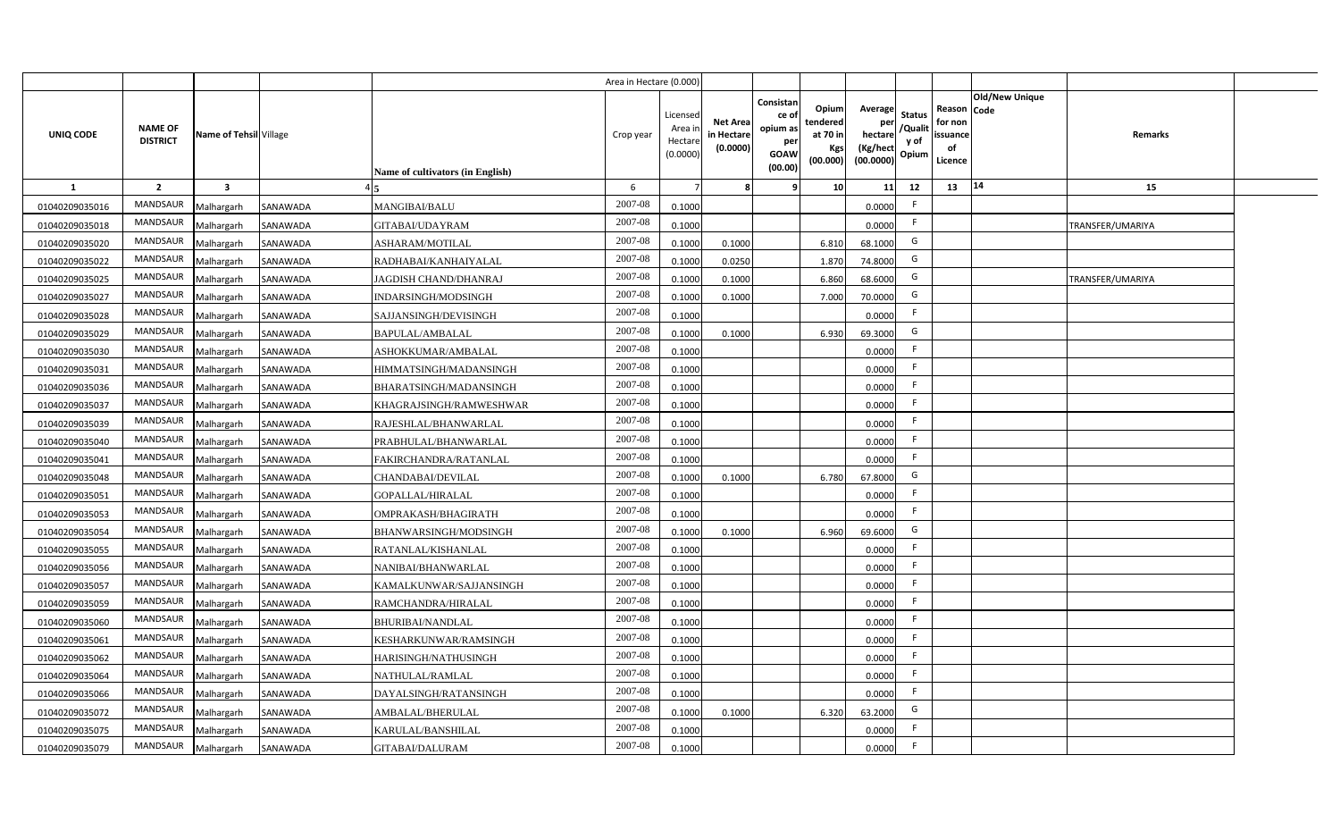|                |                                   |                         |          |                                  | Area in Hectare (0.000 |                                          |                                          |                                                                 |                                                  |                                                    |                                           |                                                     |                |                  |  |
|----------------|-----------------------------------|-------------------------|----------|----------------------------------|------------------------|------------------------------------------|------------------------------------------|-----------------------------------------------------------------|--------------------------------------------------|----------------------------------------------------|-------------------------------------------|-----------------------------------------------------|----------------|------------------|--|
| UNIQ CODE      | <b>NAME OF</b><br><b>DISTRICT</b> | Name of Tehsil Village  |          | Name of cultivators (in English) | Crop year              | Licensed<br>Area i<br>Hectar<br>(0.0000) | <b>Net Area</b><br>in Hectar<br>(0.0000) | Consistan<br>ce of<br>opium as<br>per<br><b>GOAW</b><br>(00.00) | Opium<br>tendered<br>at 70 in<br>Kgs<br>(00.000) | Average<br>per<br>hectare<br>(Kg/hect<br>(00.0000) | <b>Status</b><br>/Qualit<br>y of<br>Opium | Reason Code<br>for non<br>issuance<br>of<br>Licence | Old/New Unique | Remarks          |  |
| $\mathbf{1}$   | $\overline{2}$                    | $\overline{\mathbf{3}}$ |          |                                  | 6                      |                                          |                                          | q                                                               | 10 <sup>1</sup>                                  | 11                                                 | 12                                        | 13                                                  | 14             | 15               |  |
| 01040209035016 | MANDSAUR                          | Malhargarh              | SANAWADA | <b>MANGIBAI/BALU</b>             | 2007-08                | 0.1000                                   |                                          |                                                                 |                                                  | 0.0000                                             | E                                         |                                                     |                |                  |  |
| 01040209035018 | MANDSAUR                          | Malhargarh              | SANAWADA | GITABAI/UDAYRAM                  | 2007-08                | 0.1000                                   |                                          |                                                                 |                                                  | 0.0000                                             | F.                                        |                                                     |                | TRANSFER/UMARIYA |  |
| 01040209035020 | <b>MANDSAUR</b>                   | Malhargarh              | SANAWADA | ASHARAM/MOTILAL                  | 2007-08                | 0.1000                                   | 0.1000                                   |                                                                 | 6.810                                            | 68.1000                                            | G                                         |                                                     |                |                  |  |
| 01040209035022 | MANDSAUR                          | Malhargarh              | SANAWADA | RADHABAI/KANHAIYALAL             | 2007-08                | 0.100                                    | 0.0250                                   |                                                                 | 1.870                                            | 74.8000                                            | G                                         |                                                     |                |                  |  |
| 01040209035025 | MANDSAUR                          | Malhargarh              | SANAWADA | JAGDISH CHAND/DHANRAJ            | 2007-08                | 0.100                                    | 0.1000                                   |                                                                 | 6.860                                            | 68.6000                                            | G                                         |                                                     |                | TRANSFER/UMARIYA |  |
| 01040209035027 | MANDSAUR                          | Malhargarh              | SANAWADA | INDARSINGH/MODSINGH              | 2007-08                | 0.1000                                   | 0.1000                                   |                                                                 | 7.000                                            | 70.0000                                            | G                                         |                                                     |                |                  |  |
| 01040209035028 | MANDSAUR                          | Malhargarh              | SANAWADA | SAJJANSINGH/DEVISINGH            | 2007-08                | 0.1000                                   |                                          |                                                                 |                                                  | 0.0000                                             | F.                                        |                                                     |                |                  |  |
| 01040209035029 | MANDSAUR                          | Malhargarh              | SANAWADA | <b>BAPULAL/AMBALAL</b>           | 2007-08                | 0.1000                                   | 0.1000                                   |                                                                 | 6.930                                            | 69.3000                                            | G                                         |                                                     |                |                  |  |
| 01040209035030 | MANDSAUR                          | Malhargarh              | SANAWADA | ASHOKKUMAR/AMBALAL               | 2007-08                | 0.1000                                   |                                          |                                                                 |                                                  | 0.0000                                             | F.                                        |                                                     |                |                  |  |
| 01040209035031 | MANDSAUR                          | Malhargarh              | SANAWADA | HIMMATSINGH/MADANSINGH           | 2007-08                | 0.1000                                   |                                          |                                                                 |                                                  | 0.0000                                             | -F                                        |                                                     |                |                  |  |
| 01040209035036 | MANDSAUR                          | Malhargarh              | SANAWADA | BHARATSINGH/MADANSINGH           | 2007-08                | 0.1000                                   |                                          |                                                                 |                                                  | 0.0000                                             |                                           |                                                     |                |                  |  |
| 01040209035037 | MANDSAUR                          | Malhargarh              | SANAWADA | KHAGRAJSINGH/RAMWESHWAR          | 2007-08                | 0.1000                                   |                                          |                                                                 |                                                  | 0.0000                                             | F.                                        |                                                     |                |                  |  |
| 01040209035039 | <b>MANDSAUR</b>                   | Malhargarh              | SANAWADA | RAJESHLAL/BHANWARLAL             | 2007-08                | 0.1000                                   |                                          |                                                                 |                                                  | 0.0000                                             | -F                                        |                                                     |                |                  |  |
| 01040209035040 | <b>MANDSAUR</b>                   | Malhargarh              | SANAWADA | PRABHULAL/BHANWARLAL             | 2007-08                | 0.1000                                   |                                          |                                                                 |                                                  | 0.0000                                             | F.                                        |                                                     |                |                  |  |
| 01040209035041 | MANDSAUR                          | Malhargarh              | SANAWADA | FAKIRCHANDRA/RATANLAL            | 2007-08                | 0.1000                                   |                                          |                                                                 |                                                  | 0.0000                                             | E                                         |                                                     |                |                  |  |
| 01040209035048 | <b>MANDSAUR</b>                   | Malhargarh              | SANAWADA | CHANDABAI/DEVILAL                | 2007-08                | 0.1000                                   | 0.1000                                   |                                                                 | 6.780                                            | 67.8000                                            | G                                         |                                                     |                |                  |  |
| 01040209035051 | MANDSAUR                          | Malhargarh              | SANAWADA | GOPALLAL/HIRALAL                 | 2007-08                | 0.1000                                   |                                          |                                                                 |                                                  | 0.0000                                             | -F                                        |                                                     |                |                  |  |
| 01040209035053 | <b>MANDSAUR</b>                   | Malhargarh              | SANAWADA | OMPRAKASH/BHAGIRATH              | 2007-08                | 0.1000                                   |                                          |                                                                 |                                                  | 0.0000                                             | F.                                        |                                                     |                |                  |  |
| 01040209035054 | <b>MANDSAUR</b>                   | Malhargarh              | SANAWADA | BHANWARSINGH/MODSINGH            | 2007-08                | 0.1000                                   | 0.1000                                   |                                                                 | 6.960                                            | 69.6000                                            | G                                         |                                                     |                |                  |  |
| 01040209035055 | <b>MANDSAUR</b>                   | Malhargarh              | SANAWADA | RATANLAL/KISHANLAL               | 2007-08                | 0.1000                                   |                                          |                                                                 |                                                  | 0.0000                                             | F.                                        |                                                     |                |                  |  |
| 01040209035056 | <b>MANDSAUR</b>                   | Malhargarh              | SANAWADA | NANIBAI/BHANWARLAL               | 2007-08                | 0.1000                                   |                                          |                                                                 |                                                  | 0.0000                                             |                                           |                                                     |                |                  |  |
| 01040209035057 | <b>MANDSAUR</b>                   | Malhargarh              | SANAWADA | KAMALKUNWAR/SAJJANSINGH          | 2007-08                | 0.100                                    |                                          |                                                                 |                                                  | 0.0000                                             |                                           |                                                     |                |                  |  |
| 01040209035059 | <b>MANDSAUR</b>                   | Malhargarh              | SANAWADA | RAMCHANDRA/HIRALAL               | 2007-08                | 0.100                                    |                                          |                                                                 |                                                  | 0.0000                                             | -F                                        |                                                     |                |                  |  |
| 01040209035060 | <b>MANDSAUR</b>                   | Malhargarh              | SANAWADA | <b>BHURIBAI/NANDLAL</b>          | 2007-08                | 0.1000                                   |                                          |                                                                 |                                                  | 0.0000                                             | -F                                        |                                                     |                |                  |  |
| 01040209035061 | <b>MANDSAUR</b>                   | Malhargarh              | SANAWADA | KESHARKUNWAR/RAMSINGH            | 2007-08                | 0.1000                                   |                                          |                                                                 |                                                  | 0.0000                                             | E                                         |                                                     |                |                  |  |
| 01040209035062 | MANDSAUR                          | Malhargarh              | SANAWADA | HARISINGH/NATHUSINGH             | 2007-08                | 0.1000                                   |                                          |                                                                 |                                                  | 0.0000                                             | F                                         |                                                     |                |                  |  |
| 01040209035064 | MANDSAUR                          | Malhargarh              | SANAWADA | <b>NATHULAL/RAMLAL</b>           | 2007-08                | 0.1000                                   |                                          |                                                                 |                                                  | 0.0000                                             | F                                         |                                                     |                |                  |  |
| 01040209035066 | MANDSAUR                          | Malhargarh              | SANAWADA | DAYALSINGH/RATANSINGH            | 2007-08                | 0.1000                                   |                                          |                                                                 |                                                  | 0.0000                                             | F                                         |                                                     |                |                  |  |
| 01040209035072 | MANDSAUR                          | Malhargarh              | SANAWADA | AMBALAL/BHERULAL                 | 2007-08                | 0.1000                                   | 0.1000                                   |                                                                 | 6.320                                            | 63.2000                                            | G                                         |                                                     |                |                  |  |
| 01040209035075 | MANDSAUR                          | Malhargarh              | SANAWADA | KARULAL/BANSHILAL                | 2007-08                | 0.1000                                   |                                          |                                                                 |                                                  | 0.0000                                             | E                                         |                                                     |                |                  |  |
| 01040209035079 | MANDSAUR                          | Malhargarh              | SANAWADA | <b>GITABAI/DALURAM</b>           | 2007-08                | 0.1000                                   |                                          |                                                                 |                                                  | 0.0000                                             | -F                                        |                                                     |                |                  |  |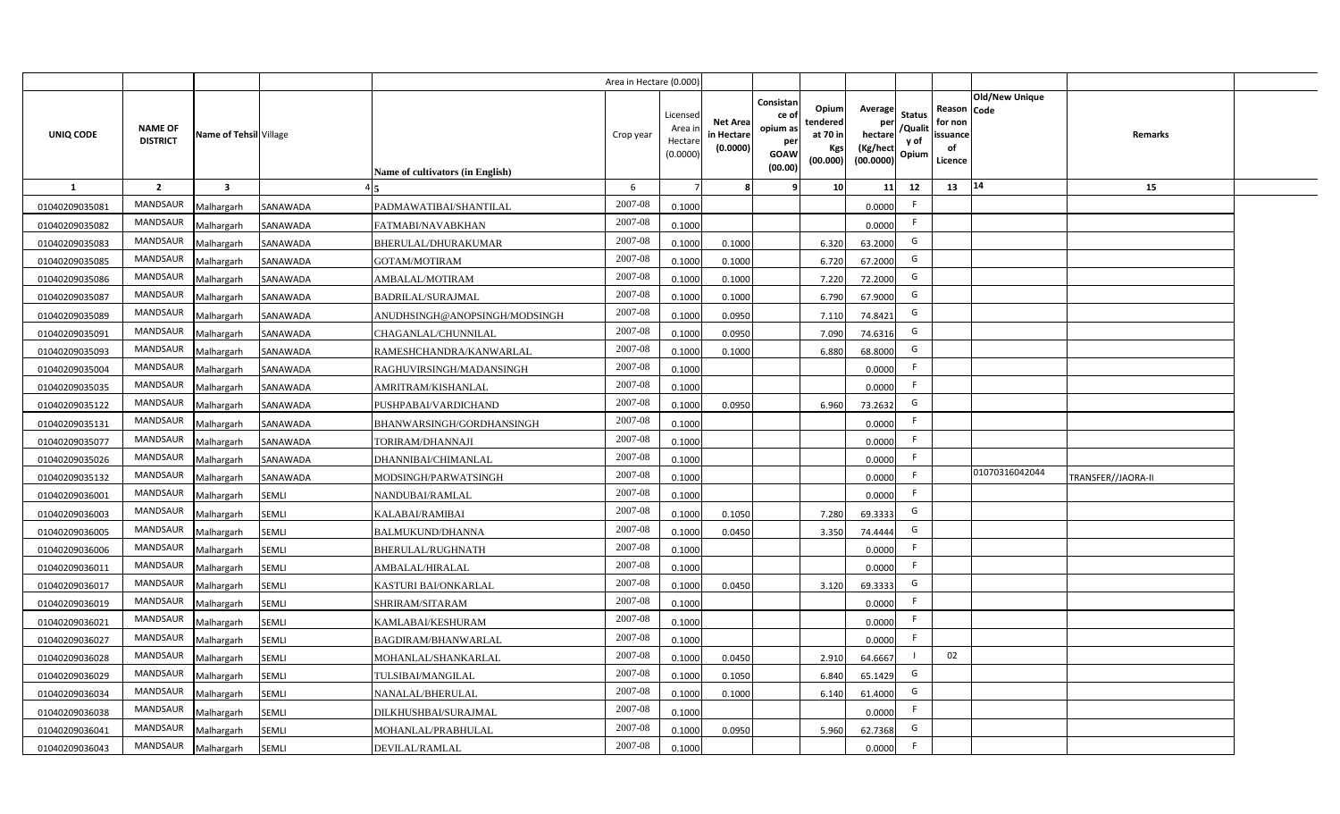|                |                                   |                         |              |                                  | Area in Hectare (0.000 |                                          |                                          |                                                                 |                                                  |                                                    |                                           |                                                     |                |                    |  |
|----------------|-----------------------------------|-------------------------|--------------|----------------------------------|------------------------|------------------------------------------|------------------------------------------|-----------------------------------------------------------------|--------------------------------------------------|----------------------------------------------------|-------------------------------------------|-----------------------------------------------------|----------------|--------------------|--|
| UNIQ CODE      | <b>NAME OF</b><br><b>DISTRICT</b> | Name of Tehsil Village  |              | Name of cultivators (in English) | Crop year              | Licensed<br>Area i<br>Hectar<br>(0.0000) | <b>Net Area</b><br>in Hectar<br>(0.0000) | Consistan<br>ce of<br>opium as<br>per<br><b>GOAW</b><br>(00.00) | Opium<br>tendered<br>at 70 in<br>Kgs<br>(00.000) | Average<br>per<br>hectare<br>(Kg/hect<br>(00.0000) | <b>Status</b><br>/Qualit<br>y of<br>Opium | Reason Code<br>for non<br>issuance<br>of<br>Licence | Old/New Unique | Remarks            |  |
| 1              | $\overline{2}$                    | $\overline{\mathbf{3}}$ |              |                                  | 6                      |                                          |                                          | ٠q                                                              | 10 <sup>1</sup>                                  | 11                                                 | 12                                        | 13                                                  | $\vert 14$     | 15                 |  |
| 01040209035081 | MANDSAUR                          | Malhargarh              | SANAWADA     | PADMAWATIBAI/SHANTILAL           | 2007-08                | 0.1000                                   |                                          |                                                                 |                                                  | 0.0000                                             | -F                                        |                                                     |                |                    |  |
| 01040209035082 | MANDSAUR                          | Malhargarh              | SANAWADA     | FATMABI/NAVABKHAN                | 2007-08                | 0.1000                                   |                                          |                                                                 |                                                  | 0.0000                                             | F.                                        |                                                     |                |                    |  |
| 01040209035083 | <b>MANDSAUR</b>                   | Malhargarh              | SANAWADA     | BHERULAL/DHURAKUMAR              | 2007-08                | 0.1000                                   | 0.1000                                   |                                                                 | 6.320                                            | 63.2000                                            | G                                         |                                                     |                |                    |  |
| 01040209035085 | <b>MANDSAUR</b>                   | Malhargarh              | SANAWADA     | <b>GOTAM/MOTIRAM</b>             | 2007-08                | 0.100                                    | 0.1000                                   |                                                                 | 6.720                                            | 67.2000                                            | G                                         |                                                     |                |                    |  |
| 01040209035086 | MANDSAUR                          | Malhargarh              | SANAWADA     | AMBALAL/MOTIRAM                  | 2007-08                | 0.100                                    | 0.1000                                   |                                                                 | 7.220                                            | 72.2000                                            | G                                         |                                                     |                |                    |  |
| 01040209035087 | <b>MANDSAUR</b>                   | Malhargarh              | SANAWADA     | <b>BADRILAL/SURAJMAL</b>         | 2007-08                | 0.1000                                   | 0.1000                                   |                                                                 | 6.790                                            | 67.9000                                            | G                                         |                                                     |                |                    |  |
| 01040209035089 | MANDSAUR                          | Malhargarh              | SANAWADA     | ANUDHSINGH@ANOPSINGH/MODSINGH    | 2007-08                | 0.1000                                   | 0.0950                                   |                                                                 | 7.110                                            | 74.8421                                            | G                                         |                                                     |                |                    |  |
| 01040209035091 | MANDSAUR                          | Malhargarh              | SANAWADA     | CHAGANLAL/CHUNNILAL              | 2007-08                | 0.1000                                   | 0.0950                                   |                                                                 | 7.090                                            | 74.6316                                            | G                                         |                                                     |                |                    |  |
| 01040209035093 | MANDSAUR                          | Malhargarh              | SANAWADA     | RAMESHCHANDRA/KANWARLAL          | 2007-08                | 0.100                                    | 0.1000                                   |                                                                 | 6.880                                            | 68.8000                                            | G                                         |                                                     |                |                    |  |
| 01040209035004 | MANDSAUR                          | Malhargarh              | SANAWADA     | RAGHUVIRSINGH/MADANSINGH         | 2007-08                | 0.1000                                   |                                          |                                                                 |                                                  | 0.0000                                             | -F                                        |                                                     |                |                    |  |
| 01040209035035 | MANDSAUR                          | Malhargarh              | SANAWADA     | AMRITRAM/KISHANLAL               | 2007-08                | 0.1000                                   |                                          |                                                                 |                                                  | 0.0000                                             |                                           |                                                     |                |                    |  |
| 01040209035122 | MANDSAUR                          | Malhargarh              | SANAWADA     | PUSHPABAI/VARDICHAND             | 2007-08                | 0.1000                                   | 0.0950                                   |                                                                 | 6.960                                            | 73.2632                                            | G                                         |                                                     |                |                    |  |
| 01040209035131 | <b>MANDSAUR</b>                   | Malhargarh              | SANAWADA     | BHANWARSINGH/GORDHANSINGH        | 2007-08                | 0.1000                                   |                                          |                                                                 |                                                  | 0.0000                                             | -F                                        |                                                     |                |                    |  |
| 01040209035077 | <b>MANDSAUR</b>                   | Malhargarh              | SANAWADA     | TORIRAM/DHANNAJI                 | 2007-08                | 0.1000                                   |                                          |                                                                 |                                                  | 0.0000                                             | -F                                        |                                                     |                |                    |  |
| 01040209035026 | MANDSAUR                          | Malhargarh              | SANAWADA     | DHANNIBAI/CHIMANLAL              | 2007-08                | 0.1000                                   |                                          |                                                                 |                                                  | 0.0000                                             | F.                                        |                                                     |                |                    |  |
| 01040209035132 | <b>MANDSAUR</b>                   | Malhargarh              | SANAWADA     | MODSINGH/PARWATSINGH             | 2007-08                | 0.1000                                   |                                          |                                                                 |                                                  | 0.0000                                             | F.                                        |                                                     | 01070316042044 | TRANSFER//JAORA-II |  |
| 01040209036001 | MANDSAUR                          | Malhargarh              | <b>SEMLI</b> | NANDUBAI/RAMLAL                  | 2007-08                | 0.1000                                   |                                          |                                                                 |                                                  | 0.0000                                             | F.                                        |                                                     |                |                    |  |
| 01040209036003 | <b>MANDSAUR</b>                   | Malhargarh              | <b>SEMLI</b> | KALABAI/RAMIBAI                  | 2007-08                | 0.1000                                   | 0.1050                                   |                                                                 | 7.280                                            | 69.3333                                            | G                                         |                                                     |                |                    |  |
| 01040209036005 | <b>MANDSAUR</b>                   | Malhargarh              | <b>SEMLI</b> | BALMUKUND/DHANNA                 | 2007-08                | 0.100                                    | 0.0450                                   |                                                                 | 3.350                                            | 74.4444                                            | G                                         |                                                     |                |                    |  |
| 01040209036006 | <b>MANDSAUR</b>                   | Malhargarh              | <b>SEMLI</b> | <b>BHERULAL/RUGHNATH</b>         | 2007-08                | 0.1000                                   |                                          |                                                                 |                                                  | 0.0000                                             | F.                                        |                                                     |                |                    |  |
| 01040209036011 | <b>MANDSAUR</b>                   | Malhargarh              | SEMLI        | AMBALAL/HIRALAL                  | 2007-08                | 0.1000                                   |                                          |                                                                 |                                                  | 0.0000                                             | -F                                        |                                                     |                |                    |  |
| 01040209036017 | MANDSAUR                          | Malhargarh              | <b>SEMLI</b> | KASTURI BAI/ONKARLAL             | 2007-08                | 0.100                                    | 0.0450                                   |                                                                 | 3.120                                            | 69.3333                                            | G                                         |                                                     |                |                    |  |
| 01040209036019 | MANDSAUR                          | Malhargarh              | <b>SEMLI</b> | SHRIRAM/SITARAM                  | 2007-08                | 0.100                                    |                                          |                                                                 |                                                  | 0.0000                                             | E                                         |                                                     |                |                    |  |
| 01040209036021 | MANDSAUR                          | Malhargarh              | <b>SEMLI</b> | KAMLABAI/KESHURAM                | 2007-08                | 0.1000                                   |                                          |                                                                 |                                                  | 0.0000                                             | -F                                        |                                                     |                |                    |  |
| 01040209036027 | MANDSAUR                          | Malhargarh              | SEMLI        | BAGDIRAM/BHANWARLAL              | 2007-08                | 0.1000                                   |                                          |                                                                 |                                                  | 0.0000                                             | E                                         |                                                     |                |                    |  |
| 01040209036028 | MANDSAUR                          | Malhargarh              | <b>SEMLI</b> | MOHANLAL/SHANKARLAL              | 2007-08                | 0.1000                                   | 0.0450                                   |                                                                 | 2.910                                            | 64.6667                                            |                                           | 02                                                  |                |                    |  |
| 01040209036029 | MANDSAUR                          | Malhargarh              | <b>SEMLI</b> | TULSIBAI/MANGILAL                | 2007-08                | 0.1000                                   | 0.1050                                   |                                                                 | 6.840                                            | 65.1429                                            | G                                         |                                                     |                |                    |  |
| 01040209036034 | MANDSAUR                          | Malhargarh              | <b>SEMLI</b> | NANALAL/BHERULAL                 | 2007-08                | 0.1000                                   | 0.1000                                   |                                                                 | 6.140                                            | 61.4000                                            | G                                         |                                                     |                |                    |  |
| 01040209036038 | MANDSAUR                          | Malhargarh              | <b>SEMLI</b> | DILKHUSHBAI/SURAJMAL             | 2007-08                | 0.1000                                   |                                          |                                                                 |                                                  | 0.0000                                             | F                                         |                                                     |                |                    |  |
| 01040209036041 | MANDSAUR                          | Malhargarh              | <b>SEMLI</b> | MOHANLAL/PRABHULAL               | 2007-08                | 0.1000                                   | 0.0950                                   |                                                                 | 5.960                                            | 62.7368                                            | G                                         |                                                     |                |                    |  |
| 01040209036043 | MANDSAUR                          | Malhargarh              | <b>SEMLI</b> | <b>DEVILAL/RAMLAL</b>            | 2007-08                | 0.1000                                   |                                          |                                                                 |                                                  | 0.0000                                             | -F                                        |                                                     |                |                    |  |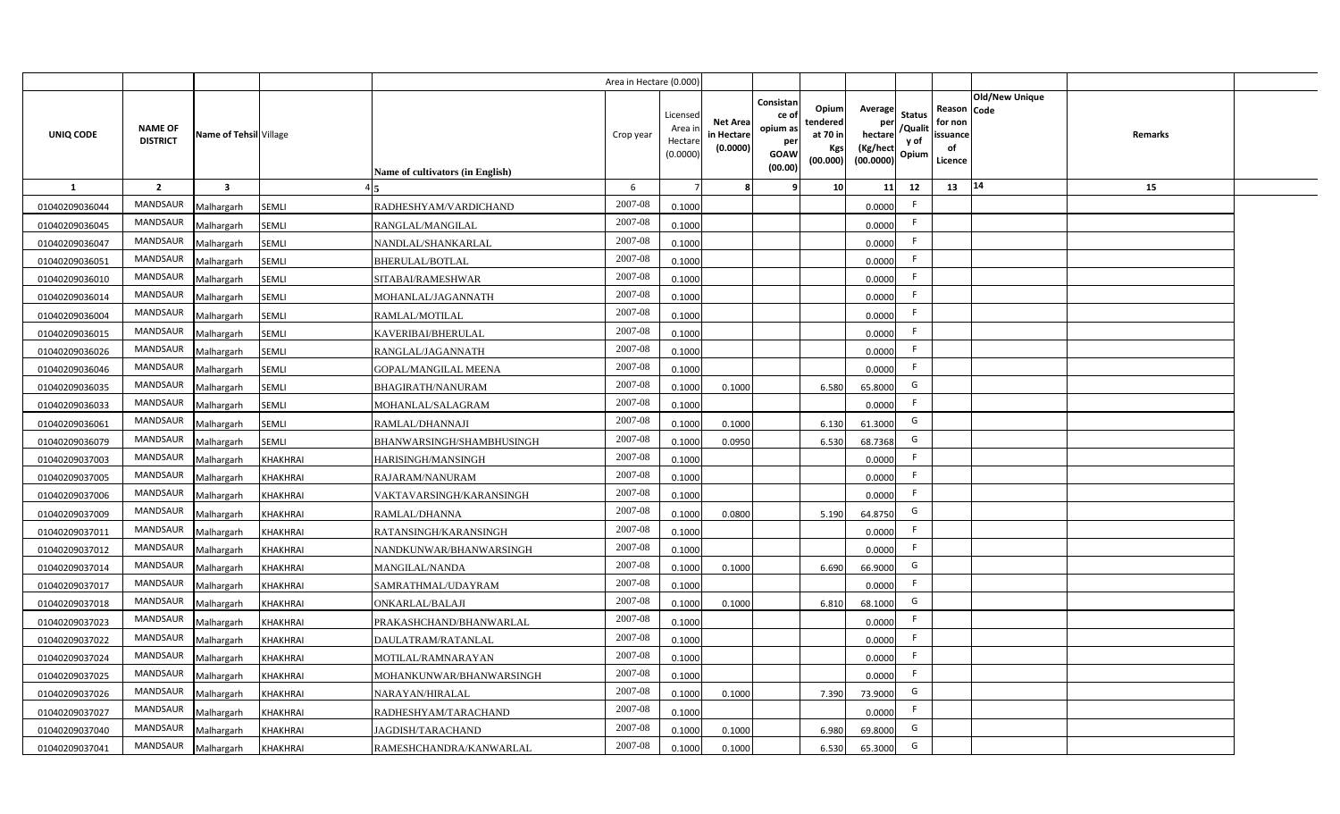|                |                                   |                         |                 |                                  | Area in Hectare (0.000 |                                          |                                           |                                                                 |                                                  |                                                    |                                           |                                                     |                       |         |  |
|----------------|-----------------------------------|-------------------------|-----------------|----------------------------------|------------------------|------------------------------------------|-------------------------------------------|-----------------------------------------------------------------|--------------------------------------------------|----------------------------------------------------|-------------------------------------------|-----------------------------------------------------|-----------------------|---------|--|
| UNIQ CODE      | <b>NAME OF</b><br><b>DISTRICT</b> | Name of Tehsil Village  |                 | Name of cultivators (in English) | Crop year              | Licensec<br>Area i<br>Hectar<br>(0.0000) | <b>Net Area</b><br>in Hectare<br>(0.0000) | Consistan<br>ce of<br>opium as<br>per<br><b>GOAW</b><br>(00.00) | Opium<br>tendered<br>at 70 in<br>Kgs<br>(00.000) | Average<br>per<br>hectare<br>(Kg/hect<br>(00.0000) | <b>Status</b><br>/Qualit<br>y of<br>Opium | Reason Code<br>for non<br>issuance<br>of<br>Licence | <b>Old/New Unique</b> | Remarks |  |
| $\mathbf{1}$   | $\overline{2}$                    | $\overline{\mathbf{3}}$ |                 |                                  | 6                      |                                          |                                           | q                                                               | 10 <sup>1</sup>                                  | 11                                                 | 12                                        | 13                                                  | $\vert 14$            | 15      |  |
| 01040209036044 | MANDSAUR                          | Malhargarh              | <b>SEMLI</b>    | RADHESHYAM/VARDICHAND            | 2007-08                | 0.1000                                   |                                           |                                                                 |                                                  | 0.0000                                             | -F                                        |                                                     |                       |         |  |
| 01040209036045 | MANDSAUR                          | Malhargarh              | <b>SEMLI</b>    | RANGLAL/MANGILAL                 | 2007-08                | 0.1000                                   |                                           |                                                                 |                                                  | 0.0000                                             | -F                                        |                                                     |                       |         |  |
| 01040209036047 | MANDSAUR                          | Malhargarh              | <b>SEMLI</b>    | NANDLAL/SHANKARLAL               | 2007-08                | 0.1000                                   |                                           |                                                                 |                                                  | 0.0000                                             | -F                                        |                                                     |                       |         |  |
| 01040209036051 | <b>MANDSAUR</b>                   | Malhargarh              | <b>SEMLI</b>    | <b>BHERULAL/BOTLAL</b>           | 2007-08                | 0.1000                                   |                                           |                                                                 |                                                  | 0.0000                                             | -F                                        |                                                     |                       |         |  |
| 01040209036010 | MANDSAUR                          | Malhargarh              | SEMLI           | SITABAI/RAMESHWAR                | 2007-08                | 0.1000                                   |                                           |                                                                 |                                                  | 0.0000                                             |                                           |                                                     |                       |         |  |
| 01040209036014 | MANDSAUR                          | Malhargarh              | <b>SEMLI</b>    | MOHANLAL/JAGANNATH               | 2007-08                | 0.1000                                   |                                           |                                                                 |                                                  | 0.0000                                             | F.                                        |                                                     |                       |         |  |
| 01040209036004 | MANDSAUR                          | Malhargarh              | <b>SEMLI</b>    | RAMLAL/MOTILAL                   | 2007-08                | 0.1000                                   |                                           |                                                                 |                                                  | 0.0000                                             | -F                                        |                                                     |                       |         |  |
| 01040209036015 | MANDSAUR                          | Malhargarh              | <b>SEMLI</b>    | KAVERIBAI/BHERULAL               | 2007-08                | 0.1000                                   |                                           |                                                                 |                                                  | 0.0000                                             |                                           |                                                     |                       |         |  |
| 01040209036026 | MANDSAUR                          | Malhargarh              | <b>SEMLI</b>    | RANGLAL/JAGANNATH                | 2007-08                | 0.1000                                   |                                           |                                                                 |                                                  | 0.0000                                             | -F                                        |                                                     |                       |         |  |
| 01040209036046 | MANDSAUR                          | Malhargarh              | SEMLI           | GOPAL/MANGILAL MEENA             | 2007-08                | 0.1000                                   |                                           |                                                                 |                                                  | 0.0000                                             | E                                         |                                                     |                       |         |  |
| 01040209036035 | <b>MANDSAUR</b>                   | Malhargarh              | <b>SEMLI</b>    | BHAGIRATH/NANURAM                | 2007-08                | 0.1000                                   | 0.1000                                    |                                                                 | 6.580                                            | 65.8000                                            | G                                         |                                                     |                       |         |  |
| 01040209036033 | <b>MANDSAUR</b>                   | Malhargarh              | <b>SEMLI</b>    | MOHANLAL/SALAGRAM                | 2007-08                | 0.1000                                   |                                           |                                                                 |                                                  | 0.0000                                             | -F                                        |                                                     |                       |         |  |
| 01040209036061 | <b>MANDSAUR</b>                   | Malhargarh              | SEMLI           | RAMLAL/DHANNAJI                  | 2007-08                | 0.1000                                   | 0.1000                                    |                                                                 | 6.130                                            | 61.3000                                            | G                                         |                                                     |                       |         |  |
| 01040209036079 | <b>MANDSAUR</b>                   | Malhargarh              | <b>SEMLI</b>    | BHANWARSINGH/SHAMBHUSINGH        | 2007-08                | 0.1000                                   | 0.0950                                    |                                                                 | 6.530                                            | 68.7368                                            | G                                         |                                                     |                       |         |  |
| 01040209037003 | <b>MANDSAUR</b>                   | Malhargarh              | <b>KHAKHRAI</b> | HARISINGH/MANSINGH               | 2007-08                | 0.1000                                   |                                           |                                                                 |                                                  | 0.0000                                             | F                                         |                                                     |                       |         |  |
| 01040209037005 | <b>MANDSAUR</b>                   | Malhargarh              | <b>KHAKHRAI</b> | RAJARAM/NANURAM                  | 2007-08                | 0.1000                                   |                                           |                                                                 |                                                  | 0.0000                                             | F.                                        |                                                     |                       |         |  |
| 01040209037006 | <b>MANDSAUR</b>                   | Malhargarh              | <b>KHAKHRAI</b> | VAKTAVARSINGH/KARANSINGH         | 2007-08                | 0.1000                                   |                                           |                                                                 |                                                  | 0.0000                                             | -F                                        |                                                     |                       |         |  |
| 01040209037009 | <b>MANDSAUR</b>                   | Malhargarh              | <b>KHAKHRAI</b> | RAMLAL/DHANNA                    | 2007-08                | 0.100                                    | 0.0800                                    |                                                                 | 5.190                                            | 64.8750                                            | G                                         |                                                     |                       |         |  |
| 01040209037011 | MANDSAUR                          | Malhargarh              | <b>KHAKHRAI</b> | RATANSINGH/KARANSINGH            | 2007-08                | 0.1000                                   |                                           |                                                                 |                                                  | 0.0000                                             | F.                                        |                                                     |                       |         |  |
| 01040209037012 | <b>MANDSAUR</b>                   | Malhargarh              | <b>KHAKHRAI</b> | NANDKUNWAR/BHANWARSINGH          | 2007-08                | 0.100                                    |                                           |                                                                 |                                                  | 0.0000                                             | F.                                        |                                                     |                       |         |  |
| 01040209037014 | MANDSAUR                          | Malhargarh              | <b>KHAKHRAI</b> | <b>MANGILAL/NANDA</b>            | $2007 - 08$            | 0.100                                    | 0.1000                                    |                                                                 | 6.690                                            | 66.9000                                            | G                                         |                                                     |                       |         |  |
| 01040209037017 | MANDSAUR                          | Malhargarh              | <b>KHAKHRAI</b> | SAMRATHMAL/UDAYRAM               | 2007-08                | 0.1000                                   |                                           |                                                                 |                                                  | 0.0000                                             | E                                         |                                                     |                       |         |  |
| 01040209037018 | <b>MANDSAUR</b>                   | Malhargarh              | KHAKHRAI        | ONKARLAL/BALAJI                  | 2007-08                | 0.1000                                   | 0.1000                                    |                                                                 | 6.810                                            | 68.1000                                            | G                                         |                                                     |                       |         |  |
| 01040209037023 | MANDSAUR                          | Malhargarh              | <b>KHAKHRAI</b> | PRAKASHCHAND/BHANWARLAL          | 2007-08                | 0.1000                                   |                                           |                                                                 |                                                  | 0.0000                                             | E                                         |                                                     |                       |         |  |
| 01040209037022 | MANDSAUR                          | Malhargarh              | <b>KHAKHRAI</b> | DAULATRAM/RATANLAL               | 2007-08                | 0.1000                                   |                                           |                                                                 |                                                  | 0.0000                                             | F                                         |                                                     |                       |         |  |
| 01040209037024 | MANDSAUR                          | Malhargarh              | <b>KHAKHRAI</b> | MOTILAL/RAMNARAYAN               | 2007-08                | 0.1000                                   |                                           |                                                                 |                                                  | 0.0000                                             | -F                                        |                                                     |                       |         |  |
| 01040209037025 | MANDSAUR                          | Malhargarh              | <b>KHAKHRAI</b> | MOHANKUNWAR/BHANWARSINGH         | 2007-08                | 0.1000                                   |                                           |                                                                 |                                                  | 0.0000                                             | E                                         |                                                     |                       |         |  |
| 01040209037026 | MANDSAUR                          | Malhargarh              | <b>KHAKHRAI</b> | NARAYAN/HIRALAL                  | 2007-08                | 0.1000                                   | 0.1000                                    |                                                                 | 7.390                                            | 73.9000                                            | G                                         |                                                     |                       |         |  |
| 01040209037027 | MANDSAUR                          | Malhargarh              | <b>KHAKHRAI</b> | RADHESHYAM/TARACHAND             | 2007-08                | 0.1000                                   |                                           |                                                                 |                                                  | 0.0000                                             | E                                         |                                                     |                       |         |  |
| 01040209037040 | MANDSAUR                          | Malhargarh              | <b>KHAKHRAI</b> | JAGDISH/TARACHAND                | 2007-08                | 0.1000                                   | 0.1000                                    |                                                                 | 6.980                                            | 69.8000                                            | G                                         |                                                     |                       |         |  |
| 01040209037041 | MANDSAUR                          | Malhargarh              | <b>KHAKHRAI</b> | RAMESHCHANDRA/KANWARLAL          | 2007-08                | 0.1000                                   | 0.1000                                    |                                                                 | 6.530                                            | 65.3000                                            | G                                         |                                                     |                       |         |  |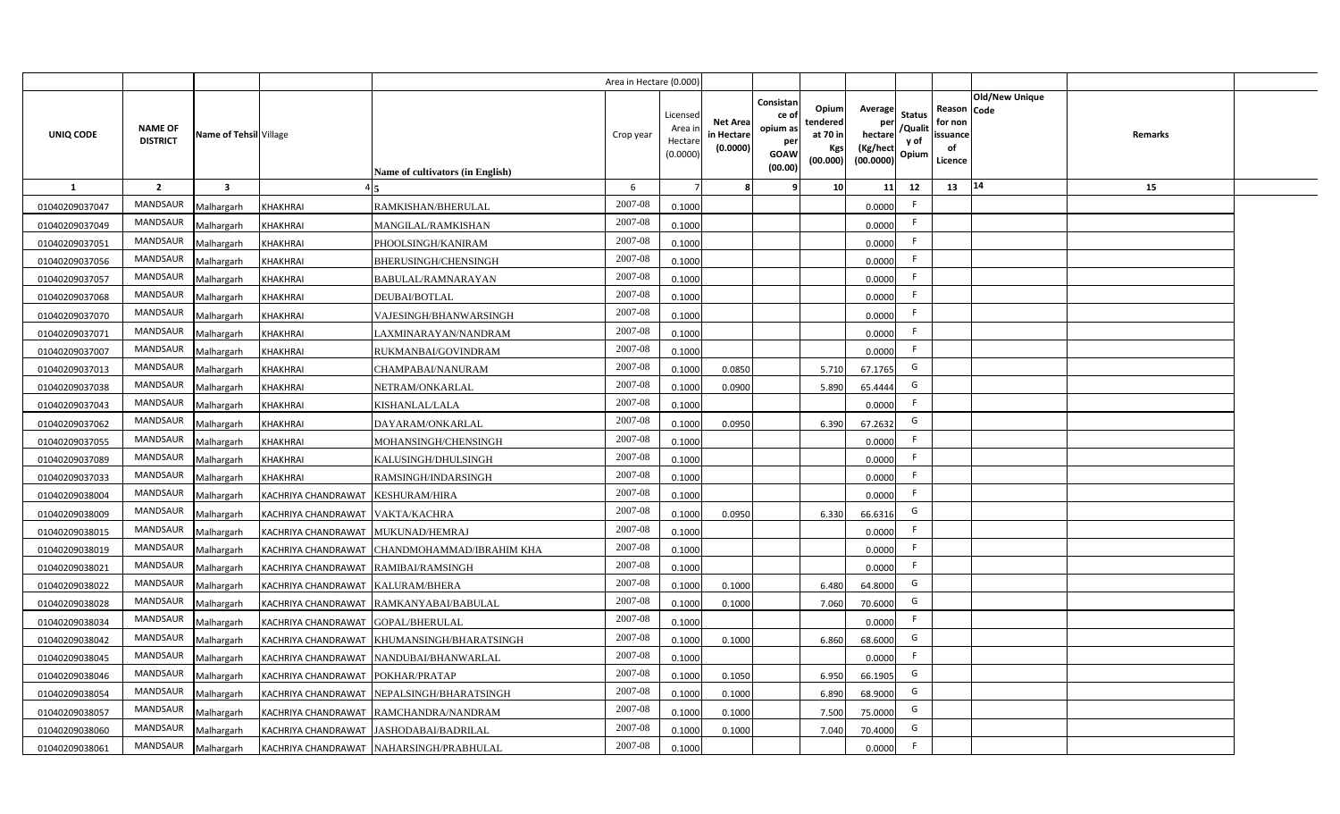|                |                                   |                         |                                      |                                             | Area in Hectare (0.000 |                                          |                                           |                                                                 |                                                  |                                                    |                                           |                                                     |                |         |  |
|----------------|-----------------------------------|-------------------------|--------------------------------------|---------------------------------------------|------------------------|------------------------------------------|-------------------------------------------|-----------------------------------------------------------------|--------------------------------------------------|----------------------------------------------------|-------------------------------------------|-----------------------------------------------------|----------------|---------|--|
| UNIQ CODE      | <b>NAME OF</b><br><b>DISTRICT</b> | Name of Tehsil Village  |                                      | Name of cultivators (in English)            | Crop year              | Licensed<br>Area i<br>Hectar<br>(0.0000) | <b>Net Area</b><br>in Hectare<br>(0.0000) | Consistan<br>ce of<br>opium as<br>per<br><b>GOAW</b><br>(00.00) | Opium<br>tendered<br>at 70 in<br>Kgs<br>(00.000) | Average<br>per<br>hectare<br>(Kg/hect<br>(00.0000) | <b>Status</b><br>/Qualit<br>y of<br>Opium | Reason Code<br>for non<br>issuance<br>of<br>Licence | Old/New Unique | Remarks |  |
| 1              | $\overline{2}$                    | $\overline{\mathbf{3}}$ |                                      |                                             | 6                      |                                          |                                           | ٠q                                                              | 10 <sup>1</sup>                                  | 11                                                 | 12                                        | 13                                                  | $\vert 14$     | 15      |  |
| 01040209037047 | MANDSAUR                          | Malhargarh              | <b>KHAKHRAI</b>                      | RAMKISHAN/BHERULAL                          | 2007-08                | 0.1000                                   |                                           |                                                                 |                                                  | 0.0000                                             | -F                                        |                                                     |                |         |  |
| 01040209037049 | MANDSAUR                          | Malhargarh              | <b>KHAKHRAI</b>                      | MANGILAL/RAMKISHAN                          | 2007-08                | 0.1000                                   |                                           |                                                                 |                                                  | 0.0000                                             | F.                                        |                                                     |                |         |  |
| 01040209037051 | <b>MANDSAUR</b>                   | Malhargarh              | <b>KHAKHRAI</b>                      | PHOOLSINGH/KANIRAM                          | 2007-08                | 0.1000                                   |                                           |                                                                 |                                                  | 0.0000                                             |                                           |                                                     |                |         |  |
| 01040209037056 | <b>MANDSAUR</b>                   | Malhargarh              | <b>KHAKHRAI</b>                      | BHERUSINGH/CHENSINGH                        | 2007-08                | 0.1000                                   |                                           |                                                                 |                                                  | 0.0000                                             | -F                                        |                                                     |                |         |  |
| 01040209037057 | MANDSAUR                          | Malhargarh              | <b>KHAKHRAI</b>                      | BABULAL/RAMNARAYAN                          | 2007-08                | 0.1000                                   |                                           |                                                                 |                                                  | 0.0000                                             |                                           |                                                     |                |         |  |
| 01040209037068 | <b>MANDSAUR</b>                   | Malhargarh              | <b>KHAKHRAI</b>                      | DEUBAI/BOTLAL                               | 2007-08                | 0.1000                                   |                                           |                                                                 |                                                  | 0.0000                                             | F.                                        |                                                     |                |         |  |
| 01040209037070 | MANDSAUR                          | Malhargarh              | <b>KHAKHRAI</b>                      | VAJESINGH/BHANWARSINGH                      | 2007-08                | 0.1000                                   |                                           |                                                                 |                                                  | 0.0000                                             |                                           |                                                     |                |         |  |
| 01040209037071 | MANDSAUR                          | Malhargarh              | <b>KHAKHRAI</b>                      | LAXMINARAYAN/NANDRAM                        | 2007-08                | 0.1000                                   |                                           |                                                                 |                                                  | 0.0000                                             | E                                         |                                                     |                |         |  |
| 01040209037007 | MANDSAUR                          | Malhargarh              | <b>KHAKHRAI</b>                      | RUKMANBAI/GOVINDRAM                         | 2007-08                | 0.1000                                   |                                           |                                                                 |                                                  | 0.0000                                             | F.                                        |                                                     |                |         |  |
| 01040209037013 | MANDSAUR                          | Malhargarh              | <b>KHAKHRAI</b>                      | CHAMPABAI/NANURAM                           | 2007-08                | 0.100                                    | 0.0850                                    |                                                                 | 5.710                                            | 67.1765                                            | G                                         |                                                     |                |         |  |
| 01040209037038 | MANDSAUR                          | Malhargarh              | <b>KHAKHRAI</b>                      | NETRAM/ONKARLAL                             | 2007-08                | 0.1000                                   | 0.0900                                    |                                                                 | 5.890                                            | 65.4444                                            | G                                         |                                                     |                |         |  |
| 01040209037043 | MANDSAUR                          | Malhargarh              | <b>KHAKHRAI</b>                      | KISHANLAL/LALA                              | 2007-08                | 0.1000                                   |                                           |                                                                 |                                                  | 0.0000                                             | -F                                        |                                                     |                |         |  |
| 01040209037062 | <b>MANDSAUR</b>                   | Malhargarh              | <b>KHAKHRAI</b>                      | DAYARAM/ONKARLAL                            | 2007-08                | 0.1000                                   | 0.0950                                    |                                                                 | 6.390                                            | 67.2632                                            | G                                         |                                                     |                |         |  |
| 01040209037055 | <b>MANDSAUR</b>                   | Malhargarh              | <b>KHAKHRAI</b>                      | MOHANSINGH/CHENSINGH                        | 2007-08                | 0.1000                                   |                                           |                                                                 |                                                  | 0.0000                                             | F.                                        |                                                     |                |         |  |
| 01040209037089 | MANDSAUR                          | Malhargarh              | <b>KHAKHRAI</b>                      | KALUSINGH/DHULSINGH                         | 2007-08                | 0.1000                                   |                                           |                                                                 |                                                  | 0.0000                                             | -F                                        |                                                     |                |         |  |
| 01040209037033 | <b>MANDSAUR</b>                   | Malhargarh              | <b>KHAKHRAI</b>                      | RAMSINGH/INDARSINGH                         | 2007-08                | 0.1000                                   |                                           |                                                                 |                                                  | 0.0000                                             | F.                                        |                                                     |                |         |  |
| 01040209038004 | <b>MANDSAUR</b>                   | Malhargarh              | KACHRIYA CHANDRAWAT                  | <b>KESHURAM/HIRA</b>                        | 2007-08                | 0.1000                                   |                                           |                                                                 |                                                  | 0.0000                                             | -F                                        |                                                     |                |         |  |
| 01040209038009 | <b>MANDSAUR</b>                   | Malhargarh              | KACHRIYA CHANDRAWAT                  | <b>VAKTA/KACHRA</b>                         | 2007-08                | 0.1000                                   | 0.0950                                    |                                                                 | 6.330                                            | 66.6316                                            | G                                         |                                                     |                |         |  |
| 01040209038015 | <b>MANDSAUR</b>                   | Malhargarh              | KACHRIYA CHANDRAWAT                  | MUKUNAD/HEMRAJ                              | 2007-08                | 0.100                                    |                                           |                                                                 |                                                  | 0.0000                                             | F.                                        |                                                     |                |         |  |
| 01040209038019 | <b>MANDSAUR</b>                   | Malhargarh              | KACHRIYA CHANDRAWAT                  | CHANDMOHAMMAD/IBRAHIM KHA                   | 2007-08                | 0.1000                                   |                                           |                                                                 |                                                  | 0.0000                                             | F.                                        |                                                     |                |         |  |
| 01040209038021 | <b>MANDSAUR</b>                   | Malhargarh              | KACHRIYA CHANDRAWAT RAMIBAI/RAMSINGH |                                             | 2007-08                | 0.1000                                   |                                           |                                                                 |                                                  | 0.0000                                             | -F                                        |                                                     |                |         |  |
| 01040209038022 | <b>MANDSAUR</b>                   | Malhargarh              | KACHRIYA CHANDRAWAT KALURAM/BHERA    |                                             | 2007-08                | 0.100                                    | 0.1000                                    |                                                                 | 6.480                                            | 64.8000                                            | G                                         |                                                     |                |         |  |
| 01040209038028 | <b>MANDSAUR</b>                   | Malhargarh              |                                      | KACHRIYA CHANDRAWAT RAMKANYABAI/BABULAL     | 2007-08                | 0.100                                    | 0.1000                                    |                                                                 | 7.060                                            | 70.6000                                            | G                                         |                                                     |                |         |  |
| 01040209038034 | <b>MANDSAUR</b>                   | Malhargarh              | KACHRIYA CHANDRAWAT GOPAL/BHERULAL   |                                             | 2007-08                | 0.1000                                   |                                           |                                                                 |                                                  | 0.0000                                             | -F                                        |                                                     |                |         |  |
| 01040209038042 | <b>MANDSAUR</b>                   | Malhargarh              |                                      | KACHRIYA CHANDRAWAT KHUMANSINGH/BHARATSINGH | 2007-08                | 0.1000                                   | 0.1000                                    |                                                                 | 6.860                                            | 68.6000                                            | G                                         |                                                     |                |         |  |
| 01040209038045 | MANDSAUR                          | Malhargarh              |                                      | KACHRIYA CHANDRAWAT NANDUBAI/BHANWARLAL     | 2007-08                | 0.1000                                   |                                           |                                                                 |                                                  | 0.0000                                             | F                                         |                                                     |                |         |  |
| 01040209038046 | MANDSAUR                          | Malhargarh              | KACHRIYA CHANDRAWAT POKHAR/PRATAP    |                                             | 2007-08                | 0.1000                                   | 0.1050                                    |                                                                 | 6.950                                            | 66.1905                                            | G                                         |                                                     |                |         |  |
| 01040209038054 | MANDSAUR                          | Malhargarh              |                                      | KACHRIYA CHANDRAWAT NEPALSINGH/BHARATSINGH  | 2007-08                | 0.1000                                   | 0.1000                                    |                                                                 | 6.890                                            | 68.9000                                            | G                                         |                                                     |                |         |  |
| 01040209038057 | MANDSAUR                          | Malhargarh              |                                      | KACHRIYA CHANDRAWAT RAMCHANDRA/NANDRAM      | 2007-08                | 0.1000                                   | 0.1000                                    |                                                                 | 7.500                                            | 75.0000                                            | G                                         |                                                     |                |         |  |
| 01040209038060 | MANDSAUR                          | Malhargarh              |                                      | KACHRIYA CHANDRAWAT JASHODABAI/BADRILAL     | 2007-08                | 0.1000                                   | 0.1000                                    |                                                                 | 7.040                                            | 70.4000                                            | G                                         |                                                     |                |         |  |
| 01040209038061 | MANDSAUR                          | Malhargarh              |                                      | KACHRIYA CHANDRAWAT NAHARSINGH/PRABHULAL    | 2007-08                | 0.1000                                   |                                           |                                                                 |                                                  | 0.0000                                             | -F                                        |                                                     |                |         |  |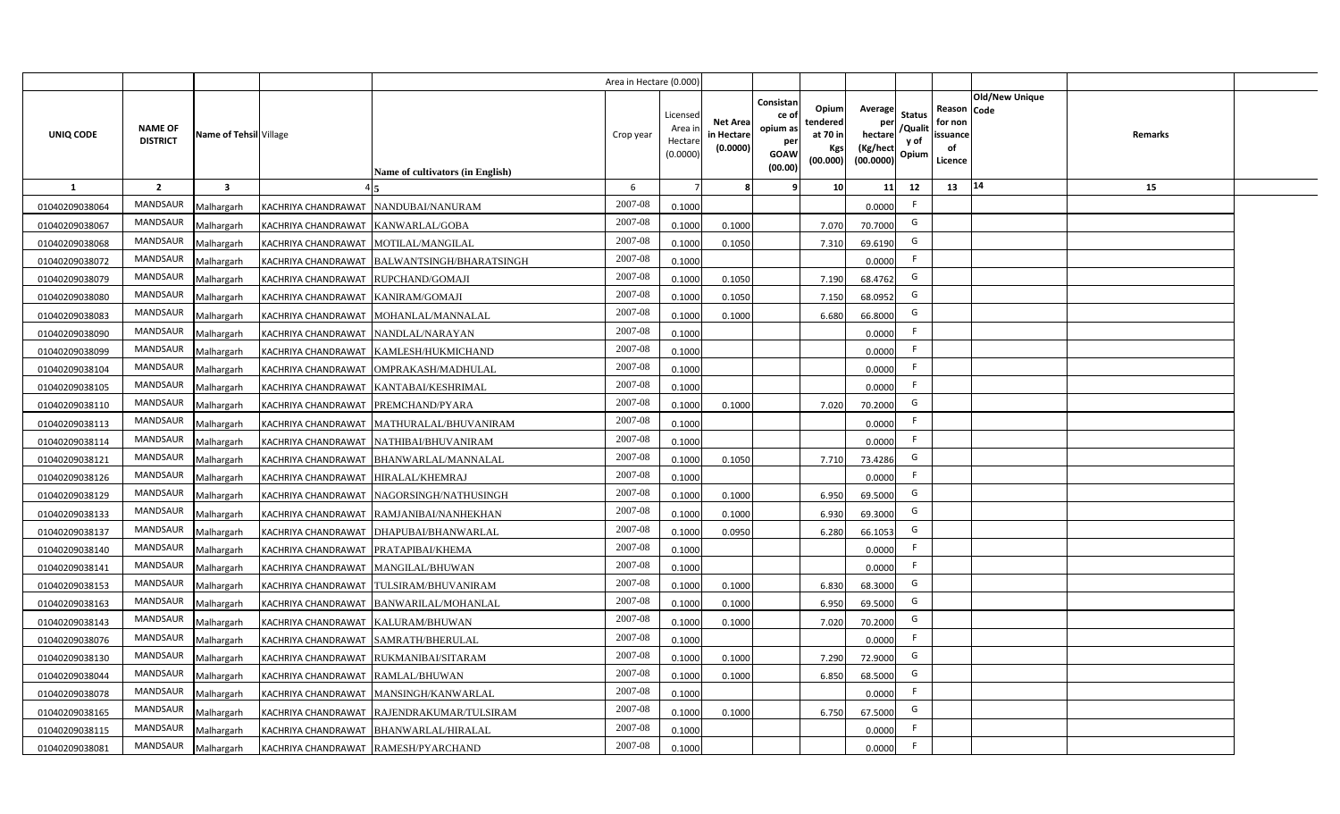|                |                                   |                        |                                        |                                              | Area in Hectare (0.000) |                                           |                                           |                                                         |                                                  |                                                    |                                           |                                                     |                                  |  |
|----------------|-----------------------------------|------------------------|----------------------------------------|----------------------------------------------|-------------------------|-------------------------------------------|-------------------------------------------|---------------------------------------------------------|--------------------------------------------------|----------------------------------------------------|-------------------------------------------|-----------------------------------------------------|----------------------------------|--|
| UNIQ CODE      | <b>NAME OF</b><br><b>DISTRICT</b> | Name of Tehsil Village |                                        | <b>Name of cultivators (in English)</b>      | Crop year               | Licensed<br>Area i<br>Hectare<br>(0.0000) | <b>Net Area</b><br>in Hectare<br>(0.0000) | Consistan<br>ce o<br>opium as<br>per<br>GOAW<br>(00.00) | Opium<br>tendered<br>at 70 in<br>Kgs<br>(00.000) | Average<br>per<br>hectare<br>(Kg/hect<br>(00.0000) | <b>Status</b><br>/Qualit<br>y of<br>Opium | Reason Code<br>for non<br>issuance<br>of<br>Licence | <b>Old/New Unique</b><br>Remarks |  |
| $\mathbf{1}$   | $\overline{2}$                    | 3                      |                                        |                                              | 6                       |                                           | R                                         | ۹                                                       | 10 <sub>1</sub>                                  | 11                                                 | 12                                        | 13                                                  | 14<br>15                         |  |
| 01040209038064 | <b>MANDSAUR</b>                   | Malhargarh             |                                        | KACHRIYA CHANDRAWAT NANDUBAI/NANURAM         | 2007-08                 | 0.1000                                    |                                           |                                                         |                                                  | 0.0000                                             | F                                         |                                                     |                                  |  |
| 01040209038067 | <b>MANDSAUR</b>                   | Malhargarh             | KACHRIYA CHANDRAWAT KANWARLAL/GOBA     |                                              | 2007-08                 | 0.1000                                    | 0.1000                                    |                                                         | 7.070                                            | 70.7000                                            | G                                         |                                                     |                                  |  |
| 01040209038068 | <b>MANDSAUR</b>                   | Malhargarh             | KACHRIYA CHANDRAWAT MOTILAL/MANGILAL   |                                              | 2007-08                 | 0.1000                                    | 0.1050                                    |                                                         | 7.310                                            | 69.6190                                            | G                                         |                                                     |                                  |  |
| 01040209038072 | <b>MANDSAUR</b>                   | Malhargarh             |                                        | KACHRIYA CHANDRAWAT BALWANTSINGH/BHARATSINGH | 2007-08                 | 0.1000                                    |                                           |                                                         |                                                  | 0.0000                                             | F                                         |                                                     |                                  |  |
| 01040209038079 | <b>MANDSAUR</b>                   | Malhargarh             | KACHRIYA CHANDRAWAT RUPCHAND/GOMAJI    |                                              | 2007-08                 | 0.1000                                    | 0.1050                                    |                                                         | 7.190                                            | 68.4762                                            | G                                         |                                                     |                                  |  |
| 01040209038080 | <b>MANDSAUR</b>                   | Malhargarh             | KACHRIYA CHANDRAWAT KANIRAM/GOMAJI     |                                              | 2007-08                 | 0.1000                                    | 0.1050                                    |                                                         | 7.150                                            | 68.0952                                            | G                                         |                                                     |                                  |  |
| 01040209038083 | <b>MANDSAUR</b>                   | Malhargarh             | KACHRIYA CHANDRAWAT                    | MOHANLAL/MANNALAL                            | 2007-08                 | 0.1000                                    | 0.1000                                    |                                                         | 6.680                                            | 66.8000                                            | G                                         |                                                     |                                  |  |
| 01040209038090 | <b>MANDSAUR</b>                   | Malhargarh             | KACHRIYA CHANDRAWAT NANDLAL/NARAYAN    |                                              | 2007-08                 | 0.1000                                    |                                           |                                                         |                                                  | 0.0000                                             | F                                         |                                                     |                                  |  |
| 01040209038099 | <b>MANDSAUR</b>                   | Malhargarh             |                                        | KACHRIYA CHANDRAWAT KAMLESH/HUKMICHAND       | 2007-08                 | 0.1000                                    |                                           |                                                         |                                                  | 0.0000                                             | F.                                        |                                                     |                                  |  |
| 01040209038104 | <b>MANDSAUR</b>                   | Malhargarh             | KACHRIYA CHANDRAWAT                    | OMPRAKASH/MADHULAL                           | 2007-08                 | 0.1000                                    |                                           |                                                         |                                                  | 0.0000                                             | F                                         |                                                     |                                  |  |
| 01040209038105 | <b>MANDSAUR</b>                   | Malhargarh             | KACHRIYA CHANDRAWAT                    | KANTABAI/KESHRIMAL                           | 2007-08                 | 0.1000                                    |                                           |                                                         |                                                  | 0.0000                                             | F                                         |                                                     |                                  |  |
| 01040209038110 | <b>MANDSAUR</b>                   | Malhargarh             | KACHRIYA CHANDRAWAT PREMCHAND/PYARA    |                                              | 2007-08                 | 0.1000                                    | 0.1000                                    |                                                         | 7.020                                            | 70.2000                                            | G                                         |                                                     |                                  |  |
| 01040209038113 | <b>MANDSAUR</b>                   | Malhargarh             |                                        | KACHRIYA CHANDRAWAT MATHURALAL/BHUVANIRAM    | 2007-08                 | 0.1000                                    |                                           |                                                         |                                                  | 0.0000                                             | F.                                        |                                                     |                                  |  |
| 01040209038114 | <b>MANDSAUR</b>                   | Malhargarh             |                                        | KACHRIYA CHANDRAWAT NATHIBAI/BHUVANIRAM      | 2007-08                 | 0.1000                                    |                                           |                                                         |                                                  | 0.0000                                             | -F                                        |                                                     |                                  |  |
| 01040209038121 | <b>MANDSAUR</b>                   | Malhargarh             | KACHRIYA CHANDRAWAT                    | BHANWARLAL/MANNALAL                          | 2007-08                 | 0.1000                                    | 0.1050                                    |                                                         | 7.710                                            | 73.4286                                            | G                                         |                                                     |                                  |  |
| 01040209038126 | <b>MANDSAUR</b>                   | Malhargarh             | KACHRIYA CHANDRAWAT                    | HIRALAL/KHEMRAJ                              | 2007-08                 | 0.1000                                    |                                           |                                                         |                                                  | 0.0000                                             | F                                         |                                                     |                                  |  |
| 01040209038129 | <b>MANDSAUR</b>                   | Malhargarh             | KACHRIYA CHANDRAWAT                    | NAGORSINGH/NATHUSINGH                        | 2007-08                 | 0.1000                                    | 0.1000                                    |                                                         | 6.950                                            | 69.5000                                            | G                                         |                                                     |                                  |  |
| 01040209038133 | <b>MANDSAUR</b>                   | Malhargarh             | KACHRIYA CHANDRAWAT                    | RAMJANIBAI/NANHEKHAN                         | 2007-08                 | 0.1000                                    | 0.1000                                    |                                                         | 6.930                                            | 69.3000                                            | G                                         |                                                     |                                  |  |
| 01040209038137 | <b>MANDSAUR</b>                   | Malhargarh             |                                        | KACHRIYA CHANDRAWAT DHAPUBAI/BHANWARLAL      | 2007-08                 | 0.1000                                    | 0.0950                                    |                                                         | 6.280                                            | 66.1053                                            | G                                         |                                                     |                                  |  |
| 01040209038140 | <b>MANDSAUR</b>                   | Malhargarh             | KACHRIYA CHANDRAWAT   PRATAPIBAI/KHEMA |                                              | $2007 - 08$             | 0.1000                                    |                                           |                                                         |                                                  | 0.0000                                             | F                                         |                                                     |                                  |  |
| 01040209038141 | <b>MANDSAUR</b>                   | Malhargarh             | KACHRIYA CHANDRAWAT MANGILAL/BHUWAN    |                                              | 2007-08                 | 0.1000                                    |                                           |                                                         |                                                  | 0.0000                                             | F                                         |                                                     |                                  |  |
| 01040209038153 | <b>MANDSAUR</b>                   | Malhargarh             |                                        | KACHRIYA CHANDRAWAT TULSIRAM/BHUVANIRAM      | $2007 - 08$             | 0.1000                                    | 0.1000                                    |                                                         | 6.830                                            | 68.3000                                            | G                                         |                                                     |                                  |  |
| 01040209038163 | <b>MANDSAUR</b>                   | Malhargarh             |                                        | KACHRIYA CHANDRAWAT BANWARILAL/MOHANLAL      | 2007-08                 | 0.1000                                    | 0.1000                                    |                                                         | 6.950                                            | 69.5000                                            | G                                         |                                                     |                                  |  |
| 01040209038143 | <b>MANDSAUR</b>                   | Malhargarh             | KACHRIYA CHANDRAWAT KALURAM/BHUWAN     |                                              | 2007-08                 | 0.1000                                    | 0.1000                                    |                                                         | 7.020                                            | 70.2000                                            | G                                         |                                                     |                                  |  |
| 01040209038076 | <b>MANDSAUR</b>                   | Malhargarh             | KACHRIYA CHANDRAWAT SAMRATH/BHERULAL   |                                              | 2007-08                 | 0.1000                                    |                                           |                                                         |                                                  | 0.0000                                             | F                                         |                                                     |                                  |  |
| 01040209038130 | <b>MANDSAUR</b>                   | Malhargarh             |                                        | KACHRIYA CHANDRAWAT RUKMANIBAI/SITARAM       | 2007-08                 | 0.1000                                    | 0.1000                                    |                                                         | 7.290                                            | 72.9000                                            | G                                         |                                                     |                                  |  |
| 01040209038044 | <b>MANDSAUR</b>                   | Malhargarh             | KACHRIYA CHANDRAWAT RAMLAL/BHUWAN      |                                              | 2007-08                 | 0.1000                                    | 0.1000                                    |                                                         | 6.850                                            | 68.5000                                            | G                                         |                                                     |                                  |  |
| 01040209038078 | MANDSAUR                          | Malhargarh             |                                        | KACHRIYA CHANDRAWAT   MANSINGH/KANWARLAL     | 2007-08                 | 0.1000                                    |                                           |                                                         |                                                  | 0.0000                                             | F                                         |                                                     |                                  |  |
| 01040209038165 | MANDSAUR                          | Malhargarh             |                                        | KACHRIYA CHANDRAWAT RAJENDRAKUMAR/TULSIRAM   | 2007-08                 | 0.1000                                    | 0.1000                                    |                                                         | 6.750                                            | 67.5000                                            | G                                         |                                                     |                                  |  |
| 01040209038115 | <b>MANDSAUR</b>                   | Malhargarh             |                                        | KACHRIYA CHANDRAWAT BHANWARLAL/HIRALAL       | 2007-08                 | 0.1000                                    |                                           |                                                         |                                                  | 0.0000                                             | F                                         |                                                     |                                  |  |
| 01040209038081 | MANDSAUR                          | Malhargarh             | KACHRIYA CHANDRAWAT RAMESH/PYARCHAND   |                                              | 2007-08                 | 0.1000                                    |                                           |                                                         |                                                  | 0.0000                                             | F                                         |                                                     |                                  |  |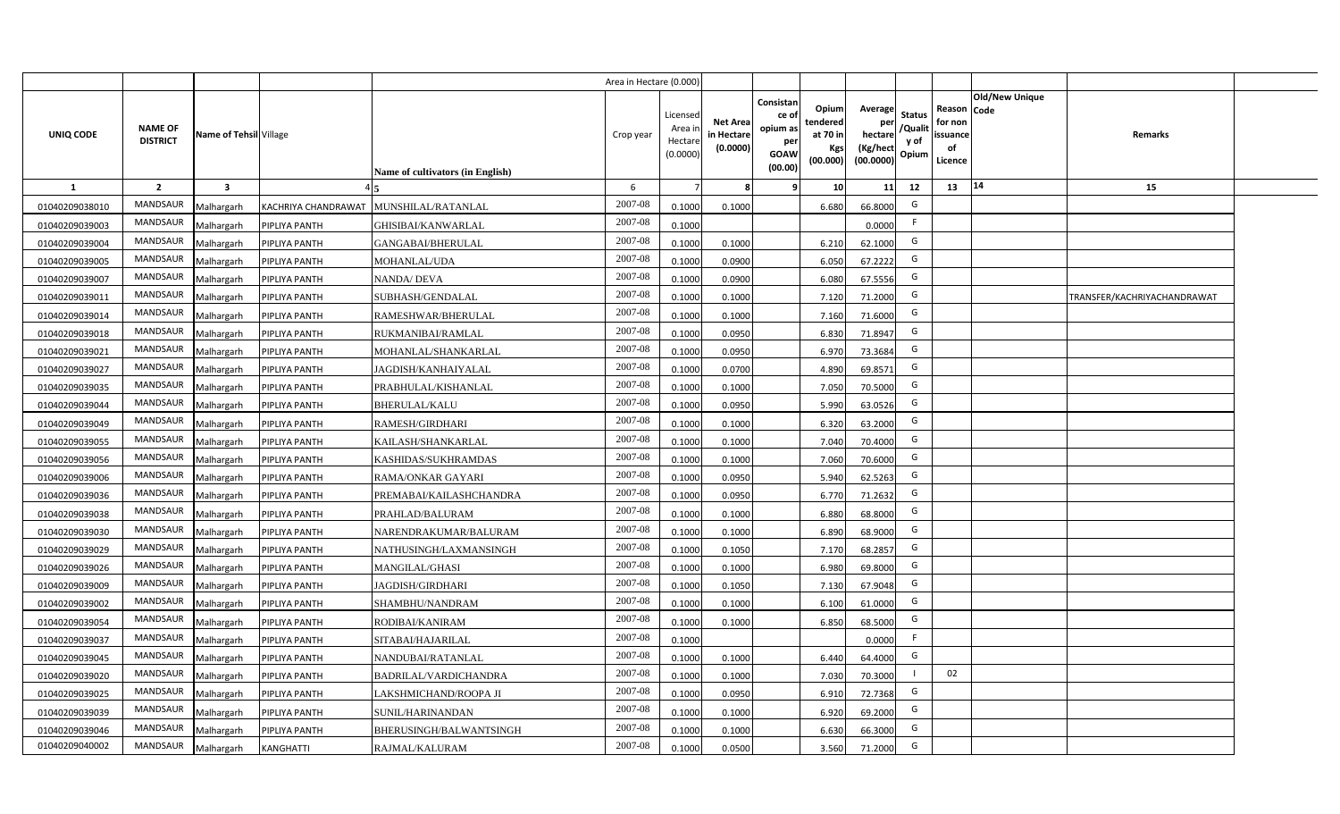|                |                                   |                         |               |                                        | Area in Hectare (0.000 |                                          |                                          |                                                                 |                                                  |                                                    |                                           |                                                     |                |                             |  |
|----------------|-----------------------------------|-------------------------|---------------|----------------------------------------|------------------------|------------------------------------------|------------------------------------------|-----------------------------------------------------------------|--------------------------------------------------|----------------------------------------------------|-------------------------------------------|-----------------------------------------------------|----------------|-----------------------------|--|
| UNIQ CODE      | <b>NAME OF</b><br><b>DISTRICT</b> | Name of Tehsil Village  |               | Name of cultivators (in English)       | Crop year              | Licensed<br>Area i<br>Hectar<br>(0.0000) | <b>Net Area</b><br>in Hectar<br>(0.0000) | Consistan<br>ce of<br>opium as<br>per<br><b>GOAW</b><br>(00.00) | Opium<br>tendered<br>at 70 in<br>Kgs<br>(00.000) | Average<br>per<br>hectare<br>(Kg/hect<br>(00.0000) | <b>Status</b><br>/Qualit<br>y of<br>Opium | Reason Code<br>for non<br>issuance<br>of<br>Licence | Old/New Unique | Remarks                     |  |
| $\mathbf{1}$   | $\overline{2}$                    | $\overline{\mathbf{3}}$ |               |                                        | 6                      |                                          |                                          | 9                                                               | 10 <sup>1</sup>                                  | 11                                                 | 12                                        | 13                                                  | 14             | 15                          |  |
| 01040209038010 | MANDSAUR                          | Malhargarh              |               | KACHRIYA CHANDRAWAT MUNSHILAL/RATANLAL | 2007-08                | 0.1000                                   | 0.1000                                   |                                                                 | 6.680                                            | 66.8000                                            | G                                         |                                                     |                |                             |  |
| 01040209039003 | MANDSAUR                          | Malhargarh              | PIPLIYA PANTH | GHISIBAI/KANWARLAL                     | $2007 - 08$            | 0.1000                                   |                                          |                                                                 |                                                  | 0.0000                                             | F.                                        |                                                     |                |                             |  |
| 01040209039004 | MANDSAUR                          | Malhargarh              | PIPLIYA PANTH | GANGABAI/BHERULAL                      | 2007-08                | 0.1000                                   | 0.1000                                   |                                                                 | 6.210                                            | 62.1000                                            | G                                         |                                                     |                |                             |  |
| 01040209039005 | <b>MANDSAUR</b>                   | Malhargarh              | PIPLIYA PANTH | <b>MOHANLAL/UDA</b>                    | 2007-08                | 0.100                                    | 0.0900                                   |                                                                 | 6.050                                            | 67.2222                                            | G                                         |                                                     |                |                             |  |
| 01040209039007 | MANDSAUR                          | Malhargarh              | PIPLIYA PANTH | <b>NANDA/DEVA</b>                      | 2007-08                | 0.1000                                   | 0.0900                                   |                                                                 | 6.080                                            | 67.5556                                            | G                                         |                                                     |                |                             |  |
| 01040209039011 | MANDSAUR                          | Malhargarh              | PIPLIYA PANTH | SUBHASH/GENDALAL                       | 2007-08                | 0.1000                                   | 0.1000                                   |                                                                 | 7.120                                            | 71.2000                                            | G                                         |                                                     |                | TRANSFER/KACHRIYACHANDRAWAT |  |
| 01040209039014 | MANDSAUR                          | Malhargarh              | PIPLIYA PANTH | RAMESHWAR/BHERULAL                     | 2007-08                | 0.100                                    | 0.1000                                   |                                                                 | 7.160                                            | 71.6000                                            | G                                         |                                                     |                |                             |  |
| 01040209039018 | MANDSAUR                          | Malhargarh              | PIPLIYA PANTH | RUKMANIBAI/RAMLAL                      | 2007-08                | 0.1000                                   | 0.0950                                   |                                                                 | 6.830                                            | 71.8947                                            | G                                         |                                                     |                |                             |  |
| 01040209039021 | MANDSAUR                          | Malhargarh              | PIPLIYA PANTH | MOHANLAL/SHANKARLAL                    | 2007-08                | 0.1000                                   | 0.0950                                   |                                                                 | 6.970                                            | 73.3684                                            | G                                         |                                                     |                |                             |  |
| 01040209039027 | MANDSAUR                          | Malhargarh              | PIPLIYA PANTH | JAGDISH/KANHAIYALAL                    | 2007-08                | 0.100                                    | 0.0700                                   |                                                                 | 4.890                                            | 69.8571                                            | G                                         |                                                     |                |                             |  |
| 01040209039035 | <b>MANDSAUR</b>                   | Malhargarh              | PIPLIYA PANTH | PRABHULAL/KISHANLAL                    | 2007-08                | 0.1000                                   | 0.1000                                   |                                                                 | 7.050                                            | 70.5000                                            | G                                         |                                                     |                |                             |  |
| 01040209039044 | <b>MANDSAUR</b>                   | Malhargarh              | PIPLIYA PANTH | <b>BHERULAL/KALU</b>                   | 2007-08                | 0.1000                                   | 0.0950                                   |                                                                 | 5.990                                            | 63.0526                                            | G                                         |                                                     |                |                             |  |
| 01040209039049 | <b>MANDSAUR</b>                   | Malhargarh              | PIPLIYA PANTH | <b>RAMESH/GIRDHARI</b>                 | 2007-08                | 0.1000                                   | 0.1000                                   |                                                                 | 6.320                                            | 63.2000                                            | G                                         |                                                     |                |                             |  |
| 01040209039055 | <b>MANDSAUR</b>                   | Malhargarh              | PIPLIYA PANTH | KAILASH/SHANKARLAL                     | 2007-08                | 0.1000                                   | 0.1000                                   |                                                                 | 7.040                                            | 70.4000                                            | G                                         |                                                     |                |                             |  |
| 01040209039056 | <b>MANDSAUR</b>                   | Malhargarh              | PIPLIYA PANTH | KASHIDAS/SUKHRAMDAS                    | 2007-08                | 0.1000                                   | 0.1000                                   |                                                                 | 7.060                                            | 70.6000                                            | G                                         |                                                     |                |                             |  |
| 01040209039006 | <b>MANDSAUR</b>                   | Malhargarh              | PIPLIYA PANTH | <b>RAMA/ONKAR GAYARI</b>               | 2007-08                | 0.1000                                   | 0.0950                                   |                                                                 | 5.940                                            | 62.5263                                            | G                                         |                                                     |                |                             |  |
| 01040209039036 | <b>MANDSAUR</b>                   | Malhargarh              | PIPLIYA PANTH | PREMABAI/KAILASHCHANDRA                | 2007-08                | 0.100                                    | 0.0950                                   |                                                                 | 6.770                                            | 71.2632                                            | G                                         |                                                     |                |                             |  |
| 01040209039038 | <b>MANDSAUR</b>                   | Malhargarh              | PIPLIYA PANTH | PRAHLAD/BALURAM                        | 2007-08                | 0.100                                    | 0.1000                                   |                                                                 | 6.880                                            | 68.8000                                            | G                                         |                                                     |                |                             |  |
| 01040209039030 | <b>MANDSAUR</b>                   | Malhargarh              | PIPLIYA PANTH | NARENDRAKUMAR/BALURAM                  | 2007-08                | 0.1000                                   | 0.1000                                   |                                                                 | 6.890                                            | 68.9000                                            | G                                         |                                                     |                |                             |  |
| 01040209039029 | <b>MANDSAUR</b>                   | Malhargarh              | PIPLIYA PANTH | NATHUSINGH/LAXMANSINGH                 | 2007-08                | 0.100                                    | 0.1050                                   |                                                                 | 7.170                                            | 68.2857                                            | G                                         |                                                     |                |                             |  |
| 01040209039026 | MANDSAUR                          | Malhargarh              | PIPLIYA PANTH | <b>MANGILAL/GHASI</b>                  | $2007 - 08$            | 0.100                                    | 0.1000                                   |                                                                 | 6.980                                            | 69.8000                                            | G                                         |                                                     |                |                             |  |
| 01040209039009 | MANDSAUR                          | Malhargarh              | PIPLIYA PANTH | JAGDISH/GIRDHARI                       | 2007-08                | 0.1000                                   | 0.1050                                   |                                                                 | 7.130                                            | 67.9048                                            | G                                         |                                                     |                |                             |  |
| 01040209039002 | <b>MANDSAUR</b>                   | Malhargarh              | PIPLIYA PANTH | SHAMBHU/NANDRAM                        | 2007-08                | 0.1000                                   | 0.1000                                   |                                                                 | 6.100                                            | 61.0000                                            | G                                         |                                                     |                |                             |  |
| 01040209039054 | MANDSAUR                          | Malhargarh              | PIPLIYA PANTH | RODIBAI/KANIRAM                        | 2007-08                | 0.1000                                   | 0.1000                                   |                                                                 | 6.850                                            | 68.5000                                            | G                                         |                                                     |                |                             |  |
| 01040209039037 | MANDSAUR                          | Malhargarh              | PIPLIYA PANTH | SITABAI/HAJARILAL                      | 2007-08                | 0.1000                                   |                                          |                                                                 |                                                  | 0.0000                                             | F                                         |                                                     |                |                             |  |
| 01040209039045 | MANDSAUR                          | Malhargarh              | PIPLIYA PANTH | NANDUBAI/RATANLAL                      | 2007-08                | 0.1000                                   | 0.1000                                   |                                                                 | 6.440                                            | 64.4000                                            | G                                         |                                                     |                |                             |  |
| 01040209039020 | MANDSAUR                          | Malhargarh              | PIPLIYA PANTH | BADRILAL/VARDICHANDRA                  | 2007-08                | 0.1000                                   | 0.1000                                   |                                                                 | 7.030                                            | 70.3000                                            |                                           | 02                                                  |                |                             |  |
| 01040209039025 | MANDSAUR                          | Malhargarh              | PIPLIYA PANTH | LAKSHMICHAND/ROOPA JI                  | 2007-08                | 0.1000                                   | 0.095                                    |                                                                 | 6.910                                            | 72.7368                                            | G                                         |                                                     |                |                             |  |
| 01040209039039 | MANDSAUR                          | Malhargarh              | PIPLIYA PANTH | SUNIL/HARINANDAN                       | 2007-08                | 0.1000                                   | 0.1000                                   |                                                                 | 6.920                                            | 69.2000                                            | G                                         |                                                     |                |                             |  |
| 01040209039046 | MANDSAUR                          | Malhargarh              | PIPLIYA PANTH | BHERUSINGH/BALWANTSINGH                | 2007-08                | 0.1000                                   | 0.1000                                   |                                                                 | 6.630                                            | 66.3000                                            | G                                         |                                                     |                |                             |  |
| 01040209040002 | MANDSAUR                          | Malhargarh              | KANGHATTI     | RAJMAL/KALURAM                         | 2007-08                | 0.1000                                   | 0.0500                                   |                                                                 | 3.560                                            | 71.2000                                            | G                                         |                                                     |                |                             |  |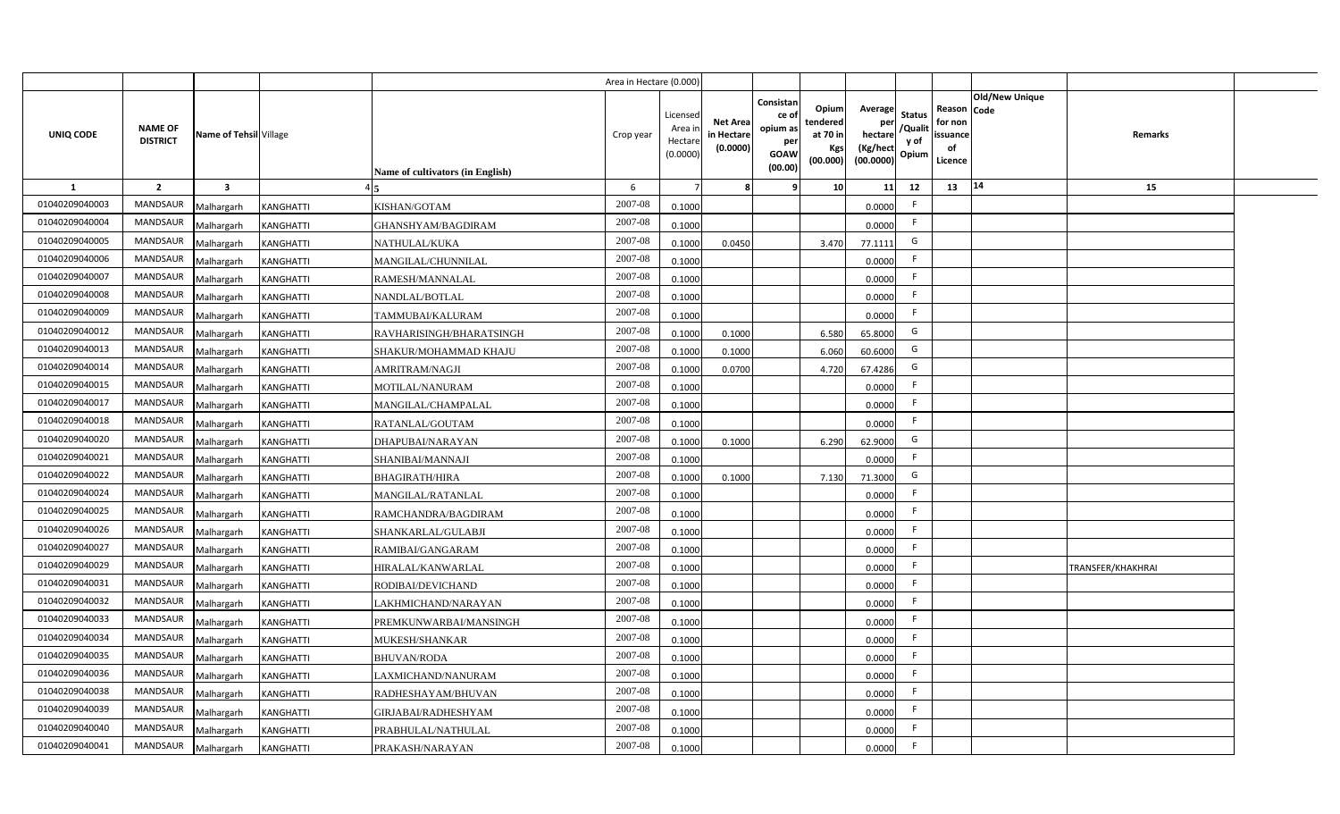|                |                                   |                         |                  |                                  | Area in Hectare (0.000 |                                          |                                          |                                                                 |                                                  |                                                    |                                           |                                                     |                |                   |  |
|----------------|-----------------------------------|-------------------------|------------------|----------------------------------|------------------------|------------------------------------------|------------------------------------------|-----------------------------------------------------------------|--------------------------------------------------|----------------------------------------------------|-------------------------------------------|-----------------------------------------------------|----------------|-------------------|--|
| UNIQ CODE      | <b>NAME OF</b><br><b>DISTRICT</b> | Name of Tehsil Village  |                  | Name of cultivators (in English) | Crop year              | Licensed<br>Area i<br>Hectar<br>(0.0000) | <b>Net Area</b><br>in Hectar<br>(0.0000) | Consistan<br>ce of<br>opium as<br>per<br><b>GOAW</b><br>(00.00) | Opium<br>tendered<br>at 70 in<br>Kgs<br>(00.000) | Average<br>per<br>hectare<br>(Kg/hect<br>(00.0000) | <b>Status</b><br>/Qualit<br>y of<br>Opium | Reason Code<br>for non<br>issuance<br>of<br>Licence | Old/New Unique | <b>Remarks</b>    |  |
| 1              | $\overline{2}$                    | $\overline{\mathbf{3}}$ |                  |                                  | 6                      |                                          |                                          | q                                                               | 10 <sup>1</sup>                                  | 11                                                 | 12                                        | 13                                                  | 14             | 15                |  |
| 01040209040003 | <b>MANDSAUR</b>                   | Malhargarh              | KANGHATTI        | KISHAN/GOTAM                     | 2007-08                | 0.1000                                   |                                          |                                                                 |                                                  | 0.0000                                             | -F                                        |                                                     |                |                   |  |
| 01040209040004 | MANDSAUR                          | Malhargarh              | <b>KANGHATTI</b> | GHANSHYAM/BAGDIRAM               | 2007-08                | 0.1000                                   |                                          |                                                                 |                                                  | 0.0000                                             | F.                                        |                                                     |                |                   |  |
| 01040209040005 | <b>MANDSAUR</b>                   | Malhargarh              | KANGHATTI        | NATHULAL/KUKA                    | 2007-08                | 0.1000                                   | 0.0450                                   |                                                                 | 3.470                                            | 77.1111                                            | G                                         |                                                     |                |                   |  |
| 01040209040006 | <b>MANDSAUR</b>                   | Malhargarh              | KANGHATTI        | MANGILAL/CHUNNILAL               | 2007-08                | 0.1000                                   |                                          |                                                                 |                                                  | 0.0000                                             | -F                                        |                                                     |                |                   |  |
| 01040209040007 | MANDSAUR                          | Malhargarh              | KANGHATTI        | RAMESH/MANNALAL                  | 2007-08                | 0.1000                                   |                                          |                                                                 |                                                  | 0.0000                                             |                                           |                                                     |                |                   |  |
| 01040209040008 | <b>MANDSAUR</b>                   | Malhargarh              | KANGHATTI        | NANDLAL/BOTLAL                   | 2007-08                | 0.1000                                   |                                          |                                                                 |                                                  | 0.0000                                             | F.                                        |                                                     |                |                   |  |
| 01040209040009 | <b>MANDSAUR</b>                   | Malhargarh              | KANGHATTI        | TAMMUBAI/KALURAM                 | 2007-08                | 0.1000                                   |                                          |                                                                 |                                                  | 0.0000                                             | F.                                        |                                                     |                |                   |  |
| 01040209040012 | MANDSAUR                          | Malhargarh              | KANGHATTI        | RAVHARISINGH/BHARATSINGH         | 2007-08                | 0.1000                                   | 0.1000                                   |                                                                 | 6.580                                            | 65.8000                                            | G                                         |                                                     |                |                   |  |
| 01040209040013 | MANDSAUR                          | Malhargarh              | KANGHATTI        | SHAKUR/MOHAMMAD KHAJU            | 2007-08                | 0.100                                    | 0.1000                                   |                                                                 | 6.060                                            | 60.6000                                            | G                                         |                                                     |                |                   |  |
| 01040209040014 | MANDSAUR                          | Malhargarh              | KANGHATTI        | <b>AMRITRAM/NAGJI</b>            | 2007-08                | 0.100                                    | 0.0700                                   |                                                                 | 4.720                                            | 67.4286                                            | G                                         |                                                     |                |                   |  |
| 01040209040015 | MANDSAUR                          | Malhargarh              | KANGHATTI        | MOTILAL/NANURAM                  | 2007-08                | 0.1000                                   |                                          |                                                                 |                                                  | 0.0000                                             |                                           |                                                     |                |                   |  |
| 01040209040017 | <b>MANDSAUR</b>                   | Malhargarh              | KANGHATTI        | MANGILAL/CHAMPALAL               | 2007-08                | 0.1000                                   |                                          |                                                                 |                                                  | 0.0000                                             | F.                                        |                                                     |                |                   |  |
| 01040209040018 | <b>MANDSAUR</b>                   | Malhargarh              | KANGHATTI        | RATANLAL/GOUTAM                  | 2007-08                | 0.1000                                   |                                          |                                                                 |                                                  | 0.0000                                             | -F                                        |                                                     |                |                   |  |
| 01040209040020 | <b>MANDSAUR</b>                   | Malhargarh              | KANGHATTI        | DHAPUBAI/NARAYAN                 | 2007-08                | 0.1000                                   | 0.1000                                   |                                                                 | 6.290                                            | 62.9000                                            | G                                         |                                                     |                |                   |  |
| 01040209040021 | <b>MANDSAUR</b>                   | Malhargarh              | KANGHATTI        | SHANIBAI/MANNAJI                 | 2007-08                | 0.1000                                   |                                          |                                                                 |                                                  | 0.0000                                             | E                                         |                                                     |                |                   |  |
| 01040209040022 | <b>MANDSAUR</b>                   | Malhargarh              | KANGHATTI        | <b>BHAGIRATH/HIRA</b>            | 2007-08                | 0.1000                                   | 0.1000                                   |                                                                 | 7.130                                            | 71.3000                                            | G                                         |                                                     |                |                   |  |
| 01040209040024 | <b>MANDSAUR</b>                   | Malhargarh              | KANGHATTI        | MANGILAL/RATANLAL                | 2007-08                | 0.1000                                   |                                          |                                                                 |                                                  | 0.0000                                             | F.                                        |                                                     |                |                   |  |
| 01040209040025 | <b>MANDSAUR</b>                   | Malhargarh              | KANGHATTI        | RAMCHANDRA/BAGDIRAM              | 2007-08                | 0.1000                                   |                                          |                                                                 |                                                  | 0.0000                                             | F.                                        |                                                     |                |                   |  |
| 01040209040026 | <b>MANDSAUR</b>                   | Malhargarh              | KANGHATTI        | SHANKARLAL/GULABJI               | 2007-08                | 0.100                                    |                                          |                                                                 |                                                  | 0.0000                                             | F.                                        |                                                     |                |                   |  |
| 01040209040027 | <b>MANDSAUR</b>                   | Malhargarh              | KANGHATTI        | RAMIBAI/GANGARAM                 | 2007-08                | 0.1000                                   |                                          |                                                                 |                                                  | 0.0000                                             | F.                                        |                                                     |                |                   |  |
| 01040209040029 | <b>MANDSAUR</b>                   | Malhargarh              | KANGHATTI        | HIRALAL/KANWARLAL                | 2007-08                | 0.1000                                   |                                          |                                                                 |                                                  | 0.0000                                             | -F                                        |                                                     |                | TRANSFER/KHAKHRAI |  |
| 01040209040031 | <b>MANDSAUR</b>                   | Malhargarh              | <b>KANGHATTI</b> | RODIBAI/DEVICHAND                | 2007-08                | 0.100                                    |                                          |                                                                 |                                                  | 0.0000                                             | -F                                        |                                                     |                |                   |  |
| 01040209040032 | MANDSAUR                          | Malhargarh              | <b>KANGHATTI</b> | LAKHMICHAND/NARAYAN              | 2007-08                | 0.100                                    |                                          |                                                                 |                                                  | 0.0000                                             | -F                                        |                                                     |                |                   |  |
| 01040209040033 | <b>MANDSAUR</b>                   | Malhargarh              | KANGHATTI        | PREMKUNWARBAI/MANSINGH           | 2007-08                | 0.1000                                   |                                          |                                                                 |                                                  | 0.0000                                             | -F                                        |                                                     |                |                   |  |
| 01040209040034 | <b>MANDSAUR</b>                   | Malhargarh              | KANGHATTI        | MUKESH/SHANKAR                   | 2007-08                | 0.1000                                   |                                          |                                                                 |                                                  | 0.0000                                             | F.                                        |                                                     |                |                   |  |
| 01040209040035 | MANDSAUR                          | Malhargarh              | KANGHATTI        | <b>BHUVAN/RODA</b>               | 2007-08                | 0.1000                                   |                                          |                                                                 |                                                  | 0.0000                                             | F                                         |                                                     |                |                   |  |
| 01040209040036 | MANDSAUR                          | Malhargarh              | KANGHATTI        | LAXMICHAND/NANURAM               | 2007-08                | 0.1000                                   |                                          |                                                                 |                                                  | 0.0000                                             | F                                         |                                                     |                |                   |  |
| 01040209040038 | MANDSAUR                          | Malhargarh              | KANGHATTI        | RADHESHAYAM/BHUVAN               | 2007-08                | 0.1000                                   |                                          |                                                                 |                                                  | 0.0000                                             | F                                         |                                                     |                |                   |  |
| 01040209040039 | MANDSAUR                          | Malhargarh              | KANGHATTI        | GIRJABAI/RADHESHYAM              | 2007-08                | 0.1000                                   |                                          |                                                                 |                                                  | 0.0000                                             | -F                                        |                                                     |                |                   |  |
| 01040209040040 | MANDSAUR                          | Malhargarh              | <b>KANGHATTI</b> | PRABHULAL/NATHULAL               | 2007-08                | 0.1000                                   |                                          |                                                                 |                                                  | 0.0000                                             | -F                                        |                                                     |                |                   |  |
| 01040209040041 | MANDSAUR                          | Malhargarh              | <b>KANGHATTI</b> | PRAKASH/NARAYAN                  | 2007-08                | 0.1000                                   |                                          |                                                                 |                                                  | 0.0000                                             | -F                                        |                                                     |                |                   |  |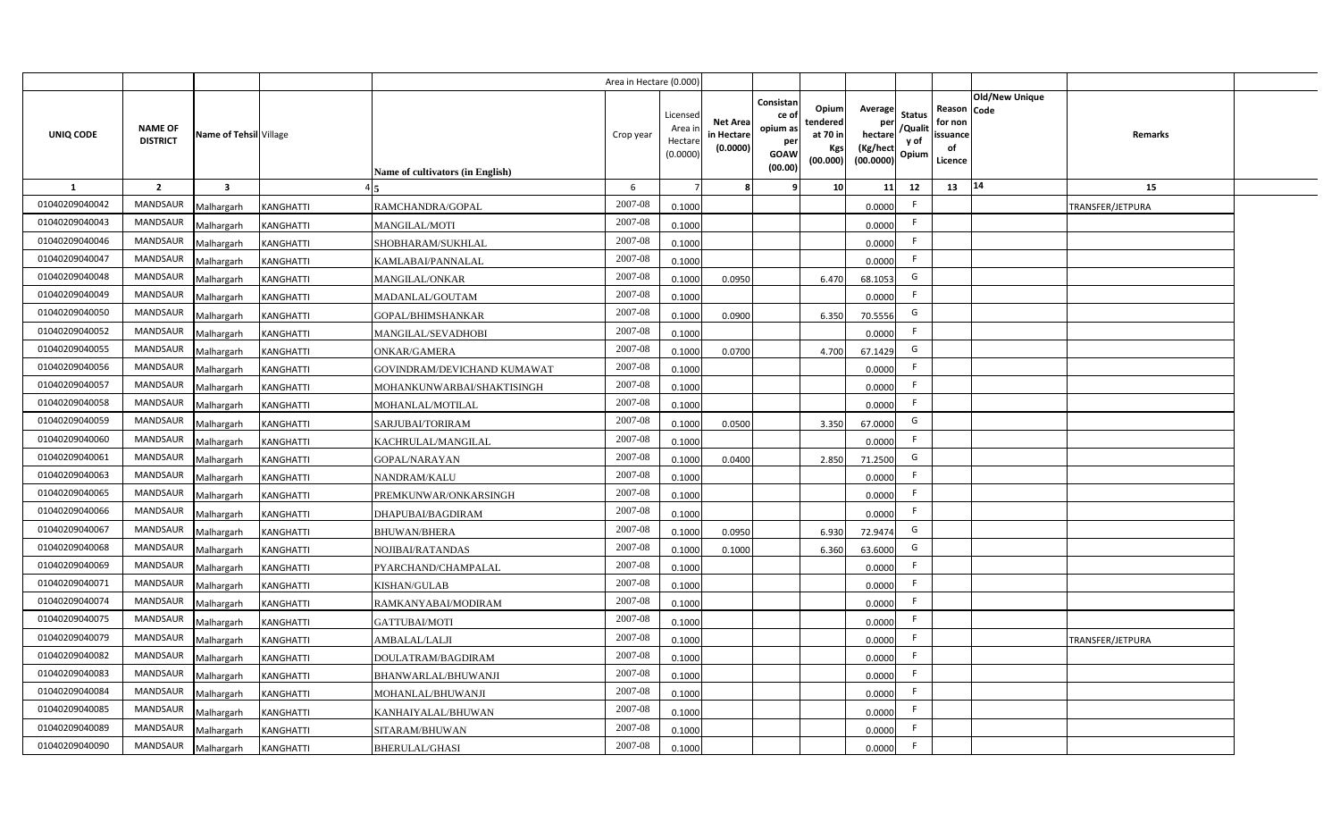|                |                                   |                         |                  |                                  | Area in Hectare (0.000) |                                          |                                           |                                                         |                                                          |                                                            |                                  |                                                     |                       |                  |  |
|----------------|-----------------------------------|-------------------------|------------------|----------------------------------|-------------------------|------------------------------------------|-------------------------------------------|---------------------------------------------------------|----------------------------------------------------------|------------------------------------------------------------|----------------------------------|-----------------------------------------------------|-----------------------|------------------|--|
| UNIQ CODE      | <b>NAME OF</b><br><b>DISTRICT</b> | Name of Tehsil Village  |                  | Name of cultivators (in English) | Crop year               | Licensed<br>Area i<br>Hectar<br>(0.0000) | <b>Net Area</b><br>in Hectare<br>(0.0000) | Consistan<br>ce o<br>opium as<br>per<br>GOAW<br>(00.00) | Opiuml<br>tendered<br>at 70 in<br><b>Kgs</b><br>(00.000) | Average<br>per<br>hectare<br>(Kg/hect<br>$(00.0000)$ Opium | <b>Status</b><br>/Qualit<br>y of | Reason Code<br>for non<br>issuance<br>of<br>Licence | <b>Old/New Unique</b> | Remarks          |  |
| <b>1</b>       | $\overline{2}$                    | $\overline{\mathbf{3}}$ |                  |                                  | 6                       |                                          |                                           |                                                         | 10                                                       | 11                                                         | 12                               | 13                                                  | 14                    | 15               |  |
| 01040209040042 | <b>MANDSAUR</b>                   | Malhargarh              | KANGHATTI        | RAMCHANDRA/GOPAL                 | 2007-08                 | 0.1000                                   |                                           |                                                         |                                                          | 0.0000                                                     | F.                               |                                                     |                       | TRANSFER/JETPURA |  |
| 01040209040043 | <b>MANDSAUR</b>                   | Malhargarh              | KANGHATTI        | <b>MANGILAL/MOTI</b>             | 2007-08                 | 0.1000                                   |                                           |                                                         |                                                          | 0.0000                                                     | F.                               |                                                     |                       |                  |  |
| 01040209040046 | <b>MANDSAUR</b>                   | Malhargarh              | KANGHATTI        | SHOBHARAM/SUKHLAL                | 2007-08                 | 0.1000                                   |                                           |                                                         |                                                          | 0.0000                                                     | F.                               |                                                     |                       |                  |  |
| 01040209040047 | <b>MANDSAUR</b>                   | Malhargarh              | KANGHATTI        | KAMLABAI/PANNALAL                | 2007-08                 | 0.1000                                   |                                           |                                                         |                                                          | 0.0000                                                     | F.                               |                                                     |                       |                  |  |
| 01040209040048 | <b>MANDSAUR</b>                   | Malhargarh              | KANGHATTI        | MANGILAL/ONKAR                   | 2007-08                 | 0.1000                                   | 0.0950                                    |                                                         | 6.470                                                    | 68.1053                                                    | G                                |                                                     |                       |                  |  |
| 01040209040049 | <b>MANDSAUR</b>                   | Malhargarh              | KANGHATTI        | MADANLAL/GOUTAM                  | 2007-08                 | 0.1000                                   |                                           |                                                         |                                                          | 0.0000                                                     | F.                               |                                                     |                       |                  |  |
| 01040209040050 | <b>MANDSAUR</b>                   | Malhargarh              | KANGHATTI        | GOPAL/BHIMSHANKAR                | 2007-08                 | 0.1000                                   | 0.0900                                    |                                                         | 6.350                                                    | 70.5556                                                    | G                                |                                                     |                       |                  |  |
| 01040209040052 | <b>MANDSAUR</b>                   | Malhargarh              | KANGHATTI        | MANGILAL/SEVADHOBI               | 2007-08                 | 0.1000                                   |                                           |                                                         |                                                          | 0.0000                                                     | F.                               |                                                     |                       |                  |  |
| 01040209040055 | <b>MANDSAUR</b>                   | Malhargarh              | KANGHATTI        | ONKAR/GAMERA                     | 2007-08                 | 0.1000                                   | 0.0700                                    |                                                         | 4.700                                                    | 67.1429                                                    | G                                |                                                     |                       |                  |  |
| 01040209040056 | <b>MANDSAUR</b>                   | Malhargarh              | KANGHATTI        | GOVINDRAM/DEVICHAND KUMAWAT      | 2007-08                 | 0.1000                                   |                                           |                                                         |                                                          | 0.0000                                                     | F.                               |                                                     |                       |                  |  |
| 01040209040057 | MANDSAUR                          | Malhargarh              | KANGHATTI        | MOHANKUNWARBAI/SHAKTISINGH       | 2007-08                 | 0.1000                                   |                                           |                                                         |                                                          | 0.0000                                                     | F.                               |                                                     |                       |                  |  |
| 01040209040058 | <b>MANDSAUR</b>                   | Malhargarh              | KANGHATTI        | MOHANLAL/MOTILAL                 | 2007-08                 | 0.1000                                   |                                           |                                                         |                                                          | 0.0000                                                     | F.                               |                                                     |                       |                  |  |
| 01040209040059 | <b>MANDSAUR</b>                   | Malhargarh              | KANGHATTI        | SARJUBAI/TORIRAM                 | 2007-08                 | 0.1000                                   | 0.0500                                    |                                                         | 3.350                                                    | 67.0000                                                    | G                                |                                                     |                       |                  |  |
| 01040209040060 | MANDSAUR                          | Malhargarh              | KANGHATTI        | KACHRULAL/MANGILAL               | 2007-08                 | 0.1000                                   |                                           |                                                         |                                                          | 0.0000                                                     | F.                               |                                                     |                       |                  |  |
| 01040209040061 | <b>MANDSAUR</b>                   | Malhargarh              | KANGHATTI        | GOPAL/NARAYAN                    | 2007-08                 | 0.1000                                   | 0.0400                                    |                                                         | 2.850                                                    | 71.2500                                                    | G                                |                                                     |                       |                  |  |
| 01040209040063 | MANDSAUR                          | Malhargarh              | KANGHATTI        | NANDRAM/KALU                     | 2007-08                 | 0.1000                                   |                                           |                                                         |                                                          | 0.0000                                                     | F                                |                                                     |                       |                  |  |
| 01040209040065 | <b>MANDSAUR</b>                   | Malhargarh              | KANGHATTI        | PREMKUNWAR/ONKARSINGH            | 2007-08                 | 0.1000                                   |                                           |                                                         |                                                          | 0.0000                                                     | F.                               |                                                     |                       |                  |  |
| 01040209040066 | <b>MANDSAUR</b>                   | Malhargarh              | KANGHATTI        | DHAPUBAI/BAGDIRAM                | 2007-08                 | 0.1000                                   |                                           |                                                         |                                                          | 0.0000                                                     | F                                |                                                     |                       |                  |  |
| 01040209040067 | <b>MANDSAUR</b>                   | Malhargarh              | KANGHATTI        | <b>BHUWAN/BHERA</b>              | 2007-08                 | 0.1000                                   | 0.0950                                    |                                                         | 6.930                                                    | 72.9474                                                    | G                                |                                                     |                       |                  |  |
| 01040209040068 | <b>MANDSAUR</b>                   | Malhargarh              | KANGHATTI        | NOJIBAI/RATANDAS                 | 2007-08                 | 0.1000                                   | 0.1000                                    |                                                         | 6.360                                                    | 63.6000                                                    | G                                |                                                     |                       |                  |  |
| 01040209040069 | <b>MANDSAUR</b>                   | Malhargarh              | KANGHATTI        | PYARCHAND/CHAMPALAL              | 2007-08                 | 0.1000                                   |                                           |                                                         |                                                          | 0.0000                                                     | F.                               |                                                     |                       |                  |  |
| 01040209040071 | <b>MANDSAUR</b>                   | Malhargarh              | KANGHATTI        | <b>KISHAN/GULAB</b>              | 2007-08                 | 0.1000                                   |                                           |                                                         |                                                          | 0.0000                                                     | F.                               |                                                     |                       |                  |  |
| 01040209040074 | <b>MANDSAUR</b>                   | Malhargarh              | KANGHATTI        | RAMKANYABAI/MODIRAM              | 2007-08                 | 0.1000                                   |                                           |                                                         |                                                          | 0.0000                                                     | F.                               |                                                     |                       |                  |  |
| 01040209040075 | MANDSAUR                          | Malhargarh              | KANGHATTI        | <b>GATTUBAI/MOTI</b>             | 2007-08                 | 0.1000                                   |                                           |                                                         |                                                          | 0.0000                                                     | F.                               |                                                     |                       |                  |  |
| 01040209040079 | <b>MANDSAUR</b>                   | Malhargarh              | KANGHATTI        | AMBALAL/LALJI                    | 2007-08                 | 0.1000                                   |                                           |                                                         |                                                          | 0.0000                                                     | F.                               |                                                     |                       | TRANSFER/JETPURA |  |
| 01040209040082 | <b>MANDSAUR</b>                   | Malhargarh              | KANGHATTI        | DOULATRAM/BAGDIRAM               | 2007-08                 | 0.1000                                   |                                           |                                                         |                                                          | 0.0000                                                     | F.                               |                                                     |                       |                  |  |
| 01040209040083 | <b>MANDSAUR</b>                   | Malhargarh              | KANGHATTI        | BHANWARLAL/BHUWANJI              | 2007-08                 | 0.1000                                   |                                           |                                                         |                                                          | 0.0000                                                     | F.                               |                                                     |                       |                  |  |
| 01040209040084 | <b>MANDSAUR</b>                   | Malhargarh              | KANGHATTI        | MOHANLAL/BHUWANJI                | 2007-08                 | 0.1000                                   |                                           |                                                         |                                                          | 0.0000                                                     | F                                |                                                     |                       |                  |  |
| 01040209040085 | <b>MANDSAUR</b>                   | Malhargarh              | KANGHATTI        | KANHAIYALAL/BHUWAN               | 2007-08                 | 0.1000                                   |                                           |                                                         |                                                          | 0.0000                                                     | F.                               |                                                     |                       |                  |  |
| 01040209040089 | <b>MANDSAUR</b>                   | Malhargarh              | KANGHATTI        | SITARAM/BHUWAN                   | 2007-08                 | 0.1000                                   |                                           |                                                         |                                                          | 0.0000                                                     | F.                               |                                                     |                       |                  |  |
| 01040209040090 | <b>MANDSAUR</b>                   | Malhargarh              | <b>KANGHATTI</b> | <b>BHERULAL/GHASI</b>            | 2007-08                 | 0.1000                                   |                                           |                                                         |                                                          | 0.0000                                                     | F.                               |                                                     |                       |                  |  |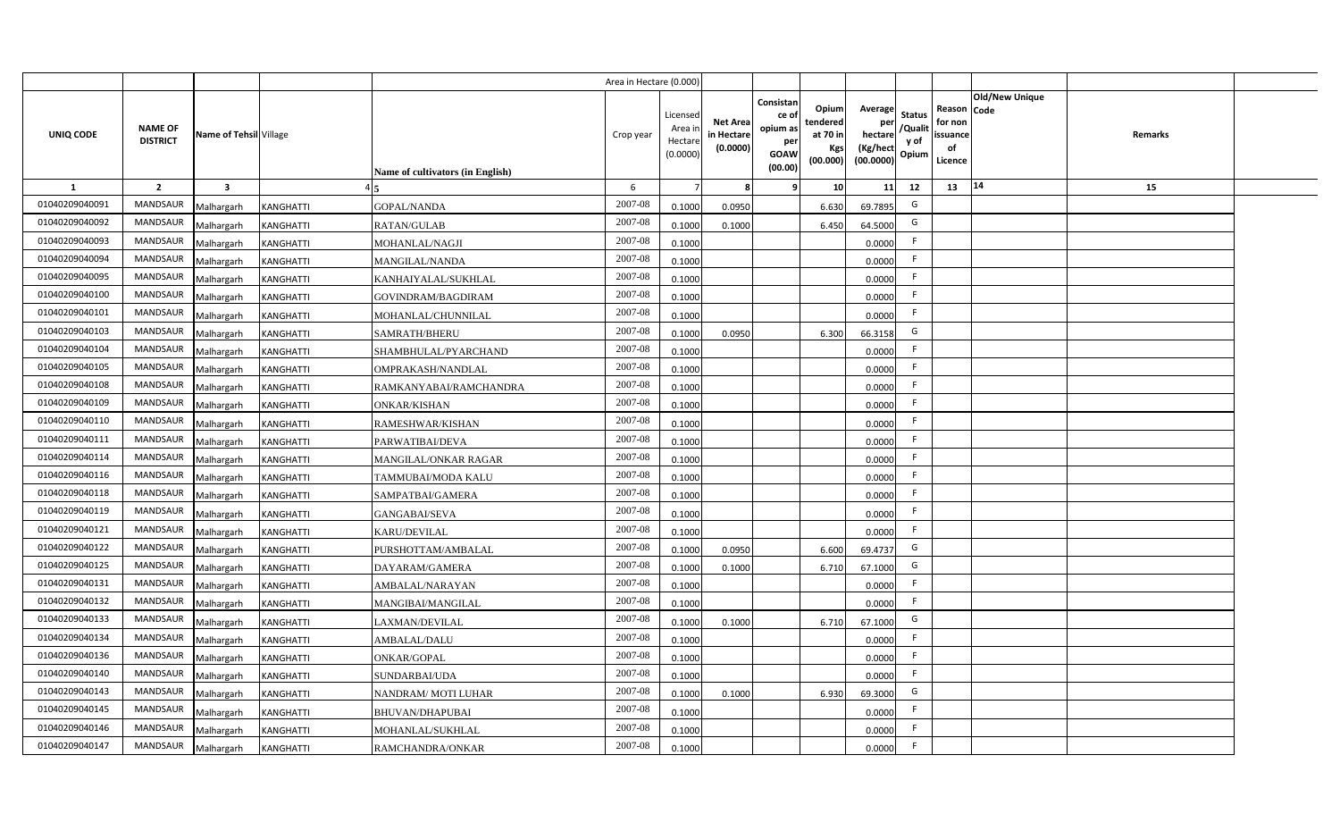|                |                                   |                         |                  |                                  | Area in Hectare (0.000) |                                           |                                           |                                                                 |                                                  |                                                    |                                           |                                                     |                       |         |  |
|----------------|-----------------------------------|-------------------------|------------------|----------------------------------|-------------------------|-------------------------------------------|-------------------------------------------|-----------------------------------------------------------------|--------------------------------------------------|----------------------------------------------------|-------------------------------------------|-----------------------------------------------------|-----------------------|---------|--|
| UNIQ CODE      | <b>NAME OF</b><br><b>DISTRICT</b> | Name of Tehsil Village  |                  | Name of cultivators (in English) | Crop year               | Licensed<br>Area i<br>Hectare<br>(0.0000) | <b>Net Area</b><br>in Hectare<br>(0.0000) | Consistan<br>ce of<br>opium as<br>per<br><b>GOAW</b><br>(00.00) | Opium<br>tendered<br>at 70 in<br>Kgs<br>(00.000) | Average<br>per<br>hectare<br>(Kg/hect<br>(00.0000) | <b>Status</b><br>/Qualit<br>y of<br>Opium | Reason Code<br>for non<br>issuance<br>of<br>Licence | <b>Old/New Unique</b> | Remarks |  |
| 1              | $\overline{2}$                    | $\overline{\mathbf{3}}$ |                  |                                  | 6                       |                                           | 8                                         | -9                                                              | 10                                               | 11                                                 | 12                                        | 13                                                  | 14                    | 15      |  |
| 01040209040091 | <b>MANDSAUR</b>                   | Malhargarh              | KANGHATTI        | <b>GOPAL/NANDA</b>               | 2007-08                 | 0.1000                                    | 0.0950                                    |                                                                 | 6.630                                            | 69.7895                                            | G                                         |                                                     |                       |         |  |
| 01040209040092 | MANDSAUR                          | Malhargarh              | <b>KANGHATTI</b> | RATAN/GULAB                      | 2007-08                 | 0.1000                                    | 0.1000                                    |                                                                 | 6.450                                            | 64.5000                                            | G                                         |                                                     |                       |         |  |
| 01040209040093 | <b>MANDSAUR</b>                   | Malhargarh              | KANGHATTI        | MOHANLAL/NAGJI                   | 2007-08                 | 0.1000                                    |                                           |                                                                 |                                                  | 0.0000                                             | -F                                        |                                                     |                       |         |  |
| 01040209040094 | <b>MANDSAUR</b>                   | Malhargarh              | KANGHATTI        | <b>MANGILAL/NANDA</b>            | 2007-08                 | 0.1000                                    |                                           |                                                                 |                                                  | 0.0000                                             | -F                                        |                                                     |                       |         |  |
| 01040209040095 | MANDSAUR                          | Malhargarh              | KANGHATTI        | KANHAIYALAL/SUKHLAL              | 2007-08                 | 0.1000                                    |                                           |                                                                 |                                                  | 0.0000                                             | -F                                        |                                                     |                       |         |  |
| 01040209040100 | <b>MANDSAUR</b>                   | Malhargarh              | KANGHATTI        | GOVINDRAM/BAGDIRAM               | 2007-08                 | 0.1000                                    |                                           |                                                                 |                                                  | 0.0000                                             | F                                         |                                                     |                       |         |  |
| 01040209040101 | <b>MANDSAUR</b>                   | Malhargarh              | KANGHATTI        | MOHANLAL/CHUNNILAL               | 2007-08                 | 0.1000                                    |                                           |                                                                 |                                                  | 0.0000                                             | F.                                        |                                                     |                       |         |  |
| 01040209040103 | MANDSAUR                          | Malhargarh              | KANGHATTI        | SAMRATH/BHERU                    | 2007-08                 | 0.1000                                    | 0.0950                                    |                                                                 | 6.300                                            | 66.3158                                            | G                                         |                                                     |                       |         |  |
| 01040209040104 | MANDSAUR                          | Malhargarh              | KANGHATTI        | SHAMBHULAL/PYARCHAND             | 2007-08                 | 0.1000                                    |                                           |                                                                 |                                                  | 0.0000                                             | F.                                        |                                                     |                       |         |  |
| 01040209040105 | MANDSAUR                          | Malhargarh              | KANGHATTI        | OMPRAKASH/NANDLAL                | 2007-08                 | 0.1000                                    |                                           |                                                                 |                                                  | 0.0000                                             | F                                         |                                                     |                       |         |  |
| 01040209040108 | MANDSAUR                          | Malhargarh              | KANGHATTI        | RAMKANYABAI/RAMCHANDRA           | 2007-08                 | 0.1000                                    |                                           |                                                                 |                                                  | 0.0000                                             | F.                                        |                                                     |                       |         |  |
| 01040209040109 | MANDSAUR                          | Malhargarh              | KANGHATTI        | <b>ONKAR/KISHAN</b>              | 2007-08                 | 0.1000                                    |                                           |                                                                 |                                                  | 0.0000                                             | -F                                        |                                                     |                       |         |  |
| 01040209040110 | <b>MANDSAUR</b>                   | Malhargarh              | KANGHATTI        | RAMESHWAR/KISHAN                 | 2007-08                 | 0.1000                                    |                                           |                                                                 |                                                  | 0.0000                                             | F                                         |                                                     |                       |         |  |
| 01040209040111 | <b>MANDSAUR</b>                   | Malhargarh              | KANGHATTI        | PARWATIBAI/DEVA                  | 2007-08                 | 0.1000                                    |                                           |                                                                 |                                                  | 0.0000                                             | F                                         |                                                     |                       |         |  |
| 01040209040114 | <b>MANDSAUR</b>                   | Malhargarh              | KANGHATTI        | <b>MANGILAL/ONKAR RAGAR</b>      | 2007-08                 | 0.1000                                    |                                           |                                                                 |                                                  | 0.0000                                             | -F.                                       |                                                     |                       |         |  |
| 01040209040116 | <b>MANDSAUR</b>                   | Malhargarh              | KANGHATTI        | TAMMUBAI/MODA KALU               | 2007-08                 | 0.1000                                    |                                           |                                                                 |                                                  | 0.0000                                             | F.                                        |                                                     |                       |         |  |
| 01040209040118 | MANDSAUR                          | Malhargarh              | KANGHATTI        | SAMPATBAI/GAMERA                 | 2007-08                 | 0.1000                                    |                                           |                                                                 |                                                  | 0.0000                                             | F.                                        |                                                     |                       |         |  |
| 01040209040119 | <b>MANDSAUR</b>                   | Malhargarh              | KANGHATTI        | <b>GANGABAI/SEVA</b>             | 2007-08                 | 0.1000                                    |                                           |                                                                 |                                                  | 0.0000                                             | F                                         |                                                     |                       |         |  |
| 01040209040121 | <b>MANDSAUR</b>                   | Malhargarh              | KANGHATTI        | KARU/DEVILAL                     | 2007-08                 | 0.1000                                    |                                           |                                                                 |                                                  | 0.0000                                             | F.                                        |                                                     |                       |         |  |
| 01040209040122 | <b>MANDSAUR</b>                   | Malhargarh              | KANGHATTI        | PURSHOTTAM/AMBALAL               | 2007-08                 | 0.1000                                    | 0.0950                                    |                                                                 | 6.600                                            | 69.4737                                            | G                                         |                                                     |                       |         |  |
| 01040209040125 | <b>MANDSAUR</b>                   | Malhargarh              | KANGHATTI        | DAYARAM/GAMERA                   | 2007-08                 | 0.1000                                    | 0.1000                                    |                                                                 | 6.710                                            | 67.1000                                            | G                                         |                                                     |                       |         |  |
| 01040209040131 | MANDSAUR                          | Malhargarh              | <b>KANGHATTI</b> | AMBALAL/NARAYAN                  | 2007-08                 | 0.1000                                    |                                           |                                                                 |                                                  | 0.0000                                             | -F                                        |                                                     |                       |         |  |
| 01040209040132 | MANDSAUR                          | Malhargarh              | <b>KANGHATTI</b> | MANGIBAI/MANGILAL                | 2007-08                 | 0.1000                                    |                                           |                                                                 |                                                  | 0.0000                                             | F                                         |                                                     |                       |         |  |
| 01040209040133 | <b>MANDSAUR</b>                   | Malhargarh              | KANGHATTI        | LAXMAN/DEVILAL                   | 2007-08                 | 0.1000                                    | 0.1000                                    |                                                                 | 6.710                                            | 67.1000                                            | G                                         |                                                     |                       |         |  |
| 01040209040134 | <b>MANDSAUR</b>                   | Malhargarh              | KANGHATTI        | <b>AMBALAL/DALU</b>              | 2007-08                 | 0.1000                                    |                                           |                                                                 |                                                  | 0.0000                                             | F                                         |                                                     |                       |         |  |
| 01040209040136 | MANDSAUR                          | Malhargarh              | KANGHATTI        | ONKAR/GOPAL                      | 2007-08                 | 0.1000                                    |                                           |                                                                 |                                                  | 0.0000                                             | F                                         |                                                     |                       |         |  |
| 01040209040140 | MANDSAUR                          | Malhargarh              | KANGHATTI        | SUNDARBAI/UDA                    | 2007-08                 | 0.1000                                    |                                           |                                                                 |                                                  | 0.0000                                             | F                                         |                                                     |                       |         |  |
| 01040209040143 | MANDSAUR                          | Malhargarh              | <b>KANGHATTI</b> | NANDRAM/MOTI LUHAR               | 2007-08                 | 0.1000                                    | 0.1000                                    |                                                                 | 6.930                                            | 69.3000                                            | G                                         |                                                     |                       |         |  |
| 01040209040145 | MANDSAUR                          | Malhargarh              | <b>KANGHATTI</b> | <b>BHUVAN/DHAPUBAI</b>           | 2007-08                 | 0.1000                                    |                                           |                                                                 |                                                  | 0.0000                                             | F.                                        |                                                     |                       |         |  |
| 01040209040146 | MANDSAUR                          | Malhargarh              | <b>KANGHATTI</b> | MOHANLAL/SUKHLAL                 | 2007-08                 | 0.1000                                    |                                           |                                                                 |                                                  | 0.0000                                             | F.                                        |                                                     |                       |         |  |
| 01040209040147 | MANDSAUR                          | Malhargarh              | <b>KANGHATTI</b> | RAMCHANDRA/ONKAR                 | 2007-08                 | 0.1000                                    |                                           |                                                                 |                                                  | 0.0000                                             | F.                                        |                                                     |                       |         |  |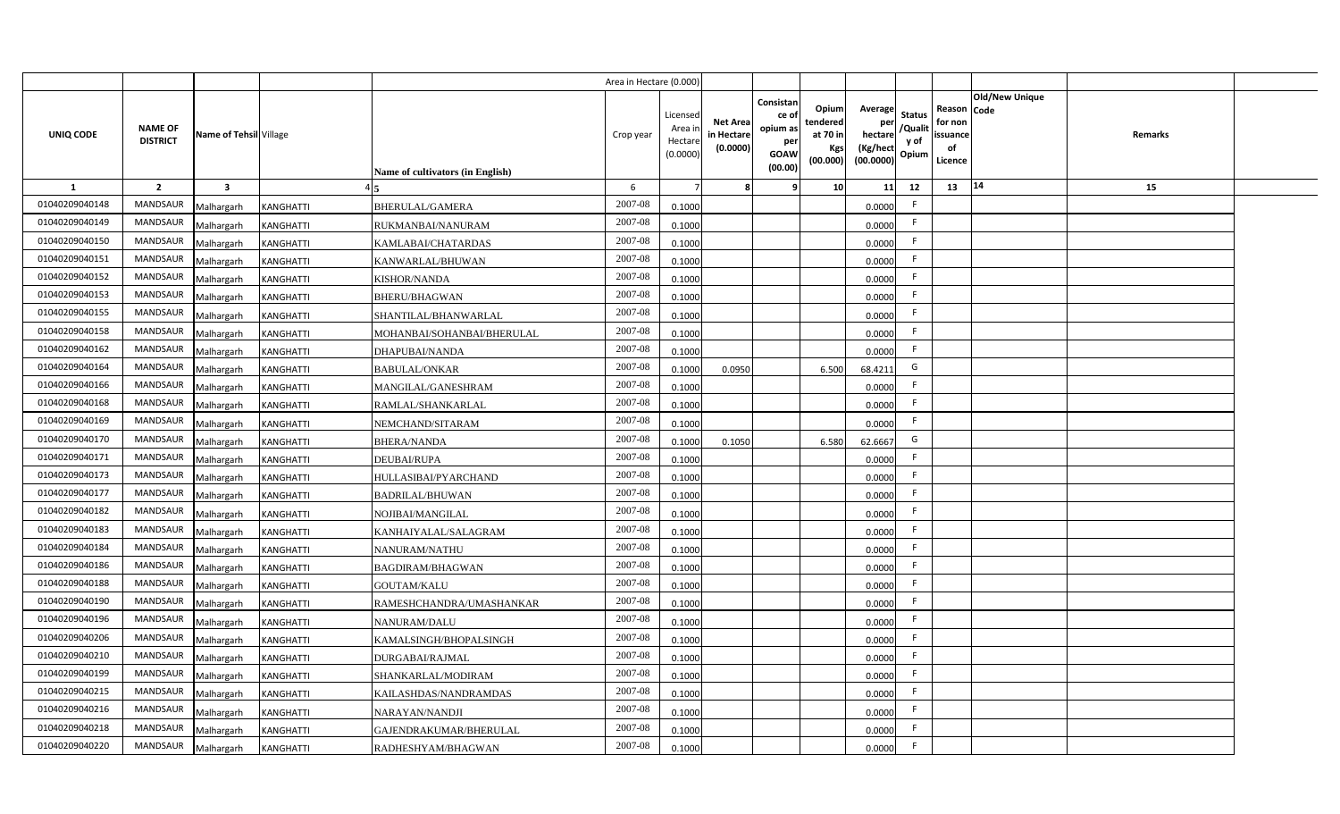|                  |                                   |                         |                  |                                  | Area in Hectare (0.000 |                                          |                                           |                                                                 |                                                  |                                                    |                                           |                                                     |                       |         |  |
|------------------|-----------------------------------|-------------------------|------------------|----------------------------------|------------------------|------------------------------------------|-------------------------------------------|-----------------------------------------------------------------|--------------------------------------------------|----------------------------------------------------|-------------------------------------------|-----------------------------------------------------|-----------------------|---------|--|
| <b>UNIQ CODE</b> | <b>NAME OF</b><br><b>DISTRICT</b> | Name of Tehsil Village  |                  | Name of cultivators (in English) | Crop year              | Licensed<br>Area i<br>Hectar<br>(0.0000) | <b>Net Area</b><br>in Hectare<br>(0.0000) | Consistan<br>ce of<br>opium as<br>per<br><b>GOAW</b><br>(00.00) | Opium<br>tendered<br>at 70 in<br>Kgs<br>(00.000) | Average<br>per<br>hectare<br>(Kg/hect<br>(00.0000) | <b>Status</b><br>/Qualit<br>y of<br>Opium | Reason Code<br>for non<br>issuance<br>of<br>Licence | <b>Old/New Unique</b> | Remarks |  |
| 1                | $\overline{2}$                    | $\overline{\mathbf{3}}$ |                  |                                  | 6                      |                                          |                                           | q                                                               | 10                                               | 11                                                 | 12                                        | 13                                                  | 14                    | 15      |  |
| 01040209040148   | <b>MANDSAUR</b>                   | Malhargarh              | <b>KANGHATTI</b> | <b>BHERULAL/GAMERA</b>           | 2007-08                | 0.1000                                   |                                           |                                                                 |                                                  | 0.0000                                             | -F                                        |                                                     |                       |         |  |
| 01040209040149   | <b>MANDSAUR</b>                   | Malhargarh              | KANGHATTI        | RUKMANBAI/NANURAM                | 2007-08                | 0.1000                                   |                                           |                                                                 |                                                  | 0.0000                                             | -F                                        |                                                     |                       |         |  |
| 01040209040150   | MANDSAUR                          | Malhargarh              | KANGHATTI        | KAMLABAI/CHATARDAS               | 2007-08                | 0.1000                                   |                                           |                                                                 |                                                  | 0.0000                                             |                                           |                                                     |                       |         |  |
| 01040209040151   | MANDSAUR                          | Malhargarh              | KANGHATTI        | KANWARLAL/BHUWAN                 | 2007-08                | 0.1000                                   |                                           |                                                                 |                                                  | 0.0000                                             |                                           |                                                     |                       |         |  |
| 01040209040152   | MANDSAUR                          | Malhargarh              | KANGHATTI        | KISHOR/NANDA                     | 2007-08                | 0.1000                                   |                                           |                                                                 |                                                  | 0.0000                                             | -F                                        |                                                     |                       |         |  |
| 01040209040153   | <b>MANDSAUR</b>                   | Malhargarh              | KANGHATTI        | <b>BHERU/BHAGWAN</b>             | 2007-08                | 0.1000                                   |                                           |                                                                 |                                                  | 0.0000                                             | -F                                        |                                                     |                       |         |  |
| 01040209040155   | MANDSAUR                          | Malhargarh              | KANGHATTI        | SHANTILAL/BHANWARLAL             | 2007-08                | 0.1000                                   |                                           |                                                                 |                                                  | 0.0000                                             | F.                                        |                                                     |                       |         |  |
| 01040209040158   | <b>MANDSAUR</b>                   | Malhargarh              | KANGHATTI        | MOHANBAI/SOHANBAI/BHERULAL       | 2007-08                | 0.1000                                   |                                           |                                                                 |                                                  | 0.0000                                             | -F                                        |                                                     |                       |         |  |
| 01040209040162   | <b>MANDSAUR</b>                   | Malhargarh              | <b>KANGHATTI</b> | DHAPUBAI/NANDA                   | 2007-08                | 0.1000                                   |                                           |                                                                 |                                                  | 0.0000                                             | F.                                        |                                                     |                       |         |  |
| 01040209040164   | <b>MANDSAUR</b>                   | Malhargarh              | <b>KANGHATTI</b> | <b>BABULAL/ONKAR</b>             | 2007-08                | 0.1000                                   | 0.0950                                    |                                                                 | 6.500                                            | 68.4211                                            | G                                         |                                                     |                       |         |  |
| 01040209040166   | <b>MANDSAUR</b>                   | Malhargarh              | KANGHATTI        | MANGILAL/GANESHRAM               | 2007-08                | 0.1000                                   |                                           |                                                                 |                                                  | 0.0000                                             | -F                                        |                                                     |                       |         |  |
| 01040209040168   | <b>MANDSAUR</b>                   | Malhargarh              | KANGHATTI        | RAMLAL/SHANKARLAL                | 2007-08                | 0.1000                                   |                                           |                                                                 |                                                  | 0.0000                                             | -F                                        |                                                     |                       |         |  |
| 01040209040169   | <b>MANDSAUR</b>                   | Malhargarh              | KANGHATTI        | NEMCHAND/SITARAM                 | 2007-08                | 0.1000                                   |                                           |                                                                 |                                                  | 0.0000                                             | E                                         |                                                     |                       |         |  |
| 01040209040170   | <b>MANDSAUR</b>                   | Malhargarh              | KANGHATTI        | <b>BHERA/NANDA</b>               | 2007-08                | 0.1000                                   | 0.1050                                    |                                                                 | 6.580                                            | 62.6667                                            | G                                         |                                                     |                       |         |  |
| 01040209040171   | <b>MANDSAUR</b>                   | Malhargarh              | KANGHATTI        | DEUBAI/RUPA                      | 2007-08                | 0.1000                                   |                                           |                                                                 |                                                  | 0.0000                                             | E                                         |                                                     |                       |         |  |
| 01040209040173   | <b>MANDSAUR</b>                   | Malhargarh              | KANGHATTI        | HULLASIBAI/PYARCHAND             | 2007-08                | 0.1000                                   |                                           |                                                                 |                                                  | 0.0000                                             | F.                                        |                                                     |                       |         |  |
| 01040209040177   | <b>MANDSAUR</b>                   | Malhargarh              | KANGHATTI        | <b>BADRILAL/BHUWAN</b>           | 2007-08                | 0.1000                                   |                                           |                                                                 |                                                  | 0.0000                                             | $\mathsf{F}$                              |                                                     |                       |         |  |
| 01040209040182   | <b>MANDSAUR</b>                   | Malhargarh              | KANGHATTI        | NOJIBAI/MANGILAL                 | 2007-08                | 0.100                                    |                                           |                                                                 |                                                  | 0.0000                                             | $\mathsf{F}$                              |                                                     |                       |         |  |
| 01040209040183   | MANDSAUR                          | Malhargarh              | KANGHATTI        | KANHAIYALAL/SALAGRAM             | 2007-08                | 0.1000                                   |                                           |                                                                 |                                                  | 0.0000                                             | -F                                        |                                                     |                       |         |  |
| 01040209040184   | <b>MANDSAUR</b>                   | Malhargarh              | KANGHATTI        | NANURAM/NATHU                    | $2007 - 08$            | 0.100                                    |                                           |                                                                 |                                                  | 0.0000                                             | -F                                        |                                                     |                       |         |  |
| 01040209040186   | <b>MANDSAUR</b>                   | Malhargarh              | <b>KANGHATTI</b> | BAGDIRAM/BHAGWAN                 | 2007-08                | 0.1000                                   |                                           |                                                                 |                                                  | 0.0000                                             | F.                                        |                                                     |                       |         |  |
| 01040209040188   | <b>MANDSAUR</b>                   | Malhargarh              | <b>KANGHATTI</b> | <b>GOUTAM/KALU</b>               | 2007-08                | 0.1000                                   |                                           |                                                                 |                                                  | 0.0000                                             | $\mathsf{F}$                              |                                                     |                       |         |  |
| 01040209040190   | <b>MANDSAUR</b>                   | Malhargarh              | KANGHATTI        | RAMESHCHANDRA/UMASHANKAR         | 2007-08                | 0.1000                                   |                                           |                                                                 |                                                  | 0.0000                                             | F.                                        |                                                     |                       |         |  |
| 01040209040196   | MANDSAUR                          | Malhargarh              | KANGHATTI        | <b>NANURAM/DALU</b>              | 2007-08                | 0.1000                                   |                                           |                                                                 |                                                  | 0.0000                                             | -F                                        |                                                     |                       |         |  |
| 01040209040206   | MANDSAUR                          | Malhargarh              | KANGHATTI        | KAMALSINGH/BHOPALSINGH           | 2007-08                | 0.1000                                   |                                           |                                                                 |                                                  | 0.0000                                             | F                                         |                                                     |                       |         |  |
| 01040209040210   | MANDSAUR                          | Malhargarh              | KANGHATTI        | DURGABAI/RAJMAL                  | 2007-08                | 0.1000                                   |                                           |                                                                 |                                                  | 0.0000                                             | -F                                        |                                                     |                       |         |  |
| 01040209040199   | MANDSAUR                          | Malhargarh              | KANGHATTI        | SHANKARLAL/MODIRAM               | 2007-08                | 0.1000                                   |                                           |                                                                 |                                                  | 0.0000                                             | $\mathsf{F}$                              |                                                     |                       |         |  |
| 01040209040215   | MANDSAUR                          | Malhargarh              | <b>KANGHATTI</b> | KAILASHDAS/NANDRAMDAS            | 2007-08                | 0.1000                                   |                                           |                                                                 |                                                  | 0.0000                                             | F.                                        |                                                     |                       |         |  |
| 01040209040216   | MANDSAUR                          | Malhargarh              | <b>KANGHATTI</b> | NARAYAN/NANDJI                   | 2007-08                | 0.1000                                   |                                           |                                                                 |                                                  | 0.0000                                             | $\mathsf{F}$                              |                                                     |                       |         |  |
| 01040209040218   | <b>MANDSAUR</b>                   | Malhargarh              | <b>KANGHATTI</b> | GAJENDRAKUMAR/BHERULAL           | 2007-08                | 0.1000                                   |                                           |                                                                 |                                                  | 0.0000                                             | -F                                        |                                                     |                       |         |  |
| 01040209040220   | MANDSAUR                          | Malhargarh              | <b>KANGHATTI</b> | RADHESHYAM/BHAGWAN               | 2007-08                | 0.1000                                   |                                           |                                                                 |                                                  | 0.0000                                             | -F                                        |                                                     |                       |         |  |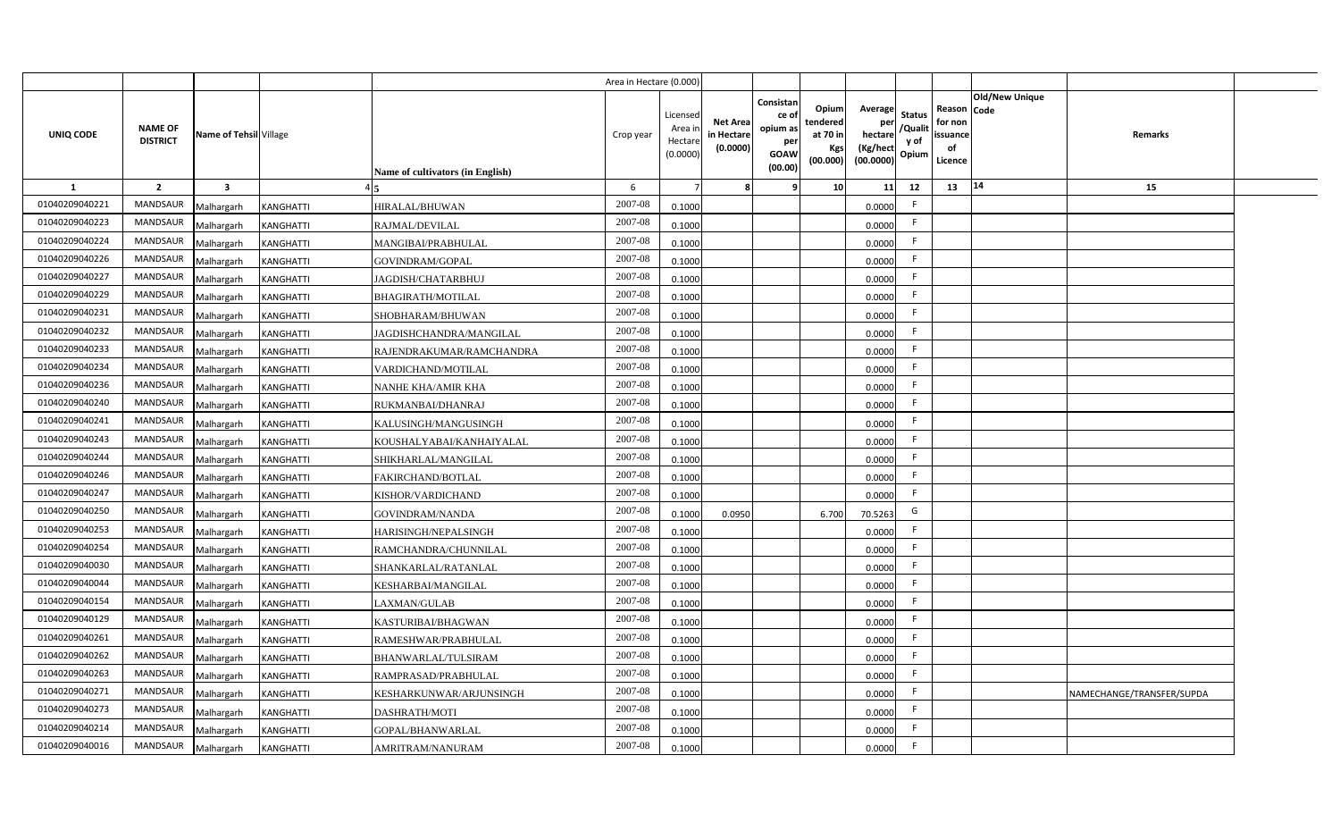|                |                                   |                         |                  |                                  | Area in Hectare (0.000 |                                          |                                           |                                                                 |                                                  |                                                    |                                           |                                                     |                       |                           |  |
|----------------|-----------------------------------|-------------------------|------------------|----------------------------------|------------------------|------------------------------------------|-------------------------------------------|-----------------------------------------------------------------|--------------------------------------------------|----------------------------------------------------|-------------------------------------------|-----------------------------------------------------|-----------------------|---------------------------|--|
| UNIQ CODE      | <b>NAME OF</b><br><b>DISTRICT</b> | Name of Tehsil Village  |                  | Name of cultivators (in English) | Crop year              | Licensed<br>Area i<br>Hectar<br>(0.0000) | <b>Net Area</b><br>in Hectare<br>(0.0000) | Consistan<br>ce of<br>opium as<br>per<br><b>GOAW</b><br>(00.00) | Opium<br>tendered<br>at 70 in<br>Kgs<br>(00.000) | Average<br>per<br>hectare<br>(Kg/hect<br>(00.0000) | <b>Status</b><br>/Qualit<br>y of<br>Opium | Reason Code<br>for non<br>issuance<br>of<br>Licence | <b>Old/New Unique</b> | Remarks                   |  |
| 1              | $\overline{2}$                    | $\overline{\mathbf{3}}$ |                  |                                  | 6                      |                                          |                                           | q                                                               | 10 <sup>1</sup>                                  | 11                                                 | 12                                        | 13                                                  | 14                    | 15                        |  |
| 01040209040221 | <b>MANDSAUR</b>                   | Malhargarh              | <b>KANGHATTI</b> | HIRALAL/BHUWAN                   | 2007-08                | 0.1000                                   |                                           |                                                                 |                                                  | 0.0000                                             | -F                                        |                                                     |                       |                           |  |
| 01040209040223 | <b>MANDSAUR</b>                   | Malhargarh              | KANGHATTI        | RAJMAL/DEVILAL                   | 2007-08                | 0.1000                                   |                                           |                                                                 |                                                  | 0.0000                                             | -F                                        |                                                     |                       |                           |  |
| 01040209040224 | MANDSAUR                          | Malhargarh              | KANGHATTI        | MANGIBAI/PRABHULAL               | 2007-08                | 0.1000                                   |                                           |                                                                 |                                                  | 0.0000                                             |                                           |                                                     |                       |                           |  |
| 01040209040226 | <b>MANDSAUR</b>                   | Malhargarh              | KANGHATTI        | GOVINDRAM/GOPAL                  | 2007-08                | 0.1000                                   |                                           |                                                                 |                                                  | 0.0000                                             |                                           |                                                     |                       |                           |  |
| 01040209040227 | <b>MANDSAUR</b>                   | Malhargarh              | KANGHATTI        | JAGDISH/CHATARBHUJ               | 2007-08                | 0.1000                                   |                                           |                                                                 |                                                  | 0.0000                                             | -F                                        |                                                     |                       |                           |  |
| 01040209040229 | <b>MANDSAUR</b>                   | Malhargarh              | KANGHATTI        | <b>BHAGIRATH/MOTILAL</b>         | 2007-08                | 0.1000                                   |                                           |                                                                 |                                                  | 0.0000                                             | -F                                        |                                                     |                       |                           |  |
| 01040209040231 | MANDSAUR                          | Malhargarh              | KANGHATTI        | SHOBHARAM/BHUWAN                 | 2007-08                | 0.1000                                   |                                           |                                                                 |                                                  | 0.0000                                             | F.                                        |                                                     |                       |                           |  |
| 01040209040232 | <b>MANDSAUR</b>                   | Malhargarh              | KANGHATTI        | JAGDISHCHANDRA/MANGILAL          | 2007-08                | 0.1000                                   |                                           |                                                                 |                                                  | 0.0000                                             | -F                                        |                                                     |                       |                           |  |
| 01040209040233 | <b>MANDSAUR</b>                   | Malhargarh              | KANGHATTI        | RAJENDRAKUMAR/RAMCHANDRA         | 2007-08                | 0.1000                                   |                                           |                                                                 |                                                  | 0.0000                                             | F.                                        |                                                     |                       |                           |  |
| 01040209040234 | <b>MANDSAUR</b>                   | Malhargarh              | <b>KANGHATTI</b> | VARDICHAND/MOTILAL               | 2007-08                | 0.1000                                   |                                           |                                                                 |                                                  | 0.0000                                             | F.                                        |                                                     |                       |                           |  |
| 01040209040236 | <b>MANDSAUR</b>                   | Malhargarh              | KANGHATTI        | NANHE KHA/AMIR KHA               | $2007 - 08$            | 0.1000                                   |                                           |                                                                 |                                                  | 0.0000                                             | -F                                        |                                                     |                       |                           |  |
| 01040209040240 | <b>MANDSAUR</b>                   | Malhargarh              | KANGHATTI        | RUKMANBAI/DHANRAJ                | 2007-08                | 0.1000                                   |                                           |                                                                 |                                                  | 0.0000                                             | -F                                        |                                                     |                       |                           |  |
| 01040209040241 | <b>MANDSAUR</b>                   | Malhargarh              | KANGHATTI        | KALUSINGH/MANGUSINGH             | 2007-08                | 0.1000                                   |                                           |                                                                 |                                                  | 0.0000                                             | $\mathsf{F}$                              |                                                     |                       |                           |  |
| 01040209040243 | <b>MANDSAUR</b>                   | Malhargarh              | KANGHATTI        | KOUSHALYABAI/KANHAIYALAL         | 2007-08                | 0.1000                                   |                                           |                                                                 |                                                  | 0.0000                                             | -F                                        |                                                     |                       |                           |  |
| 01040209040244 | <b>MANDSAUR</b>                   | Malhargarh              | KANGHATTI        | SHIKHARLAL/MANGILAL              | 2007-08                | 0.1000                                   |                                           |                                                                 |                                                  | 0.0000                                             | $\mathsf{F}$                              |                                                     |                       |                           |  |
| 01040209040246 | <b>MANDSAUR</b>                   | Malhargarh              | KANGHATTI        | FAKIRCHAND/BOTLAL                | 2007-08                | 0.1000                                   |                                           |                                                                 |                                                  | 0.0000                                             | F.                                        |                                                     |                       |                           |  |
| 01040209040247 | MANDSAUR                          | Malhargarh              | KANGHATTI        | KISHOR/VARDICHAND                | 2007-08                | 0.1000                                   |                                           |                                                                 |                                                  | 0.0000                                             | $\mathsf{F}$                              |                                                     |                       |                           |  |
| 01040209040250 | <b>MANDSAUR</b>                   | Malhargarh              | KANGHATTI        | GOVINDRAM/NANDA                  | 2007-08                | 0.100                                    | 0.0950                                    |                                                                 | 6.700                                            | 70.5263                                            | G                                         |                                                     |                       |                           |  |
| 01040209040253 | <b>MANDSAUR</b>                   | Malhargarh              | KANGHATTI        | HARISINGH/NEPALSINGH             | 2007-08                | 0.1000                                   |                                           |                                                                 |                                                  | 0.0000                                             | F.                                        |                                                     |                       |                           |  |
| 01040209040254 | <b>MANDSAUR</b>                   | Malhargarh              | KANGHATTI        | RAMCHANDRA/CHUNNILAL             | $2007 - 08$            | 0.100                                    |                                           |                                                                 |                                                  | 0.0000                                             | -F                                        |                                                     |                       |                           |  |
| 01040209040030 | <b>MANDSAUR</b>                   | Malhargarh              | <b>KANGHATTI</b> | SHANKARLAL/RATANLAL              | 2007-08                | 0.1000                                   |                                           |                                                                 |                                                  | 0.0000                                             | F.                                        |                                                     |                       |                           |  |
| 01040209040044 | <b>MANDSAUR</b>                   | Malhargarh              | KANGHATTI        | KESHARBAI/MANGILAL               | 2007-08                | 0.1000                                   |                                           |                                                                 |                                                  | 0.0000                                             | $\mathsf{F}$                              |                                                     |                       |                           |  |
| 01040209040154 | <b>MANDSAUR</b>                   | Malhargarh              | KANGHATTI        | LAXMAN/GULAB                     | 2007-08                | 0.1000                                   |                                           |                                                                 |                                                  | 0.0000                                             | F.                                        |                                                     |                       |                           |  |
| 01040209040129 | MANDSAUR                          | Malhargarh              | KANGHATTI        | KASTURIBAI/BHAGWAN               | 2007-08                | 0.1000                                   |                                           |                                                                 |                                                  | 0.0000                                             | -F                                        |                                                     |                       |                           |  |
| 01040209040261 | MANDSAUR                          | Malhargarh              | KANGHATTI        | RAMESHWAR/PRABHULAL              | 2007-08                | 0.1000                                   |                                           |                                                                 |                                                  | 0.0000                                             | F                                         |                                                     |                       |                           |  |
| 01040209040262 | MANDSAUR                          | Malhargarh              | KANGHATTI        | BHANWARLAL/TULSIRAM              | 2007-08                | 0.1000                                   |                                           |                                                                 |                                                  | 0.0000                                             | -F                                        |                                                     |                       |                           |  |
| 01040209040263 | MANDSAUR                          | Malhargarh              | KANGHATTI        | RAMPRASAD/PRABHULAL              | 2007-08                | 0.1000                                   |                                           |                                                                 |                                                  | 0.0000                                             | $\mathsf{F}$                              |                                                     |                       |                           |  |
| 01040209040271 | MANDSAUR                          | Malhargarh              | <b>KANGHATTI</b> | KESHARKUNWAR/ARJUNSINGH          | 2007-08                | 0.1000                                   |                                           |                                                                 |                                                  | 0.0000                                             | F.                                        |                                                     |                       | NAMECHANGE/TRANSFER/SUPDA |  |
| 01040209040273 | <b>MANDSAUR</b>                   | Malhargarh              | <b>KANGHATTI</b> | <b>DASHRATH/MOTI</b>             | 2007-08                | 0.1000                                   |                                           |                                                                 |                                                  | 0.0000                                             | $\mathsf{F}$                              |                                                     |                       |                           |  |
| 01040209040214 | <b>MANDSAUR</b>                   | Malhargarh              | <b>KANGHATTI</b> | GOPAL/BHANWARLAL                 | 2007-08                | 0.1000                                   |                                           |                                                                 |                                                  | 0.0000                                             | -F                                        |                                                     |                       |                           |  |
| 01040209040016 | MANDSAUR                          | Malhargarh              | KANGHATTI        | AMRITRAM/NANURAM                 | 2007-08                | 0.1000                                   |                                           |                                                                 |                                                  | 0.0000                                             | -F                                        |                                                     |                       |                           |  |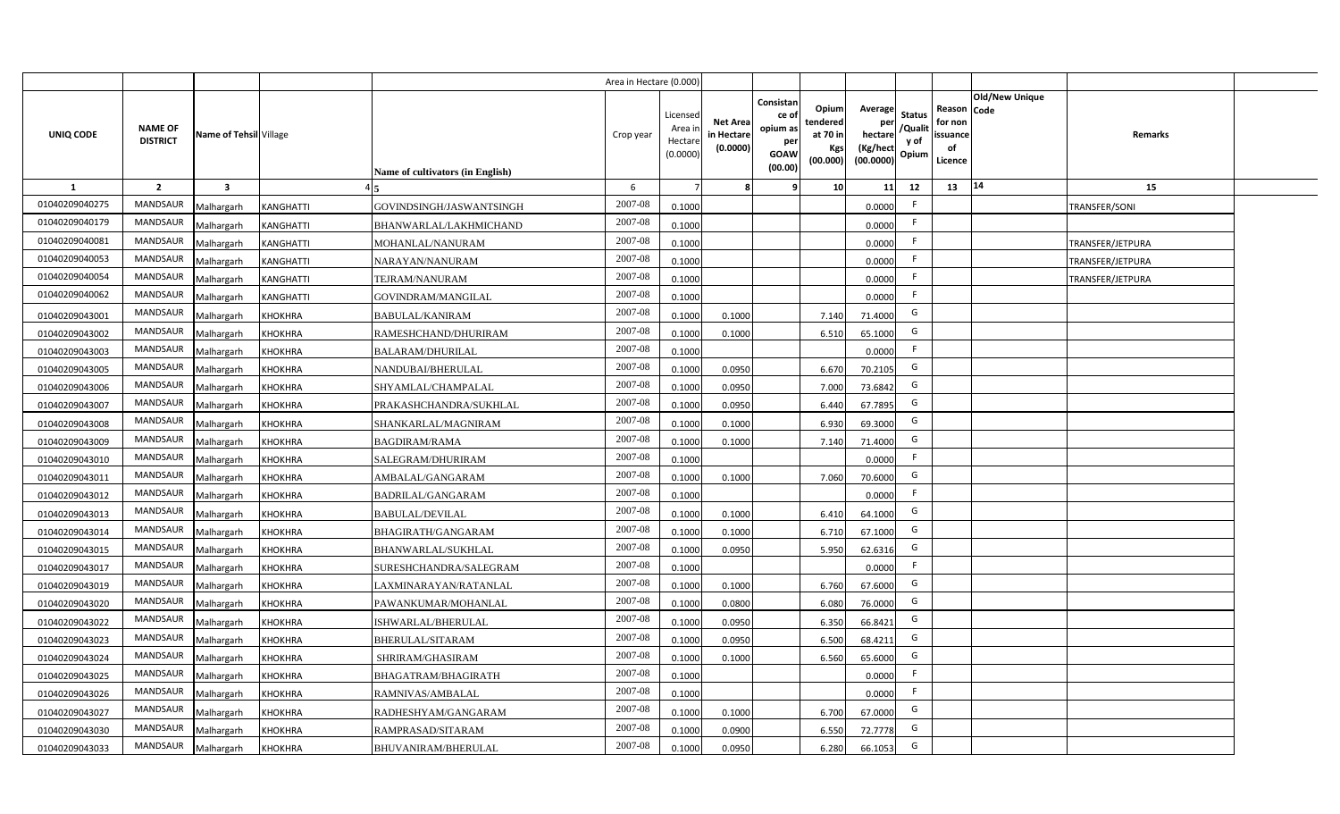|                |                                   |                         |                                            | Area in Hectare (0.000) |                                          |                                           |                                                         |                                                         |                                                            |                                  |                                                     |                       |                  |  |
|----------------|-----------------------------------|-------------------------|--------------------------------------------|-------------------------|------------------------------------------|-------------------------------------------|---------------------------------------------------------|---------------------------------------------------------|------------------------------------------------------------|----------------------------------|-----------------------------------------------------|-----------------------|------------------|--|
| UNIQ CODE      | <b>NAME OF</b><br><b>DISTRICT</b> | Name of Tehsil Village  | Name of cultivators (in English)           | Crop year               | Licensed<br>Area i<br>Hectar<br>(0.0000) | <b>Net Area</b><br>in Hectare<br>(0.0000) | Consistan<br>ce o<br>opium as<br>per<br>GOAW<br>(00.00) | Opium<br>tendered<br>at 70 in<br><b>Kgs</b><br>(00.000) | Average<br>per<br>hectare<br>(Kg/hect<br>$(00.0000)$ Opium | <b>Status</b><br>/Qualit<br>y of | Reason Code<br>for non<br>issuance<br>of<br>Licence | <b>Old/New Unique</b> | Remarks          |  |
| <b>1</b>       | $\overline{2}$                    | $\overline{\mathbf{3}}$ |                                            | 6                       |                                          |                                           |                                                         | 10                                                      | 11                                                         | 12                               | 13                                                  | 14                    | 15               |  |
| 01040209040275 | <b>MANDSAUR</b>                   | Malhargarh              | KANGHATTI<br>GOVINDSINGH/JASWANTSINGH      | 2007-08                 | 0.1000                                   |                                           |                                                         |                                                         | 0.0000                                                     | F.                               |                                                     |                       | TRANSFER/SONI    |  |
| 01040209040179 | MANDSAUR                          | Malhargarh              | KANGHATTI<br><b>BHANWARLAL/LAKHMICHAND</b> | 2007-08                 | 0.1000                                   |                                           |                                                         |                                                         | 0.0000                                                     | F                                |                                                     |                       |                  |  |
| 01040209040081 | MANDSAUR                          | Malhargarh              | KANGHATTI<br>MOHANLAL/NANURAM              | 2007-08                 | 0.1000                                   |                                           |                                                         |                                                         | 0.0000                                                     | F.                               |                                                     |                       | TRANSFER/JETPURA |  |
| 01040209040053 | <b>MANDSAUR</b>                   | Malhargarh              | KANGHATTI<br>NARAYAN/NANURAM               | 2007-08                 | 0.1000                                   |                                           |                                                         |                                                         | 0.0000                                                     | F.                               |                                                     |                       | TRANSFER/JETPURA |  |
| 01040209040054 | <b>MANDSAUR</b>                   | Malhargarh              | KANGHATTI<br>TEJRAM/NANURAM                | 2007-08                 | 0.1000                                   |                                           |                                                         |                                                         | 0.0000                                                     | F.                               |                                                     |                       | TRANSFER/JETPURA |  |
| 01040209040062 | <b>MANDSAUR</b>                   | Malhargarh              | KANGHATTI<br>GOVINDRAM/MANGILAL            | 2007-08                 | 0.1000                                   |                                           |                                                         |                                                         | 0.0000                                                     | F                                |                                                     |                       |                  |  |
| 01040209043001 | <b>MANDSAUR</b>                   | Malhargarh              | KHOKHRA<br><b>BABULAL/KANIRAM</b>          | 2007-08                 | 0.1000                                   | 0.1000                                    |                                                         | 7.140                                                   | 71.4000                                                    | G                                |                                                     |                       |                  |  |
| 01040209043002 | <b>MANDSAUR</b>                   | Malhargarh              | KHOKHRA<br>RAMESHCHAND/DHURIRAM            | 2007-08                 | 0.100                                    | 0.1000                                    |                                                         | 6.510                                                   | 65.1000                                                    | G                                |                                                     |                       |                  |  |
| 01040209043003 | <b>MANDSAUR</b>                   | Malhargarh              | KHOKHRA<br>BALARAM/DHURILAL                | 2007-08                 | 0.1000                                   |                                           |                                                         |                                                         | 0.0000                                                     | F.                               |                                                     |                       |                  |  |
| 01040209043005 | <b>MANDSAUR</b>                   | Malhargarh              | KHOKHRA<br>NANDUBAI/BHERULAL               | 2007-08                 | 0.1000                                   | 0.0950                                    |                                                         | 6.670                                                   | 70.2105                                                    | G                                |                                                     |                       |                  |  |
| 01040209043006 | <b>MANDSAUR</b>                   | Malhargarh              | KHOKHRA<br>SHYAMLAL/CHAMPALAL              | 2007-08                 | 0.1000                                   | 0.0950                                    |                                                         | 7.000                                                   | 73.6842                                                    | G                                |                                                     |                       |                  |  |
| 01040209043007 | MANDSAUR                          | Malhargarh              | KHOKHRA<br>PRAKASHCHANDRA/SUKHLAL          | 2007-08                 | 0.1000                                   | 0.0950                                    |                                                         | 6.440                                                   | 67.7895                                                    | G                                |                                                     |                       |                  |  |
| 01040209043008 | MANDSAUR                          | Malhargarh              | <b>KHOKHRA</b><br>SHANKARLAL/MAGNIRAM      | 2007-08                 | 0.1000                                   | 0.1000                                    |                                                         | 6.930                                                   | 69.3000                                                    | G                                |                                                     |                       |                  |  |
| 01040209043009 | MANDSAUR                          | Malhargarh              | <b>BAGDIRAM/RAMA</b><br>KHOKHRA            | 2007-08                 | 0.1000                                   | 0.1000                                    |                                                         | 7.140                                                   | 71.4000                                                    | G                                |                                                     |                       |                  |  |
| 01040209043010 | MANDSAUR                          | Malhargarh              | KHOKHRA<br>SALEGRAM/DHURIRAM               | 2007-08                 | 0.1000                                   |                                           |                                                         |                                                         | 0.0000                                                     | F.                               |                                                     |                       |                  |  |
| 01040209043011 | MANDSAUR                          | Malhargarh              | KHOKHRA<br>AMBALAL/GANGARAM                | 2007-08                 | 0.1000                                   | 0.1000                                    |                                                         | 7.060                                                   | 70.6000                                                    | G                                |                                                     |                       |                  |  |
| 01040209043012 | MANDSAUR                          | Malhargarh              | <b>KHOKHRA</b><br>BADRILAL/GANGARAM        | 2007-08                 | 0.1000                                   |                                           |                                                         |                                                         | 0.0000                                                     | F.                               |                                                     |                       |                  |  |
| 01040209043013 | <b>MANDSAUR</b>                   | Malhargarh              | KHOKHRA<br><b>BABULAL/DEVILAL</b>          | 2007-08                 | 0.1000                                   | 0.1000                                    |                                                         | 6.410                                                   | 64.1000                                                    | G                                |                                                     |                       |                  |  |
| 01040209043014 | <b>MANDSAUR</b>                   | Malhargarh              | <b>KHOKHRA</b><br>BHAGIRATH/GANGARAM       | 2007-08                 | 0.1000                                   | 0.1000                                    |                                                         | 6.710                                                   | 67.1000                                                    | G                                |                                                     |                       |                  |  |
| 01040209043015 | <b>MANDSAUR</b>                   | Malhargarh              | KHOKHRA<br><b>BHANWARLAL/SUKHLAL</b>       | 2007-08                 | 0.1000                                   | 0.0950                                    |                                                         | 5.950                                                   | 62.6316                                                    | G                                |                                                     |                       |                  |  |
| 01040209043017 | <b>MANDSAUR</b>                   | Malhargarh              | KHOKHRA<br>SURESHCHANDRA/SALEGRAM          | 2007-08                 | 0.1000                                   |                                           |                                                         |                                                         | 0.0000                                                     | F.                               |                                                     |                       |                  |  |
| 01040209043019 | <b>MANDSAUR</b>                   | Malhargarh              | KHOKHRA<br>LAXMINARAYAN/RATANLAL           | 2007-08                 | 0.1000                                   | 0.1000                                    |                                                         | 6.760                                                   | 67.6000                                                    | G                                |                                                     |                       |                  |  |
| 01040209043020 | <b>MANDSAUR</b>                   | Malhargarh              | KHOKHRA<br>PAWANKUMAR/MOHANLAL             | 2007-08                 | 0.1000                                   | 0.0800                                    |                                                         | 6.080                                                   | 76.0000                                                    | G                                |                                                     |                       |                  |  |
| 01040209043022 | <b>MANDSAUR</b>                   | Malhargarh              | KHOKHRA<br>ISHWARLAL/BHERULAL              | 2007-08                 | 0.1000                                   | 0.0950                                    |                                                         | 6.350                                                   | 66.8421                                                    | G                                |                                                     |                       |                  |  |
| 01040209043023 | <b>MANDSAUR</b>                   | Malhargarh              | KHOKHRA<br>BHERULAL/SITARAM                | 2007-08                 | 0.1000                                   | 0.0950                                    |                                                         | 6.500                                                   | 68.4211                                                    | G                                |                                                     |                       |                  |  |
| 01040209043024 | <b>MANDSAUR</b>                   | Malhargarh              | KHOKHRA<br>SHRIRAM/GHASIRAM                | 2007-08                 | 0.100                                    | 0.1000                                    |                                                         | 6.560                                                   | 65.6000                                                    | G                                |                                                     |                       |                  |  |
| 01040209043025 | <b>MANDSAUR</b>                   | Malhargarh              | KHOKHRA<br>BHAGATRAM/BHAGIRATH             | 2007-08                 | 0.1000                                   |                                           |                                                         |                                                         | 0.0000                                                     | F.                               |                                                     |                       |                  |  |
| 01040209043026 | <b>MANDSAUR</b>                   | Malhargarh              | KHOKHRA<br>RAMNIVAS/AMBALAL                | 2007-08                 | 0.1000                                   |                                           |                                                         |                                                         | 0.0000                                                     | F.                               |                                                     |                       |                  |  |
| 01040209043027 | <b>MANDSAUR</b>                   | Malhargarh              | KHOKHRA<br>RADHESHYAM/GANGARAM             | 2007-08                 | 0.1000                                   | 0.1000                                    |                                                         | 6.700                                                   | 67.0000                                                    | G                                |                                                     |                       |                  |  |
| 01040209043030 | <b>MANDSAUF</b>                   | Malhargarh              | KHOKHRA<br>RAMPRASAD/SITARAM               | 2007-08                 | 0.1000                                   | 0.0900                                    |                                                         | 6.550                                                   | 72.7778                                                    | G                                |                                                     |                       |                  |  |
| 01040209043033 | MANDSAUR                          | Malhargarh              | <b>KHOKHRA</b><br>BHUVANIRAM/BHERULAL      | 2007-08                 | 0.1000                                   | 0.0950                                    |                                                         | 6.280                                                   | 66.1053                                                    | G                                |                                                     |                       |                  |  |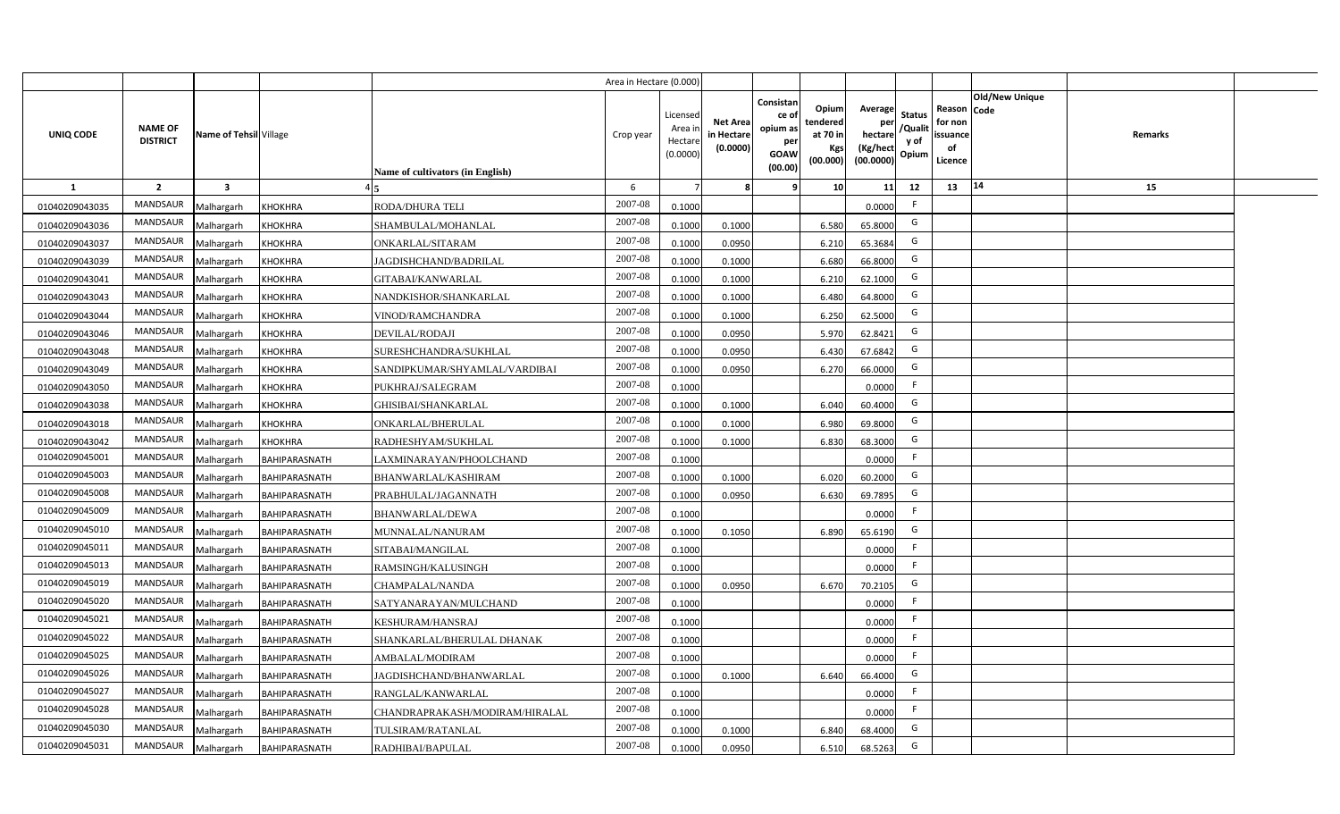|                |                                   |                         |                      |                                  | Area in Hectare (0.000 |                                          |                                           |                                                                 |                                                  |                                                    |                                           |                                                     |                       |         |  |
|----------------|-----------------------------------|-------------------------|----------------------|----------------------------------|------------------------|------------------------------------------|-------------------------------------------|-----------------------------------------------------------------|--------------------------------------------------|----------------------------------------------------|-------------------------------------------|-----------------------------------------------------|-----------------------|---------|--|
| UNIQ CODE      | <b>NAME OF</b><br><b>DISTRICT</b> | Name of Tehsil Village  |                      | Name of cultivators (in English) | Crop year              | Licensec<br>Area i<br>Hectar<br>(0.0000) | <b>Net Area</b><br>in Hectare<br>(0.0000) | Consistan<br>ce of<br>opium as<br>per<br><b>GOAW</b><br>(00.00) | Opium<br>tendered<br>at 70 in<br>Kgs<br>(00.000) | Average<br>per<br>hectare<br>(Kg/hect<br>(00.0000) | <b>Status</b><br>/Qualit<br>y of<br>Opium | Reason Code<br>for non<br>issuance<br>of<br>Licence | <b>Old/New Unique</b> | Remarks |  |
| $\mathbf{1}$   | $\overline{2}$                    | $\overline{\mathbf{3}}$ |                      |                                  | 6                      |                                          |                                           | q                                                               | 10                                               | 11                                                 | 12                                        | 13                                                  | 14                    | 15      |  |
| 01040209043035 | MANDSAUR                          | Malhargarh              | <b>KHOKHRA</b>       | <b>RODA/DHURA TELI</b>           | 2007-08                | 0.1000                                   |                                           |                                                                 |                                                  | 0.0000                                             | -F                                        |                                                     |                       |         |  |
| 01040209043036 | <b>MANDSAUR</b>                   | Malhargarh              | <b>KHOKHRA</b>       | SHAMBULAL/MOHANLAL               | 2007-08                | 0.100                                    | 0.1000                                    |                                                                 | 6.580                                            | 65.8000                                            | G                                         |                                                     |                       |         |  |
| 01040209043037 | <b>MANDSAUR</b>                   | Malhargarh              | <b>KHOKHRA</b>       | ONKARLAL/SITARAM                 | 2007-08                | 0.100                                    | 0.0950                                    |                                                                 | 6.210                                            | 65.3684                                            | G                                         |                                                     |                       |         |  |
| 01040209043039 | MANDSAUR                          | Malhargarh              | <b>KHOKHRA</b>       | JAGDISHCHAND/BADRILAL            | 2007-08                | 0.1000                                   | 0.1000                                    |                                                                 | 6.680                                            | 66.8000                                            | G                                         |                                                     |                       |         |  |
| 01040209043041 | MANDSAUR                          | Malhargarh              | <b>KHOKHRA</b>       | GITABAI/KANWARLAL                | 2007-08                | 0.1000                                   | 0.1000                                    |                                                                 | 6.210                                            | 62.1000                                            | G                                         |                                                     |                       |         |  |
| 01040209043043 | <b>MANDSAUR</b>                   | Malhargarh              | <b>KHOKHRA</b>       | NANDKISHOR/SHANKARLAL            | 2007-08                | 0.1000                                   | 0.1000                                    |                                                                 | 6.480                                            | 64.8000                                            | G                                         |                                                     |                       |         |  |
| 01040209043044 | MANDSAUR                          | Malhargarh              | <b>KHOKHRA</b>       | VINOD/RAMCHANDRA                 | 2007-08                | 0.1000                                   | 0.1000                                    |                                                                 | 6.250                                            | 62.5000                                            | G                                         |                                                     |                       |         |  |
| 01040209043046 | <b>MANDSAUR</b>                   | Malhargarh              | <b>KHOKHRA</b>       | DEVILAL/RODAJI                   | 2007-08                | 0.1000                                   | 0.0950                                    |                                                                 | 5.970                                            | 62.8421                                            | G                                         |                                                     |                       |         |  |
| 01040209043048 | <b>MANDSAUR</b>                   | Malhargarh              | <b>KHOKHRA</b>       | SURESHCHANDRA/SUKHLAL            | 2007-08                | 0.100                                    | 0.0950                                    |                                                                 | 6.430                                            | 67.6842                                            | G                                         |                                                     |                       |         |  |
| 01040209043049 | MANDSAUR                          | Malhargarh              | <b>KHOKHRA</b>       | SANDIPKUMAR/SHYAMLAL/VARDIBAI    | 2007-08                | 0.1000                                   | 0.0950                                    |                                                                 | 6.270                                            | 66.0000                                            | G                                         |                                                     |                       |         |  |
| 01040209043050 | <b>MANDSAUR</b>                   | Malhargarh              | <b>KHOKHRA</b>       | PUKHRAJ/SALEGRAM                 | 2007-08                | 0.1000                                   |                                           |                                                                 |                                                  | 0.0000                                             | -F                                        |                                                     |                       |         |  |
| 01040209043038 | <b>MANDSAUR</b>                   | Malhargarh              | <b>KHOKHRA</b>       | <b>GHISIBAI/SHANKARLAL</b>       | 2007-08                | 0.1000                                   | 0.1000                                    |                                                                 | 6.040                                            | 60.4000                                            | G                                         |                                                     |                       |         |  |
| 01040209043018 | <b>MANDSAUR</b>                   | Malhargarh              | <b>KHOKHRA</b>       | ONKARLAL/BHERULAL                | 2007-08                | 0.1000                                   | 0.1000                                    |                                                                 | 6.980                                            | 69.8000                                            | G                                         |                                                     |                       |         |  |
| 01040209043042 | <b>MANDSAUR</b>                   | Malhargarh              | <b>KHOKHRA</b>       | RADHESHYAM/SUKHLAL               | 2007-08                | 0.1000                                   | 0.1000                                    |                                                                 | 6.830                                            | 68.3000                                            | G                                         |                                                     |                       |         |  |
| 01040209045001 | <b>MANDSAUR</b>                   | Malhargarh              | <b>BAHIPARASNATH</b> | LAXMINARAYAN/PHOOLCHAND          | 2007-08                | 0.1000                                   |                                           |                                                                 |                                                  | 0.0000                                             | $\mathsf{F}$                              |                                                     |                       |         |  |
| 01040209045003 | <b>MANDSAUR</b>                   | Malhargarh              | BAHIPARASNATH        | BHANWARLAL/KASHIRAM              | 2007-08                | 0.1000                                   | 0.1000                                    |                                                                 | 6.020                                            | 60.2000                                            | G                                         |                                                     |                       |         |  |
| 01040209045008 | <b>MANDSAUR</b>                   | Malhargarh              | <b>BAHIPARASNATH</b> | PRABHULAL/JAGANNATH              | 2007-08                | 0.100                                    | 0.0950                                    |                                                                 | 6.630                                            | 69.7895                                            | G                                         |                                                     |                       |         |  |
| 01040209045009 | <b>MANDSAUR</b>                   | Malhargarh              | BAHIPARASNATH        | <b>BHANWARLAL/DEWA</b>           | 2007-08                | 0.100                                    |                                           |                                                                 |                                                  | 0.0000                                             | $\mathsf{F}$                              |                                                     |                       |         |  |
| 01040209045010 | <b>MANDSAUR</b>                   | Malhargarh              | <b>BAHIPARASNATH</b> | MUNNALAL/NANURAM                 | 2007-08                | 0.1000                                   | 0.1050                                    |                                                                 | 6.890                                            | 65.6190                                            | G                                         |                                                     |                       |         |  |
| 01040209045011 | <b>MANDSAUR</b>                   | Malhargarh              | BAHIPARASNATH        | SITABAI/MANGILAL                 | $2007 - 08$            | 0.100                                    |                                           |                                                                 |                                                  | 0.0000                                             | -F                                        |                                                     |                       |         |  |
| 01040209045013 | <b>MANDSAUR</b>                   | Malhargarh              | BAHIPARASNATH        | RAMSINGH/KALUSINGH               | 2007-08                | 0.100                                    |                                           |                                                                 |                                                  | 0.0000                                             | F.                                        |                                                     |                       |         |  |
| 01040209045019 | <b>MANDSAUR</b>                   | Malhargarh              | <b>BAHIPARASNATH</b> | CHAMPALAL/NANDA                  | 2007-08                | 0.100                                    | 0.0950                                    |                                                                 | 6.670                                            | 70.2105                                            | G                                         |                                                     |                       |         |  |
| 01040209045020 | <b>MANDSAUR</b>                   | Malhargarh              | BAHIPARASNATH        | SATYANARAYAN/MULCHAND            | 2007-08                | 0.1000                                   |                                           |                                                                 |                                                  | 0.0000                                             | F.                                        |                                                     |                       |         |  |
| 01040209045021 | MANDSAUR                          | Malhargarh              | <b>BAHIPARASNATH</b> | KESHURAM/HANSRAJ                 | 2007-08                | 0.1000                                   |                                           |                                                                 |                                                  | 0.0000                                             | -F                                        |                                                     |                       |         |  |
| 01040209045022 | <b>MANDSAUR</b>                   | Malhargarh              | BAHIPARASNATH        | SHANKARLAL/BHERULAL DHANAK       | 2007-08                | 0.1000                                   |                                           |                                                                 |                                                  | 0.0000                                             | F.                                        |                                                     |                       |         |  |
| 01040209045025 | MANDSAUR                          | Malhargarh              | <b>BAHIPARASNATH</b> | AMBALAL/MODIRAM                  | 2007-08                | 0.1000                                   |                                           |                                                                 |                                                  | 0.0000                                             | -F                                        |                                                     |                       |         |  |
| 01040209045026 | MANDSAUR                          | Malhargarh              | BAHIPARASNATH        | JAGDISHCHAND/BHANWARLAL          | 2007-08                | 0.1000                                   | 0.1000                                    |                                                                 | 6.640                                            | 66.4000                                            | G                                         |                                                     |                       |         |  |
| 01040209045027 | MANDSAUR                          | Malhargarh              | BAHIPARASNATH        | RANGLAL/KANWARLAL                | 2007-08                | 0.1000                                   |                                           |                                                                 |                                                  | 0.0000                                             | F.                                        |                                                     |                       |         |  |
| 01040209045028 | <b>MANDSAUR</b>                   | Malhargarh              | <b>BAHIPARASNATH</b> | CHANDRAPRAKASH/MODIRAM/HIRALAL   | 2007-08                | 0.1000                                   |                                           |                                                                 |                                                  | 0.0000                                             | $\mathsf{F}$                              |                                                     |                       |         |  |
| 01040209045030 | <b>MANDSAUR</b>                   | Malhargarh              | <b>BAHIPARASNATH</b> | TULSIRAM/RATANLAL                | 2007-08                | 0.1000                                   | 0.1000                                    |                                                                 | 6.840                                            | 68.4000                                            | G                                         |                                                     |                       |         |  |
| 01040209045031 | MANDSAUR                          | Malhargarh              | <b>BAHIPARASNATH</b> | RADHIBAI/BAPULAL                 | 2007-08                | 0.1000                                   | 0.0950                                    |                                                                 | 6.510                                            | 68.5263                                            | G                                         |                                                     |                       |         |  |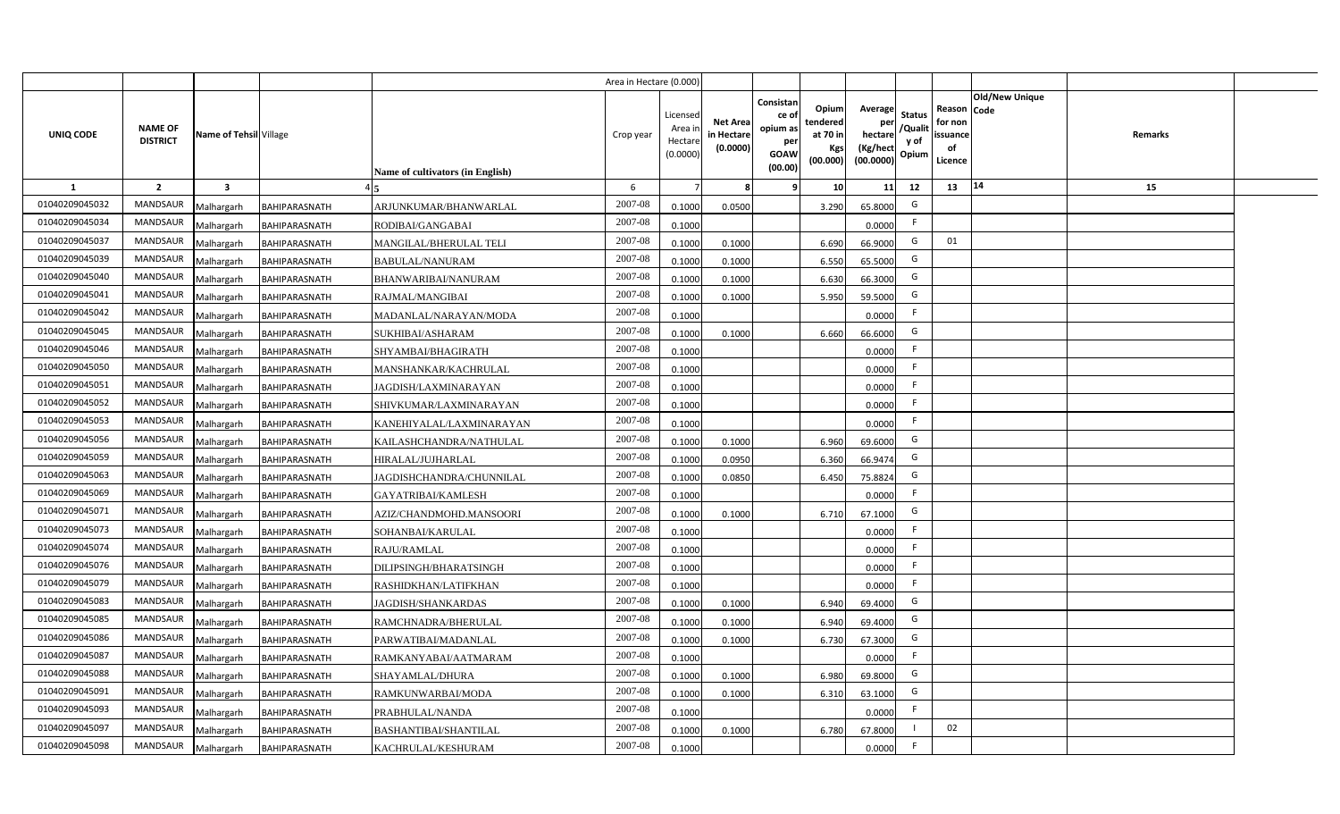|                |                                   |                         |                      |                                  | Area in Hectare (0.000) |                                           |                                           |                                                                                                     |                 |                                                    |                                           |                                                     |                       |         |  |
|----------------|-----------------------------------|-------------------------|----------------------|----------------------------------|-------------------------|-------------------------------------------|-------------------------------------------|-----------------------------------------------------------------------------------------------------|-----------------|----------------------------------------------------|-------------------------------------------|-----------------------------------------------------|-----------------------|---------|--|
| UNIQ CODE      | <b>NAME OF</b><br><b>DISTRICT</b> | Name of Tehsil Village  |                      | Name of cultivators (in English) | Crop year               | Licensed<br>Area i<br>Hectare<br>(0.0000) | <b>Net Area</b><br>in Hectare<br>(0.0000) | Consistan<br>ce of<br>tendered<br>opium as<br>at 70 in<br>per<br><b>GOAW</b><br>(00.000)<br>(00.00) | Opium<br>Kgs    | Average<br>per<br>hectare<br>(Kg/hect<br>(00.0000) | <b>Status</b><br>/Qualit<br>y of<br>Opium | Reason Code<br>for non<br>issuance<br>of<br>Licence | <b>Old/New Unique</b> | Remarks |  |
| 1              | $\overline{2}$                    | $\overline{\mathbf{3}}$ |                      |                                  | 6                       |                                           | 8                                         | -9                                                                                                  | 10 <sup>1</sup> | 11                                                 | 12                                        | 13                                                  | 14                    | 15      |  |
| 01040209045032 | <b>MANDSAUR</b>                   | Malhargarh              | BAHIPARASNATH        | ARJUNKUMAR/BHANWARLAL            | 2007-08                 | 0.1000                                    | 0.0500                                    |                                                                                                     | 3.290           | 65.8000                                            | G                                         |                                                     |                       |         |  |
| 01040209045034 | MANDSAUR                          | Malhargarh              | <b>BAHIPARASNATH</b> | RODIBAI/GANGABAI                 | 2007-08                 | 0.1000                                    |                                           |                                                                                                     |                 | 0.0000                                             | F.                                        |                                                     |                       |         |  |
| 01040209045037 | <b>MANDSAUR</b>                   | Malhargarh              | <b>BAHIPARASNATH</b> | MANGILAL/BHERULAL TELI           | 2007-08                 | 0.1000                                    | 0.1000                                    |                                                                                                     | 6.690           | 66.9000                                            | G                                         | 01                                                  |                       |         |  |
| 01040209045039 | <b>MANDSAUR</b>                   | Malhargarh              | BAHIPARASNATH        | <b>BABULAL/NANURAM</b>           | 2007-08                 | 0.1000                                    | 0.1000                                    |                                                                                                     | 6.550           | 65.5000                                            | G                                         |                                                     |                       |         |  |
| 01040209045040 | MANDSAUR                          | Malhargarh              | BAHIPARASNATH        | BHANWARIBAI/NANURAM              | 2007-08                 | 0.1000                                    | 0.1000                                    |                                                                                                     | 6.630           | 66.3000                                            | G                                         |                                                     |                       |         |  |
| 01040209045041 | <b>MANDSAUR</b>                   | Malhargarh              | BAHIPARASNATH        | RAJMAL/MANGIBAI                  | 2007-08                 | 0.1000                                    | 0.1000                                    |                                                                                                     | 5.950           | 59.5000                                            | G                                         |                                                     |                       |         |  |
| 01040209045042 | <b>MANDSAUR</b>                   | Malhargarh              | BAHIPARASNATH        | MADANLAL/NARAYAN/MODA            | 2007-08                 | 0.1000                                    |                                           |                                                                                                     |                 | 0.0000                                             | F                                         |                                                     |                       |         |  |
| 01040209045045 | MANDSAUR                          | Malhargarh              | BAHIPARASNATH        | SUKHIBAI/ASHARAM                 | 2007-08                 | 0.1000                                    | 0.1000                                    |                                                                                                     | 6.660           | 66.6000                                            | G                                         |                                                     |                       |         |  |
| 01040209045046 | MANDSAUR                          | Malhargarh              | BAHIPARASNATH        | SHYAMBAI/BHAGIRATH               | 2007-08                 | 0.1000                                    |                                           |                                                                                                     |                 | 0.0000                                             | F.                                        |                                                     |                       |         |  |
| 01040209045050 | MANDSAUR                          | Malhargarh              | <b>BAHIPARASNATH</b> | MANSHANKAR/KACHRULAL             | 2007-08                 | 0.1000                                    |                                           |                                                                                                     |                 | 0.0000                                             | F                                         |                                                     |                       |         |  |
| 01040209045051 | <b>MANDSAUR</b>                   | Malhargarh              | BAHIPARASNATH        | JAGDISH/LAXMINARAYAN             | 2007-08                 | 0.1000                                    |                                           |                                                                                                     |                 | 0.0000                                             | F.                                        |                                                     |                       |         |  |
| 01040209045052 | <b>MANDSAUR</b>                   | Malhargarh              | <b>BAHIPARASNATH</b> | SHIVKUMAR/LAXMINARAYAN           | 2007-08                 | 0.1000                                    |                                           |                                                                                                     |                 | 0.0000                                             | -F                                        |                                                     |                       |         |  |
| 01040209045053 | <b>MANDSAUR</b>                   | Malhargarh              | BAHIPARASNATH        | KANEHIYALAL/LAXMINARAYAN         | 2007-08                 | 0.1000                                    |                                           |                                                                                                     |                 | 0.0000                                             | F                                         |                                                     |                       |         |  |
| 01040209045056 | <b>MANDSAUR</b>                   | Malhargarh              | <b>BAHIPARASNATH</b> | KAILASHCHANDRA/NATHULAL          | 2007-08                 | 0.1000                                    | 0.1000                                    |                                                                                                     | 6.960           | 69.6000                                            | G                                         |                                                     |                       |         |  |
| 01040209045059 | <b>MANDSAUR</b>                   | Malhargarh              | BAHIPARASNATH        | HIRALAL/JUJHARLAL                | 2007-08                 | 0.1000                                    | 0.0950                                    |                                                                                                     | 6.360           | 66.9474                                            | G                                         |                                                     |                       |         |  |
| 01040209045063 | MANDSAUR                          | Malhargarh              | BAHIPARASNATH        | JAGDISHCHANDRA/CHUNNILAL         | 2007-08                 | 0.1000                                    | 0.0850                                    |                                                                                                     | 6.450           | 75.8824                                            | G                                         |                                                     |                       |         |  |
| 01040209045069 | MANDSAUR                          | Malhargarh              | BAHIPARASNATH        | GAYATRIBAI/KAMLESH               | 2007-08                 | 0.1000                                    |                                           |                                                                                                     |                 | 0.0000                                             | F.                                        |                                                     |                       |         |  |
| 01040209045071 | <b>MANDSAUR</b>                   | Malhargarh              | BAHIPARASNATH        | AZIZ/CHANDMOHD.MANSOORI          | 2007-08                 | 0.1000                                    | 0.1000                                    |                                                                                                     | 6.710           | 67.1000                                            | G                                         |                                                     |                       |         |  |
| 01040209045073 | MANDSAUR                          | Malhargarh              | BAHIPARASNATH        | SOHANBAI/KARULAL                 | 2007-08                 | 0.1000                                    |                                           |                                                                                                     |                 | 0.0000                                             | F.                                        |                                                     |                       |         |  |
| 01040209045074 | <b>MANDSAUR</b>                   | Malhargarh              | BAHIPARASNATH        | RAJU/RAMLAL                      | 2007-08                 | 0.1000                                    |                                           |                                                                                                     |                 | 0.0000                                             | F.                                        |                                                     |                       |         |  |
| 01040209045076 | <b>MANDSAUR</b>                   | Malhargarh              | BAHIPARASNATH        | DILIPSINGH/BHARATSINGH           | 2007-08                 | 0.1000                                    |                                           |                                                                                                     |                 | 0.0000                                             | F.                                        |                                                     |                       |         |  |
| 01040209045079 | <b>MANDSAUR</b>                   | Malhargarh              | <b>BAHIPARASNATH</b> | RASHIDKHAN/LATIFKHAN             | 2007-08                 | 0.1000                                    |                                           |                                                                                                     |                 | 0.0000                                             | -F                                        |                                                     |                       |         |  |
| 01040209045083 | <b>MANDSAUR</b>                   | Malhargarh              | <b>BAHIPARASNATH</b> | <b>JAGDISH/SHANKARDAS</b>        | 2007-08                 | 0.1000                                    | 0.1000                                    |                                                                                                     | 6.940           | 69.4000                                            | G                                         |                                                     |                       |         |  |
| 01040209045085 | <b>MANDSAUR</b>                   | Malhargarh              | BAHIPARASNATH        | RAMCHNADRA/BHERULAL              | 2007-08                 | 0.1000                                    | 0.1000                                    |                                                                                                     | 6.940           | 69.4000                                            | G                                         |                                                     |                       |         |  |
| 01040209045086 | <b>MANDSAUR</b>                   | Malhargarh              | BAHIPARASNATH        | PARWATIBAI/MADANLAL              | 2007-08                 | 0.1000                                    | 0.1000                                    |                                                                                                     | 6.730           | 67.3000                                            | G                                         |                                                     |                       |         |  |
| 01040209045087 | MANDSAUR                          | Malhargarh              | BAHIPARASNATH        | RAMKANYABAI/AATMARAM             | 2007-08                 | 0.1000                                    |                                           |                                                                                                     |                 | 0.0000                                             | F                                         |                                                     |                       |         |  |
| 01040209045088 | MANDSAUR                          | Malhargarh              | BAHIPARASNATH        | SHAYAMLAL/DHURA                  | 2007-08                 | 0.1000                                    | 0.1000                                    |                                                                                                     | 6.980           | 69.8000                                            | G                                         |                                                     |                       |         |  |
| 01040209045091 | MANDSAUR                          | Malhargarh              | BAHIPARASNATH        | RAMKUNWARBAI/MODA                | 2007-08                 | 0.1000                                    | 0.1000                                    |                                                                                                     | 6.310           | 63.1000                                            | G                                         |                                                     |                       |         |  |
| 01040209045093 | MANDSAUR                          | Malhargarh              | <b>BAHIPARASNATH</b> | PRABHULAL/NANDA                  | 2007-08                 | 0.1000                                    |                                           |                                                                                                     |                 | 0.0000                                             | F.                                        |                                                     |                       |         |  |
| 01040209045097 | MANDSAUR                          | Malhargarh              | BAHIPARASNATH        | <b>BASHANTIBAI/SHANTILAL</b>     | 2007-08                 | 0.1000                                    | 0.1000                                    |                                                                                                     | 6.780           | 67.8000                                            |                                           | 02                                                  |                       |         |  |
| 01040209045098 | MANDSAUR                          | Malhargarh              | <b>BAHIPARASNATH</b> | KACHRULAL/KESHURAM               | 2007-08                 | 0.1000                                    |                                           |                                                                                                     |                 | 0.0000                                             | F.                                        |                                                     |                       |         |  |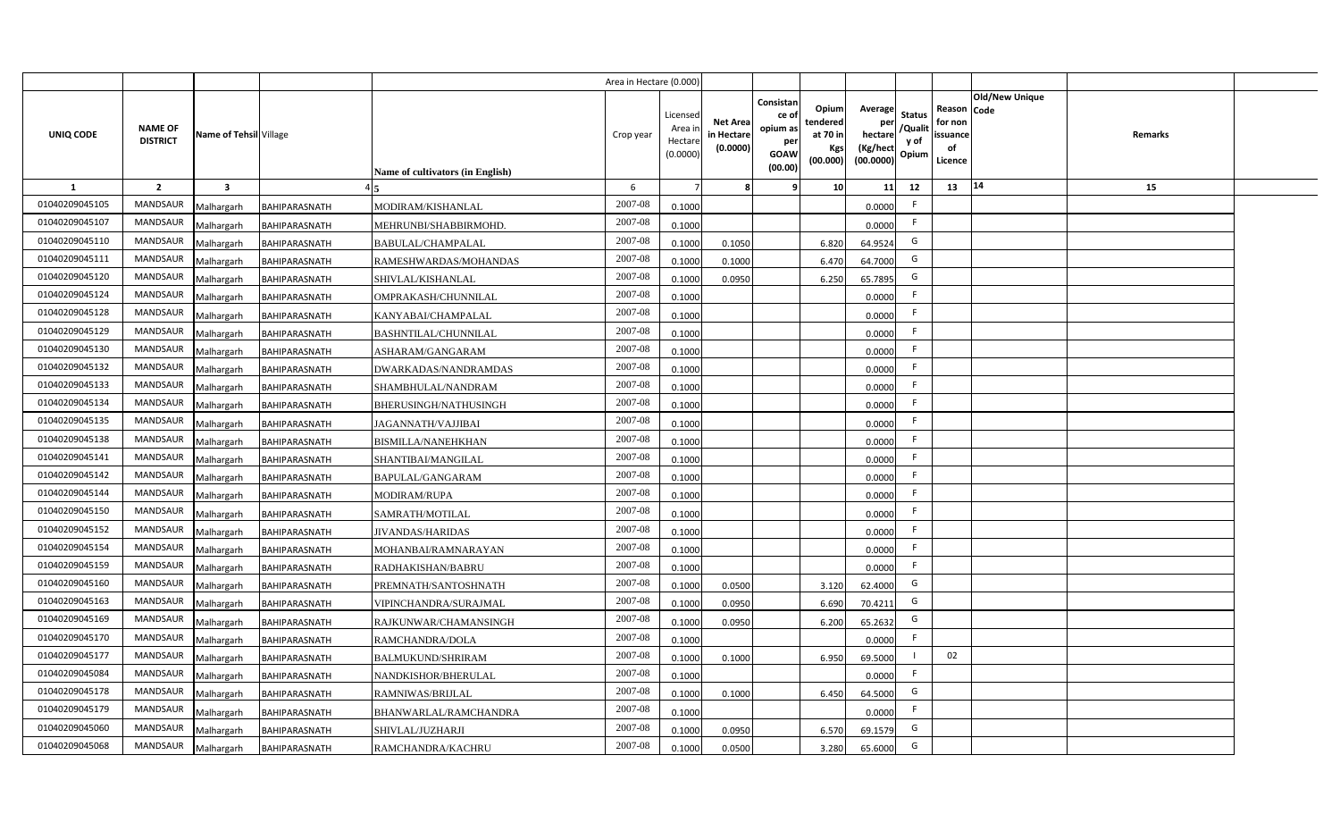|                |                                   |                         |                      |                                  | Area in Hectare (0.000 |                                          |                                          |                                                                 |                                                  |                                                    |                                           |                                                     |                       |         |  |
|----------------|-----------------------------------|-------------------------|----------------------|----------------------------------|------------------------|------------------------------------------|------------------------------------------|-----------------------------------------------------------------|--------------------------------------------------|----------------------------------------------------|-------------------------------------------|-----------------------------------------------------|-----------------------|---------|--|
| UNIQ CODE      | <b>NAME OF</b><br><b>DISTRICT</b> | Name of Tehsil Village  |                      | Name of cultivators (in English) | Crop year              | Licensed<br>Area i<br>Hectar<br>(0.0000) | <b>Net Area</b><br>in Hectar<br>(0.0000) | Consistan<br>ce of<br>opium as<br>per<br><b>GOAW</b><br>(00.00) | Opium<br>tendered<br>at 70 in<br>Kgs<br>(00.000) | Average<br>per<br>hectare<br>(Kg/hect<br>(00.0000) | <b>Status</b><br>/Qualit<br>y of<br>Opium | Reason Code<br>for non<br>issuance<br>of<br>Licence | <b>Old/New Unique</b> | Remarks |  |
| 1              | $\overline{2}$                    | $\overline{\mathbf{3}}$ |                      |                                  | -6                     |                                          |                                          | 9                                                               | 10 <sup>1</sup>                                  | 11                                                 | 12                                        | 13                                                  | 14                    | 15      |  |
| 01040209045105 | MANDSAUR                          | Malhargarh              | BAHIPARASNATH        | MODIRAM/KISHANLAL                | 2007-08                | 0.1000                                   |                                          |                                                                 |                                                  | 0.0000                                             | -F                                        |                                                     |                       |         |  |
| 01040209045107 | MANDSAUR                          | Malhargarh              | BAHIPARASNATH        | MEHRUNBI/SHABBIRMOHD.            | 2007-08                | 0.1000                                   |                                          |                                                                 |                                                  | 0.0000                                             | F.                                        |                                                     |                       |         |  |
| 01040209045110 | <b>MANDSAUR</b>                   | Malhargarh              | BAHIPARASNATH        | <b>BABULAL/CHAMPALAL</b>         | 2007-08                | 0.1000                                   | 0.1050                                   |                                                                 | 6.820                                            | 64.9524                                            | G                                         |                                                     |                       |         |  |
| 01040209045111 | <b>MANDSAUR</b>                   | Malhargarh              | BAHIPARASNATH        | RAMESHWARDAS/MOHANDAS            | 2007-08                | 0.100                                    | 0.1000                                   |                                                                 | 6.470                                            | 64.7000                                            | G                                         |                                                     |                       |         |  |
| 01040209045120 | MANDSAUR                          | Malhargarh              | <b>BAHIPARASNATH</b> | SHIVLAL/KISHANLAL                | 2007-08                | 0.1000                                   | 0.0950                                   |                                                                 | 6.250                                            | 65.7895                                            | G                                         |                                                     |                       |         |  |
| 01040209045124 | <b>MANDSAUR</b>                   | Malhargarh              | BAHIPARASNATH        | OMPRAKASH/CHUNNILAL              | 2007-08                | 0.1000                                   |                                          |                                                                 |                                                  | 0.0000                                             | F                                         |                                                     |                       |         |  |
| 01040209045128 | <b>MANDSAUR</b>                   | Malhargarh              | BAHIPARASNATH        | KANYABAI/CHAMPALAL               | 2007-08                | 0.1000                                   |                                          |                                                                 |                                                  | 0.0000                                             |                                           |                                                     |                       |         |  |
| 01040209045129 | MANDSAUR                          | Malhargarh              | BAHIPARASNATH        | <b>BASHNTILAL/CHUNNILAL</b>      | 2007-08                | 0.1000                                   |                                          |                                                                 |                                                  | 0.0000                                             | E                                         |                                                     |                       |         |  |
| 01040209045130 | MANDSAUR                          | Malhargarh              | BAHIPARASNATH        | ASHARAM/GANGARAM                 | 2007-08                | 0.1000                                   |                                          |                                                                 |                                                  | 0.0000                                             | F                                         |                                                     |                       |         |  |
| 01040209045132 | MANDSAUR                          | Malhargarh              | <b>BAHIPARASNATH</b> | DWARKADAS/NANDRAMDAS             | 2007-08                | 0.1000                                   |                                          |                                                                 |                                                  | 0.0000                                             | -F                                        |                                                     |                       |         |  |
| 01040209045133 | MANDSAUR                          | Malhargarh              | <b>BAHIPARASNATH</b> | SHAMBHULAL/NANDRAM               | 2007-08                | 0.1000                                   |                                          |                                                                 |                                                  | 0.0000                                             |                                           |                                                     |                       |         |  |
| 01040209045134 | <b>MANDSAUR</b>                   | Malhargarh              | BAHIPARASNATH        | BHERUSINGH/NATHUSINGH            | 2007-08                | 0.1000                                   |                                          |                                                                 |                                                  | 0.0000                                             | -F                                        |                                                     |                       |         |  |
| 01040209045135 | <b>MANDSAUR</b>                   | Malhargarh              | BAHIPARASNATH        | JAGANNATH/VAJJIBAI               | 2007-08                | 0.1000                                   |                                          |                                                                 |                                                  | 0.0000                                             | -F                                        |                                                     |                       |         |  |
| 01040209045138 | <b>MANDSAUR</b>                   | Malhargarh              | <b>BAHIPARASNATH</b> | <b>BISMILLA/NANEHKHAN</b>        | 2007-08                | 0.1000                                   |                                          |                                                                 |                                                  | 0.0000                                             | F.                                        |                                                     |                       |         |  |
| 01040209045141 | <b>MANDSAUR</b>                   | Malhargarh              | BAHIPARASNATH        | SHANTIBAI/MANGILAL               | 2007-08                | 0.1000                                   |                                          |                                                                 |                                                  | 0.0000                                             | -F                                        |                                                     |                       |         |  |
| 01040209045142 | <b>MANDSAUR</b>                   | Malhargarh              | BAHIPARASNATH        | <b>BAPULAL/GANGARAM</b>          | 2007-08                | 0.1000                                   |                                          |                                                                 |                                                  | 0.0000                                             | F.                                        |                                                     |                       |         |  |
| 01040209045144 | <b>MANDSAUR</b>                   | Malhargarh              | <b>BAHIPARASNATH</b> | <b>MODIRAM/RUPA</b>              | 2007-08                | 0.1000                                   |                                          |                                                                 |                                                  | 0.0000                                             | -F                                        |                                                     |                       |         |  |
| 01040209045150 | <b>MANDSAUR</b>                   | Malhargarh              | <b>BAHIPARASNATH</b> | SAMRATH/MOTILAL                  | 2007-08                | 0.1000                                   |                                          |                                                                 |                                                  | 0.0000                                             | F.                                        |                                                     |                       |         |  |
| 01040209045152 | <b>MANDSAUR</b>                   | Malhargarh              | BAHIPARASNATH        | <b>JIVANDAS/HARIDAS</b>          | 2007-08                | 0.100                                    |                                          |                                                                 |                                                  | 0.0000                                             | F.                                        |                                                     |                       |         |  |
| 01040209045154 | <b>MANDSAUR</b>                   | Malhargarh              | <b>BAHIPARASNATH</b> | MOHANBAI/RAMNARAYAN              | 2007-08                | 0.1000                                   |                                          |                                                                 |                                                  | 0.0000                                             | F.                                        |                                                     |                       |         |  |
| 01040209045159 | <b>MANDSAUR</b>                   | Malhargarh              | BAHIPARASNATH        | RADHAKISHAN/BABRU                | 2007-08                | 0.1000                                   |                                          |                                                                 |                                                  | 0.0000                                             | -F                                        |                                                     |                       |         |  |
| 01040209045160 | <b>MANDSAUR</b>                   | Malhargarh              | <b>BAHIPARASNATH</b> | PREMNATH/SANTOSHNATH             | 2007-08                | 0.100                                    | 0.0500                                   |                                                                 | 3.120                                            | 62.4000                                            | G                                         |                                                     |                       |         |  |
| 01040209045163 | MANDSAUR                          | Malhargarh              | <b>BAHIPARASNATH</b> | VIPINCHANDRA/SURAJMAL            | 2007-08                | 0.100                                    | 0.0950                                   |                                                                 | 6.690                                            | 70.4211                                            | G                                         |                                                     |                       |         |  |
| 01040209045169 | <b>MANDSAUR</b>                   | Malhargarh              | <b>BAHIPARASNATH</b> | RAJKUNWAR/CHAMANSINGH            | 2007-08                | 0.100                                    | 0.0950                                   |                                                                 | 6.200                                            | 65.2632                                            | G                                         |                                                     |                       |         |  |
| 01040209045170 | <b>MANDSAUR</b>                   | Malhargarh              | <b>BAHIPARASNATH</b> | RAMCHANDRA/DOLA                  | 2007-08                | 0.1000                                   |                                          |                                                                 |                                                  | 0.0000                                             | F.                                        |                                                     |                       |         |  |
| 01040209045177 | MANDSAUR                          | Malhargarh              | BAHIPARASNATH        | <b>BALMUKUND/SHRIRAM</b>         | 2007-08                | 0.1000                                   | 0.1000                                   |                                                                 | 6.950                                            | 69.5000                                            |                                           | 02                                                  |                       |         |  |
| 01040209045084 | MANDSAUR                          | Malhargarh              | <b>BAHIPARASNATH</b> | NANDKISHOR/BHERULAL              | 2007-08                | 0.1000                                   |                                          |                                                                 |                                                  | 0.0000                                             | F                                         |                                                     |                       |         |  |
| 01040209045178 | MANDSAUR                          | Malhargarh              | BAHIPARASNATH        | RAMNIWAS/BRIJLAL                 | 2007-08                | 0.1000                                   | 0.1000                                   |                                                                 | 6.450                                            | 64.5000                                            | G                                         |                                                     |                       |         |  |
| 01040209045179 | MANDSAUR                          | Malhargarh              | <b>BAHIPARASNATH</b> | BHANWARLAL/RAMCHANDRA            | 2007-08                | 0.1000                                   |                                          |                                                                 |                                                  | 0.0000                                             | -F                                        |                                                     |                       |         |  |
| 01040209045060 | MANDSAUR                          | Malhargarh              | <b>BAHIPARASNATH</b> | SHIVLAL/JUZHARJI                 | 2007-08                | 0.1000                                   | 0.0950                                   |                                                                 | 6.570                                            | 69.1579                                            | G                                         |                                                     |                       |         |  |
| 01040209045068 | MANDSAUR                          | Malhargarh              | <b>BAHIPARASNATH</b> | RAMCHANDRA/KACHRU                | 2007-08                | 0.1000                                   | 0.0500                                   |                                                                 | 3.280                                            | 65.6000                                            | G                                         |                                                     |                       |         |  |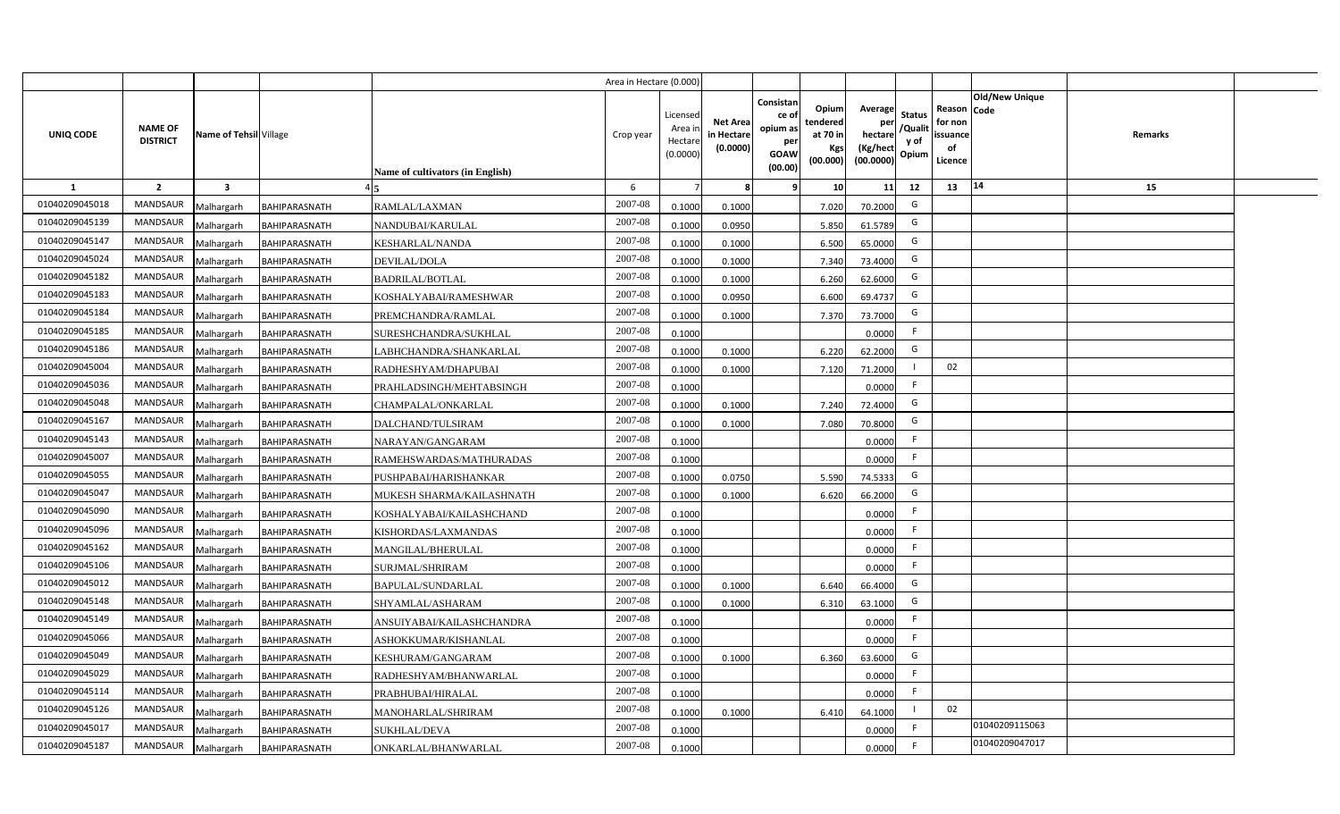|                |                                   |                         |                      |                                  | Area in Hectare (0.000 |                                          |                                           |                                                                 |                                                  |                                                    |                                           |                                                     |                       |         |  |
|----------------|-----------------------------------|-------------------------|----------------------|----------------------------------|------------------------|------------------------------------------|-------------------------------------------|-----------------------------------------------------------------|--------------------------------------------------|----------------------------------------------------|-------------------------------------------|-----------------------------------------------------|-----------------------|---------|--|
| UNIQ CODE      | <b>NAME OF</b><br><b>DISTRICT</b> | Name of Tehsil Village  |                      | Name of cultivators (in English) | Crop year              | Licensec<br>Area i<br>Hectar<br>(0.0000) | <b>Net Area</b><br>in Hectare<br>(0.0000) | Consistan<br>ce of<br>opium as<br>per<br><b>GOAW</b><br>(00.00) | Opium<br>tendered<br>at 70 in<br>Kgs<br>(00.000) | Average<br>per<br>hectare<br>(Kg/hect<br>(00.0000) | <b>Status</b><br>/Qualit<br>y of<br>Opium | Reason Code<br>for non<br>issuance<br>of<br>Licence | <b>Old/New Unique</b> | Remarks |  |
| 1              | $\overline{2}$                    | $\overline{\mathbf{3}}$ |                      |                                  | 6                      |                                          |                                           | <b>q</b>                                                        | 10                                               | 11                                                 | 12                                        | 13                                                  | 14                    | 15      |  |
| 01040209045018 | <b>MANDSAUR</b>                   | Malhargarh              | BAHIPARASNATH        | RAMLAL/LAXMAN                    | 2007-08                | 0.100                                    | 0.1000                                    |                                                                 | 7.020                                            | 70.2000                                            | G                                         |                                                     |                       |         |  |
| 01040209045139 | <b>MANDSAUR</b>                   | Malhargarh              | BAHIPARASNATH        | NANDUBAI/KARULAL                 | 2007-08                | 0.100                                    | 0.0950                                    |                                                                 | 5.850                                            | 61.5789                                            | G                                         |                                                     |                       |         |  |
| 01040209045147 | <b>MANDSAUR</b>                   | Malhargarh              | <b>BAHIPARASNATH</b> | KESHARLAL/NANDA                  | 2007-08                | 0.100                                    | 0.1000                                    |                                                                 | 6.500                                            | 65.0000                                            | G                                         |                                                     |                       |         |  |
| 01040209045024 | <b>MANDSAUR</b>                   | Malhargarh              | BAHIPARASNATH        | DEVILAL/DOLA                     | 2007-08                | 0.100                                    | 0.1000                                    |                                                                 | 7.340                                            | 73.4000                                            | G                                         |                                                     |                       |         |  |
| 01040209045182 | MANDSAUR                          | Malhargarh              | BAHIPARASNATH        | <b>BADRILAL/BOTLAL</b>           | 2007-08                | 0.1000                                   | 0.1000                                    |                                                                 | 6.260                                            | 62.6000                                            | G                                         |                                                     |                       |         |  |
| 01040209045183 | <b>MANDSAUR</b>                   | Malhargarh              | BAHIPARASNATH        | KOSHALYABAI/RAMESHWAR            | 2007-08                | 0.1000                                   | 0.0950                                    |                                                                 | 6.600                                            | 69.4737                                            | G                                         |                                                     |                       |         |  |
| 01040209045184 | MANDSAUR                          | Malhargarh              | <b>BAHIPARASNATH</b> | PREMCHANDRA/RAMLAL               | 2007-08                | 0.1000                                   | 0.1000                                    |                                                                 | 7.370                                            | 73.7000                                            | G                                         |                                                     |                       |         |  |
| 01040209045185 | <b>MANDSAUR</b>                   | Malhargarh              | BAHIPARASNATH        | SURESHCHANDRA/SUKHLAL            | 2007-08                | 0.1000                                   |                                           |                                                                 |                                                  | 0.0000                                             | -F                                        |                                                     |                       |         |  |
| 01040209045186 | <b>MANDSAUR</b>                   | Malhargarh              | BAHIPARASNATH        | LABHCHANDRA/SHANKARLAL           | 2007-08                | 0.1000                                   | 0.1000                                    |                                                                 | 6.220                                            | 62.2000                                            | G                                         |                                                     |                       |         |  |
| 01040209045004 | <b>MANDSAUR</b>                   | Malhargarh              | <b>BAHIPARASNATH</b> | RADHESHYAM/DHAPUBAI              | 2007-08                | 0.1000                                   | 0.1000                                    |                                                                 | 7.120                                            | 71.2000                                            |                                           | 02                                                  |                       |         |  |
| 01040209045036 | <b>MANDSAUR</b>                   | Malhargarh              | BAHIPARASNATH        | PRAHLADSINGH/MEHTABSINGH         | 2007-08                | 0.1000                                   |                                           |                                                                 |                                                  | 0.0000                                             | -F                                        |                                                     |                       |         |  |
| 01040209045048 | <b>MANDSAUR</b>                   | Malhargarh              | BAHIPARASNATH        | CHAMPALAL/ONKARLAL               | 2007-08                | 0.1000                                   | 0.1000                                    |                                                                 | 7.240                                            | 72.4000                                            | G                                         |                                                     |                       |         |  |
| 01040209045167 | <b>MANDSAUR</b>                   | Malhargarh              | BAHIPARASNATH        | DALCHAND/TULSIRAM                | 2007-08                | 0.1000                                   | 0.1000                                    |                                                                 | 7.080                                            | 70.8000                                            | G                                         |                                                     |                       |         |  |
| 01040209045143 | <b>MANDSAUR</b>                   | Malhargarh              | BAHIPARASNATH        | NARAYAN/GANGARAM                 | 2007-08                | 0.1000                                   |                                           |                                                                 |                                                  | 0.0000                                             | -F                                        |                                                     |                       |         |  |
| 01040209045007 | <b>MANDSAUR</b>                   | Malhargarh              | <b>BAHIPARASNATH</b> | RAMEHSWARDAS/MATHURADAS          | 2007-08                | 0.1000                                   |                                           |                                                                 |                                                  | 0.0000                                             | E                                         |                                                     |                       |         |  |
| 01040209045055 | <b>MANDSAUR</b>                   | Malhargarh              | BAHIPARASNATH        | PUSHPABAI/HARISHANKAR            | 2007-08                | 0.1000                                   | 0.0750                                    |                                                                 | 5.590                                            | 74.5333                                            | G                                         |                                                     |                       |         |  |
| 01040209045047 | <b>MANDSAUR</b>                   | Malhargarh              | <b>BAHIPARASNATH</b> | MUKESH SHARMA/KAILASHNATH        | 2007-08                | 0.100                                    | 0.1000                                    |                                                                 | 6.620                                            | 66.2000                                            | G                                         |                                                     |                       |         |  |
| 01040209045090 | <b>MANDSAUR</b>                   | Malhargarh              | BAHIPARASNATH        | KOSHALYABAI/KAILASHCHAND         | 2007-08                | 0.100                                    |                                           |                                                                 |                                                  | 0.0000                                             |                                           |                                                     |                       |         |  |
| 01040209045096 | <b>MANDSAUR</b>                   | Malhargarh              | <b>BAHIPARASNATH</b> | KISHORDAS/LAXMANDAS              | 2007-08                | 0.1000                                   |                                           |                                                                 |                                                  | 0.0000                                             | -F                                        |                                                     |                       |         |  |
| 01040209045162 | <b>MANDSAUR</b>                   | Malhargarh              | BAHIPARASNATH        | MANGILAL/BHERULAL                | $2007 - 08$            | 0.100                                    |                                           |                                                                 |                                                  | 0.0000                                             | -F                                        |                                                     |                       |         |  |
| 01040209045106 | <b>MANDSAUR</b>                   | Malhargarh              | BAHIPARASNATH        | SURJMAL/SHRIRAM                  | 2007-08                | 0.100                                    |                                           |                                                                 |                                                  | 0.0000                                             | F.                                        |                                                     |                       |         |  |
| 01040209045012 | <b>MANDSAUR</b>                   | Malhargarh              | BAHIPARASNATH        | BAPULAL/SUNDARLAL                | 2007-08                | 0.100                                    | 0.1000                                    |                                                                 | 6.640                                            | 66.4000                                            | G                                         |                                                     |                       |         |  |
| 01040209045148 | <b>MANDSAUR</b>                   | Malhargarh              | BAHIPARASNATH        | SHYAMLAL/ASHARAM                 | 2007-08                | 0.1000                                   | 0.1000                                    |                                                                 | 6.310                                            | 63.1000                                            | G                                         |                                                     |                       |         |  |
| 01040209045149 | MANDSAUR                          | Malhargarh              | <b>BAHIPARASNATH</b> | ANSUIYABAI/KAILASHCHANDRA        | 2007-08                | 0.1000                                   |                                           |                                                                 |                                                  | 0.0000                                             | -F                                        |                                                     |                       |         |  |
| 01040209045066 | MANDSAUR                          | Malhargarh              | BAHIPARASNATH        | ASHOKKUMAR/KISHANLAL             | 2007-08                | 0.1000                                   |                                           |                                                                 |                                                  | 0.0000                                             | F.                                        |                                                     |                       |         |  |
| 01040209045049 | MANDSAUR                          | Malhargarh              | <b>BAHIPARASNATH</b> | KESHURAM/GANGARAM                | 2007-08                | 0.1000                                   | 0.1000                                    |                                                                 | 6.360                                            | 63.6000                                            | G                                         |                                                     |                       |         |  |
| 01040209045029 | MANDSAUR                          | Malhargarh              | BAHIPARASNATH        | RADHESHYAM/BHANWARLAL            | 2007-08                | 0.1000                                   |                                           |                                                                 |                                                  | 0.0000                                             | E                                         |                                                     |                       |         |  |
| 01040209045114 | MANDSAUR                          | Malhargarh              | BAHIPARASNATH        | PRABHUBAI/HIRALAL                | 2007-08                | 0.1000                                   |                                           |                                                                 |                                                  | 0.0000                                             | E                                         |                                                     |                       |         |  |
| 01040209045126 | MANDSAUR                          | Malhargarh              | <b>BAHIPARASNATH</b> | MANOHARLAL/SHRIRAM               | 2007-08                | 0.1000                                   | 0.1000                                    |                                                                 | 6.410                                            | 64.1000                                            |                                           | 02                                                  |                       |         |  |
| 01040209045017 | <b>MANDSAUR</b>                   | Malhargarh              | <b>BAHIPARASNATH</b> | <b>SUKHLAL/DEVA</b>              | 2007-08                | 0.1000                                   |                                           |                                                                 |                                                  | 0.0000                                             |                                           |                                                     | 01040209115063        |         |  |
| 01040209045187 | MANDSAUR                          | Malhargarh              | <b>BAHIPARASNATH</b> | ONKARLAL/BHANWARLAL              | 2007-08                | 0.1000                                   |                                           |                                                                 |                                                  | 0.0000                                             | -F                                        |                                                     | 01040209047017        |         |  |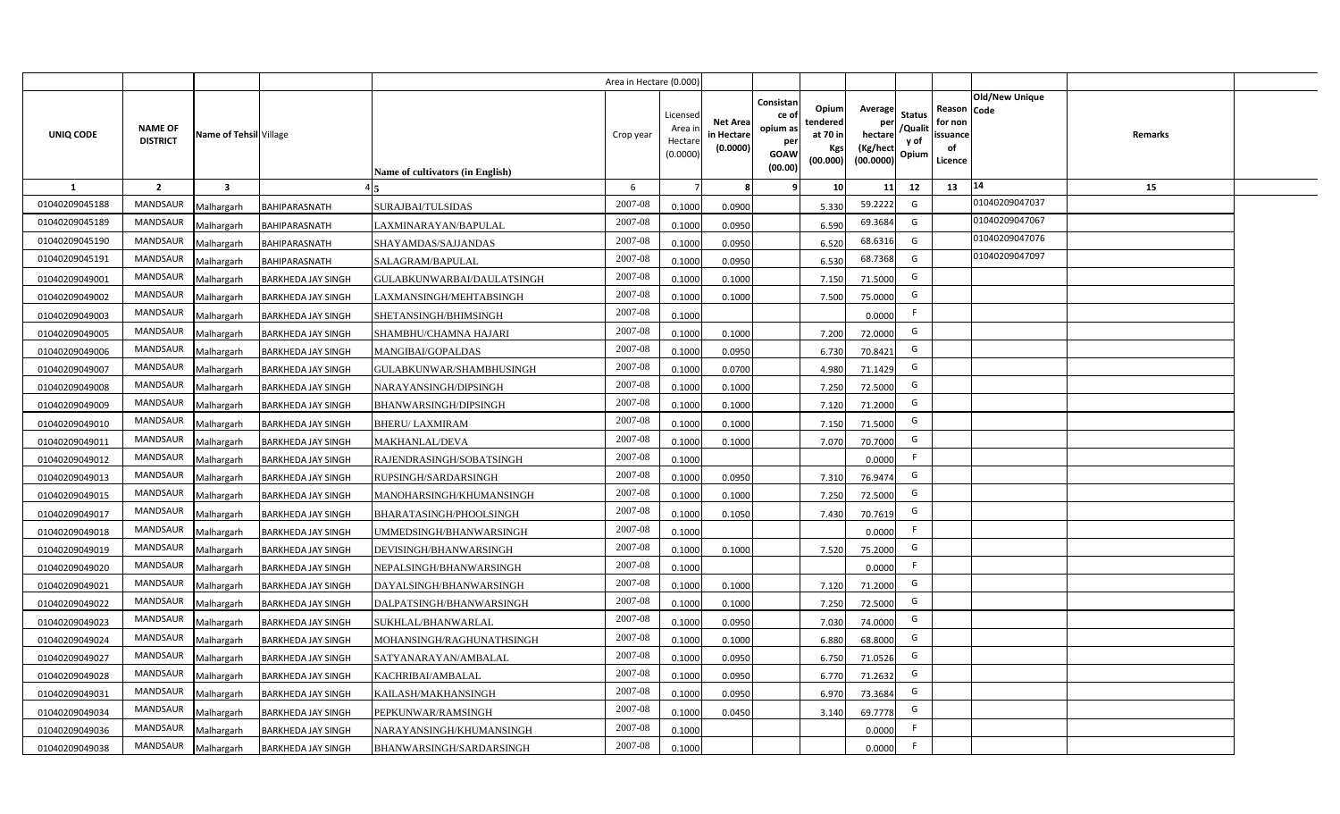|                |                                   |                         |                           |                                  | Area in Hectare (0.000 |                                          |                                           |                                                                 |                                                  |                                                    |                                           |                                                     |                       |         |  |
|----------------|-----------------------------------|-------------------------|---------------------------|----------------------------------|------------------------|------------------------------------------|-------------------------------------------|-----------------------------------------------------------------|--------------------------------------------------|----------------------------------------------------|-------------------------------------------|-----------------------------------------------------|-----------------------|---------|--|
| UNIQ CODE      | <b>NAME OF</b><br><b>DISTRICT</b> | Name of Tehsil Village  |                           | Name of cultivators (in English) | Crop year              | Licensec<br>Area i<br>Hectar<br>(0.0000) | <b>Net Area</b><br>in Hectare<br>(0.0000) | Consistan<br>ce of<br>opium as<br>per<br><b>GOAW</b><br>(00.00) | Opium<br>tendered<br>at 70 in<br>Kgs<br>(00.000) | Average<br>per<br>hectare<br>(Kg/hect<br>(00.0000) | <b>Status</b><br>/Qualit<br>y of<br>Opium | Reason Code<br>for non<br>issuance<br>of<br>Licence | <b>Old/New Unique</b> | Remarks |  |
| 1              | $\overline{2}$                    | $\overline{\mathbf{3}}$ |                           |                                  | 6                      |                                          |                                           | <b>q</b>                                                        | 10                                               | 11                                                 | 12                                        | 13                                                  | 14                    | 15      |  |
| 01040209045188 | <b>MANDSAUR</b>                   | Malhargarh              | BAHIPARASNATH             | SURAJBAI/TULSIDAS                | 2007-08                | 0.1000                                   | 0.0900                                    |                                                                 | 5.330                                            | 59.2222                                            | G                                         |                                                     | 01040209047037        |         |  |
| 01040209045189 | <b>MANDSAUR</b>                   | Malhargarh              | BAHIPARASNATH             | LAXMINARAYAN/BAPULAL             | 2007-08                | 0.100                                    | 0.0950                                    |                                                                 | 6.590                                            | 69.3684                                            | G                                         |                                                     | 01040209047067        |         |  |
| 01040209045190 | <b>MANDSAUR</b>                   | Malhargarh              | BAHIPARASNATH             | SHAYAMDAS/SAJJANDAS              | 2007-08                | 0.100                                    | 0.0950                                    |                                                                 | 6.520                                            | 68.6316                                            | G                                         |                                                     | 01040209047076        |         |  |
| 01040209045191 | <b>MANDSAUR</b>                   | Malhargarh              | BAHIPARASNATH             | SALAGRAM/BAPULAL                 | 2007-08                | 0.100                                    | 0.0950                                    |                                                                 | 6.530                                            | 68.7368                                            | G                                         |                                                     | 01040209047097        |         |  |
| 01040209049001 | <b>MANDSAUR</b>                   | Malhargarh              | <b>BARKHEDA JAY SINGH</b> | GULABKUNWARBAI/DAULATSINGH       | 2007-08                | 0.100                                    | 0.1000                                    |                                                                 | 7.150                                            | 71.5000                                            | G                                         |                                                     |                       |         |  |
| 01040209049002 | <b>MANDSAUR</b>                   | Malhargarh              | <b>BARKHEDA JAY SINGH</b> | LAXMANSINGH/MEHTABSINGH          | 2007-08                | 0.1000                                   | 0.1000                                    |                                                                 | 7.500                                            | 75.0000                                            | G                                         |                                                     |                       |         |  |
| 01040209049003 | MANDSAUR                          | Malhargarh              | <b>BARKHEDA JAY SINGH</b> | SHETANSINGH/BHIMSINGH            | 2007-08                | 0.1000                                   |                                           |                                                                 |                                                  | 0.0000                                             | F.                                        |                                                     |                       |         |  |
| 01040209049005 | <b>MANDSAUR</b>                   | Malhargarh              | <b>BARKHEDA JAY SINGH</b> | SHAMBHU/CHAMNA HAJARI            | 2007-08                | 0.1000                                   | 0.1000                                    |                                                                 | 7.200                                            | 72.0000                                            | G                                         |                                                     |                       |         |  |
| 01040209049006 | <b>MANDSAUR</b>                   | Malhargarh              | <b>BARKHEDA JAY SINGH</b> | MANGIBAI/GOPALDAS                | 2007-08                | 0.1000                                   | 0.0950                                    |                                                                 | 6.730                                            | 70.8421                                            | G                                         |                                                     |                       |         |  |
| 01040209049007 | MANDSAUR                          | Malhargarh              | <b>BARKHEDA JAY SINGH</b> | GULABKUNWAR/SHAMBHUSINGH         | 2007-08                | 0.1000                                   | 0.0700                                    |                                                                 | 4.980                                            | 71.1429                                            | G                                         |                                                     |                       |         |  |
| 01040209049008 | <b>MANDSAUR</b>                   | Malhargarh              | <b>BARKHEDA JAY SINGH</b> | NARAYANSINGH/DIPSINGH            | 2007-08                | 0.1000                                   | 0.1000                                    |                                                                 | 7.250                                            | 72.5000                                            | G                                         |                                                     |                       |         |  |
| 01040209049009 | <b>MANDSAUR</b>                   | Malhargarh              | <b>BARKHEDA JAY SINGH</b> | <b>BHANWARSINGH/DIPSINGH</b>     | 2007-08                | 0.1000                                   | 0.1000                                    |                                                                 | 7.120                                            | 71.2000                                            | G                                         |                                                     |                       |         |  |
| 01040209049010 | <b>MANDSAUR</b>                   | Malhargarh              | <b>BARKHEDA JAY SINGH</b> | <b>BHERU/ LAXMIRAM</b>           | 2007-08                | 0.1000                                   | 0.1000                                    |                                                                 | 7.150                                            | 71.5000                                            | G                                         |                                                     |                       |         |  |
| 01040209049011 | <b>MANDSAUR</b>                   | Malhargarh              | <b>BARKHEDA JAY SINGH</b> | MAKHANLAL/DEVA                   | 2007-08                | 0.1000                                   | 0.1000                                    |                                                                 | 7.070                                            | 70.7000                                            | G                                         |                                                     |                       |         |  |
| 01040209049012 | <b>MANDSAUR</b>                   | Malhargarh              | <b>BARKHEDA JAY SINGH</b> | RAJENDRASINGH/SOBATSINGH         | 2007-08                | 0.1000                                   |                                           |                                                                 |                                                  | 0.0000                                             | E                                         |                                                     |                       |         |  |
| 01040209049013 | <b>MANDSAUR</b>                   | Malhargarh              | <b>BARKHEDA JAY SINGH</b> | RUPSINGH/SARDARSINGH             | 2007-08                | 0.1000                                   | 0.0950                                    |                                                                 | 7.310                                            | 76.9474                                            | G                                         |                                                     |                       |         |  |
| 01040209049015 | MANDSAUR                          | Malhargarh              | <b>BARKHEDA JAY SINGH</b> | MANOHARSINGH/KHUMANSINGH         | 2007-08                | 0.100                                    | 0.1000                                    |                                                                 | 7.250                                            | 72.5000                                            | G                                         |                                                     |                       |         |  |
| 01040209049017 | <b>MANDSAUR</b>                   | Malhargarh              | <b>BARKHEDA JAY SINGH</b> | BHARATASINGH/PHOOLSINGH          | 2007-08                | 0.100                                    | 0.1050                                    |                                                                 | 7.430                                            | 70.7619                                            | G                                         |                                                     |                       |         |  |
| 01040209049018 | <b>MANDSAUR</b>                   | Malhargarh              | <b>BARKHEDA JAY SINGH</b> | JMMEDSINGH/BHANWARSINGH          | 2007-08                | 0.1000                                   |                                           |                                                                 |                                                  | 0.0000                                             | -F                                        |                                                     |                       |         |  |
| 01040209049019 | <b>MANDSAUR</b>                   | Malhargarh              | <b>BARKHEDA JAY SINGH</b> | DEVISINGH/BHANWARSINGH           | 2007-08                | 0.100                                    | 0.1000                                    |                                                                 | 7.520                                            | 75.2000                                            | G                                         |                                                     |                       |         |  |
| 01040209049020 | <b>MANDSAUR</b>                   | Malhargarh              | <b>BARKHEDA JAY SINGH</b> | NEPALSINGH/BHANWARSINGH          | 2007-08                | 0.100                                    |                                           |                                                                 |                                                  | 0.0000                                             | E                                         |                                                     |                       |         |  |
| 01040209049021 | <b>MANDSAUR</b>                   | Malhargarh              | <b>BARKHEDA JAY SINGH</b> | DAYALSINGH/BHANWARSINGH          | 2007-08                | 0.1000                                   | 0.1000                                    |                                                                 | 7.120                                            | 71.2000                                            | G                                         |                                                     |                       |         |  |
| 01040209049022 | <b>MANDSAUR</b>                   | Malhargarh              | <b>BARKHEDA JAY SINGH</b> | DALPATSINGH/BHANWARSINGH         | 2007-08                | 0.1000                                   | 0.1000                                    |                                                                 | 7.250                                            | 72.5000                                            | G                                         |                                                     |                       |         |  |
| 01040209049023 | MANDSAUR                          | Malhargarh              | <b>BARKHEDA JAY SINGH</b> | SUKHLAL/BHANWARLAL               | 2007-08                | 0.1000                                   | 0.0950                                    |                                                                 | 7.030                                            | 74.0000                                            | G                                         |                                                     |                       |         |  |
| 01040209049024 | MANDSAUR                          | Malhargarh              | <b>BARKHEDA JAY SINGH</b> | MOHANSINGH/RAGHUNATHSINGH        | 2007-08                | 0.1000                                   | 0.1000                                    |                                                                 | 6.880                                            | 68.8000                                            | G                                         |                                                     |                       |         |  |
| 01040209049027 | MANDSAUR                          | Malhargarh              | <b>BARKHEDA JAY SINGH</b> | SATYANARAYAN/AMBALAL             | 2007-08                | 0.1000                                   | 0.095                                     |                                                                 | 6.750                                            | 71.0526                                            | G                                         |                                                     |                       |         |  |
| 01040209049028 | MANDSAUR                          | Malhargarh              | <b>BARKHEDA JAY SINGH</b> | KACHRIBAI/AMBALAL                | 2007-08                | 0.1000                                   | 0.095                                     |                                                                 | 6.770                                            | 71.2632                                            | G                                         |                                                     |                       |         |  |
| 01040209049031 | MANDSAUR                          | Malhargarh              | <b>BARKHEDA JAY SINGH</b> | KAILASH/MAKHANSINGH              | 2007-08                | 0.1000                                   | 0.0950                                    |                                                                 | 6.970                                            | 73.3684                                            | G                                         |                                                     |                       |         |  |
| 01040209049034 | MANDSAUR                          | Malhargarh              | <b>BARKHEDA JAY SINGH</b> | PEPKUNWAR/RAMSINGH               | 2007-08                | 0.1000                                   | 0.0450                                    |                                                                 | 3.140                                            | 69.7778                                            | G                                         |                                                     |                       |         |  |
| 01040209049036 | MANDSAUR                          | Malhargarh              | <b>BARKHEDA JAY SINGH</b> | NARAYANSINGH/KHUMANSINGH         | 2007-08                | 0.1000                                   |                                           |                                                                 |                                                  | 0.0000                                             |                                           |                                                     |                       |         |  |
| 01040209049038 | MANDSAUR                          | Malhargarh              | <b>BARKHEDA JAY SINGH</b> | BHANWARSINGH/SARDARSINGH         | 2007-08                | 0.1000                                   |                                           |                                                                 |                                                  | 0.0000                                             | -F                                        |                                                     |                       |         |  |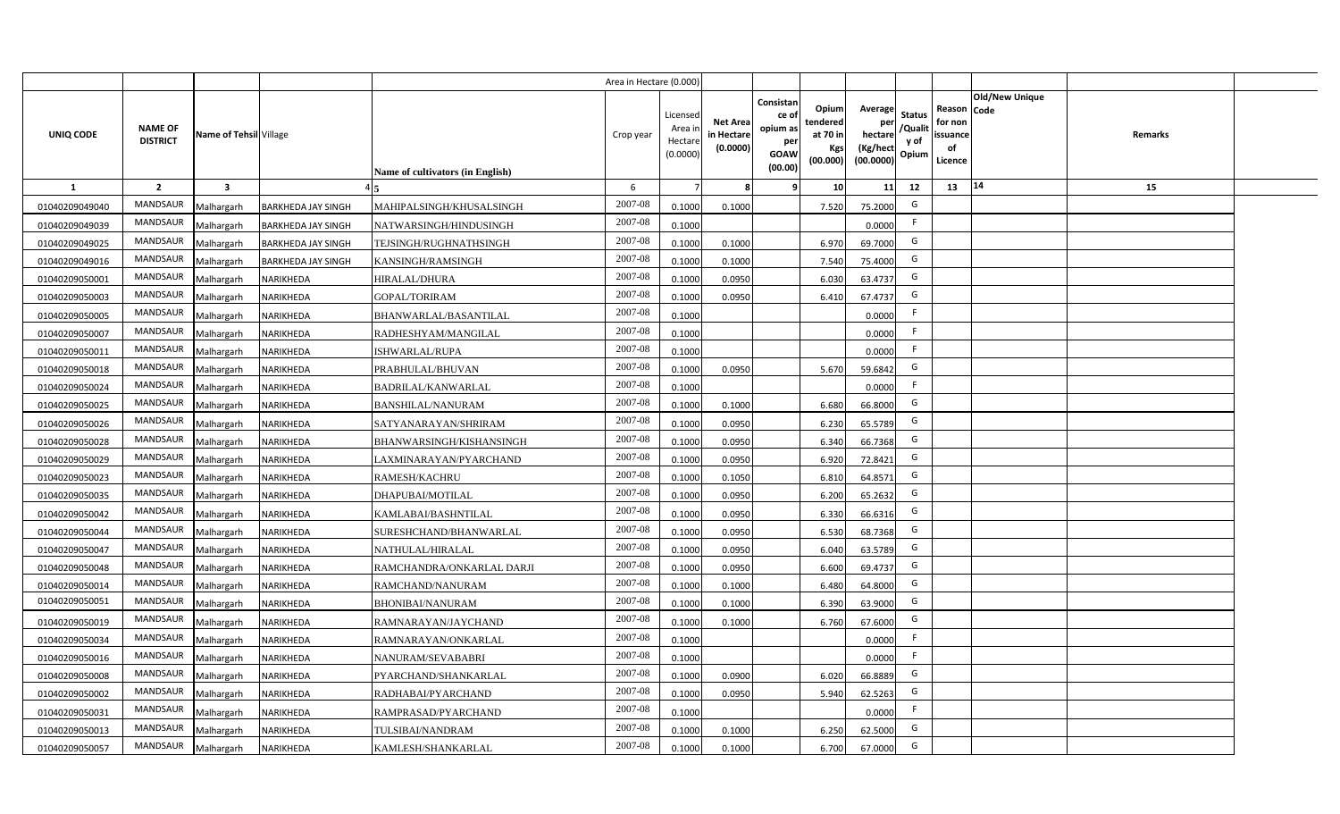|                |                                   |                         |                           |                                  | Area in Hectare (0.000) |                                           |                                           |                                                                                                                     |                                                    |                                           |                                                     |                       |         |  |
|----------------|-----------------------------------|-------------------------|---------------------------|----------------------------------|-------------------------|-------------------------------------------|-------------------------------------------|---------------------------------------------------------------------------------------------------------------------|----------------------------------------------------|-------------------------------------------|-----------------------------------------------------|-----------------------|---------|--|
| UNIQ CODE      | <b>NAME OF</b><br><b>DISTRICT</b> | Name of Tehsil Village  |                           | Name of cultivators (in English) | Crop year               | Licensed<br>Area i<br>Hectare<br>(0.0000) | <b>Net Area</b><br>in Hectare<br>(0.0000) | Consistan<br>Opium<br>ce of<br>tendered<br>opium as<br>at 70 in<br>per<br>Kgs<br><b>GOAW</b><br>(00.000)<br>(00.00) | Average<br>per<br>hectare<br>(Kg/hect<br>(00.0000) | <b>Status</b><br>/Qualit<br>y of<br>Opium | Reason Code<br>for non<br>issuance<br>of<br>Licence | <b>Old/New Unique</b> | Remarks |  |
| 1              | $\overline{2}$                    | $\overline{\mathbf{3}}$ |                           |                                  | 6                       |                                           | 8                                         | 10 <sup>1</sup><br>-9                                                                                               | 11                                                 | 12                                        | 13                                                  | 14                    | 15      |  |
| 01040209049040 | MANDSAUR                          | Malhargarh              | <b>BARKHEDA JAY SINGH</b> | MAHIPALSINGH/KHUSALSINGH         | 2007-08                 | 0.1000                                    | 0.1000                                    | 7.520                                                                                                               | 75.2000                                            | G                                         |                                                     |                       |         |  |
| 01040209049039 | MANDSAUR                          | Malhargarh              | <b>BARKHEDA JAY SINGH</b> | NATWARSINGH/HINDUSINGH           | 2007-08                 | 0.1000                                    |                                           |                                                                                                                     | 0.0000                                             | F.                                        |                                                     |                       |         |  |
| 01040209049025 | <b>MANDSAUR</b>                   | Malhargarh              | <b>BARKHEDA JAY SINGH</b> | TEJSINGH/RUGHNATHSINGH           | 2007-08                 | 0.1000                                    | 0.1000                                    | 6.970                                                                                                               | 69.7000                                            | G                                         |                                                     |                       |         |  |
| 01040209049016 | MANDSAUR                          | Malhargarh              | <b>BARKHEDA JAY SINGH</b> | KANSINGH/RAMSINGH                | 2007-08                 | 0.1000                                    | 0.1000                                    | 7.540                                                                                                               | 75.4000                                            | G                                         |                                                     |                       |         |  |
| 01040209050001 | MANDSAUR                          | Malhargarh              | NARIKHEDA                 | HIRALAL/DHURA                    | 2007-08                 | 0.1000                                    | 0.0950                                    | 6.030                                                                                                               | 63.4737                                            | G                                         |                                                     |                       |         |  |
| 01040209050003 | MANDSAUR                          | Malhargarh              | NARIKHEDA                 | <b>GOPAL/TORIRAM</b>             | 2007-08                 | 0.1000                                    | 0.0950                                    | 6.410                                                                                                               | 67.4737                                            | G                                         |                                                     |                       |         |  |
| 01040209050005 | <b>MANDSAUR</b>                   | Malhargarh              | NARIKHEDA                 | BHANWARLAL/BASANTILAL            | 2007-08                 | 0.1000                                    |                                           |                                                                                                                     | 0.0000                                             | F                                         |                                                     |                       |         |  |
| 01040209050007 | MANDSAUR                          | Malhargarh              | NARIKHEDA                 | RADHESHYAM/MANGILAL              | 2007-08                 | 0.1000                                    |                                           |                                                                                                                     | 0.0000                                             | F                                         |                                                     |                       |         |  |
| 01040209050011 | MANDSAUR                          | Malhargarh              | NARIKHEDA                 | ISHWARLAL/RUPA                   | 2007-08                 | 0.1000                                    |                                           |                                                                                                                     | 0.0000                                             | F.                                        |                                                     |                       |         |  |
| 01040209050018 | MANDSAUR                          | Malhargarh              | NARIKHEDA                 | PRABHULAL/BHUVAN                 | 2007-08                 | 0.1000                                    | 0.0950                                    | 5.670                                                                                                               | 59.6842                                            | G                                         |                                                     |                       |         |  |
| 01040209050024 | MANDSAUR                          | Malhargarh              | NARIKHEDA                 | <b>BADRILAL/KANWARLAL</b>        | 2007-08                 | 0.1000                                    |                                           |                                                                                                                     | 0.0000                                             | F.                                        |                                                     |                       |         |  |
| 01040209050025 | <b>MANDSAUR</b>                   | Malhargarh              | <b>NARIKHEDA</b>          | <b>BANSHILAL/NANURAM</b>         | 2007-08                 | 0.1000                                    | 0.1000                                    | 6.680                                                                                                               | 66.8000                                            | G                                         |                                                     |                       |         |  |
| 01040209050026 | <b>MANDSAUR</b>                   | Malhargarh              | NARIKHEDA                 | SATYANARAYAN/SHRIRAM             | 2007-08                 | 0.1000                                    | 0.0950                                    | 6.230                                                                                                               | 65.5789                                            | G                                         |                                                     |                       |         |  |
| 01040209050028 | <b>MANDSAUR</b>                   | Malhargarh              | NARIKHEDA                 | BHANWARSINGH/KISHANSINGH         | 2007-08                 | 0.1000                                    | 0.0950                                    | 6.340                                                                                                               | 66.7368                                            | G                                         |                                                     |                       |         |  |
| 01040209050029 | MANDSAUR                          | Malhargarh              | NARIKHEDA                 | LAXMINARAYAN/PYARCHAND           | 2007-08                 | 0.1000                                    | 0.0950                                    | 6.920                                                                                                               | 72.8421                                            | G                                         |                                                     |                       |         |  |
| 01040209050023 | <b>MANDSAUR</b>                   | Malhargarh              | NARIKHEDA                 | <b>RAMESH/KACHRU</b>             | 2007-08                 | 0.1000                                    | 0.1050                                    | 6.810                                                                                                               | 64.8571                                            | G                                         |                                                     |                       |         |  |
| 01040209050035 | <b>MANDSAUR</b>                   | Malhargarh              | NARIKHEDA                 | DHAPUBAI/MOTILAL                 | 2007-08                 | 0.1000                                    | 0.0950                                    | 6.200                                                                                                               | 65.2632                                            | G                                         |                                                     |                       |         |  |
| 01040209050042 | <b>MANDSAUR</b>                   | Malhargarh              | NARIKHEDA                 | KAMLABAI/BASHNTILAL              | 2007-08                 | 0.1000                                    | 0.0950                                    | 6.330                                                                                                               | 66.6316                                            | G                                         |                                                     |                       |         |  |
| 01040209050044 | <b>MANDSAUR</b>                   | Malhargarh              | NARIKHEDA                 | SURESHCHAND/BHANWARLAL           | 2007-08                 | 0.1000                                    | 0.0950                                    | 6.530                                                                                                               | 68.7368                                            | G                                         |                                                     |                       |         |  |
| 01040209050047 | <b>MANDSAUR</b>                   | Malhargarh              | NARIKHEDA                 | NATHULAL/HIRALAL                 | 2007-08                 | 0.1000                                    | 0.0950                                    | 6.040                                                                                                               | 63.5789                                            | G                                         |                                                     |                       |         |  |
| 01040209050048 | <b>MANDSAUR</b>                   | Malhargarh              | NARIKHEDA                 | RAMCHANDRA/ONKARLAL DARJI        | 2007-08                 | 0.1000                                    | 0.0950                                    | 6.600                                                                                                               | 69.4737                                            | G                                         |                                                     |                       |         |  |
| 01040209050014 | MANDSAUR                          | Malhargarh              | NARIKHEDA                 | RAMCHAND/NANURAM                 | 2007-08                 | 0.1000                                    | 0.1000                                    | 6.480                                                                                                               | 64.8000                                            | G                                         |                                                     |                       |         |  |
| 01040209050051 | MANDSAUR                          | Malhargarh              | NARIKHEDA                 | <b>BHONIBAI/NANURAM</b>          | 2007-08                 | 0.1000                                    | 0.1000                                    | 6.390                                                                                                               | 63.9000                                            | G                                         |                                                     |                       |         |  |
| 01040209050019 | <b>MANDSAUR</b>                   | Malhargarh              | NARIKHEDA                 | RAMNARAYAN/JAYCHAND              | 2007-08                 | 0.1000                                    | 0.1000                                    | 6.760                                                                                                               | 67.6000                                            | G                                         |                                                     |                       |         |  |
| 01040209050034 | MANDSAUR                          | Malhargarh              | NARIKHEDA                 | RAMNARAYAN/ONKARLAL              | 2007-08                 | 0.1000                                    |                                           |                                                                                                                     | 0.0000                                             | F                                         |                                                     |                       |         |  |
| 01040209050016 | MANDSAUR                          | Malhargarh              | NARIKHEDA                 | NANURAM/SEVABABRI                | 2007-08                 | 0.1000                                    |                                           |                                                                                                                     | 0.0000                                             | F                                         |                                                     |                       |         |  |
| 01040209050008 | MANDSAUR                          | Malhargarh              | NARIKHEDA                 | PYARCHAND/SHANKARLAL             | 2007-08                 | 0.1000                                    | 0.0900                                    | 6.020                                                                                                               | 66.8889                                            | G                                         |                                                     |                       |         |  |
| 01040209050002 | MANDSAUR                          | Malhargarh              | NARIKHEDA                 | RADHABAI/PYARCHAND               | 2007-08                 | 0.1000                                    | 0.0950                                    | 5.940                                                                                                               | 62.5263                                            | G                                         |                                                     |                       |         |  |
| 01040209050031 | MANDSAUR                          | Malhargarh              | NARIKHEDA                 | RAMPRASAD/PYARCHAND              | 2007-08                 | 0.1000                                    |                                           |                                                                                                                     | 0.0000                                             | F                                         |                                                     |                       |         |  |
| 01040209050013 | MANDSAUR                          | Malhargarh              | NARIKHEDA                 | TULSIBAI/NANDRAM                 | 2007-08                 | 0.1000                                    | 0.1000                                    | 6.250                                                                                                               | 62.5000                                            | G                                         |                                                     |                       |         |  |
| 01040209050057 | MANDSAUR                          | Malhargarh              | <b>NARIKHEDA</b>          | KAMLESH/SHANKARLAL               | 2007-08                 | 0.1000                                    | 0.1000                                    | 6.700                                                                                                               | 67.0000                                            | G                                         |                                                     |                       |         |  |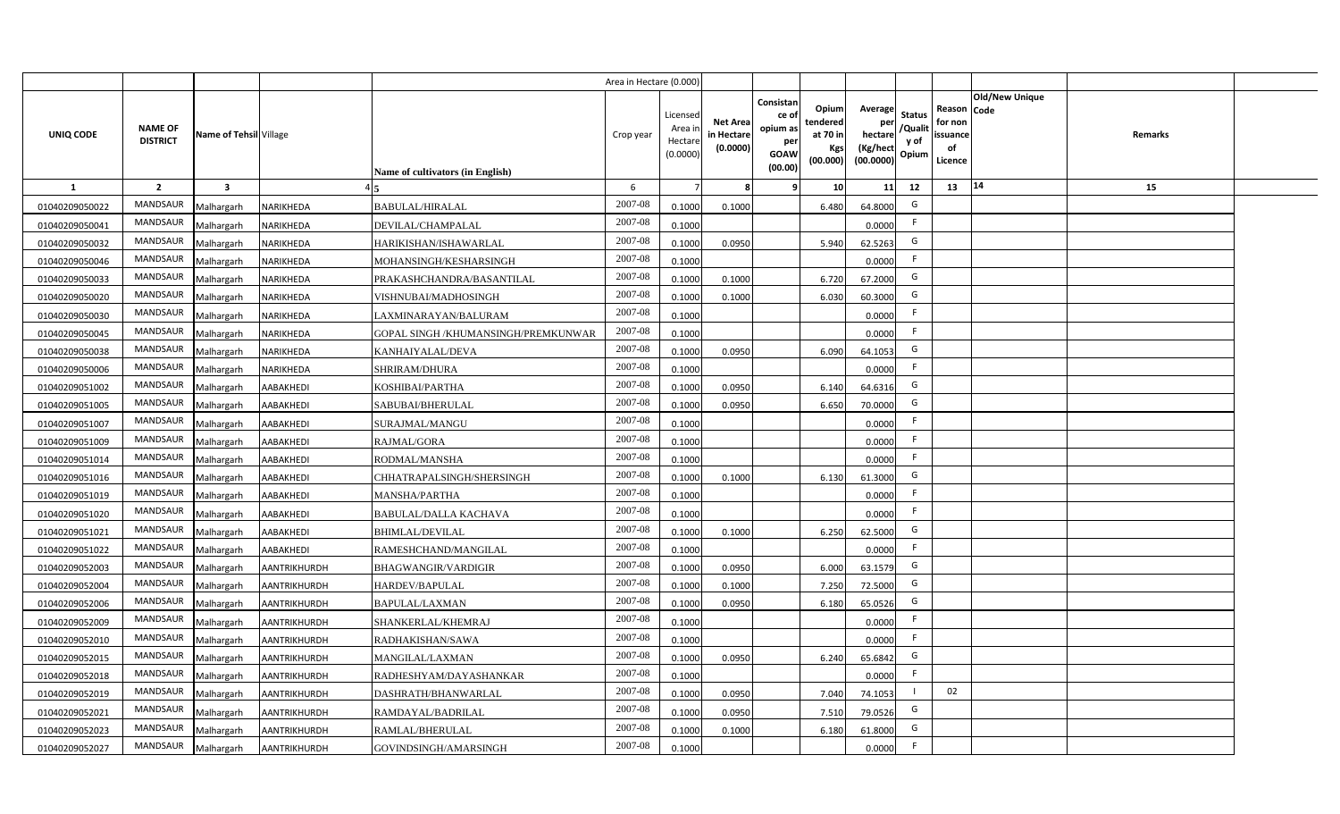|                |                                   |                         |                     |                                      | Area in Hectare (0.000 |                                          |                                          |                                                                 |                                                  |                                                    |                                           |                                                     |                |         |  |
|----------------|-----------------------------------|-------------------------|---------------------|--------------------------------------|------------------------|------------------------------------------|------------------------------------------|-----------------------------------------------------------------|--------------------------------------------------|----------------------------------------------------|-------------------------------------------|-----------------------------------------------------|----------------|---------|--|
| UNIQ CODE      | <b>NAME OF</b><br><b>DISTRICT</b> | Name of Tehsil Village  |                     | Name of cultivators (in English)     | Crop year              | Licensed<br>Area i<br>Hectar<br>(0.0000) | <b>Net Area</b><br>in Hectar<br>(0.0000) | Consistan<br>ce of<br>opium as<br>per<br><b>GOAW</b><br>(00.00) | Opium<br>tendered<br>at 70 in<br>Kgs<br>(00.000) | Average<br>per<br>hectare<br>(Kg/hect<br>(00.0000) | <b>Status</b><br>/Qualit<br>y of<br>Opium | Reason Code<br>for non<br>issuance<br>of<br>Licence | Old/New Unique | Remarks |  |
| 1              | $\overline{2}$                    | $\overline{\mathbf{3}}$ |                     |                                      | -6                     |                                          |                                          | ٠q                                                              | 10 <sup>1</sup>                                  | 11                                                 | 12                                        | 13                                                  | $\vert 14$     | 15      |  |
| 01040209050022 | MANDSAUR                          | Malhargarh              | NARIKHEDA           | <b>BABULAL/HIRALAL</b>               | 2007-08                | 0.1000                                   | 0.1000                                   |                                                                 | 6.480                                            | 64.8000                                            | G                                         |                                                     |                |         |  |
| 01040209050041 | MANDSAUR                          | Malhargarh              | NARIKHEDA           | DEVILAL/CHAMPALAL                    | 2007-08                | 0.1000                                   |                                          |                                                                 |                                                  | 0.0000                                             | F.                                        |                                                     |                |         |  |
| 01040209050032 | <b>MANDSAUR</b>                   | Malhargarh              | NARIKHEDA           | HARIKISHAN/ISHAWARLAL                | 2007-08                | 0.1000                                   | 0.0950                                   |                                                                 | 5.940                                            | 62.5263                                            | G                                         |                                                     |                |         |  |
| 01040209050046 | <b>MANDSAUR</b>                   | Malhargarh              | NARIKHEDA           | MOHANSINGH/KESHARSINGH               | 2007-08                | 0.1000                                   |                                          |                                                                 |                                                  | 0.0000                                             | -F                                        |                                                     |                |         |  |
| 01040209050033 | MANDSAUR                          | Malhargarh              | NARIKHEDA           | PRAKASHCHANDRA/BASANTILAL            | 2007-08                | 0.100                                    | 0.1000                                   |                                                                 | 6.720                                            | 67.2000                                            | G                                         |                                                     |                |         |  |
| 01040209050020 | MANDSAUR                          | Malhargarh              | NARIKHEDA           | VISHNUBAI/MADHOSINGH                 | 2007-08                | 0.1000                                   | 0.1000                                   |                                                                 | 6.030                                            | 60.3000                                            | G                                         |                                                     |                |         |  |
| 01040209050030 | MANDSAUR                          | Malhargarh              | NARIKHEDA           | LAXMINARAYAN/BALURAM                 | 2007-08                | 0.1000                                   |                                          |                                                                 |                                                  | 0.0000                                             | F.                                        |                                                     |                |         |  |
| 01040209050045 | MANDSAUR                          | Malhargarh              | NARIKHEDA           | GOPAL SINGH / KHUMANSINGH/PREMKUNWAR | 2007-08                | 0.1000                                   |                                          |                                                                 |                                                  | 0.0000                                             | $\mathsf{F}$                              |                                                     |                |         |  |
| 01040209050038 | MANDSAUR                          | Malhargarh              | NARIKHEDA           | KANHAIYALAL/DEVA                     | 2007-08                | 0.1000                                   | 0.0950                                   |                                                                 | 6.090                                            | 64.1053                                            | G                                         |                                                     |                |         |  |
| 01040209050006 | MANDSAUR                          | Malhargarh              | NARIKHEDA           | SHRIRAM/DHURA                        | 2007-08                | 0.1000                                   |                                          |                                                                 |                                                  | 0.0000                                             | -F                                        |                                                     |                |         |  |
| 01040209051002 | MANDSAUR                          | Malhargarh              | AABAKHEDI           | KOSHIBAI/PARTHA                      | 2007-08                | 0.1000                                   | 0.0950                                   |                                                                 | 6.140                                            | 64.6316                                            | G                                         |                                                     |                |         |  |
| 01040209051005 | MANDSAUR                          | Malhargarh              | AABAKHEDI           | SABUBAI/BHERULAL                     | 2007-08                | 0.1000                                   | 0.0950                                   |                                                                 | 6.650                                            | 70.0000                                            | G                                         |                                                     |                |         |  |
| 01040209051007 | <b>MANDSAUR</b>                   | Malhargarh              | AABAKHEDI           | SURAJMAL/MANGU                       | 2007-08                | 0.1000                                   |                                          |                                                                 |                                                  | 0.0000                                             | -F                                        |                                                     |                |         |  |
| 01040209051009 | <b>MANDSAUR</b>                   | Malhargarh              | AABAKHEDI           | RAJMAL/GORA                          | 2007-08                | 0.1000                                   |                                          |                                                                 |                                                  | 0.0000                                             | F.                                        |                                                     |                |         |  |
| 01040209051014 | MANDSAUR                          | Malhargarh              | AABAKHEDI           | RODMAL/MANSHA                        | 2007-08                | 0.1000                                   |                                          |                                                                 |                                                  | 0.0000                                             | -F                                        |                                                     |                |         |  |
| 01040209051016 | <b>MANDSAUR</b>                   | Malhargarh              | AABAKHEDI           | CHHATRAPALSINGH/SHERSINGH            | 2007-08                | 0.1000                                   | 0.1000                                   |                                                                 | 6.130                                            | 61.3000                                            | G                                         |                                                     |                |         |  |
| 01040209051019 | <b>MANDSAUR</b>                   | Malhargarh              | AABAKHEDI           | <b>MANSHA/PARTHA</b>                 | 2007-08                | 0.1000                                   |                                          |                                                                 |                                                  | 0.0000                                             | -F                                        |                                                     |                |         |  |
| 01040209051020 | <b>MANDSAUR</b>                   | Malhargarh              | AABAKHEDI           | <b>BABULAL/DALLA KACHAVA</b>         | 2007-08                | 0.1000                                   |                                          |                                                                 |                                                  | 0.0000                                             | F.                                        |                                                     |                |         |  |
| 01040209051021 | <b>MANDSAUR</b>                   | Malhargarh              | AABAKHEDI           | <b>BHIMLAL/DEVILAL</b>               | 2007-08                | 0.100                                    | 0.1000                                   |                                                                 | 6.250                                            | 62.5000                                            | G                                         |                                                     |                |         |  |
| 01040209051022 | <b>MANDSAUR</b>                   | Malhargarh              | AABAKHEDI           | RAMESHCHAND/MANGILAL                 | 2007-08                | 0.1000                                   |                                          |                                                                 |                                                  | 0.0000                                             | F.                                        |                                                     |                |         |  |
| 01040209052003 | <b>MANDSAUR</b>                   | Malhargarh              | AANTRIKHURDH        | <b>BHAGWANGIR/VARDIGIR</b>           | 2007-08                | 0.1000                                   | 0.0950                                   |                                                                 | 6.000                                            | 63.1579                                            | G                                         |                                                     |                |         |  |
| 01040209052004 | <b>MANDSAUR</b>                   | Malhargarh              | <b>AANTRIKHURDH</b> | HARDEV/BAPULAL                       | 2007-08                | 0.100                                    | 0.1000                                   |                                                                 | 7.250                                            | 72.5000                                            | G                                         |                                                     |                |         |  |
| 01040209052006 | MANDSAUR                          | Malhargarh              | <b>AANTRIKHURDH</b> | BAPULAL/LAXMAN                       | 2007-08                | 0.100                                    | 0.0950                                   |                                                                 | 6.180                                            | 65.0526                                            | G                                         |                                                     |                |         |  |
| 01040209052009 | <b>MANDSAUR</b>                   | Malhargarh              | <b>AANTRIKHURDH</b> | SHANKERLAL/KHEMRAJ                   | 2007-08                | 0.1000                                   |                                          |                                                                 |                                                  | 0.0000                                             | -F                                        |                                                     |                |         |  |
| 01040209052010 | MANDSAUR                          | Malhargarh              | AANTRIKHURDH        | RADHAKISHAN/SAWA                     | 2007-08                | 0.1000                                   |                                          |                                                                 |                                                  | 0.0000                                             | -F                                        |                                                     |                |         |  |
| 01040209052015 | MANDSAUR                          | Malhargarh              | AANTRIKHURDH        | MANGILAL/LAXMAN                      | 2007-08                | 0.1000                                   | 0.0950                                   |                                                                 | 6.240                                            | 65.6842                                            | G                                         |                                                     |                |         |  |
| 01040209052018 | MANDSAUR                          | Malhargarh              | AANTRIKHURDH        | RADHESHYAM/DAYASHANKAR               | 2007-08                | 0.1000                                   |                                          |                                                                 |                                                  | 0.0000                                             | F                                         |                                                     |                |         |  |
| 01040209052019 | MANDSAUR                          | Malhargarh              | AANTRIKHURDH        | DASHRATH/BHANWARLAL                  | 2007-08                | 0.1000                                   | 0.095                                    |                                                                 | 7.040                                            | 74.1053                                            |                                           | 02                                                  |                |         |  |
| 01040209052021 | MANDSAUR                          | Malhargarh              | <b>AANTRIKHURDH</b> | RAMDAYAL/BADRILAL                    | 2007-08                | 0.1000                                   | 0.095                                    |                                                                 | 7.510                                            | 79.0526                                            | G                                         |                                                     |                |         |  |
| 01040209052023 | MANDSAUR                          | Malhargarh              | <b>AANTRIKHURDH</b> | RAMLAL/BHERULAL                      | 2007-08                | 0.1000                                   | 0.1000                                   |                                                                 | 6.180                                            | 61.8000                                            | G                                         |                                                     |                |         |  |
| 01040209052027 | MANDSAUR                          | Malhargarh              | AANTRIKHURDH        | GOVINDSINGH/AMARSINGH                | 2007-08                | 0.1000                                   |                                          |                                                                 |                                                  | 0.0000                                             | -F                                        |                                                     |                |         |  |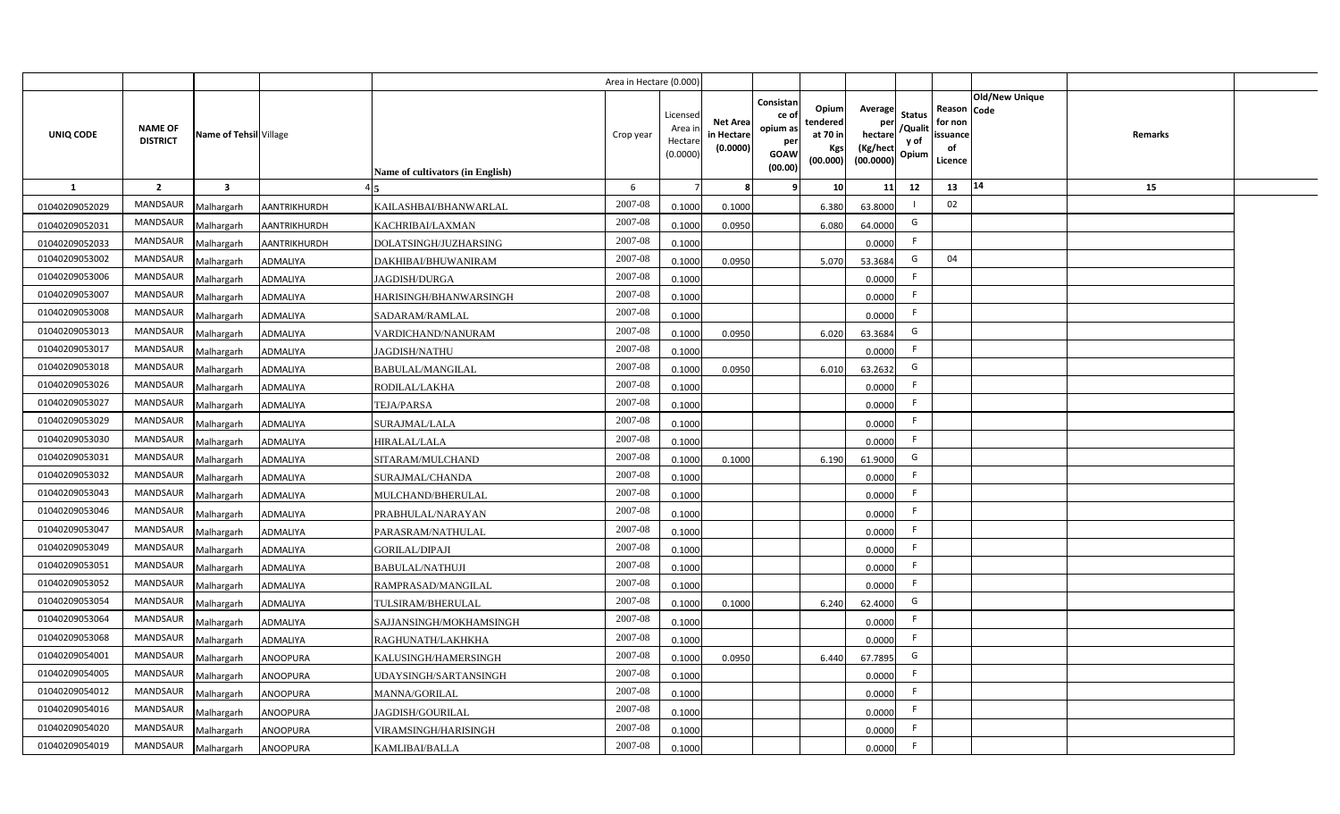|                |                                   |                         |                 |                                  | Area in Hectare (0.000) |                                           |                                           |                                                                 |                                                  |                                                    |                                           |                                                     |                       |         |  |
|----------------|-----------------------------------|-------------------------|-----------------|----------------------------------|-------------------------|-------------------------------------------|-------------------------------------------|-----------------------------------------------------------------|--------------------------------------------------|----------------------------------------------------|-------------------------------------------|-----------------------------------------------------|-----------------------|---------|--|
| UNIQ CODE      | <b>NAME OF</b><br><b>DISTRICT</b> | Name of Tehsil Village  |                 | Name of cultivators (in English) | Crop year               | Licensed<br>Area i<br>Hectare<br>(0.0000) | <b>Net Area</b><br>in Hectare<br>(0.0000) | Consistan<br>ce of<br>opium as<br>per<br><b>GOAW</b><br>(00.00) | Opium<br>tendered<br>at 70 in<br>Kgs<br>(00.000) | Average<br>per<br>hectare<br>(Kg/hect<br>(00.0000) | <b>Status</b><br>/Qualit<br>y of<br>Opium | Reason Code<br>for non<br>issuance<br>of<br>Licence | <b>Old/New Unique</b> | Remarks |  |
| 1              | $\overline{2}$                    | $\overline{\mathbf{3}}$ |                 |                                  | 6                       |                                           | 8                                         | -9                                                              | 10 <sup>1</sup>                                  | 11                                                 | 12                                        | 13                                                  | 14                    | 15      |  |
| 01040209052029 | MANDSAUR                          | Malhargarh              | AANTRIKHURDH    | KAILASHBAI/BHANWARLAL            | 2007-08                 | 0.1000                                    | 0.1000                                    |                                                                 | 6.380                                            | 63.8000                                            |                                           | 02                                                  |                       |         |  |
| 01040209052031 | MANDSAUR                          | Malhargarh              | AANTRIKHURDH    | KACHRIBAI/LAXMAN                 | 2007-08                 | 0.1000                                    | 0.0950                                    |                                                                 | 6.080                                            | 64.0000                                            | G                                         |                                                     |                       |         |  |
| 01040209052033 | <b>MANDSAUR</b>                   | Malhargarh              | AANTRIKHURDH    | DOLATSINGH/JUZHARSING            | 2007-08                 | 0.1000                                    |                                           |                                                                 |                                                  | 0.0000                                             | -F                                        |                                                     |                       |         |  |
| 01040209053002 | <b>MANDSAUR</b>                   | Malhargarh              | ADMALIYA        | DAKHIBAI/BHUWANIRAM              | 2007-08                 | 0.1000                                    | 0.0950                                    |                                                                 | 5.070                                            | 53.3684                                            | G                                         | 04                                                  |                       |         |  |
| 01040209053006 | MANDSAUR                          | Malhargarh              | <b>ADMALIYA</b> | <b>JAGDISH/DURGA</b>             | 2007-08                 | 0.1000                                    |                                           |                                                                 |                                                  | 0.0000                                             | -F                                        |                                                     |                       |         |  |
| 01040209053007 | <b>MANDSAUR</b>                   | Malhargarh              | <b>ADMALIYA</b> | HARISINGH/BHANWARSINGH           | 2007-08                 | 0.1000                                    |                                           |                                                                 |                                                  | 0.0000                                             | F                                         |                                                     |                       |         |  |
| 01040209053008 | <b>MANDSAUR</b>                   | Malhargarh              | <b>ADMALIYA</b> | SADARAM/RAMLAL                   | 2007-08                 | 0.1000                                    |                                           |                                                                 |                                                  | 0.0000                                             | F                                         |                                                     |                       |         |  |
| 01040209053013 | MANDSAUR                          | Malhargarh              | <b>ADMALIYA</b> | VARDICHAND/NANURAM               | 2007-08                 | 0.1000                                    | 0.0950                                    |                                                                 | 6.020                                            | 63.3684                                            | G                                         |                                                     |                       |         |  |
| 01040209053017 | MANDSAUR                          | Malhargarh              | <b>ADMALIYA</b> | <b>JAGDISH/NATHU</b>             | 2007-08                 | 0.1000                                    |                                           |                                                                 |                                                  | 0.0000                                             | F.                                        |                                                     |                       |         |  |
| 01040209053018 | MANDSAUR                          | Malhargarh              | <b>ADMALIYA</b> | <b>BABULAL/MANGILAL</b>          | 2007-08                 | 0.1000                                    | 0.0950                                    |                                                                 | 6.010                                            | 63.2632                                            | G                                         |                                                     |                       |         |  |
| 01040209053026 | MANDSAUR                          | Malhargarh              | <b>ADMALIYA</b> | RODILAL/LAKHA                    | 2007-08                 | 0.1000                                    |                                           |                                                                 |                                                  | 0.0000                                             | F.                                        |                                                     |                       |         |  |
| 01040209053027 | MANDSAUR                          | Malhargarh              | <b>ADMALIYA</b> | <b>TEJA/PARSA</b>                | 2007-08                 | 0.1000                                    |                                           |                                                                 |                                                  | 0.0000                                             | F.                                        |                                                     |                       |         |  |
| 01040209053029 | <b>MANDSAUR</b>                   | Malhargarh              | <b>ADMALIYA</b> | SURAJMAL/LALA                    | 2007-08                 | 0.1000                                    |                                           |                                                                 |                                                  | 0.0000                                             | F                                         |                                                     |                       |         |  |
| 01040209053030 | <b>MANDSAUR</b>                   | Malhargarh              | ADMALIYA        | <b>HIRALAL/LALA</b>              | 2007-08                 | 0.1000                                    |                                           |                                                                 |                                                  | 0.0000                                             | F                                         |                                                     |                       |         |  |
| 01040209053031 | <b>MANDSAUR</b>                   | Malhargarh              | ADMALIYA        | SITARAM/MULCHAND                 | 2007-08                 | 0.1000                                    | 0.1000                                    |                                                                 | 6.190                                            | 61.9000                                            | G                                         |                                                     |                       |         |  |
| 01040209053032 | <b>MANDSAUR</b>                   | Malhargarh              | <b>ADMALIYA</b> | SURAJMAL/CHANDA                  | 2007-08                 | 0.1000                                    |                                           |                                                                 |                                                  | 0.0000                                             | F.                                        |                                                     |                       |         |  |
| 01040209053043 | MANDSAUR                          | Malhargarh              | <b>ADMALIYA</b> | MULCHAND/BHERULAL                | 2007-08                 | 0.1000                                    |                                           |                                                                 |                                                  | 0.0000                                             | F.                                        |                                                     |                       |         |  |
| 01040209053046 | <b>MANDSAUR</b>                   | Malhargarh              | <b>ADMALIYA</b> | PRABHULAL/NARAYAN                | 2007-08                 | 0.1000                                    |                                           |                                                                 |                                                  | 0.0000                                             | F                                         |                                                     |                       |         |  |
| 01040209053047 | <b>MANDSAUR</b>                   | Malhargarh              | ADMALIYA        | PARASRAM/NATHULAL                | 2007-08                 | 0.1000                                    |                                           |                                                                 |                                                  | 0.0000                                             | F.                                        |                                                     |                       |         |  |
| 01040209053049 | <b>MANDSAUR</b>                   | Malhargarh              | <b>ADMALIYA</b> | <b>GORILAL/DIPAJI</b>            | 2007-08                 | 0.1000                                    |                                           |                                                                 |                                                  | 0.0000                                             | F.                                        |                                                     |                       |         |  |
| 01040209053051 | <b>MANDSAUR</b>                   | Malhargarh              | ADMALIYA        | <b>BABULAL/NATHUJI</b>           | 2007-08                 | 0.1000                                    |                                           |                                                                 |                                                  | 0.0000                                             | F.                                        |                                                     |                       |         |  |
| 01040209053052 | MANDSAUR                          | Malhargarh              | <b>ADMALIYA</b> | RAMPRASAD/MANGILAL               | 2007-08                 | 0.1000                                    |                                           |                                                                 |                                                  | 0.0000                                             | F                                         |                                                     |                       |         |  |
| 01040209053054 | MANDSAUR                          | Malhargarh              | ADMALIYA        | TULSIRAM/BHERULAL                | 2007-08                 | 0.1000                                    | 0.1000                                    |                                                                 | 6.240                                            | 62.4000                                            | G                                         |                                                     |                       |         |  |
| 01040209053064 | <b>MANDSAUR</b>                   | Malhargarh              | <b>ADMALIYA</b> | SAJJANSINGH/MOKHAMSINGH          | 2007-08                 | 0.1000                                    |                                           |                                                                 |                                                  | 0.0000                                             | F.                                        |                                                     |                       |         |  |
| 01040209053068 | <b>MANDSAUR</b>                   | Malhargarh              | <b>ADMALIYA</b> | RAGHUNATH/LAKHKHA                | 2007-08                 | 0.1000                                    |                                           |                                                                 |                                                  | 0.0000                                             | F                                         |                                                     |                       |         |  |
| 01040209054001 | MANDSAUR                          | Malhargarh              | <b>ANOOPURA</b> | KALUSINGH/HAMERSINGH             | 2007-08                 | 0.1000                                    | 0.0950                                    |                                                                 | 6.440                                            | 67.7895                                            | G                                         |                                                     |                       |         |  |
| 01040209054005 | MANDSAUR                          | Malhargarh              | <b>ANOOPURA</b> | UDAYSINGH/SARTANSINGH            | 2007-08                 | 0.1000                                    |                                           |                                                                 |                                                  | 0.0000                                             | F                                         |                                                     |                       |         |  |
| 01040209054012 | MANDSAUR                          | Malhargarh              | <b>ANOOPURA</b> | MANNA/GORILAL                    | 2007-08                 | 0.1000                                    |                                           |                                                                 |                                                  | 0.0000                                             | F                                         |                                                     |                       |         |  |
| 01040209054016 | MANDSAUR                          | Malhargarh              | <b>ANOOPURA</b> | JAGDISH/GOURILAL                 | 2007-08                 | 0.1000                                    |                                           |                                                                 |                                                  | 0.0000                                             | F                                         |                                                     |                       |         |  |
| 01040209054020 | MANDSAUR                          | Malhargarh              | ANOOPURA        | VIRAMSINGH/HARISINGH             | 2007-08                 | 0.1000                                    |                                           |                                                                 |                                                  | 0.0000                                             | F.                                        |                                                     |                       |         |  |
| 01040209054019 | MANDSAUR                          | Malhargarh              | <b>ANOOPURA</b> | KAMLIBAI/BALLA                   | 2007-08                 | 0.1000                                    |                                           |                                                                 |                                                  | 0.0000                                             | F.                                        |                                                     |                       |         |  |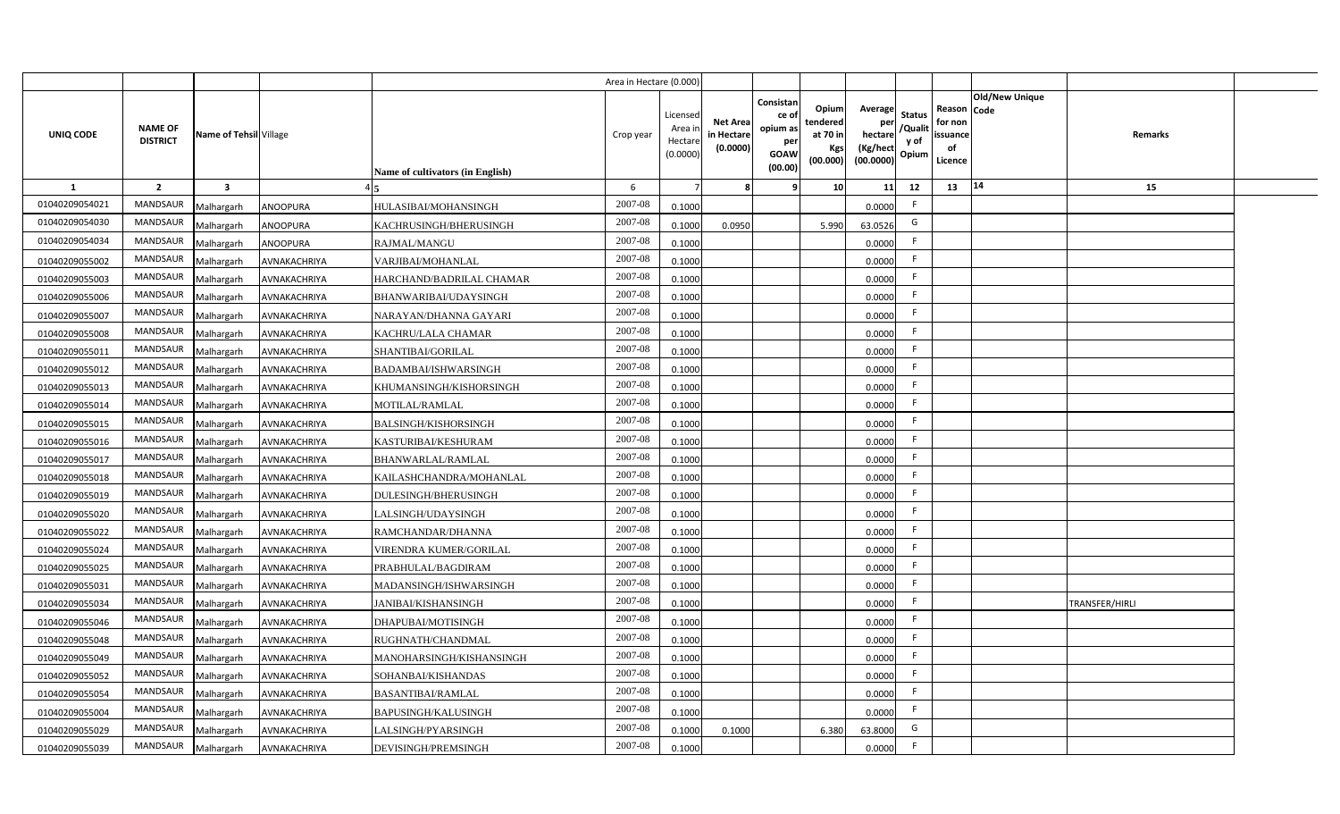|                |                                   |                         |                 |                                  | Area in Hectare (0.000 |                                          |                                           |                                                                 |                                                  |                                                    |                                           |                                                     |                       |                |  |
|----------------|-----------------------------------|-------------------------|-----------------|----------------------------------|------------------------|------------------------------------------|-------------------------------------------|-----------------------------------------------------------------|--------------------------------------------------|----------------------------------------------------|-------------------------------------------|-----------------------------------------------------|-----------------------|----------------|--|
| UNIQ CODE      | <b>NAME OF</b><br><b>DISTRICT</b> | Name of Tehsil Village  |                 | Name of cultivators (in English) | Crop year              | Licensed<br>Area i<br>Hectar<br>(0.0000) | <b>Net Area</b><br>in Hectare<br>(0.0000) | Consistan<br>ce of<br>opium as<br>per<br><b>GOAW</b><br>(00.00) | Opium<br>tendered<br>at 70 in<br>Kgs<br>(00.000) | Average<br>per<br>hectare<br>(Kg/hect<br>(00.0000) | <b>Status</b><br>/Qualit<br>y of<br>Opium | Reason Code<br>for non<br>issuance<br>of<br>Licence | <b>Old/New Unique</b> | Remarks        |  |
| 1              | $\overline{2}$                    | $\overline{\mathbf{3}}$ |                 |                                  | 6                      |                                          |                                           | q                                                               | 10                                               | 11                                                 | 12                                        | 13                                                  | 14                    | 15             |  |
| 01040209054021 | <b>MANDSAUR</b>                   | Malhargarh              | <b>ANOOPURA</b> | HULASIBAI/MOHANSINGH             | 2007-08                | 0.1000                                   |                                           |                                                                 |                                                  | 0.0000                                             | -F                                        |                                                     |                       |                |  |
| 01040209054030 | <b>MANDSAUR</b>                   | Malhargarh              | ANOOPURA        | KACHRUSINGH/BHERUSINGH           | 2007-08                | 0.100                                    | 0.0950                                    |                                                                 | 5.990                                            | 63.0526                                            | G                                         |                                                     |                       |                |  |
| 01040209054034 | MANDSAUR                          | Malhargarh              | <b>ANOOPURA</b> | RAJMAL/MANGU                     | 2007-08                | 0.100                                    |                                           |                                                                 |                                                  | 0.0000                                             |                                           |                                                     |                       |                |  |
| 01040209055002 | MANDSAUR                          | Malhargarh              | AVNAKACHRIYA    | VARJIBAI/MOHANLAL                | 2007-08                | 0.1000                                   |                                           |                                                                 |                                                  | 0.0000                                             |                                           |                                                     |                       |                |  |
| 01040209055003 | MANDSAUR                          | Malhargarh              | AVNAKACHRIYA    | HARCHAND/BADRILAL CHAMAR         | 2007-08                | 0.1000                                   |                                           |                                                                 |                                                  | 0.0000                                             | -F                                        |                                                     |                       |                |  |
| 01040209055006 | <b>MANDSAUR</b>                   | Malhargarh              | AVNAKACHRIYA    | BHANWARIBAI/UDAYSINGH            | 2007-08                | 0.1000                                   |                                           |                                                                 |                                                  | 0.0000                                             | -F                                        |                                                     |                       |                |  |
| 01040209055007 | MANDSAUR                          | Malhargarh              | AVNAKACHRIYA    | NARAYAN/DHANNA GAYARI            | 2007-08                | 0.1000                                   |                                           |                                                                 |                                                  | 0.0000                                             | F.                                        |                                                     |                       |                |  |
| 01040209055008 | MANDSAUR                          | Malhargarh              | AVNAKACHRIYA    | KACHRU/LALA CHAMAR               | 2007-08                | 0.1000                                   |                                           |                                                                 |                                                  | 0.0000                                             | -F                                        |                                                     |                       |                |  |
| 01040209055011 | <b>MANDSAUR</b>                   | Malhargarh              | AVNAKACHRIYA    | SHANTIBAI/GORILAL                | 2007-08                | 0.1000                                   |                                           |                                                                 |                                                  | 0.0000                                             | F.                                        |                                                     |                       |                |  |
| 01040209055012 | MANDSAUR                          | Malhargarh              | AVNAKACHRIYA    | BADAMBAI/ISHWARSINGH             | 2007-08                | 0.1000                                   |                                           |                                                                 |                                                  | 0.0000                                             | F.                                        |                                                     |                       |                |  |
| 01040209055013 | <b>MANDSAUR</b>                   | Malhargarh              | AVNAKACHRIYA    | KHUMANSINGH/KISHORSINGH          | 2007-08                | 0.1000                                   |                                           |                                                                 |                                                  | 0.0000                                             | -F                                        |                                                     |                       |                |  |
| 01040209055014 | <b>MANDSAUR</b>                   | Malhargarh              | AVNAKACHRIYA    | MOTILAL/RAMLAL                   | 2007-08                | 0.1000                                   |                                           |                                                                 |                                                  | 0.0000                                             | -F                                        |                                                     |                       |                |  |
| 01040209055015 | <b>MANDSAUR</b>                   | Malhargarh              | AVNAKACHRIYA    | <b>BALSINGH/KISHORSINGH</b>      | 2007-08                | 0.1000                                   |                                           |                                                                 |                                                  | 0.0000                                             | -F                                        |                                                     |                       |                |  |
| 01040209055016 | <b>MANDSAUR</b>                   | Malhargarh              | AVNAKACHRIYA    | KASTURIBAI/KESHURAM              | 2007-08                | 0.1000                                   |                                           |                                                                 |                                                  | 0.0000                                             | -F                                        |                                                     |                       |                |  |
| 01040209055017 | <b>MANDSAUR</b>                   | Malhargarh              | AVNAKACHRIYA    | <b>BHANWARLAL/RAMLAL</b>         | 2007-08                | 0.1000                                   |                                           |                                                                 |                                                  | 0.0000                                             | -F                                        |                                                     |                       |                |  |
| 01040209055018 | <b>MANDSAUR</b>                   | Malhargarh              | AVNAKACHRIYA    | KAILASHCHANDRA/MOHANLAL          | 2007-08                | 0.1000                                   |                                           |                                                                 |                                                  | 0.0000                                             | F.                                        |                                                     |                       |                |  |
| 01040209055019 | MANDSAUR                          | Malhargarh              | AVNAKACHRIYA    | DULESINGH/BHERUSINGH             | 2007-08                | 0.1000                                   |                                           |                                                                 |                                                  | 0.0000                                             | $\mathsf{F}$                              |                                                     |                       |                |  |
| 01040209055020 | <b>MANDSAUR</b>                   | Malhargarh              | AVNAKACHRIYA    | LALSINGH/UDAYSINGH               | 2007-08                | 0.100                                    |                                           |                                                                 |                                                  | 0.0000                                             | -F                                        |                                                     |                       |                |  |
| 01040209055022 | <b>MANDSAUR</b>                   | Malhargarh              | AVNAKACHRIYA    | RAMCHANDAR/DHANNA                | 2007-08                | 0.1000                                   |                                           |                                                                 |                                                  | 0.0000                                             | -F                                        |                                                     |                       |                |  |
| 01040209055024 | <b>MANDSAUR</b>                   | Malhargarh              | AVNAKACHRIYA    | VIRENDRA KUMER/GORILAL           | $2007 - 08$            | 0.100                                    |                                           |                                                                 |                                                  | 0.0000                                             | -F                                        |                                                     |                       |                |  |
| 01040209055025 | <b>MANDSAUR</b>                   | Malhargarh              | AVNAKACHRIYA    | PRABHULAL/BAGDIRAM               | 2007-08                | 0.100                                    |                                           |                                                                 |                                                  | 0.0000                                             | F.                                        |                                                     |                       |                |  |
| 01040209055031 | MANDSAUR                          | Malhargarh              | AVNAKACHRIYA    | MADANSINGH/ISHWARSINGH           | $2007 - 08$            | 0.1000                                   |                                           |                                                                 |                                                  | 0.0000                                             | E                                         |                                                     |                       |                |  |
| 01040209055034 | <b>MANDSAUR</b>                   | Malhargarh              | AVNAKACHRIYA    | JANIBAI/KISHANSINGH              | 2007-08                | 0.1000                                   |                                           |                                                                 |                                                  | 0.0000                                             | F.                                        |                                                     |                       | TRANSFER/HIRLI |  |
| 01040209055046 | MANDSAUR                          | Malhargarh              | AVNAKACHRIYA    | DHAPUBAI/MOTISINGH               | 2007-08                | 0.1000                                   |                                           |                                                                 |                                                  | 0.0000                                             | -F                                        |                                                     |                       |                |  |
| 01040209055048 | MANDSAUR                          | Malhargarh              | AVNAKACHRIYA    | RUGHNATH/CHANDMAL                | 2007-08                | 0.1000                                   |                                           |                                                                 |                                                  | 0.0000                                             | F                                         |                                                     |                       |                |  |
| 01040209055049 | MANDSAUR                          | Malhargarh              | AVNAKACHRIYA    | MANOHARSINGH/KISHANSINGH         | 2007-08                | 0.1000                                   |                                           |                                                                 |                                                  | 0.0000                                             | -F                                        |                                                     |                       |                |  |
| 01040209055052 | MANDSAUR                          | Malhargarh              | AVNAKACHRIYA    | SOHANBAI/KISHANDAS               | 2007-08                | 0.1000                                   |                                           |                                                                 |                                                  | 0.0000                                             | E                                         |                                                     |                       |                |  |
| 01040209055054 | MANDSAUR                          | Malhargarh              | AVNAKACHRIYA    | <b>BASANTIBAI/RAMLAL</b>         | 2007-08                | 0.1000                                   |                                           |                                                                 |                                                  | 0.0000                                             | E                                         |                                                     |                       |                |  |
| 01040209055004 | MANDSAUR                          | Malhargarh              | AVNAKACHRIYA    | BAPUSINGH/KALUSINGH              | 2007-08                | 0.1000                                   |                                           |                                                                 |                                                  | 0.0000                                             | E                                         |                                                     |                       |                |  |
| 01040209055029 | <b>MANDSAUR</b>                   | Malhargarh              | AVNAKACHRIYA    | LALSINGH/PYARSINGH               | 2007-08                | 0.1000                                   | 0.1000                                    |                                                                 | 6.380                                            | 63.8000                                            | G                                         |                                                     |                       |                |  |
| 01040209055039 | MANDSAUR                          | Malhargarh              | AVNAKACHRIYA    | DEVISINGH/PREMSINGH              | 2007-08                | 0.1000                                   |                                           |                                                                 |                                                  | 0.0000                                             | -F                                        |                                                     |                       |                |  |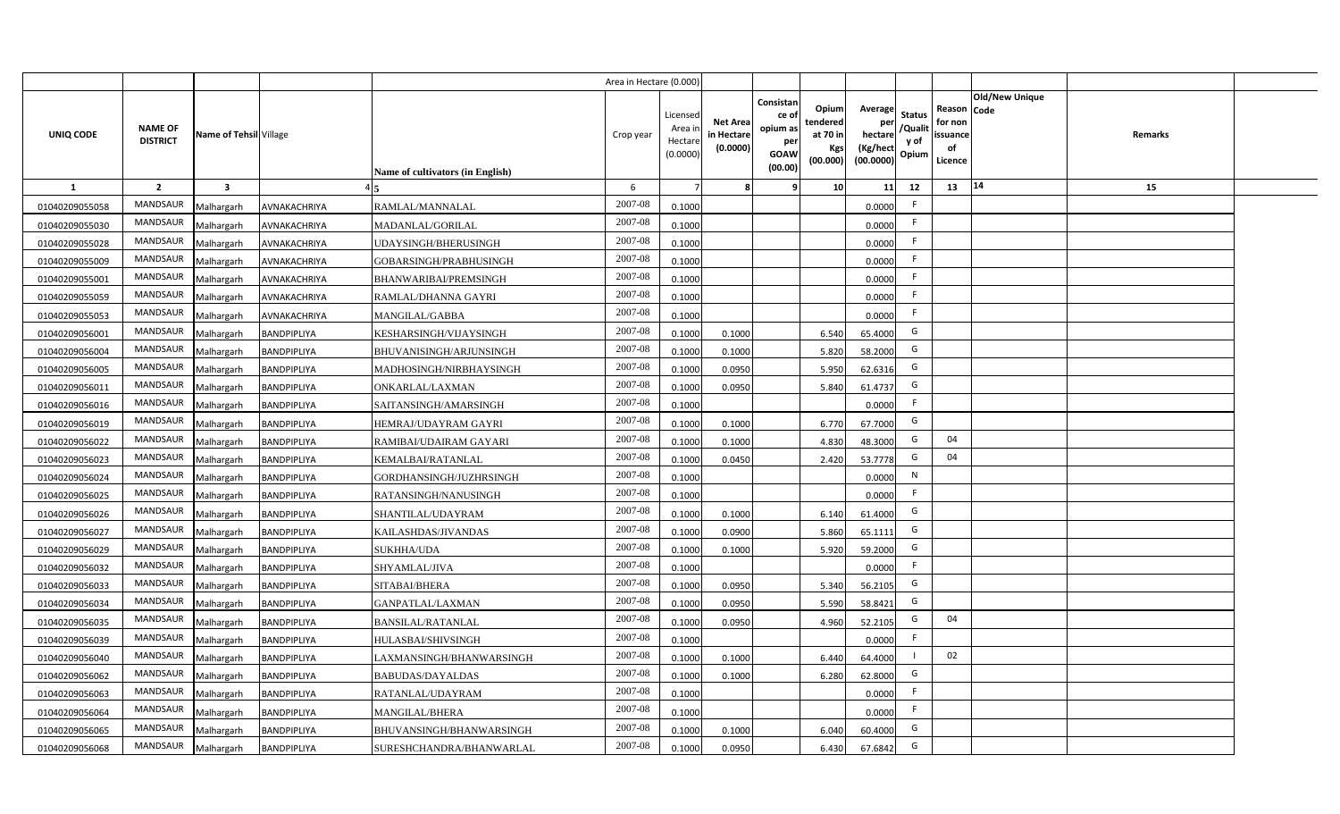|                |                                   |                         |                    |                                         | Area in Hectare (0.000) |                                           |                                           |                                                                 |                                                  |                                                                                                 |                                                     |                       |                |  |
|----------------|-----------------------------------|-------------------------|--------------------|-----------------------------------------|-------------------------|-------------------------------------------|-------------------------------------------|-----------------------------------------------------------------|--------------------------------------------------|-------------------------------------------------------------------------------------------------|-----------------------------------------------------|-----------------------|----------------|--|
| UNIQ CODE      | <b>NAME OF</b><br><b>DISTRICT</b> | Name of Tehsil Village  |                    | <b>Name of cultivators (in English)</b> | Crop year               | Licensed<br>Area i<br>Hectare<br>(0.0000) | <b>Net Area</b><br>in Hectare<br>(0.0000) | Consistan<br>ce of<br>opium as<br>per<br><b>GOAW</b><br>(00.00) | Opium<br>tendered<br>at 70 in<br>Kgs<br>(00.000) | Average<br><b>Status</b><br>per<br>/Qualit<br>hectare<br>y of<br>(Kg/hect<br>Opium<br>(00.0000) | Reason Code<br>for non<br>issuance<br>of<br>Licence | <b>Old/New Unique</b> | <b>Remarks</b> |  |
| <b>1</b>       | $\overline{2}$                    | $\overline{\mathbf{3}}$ |                    |                                         | 6                       |                                           |                                           | q                                                               | 10                                               | 11<br>12                                                                                        | 13                                                  | 14                    | 15             |  |
| 01040209055058 | <b>MANDSAUR</b>                   | Malhargarh              | AVNAKACHRIYA       | RAMLAL/MANNALAL                         | 2007-08                 | 0.1000                                    |                                           |                                                                 |                                                  | F.<br>0.0000                                                                                    |                                                     |                       |                |  |
| 01040209055030 | <b>MANDSAUR</b>                   | Malhargarh              | AVNAKACHRIYA       | MADANLAL/GORILAL                        | 2007-08                 | 0.1000                                    |                                           |                                                                 |                                                  | -F<br>0.0000                                                                                    |                                                     |                       |                |  |
| 01040209055028 | <b>MANDSAUR</b>                   | Malhargarh              | AVNAKACHRIYA       | UDAYSINGH/BHERUSINGH                    | 2007-08                 | 0.1000                                    |                                           |                                                                 |                                                  | F<br>0.0000                                                                                     |                                                     |                       |                |  |
| 01040209055009 | <b>MANDSAUR</b>                   | Malhargarh              | AVNAKACHRIYA       | GOBARSINGH/PRABHUSINGH                  | 2007-08                 | 0.1000                                    |                                           |                                                                 |                                                  | 0.0000                                                                                          |                                                     |                       |                |  |
| 01040209055001 | <b>MANDSAUR</b>                   | Malhargarh              | AVNAKACHRIYA       | BHANWARIBAI/PREMSINGH                   | 2007-08                 | 0.1000                                    |                                           |                                                                 |                                                  | F.<br>0.0000                                                                                    |                                                     |                       |                |  |
| 01040209055059 | <b>MANDSAUR</b>                   | Malhargarh              | AVNAKACHRIYA       | RAMLAL/DHANNA GAYRI                     | 2007-08                 | 0.1000                                    |                                           |                                                                 |                                                  | F<br>0.0000                                                                                     |                                                     |                       |                |  |
| 01040209055053 | MANDSAUR                          | Malhargarh              | AVNAKACHRIYA       | MANGILAL/GABBA                          | 2007-08                 | 0.1000                                    |                                           |                                                                 |                                                  | F.<br>0.0000                                                                                    |                                                     |                       |                |  |
| 01040209056001 | MANDSAUR                          | Malhargarh              | BANDPIPLIYA        | KESHARSINGH/VIJAYSINGH                  | 2007-08                 | 0.1000                                    | 0.1000                                    |                                                                 | 6.540                                            | G<br>65.4000                                                                                    |                                                     |                       |                |  |
| 01040209056004 | <b>MANDSAUR</b>                   | Malhargarh              | BANDPIPLIYA        | BHUVANISINGH/ARJUNSINGH                 | 2007-08                 | 0.1000                                    | 0.1000                                    |                                                                 | 5.820                                            | G<br>58.2000                                                                                    |                                                     |                       |                |  |
| 01040209056005 | <b>MANDSAUR</b>                   | Malhargarh              | BANDPIPLIYA        | MADHOSINGH/NIRBHAYSINGH                 | 2007-08                 | 0.1000                                    | 0.0950                                    |                                                                 | 5.950                                            | G<br>62.6316                                                                                    |                                                     |                       |                |  |
| 01040209056011 | <b>MANDSAUR</b>                   | Malhargarh              | BANDPIPLIYA        | <b>ONKARLAL/LAXMAN</b>                  | 2007-08                 | 0.1000                                    | 0.0950                                    |                                                                 | 5.840                                            | G<br>61.4737                                                                                    |                                                     |                       |                |  |
| 01040209056016 | <b>MANDSAUR</b>                   | Malhargarh              | BANDPIPLIYA        | SAITANSINGH/AMARSINGH                   | 2007-08                 | 0.1000                                    |                                           |                                                                 |                                                  | -F<br>0.0000                                                                                    |                                                     |                       |                |  |
| 01040209056019 | <b>MANDSAUR</b>                   | Malhargarh              | BANDPIPLIYA        | HEMRAJ/UDAYRAM GAYRI                    | 2007-08                 | 0.1000                                    | 0.1000                                    |                                                                 | 6.770                                            | G<br>67.7000                                                                                    |                                                     |                       |                |  |
| 01040209056022 | MANDSAUR                          | Malhargarh              | BANDPIPLIYA        | RAMIBAI/UDAIRAM GAYARI                  | 2007-08                 | 0.1000                                    | 0.1000                                    |                                                                 | 4.830                                            | G<br>48.3000                                                                                    | 04                                                  |                       |                |  |
| 01040209056023 | <b>MANDSAUR</b>                   | Malhargarh              | <b>BANDPIPLIYA</b> | KEMALBAI/RATANLAL                       | 2007-08                 | 0.1000                                    | 0.0450                                    |                                                                 | 2.420                                            | G<br>53.7778                                                                                    | 04                                                  |                       |                |  |
| 01040209056024 | MANDSAUR                          | Malhargarh              | BANDPIPLIYA        | GORDHANSINGH/JUZHRSINGH                 | 2007-08                 | 0.1000                                    |                                           |                                                                 |                                                  | N<br>0.0000                                                                                     |                                                     |                       |                |  |
| 01040209056025 | MANDSAUR                          | Malhargarh              | BANDPIPLIYA        | RATANSINGH/NANUSINGH                    | 2007-08                 | 0.1000                                    |                                           |                                                                 |                                                  | F<br>0.0000                                                                                     |                                                     |                       |                |  |
| 01040209056026 | MANDSAUR                          | Malhargarh              | BANDPIPLIYA        | SHANTILAL/UDAYRAM                       | 2007-08                 | 0.1000                                    | 0.1000                                    |                                                                 | 6.140                                            | G<br>61.4000                                                                                    |                                                     |                       |                |  |
| 01040209056027 | <b>MANDSAUR</b>                   | Malhargarh              | <b>BANDPIPLIYA</b> | KAILASHDAS/JIVANDAS                     | 2007-08                 | 0.1000                                    | 0.0900                                    |                                                                 | 5.860                                            | G<br>65.1111                                                                                    |                                                     |                       |                |  |
| 01040209056029 | MANDSAUR                          | Malhargarh              | BANDPIPLIYA        | <b>SUKHHA/UDA</b>                       | $2007 - 08$             | 0.1000                                    | 0.1000                                    |                                                                 | 5.920                                            | G<br>59.2000                                                                                    |                                                     |                       |                |  |
| 01040209056032 | MANDSAUR                          | Malhargarh              | BANDPIPLIYA        | SHYAMLAL/JIVA                           | 2007-08                 | 0.1000                                    |                                           |                                                                 |                                                  | F<br>0.0000                                                                                     |                                                     |                       |                |  |
| 01040209056033 | <b>MANDSAUR</b>                   | Malhargarh              | BANDPIPLIYA        | SITABAI/BHERA                           | 2007-08                 | 0.1000                                    | 0.0950                                    |                                                                 | 5.340                                            | G<br>56.2105                                                                                    |                                                     |                       |                |  |
| 01040209056034 | MANDSAUR                          | Malhargarh              | BANDPIPLIYA        | GANPATLAL/LAXMAN                        | 2007-08                 | 0.1000                                    | 0.0950                                    |                                                                 | 5.590                                            | G<br>58.8421                                                                                    |                                                     |                       |                |  |
| 01040209056035 | MANDSAUR                          | Malhargarh              | <b>BANDPIPLIYA</b> | <b>BANSILAL/RATANLAL</b>                | 2007-08                 | 0.1000                                    | 0.0950                                    |                                                                 | 4.960                                            | G<br>52.2105                                                                                    | 04                                                  |                       |                |  |
| 01040209056039 | MANDSAUR                          | Malhargarh              | <b>BANDPIPLIYA</b> | HULASBAI/SHIVSINGH                      | 2007-08                 | 0.1000                                    |                                           |                                                                 |                                                  | $\mathsf F$<br>0.0000                                                                           |                                                     |                       |                |  |
| 01040209056040 | MANDSAUR                          | Malhargarh              | <b>BANDPIPLIYA</b> | LAXMANSINGH/BHANWARSINGH                | 2007-08                 | 0.1000                                    | 0.1000                                    |                                                                 | 6.440                                            | 64.4000                                                                                         | 02                                                  |                       |                |  |
| 01040209056062 | MANDSAUR                          | Malhargarh              | <b>BANDPIPLIYA</b> | <b>BABUDAS/DAYALDAS</b>                 | 2007-08                 | 0.1000                                    | 0.1000                                    |                                                                 | 6.280                                            | G<br>62.8000                                                                                    |                                                     |                       |                |  |
| 01040209056063 | MANDSAUR                          | Malhargarh              | BANDPIPLIYA        | RATANLAL/UDAYRAM                        | 2007-08                 | 0.1000                                    |                                           |                                                                 |                                                  | F<br>0.0000                                                                                     |                                                     |                       |                |  |
| 01040209056064 | MANDSAUR                          | Malhargarh              | <b>BANDPIPLIYA</b> | MANGILAL/BHERA                          | 2007-08                 | 0.1000                                    |                                           |                                                                 |                                                  | F<br>0.0000                                                                                     |                                                     |                       |                |  |
| 01040209056065 | <b>MANDSAUR</b>                   | Malhargarh              | BANDPIPLIYA        | BHUVANSINGH/BHANWARSINGH                | 2007-08                 | 0.1000                                    | 0.1000                                    |                                                                 | 6.040                                            | G<br>60.4000                                                                                    |                                                     |                       |                |  |
| 01040209056068 | MANDSAUR                          | Malhargarh              | <b>BANDPIPLIYA</b> | SURESHCHANDRA/BHANWARLAL                | 2007-08                 | 0.1000                                    | 0.0950                                    |                                                                 | 6.430                                            | G<br>67.6842                                                                                    |                                                     |                       |                |  |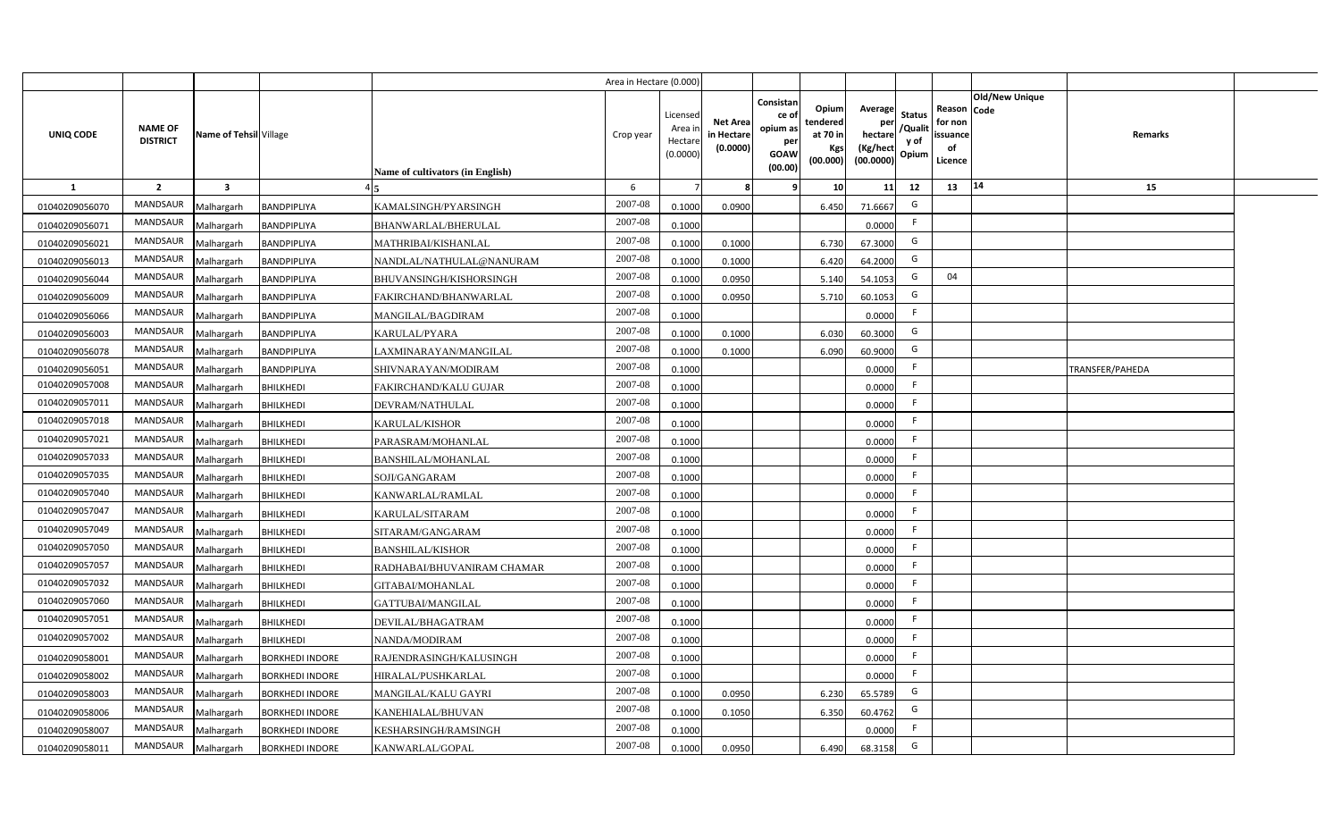|                |                                   |                         |                        |                                         | Area in Hectare (0.000) |                                           |                                           |                                                                 |                                                  |                                                                                                 |                                                     |                       |                 |  |
|----------------|-----------------------------------|-------------------------|------------------------|-----------------------------------------|-------------------------|-------------------------------------------|-------------------------------------------|-----------------------------------------------------------------|--------------------------------------------------|-------------------------------------------------------------------------------------------------|-----------------------------------------------------|-----------------------|-----------------|--|
| UNIQ CODE      | <b>NAME OF</b><br><b>DISTRICT</b> | Name of Tehsil Village  |                        | <b>Name of cultivators (in English)</b> | Crop year               | Licensed<br>Area i<br>Hectare<br>(0.0000) | <b>Net Area</b><br>in Hectare<br>(0.0000) | Consistan<br>ce of<br>opium as<br>per<br><b>GOAW</b><br>(00.00) | Opium<br>tendered<br>at 70 in<br>Kgs<br>(00.000) | Average<br><b>Status</b><br>per<br>/Qualit<br>hectare<br>y of<br>(Kg/hect<br>Opium<br>(00.0000) | Reason Code<br>for non<br>issuance<br>of<br>Licence | <b>Old/New Unique</b> | <b>Remarks</b>  |  |
| <b>1</b>       | $\overline{2}$                    | $\overline{\mathbf{3}}$ |                        |                                         | 6                       |                                           |                                           | <b>q</b>                                                        | 10                                               | 11<br>12                                                                                        | 13                                                  | 14                    | 15              |  |
| 01040209056070 | <b>MANDSAUR</b>                   | Malhargarh              | BANDPIPLIYA            | KAMALSINGH/PYARSINGH                    | 2007-08                 | 0.1000                                    | 0.0900                                    |                                                                 | 6.450                                            | G<br>71.6667                                                                                    |                                                     |                       |                 |  |
| 01040209056071 | <b>MANDSAUR</b>                   | Malhargarh              | BANDPIPLIYA            | BHANWARLAL/BHERULAL                     | 2007-08                 | 0.1000                                    |                                           |                                                                 |                                                  | -F<br>0.0000                                                                                    |                                                     |                       |                 |  |
| 01040209056021 | <b>MANDSAUR</b>                   | Malhargarh              | BANDPIPLIYA            | MATHRIBAI/KISHANLAL                     | 2007-08                 | 0.1000                                    | 0.1000                                    |                                                                 | 6.730                                            | G<br>67.3000                                                                                    |                                                     |                       |                 |  |
| 01040209056013 | <b>MANDSAUR</b>                   | Malhargarh              | BANDPIPLIYA            | NANDLAL/NATHULAL@NANURAM                | 2007-08                 | 0.1000                                    | 0.1000                                    |                                                                 | 6.420                                            | G<br>64.2000                                                                                    |                                                     |                       |                 |  |
| 01040209056044 | MANDSAUR                          | Malhargarh              | BANDPIPLIYA            | BHUVANSINGH/KISHORSINGH                 | 2007-08                 | 0.1000                                    | 0.0950                                    |                                                                 | 5.140                                            | G<br>54.1053                                                                                    | 04                                                  |                       |                 |  |
| 01040209056009 | MANDSAUR                          | Malhargarh              | BANDPIPLIYA            | FAKIRCHAND/BHANWARLAL                   | 2007-08                 | 0.1000                                    | 0.0950                                    |                                                                 | 5.710                                            | G<br>60.1053                                                                                    |                                                     |                       |                 |  |
| 01040209056066 | MANDSAUR                          | Malhargarh              | <b>BANDPIPLIYA</b>     | MANGILAL/BAGDIRAM                       | 2007-08                 | 0.1000                                    |                                           |                                                                 |                                                  | F.<br>0.0000                                                                                    |                                                     |                       |                 |  |
| 01040209056003 | MANDSAUR                          | Malhargarh              | BANDPIPLIYA            | KARULAL/PYARA                           | 2007-08                 | 0.1000                                    | 0.1000                                    |                                                                 | 6.030                                            | G<br>60.3000                                                                                    |                                                     |                       |                 |  |
| 01040209056078 | <b>MANDSAUR</b>                   | Malhargarh              | BANDPIPLIYA            | LAXMINARAYAN/MANGILAL                   | 2007-08                 | 0.1000                                    | 0.1000                                    |                                                                 | 6.090                                            | G<br>60.9000                                                                                    |                                                     |                       |                 |  |
| 01040209056052 | <b>MANDSAUR</b>                   | Malhargarh              | <b>BANDPIPLIYA</b>     | SHIVNARAYAN/MODIRAM                     | 2007-08                 | 0.1000                                    |                                           |                                                                 |                                                  | F<br>0.0000                                                                                     |                                                     |                       | TRANSFER/PAHEDA |  |
| 01040209057008 | MANDSAUR                          | Malhargarh              | <b>BHILKHEDI</b>       | FAKIRCHAND/KALU GUJAR                   | $2007 - 08$             | 0.1000                                    |                                           |                                                                 |                                                  | F<br>0.0000                                                                                     |                                                     |                       |                 |  |
| 01040209057011 | MANDSAUR                          | Malhargarh              | <b>BHILKHEDI</b>       | DEVRAM/NATHULAL                         | 2007-08                 | 0.1000                                    |                                           |                                                                 |                                                  | -F<br>0.0000                                                                                    |                                                     |                       |                 |  |
| 01040209057018 | MANDSAUR                          | Malhargarh              | <b>BHILKHEDI</b>       | KARULAL/KISHOR                          | 2007-08                 | 0.1000                                    |                                           |                                                                 |                                                  | F<br>0.0000                                                                                     |                                                     |                       |                 |  |
| 01040209057021 | MANDSAUR                          | Malhargarh              | <b>BHILKHEDI</b>       | PARASRAM/MOHANLAL                       | 2007-08                 | 0.1000                                    |                                           |                                                                 |                                                  | -F<br>0.0000                                                                                    |                                                     |                       |                 |  |
| 01040209057033 | MANDSAUR                          | Malhargarh              | <b>BHILKHEDI</b>       | <b>BANSHILAL/MOHANLAL</b>               | 2007-08                 | 0.1000                                    |                                           |                                                                 |                                                  | F.<br>0.0000                                                                                    |                                                     |                       |                 |  |
| 01040209057035 | MANDSAUR                          | Malhargarh              | <b>BHILKHEDI</b>       | SOJI/GANGARAM                           | 2007-08                 | 0.1000                                    |                                           |                                                                 |                                                  | F<br>0.0000                                                                                     |                                                     |                       |                 |  |
| 01040209057040 | MANDSAUR                          | Malhargarh              | <b>BHILKHEDI</b>       | KANWARLAL/RAMLAL                        | 2007-08                 | 0.1000                                    |                                           |                                                                 |                                                  | F<br>0.0000                                                                                     |                                                     |                       |                 |  |
| 01040209057047 | MANDSAUR                          | Malhargarh              | <b>BHILKHEDI</b>       | KARULAL/SITARAM                         | 2007-08                 | 0.1000                                    |                                           |                                                                 |                                                  | F.<br>0.0000                                                                                    |                                                     |                       |                 |  |
| 01040209057049 | MANDSAUR                          | Malhargarh              | <b>BHILKHEDI</b>       | SITARAM/GANGARAM                        | $2007 - 08$             | 0.1000                                    |                                           |                                                                 |                                                  | -F<br>0.0000                                                                                    |                                                     |                       |                 |  |
| 01040209057050 | MANDSAUR                          | Malhargarh              | <b>BHILKHEDI</b>       | <b>BANSHILAL/KISHOR</b>                 | $2007 - 08$             | 0.1000                                    |                                           |                                                                 |                                                  | F<br>0.0000                                                                                     |                                                     |                       |                 |  |
| 01040209057057 | MANDSAUR                          | Malhargarh              | <b>BHILKHEDI</b>       | RADHABAI/BHUVANIRAM CHAMAR              | 2007-08                 | 0.1000                                    |                                           |                                                                 |                                                  | F.<br>0.0000                                                                                    |                                                     |                       |                 |  |
| 01040209057032 | MANDSAUR                          | Malhargarh              | <b>BHILKHEDI</b>       | GITABAI/MOHANLAL                        | 2007-08                 | 0.1000                                    |                                           |                                                                 |                                                  | F<br>0.0000                                                                                     |                                                     |                       |                 |  |
| 01040209057060 | MANDSAUR                          | Malhargarh              | <b>BHILKHEDI</b>       | GATTUBAI/MANGILAL                       | 2007-08                 | 0.1000                                    |                                           |                                                                 |                                                  | F<br>0.0000                                                                                     |                                                     |                       |                 |  |
| 01040209057051 | MANDSAUR                          | Malhargarh              | <b>BHILKHEDI</b>       | DEVILAL/BHAGATRAM                       | 2007-08                 | 0.1000                                    |                                           |                                                                 |                                                  | F.<br>0.0000                                                                                    |                                                     |                       |                 |  |
| 01040209057002 | MANDSAUR                          | Malhargarh              | <b>BHILKHEDI</b>       | NANDA/MODIRAM                           | 2007-08                 | 0.1000                                    |                                           |                                                                 |                                                  | F.<br>0.0000                                                                                    |                                                     |                       |                 |  |
| 01040209058001 | MANDSAUR                          | Malhargarh              | <b>BORKHEDI INDORE</b> | RAJENDRASINGH/KALUSINGH                 | 2007-08                 | 0.1000                                    |                                           |                                                                 |                                                  | F.<br>0.0000                                                                                    |                                                     |                       |                 |  |
| 01040209058002 | MANDSAUR                          | Malhargarh              | <b>BORKHEDI INDORE</b> | HIRALAL/PUSHKARLAL                      | 2007-08                 | 0.1000                                    |                                           |                                                                 |                                                  | F<br>0.0000                                                                                     |                                                     |                       |                 |  |
| 01040209058003 | MANDSAUR                          | Malhargarh              | <b>BORKHEDI INDORE</b> | MANGILAL/KALU GAYRI                     | 2007-08                 | 0.1000                                    | 0.0950                                    |                                                                 | 6.230                                            | G<br>65.5789                                                                                    |                                                     |                       |                 |  |
| 01040209058006 | MANDSAUR                          | Malhargarh              | <b>BORKHEDI INDORE</b> | KANEHIALAL/BHUVAN                       | 2007-08                 | 0.1000                                    | 0.1050                                    |                                                                 | 6.350                                            | G<br>60.4762                                                                                    |                                                     |                       |                 |  |
| 01040209058007 | MANDSAUR                          | Malhargarh              | <b>BORKHEDI INDORE</b> | KESHARSINGH/RAMSINGH                    | 2007-08                 | 0.1000                                    |                                           |                                                                 |                                                  | F<br>0.0000                                                                                     |                                                     |                       |                 |  |
| 01040209058011 | MANDSAUR                          | Malhargarh              | <b>BORKHEDI INDORE</b> | KANWARLAL/GOPAL                         | 2007-08                 | 0.1000                                    | 0.0950                                    |                                                                 | 6.490                                            | G<br>68.3158                                                                                    |                                                     |                       |                 |  |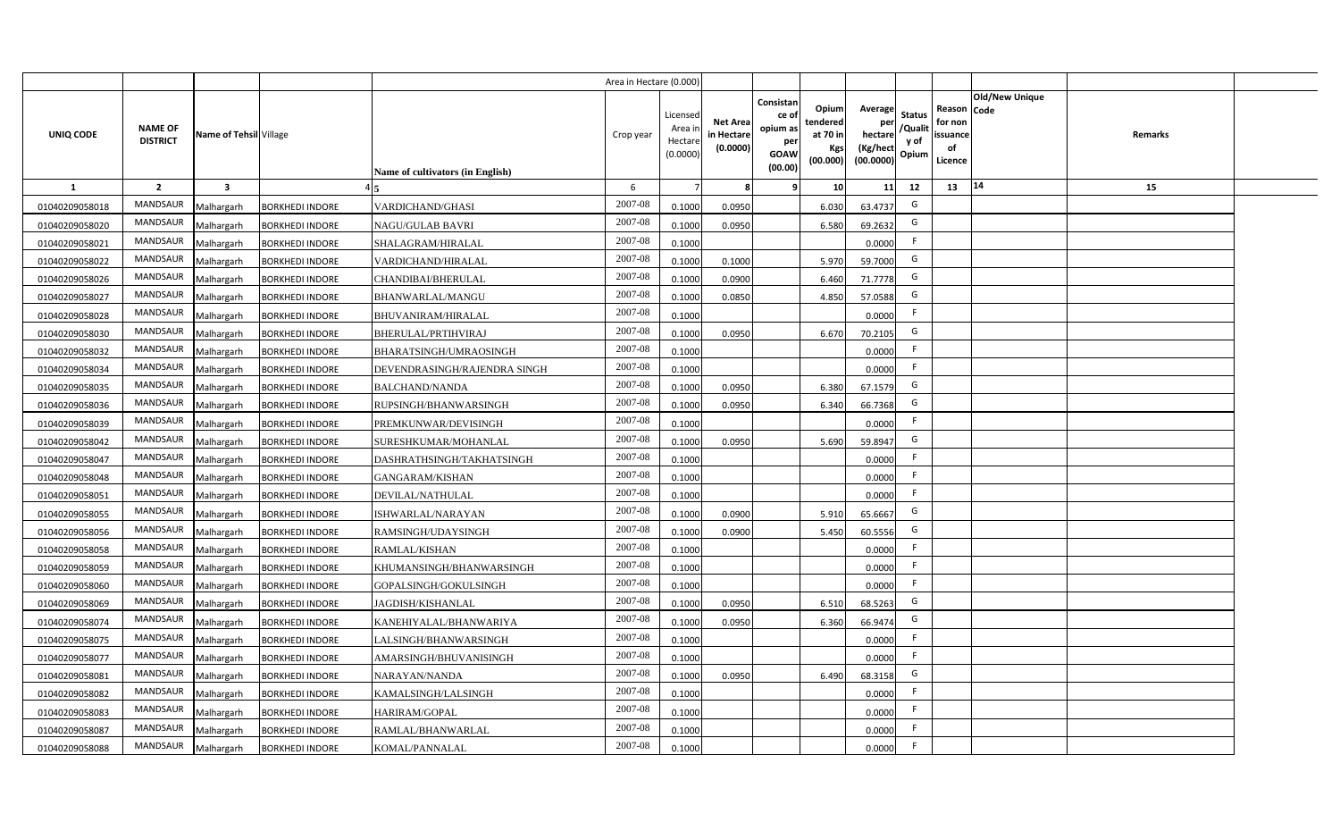|                |                                   |                         |                        |                                         | Area in Hectare (0.000) |                                           |                                           |                                                                |                                                         |                                                    |                                           |                                                     |                                  |  |
|----------------|-----------------------------------|-------------------------|------------------------|-----------------------------------------|-------------------------|-------------------------------------------|-------------------------------------------|----------------------------------------------------------------|---------------------------------------------------------|----------------------------------------------------|-------------------------------------------|-----------------------------------------------------|----------------------------------|--|
| UNIQ CODE      | <b>NAME OF</b><br><b>DISTRICT</b> | Name of Tehsil Village  |                        | <b>Name of cultivators (in English)</b> | Crop year               | Licensed<br>Area i<br>Hectare<br>(0.0000) | <b>Net Area</b><br>in Hectare<br>(0.0000) | Consistan<br>ce o<br>opium as<br>per<br><b>GOAW</b><br>(00.00) | Opium<br>tendered<br>at 70 in<br><b>Kgs</b><br>(00.000) | Average<br>per<br>hectare<br>(Kg/hect<br>(00.0000) | <b>Status</b><br>/Qualit<br>y of<br>Opium | Reason Code<br>for non<br>issuance<br>of<br>Licence | <b>Old/New Unique</b><br>Remarks |  |
| $\mathbf{1}$   | $\overline{2}$                    | $\overline{\mathbf{3}}$ |                        |                                         | 6                       |                                           | 8                                         | 9                                                              | 10 <sup>1</sup>                                         | 11                                                 | 12                                        | 13                                                  | 14<br>15                         |  |
| 01040209058018 | MANDSAUR                          | Malhargarh              | <b>BORKHEDI INDORE</b> | <b>VARDICHAND/GHASI</b>                 | 2007-08                 | 0.1000                                    | 0.0950                                    |                                                                | 6.030                                                   | 63.4737                                            | G                                         |                                                     |                                  |  |
| 01040209058020 | MANDSAUR                          | Malhargarh              | <b>BORKHEDI INDORE</b> | NAGU/GULAB BAVRI                        | $2007 - 08$             | 0.1000                                    | 0.0950                                    |                                                                | 6.580                                                   | 69.2632                                            | G                                         |                                                     |                                  |  |
| 01040209058021 | <b>MANDSAUR</b>                   | Malhargarh              | <b>BORKHEDI INDORE</b> | SHALAGRAM/HIRALAL                       | 2007-08                 | 0.1000                                    |                                           |                                                                |                                                         | 0.0000                                             | F.                                        |                                                     |                                  |  |
| 01040209058022 | <b>MANDSAUR</b>                   | Malhargarh              | <b>BORKHEDI INDORE</b> | VARDICHAND/HIRALAL                      | 2007-08                 | 0.1000                                    | 0.1000                                    |                                                                | 5.970                                                   | 59.7000                                            | G                                         |                                                     |                                  |  |
| 01040209058026 | MANDSAUR                          | Malhargarh              | <b>BORKHEDI INDORE</b> | CHANDIBAI/BHERULAL                      | 2007-08                 | 0.1000                                    | 0.0900                                    |                                                                | 6.460                                                   | 71.7778                                            | G                                         |                                                     |                                  |  |
| 01040209058027 | <b>MANDSAUR</b>                   | Malhargarh              | <b>BORKHEDI INDORE</b> | BHANWARLAL/MANGU                        | 2007-08                 | 0.1000                                    | 0.0850                                    |                                                                | 4.850                                                   | 57.0588                                            | G                                         |                                                     |                                  |  |
| 01040209058028 | <b>MANDSAUR</b>                   | Malhargarh              | <b>BORKHEDI INDORE</b> | <b>BHUVANIRAM/HIRALAL</b>               | 2007-08                 | 0.1000                                    |                                           |                                                                |                                                         | 0.0000                                             | F                                         |                                                     |                                  |  |
| 01040209058030 | <b>MANDSAUR</b>                   | Malhargarh              | <b>BORKHEDI INDORE</b> | BHERULAL/PRTIHVIRAJ                     | 2007-08                 | 0.1000                                    | 0.0950                                    |                                                                | 6.670                                                   | 70.2105                                            | G                                         |                                                     |                                  |  |
| 01040209058032 | <b>MANDSAUR</b>                   | Malhargarh              | <b>BORKHEDI INDORE</b> | BHARATSINGH/UMRAOSINGH                  | 2007-08                 | 0.1000                                    |                                           |                                                                |                                                         | 0.0000                                             | F                                         |                                                     |                                  |  |
| 01040209058034 | <b>MANDSAUR</b>                   | Malhargarh              | <b>BORKHEDI INDORE</b> | DEVENDRASINGH/RAJENDRA SINGH            | 2007-08                 | 0.1000                                    |                                           |                                                                |                                                         | 0.0000                                             | F                                         |                                                     |                                  |  |
| 01040209058035 | <b>MANDSAUR</b>                   | Malhargarh              | <b>BORKHEDI INDORE</b> | <b>BALCHAND/NANDA</b>                   | 2007-08                 | 0.1000                                    | 0.0950                                    |                                                                | 6.380                                                   | 67.1579                                            | G                                         |                                                     |                                  |  |
| 01040209058036 | <b>MANDSAUR</b>                   | Malhargarh              | <b>BORKHEDI INDORE</b> | RUPSINGH/BHANWARSINGH                   | $2007 - 08$             | 0.1000                                    | 0.0950                                    |                                                                | 6.340                                                   | 66.7368                                            | G                                         |                                                     |                                  |  |
| 01040209058039 | <b>MANDSAUR</b>                   | Malhargarh              | <b>BORKHEDI INDORE</b> | PREMKUNWAR/DEVISINGH                    | 2007-08                 | 0.1000                                    |                                           |                                                                |                                                         | 0.0000                                             | F.                                        |                                                     |                                  |  |
| 01040209058042 | <b>MANDSAUR</b>                   | Malhargarh              | <b>BORKHEDI INDORE</b> | SURESHKUMAR/MOHANLAL                    | 2007-08                 | 0.1000                                    | 0.0950                                    |                                                                | 5.690                                                   | 59.8947                                            | G                                         |                                                     |                                  |  |
| 01040209058047 | MANDSAUR                          | Malhargarh              | <b>BORKHEDI INDORE</b> | DASHRATHSINGH/TAKHATSINGH               | 2007-08                 | 0.1000                                    |                                           |                                                                |                                                         | 0.0000                                             | F                                         |                                                     |                                  |  |
| 01040209058048 | <b>MANDSAUR</b>                   | Malhargarh              | <b>BORKHEDI INDORE</b> | <b>GANGARAM/KISHAN</b>                  | 2007-08                 | 0.1000                                    |                                           |                                                                |                                                         | 0.0000                                             | F.                                        |                                                     |                                  |  |
| 01040209058051 | <b>MANDSAUR</b>                   | Malhargarh              | <b>BORKHEDI INDORE</b> | DEVILAL/NATHULAL                        | 2007-08                 | 0.1000                                    |                                           |                                                                |                                                         | 0.0000                                             | F                                         |                                                     |                                  |  |
| 01040209058055 | <b>MANDSAUR</b>                   | Malhargarh              | <b>BORKHEDI INDORE</b> | ISHWARLAL/NARAYAN                       | 2007-08                 | 0.1000                                    | 0.0900                                    |                                                                | 5.910                                                   | 65.6667                                            | G                                         |                                                     |                                  |  |
| 01040209058056 | <b>MANDSAUR</b>                   | Malhargarh              | <b>BORKHEDI INDORE</b> | RAMSINGH/UDAYSINGH                      | 2007-08                 | 0.1000                                    | 0.0900                                    |                                                                | 5.450                                                   | 60.5556                                            | G                                         |                                                     |                                  |  |
| 01040209058058 | <b>MANDSAUR</b>                   | Malhargarh              | <b>BORKHEDI INDORE</b> | RAMLAL/KISHAN                           | 2007-08                 | 0.1000                                    |                                           |                                                                |                                                         | 0.0000                                             | F.                                        |                                                     |                                  |  |
| 01040209058059 | <b>MANDSAUR</b>                   | Malhargarh              | <b>BORKHEDI INDORE</b> | KHUMANSINGH/BHANWARSINGH                | $2007 - 08$             | 0.1000                                    |                                           |                                                                |                                                         | 0.0000                                             | F                                         |                                                     |                                  |  |
| 01040209058060 | <b>MANDSAUR</b>                   | Malhargarh              | <b>BORKHEDI INDORE</b> | GOPALSINGH/GOKULSINGH                   | 2007-08                 | 0.1000                                    |                                           |                                                                |                                                         | 0.0000                                             | F.                                        |                                                     |                                  |  |
| 01040209058069 | <b>MANDSAUR</b>                   | Malhargarh              | <b>BORKHEDI INDORE</b> | JAGDISH/KISHANLAL                       | 2007-08                 | 0.1000                                    | 0.0950                                    |                                                                | 6.51                                                    | 68.5263                                            | G                                         |                                                     |                                  |  |
| 01040209058074 | <b>MANDSAUR</b>                   | Malhargarh              | <b>BORKHEDI INDORE</b> | KANEHIYALAL/BHANWARIYA                  | $2007 - 08$             | 0.1000                                    | 0.0950                                    |                                                                | 6.360                                                   | 66.9474                                            | G                                         |                                                     |                                  |  |
| 01040209058075 | <b>MANDSAUR</b>                   | Malhargarh              | <b>BORKHEDI INDORE</b> | LALSINGH/BHANWARSINGH                   | 2007-08                 | 0.1000                                    |                                           |                                                                |                                                         | 0.0000                                             | F.                                        |                                                     |                                  |  |
| 01040209058077 | MANDSAUR                          | Malhargarh              | <b>BORKHEDI INDORE</b> | AMARSINGH/BHUVANISINGH                  | 2007-08                 | 0.1000                                    |                                           |                                                                |                                                         | 0.0000                                             | F                                         |                                                     |                                  |  |
| 01040209058081 | MANDSAUR                          | Malhargarh              | <b>BORKHEDI INDORE</b> | NARAYAN/NANDA                           | 2007-08                 | 0.1000                                    | 0.0950                                    |                                                                | 6.490                                                   | 68.3158                                            | G                                         |                                                     |                                  |  |
| 01040209058082 | MANDSAUR                          | Malhargarh              | <b>BORKHEDI INDORE</b> | KAMALSINGH/LALSINGH                     | 2007-08                 | 0.1000                                    |                                           |                                                                |                                                         | 0.0000                                             | F                                         |                                                     |                                  |  |
| 01040209058083 | MANDSAUR                          | Malhargarh              | <b>BORKHEDI INDORE</b> | HARIRAM/GOPAL                           | 2007-08                 | 0.1000                                    |                                           |                                                                |                                                         | 0.0000                                             | F                                         |                                                     |                                  |  |
| 01040209058087 | <b>MANDSAUR</b>                   | Malhargarh              | <b>BORKHEDI INDORE</b> | RAMLAL/BHANWARLAL                       | 2007-08                 | 0.1000                                    |                                           |                                                                |                                                         | 0.0000                                             | F.                                        |                                                     |                                  |  |
| 01040209058088 | MANDSAUR                          | Malhargarh              | <b>BORKHEDI INDORE</b> | KOMAL/PANNALAL                          | 2007-08                 | 0.1000                                    |                                           |                                                                |                                                         | 0.0000                                             | F                                         |                                                     |                                  |  |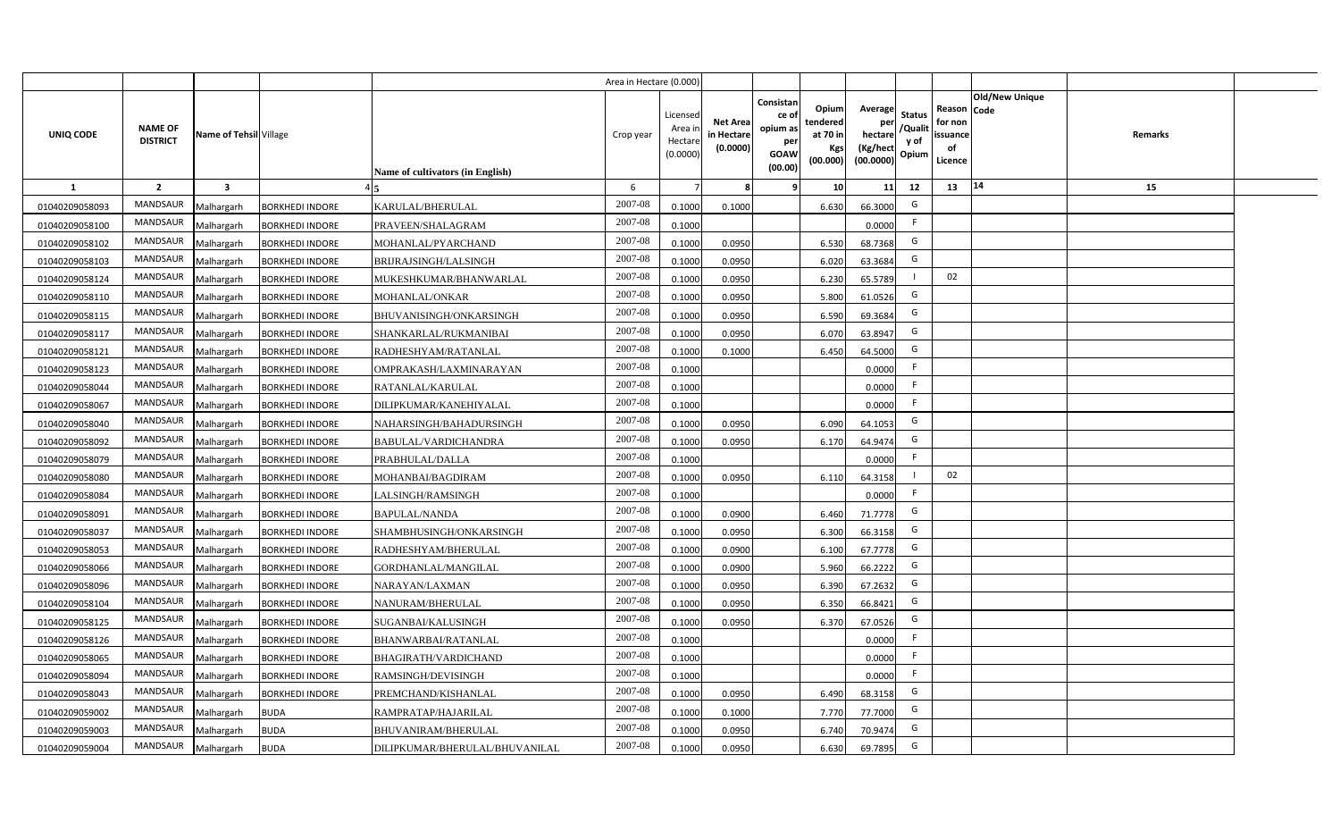|                |                                   |                         |                        |                                  | Area in Hectare (0.000) |                                           |                                           |                                                                                                                     |                                                    |                                           |                                                     |                       |         |  |
|----------------|-----------------------------------|-------------------------|------------------------|----------------------------------|-------------------------|-------------------------------------------|-------------------------------------------|---------------------------------------------------------------------------------------------------------------------|----------------------------------------------------|-------------------------------------------|-----------------------------------------------------|-----------------------|---------|--|
| UNIQ CODE      | <b>NAME OF</b><br><b>DISTRICT</b> | Name of Tehsil Village  |                        | Name of cultivators (in English) | Crop year               | Licensed<br>Area i<br>Hectare<br>(0.0000) | <b>Net Area</b><br>in Hectare<br>(0.0000) | Consistan<br>Opium<br>ce of<br>tendered<br>opium as<br>at 70 in<br>per<br>Kgs<br><b>GOAW</b><br>(00.000)<br>(00.00) | Average<br>per<br>hectare<br>(Kg/hect<br>(00.0000) | <b>Status</b><br>/Qualit<br>y of<br>Opium | Reason Code<br>for non<br>issuance<br>of<br>Licence | <b>Old/New Unique</b> | Remarks |  |
| 1              | $\overline{2}$                    | $\overline{\mathbf{3}}$ |                        |                                  | 6                       |                                           | 8                                         | 10 <sup>1</sup><br>9                                                                                                | 11                                                 | 12                                        | 13                                                  | 14                    | 15      |  |
| 01040209058093 | MANDSAUR                          | Malhargarh              | <b>BORKHEDI INDORE</b> | KARULAL/BHERULAL                 | 2007-08                 | 0.1000                                    | 0.1000                                    | 6.630                                                                                                               | 66.3000                                            | G                                         |                                                     |                       |         |  |
| 01040209058100 | MANDSAUR                          | Malhargarh              | <b>BORKHEDI INDORE</b> | PRAVEEN/SHALAGRAM                | 2007-08                 | 0.1000                                    |                                           |                                                                                                                     | 0.0000                                             | F.                                        |                                                     |                       |         |  |
| 01040209058102 | MANDSAUR                          | Malhargarh              | <b>BORKHEDI INDORE</b> | MOHANLAL/PYARCHAND               | 2007-08                 | 0.1000                                    | 0.0950                                    | 6.530                                                                                                               | 68.7368                                            | G                                         |                                                     |                       |         |  |
| 01040209058103 | <b>MANDSAUR</b>                   | Malhargarh              | <b>BORKHEDI INDORE</b> | BRIJRAJSINGH/LALSINGH            | 2007-08                 | 0.1000                                    | 0.0950                                    | 6.020                                                                                                               | 63.3684                                            | G                                         |                                                     |                       |         |  |
| 01040209058124 | MANDSAUR                          | Malhargarh              | <b>BORKHEDI INDORE</b> | MUKESHKUMAR/BHANWARLAL           | 2007-08                 | 0.1000                                    | 0.0950                                    | 6.230                                                                                                               | 65.5789                                            |                                           | 02                                                  |                       |         |  |
| 01040209058110 | MANDSAUR                          | Malhargarh              | <b>BORKHEDI INDORE</b> | MOHANLAL/ONKAR                   | 2007-08                 | 0.1000                                    | 0.0950                                    | 5.800                                                                                                               | 61.0526                                            | G                                         |                                                     |                       |         |  |
| 01040209058115 | MANDSAUR                          | Malhargarh              | <b>BORKHEDI INDORE</b> | BHUVANISINGH/ONKARSINGH          | 2007-08                 | 0.1000                                    | 0.0950                                    | 6.590                                                                                                               | 69.3684                                            | G                                         |                                                     |                       |         |  |
| 01040209058117 | MANDSAUR                          | Malhargarh              | <b>BORKHEDI INDORE</b> | SHANKARLAL/RUKMANIBAI            | 2007-08                 | 0.1000                                    | 0.0950                                    | 6.070                                                                                                               | 63.8947                                            | G                                         |                                                     |                       |         |  |
| 01040209058121 | <b>MANDSAUR</b>                   | Malhargarh              | <b>BORKHEDI INDORE</b> | RADHESHYAM/RATANLAL              | 2007-08                 | 0.1000                                    | 0.1000                                    | 6.450                                                                                                               | 64.5000                                            | G                                         |                                                     |                       |         |  |
| 01040209058123 | <b>MANDSAUR</b>                   | Malhargarh              | <b>BORKHEDI INDORE</b> | OMPRAKASH/LAXMINARAYAN           | 2007-08                 | 0.1000                                    |                                           |                                                                                                                     | 0.0000                                             | F                                         |                                                     |                       |         |  |
| 01040209058044 | MANDSAUR                          | Malhargarh              | <b>BORKHEDI INDORE</b> | RATANLAL/KARULAL                 | 2007-08                 | 0.1000                                    |                                           |                                                                                                                     | 0.0000                                             | -F                                        |                                                     |                       |         |  |
| 01040209058067 | <b>MANDSAUR</b>                   | Malhargarh              | <b>BORKHEDI INDORE</b> | DILIPKUMAR/KANEHIYALAL           | 2007-08                 | 0.1000                                    |                                           |                                                                                                                     | 0.0000                                             | F                                         |                                                     |                       |         |  |
| 01040209058040 | <b>MANDSAUR</b>                   | Malhargarh              | <b>BORKHEDI INDORE</b> | NAHARSINGH/BAHADURSINGH          | 2007-08                 | 0.1000                                    | 0.0950                                    | 6.090                                                                                                               | 64.1053                                            | G                                         |                                                     |                       |         |  |
| 01040209058092 | <b>MANDSAUR</b>                   | Malhargarh              | <b>BORKHEDI INDORE</b> | <b>BABULAL/VARDICHANDRA</b>      | 2007-08                 | 0.1000                                    | 0.0950                                    | 6.170                                                                                                               | 64.9474                                            | G                                         |                                                     |                       |         |  |
| 01040209058079 | <b>MANDSAUR</b>                   | Malhargarh              | <b>BORKHEDI INDORE</b> | PRABHULAL/DALLA                  | 2007-08                 | 0.1000                                    |                                           |                                                                                                                     | 0.0000                                             | F.                                        |                                                     |                       |         |  |
| 01040209058080 | <b>MANDSAUR</b>                   | Malhargarh              | <b>BORKHEDI INDORE</b> | MOHANBAI/BAGDIRAM                | 2007-08                 | 0.1000                                    | 0.0950                                    | 6.110                                                                                                               | 64.3158                                            |                                           | 02                                                  |                       |         |  |
| 01040209058084 | <b>MANDSAUR</b>                   | Malhargarh              | <b>BORKHEDI INDORE</b> | LALSINGH/RAMSINGH                | 2007-08                 | 0.1000                                    |                                           |                                                                                                                     | 0.0000                                             | F                                         |                                                     |                       |         |  |
| 01040209058091 | <b>MANDSAUR</b>                   | Malhargarh              | <b>BORKHEDI INDORE</b> | <b>BAPULAL/NANDA</b>             | 2007-08                 | 0.1000                                    | 0.0900                                    | 6.460                                                                                                               | 71.7778                                            | G                                         |                                                     |                       |         |  |
| 01040209058037 | <b>MANDSAUR</b>                   | Malhargarh              | <b>BORKHEDI INDORE</b> | SHAMBHUSINGH/ONKARSINGH          | 2007-08                 | 0.1000                                    | 0.0950                                    | 6.300                                                                                                               | 66.3158                                            | G                                         |                                                     |                       |         |  |
| 01040209058053 | <b>MANDSAUR</b>                   | Malhargarh              | <b>BORKHEDI INDORE</b> | RADHESHYAM/BHERULAL              | 2007-08                 | 0.1000                                    | 0.0900                                    | 6.100                                                                                                               | 67.7778                                            | G                                         |                                                     |                       |         |  |
| 01040209058066 | MANDSAUR                          | Malhargarh              | <b>BORKHEDI INDORE</b> | GORDHANLAL/MANGILAL              | 2007-08                 | 0.1000                                    | 0.0900                                    | 5.960                                                                                                               | 66.2222                                            | G                                         |                                                     |                       |         |  |
| 01040209058096 | <b>MANDSAUR</b>                   | Malhargarh              | <b>BORKHEDI INDORE</b> | NARAYAN/LAXMAN                   | 2007-08                 | 0.1000                                    | 0.0950                                    | 6.390                                                                                                               | 67.2632                                            | G                                         |                                                     |                       |         |  |
| 01040209058104 | <b>MANDSAUR</b>                   | Malhargarh              | <b>BORKHEDI INDORE</b> | NANURAM/BHERULAL                 | 2007-08                 | 0.1000                                    | 0.0950                                    | 6.350                                                                                                               | 66.8421                                            | G                                         |                                                     |                       |         |  |
| 01040209058125 | MANDSAUR                          | Malhargarh              | <b>BORKHEDI INDORE</b> | SUGANBAI/KALUSINGH               | 2007-08                 | 0.1000                                    | 0.0950                                    | 6.370                                                                                                               | 67.0526                                            | G                                         |                                                     |                       |         |  |
| 01040209058126 | MANDSAUR                          | Malhargarh              | <b>BORKHEDI INDORE</b> | BHANWARBAI/RATANLAL              | 2007-08                 | 0.1000                                    |                                           |                                                                                                                     | 0.0000                                             | F                                         |                                                     |                       |         |  |
| 01040209058065 | MANDSAUR                          | Malhargarh              | <b>BORKHEDI INDORE</b> | BHAGIRATH/VARDICHAND             | 2007-08                 | 0.1000                                    |                                           |                                                                                                                     | 0.0000                                             | F.                                        |                                                     |                       |         |  |
| 01040209058094 | MANDSAUR                          | Malhargarh              | <b>BORKHEDI INDORE</b> | RAMSINGH/DEVISINGH               | 2007-08                 | 0.1000                                    |                                           |                                                                                                                     | 0.0000                                             | F                                         |                                                     |                       |         |  |
| 01040209058043 | MANDSAUR                          | Malhargarh              | <b>BORKHEDI INDORE</b> | PREMCHAND/KISHANLAL              | 2007-08                 | 0.1000                                    | 0.0950                                    | 6.490                                                                                                               | 68.3158                                            | G                                         |                                                     |                       |         |  |
| 01040209059002 | MANDSAUR                          | Malhargarh              | <b>BUDA</b>            | RAMPRATAP/HAJARILAL              | 2007-08                 | 0.1000                                    | 0.1000                                    | 7.770                                                                                                               | 77.7000                                            | G                                         |                                                     |                       |         |  |
| 01040209059003 | MANDSAUR                          | Malhargarh              | <b>BUDA</b>            | BHUVANIRAM/BHERULAL              | 2007-08                 | 0.1000                                    | 0.0950                                    | 6.740                                                                                                               | 70.9474                                            | G                                         |                                                     |                       |         |  |
| 01040209059004 | MANDSAUR                          | Malhargarh              | <b>BUDA</b>            | DILIPKUMAR/BHERULAL/BHUVANILAL   | 2007-08                 | 0.1000                                    | 0.0950                                    | 6.630                                                                                                               | 69.7895                                            | G                                         |                                                     |                       |         |  |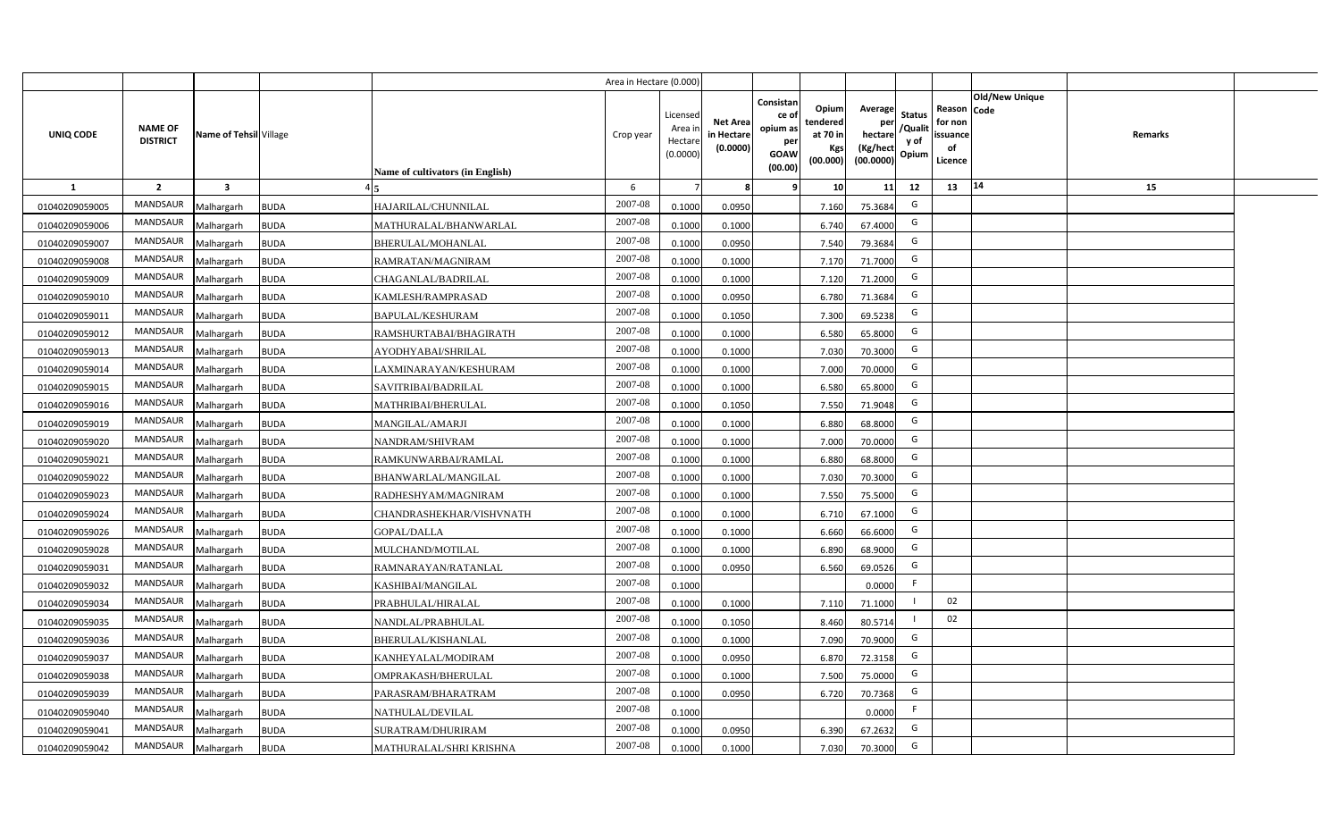|                |                                   |                         |             |                                  | Area in Hectare (0.000) |                                          |                                           |                                                          |                                                  |                                                    |                                           |                                                     |                |                |  |
|----------------|-----------------------------------|-------------------------|-------------|----------------------------------|-------------------------|------------------------------------------|-------------------------------------------|----------------------------------------------------------|--------------------------------------------------|----------------------------------------------------|-------------------------------------------|-----------------------------------------------------|----------------|----------------|--|
| UNIQ CODE      | <b>NAME OF</b><br><b>DISTRICT</b> | Name of Tehsil Village  |             | Name of cultivators (in English) | Crop year               | Licensec<br>Area i<br>Hectar<br>(0.0000) | <b>Net Area</b><br>in Hectare<br>(0.0000) | Consistan<br>ce of<br>opium as<br>per<br>GOAW<br>(00.00) | Opium<br>tendered<br>at 70 in<br>Kgs<br>(00.000) | Average<br>per<br>hectare<br>(Kg/hect<br>(00.0000) | <b>Status</b><br>/Qualit<br>y of<br>Opium | Reason Code<br>for non<br>issuance<br>of<br>Licence | Old/New Unique | <b>Remarks</b> |  |
| 1              | $\overline{2}$                    | $\overline{\mathbf{3}}$ |             |                                  | 6                       |                                          |                                           | ٠q                                                       | 10                                               | 11                                                 | 12                                        | 13                                                  | $14$           | 15             |  |
| 01040209059005 | MANDSAUR                          | Malhargarh              | <b>BUDA</b> | HAJARILAL/CHUNNILAL              | 2007-08                 | 0.1000                                   | 0.0950                                    |                                                          | 7.160                                            | 75.3684                                            | G                                         |                                                     |                |                |  |
| 01040209059006 | MANDSAUR                          | Malhargarh              | <b>BUDA</b> | MATHURALAL/BHANWARLAL            | 2007-08                 | 0.1000                                   | 0.1000                                    |                                                          | 6.740                                            | 67.4000                                            | G                                         |                                                     |                |                |  |
| 01040209059007 | MANDSAUR                          | Malhargarh              | <b>BUDA</b> | <b>BHERULAL/MOHANLAL</b>         | 2007-08                 | 0.1000                                   | 0.0950                                    |                                                          | 7.540                                            | 79.3684                                            | G                                         |                                                     |                |                |  |
| 01040209059008 | MANDSAUR                          | Malhargarh              | <b>BUDA</b> | RAMRATAN/MAGNIRAM                | 2007-08                 | 0.100                                    | 0.1000                                    |                                                          | 7.170                                            | 71.7000                                            | G                                         |                                                     |                |                |  |
| 01040209059009 | MANDSAUR                          | Malhargarh              | <b>BUDA</b> | CHAGANLAL/BADRILAL               | 2007-08                 | 0.1000                                   | 0.1000                                    |                                                          | 7.120                                            | 71.2000                                            | G                                         |                                                     |                |                |  |
| 01040209059010 | MANDSAUR                          | Malhargarh              | <b>BUDA</b> | KAMLESH/RAMPRASAD                | 2007-08                 | 0.100                                    | 0.0950                                    |                                                          | 6.780                                            | 71.3684                                            | G                                         |                                                     |                |                |  |
| 01040209059011 | MANDSAUR                          | Malhargarh              | <b>BUDA</b> | <b>BAPULAL/KESHURAM</b>          | 2007-08                 | 0.1000                                   | 0.1050                                    |                                                          | 7.300                                            | 69.5238                                            | G                                         |                                                     |                |                |  |
| 01040209059012 | <b>MANDSAUR</b>                   | Malhargarh              | <b>BUDA</b> | RAMSHURTABAI/BHAGIRATH           | 2007-08                 | 0.1000                                   | 0.1000                                    |                                                          | 6.580                                            | 65.8000                                            | G                                         |                                                     |                |                |  |
| 01040209059013 | MANDSAUR                          | Malhargarh              | <b>BUDA</b> | AYODHYABAI/SHRILAL               | 2007-08                 | 0.100                                    | 0.1000                                    |                                                          | 7.030                                            | 70.3000                                            | G                                         |                                                     |                |                |  |
| 01040209059014 | MANDSAUR                          | Malhargarh              | <b>BUDA</b> | LAXMINARAYAN/KESHURAM            | 2007-08                 | 0.1000                                   | 0.1000                                    |                                                          | 7.000                                            | 70.0000                                            | G                                         |                                                     |                |                |  |
| 01040209059015 | <b>MANDSAUR</b>                   | Malhargarh              | <b>BUDA</b> | SAVITRIBAI/BADRILAL              | 2007-08                 | 0.1000                                   | 0.1000                                    |                                                          | 6.580                                            | 65.8000                                            | G                                         |                                                     |                |                |  |
| 01040209059016 | <b>MANDSAUR</b>                   | Malhargarh              | <b>BUDA</b> | MATHRIBAI/BHERULAL               | 2007-08                 | 0.1000                                   | 0.1050                                    |                                                          | 7.550                                            | 71.9048                                            | G                                         |                                                     |                |                |  |
| 01040209059019 | <b>MANDSAUR</b>                   | Malhargarh              | <b>BUDA</b> | MANGILAL/AMARJI                  | 2007-08                 | 0.1000                                   | 0.1000                                    |                                                          | 6.880                                            | 68.8000                                            | G                                         |                                                     |                |                |  |
| 01040209059020 | <b>MANDSAUR</b>                   | Malhargarh              | <b>BUDA</b> | NANDRAM/SHIVRAM                  | 2007-08                 | 0.1000                                   | 0.1000                                    |                                                          | 7.000                                            | 70.0000                                            | G                                         |                                                     |                |                |  |
| 01040209059021 | MANDSAUR                          | Malhargarh              | <b>BUDA</b> | RAMKUNWARBAI/RAMLAL              | 2007-08                 | 0.1000                                   | 0.1000                                    |                                                          | 6.880                                            | 68.8000                                            | G                                         |                                                     |                |                |  |
| 01040209059022 | <b>MANDSAUR</b>                   | Malhargarh              | <b>BUDA</b> | BHANWARLAL/MANGILAL              | 2007-08                 | 0.1000                                   | 0.1000                                    |                                                          | 7.030                                            | 70.3000                                            | G                                         |                                                     |                |                |  |
| 01040209059023 | <b>MANDSAUR</b>                   | Malhargarh              | <b>BUDA</b> | RADHESHYAM/MAGNIRAM              | 2007-08                 | 0.1000                                   | 0.1000                                    |                                                          | 7.550                                            | 75.5000                                            | G                                         |                                                     |                |                |  |
| 01040209059024 | <b>MANDSAUR</b>                   | Malhargarh              | <b>BUDA</b> | CHANDRASHEKHAR/VISHVNATH         | 2007-08                 | 0.1000                                   | 0.1000                                    |                                                          | 6.710                                            | 67.1000                                            | G                                         |                                                     |                |                |  |
| 01040209059026 | <b>MANDSAUR</b>                   | Malhargarh              | <b>BUDA</b> | <b>GOPAL/DALLA</b>               | 2007-08                 | 0.100                                    | 0.1000                                    |                                                          | 6.660                                            | 66.6000                                            | G                                         |                                                     |                |                |  |
| 01040209059028 | <b>MANDSAUR</b>                   | Malhargarh              | <b>BUDA</b> | MULCHAND/MOTILAL                 | 2007-08                 | 0.1000                                   | 0.1000                                    |                                                          | 6.890                                            | 68.9000                                            | G                                         |                                                     |                |                |  |
| 01040209059031 | MANDSAUR                          | Malhargarh              | <b>BUDA</b> | RAMNARAYAN/RATANLAL              | 2007-08                 | 0.100                                    | 0.0950                                    |                                                          | 6.560                                            | 69.0526                                            | G                                         |                                                     |                |                |  |
| 01040209059032 | MANDSAUR                          | Malhargarh              | <b>BUDA</b> | KASHIBAI/MANGILAL                | $2007 - 08$             | 0.1000                                   |                                           |                                                          |                                                  | 0.0000                                             | F.                                        |                                                     |                |                |  |
| 01040209059034 | <b>MANDSAUR</b>                   | Malhargarh              | <b>BUDA</b> | PRABHULAL/HIRALAL                | 2007-08                 | 0.1000                                   | 0.1000                                    |                                                          | 7.110                                            | 71.1000                                            |                                           | 02                                                  |                |                |  |
| 01040209059035 | <b>MANDSAUR</b>                   | Malhargarh              | <b>BUDA</b> | NANDLAL/PRABHULAL                | 2007-08                 | 0.1000                                   | 0.1050                                    |                                                          | 8.460                                            | 80.5714                                            |                                           | 02                                                  |                |                |  |
| 01040209059036 | <b>MANDSAUR</b>                   | Malhargarh              | <b>BUDA</b> | BHERULAL/KISHANLAL               | 2007-08                 | 0.1000                                   | 0.1000                                    |                                                          | 7.090                                            | 70.9000                                            | G                                         |                                                     |                |                |  |
| 01040209059037 | MANDSAUR                          | Malhargarh              | <b>BUDA</b> | KANHEYALAL/MODIRAM               | 2007-08                 | 0.1000                                   | 0.0950                                    |                                                          | 6.870                                            | 72.3158                                            | G                                         |                                                     |                |                |  |
| 01040209059038 | MANDSAUR                          | Malhargarh              | <b>BUDA</b> | OMPRAKASH/BHERULAL               | 2007-08                 | 0.1000                                   | 0.1000                                    |                                                          | 7.500                                            | 75.0000                                            | G                                         |                                                     |                |                |  |
| 01040209059039 | MANDSAUR                          | Malhargarh              | <b>BUDA</b> | PARASRAM/BHARATRAM               | 2007-08                 | 0.1000                                   | 0.0950                                    |                                                          | 6.720                                            | 70.7368                                            | G                                         |                                                     |                |                |  |
| 01040209059040 | MANDSAUR                          | Malhargarh              | <b>BUDA</b> | NATHULAL/DEVILAL                 | 2007-08                 | 0.1000                                   |                                           |                                                          |                                                  | 0.0000                                             | F                                         |                                                     |                |                |  |
| 01040209059041 | MANDSAUR                          | Malhargarh              | <b>BUDA</b> | SURATRAM/DHURIRAM                | 2007-08                 | 0.1000                                   | 0.0950                                    |                                                          | 6.390                                            | 67.2632                                            | G                                         |                                                     |                |                |  |
| 01040209059042 | MANDSAUR                          | Malhargarh              | <b>BUDA</b> | MATHURALAL/SHRI KRISHNA          | 2007-08                 | 0.1000                                   | 0.1000                                    |                                                          | 7.030                                            | 70.3000                                            | G                                         |                                                     |                |                |  |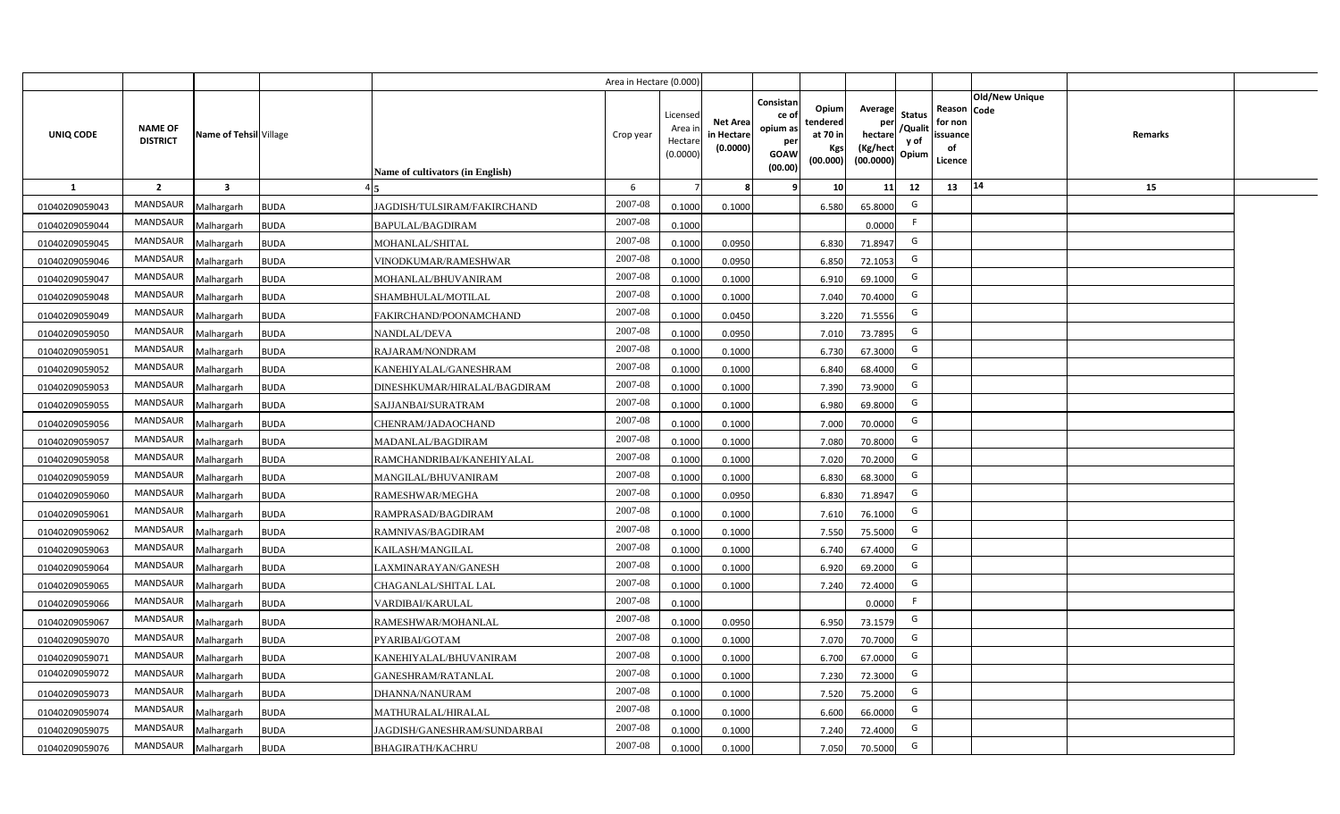|                |                                   |                         |             |                                  | Area in Hectare (0.000) |                                           |                                           |                                                                                                                     |                                                    |                                           |                                                     |                       |         |  |
|----------------|-----------------------------------|-------------------------|-------------|----------------------------------|-------------------------|-------------------------------------------|-------------------------------------------|---------------------------------------------------------------------------------------------------------------------|----------------------------------------------------|-------------------------------------------|-----------------------------------------------------|-----------------------|---------|--|
| UNIQ CODE      | <b>NAME OF</b><br><b>DISTRICT</b> | Name of Tehsil Village  |             | Name of cultivators (in English) | Crop year               | Licensed<br>Area i<br>Hectare<br>(0.0000) | <b>Net Area</b><br>in Hectare<br>(0.0000) | Consistan<br>Opium<br>ce of<br>tendered<br>opium as<br>at 70 in<br>per<br>Kgs<br><b>GOAW</b><br>(00.000)<br>(00.00) | Average<br>per<br>hectare<br>(Kg/hect<br>(00.0000) | <b>Status</b><br>/Qualit<br>y of<br>Opium | Reason Code<br>for non<br>issuance<br>of<br>Licence | <b>Old/New Unique</b> | Remarks |  |
| $\mathbf{1}$   | $\overline{2}$                    | $\overline{\mathbf{3}}$ |             |                                  | 6                       |                                           | 8                                         | -9<br>10 <sup>1</sup>                                                                                               | 11                                                 | 12                                        | 13                                                  | 14                    | 15      |  |
| 01040209059043 | MANDSAUR                          | Malhargarh              | <b>BUDA</b> | JAGDISH/TULSIRAM/FAKIRCHAND      | 2007-08                 | 0.1000                                    | 0.1000                                    | 6.580                                                                                                               | 65.8000                                            | G                                         |                                                     |                       |         |  |
| 01040209059044 | MANDSAUR                          | Malhargarh              | <b>BUDA</b> | <b>BAPULAL/BAGDIRAM</b>          | 2007-08                 | 0.1000                                    |                                           |                                                                                                                     | 0.0000                                             | F.                                        |                                                     |                       |         |  |
| 01040209059045 | MANDSAUR                          | Malhargarh              | <b>BUDA</b> | MOHANLAL/SHITAL                  | 2007-08                 | 0.1000                                    | 0.0950                                    | 6.830                                                                                                               | 71.8947                                            | G                                         |                                                     |                       |         |  |
| 01040209059046 | <b>MANDSAUR</b>                   | Malhargarh              | <b>BUDA</b> | VINODKUMAR/RAMESHWAR             | 2007-08                 | 0.1000                                    | 0.0950                                    | 6.850                                                                                                               | 72.1053                                            | G                                         |                                                     |                       |         |  |
| 01040209059047 | MANDSAUR                          | Malhargarh              | <b>BUDA</b> | MOHANLAL/BHUVANIRAM              | 2007-08                 | 0.1000                                    | 0.1000                                    | 6.910                                                                                                               | 69.1000                                            | G                                         |                                                     |                       |         |  |
| 01040209059048 | MANDSAUR                          | Malhargarh              | <b>BUDA</b> | SHAMBHULAL/MOTILAL               | 2007-08                 | 0.1000                                    | 0.1000                                    | 7.040                                                                                                               | 70.4000                                            | G                                         |                                                     |                       |         |  |
| 01040209059049 | MANDSAUR                          | Malhargarh              | <b>BUDA</b> | FAKIRCHAND/POONAMCHAND           | 2007-08                 | 0.1000                                    | 0.0450                                    | 3.220                                                                                                               | 71.5556                                            | G                                         |                                                     |                       |         |  |
| 01040209059050 | MANDSAUR                          | Malhargarh              | <b>BUDA</b> | NANDLAL/DEVA                     | 2007-08                 | 0.1000                                    | 0.0950                                    | 7.010                                                                                                               | 73.7895                                            | G                                         |                                                     |                       |         |  |
| 01040209059051 | <b>MANDSAUR</b>                   | Malhargarh              | <b>BUDA</b> | RAJARAM/NONDRAM                  | 2007-08                 | 0.1000                                    | 0.1000                                    | 6.730                                                                                                               | 67.3000                                            | G                                         |                                                     |                       |         |  |
| 01040209059052 | <b>MANDSAUR</b>                   | Malhargarh              | <b>BUDA</b> | KANEHIYALAL/GANESHRAM            | 2007-08                 | 0.1000                                    | 0.1000                                    | 6.840                                                                                                               | 68.4000                                            | G                                         |                                                     |                       |         |  |
| 01040209059053 | MANDSAUR                          | Malhargarh              | <b>BUDA</b> | DINESHKUMAR/HIRALAL/BAGDIRAM     | 2007-08                 | 0.1000                                    | 0.1000                                    | 7.390                                                                                                               | 73.9000                                            | G                                         |                                                     |                       |         |  |
| 01040209059055 | <b>MANDSAUR</b>                   | Malhargarh              | <b>BUDA</b> | SAJJANBAI/SURATRAM               | 2007-08                 | 0.1000                                    | 0.1000                                    | 6.980                                                                                                               | 69.8000                                            | G                                         |                                                     |                       |         |  |
| 01040209059056 | <b>MANDSAUR</b>                   | Malhargarh              | <b>BUDA</b> | CHENRAM/JADAOCHAND               | 2007-08                 | 0.1000                                    | 0.1000                                    | 7.000                                                                                                               | 70.0000                                            | G                                         |                                                     |                       |         |  |
| 01040209059057 | <b>MANDSAUR</b>                   | Malhargarh              | <b>BUDA</b> | MADANLAL/BAGDIRAM                | 2007-08                 | 0.1000                                    | 0.1000                                    | 7.080                                                                                                               | 70.8000                                            | G                                         |                                                     |                       |         |  |
| 01040209059058 | <b>MANDSAUR</b>                   | Malhargarh              | <b>BUDA</b> | RAMCHANDRIBAI/KANEHIYALAL        | 2007-08                 | 0.1000                                    | 0.1000                                    | 7.020                                                                                                               | 70.2000                                            | G                                         |                                                     |                       |         |  |
| 01040209059059 | <b>MANDSAUR</b>                   | Malhargarh              | <b>BUDA</b> | MANGILAL/BHUVANIRAM              | 2007-08                 | 0.1000                                    | 0.1000                                    | 6.830                                                                                                               | 68.3000                                            | G                                         |                                                     |                       |         |  |
| 01040209059060 | <b>MANDSAUR</b>                   | Malhargarh              | <b>BUDA</b> | RAMESHWAR/MEGHA                  | 2007-08                 | 0.1000                                    | 0.0950                                    | 6.830                                                                                                               | 71.8947                                            | G                                         |                                                     |                       |         |  |
| 01040209059061 | <b>MANDSAUR</b>                   | Malhargarh              | <b>BUDA</b> | RAMPRASAD/BAGDIRAM               | 2007-08                 | 0.1000                                    | 0.1000                                    | 7.610                                                                                                               | 76.1000                                            | G                                         |                                                     |                       |         |  |
| 01040209059062 | <b>MANDSAUR</b>                   | Malhargarh              | <b>BUDA</b> | RAMNIVAS/BAGDIRAM                | 2007-08                 | 0.1000                                    | 0.1000                                    | 7.550                                                                                                               | 75.5000                                            | G                                         |                                                     |                       |         |  |
| 01040209059063 | <b>MANDSAUR</b>                   | Malhargarh              | <b>BUDA</b> | KAILASH/MANGILAL                 | 2007-08                 | 0.1000                                    | 0.1000                                    | 6.740                                                                                                               | 67.4000                                            | G                                         |                                                     |                       |         |  |
| 01040209059064 | <b>MANDSAUR</b>                   | Malhargarh              | <b>BUDA</b> | LAXMINARAYAN/GANESH              | 2007-08                 | 0.1000                                    | 0.1000                                    | 6.920                                                                                                               | 69.2000                                            | G                                         |                                                     |                       |         |  |
| 01040209059065 | <b>MANDSAUR</b>                   | Malhargarh              | <b>BUDA</b> | CHAGANLAL/SHITAL LAL             | 2007-08                 | 0.1000                                    | 0.1000                                    | 7.240                                                                                                               | 72.4000                                            | G                                         |                                                     |                       |         |  |
| 01040209059066 | <b>MANDSAUR</b>                   | Malhargarh              | <b>BUDA</b> | VARDIBAI/KARULAL                 | 2007-08                 | 0.1000                                    |                                           |                                                                                                                     | 0.0000                                             | F                                         |                                                     |                       |         |  |
| 01040209059067 | MANDSAUR                          | Malhargarh              | <b>BUDA</b> | RAMESHWAR/MOHANLAL               | 2007-08                 | 0.1000                                    | 0.0950                                    | 6.950                                                                                                               | 73.1579                                            | G                                         |                                                     |                       |         |  |
| 01040209059070 | MANDSAUR                          | Malhargarh              | <b>BUDA</b> | PYARIBAI/GOTAM                   | 2007-08                 | 0.1000                                    | 0.1000                                    | 7.070                                                                                                               | 70.7000                                            | G                                         |                                                     |                       |         |  |
| 01040209059071 | MANDSAUR                          | Malhargarh              | <b>BUDA</b> | KANEHIYALAL/BHUVANIRAM           | 2007-08                 | 0.1000                                    | 0.1000                                    | 6.700                                                                                                               | 67.0000                                            | G                                         |                                                     |                       |         |  |
| 01040209059072 | MANDSAUR                          | Malhargarh              | <b>BUDA</b> | GANESHRAM/RATANLAL               | 2007-08                 | 0.1000                                    | 0.1000                                    | 7.230                                                                                                               | 72.3000                                            | G                                         |                                                     |                       |         |  |
| 01040209059073 | MANDSAUR                          | Malhargarh              | <b>BUDA</b> | DHANNA/NANURAM                   | 2007-08                 | 0.1000                                    | 0.1000                                    | 7.520                                                                                                               | 75.2000                                            | G                                         |                                                     |                       |         |  |
| 01040209059074 | MANDSAUR                          | Malhargarh              | <b>BUDA</b> | MATHURALAL/HIRALAL               | 2007-08                 | 0.1000                                    | 0.1000                                    | 6.600                                                                                                               | 66.0000                                            | G                                         |                                                     |                       |         |  |
| 01040209059075 | MANDSAUR                          | Malhargarh              | <b>BUDA</b> | JAGDISH/GANESHRAM/SUNDARBAI      | 2007-08                 | 0.1000                                    | 0.1000                                    | 7.240                                                                                                               | 72.4000                                            | G                                         |                                                     |                       |         |  |
| 01040209059076 | MANDSAUR                          | Malhargarh              | <b>BUDA</b> | <b>BHAGIRATH/KACHRU</b>          | 2007-08                 | 0.1000                                    | 0.1000                                    | 7.050                                                                                                               | 70.5000                                            | G                                         |                                                     |                       |         |  |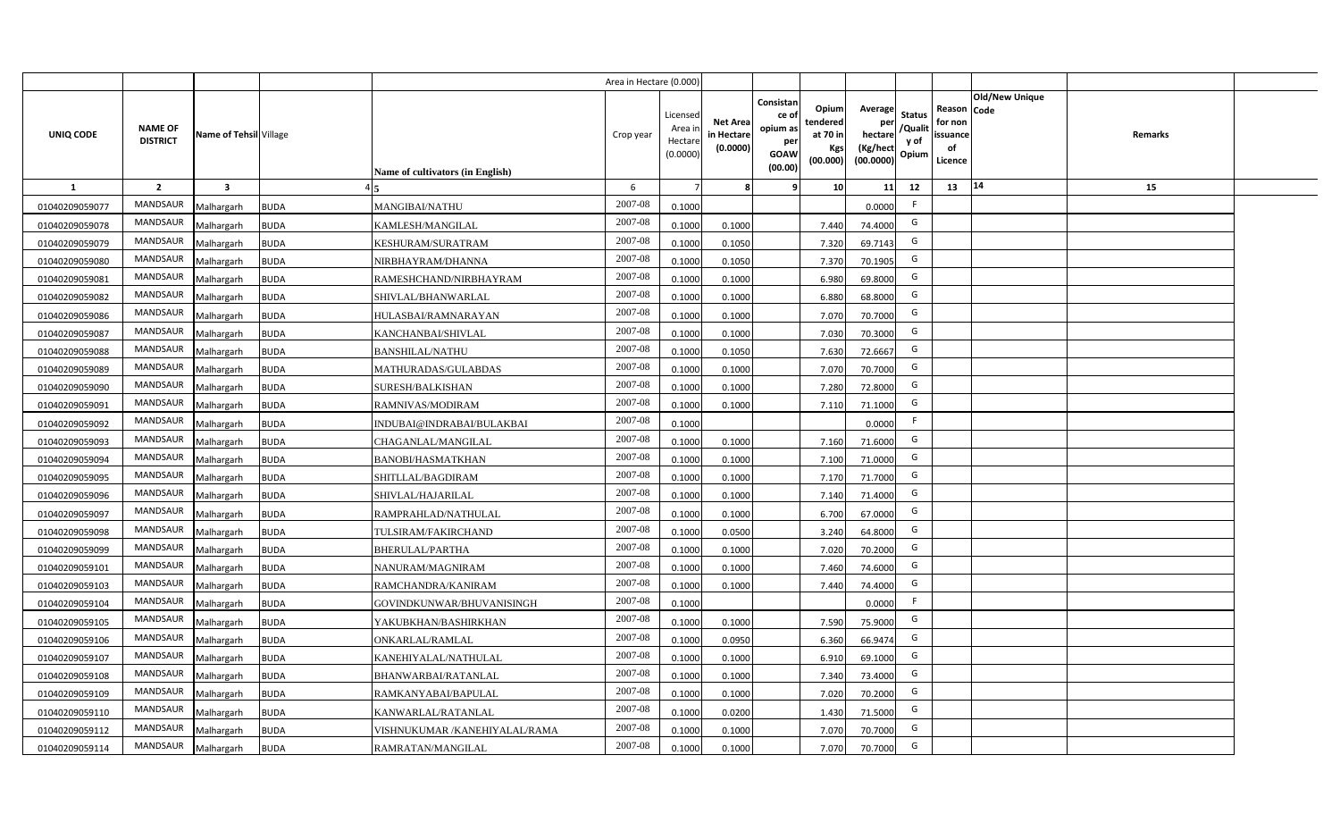|                |                                   |                         |             |                                  | Area in Hectare (0.000) |                                          |                                           |                                                                |                                                  |                                                    |                                           |                                                                       |         |  |
|----------------|-----------------------------------|-------------------------|-------------|----------------------------------|-------------------------|------------------------------------------|-------------------------------------------|----------------------------------------------------------------|--------------------------------------------------|----------------------------------------------------|-------------------------------------------|-----------------------------------------------------------------------|---------|--|
| UNIQ CODE      | <b>NAME OF</b><br><b>DISTRICT</b> | Name of Tehsil Village  |             | Name of cultivators (in English) | Crop year               | Licensec<br>Area i<br>Hectar<br>(0.0000) | <b>Net Area</b><br>in Hectare<br>(0.0000) | Consistan<br>ce o<br>opium as<br>per<br><b>GOAW</b><br>(00.00) | Opium<br>tendered<br>at 70 in<br>Kgs<br>(00.000) | Average<br>per<br>hectare<br>(Kg/hect<br>(00.0000) | <b>Status</b><br>/Qualit<br>y of<br>Opium | Old/New Unique<br>Reason Code<br>for non<br>issuance<br>of<br>Licence | Remarks |  |
| <b>1</b>       | $\overline{2}$                    | $\overline{\mathbf{3}}$ |             |                                  | 6                       |                                          |                                           |                                                                | 10                                               | 11                                                 | 12                                        | 14<br>13                                                              | 15      |  |
| 01040209059077 | MANDSAUR                          | Malhargarh              | <b>BUDA</b> | MANGIBAI/NATHU                   | 2007-08                 | 0.1000                                   |                                           |                                                                |                                                  | 0.0000                                             | F.                                        |                                                                       |         |  |
| 01040209059078 | MANDSAUR                          | Malhargarh              | <b>BUDA</b> | KAMLESH/MANGILAL                 | 2007-08                 | 0.1000                                   | 0.1000                                    |                                                                | 7.440                                            | 74.4000                                            | G                                         |                                                                       |         |  |
| 01040209059079 | <b>MANDSAUR</b>                   | Malhargarh              | <b>BUDA</b> | KESHURAM/SURATRAM                | 2007-08                 | 0.1000                                   | 0.1050                                    |                                                                | 7.320                                            | 69.7143                                            | G                                         |                                                                       |         |  |
| 01040209059080 | MANDSAUR                          | Malhargarh              | <b>BUDA</b> | NIRBHAYRAM/DHANNA                | 2007-08                 | 0.100                                    | 0.1050                                    |                                                                | 7.370                                            | 70.1905                                            | G                                         |                                                                       |         |  |
| 01040209059081 | MANDSAUR                          | Malhargarh              | <b>BUDA</b> | RAMESHCHAND/NIRBHAYRAM           | 2007-08                 | 0.1000                                   | 0.1000                                    |                                                                | 6.980                                            | 69.8000                                            | G                                         |                                                                       |         |  |
| 01040209059082 | MANDSAUR                          | Malhargarh              | <b>BUDA</b> | SHIVLAL/BHANWARLAL               | 2007-08                 | 0.100                                    | 0.1000                                    |                                                                | 6.880                                            | 68.8000                                            | G                                         |                                                                       |         |  |
| 01040209059086 | MANDSAUR                          | Malhargarh              | <b>BUDA</b> | HULASBAI/RAMNARAYAN              | 2007-08                 | 0.1000                                   | 0.1000                                    |                                                                | 7.070                                            | 70.7000                                            | G                                         |                                                                       |         |  |
| 01040209059087 | MANDSAUR                          | Malhargarh              | <b>BUDA</b> | KANCHANBAI/SHIVLAL               | 2007-08                 | 0.1000                                   | 0.1000                                    |                                                                | 7.030                                            | 70.3000                                            | G                                         |                                                                       |         |  |
| 01040209059088 | <b>MANDSAUR</b>                   | Malhargarh              | <b>BUDA</b> | <b>BANSHILAL/NATHU</b>           | 2007-08                 | 0.1000                                   | 0.1050                                    |                                                                | 7.630                                            | 72.6667                                            | G                                         |                                                                       |         |  |
| 01040209059089 | <b>MANDSAUR</b>                   | Malhargarh              | <b>BUDA</b> | MATHURADAS/GULABDAS              | 2007-08                 | 0.1000                                   | 0.1000                                    |                                                                | 7.070                                            | 70.7000                                            | G                                         |                                                                       |         |  |
| 01040209059090 | MANDSAUR                          | Malhargarh              | <b>BUDA</b> | <b>SURESH/BALKISHAN</b>          | 2007-08                 | 0.1000                                   | 0.1000                                    |                                                                | 7.280                                            | 72.8000                                            | G                                         |                                                                       |         |  |
| 01040209059091 | MANDSAUR                          | Malhargarh              | <b>BUDA</b> | RAMNIVAS/MODIRAM                 | 2007-08                 | 0.1000                                   | 0.1000                                    |                                                                | 7.110                                            | 71.1000                                            | G                                         |                                                                       |         |  |
| 01040209059092 | MANDSAUR                          | Malhargarh              | <b>BUDA</b> | NDUBAI@INDRABAI/BULAKBAI         | $2007 - 08$             | 0.1000                                   |                                           |                                                                |                                                  | 0.0000                                             | -F                                        |                                                                       |         |  |
| 01040209059093 | MANDSAUR                          | Malhargarh              | <b>BUDA</b> | CHAGANLAL/MANGILAL               | 2007-08                 | 0.1000                                   | 0.1000                                    |                                                                | 7.160                                            | 71.6000                                            | G                                         |                                                                       |         |  |
| 01040209059094 | MANDSAUR                          | Malhargarh              | <b>BUDA</b> | <b>BANOBI/HASMATKHAN</b>         | 2007-08                 | 0.1000                                   | 0.1000                                    |                                                                | 7.100                                            | 71.0000                                            | G                                         |                                                                       |         |  |
| 01040209059095 | MANDSAUR                          | Malhargarh              | <b>BUDA</b> | SHITLLAL/BAGDIRAM                | 2007-08                 | 0.1000                                   | 0.1000                                    |                                                                | 7.170                                            | 71.7000                                            | G                                         |                                                                       |         |  |
| 01040209059096 | MANDSAUR                          | Malhargarh              | <b>BUDA</b> | SHIVLAL/HAJARILAL                | 2007-08                 | 0.1000                                   | 0.1000                                    |                                                                | 7.140                                            | 71.4000                                            | G                                         |                                                                       |         |  |
| 01040209059097 | MANDSAUR                          | Malhargarh              | <b>BUDA</b> | RAMPRAHLAD/NATHULAL              | 2007-08                 | 0.100                                    | 0.1000                                    |                                                                | 6.700                                            | 67.0000                                            | G                                         |                                                                       |         |  |
| 01040209059098 | MANDSAUR                          | Malhargarh              | <b>BUDA</b> | TULSIRAM/FAKIRCHAND              | 2007-08                 | 0.100                                    | 0.0500                                    |                                                                | 3.240                                            | 64.8000                                            | G                                         |                                                                       |         |  |
| 01040209059099 | MANDSAUR                          | Malhargarh              | <b>BUDA</b> | BHERULAL/PARTHA                  | 2007-08                 | 0.1000                                   | 0.1000                                    |                                                                | 7.020                                            | 70.2000                                            | G                                         |                                                                       |         |  |
| 01040209059101 | MANDSAUR                          | Malhargarh              | <b>BUDA</b> | NANURAM/MAGNIRAM                 | 2007-08                 | 0.1000                                   | 0.1000                                    |                                                                | 7.460                                            | 74.6000                                            | G                                         |                                                                       |         |  |
| 01040209059103 | <b>MANDSAUR</b>                   | Malhargarh              | <b>BUDA</b> | RAMCHANDRA/KANIRAM               | 2007-08                 | 0.100                                    | 0.1000                                    |                                                                | 7.440                                            | 74.4000                                            | G                                         |                                                                       |         |  |
| 01040209059104 | MANDSAUR                          | Malhargarh              | <b>BUDA</b> | GOVINDKUNWAR/BHUVANISINGH        | 2007-08                 | 0.1000                                   |                                           |                                                                |                                                  | 0.0000                                             | E                                         |                                                                       |         |  |
| 01040209059105 | <b>MANDSAUR</b>                   | Malhargarh              | <b>BUDA</b> | YAKUBKHAN/BASHIRKHAN             | 2007-08                 | 0.1000                                   | 0.1000                                    |                                                                | 7.590                                            | 75.9000                                            | G                                         |                                                                       |         |  |
| 01040209059106 | MANDSAUR                          | Malhargarh              | <b>BUDA</b> | <b>ONKARLAL/RAMLAL</b>           | 2007-08                 | 0.1000                                   | 0.0950                                    |                                                                | 6.360                                            | 66.9474                                            | G                                         |                                                                       |         |  |
| 01040209059107 | MANDSAUR                          | Malhargarh              | <b>BUDA</b> | KANEHIYALAL/NATHULAL             | 2007-08                 | 0.1000                                   | 0.1000                                    |                                                                | 6.910                                            | 69.1000                                            | G                                         |                                                                       |         |  |
| 01040209059108 | MANDSAUR                          | Malhargarh              | <b>BUDA</b> | BHANWARBAI/RATANLAL              | 2007-08                 | 0.1000                                   | 0.1000                                    |                                                                | 7.340                                            | 73.4000                                            | G                                         |                                                                       |         |  |
| 01040209059109 | MANDSAUR                          | Malhargarh              | <b>BUDA</b> | RAMKANYABAI/BAPULAL              | 2007-08                 | 0.1000                                   | 0.1000                                    |                                                                | 7.020                                            | 70.2000                                            | G                                         |                                                                       |         |  |
| 01040209059110 | MANDSAUR                          | Malhargarh              | <b>BUDA</b> | KANWARLAL/RATANLAL               | 2007-08                 | 0.1000                                   | 0.0200                                    |                                                                | 1.430                                            | 71.5000                                            | G                                         |                                                                       |         |  |
| 01040209059112 | MANDSAUR                          | Malhargarh              | <b>BUDA</b> | VISHNUKUMAR /KANEHIYALAL/RAMA    | 2007-08                 | 0.1000                                   | 0.1000                                    |                                                                | 7.070                                            | 70.7000                                            | G                                         |                                                                       |         |  |
| 01040209059114 | MANDSAUR                          | Malhargarh              | <b>BUDA</b> | RAMRATAN/MANGILAL                | 2007-08                 | 0.1000                                   | 0.1000                                    |                                                                | 7.070                                            | 70.7000                                            | G                                         |                                                                       |         |  |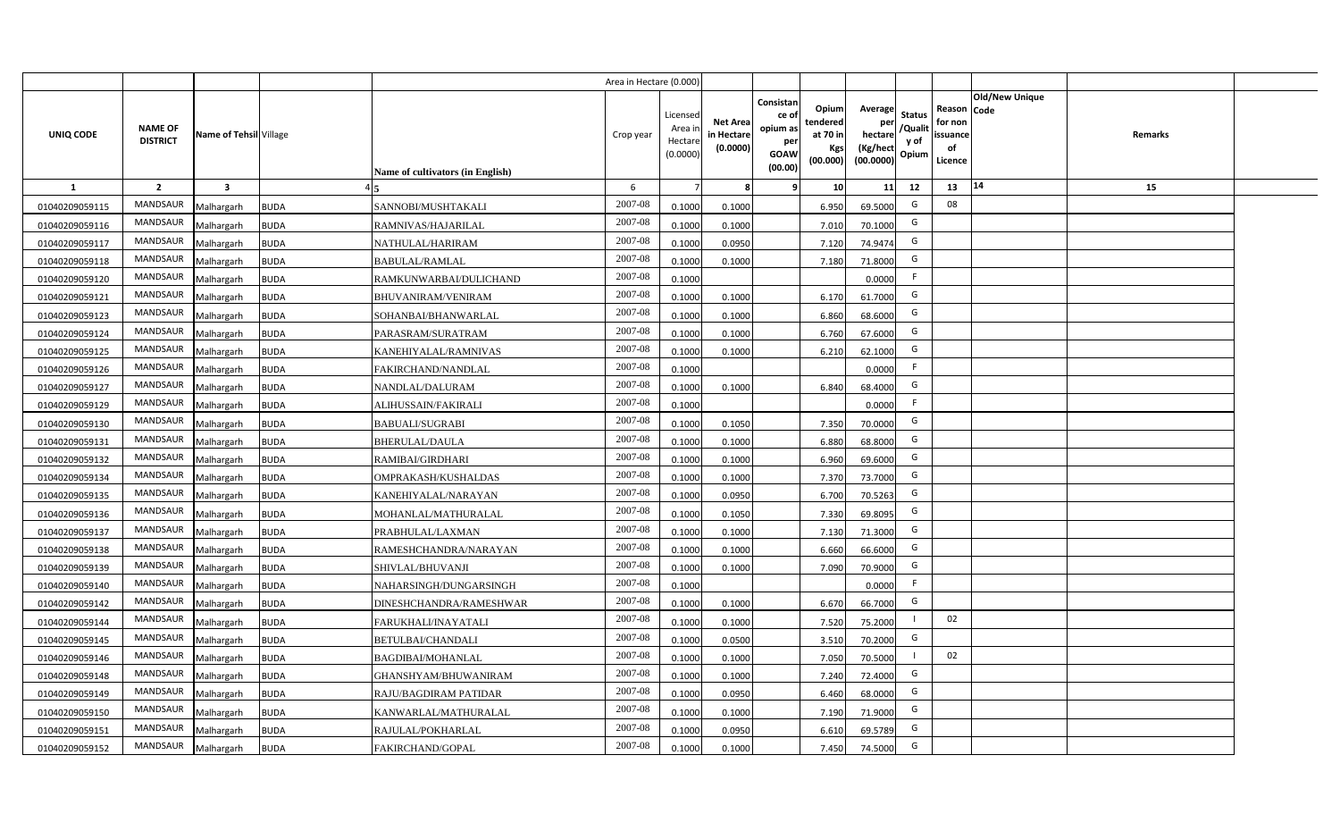|                |                                   |                         |             |                                  | Area in Hectare (0.000) |                                          |                                           |                                                          |                                                  |                                                    |                                           |                                                     |                |                |  |
|----------------|-----------------------------------|-------------------------|-------------|----------------------------------|-------------------------|------------------------------------------|-------------------------------------------|----------------------------------------------------------|--------------------------------------------------|----------------------------------------------------|-------------------------------------------|-----------------------------------------------------|----------------|----------------|--|
| UNIQ CODE      | <b>NAME OF</b><br><b>DISTRICT</b> | Name of Tehsil Village  |             | Name of cultivators (in English) | Crop year               | Licensec<br>Area i<br>Hectar<br>(0.0000) | <b>Net Area</b><br>in Hectare<br>(0.0000) | Consistan<br>ce of<br>opium as<br>per<br>GOAW<br>(00.00) | Opium<br>tendered<br>at 70 in<br>Kgs<br>(00.000) | Average<br>per<br>hectare<br>(Kg/hect<br>(00.0000) | <b>Status</b><br>/Qualit<br>y of<br>Opium | Reason Code<br>for non<br>issuance<br>of<br>Licence | Old/New Unique | <b>Remarks</b> |  |
| 1              | $\overline{2}$                    | $\overline{\mathbf{3}}$ |             |                                  | 6                       |                                          |                                           | ٠q                                                       | 10                                               | 11                                                 | 12                                        | 13                                                  | 14             | 15             |  |
| 01040209059115 | MANDSAUR                          | Malhargarh              | <b>BUDA</b> | SANNOBI/MUSHTAKALI               | 2007-08                 | 0.1000                                   | 0.1000                                    |                                                          | 6.950                                            | 69.5000                                            | G                                         | 08                                                  |                |                |  |
| 01040209059116 | MANDSAUR                          | Malhargarh              | <b>BUDA</b> | RAMNIVAS/HAJARILAL               | 2007-08                 | 0.1000                                   | 0.1000                                    |                                                          | 7.010                                            | 70.1000                                            | G                                         |                                                     |                |                |  |
| 01040209059117 | MANDSAUR                          | Malhargarh              | <b>BUDA</b> | NATHULAL/HARIRAM                 | 2007-08                 | 0.1000                                   | 0.0950                                    |                                                          | 7.120                                            | 74.9474                                            | G                                         |                                                     |                |                |  |
| 01040209059118 | MANDSAUR                          | Malhargarh              | <b>BUDA</b> | <b>BABULAL/RAMLAL</b>            | 2007-08                 | 0.100                                    | 0.1000                                    |                                                          | 7.180                                            | 71.8000                                            | G                                         |                                                     |                |                |  |
| 01040209059120 | MANDSAUR                          | Malhargarh              | <b>BUDA</b> | RAMKUNWARBAI/DULICHAND           | 2007-08                 | 0.1000                                   |                                           |                                                          |                                                  | 0.0000                                             | -F                                        |                                                     |                |                |  |
| 01040209059121 | MANDSAUR                          | Malhargarh              | <b>BUDA</b> | <b>BHUVANIRAM/VENIRAM</b>        | 2007-08                 | 0.1000                                   | 0.1000                                    |                                                          | 6.170                                            | 61.7000                                            | G                                         |                                                     |                |                |  |
| 01040209059123 | MANDSAUR                          | Malhargarh              | <b>BUDA</b> | SOHANBAI/BHANWARLAL              | 2007-08                 | 0.1000                                   | 0.1000                                    |                                                          | 6.860                                            | 68.6000                                            | G                                         |                                                     |                |                |  |
| 01040209059124 | <b>MANDSAUR</b>                   | Malhargarh              | <b>BUDA</b> | PARASRAM/SURATRAM                | 2007-08                 | 0.100                                    | 0.1000                                    |                                                          | 6.760                                            | 67.6000                                            | G                                         |                                                     |                |                |  |
| 01040209059125 | MANDSAUR                          | Malhargarh              | <b>BUDA</b> | KANEHIYALAL/RAMNIVAS             | 2007-08                 | 0.100                                    | 0.1000                                    |                                                          | 6.210                                            | 62.1000                                            | G                                         |                                                     |                |                |  |
| 01040209059126 | MANDSAUR                          | Malhargarh              | <b>BUDA</b> | FAKIRCHAND/NANDLAL               | 2007-08                 | 0.1000                                   |                                           |                                                          |                                                  | 0.0000                                             | F.                                        |                                                     |                |                |  |
| 01040209059127 | <b>MANDSAUR</b>                   | Malhargarh              | <b>BUDA</b> | NANDLAL/DALURAM                  | 2007-08                 | 0.1000                                   | 0.1000                                    |                                                          | 6.840                                            | 68.4000                                            | G                                         |                                                     |                |                |  |
| 01040209059129 | <b>MANDSAUR</b>                   | Malhargarh              | <b>BUDA</b> | ALIHUSSAIN/FAKIRALI              | 2007-08                 | 0.1000                                   |                                           |                                                          |                                                  | 0.0000                                             | F.                                        |                                                     |                |                |  |
| 01040209059130 | <b>MANDSAUR</b>                   | Malhargarh              | <b>BUDA</b> | <b>BABUALI/SUGRABI</b>           | 2007-08                 | 0.1000                                   | 0.1050                                    |                                                          | 7.350                                            | 70.0000                                            | G                                         |                                                     |                |                |  |
| 01040209059131 | <b>MANDSAUR</b>                   | Malhargarh              | <b>BUDA</b> | <b>BHERULAL/DAULA</b>            | 2007-08                 | 0.1000                                   | 0.1000                                    |                                                          | 6.880                                            | 68.8000                                            | G                                         |                                                     |                |                |  |
| 01040209059132 | MANDSAUR                          | Malhargarh              | <b>BUDA</b> | RAMIBAI/GIRDHARI                 | 2007-08                 | 0.1000                                   | 0.1000                                    |                                                          | 6.960                                            | 69.6000                                            | G                                         |                                                     |                |                |  |
| 01040209059134 | <b>MANDSAUR</b>                   | Malhargarh              | <b>BUDA</b> | OMPRAKASH/KUSHALDAS              | 2007-08                 | 0.1000                                   | 0.1000                                    |                                                          | 7.370                                            | 73.7000                                            | G                                         |                                                     |                |                |  |
| 01040209059135 | <b>MANDSAUR</b>                   | Malhargarh              | <b>BUDA</b> | KANEHIYALAL/NARAYAN              | 2007-08                 | 0.1000                                   | 0.0950                                    |                                                          | 6.700                                            | 70.5263                                            | G                                         |                                                     |                |                |  |
| 01040209059136 | <b>MANDSAUR</b>                   | Malhargarh              | <b>BUDA</b> | MOHANLAL/MATHURALAL              | 2007-08                 | 0.1000                                   | 0.1050                                    |                                                          | 7.330                                            | 69.8095                                            | G                                         |                                                     |                |                |  |
| 01040209059137 | <b>MANDSAUR</b>                   | Malhargarh              | <b>BUDA</b> | PRABHULAL/LAXMAN                 | 2007-08                 | 0.100                                    | 0.1000                                    |                                                          | 7.130                                            | 71.3000                                            | G                                         |                                                     |                |                |  |
| 01040209059138 | <b>MANDSAUR</b>                   | Malhargarh              | <b>BUDA</b> | RAMESHCHANDRA/NARAYAN            | 2007-08                 | 0.1000                                   | 0.1000                                    |                                                          | 6.660                                            | 66.6000                                            | G                                         |                                                     |                |                |  |
| 01040209059139 | MANDSAUR                          | Malhargarh              | <b>BUDA</b> | SHIVLAL/BHUVANJI                 | 2007-08                 | 0.100                                    | 0.1000                                    |                                                          | 7.090                                            | 70.9000                                            | G                                         |                                                     |                |                |  |
| 01040209059140 | MANDSAUR                          | Malhargarh              | <b>BUDA</b> | NAHARSINGH/DUNGARSINGH           | $2007 - 08$             | 0.1000                                   |                                           |                                                          |                                                  | 0.0000                                             | -F                                        |                                                     |                |                |  |
| 01040209059142 | <b>MANDSAUR</b>                   | Malhargarh              | <b>BUDA</b> | DINESHCHANDRA/RAMESHWAR          | 2007-08                 | 0.1000                                   | 0.1000                                    |                                                          | 6.670                                            | 66.7000                                            | G                                         |                                                     |                |                |  |
| 01040209059144 | <b>MANDSAUR</b>                   | Malhargarh              | <b>BUDA</b> | FARUKHALI/INAYATALI              | 2007-08                 | 0.1000                                   | 0.1000                                    |                                                          | 7.520                                            | 75.2000                                            |                                           | 02                                                  |                |                |  |
| 01040209059145 | <b>MANDSAUR</b>                   | Malhargarh              | <b>BUDA</b> | <b>BETULBAI/CHANDALI</b>         | 2007-08                 | 0.100                                    | 0.0500                                    |                                                          | 3.510                                            | 70.2000                                            | G                                         |                                                     |                |                |  |
| 01040209059146 | MANDSAUR                          | Malhargarh              | <b>BUDA</b> | <b>BAGDIBAI/MOHANLAL</b>         | 2007-08                 | 0.1000                                   | 0.1000                                    |                                                          | 7.050                                            | 70.5000                                            |                                           | 02                                                  |                |                |  |
| 01040209059148 | MANDSAUR                          | Malhargarh              | <b>BUDA</b> | GHANSHYAM/BHUWANIRAM             | 2007-08                 | 0.1000                                   | 0.1000                                    |                                                          | 7.240                                            | 72.4000                                            | G                                         |                                                     |                |                |  |
| 01040209059149 | MANDSAUR                          | Malhargarh              | <b>BUDA</b> | RAJU/BAGDIRAM PATIDAR            | 2007-08                 | 0.1000                                   | 0.0950                                    |                                                          | 6.460                                            | 68.0000                                            | G                                         |                                                     |                |                |  |
| 01040209059150 | MANDSAUR                          | Malhargarh              | <b>BUDA</b> | KANWARLAL/MATHURALAL             | 2007-08                 | 0.1000                                   | 0.1000                                    |                                                          | 7.190                                            | 71.9000                                            | G                                         |                                                     |                |                |  |
| 01040209059151 | MANDSAUR                          | Malhargarh              | <b>BUDA</b> | RAJULAL/POKHARLAL                | 2007-08                 | 0.1000                                   | 0.0950                                    |                                                          | 6.610                                            | 69.5789                                            | G                                         |                                                     |                |                |  |
| 01040209059152 | MANDSAUR                          | Malhargarh              | <b>BUDA</b> | FAKIRCHAND/GOPAL                 | 2007-08                 | 0.1000                                   | 0.1000                                    |                                                          | 7.450                                            | 74.5000                                            | G                                         |                                                     |                |                |  |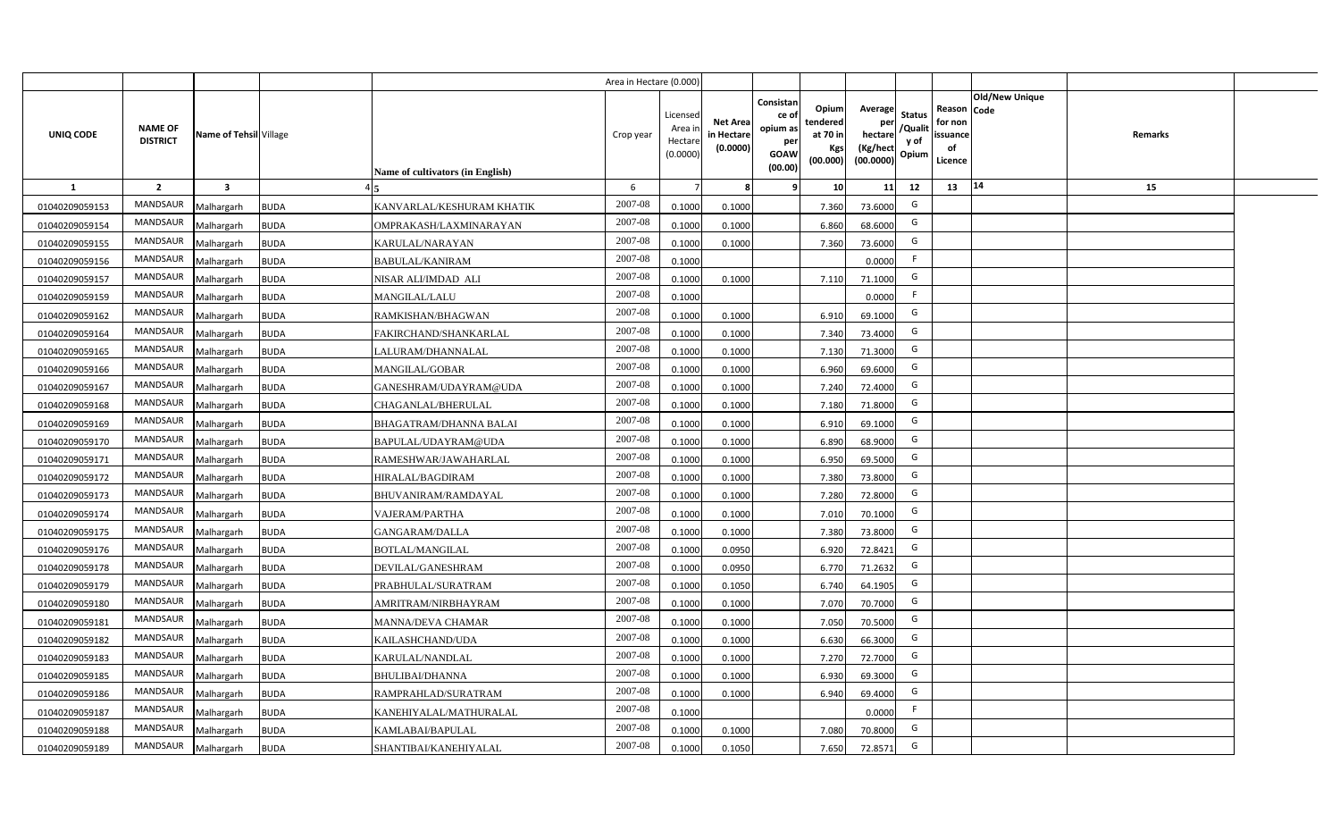|                |                                   |                         |             |                                  | Area in Hectare (0.000) |                                          |                                           |                                                          |                                                  |                                                    |                                           |                                                     |                |                |  |
|----------------|-----------------------------------|-------------------------|-------------|----------------------------------|-------------------------|------------------------------------------|-------------------------------------------|----------------------------------------------------------|--------------------------------------------------|----------------------------------------------------|-------------------------------------------|-----------------------------------------------------|----------------|----------------|--|
| UNIQ CODE      | <b>NAME OF</b><br><b>DISTRICT</b> | Name of Tehsil Village  |             | Name of cultivators (in English) | Crop year               | Licensec<br>Area i<br>Hectar<br>(0.0000) | <b>Net Area</b><br>in Hectare<br>(0.0000) | Consistan<br>ce of<br>opium as<br>per<br>GOAW<br>(00.00) | Opium<br>tendered<br>at 70 in<br>Kgs<br>(00.000) | Average<br>per<br>hectare<br>(Kg/hect<br>(00.0000) | <b>Status</b><br>/Qualit<br>y of<br>Opium | Reason Code<br>for non<br>issuance<br>of<br>Licence | Old/New Unique | <b>Remarks</b> |  |
| 1              | $\overline{2}$                    | $\overline{\mathbf{3}}$ |             |                                  | 6                       |                                          |                                           | ٠q                                                       | 10                                               | 11                                                 | 12                                        | 13                                                  | $14$           | 15             |  |
| 01040209059153 | MANDSAUR                          | Malhargarh              | <b>BUDA</b> | KANVARLAL/KESHURAM KHATIK        | 2007-08                 | 0.1000                                   | 0.1000                                    |                                                          | 7.360                                            | 73.6000                                            | G                                         |                                                     |                |                |  |
| 01040209059154 | MANDSAUR                          | Malhargarh              | <b>BUDA</b> | OMPRAKASH/LAXMINARAYAN           | 2007-08                 | 0.1000                                   | 0.1000                                    |                                                          | 6.860                                            | 68.6000                                            | G                                         |                                                     |                |                |  |
| 01040209059155 | MANDSAUR                          | Malhargarh              | <b>BUDA</b> | KARULAL/NARAYAN                  | 2007-08                 | 0.100                                    | 0.1000                                    |                                                          | 7.360                                            | 73.6000                                            | G                                         |                                                     |                |                |  |
| 01040209059156 | MANDSAUR                          | Malhargarh              | <b>BUDA</b> | <b>BABULAL/KANIRAM</b>           | 2007-08                 | 0.100                                    |                                           |                                                          |                                                  | 0.0000                                             | -F                                        |                                                     |                |                |  |
| 01040209059157 | MANDSAUR                          | Malhargarh              | <b>BUDA</b> | NISAR ALI/IMDAD ALI              | 2007-08                 | 0.1000                                   | 0.1000                                    |                                                          | 7.110                                            | 71.1000                                            | G                                         |                                                     |                |                |  |
| 01040209059159 | MANDSAUR                          | Malhargarh              | <b>BUDA</b> | <b>MANGILAL/LALU</b>             | 2007-08                 | 0.1000                                   |                                           |                                                          |                                                  | 0.0000                                             | -F                                        |                                                     |                |                |  |
| 01040209059162 | MANDSAUR                          | Malhargarh              | <b>BUDA</b> | RAMKISHAN/BHAGWAN                | 2007-08                 | 0.1000                                   | 0.1000                                    |                                                          | 6.910                                            | 69.1000                                            | G                                         |                                                     |                |                |  |
| 01040209059164 | <b>MANDSAUR</b>                   | Malhargarh              | <b>BUDA</b> | FAKIRCHAND/SHANKARLAL            | 2007-08                 | 0.1000                                   | 0.1000                                    |                                                          | 7.340                                            | 73.4000                                            | G                                         |                                                     |                |                |  |
| 01040209059165 | MANDSAUR                          | Malhargarh              | <b>BUDA</b> | LALURAM/DHANNALAL                | 2007-08                 | 0.100                                    | 0.1000                                    |                                                          | 7.130                                            | 71.3000                                            | G                                         |                                                     |                |                |  |
| 01040209059166 | MANDSAUR                          | Malhargarh              | <b>BUDA</b> | MANGILAL/GOBAR                   | 2007-08                 | 0.1000                                   | 0.1000                                    |                                                          | 6.960                                            | 69.6000                                            | G                                         |                                                     |                |                |  |
| 01040209059167 | <b>MANDSAUR</b>                   | Malhargarh              | <b>BUDA</b> | GANESHRAM/UDAYRAM@UDA            | 2007-08                 | 0.1000                                   | 0.1000                                    |                                                          | 7.240                                            | 72.4000                                            | G                                         |                                                     |                |                |  |
| 01040209059168 | <b>MANDSAUR</b>                   | Malhargarh              | <b>BUDA</b> | CHAGANLAL/BHERULAL               | 2007-08                 | 0.1000                                   | 0.1000                                    |                                                          | 7.180                                            | 71.8000                                            | G                                         |                                                     |                |                |  |
| 01040209059169 | <b>MANDSAUR</b>                   | Malhargarh              | <b>BUDA</b> | BHAGATRAM/DHANNA BALAI           | 2007-08                 | 0.1000                                   | 0.1000                                    |                                                          | 6.910                                            | 69.1000                                            | G                                         |                                                     |                |                |  |
| 01040209059170 | <b>MANDSAUR</b>                   | Malhargarh              | <b>BUDA</b> | BAPULAL/UDAYRAM@UDA              | 2007-08                 | 0.1000                                   | 0.1000                                    |                                                          | 6.890                                            | 68.9000                                            | G                                         |                                                     |                |                |  |
| 01040209059171 | MANDSAUR                          | Malhargarh              | <b>BUDA</b> | RAMESHWAR/JAWAHARLAL             | 2007-08                 | 0.1000                                   | 0.1000                                    |                                                          | 6.950                                            | 69.5000                                            | G                                         |                                                     |                |                |  |
| 01040209059172 | <b>MANDSAUR</b>                   | Malhargarh              | <b>BUDA</b> | HIRALAL/BAGDIRAM                 | 2007-08                 | 0.1000                                   | 0.1000                                    |                                                          | 7.380                                            | 73.8000                                            | G                                         |                                                     |                |                |  |
| 01040209059173 | <b>MANDSAUR</b>                   | Malhargarh              | <b>BUDA</b> | <b>BHUVANIRAM/RAMDAYAL</b>       | 2007-08                 | 0.1000                                   | 0.1000                                    |                                                          | 7.280                                            | 72.8000                                            | G                                         |                                                     |                |                |  |
| 01040209059174 | <b>MANDSAUR</b>                   | Malhargarh              | <b>BUDA</b> | <b>VAJERAM/PARTHA</b>            | 2007-08                 | 0.1000                                   | 0.1000                                    |                                                          | 7.010                                            | 70.1000                                            | G                                         |                                                     |                |                |  |
| 01040209059175 | MANDSAUR                          | Malhargarh              | <b>BUDA</b> | <b>GANGARAM/DALLA</b>            | 2007-08                 | 0.100                                    | 0.1000                                    |                                                          | 7.380                                            | 73.8000                                            | G                                         |                                                     |                |                |  |
| 01040209059176 | <b>MANDSAUR</b>                   | Malhargarh              | <b>BUDA</b> | <b>BOTLAL/MANGILAL</b>           | 2007-08                 | 0.1000                                   | 0.0950                                    |                                                          | 6.920                                            | 72.8421                                            | G                                         |                                                     |                |                |  |
| 01040209059178 | MANDSAUR                          | Malhargarh              | <b>BUDA</b> | DEVILAL/GANESHRAM                | 2007-08                 | 0.1000                                   | 0.0950                                    |                                                          | 6.770                                            | 71.2632                                            | G                                         |                                                     |                |                |  |
| 01040209059179 | MANDSAUR                          | Malhargarh              | <b>BUDA</b> | PRABHULAL/SURATRAM               | 2007-08                 | 0.1000                                   | 0.1050                                    |                                                          | 6.740                                            | 64.1905                                            | G                                         |                                                     |                |                |  |
| 01040209059180 | <b>MANDSAUR</b>                   | Malhargarh              | <b>BUDA</b> | AMRITRAM/NIRBHAYRAM              | 2007-08                 | 0.100                                    | 0.1000                                    |                                                          | 7.070                                            | 70.7000                                            | G                                         |                                                     |                |                |  |
| 01040209059181 | <b>MANDSAUR</b>                   | Malhargarh              | <b>BUDA</b> | <b>MANNA/DEVA CHAMAR</b>         | 2007-08                 | 0.1000                                   | 0.1000                                    |                                                          | 7.050                                            | 70.5000                                            | G                                         |                                                     |                |                |  |
| 01040209059182 | <b>MANDSAUR</b>                   | Malhargarh              | <b>BUDA</b> | KAILASHCHAND/UDA                 | 2007-08                 | 0.100                                    | 0.1000                                    |                                                          | 6.630                                            | 66.3000                                            | G                                         |                                                     |                |                |  |
| 01040209059183 | MANDSAUR                          | Malhargarh              | <b>BUDA</b> | KARULAL/NANDLAL                  | 2007-08                 | 0.1000                                   | 0.1000                                    |                                                          | 7.270                                            | 72.7000                                            | G                                         |                                                     |                |                |  |
| 01040209059185 | MANDSAUR                          | Malhargarh              | <b>BUDA</b> | <b>BHULIBAI/DHANNA</b>           | 2007-08                 | 0.1000                                   | 0.1000                                    |                                                          | 6.930                                            | 69.3000                                            | G                                         |                                                     |                |                |  |
| 01040209059186 | MANDSAUR                          | Malhargarh              | <b>BUDA</b> | RAMPRAHLAD/SURATRAM              | 2007-08                 | 0.1000                                   | 0.1000                                    |                                                          | 6.940                                            | 69.4000                                            | G                                         |                                                     |                |                |  |
| 01040209059187 | MANDSAUR                          | Malhargarh              | <b>BUDA</b> | KANEHIYALAL/MATHURALAL           | 2007-08                 | 0.1000                                   |                                           |                                                          |                                                  | 0.0000                                             | $\mathsf{F}$                              |                                                     |                |                |  |
| 01040209059188 | MANDSAUR                          | Malhargarh              | <b>BUDA</b> | KAMLABAI/BAPULAL                 | 2007-08                 | 0.1000                                   | 0.1000                                    |                                                          | 7.080                                            | 70.8000                                            | G                                         |                                                     |                |                |  |
| 01040209059189 | MANDSAUR                          | Malhargarh              | <b>BUDA</b> | SHANTIBAI/KANEHIYALAL            | 2007-08                 | 0.1000                                   | 0.1050                                    |                                                          | 7.650                                            | 72.8571                                            | G                                         |                                                     |                |                |  |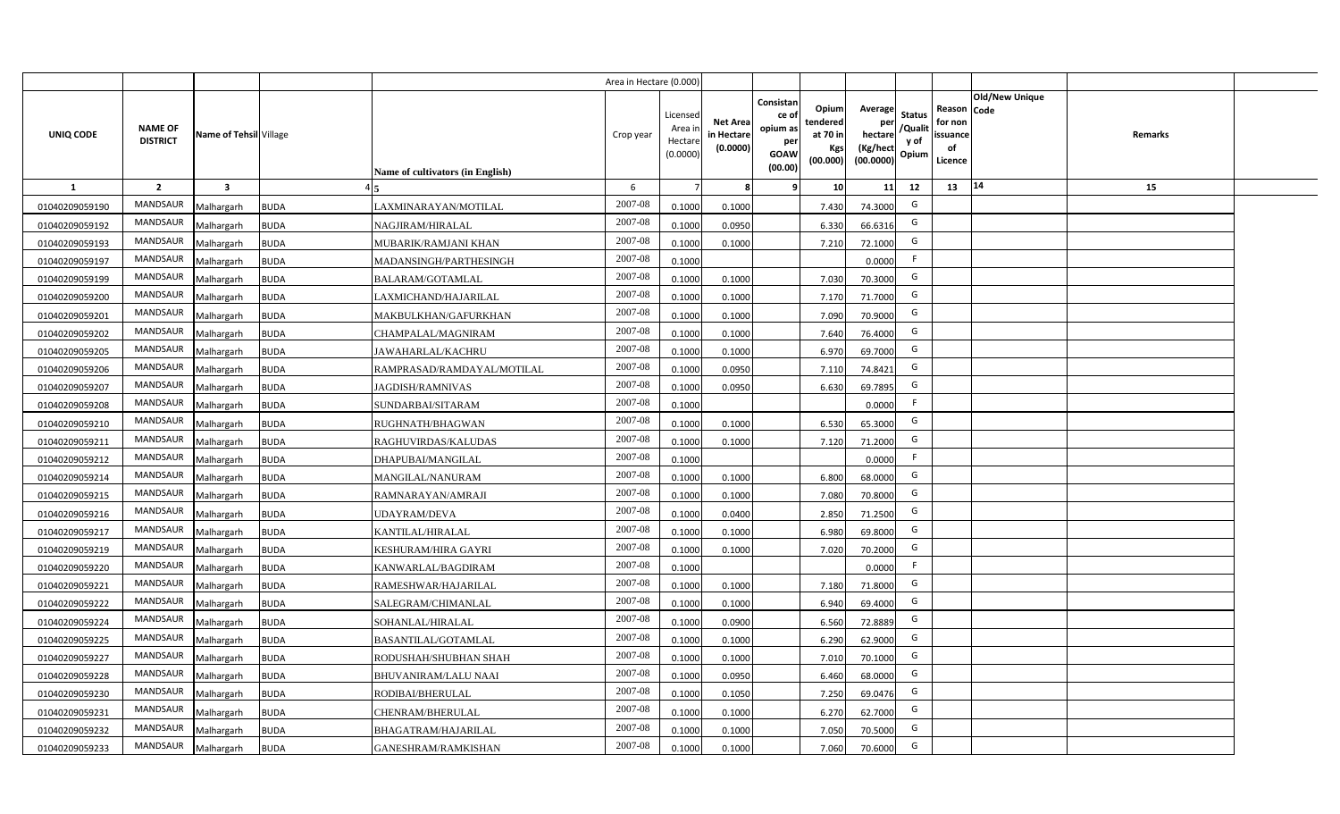|                |                                   |                         |             |                                  | Area in Hectare (0.000) |                                          |                                           |                                                          |                                                  |                                                    |                                           |                                                     |                       |                |  |
|----------------|-----------------------------------|-------------------------|-------------|----------------------------------|-------------------------|------------------------------------------|-------------------------------------------|----------------------------------------------------------|--------------------------------------------------|----------------------------------------------------|-------------------------------------------|-----------------------------------------------------|-----------------------|----------------|--|
| UNIQ CODE      | <b>NAME OF</b><br><b>DISTRICT</b> | Name of Tehsil Village  |             | Name of cultivators (in English) | Crop year               | Licensec<br>Area i<br>Hectar<br>(0.0000) | <b>Net Area</b><br>in Hectare<br>(0.0000) | Consistan<br>ce of<br>opium as<br>per<br>GOAW<br>(00.00) | Opium<br>tendered<br>at 70 in<br>Kgs<br>(00.000) | Average<br>per<br>hectare<br>(Kg/hect<br>(00.0000) | <b>Status</b><br>/Qualit<br>y of<br>Opium | Reason Code<br>for non<br>issuance<br>of<br>Licence | <b>Old/New Unique</b> | <b>Remarks</b> |  |
| 1              | $\overline{2}$                    | $\overline{\mathbf{3}}$ |             |                                  | 6                       |                                          |                                           | ٠q                                                       | 10                                               | 11                                                 | 12                                        | 13                                                  | 14                    | 15             |  |
| 01040209059190 | MANDSAUR                          | Malhargarh              | <b>BUDA</b> | LAXMINARAYAN/MOTILAL             | 2007-08                 | 0.1000                                   | 0.1000                                    |                                                          | 7.430                                            | 74.3000                                            | G                                         |                                                     |                       |                |  |
| 01040209059192 | MANDSAUR                          | Malhargarh              | <b>BUDA</b> | NAGJIRAM/HIRALAL                 | 2007-08                 | 0.1000                                   | 0.0950                                    |                                                          | 6.330                                            | 66.6316                                            | G                                         |                                                     |                       |                |  |
| 01040209059193 | MANDSAUR                          | Malhargarh              | <b>BUDA</b> | MUBARIK/RAMJANI KHAN             | 2007-08                 | 0.100                                    | 0.1000                                    |                                                          | 7.210                                            | 72.1000                                            | G                                         |                                                     |                       |                |  |
| 01040209059197 | MANDSAUR                          | Malhargarh              | <b>BUDA</b> | MADANSINGH/PARTHESINGH           | 2007-08                 | 0.100                                    |                                           |                                                          |                                                  | 0.0000                                             | -F                                        |                                                     |                       |                |  |
| 01040209059199 | MANDSAUR                          | Malhargarh              | <b>BUDA</b> | <b>BALARAM/GOTAMLAL</b>          | 2007-08                 | 0.1000                                   | 0.1000                                    |                                                          | 7.030                                            | 70.3000                                            | G                                         |                                                     |                       |                |  |
| 01040209059200 | MANDSAUR                          | Malhargarh              | <b>BUDA</b> | LAXMICHAND/HAJARILAL             | 2007-08                 | 0.100                                    | 0.1000                                    |                                                          | 7.170                                            | 71.7000                                            | G                                         |                                                     |                       |                |  |
| 01040209059201 | MANDSAUR                          | Malhargarh              | <b>BUDA</b> | MAKBULKHAN/GAFURKHAN             | 2007-08                 | 0.100                                    | 0.1000                                    |                                                          | 7.090                                            | 70.9000                                            | G                                         |                                                     |                       |                |  |
| 01040209059202 | <b>MANDSAUR</b>                   | Malhargarh              | <b>BUDA</b> | CHAMPALAL/MAGNIRAM               | 2007-08                 | 0.1000                                   | 0.1000                                    |                                                          | 7.640                                            | 76.4000                                            | G                                         |                                                     |                       |                |  |
| 01040209059205 | <b>MANDSAUR</b>                   | Malhargarh              | <b>BUDA</b> | JAWAHARLAL/KACHRU                | 2007-08                 | 0.100                                    | 0.1000                                    |                                                          | 6.970                                            | 69.7000                                            | G                                         |                                                     |                       |                |  |
| 01040209059206 | MANDSAUR                          | Malhargarh              | <b>BUDA</b> | RAMPRASAD/RAMDAYAL/MOTILAL       | 2007-08                 | 0.1000                                   | 0.0950                                    |                                                          | 7.110                                            | 74.8421                                            | G                                         |                                                     |                       |                |  |
| 01040209059207 | <b>MANDSAUR</b>                   | Malhargarh              | <b>BUDA</b> | <b>JAGDISH/RAMNIVAS</b>          | 2007-08                 | 0.1000                                   | 0.0950                                    |                                                          | 6.630                                            | 69.7895                                            | G                                         |                                                     |                       |                |  |
| 01040209059208 | MANDSAUR                          | Malhargarh              | <b>BUDA</b> | SUNDARBAI/SITARAM                | 2007-08                 | 0.1000                                   |                                           |                                                          |                                                  | 0.0000                                             | -F                                        |                                                     |                       |                |  |
| 01040209059210 | <b>MANDSAUR</b>                   | Malhargarh              | <b>BUDA</b> | RUGHNATH/BHAGWAN                 | $2007 - 08$             | 0.1000                                   | 0.1000                                    |                                                          | 6.530                                            | 65.3000                                            | G                                         |                                                     |                       |                |  |
| 01040209059211 | MANDSAUR                          | Malhargarh              | <b>BUDA</b> | RAGHUVIRDAS/KALUDAS              | 2007-08                 | 0.1000                                   | 0.1000                                    |                                                          | 7.120                                            | 71.2000                                            | G                                         |                                                     |                       |                |  |
| 01040209059212 | MANDSAUR                          | Malhargarh              | <b>BUDA</b> | DHAPUBAI/MANGILAL                | 2007-08                 | 0.1000                                   |                                           |                                                          |                                                  | 0.0000                                             | E                                         |                                                     |                       |                |  |
| 01040209059214 | <b>MANDSAUR</b>                   | Malhargarh              | <b>BUDA</b> | MANGILAL/NANURAM                 | 2007-08                 | 0.1000                                   | 0.1000                                    |                                                          | 6.800                                            | 68.0000                                            | G                                         |                                                     |                       |                |  |
| 01040209059215 | MANDSAUR                          | Malhargarh              | <b>BUDA</b> | RAMNARAYAN/AMRAJI                | 2007-08                 | 0.1000                                   | 0.1000                                    |                                                          | 7.080                                            | 70.8000                                            | G                                         |                                                     |                       |                |  |
| 01040209059216 | <b>MANDSAUR</b>                   | Malhargarh              | <b>BUDA</b> | UDAYRAM/DEVA                     | 2007-08                 | 0.1000                                   | 0.0400                                    |                                                          | 2.850                                            | 71.2500                                            | G                                         |                                                     |                       |                |  |
| 01040209059217 | MANDSAUR                          | Malhargarh              | <b>BUDA</b> | KANTILAL/HIRALAL                 | 2007-08                 | 0.100                                    | 0.1000                                    |                                                          | 6.980                                            | 69.8000                                            | G                                         |                                                     |                       |                |  |
| 01040209059219 | <b>MANDSAUR</b>                   | Malhargarh              | <b>BUDA</b> | KESHURAM/HIRA GAYRI              | 2007-08                 | 0.1000                                   | 0.1000                                    |                                                          | 7.020                                            | 70.2000                                            | G                                         |                                                     |                       |                |  |
| 01040209059220 | MANDSAUR                          | Malhargarh              | <b>BUDA</b> | KANWARLAL/BAGDIRAM               | 2007-08                 | 0.1000                                   |                                           |                                                          |                                                  | 0.0000                                             | F.                                        |                                                     |                       |                |  |
| 01040209059221 | MANDSAUR                          | Malhargarh              | <b>BUDA</b> | RAMESHWAR/HAJARILAL              | $2007 - 08$             | 0.1000                                   | 0.1000                                    |                                                          | 7.180                                            | 71.8000                                            | G                                         |                                                     |                       |                |  |
| 01040209059222 | <b>MANDSAUR</b>                   | Malhargarh              | <b>BUDA</b> | SALEGRAM/CHIMANLAL               | 2007-08                 | 0.100                                    | 0.1000                                    |                                                          | 6.940                                            | 69.4000                                            | G                                         |                                                     |                       |                |  |
| 01040209059224 | <b>MANDSAUR</b>                   | Malhargarh              | <b>BUDA</b> | SOHANLAL/HIRALAL                 | $2007 - 08$             | 0.1000                                   | 0.0900                                    |                                                          | 6.560                                            | 72.8889                                            | G                                         |                                                     |                       |                |  |
| 01040209059225 | <b>MANDSAUR</b>                   | Malhargarh              | <b>BUDA</b> | <b>BASANTILAL/GOTAMLAL</b>       | 2007-08                 | 0.100                                    | 0.1000                                    |                                                          | 6.290                                            | 62.9000                                            | G                                         |                                                     |                       |                |  |
| 01040209059227 | MANDSAUR                          | Malhargarh              | <b>BUDA</b> | RODUSHAH/SHUBHAN SHAH            | 2007-08                 | 0.1000                                   | 0.1000                                    |                                                          | 7.010                                            | 70.1000                                            | G                                         |                                                     |                       |                |  |
| 01040209059228 | MANDSAUR                          | Malhargarh              | <b>BUDA</b> | <b>BHUVANIRAM/LALU NAAI</b>      | 2007-08                 | 0.1000                                   | 0.0950                                    |                                                          | 6.460                                            | 68.0000                                            | G                                         |                                                     |                       |                |  |
| 01040209059230 | MANDSAUR                          | Malhargarh              | <b>BUDA</b> | RODIBAI/BHERULAL                 | 2007-08                 | 0.1000                                   | 0.1050                                    |                                                          | 7.250                                            | 69.0476                                            | G                                         |                                                     |                       |                |  |
| 01040209059231 | MANDSAUR                          | Malhargarh              | <b>BUDA</b> | CHENRAM/BHERULAL                 | 2007-08                 | 0.1000                                   | 0.1000                                    |                                                          | 6.270                                            | 62.7000                                            | G                                         |                                                     |                       |                |  |
| 01040209059232 | MANDSAUR                          | Malhargarh              | <b>BUDA</b> | BHAGATRAM/HAJARILAL              | 2007-08                 | 0.1000                                   | 0.1000                                    |                                                          | 7.050                                            | 70.5000                                            | G                                         |                                                     |                       |                |  |
| 01040209059233 | MANDSAUR                          | Malhargarh              | <b>BUDA</b> | <b>GANESHRAM/RAMKISHAN</b>       | 2007-08                 | 0.1000                                   | 0.1000                                    |                                                          | 7.060                                            | 70.6000                                            | G                                         |                                                     |                       |                |  |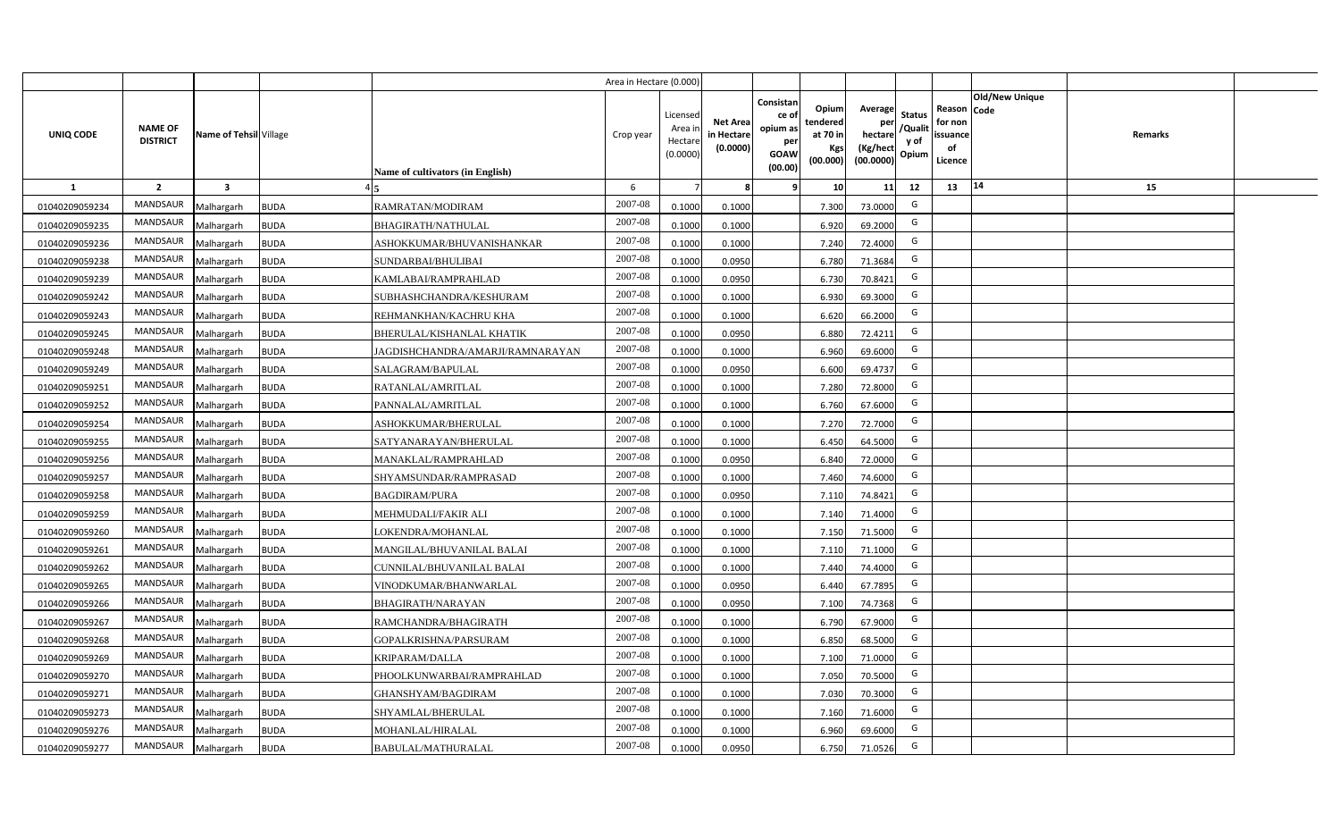|                |                                   |                         |             |                                  | Area in Hectare (0.000) |                                          |                                           |                                                          |                                                  |                                                    |                                           |                                                     |                       |                |  |
|----------------|-----------------------------------|-------------------------|-------------|----------------------------------|-------------------------|------------------------------------------|-------------------------------------------|----------------------------------------------------------|--------------------------------------------------|----------------------------------------------------|-------------------------------------------|-----------------------------------------------------|-----------------------|----------------|--|
| UNIQ CODE      | <b>NAME OF</b><br><b>DISTRICT</b> | Name of Tehsil Village  |             | Name of cultivators (in English) | Crop year               | Licensec<br>Area i<br>Hectar<br>(0.0000) | <b>Net Area</b><br>in Hectare<br>(0.0000) | Consistan<br>ce of<br>opium as<br>per<br>GOAW<br>(00.00) | Opium<br>tendered<br>at 70 in<br>Kgs<br>(00.000) | Average<br>per<br>hectare<br>(Kg/hect<br>(00.0000) | <b>Status</b><br>/Qualit<br>y of<br>Opium | Reason Code<br>for non<br>issuance<br>of<br>Licence | <b>Old/New Unique</b> | <b>Remarks</b> |  |
| 1              | $\overline{2}$                    | $\overline{\mathbf{3}}$ |             |                                  | 6                       |                                          |                                           | ٠q                                                       | 10                                               | 11                                                 | 12                                        | 13                                                  | 14                    | 15             |  |
| 01040209059234 | MANDSAUR                          | Malhargarh              | <b>BUDA</b> | RAMRATAN/MODIRAM                 | 2007-08                 | 0.1000                                   | 0.1000                                    |                                                          | 7.300                                            | 73.0000                                            | G                                         |                                                     |                       |                |  |
| 01040209059235 | MANDSAUR                          | Malhargarh              | <b>BUDA</b> | <b>BHAGIRATH/NATHULAL</b>        | 2007-08                 | 0.1000                                   | 0.1000                                    |                                                          | 6.920                                            | 69.2000                                            | G                                         |                                                     |                       |                |  |
| 01040209059236 | MANDSAUR                          | Malhargarh              | <b>BUDA</b> | ASHOKKUMAR/BHUVANISHANKAR        | 2007-08                 | 0.1000                                   | 0.1000                                    |                                                          | 7.240                                            | 72.4000                                            | G                                         |                                                     |                       |                |  |
| 01040209059238 | MANDSAUR                          | Malhargarh              | <b>BUDA</b> | SUNDARBAI/BHULIBAI               | 2007-08                 | 0.100                                    | 0.0950                                    |                                                          | 6.780                                            | 71.3684                                            | G                                         |                                                     |                       |                |  |
| 01040209059239 | MANDSAUR                          | Malhargarh              | <b>BUDA</b> | KAMLABAI/RAMPRAHLAD              | 2007-08                 | 0.1000                                   | 0.0950                                    |                                                          | 6.730                                            | 70.8421                                            | G                                         |                                                     |                       |                |  |
| 01040209059242 | MANDSAUR                          | Malhargarh              | <b>BUDA</b> | SUBHASHCHANDRA/KESHURAM          | 2007-08                 | 0.100                                    | 0.1000                                    |                                                          | 6.930                                            | 69.3000                                            | G                                         |                                                     |                       |                |  |
| 01040209059243 | MANDSAUR                          | Malhargarh              | <b>BUDA</b> | REHMANKHAN/KACHRU KHA            | 2007-08                 | 0.1000                                   | 0.1000                                    |                                                          | 6.620                                            | 66.2000                                            | G                                         |                                                     |                       |                |  |
| 01040209059245 | <b>MANDSAUR</b>                   | Malhargarh              | <b>BUDA</b> | <b>BHERULAL/KISHANLAL KHATIK</b> | 2007-08                 | 0.1000                                   | 0.0950                                    |                                                          | 6.880                                            | 72.4211                                            | G                                         |                                                     |                       |                |  |
| 01040209059248 | <b>MANDSAUR</b>                   | Malhargarh              | <b>BUDA</b> | JAGDISHCHANDRA/AMARJI/RAMNARAYAN | 2007-08                 | 0.100                                    | 0.1000                                    |                                                          | 6.960                                            | 69.6000                                            | G                                         |                                                     |                       |                |  |
| 01040209059249 | MANDSAUR                          | Malhargarh              | <b>BUDA</b> | SALAGRAM/BAPULAL                 | 2007-08                 | 0.1000                                   | 0.0950                                    |                                                          | 6.600                                            | 69.4737                                            | G                                         |                                                     |                       |                |  |
| 01040209059251 | <b>MANDSAUR</b>                   | Malhargarh              | <b>BUDA</b> | RATANLAL/AMRITLAL                | 2007-08                 | 0.1000                                   | 0.1000                                    |                                                          | 7.280                                            | 72.8000                                            | G                                         |                                                     |                       |                |  |
| 01040209059252 | <b>MANDSAUR</b>                   | Malhargarh              | <b>BUDA</b> | PANNALAL/AMRITLAL                | 2007-08                 | 0.1000                                   | 0.1000                                    |                                                          | 6.760                                            | 67.6000                                            | G                                         |                                                     |                       |                |  |
| 01040209059254 | <b>MANDSAUR</b>                   | Malhargarh              | <b>BUDA</b> | ASHOKKUMAR/BHERULAL              | 2007-08                 | 0.1000                                   | 0.1000                                    |                                                          | 7.270                                            | 72.7000                                            | G                                         |                                                     |                       |                |  |
| 01040209059255 | <b>MANDSAUR</b>                   | Malhargarh              | <b>BUDA</b> | SATYANARAYAN/BHERULAL            | 2007-08                 | 0.1000                                   | 0.1000                                    |                                                          | 6.450                                            | 64.5000                                            | G                                         |                                                     |                       |                |  |
| 01040209059256 | MANDSAUR                          | Malhargarh              | <b>BUDA</b> | MANAKLAL/RAMPRAHLAD              | 2007-08                 | 0.1000                                   | 0.0950                                    |                                                          | 6.840                                            | 72.0000                                            | G                                         |                                                     |                       |                |  |
| 01040209059257 | <b>MANDSAUR</b>                   | Malhargarh              | <b>BUDA</b> | SHYAMSUNDAR/RAMPRASAD            | 2007-08                 | 0.1000                                   | 0.1000                                    |                                                          | 7.460                                            | 74.6000                                            | G                                         |                                                     |                       |                |  |
| 01040209059258 | <b>MANDSAUR</b>                   | Malhargarh              | <b>BUDA</b> | <b>BAGDIRAM/PURA</b>             | 2007-08                 | 0.1000                                   | 0.0950                                    |                                                          | 7.110                                            | 74.8421                                            | G                                         |                                                     |                       |                |  |
| 01040209059259 | <b>MANDSAUR</b>                   | Malhargarh              | <b>BUDA</b> | <b>MEHMUDALI/FAKIR ALI</b>       | 2007-08                 | 0.1000                                   | 0.1000                                    |                                                          | 7.140                                            | 71.4000                                            | G                                         |                                                     |                       |                |  |
| 01040209059260 | <b>MANDSAUR</b>                   | Malhargarh              | <b>BUDA</b> | LOKENDRA/MOHANLAL                | 2007-08                 | 0.100                                    | 0.1000                                    |                                                          | 7.150                                            | 71.5000                                            | G                                         |                                                     |                       |                |  |
| 01040209059261 | <b>MANDSAUR</b>                   | Malhargarh              | <b>BUDA</b> | MANGILAL/BHUVANILAL BALAI        | 2007-08                 | 0.1000                                   | 0.1000                                    |                                                          | 7.110                                            | 71.1000                                            | G                                         |                                                     |                       |                |  |
| 01040209059262 | MANDSAUR                          | Malhargarh              | <b>BUDA</b> | CUNNILAL/BHUVANILAL BALAI        | 2007-08                 | 0.1000                                   | 0.1000                                    |                                                          | 7.440                                            | 74.4000                                            | G                                         |                                                     |                       |                |  |
| 01040209059265 | MANDSAUR                          | Malhargarh              | <b>BUDA</b> | VINODKUMAR/BHANWARLAL            | 2007-08                 | 0.1000                                   | 0.0950                                    |                                                          | 6.440                                            | 67.7895                                            | G                                         |                                                     |                       |                |  |
| 01040209059266 | <b>MANDSAUR</b>                   | Malhargarh              | <b>BUDA</b> | <b>BHAGIRATH/NARAYAN</b>         | 2007-08                 | 0.100                                    | 0.0950                                    |                                                          | 7.100                                            | 74.7368                                            | G                                         |                                                     |                       |                |  |
| 01040209059267 | <b>MANDSAUR</b>                   | Malhargarh              | <b>BUDA</b> | RAMCHANDRA/BHAGIRATH             | 2007-08                 | 0.1000                                   | 0.1000                                    |                                                          | 6.790                                            | 67.9000                                            | G                                         |                                                     |                       |                |  |
| 01040209059268 | <b>MANDSAUR</b>                   | Malhargarh              | <b>BUDA</b> | GOPALKRISHNA/PARSURAM            | 2007-08                 | 0.100                                    | 0.1000                                    |                                                          | 6.850                                            | 68.5000                                            | G                                         |                                                     |                       |                |  |
| 01040209059269 | MANDSAUR                          | Malhargarh              | <b>BUDA</b> | <b>KRIPARAM/DALLA</b>            | 2007-08                 | 0.1000                                   | 0.1000                                    |                                                          | 7.100                                            | 71.0000                                            | G                                         |                                                     |                       |                |  |
| 01040209059270 | MANDSAUR                          | Malhargarh              | <b>BUDA</b> | PHOOLKUNWARBAI/RAMPRAHLAD        | 2007-08                 | 0.1000                                   | 0.1000                                    |                                                          | 7.050                                            | 70.5000                                            | G                                         |                                                     |                       |                |  |
| 01040209059271 | MANDSAUR                          | Malhargarh              | <b>BUDA</b> | GHANSHYAM/BAGDIRAM               | 2007-08                 | 0.1000                                   | 0.1000                                    |                                                          | 7.030                                            | 70.3000                                            | G                                         |                                                     |                       |                |  |
| 01040209059273 | MANDSAUR                          | Malhargarh              | <b>BUDA</b> | SHYAMLAL/BHERULAL                | 2007-08                 | 0.1000                                   | 0.1000                                    |                                                          | 7.160                                            | 71.6000                                            | G                                         |                                                     |                       |                |  |
| 01040209059276 | MANDSAUR                          | Malhargarh              | <b>BUDA</b> | MOHANLAL/HIRALAL                 | 2007-08                 | 0.1000                                   | 0.1000                                    |                                                          | 6.960                                            | 69.6000                                            | G                                         |                                                     |                       |                |  |
| 01040209059277 | MANDSAUR                          | Malhargarh              | <b>BUDA</b> | <b>BABULAL/MATHURALAL</b>        | 2007-08                 | 0.1000                                   | 0.0950                                    |                                                          | 6.750                                            | 71.0526                                            | G                                         |                                                     |                       |                |  |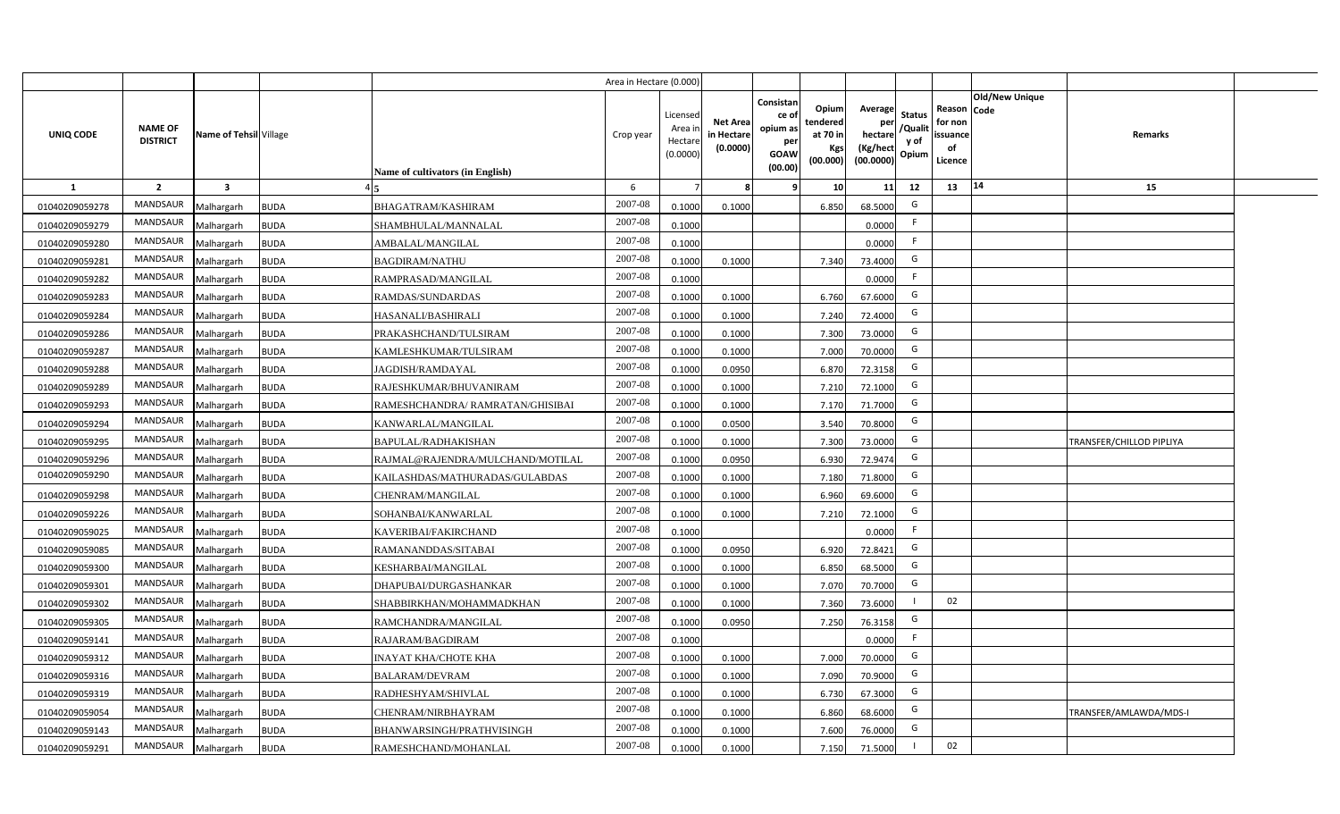|                |                                   |                         |             |                                  | Area in Hectare (0.000) |                                          |                                           |                                                                |                                                  |                                                    |                                           |                                                                              |                          |  |
|----------------|-----------------------------------|-------------------------|-------------|----------------------------------|-------------------------|------------------------------------------|-------------------------------------------|----------------------------------------------------------------|--------------------------------------------------|----------------------------------------------------|-------------------------------------------|------------------------------------------------------------------------------|--------------------------|--|
| UNIQ CODE      | <b>NAME OF</b><br><b>DISTRICT</b> | Name of Tehsil Village  |             | Name of cultivators (in English) | Crop year               | Licensec<br>Area i<br>Hectar<br>(0.0000) | <b>Net Area</b><br>in Hectare<br>(0.0000) | Consistan<br>ce o<br>opium as<br>per<br><b>GOAW</b><br>(00.00) | Opium<br>tendered<br>at 70 in<br>Kgs<br>(00.000) | Average<br>per<br>hectare<br>(Kg/hect<br>(00.0000) | <b>Status</b><br>/Qualit<br>y of<br>Opium | <b>Old/New Unique</b><br>Reason Code<br>for non<br>issuance<br>of<br>Licence | Remarks                  |  |
| $\mathbf{1}$   | $\overline{2}$                    | $\overline{\mathbf{3}}$ |             |                                  | 6                       |                                          |                                           |                                                                | 10                                               | 11                                                 | 12                                        | 14<br>13                                                                     | 15                       |  |
| 01040209059278 | <b>MANDSAUR</b>                   | Malhargarh              | <b>BUDA</b> | BHAGATRAM/KASHIRAM               | 2007-08                 | 0.1000                                   | 0.1000                                    |                                                                | 6.850                                            | 68.5000                                            | G                                         |                                                                              |                          |  |
| 01040209059279 | MANDSAUR                          | Malhargarh              | <b>BUDA</b> | SHAMBHULAL/MANNALAL              | 2007-08                 | 0.1000                                   |                                           |                                                                |                                                  | 0.0000                                             | F.                                        |                                                                              |                          |  |
| 01040209059280 | MANDSAUR                          | Malhargarh              | <b>BUDA</b> | AMBALAL/MANGILAL                 | 2007-08                 | 0.1000                                   |                                           |                                                                |                                                  | 0.0000                                             | F.                                        |                                                                              |                          |  |
| 01040209059281 | MANDSAUR                          | Malhargarh              | <b>BUDA</b> | <b>BAGDIRAM/NATHU</b>            | 2007-08                 | 0.1000                                   | 0.1000                                    |                                                                | 7.340                                            | 73.4000                                            | G                                         |                                                                              |                          |  |
| 01040209059282 | MANDSAUR                          | Malhargarh              | <b>BUDA</b> | RAMPRASAD/MANGILAL               | 2007-08                 | 0.1000                                   |                                           |                                                                |                                                  | 0.0000                                             | F                                         |                                                                              |                          |  |
| 01040209059283 | MANDSAUR                          | Malhargarh              | <b>BUDA</b> | RAMDAS/SUNDARDAS                 | 2007-08                 | 0.1000                                   | 0.1000                                    |                                                                | 6.760                                            | 67.6000                                            | G                                         |                                                                              |                          |  |
| 01040209059284 | <b>MANDSAUR</b>                   | Malhargarh              | <b>BUDA</b> | HASANALI/BASHIRALI               | 2007-08                 | 0.100                                    | 0.1000                                    |                                                                | 7.240                                            | 72.4000                                            | G                                         |                                                                              |                          |  |
| 01040209059286 | MANDSAUR                          | Malhargarh              | <b>BUDA</b> | PRAKASHCHAND/TULSIRAM            | 2007-08                 | 0.1000                                   | 0.1000                                    |                                                                | 7.300                                            | 73.0000                                            | G                                         |                                                                              |                          |  |
| 01040209059287 | MANDSAUR                          | Malhargarh              | <b>BUDA</b> | KAMLESHKUMAR/TULSIRAM            | 2007-08                 | 0.1000                                   | 0.1000                                    |                                                                | 7.000                                            | 70.0000                                            | G                                         |                                                                              |                          |  |
| 01040209059288 | <b>MANDSAUR</b>                   | Malhargarh              | <b>BUDA</b> | JAGDISH/RAMDAYAL                 | 2007-08                 | 0.1000                                   | 0.0950                                    |                                                                | 6.870                                            | 72.3158                                            | G                                         |                                                                              |                          |  |
| 01040209059289 | MANDSAUR                          | Malhargarh              | <b>BUDA</b> | RAJESHKUMAR/BHUVANIRAM           | 2007-08                 | 0.1000                                   | 0.1000                                    |                                                                | 7.210                                            | 72.1000                                            | G                                         |                                                                              |                          |  |
| 01040209059293 | MANDSAUR                          | Malhargarh              | <b>BUDA</b> | RAMESHCHANDRA/ RAMRATAN/GHISIBAI | 2007-08                 | 0.1000                                   | 0.1000                                    |                                                                | 7.170                                            | 71.7000                                            | G                                         |                                                                              |                          |  |
| 01040209059294 | MANDSAUR                          | Malhargarh              | <b>BUDA</b> | KANWARLAL/MANGILAL               | 2007-08                 | 0.1000                                   | 0.0500                                    |                                                                | 3.540                                            | 70.8000                                            | G                                         |                                                                              |                          |  |
| 01040209059295 | MANDSAUR                          | Malhargarh              | <b>BUDA</b> | BAPULAL/RADHAKISHAN              | 2007-08                 | 0.1000                                   | 0.1000                                    |                                                                | 7.300                                            | 73.0000                                            | G                                         |                                                                              | TRANSFER/CHILLOD PIPLIYA |  |
| 01040209059296 | MANDSAUR                          | Malhargarh              | <b>BUDA</b> | RAJMAL@RAJENDRA/MULCHAND/MOTILAL | 2007-08                 | 0.100                                    | 0.0950                                    |                                                                | 6.930                                            | 72.9474                                            | G                                         |                                                                              |                          |  |
| 01040209059290 | MANDSAUR                          | Malhargarh              | <b>BUDA</b> | KAILASHDAS/MATHURADAS/GULABDAS   | 2007-08                 | 0.100                                    | 0.1000                                    |                                                                | 7.180                                            | 71.8000                                            | G                                         |                                                                              |                          |  |
| 01040209059298 | MANDSAUR                          | Malhargarh              | <b>BUDA</b> | CHENRAM/MANGILAL                 | 2007-08                 | 0.1000                                   | 0.1000                                    |                                                                | 6.960                                            | 69.6000                                            | G                                         |                                                                              |                          |  |
| 01040209059226 | MANDSAUR                          | Malhargarh              | <b>BUDA</b> | SOHANBAI/KANWARLAL               | 2007-08                 | 0.1000                                   | 0.1000                                    |                                                                | 7.210                                            | 72.1000                                            | G                                         |                                                                              |                          |  |
| 01040209059025 | MANDSAUR                          | Malhargarh              | <b>BUDA</b> | KAVERIBAI/FAKIRCHAND             | 2007-08                 | 0.1000                                   |                                           |                                                                |                                                  | 0.0000                                             | F.                                        |                                                                              |                          |  |
| 01040209059085 | <b>MANDSAUR</b>                   | Malhargarh              | <b>BUDA</b> | RAMANANDDAS/SITABAI              | $2007 - 08$             | 0.1000                                   | 0.0950                                    |                                                                | 6.920                                            | 72.8421                                            | G                                         |                                                                              |                          |  |
| 01040209059300 | MANDSAUR                          | Malhargarh              | <b>BUDA</b> | KESHARBAI/MANGILAL               | 2007-08                 | 0.100                                    | 0.1000                                    |                                                                | 6.850                                            | 68.5000                                            | G                                         |                                                                              |                          |  |
| 01040209059301 | MANDSAUR                          | Malhargarh              | <b>BUDA</b> | DHAPUBAI/DURGASHANKAR            | 2007-08                 | 0.1000                                   | 0.1000                                    |                                                                | 7.070                                            | 70.7000                                            | G                                         |                                                                              |                          |  |
| 01040209059302 | MANDSAUR                          | Malhargarh              | <b>BUDA</b> | SHABBIRKHAN/MOHAMMADKHAN         | 2007-08                 | 0.1000                                   | 0.1000                                    |                                                                | 7.360                                            | 73.6000                                            |                                           | 02                                                                           |                          |  |
| 01040209059305 | MANDSAUR                          | Malhargarh              | <b>BUDA</b> | RAMCHANDRA/MANGILAL              | 2007-08                 | 0.1000                                   | 0.0950                                    |                                                                | 7.250                                            | 76.3158                                            | G                                         |                                                                              |                          |  |
| 01040209059141 | MANDSAUR                          | Malhargarh              | <b>BUDA</b> | RAJARAM/BAGDIRAM                 | 2007-08                 | 0.1000                                   |                                           |                                                                |                                                  | 0.0000                                             | E                                         |                                                                              |                          |  |
| 01040209059312 | MANDSAUR                          | Malhargarh              | <b>BUDA</b> | NAYAT KHA/CHOTE KHA              | 2007-08                 | 0.1000                                   | 0.1000                                    |                                                                | 7.000                                            | 70.0000                                            | G                                         |                                                                              |                          |  |
| 01040209059316 | MANDSAUR                          | Malhargarh              | <b>BUDA</b> | BALARAM/DEVRAM                   | 2007-08                 | 0.1000                                   | 0.1000                                    |                                                                | 7.090                                            | 70.9000                                            | G                                         |                                                                              |                          |  |
| 01040209059319 | MANDSAUR                          | Malhargarh              | <b>BUDA</b> | RADHESHYAM/SHIVLAL               | 2007-08                 | 0.1000                                   | 0.1000                                    |                                                                | 6.730                                            | 67.3000                                            | G                                         |                                                                              |                          |  |
| 01040209059054 | MANDSAUR                          | Malhargarh              | <b>BUDA</b> | CHENRAM/NIRBHAYRAM               | 2007-08                 | 0.1000                                   | 0.1000                                    |                                                                | 6.860                                            | 68.6000                                            | G                                         |                                                                              | TRANSFER/AMLAWDA/MDS-I   |  |
| 01040209059143 | MANDSAUR                          | Malhargarh              | <b>BUDA</b> | BHANWARSINGH/PRATHVISINGH        | 2007-08                 | 0.1000                                   | 0.1000                                    |                                                                | 7.600                                            | 76.0000                                            | G                                         |                                                                              |                          |  |
| 01040209059291 | MANDSAUR                          | Malhargarh              | <b>BUDA</b> | RAMESHCHAND/MOHANLAL             | 2007-08                 | 0.1000                                   | 0.1000                                    |                                                                | 7.150                                            | 71.5000                                            |                                           | 02                                                                           |                          |  |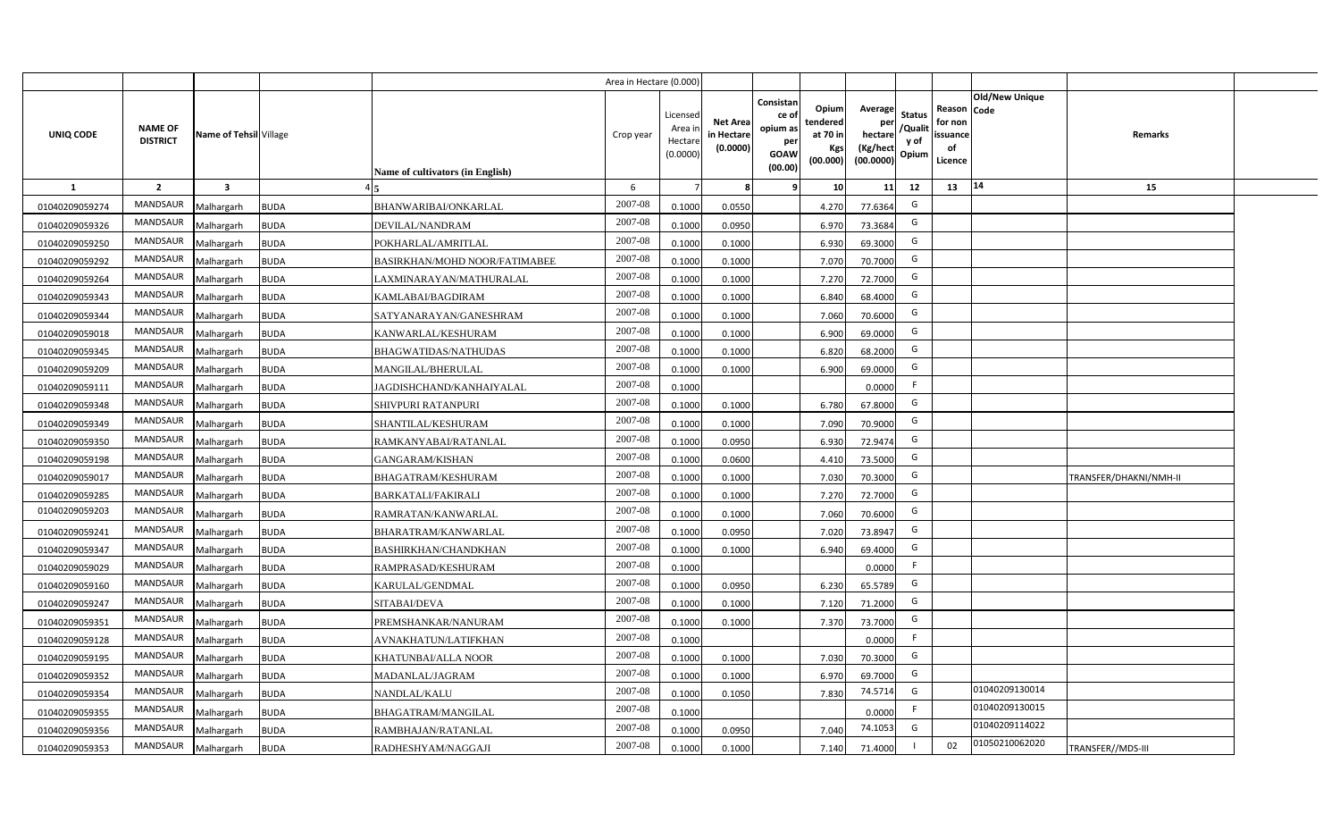|                |                                   |                         |             |                                  | Area in Hectare (0.000 |                                          |                                    |                                                          |                                                   |                                                    |                                          |                                                     |                       |                        |  |
|----------------|-----------------------------------|-------------------------|-------------|----------------------------------|------------------------|------------------------------------------|------------------------------------|----------------------------------------------------------|---------------------------------------------------|----------------------------------------------------|------------------------------------------|-----------------------------------------------------|-----------------------|------------------------|--|
| UNIQ CODE      | <b>NAME OF</b><br><b>DISTRICT</b> | Name of Tehsil Village  |             | Name of cultivators (in English) | Crop year              | Licensed<br>Area i<br>Hectar<br>(0.0000) | Net Area<br>in Hectare<br>(0.0000) | Consistan<br>ce of<br>opium as<br>per<br>GOAW<br>(00.00) | Opiuml<br>tendered<br>at 70 in<br>Kgs<br>(00.000) | Average<br>per<br>hectare<br>(Kg/hect<br>(00.0000) | <b>Status</b><br>/Quali<br>y of<br>Opium | Reason Code<br>for non<br>issuance<br>of<br>Licence | <b>Old/New Unique</b> | Remarks                |  |
| 1              | $\overline{2}$                    | $\overline{\mathbf{3}}$ |             |                                  | 6                      |                                          |                                    |                                                          | 10                                                | 11                                                 | 12                                       | 13                                                  | 14                    | 15                     |  |
| 01040209059274 | <b>MANDSAUR</b>                   | Malhargarh              | <b>BUDA</b> | BHANWARIBAI/ONKARLAL             | 2007-08                | 0.1000                                   | 0.0550                             |                                                          | 4.270                                             | 77.6364                                            | G                                        |                                                     |                       |                        |  |
| 01040209059326 | <b>MANDSAUR</b>                   | Malhargarh              | <b>BUDA</b> | DEVILAL/NANDRAM                  | 2007-08                | 0.1000                                   | 0.0950                             |                                                          | 6.970                                             | 73.3684                                            | G                                        |                                                     |                       |                        |  |
| 01040209059250 | <b>MANDSAUR</b>                   | Malhargarh              | <b>BUDA</b> | POKHARLAL/AMRITLAL               | 2007-08                | 0.1000                                   | 0.1000                             |                                                          | 6.930                                             | 69.3000                                            | G                                        |                                                     |                       |                        |  |
| 01040209059292 | MANDSAUR                          | Malhargarh              | <b>BUDA</b> | BASIRKHAN/MOHD NOOR/FATIMABEE    | 2007-08                | 0.1000                                   | 0.1000                             |                                                          | 7.070                                             | 70.7000                                            | G                                        |                                                     |                       |                        |  |
| 01040209059264 | <b>MANDSAUR</b>                   | Malhargarh              | <b>BUDA</b> | LAXMINARAYAN/MATHURALAL          | 2007-08                | 0.1000                                   | 0.1000                             |                                                          | 7.270                                             | 72.7000                                            | G                                        |                                                     |                       |                        |  |
| 01040209059343 | <b>MANDSAUR</b>                   | Malhargarh              | <b>BUDA</b> | KAMLABAI/BAGDIRAM                | 2007-08                | 0.100                                    | 0.1000                             |                                                          | 6.840                                             | 68.4000                                            | G                                        |                                                     |                       |                        |  |
| 01040209059344 | <b>MANDSAUR</b>                   | Malhargarh              | <b>BUDA</b> | SATYANARAYAN/GANESHRAM           | 2007-08                | 0.100                                    | 0.1000                             |                                                          | 7.060                                             | 70.6000                                            | G                                        |                                                     |                       |                        |  |
| 01040209059018 | <b>MANDSAUR</b>                   | Malhargarh              | <b>BUDA</b> | KANWARLAL/KESHURAM               | 2007-08                | 0.1000                                   | 0.1000                             |                                                          | 6.900                                             | 69.0000                                            | G                                        |                                                     |                       |                        |  |
| 01040209059345 | <b>MANDSAUR</b>                   | Malhargarh              | <b>BUDA</b> | BHAGWATIDAS/NATHUDAS             | 2007-08                | 0.1000                                   | 0.1000                             |                                                          | 6.820                                             | 68.2000                                            | G                                        |                                                     |                       |                        |  |
| 01040209059209 | <b>MANDSAUR</b>                   | Malhargarh              | <b>BUDA</b> | MANGILAL/BHERULAL                | 2007-08                | 0.1000                                   | 0.1000                             |                                                          | 6.900                                             | 69.0000                                            | G                                        |                                                     |                       |                        |  |
| 01040209059111 | <b>MANDSAUR</b>                   | Malhargarh              | <b>BUDA</b> | JAGDISHCHAND/KANHAIYALAL         | 2007-08                | 0.1000                                   |                                    |                                                          |                                                   | 0.0000                                             | F.                                       |                                                     |                       |                        |  |
| 01040209059348 | <b>MANDSAUR</b>                   | Malhargarh              | <b>BUDA</b> | SHIVPURI RATANPURI               | 2007-08                | 0.1000                                   | 0.1000                             |                                                          | 6.780                                             | 67.8000                                            | G                                        |                                                     |                       |                        |  |
| 01040209059349 | <b>MANDSAUR</b>                   | Malhargarh              | <b>BUDA</b> | SHANTILAL/KESHURAM               | 2007-08                | 0.1000                                   | 0.1000                             |                                                          | 7.090                                             | 70.9000                                            | G                                        |                                                     |                       |                        |  |
| 01040209059350 | <b>MANDSAUR</b>                   | Malhargarh              | <b>BUDA</b> | RAMKANYABAI/RATANLAL             | 2007-08                | 0.1000                                   | 0.0950                             |                                                          | 6.930                                             | 72.9474                                            | G                                        |                                                     |                       |                        |  |
| 01040209059198 | <b>MANDSAUR</b>                   | Malhargarh              | <b>BUDA</b> | GANGARAM/KISHAN                  | 2007-08                | 0.1000                                   | 0.0600                             |                                                          | 4.410                                             | 73.5000                                            | G                                        |                                                     |                       |                        |  |
| 01040209059017 | <b>MANDSAUR</b>                   | Malhargarh              | <b>BUDA</b> | BHAGATRAM/KESHURAM               | 2007-08                | 0.1000                                   | 0.1000                             |                                                          | 7.030                                             | 70.3000                                            | G                                        |                                                     |                       | TRANSFER/DHAKNI/NMH-II |  |
| 01040209059285 | MANDSAUR                          | Malhargarh              | <b>BUDA</b> | <b>BARKATALI/FAKIRALI</b>        | 2007-08                | 0.100                                    | 0.1000                             |                                                          | 7.270                                             | 72.7000                                            | G                                        |                                                     |                       |                        |  |
| 01040209059203 | <b>MANDSAUR</b>                   | Malhargarh              | <b>BUDA</b> | RAMRATAN/KANWARLAL               | 2007-08                | 0.1000                                   | 0.1000                             |                                                          | 7.060                                             | 70.6000                                            | G                                        |                                                     |                       |                        |  |
| 01040209059241 | <b>MANDSAUR</b>                   | Malhargarh              | <b>BUDA</b> | BHARATRAM/KANWARLAL              | 2007-08                | 0.1000                                   | 0.0950                             |                                                          | 7.020                                             | 73.8947                                            | G                                        |                                                     |                       |                        |  |
| 01040209059347 | MANDSAUR                          | Malhargarh              | <b>BUDA</b> | BASHIRKHAN/CHANDKHAN             | 2007-08                | 0.1000                                   | 0.1000                             |                                                          | 6.940                                             | 69.4000                                            | G                                        |                                                     |                       |                        |  |
| 01040209059029 | <b>MANDSAUR</b>                   | Malhargarh              | <b>BUDA</b> | RAMPRASAD/KESHURAM               | 2007-08                | 0.1000                                   |                                    |                                                          |                                                   | 0.0000                                             | F                                        |                                                     |                       |                        |  |
| 01040209059160 | MANDSAUR                          | Malhargarh              | <b>BUDA</b> | KARULAL/GENDMAL                  | 2007-08                | 0.1000                                   | 0.0950                             |                                                          | 6.230                                             | 65.5789                                            | G                                        |                                                     |                       |                        |  |
| 01040209059247 | MANDSAUR                          | Malhargarh              | <b>BUDA</b> | SITABAI/DEVA                     | 2007-08                | 0.1000                                   | 0.1000                             |                                                          | 7.120                                             | 71.2000                                            | G                                        |                                                     |                       |                        |  |
| 01040209059351 | <b>MANDSAUR</b>                   | Malhargarh              | <b>BUDA</b> | PREMSHANKAR/NANURAM              | 2007-08                | 0.100                                    | 0.1000                             |                                                          | 7.370                                             | 73.7000                                            | G                                        |                                                     |                       |                        |  |
| 01040209059128 | <b>MANDSAUR</b>                   | Malhargarh              | <b>BUDA</b> | AVNAKHATUN/LATIFKHAN             | 2007-08                | 0.1000                                   |                                    |                                                          |                                                   | 0.0000                                             | F.                                       |                                                     |                       |                        |  |
| 01040209059195 | <b>MANDSAUR</b>                   | Malhargarh              | <b>BUDA</b> | KHATUNBAI/ALLA NOOR              | 2007-08                | 0.1000                                   | 0.1000                             |                                                          | 7.030                                             | 70.3000                                            | G                                        |                                                     |                       |                        |  |
| 01040209059352 | <b>MANDSAUR</b>                   | Malhargarh              | <b>BUDA</b> | MADANLAL/JAGRAM                  | 2007-08                | 0.1000                                   | 0.1000                             |                                                          | 6.970                                             | 69.7000                                            | G                                        |                                                     |                       |                        |  |
| 01040209059354 | <b>MANDSAUR</b>                   | Malhargarh              | <b>BUDA</b> | NANDLAL/KALU                     | 2007-08                | 0.1000                                   | 0.1050                             |                                                          | 7.830                                             | 74.5714                                            | G                                        |                                                     | 01040209130014        |                        |  |
| 01040209059355 | <b>MANDSAUR</b>                   | Malhargarh              | <b>BUDA</b> | BHAGATRAM/MANGILAL               | 2007-08                | 0.1000                                   |                                    |                                                          |                                                   | 0.0000                                             | F.                                       |                                                     | 01040209130015        |                        |  |
| 01040209059356 | <b>MANDSAUR</b>                   | Malhargarh              | <b>BUDA</b> | RAMBHAJAN/RATANLAL               | 2007-08                | 0.1000                                   | 0.0950                             |                                                          | 7.040                                             | 74.1053                                            | G                                        |                                                     | 01040209114022        |                        |  |
| 01040209059353 | MANDSAUR                          | Malhargarh              | <b>BUDA</b> | RADHESHYAM/NAGGAJI               | 2007-08                | 0.1000                                   | 0.1000                             |                                                          | 7.140                                             | 71.4000                                            |                                          | 02                                                  | 01050210062020        | TRANSFER//MDS-III      |  |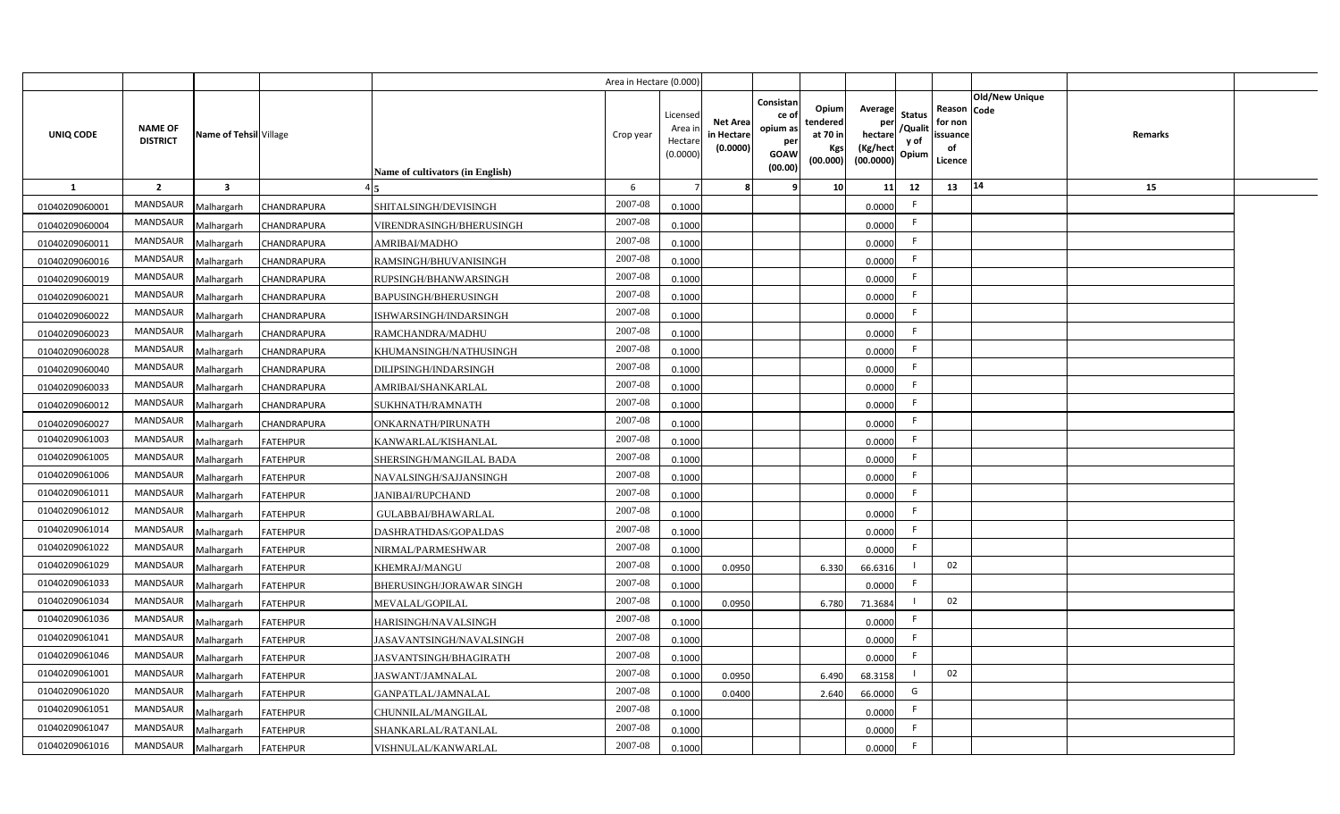|                |                                   |                         |                    |                                         | Area in Hectare (0.000) |                                           |                                           |                                                                 |                                                  |                                                                                                 |                                                     |                       |                |  |
|----------------|-----------------------------------|-------------------------|--------------------|-----------------------------------------|-------------------------|-------------------------------------------|-------------------------------------------|-----------------------------------------------------------------|--------------------------------------------------|-------------------------------------------------------------------------------------------------|-----------------------------------------------------|-----------------------|----------------|--|
| UNIQ CODE      | <b>NAME OF</b><br><b>DISTRICT</b> | Name of Tehsil Village  |                    | <b>Name of cultivators (in English)</b> | Crop year               | Licensed<br>Area i<br>Hectare<br>(0.0000) | <b>Net Area</b><br>in Hectare<br>(0.0000) | Consistan<br>ce of<br>opium as<br>per<br><b>GOAW</b><br>(00.00) | Opium<br>tendered<br>at 70 in<br>Kgs<br>(00.000) | Average<br><b>Status</b><br>per<br>/Qualit<br>hectare<br>y of<br>(Kg/hect<br>Opium<br>(00.0000) | Reason Code<br>for non<br>issuance<br>of<br>Licence | <b>Old/New Unique</b> | <b>Remarks</b> |  |
| <b>1</b>       | $\overline{2}$                    | $\overline{\mathbf{3}}$ |                    |                                         | 6                       |                                           |                                           | -9                                                              | 10                                               | 11<br>12                                                                                        | 13                                                  | 14                    | 15             |  |
| 01040209060001 | MANDSAUR                          | Malhargarh              | CHANDRAPURA        | SHITALSINGH/DEVISINGH                   | 2007-08                 | 0.1000                                    |                                           |                                                                 |                                                  | F.<br>0.0000                                                                                    |                                                     |                       |                |  |
| 01040209060004 | <b>MANDSAUR</b>                   | Malhargarh              | CHANDRAPURA        | VIRENDRASINGH/BHERUSINGH                | 2007-08                 | 0.1000                                    |                                           |                                                                 |                                                  | F<br>0.0000                                                                                     |                                                     |                       |                |  |
| 01040209060011 | <b>MANDSAUR</b>                   | Malhargarh              | CHANDRAPURA        | AMRIBAI/MADHO                           | 2007-08                 | 0.1000                                    |                                           |                                                                 |                                                  | -F<br>0.0000                                                                                    |                                                     |                       |                |  |
| 01040209060016 | <b>MANDSAUR</b>                   | Malhargarh              | CHANDRAPURA        | RAMSINGH/BHUVANISINGH                   | 2007-08                 | 0.1000                                    |                                           |                                                                 |                                                  | -F<br>0.0000                                                                                    |                                                     |                       |                |  |
| 01040209060019 | <b>MANDSAUR</b>                   | Malhargarh              | CHANDRAPURA        | RUPSINGH/BHANWARSINGH                   | 2007-08                 | 0.1000                                    |                                           |                                                                 |                                                  | -F<br>0.0000                                                                                    |                                                     |                       |                |  |
| 01040209060021 | MANDSAUR                          | Malhargarh              | CHANDRAPURA        | <b>BAPUSINGH/BHERUSINGH</b>             | 2007-08                 | 0.1000                                    |                                           |                                                                 |                                                  | F<br>0.0000                                                                                     |                                                     |                       |                |  |
| 01040209060022 | <b>MANDSAUR</b>                   | Malhargarh              | CHANDRAPURA        | ISHWARSINGH/INDARSINGH                  | 2007-08                 | 0.1000                                    |                                           |                                                                 |                                                  | F.<br>0.0000                                                                                    |                                                     |                       |                |  |
| 01040209060023 | MANDSAUR                          | Malhargarh              | CHANDRAPURA        | RAMCHANDRA/MADHU                        | 2007-08                 | 0.1000                                    |                                           |                                                                 |                                                  | F<br>0.0000                                                                                     |                                                     |                       |                |  |
| 01040209060028 | MANDSAUR                          | Malhargarh              | CHANDRAPURA        | KHUMANSINGH/NATHUSINGH                  | 2007-08                 | 0.1000                                    |                                           |                                                                 |                                                  | F<br>0.0000                                                                                     |                                                     |                       |                |  |
| 01040209060040 | MANDSAUR                          | Malhargarh              | CHANDRAPURA        | DILIPSINGH/INDARSINGH                   | 2007-08                 | 0.1000                                    |                                           |                                                                 |                                                  | F<br>0.0000                                                                                     |                                                     |                       |                |  |
| 01040209060033 | MANDSAUR                          | Malhargarh              | CHANDRAPURA        | AMRIBAI/SHANKARLAL                      | 2007-08                 | 0.1000                                    |                                           |                                                                 |                                                  | F<br>0.0000                                                                                     |                                                     |                       |                |  |
| 01040209060012 | MANDSAUR                          | Malhargarh              | <b>CHANDRAPURA</b> | SUKHNATH/RAMNATH                        | 2007-08                 | 0.1000                                    |                                           |                                                                 |                                                  | -F<br>0.0000                                                                                    |                                                     |                       |                |  |
| 01040209060027 | <b>MANDSAUR</b>                   | Malhargarh              | CHANDRAPURA        | ONKARNATH/PIRUNATH                      | 2007-08                 | 0.1000                                    |                                           |                                                                 |                                                  | F<br>0.0000                                                                                     |                                                     |                       |                |  |
| 01040209061003 | MANDSAUR                          | Malhargarh              | <b>FATEHPUR</b>    | KANWARLAL/KISHANLAL                     | 2007-08                 | 0.1000                                    |                                           |                                                                 |                                                  | F.<br>0.0000                                                                                    |                                                     |                       |                |  |
| 01040209061005 | MANDSAUR                          | Malhargarh              | <b>FATEHPUR</b>    | SHERSINGH/MANGILAL BADA                 | 2007-08                 | 0.1000                                    |                                           |                                                                 |                                                  | -F<br>0.0000                                                                                    |                                                     |                       |                |  |
| 01040209061006 | MANDSAUR                          | Malhargarh              | <b>FATEHPUR</b>    | NAVALSINGH/SAJJANSINGH                  | 2007-08                 | 0.1000                                    |                                           |                                                                 |                                                  | F<br>0.0000                                                                                     |                                                     |                       |                |  |
| 01040209061011 | MANDSAUR                          | Malhargarh              | <b>FATEHPUR</b>    | <b>JANIBAI/RUPCHAND</b>                 | 2007-08                 | 0.1000                                    |                                           |                                                                 |                                                  | F.<br>0.0000                                                                                    |                                                     |                       |                |  |
| 01040209061012 | MANDSAUR                          | Malhargarh              | <b>FATEHPUR</b>    | GULABBAI/BHAWARLAL                      | 2007-08                 | 0.1000                                    |                                           |                                                                 |                                                  | F<br>0.0000                                                                                     |                                                     |                       |                |  |
| 01040209061014 | MANDSAUR                          | Malhargarh              | <b>FATEHPUR</b>    | DASHRATHDAS/GOPALDAS                    | 2007-08                 | 0.1000                                    |                                           |                                                                 |                                                  | F.<br>0.0000                                                                                    |                                                     |                       |                |  |
| 01040209061022 | MANDSAUR                          | Malhargarh              | <b>FATEHPUR</b>    | NIRMAL/PARMESHWAR                       | 2007-08                 | 0.1000                                    |                                           |                                                                 |                                                  | F<br>0.0000                                                                                     |                                                     |                       |                |  |
| 01040209061029 | MANDSAUR                          | Malhargarh              | <b>FATEHPUR</b>    | KHEMRAJ/MANGU                           | 2007-08                 | 0.1000                                    | 0.0950                                    |                                                                 | 6.330                                            | 66.6316                                                                                         | 02                                                  |                       |                |  |
| 01040209061033 | MANDSAUR                          | Malhargarh              | <b>FATEHPUR</b>    | <b>BHERUSINGH/JORAWAR SINGH</b>         | 2007-08                 | 0.1000                                    |                                           |                                                                 |                                                  | F.<br>0.0000                                                                                    |                                                     |                       |                |  |
| 01040209061034 | MANDSAUR                          | Malhargarh              | <b>FATEHPUR</b>    | MEVALAL/GOPILAL                         | 2007-08                 | 0.1000                                    | 0.0950                                    |                                                                 | 6.780                                            | 71.3684                                                                                         | 02                                                  |                       |                |  |
| 01040209061036 | MANDSAUR                          | Malhargarh              | <b>FATEHPUR</b>    | HARISINGH/NAVALSINGH                    | 2007-08                 | 0.1000                                    |                                           |                                                                 |                                                  | F.<br>0.0000                                                                                    |                                                     |                       |                |  |
| 01040209061041 | MANDSAUR                          | Malhargarh              | <b>FATEHPUR</b>    | JASAVANTSINGH/NAVALSINGH                | 2007-08                 | 0.1000                                    |                                           |                                                                 |                                                  | F<br>0.0000                                                                                     |                                                     |                       |                |  |
| 01040209061046 | MANDSAUR                          | Malhargarh              | <b>FATEHPUR</b>    | <b>JASVANTSINGH/BHAGIRATH</b>           | 2007-08                 | 0.1000                                    |                                           |                                                                 |                                                  | F.<br>0.0000                                                                                    |                                                     |                       |                |  |
| 01040209061001 | MANDSAUR                          | Malhargarh              | <b>FATEHPUR</b>    | JASWANT/JAMNALAL                        | 2007-08                 | 0.1000                                    | 0.0950                                    |                                                                 | 6.490                                            | - 1<br>68.3158                                                                                  | 02                                                  |                       |                |  |
| 01040209061020 | MANDSAUR                          | Malhargarh              | <b>FATEHPUR</b>    | GANPATLAL/JAMNALAL                      | 2007-08                 | 0.1000                                    | 0.0400                                    |                                                                 | 2.640                                            | G<br>66.0000                                                                                    |                                                     |                       |                |  |
| 01040209061051 | MANDSAUR                          | Malhargarh              | <b>FATEHPUR</b>    | CHUNNILAL/MANGILAL                      | 2007-08                 | 0.1000                                    |                                           |                                                                 |                                                  | F.<br>0.0000                                                                                    |                                                     |                       |                |  |
| 01040209061047 | MANDSAUR                          | Malhargarh              | <b>FATEHPUR</b>    | SHANKARLAL/RATANLAL                     | 2007-08                 | 0.1000                                    |                                           |                                                                 |                                                  | F<br>0.0000                                                                                     |                                                     |                       |                |  |
| 01040209061016 | MANDSAUR                          | Malhargarh              | <b>FATEHPUR</b>    | VISHNULAL/KANWARLAL                     | 2007-08                 | 0.1000                                    |                                           |                                                                 |                                                  | F.<br>0.0000                                                                                    |                                                     |                       |                |  |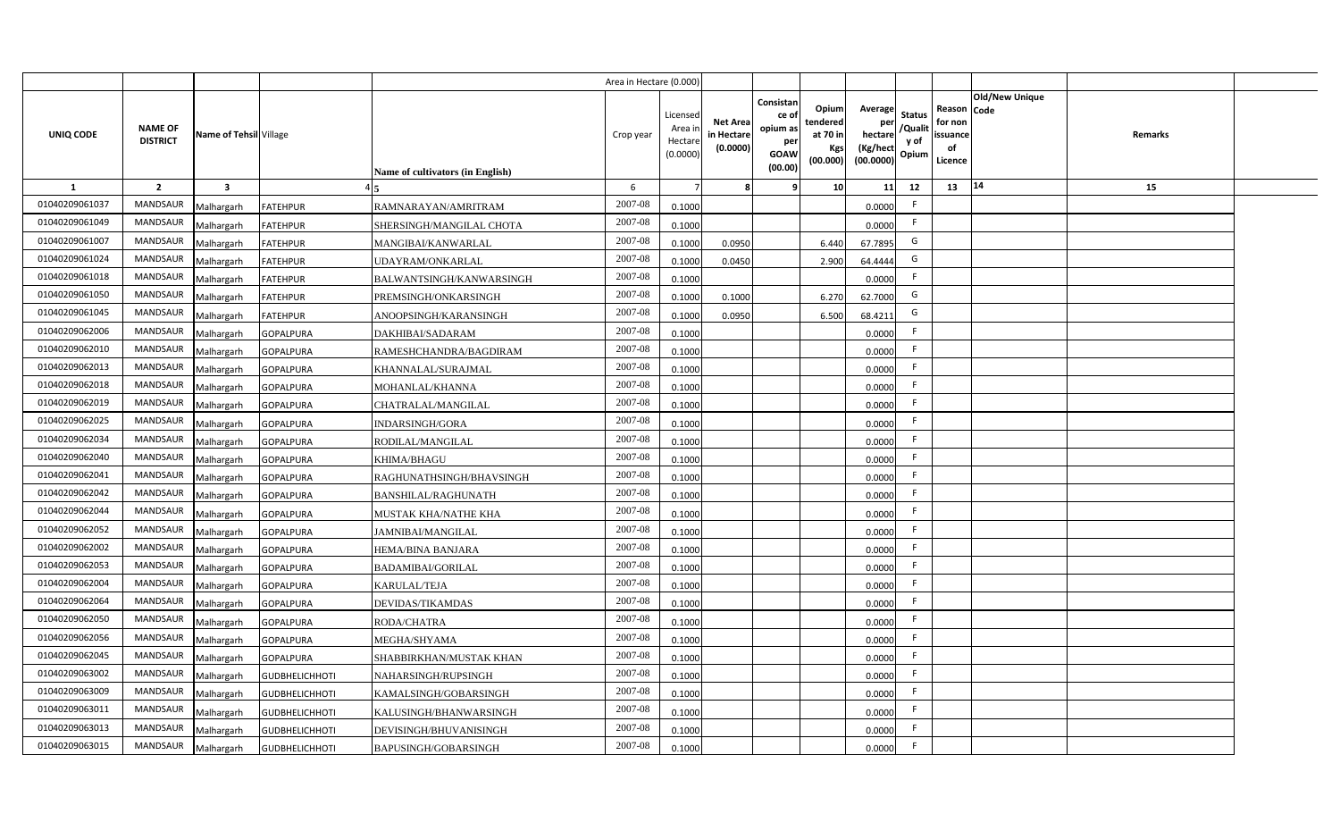|                  |                                   |                         |                       |                                  | Area in Hectare (0.000 |                                          |                                           |                                                                 |                                                  |                                                    |                                           |                                                     |                       |         |  |
|------------------|-----------------------------------|-------------------------|-----------------------|----------------------------------|------------------------|------------------------------------------|-------------------------------------------|-----------------------------------------------------------------|--------------------------------------------------|----------------------------------------------------|-------------------------------------------|-----------------------------------------------------|-----------------------|---------|--|
| <b>UNIQ CODE</b> | <b>NAME OF</b><br><b>DISTRICT</b> | Name of Tehsil Village  |                       | Name of cultivators (in English) | Crop year              | Licensed<br>Area i<br>Hectar<br>(0.0000) | <b>Net Area</b><br>in Hectare<br>(0.0000) | Consistan<br>ce of<br>opium as<br>per<br><b>GOAW</b><br>(00.00) | Opium<br>tendered<br>at 70 in<br>Kgs<br>(00.000) | Average<br>per<br>hectare<br>(Kg/hect<br>(00.0000) | <b>Status</b><br>/Qualit<br>y of<br>Opium | Reason Code<br>for non<br>issuance<br>of<br>Licence | <b>Old/New Unique</b> | Remarks |  |
| 1                | $\overline{2}$                    | $\overline{\mathbf{3}}$ |                       |                                  | 6                      |                                          |                                           | q                                                               | 10                                               | 11                                                 | 12                                        | 13                                                  | 14                    | 15      |  |
| 01040209061037   | <b>MANDSAUR</b>                   | Malhargarh              | <b>FATEHPUR</b>       | RAMNARAYAN/AMRITRAM              | 2007-08                | 0.1000                                   |                                           |                                                                 |                                                  | 0.0000                                             | -F                                        |                                                     |                       |         |  |
| 01040209061049   | <b>MANDSAUR</b>                   | Malhargarh              | <b>FATEHPUR</b>       | SHERSINGH/MANGILAL CHOTA         | 2007-08                | 0.1000                                   |                                           |                                                                 |                                                  | 0.0000                                             | -F                                        |                                                     |                       |         |  |
| 01040209061007   | MANDSAUR                          | Malhargarh              | <b>FATEHPUR</b>       | MANGIBAI/KANWARLAL               | 2007-08                | 0.100                                    | 0.0950                                    |                                                                 | 6.440                                            | 67.7895                                            | G                                         |                                                     |                       |         |  |
| 01040209061024   | MANDSAUR                          | Malhargarh              | <b>FATEHPUR</b>       | UDAYRAM/ONKARLAL                 | 2007-08                | 0.100                                    | 0.0450                                    |                                                                 | 2.900                                            | 64.4444                                            | G                                         |                                                     |                       |         |  |
| 01040209061018   | MANDSAUR                          | Malhargarh              | <b>FATEHPUR</b>       | BALWANTSINGH/KANWARSINGH         | 2007-08                | 0.1000                                   |                                           |                                                                 |                                                  | 0.0000                                             | -F                                        |                                                     |                       |         |  |
| 01040209061050   | <b>MANDSAUR</b>                   | Malhargarh              | <b>FATEHPUR</b>       | PREMSINGH/ONKARSINGH             | 2007-08                | 0.1000                                   | 0.1000                                    |                                                                 | 6.270                                            | 62.7000                                            | G                                         |                                                     |                       |         |  |
| 01040209061045   | MANDSAUR                          | Malhargarh              | <b>FATEHPUR</b>       | ANOOPSINGH/KARANSINGH            | 2007-08                | 0.1000                                   | 0.0950                                    |                                                                 | 6.500                                            | 68.4211                                            | G                                         |                                                     |                       |         |  |
| 01040209062006   | <b>MANDSAUR</b>                   | Malhargarh              | <b>GOPALPURA</b>      | DAKHIBAI/SADARAM                 | 2007-08                | 0.1000                                   |                                           |                                                                 |                                                  | 0.0000                                             | E                                         |                                                     |                       |         |  |
| 01040209062010   | MANDSAUR                          | Malhargarh              | <b>GOPALPURA</b>      | RAMESHCHANDRA/BAGDIRAM           | 2007-08                | 0.1000                                   |                                           |                                                                 |                                                  | 0.0000                                             |                                           |                                                     |                       |         |  |
| 01040209062013   | <b>MANDSAUR</b>                   | Malhargarh              | <b>GOPALPURA</b>      | KHANNALAL/SURAJMAL               | 2007-08                | 0.1000                                   |                                           |                                                                 |                                                  | 0.0000                                             |                                           |                                                     |                       |         |  |
| 01040209062018   | <b>MANDSAUR</b>                   | Malhargarh              | <b>GOPALPURA</b>      | MOHANLAL/KHANNA                  | 2007-08                | 0.1000                                   |                                           |                                                                 |                                                  | 0.0000                                             | -F                                        |                                                     |                       |         |  |
| 01040209062019   | MANDSAUR                          | Malhargarh              | <b>GOPALPURA</b>      | CHATRALAL/MANGILAL               | 2007-08                | 0.1000                                   |                                           |                                                                 |                                                  | 0.0000                                             | -F                                        |                                                     |                       |         |  |
| 01040209062025   | <b>MANDSAUR</b>                   | Malhargarh              | <b>GOPALPURA</b>      | <b>INDARSINGH/GORA</b>           | 2007-08                | 0.1000                                   |                                           |                                                                 |                                                  | 0.0000                                             | -F                                        |                                                     |                       |         |  |
| 01040209062034   | MANDSAUR                          | Malhargarh              | <b>GOPALPURA</b>      | RODILAL/MANGILAL                 | 2007-08                | 0.1000                                   |                                           |                                                                 |                                                  | 0.0000                                             | -F                                        |                                                     |                       |         |  |
| 01040209062040   | <b>MANDSAUR</b>                   | Malhargarh              | <b>GOPALPURA</b>      | KHIMA/BHAGU                      | 2007-08                | 0.1000                                   |                                           |                                                                 |                                                  | 0.0000                                             | -F                                        |                                                     |                       |         |  |
| 01040209062041   | <b>MANDSAUR</b>                   | Malhargarh              | <b>GOPALPURA</b>      | RAGHUNATHSINGH/BHAVSINGH         | 2007-08                | 0.1000                                   |                                           |                                                                 |                                                  | 0.0000                                             | F.                                        |                                                     |                       |         |  |
| 01040209062042   | <b>MANDSAUR</b>                   | Malhargarh              | <b>GOPALPURA</b>      | BANSHILAL/RAGHUNATH              | 2007-08                | 0.1000                                   |                                           |                                                                 |                                                  | 0.0000                                             | E                                         |                                                     |                       |         |  |
| 01040209062044   | <b>MANDSAUR</b>                   | Malhargarh              | <b>GOPALPURA</b>      | MUSTAK KHA/NATHE KHA             | 2007-08                | 0.100                                    |                                           |                                                                 |                                                  | 0.0000                                             | E                                         |                                                     |                       |         |  |
| 01040209062052   | <b>MANDSAUR</b>                   | Malhargarh              | <b>GOPALPURA</b>      | JAMNIBAI/MANGILAL                | 2007-08                | 0.1000                                   |                                           |                                                                 |                                                  | 0.0000                                             | -F                                        |                                                     |                       |         |  |
| 01040209062002   | <b>MANDSAUR</b>                   | Malhargarh              | <b>GOPALPURA</b>      | HEMA/BINA BANJARA                | $2007 - 08$            | 0.100                                    |                                           |                                                                 |                                                  | 0.0000                                             | -F                                        |                                                     |                       |         |  |
| 01040209062053   | <b>MANDSAUR</b>                   | Malhargarh              | <b>GOPALPURA</b>      | <b>BADAMIBAI/GORILAL</b>         | 2007-08                | 0.1000                                   |                                           |                                                                 |                                                  | 0.0000                                             | F.                                        |                                                     |                       |         |  |
| 01040209062004   | <b>MANDSAUR</b>                   | Malhargarh              | <b>GOPALPURA</b>      | KARULAL/TEJA                     | $2007 - 08$            | 0.1000                                   |                                           |                                                                 |                                                  | 0.0000                                             | E                                         |                                                     |                       |         |  |
| 01040209062064   | <b>MANDSAUR</b>                   | Malhargarh              | <b>GOPALPURA</b>      | DEVIDAS/TIKAMDAS                 | 2007-08                | 0.1000                                   |                                           |                                                                 |                                                  | 0.0000                                             | F                                         |                                                     |                       |         |  |
| 01040209062050   | MANDSAUR                          | Malhargarh              | <b>GOPALPURA</b>      | RODA/CHATRA                      | 2007-08                | 0.1000                                   |                                           |                                                                 |                                                  | 0.0000                                             | -F                                        |                                                     |                       |         |  |
| 01040209062056   | MANDSAUR                          | Malhargarh              | <b>GOPALPURA</b>      | MEGHA/SHYAMA                     | 2007-08                | 0.1000                                   |                                           |                                                                 |                                                  | 0.0000                                             | F                                         |                                                     |                       |         |  |
| 01040209062045   | MANDSAUR                          | Malhargarh              | <b>GOPALPURA</b>      | SHABBIRKHAN/MUSTAK KHAN          | 2007-08                | 0.1000                                   |                                           |                                                                 |                                                  | 0.0000                                             | F                                         |                                                     |                       |         |  |
| 01040209063002   | MANDSAUR                          | Malhargarh              | <b>GUDBHELICHHOTI</b> | NAHARSINGH/RUPSINGH              | 2007-08                | 0.1000                                   |                                           |                                                                 |                                                  | 0.0000                                             | E                                         |                                                     |                       |         |  |
| 01040209063009   | MANDSAUR                          | Malhargarh              | <b>GUDBHELICHHOTI</b> | KAMALSINGH/GOBARSINGH            | 2007-08                | 0.1000                                   |                                           |                                                                 |                                                  | 0.0000                                             | F.                                        |                                                     |                       |         |  |
| 01040209063011   | MANDSAUR                          | Malhargarh              | <b>GUDBHELICHHOTI</b> | KALUSINGH/BHANWARSINGH           | 2007-08                | 0.1000                                   |                                           |                                                                 |                                                  | 0.0000                                             | E                                         |                                                     |                       |         |  |
| 01040209063013   | <b>MANDSAUR</b>                   | Malhargarh              | <b>GUDBHELICHHOTI</b> | DEVISINGH/BHUVANISINGH           | 2007-08                | 0.1000                                   |                                           |                                                                 |                                                  | 0.0000                                             | -F                                        |                                                     |                       |         |  |
| 01040209063015   | MANDSAUR                          | Malhargarh              | <b>GUDBHELICHHOTI</b> | <b>BAPUSINGH/GOBARSINGH</b>      | 2007-08                | 0.1000                                   |                                           |                                                                 |                                                  | 0.0000                                             | -F                                        |                                                     |                       |         |  |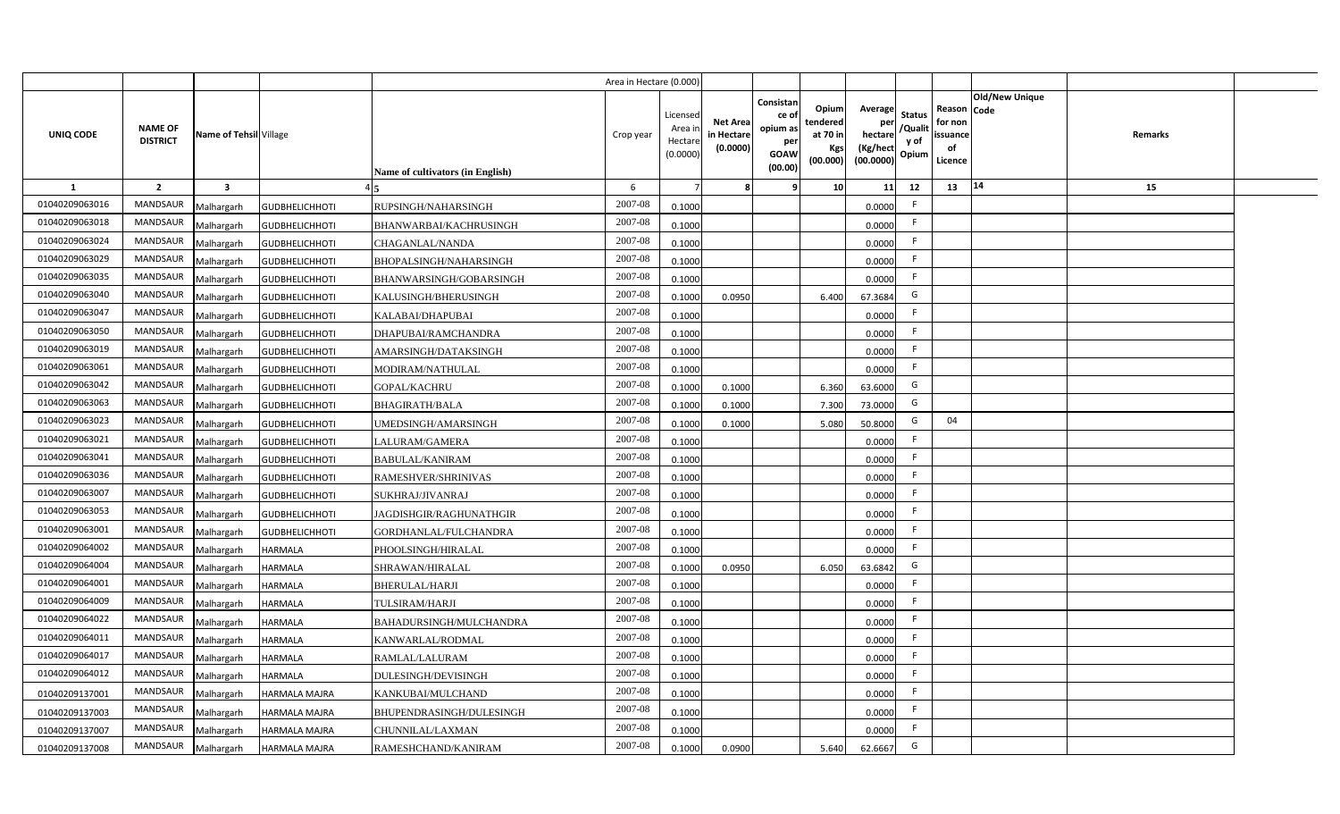|                |                                   |                        |                       |                                         | Area in Hectare (0.000) |                                           |                                           |                                                                 |                                                  |                                                                                                 |                                                     |                       |                |  |
|----------------|-----------------------------------|------------------------|-----------------------|-----------------------------------------|-------------------------|-------------------------------------------|-------------------------------------------|-----------------------------------------------------------------|--------------------------------------------------|-------------------------------------------------------------------------------------------------|-----------------------------------------------------|-----------------------|----------------|--|
| UNIQ CODE      | <b>NAME OF</b><br><b>DISTRICT</b> | Name of Tehsil Village |                       | <b>Name of cultivators (in English)</b> | Crop year               | Licensed<br>Area i<br>Hectare<br>(0.0000) | <b>Net Area</b><br>in Hectare<br>(0.0000) | Consistan<br>ce of<br>opium as<br>per<br><b>GOAW</b><br>(00.00) | Opium<br>tendered<br>at 70 in<br>Kgs<br>(00.000) | Average<br><b>Status</b><br>per<br>/Qualit<br>hectare<br>y of<br>(Kg/hect<br>Opium<br>(00.0000) | Reason Code<br>for non<br>issuance<br>of<br>Licence | <b>Old/New Unique</b> | <b>Remarks</b> |  |
| 1              | $\overline{2}$                    | $\mathbf{3}$           |                       |                                         | 6                       |                                           |                                           | ۹                                                               | 10                                               | 11<br>12                                                                                        | 13                                                  | 14                    | 15             |  |
| 01040209063016 | <b>MANDSAUR</b>                   | Malhargarh             | <b>GUDBHELICHHOTI</b> | RUPSINGH/NAHARSINGH                     | 2007-08                 | 0.1000                                    |                                           |                                                                 |                                                  | F.<br>0.0000                                                                                    |                                                     |                       |                |  |
| 01040209063018 | MANDSAUR                          | Malhargarh             | <b>GUDBHELICHHOTI</b> | BHANWARBAI/KACHRUSINGH                  | 2007-08                 | 0.1000                                    |                                           |                                                                 |                                                  | -F<br>0.0000                                                                                    |                                                     |                       |                |  |
| 01040209063024 | <b>MANDSAUR</b>                   | Malhargarh             | <b>GUDBHELICHHOTI</b> | CHAGANLAL/NANDA                         | 2007-08                 | 0.1000                                    |                                           |                                                                 |                                                  | F<br>0.0000                                                                                     |                                                     |                       |                |  |
| 01040209063029 | MANDSAUR                          | Malhargarh             | <b>GUDBHELICHHOTI</b> | BHOPALSINGH/NAHARSINGH                  | 2007-08                 | 0.1000                                    |                                           |                                                                 |                                                  | -F<br>0.0000                                                                                    |                                                     |                       |                |  |
| 01040209063035 | MANDSAUR                          | Malhargarh             | <b>GUDBHELICHHOTI</b> | BHANWARSINGH/GOBARSINGH                 | 2007-08                 | 0.1000                                    |                                           |                                                                 |                                                  | F.<br>0.0000                                                                                    |                                                     |                       |                |  |
| 01040209063040 | MANDSAUR                          | Malhargarh             | <b>GUDBHELICHHOTI</b> | KALUSINGH/BHERUSINGH                    | 2007-08                 | 0.1000                                    | 0.0950                                    |                                                                 | 6.400                                            | G<br>67.3684                                                                                    |                                                     |                       |                |  |
| 01040209063047 | MANDSAUR                          | Malhargarh             | <b>GUDBHELICHHOTI</b> | KALABAI/DHAPUBAI                        | 2007-08                 | 0.1000                                    |                                           |                                                                 |                                                  | F.<br>0.0000                                                                                    |                                                     |                       |                |  |
| 01040209063050 | MANDSAUR                          | Malhargarh             | <b>GUDBHELICHHOTI</b> | DHAPUBAI/RAMCHANDRA                     | 2007-08                 | 0.1000                                    |                                           |                                                                 |                                                  | F<br>0.0000                                                                                     |                                                     |                       |                |  |
| 01040209063019 | <b>MANDSAUR</b>                   | Malhargarh             | <b>GUDBHELICHHOTI</b> | AMARSINGH/DATAKSINGH                    | 2007-08                 | 0.1000                                    |                                           |                                                                 |                                                  | -F<br>0.0000                                                                                    |                                                     |                       |                |  |
| 01040209063061 | <b>MANDSAUR</b>                   | Malhargarh             | <b>GUDBHELICHHOTI</b> | MODIRAM/NATHULAL                        | 2007-08                 | 0.1000                                    |                                           |                                                                 |                                                  | F<br>0.0000                                                                                     |                                                     |                       |                |  |
| 01040209063042 | <b>MANDSAUR</b>                   | Malhargarh             | <b>GUDBHELICHHOTI</b> | <b>GOPAL/KACHRU</b>                     | 2007-08                 | 0.1000                                    | 0.1000                                    |                                                                 | 6.360                                            | G<br>63.6000                                                                                    |                                                     |                       |                |  |
| 01040209063063 | MANDSAUR                          | Malhargarh             | <b>GUDBHELICHHOTI</b> | <b>BHAGIRATH/BALA</b>                   | 2007-08                 | 0.1000                                    | 0.1000                                    |                                                                 | 7.300                                            | G<br>73.0000                                                                                    |                                                     |                       |                |  |
| 01040209063023 | MANDSAUR                          | Malhargarh             | <b>GUDBHELICHHOTI</b> | UMEDSINGH/AMARSINGH                     | 2007-08                 | 0.1000                                    | 0.1000                                    |                                                                 | 5.080                                            | G<br>50.8000                                                                                    | 04                                                  |                       |                |  |
| 01040209063021 | MANDSAUR                          | Malhargarh             | <b>GUDBHELICHHOTI</b> | LALURAM/GAMERA                          | 2007-08                 | 0.1000                                    |                                           |                                                                 |                                                  | -F<br>0.0000                                                                                    |                                                     |                       |                |  |
| 01040209063041 | MANDSAUR                          | Malhargarh             | <b>GUDBHELICHHOTI</b> | <b>BABULAL/KANIRAM</b>                  | 2007-08                 | 0.1000                                    |                                           |                                                                 |                                                  | F.<br>0.0000                                                                                    |                                                     |                       |                |  |
| 01040209063036 | MANDSAUR                          | Malhargarh             | <b>GUDBHELICHHOTI</b> | RAMESHVER/SHRINIVAS                     | 2007-08                 | 0.1000                                    |                                           |                                                                 |                                                  | F<br>0.0000                                                                                     |                                                     |                       |                |  |
| 01040209063007 | MANDSAUR                          | Malhargarh             | <b>GUDBHELICHHOTI</b> | SUKHRAJ/JIVANRAJ                        | 2007-08                 | 0.1000                                    |                                           |                                                                 |                                                  | F<br>0.0000                                                                                     |                                                     |                       |                |  |
| 01040209063053 | MANDSAUR                          | Malhargarh             | <b>GUDBHELICHHOTI</b> | JAGDISHGIR/RAGHUNATHGIR                 | $2007 - 08$             | 0.1000                                    |                                           |                                                                 |                                                  | F.<br>0.0000                                                                                    |                                                     |                       |                |  |
| 01040209063001 | MANDSAUR                          | Malhargarh             | <b>GUDBHELICHHOTI</b> | GORDHANLAL/FULCHANDRA                   | 2007-08                 | 0.1000                                    |                                           |                                                                 |                                                  | -F<br>0.0000                                                                                    |                                                     |                       |                |  |
| 01040209064002 | MANDSAUR                          | Malhargarh             | <b>HARMALA</b>        | PHOOLSINGH/HIRALAL                      | $2007 - 08$             | 0.1000                                    |                                           |                                                                 |                                                  | F<br>0.0000                                                                                     |                                                     |                       |                |  |
| 01040209064004 | MANDSAUR                          | Malhargarh             | <b>HARMALA</b>        | SHRAWAN/HIRALAL                         | 2007-08                 | 0.1000                                    | 0.0950                                    |                                                                 | 6.050                                            | G<br>63.6842                                                                                    |                                                     |                       |                |  |
| 01040209064001 | <b>MANDSAUR</b>                   | Malhargarh             | <b>HARMALA</b>        | BHERULAL/HARJI                          | 2007-08                 | 0.1000                                    |                                           |                                                                 |                                                  | F<br>0.0000                                                                                     |                                                     |                       |                |  |
| 01040209064009 | MANDSAUR                          | Malhargarh             | <b>HARMALA</b>        | TULSIRAM/HARJI                          | 2007-08                 | 0.1000                                    |                                           |                                                                 |                                                  | F.<br>0.0000                                                                                    |                                                     |                       |                |  |
| 01040209064022 | MANDSAUR                          | Malhargarh             | <b>HARMALA</b>        | BAHADURSINGH/MULCHANDRA                 | 2007-08                 | 0.1000                                    |                                           |                                                                 |                                                  | F.<br>0.0000                                                                                    |                                                     |                       |                |  |
| 01040209064011 | MANDSAUR                          | Malhargarh             | <b>HARMALA</b>        | KANWARLAL/RODMAL                        | 2007-08                 | 0.1000                                    |                                           |                                                                 |                                                  | F.<br>0.0000                                                                                    |                                                     |                       |                |  |
| 01040209064017 | MANDSAUR                          | Malhargarh             | <b>HARMALA</b>        | RAMLAL/LALURAM                          | 2007-08                 | 0.1000                                    |                                           |                                                                 |                                                  | F.<br>0.0000                                                                                    |                                                     |                       |                |  |
| 01040209064012 | MANDSAUR                          | Malhargarh             | <b>HARMALA</b>        | DULESINGH/DEVISINGH                     | 2007-08                 | 0.1000                                    |                                           |                                                                 |                                                  | F<br>0.0000                                                                                     |                                                     |                       |                |  |
| 01040209137001 | MANDSAUR                          | Malhargarh             | HARMALA MAJRA         | KANKUBAI/MULCHAND                       | 2007-08                 | 0.1000                                    |                                           |                                                                 |                                                  | F<br>0.0000                                                                                     |                                                     |                       |                |  |
| 01040209137003 | MANDSAUR                          | Malhargarh             | HARMALA MAJRA         | BHUPENDRASINGH/DULESINGH                | 2007-08                 | 0.1000                                    |                                           |                                                                 |                                                  | F<br>0.0000                                                                                     |                                                     |                       |                |  |
| 01040209137007 | MANDSAUR                          | Malhargarh             | HARMALA MAJRA         | CHUNNILAL/LAXMAN                        | 2007-08                 | 0.1000                                    |                                           |                                                                 |                                                  | F.<br>0.0000                                                                                    |                                                     |                       |                |  |
| 01040209137008 | MANDSAUR                          | Malhargarh             | <b>HARMALA MAJRA</b>  | RAMESHCHAND/KANIRAM                     | 2007-08                 | 0.1000                                    | 0.0900                                    |                                                                 | 5.640                                            | G<br>62.6667                                                                                    |                                                     |                       |                |  |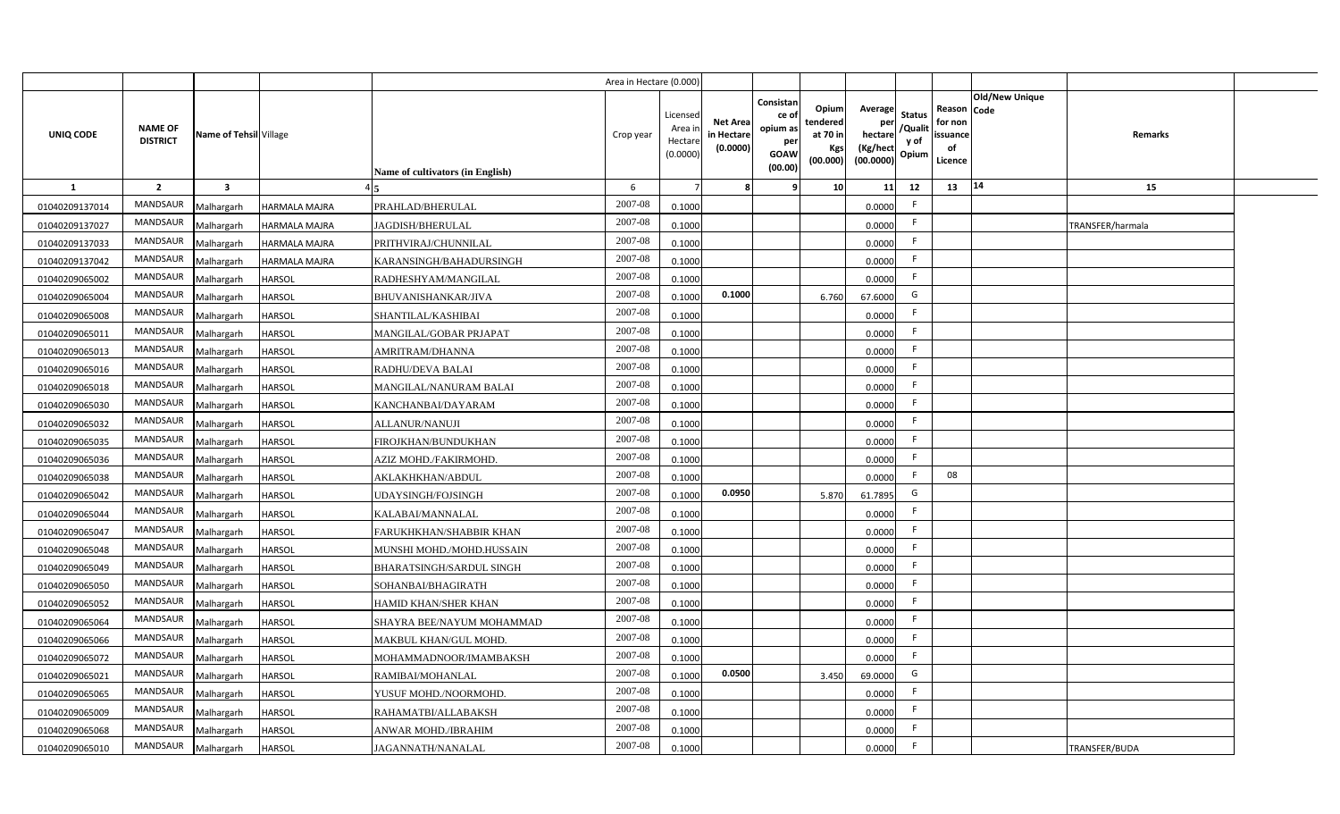|                |                                   |                         |               |                                  | Area in Hectare (0.000) |                                          |                                           |                                                         |                                                          |                                                            |                                  |                                                     |                       |                  |  |
|----------------|-----------------------------------|-------------------------|---------------|----------------------------------|-------------------------|------------------------------------------|-------------------------------------------|---------------------------------------------------------|----------------------------------------------------------|------------------------------------------------------------|----------------------------------|-----------------------------------------------------|-----------------------|------------------|--|
| UNIQ CODE      | <b>NAME OF</b><br><b>DISTRICT</b> | Name of Tehsil Village  |               | Name of cultivators (in English) | Crop year               | Licensed<br>Area i<br>Hectar<br>(0.0000) | <b>Net Area</b><br>in Hectare<br>(0.0000) | Consistan<br>ce o<br>opium as<br>per<br>GOAW<br>(00.00) | Opiuml<br>tendered<br>at 70 in<br><b>Kgs</b><br>(00.000) | Average<br>per<br>hectare<br>(Kg/hect<br>$(00.0000)$ Opium | <b>Status</b><br>/Qualit<br>y of | Reason Code<br>for non<br>issuance<br>of<br>Licence | <b>Old/New Unique</b> | Remarks          |  |
| <b>1</b>       | $\overline{2}$                    | $\overline{\mathbf{3}}$ |               |                                  | 6                       |                                          |                                           |                                                         | 10                                                       | 11                                                         | 12                               | 13                                                  | $ 14\rangle$          | 15               |  |
| 01040209137014 | <b>MANDSAUR</b>                   | Malhargarh              | HARMALA MAJRA | PRAHLAD/BHERULAL                 | 2007-08                 | 0.1000                                   |                                           |                                                         |                                                          | 0.0000                                                     | F.                               |                                                     |                       |                  |  |
| 01040209137027 | <b>MANDSAUR</b>                   | Malhargarh              | HARMALA MAJRA | <b>JAGDISH/BHERULAL</b>          | 2007-08                 | 0.1000                                   |                                           |                                                         |                                                          | 0.0000                                                     | F.                               |                                                     |                       | TRANSFER/harmala |  |
| 01040209137033 | <b>MANDSAUR</b>                   | Malhargarh              | HARMALA MAJRA | PRITHVIRAJ/CHUNNILAL             | 2007-08                 | 0.1000                                   |                                           |                                                         |                                                          | 0.0000                                                     | F.                               |                                                     |                       |                  |  |
| 01040209137042 | <b>MANDSAUR</b>                   | Malhargarh              | HARMALA MAJRA | KARANSINGH/BAHADURSINGH          | 2007-08                 | 0.1000                                   |                                           |                                                         |                                                          | 0.0000                                                     | F.                               |                                                     |                       |                  |  |
| 01040209065002 | MANDSAUR                          | Malhargarh              | HARSOL        | RADHESHYAM/MANGILAL              | 2007-08                 | 0.1000                                   |                                           |                                                         |                                                          | 0.0000                                                     | F.                               |                                                     |                       |                  |  |
| 01040209065004 | <b>MANDSAUR</b>                   | Malhargarh              | HARSOL        | BHUVANISHANKAR/JIVA              | 2007-08                 | 0.1000                                   | 0.1000                                    |                                                         | 6.760                                                    | 67.6000                                                    | G                                |                                                     |                       |                  |  |
| 01040209065008 | <b>MANDSAUR</b>                   | Malhargarh              | HARSOL        | SHANTILAL/KASHIBAI               | 2007-08                 | 0.1000                                   |                                           |                                                         |                                                          | 0.0000                                                     | F.                               |                                                     |                       |                  |  |
| 01040209065011 | <b>MANDSAUR</b>                   | Malhargarh              | <b>HARSOL</b> | MANGILAL/GOBAR PRJAPAT           | 2007-08                 | 0.1000                                   |                                           |                                                         |                                                          | 0.0000                                                     | F.                               |                                                     |                       |                  |  |
| 01040209065013 | <b>MANDSAUR</b>                   | Malhargarh              | <b>HARSOL</b> | AMRITRAM/DHANNA                  | 2007-08                 | 0.1000                                   |                                           |                                                         |                                                          | 0.0000                                                     | F.                               |                                                     |                       |                  |  |
| 01040209065016 | <b>MANDSAUR</b>                   | Malhargarh              | <b>HARSOL</b> | RADHU/DEVA BALAI                 | 2007-08                 | 0.1000                                   |                                           |                                                         |                                                          | 0.0000                                                     | F                                |                                                     |                       |                  |  |
| 01040209065018 | <b>MANDSAUR</b>                   | Malhargarh              | HARSOL        | MANGILAL/NANURAM BALAI           | 2007-08                 | 0.1000                                   |                                           |                                                         |                                                          | 0.0000                                                     | F.                               |                                                     |                       |                  |  |
| 01040209065030 | <b>MANDSAUR</b>                   | Malhargarh              | HARSOL        | KANCHANBAI/DAYARAM               | 2007-08                 | 0.1000                                   |                                           |                                                         |                                                          | 0.0000                                                     | F.                               |                                                     |                       |                  |  |
| 01040209065032 | <b>MANDSAUR</b>                   | Malhargarh              | HARSOL        | ALLANUR/NANUJI                   | 2007-08                 | 0.1000                                   |                                           |                                                         |                                                          | 0.0000                                                     | F.                               |                                                     |                       |                  |  |
| 01040209065035 | <b>MANDSAUR</b>                   | Malhargarh              | HARSOL        | FIROJKHAN/BUNDUKHAN              | 2007-08                 | 0.1000                                   |                                           |                                                         |                                                          | 0.0000                                                     | F.                               |                                                     |                       |                  |  |
| 01040209065036 | MANDSAUR                          | Malhargarh              | HARSOL        | AZIZ MOHD./FAKIRMOHD.            | 2007-08                 | 0.1000                                   |                                           |                                                         |                                                          | 0.0000                                                     | F.                               |                                                     |                       |                  |  |
| 01040209065038 | <b>MANDSAUR</b>                   | Malhargarh              | HARSOL        | AKLAKHKHAN/ABDUL                 | 2007-08                 | 0.1000                                   |                                           |                                                         |                                                          | 0.0000                                                     | F.                               | 08                                                  |                       |                  |  |
| 01040209065042 | <b>MANDSAUR</b>                   | Malhargarh              | HARSOL        | UDAYSINGH/FOJSINGH               | 2007-08                 | 0.1000                                   | 0.0950                                    |                                                         | 5.870                                                    | 61.7895                                                    | G                                |                                                     |                       |                  |  |
| 01040209065044 | <b>MANDSAUR</b>                   | Malhargarh              | HARSOL        | KALABAI/MANNALAL                 | 2007-08                 | 0.1000                                   |                                           |                                                         |                                                          | 0.0000                                                     | F.                               |                                                     |                       |                  |  |
| 01040209065047 | <b>MANDSAUR</b>                   | Malhargarh              | HARSOL        | FARUKHKHAN/SHABBIR KHAN          | 2007-08                 | 0.1000                                   |                                           |                                                         |                                                          | 0.0000                                                     | F.                               |                                                     |                       |                  |  |
| 01040209065048 | <b>MANDSAUR</b>                   | Malhargarh              | HARSOL        | MUNSHI MOHD./MOHD.HUSSAIN        | 2007-08                 | 0.1000                                   |                                           |                                                         |                                                          | 0.0000                                                     | F.                               |                                                     |                       |                  |  |
| 01040209065049 | <b>MANDSAUF</b>                   | Malhargarh              | HARSOL        | <b>BHARATSINGH/SARDUL SINGH</b>  | 2007-08                 | 0.1000                                   |                                           |                                                         |                                                          | 0.0000                                                     | F.                               |                                                     |                       |                  |  |
| 01040209065050 | <b>MANDSAUR</b>                   | Malhargarh              | HARSOL        | SOHANBAI/BHAGIRATH               | 2007-08                 | 0.1000                                   |                                           |                                                         |                                                          | 0.0000                                                     | F.                               |                                                     |                       |                  |  |
| 01040209065052 | <b>MANDSAUR</b>                   | Malhargarh              | HARSOL        | HAMID KHAN/SHER KHAN             | 2007-08                 | 0.1000                                   |                                           |                                                         |                                                          | 0.0000                                                     | F.                               |                                                     |                       |                  |  |
| 01040209065064 | <b>MANDSAUR</b>                   | Malhargarh              | HARSOL        | SHAYRA BEE/NAYUM MOHAMMAD        | 2007-08                 | 0.1000                                   |                                           |                                                         |                                                          | 0.0000                                                     | F.                               |                                                     |                       |                  |  |
| 01040209065066 | <b>MANDSAUR</b>                   | Malhargarh              | HARSOL        | MAKBUL KHAN/GUL MOHD.            | 2007-08                 | 0.1000                                   |                                           |                                                         |                                                          | 0.0000                                                     | F.                               |                                                     |                       |                  |  |
| 01040209065072 | <b>MANDSAUR</b>                   | Malhargarh              | HARSOL        | MOHAMMADNOOR/IMAMBAKSH           | 2007-08                 | 0.1000                                   |                                           |                                                         |                                                          | 0.0000                                                     | F.                               |                                                     |                       |                  |  |
| 01040209065021 | <b>MANDSAUR</b>                   | Malhargarh              | HARSOL        | RAMIBAI/MOHANLAL                 | 2007-08                 | 0.1000                                   | 0.0500                                    |                                                         | 3.450                                                    | 69.0000                                                    | G                                |                                                     |                       |                  |  |
| 01040209065065 | <b>MANDSAUR</b>                   | Malhargarh              | HARSOL        | YUSUF MOHD./NOORMOHD.            | 2007-08                 | 0.1000                                   |                                           |                                                         |                                                          | 0.0000                                                     | F.                               |                                                     |                       |                  |  |
| 01040209065009 | <b>MANDSAUR</b>                   | Malhargarh              | HARSOL        | RAHAMATBI/ALLABAKSH              | 2007-08                 | 0.1000                                   |                                           |                                                         |                                                          | 0.0000                                                     | F.                               |                                                     |                       |                  |  |
| 01040209065068 | <b>MANDSAUR</b>                   | Malhargarh              | HARSOL        | ANWAR MOHD./IBRAHIM              | 2007-08                 | 0.1000                                   |                                           |                                                         |                                                          | 0.0000                                                     | F.                               |                                                     |                       |                  |  |
| 01040209065010 | MANDSAUR                          | Malhargarh              | HARSOL        | JAGANNATH/NANALAL                | 2007-08                 | 0.1000                                   |                                           |                                                         |                                                          | 0.0000                                                     | F.                               |                                                     |                       | TRANSFER/BUDA    |  |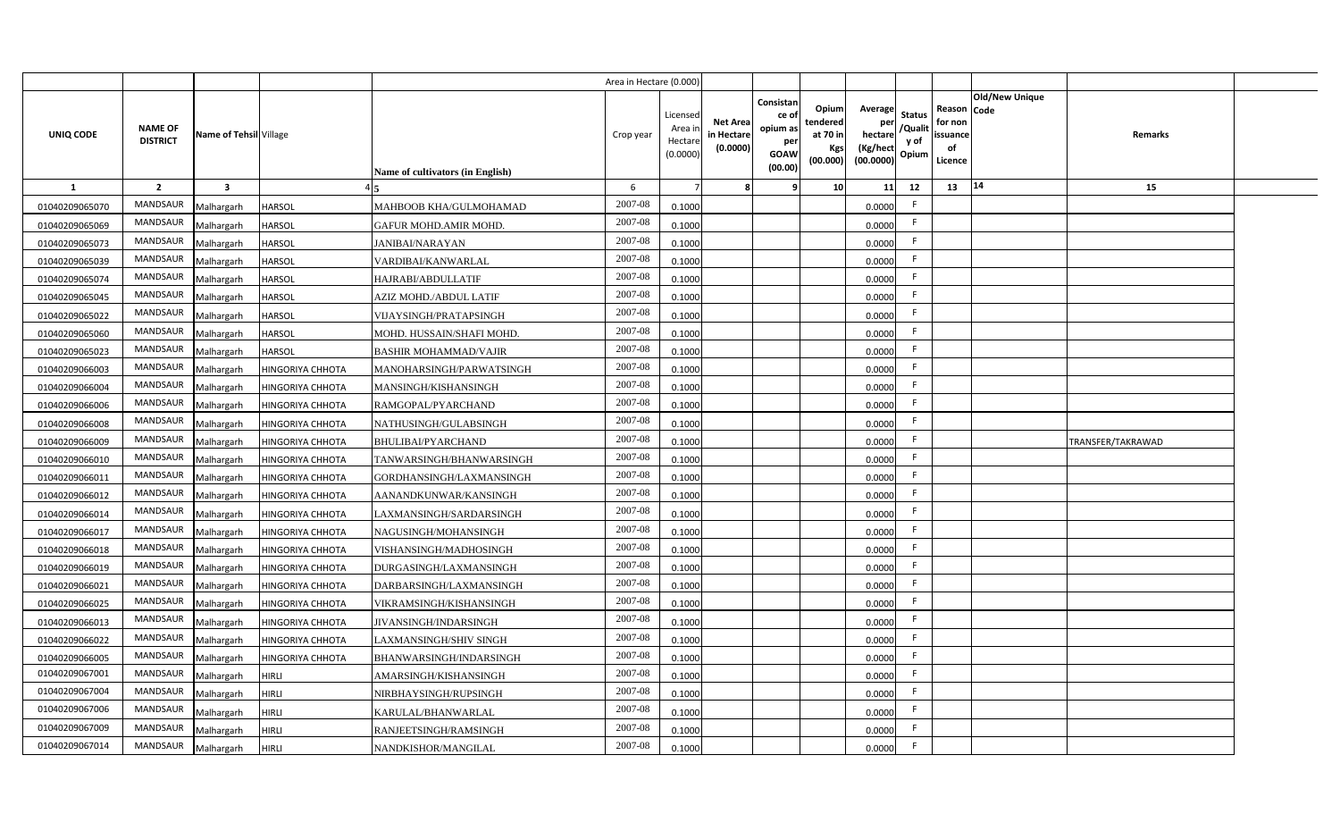|                |                                   |                         |                  |                                  | Area in Hectare (0.000) |                                          |                                           |                                                         |                                                   |                                                            |                                  |                                                     |                       |                   |  |
|----------------|-----------------------------------|-------------------------|------------------|----------------------------------|-------------------------|------------------------------------------|-------------------------------------------|---------------------------------------------------------|---------------------------------------------------|------------------------------------------------------------|----------------------------------|-----------------------------------------------------|-----------------------|-------------------|--|
| UNIQ CODE      | <b>NAME OF</b><br><b>DISTRICT</b> | Name of Tehsil Village  |                  | Name of cultivators (in English) | Crop year               | Licensed<br>Area i<br>Hectar<br>(0.0000) | <b>Net Area</b><br>in Hectare<br>(0.0000) | Consistan<br>ce o<br>opium as<br>per<br>GOAW<br>(00.00) | Opiuml<br>tendered<br>at 70 in<br>Kgs<br>(00.000) | Average<br>per<br>hectare<br>(Kg/hect<br>$(00.0000)$ Opium | <b>Status</b><br>/Qualit<br>y of | Reason Code<br>for non<br>issuance<br>of<br>Licence | <b>Old/New Unique</b> | Remarks           |  |
| <b>1</b>       | $\overline{2}$                    | $\overline{\mathbf{3}}$ |                  |                                  | 6                       |                                          |                                           |                                                         | 10                                                | 11                                                         | 12                               | 13                                                  | 14                    | 15                |  |
| 01040209065070 | <b>MANDSAUR</b>                   | Malhargarh              | HARSOL           | MAHBOOB KHA/GULMOHAMAD           | 2007-08                 | 0.1000                                   |                                           |                                                         |                                                   | 0.0000                                                     | F.                               |                                                     |                       |                   |  |
| 01040209065069 | <b>MANDSAUR</b>                   | Malhargarh              | HARSOL           | <b>GAFUR MOHD.AMIR MOHD.</b>     | 2007-08                 | 0.1000                                   |                                           |                                                         |                                                   | 0.0000                                                     | F.                               |                                                     |                       |                   |  |
| 01040209065073 | <b>MANDSAUR</b>                   | Malhargarh              | HARSOL           | JANIBAI/NARAYAN                  | 2007-08                 | 0.1000                                   |                                           |                                                         |                                                   | 0.0000                                                     | F.                               |                                                     |                       |                   |  |
| 01040209065039 | <b>MANDSAUR</b>                   | Malhargarh              | HARSOL           | VARDIBAI/KANWARLAL               | 2007-08                 | 0.1000                                   |                                           |                                                         |                                                   | 0.0000                                                     | F.                               |                                                     |                       |                   |  |
| 01040209065074 | <b>MANDSAUR</b>                   | Malhargarh              | HARSOL           | HAJRABI/ABDULLATIF               | 2007-08                 | 0.1000                                   |                                           |                                                         |                                                   | 0.0000                                                     | F.                               |                                                     |                       |                   |  |
| 01040209065045 | <b>MANDSAUR</b>                   | Malhargarh              | HARSOL           | AZIZ MOHD./ABDUL LATIF           | 2007-08                 | 0.1000                                   |                                           |                                                         |                                                   | 0.0000                                                     | F.                               |                                                     |                       |                   |  |
| 01040209065022 | <b>MANDSAUR</b>                   | Malhargarh              | HARSOL           | VIJAYSINGH/PRATAPSINGH           | 2007-08                 | 0.1000                                   |                                           |                                                         |                                                   | 0.0000                                                     | F.                               |                                                     |                       |                   |  |
| 01040209065060 | <b>MANDSAUR</b>                   | Malhargarh              | HARSOL           | MOHD. HUSSAIN/SHAFI MOHD.        | 2007-08                 | 0.1000                                   |                                           |                                                         |                                                   | 0.0000                                                     | F.                               |                                                     |                       |                   |  |
| 01040209065023 | <b>MANDSAUR</b>                   | Malhargarh              | HARSOL           | <b>BASHIR MOHAMMAD/VAJIR</b>     | 2007-08                 | 0.1000                                   |                                           |                                                         |                                                   | 0.0000                                                     | F                                |                                                     |                       |                   |  |
| 01040209066003 | <b>MANDSAUR</b>                   | Malhargarh              | HINGORIYA CHHOTA | MANOHARSINGH/PARWATSINGH         | 2007-08                 | 0.1000                                   |                                           |                                                         |                                                   | 0.0000                                                     | F                                |                                                     |                       |                   |  |
| 01040209066004 | MANDSAUR                          | Malhargarh              | HINGORIYA CHHOTA | MANSINGH/KISHANSINGH             | 2007-08                 | 0.1000                                   |                                           |                                                         |                                                   | 0.0000                                                     | F.                               |                                                     |                       |                   |  |
| 01040209066006 | MANDSAUR                          | Malhargarh              | HINGORIYA CHHOTA | RAMGOPAL/PYARCHAND               | 2007-08                 | 0.1000                                   |                                           |                                                         |                                                   | 0.0000                                                     | F.                               |                                                     |                       |                   |  |
| 01040209066008 | <b>MANDSAUR</b>                   | Malhargarh              | HINGORIYA CHHOTA | NATHUSINGH/GULABSINGH            | 2007-08                 | 0.1000                                   |                                           |                                                         |                                                   | 0.0000                                                     | F.                               |                                                     |                       |                   |  |
| 01040209066009 | MANDSAUR                          | Malhargarh              | HINGORIYA CHHOTA | <b>BHULIBAI/PYARCHAND</b>        | 2007-08                 | 0.1000                                   |                                           |                                                         |                                                   | 0.0000                                                     | F.                               |                                                     |                       | TRANSFER/TAKRAWAD |  |
| 01040209066010 | <b>MANDSAUR</b>                   | Malhargarh              | HINGORIYA CHHOTA | TANWARSINGH/BHANWARSINGH         | 2007-08                 | 0.1000                                   |                                           |                                                         |                                                   | 0.0000                                                     | F.                               |                                                     |                       |                   |  |
| 01040209066011 | MANDSAUR                          | Malhargarh              | HINGORIYA CHHOTA | GORDHANSINGH/LAXMANSINGH         | 2007-08                 | 0.1000                                   |                                           |                                                         |                                                   | 0.0000                                                     | F.                               |                                                     |                       |                   |  |
| 01040209066012 | <b>MANDSAUR</b>                   | Malhargarh              | HINGORIYA CHHOTA | AANANDKUNWAR/KANSINGH            | 2007-08                 | 0.1000                                   |                                           |                                                         |                                                   | 0.0000                                                     | F.                               |                                                     |                       |                   |  |
| 01040209066014 | <b>MANDSAUR</b>                   | Malhargarh              | HINGORIYA CHHOTA | LAXMANSINGH/SARDARSINGH          | 2007-08                 | 0.1000                                   |                                           |                                                         |                                                   | 0.0000                                                     | F.                               |                                                     |                       |                   |  |
| 01040209066017 | MANDSAUR                          | Malhargarh              | HINGORIYA CHHOTA | NAGUSINGH/MOHANSINGH             | 2007-08                 | 0.1000                                   |                                           |                                                         |                                                   | 0.0000                                                     | F.                               |                                                     |                       |                   |  |
| 01040209066018 | <b>MANDSAUR</b>                   | Malhargarh              | HINGORIYA CHHOTA | VISHANSINGH/MADHOSINGH           | 2007-08                 | 0.1000                                   |                                           |                                                         |                                                   | 0.0000                                                     | F.                               |                                                     |                       |                   |  |
| 01040209066019 | <b>MANDSAUR</b>                   | Malhargarh              | HINGORIYA CHHOTA | DURGASINGH/LAXMANSINGH           | 2007-08                 | 0.1000                                   |                                           |                                                         |                                                   | 0.0000                                                     | F.                               |                                                     |                       |                   |  |
| 01040209066021 | <b>MANDSAUR</b>                   | Malhargarh              | HINGORIYA CHHOTA | DARBARSINGH/LAXMANSINGH          | 2007-08                 | 0.1000                                   |                                           |                                                         |                                                   | 0.0000                                                     | F.                               |                                                     |                       |                   |  |
| 01040209066025 | <b>MANDSAUR</b>                   | Malhargarh              | HINGORIYA CHHOTA | VIKRAMSINGH/KISHANSINGH          | 2007-08                 | 0.1000                                   |                                           |                                                         |                                                   | 0.0000                                                     | F.                               |                                                     |                       |                   |  |
| 01040209066013 | MANDSAUR                          | Malhargarh              | HINGORIYA CHHOTA | <b>JIVANSINGH/INDARSINGH</b>     | 2007-08                 | 0.1000                                   |                                           |                                                         |                                                   | 0.0000                                                     | F.                               |                                                     |                       |                   |  |
| 01040209066022 | <b>MANDSAUR</b>                   | Malhargarh              | HINGORIYA CHHOTA | LAXMANSINGH/SHIV SINGH           | 2007-08                 | 0.1000                                   |                                           |                                                         |                                                   | 0.0000                                                     | F.                               |                                                     |                       |                   |  |
| 01040209066005 | <b>MANDSAUR</b>                   | Malhargarh              | HINGORIYA CHHOTA | BHANWARSINGH/INDARSINGH          | 2007-08                 | 0.1000                                   |                                           |                                                         |                                                   | 0.0000                                                     | F.                               |                                                     |                       |                   |  |
| 01040209067001 | <b>MANDSAUR</b>                   | Malhargarh              | HIRLI            | AMARSINGH/KISHANSINGH            | 2007-08                 | 0.1000                                   |                                           |                                                         |                                                   | 0.0000                                                     | F.                               |                                                     |                       |                   |  |
| 01040209067004 | <b>MANDSAUR</b>                   | Malhargarh              | HIRLI            | NIRBHAYSINGH/RUPSINGH            | 2007-08                 | 0.1000                                   |                                           |                                                         |                                                   | 0.0000                                                     | F                                |                                                     |                       |                   |  |
| 01040209067006 | <b>MANDSAUR</b>                   | Malhargarh              | HIRLI            | KARULAL/BHANWARLAL               | 2007-08                 | 0.1000                                   |                                           |                                                         |                                                   | 0.0000                                                     | F.                               |                                                     |                       |                   |  |
| 01040209067009 | <b>MANDSAUR</b>                   | Malhargarh              | HIRLI            | RANJEETSINGH/RAMSINGH            | 2007-08                 | 0.1000                                   |                                           |                                                         |                                                   | 0.0000                                                     | F.                               |                                                     |                       |                   |  |
| 01040209067014 | <b>MANDSAUR</b>                   | Malhargarh              | HIRLI            | NANDKISHOR/MANGILAL              | 2007-08                 | 0.1000                                   |                                           |                                                         |                                                   | 0.0000                                                     | F.                               |                                                     |                       |                   |  |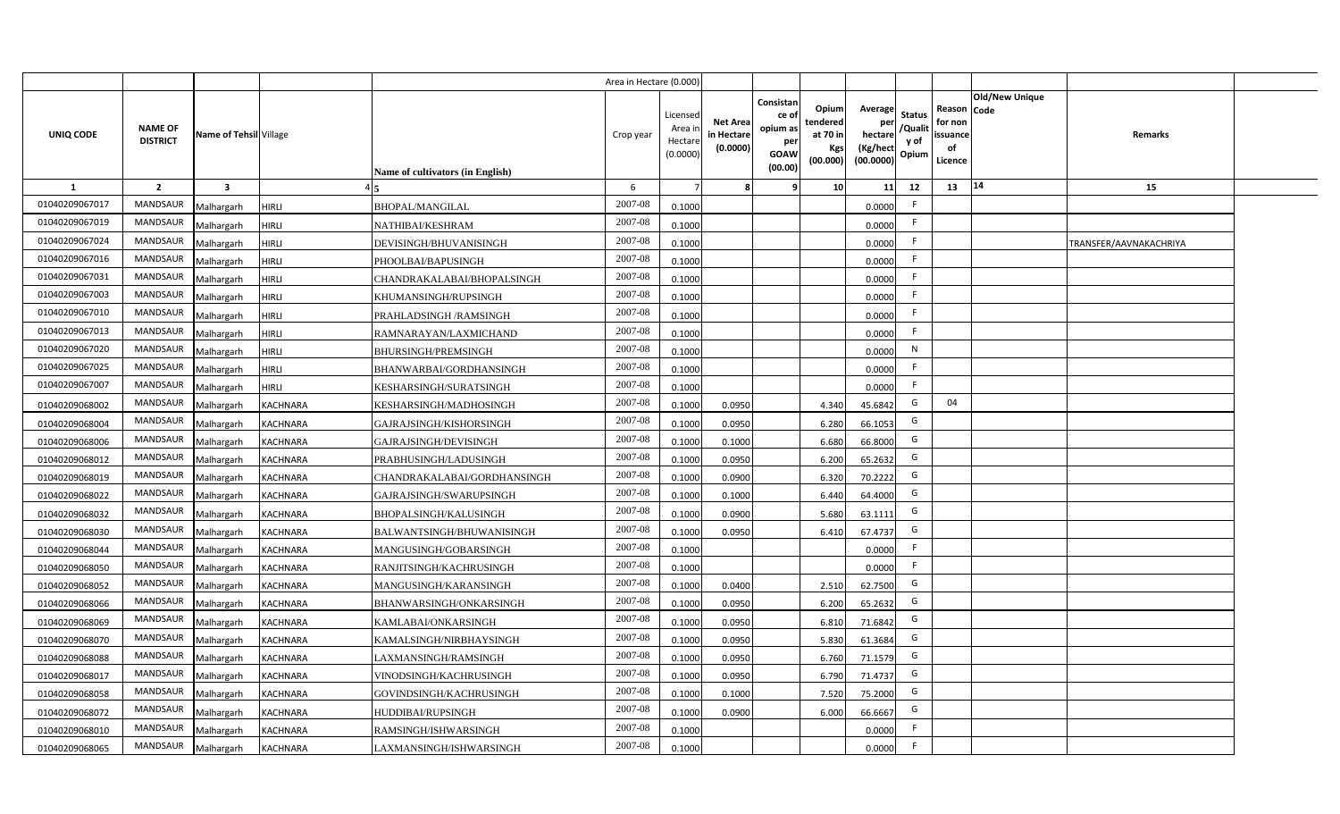|                |                                   |                         |                 |                                  | Area in Hectare (0.000) |                                          |                                           |                                                                |                                                  |                                                    |                                           |                                                                       |                        |  |
|----------------|-----------------------------------|-------------------------|-----------------|----------------------------------|-------------------------|------------------------------------------|-------------------------------------------|----------------------------------------------------------------|--------------------------------------------------|----------------------------------------------------|-------------------------------------------|-----------------------------------------------------------------------|------------------------|--|
| UNIQ CODE      | <b>NAME OF</b><br><b>DISTRICT</b> | Name of Tehsil Village  |                 | Name of cultivators (in English) | Crop year               | Licensec<br>Area i<br>Hectar<br>(0.0000) | <b>Net Area</b><br>in Hectare<br>(0.0000) | Consistan<br>ce o<br>opium as<br>per<br><b>GOAW</b><br>(00.00) | Opium<br>tendered<br>at 70 in<br>Kgs<br>(00.000) | Average<br>per<br>hectare<br>(Kg/hect<br>(00.0000) | <b>Status</b><br>/Qualit<br>y of<br>Opium | Old/New Unique<br>Reason Code<br>for non<br>issuance<br>of<br>Licence | Remarks                |  |
| <b>1</b>       | $\overline{2}$                    | $\overline{\mathbf{3}}$ |                 |                                  | 6                       |                                          |                                           |                                                                | 10                                               | 11                                                 | 12                                        | 14<br>13                                                              | 15                     |  |
| 01040209067017 | <b>MANDSAUR</b>                   | Malhargarh              | <b>HIRLI</b>    | BHOPAL/MANGILAL                  | 2007-08                 | 0.1000                                   |                                           |                                                                |                                                  | 0.0000                                             | F.                                        |                                                                       |                        |  |
| 01040209067019 | MANDSAUR                          | Malhargarh              | HIRLI           | NATHIBAI/KESHRAM                 | 2007-08                 | 0.1000                                   |                                           |                                                                |                                                  | 0.0000                                             | F.                                        |                                                                       |                        |  |
| 01040209067024 | <b>MANDSAUR</b>                   | Malhargarh              | <b>HIRLI</b>    | DEVISINGH/BHUVANISINGH           | 2007-08                 | 0.1000                                   |                                           |                                                                |                                                  | 0.0000                                             | -F                                        |                                                                       | TRANSFER/AAVNAKACHRIYA |  |
| 01040209067016 | <b>MANDSAUR</b>                   | Malhargarh              | HIRLI           | PHOOLBAI/BAPUSINGH               | 2007-08                 | 0.1000                                   |                                           |                                                                |                                                  | 0.0000                                             | F.                                        |                                                                       |                        |  |
| 01040209067031 | <b>MANDSAUR</b>                   | Malhargarh              | <b>HIRLI</b>    | CHANDRAKALABAI/BHOPALSINGH       | 2007-08                 | 0.1000                                   |                                           |                                                                |                                                  | 0.0000                                             | -F                                        |                                                                       |                        |  |
| 01040209067003 | <b>MANDSAUR</b>                   | Malhargarh              | HIRLI           | KHUMANSINGH/RUPSINGH             | 2007-08                 | 0.1000                                   |                                           |                                                                |                                                  | 0.0000                                             | F.                                        |                                                                       |                        |  |
| 01040209067010 | <b>MANDSAUR</b>                   | Malhargarh              | <b>HIRLI</b>    | PRAHLADSINGH /RAMSINGH           | 2007-08                 | 0.1000                                   |                                           |                                                                |                                                  | 0.0000                                             | F.                                        |                                                                       |                        |  |
| 01040209067013 | <b>MANDSAUR</b>                   | Malhargarh              | <b>HIRLI</b>    | RAMNARAYAN/LAXMICHAND            | 2007-08                 | 0.1000                                   |                                           |                                                                |                                                  | 0.0000                                             | F.                                        |                                                                       |                        |  |
| 01040209067020 | <b>MANDSAUR</b>                   | Malhargarh              | <b>HIRLI</b>    | BHURSINGH/PREMSINGH              | 2007-08                 | 0.1000                                   |                                           |                                                                |                                                  | 0.0000                                             | N                                         |                                                                       |                        |  |
| 01040209067025 | <b>MANDSAUR</b>                   | Malhargarh              | <b>HIRLI</b>    | BHANWARBAI/GORDHANSINGH          | 2007-08                 | 0.1000                                   |                                           |                                                                |                                                  | 0.0000                                             | F.                                        |                                                                       |                        |  |
| 01040209067007 | MANDSAUR                          | Malhargarh              | <b>HIRLI</b>    | KESHARSINGH/SURATSINGH           | 2007-08                 | 0.1000                                   |                                           |                                                                |                                                  | 0.0000                                             | $\mathsf{F}$                              |                                                                       |                        |  |
| 01040209068002 | MANDSAUR                          | Malhargarh              | <b>KACHNARA</b> | KESHARSINGH/MADHOSINGH           | 2007-08                 | 0.1000                                   | 0.0950                                    |                                                                | 4.340                                            | 45.6842                                            | G                                         | 04                                                                    |                        |  |
| 01040209068004 | MANDSAUR                          | Malhargarh              | <b>KACHNARA</b> | GAJRAJSINGH/KISHORSINGH          | 2007-08                 | 0.1000                                   | 0.0950                                    |                                                                | 6.280                                            | 66.1053                                            | G                                         |                                                                       |                        |  |
| 01040209068006 | MANDSAUR                          | Malhargarh              | <b>KACHNARA</b> | GAJRAJSINGH/DEVISINGH            | 2007-08                 | 0.1000                                   | 0.1000                                    |                                                                | 6.680                                            | 66.8000                                            | G                                         |                                                                       |                        |  |
| 01040209068012 | MANDSAUR                          | Malhargarh              | <b>KACHNARA</b> | PRABHUSINGH/LADUSINGH            | 2007-08                 | 0.1000                                   | 0.0950                                    |                                                                | 6.200                                            | 65.2632                                            | G                                         |                                                                       |                        |  |
| 01040209068019 | MANDSAUR                          | Malhargarh              | <b>KACHNARA</b> | CHANDRAKALABAI/GORDHANSINGH      | 2007-08                 | 0.1000                                   | 0.0900                                    |                                                                | 6.320                                            | 70.2222                                            | G                                         |                                                                       |                        |  |
| 01040209068022 | MANDSAUR                          | Malhargarh              | <b>KACHNARA</b> | GAJRAJSINGH/SWARUPSINGH          | 2007-08                 | 0.1000                                   | 0.1000                                    |                                                                | 6.440                                            | 64.4000                                            | G                                         |                                                                       |                        |  |
| 01040209068032 | MANDSAUR                          | Malhargarh              | <b>KACHNARA</b> | BHOPALSINGH/KALUSINGH            | 2007-08                 | 0.1000                                   | 0.0900                                    |                                                                | 5.680                                            | 63.1111                                            | G                                         |                                                                       |                        |  |
| 01040209068030 | MANDSAUR                          | Malhargarh              | <b>KACHNARA</b> | BALWANTSINGH/BHUWANISINGH        | 2007-08                 | 0.100                                    | 0.0950                                    |                                                                | 6.410                                            | 67.4737                                            | G                                         |                                                                       |                        |  |
| 01040209068044 | MANDSAUR                          | Malhargarh              | <b>KACHNARA</b> | MANGUSINGH/GOBARSINGH            | 2007-08                 | 0.1000                                   |                                           |                                                                |                                                  | 0.0000                                             | F.                                        |                                                                       |                        |  |
| 01040209068050 | MANDSAUR                          | Malhargarh              | <b>KACHNARA</b> | RANJITSINGH/KACHRUSINGH          | 2007-08                 | 0.1000                                   |                                           |                                                                |                                                  | 0.0000                                             | F.                                        |                                                                       |                        |  |
| 01040209068052 | <b>MANDSAUR</b>                   | Malhargarh              | <b>KACHNARA</b> | MANGUSINGH/KARANSINGH            | 2007-08                 | 0.1000                                   | 0.0400                                    |                                                                | 2.510                                            | 62.7500                                            | G                                         |                                                                       |                        |  |
| 01040209068066 | <b>MANDSAUR</b>                   | Malhargarh              | <b>KACHNARA</b> | BHANWARSINGH/ONKARSINGH          | 2007-08                 | 0.1000                                   | 0.0950                                    |                                                                | 6.200                                            | 65.2632                                            | G                                         |                                                                       |                        |  |
| 01040209068069 | <b>MANDSAUR</b>                   | Malhargarh              | <b>KACHNARA</b> | KAMLABAI/ONKARSINGH              | 2007-08                 | 0.1000                                   | 0.0950                                    |                                                                | 6.810                                            | 71.6842                                            | G                                         |                                                                       |                        |  |
| 01040209068070 | <b>MANDSAUR</b>                   | Malhargarh              | <b>KACHNARA</b> | KAMALSINGH/NIRBHAYSINGH          | 2007-08                 | 0.1000                                   | 0.0950                                    |                                                                | 5.830                                            | 61.3684                                            | G                                         |                                                                       |                        |  |
| 01040209068088 | MANDSAUR                          | Malhargarh              | <b>KACHNARA</b> | AXMANSINGH/RAMSINGH              | 2007-08                 | 0.1000                                   | 0.0950                                    |                                                                | 6.760                                            | 71.1579                                            | G                                         |                                                                       |                        |  |
| 01040209068017 | <b>MANDSAUR</b>                   | Malhargarh              | <b>KACHNARA</b> | VINODSINGH/KACHRUSINGH           | 2007-08                 | 0.1000                                   | 0.0950                                    |                                                                | 6.790                                            | 71.4737                                            | G                                         |                                                                       |                        |  |
| 01040209068058 | MANDSAUR                          | Malhargarh              | <b>KACHNARA</b> | GOVINDSINGH/KACHRUSINGH          | 2007-08                 | 0.1000                                   | 0.1000                                    |                                                                | 7.520                                            | 75.2000                                            | G                                         |                                                                       |                        |  |
| 01040209068072 | MANDSAUR                          | Malhargarh              | <b>KACHNARA</b> | HUDDIBAI/RUPSINGH                | 2007-08                 | 0.1000                                   | 0.0900                                    |                                                                | 6.000                                            | 66.6667                                            | G                                         |                                                                       |                        |  |
| 01040209068010 | MANDSAUR                          | Malhargarh              | <b>KACHNARA</b> | RAMSINGH/ISHWARSINGH             | 2007-08                 | 0.1000                                   |                                           |                                                                |                                                  | 0.0000                                             | $\mathsf{F}$                              |                                                                       |                        |  |
| 01040209068065 | MANDSAUR                          | Malhargarh              | <b>KACHNARA</b> | AXMANSINGH/ISHWARSINGH           | 2007-08                 | 0.1000                                   |                                           |                                                                |                                                  | 0.0000                                             | $\mathsf{F}$                              |                                                                       |                        |  |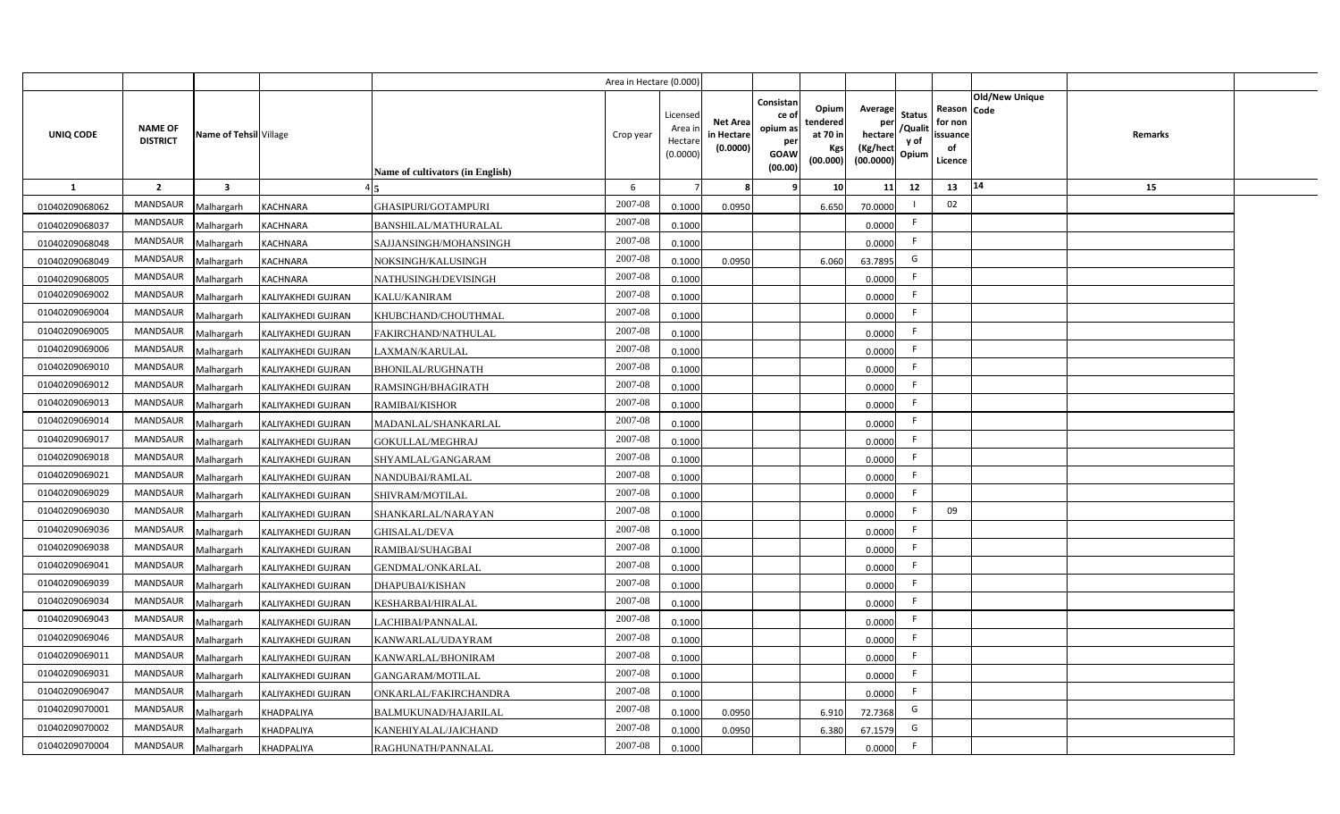|                |                                   |                         |                           |                                  | Area in Hectare (0.000) |                                           |                                           |                                                                 |                                                  |                                                    |                                           |                                                     |                       |         |  |
|----------------|-----------------------------------|-------------------------|---------------------------|----------------------------------|-------------------------|-------------------------------------------|-------------------------------------------|-----------------------------------------------------------------|--------------------------------------------------|----------------------------------------------------|-------------------------------------------|-----------------------------------------------------|-----------------------|---------|--|
| UNIQ CODE      | <b>NAME OF</b><br><b>DISTRICT</b> | Name of Tehsil Village  |                           | Name of cultivators (in English) | Crop year               | Licensed<br>Area i<br>Hectare<br>(0.0000) | <b>Net Area</b><br>in Hectare<br>(0.0000) | Consistan<br>ce of<br>opium as<br>per<br><b>GOAW</b><br>(00.00) | Opium<br>tendered<br>at 70 in<br>Kgs<br>(00.000) | Average<br>per<br>hectare<br>(Kg/hect<br>(00.0000) | <b>Status</b><br>/Qualit<br>y of<br>Opium | Reason Code<br>for non<br>issuance<br>of<br>Licence | <b>Old/New Unique</b> | Remarks |  |
| $\mathbf{1}$   | $\overline{2}$                    | $\overline{\mathbf{3}}$ |                           |                                  | 6                       |                                           | 8                                         | 9                                                               | 10 <sup>1</sup>                                  | 11                                                 | 12                                        | 13                                                  | 14                    | 15      |  |
| 01040209068062 | MANDSAUR                          | Malhargarh              | <b>KACHNARA</b>           | GHASIPURI/GOTAMPURI              | 2007-08                 | 0.1000                                    | 0.0950                                    |                                                                 | 6.650                                            | 70.0000                                            |                                           | 02                                                  |                       |         |  |
| 01040209068037 | <b>MANDSAUR</b>                   | Malhargarh              | <b>KACHNARA</b>           | <b>BANSHILAL/MATHURALAL</b>      | 2007-08                 | 0.1000                                    |                                           |                                                                 |                                                  | 0.0000                                             | F                                         |                                                     |                       |         |  |
| 01040209068048 | <b>MANDSAUR</b>                   | Malhargarh              | <b>KACHNARA</b>           | SAJJANSINGH/MOHANSINGH           | 2007-08                 | 0.1000                                    |                                           |                                                                 |                                                  | 0.0000                                             | F.                                        |                                                     |                       |         |  |
| 01040209068049 | MANDSAUR                          | Malhargarh              | <b>KACHNARA</b>           | NOKSINGH/KALUSINGH               | 2007-08                 | 0.1000                                    | 0.0950                                    |                                                                 | 6.060                                            | 63.7895                                            | G                                         |                                                     |                       |         |  |
| 01040209068005 | MANDSAUR                          | Malhargarh              | <b>KACHNARA</b>           | NATHUSINGH/DEVISINGH             | 2007-08                 | 0.1000                                    |                                           |                                                                 |                                                  | 0.0000                                             | F.                                        |                                                     |                       |         |  |
| 01040209069002 | MANDSAUR                          | Malhargarh              | KALIYAKHEDI GUJRAN        | <b>KALU/KANIRAM</b>              | 2007-08                 | 0.1000                                    |                                           |                                                                 |                                                  | 0.0000                                             | F.                                        |                                                     |                       |         |  |
| 01040209069004 | MANDSAUR                          | Malhargarh              | <b>KALIYAKHEDI GUJRAN</b> | KHUBCHAND/CHOUTHMAL              | 2007-08                 | 0.1000                                    |                                           |                                                                 |                                                  | 0.0000                                             | F                                         |                                                     |                       |         |  |
| 01040209069005 | MANDSAUR                          | Malhargarh              | <b>KALIYAKHEDI GUJRAN</b> | FAKIRCHAND/NATHULAL              | 2007-08                 | 0.1000                                    |                                           |                                                                 |                                                  | 0.0000                                             | F.                                        |                                                     |                       |         |  |
| 01040209069006 | <b>MANDSAUR</b>                   | Malhargarh              | KALIYAKHEDI GUJRAN        | LAXMAN/KARULAL                   | 2007-08                 | 0.1000                                    |                                           |                                                                 |                                                  | 0.0000                                             | F                                         |                                                     |                       |         |  |
| 01040209069010 | MANDSAUR                          | Malhargarh              | <b>KALIYAKHEDI GUJRAN</b> | <b>BHONILAL/RUGHNATH</b>         | 2007-08                 | 0.1000                                    |                                           |                                                                 |                                                  | 0.0000                                             | F.                                        |                                                     |                       |         |  |
| 01040209069012 | <b>MANDSAUR</b>                   | Malhargarh              | <b>KALIYAKHEDI GUJRAN</b> | RAMSINGH/BHAGIRATH               | 2007-08                 | 0.1000                                    |                                           |                                                                 |                                                  | 0.0000                                             | F                                         |                                                     |                       |         |  |
| 01040209069013 | MANDSAUR                          | Malhargarh              | <b>KALIYAKHEDI GUJRAN</b> | <b>RAMIBAI/KISHOR</b>            | 2007-08                 | 0.1000                                    |                                           |                                                                 |                                                  | 0.0000                                             | F.                                        |                                                     |                       |         |  |
| 01040209069014 | <b>MANDSAUR</b>                   | Malhargarh              | <b>KALIYAKHEDI GUJRAN</b> | MADANLAL/SHANKARLAL              | 2007-08                 | 0.1000                                    |                                           |                                                                 |                                                  | 0.0000                                             | F                                         |                                                     |                       |         |  |
| 01040209069017 | <b>MANDSAUR</b>                   | Malhargarh              | KALIYAKHEDI GUJRAN        | GOKULLAL/MEGHRAJ                 | 2007-08                 | 0.1000                                    |                                           |                                                                 |                                                  | 0.0000                                             | F.                                        |                                                     |                       |         |  |
| 01040209069018 | <b>MANDSAUR</b>                   | Malhargarh              | <b>KALIYAKHEDI GUJRAN</b> | SHYAMLAL/GANGARAM                | 2007-08                 | 0.1000                                    |                                           |                                                                 |                                                  | 0.0000                                             | F.                                        |                                                     |                       |         |  |
| 01040209069021 | <b>MANDSAUR</b>                   | Malhargarh              | <b>KALIYAKHEDI GUJRAN</b> | NANDUBAI/RAMLAL                  | 2007-08                 | 0.1000                                    |                                           |                                                                 |                                                  | 0.0000                                             | F                                         |                                                     |                       |         |  |
| 01040209069029 | <b>MANDSAUR</b>                   | Malhargarh              | <b>KALIYAKHEDI GUJRAN</b> | SHIVRAM/MOTILAL                  | 2007-08                 | 0.1000                                    |                                           |                                                                 |                                                  | 0.0000                                             | -F                                        |                                                     |                       |         |  |
| 01040209069030 | <b>MANDSAUR</b>                   | Malhargarh              | <b>KALIYAKHEDI GUJRAN</b> | SHANKARLAL/NARAYAN               | 2007-08                 | 0.1000                                    |                                           |                                                                 |                                                  | 0.0000                                             | -F                                        | 09                                                  |                       |         |  |
| 01040209069036 | <b>MANDSAUR</b>                   | Malhargarh              | <b>KALIYAKHEDI GUJRAN</b> | <b>GHISALAL/DEVA</b>             | 2007-08                 | 0.1000                                    |                                           |                                                                 |                                                  | 0.0000                                             | F                                         |                                                     |                       |         |  |
| 01040209069038 | <b>MANDSAUR</b>                   | Malhargarh              | KALIYAKHEDI GUJRAN        | RAMIBAI/SUHAGBAI                 | 2007-08                 | 0.1000                                    |                                           |                                                                 |                                                  | 0.0000                                             | F                                         |                                                     |                       |         |  |
| 01040209069041 | MANDSAUR                          | Malhargarh              | KALIYAKHEDI GUJRAN        | GENDMAL/ONKARLAL                 | 2007-08                 | 0.1000                                    |                                           |                                                                 |                                                  | 0.0000                                             | F.                                        |                                                     |                       |         |  |
| 01040209069039 | <b>MANDSAUR</b>                   | Malhargarh              | KALIYAKHEDI GUJRAN        | DHAPUBAI/KISHAN                  | 2007-08                 | 0.1000                                    |                                           |                                                                 |                                                  | 0.0000                                             | F                                         |                                                     |                       |         |  |
| 01040209069034 | <b>MANDSAUR</b>                   | Malhargarh              | <b>KALIYAKHEDI GUJRAN</b> | KESHARBAI/HIRALAL                | 2007-08                 | 0.1000                                    |                                           |                                                                 |                                                  | 0.0000                                             | F.                                        |                                                     |                       |         |  |
| 01040209069043 | <b>MANDSAUR</b>                   | Malhargarh              | KALIYAKHEDI GUJRAN        | LACHIBAI/PANNALAL                | $2007 - 08$             | 0.1000                                    |                                           |                                                                 |                                                  | 0.0000                                             | F                                         |                                                     |                       |         |  |
| 01040209069046 | <b>MANDSAUR</b>                   | Malhargarh              | <b>KALIYAKHEDI GUJRAN</b> | KANWARLAL/UDAYRAM                | 2007-08                 | 0.1000                                    |                                           |                                                                 |                                                  | 0.0000                                             | F.                                        |                                                     |                       |         |  |
| 01040209069011 | <b>MANDSAUR</b>                   | Malhargarh              | KALIYAKHEDI GUJRAN        | KANWARLAL/BHONIRAM               | 2007-08                 | 0.1000                                    |                                           |                                                                 |                                                  | 0.0000                                             | F                                         |                                                     |                       |         |  |
| 01040209069031 | <b>MANDSAUR</b>                   | Malhargarh              | <b>KALIYAKHEDI GUJRAN</b> | GANGARAM/MOTILAL                 | 2007-08                 | 0.1000                                    |                                           |                                                                 |                                                  | 0.0000                                             | F                                         |                                                     |                       |         |  |
| 01040209069047 | MANDSAUR                          | Malhargarh              | KALIYAKHEDI GUJRAN        | <b>ONKARLAL/FAKIRCHANDRA</b>     | 2007-08                 | 0.1000                                    |                                           |                                                                 |                                                  | 0.0000                                             | F                                         |                                                     |                       |         |  |
| 01040209070001 | <b>MANDSAUR</b>                   | Malhargarh              | KHADPALIYA                | BALMUKUNAD/HAJARILAL             | 2007-08                 | 0.1000                                    | 0.0950                                    |                                                                 | 6.910                                            | 72.7368                                            | G                                         |                                                     |                       |         |  |
| 01040209070002 | <b>MANDSAUR</b>                   | Malhargarh              | <b>KHADPALIYA</b>         | KANEHIYALAL/JAICHAND             | 2007-08                 | 0.1000                                    | 0.0950                                    |                                                                 | 6.380                                            | 67.1579                                            | G                                         |                                                     |                       |         |  |
| 01040209070004 | MANDSAUR                          | Malhargarh              | <b>KHADPALIYA</b>         | RAGHUNATH/PANNALAL               | 2007-08                 | 0.1000                                    |                                           |                                                                 |                                                  | 0.0000                                             | F                                         |                                                     |                       |         |  |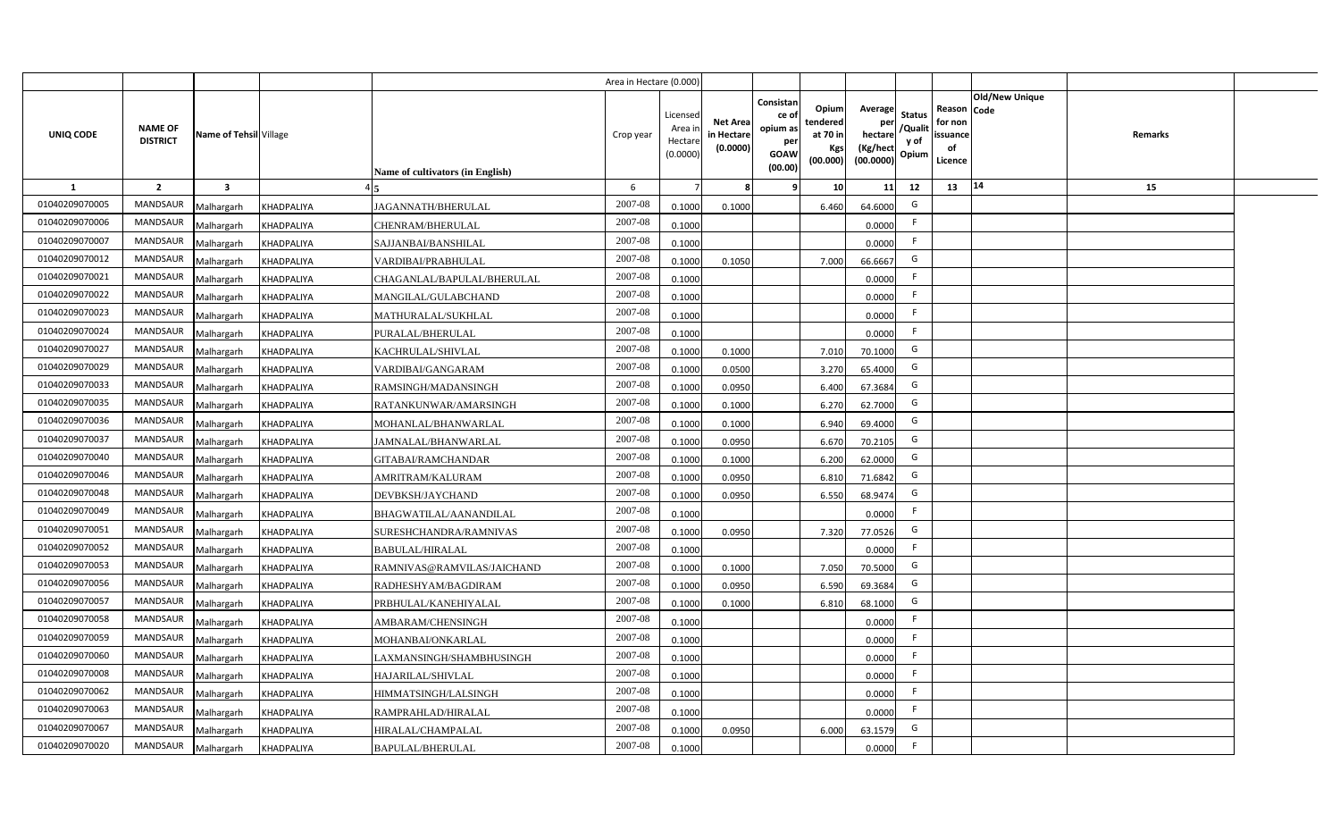|                |                                   |                         |                   |                                  | Area in Hectare (0.000 |                                          |                                          |                                                                 |                                                  |                                                    |                                           |                                                     |                |         |  |
|----------------|-----------------------------------|-------------------------|-------------------|----------------------------------|------------------------|------------------------------------------|------------------------------------------|-----------------------------------------------------------------|--------------------------------------------------|----------------------------------------------------|-------------------------------------------|-----------------------------------------------------|----------------|---------|--|
| UNIQ CODE      | <b>NAME OF</b><br><b>DISTRICT</b> | Name of Tehsil Village  |                   | Name of cultivators (in English) | Crop year              | Licensed<br>Area i<br>Hectar<br>(0.0000) | <b>Net Area</b><br>in Hectar<br>(0.0000) | Consistan<br>ce of<br>opium as<br>per<br><b>GOAW</b><br>(00.00) | Opium<br>tendered<br>at 70 in<br>Kgs<br>(00.000) | Average<br>per<br>hectare<br>(Kg/hect<br>(00.0000) | <b>Status</b><br>/Qualit<br>y of<br>Opium | Reason Code<br>for non<br>issuance<br>of<br>Licence | Old/New Unique | Remarks |  |
| 1              | $\overline{2}$                    | $\overline{\mathbf{3}}$ |                   |                                  | 6                      |                                          |                                          | 9                                                               | 10 <sup>1</sup>                                  | 11                                                 | 12                                        | 13                                                  | 14             | 15      |  |
| 01040209070005 | MANDSAUR                          | Malhargarh              | <b>KHADPALIYA</b> | JAGANNATH/BHERULAL               | 2007-08                | 0.1000                                   | 0.1000                                   |                                                                 | 6.460                                            | 64.6000                                            | G                                         |                                                     |                |         |  |
| 01040209070006 | MANDSAUR                          | Malhargarh              | <b>KHADPALIYA</b> | <b>CHENRAM/BHERULAL</b>          | $2007 - 08$            | 0.1000                                   |                                          |                                                                 |                                                  | 0.0000                                             | -F                                        |                                                     |                |         |  |
| 01040209070007 | MANDSAUR                          | Malhargarh              | <b>KHADPALIYA</b> | SAJJANBAI/BANSHILAL              | 2007-08                | 0.1000                                   |                                          |                                                                 |                                                  | 0.0000                                             | -F                                        |                                                     |                |         |  |
| 01040209070012 | <b>MANDSAUR</b>                   | Malhargarh              | <b>KHADPALIYA</b> | VARDIBAI/PRABHULAL               | 2007-08                | 0.1000                                   | 0.1050                                   |                                                                 | 7.000                                            | 66.6667                                            | G                                         |                                                     |                |         |  |
| 01040209070021 | <b>MANDSAUR</b>                   | Malhargarh              | KHADPALIYA        | CHAGANLAL/BAPULAL/BHERULAL       | 2007-08                | 0.1000                                   |                                          |                                                                 |                                                  | 0.0000                                             |                                           |                                                     |                |         |  |
| 01040209070022 | MANDSAUR                          | Malhargarh              | <b>KHADPALIYA</b> | MANGILAL/GULABCHAND              | 2007-08                | 0.1000                                   |                                          |                                                                 |                                                  | 0.0000                                             | -F                                        |                                                     |                |         |  |
| 01040209070023 | <b>MANDSAUR</b>                   | Malhargarh              | <b>KHADPALIYA</b> | MATHURALAL/SUKHLAL               | 2007-08                | 0.1000                                   |                                          |                                                                 |                                                  | 0.0000                                             | -F                                        |                                                     |                |         |  |
| 01040209070024 | MANDSAUR                          | Malhargarh              | <b>KHADPALIYA</b> | PURALAL/BHERULAL                 | 2007-08                | 0.1000                                   |                                          |                                                                 |                                                  | 0.0000                                             | F.                                        |                                                     |                |         |  |
| 01040209070027 | <b>MANDSAUR</b>                   | Malhargarh              | <b>KHADPALIYA</b> | KACHRULAL/SHIVLAL                | 2007-08                | 0.1000                                   | 0.1000                                   |                                                                 | 7.010                                            | 70.1000                                            | G                                         |                                                     |                |         |  |
| 01040209070029 | <b>MANDSAUR</b>                   | Malhargarh              | <b>KHADPALIYA</b> | VARDIBAI/GANGARAM                | 2007-08                | 0.100                                    | 0.0500                                   |                                                                 | 3.270                                            | 65.4000                                            | G                                         |                                                     |                |         |  |
| 01040209070033 | MANDSAUR                          | Malhargarh              | <b>KHADPALIYA</b> | RAMSINGH/MADANSINGH              | 2007-08                | 0.1000                                   | 0.0950                                   |                                                                 | 6.400                                            | 67.3684                                            | G                                         |                                                     |                |         |  |
| 01040209070035 | <b>MANDSAUR</b>                   | Malhargarh              | <b>KHADPALIYA</b> | RATANKUNWAR/AMARSINGH            | 2007-08                | 0.1000                                   | 0.1000                                   |                                                                 | 6.270                                            | 62.7000                                            | G                                         |                                                     |                |         |  |
| 01040209070036 | <b>MANDSAUR</b>                   | Malhargarh              | <b>KHADPALIYA</b> | MOHANLAL/BHANWARLAL              | 2007-08                | 0.1000                                   | 0.1000                                   |                                                                 | 6.940                                            | 69.4000                                            | G                                         |                                                     |                |         |  |
| 01040209070037 | <b>MANDSAUR</b>                   | Malhargarh              | <b>KHADPALIYA</b> | AMNALAL/BHANWARLAL               | 2007-08                | 0.1000                                   | 0.0950                                   |                                                                 | 6.670                                            | 70.2105                                            | G                                         |                                                     |                |         |  |
| 01040209070040 | <b>MANDSAUR</b>                   | Malhargarh              | <b>KHADPALIYA</b> | GITABAI/RAMCHANDAR               | 2007-08                | 0.1000                                   | 0.1000                                   |                                                                 | 6.200                                            | 62.0000                                            | G                                         |                                                     |                |         |  |
| 01040209070046 | MANDSAUR                          | Malhargarh              | <b>KHADPALIYA</b> | AMRITRAM/KALURAM                 | 2007-08                | 0.1000                                   | 0.0950                                   |                                                                 | 6.810                                            | 71.6842                                            | G                                         |                                                     |                |         |  |
| 01040209070048 | <b>MANDSAUR</b>                   | Malhargarh              | KHADPALIYA        | DEVBKSH/JAYCHAND                 | 2007-08                | 0.100                                    | 0.0950                                   |                                                                 | 6.550                                            | 68.9474                                            | G                                         |                                                     |                |         |  |
| 01040209070049 | <b>MANDSAUR</b>                   | Malhargarh              | <b>KHADPALIYA</b> | BHAGWATILAL/AANANDILAL           | 2007-08                | 0.1000                                   |                                          |                                                                 |                                                  | 0.0000                                             | F.                                        |                                                     |                |         |  |
| 01040209070051 | <b>MANDSAUR</b>                   | Malhargarh              | <b>KHADPALIYA</b> | SURESHCHANDRA/RAMNIVAS           | 2007-08                | 0.1000                                   | 0.0950                                   |                                                                 | 7.320                                            | 77.0526                                            | G                                         |                                                     |                |         |  |
| 01040209070052 | <b>MANDSAUR</b>                   | Malhargarh              | KHADPALIYA        | <b>BABULAL/HIRALAL</b>           | 2007-08                | 0.100                                    |                                          |                                                                 |                                                  | 0.0000                                             | F.                                        |                                                     |                |         |  |
| 01040209070053 | <b>MANDSAUR</b>                   | Malhargarh              | <b>KHADPALIYA</b> | RAMNIVAS@RAMVILAS/JAICHAND       | 2007-08                | 0.1000                                   | 0.1000                                   |                                                                 | 7.050                                            | 70.5000                                            | G                                         |                                                     |                |         |  |
| 01040209070056 | MANDSAUR                          | Malhargarh              | <b>KHADPALIYA</b> | RADHESHYAM/BAGDIRAM              | 2007-08                | 0.1000                                   | 0.0950                                   |                                                                 | 6.590                                            | 69.3684                                            | G                                         |                                                     |                |         |  |
| 01040209070057 | <b>MANDSAUR</b>                   | Malhargarh              | KHADPALIYA        | PRBHULAL/KANEHIYALAL             | 2007-08                | 0.100                                    | 0.1000                                   |                                                                 | 6.810                                            | 68.1000                                            | G                                         |                                                     |                |         |  |
| 01040209070058 | <b>MANDSAUR</b>                   | Malhargarh              | <b>KHADPALIYA</b> | AMBARAM/CHENSINGH                | 2007-08                | 0.1000                                   |                                          |                                                                 |                                                  | 0.0000                                             | $\mathsf{F}$                              |                                                     |                |         |  |
| 01040209070059 | MANDSAUR                          | Malhargarh              | <b>KHADPALIYA</b> | MOHANBAI/ONKARLAL                | 2007-08                | 0.1000                                   |                                          |                                                                 |                                                  | 0.0000                                             | F                                         |                                                     |                |         |  |
| 01040209070060 | MANDSAUR                          | Malhargarh              | <b>KHADPALIYA</b> | LAXMANSINGH/SHAMBHUSINGH         | 2007-08                | 0.1000                                   |                                          |                                                                 |                                                  | 0.0000                                             | -F                                        |                                                     |                |         |  |
| 01040209070008 | MANDSAUR                          | Malhargarh              | <b>KHADPALIYA</b> | HAJARILAL/SHIVLAL                | 2007-08                | 0.1000                                   |                                          |                                                                 |                                                  | 0.0000                                             | $\mathsf{F}$                              |                                                     |                |         |  |
| 01040209070062 | MANDSAUR                          | Malhargarh              | <b>KHADPALIYA</b> | HIMMATSINGH/LALSINGH             | 2007-08                | 0.1000                                   |                                          |                                                                 |                                                  | 0.0000                                             | $\mathsf{F}$                              |                                                     |                |         |  |
| 01040209070063 | <b>MANDSAUR</b>                   | Malhargarh              | <b>KHADPALIYA</b> | RAMPRAHLAD/HIRALAL               | 2007-08                | 0.1000                                   |                                          |                                                                 |                                                  | 0.0000                                             | $\mathsf{F}$                              |                                                     |                |         |  |
| 01040209070067 | MANDSAUR                          | Malhargarh              | <b>KHADPALIYA</b> | HIRALAL/CHAMPALAL                | 2007-08                | 0.1000                                   | 0.0950                                   |                                                                 | 6.000                                            | 63.1579                                            | G                                         |                                                     |                |         |  |
| 01040209070020 | MANDSAUR                          | Malhargarh              | <b>KHADPALIYA</b> | <b>BAPULAL/BHERULAL</b>          | 2007-08                | 0.1000                                   |                                          |                                                                 |                                                  | 0.0000                                             | -F                                        |                                                     |                |         |  |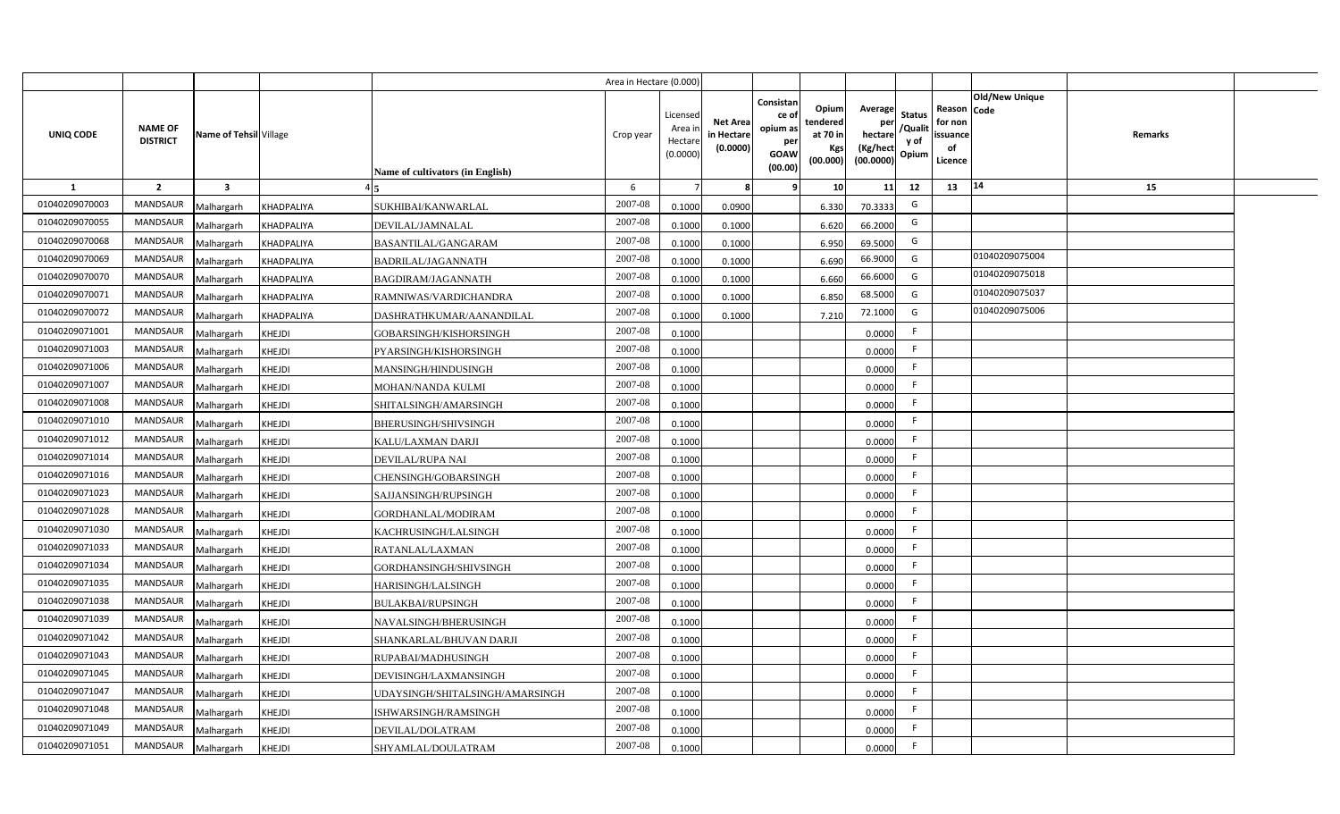|                |                                   |                         |                   |                                  | Area in Hectare (0.000 |                                          |                                          |                                                                 |                                                  |                                                    |                                           |                                                     |                |         |  |
|----------------|-----------------------------------|-------------------------|-------------------|----------------------------------|------------------------|------------------------------------------|------------------------------------------|-----------------------------------------------------------------|--------------------------------------------------|----------------------------------------------------|-------------------------------------------|-----------------------------------------------------|----------------|---------|--|
| UNIQ CODE      | <b>NAME OF</b><br><b>DISTRICT</b> | Name of Tehsil Village  |                   | Name of cultivators (in English) | Crop year              | Licensed<br>Area i<br>Hectar<br>(0.0000) | <b>Net Area</b><br>in Hectar<br>(0.0000) | Consistan<br>ce of<br>opium as<br>per<br><b>GOAW</b><br>(00.00) | Opium<br>tendered<br>at 70 in<br>Kgs<br>(00.000) | Average<br>per<br>hectare<br>(Kg/hect<br>(00.0000) | <b>Status</b><br>/Qualit<br>y of<br>Opium | Reason Code<br>for non<br>issuance<br>of<br>Licence | Old/New Unique | Remarks |  |
| 1              | $\overline{2}$                    | $\overline{\mathbf{3}}$ |                   |                                  | -6                     |                                          |                                          | -9                                                              | 10 <sup>1</sup>                                  | 11                                                 | 12                                        | 13                                                  | 14             | 15      |  |
| 01040209070003 | <b>MANDSAUR</b>                   | Malhargarh              | <b>KHADPALIYA</b> | SUKHIBAI/KANWARLAL               | 2007-08                | 0.1000                                   | 0.0900                                   |                                                                 | 6.330                                            | 70.3333                                            | G                                         |                                                     |                |         |  |
| 01040209070055 | MANDSAUR                          | Malhargarh              | KHADPALIYA        | DEVILAL/JAMNALAL                 | 2007-08                | 0.1000                                   | 0.1000                                   |                                                                 | 6.620                                            | 66.2000                                            | G                                         |                                                     |                |         |  |
| 01040209070068 | <b>MANDSAUR</b>                   | Malhargarh              | <b>KHADPALIYA</b> | <b>BASANTILAL/GANGARAM</b>       | 2007-08                | 0.1000                                   | 0.1000                                   |                                                                 | 6.950                                            | 69.5000                                            | G                                         |                                                     |                |         |  |
| 01040209070069 | <b>MANDSAUR</b>                   | Malhargarh              | <b>KHADPALIYA</b> | BADRILAL/JAGANNATH               | 2007-08                | 0.100                                    | 0.1000                                   |                                                                 | 6.690                                            | 66.9000                                            | G                                         |                                                     | 01040209075004 |         |  |
| 01040209070070 | MANDSAUR                          | Malhargarh              | <b>KHADPALIYA</b> | <b>BAGDIRAM/JAGANNATH</b>        | 2007-08                | 0.100                                    | 0.1000                                   |                                                                 | 6.660                                            | 66.6000                                            | G                                         |                                                     | 01040209075018 |         |  |
| 01040209070071 | <b>MANDSAUR</b>                   | Malhargarh              | <b>KHADPALIYA</b> | RAMNIWAS/VARDICHANDRA            | 2007-08                | 0.1000                                   | 0.1000                                   |                                                                 | 6.850                                            | 68.5000                                            | G                                         |                                                     | 01040209075037 |         |  |
| 01040209070072 | <b>MANDSAUR</b>                   | Malhargarh              | <b>KHADPALIYA</b> | DASHRATHKUMAR/AANANDILAL         | 2007-08                | 0.1000                                   | 0.1000                                   |                                                                 | 7.210                                            | 72.1000                                            | G                                         |                                                     | 01040209075006 |         |  |
| 01040209071001 | MANDSAUR                          | Malhargarh              | <b>KHEJDI</b>     | GOBARSINGH/KISHORSINGH           | 2007-08                | 0.1000                                   |                                          |                                                                 |                                                  | 0.0000                                             | $\mathsf{F}$                              |                                                     |                |         |  |
| 01040209071003 | MANDSAUR                          | Malhargarh              | KHEJDI            | PYARSINGH/KISHORSINGH            | 2007-08                | 0.1000                                   |                                          |                                                                 |                                                  | 0.0000                                             | F.                                        |                                                     |                |         |  |
| 01040209071006 | MANDSAUR                          | Malhargarh              | <b>KHEJDI</b>     | MANSINGH/HINDUSINGH              | 2007-08                | 0.1000                                   |                                          |                                                                 |                                                  | 0.0000                                             | -F                                        |                                                     |                |         |  |
| 01040209071007 | MANDSAUR                          | Malhargarh              | <b>KHEJDI</b>     | MOHAN/NANDA KULMI                | 2007-08                | 0.1000                                   |                                          |                                                                 |                                                  | 0.0000                                             |                                           |                                                     |                |         |  |
| 01040209071008 | MANDSAUR                          | Malhargarh              | <b>KHEJDI</b>     | SHITALSINGH/AMARSINGH            | 2007-08                | 0.1000                                   |                                          |                                                                 |                                                  | 0.0000                                             | -F                                        |                                                     |                |         |  |
| 01040209071010 | <b>MANDSAUR</b>                   | Malhargarh              | <b>KHEJDI</b>     | BHERUSINGH/SHIVSINGH             | 2007-08                | 0.1000                                   |                                          |                                                                 |                                                  | 0.0000                                             | -F                                        |                                                     |                |         |  |
| 01040209071012 | <b>MANDSAUR</b>                   | Malhargarh              | KHEJDI            | KALU/LAXMAN DARJI                | 2007-08                | 0.1000                                   |                                          |                                                                 |                                                  | 0.0000                                             | F.                                        |                                                     |                |         |  |
| 01040209071014 | <b>MANDSAUR</b>                   | Malhargarh              | <b>KHEJDI</b>     | <b>DEVILAL/RUPA NAI</b>          | 2007-08                | 0.1000                                   |                                          |                                                                 |                                                  | 0.0000                                             | -F                                        |                                                     |                |         |  |
| 01040209071016 | <b>MANDSAUR</b>                   | Malhargarh              | KHEJDI            | CHENSINGH/GOBARSINGH             | 2007-08                | 0.1000                                   |                                          |                                                                 |                                                  | 0.0000                                             | F.                                        |                                                     |                |         |  |
| 01040209071023 | <b>MANDSAUR</b>                   | Malhargarh              | <b>KHEJDI</b>     | SAJJANSINGH/RUPSINGH             | 2007-08                | 0.1000                                   |                                          |                                                                 |                                                  | 0.0000                                             | -F                                        |                                                     |                |         |  |
| 01040209071028 | <b>MANDSAUR</b>                   | Malhargarh              | <b>KHEJDI</b>     | GORDHANLAL/MODIRAM               | 2007-08                | 0.1000                                   |                                          |                                                                 |                                                  | 0.0000                                             | F.                                        |                                                     |                |         |  |
| 01040209071030 | <b>MANDSAUR</b>                   | Malhargarh              | <b>KHEJDI</b>     | KACHRUSINGH/LALSINGH             | 2007-08                | 0.100                                    |                                          |                                                                 |                                                  | 0.0000                                             | F.                                        |                                                     |                |         |  |
| 01040209071033 | <b>MANDSAUR</b>                   | Malhargarh              | <b>KHEJDI</b>     | RATANLAL/LAXMAN                  | 2007-08                | 0.1000                                   |                                          |                                                                 |                                                  | 0.0000                                             | F.                                        |                                                     |                |         |  |
| 01040209071034 | <b>MANDSAUR</b>                   | Malhargarh              | <b>KHEJDI</b>     | GORDHANSINGH/SHIVSINGH           | 2007-08                | 0.1000                                   |                                          |                                                                 |                                                  | 0.0000                                             | -F                                        |                                                     |                |         |  |
| 01040209071035 | <b>MANDSAUR</b>                   | Malhargarh              | <b>KHEJDI</b>     | HARISINGH/LALSINGH               | 2007-08                | 0.100                                    |                                          |                                                                 |                                                  | 0.0000                                             | -F                                        |                                                     |                |         |  |
| 01040209071038 | MANDSAUR                          | Malhargarh              | <b>KHEJDI</b>     | <b>BULAKBAI/RUPSINGH</b>         | 2007-08                | 0.100                                    |                                          |                                                                 |                                                  | 0.0000                                             | -F                                        |                                                     |                |         |  |
| 01040209071039 | <b>MANDSAUR</b>                   | Malhargarh              | <b>KHEJDI</b>     | NAVALSINGH/BHERUSINGH            | 2007-08                | 0.100                                    |                                          |                                                                 |                                                  | 0.0000                                             | -F                                        |                                                     |                |         |  |
| 01040209071042 | MANDSAUR                          | Malhargarh              | <b>KHEJDI</b>     | SHANKARLAL/BHUVAN DARJI          | 2007-08                | 0.1000                                   |                                          |                                                                 |                                                  | 0.0000                                             | $\mathsf{F}$                              |                                                     |                |         |  |
| 01040209071043 | MANDSAUR                          | Malhargarh              | <b>KHEJDI</b>     | RUPABAI/MADHUSINGH               | 2007-08                | 0.1000                                   |                                          |                                                                 |                                                  | 0.0000                                             | F                                         |                                                     |                |         |  |
| 01040209071045 | MANDSAUR                          | Malhargarh              | <b>KHEJDI</b>     | DEVISINGH/LAXMANSINGH            | 2007-08                | 0.1000                                   |                                          |                                                                 |                                                  | 0.0000                                             | F                                         |                                                     |                |         |  |
| 01040209071047 | MANDSAUR                          | Malhargarh              | <b>KHEJDI</b>     | JDAYSINGH/SHITALSINGH/AMARSINGH  | 2007-08                | 0.1000                                   |                                          |                                                                 |                                                  | 0.0000                                             | F                                         |                                                     |                |         |  |
| 01040209071048 | MANDSAUR                          | Malhargarh              | <b>KHEJDI</b>     | ISHWARSINGH/RAMSINGH             | 2007-08                | 0.1000                                   |                                          |                                                                 |                                                  | 0.0000                                             | -F                                        |                                                     |                |         |  |
| 01040209071049 | MANDSAUR                          | Malhargarh              | <b>KHEJDI</b>     | DEVILAL/DOLATRAM                 | 2007-08                | 0.1000                                   |                                          |                                                                 |                                                  | 0.0000                                             | -F                                        |                                                     |                |         |  |
| 01040209071051 | MANDSAUR                          | Malhargarh              | <b>KHEJDI</b>     | SHYAMLAL/DOULATRAM               | 2007-08                | 0.1000                                   |                                          |                                                                 |                                                  | 0.0000                                             | -F                                        |                                                     |                |         |  |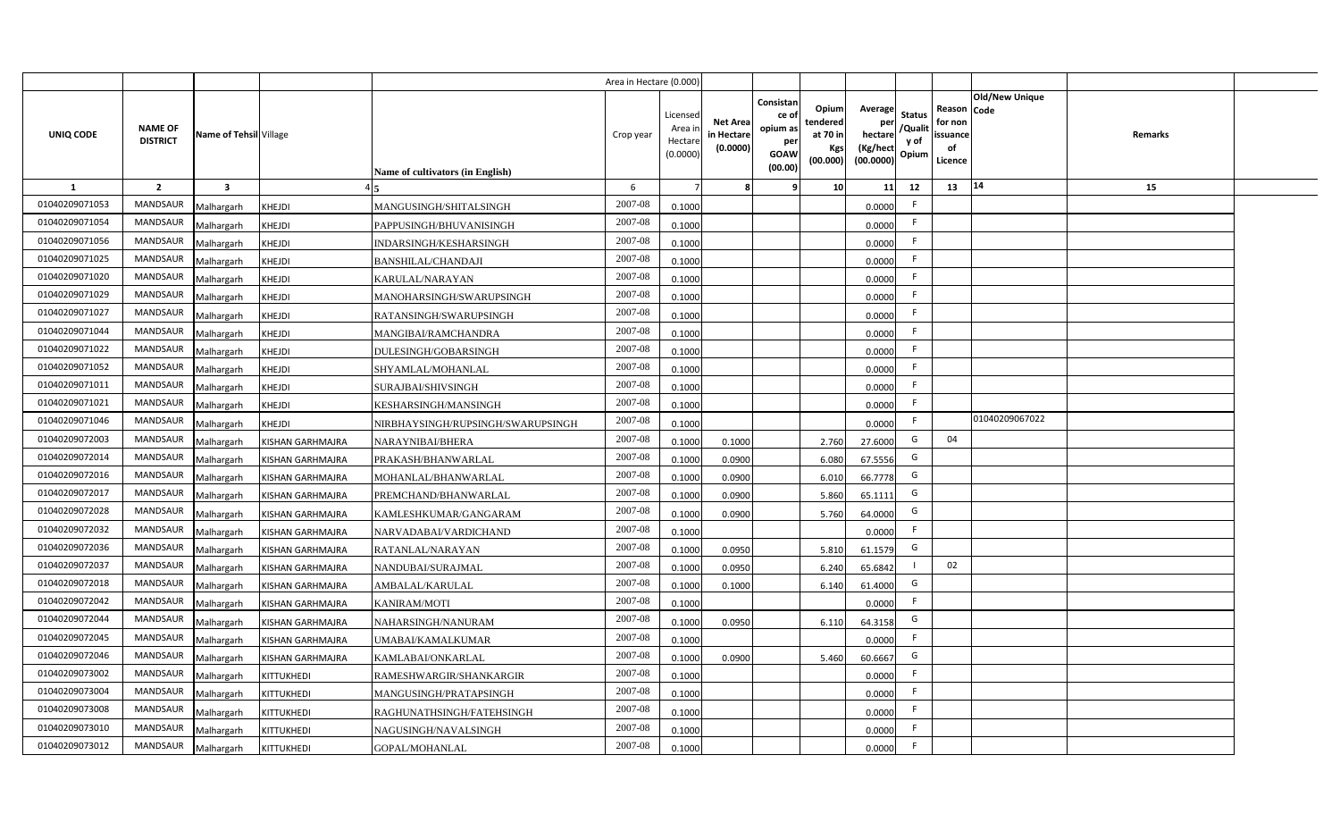|                |                                   |                         |                         |                                   | Area in Hectare (0.000 |                                          |                                          |                                                                 |                                                  |                                                    |                                           |                                                     |                |         |  |
|----------------|-----------------------------------|-------------------------|-------------------------|-----------------------------------|------------------------|------------------------------------------|------------------------------------------|-----------------------------------------------------------------|--------------------------------------------------|----------------------------------------------------|-------------------------------------------|-----------------------------------------------------|----------------|---------|--|
| UNIQ CODE      | <b>NAME OF</b><br><b>DISTRICT</b> | Name of Tehsil Village  |                         | Name of cultivators (in English)  | Crop year              | Licensec<br>Area i<br>Hectar<br>(0.0000) | <b>Net Area</b><br>in Hectar<br>(0.0000) | Consistan<br>ce of<br>opium as<br>per<br><b>GOAW</b><br>(00.00) | Opium<br>tendered<br>at 70 in<br>Kgs<br>(00.000) | Average<br>per<br>hectare<br>(Kg/hect<br>(00.0000) | <b>Status</b><br>/Qualit<br>y of<br>Opium | Reason Code<br>for non<br>issuance<br>of<br>Licence | Old/New Unique | Remarks |  |
| 1              | $\overline{2}$                    | $\overline{\mathbf{3}}$ |                         |                                   | 6                      |                                          |                                          | q                                                               | 10 <sup>1</sup>                                  | 11                                                 | 12                                        | 13                                                  | 14             | 15      |  |
| 01040209071053 | MANDSAUR                          | Malhargarh              | <b>KHEJDI</b>           | MANGUSINGH/SHITALSINGH            | 2007-08                | 0.1000                                   |                                          |                                                                 |                                                  | 0.0000                                             | -F                                        |                                                     |                |         |  |
| 01040209071054 | MANDSAUR                          | Malhargarh              | <b>KHEJDI</b>           | PAPPUSINGH/BHUVANISINGH           | 2007-08                | 0.1000                                   |                                          |                                                                 |                                                  | 0.0000                                             | F.                                        |                                                     |                |         |  |
| 01040209071056 | MANDSAUR                          | Malhargarh              | <b>KHEJDI</b>           | INDARSINGH/KESHARSINGH            | 2007-08                | 0.1000                                   |                                          |                                                                 |                                                  | 0.0000                                             | -F                                        |                                                     |                |         |  |
| 01040209071025 | <b>MANDSAUR</b>                   | Malhargarh              | <b>KHEJDI</b>           | <b>BANSHILAL/CHANDAJI</b>         | 2007-08                | 0.1000                                   |                                          |                                                                 |                                                  | 0.0000                                             | -F                                        |                                                     |                |         |  |
| 01040209071020 | MANDSAUR                          | Malhargarh              | <b>KHEJDI</b>           | KARULAL/NARAYAN                   | 2007-08                | 0.1000                                   |                                          |                                                                 |                                                  | 0.0000                                             |                                           |                                                     |                |         |  |
| 01040209071029 | MANDSAUR                          | Malhargarh              | <b>KHEJDI</b>           | MANOHARSINGH/SWARUPSINGH          | 2007-08                | 0.1000                                   |                                          |                                                                 |                                                  | 0.0000                                             | F.                                        |                                                     |                |         |  |
| 01040209071027 | MANDSAUR                          | Malhargarh              | <b>KHEJDI</b>           | RATANSINGH/SWARUPSINGH            | 2007-08                | 0.1000                                   |                                          |                                                                 |                                                  | 0.0000                                             | -F                                        |                                                     |                |         |  |
| 01040209071044 | MANDSAUR                          | Malhargarh              | <b>KHEJDI</b>           | MANGIBAI/RAMCHANDRA               | 2007-08                | 0.1000                                   |                                          |                                                                 |                                                  | 0.0000                                             |                                           |                                                     |                |         |  |
| 01040209071022 | <b>MANDSAUR</b>                   | Malhargarh              | KHEJDI                  | DULESINGH/GOBARSINGH              | 2007-08                | 0.1000                                   |                                          |                                                                 |                                                  | 0.0000                                             | -F                                        |                                                     |                |         |  |
| 01040209071052 | MANDSAUR                          | Malhargarh              | <b>KHEJDI</b>           | SHYAMLAL/MOHANLAL                 | 2007-08                | 0.1000                                   |                                          |                                                                 |                                                  | 0.0000                                             | F.                                        |                                                     |                |         |  |
| 01040209071011 | <b>MANDSAUR</b>                   | Malhargarh              | <b>KHEJDI</b>           | SURAJBAI/SHIVSINGH                | 2007-08                | 0.1000                                   |                                          |                                                                 |                                                  | 0.0000                                             | -F                                        |                                                     |                |         |  |
| 01040209071021 | <b>MANDSAUR</b>                   | Malhargarh              | <b>KHEJDI</b>           | KESHARSINGH/MANSINGH              | 2007-08                | 0.1000                                   |                                          |                                                                 |                                                  | 0.0000                                             | -F                                        |                                                     |                |         |  |
| 01040209071046 | <b>MANDSAUR</b>                   | Malhargarh              | <b>KHEJDI</b>           | NIRBHAYSINGH/RUPSINGH/SWARUPSINGH | 2007-08                | 0.1000                                   |                                          |                                                                 |                                                  | 0.0000                                             | F.                                        |                                                     | 01040209067022 |         |  |
| 01040209072003 | <b>MANDSAUR</b>                   | Malhargarh              | <b>KISHAN GARHMAJRA</b> | NARAYNIBAI/BHERA                  | 2007-08                | 0.1000                                   | 0.1000                                   |                                                                 | 2.760                                            | 27.6000                                            | G                                         | 04                                                  |                |         |  |
| 01040209072014 | <b>MANDSAUR</b>                   | Malhargarh              | <b>KISHAN GARHMAJRA</b> | PRAKASH/BHANWARLAL                | 2007-08                | 0.1000                                   | 0.0900                                   |                                                                 | 6.080                                            | 67.5556                                            | G                                         |                                                     |                |         |  |
| 01040209072016 | MANDSAUR                          | Malhargarh              | <b>KISHAN GARHMAJRA</b> | MOHANLAL/BHANWARLAL               | 2007-08                | 0.1000                                   | 0.0900                                   |                                                                 | 6.010                                            | 66.7778                                            | G                                         |                                                     |                |         |  |
| 01040209072017 | <b>MANDSAUR</b>                   | Malhargarh              | <b>KISHAN GARHMAJRA</b> | PREMCHAND/BHANWARLAL              | 2007-08                | 0.100                                    | 0.0900                                   |                                                                 | 5.860                                            | 65.1111                                            | G                                         |                                                     |                |         |  |
| 01040209072028 | <b>MANDSAUR</b>                   | Malhargarh              | <b>KISHAN GARHMAJRA</b> | KAMLESHKUMAR/GANGARAM             | 2007-08                | 0.100                                    | 0.0900                                   |                                                                 | 5.760                                            | 64.0000                                            | G                                         |                                                     |                |         |  |
| 01040209072032 | <b>MANDSAUR</b>                   | Malhargarh              | <b>KISHAN GARHMAJRA</b> | NARVADABAI/VARDICHAND             | $2007 - 08$            | 0.1000                                   |                                          |                                                                 |                                                  | 0.0000                                             | F.                                        |                                                     |                |         |  |
| 01040209072036 | <b>MANDSAUR</b>                   | Malhargarh              | <b>KISHAN GARHMAJRA</b> | RATANLAL/NARAYAN                  | 2007-08                | 0.100                                    | 0.0950                                   |                                                                 | 5.810                                            | 61.1579                                            | G                                         |                                                     |                |         |  |
| 01040209072037 | MANDSAUR                          | Malhargarh              | <b>KISHAN GARHMAJRA</b> | NANDUBAI/SURAJMAL                 | 2007-08                | 0.100                                    | 0.0950                                   |                                                                 | 6.240                                            | 65.6842                                            |                                           | 02                                                  |                |         |  |
| 01040209072018 | MANDSAUR                          | Malhargarh              | <b>KISHAN GARHMAJRA</b> | AMBALAL/KARULAL                   | 2007-08                | 0.100                                    | 0.1000                                   |                                                                 | 6.140                                            | 61.4000                                            | G                                         |                                                     |                |         |  |
| 01040209072042 | <b>MANDSAUR</b>                   | Malhargarh              | <b>KISHAN GARHMAJRA</b> | <b>KANIRAM/MOTI</b>               | 2007-08                | 0.1000                                   |                                          |                                                                 |                                                  | 0.0000                                             | -F                                        |                                                     |                |         |  |
| 01040209072044 | MANDSAUR                          | Malhargarh              | <b>KISHAN GARHMAJRA</b> | NAHARSINGH/NANURAM                | 2007-08                | 0.1000                                   | 0.0950                                   |                                                                 | 6.110                                            | 64.3158                                            | G                                         |                                                     |                |         |  |
| 01040209072045 | MANDSAUR                          | Malhargarh              | KISHAN GARHMAJRA        | UMABAI/KAMALKUMAR                 | 2007-08                | 0.1000                                   |                                          |                                                                 |                                                  | 0.0000                                             | F                                         |                                                     |                |         |  |
| 01040209072046 | MANDSAUR                          | Malhargarh              | <b>KISHAN GARHMAJRA</b> | KAMLABAI/ONKARLAL                 | 2007-08                | 0.1000                                   | 0.0900                                   |                                                                 | 5.460                                            | 60.6667                                            | G                                         |                                                     |                |         |  |
| 01040209073002 | MANDSAUR                          | Malhargarh              | KITTUKHEDI              | RAMESHWARGIR/SHANKARGIR           | 2007-08                | 0.1000                                   |                                          |                                                                 |                                                  | 0.0000                                             | $\mathsf{F}$                              |                                                     |                |         |  |
| 01040209073004 | MANDSAUR                          | Malhargarh              | KITTUKHEDI              | MANGUSINGH/PRATAPSINGH            | 2007-08                | 0.1000                                   |                                          |                                                                 |                                                  | 0.0000                                             | F.                                        |                                                     |                |         |  |
| 01040209073008 | MANDSAUR                          | Malhargarh              | <b>KITTUKHEDI</b>       | RAGHUNATHSINGH/FATEHSINGH         | 2007-08                | 0.1000                                   |                                          |                                                                 |                                                  | 0.0000                                             | E                                         |                                                     |                |         |  |
| 01040209073010 | MANDSAUR                          | Malhargarh              | KITTUKHEDI              | NAGUSINGH/NAVALSINGH              | 2007-08                | 0.1000                                   |                                          |                                                                 |                                                  | 0.0000                                             | -F                                        |                                                     |                |         |  |
| 01040209073012 | MANDSAUR                          | Malhargarh              | KITTUKHEDI              | GOPAL/MOHANLAL                    | 2007-08                | 0.1000                                   |                                          |                                                                 |                                                  | 0.0000                                             | -F                                        |                                                     |                |         |  |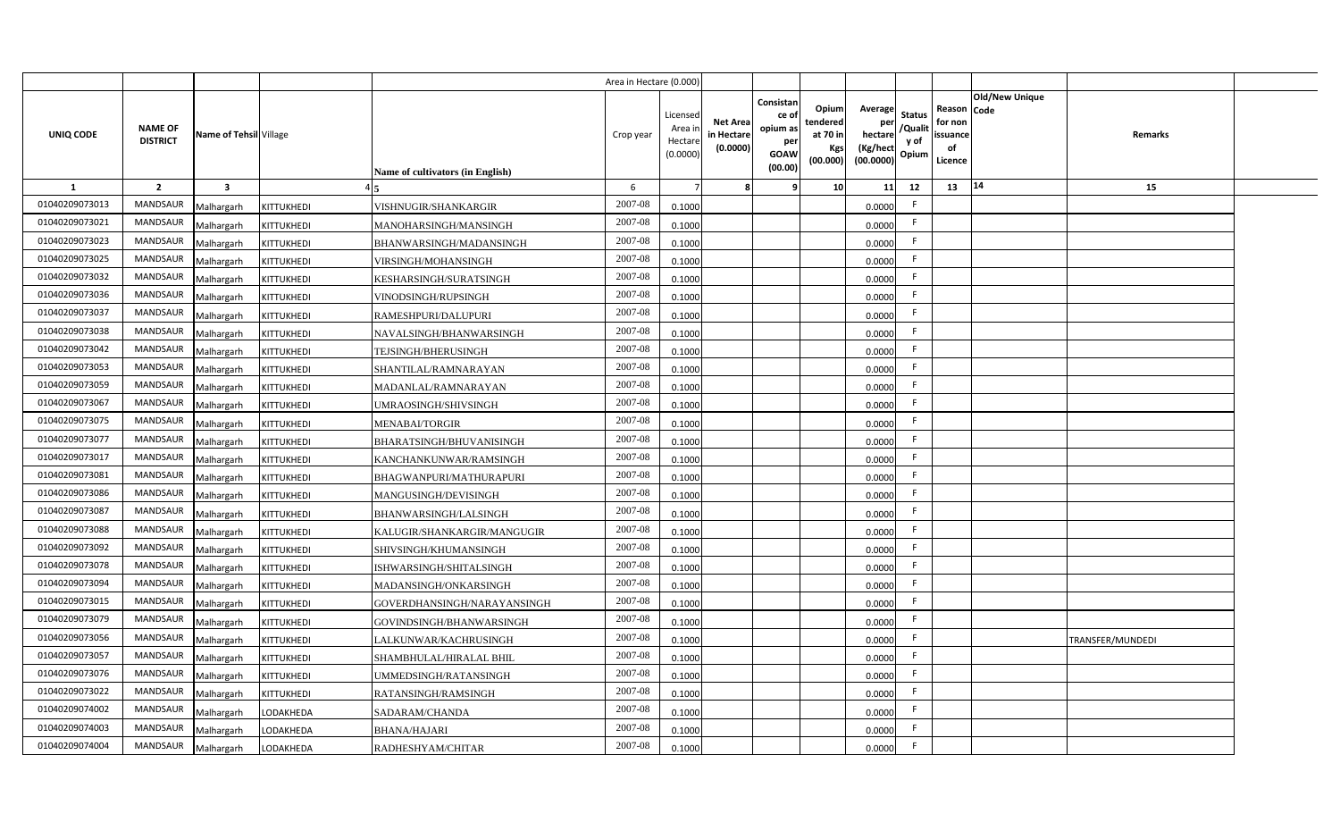|                |                                   |                         |                   |                                  | Area in Hectare (0.000 |                                          |                                           |                                                                 |                                                  |                                                    |                                           |                                                     |                       |                  |  |
|----------------|-----------------------------------|-------------------------|-------------------|----------------------------------|------------------------|------------------------------------------|-------------------------------------------|-----------------------------------------------------------------|--------------------------------------------------|----------------------------------------------------|-------------------------------------------|-----------------------------------------------------|-----------------------|------------------|--|
| UNIQ CODE      | <b>NAME OF</b><br><b>DISTRICT</b> | Name of Tehsil Village  |                   | Name of cultivators (in English) | Crop year              | Licensec<br>Area i<br>Hectar<br>(0.0000) | <b>Net Area</b><br>in Hectare<br>(0.0000) | Consistan<br>ce of<br>opium as<br>per<br><b>GOAW</b><br>(00.00) | Opium<br>tendered<br>at 70 in<br>Kgs<br>(00.000) | Average<br>per<br>hectare<br>(Kg/hect<br>(00.0000) | <b>Status</b><br>/Qualit<br>y of<br>Opium | Reason Code<br>for non<br>issuance<br>of<br>Licence | <b>Old/New Unique</b> | Remarks          |  |
| 1              | $\overline{2}$                    | $\overline{\mathbf{3}}$ |                   |                                  | 6                      |                                          |                                           | q                                                               | 10 <sup>1</sup>                                  | 11                                                 | 12                                        | 13                                                  | 14                    | 15               |  |
| 01040209073013 | <b>MANDSAUR</b>                   | Malhargarh              | <b>KITTUKHEDI</b> | VISHNUGIR/SHANKARGIR             | 2007-08                | 0.1000                                   |                                           |                                                                 |                                                  | 0.0000                                             | -F                                        |                                                     |                       |                  |  |
| 01040209073021 | <b>MANDSAUR</b>                   | Malhargarh              | KITTUKHEDI        | MANOHARSINGH/MANSINGH            | 2007-08                | 0.1000                                   |                                           |                                                                 |                                                  | 0.0000                                             | -F                                        |                                                     |                       |                  |  |
| 01040209073023 | <b>MANDSAUR</b>                   | Malhargarh              | KITTUKHEDI        | BHANWARSINGH/MADANSINGH          | 2007-08                | 0.1000                                   |                                           |                                                                 |                                                  | 0.0000                                             |                                           |                                                     |                       |                  |  |
| 01040209073025 | MANDSAUR                          | Malhargarh              | KITTUKHEDI        | VIRSINGH/MOHANSINGH              | 2007-08                | 0.1000                                   |                                           |                                                                 |                                                  | 0.0000                                             |                                           |                                                     |                       |                  |  |
| 01040209073032 | MANDSAUR                          | Malhargarh              | KITTUKHEDI        | KESHARSINGH/SURATSINGH           | 2007-08                | 0.1000                                   |                                           |                                                                 |                                                  | 0.0000                                             | -F                                        |                                                     |                       |                  |  |
| 01040209073036 | <b>MANDSAUR</b>                   | Malhargarh              | KITTUKHEDI        | VINODSINGH/RUPSINGH              | 2007-08                | 0.1000                                   |                                           |                                                                 |                                                  | 0.0000                                             | <b>F</b>                                  |                                                     |                       |                  |  |
| 01040209073037 | MANDSAUR                          | Malhargarh              | KITTUKHEDI        | RAMESHPURI/DALUPURI              | 2007-08                | 0.1000                                   |                                           |                                                                 |                                                  | 0.0000                                             | F.                                        |                                                     |                       |                  |  |
| 01040209073038 | <b>MANDSAUR</b>                   | Malhargarh              | KITTUKHEDI        | NAVALSINGH/BHANWARSINGH          | 2007-08                | 0.1000                                   |                                           |                                                                 |                                                  | 0.0000                                             | -F                                        |                                                     |                       |                  |  |
| 01040209073042 | <b>MANDSAUR</b>                   | Malhargarh              | KITTUKHEDI        | TEJSINGH/BHERUSINGH              | 2007-08                | 0.1000                                   |                                           |                                                                 |                                                  | 0.0000                                             | F.                                        |                                                     |                       |                  |  |
| 01040209073053 | <b>MANDSAUR</b>                   | Malhargarh              | <b>KITTUKHEDI</b> | SHANTILAL/RAMNARAYAN             | 2007-08                | 0.1000                                   |                                           |                                                                 |                                                  | 0.0000                                             | F.                                        |                                                     |                       |                  |  |
| 01040209073059 | <b>MANDSAUR</b>                   | Malhargarh              | <b>KITTUKHEDI</b> | MADANLAL/RAMNARAYAN              | 2007-08                | 0.1000                                   |                                           |                                                                 |                                                  | 0.0000                                             | -F                                        |                                                     |                       |                  |  |
| 01040209073067 | <b>MANDSAUR</b>                   | Malhargarh              | KITTUKHEDI        | JMRAOSINGH/SHIVSINGH             | 2007-08                | 0.1000                                   |                                           |                                                                 |                                                  | 0.0000                                             | -F                                        |                                                     |                       |                  |  |
| 01040209073075 | <b>MANDSAUR</b>                   | Malhargarh              | KITTUKHEDI        | MENABAI/TORGIR                   | 2007-08                | 0.1000                                   |                                           |                                                                 |                                                  | 0.0000                                             | E                                         |                                                     |                       |                  |  |
| 01040209073077 | <b>MANDSAUR</b>                   | Malhargarh              | KITTUKHEDI        | BHARATSINGH/BHUVANISINGH         | 2007-08                | 0.1000                                   |                                           |                                                                 |                                                  | 0.0000                                             | F.                                        |                                                     |                       |                  |  |
| 01040209073017 | <b>MANDSAUR</b>                   | Malhargarh              | KITTUKHEDI        | KANCHANKUNWAR/RAMSINGH           | 2007-08                | 0.1000                                   |                                           |                                                                 |                                                  | 0.0000                                             | F.                                        |                                                     |                       |                  |  |
| 01040209073081 | <b>MANDSAUR</b>                   | Malhargarh              | KITTUKHEDI        | BHAGWANPURI/MATHURAPURI          | 2007-08                | 0.1000                                   |                                           |                                                                 |                                                  | 0.0000                                             | F.                                        |                                                     |                       |                  |  |
| 01040209073086 | MANDSAUR                          | Malhargarh              | KITTUKHEDI        | MANGUSINGH/DEVISINGH             | 2007-08                | 0.1000                                   |                                           |                                                                 |                                                  | 0.0000                                             | F.                                        |                                                     |                       |                  |  |
| 01040209073087 | <b>MANDSAUR</b>                   | Malhargarh              | KITTUKHEDI        | BHANWARSINGH/LALSINGH            | 2007-08                | 0.100                                    |                                           |                                                                 |                                                  | 0.0000                                             | E                                         |                                                     |                       |                  |  |
| 01040209073088 | <b>MANDSAUR</b>                   | Malhargarh              | KITTUKHEDI        | KALUGIR/SHANKARGIR/MANGUGIR      | 2007-08                | 0.1000                                   |                                           |                                                                 |                                                  | 0.0000                                             | F.                                        |                                                     |                       |                  |  |
| 01040209073092 | <b>MANDSAUR</b>                   | Malhargarh              | KITTUKHEDI        | SHIVSINGH/KHUMANSINGH            | $2007 - 08$            | 0.100                                    |                                           |                                                                 |                                                  | 0.0000                                             | -F                                        |                                                     |                       |                  |  |
| 01040209073078 | <b>MANDSAUR</b>                   | Malhargarh              | KITTUKHEDI        | ISHWARSINGH/SHITALSINGH          | 2007-08                | 0.1000                                   |                                           |                                                                 |                                                  | 0.0000                                             | F.                                        |                                                     |                       |                  |  |
| 01040209073094 | <b>MANDSAUR</b>                   | Malhargarh              | KITTUKHEDI        | MADANSINGH/ONKARSINGH            | 2007-08                | 0.100                                    |                                           |                                                                 |                                                  | 0.0000                                             | E                                         |                                                     |                       |                  |  |
| 01040209073015 | <b>MANDSAUR</b>                   | Malhargarh              | KITTUKHEDI        | GOVERDHANSINGH/NARAYANSINGH      | 2007-08                | 0.1000                                   |                                           |                                                                 |                                                  | 0.0000                                             | F.                                        |                                                     |                       |                  |  |
| 01040209073079 | MANDSAUR                          | Malhargarh              | KITTUKHEDI        | GOVINDSINGH/BHANWARSINGH         | 2007-08                | 0.1000                                   |                                           |                                                                 |                                                  | 0.0000                                             | -F                                        |                                                     |                       |                  |  |
| 01040209073056 | MANDSAUR                          | Malhargarh              | KITTUKHEDI        | LALKUNWAR/KACHRUSINGH            | 2007-08                | 0.1000                                   |                                           |                                                                 |                                                  | 0.0000                                             | F.                                        |                                                     |                       | TRANSFER/MUNDEDI |  |
| 01040209073057 | MANDSAUR                          | Malhargarh              | KITTUKHEDI        | SHAMBHULAL/HIRALAL BHIL          | 2007-08                | 0.1000                                   |                                           |                                                                 |                                                  | 0.0000                                             | -F                                        |                                                     |                       |                  |  |
| 01040209073076 | MANDSAUR                          | Malhargarh              | KITTUKHEDI        | JMMEDSINGH/RATANSINGH            | 2007-08                | 0.1000                                   |                                           |                                                                 |                                                  | 0.0000                                             | E                                         |                                                     |                       |                  |  |
| 01040209073022 | MANDSAUR                          | Malhargarh              | KITTUKHEDI        | RATANSINGH/RAMSINGH              | 2007-08                | 0.1000                                   |                                           |                                                                 |                                                  | 0.0000                                             | F.                                        |                                                     |                       |                  |  |
| 01040209074002 | <b>MANDSAUR</b>                   | Malhargarh              | LODAKHEDA         | SADARAM/CHANDA                   | 2007-08                | 0.1000                                   |                                           |                                                                 |                                                  | 0.0000                                             | $\mathsf{F}$                              |                                                     |                       |                  |  |
| 01040209074003 | MANDSAUR                          | Malhargarh              | LODAKHEDA         | <b>BHANA/HAJARI</b>              | 2007-08                | 0.1000                                   |                                           |                                                                 |                                                  | 0.0000                                             | -F                                        |                                                     |                       |                  |  |
| 01040209074004 | MANDSAUR                          | Malhargarh              | LODAKHEDA         | RADHESHYAM/CHITAR                | 2007-08                | 0.1000                                   |                                           |                                                                 |                                                  | 0.0000                                             | -F                                        |                                                     |                       |                  |  |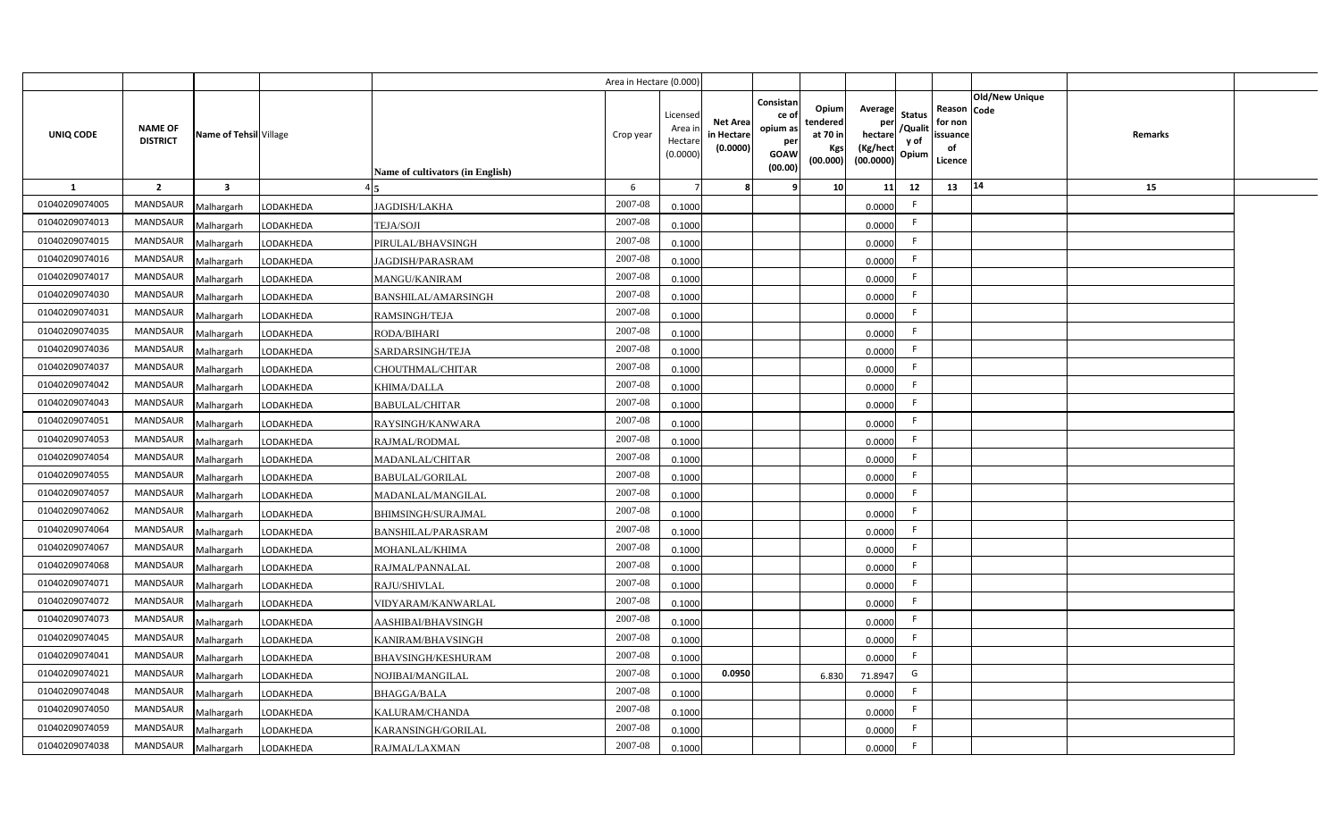|                  |                                   |                         |           |                                  | Area in Hectare (0.000 |                                          |                                          |                                                                 |                                                  |                                                    |                                           |                                                     |                       |         |  |
|------------------|-----------------------------------|-------------------------|-----------|----------------------------------|------------------------|------------------------------------------|------------------------------------------|-----------------------------------------------------------------|--------------------------------------------------|----------------------------------------------------|-------------------------------------------|-----------------------------------------------------|-----------------------|---------|--|
| <b>UNIQ CODE</b> | <b>NAME OF</b><br><b>DISTRICT</b> | Name of Tehsil Village  |           | Name of cultivators (in English) | Crop year              | Licensed<br>Area i<br>Hectar<br>(0.0000) | <b>Net Area</b><br>in Hectar<br>(0.0000) | Consistan<br>ce of<br>opium as<br>per<br><b>GOAW</b><br>(00.00) | Opium<br>tendered<br>at 70 in<br>Kgs<br>(00.000) | Average<br>per<br>hectare<br>(Kg/hect<br>(00.0000) | <b>Status</b><br>/Qualit<br>y of<br>Opium | Reason Code<br>for non<br>issuance<br>of<br>Licence | <b>Old/New Unique</b> | Remarks |  |
| 1                | $\overline{2}$                    | $\overline{\mathbf{3}}$ |           |                                  | 6                      |                                          |                                          | 9                                                               | 10 <sup>1</sup>                                  | 11                                                 | 12                                        | 13                                                  | 14                    | 15      |  |
| 01040209074005   | MANDSAUR                          | Malhargarh              | LODAKHEDA | JAGDISH/LAKHA                    | 2007-08                | 0.1000                                   |                                          |                                                                 |                                                  | 0.0000                                             | -F                                        |                                                     |                       |         |  |
| 01040209074013   | MANDSAUR                          | Malhargarh              | LODAKHEDA | <b>TEJA/SOJI</b>                 | $2007 - 08$            | 0.1000                                   |                                          |                                                                 |                                                  | 0.0000                                             | F.                                        |                                                     |                       |         |  |
| 01040209074015   | MANDSAUR                          | Malhargarh              | LODAKHEDA | PIRULAL/BHAVSINGH                | 2007-08                | 0.1000                                   |                                          |                                                                 |                                                  | 0.0000                                             | -F                                        |                                                     |                       |         |  |
| 01040209074016   | <b>MANDSAUR</b>                   | Malhargarh              | LODAKHEDA | JAGDISH/PARASRAM                 | 2007-08                | 0.1000                                   |                                          |                                                                 |                                                  | 0.0000                                             | -F                                        |                                                     |                       |         |  |
| 01040209074017   | <b>MANDSAUR</b>                   | Malhargarh              | LODAKHEDA | MANGU/KANIRAM                    | 2007-08                | 0.1000                                   |                                          |                                                                 |                                                  | 0.0000                                             | -F                                        |                                                     |                       |         |  |
| 01040209074030   | MANDSAUR                          | Malhargarh              | LODAKHEDA | <b>BANSHILAL/AMARSINGH</b>       | 2007-08                | 0.1000                                   |                                          |                                                                 |                                                  | 0.0000                                             | F.                                        |                                                     |                       |         |  |
| 01040209074031   | MANDSAUR                          | Malhargarh              | LODAKHEDA | RAMSINGH/TEJA                    | 2007-08                | 0.1000                                   |                                          |                                                                 |                                                  | 0.0000                                             | -F                                        |                                                     |                       |         |  |
| 01040209074035   | MANDSAUR                          | Malhargarh              | LODAKHEDA | <b>RODA/BIHARI</b>               | 2007-08                | 0.1000                                   |                                          |                                                                 |                                                  | 0.0000                                             | F.                                        |                                                     |                       |         |  |
| 01040209074036   | <b>MANDSAUR</b>                   | Malhargarh              | LODAKHEDA | SARDARSINGH/TEJA                 | 2007-08                | 0.1000                                   |                                          |                                                                 |                                                  | 0.0000                                             | -F                                        |                                                     |                       |         |  |
| 01040209074037   | MANDSAUR                          | Malhargarh              | LODAKHEDA | CHOUTHMAL/CHITAR                 | 2007-08                | 0.1000                                   |                                          |                                                                 |                                                  | 0.0000                                             | F.                                        |                                                     |                       |         |  |
| 01040209074042   | <b>MANDSAUR</b>                   | Malhargarh              | LODAKHEDA | KHIMA/DALLA                      | 2007-08                | 0.1000                                   |                                          |                                                                 |                                                  | 0.0000                                             | -F                                        |                                                     |                       |         |  |
| 01040209074043   | <b>MANDSAUR</b>                   | Malhargarh              | LODAKHEDA | <b>BABULAL/CHITAR</b>            | 2007-08                | 0.1000                                   |                                          |                                                                 |                                                  | 0.0000                                             | -F                                        |                                                     |                       |         |  |
| 01040209074051   | <b>MANDSAUR</b>                   | Malhargarh              | LODAKHEDA | RAYSINGH/KANWARA                 | 2007-08                | 0.1000                                   |                                          |                                                                 |                                                  | 0.0000                                             | F.                                        |                                                     |                       |         |  |
| 01040209074053   | <b>MANDSAUR</b>                   | Malhargarh              | LODAKHEDA | RAJMAL/RODMAL                    | 2007-08                | 0.1000                                   |                                          |                                                                 |                                                  | 0.0000                                             | $\mathsf{F}$                              |                                                     |                       |         |  |
| 01040209074054   | <b>MANDSAUR</b>                   | Malhargarh              | LODAKHEDA | <b>MADANLAL/CHITAR</b>           | 2007-08                | 0.1000                                   |                                          |                                                                 |                                                  | 0.0000                                             | F                                         |                                                     |                       |         |  |
| 01040209074055   | <b>MANDSAUR</b>                   | Malhargarh              | LODAKHEDA | <b>BABULAL/GORILAL</b>           | 2007-08                | 0.1000                                   |                                          |                                                                 |                                                  | 0.0000                                             | F.                                        |                                                     |                       |         |  |
| 01040209074057   | <b>MANDSAUR</b>                   | Malhargarh              | LODAKHEDA | MADANLAL/MANGILAL                | 2007-08                | 0.1000                                   |                                          |                                                                 |                                                  | 0.0000                                             | F.                                        |                                                     |                       |         |  |
| 01040209074062   | <b>MANDSAUR</b>                   | Malhargarh              | LODAKHEDA | <b>BHIMSINGH/SURAJMAL</b>        | 2007-08                | 0.1000                                   |                                          |                                                                 |                                                  | 0.0000                                             | F.                                        |                                                     |                       |         |  |
| 01040209074064   | <b>MANDSAUR</b>                   | Malhargarh              | LODAKHEDA | <b>BANSHILAL/PARASRAM</b>        | 2007-08                | 0.1000                                   |                                          |                                                                 |                                                  | 0.0000                                             | F.                                        |                                                     |                       |         |  |
| 01040209074067   | <b>MANDSAUR</b>                   | Malhargarh              | LODAKHEDA | MOHANLAL/KHIMA                   | 2007-08                | 0.100                                    |                                          |                                                                 |                                                  | 0.0000                                             | F.                                        |                                                     |                       |         |  |
| 01040209074068   | MANDSAUR                          | Malhargarh              | LODAKHEDA | RAJMAL/PANNALAL                  | $2007 - 08$            | 0.1000                                   |                                          |                                                                 |                                                  | 0.0000                                             | $\mathsf{F}$                              |                                                     |                       |         |  |
| 01040209074071   | MANDSAUR                          | Malhargarh              | LODAKHEDA | RAJU/SHIVLAL                     | 2007-08                | 0.1000                                   |                                          |                                                                 |                                                  | 0.0000                                             | -F                                        |                                                     |                       |         |  |
| 01040209074072   | <b>MANDSAUR</b>                   | Malhargarh              | LODAKHEDA | VIDYARAM/KANWARLAL               | 2007-08                | 0.1000                                   |                                          |                                                                 |                                                  | 0.0000                                             | -F                                        |                                                     |                       |         |  |
| 01040209074073   | MANDSAUR                          | Malhargarh              | LODAKHEDA | AASHIBAI/BHAVSINGH               | $2007 - 08$            | 0.1000                                   |                                          |                                                                 |                                                  | 0.0000                                             | F.                                        |                                                     |                       |         |  |
| 01040209074045   | MANDSAUR                          | Malhargarh              | LODAKHEDA | KANIRAM/BHAVSINGH                | 2007-08                | 0.1000                                   |                                          |                                                                 |                                                  | 0.0000                                             | F                                         |                                                     |                       |         |  |
| 01040209074041   | MANDSAUR                          | Malhargarh              | LODAKHEDA | BHAVSINGH/KESHURAM               | 2007-08                | 0.1000                                   |                                          |                                                                 |                                                  | 0.0000                                             | F                                         |                                                     |                       |         |  |
| 01040209074021   | MANDSAUR                          | Malhargarh              | LODAKHEDA | NOJIBAI/MANGILAL                 | 2007-08                | 0.1000                                   | 0.0950                                   |                                                                 | 6.830                                            | 71.8947                                            | G                                         |                                                     |                       |         |  |
| 01040209074048   | MANDSAUR                          | Malhargarh              | LODAKHEDA | <b>BHAGGA/BALA</b>               | 2007-08                | 0.1000                                   |                                          |                                                                 |                                                  | 0.0000                                             | $\mathsf{F}$                              |                                                     |                       |         |  |
| 01040209074050   | MANDSAUR                          | Malhargarh              | LODAKHEDA | KALURAM/CHANDA                   | 2007-08                | 0.1000                                   |                                          |                                                                 |                                                  | 0.0000                                             | $\mathsf{F}$                              |                                                     |                       |         |  |
| 01040209074059   | MANDSAUR                          | Malhargarh              | LODAKHEDA | KARANSINGH/GORILAL               | 2007-08                | 0.1000                                   |                                          |                                                                 |                                                  | 0.0000                                             | -F                                        |                                                     |                       |         |  |
| 01040209074038   | MANDSAUR                          | Malhargarh              | LODAKHEDA | RAJMAL/LAXMAN                    | 2007-08                | 0.1000                                   |                                          |                                                                 |                                                  | 0.0000                                             | -F                                        |                                                     |                       |         |  |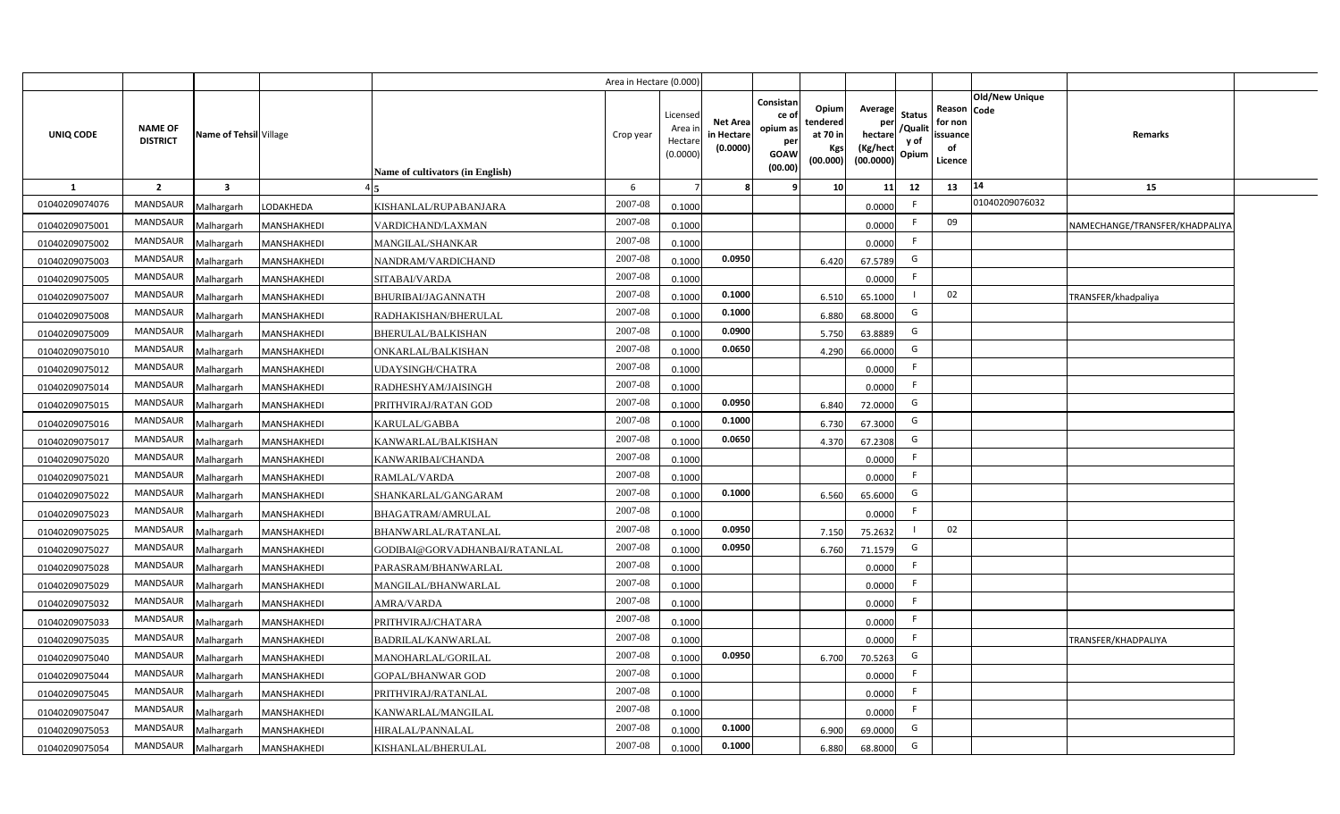|                |                                   |                         |             |                                         | Area in Hectare (0.000) |                                            |                                    |                                                          |                                                  |                                                    |                                           |                                                                                   |                                |
|----------------|-----------------------------------|-------------------------|-------------|-----------------------------------------|-------------------------|--------------------------------------------|------------------------------------|----------------------------------------------------------|--------------------------------------------------|----------------------------------------------------|-------------------------------------------|-----------------------------------------------------------------------------------|--------------------------------|
| UNIQ CODE      | <b>NAME OF</b><br><b>DISTRICT</b> | Name of Tehsil Village  |             | <b>Name of cultivators (in English)</b> | Crop year               | Licensed<br>Area in<br>Hectare<br>(0.0000) | Net Area<br>in Hectare<br>(0.0000) | Consistan<br>ce of<br>opium as<br>per<br>GOAW<br>(00.00) | Opium<br>tendered<br>at 70 in<br>Kgs<br>(00.000) | Average<br>per<br>hectare<br>(Kg/hect<br>(00.0000) | <b>Status</b><br>/Qualit<br>y of<br>Opium | <b>Old/New Unique</b><br>Reason  <br>Code<br>for non<br>issuance<br>of<br>Licence | <b>Remarks</b>                 |
| 1              | $\overline{2}$                    | $\overline{\mathbf{3}}$ |             |                                         | 6                       |                                            |                                    |                                                          | 10                                               | 11                                                 | 12                                        | 14<br>13                                                                          | 15                             |
| 01040209074076 | <b>MANDSAUR</b>                   | <b>Aalhargarh</b>       | LODAKHEDA   | KISHANLAL/RUPABANJARA                   | 2007-08                 | 0.1000                                     |                                    |                                                          |                                                  | 0.0000                                             | F                                         | 01040209076032                                                                    |                                |
| 01040209075001 | <b>MANDSAUR</b>                   | Malhargarh              | MANSHAKHEDI | VARDICHAND/LAXMAN                       | 2007-08                 | 0.1000                                     |                                    |                                                          |                                                  | 0.0000                                             | F                                         | 09                                                                                | NAMECHANGE/TRANSFER/KHADPALIYA |
| 01040209075002 | MANDSAUR                          | Malhargarh              | MANSHAKHEDI | MANGILAL/SHANKAR                        | 2007-08                 | 0.1000                                     |                                    |                                                          |                                                  | 0.0000                                             | F                                         |                                                                                   |                                |
| 01040209075003 | MANDSAUR                          | Malhargarh              | MANSHAKHEDI | NANDRAM/VARDICHAND                      | 2007-08                 | 0.1000                                     | 0.0950                             |                                                          | 6.420                                            | 67.5789                                            | G                                         |                                                                                   |                                |
| 01040209075005 | MANDSAUR                          | Malhargarh              | MANSHAKHEDI | SITABAI/VARDA                           | 2007-08                 | 0.1000                                     |                                    |                                                          |                                                  | 0.0000                                             | F.                                        |                                                                                   |                                |
| 01040209075007 | MANDSAUR                          | Malhargarh              | MANSHAKHEDI | BHURIBAI/JAGANNATH                      | 2007-08                 | 0.1000                                     | 0.1000                             |                                                          | 6.510                                            | 65.1000                                            |                                           | 02                                                                                | TRANSFER/khadpaliya            |
| 01040209075008 | MANDSAUR                          | Malhargarh              | MANSHAKHEDI | RADHAKISHAN/BHERULAL                    | 2007-08                 | 0.1000                                     | 0.1000                             |                                                          | 6.880                                            | 68.8000                                            | G                                         |                                                                                   |                                |
| 01040209075009 | <b>MANDSAUR</b>                   | Malhargarh              | MANSHAKHEDI | BHERULAL/BALKISHAN                      | 2007-08                 | 0.1000                                     | 0.0900                             |                                                          | 5.750                                            | 63.8889                                            | G                                         |                                                                                   |                                |
| 01040209075010 | <b>MANDSAUR</b>                   | Malhargarh              | MANSHAKHEDI | ONKARLAL/BALKISHAN                      | 2007-08                 | 0.1000                                     | 0.0650                             |                                                          | 4.290                                            | 66.0000                                            | G                                         |                                                                                   |                                |
| 01040209075012 | <b>MANDSAUR</b>                   | Malhargarh              | MANSHAKHEDI | UDAYSINGH/CHATRA                        | 2007-08                 | 0.1000                                     |                                    |                                                          |                                                  | 0.0000                                             | F                                         |                                                                                   |                                |
| 01040209075014 | MANDSAUR                          | Malhargarh              | MANSHAKHEDI | RADHESHYAM/JAISINGH                     | 2007-08                 | 0.1000                                     |                                    |                                                          |                                                  | 0.0000                                             | F                                         |                                                                                   |                                |
| 01040209075015 | <b>MANDSAUR</b>                   | <b>Aalhargarh</b>       | MANSHAKHEDI | PRITHVIRAJ/RATAN GOD                    | 2007-08                 | 0.1000                                     | 0.0950                             |                                                          | 6.840                                            | 72.0000                                            | G                                         |                                                                                   |                                |
| 01040209075016 | <b>MANDSAUR</b>                   | Malhargarh              | MANSHAKHEDI | KARULAL/GABBA                           | 2007-08                 | 0.1000                                     | 0.1000                             |                                                          | 6.730                                            | 67.3000                                            | G                                         |                                                                                   |                                |
| 01040209075017 | <b>MANDSAUR</b>                   | Malhargarh              | MANSHAKHEDI | KANWARLAL/BALKISHAN                     | 2007-08                 | 0.1000                                     | 0.0650                             |                                                          | 4.370                                            | 67.2308                                            | G                                         |                                                                                   |                                |
| 01040209075020 | <b>MANDSAUR</b>                   | Malhargarh              | MANSHAKHEDI | KANWARIBAI/CHANDA                       | 2007-08                 | 0.1000                                     |                                    |                                                          |                                                  | 0.0000                                             | F                                         |                                                                                   |                                |
| 01040209075021 | <b>MANDSAUR</b>                   | Malhargarh              | MANSHAKHEDI | RAMLAL/VARDA                            | 2007-08                 | 0.1000                                     |                                    |                                                          |                                                  | 0.000C                                             | F                                         |                                                                                   |                                |
| 01040209075022 | <b>MANDSAUR</b>                   | Malhargarh              | MANSHAKHEDI | SHANKARLAL/GANGARAM                     | 2007-08                 | 0.1000                                     | 0.1000                             |                                                          | 6.560                                            | 65.6000                                            | G                                         |                                                                                   |                                |
| 01040209075023 | <b>MANDSAUR</b>                   | Malhargarh              | MANSHAKHEDI | BHAGATRAM/AMRULAL                       | 2007-08                 | 0.1000                                     |                                    |                                                          |                                                  | 0.0000                                             | F.                                        |                                                                                   |                                |
| 01040209075025 | <b>MANDSAUR</b>                   | Malhargarh              | MANSHAKHEDI | BHANWARLAL/RATANLAL                     | 2007-08                 | 0.1000                                     | 0.0950                             |                                                          | 7.150                                            | 75.2632                                            |                                           | 02                                                                                |                                |
| 01040209075027 | <b>MANDSAUR</b>                   | Malhargarh              | MANSHAKHEDI | GODIBAI@GORVADHANBAI/RATANLAL           | 2007-08                 | 0.1000                                     | 0.0950                             |                                                          | 6.760                                            | 71.1579                                            | G                                         |                                                                                   |                                |
| 01040209075028 | <b>MANDSAUR</b>                   | Malhargarh              | MANSHAKHEDI | PARASRAM/BHANWARLAL                     | 2007-08                 | 0.1000                                     |                                    |                                                          |                                                  | 0.0000                                             | F.                                        |                                                                                   |                                |
| 01040209075029 | <b>MANDSAUR</b>                   | Malhargarh              | MANSHAKHEDI | MANGILAL/BHANWARLAL                     | 2007-08                 | 0.1000                                     |                                    |                                                          |                                                  | 0.0000                                             | F.                                        |                                                                                   |                                |
| 01040209075032 | MANDSAUR                          | Malhargarh              | MANSHAKHEDI | AMRA/VARDA                              | 2007-08                 | 0.1000                                     |                                    |                                                          |                                                  | 0.000C                                             | F                                         |                                                                                   |                                |
| 01040209075033 | <b>MANDSAUR</b>                   | Malhargarh              | MANSHAKHEDI | PRITHVIRAJ/CHATARA                      | 2007-08                 | 0.1000                                     |                                    |                                                          |                                                  | 0.0000                                             | F.                                        |                                                                                   |                                |
| 01040209075035 | MANDSAUR                          | Malhargarh              | MANSHAKHEDI | BADRILAL/KANWARLAL                      | 2007-08                 | 0.1000                                     |                                    |                                                          |                                                  | 0.000C                                             | F.                                        |                                                                                   | TRANSFER/KHADPALIYA            |
| 01040209075040 | MANDSAUR                          | Malhargarh              | MANSHAKHEDI | MANOHARLAL/GORILAL                      | 2007-08                 | 0.1000                                     | 0.0950                             |                                                          | 6.700                                            | 70.5263                                            | G                                         |                                                                                   |                                |
| 01040209075044 | <b>MANDSAUR</b>                   | Malhargarh              | MANSHAKHEDI | GOPAL/BHANWAR GOD                       | 2007-08                 | 0.1000                                     |                                    |                                                          |                                                  | 0.0000                                             | F                                         |                                                                                   |                                |
| 01040209075045 | <b>MANDSAUR</b>                   | Malhargarh              | MANSHAKHEDI | PRITHVIRAJ/RATANLAL                     | 2007-08                 | 0.1000                                     |                                    |                                                          |                                                  | 0.0000                                             | F                                         |                                                                                   |                                |
| 01040209075047 | <b>MANDSAUR</b>                   | Malhargarh              | MANSHAKHEDI | KANWARLAL/MANGILAL                      | 2007-08                 | 0.1000                                     |                                    |                                                          |                                                  | 0.0000                                             | F                                         |                                                                                   |                                |
| 01040209075053 | MANDSAUR                          | Malhargarh              | MANSHAKHEDI | HIRALAL/PANNALAL                        | 2007-08                 | 0.1000                                     | 0.1000                             |                                                          | 6.900                                            | 69.0000                                            | G                                         |                                                                                   |                                |
| 01040209075054 | MANDSAUR                          | Malhargarh              | MANSHAKHEDI | KISHANLAL/BHERULAL                      | 2007-08                 | 0.1000                                     | 0.1000                             |                                                          | 6.880                                            | 68.8000                                            | G                                         |                                                                                   |                                |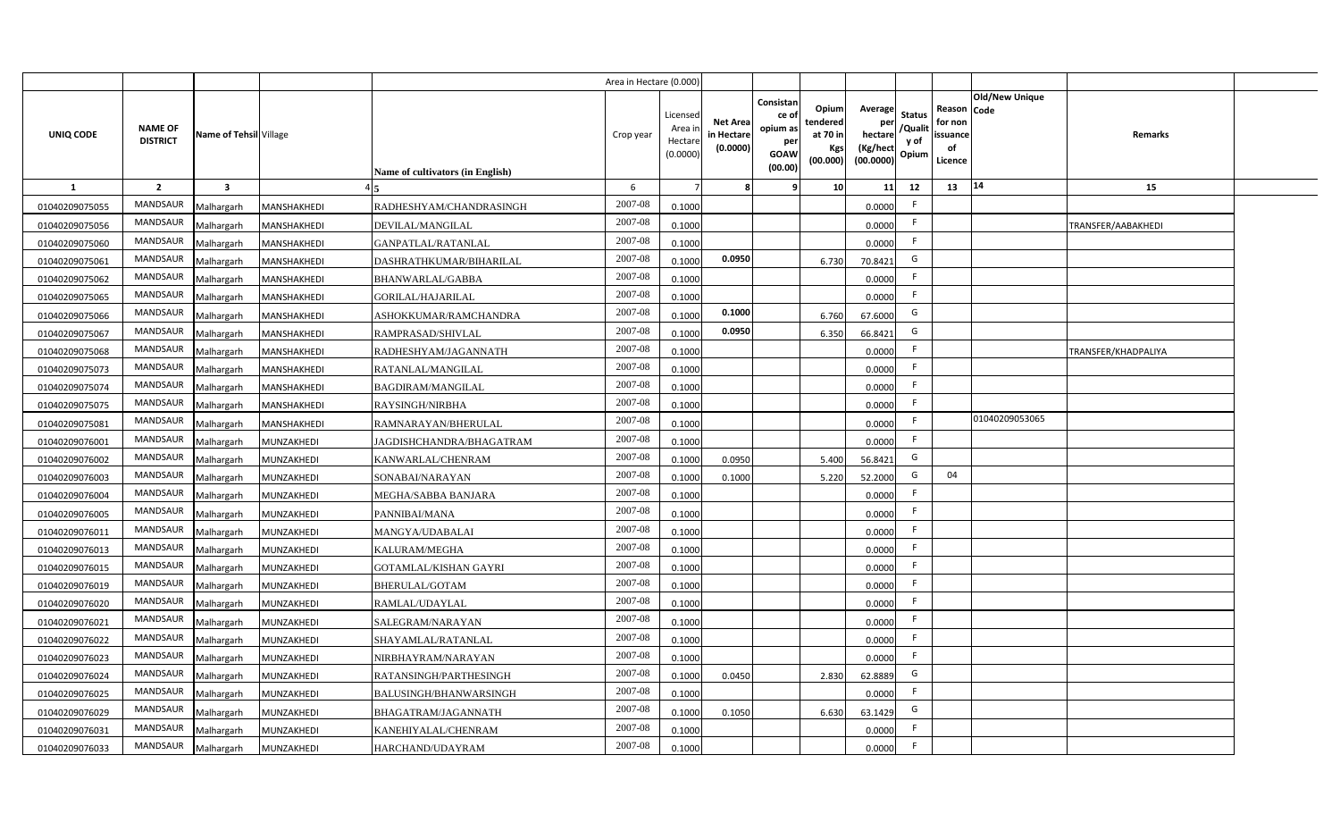|                |                                   |                         |             |                                  | Area in Hectare (0.000) |                                          |                                           |                                                         |                                                   |                                                            |                                  |                                                     |                       |                     |  |
|----------------|-----------------------------------|-------------------------|-------------|----------------------------------|-------------------------|------------------------------------------|-------------------------------------------|---------------------------------------------------------|---------------------------------------------------|------------------------------------------------------------|----------------------------------|-----------------------------------------------------|-----------------------|---------------------|--|
| UNIQ CODE      | <b>NAME OF</b><br><b>DISTRICT</b> | Name of Tehsil Village  |             | Name of cultivators (in English) | Crop year               | Licensed<br>Area i<br>Hectar<br>(0.0000) | <b>Net Area</b><br>in Hectare<br>(0.0000) | Consistan<br>ce o<br>opium as<br>per<br>GOAW<br>(00.00) | Opiuml<br>tendered<br>at 70 in<br>Kgs<br>(00.000) | Average<br>per<br>hectare<br>(Kg/hect<br>$(00.0000)$ Opium | <b>Status</b><br>/Qualit<br>y of | Reason Code<br>for non<br>issuance<br>of<br>Licence | <b>Old/New Unique</b> | Remarks             |  |
| <b>1</b>       | $\overline{2}$                    | $\overline{\mathbf{3}}$ |             |                                  | 6                       |                                          |                                           |                                                         | 10                                                | 11                                                         | 12                               | 13                                                  | 14                    | 15                  |  |
| 01040209075055 | <b>MANDSAUR</b>                   | Malhargarh              | MANSHAKHEDI | RADHESHYAM/CHANDRASINGH          | 2007-08                 | 0.1000                                   |                                           |                                                         |                                                   | 0.0000                                                     | F.                               |                                                     |                       |                     |  |
| 01040209075056 | <b>MANDSAUR</b>                   | Malhargarh              | MANSHAKHEDI | DEVILAL/MANGILAL                 | 2007-08                 | 0.1000                                   |                                           |                                                         |                                                   | 0.0000                                                     | F.                               |                                                     |                       | TRANSFER/AABAKHEDI  |  |
| 01040209075060 | <b>MANDSAUR</b>                   | Malhargarh              | MANSHAKHEDI | GANPATLAL/RATANLAL               | 2007-08                 | 0.1000                                   |                                           |                                                         |                                                   | 0.0000                                                     | F.                               |                                                     |                       |                     |  |
| 01040209075061 | <b>MANDSAUR</b>                   | Malhargarh              | MANSHAKHEDI | DASHRATHKUMAR/BIHARILAL          | 2007-08                 | 0.1000                                   | 0.0950                                    |                                                         | 6.730                                             | 70.8421                                                    | G                                |                                                     |                       |                     |  |
| 01040209075062 | <b>MANDSAUR</b>                   | Malhargarh              | MANSHAKHEDI | BHANWARLAL/GABBA                 | 2007-08                 | 0.1000                                   |                                           |                                                         |                                                   | 0.0000                                                     | F.                               |                                                     |                       |                     |  |
| 01040209075065 | <b>MANDSAUR</b>                   | Malhargarh              | MANSHAKHEDI | GORILAL/HAJARILAL                | 2007-08                 | 0.1000                                   |                                           |                                                         |                                                   | 0.0000                                                     | F.                               |                                                     |                       |                     |  |
| 01040209075066 | <b>MANDSAUR</b>                   | Malhargarh              | MANSHAKHEDI | ASHOKKUMAR/RAMCHANDRA            | 2007-08                 | 0.100                                    | 0.1000                                    |                                                         | 6.760                                             | 67.6000                                                    | G                                |                                                     |                       |                     |  |
| 01040209075067 | <b>MANDSAUR</b>                   | Malhargarh              | MANSHAKHEDI | RAMPRASAD/SHIVLAL                | 2007-08                 | 0.1000                                   | 0.0950                                    |                                                         | 6.350                                             | 66.8421                                                    | G                                |                                                     |                       |                     |  |
| 01040209075068 | <b>MANDSAUR</b>                   | Malhargarh              | MANSHAKHEDI | RADHESHYAM/JAGANNATH             | 2007-08                 | 0.1000                                   |                                           |                                                         |                                                   | 0.0000                                                     | F.                               |                                                     |                       | TRANSFER/KHADPALIYA |  |
| 01040209075073 | <b>MANDSAUR</b>                   | Malhargarh              | MANSHAKHEDI | RATANLAL/MANGILAL                | 2007-08                 | 0.1000                                   |                                           |                                                         |                                                   | 0.0000                                                     | F.                               |                                                     |                       |                     |  |
| 01040209075074 | <b>MANDSAUR</b>                   | Malhargarh              | MANSHAKHEDI | <b>BAGDIRAM/MANGILAL</b>         | 2007-08                 | 0.1000                                   |                                           |                                                         |                                                   | 0.0000                                                     | F.                               |                                                     |                       |                     |  |
| 01040209075075 | MANDSAUR                          | Malhargarh              | MANSHAKHEDI | RAYSINGH/NIRBHA                  | 2007-08                 | 0.1000                                   |                                           |                                                         |                                                   | 0.0000                                                     | F.                               |                                                     |                       |                     |  |
| 01040209075081 | <b>MANDSAUR</b>                   | Malhargarh              | MANSHAKHEDI | RAMNARAYAN/BHERULAL              | 2007-08                 | 0.1000                                   |                                           |                                                         |                                                   | 0.0000                                                     | F.                               |                                                     | 01040209053065        |                     |  |
| 01040209076001 | MANDSAUR                          | Malhargarh              | MUNZAKHEDI  | JAGDISHCHANDRA/BHAGATRAM         | 2007-08                 | 0.1000                                   |                                           |                                                         |                                                   | 0.0000                                                     | F.                               |                                                     |                       |                     |  |
| 01040209076002 | <b>MANDSAUR</b>                   | Malhargarh              | MUNZAKHEDI  | KANWARLAL/CHENRAM                | 2007-08                 | 0.1000                                   | 0.0950                                    |                                                         | 5.400                                             | 56.8421                                                    | G                                |                                                     |                       |                     |  |
| 01040209076003 | MANDSAUR                          | Malhargarh              | MUNZAKHEDI  | SONABAI/NARAYAN                  | 2007-08                 | 0.1000                                   | 0.1000                                    |                                                         | 5.220                                             | 52.2000                                                    | G                                | 04                                                  |                       |                     |  |
| 01040209076004 | <b>MANDSAUR</b>                   | Malhargarh              | MUNZAKHEDI  | MEGHA/SABBA BANJARA              | 2007-08                 | 0.1000                                   |                                           |                                                         |                                                   | 0.0000                                                     | F.                               |                                                     |                       |                     |  |
| 01040209076005 | <b>MANDSAUR</b>                   | Malhargarh              | MUNZAKHEDI  | PANNIBAI/MANA                    | 2007-08                 | 0.1000                                   |                                           |                                                         |                                                   | 0.0000                                                     | F.                               |                                                     |                       |                     |  |
| 01040209076011 | MANDSAUR                          | Malhargarh              | MUNZAKHEDI  | MANGYA/UDABALAI                  | 2007-08                 | 0.1000                                   |                                           |                                                         |                                                   | 0.0000                                                     | F.                               |                                                     |                       |                     |  |
| 01040209076013 | <b>MANDSAUR</b>                   | Malhargarh              | MUNZAKHEDI  | KALURAM/MEGHA                    | 2007-08                 | 0.1000                                   |                                           |                                                         |                                                   | 0.0000                                                     | F.                               |                                                     |                       |                     |  |
| 01040209076015 | <b>MANDSAUR</b>                   | Malhargarh              | MUNZAKHEDI  | <b>GOTAMLAL/KISHAN GAYRI</b>     | 2007-08                 | 0.1000                                   |                                           |                                                         |                                                   | 0.0000                                                     | F.                               |                                                     |                       |                     |  |
| 01040209076019 | <b>MANDSAUR</b>                   | Malhargarh              | MUNZAKHEDI  | BHERULAL/GOTAM                   | 2007-08                 | 0.1000                                   |                                           |                                                         |                                                   | 0.0000                                                     | F.                               |                                                     |                       |                     |  |
| 01040209076020 | <b>MANDSAUR</b>                   | Malhargarh              | MUNZAKHEDI  | RAMLAL/UDAYLAL                   | 2007-08                 | 0.1000                                   |                                           |                                                         |                                                   | 0.0000                                                     | F.                               |                                                     |                       |                     |  |
| 01040209076021 | <b>MANDSAUR</b>                   | Malhargarh              | MUNZAKHEDI  | SALEGRAM/NARAYAN                 | 2007-08                 | 0.1000                                   |                                           |                                                         |                                                   | 0.0000                                                     | F.                               |                                                     |                       |                     |  |
| 01040209076022 | <b>MANDSAUR</b>                   | Malhargarh              | MUNZAKHEDI  | SHAYAMLAL/RATANLAL               | 2007-08                 | 0.1000                                   |                                           |                                                         |                                                   | 0.0000                                                     | F.                               |                                                     |                       |                     |  |
| 01040209076023 | <b>MANDSAUR</b>                   | Malhargarh              | MUNZAKHEDI  | NIRBHAYRAM/NARAYAN               | 2007-08                 | 0.1000                                   |                                           |                                                         |                                                   | 0.0000                                                     | F.                               |                                                     |                       |                     |  |
| 01040209076024 | <b>MANDSAUR</b>                   | Malhargarh              | MUNZAKHEDI  | RATANSINGH/PARTHESINGH           | 2007-08                 | 0.1000                                   | 0.0450                                    |                                                         | 2.830                                             | 62.8889                                                    | G                                |                                                     |                       |                     |  |
| 01040209076025 | <b>MANDSAUR</b>                   | Malhargarh              | MUNZAKHEDI  | BALUSINGH/BHANWARSINGH           | 2007-08                 | 0.1000                                   |                                           |                                                         |                                                   | 0.0000                                                     | F.                               |                                                     |                       |                     |  |
| 01040209076029 | <b>MANDSAUR</b>                   | Malhargarh              | MUNZAKHEDI  | BHAGATRAM/JAGANNATH              | 2007-08                 | 0.1000                                   | 0.1050                                    |                                                         | 6.630                                             | 63.1429                                                    | G                                |                                                     |                       |                     |  |
| 01040209076031 | <b>MANDSAUR</b>                   | Malhargarh              | MUNZAKHEDI  | KANEHIYALAL/CHENRAM              | 2007-08                 | 0.1000                                   |                                           |                                                         |                                                   | 0.0000                                                     | F.                               |                                                     |                       |                     |  |
| 01040209076033 | <b>MANDSAUR</b>                   | Malhargarh              | MUNZAKHEDI  | HARCHAND/UDAYRAM                 | 2007-08                 | 0.1000                                   |                                           |                                                         |                                                   | 0.0000                                                     | F.                               |                                                     |                       |                     |  |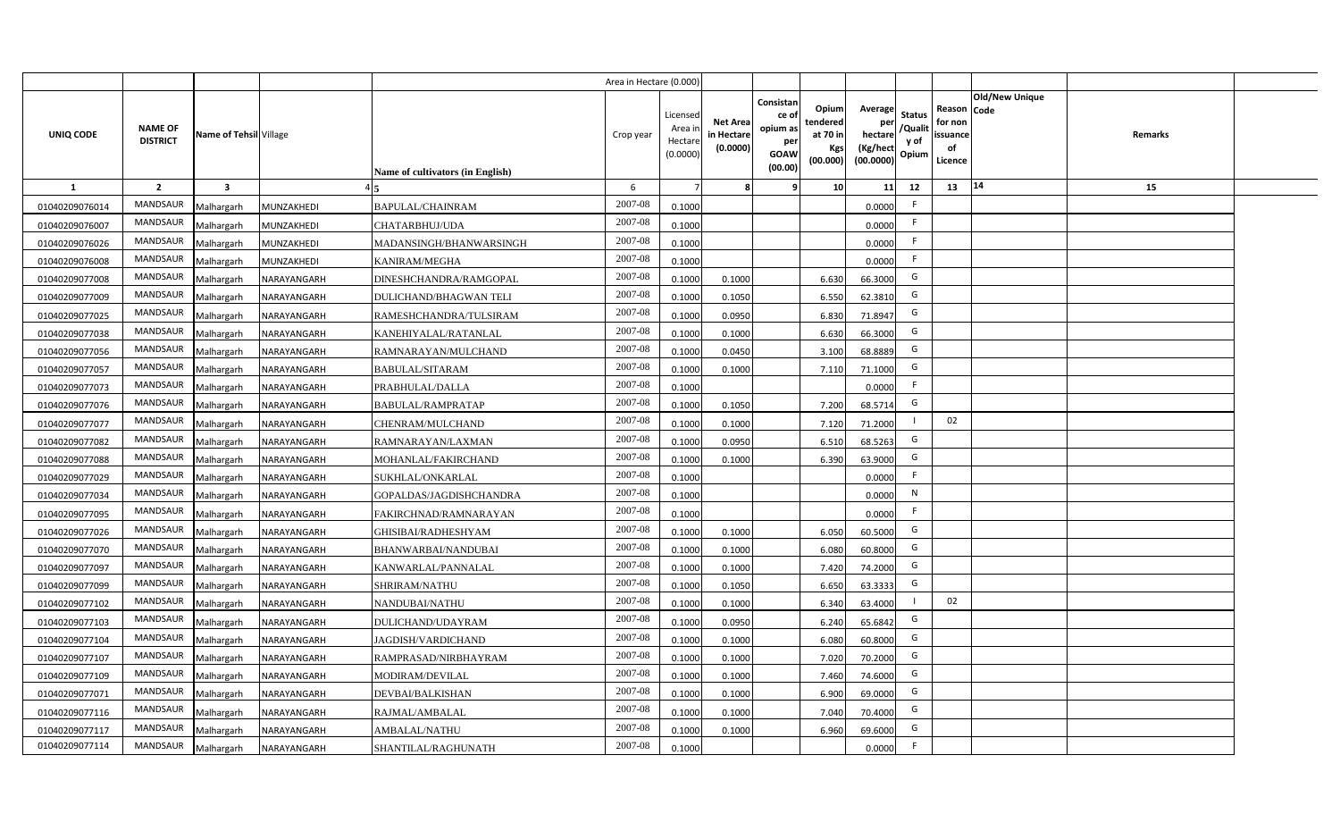|                |                                   |                         |             |                                  | Area in Hectare (0.000 |                                          |                                          |                                                                 |                                                  |                                                    |                                           |                                                     |                       |                |  |
|----------------|-----------------------------------|-------------------------|-------------|----------------------------------|------------------------|------------------------------------------|------------------------------------------|-----------------------------------------------------------------|--------------------------------------------------|----------------------------------------------------|-------------------------------------------|-----------------------------------------------------|-----------------------|----------------|--|
| UNIQ CODE      | <b>NAME OF</b><br><b>DISTRICT</b> | Name of Tehsil Village  |             | Name of cultivators (in English) | Crop year              | Licensed<br>Area i<br>Hectar<br>(0.0000) | <b>Net Area</b><br>in Hectar<br>(0.0000) | Consistan<br>ce of<br>opium as<br>per<br><b>GOAW</b><br>(00.00) | Opium<br>tendered<br>at 70 in<br>Kgs<br>(00.000) | Average<br>per<br>hectare<br>(Kg/hect<br>(00.0000) | <b>Status</b><br>/Qualit<br>y of<br>Opium | Reason Code<br>for non<br>issuance<br>of<br>Licence | <b>Old/New Unique</b> | <b>Remarks</b> |  |
| 1              | $\overline{2}$                    | $\overline{\mathbf{3}}$ |             |                                  | 6                      |                                          |                                          | ٠q                                                              | 10 <sup>1</sup>                                  | 11                                                 | 12                                        | 13                                                  | $\vert 14$            | 15             |  |
| 01040209076014 | MANDSAUR                          | Malhargarh              | MUNZAKHEDI  | BAPULAL/CHAINRAM                 | 2007-08                | 0.1000                                   |                                          |                                                                 |                                                  | 0.0000                                             | -F                                        |                                                     |                       |                |  |
| 01040209076007 | MANDSAUR                          | Malhargarh              | MUNZAKHEDI  | CHATARBHUJ/UDA                   | 2007-08                | 0.1000                                   |                                          |                                                                 |                                                  | 0.0000                                             | F.                                        |                                                     |                       |                |  |
| 01040209076026 | <b>MANDSAUR</b>                   | Malhargarh              | MUNZAKHEDI  | MADANSINGH/BHANWARSINGH          | 2007-08                | 0.1000                                   |                                          |                                                                 |                                                  | 0.0000                                             | - F                                       |                                                     |                       |                |  |
| 01040209076008 | MANDSAUR                          | Malhargarh              | MUNZAKHEDI  | <b>KANIRAM/MEGHA</b>             | 2007-08                | 0.1000                                   |                                          |                                                                 |                                                  | 0.0000                                             | -F                                        |                                                     |                       |                |  |
| 01040209077008 | MANDSAUR                          | Malhargarh              | NARAYANGARH | DINESHCHANDRA/RAMGOPAL           | 2007-08                | 0.1000                                   | 0.1000                                   |                                                                 | 6.630                                            | 66.3000                                            | G                                         |                                                     |                       |                |  |
| 01040209077009 | <b>MANDSAUR</b>                   | Malhargarh              | NARAYANGARH | <b>DULICHAND/BHAGWAN TELI</b>    | 2007-08                | 0.1000                                   | 0.1050                                   |                                                                 | 6.550                                            | 62.3810                                            | G                                         |                                                     |                       |                |  |
| 01040209077025 | <b>MANDSAUR</b>                   | Malhargarh              | NARAYANGARH | RAMESHCHANDRA/TULSIRAM           | 2007-08                | 0.1000                                   | 0.0950                                   |                                                                 | 6.830                                            | 71.8947                                            | G                                         |                                                     |                       |                |  |
| 01040209077038 | MANDSAUR                          | Malhargarh              | NARAYANGARH | KANEHIYALAL/RATANLAL             | 2007-08                | 0.1000                                   | 0.1000                                   |                                                                 | 6.630                                            | 66.3000                                            | G                                         |                                                     |                       |                |  |
| 01040209077056 | MANDSAUR                          | Malhargarh              | NARAYANGARH | RAMNARAYAN/MULCHAND              | 2007-08                | 0.100                                    | 0.0450                                   |                                                                 | 3.100                                            | 68.8889                                            | G                                         |                                                     |                       |                |  |
| 01040209077057 | MANDSAUR                          | Malhargarh              | NARAYANGARH | <b>BABULAL/SITARAM</b>           | 2007-08                | 0.100                                    | 0.1000                                   |                                                                 | 7.110                                            | 71.1000                                            | G                                         |                                                     |                       |                |  |
| 01040209077073 | MANDSAUR                          | Malhargarh              | NARAYANGARH | PRABHULAL/DALLA                  | 2007-08                | 0.1000                                   |                                          |                                                                 |                                                  | 0.0000                                             |                                           |                                                     |                       |                |  |
| 01040209077076 | MANDSAUR                          | Malhargarh              | NARAYANGARH | BABULAL/RAMPRATAP                | 2007-08                | 0.1000                                   | 0.1050                                   |                                                                 | 7.200                                            | 68.5714                                            | G                                         |                                                     |                       |                |  |
| 01040209077077 | <b>MANDSAUR</b>                   | Malhargarh              | NARAYANGARH | CHENRAM/MULCHAND                 | 2007-08                | 0.1000                                   | 0.1000                                   |                                                                 | 7.120                                            | 71.2000                                            |                                           | 02                                                  |                       |                |  |
| 01040209077082 | <b>MANDSAUR</b>                   | Malhargarh              | NARAYANGARH | RAMNARAYAN/LAXMAN                | 2007-08                | 0.1000                                   | 0.0950                                   |                                                                 | 6.510                                            | 68.5263                                            | G                                         |                                                     |                       |                |  |
| 01040209077088 | <b>MANDSAUR</b>                   | Malhargarh              | NARAYANGARH | MOHANLAL/FAKIRCHAND              | 2007-08                | 0.1000                                   | 0.1000                                   |                                                                 | 6.390                                            | 63.9000                                            | G                                         |                                                     |                       |                |  |
| 01040209077029 | <b>MANDSAUR</b>                   | Malhargarh              | NARAYANGARH | SUKHLAL/ONKARLAL                 | 2007-08                | 0.1000                                   |                                          |                                                                 |                                                  | 0.0000                                             | F.                                        |                                                     |                       |                |  |
| 01040209077034 | <b>MANDSAUR</b>                   | Malhargarh              | NARAYANGARH | GOPALDAS/JAGDISHCHANDRA          | 2007-08                | 0.1000                                   |                                          |                                                                 |                                                  | 0.0000                                             | N                                         |                                                     |                       |                |  |
| 01040209077095 | <b>MANDSAUR</b>                   | Malhargarh              | NARAYANGARH | FAKIRCHNAD/RAMNARAYAN            | 2007-08                | 0.1000                                   |                                          |                                                                 |                                                  | 0.0000                                             | E                                         |                                                     |                       |                |  |
| 01040209077026 | <b>MANDSAUR</b>                   | Malhargarh              | NARAYANGARH | GHISIBAI/RADHESHYAM              | 2007-08                | 0.100                                    | 0.1000                                   |                                                                 | 6.050                                            | 60.5000                                            | G                                         |                                                     |                       |                |  |
| 01040209077070 | <b>MANDSAUR</b>                   | Malhargarh              | NARAYANGARH | BHANWARBAI/NANDUBAI              | 2007-08                | 0.1000                                   | 0.1000                                   |                                                                 | 6.080                                            | 60.8000                                            | G                                         |                                                     |                       |                |  |
| 01040209077097 | <b>MANDSAUR</b>                   | Malhargarh              | NARAYANGARH | KANWARLAL/PANNALAL               | 2007-08                | 0.1000                                   | 0.1000                                   |                                                                 | 7.420                                            | 74.2000                                            | G                                         |                                                     |                       |                |  |
| 01040209077099 | <b>MANDSAUR</b>                   | Malhargarh              | NARAYANGARH | SHRIRAM/NATHU                    | 2007-08                | 0.100                                    | 0.1050                                   |                                                                 | 6.650                                            | 63.3333                                            | G                                         |                                                     |                       |                |  |
| 01040209077102 | MANDSAUR                          | Malhargarh              | NARAYANGARH | NANDUBAI/NATHU                   | 2007-08                | 0.100                                    | 0.1000                                   |                                                                 | 6.340                                            | 63.4000                                            |                                           | 02                                                  |                       |                |  |
| 01040209077103 | <b>MANDSAUR</b>                   | Malhargarh              | NARAYANGARH | DULICHAND/UDAYRAM                | 2007-08                | 0.100                                    | 0.0950                                   |                                                                 | 6.240                                            | 65.6842                                            | G                                         |                                                     |                       |                |  |
| 01040209077104 | <b>MANDSAUR</b>                   | Malhargarh              | NARAYANGARH | JAGDISH/VARDICHAND               | 2007-08                | 0.1000                                   | 0.1000                                   |                                                                 | 6.080                                            | 60.8000                                            | G                                         |                                                     |                       |                |  |
| 01040209077107 | MANDSAUR                          | Malhargarh              | NARAYANGARH | RAMPRASAD/NIRBHAYRAM             | 2007-08                | 0.1000                                   | 0.1000                                   |                                                                 | 7.020                                            | 70.2000                                            | G                                         |                                                     |                       |                |  |
| 01040209077109 | MANDSAUR                          | Malhargarh              | NARAYANGARH | MODIRAM/DEVILAL                  | 2007-08                | 0.1000                                   | 0.1000                                   |                                                                 | 7.460                                            | 74.6000                                            | G                                         |                                                     |                       |                |  |
| 01040209077071 | MANDSAUR                          | Malhargarh              | NARAYANGARH | DEVBAI/BALKISHAN                 | 2007-08                | 0.1000                                   | 0.1000                                   |                                                                 | 6.900                                            | 69.0000                                            | G                                         |                                                     |                       |                |  |
| 01040209077116 | MANDSAUR                          | Malhargarh              | NARAYANGARH | RAJMAL/AMBALAL                   | 2007-08                | 0.1000                                   | 0.1000                                   |                                                                 | 7.040                                            | 70.4000                                            | G                                         |                                                     |                       |                |  |
| 01040209077117 | MANDSAUR                          | Malhargarh              | NARAYANGARH | AMBALAL/NATHU                    | 2007-08                | 0.1000                                   | 0.1000                                   |                                                                 | 6.960                                            | 69.6000                                            | G                                         |                                                     |                       |                |  |
| 01040209077114 | MANDSAUR                          | Malhargarh              | NARAYANGARH | SHANTILAL/RAGHUNATH              | 2007-08                | 0.1000                                   |                                          |                                                                 |                                                  | 0.0000                                             | -F                                        |                                                     |                       |                |  |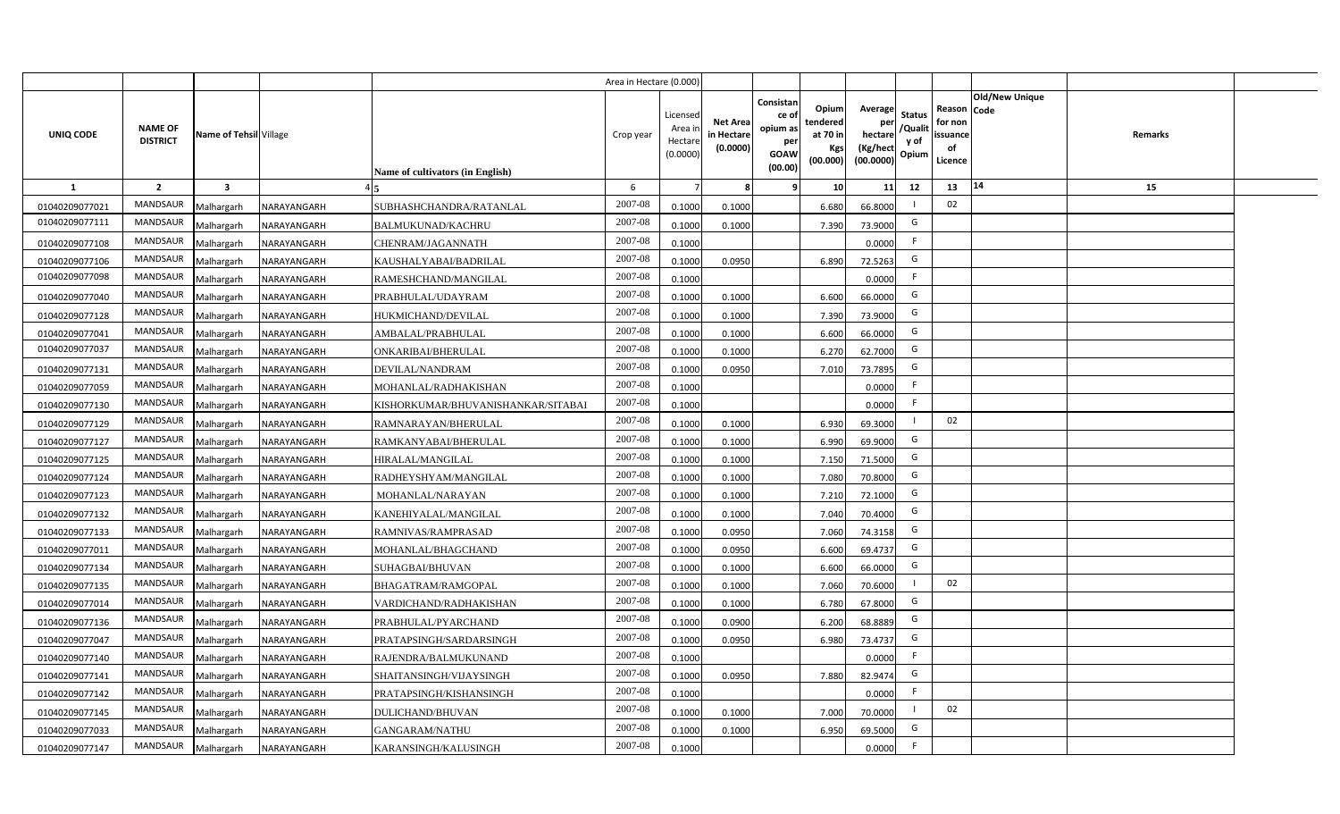|                |                                   |                         |             |                                         | Area in Hectare (0.000) |                                           |                                           |                                                                                                                     |                                                    |                                           |                                                     |                       |         |  |
|----------------|-----------------------------------|-------------------------|-------------|-----------------------------------------|-------------------------|-------------------------------------------|-------------------------------------------|---------------------------------------------------------------------------------------------------------------------|----------------------------------------------------|-------------------------------------------|-----------------------------------------------------|-----------------------|---------|--|
| UNIQ CODE      | <b>NAME OF</b><br><b>DISTRICT</b> | Name of Tehsil Village  |             | <b>Name of cultivators (in English)</b> | Crop year               | Licensed<br>Area i<br>Hectare<br>(0.0000) | <b>Net Area</b><br>in Hectare<br>(0.0000) | Consistan<br>Opium<br>ce of<br>tendered<br>opium as<br>at 70 in<br>per<br>Kgs<br><b>GOAW</b><br>(00.000)<br>(00.00) | Average<br>per<br>hectare<br>(Kg/hect<br>(00.0000) | <b>Status</b><br>/Qualit<br>y of<br>Opium | Reason Code<br>for non<br>issuance<br>of<br>Licence | <b>Old/New Unique</b> | Remarks |  |
| 1              | $\overline{2}$                    | $\overline{\mathbf{3}}$ |             |                                         | 6                       |                                           | 8                                         | -9                                                                                                                  | 10 <sup>1</sup><br>11                              | 12                                        | 13                                                  | 14                    | 15      |  |
| 01040209077021 | MANDSAUR                          | Malhargarh              | NARAYANGARH | SUBHASHCHANDRA/RATANLAL                 | 2007-08                 | 0.1000                                    | 0.1000                                    | 6.680                                                                                                               | 66.8000                                            |                                           | 02                                                  |                       |         |  |
| 01040209077111 | MANDSAUR                          | Malhargarh              | NARAYANGARH | <b>BALMUKUNAD/KACHRU</b>                | 2007-08                 | 0.1000                                    | 0.1000                                    | 7.390                                                                                                               | 73.9000                                            | G                                         |                                                     |                       |         |  |
| 01040209077108 | <b>MANDSAUR</b>                   | Malhargarh              | NARAYANGARH | CHENRAM/JAGANNATH                       | 2007-08                 | 0.1000                                    |                                           |                                                                                                                     | 0.0000                                             | F.                                        |                                                     |                       |         |  |
| 01040209077106 | <b>MANDSAUR</b>                   | Malhargarh              | NARAYANGARH | KAUSHALYABAI/BADRILAL                   | 2007-08                 | 0.1000                                    | 0.0950                                    | 6.890                                                                                                               | 72.5263                                            | G                                         |                                                     |                       |         |  |
| 01040209077098 | MANDSAUR                          | Malhargarh              | NARAYANGARH | RAMESHCHAND/MANGILAL                    | 2007-08                 | 0.1000                                    |                                           |                                                                                                                     | 0.0000                                             | F.                                        |                                                     |                       |         |  |
| 01040209077040 | <b>MANDSAUR</b>                   | Malhargarh              | NARAYANGARH | PRABHULAL/UDAYRAM                       | 2007-08                 | 0.1000                                    | 0.1000                                    | 6.600                                                                                                               | 66.0000                                            | G                                         |                                                     |                       |         |  |
| 01040209077128 | <b>MANDSAUR</b>                   | Malhargarh              | NARAYANGARH | HUKMICHAND/DEVILAL                      | 2007-08                 | 0.1000                                    | 0.1000                                    | 7.390                                                                                                               | 73.9000                                            | G                                         |                                                     |                       |         |  |
| 01040209077041 | MANDSAUR                          | Malhargarh              | NARAYANGARH | AMBALAL/PRABHULAL                       | 2007-08                 | 0.1000                                    | 0.1000                                    | 6.600                                                                                                               | 66.0000                                            | G                                         |                                                     |                       |         |  |
| 01040209077037 | <b>MANDSAUR</b>                   | Malhargarh              | NARAYANGARH | ONKARIBAI/BHERULAL                      | 2007-08                 | 0.1000                                    | 0.1000                                    | 6.270                                                                                                               | 62.7000                                            | G                                         |                                                     |                       |         |  |
| 01040209077131 | <b>MANDSAUR</b>                   | Malhargarh              | NARAYANGARH | DEVILAL/NANDRAM                         | 2007-08                 | 0.1000                                    | 0.0950                                    | 7.010                                                                                                               | 73.7895                                            | G                                         |                                                     |                       |         |  |
| 01040209077059 | <b>MANDSAUR</b>                   | Malhargarh              | NARAYANGARH | MOHANLAL/RADHAKISHAN                    | 2007-08                 | 0.1000                                    |                                           |                                                                                                                     | 0.0000                                             | -F                                        |                                                     |                       |         |  |
| 01040209077130 | <b>MANDSAUR</b>                   | Malhargarh              | NARAYANGARH | KISHORKUMAR/BHUVANISHANKAR/SITABAI      | 2007-08                 | 0.1000                                    |                                           |                                                                                                                     | 0.0000                                             | F                                         |                                                     |                       |         |  |
| 01040209077129 | <b>MANDSAUR</b>                   | Malhargarh              | NARAYANGARH | RAMNARAYAN/BHERULAL                     | 2007-08                 | 0.1000                                    | 0.1000                                    | 6.930                                                                                                               | 69.3000                                            |                                           | 02                                                  |                       |         |  |
| 01040209077127 | <b>MANDSAUR</b>                   | Malhargarh              | NARAYANGARH | RAMKANYABAI/BHERULAL                    | 2007-08                 | 0.1000                                    | 0.1000                                    | 6.990                                                                                                               | 69.9000                                            | G                                         |                                                     |                       |         |  |
| 01040209077125 | <b>MANDSAUR</b>                   | Malhargarh              | NARAYANGARH | HIRALAL/MANGILAL                        | 2007-08                 | 0.1000                                    | 0.1000                                    | 7.150                                                                                                               | 71.5000                                            | G                                         |                                                     |                       |         |  |
| 01040209077124 | <b>MANDSAUR</b>                   | Malhargarh              | NARAYANGARH | RADHEYSHYAM/MANGILAL                    | 2007-08                 | 0.1000                                    | 0.1000                                    | 7.080                                                                                                               | 70.8000                                            | G                                         |                                                     |                       |         |  |
| 01040209077123 | <b>MANDSAUR</b>                   | Malhargarh              | NARAYANGARH | MOHANLAL/NARAYAN                        | 2007-08                 | 0.1000                                    | 0.1000                                    | 7.210                                                                                                               | 72.1000                                            | G                                         |                                                     |                       |         |  |
| 01040209077132 | <b>MANDSAUR</b>                   | Malhargarh              | NARAYANGARH | KANEHIYALAL/MANGILAL                    | 2007-08                 | 0.1000                                    | 0.1000                                    | 7.040                                                                                                               | 70.4000                                            | G                                         |                                                     |                       |         |  |
| 01040209077133 | <b>MANDSAUR</b>                   | Malhargarh              | NARAYANGARH | RAMNIVAS/RAMPRASAD                      | 2007-08                 | 0.1000                                    | 0.0950                                    | 7.060                                                                                                               | 74.3158                                            | G                                         |                                                     |                       |         |  |
| 01040209077011 | <b>MANDSAUR</b>                   | Malhargarh              | NARAYANGARH | MOHANLAL/BHAGCHAND                      | 2007-08                 | 0.1000                                    | 0.0950                                    | 6.600                                                                                                               | 69.4737                                            | G                                         |                                                     |                       |         |  |
| 01040209077134 | <b>MANDSAUR</b>                   | Malhargarh              | NARAYANGARH | SUHAGBAI/BHUVAN                         | 2007-08                 | 0.1000                                    | 0.1000                                    | 6.600                                                                                                               | 66.0000                                            | G                                         |                                                     |                       |         |  |
| 01040209077135 | <b>MANDSAUR</b>                   | Malhargarh              | NARAYANGARH | BHAGATRAM/RAMGOPAL                      | $2007 - 08$             | 0.1000                                    | 0.1000                                    | 7.060                                                                                                               | 70.6000                                            |                                           | 02                                                  |                       |         |  |
| 01040209077014 | <b>MANDSAUR</b>                   | Malhargarh              | NARAYANGARH | VARDICHAND/RADHAKISHAN                  | 2007-08                 | 0.1000                                    | 0.1000                                    | 6.780                                                                                                               | 67.8000                                            | G                                         |                                                     |                       |         |  |
| 01040209077136 | MANDSAUR                          | Malhargarh              | NARAYANGARH | PRABHULAL/PYARCHAND                     | 2007-08                 | 0.1000                                    | 0.0900                                    | 6.200                                                                                                               | 68.8889                                            | G                                         |                                                     |                       |         |  |
| 01040209077047 | MANDSAUR                          | Malhargarh              | NARAYANGARH | PRATAPSINGH/SARDARSINGH                 | 2007-08                 | 0.1000                                    | 0.0950                                    | 6.980                                                                                                               | 73.4737                                            | G                                         |                                                     |                       |         |  |
| 01040209077140 | MANDSAUR                          | Malhargarh              | NARAYANGARH | RAJENDRA/BALMUKUNAND                    | 2007-08                 | 0.1000                                    |                                           |                                                                                                                     | 0.0000                                             | F                                         |                                                     |                       |         |  |
| 01040209077141 | MANDSAUR                          | Malhargarh              | NARAYANGARH | SHAITANSINGH/VIJAYSINGH                 | 2007-08                 | 0.1000                                    | 0.0950                                    | 7.880                                                                                                               | 82.9474                                            | G                                         |                                                     |                       |         |  |
| 01040209077142 | MANDSAUR                          | Malhargarh              | NARAYANGARH | PRATAPSINGH/KISHANSINGH                 | 2007-08                 | 0.1000                                    |                                           |                                                                                                                     | 0.0000                                             | F                                         |                                                     |                       |         |  |
| 01040209077145 | MANDSAUR                          | Malhargarh              | NARAYANGARH | DULICHAND/BHUVAN                        | 2007-08                 | 0.1000                                    | 0.1000                                    | 7.000                                                                                                               | 70.0000                                            |                                           | 02                                                  |                       |         |  |
| 01040209077033 | MANDSAUR                          | Malhargarh              | NARAYANGARH | <b>GANGARAM/NATHU</b>                   | 2007-08                 | 0.1000                                    | 0.1000                                    | 6.950                                                                                                               | 69.5000                                            | G                                         |                                                     |                       |         |  |
| 01040209077147 | MANDSAUR                          | Malhargarh              | NARAYANGARH | KARANSINGH/KALUSINGH                    | 2007-08                 | 0.1000                                    |                                           |                                                                                                                     | 0.0000                                             | F                                         |                                                     |                       |         |  |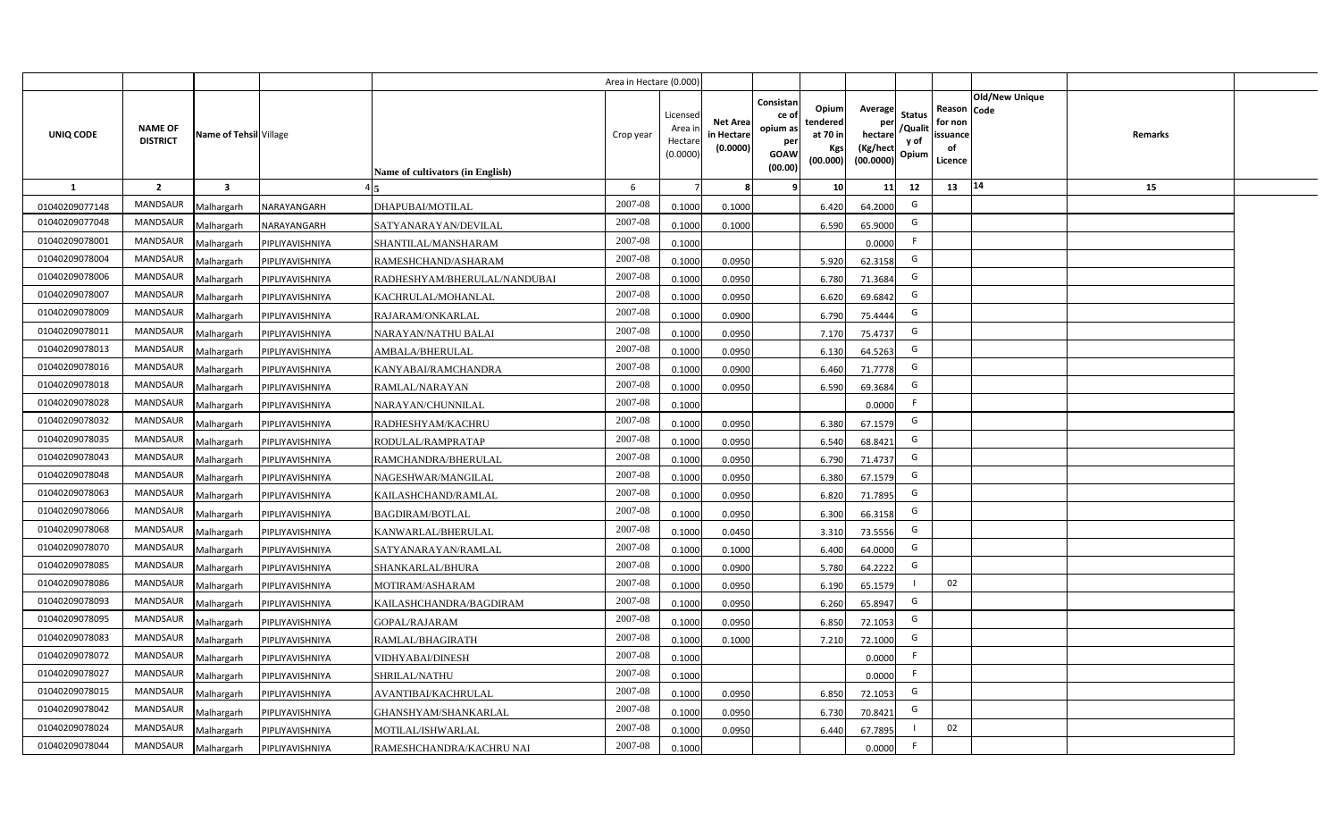|                |                                   |                         |                 |                                         | Area in Hectare (0.000) |                                           |                                           |                                                                |                                                         |                                                    |                                           |                                                     |                       |         |  |
|----------------|-----------------------------------|-------------------------|-----------------|-----------------------------------------|-------------------------|-------------------------------------------|-------------------------------------------|----------------------------------------------------------------|---------------------------------------------------------|----------------------------------------------------|-------------------------------------------|-----------------------------------------------------|-----------------------|---------|--|
| UNIQ CODE      | <b>NAME OF</b><br><b>DISTRICT</b> | Name of Tehsil Village  |                 | <b>Name of cultivators (in English)</b> | Crop year               | Licensed<br>Area i<br>Hectare<br>(0.0000) | <b>Net Area</b><br>in Hectare<br>(0.0000) | Consistan<br>ce o<br>opium as<br>per<br><b>GOAW</b><br>(00.00) | Opium<br>tendered<br>at 70 in<br><b>Kgs</b><br>(00.000) | Average<br>per<br>hectare<br>(Kg/hect<br>(00.0000) | <b>Status</b><br>/Qualit<br>y of<br>Opium | Reason Code<br>for non<br>issuance<br>of<br>Licence | <b>Old/New Unique</b> | Remarks |  |
| <b>1</b>       | $\overline{2}$                    | $\overline{\mathbf{3}}$ |                 |                                         | 6                       |                                           | 8                                         | -9                                                             | 10 <sup>1</sup>                                         | 11                                                 | 12                                        | 13                                                  | 14                    | 15      |  |
| 01040209077148 | MANDSAUR                          | Malhargarh              | NARAYANGARH     | DHAPUBAI/MOTILAL                        | 2007-08                 | 0.1000                                    | 0.1000                                    |                                                                | 6.420                                                   | 64.2000                                            | G                                         |                                                     |                       |         |  |
| 01040209077048 | <b>MANDSAUR</b>                   | Malhargarh              | NARAYANGARH     | SATYANARAYAN/DEVILAL                    | 2007-08                 | 0.1000                                    | 0.1000                                    |                                                                | 6.590                                                   | 65.9000                                            | G                                         |                                                     |                       |         |  |
| 01040209078001 | <b>MANDSAUR</b>                   | Malhargarh              | PIPLIYAVISHNIYA | SHANTILAL/MANSHARAM                     | 2007-08                 | 0.1000                                    |                                           |                                                                |                                                         | 0.0000                                             | - F                                       |                                                     |                       |         |  |
| 01040209078004 | <b>MANDSAUR</b>                   | Malhargarh              | PIPLIYAVISHNIYA | RAMESHCHAND/ASHARAM                     | 2007-08                 | 0.1000                                    | 0.0950                                    |                                                                | 5.920                                                   | 62.3158                                            | G                                         |                                                     |                       |         |  |
| 01040209078006 | <b>MANDSAUR</b>                   | Malhargarh              | PIPLIYAVISHNIYA | RADHESHYAM/BHERULAL/NANDUBAI            | 2007-08                 | 0.1000                                    | 0.0950                                    |                                                                | 6.780                                                   | 71.3684                                            | G                                         |                                                     |                       |         |  |
| 01040209078007 | <b>MANDSAUR</b>                   | Malhargarh              | PIPLIYAVISHNIYA | KACHRULAL/MOHANLAL                      | 2007-08                 | 0.1000                                    | 0.0950                                    |                                                                | 6.620                                                   | 69.6842                                            | G                                         |                                                     |                       |         |  |
| 01040209078009 | MANDSAUR                          | Malhargarh              | PIPLIYAVISHNIYA | RAJARAM/ONKARLAL                        | 2007-08                 | 0.1000                                    | 0.0900                                    |                                                                | 6.790                                                   | 75.4444                                            | G                                         |                                                     |                       |         |  |
| 01040209078011 | <b>MANDSAUR</b>                   | Malhargarh              | PIPLIYAVISHNIYA | NARAYAN/NATHU BALAI                     | 2007-08                 | 0.1000                                    | 0.0950                                    |                                                                | 7.170                                                   | 75.4737                                            | G                                         |                                                     |                       |         |  |
| 01040209078013 | MANDSAUR                          | Malhargarh              | PIPLIYAVISHNIYA | AMBALA/BHERULAL                         | 2007-08                 | 0.1000                                    | 0.0950                                    |                                                                | 6.130                                                   | 64.5263                                            | G                                         |                                                     |                       |         |  |
| 01040209078016 | MANDSAUR                          | Malhargarh              | PIPLIYAVISHNIYA | KANYABAI/RAMCHANDRA                     | 2007-08                 | 0.1000                                    | 0.0900                                    |                                                                | 6.460                                                   | 71.7778                                            | G                                         |                                                     |                       |         |  |
| 01040209078018 | <b>MANDSAUR</b>                   | Malhargarh              | PIPLIYAVISHNIYA | RAMLAL/NARAYAN                          | 2007-08                 | 0.1000                                    | 0.0950                                    |                                                                | 6.590                                                   | 69.3684                                            | G                                         |                                                     |                       |         |  |
| 01040209078028 | MANDSAUR                          | Malhargarh              | PIPLIYAVISHNIYA | NARAYAN/CHUNNILAL                       | 2007-08                 | 0.1000                                    |                                           |                                                                |                                                         | 0.0000                                             | -F                                        |                                                     |                       |         |  |
| 01040209078032 | <b>MANDSAUR</b>                   | Malhargarh              | PIPLIYAVISHNIYA | RADHESHYAM/KACHRU                       | $2007 - 08$             | 0.1000                                    | 0.0950                                    |                                                                | 6.380                                                   | 67.1579                                            | G                                         |                                                     |                       |         |  |
| 01040209078035 | MANDSAUR                          | Malhargarh              | PIPLIYAVISHNIYA | RODULAL/RAMPRATAP                       | 2007-08                 | 0.1000                                    | 0.0950                                    |                                                                | 6.540                                                   | 68.8421                                            | G                                         |                                                     |                       |         |  |
| 01040209078043 | MANDSAUR                          | Malhargarh              | PIPLIYAVISHNIYA | RAMCHANDRA/BHERULAL                     | 2007-08                 | 0.1000                                    | 0.0950                                    |                                                                | 6.790                                                   | 71.4737                                            | G                                         |                                                     |                       |         |  |
| 01040209078048 | MANDSAUR                          | Malhargarh              | PIPLIYAVISHNIYA | NAGESHWAR/MANGILAL                      | 2007-08                 | 0.1000                                    | 0.0950                                    |                                                                | 6.380                                                   | 67.1579                                            | G                                         |                                                     |                       |         |  |
| 01040209078063 | MANDSAUR                          | Malhargarh              | PIPLIYAVISHNIYA | KAILASHCHAND/RAMLAL                     | 2007-08                 | 0.1000                                    | 0.0950                                    |                                                                | 6.820                                                   | 71.7895                                            | G                                         |                                                     |                       |         |  |
| 01040209078066 | MANDSAUR                          | Malhargarh              | PIPLIYAVISHNIYA | <b>BAGDIRAM/BOTLAL</b>                  | 2007-08                 | 0.1000                                    | 0.0950                                    |                                                                | 6.300                                                   | 66.3158                                            | G                                         |                                                     |                       |         |  |
| 01040209078068 | MANDSAUR                          | Malhargarh              | PIPLIYAVISHNIYA | KANWARLAL/BHERULAL                      | 2007-08                 | 0.1000                                    | 0.0450                                    |                                                                | 3.310                                                   | 73.5556                                            | G                                         |                                                     |                       |         |  |
| 01040209078070 | MANDSAUR                          | Malhargarh              | PIPLIYAVISHNIYA | SATYANARAYAN/RAMLAL                     | 2007-08                 | 0.1000                                    | 0.1000                                    |                                                                | 6.400                                                   | 64.0000                                            | G                                         |                                                     |                       |         |  |
| 01040209078085 | MANDSAUR                          | Malhargarh              | PIPLIYAVISHNIYA | SHANKARLAL/BHURA                        | 2007-08                 | 0.1000                                    | 0.0900                                    |                                                                | 5.780                                                   | 64.2222                                            | G                                         |                                                     |                       |         |  |
| 01040209078086 | MANDSAUR                          | Malhargarh              | PIPLIYAVISHNIYA | MOTIRAM/ASHARAM                         | 2007-08                 | 0.1000                                    | 0.0950                                    |                                                                | 6.190                                                   | 65.1579                                            | $\mathbf{I}$                              | 02                                                  |                       |         |  |
| 01040209078093 | MANDSAUR                          | Malhargarh              | PIPLIYAVISHNIYA | KAILASHCHANDRA/BAGDIRAM                 | 2007-08                 | 0.1000                                    | 0.0950                                    |                                                                | 6.260                                                   | 65.8947                                            | G                                         |                                                     |                       |         |  |
| 01040209078095 | MANDSAUR                          | Malhargarh              | PIPLIYAVISHNIYA | <b>GOPAL/RAJARAM</b>                    | 2007-08                 | 0.1000                                    | 0.0950                                    |                                                                | 6.850                                                   | 72.1053                                            | G                                         |                                                     |                       |         |  |
| 01040209078083 | <b>MANDSAUR</b>                   | Malhargarh              | PIPLIYAVISHNIYA | RAMLAL/BHAGIRATH                        | 2007-08                 | 0.1000                                    | 0.1000                                    |                                                                | 7.210                                                   | 72.1000                                            | G                                         |                                                     |                       |         |  |
| 01040209078072 | MANDSAUR                          | Malhargarh              | PIPLIYAVISHNIYA | VIDHYABAI/DINESH                        | 2007-08                 | 0.1000                                    |                                           |                                                                |                                                         | 0.0000                                             | F                                         |                                                     |                       |         |  |
| 01040209078027 | MANDSAUR                          | Malhargarh              | PIPLIYAVISHNIYA | SHRILAL/NATHU                           | 2007-08                 | 0.1000                                    |                                           |                                                                |                                                         | 0.0000                                             | F                                         |                                                     |                       |         |  |
| 01040209078015 | MANDSAUR                          | Malhargarh              | PIPLIYAVISHNIYA | AVANTIBAI/KACHRULAL                     | 2007-08                 | 0.1000                                    | 0.0950                                    |                                                                | 6.850                                                   | 72.1053                                            | G                                         |                                                     |                       |         |  |
| 01040209078042 | MANDSAUR                          | Malhargarh              | PIPLIYAVISHNIYA | GHANSHYAM/SHANKARLAL                    | 2007-08                 | 0.1000                                    | 0.0950                                    |                                                                | 6.730                                                   | 70.8421                                            | G                                         |                                                     |                       |         |  |
| 01040209078024 | MANDSAUR                          | Malhargarh              | PIPLIYAVISHNIYA | MOTILAL/ISHWARLAL                       | 2007-08                 | 0.1000                                    | 0.0950                                    |                                                                | 6.440                                                   | 67.7895                                            |                                           | 02                                                  |                       |         |  |
| 01040209078044 | MANDSAUR                          | Malhargarh              | PIPLIYAVISHNIYA | RAMESHCHANDRA/KACHRU NAI                | 2007-08                 | 0.1000                                    |                                           |                                                                |                                                         | 0.0000                                             | F.                                        |                                                     |                       |         |  |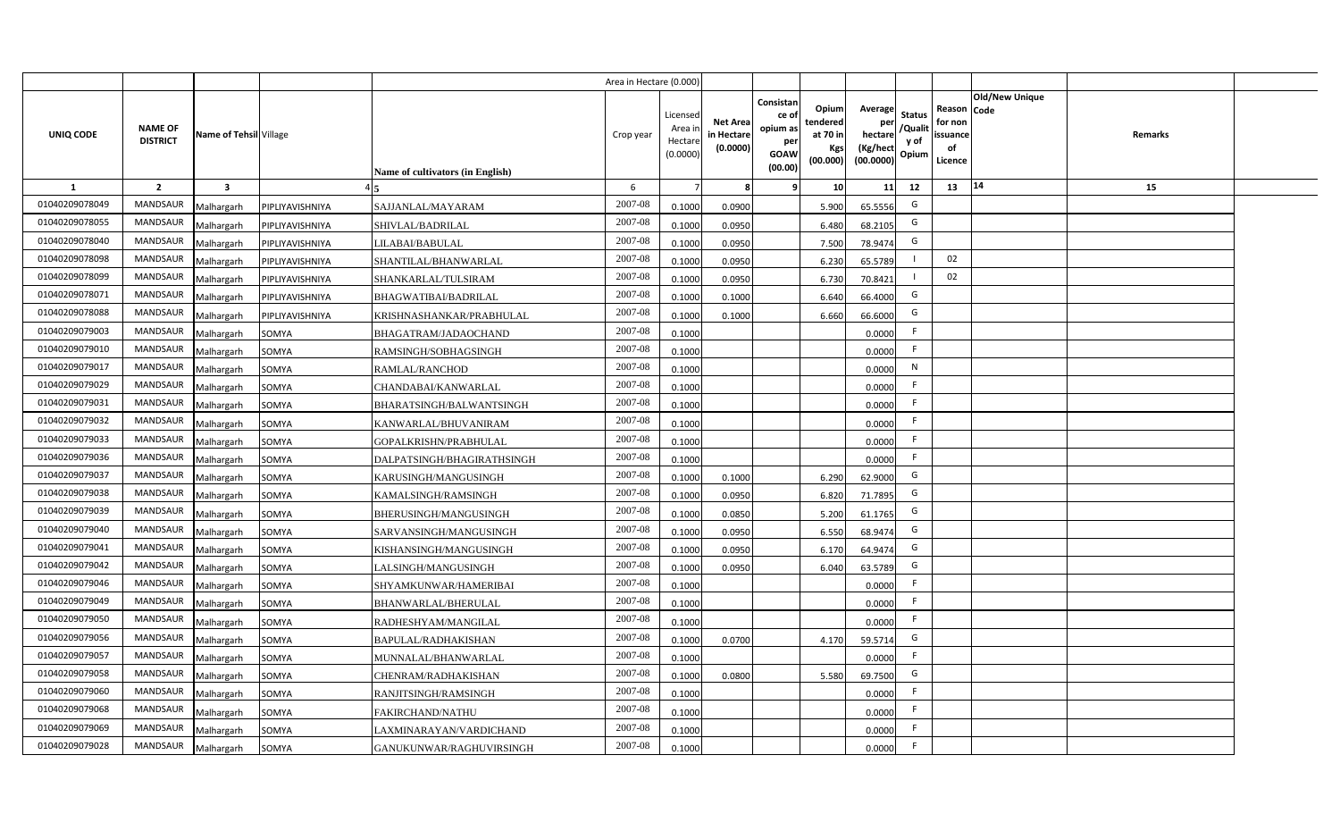|                  |                                   |                         |                 |                                         | Area in Hectare (0.000) |                                           |                                           |                                                                |                                                         |                                                    |                                           |                                                     |                                  |  |
|------------------|-----------------------------------|-------------------------|-----------------|-----------------------------------------|-------------------------|-------------------------------------------|-------------------------------------------|----------------------------------------------------------------|---------------------------------------------------------|----------------------------------------------------|-------------------------------------------|-----------------------------------------------------|----------------------------------|--|
| <b>UNIQ CODE</b> | <b>NAME OF</b><br><b>DISTRICT</b> | Name of Tehsil Village  |                 | <b>Name of cultivators (in English)</b> | Crop year               | Licensed<br>Area i<br>Hectare<br>(0.0000) | <b>Net Area</b><br>in Hectare<br>(0.0000) | Consistan<br>ce o<br>opium as<br>per<br><b>GOAW</b><br>(00.00) | Opium<br>tendered<br>at 70 in<br><b>Kgs</b><br>(00.000) | Average<br>per<br>hectare<br>(Kg/hect<br>(00.0000) | <b>Status</b><br>/Qualit<br>y of<br>Opium | Reason Code<br>for non<br>issuance<br>of<br>Licence | <b>Old/New Unique</b><br>Remarks |  |
| 1                | $\overline{2}$                    | $\overline{\mathbf{3}}$ |                 |                                         | 6                       |                                           | 8                                         | 9                                                              | 10 <sup>1</sup>                                         | 11                                                 | 12                                        | 13                                                  | 14<br>15                         |  |
| 01040209078049   | MANDSAUR                          | Malhargarh              | PIPLIYAVISHNIYA | SAJJANLAL/MAYARAM                       | 2007-08                 | 0.1000                                    | 0.0900                                    |                                                                | 5.900                                                   | 65.5556                                            | G                                         |                                                     |                                  |  |
| 01040209078055   | <b>MANDSAUR</b>                   | Malhargarh              | PIPLIYAVISHNIYA | SHIVLAL/BADRILAL                        | $2007 - 08$             | 0.1000                                    | 0.0950                                    |                                                                | 6.480                                                   | 68.2105                                            | G                                         |                                                     |                                  |  |
| 01040209078040   | <b>MANDSAUR</b>                   | Malhargarh              | PIPLIYAVISHNIYA | LILABAI/BABULAL                         | 2007-08                 | 0.1000                                    | 0.0950                                    |                                                                | 7.500                                                   | 78.9474                                            | G                                         |                                                     |                                  |  |
| 01040209078098   | <b>MANDSAUR</b>                   | Malhargarh              | PIPLIYAVISHNIYA | SHANTILAL/BHANWARLAL                    | 2007-08                 | 0.1000                                    | 0.0950                                    |                                                                | 6.230                                                   | 65.5789                                            |                                           | 02                                                  |                                  |  |
| 01040209078099   | <b>MANDSAUR</b>                   | Malhargarh              | PIPLIYAVISHNIYA | SHANKARLAL/TULSIRAM                     | 2007-08                 | 0.1000                                    | 0.0950                                    |                                                                | 6.730                                                   | 70.8421                                            |                                           | 02                                                  |                                  |  |
| 01040209078071   | <b>MANDSAUR</b>                   | Malhargarh              | PIPLIYAVISHNIYA | <b>BHAGWATIBAI/BADRILAL</b>             | 2007-08                 | 0.1000                                    | 0.1000                                    |                                                                | 6.640                                                   | 66.4000                                            | G                                         |                                                     |                                  |  |
| 01040209078088   | <b>MANDSAUR</b>                   | Malhargarh              | PIPLIYAVISHNIYA | KRISHNASHANKAR/PRABHULAL                | 2007-08                 | 0.1000                                    | 0.1000                                    |                                                                | 6.660                                                   | 66.6000                                            | G                                         |                                                     |                                  |  |
| 01040209079003   | <b>MANDSAUR</b>                   | Malhargarh              | SOMYA           | BHAGATRAM/JADAOCHAND                    | 2007-08                 | 0.1000                                    |                                           |                                                                |                                                         | 0.0000                                             | F                                         |                                                     |                                  |  |
| 01040209079010   | <b>MANDSAUR</b>                   | Malhargarh              | SOMYA           | RAMSINGH/SOBHAGSINGH                    | 2007-08                 | 0.1000                                    |                                           |                                                                |                                                         | 0.0000                                             | F                                         |                                                     |                                  |  |
| 01040209079017   | <b>MANDSAUR</b>                   | Malhargarh              | SOMYA           | RAMLAL/RANCHOD                          | 2007-08                 | 0.1000                                    |                                           |                                                                |                                                         | 0.0000                                             | N                                         |                                                     |                                  |  |
| 01040209079029   | <b>MANDSAUR</b>                   | Malhargarh              | SOMYA           | CHANDABAI/KANWARLAL                     | 2007-08                 | 0.1000                                    |                                           |                                                                |                                                         | 0.0000                                             | F.                                        |                                                     |                                  |  |
| 01040209079031   | <b>MANDSAUR</b>                   | Malhargarh              | SOMYA           | BHARATSINGH/BALWANTSINGH                | $2007 - 08$             | 0.1000                                    |                                           |                                                                |                                                         | 0.0000                                             | F                                         |                                                     |                                  |  |
| 01040209079032   | <b>MANDSAUR</b>                   | Malhargarh              | SOMYA           | KANWARLAL/BHUVANIRAM                    | 2007-08                 | 0.1000                                    |                                           |                                                                |                                                         | 0.0000                                             | F.                                        |                                                     |                                  |  |
| 01040209079033   | <b>MANDSAUR</b>                   | Malhargarh              | SOMYA           | GOPALKRISHN/PRABHULAL                   | 2007-08                 | 0.1000                                    |                                           |                                                                |                                                         | 0.0000                                             | F                                         |                                                     |                                  |  |
| 01040209079036   | <b>MANDSAUR</b>                   | Malhargarh              | SOMYA           | DALPATSINGH/BHAGIRATHSINGH              | 2007-08                 | 0.1000                                    |                                           |                                                                |                                                         | 0.0000                                             | F                                         |                                                     |                                  |  |
| 01040209079037   | <b>MANDSAUR</b>                   | Malhargarh              | SOMYA           | KARUSINGH/MANGUSINGH                    | $2007 - 08$             | 0.1000                                    | 0.1000                                    |                                                                | 6.290                                                   | 62.9000                                            | G                                         |                                                     |                                  |  |
| 01040209079038   | <b>MANDSAUR</b>                   | Malhargarh              | SOMYA           | KAMALSINGH/RAMSINGH                     | 2007-08                 | 0.1000                                    | 0.0950                                    |                                                                | 6.820                                                   | 71.7895                                            | G                                         |                                                     |                                  |  |
| 01040209079039   | <b>MANDSAUR</b>                   | Malhargarh              | SOMYA           | BHERUSINGH/MANGUSINGH                   | 2007-08                 | 0.1000                                    | 0.0850                                    |                                                                | 5.200                                                   | 61.1765                                            | G                                         |                                                     |                                  |  |
| 01040209079040   | <b>MANDSAUR</b>                   | Malhargarh              | SOMYA           | SARVANSINGH/MANGUSINGH                  | 2007-08                 | 0.1000                                    | 0.0950                                    |                                                                | 6.550                                                   | 68.9474                                            | G                                         |                                                     |                                  |  |
| 01040209079041   | <b>MANDSAUR</b>                   | Malhargarh              | SOMYA           | KISHANSINGH/MANGUSINGH                  | 2007-08                 | 0.1000                                    | 0.0950                                    |                                                                | 6.170                                                   | 64.9474                                            | G                                         |                                                     |                                  |  |
| 01040209079042   | <b>MANDSAUR</b>                   | Malhargarh              | SOMYA           | LALSINGH/MANGUSINGH                     | 2007-08                 | 0.1000                                    | 0.0950                                    |                                                                | 6.040                                                   | 63.5789                                            | G                                         |                                                     |                                  |  |
| 01040209079046   | <b>MANDSAUR</b>                   | Malhargarh              | SOMYA           | SHYAMKUNWAR/HAMERIBAI                   | $2007 - 08$             | 0.1000                                    |                                           |                                                                |                                                         | 0.0000                                             | F                                         |                                                     |                                  |  |
| 01040209079049   | <b>MANDSAUR</b>                   | Malhargarh              | SOMYA           | BHANWARLAL/BHERULAL                     | 2007-08                 | 0.1000                                    |                                           |                                                                |                                                         | 0.0000                                             | F                                         |                                                     |                                  |  |
| 01040209079050   | <b>MANDSAUR</b>                   | Malhargarh              | SOMYA           | RADHESHYAM/MANGILAL                     | 2007-08                 | 0.1000                                    |                                           |                                                                |                                                         | 0.0000                                             | E                                         |                                                     |                                  |  |
| 01040209079056   | MANDSAUR                          | Malhargarh              | SOMYA           | BAPULAL/RADHAKISHAN                     | 2007-08                 | 0.1000                                    | 0.0700                                    |                                                                | 4.170                                                   | 59.5714                                            | G                                         |                                                     |                                  |  |
| 01040209079057   | MANDSAUR                          | Malhargarh              | SOMYA           | MUNNALAL/BHANWARLAL                     | 2007-08                 | 0.1000                                    |                                           |                                                                |                                                         | 0.0000                                             | F                                         |                                                     |                                  |  |
| 01040209079058   | MANDSAUR                          | Malhargarh              | SOMYA           | CHENRAM/RADHAKISHAN                     | 2007-08                 | 0.1000                                    | 0.0800                                    |                                                                | 5.580                                                   | 69.7500                                            | G                                         |                                                     |                                  |  |
| 01040209079060   | MANDSAUR                          | Malhargarh              | SOMYA           | RANJITSINGH/RAMSINGH                    | 2007-08                 | 0.1000                                    |                                           |                                                                |                                                         | 0.0000                                             | F                                         |                                                     |                                  |  |
| 01040209079068   | MANDSAUR                          | Malhargarh              | SOMYA           | FAKIRCHAND/NATHU                        | 2007-08                 | 0.1000                                    |                                           |                                                                |                                                         | 0.0000                                             | F                                         |                                                     |                                  |  |
| 01040209079069   | <b>MANDSAUR</b>                   | Malhargarh              | SOMYA           | LAXMINARAYAN/VARDICHAND                 | 2007-08                 | 0.1000                                    |                                           |                                                                |                                                         | 0.0000                                             | F                                         |                                                     |                                  |  |
| 01040209079028   | MANDSAUR                          | Malhargarh              | SOMYA           | GANUKUNWAR/RAGHUVIRSINGH                | 2007-08                 | 0.1000                                    |                                           |                                                                |                                                         | 0.0000                                             | F                                         |                                                     |                                  |  |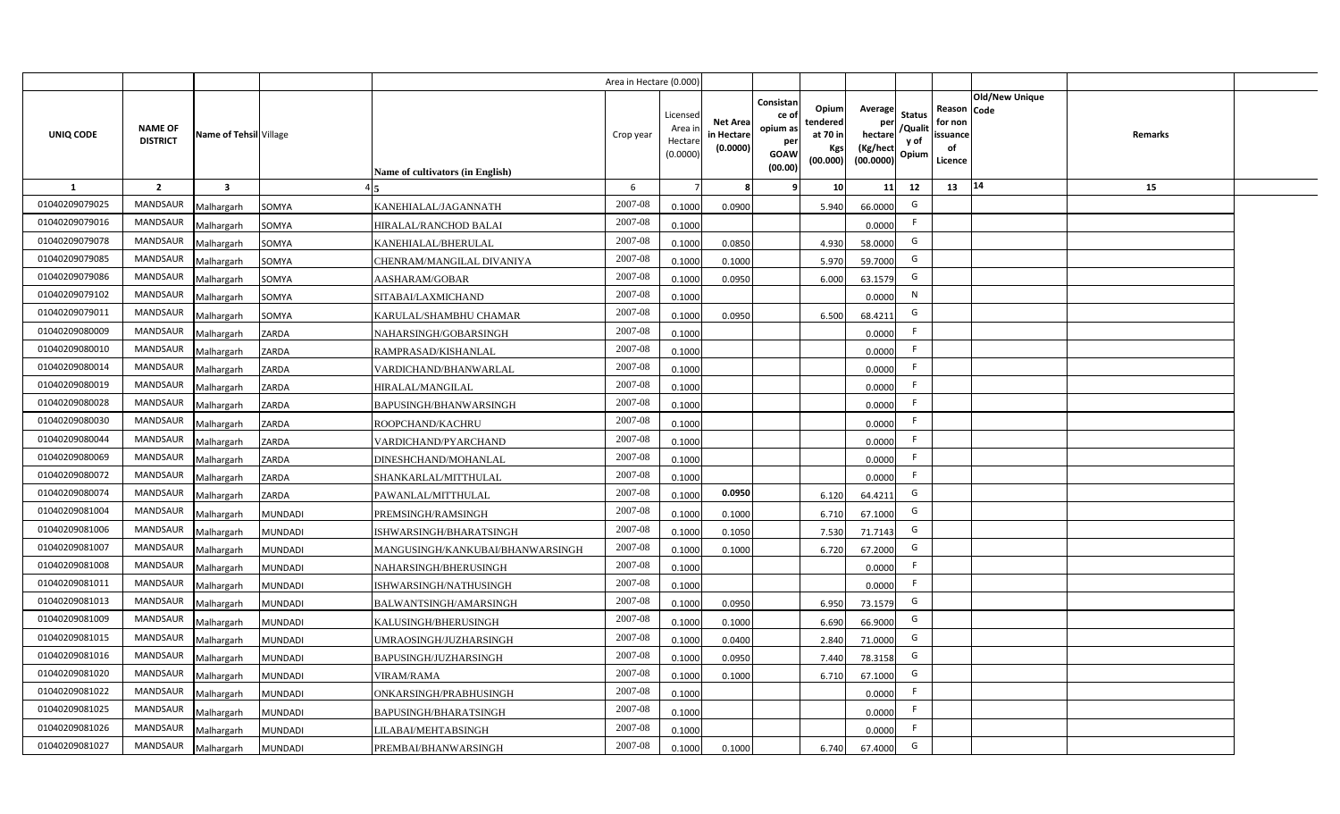|                |                                   |                         |                |                                         | Area in Hectare (0.000) |                                          |                                           |                                                                |                                                  |                                                    |                                           |                                                                       |         |  |
|----------------|-----------------------------------|-------------------------|----------------|-----------------------------------------|-------------------------|------------------------------------------|-------------------------------------------|----------------------------------------------------------------|--------------------------------------------------|----------------------------------------------------|-------------------------------------------|-----------------------------------------------------------------------|---------|--|
| UNIQ CODE      | <b>NAME OF</b><br><b>DISTRICT</b> | Name of Tehsil Village  |                | <b>Name of cultivators (in English)</b> | Crop year               | Licensec<br>Area i<br>Hectar<br>(0.0000) | <b>Net Area</b><br>in Hectare<br>(0.0000) | Consistan<br>ce o<br>opium as<br>per<br><b>GOAW</b><br>(00.00) | Opium<br>tendered<br>at 70 in<br>Kgs<br>(00.000) | Average<br>per<br>hectare<br>(Kg/hect<br>(00.0000) | <b>Status</b><br>/Qualit<br>y of<br>Opium | Old/New Unique<br>Reason Code<br>for non<br>issuance<br>of<br>Licence | Remarks |  |
| <b>1</b>       | $\overline{2}$                    | $\overline{\mathbf{3}}$ |                |                                         | 6                       |                                          |                                           |                                                                | 10                                               | 11                                                 | 12                                        | 14<br>13                                                              | 15      |  |
| 01040209079025 | MANDSAUR                          | Malhargarh              | SOMYA          | KANEHIALAL/JAGANNATH                    | 2007-08                 | 0.1000                                   | 0.0900                                    |                                                                | 5.940                                            | 66.0000                                            | G                                         |                                                                       |         |  |
| 01040209079016 | MANDSAUR                          | Malhargarh              | SOMYA          | HIRALAL/RANCHOD BALAI                   | 2007-08                 | 0.1000                                   |                                           |                                                                |                                                  | 0.0000                                             | F.                                        |                                                                       |         |  |
| 01040209079078 | MANDSAUR                          | Malhargarh              | SOMYA          | KANEHIALAL/BHERULAL                     | 2007-08                 | 0.1000                                   | 0.0850                                    |                                                                | 4.930                                            | 58.0000                                            | G                                         |                                                                       |         |  |
| 01040209079085 | <b>MANDSAUR</b>                   | Malhargarh              | SOMYA          | CHENRAM/MANGILAL DIVANIYA               | 2007-08                 | 0.1000                                   | 0.1000                                    |                                                                | 5.970                                            | 59.7000                                            | G                                         |                                                                       |         |  |
| 01040209079086 | MANDSAUR                          | Malhargarh              | SOMYA          | AASHARAM/GOBAR                          | 2007-08                 | 0.100                                    | 0.0950                                    |                                                                | 6.000                                            | 63.1579                                            | G                                         |                                                                       |         |  |
| 01040209079102 | <b>MANDSAUR</b>                   | Malhargarh              | SOMYA          | SITABAI/LAXMICHAND                      | 2007-08                 | 0.1000                                   |                                           |                                                                |                                                  | 0.0000                                             | N                                         |                                                                       |         |  |
| 01040209079011 | MANDSAUR                          | Malhargarh              | SOMYA          | KARULAL/SHAMBHU CHAMAR                  | 2007-08                 | 0.1000                                   | 0.0950                                    |                                                                | 6.500                                            | 68.4211                                            | G                                         |                                                                       |         |  |
| 01040209080009 | <b>MANDSAUR</b>                   | Malhargarh              | ZARDA          | NAHARSINGH/GOBARSINGH                   | 2007-08                 | 0.1000                                   |                                           |                                                                |                                                  | 0.0000                                             | F.                                        |                                                                       |         |  |
| 01040209080010 | <b>MANDSAUR</b>                   | Malhargarh              | ZARDA          | RAMPRASAD/KISHANLAL                     | 2007-08                 | 0.1000                                   |                                           |                                                                |                                                  | 0.0000                                             | $\mathsf{F}$                              |                                                                       |         |  |
| 01040209080014 | <b>MANDSAUR</b>                   | Malhargarh              | ZARDA          | VARDICHAND/BHANWARLAL                   | 2007-08                 | 0.1000                                   |                                           |                                                                |                                                  | 0.0000                                             | F.                                        |                                                                       |         |  |
| 01040209080019 | <b>MANDSAUR</b>                   | Malhargarh              | ZARDA          | HIRALAL/MANGILAL                        | 2007-08                 | 0.1000                                   |                                           |                                                                |                                                  | 0.0000                                             | -F                                        |                                                                       |         |  |
| 01040209080028 | <b>MANDSAUR</b>                   | Malhargarh              | ZARDA          | BAPUSINGH/BHANWARSINGH                  | 2007-08                 | 0.1000                                   |                                           |                                                                |                                                  | 0.0000                                             | -F                                        |                                                                       |         |  |
| 01040209080030 | <b>MANDSAUR</b>                   | Malhargarh              | ZARDA          | ROOPCHAND/KACHRU                        | 2007-08                 | 0.1000                                   |                                           |                                                                |                                                  | 0.0000                                             | -F                                        |                                                                       |         |  |
| 01040209080044 | <b>MANDSAUR</b>                   | Malhargarh              | ZARDA          | VARDICHAND/PYARCHAND                    | 2007-08                 | 0.1000                                   |                                           |                                                                |                                                  | 0.0000                                             | F                                         |                                                                       |         |  |
| 01040209080069 | MANDSAUR                          | Malhargarh              | ZARDA          | DINESHCHAND/MOHANLAL                    | 2007-08                 | 0.1000                                   |                                           |                                                                |                                                  | 0.0000                                             | F.                                        |                                                                       |         |  |
| 01040209080072 | <b>MANDSAUR</b>                   | Malhargarh              | ZARDA          | SHANKARLAL/MITTHULAL                    | 2007-08                 | 0.1000                                   |                                           |                                                                |                                                  | 0.0000                                             | F.                                        |                                                                       |         |  |
| 01040209080074 | MANDSAUR                          | Malhargarh              | ZARDA          | PAWANLAL/MITTHULAL                      | 2007-08                 | 0.1000                                   | 0.0950                                    |                                                                | 6.120                                            | 64.4211                                            | G                                         |                                                                       |         |  |
| 01040209081004 | <b>MANDSAUR</b>                   | Malhargarh              | <b>MUNDADI</b> | PREMSINGH/RAMSINGH                      | 2007-08                 | 0.100                                    | 0.1000                                    |                                                                | 6.710                                            | 67.1000                                            | G                                         |                                                                       |         |  |
| 01040209081006 | MANDSAUR                          | Malhargarh              | <b>MUNDADI</b> | ISHWARSINGH/BHARATSINGH                 | 2007-08                 | 0.1000                                   | 0.1050                                    |                                                                | 7.530                                            | 71.7143                                            | G                                         |                                                                       |         |  |
| 01040209081007 | MANDSAUR                          | Malhargarh              | <b>MUNDADI</b> | MANGUSINGH/KANKUBAI/BHANWARSINGH        | 2007-08                 | 0.100                                    | 0.1000                                    |                                                                | 6.720                                            | 67.2000                                            | G                                         |                                                                       |         |  |
| 01040209081008 | MANDSAUR                          | Malhargarh              | <b>MUNDADI</b> | NAHARSINGH/BHERUSINGH                   | $2007 - 08$             | 0.1000                                   |                                           |                                                                |                                                  | 0.0000                                             | $\mathsf{F}$                              |                                                                       |         |  |
| 01040209081011 | <b>MANDSAUR</b>                   | Malhargarh              | <b>MUNDADI</b> | ISHWARSINGH/NATHUSINGH                  | 2007-08                 | 0.1000                                   |                                           |                                                                |                                                  | 0.0000                                             | $\mathsf{F}$                              |                                                                       |         |  |
| 01040209081013 | MANDSAUR                          | Malhargarh              | <b>MUNDADI</b> | BALWANTSINGH/AMARSINGH                  | 2007-08                 | 0.1000                                   | 0.0950                                    |                                                                | 6.950                                            | 73.1579                                            | G                                         |                                                                       |         |  |
| 01040209081009 | <b>MANDSAUR</b>                   | Malhargarh              | <b>MUNDADI</b> | KALUSINGH/BHERUSINGH                    | 2007-08                 | 0.1000                                   | 0.1000                                    |                                                                | 6.690                                            | 66.9000                                            | G                                         |                                                                       |         |  |
| 01040209081015 | MANDSAUR                          | Malhargarh              | <b>MUNDADI</b> | UMRAOSINGH/JUZHARSINGH                  | 2007-08                 | 0.1000                                   | 0.0400                                    |                                                                | 2.840                                            | 71.0000                                            | G                                         |                                                                       |         |  |
| 01040209081016 | <b>MANDSAUR</b>                   | Malhargarh              | <b>MUNDADI</b> | BAPUSINGH/JUZHARSINGH                   | 2007-08                 | 0.1000                                   | 0.0950                                    |                                                                | 7.440                                            | 78.3158                                            | G                                         |                                                                       |         |  |
| 01040209081020 | MANDSAUR                          | Malhargarh              | <b>MUNDADI</b> | VIRAM/RAMA                              | 2007-08                 | 0.1000                                   | 0.1000                                    |                                                                | 6.710                                            | 67.1000                                            | G                                         |                                                                       |         |  |
| 01040209081022 | MANDSAUR                          | Malhargarh              | <b>MUNDADI</b> | ONKARSINGH/PRABHUSINGH                  | 2007-08                 | 0.1000                                   |                                           |                                                                |                                                  | 0.0000                                             | F.                                        |                                                                       |         |  |
| 01040209081025 | MANDSAUR                          | Malhargarh              | <b>MUNDADI</b> | BAPUSINGH/BHARATSINGH                   | 2007-08                 | 0.1000                                   |                                           |                                                                |                                                  | 0.0000                                             | $\mathsf{F}$                              |                                                                       |         |  |
| 01040209081026 | MANDSAUR                          | Malhargarh              | <b>MUNDADI</b> | <b>JLABAI/MEHTABSINGH</b>               | 2007-08                 | 0.1000                                   |                                           |                                                                |                                                  | 0.0000                                             | -F                                        |                                                                       |         |  |
| 01040209081027 | MANDSAUR                          | Malhargarh              | <b>MUNDADI</b> | PREMBAI/BHANWARSINGH                    | 2007-08                 | 0.1000                                   | 0.1000                                    |                                                                | 6.740                                            | 67.4000                                            | G                                         |                                                                       |         |  |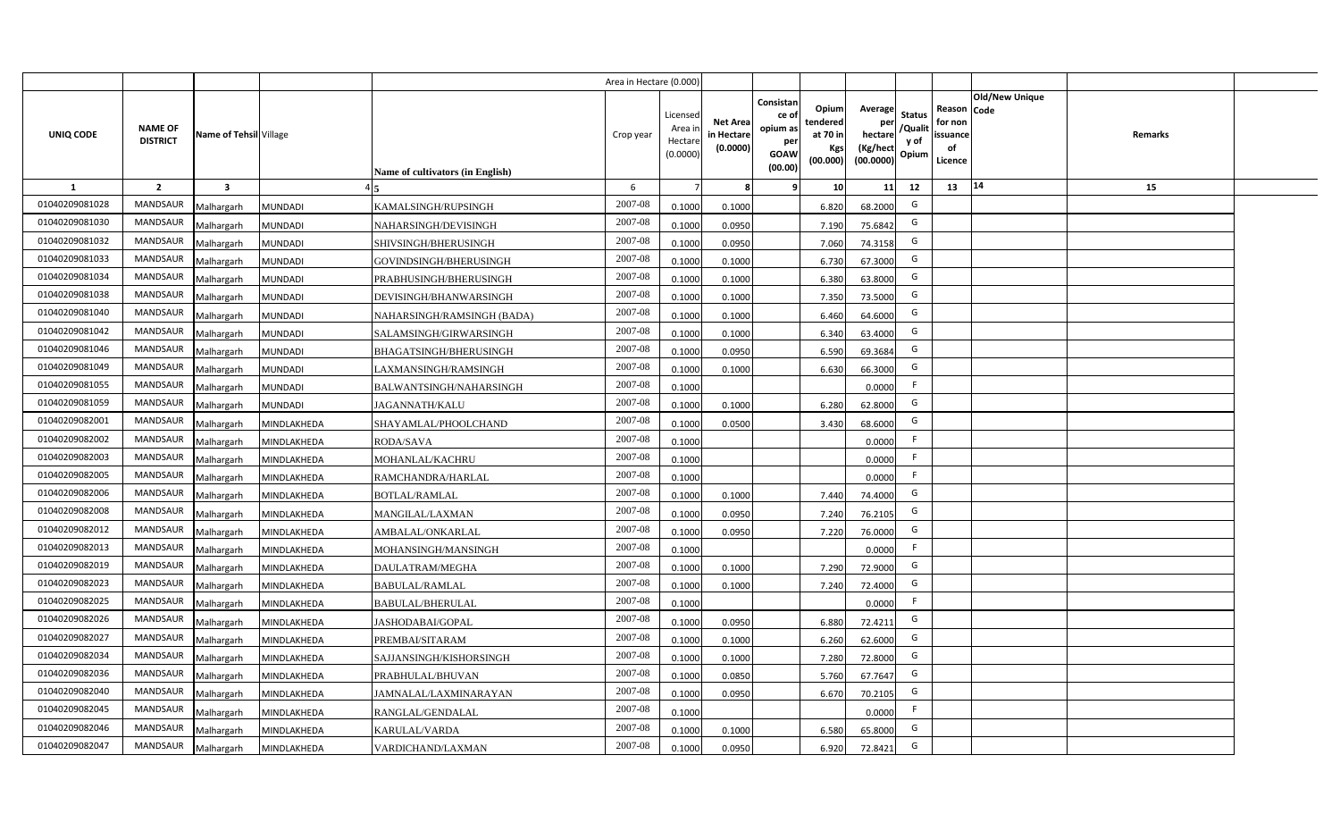|                |                                   |                         |                |                                  | Area in Hectare (0.000 |                                          |                                           |                                                                 |                                                  |                                                    |                                           |                                                     |                |                |  |
|----------------|-----------------------------------|-------------------------|----------------|----------------------------------|------------------------|------------------------------------------|-------------------------------------------|-----------------------------------------------------------------|--------------------------------------------------|----------------------------------------------------|-------------------------------------------|-----------------------------------------------------|----------------|----------------|--|
| UNIQ CODE      | <b>NAME OF</b><br><b>DISTRICT</b> | Name of Tehsil Village  |                | Name of cultivators (in English) | Crop year              | Licensed<br>Area i<br>Hectar<br>(0.0000) | <b>Net Area</b><br>in Hectare<br>(0.0000) | Consistan<br>ce of<br>opium as<br>per<br><b>GOAW</b><br>(00.00) | Opium<br>tendered<br>at 70 in<br>Kgs<br>(00.000) | Average<br>per<br>hectare<br>(Kg/hect<br>(00.0000) | <b>Status</b><br>/Qualit<br>y of<br>Opium | Reason Code<br>for non<br>issuance<br>of<br>Licence | Old/New Unique | <b>Remarks</b> |  |
| 1              | $\overline{2}$                    | $\overline{\mathbf{3}}$ |                |                                  | 6                      |                                          |                                           | -9                                                              | 10 <sup>1</sup>                                  | 11                                                 | 12                                        | 13                                                  | 14             | 15             |  |
| 01040209081028 | <b>MANDSAUR</b>                   | Malhargarh              | <b>MUNDADI</b> | KAMALSINGH/RUPSINGH              | 2007-08                | 0.1000                                   | 0.1000                                    |                                                                 | 6.820                                            | 68.2000                                            | G                                         |                                                     |                |                |  |
| 01040209081030 | MANDSAUR                          | Malhargarh              | <b>MUNDADI</b> | NAHARSINGH/DEVISINGH             | 2007-08                | 0.1000                                   | 0.0950                                    |                                                                 | 7.190                                            | 75.6842                                            | G                                         |                                                     |                |                |  |
| 01040209081032 | <b>MANDSAUR</b>                   | Malhargarh              | <b>MUNDADI</b> | SHIVSINGH/BHERUSINGH             | 2007-08                | 0.1000                                   | 0.0950                                    |                                                                 | 7.060                                            | 74.3158                                            | G                                         |                                                     |                |                |  |
| 01040209081033 | <b>MANDSAUR</b>                   | Malhargarh              | <b>MUNDADI</b> | GOVINDSINGH/BHERUSINGH           | 2007-08                | 0.100                                    | 0.1000                                    |                                                                 | 6.730                                            | 67.3000                                            | G                                         |                                                     |                |                |  |
| 01040209081034 | MANDSAUR                          | Malhargarh              | <b>MUNDADI</b> | PRABHUSINGH/BHERUSINGH           | 2007-08                | 0.100                                    | 0.1000                                    |                                                                 | 6.380                                            | 63.8000                                            | G                                         |                                                     |                |                |  |
| 01040209081038 | <b>MANDSAUR</b>                   | Malhargarh              | <b>MUNDADI</b> | DEVISINGH/BHANWARSINGH           | 2007-08                | 0.1000                                   | 0.1000                                    |                                                                 | 7.350                                            | 73.5000                                            | G                                         |                                                     |                |                |  |
| 01040209081040 | MANDSAUR                          | Malhargarh              | <b>MUNDADI</b> | NAHARSINGH/RAMSINGH (BADA)       | 2007-08                | 0.1000                                   | 0.1000                                    |                                                                 | 6.460                                            | 64.6000                                            | G                                         |                                                     |                |                |  |
| 01040209081042 | MANDSAUR                          | Malhargarh              | <b>MUNDADI</b> | SALAMSINGH/GIRWARSINGH           | 2007-08                | 0.1000                                   | 0.1000                                    |                                                                 | 6.340                                            | 63.4000                                            | G                                         |                                                     |                |                |  |
| 01040209081046 | MANDSAUR                          | Malhargarh              | <b>MUNDADI</b> | BHAGATSINGH/BHERUSINGH           | 2007-08                | 0.100                                    | 0.0950                                    |                                                                 | 6.590                                            | 69.3684                                            | G                                         |                                                     |                |                |  |
| 01040209081049 | MANDSAUR                          | Malhargarh              | <b>MUNDADI</b> | LAXMANSINGH/RAMSINGH             | 2007-08                | 0.100                                    | 0.1000                                    |                                                                 | 6.630                                            | 66.3000                                            | G                                         |                                                     |                |                |  |
| 01040209081055 | MANDSAUR                          | Malhargarh              | <b>MUNDADI</b> | BALWANTSINGH/NAHARSINGH          | 2007-08                | 0.1000                                   |                                           |                                                                 |                                                  | 0.0000                                             |                                           |                                                     |                |                |  |
| 01040209081059 | MANDSAUR                          | Malhargarh              | <b>MUNDADI</b> | <b>JAGANNATH/KALU</b>            | 2007-08                | 0.1000                                   | 0.1000                                    |                                                                 | 6.280                                            | 62.8000                                            | G                                         |                                                     |                |                |  |
| 01040209082001 | <b>MANDSAUR</b>                   | Malhargarh              | MINDLAKHEDA    | SHAYAMLAL/PHOOLCHAND             | 2007-08                | 0.1000                                   | 0.0500                                    |                                                                 | 3.430                                            | 68.6000                                            | G                                         |                                                     |                |                |  |
| 01040209082002 | <b>MANDSAUR</b>                   | Malhargarh              | MINDLAKHEDA    | <b>RODA/SAVA</b>                 | 2007-08                | 0.1000                                   |                                           |                                                                 |                                                  | 0.0000                                             | -F                                        |                                                     |                |                |  |
| 01040209082003 | <b>MANDSAUR</b>                   | Malhargarh              | MINDLAKHEDA    | MOHANLAL/KACHRU                  | 2007-08                | 0.1000                                   |                                           |                                                                 |                                                  | 0.0000                                             | -F                                        |                                                     |                |                |  |
| 01040209082005 | MANDSAUR                          | Malhargarh              | MINDLAKHEDA    | RAMCHANDRA/HARLAL                | 2007-08                | 0.1000                                   |                                           |                                                                 |                                                  | 0.0000                                             | F.                                        |                                                     |                |                |  |
| 01040209082006 | MANDSAUR                          | Malhargarh              | MINDLAKHEDA    | <b>BOTLAL/RAMLAL</b>             | 2007-08                | 0.1000                                   | 0.1000                                    |                                                                 | 7.440                                            | 74.4000                                            | G                                         |                                                     |                |                |  |
| 01040209082008 | <b>MANDSAUR</b>                   | Malhargarh              | MINDLAKHEDA    | MANGILAL/LAXMAN                  | 2007-08                | 0.100                                    | 0.0950                                    |                                                                 | 7.240                                            | 76.2105                                            | G                                         |                                                     |                |                |  |
| 01040209082012 | <b>MANDSAUR</b>                   | Malhargarh              | MINDLAKHEDA    | AMBALAL/ONKARLAL                 | 2007-08                | 0.100                                    | 0.0950                                    |                                                                 | 7.220                                            | 76.0000                                            | G                                         |                                                     |                |                |  |
| 01040209082013 | <b>MANDSAUR</b>                   | Malhargarh              | MINDLAKHEDA    | MOHANSINGH/MANSINGH              | 2007-08                | 0.1000                                   |                                           |                                                                 |                                                  | 0.0000                                             | F.                                        |                                                     |                |                |  |
| 01040209082019 | MANDSAUR                          | Malhargarh              | MINDLAKHEDA    | DAULATRAM/MEGHA                  | 2007-08                | 0.1000                                   | 0.1000                                    |                                                                 | 7.290                                            | 72.9000                                            | G                                         |                                                     |                |                |  |
| 01040209082023 | MANDSAUR                          | Malhargarh              | MINDLAKHEDA    | <b>BABULAL/RAMLAL</b>            | 2007-08                | 0.100                                    | 0.1000                                    |                                                                 | 7.240                                            | 72.4000                                            | G                                         |                                                     |                |                |  |
| 01040209082025 | MANDSAUR                          | Malhargarh              | MINDLAKHEDA    | BABULAL/BHERULAL                 | 2007-08                | 0.100                                    |                                           |                                                                 |                                                  | 0.0000                                             | -F                                        |                                                     |                |                |  |
| 01040209082026 | <b>MANDSAUR</b>                   | Malhargarh              | MINDLAKHEDA    | ASHODABAI/GOPAL                  | 2007-08                | 0.1000                                   | 0.095                                     |                                                                 | 6.880                                            | 72.4211                                            | G                                         |                                                     |                |                |  |
| 01040209082027 | <b>MANDSAUR</b>                   | Malhargarh              | MINDLAKHEDA    | PREMBAI/SITARAM                  | 2007-08                | 0.1000                                   | 0.1000                                    |                                                                 | 6.260                                            | 62.6000                                            | G                                         |                                                     |                |                |  |
| 01040209082034 | MANDSAUR                          | Malhargarh              | MINDLAKHEDA    | SAJJANSINGH/KISHORSINGH          | 2007-08                | 0.1000                                   | 0.1000                                    |                                                                 | 7.280                                            | 72.8000                                            | G                                         |                                                     |                |                |  |
| 01040209082036 | MANDSAUR                          | Malhargarh              | MINDLAKHEDA    | PRABHULAL/BHUVAN                 | 2007-08                | 0.1000                                   | 0.0850                                    |                                                                 | 5.760                                            | 67.7647                                            | G                                         |                                                     |                |                |  |
| 01040209082040 | MANDSAUR                          | Malhargarh              | MINDLAKHEDA    | JAMNALAL/LAXMINARAYAN            | 2007-08                | 0.1000                                   | 0.095                                     |                                                                 | 6.670                                            | 70.2105                                            | G                                         |                                                     |                |                |  |
| 01040209082045 | MANDSAUR                          | Malhargarh              | MINDLAKHEDA    | RANGLAL/GENDALAL                 | 2007-08                | 0.1000                                   |                                           |                                                                 |                                                  | 0.0000                                             | -F                                        |                                                     |                |                |  |
| 01040209082046 | MANDSAUR                          | Malhargarh              | MINDLAKHEDA    | KARULAL/VARDA                    | 2007-08                | 0.1000                                   | 0.1000                                    |                                                                 | 6.580                                            | 65.8000                                            | G                                         |                                                     |                |                |  |
| 01040209082047 | MANDSAUR                          | Malhargarh              | MINDLAKHEDA    | VARDICHAND/LAXMAN                | 2007-08                | 0.1000                                   | 0.0950                                    |                                                                 | 6.920                                            | 72.8421                                            | G                                         |                                                     |                |                |  |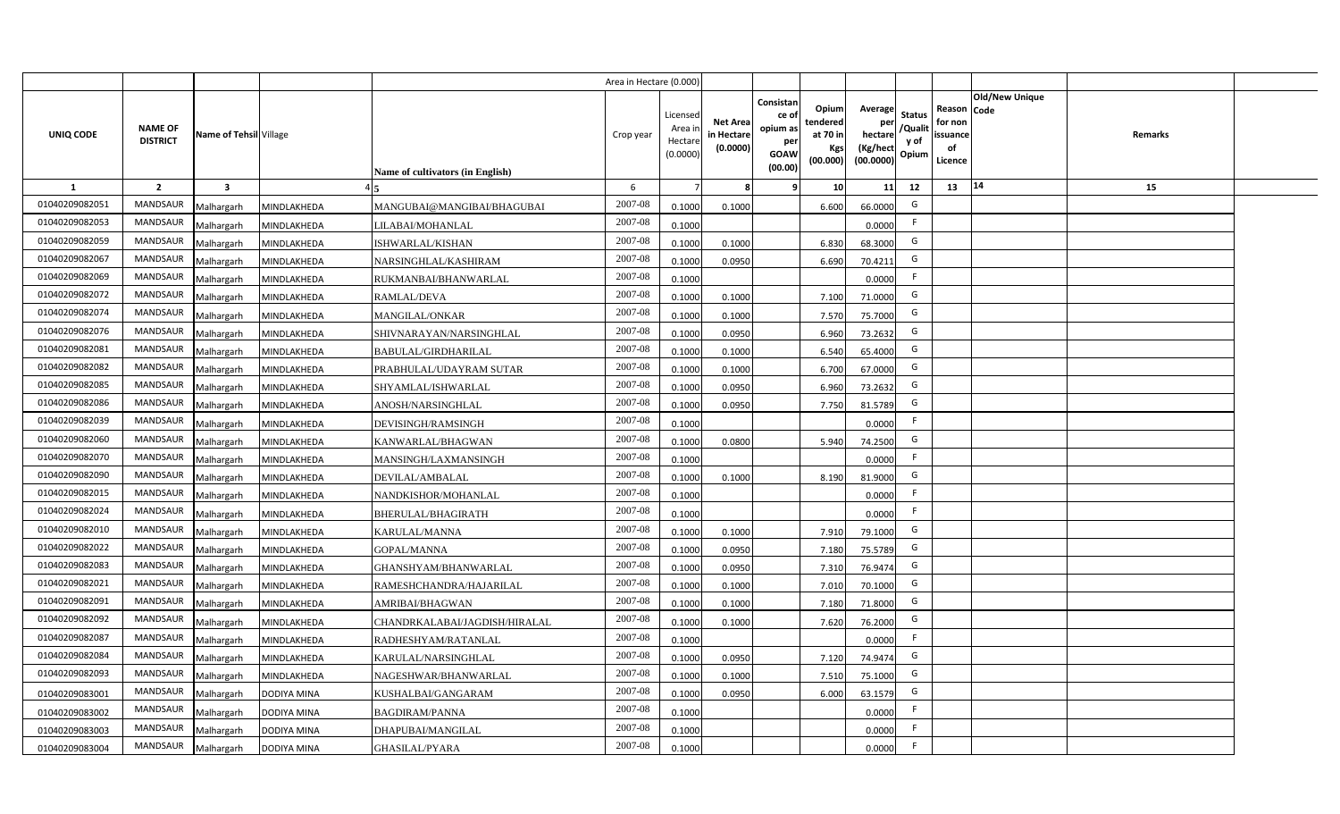|                |                                   |                         |                    |                                  | Area in Hectare (0.000) |                                           |                                           |                                                                                                              |                                                           |                                           |                                                     |                       |         |  |
|----------------|-----------------------------------|-------------------------|--------------------|----------------------------------|-------------------------|-------------------------------------------|-------------------------------------------|--------------------------------------------------------------------------------------------------------------|-----------------------------------------------------------|-------------------------------------------|-----------------------------------------------------|-----------------------|---------|--|
| UNIQ CODE      | <b>NAME OF</b><br><b>DISTRICT</b> | Name of Tehsil Village  |                    | Name of cultivators (in English) | Crop year               | Licensed<br>Area i<br>Hectare<br>(0.0000) | <b>Net Area</b><br>in Hectare<br>(0.0000) | Consistan<br>Opium<br>ce of<br>tendered<br>opium as<br>at 70 in<br>per<br><b>GOAW</b><br>(00.000)<br>(00.00) | Average<br>per<br>hectare<br>(Kg/hect<br>Kgs<br>(00.0000) | <b>Status</b><br>/Qualit<br>y of<br>Opium | Reason Code<br>for non<br>issuance<br>of<br>Licence | <b>Old/New Unique</b> | Remarks |  |
| 1              | $\overline{2}$                    | $\overline{\mathbf{3}}$ |                    |                                  | 6                       |                                           | 8                                         | -9                                                                                                           | 10 <sup>1</sup>                                           | 11<br>12                                  | 13                                                  | 14                    | 15      |  |
| 01040209082051 | <b>MANDSAUR</b>                   | Malhargarh              | MINDLAKHEDA        | MANGUBAI@MANGIBAI/BHAGUBAI       | 2007-08                 | 0.1000                                    | 0.1000                                    | 6.600                                                                                                        | 66.0000                                                   | G                                         |                                                     |                       |         |  |
| 01040209082053 | MANDSAUR                          | Malhargarh              | MINDLAKHEDA        | LILABAI/MOHANLAL                 | 2007-08                 | 0.1000                                    |                                           |                                                                                                              | 0.0000                                                    | F.                                        |                                                     |                       |         |  |
| 01040209082059 | <b>MANDSAUR</b>                   | Malhargarh              | MINDLAKHEDA        | ISHWARLAL/KISHAN                 | 2007-08                 | 0.1000                                    | 0.1000                                    | 6.830                                                                                                        | 68.3000                                                   | G                                         |                                                     |                       |         |  |
| 01040209082067 | <b>MANDSAUR</b>                   | Malhargarh              | MINDLAKHEDA        | NARSINGHLAL/KASHIRAM             | 2007-08                 | 0.1000                                    | 0.0950                                    | 6.690                                                                                                        | 70.4211                                                   | G                                         |                                                     |                       |         |  |
| 01040209082069 | MANDSAUR                          | Malhargarh              | MINDLAKHEDA        | RUKMANBAI/BHANWARLAL             | 2007-08                 | 0.1000                                    |                                           |                                                                                                              | 0.0000                                                    | -F                                        |                                                     |                       |         |  |
| 01040209082072 | <b>MANDSAUR</b>                   | Malhargarh              | MINDLAKHEDA        | <b>RAMLAL/DEVA</b>               | 2007-08                 | 0.1000                                    | 0.1000                                    | 7.100                                                                                                        | 71.0000                                                   | G                                         |                                                     |                       |         |  |
| 01040209082074 | <b>MANDSAUR</b>                   | Malhargarh              | MINDLAKHEDA        | <b>MANGILAL/ONKAR</b>            | 2007-08                 | 0.1000                                    | 0.1000                                    | 7.570                                                                                                        | 75.7000                                                   | G                                         |                                                     |                       |         |  |
| 01040209082076 | MANDSAUR                          | Malhargarh              | MINDLAKHEDA        | SHIVNARAYAN/NARSINGHLAL          | 2007-08                 | 0.1000                                    | 0.0950                                    | 6.960                                                                                                        | 73.2632                                                   | G                                         |                                                     |                       |         |  |
| 01040209082081 | MANDSAUR                          | Malhargarh              | MINDLAKHEDA        | BABULAL/GIRDHARILAL              | 2007-08                 | 0.1000                                    | 0.1000                                    | 6.540                                                                                                        | 65.4000                                                   | G                                         |                                                     |                       |         |  |
| 01040209082082 | MANDSAUR                          | Malhargarh              | MINDLAKHEDA        | PRABHULAL/UDAYRAM SUTAR          | 2007-08                 | 0.1000                                    | 0.1000                                    | 6.700                                                                                                        | 67.0000                                                   | G                                         |                                                     |                       |         |  |
| 01040209082085 | MANDSAUR                          | Malhargarh              | MINDLAKHEDA        | SHYAMLAL/ISHWARLAL               | 2007-08                 | 0.1000                                    | 0.0950                                    | 6.960                                                                                                        | 73.2632                                                   | G                                         |                                                     |                       |         |  |
| 01040209082086 | MANDSAUR                          | Malhargarh              | MINDLAKHEDA        | ANOSH/NARSINGHLAL                | 2007-08                 | 0.1000                                    | 0.0950                                    | 7.750                                                                                                        | 81.5789                                                   | G                                         |                                                     |                       |         |  |
| 01040209082039 | <b>MANDSAUR</b>                   | Malhargarh              | MINDLAKHEDA        | DEVISINGH/RAMSINGH               | 2007-08                 | 0.1000                                    |                                           |                                                                                                              | 0.0000                                                    | F                                         |                                                     |                       |         |  |
| 01040209082060 | <b>MANDSAUR</b>                   | Malhargarh              | MINDLAKHEDA        | KANWARLAL/BHAGWAN                | 2007-08                 | 0.1000                                    | 0.0800                                    | 5.940                                                                                                        | 74.2500                                                   | G                                         |                                                     |                       |         |  |
| 01040209082070 | <b>MANDSAUR</b>                   | Malhargarh              | MINDLAKHEDA        | MANSINGH/LAXMANSINGH             | 2007-08                 | 0.1000                                    |                                           |                                                                                                              | 0.0000                                                    | -F                                        |                                                     |                       |         |  |
| 01040209082090 | MANDSAUR                          | Malhargarh              | MINDLAKHEDA        | DEVILAL/AMBALAL                  | 2007-08                 | 0.1000                                    | 0.1000                                    | 8.190                                                                                                        | 81.9000                                                   | G                                         |                                                     |                       |         |  |
| 01040209082015 | MANDSAUR                          | Malhargarh              | MINDLAKHEDA        | NANDKISHOR/MOHANLAL              | 2007-08                 | 0.1000                                    |                                           |                                                                                                              | 0.0000                                                    | F.                                        |                                                     |                       |         |  |
| 01040209082024 | <b>MANDSAUR</b>                   | Malhargarh              | MINDLAKHEDA        | BHERULAL/BHAGIRATH               | 2007-08                 | 0.1000                                    |                                           |                                                                                                              | 0.0000                                                    | F                                         |                                                     |                       |         |  |
| 01040209082010 | MANDSAUR                          | Malhargarh              | MINDLAKHEDA        | KARULAL/MANNA                    | 2007-08                 | 0.1000                                    | 0.1000                                    | 7.910                                                                                                        | 79.1000                                                   | G                                         |                                                     |                       |         |  |
| 01040209082022 | <b>MANDSAUR</b>                   | Malhargarh              | MINDLAKHEDA        | <b>GOPAL/MANNA</b>               | 2007-08                 | 0.1000                                    | 0.0950                                    | 7.180                                                                                                        | 75.5789                                                   | G                                         |                                                     |                       |         |  |
| 01040209082083 | <b>MANDSAUR</b>                   | Malhargarh              | MINDLAKHEDA        | GHANSHYAM/BHANWARLAL             | 2007-08                 | 0.1000                                    | 0.0950                                    | 7.310                                                                                                        | 76.9474                                                   | G                                         |                                                     |                       |         |  |
| 01040209082021 | MANDSAUR                          | Malhargarh              | MINDLAKHEDA        | RAMESHCHANDRA/HAJARILAL          | 2007-08                 | 0.1000                                    | 0.1000                                    | 7.01                                                                                                         | 70.1000                                                   | G                                         |                                                     |                       |         |  |
| 01040209082091 | MANDSAUR                          | Malhargarh              | MINDLAKHEDA        | AMRIBAI/BHAGWAN                  | 2007-08                 | 0.1000                                    | 0.1000                                    | 7.180                                                                                                        | 71.8000                                                   | G                                         |                                                     |                       |         |  |
| 01040209082092 | <b>MANDSAUR</b>                   | Malhargarh              | MINDLAKHEDA        | CHANDRKALABAI/JAGDISH/HIRALAL    | 2007-08                 | 0.1000                                    | 0.1000                                    | 7.620                                                                                                        | 76.2000                                                   | G                                         |                                                     |                       |         |  |
| 01040209082087 | <b>MANDSAUR</b>                   | Malhargarh              | MINDLAKHEDA        | RADHESHYAM/RATANLAL              | 2007-08                 | 0.1000                                    |                                           |                                                                                                              | 0.0000                                                    | F                                         |                                                     |                       |         |  |
| 01040209082084 | MANDSAUR                          | Malhargarh              | MINDLAKHEDA        | KARULAL/NARSINGHLAL              | 2007-08                 | 0.1000                                    | 0.0950                                    | 7.120                                                                                                        | 74.9474                                                   | G                                         |                                                     |                       |         |  |
| 01040209082093 | MANDSAUR                          | Malhargarh              | MINDLAKHEDA        | NAGESHWAR/BHANWARLAL             | 2007-08                 | 0.1000                                    | 0.1000                                    | 7.510                                                                                                        | 75.1000                                                   | G                                         |                                                     |                       |         |  |
| 01040209083001 | MANDSAUR                          | Malhargarh              | DODIYA MINA        | KUSHALBAI/GANGARAM               | 2007-08                 | 0.1000                                    | 0.0950                                    | 6.000                                                                                                        | 63.1579                                                   | G                                         |                                                     |                       |         |  |
| 01040209083002 | MANDSAUR                          | Malhargarh              | DODIYA MINA        | <b>BAGDIRAM/PANNA</b>            | 2007-08                 | 0.1000                                    |                                           |                                                                                                              | 0.0000                                                    | F.                                        |                                                     |                       |         |  |
| 01040209083003 | MANDSAUR                          | Malhargarh              | DODIYA MINA        | DHAPUBAI/MANGILAL                | 2007-08                 | 0.1000                                    |                                           |                                                                                                              | 0.0000                                                    | F.                                        |                                                     |                       |         |  |
| 01040209083004 | MANDSAUR                          | Malhargarh              | <b>DODIYA MINA</b> | <b>GHASILAL/PYARA</b>            | 2007-08                 | 0.1000                                    |                                           |                                                                                                              | 0.0000                                                    | F.                                        |                                                     |                       |         |  |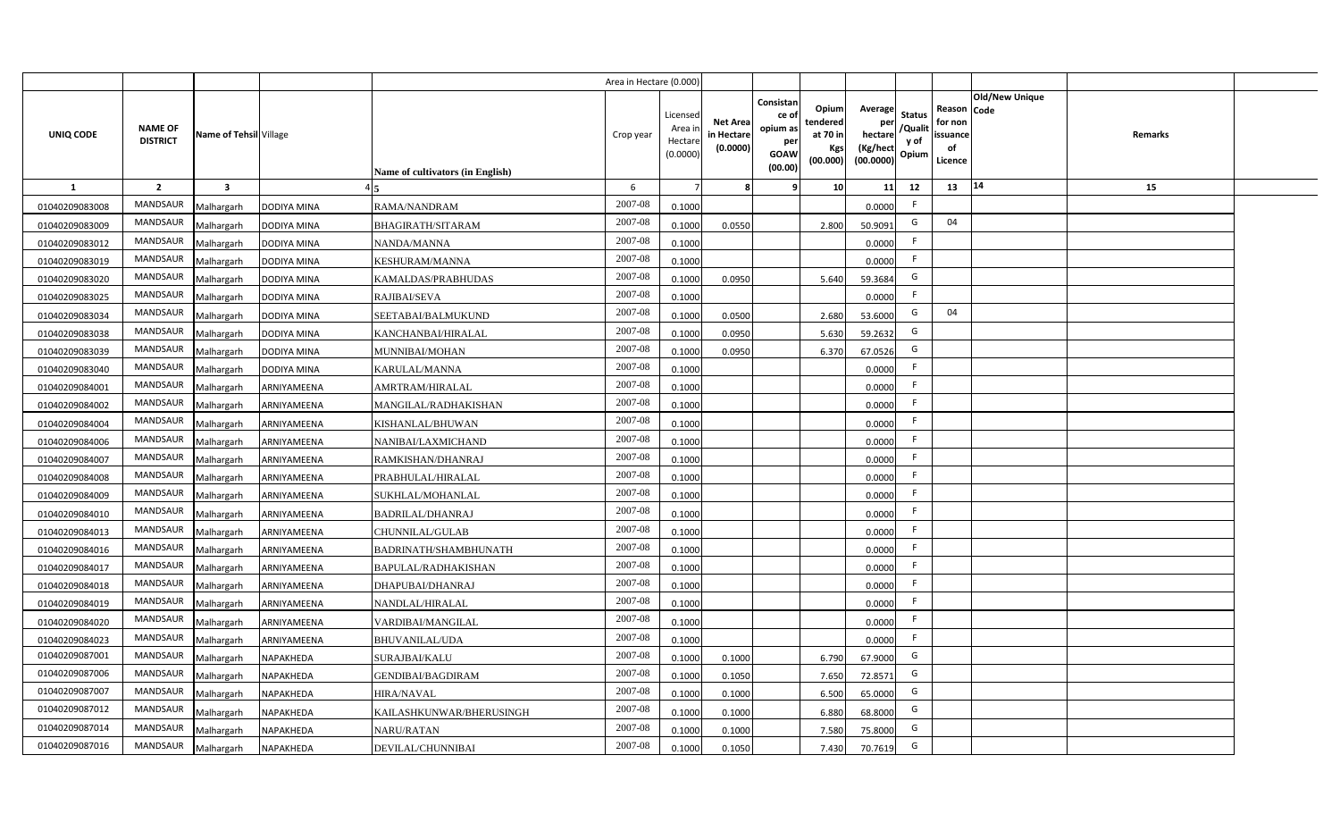|                |                                   |                         |             |                                  | Area in Hectare (0.000) |                                           |                                           |                                                                 |                                                  |                                                    |                                           |                                                     |                       |                |  |
|----------------|-----------------------------------|-------------------------|-------------|----------------------------------|-------------------------|-------------------------------------------|-------------------------------------------|-----------------------------------------------------------------|--------------------------------------------------|----------------------------------------------------|-------------------------------------------|-----------------------------------------------------|-----------------------|----------------|--|
| UNIQ CODE      | <b>NAME OF</b><br><b>DISTRICT</b> | Name of Tehsil Village  |             | Name of cultivators (in English) | Crop year               | Licensed<br>Area i<br>Hectare<br>(0.0000) | <b>Net Area</b><br>in Hectare<br>(0.0000) | Consistan<br>ce of<br>opium as<br>per<br><b>GOAW</b><br>(00.00) | Opium<br>tendered<br>at 70 in<br>Kgs<br>(00.000) | Average<br>per<br>hectare<br>(Kg/hect<br>(00.0000) | <b>Status</b><br>/Qualit<br>y of<br>Opium | Reason Code<br>for non<br>issuance<br>of<br>Licence | <b>Old/New Unique</b> | <b>Remarks</b> |  |
| $\mathbf{1}$   | $\overline{2}$                    | $\overline{\mathbf{3}}$ |             |                                  | 6                       |                                           | 8                                         | ٩                                                               | 10                                               | 11                                                 | 12                                        | 13                                                  | 14                    | 15             |  |
| 01040209083008 | MANDSAUR                          | Malhargarh              | DODIYA MINA | RAMA/NANDRAM                     | 2007-08                 | 0.1000                                    |                                           |                                                                 |                                                  | 0.0000                                             | F                                         |                                                     |                       |                |  |
| 01040209083009 | <b>MANDSAUR</b>                   | Malhargarh              | DODIYA MINA | <b>BHAGIRATH/SITARAM</b>         | 2007-08                 | 0.1000                                    | 0.0550                                    |                                                                 | 2.800                                            | 50.9091                                            | G                                         | 04                                                  |                       |                |  |
| 01040209083012 | <b>MANDSAUR</b>                   | Malhargarh              | DODIYA MINA | NANDA/MANNA                      | 2007-08                 | 0.1000                                    |                                           |                                                                 |                                                  | 0.0000                                             | F                                         |                                                     |                       |                |  |
| 01040209083019 | MANDSAUR                          | Malhargarh              | DODIYA MINA | KESHURAM/MANNA                   | 2007-08                 | 0.1000                                    |                                           |                                                                 |                                                  | 0.0000                                             | F.                                        |                                                     |                       |                |  |
| 01040209083020 | MANDSAUR                          | Malhargarh              | DODIYA MINA | KAMALDAS/PRABHUDAS               | 2007-08                 | 0.1000                                    | 0.0950                                    |                                                                 | 5.640                                            | 59.3684                                            | G                                         |                                                     |                       |                |  |
| 01040209083025 | <b>MANDSAUR</b>                   | Malhargarh              | DODIYA MINA | RAJIBAI/SEVA                     | 2007-08                 | 0.1000                                    |                                           |                                                                 |                                                  | 0.0000                                             | F                                         |                                                     |                       |                |  |
| 01040209083034 | MANDSAUR                          | Malhargarh              | DODIYA MINA | SEETABAI/BALMUKUND               | 2007-08                 | 0.1000                                    | 0.0500                                    |                                                                 | 2.680                                            | 53.6000                                            | G                                         | 04                                                  |                       |                |  |
| 01040209083038 | <b>MANDSAUR</b>                   | Malhargarh              | DODIYA MINA | KANCHANBAI/HIRALAL               | 2007-08                 | 0.1000                                    | 0.0950                                    |                                                                 | 5.630                                            | 59.2632                                            | G                                         |                                                     |                       |                |  |
| 01040209083039 | <b>MANDSAUR</b>                   | Malhargarh              | DODIYA MINA | MUNNIBAI/MOHAN                   | 2007-08                 | 0.1000                                    | 0.0950                                    |                                                                 | 6.370                                            | 67.0526                                            | G                                         |                                                     |                       |                |  |
| 01040209083040 | MANDSAUR                          | Malhargarh              | DODIYA MINA | KARULAL/MANNA                    | 2007-08                 | 0.1000                                    |                                           |                                                                 |                                                  | 0.0000                                             | F.                                        |                                                     |                       |                |  |
| 01040209084001 | <b>MANDSAUR</b>                   | Malhargarh              | ARNIYAMEENA | AMRTRAM/HIRALAL                  | 2007-08                 | 0.1000                                    |                                           |                                                                 |                                                  | 0.0000                                             | F                                         |                                                     |                       |                |  |
| 01040209084002 | <b>MANDSAUR</b>                   | Malhargarh              | ARNIYAMEENA | MANGILAL/RADHAKISHAN             | 2007-08                 | 0.1000                                    |                                           |                                                                 |                                                  | 0.0000                                             | -F                                        |                                                     |                       |                |  |
| 01040209084004 | <b>MANDSAUR</b>                   | Malhargarh              | ARNIYAMEENA | KISHANLAL/BHUWAN                 | 2007-08                 | 0.1000                                    |                                           |                                                                 |                                                  | 0.0000                                             | F.                                        |                                                     |                       |                |  |
| 01040209084006 | MANDSAUR                          | Malhargarh              | ARNIYAMEENA | NANIBAI/LAXMICHAND               | 2007-08                 | 0.1000                                    |                                           |                                                                 |                                                  | 0.0000                                             | -F                                        |                                                     |                       |                |  |
| 01040209084007 | <b>MANDSAUR</b>                   | Malhargarh              | ARNIYAMEENA | RAMKISHAN/DHANRAJ                | 2007-08                 | 0.1000                                    |                                           |                                                                 |                                                  | 0.0000                                             | F                                         |                                                     |                       |                |  |
| 01040209084008 | <b>MANDSAUR</b>                   | Malhargarh              | ARNIYAMEENA | PRABHULAL/HIRALAL                | 2007-08                 | 0.1000                                    |                                           |                                                                 |                                                  | 0.0000                                             | F.                                        |                                                     |                       |                |  |
| 01040209084009 | <b>MANDSAUR</b>                   | Malhargarh              | ARNIYAMEENA | SUKHLAL/MOHANLAL                 | 2007-08                 | 0.1000                                    |                                           |                                                                 |                                                  | 0.0000                                             | F                                         |                                                     |                       |                |  |
| 01040209084010 | <b>MANDSAUR</b>                   | Malhargarh              | ARNIYAMEENA | <b>BADRILAL/DHANRAJ</b>          | $2007 - 08$             | 0.1000                                    |                                           |                                                                 |                                                  | 0.0000                                             | F                                         |                                                     |                       |                |  |
| 01040209084013 | MANDSAUR                          | Malhargarh              | ARNIYAMEENA | CHUNNILAL/GULAB                  | 2007-08                 | 0.1000                                    |                                           |                                                                 |                                                  | 0.0000                                             | F.                                        |                                                     |                       |                |  |
| 01040209084016 | <b>MANDSAUR</b>                   | Malhargarh              | ARNIYAMEENA | BADRINATH/SHAMBHUNATH            | $2007 - 08$             | 0.1000                                    |                                           |                                                                 |                                                  | 0.0000                                             | F                                         |                                                     |                       |                |  |
| 01040209084017 | <b>MANDSAUR</b>                   | Malhargarh              | ARNIYAMEENA | BAPULAL/RADHAKISHAN              | 2007-08                 | 0.1000                                    |                                           |                                                                 |                                                  | 0.0000                                             | F                                         |                                                     |                       |                |  |
| 01040209084018 | <b>MANDSAUR</b>                   | Malhargarh              | ARNIYAMEENA | DHAPUBAI/DHANRAJ                 | 2007-08                 | 0.1000                                    |                                           |                                                                 |                                                  | 0.0000                                             | F                                         |                                                     |                       |                |  |
| 01040209084019 | <b>MANDSAUR</b>                   | Malhargarh              | ARNIYAMEENA | NANDLAL/HIRALAL                  | 2007-08                 | 0.1000                                    |                                           |                                                                 |                                                  | 0.0000                                             | F                                         |                                                     |                       |                |  |
| 01040209084020 | <b>MANDSAUR</b>                   | Malhargarh              | ARNIYAMEENA | <b>VARDIBAI/MANGILAL</b>         | 2007-08                 | 0.1000                                    |                                           |                                                                 |                                                  | 0.0000                                             | F                                         |                                                     |                       |                |  |
| 01040209084023 | MANDSAUR                          | Malhargarh              | ARNIYAMEENA | <b>BHUVANILAL/UDA</b>            | 2007-08                 | 0.1000                                    |                                           |                                                                 |                                                  | 0.0000                                             | F                                         |                                                     |                       |                |  |
| 01040209087001 | MANDSAUR                          | Malhargarh              | NAPAKHEDA   | SURAJBAI/KALU                    | 2007-08                 | 0.1000                                    | 0.1000                                    |                                                                 | 6.790                                            | 67.9000                                            | G                                         |                                                     |                       |                |  |
| 01040209087006 | MANDSAUR                          | Malhargarh              | NAPAKHEDA   | <b>GENDIBAI/BAGDIRAM</b>         | 2007-08                 | 0.1000                                    | 0.1050                                    |                                                                 | 7.650                                            | 72.8571                                            | G                                         |                                                     |                       |                |  |
| 01040209087007 | MANDSAUR                          | Malhargarh              | NAPAKHEDA   | <b>HIRA/NAVAL</b>                | 2007-08                 | 0.1000                                    | 0.1000                                    |                                                                 | 6.500                                            | 65.0000                                            | G                                         |                                                     |                       |                |  |
| 01040209087012 | <b>MANDSAUR</b>                   | Malhargarh              | NAPAKHEDA   | KAILASHKUNWAR/BHERUSINGH         | 2007-08                 | 0.1000                                    | 0.1000                                    |                                                                 | 6.880                                            | 68.8000                                            | G                                         |                                                     |                       |                |  |
| 01040209087014 | <b>MANDSAUR</b>                   | Malhargarh              | NAPAKHEDA   | <b>NARU/RATAN</b>                | 2007-08                 | 0.1000                                    | 0.1000                                    |                                                                 | 7.580                                            | 75.8000                                            | G                                         |                                                     |                       |                |  |
| 01040209087016 | MANDSAUR                          | Malhargarh              | NAPAKHEDA   | DEVILAL/CHUNNIBAI                | 2007-08                 | 0.1000                                    | 0.1050                                    |                                                                 | 7.430                                            | 70.7619                                            | G                                         |                                                     |                       |                |  |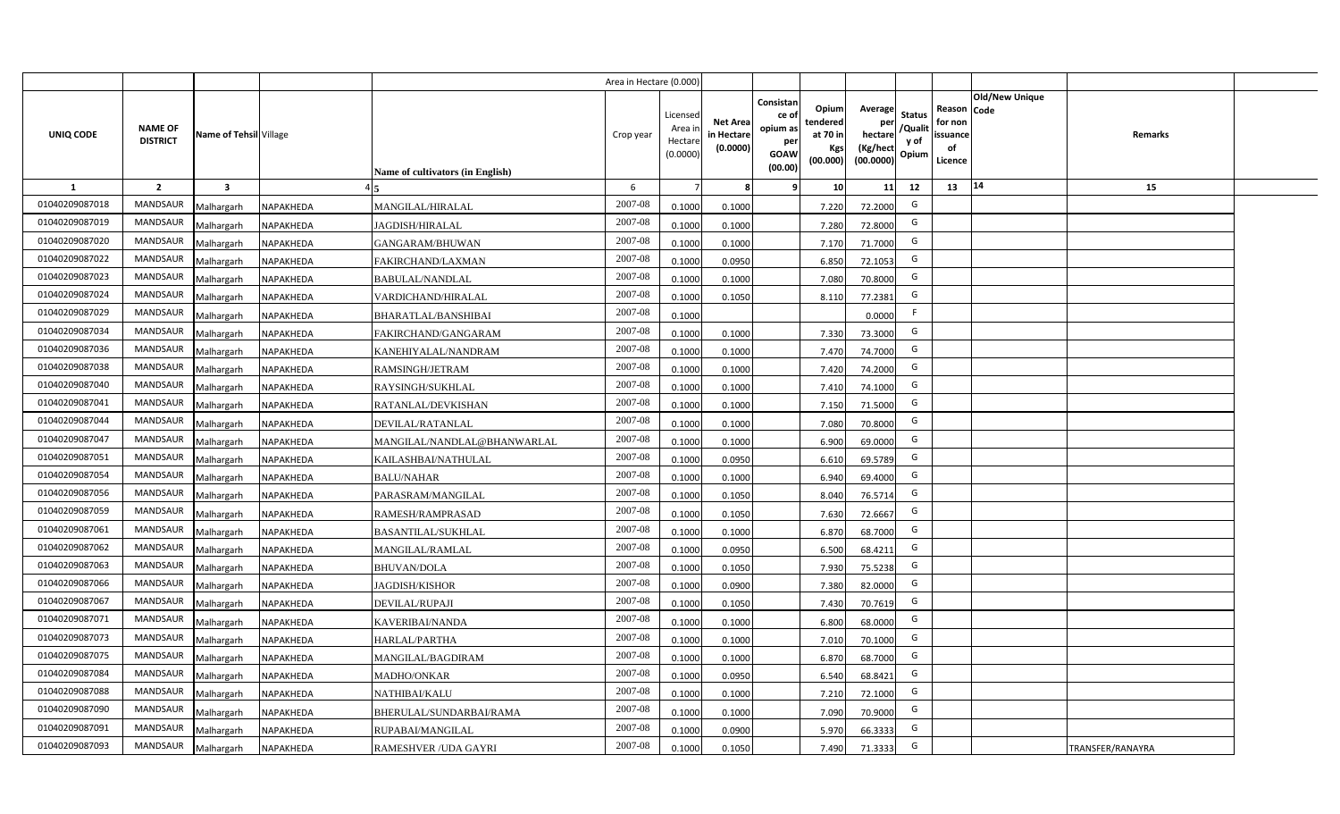|                |                                   |                         |           |                                  | Area in Hectare (0.000 |                                          |                                           |                                                                 |                                                  |                                                    |                                           |                                                     |                       |                  |  |
|----------------|-----------------------------------|-------------------------|-----------|----------------------------------|------------------------|------------------------------------------|-------------------------------------------|-----------------------------------------------------------------|--------------------------------------------------|----------------------------------------------------|-------------------------------------------|-----------------------------------------------------|-----------------------|------------------|--|
| UNIQ CODE      | <b>NAME OF</b><br><b>DISTRICT</b> | Name of Tehsil Village  |           | Name of cultivators (in English) | Crop year              | Licensec<br>Area i<br>Hectar<br>(0.0000) | <b>Net Area</b><br>in Hectare<br>(0.0000) | Consistan<br>ce of<br>opium as<br>per<br><b>GOAW</b><br>(00.00) | Opium<br>tendered<br>at 70 in<br>Kgs<br>(00.000) | Average<br>per<br>hectare<br>(Kg/hect<br>(00.0000) | <b>Status</b><br>/Qualit<br>y of<br>Opium | Reason Code<br>for non<br>issuance<br>of<br>Licence | <b>Old/New Unique</b> | <b>Remarks</b>   |  |
| 1              | $\overline{2}$                    | $\overline{\mathbf{3}}$ |           |                                  | 6                      |                                          |                                           | <b>q</b>                                                        | 10                                               | 11                                                 | 12                                        | 13                                                  | 14                    | 15               |  |
| 01040209087018 | <b>MANDSAUR</b>                   | Malhargarh              | NAPAKHEDA | <b>MANGILAL/HIRALAL</b>          | 2007-08                | 0.100                                    | 0.1000                                    |                                                                 | 7.220                                            | 72.2000                                            | G                                         |                                                     |                       |                  |  |
| 01040209087019 | <b>MANDSAUR</b>                   | Malhargarh              | NAPAKHEDA | JAGDISH/HIRALAL                  | 2007-08                | 0.100                                    | 0.1000                                    |                                                                 | 7.280                                            | 72.8000                                            | G                                         |                                                     |                       |                  |  |
| 01040209087020 | <b>MANDSAUR</b>                   | Malhargarh              | NAPAKHEDA | <b>GANGARAM/BHUWAN</b>           | 2007-08                | 0.100                                    | 0.1000                                    |                                                                 | 7.170                                            | 71.7000                                            | G                                         |                                                     |                       |                  |  |
| 01040209087022 | <b>MANDSAUR</b>                   | Malhargarh              | NAPAKHEDA | FAKIRCHAND/LAXMAN                | 2007-08                | 0.100                                    | 0.0950                                    |                                                                 | 6.850                                            | 72.1053                                            | G                                         |                                                     |                       |                  |  |
| 01040209087023 | MANDSAUR                          | Malhargarh              | NAPAKHEDA | <b>BABULAL/NANDLAL</b>           | 2007-08                | 0.1000                                   | 0.1000                                    |                                                                 | 7.080                                            | 70.8000                                            | G                                         |                                                     |                       |                  |  |
| 01040209087024 | <b>MANDSAUR</b>                   | Malhargarh              | NAPAKHEDA | VARDICHAND/HIRALAL               | 2007-08                | 0.1000                                   | 0.1050                                    |                                                                 | 8.110                                            | 77.2381                                            | G                                         |                                                     |                       |                  |  |
| 01040209087029 | MANDSAUR                          | Malhargarh              | NAPAKHEDA | BHARATLAL/BANSHIBAI              | 2007-08                | 0.1000                                   |                                           |                                                                 |                                                  | 0.0000                                             | F.                                        |                                                     |                       |                  |  |
| 01040209087034 | <b>MANDSAUR</b>                   | Malhargarh              | NAPAKHEDA | FAKIRCHAND/GANGARAM              | 2007-08                | 0.1000                                   | 0.1000                                    |                                                                 | 7.330                                            | 73.3000                                            | G                                         |                                                     |                       |                  |  |
| 01040209087036 | MANDSAUR                          | Malhargarh              | NAPAKHEDA | KANEHIYALAL/NANDRAM              | 2007-08                | 0.1000                                   | 0.1000                                    |                                                                 | 7.470                                            | 74.7000                                            | G                                         |                                                     |                       |                  |  |
| 01040209087038 | <b>MANDSAUR</b>                   | Malhargarh              | NAPAKHEDA | RAMSINGH/JETRAM                  | 2007-08                | 0.1000                                   | 0.1000                                    |                                                                 | 7.420                                            | 74.2000                                            | G                                         |                                                     |                       |                  |  |
| 01040209087040 | <b>MANDSAUR</b>                   | Malhargarh              | NAPAKHEDA | RAYSINGH/SUKHLAL                 | 2007-08                | 0.1000                                   | 0.1000                                    |                                                                 | 7.410                                            | 74.1000                                            | G                                         |                                                     |                       |                  |  |
| 01040209087041 | <b>MANDSAUR</b>                   | Malhargarh              | NAPAKHEDA | RATANLAL/DEVKISHAN               | 2007-08                | 0.1000                                   | 0.1000                                    |                                                                 | 7.150                                            | 71.5000                                            | G                                         |                                                     |                       |                  |  |
| 01040209087044 | <b>MANDSAUR</b>                   | Malhargarh              | NAPAKHEDA | DEVILAL/RATANLAL                 | 2007-08                | 0.1000                                   | 0.1000                                    |                                                                 | 7.080                                            | 70.8000                                            | G                                         |                                                     |                       |                  |  |
| 01040209087047 | <b>MANDSAUR</b>                   | Malhargarh              | NAPAKHEDA | MANGILAL/NANDLAL@BHANWARLAL      | 2007-08                | 0.1000                                   | 0.1000                                    |                                                                 | 6.900                                            | 69.0000                                            | G                                         |                                                     |                       |                  |  |
| 01040209087051 | <b>MANDSAUR</b>                   | Malhargarh              | NAPAKHEDA | KAILASHBAI/NATHULAL              | 2007-08                | 0.1000                                   | 0.0950                                    |                                                                 | 6.610                                            | 69.5789                                            | G                                         |                                                     |                       |                  |  |
| 01040209087054 | <b>MANDSAUR</b>                   | Malhargarh              | NAPAKHEDA | <b>BALU/NAHAR</b>                | 2007-08                | 0.1000                                   | 0.1000                                    |                                                                 | 6.940                                            | 69.4000                                            | G                                         |                                                     |                       |                  |  |
| 01040209087056 | <b>MANDSAUR</b>                   | Malhargarh              | NAPAKHEDA | PARASRAM/MANGILAL                | 2007-08                | 0.100                                    | 0.1050                                    |                                                                 | 8.040                                            | 76.5714                                            | G                                         |                                                     |                       |                  |  |
| 01040209087059 | <b>MANDSAUR</b>                   | Malhargarh              | NAPAKHEDA | RAMESH/RAMPRASAD                 | 2007-08                | 0.100                                    | 0.1050                                    |                                                                 | 7.630                                            | 72.6667                                            | G                                         |                                                     |                       |                  |  |
| 01040209087061 | <b>MANDSAUR</b>                   | Malhargarh              | NAPAKHEDA | <b>BASANTILAL/SUKHLAL</b>        | $2007 - 08$            | 0.1000                                   | 0.1000                                    |                                                                 | 6.870                                            | 68.7000                                            | G                                         |                                                     |                       |                  |  |
| 01040209087062 | <b>MANDSAUR</b>                   | Malhargarh              | NAPAKHEDA | <b>MANGILAL/RAMLAL</b>           | $2007 - 08$            | 0.100                                    | 0.0950                                    |                                                                 | 6.500                                            | 68.4211                                            | G                                         |                                                     |                       |                  |  |
| 01040209087063 | <b>MANDSAUR</b>                   | Malhargarh              | NAPAKHEDA | <b>BHUVAN/DOLA</b>               | 2007-08                | 0.100                                    | 0.1050                                    |                                                                 | 7.930                                            | 75.5238                                            | G                                         |                                                     |                       |                  |  |
| 01040209087066 | <b>MANDSAUR</b>                   | Malhargarh              | NAPAKHEDA | <b>AGDISH/KISHOR</b>             | 2007-08                | 0.100                                    | 0.0900                                    |                                                                 | 7.380                                            | 82.0000                                            | G                                         |                                                     |                       |                  |  |
| 01040209087067 | <b>MANDSAUR</b>                   | Malhargarh              | NAPAKHEDA | DEVILAL/RUPAJI                   | 2007-08                | 0.1000                                   | 0.1050                                    |                                                                 | 7.430                                            | 70.7619                                            | G                                         |                                                     |                       |                  |  |
| 01040209087071 | MANDSAUR                          | Malhargarh              | NAPAKHEDA | KAVERIBAI/NANDA                  | 2007-08                | 0.100                                    | 0.1000                                    |                                                                 | 6.800                                            | 68.0000                                            | G                                         |                                                     |                       |                  |  |
| 01040209087073 | MANDSAUR                          | Malhargarh              | NAPAKHEDA | <b>HARLAL/PARTHA</b>             | 2007-08                | 0.1000                                   | 0.1000                                    |                                                                 | 7.010                                            | 70.1000                                            | G                                         |                                                     |                       |                  |  |
| 01040209087075 | MANDSAUR                          | Malhargarh              | NAPAKHEDA | MANGILAL/BAGDIRAM                | 2007-08                | 0.1000                                   | 0.1000                                    |                                                                 | 6.870                                            | 68.7000                                            | G                                         |                                                     |                       |                  |  |
| 01040209087084 | MANDSAUR                          | Malhargarh              | NAPAKHEDA | MADHO/ONKAR                      | 2007-08                | 0.1000                                   | 0.0950                                    |                                                                 | 6.540                                            | 68.8421                                            | G                                         |                                                     |                       |                  |  |
| 01040209087088 | MANDSAUR                          | Malhargarh              | NAPAKHEDA | NATHIBAI/KALU                    | 2007-08                | 0.1000                                   | 0.1000                                    |                                                                 | 7.210                                            | 72.1000                                            | G                                         |                                                     |                       |                  |  |
| 01040209087090 | <b>MANDSAUR</b>                   | Malhargarh              | NAPAKHEDA | BHERULAL/SUNDARBAI/RAMA          | 2007-08                | 0.1000                                   | 0.1000                                    |                                                                 | 7.090                                            | 70.9000                                            | G                                         |                                                     |                       |                  |  |
| 01040209087091 | <b>MANDSAUR</b>                   | Malhargarh              | NAPAKHEDA | RUPABAI/MANGILAL                 | 2007-08                | 0.1000                                   | 0.0900                                    |                                                                 | 5.970                                            | 66.3333                                            | G                                         |                                                     |                       |                  |  |
| 01040209087093 | MANDSAUR                          | Malhargarh              | NAPAKHEDA | RAMESHVER / UDA GAYRI            | 2007-08                | 0.1000                                   | 0.1050                                    |                                                                 | 7.490                                            | 71.3333                                            | G                                         |                                                     |                       | TRANSFER/RANAYRA |  |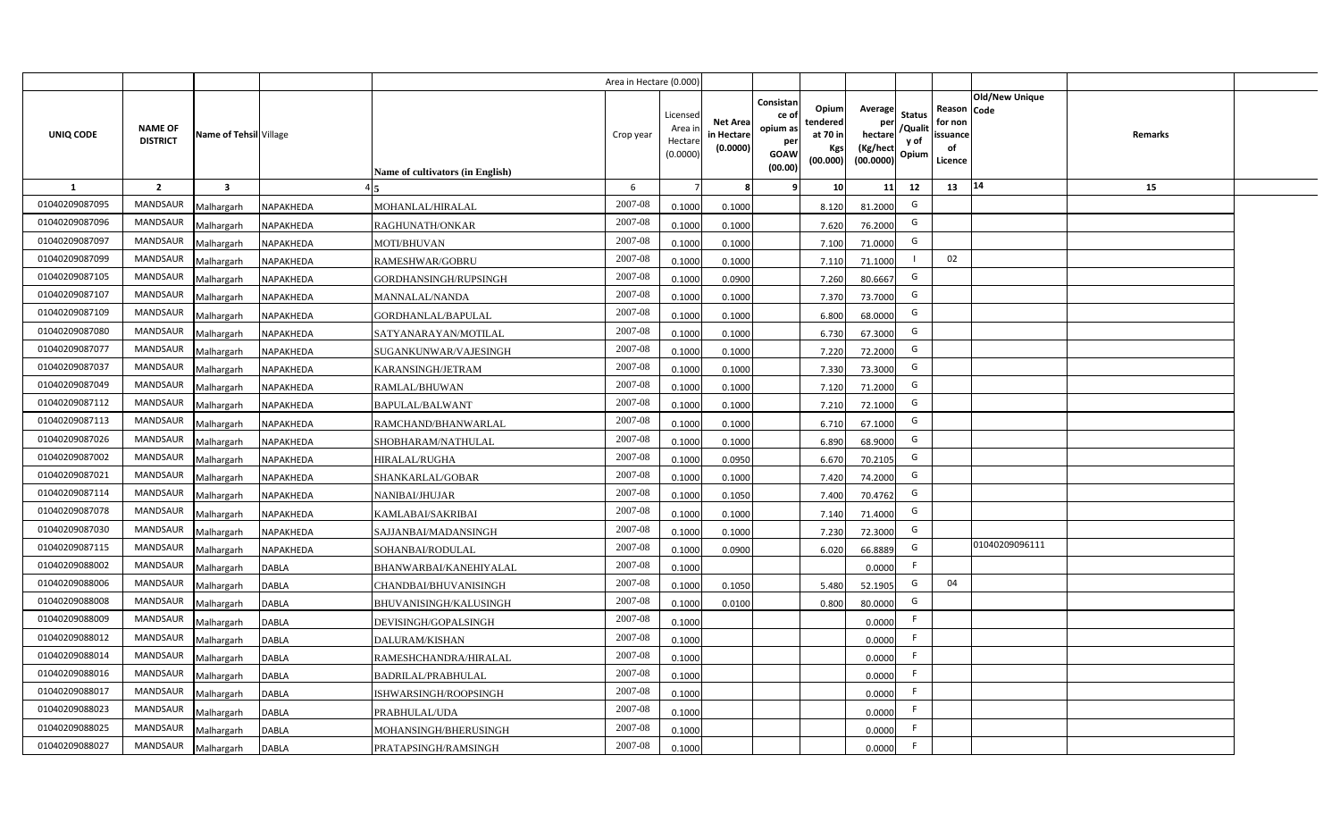|                |                                   |                         |                  |                                  | Area in Hectare (0.000) |                                           |                                           |                                                                                                                     |                                                    |                                           |                                                     |                       |         |  |
|----------------|-----------------------------------|-------------------------|------------------|----------------------------------|-------------------------|-------------------------------------------|-------------------------------------------|---------------------------------------------------------------------------------------------------------------------|----------------------------------------------------|-------------------------------------------|-----------------------------------------------------|-----------------------|---------|--|
| UNIQ CODE      | <b>NAME OF</b><br><b>DISTRICT</b> | Name of Tehsil Village  |                  | Name of cultivators (in English) | Crop year               | Licensed<br>Area i<br>Hectare<br>(0.0000) | <b>Net Area</b><br>in Hectare<br>(0.0000) | Consistan<br>Opium<br>ce of<br>tendered<br>opium as<br>at 70 in<br>per<br>Kgs<br><b>GOAW</b><br>(00.000)<br>(00.00) | Average<br>per<br>hectare<br>(Kg/hect<br>(00.0000) | <b>Status</b><br>/Qualit<br>y of<br>Opium | Reason Code<br>for non<br>issuance<br>of<br>Licence | <b>Old/New Unique</b> | Remarks |  |
| 1              | $\overline{2}$                    | $\overline{\mathbf{3}}$ |                  |                                  | 6                       |                                           | 8                                         | 10 <sup>1</sup><br>-9                                                                                               | 11                                                 | 12                                        | 13                                                  | 14                    | 15      |  |
| 01040209087095 | <b>MANDSAUR</b>                   | Malhargarh              | NAPAKHEDA        | MOHANLAL/HIRALAL                 | 2007-08                 | 0.1000                                    | 0.1000                                    | 8.120                                                                                                               | 81.2000                                            | G                                         |                                                     |                       |         |  |
| 01040209087096 | MANDSAUR                          | Malhargarh              | NAPAKHEDA        | RAGHUNATH/ONKAR                  | 2007-08                 | 0.1000                                    | 0.1000                                    | 7.620                                                                                                               | 76.2000                                            | G                                         |                                                     |                       |         |  |
| 01040209087097 | <b>MANDSAUR</b>                   | Malhargarh              | NAPAKHEDA        | MOTI/BHUVAN                      | 2007-08                 | 0.1000                                    | 0.1000                                    | 7.100                                                                                                               | 71.0000                                            | G                                         |                                                     |                       |         |  |
| 01040209087099 | <b>MANDSAUR</b>                   | Malhargarh              | NAPAKHEDA        | RAMESHWAR/GOBRU                  | 2007-08                 | 0.1000                                    | 0.1000                                    | 7.110                                                                                                               | 71.1000                                            | $\mathbf{I}$                              | 02                                                  |                       |         |  |
| 01040209087105 | MANDSAUR                          | Malhargarh              | NAPAKHEDA        | GORDHANSINGH/RUPSINGH            | 2007-08                 | 0.1000                                    | 0.0900                                    | 7.260                                                                                                               | 80.6667                                            | G                                         |                                                     |                       |         |  |
| 01040209087107 | <b>MANDSAUR</b>                   | Malhargarh              | NAPAKHEDA        | <b>MANNALAL/NANDA</b>            | 2007-08                 | 0.1000                                    | 0.1000                                    | 7.370                                                                                                               | 73.7000                                            | G                                         |                                                     |                       |         |  |
| 01040209087109 | <b>MANDSAUR</b>                   | Malhargarh              | NAPAKHEDA        | GORDHANLAL/BAPULAL               | 2007-08                 | 0.1000                                    | 0.1000                                    | 6.800                                                                                                               | 68.0000                                            | G                                         |                                                     |                       |         |  |
| 01040209087080 | MANDSAUR                          | Malhargarh              | NAPAKHEDA        | SATYANARAYAN/MOTILAL             | 2007-08                 | 0.1000                                    | 0.1000                                    | 6.730                                                                                                               | 67.3000                                            | G                                         |                                                     |                       |         |  |
| 01040209087077 | MANDSAUR                          | Malhargarh              | NAPAKHEDA        | SUGANKUNWAR/VAJESINGH            | 2007-08                 | 0.1000                                    | 0.1000                                    | 7.220                                                                                                               | 72.2000                                            | G                                         |                                                     |                       |         |  |
| 01040209087037 | MANDSAUR                          | Malhargarh              | NAPAKHEDA        | KARANSINGH/JETRAM                | 2007-08                 | 0.1000                                    | 0.1000                                    | 7.330                                                                                                               | 73.3000                                            | G                                         |                                                     |                       |         |  |
| 01040209087049 | <b>MANDSAUR</b>                   | Malhargarh              | NAPAKHEDA        | RAMLAL/BHUWAN                    | 2007-08                 | 0.1000                                    | 0.1000                                    | 7.120                                                                                                               | 71.2000                                            | G                                         |                                                     |                       |         |  |
| 01040209087112 | MANDSAUR                          | Malhargarh              | <b>NAPAKHEDA</b> | <b>BAPULAL/BALWANT</b>           | 2007-08                 | 0.1000                                    | 0.1000                                    | 7.210                                                                                                               | 72.1000                                            | G                                         |                                                     |                       |         |  |
| 01040209087113 | <b>MANDSAUR</b>                   | Malhargarh              | NAPAKHEDA        | RAMCHAND/BHANWARLAL              | 2007-08                 | 0.1000                                    | 0.1000                                    | 6.710                                                                                                               | 67.1000                                            | G                                         |                                                     |                       |         |  |
| 01040209087026 | <b>MANDSAUR</b>                   | Malhargarh              | <b>NAPAKHEDA</b> | SHOBHARAM/NATHULAL               | 2007-08                 | 0.1000                                    | 0.1000                                    | 6.890                                                                                                               | 68.9000                                            | G                                         |                                                     |                       |         |  |
| 01040209087002 | <b>MANDSAUR</b>                   | Malhargarh              | NAPAKHEDA        | <b>HIRALAL/RUGHA</b>             | 2007-08                 | 0.1000                                    | 0.0950                                    | 6.670                                                                                                               | 70.2105                                            | G                                         |                                                     |                       |         |  |
| 01040209087021 | MANDSAUR                          | Malhargarh              | NAPAKHEDA        | SHANKARLAL/GOBAR                 | 2007-08                 | 0.1000                                    | 0.1000                                    | 7.420                                                                                                               | 74.2000                                            | G                                         |                                                     |                       |         |  |
| 01040209087114 | MANDSAUR                          | Malhargarh              | NAPAKHEDA        | <b>NANIBAI/JHUJAR</b>            | 2007-08                 | 0.1000                                    | 0.1050                                    | 7.400                                                                                                               | 70.4762                                            | G                                         |                                                     |                       |         |  |
| 01040209087078 | <b>MANDSAUR</b>                   | Malhargarh              | NAPAKHEDA        | KAMLABAI/SAKRIBAI                | 2007-08                 | 0.1000                                    | 0.1000                                    | 7.140                                                                                                               | 71.4000                                            | G                                         |                                                     |                       |         |  |
| 01040209087030 | MANDSAUR                          | Malhargarh              | NAPAKHEDA        | SAJJANBAI/MADANSINGH             | 2007-08                 | 0.1000                                    | 0.1000                                    | 7.230                                                                                                               | 72.3000                                            | G                                         |                                                     |                       |         |  |
| 01040209087115 | <b>MANDSAUR</b>                   | Malhargarh              | NAPAKHEDA        | SOHANBAI/RODULAL                 | 2007-08                 | 0.1000                                    | 0.0900                                    | 6.020                                                                                                               | 66.8889                                            | G                                         |                                                     | 01040209096111        |         |  |
| 01040209088002 | <b>MANDSAUR</b>                   | Malhargarh              | <b>DABLA</b>     | BHANWARBAI/KANEHIYALAL           | 2007-08                 | 0.1000                                    |                                           |                                                                                                                     | 0.0000                                             | F.                                        |                                                     |                       |         |  |
| 01040209088006 | <b>MANDSAUR</b>                   | Malhargarh              | <b>DABLA</b>     | CHANDBAI/BHUVANISINGH            | 2007-08                 | 0.1000                                    | 0.1050                                    | 5.480                                                                                                               | 52.1905                                            | G                                         | 04                                                  |                       |         |  |
| 01040209088008 | <b>MANDSAUR</b>                   | Malhargarh              | <b>DABLA</b>     | BHUVANISINGH/KALUSINGH           | 2007-08                 | 0.1000                                    | 0.0100                                    | 0.800                                                                                                               | 80.0000                                            | G                                         |                                                     |                       |         |  |
| 01040209088009 | <b>MANDSAUR</b>                   | Malhargarh              | <b>DABLA</b>     | DEVISINGH/GOPALSINGH             | 2007-08                 | 0.1000                                    |                                           |                                                                                                                     | 0.0000                                             | F.                                        |                                                     |                       |         |  |
| 01040209088012 | <b>MANDSAUR</b>                   | Malhargarh              | <b>DABLA</b>     | DALURAM/KISHAN                   | 2007-08                 | 0.1000                                    |                                           |                                                                                                                     | 0.0000                                             | F                                         |                                                     |                       |         |  |
| 01040209088014 | MANDSAUR                          | Malhargarh              | <b>DABLA</b>     | RAMESHCHANDRA/HIRALAL            | 2007-08                 | 0.1000                                    |                                           |                                                                                                                     | 0.0000                                             | F                                         |                                                     |                       |         |  |
| 01040209088016 | MANDSAUR                          | Malhargarh              | <b>DABLA</b>     | BADRILAL/PRABHULAL               | 2007-08                 | 0.1000                                    |                                           |                                                                                                                     | 0.0000                                             | F                                         |                                                     |                       |         |  |
| 01040209088017 | MANDSAUR                          | Malhargarh              | <b>DABLA</b>     | ISHWARSINGH/ROOPSINGH            | 2007-08                 | 0.1000                                    |                                           |                                                                                                                     | 0.0000                                             | F                                         |                                                     |                       |         |  |
| 01040209088023 | MANDSAUR                          | Malhargarh              | <b>DABLA</b>     | PRABHULAL/UDA                    | 2007-08                 | 0.1000                                    |                                           |                                                                                                                     | 0.0000                                             | F                                         |                                                     |                       |         |  |
| 01040209088025 | MANDSAUR                          | Malhargarh              | <b>DABLA</b>     | MOHANSINGH/BHERUSINGH            | 2007-08                 | 0.1000                                    |                                           |                                                                                                                     | 0.0000                                             | F.                                        |                                                     |                       |         |  |
| 01040209088027 | MANDSAUR                          | Malhargarh              | <b>DABLA</b>     | PRATAPSINGH/RAMSINGH             | 2007-08                 | 0.1000                                    |                                           |                                                                                                                     | 0.0000                                             | F.                                        |                                                     |                       |         |  |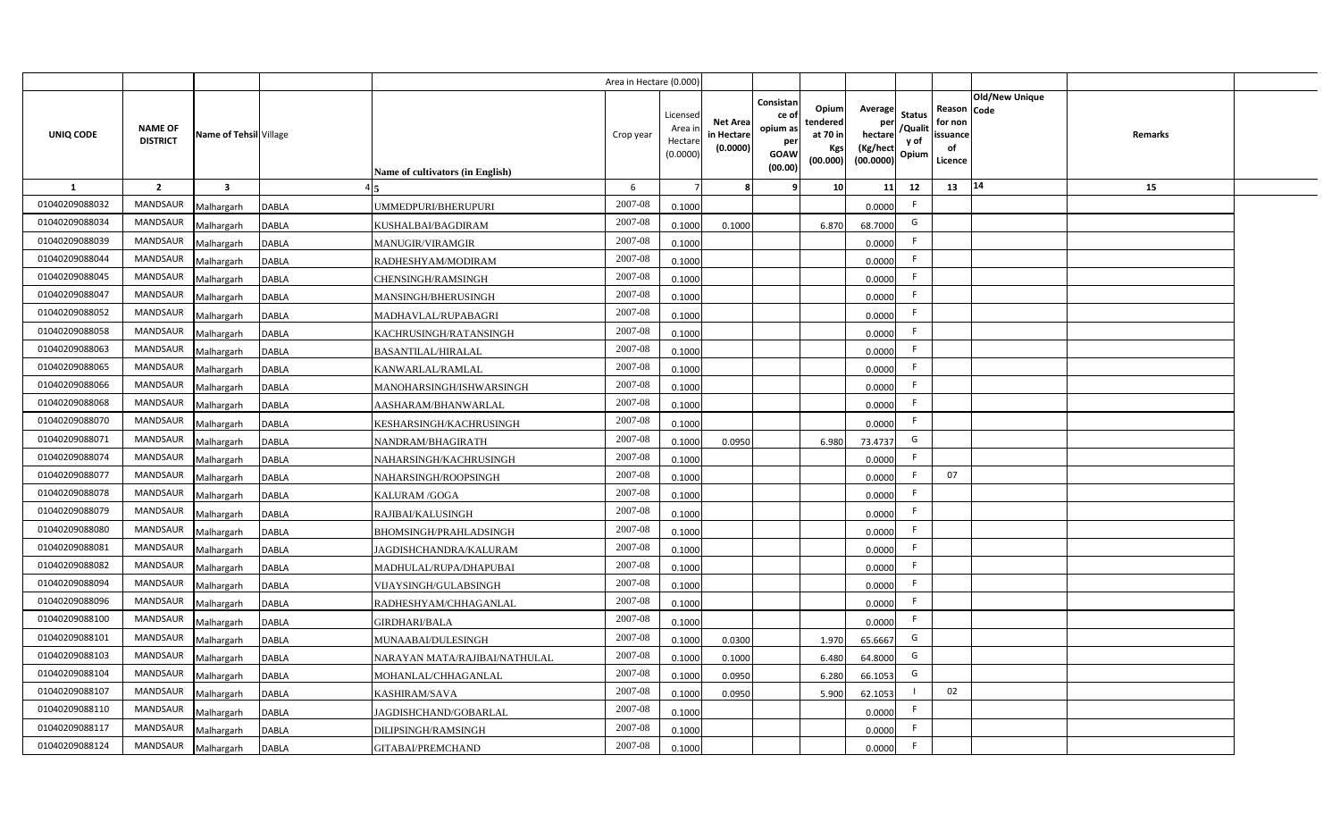|                |                                   |                         |              |                                  | Area in Hectare (0.000) |                                          |                                           |                                                                |                                                  |                                                    |                                           |                                                                       |         |  |
|----------------|-----------------------------------|-------------------------|--------------|----------------------------------|-------------------------|------------------------------------------|-------------------------------------------|----------------------------------------------------------------|--------------------------------------------------|----------------------------------------------------|-------------------------------------------|-----------------------------------------------------------------------|---------|--|
| UNIQ CODE      | <b>NAME OF</b><br><b>DISTRICT</b> | Name of Tehsil Village  |              | Name of cultivators (in English) | Crop year               | Licensec<br>Area i<br>Hectar<br>(0.0000) | <b>Net Area</b><br>in Hectare<br>(0.0000) | Consistan<br>ce o<br>opium as<br>per<br><b>GOAW</b><br>(00.00) | Opium<br>tendered<br>at 70 in<br>Kgs<br>(00.000) | Average<br>per<br>hectare<br>(Kg/hect<br>(00.0000) | <b>Status</b><br>/Qualit<br>y of<br>Opium | Old/New Unique<br>Reason Code<br>for non<br>issuance<br>of<br>Licence | Remarks |  |
| <b>1</b>       | $\overline{2}$                    | $\overline{\mathbf{3}}$ |              |                                  | 6                       |                                          |                                           |                                                                | 10                                               | 11                                                 | 12                                        | 14<br>13                                                              | 15      |  |
| 01040209088032 | <b>MANDSAUR</b>                   | Malhargarh              | <b>DABLA</b> | JMMEDPURI/BHERUPURI              | 2007-08                 | 0.1000                                   |                                           |                                                                |                                                  | 0.0000                                             | F.                                        |                                                                       |         |  |
| 01040209088034 | MANDSAUR                          | Malhargarh              | <b>DABLA</b> | KUSHALBAI/BAGDIRAM               | 2007-08                 | 0.1000                                   | 0.1000                                    |                                                                | 6.870                                            | 68.7000                                            | G                                         |                                                                       |         |  |
| 01040209088039 | <b>MANDSAUR</b>                   | Malhargarh              | <b>DABLA</b> | <b>MANUGIR/VIRAMGIR</b>          | 2007-08                 | 0.1000                                   |                                           |                                                                |                                                  | 0.0000                                             | -F                                        |                                                                       |         |  |
| 01040209088044 | <b>MANDSAUR</b>                   | Malhargarh              | DABLA        | RADHESHYAM/MODIRAM               | 2007-08                 | 0.1000                                   |                                           |                                                                |                                                  | 0.0000                                             | F.                                        |                                                                       |         |  |
| 01040209088045 | MANDSAUR                          | Malhargarh              | <b>DABLA</b> | CHENSINGH/RAMSINGH               | 2007-08                 | 0.1000                                   |                                           |                                                                |                                                  | 0.0000                                             | -F                                        |                                                                       |         |  |
| 01040209088047 | MANDSAUR                          | Malhargarh              | <b>DABLA</b> | MANSINGH/BHERUSINGH              | 2007-08                 | 0.1000                                   |                                           |                                                                |                                                  | 0.0000                                             | F.                                        |                                                                       |         |  |
| 01040209088052 | MANDSAUR                          | Malhargarh              | <b>DABLA</b> | MADHAVLAL/RUPABAGRI              | 2007-08                 | 0.1000                                   |                                           |                                                                |                                                  | 0.0000                                             | F.                                        |                                                                       |         |  |
| 01040209088058 | MANDSAUR                          | Malhargarh              | <b>DABLA</b> | KACHRUSINGH/RATANSINGH           | 2007-08                 | 0.1000                                   |                                           |                                                                |                                                  | 0.0000                                             | F.                                        |                                                                       |         |  |
| 01040209088063 | <b>MANDSAUR</b>                   | Malhargarh              | <b>DABLA</b> | <b>BASANTILAL/HIRALAL</b>        | 2007-08                 | 0.1000                                   |                                           |                                                                |                                                  | 0.0000                                             | F.                                        |                                                                       |         |  |
| 01040209088065 | <b>MANDSAUR</b>                   | Malhargarh              | <b>DABLA</b> | KANWARLAL/RAMLAL                 | 2007-08                 | 0.1000                                   |                                           |                                                                |                                                  | 0.0000                                             | F.                                        |                                                                       |         |  |
| 01040209088066 | MANDSAUR                          | Malhargarh              | <b>DABLA</b> | MANOHARSINGH/ISHWARSINGH         | 2007-08                 | 0.1000                                   |                                           |                                                                |                                                  | 0.0000                                             | $\mathsf{F}$                              |                                                                       |         |  |
| 01040209088068 | <b>MANDSAUR</b>                   | Malhargarh              | <b>DABLA</b> | AASHARAM/BHANWARLAL              | 2007-08                 | 0.1000                                   |                                           |                                                                |                                                  | 0.0000                                             | F.                                        |                                                                       |         |  |
| 01040209088070 | <b>MANDSAUR</b>                   | Malhargarh              | <b>DABLA</b> | KESHARSINGH/KACHRUSINGH          | $2007 - 08$             | 0.1000                                   |                                           |                                                                |                                                  | 0.0000                                             | -F                                        |                                                                       |         |  |
| 01040209088071 | MANDSAUR                          | Malhargarh              | <b>DABLA</b> | NANDRAM/BHAGIRATH                | 2007-08                 | 0.1000                                   | 0.0950                                    |                                                                | 6.980                                            | 73.4737                                            | G                                         |                                                                       |         |  |
| 01040209088074 | <b>MANDSAUR</b>                   | Malhargarh              | DABLA        | NAHARSINGH/KACHRUSINGH           | 2007-08                 | 0.1000                                   |                                           |                                                                |                                                  | 0.0000                                             | F.                                        |                                                                       |         |  |
| 01040209088077 | MANDSAUR                          | Malhargarh              | <b>DABLA</b> | NAHARSINGH/ROOPSINGH             | 2007-08                 | 0.1000                                   |                                           |                                                                |                                                  | 0.0000                                             | F.                                        | 07                                                                    |         |  |
| 01040209088078 | <b>MANDSAUR</b>                   | Malhargarh              | <b>DABLA</b> | KALURAM /GOGA                    | 2007-08                 | 0.1000                                   |                                           |                                                                |                                                  | 0.0000                                             | F.                                        |                                                                       |         |  |
| 01040209088079 | MANDSAUR                          | Malhargarh              | <b>DABLA</b> | RAJIBAI/KALUSINGH                | 2007-08                 | 0.1000                                   |                                           |                                                                |                                                  | 0.0000                                             | F.                                        |                                                                       |         |  |
| 01040209088080 | <b>MANDSAUR</b>                   | Malhargarh              | DABLA        | BHOMSINGH/PRAHLADSINGH           | 2007-08                 | 0.100                                    |                                           |                                                                |                                                  | 0.0000                                             | F.                                        |                                                                       |         |  |
| 01040209088081 | MANDSAUR                          | Malhargarh              | <b>DABLA</b> | JAGDISHCHANDRA/KALURAM           | 2007-08                 | 0.1000                                   |                                           |                                                                |                                                  | 0.0000                                             | F.                                        |                                                                       |         |  |
| 01040209088082 | <b>MANDSAUR</b>                   | Malhargarh              | DABLA        | MADHULAL/RUPA/DHAPUBAI           | 2007-08                 | 0.1000                                   |                                           |                                                                |                                                  | 0.0000                                             | F.                                        |                                                                       |         |  |
| 01040209088094 | <b>MANDSAUR</b>                   | Malhargarh              | DABLA        | VIJAYSINGH/GULABSINGH            | 2007-08                 | 0.1000                                   |                                           |                                                                |                                                  | 0.0000                                             | F.                                        |                                                                       |         |  |
| 01040209088096 | MANDSAUR                          | Malhargarh              | DABLA        | RADHESHYAM/CHHAGANLAL            | 2007-08                 | 0.1000                                   |                                           |                                                                |                                                  | 0.0000                                             | F.                                        |                                                                       |         |  |
| 01040209088100 | <b>MANDSAUR</b>                   | Malhargarh              | DABLA        | <b>GIRDHARI/BALA</b>             | 2007-08                 | 0.1000                                   |                                           |                                                                |                                                  | 0.0000                                             | F.                                        |                                                                       |         |  |
| 01040209088101 | MANDSAUR                          | Malhargarh              | <b>DABLA</b> | MUNAABAI/DULESINGH               | 2007-08                 | 0.1000                                   | 0.0300                                    |                                                                | 1.970                                            | 65.6667                                            | G                                         |                                                                       |         |  |
| 01040209088103 | MANDSAUR                          | Malhargarh              | DABLA        | NARAYAN MATA/RAJIBAI/NATHULAL    | 2007-08                 | 0.1000                                   | 0.1000                                    |                                                                | 6.480                                            | 64.8000                                            | G                                         |                                                                       |         |  |
| 01040209088104 | MANDSAUR                          | Malhargarh              | <b>DABLA</b> | MOHANLAL/CHHAGANLAL              | 2007-08                 | 0.1000                                   | 0.0950                                    |                                                                | 6.280                                            | 66.1053                                            | G                                         |                                                                       |         |  |
| 01040209088107 | MANDSAUR                          | Malhargarh              | <b>DABLA</b> | KASHIRAM/SAVA                    | 2007-08                 | 0.1000                                   | 0.0950                                    |                                                                | 5.900                                            | 62.1053                                            |                                           | 02                                                                    |         |  |
| 01040209088110 | MANDSAUR                          | Malhargarh              | <b>DABLA</b> | JAGDISHCHAND/GOBARLAL            | 2007-08                 | 0.1000                                   |                                           |                                                                |                                                  | 0.0000                                             | F.                                        |                                                                       |         |  |
| 01040209088117 | MANDSAUR                          | Malhargarh              | DABLA        | DILIPSINGH/RAMSINGH              | 2007-08                 | 0.1000                                   |                                           |                                                                |                                                  | 0.0000                                             | $\mathsf{F}$                              |                                                                       |         |  |
| 01040209088124 | MANDSAUR                          | Malhargarh              | <b>DABLA</b> | GITABAI/PREMCHAND                | 2007-08                 | 0.1000                                   |                                           |                                                                |                                                  | 0.0000                                             | $\mathsf{F}$                              |                                                                       |         |  |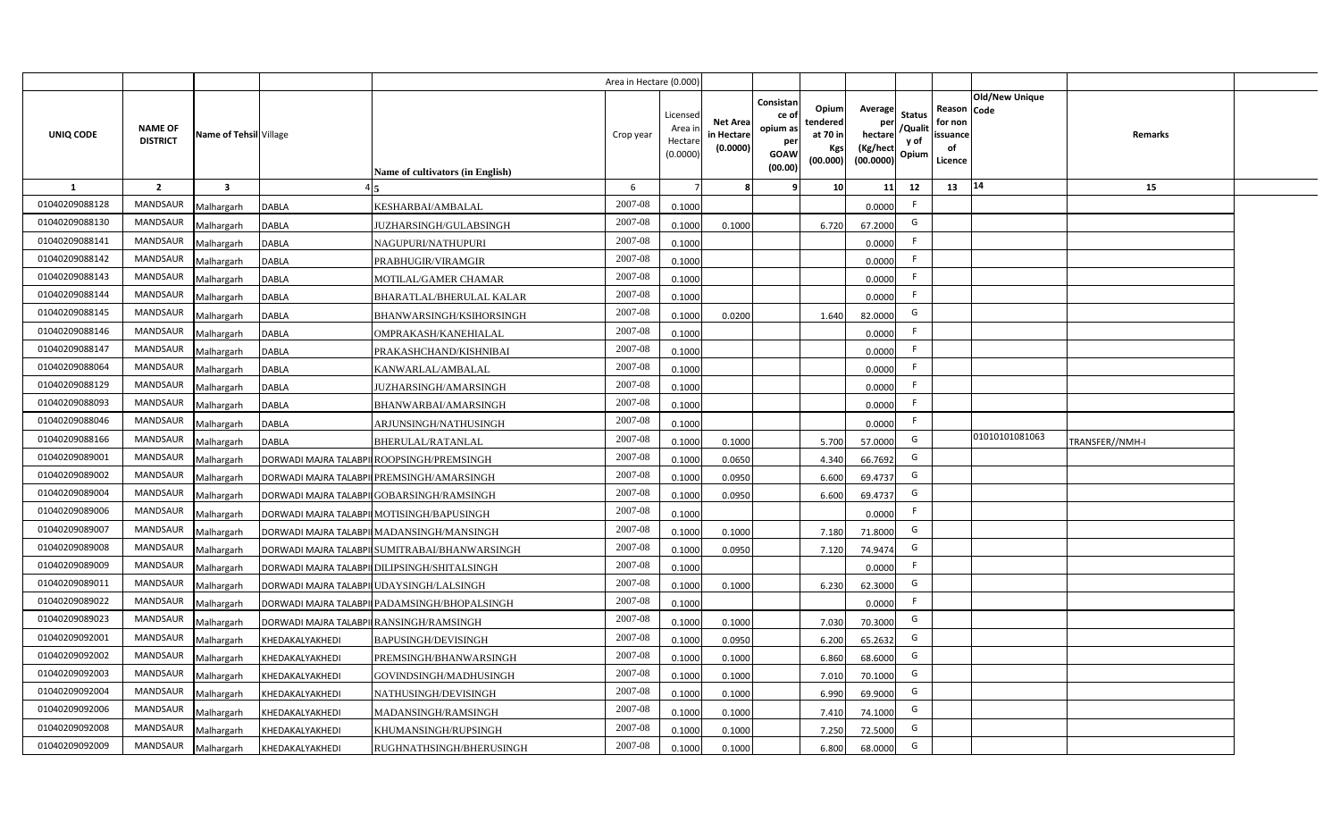|                |                                   |                         |                                               | Area in Hectare (0.000) |                                          |                                           |                                                         |                                                   |                                                            |                                  |                                                     |                       |                 |  |
|----------------|-----------------------------------|-------------------------|-----------------------------------------------|-------------------------|------------------------------------------|-------------------------------------------|---------------------------------------------------------|---------------------------------------------------|------------------------------------------------------------|----------------------------------|-----------------------------------------------------|-----------------------|-----------------|--|
| UNIQ CODE      | <b>NAME OF</b><br><b>DISTRICT</b> | Name of Tehsil Village  | Name of cultivators (in English)              | Crop year               | Licensed<br>Area i<br>Hectar<br>(0.0000) | <b>Net Area</b><br>in Hectare<br>(0.0000) | Consistan<br>ce o<br>opium as<br>per<br>GOAW<br>(00.00) | Opiuml<br>tendered<br>at 70 in<br>Kgs<br>(00.000) | Average<br>per<br>hectare<br>(Kg/hect<br>$(00.0000)$ Opium | <b>Status</b><br>/Qualit<br>y of | Reason Code<br>for non<br>issuance<br>of<br>Licence | <b>Old/New Unique</b> | Remarks         |  |
| 1              | $\overline{2}$                    | $\overline{\mathbf{3}}$ |                                               | 6                       |                                          |                                           |                                                         | 10                                                | 11                                                         | 12                               | 13                                                  | 14                    | 15              |  |
| 01040209088128 | <b>MANDSAUR</b>                   | Malhargarh              | DABLA<br>KESHARBAI/AMBALAL                    | 2007-08                 | 0.1000                                   |                                           |                                                         |                                                   | 0.0000                                                     | F.                               |                                                     |                       |                 |  |
| 01040209088130 | <b>MANDSAUR</b>                   | Malhargarh              | DABLA<br>JUZHARSINGH/GULABSINGH               | 2007-08                 | 0.1000                                   | 0.1000                                    |                                                         | 6.720                                             | 67.2000                                                    | G                                |                                                     |                       |                 |  |
| 01040209088141 | <b>MANDSAUR</b>                   | Malhargarh              | DABLA<br>NAGUPURI/NATHUPURI                   | 2007-08                 | 0.1000                                   |                                           |                                                         |                                                   | 0.0000                                                     | F.                               |                                                     |                       |                 |  |
| 01040209088142 | <b>MANDSAUR</b>                   | Malhargarh              | DABLA<br>PRABHUGIR/VIRAMGIR                   | 2007-08                 | 0.1000                                   |                                           |                                                         |                                                   | 0.0000                                                     | F.                               |                                                     |                       |                 |  |
| 01040209088143 | <b>MANDSAUR</b>                   | Malhargarh              | DABLA<br>MOTILAL/GAMER CHAMAR                 | 2007-08                 | 0.1000                                   |                                           |                                                         |                                                   | 0.0000                                                     | F.                               |                                                     |                       |                 |  |
| 01040209088144 | <b>MANDSAUR</b>                   | Malhargarh              | DABLA<br>BHARATLAL/BHERULAL KALAR             | 2007-08                 | 0.1000                                   |                                           |                                                         |                                                   | 0.0000                                                     | F.                               |                                                     |                       |                 |  |
| 01040209088145 | <b>MANDSAUR</b>                   | Malhargarh              | DABLA<br>BHANWARSINGH/KSIHORSINGH             | 2007-08                 | 0.1000                                   | 0.0200                                    |                                                         | 1.640                                             | 82.0000                                                    | G                                |                                                     |                       |                 |  |
| 01040209088146 | <b>MANDSAUR</b>                   | Malhargarh              | DABLA<br>OMPRAKASH/KANEHIALAL                 | 2007-08                 | 0.1000                                   |                                           |                                                         |                                                   | 0.0000                                                     | F.                               |                                                     |                       |                 |  |
| 01040209088147 | MANDSAUR                          | Malhargarh              | DABLA<br>PRAKASHCHAND/KISHNIBAI               | 2007-08                 | 0.1000                                   |                                           |                                                         |                                                   | 0.0000                                                     | F.                               |                                                     |                       |                 |  |
| 01040209088064 | <b>MANDSAUR</b>                   | Malhargarh              | DABLA<br>KANWARLAL/AMBALAL                    | 2007-08                 | 0.1000                                   |                                           |                                                         |                                                   | 0.0000                                                     | F.                               |                                                     |                       |                 |  |
| 01040209088129 | MANDSAUR                          | Malhargarh              | DABLA<br>JUZHARSINGH/AMARSINGH                | 2007-08                 | 0.1000                                   |                                           |                                                         |                                                   | 0.0000                                                     | F.                               |                                                     |                       |                 |  |
| 01040209088093 | <b>MANDSAUR</b>                   | Malhargarh              | DABLA<br>BHANWARBAI/AMARSINGH                 | 2007-08                 | 0.1000                                   |                                           |                                                         |                                                   | 0.0000                                                     | F.                               |                                                     |                       |                 |  |
| 01040209088046 | <b>MANDSAUR</b>                   | Malhargarh              | DABLA<br>ARJUNSINGH/NATHUSINGH                | 2007-08                 | 0.1000                                   |                                           |                                                         |                                                   | 0.0000                                                     | F.                               |                                                     |                       |                 |  |
| 01040209088166 | MANDSAUR                          | Malhargarh              | DABLA<br>BHERULAL/RATANLAL                    | 2007-08                 | 0.1000                                   | 0.1000                                    |                                                         | 5.700                                             | 57.0000                                                    | G                                |                                                     | 01010101081063        | TRANSFER//NMH-I |  |
| 01040209089001 | <b>MANDSAUR</b>                   | Malhargarh              | DORWADI MAJRA TALABPILROOPSINGH/PREMSINGH     | 2007-08                 | 0.1000                                   | 0.0650                                    |                                                         | 4.340                                             | 66.7692                                                    | G                                |                                                     |                       |                 |  |
| 01040209089002 | MANDSAUR                          | Malhargarh              | DORWADI MAJRA TALABPILPREMSINGH/AMARSINGH     | 2007-08                 | 0.1000                                   | 0.0950                                    |                                                         | 6.600                                             | 69.4737                                                    | G                                |                                                     |                       |                 |  |
| 01040209089004 | <b>MANDSAUR</b>                   | Malhargarh              | DORWADI MAJRA TALABPII GOBARSINGH/RAMSINGH    | 2007-08                 | 0.1000                                   | 0.0950                                    |                                                         | 6.600                                             | 69.4737                                                    | G                                |                                                     |                       |                 |  |
| 01040209089006 | <b>MANDSAUR</b>                   | Malhargarh              | DORWADI MAJRA TALABPILMOTISINGH/BAPUSINGH     | 2007-08                 | 0.1000                                   |                                           |                                                         |                                                   | 0.0000                                                     | F.                               |                                                     |                       |                 |  |
| 01040209089007 | <b>MANDSAUR</b>                   | Malhargarh              | DORWADI MAJRA TALABPILMADANSINGH/MANSINGH     | 2007-08                 | 0.1000                                   | 0.1000                                    |                                                         | 7.180                                             | 71.8000                                                    | G                                |                                                     |                       |                 |  |
| 01040209089008 | <b>MANDSAUR</b>                   | Malhargarh              | DORWADI MAJRA TALABPILSUMITRABAI/BHANWARSINGH | 2007-08                 | 0.1000                                   | 0.0950                                    |                                                         | 7.120                                             | 74.9474                                                    | G                                |                                                     |                       |                 |  |
| 01040209089009 | <b>MANDSAUR</b>                   | Malhargarh              | DORWADI MAJRA TALABPII DILIPSINGH/SHITALSINGH | 2007-08                 | 0.1000                                   |                                           |                                                         |                                                   | 0.0000                                                     | F.                               |                                                     |                       |                 |  |
| 01040209089011 | <b>MANDSAUR</b>                   | Malhargarh              | DORWADI MAJRA TALABPII UDAYSINGH/LALSINGH     | 2007-08                 | 0.1000                                   | 0.1000                                    |                                                         | 6.230                                             | 62.3000                                                    | G                                |                                                     |                       |                 |  |
| 01040209089022 | <b>MANDSAUR</b>                   | Malhargarh              | DORWADI MAJRA TALABPILPADAMSINGH/BHOPALSINGH  | 2007-08                 | 0.1000                                   |                                           |                                                         |                                                   | 0.0000                                                     | F.                               |                                                     |                       |                 |  |
| 01040209089023 | <b>MANDSAUR</b>                   | Malhargarh              | DORWADI MAJRA TALABPIIRANSINGH/RAMSINGH       | 2007-08                 | 0.1000                                   | 0.1000                                    |                                                         | 7.030                                             | 70.3000                                                    | G                                |                                                     |                       |                 |  |
| 01040209092001 | <b>MANDSAUR</b>                   | Malhargarh              | KHEDAKALYAKHEDI<br>BAPUSINGH/DEVISINGH        | 2007-08                 | 0.100                                    | 0.0950                                    |                                                         | 6.200                                             | 65.2632                                                    | G                                |                                                     |                       |                 |  |
| 01040209092002 | <b>MANDSAUR</b>                   | Malhargarh              | KHEDAKALYAKHEDI<br>PREMSINGH/BHANWARSINGH     | 2007-08                 | 0.100                                    | 0.1000                                    |                                                         | 6.860                                             | 68.6000                                                    | G                                |                                                     |                       |                 |  |
| 01040209092003 | <b>MANDSAUR</b>                   | Malhargarh              | KHEDAKALYAKHEDI<br>GOVINDSINGH/MADHUSINGH     | 2007-08                 | 0.100                                    | 0.1000                                    |                                                         | 7.010                                             | 70.1000                                                    | G                                |                                                     |                       |                 |  |
| 01040209092004 | <b>MANDSAUR</b>                   | Malhargarh              | KHEDAKALYAKHEDI<br>NATHUSINGH/DEVISINGH       | 2007-08                 | 0.1000                                   | 0.1000                                    |                                                         | 6.990                                             | 69.9000                                                    | G                                |                                                     |                       |                 |  |
| 01040209092006 | <b>MANDSAUR</b>                   | Malhargarh              | KHEDAKALYAKHEDI<br>MADANSINGH/RAMSINGH        | 2007-08                 | 0.1000                                   | 0.1000                                    |                                                         | 7.410                                             | 74.1000                                                    | G                                |                                                     |                       |                 |  |
| 01040209092008 | <b>MANDSAUR</b>                   | Malhargarh              | KHEDAKALYAKHEDI<br>KHUMANSINGH/RUPSINGH       | 2007-08                 | 0.1000                                   | 0.1000                                    |                                                         | 7.250                                             | 72.5000                                                    | G                                |                                                     |                       |                 |  |
| 01040209092009 | <b>MANDSAUR</b>                   | Malhargarh              | KHEDAKALYAKHEDI<br>RUGHNATHSINGH/BHERUSINGH   | 2007-08                 | 0.1000                                   | 0.1000                                    |                                                         | 6.800                                             | 68.0000                                                    | G                                |                                                     |                       |                 |  |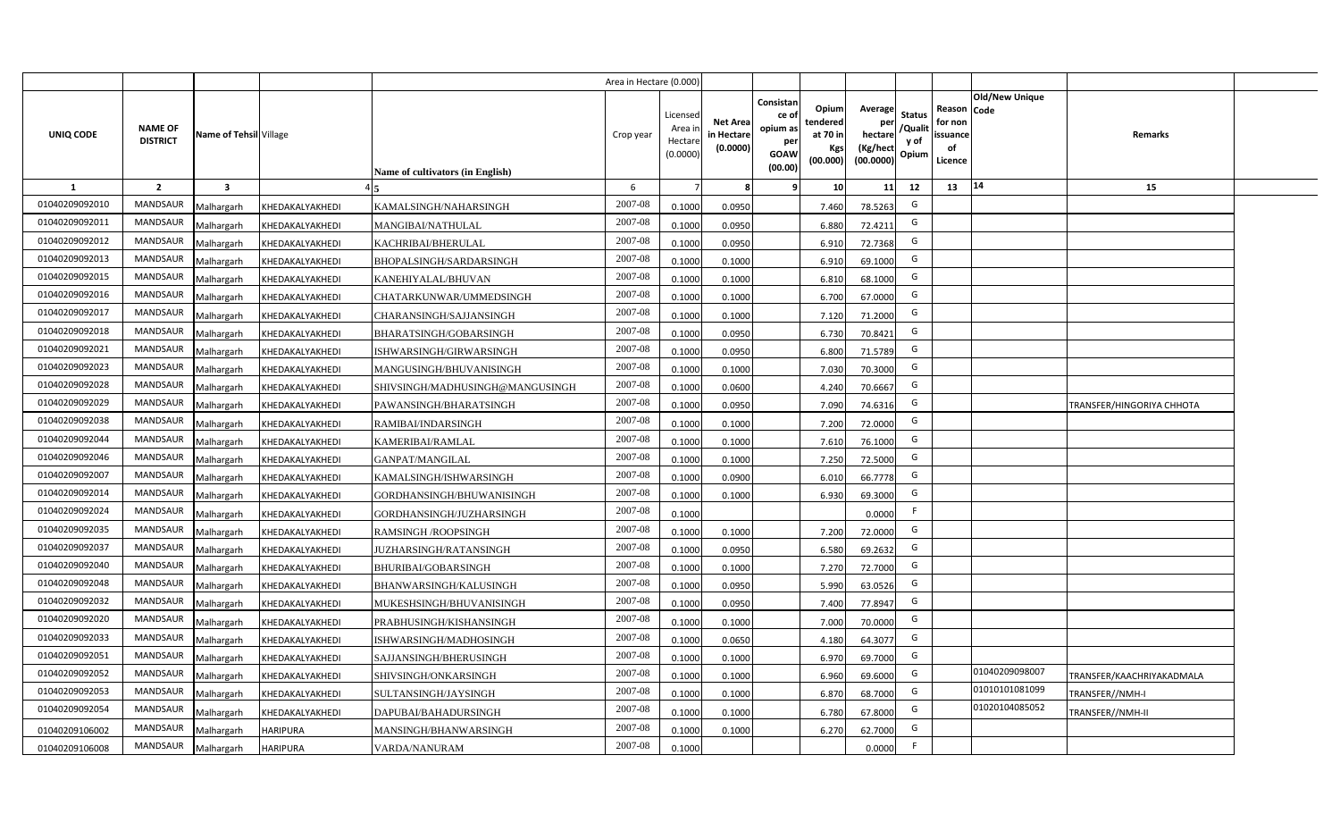|                |                                   |                         |                 |                                  | Area in Hectare (0.000 |                                          |                                          |                                                                 |                                                  |                                                    |                                           |                                                     |                |                           |  |
|----------------|-----------------------------------|-------------------------|-----------------|----------------------------------|------------------------|------------------------------------------|------------------------------------------|-----------------------------------------------------------------|--------------------------------------------------|----------------------------------------------------|-------------------------------------------|-----------------------------------------------------|----------------|---------------------------|--|
| UNIQ CODE      | <b>NAME OF</b><br><b>DISTRICT</b> | Name of Tehsil Village  |                 | Name of cultivators (in English) | Crop year              | Licensec<br>Area i<br>Hectar<br>(0.0000) | <b>Net Area</b><br>in Hectar<br>(0.0000) | Consistan<br>ce of<br>opium as<br>per<br><b>GOAW</b><br>(00.00) | Opium<br>tendered<br>at 70 in<br>Kgs<br>(00.000) | Average<br>per<br>hectare<br>(Kg/hect<br>(00.0000) | <b>Status</b><br>/Qualit<br>y of<br>Opium | Reason Code<br>for non<br>issuance<br>of<br>Licence | Old/New Unique | Remarks                   |  |
| 1              | $\overline{2}$                    | $\overline{\mathbf{3}}$ |                 |                                  | 6                      |                                          |                                          | 9                                                               | 10 <sup>1</sup>                                  | 11                                                 | 12                                        | 13                                                  | 14             | 15                        |  |
| 01040209092010 | MANDSAUR                          | Malhargarh              | KHEDAKALYAKHEDI | KAMALSINGH/NAHARSINGH            | 2007-08                | 0.1000                                   | 0.0950                                   |                                                                 | 7.460                                            | 78.5263                                            | G                                         |                                                     |                |                           |  |
| 01040209092011 | <b>MANDSAUR</b>                   | Malhargarh              | KHEDAKALYAKHEDI | MANGIBAI/NATHULAL                | 2007-08                | 0.100                                    | 0.0950                                   |                                                                 | 6.880                                            | 72.4211                                            | G                                         |                                                     |                |                           |  |
| 01040209092012 | MANDSAUR                          | Malhargarh              | KHEDAKALYAKHEDI | KACHRIBAI/BHERULAL               | 2007-08                | 0.1000                                   | 0.0950                                   |                                                                 | 6.910                                            | 72.7368                                            | G                                         |                                                     |                |                           |  |
| 01040209092013 | MANDSAUR                          | Malhargarh              | KHEDAKALYAKHEDI | BHOPALSINGH/SARDARSINGH          | 2007-08                | 0.100                                    | 0.1000                                   |                                                                 | 6.910                                            | 69.1000                                            | G                                         |                                                     |                |                           |  |
| 01040209092015 | MANDSAUR                          | Malhargarh              | KHEDAKALYAKHEDI | KANEHIYALAL/BHUVAN               | 2007-08                | 0.1000                                   | 0.1000                                   |                                                                 | 6.810                                            | 68.1000                                            | G                                         |                                                     |                |                           |  |
| 01040209092016 | <b>MANDSAUR</b>                   | Malhargarh              | KHEDAKALYAKHEDI | CHATARKUNWAR/UMMEDSINGH          | 2007-08                | 0.1000                                   | 0.1000                                   |                                                                 | 6.700                                            | 67.0000                                            | G                                         |                                                     |                |                           |  |
| 01040209092017 | <b>MANDSAUR</b>                   | Malhargarh              | KHEDAKALYAKHEDI | CHARANSINGH/SAJJANSINGH          | 2007-08                | 0.1000                                   | 0.1000                                   |                                                                 | 7.120                                            | 71.2000                                            | G                                         |                                                     |                |                           |  |
| 01040209092018 | MANDSAUR                          | Malhargarh              | KHEDAKALYAKHEDI | BHARATSINGH/GOBARSINGH           | 2007-08                | 0.1000                                   | 0.0950                                   |                                                                 | 6.730                                            | 70.8421                                            | G                                         |                                                     |                |                           |  |
| 01040209092021 | MANDSAUR                          | Malhargarh              | KHEDAKALYAKHEDI | ISHWARSINGH/GIRWARSINGH          | 2007-08                | 0.1000                                   | 0.0950                                   |                                                                 | 6.800                                            | 71.5789                                            | G                                         |                                                     |                |                           |  |
| 01040209092023 | <b>MANDSAUR</b>                   | Malhargarh              | KHEDAKALYAKHEDI | MANGUSINGH/BHUVANISINGH          | 2007-08                | 0.1000                                   | 0.1000                                   |                                                                 | 7.030                                            | 70.3000                                            | G                                         |                                                     |                |                           |  |
| 01040209092028 | MANDSAUR                          | Malhargarh              | KHEDAKALYAKHEDI | SHIVSINGH/MADHUSINGH@MANGUSINGH  | 2007-08                | 0.1000                                   | 0.0600                                   |                                                                 | 4.240                                            | 70.6667                                            | G                                         |                                                     |                |                           |  |
| 01040209092029 | MANDSAUR                          | Malhargarh              | KHEDAKALYAKHEDI | PAWANSINGH/BHARATSINGH           | 2007-08                | 0.1000                                   | 0.0950                                   |                                                                 | 7.090                                            | 74.6316                                            | G                                         |                                                     |                | TRANSFER/HINGORIYA CHHOTA |  |
| 01040209092038 | MANDSAUR                          | Malhargarh              | KHEDAKALYAKHEDI | RAMIBAI/INDARSINGH               | 2007-08                | 0.1000                                   | 0.1000                                   |                                                                 | 7.200                                            | 72.0000                                            | G                                         |                                                     |                |                           |  |
| 01040209092044 | <b>MANDSAUR</b>                   | Malhargarh              | KHEDAKALYAKHEDI | <b>KAMERIBAI/RAMLAL</b>          | 2007-08                | 0.1000                                   | 0.1000                                   |                                                                 | 7.610                                            | 76.1000                                            | G                                         |                                                     |                |                           |  |
| 01040209092046 | <b>MANDSAUR</b>                   | Malhargarh              | KHEDAKALYAKHEDI | <b>GANPAT/MANGILAL</b>           | 2007-08                | 0.100                                    | 0.1000                                   |                                                                 | 7.250                                            | 72.5000                                            | G                                         |                                                     |                |                           |  |
| 01040209092007 | <b>MANDSAUR</b>                   | Malhargarh              | KHEDAKALYAKHEDI | KAMALSINGH/ISHWARSINGH           | 2007-08                | 0.100                                    | 0.0900                                   |                                                                 | 6.010                                            | 66.7778                                            | G                                         |                                                     |                |                           |  |
| 01040209092014 | <b>MANDSAUR</b>                   | Malhargarh              | KHEDAKALYAKHEDI | GORDHANSINGH/BHUWANISINGH        | 2007-08                | 0.100                                    | 0.1000                                   |                                                                 | 6.930                                            | 69.3000                                            | G                                         |                                                     |                |                           |  |
| 01040209092024 | <b>MANDSAUR</b>                   | Malhargarh              | KHEDAKALYAKHEDI | GORDHANSINGH/JUZHARSINGH         | 2007-08                | 0.1000                                   |                                          |                                                                 |                                                  | 0.0000                                             | -F                                        |                                                     |                |                           |  |
| 01040209092035 | MANDSAUR                          | Malhargarh              | KHEDAKALYAKHEDI | RAMSINGH /ROOPSINGH              | 2007-08                | 0.100                                    | 0.1000                                   |                                                                 | 7.200                                            | 72.0000                                            | G                                         |                                                     |                |                           |  |
| 01040209092037 | <b>MANDSAUR</b>                   | Malhargarh              | KHEDAKALYAKHEDI | UZHARSINGH/RATANSINGH            | 2007-08                | 0.100                                    | 0.0950                                   |                                                                 | 6.580                                            | 69.2632                                            | G                                         |                                                     |                |                           |  |
| 01040209092040 | <b>MANDSAUR</b>                   | Malhargarh              | KHEDAKALYAKHEDI | <b>BHURIBAI/GOBARSINGH</b>       | 2007-08                | 0.1000                                   | 0.1000                                   |                                                                 | 7.270                                            | 72.7000                                            | G                                         |                                                     |                |                           |  |
| 01040209092048 | MANDSAUR                          | Malhargarh              | KHEDAKALYAKHEDI | BHANWARSINGH/KALUSINGH           | 2007-08                | 0.100                                    | 0.0950                                   |                                                                 | 5.990                                            | 63.0526                                            | G                                         |                                                     |                |                           |  |
| 01040209092032 | <b>MANDSAUR</b>                   | Malhargarh              | KHEDAKALYAKHEDI | MUKESHSINGH/BHUVANISINGH         | 2007-08                | 0.100                                    | 0.0950                                   |                                                                 | 7.400                                            | 77.8947                                            | G                                         |                                                     |                |                           |  |
| 01040209092020 | MANDSAUR                          | Malhargarh              | KHEDAKALYAKHEDI | PRABHUSINGH/KISHANSINGH          | 2007-08                | 0.1000                                   | 0.1000                                   |                                                                 | 7.000                                            | 70.0000                                            | G                                         |                                                     |                |                           |  |
| 01040209092033 | MANDSAUR                          | Malhargarh              | KHEDAKALYAKHEDI | ISHWARSINGH/MADHOSINGH           | 2007-08                | 0.1000                                   | 0.0650                                   |                                                                 | 4.180                                            | 64.3077                                            | G                                         |                                                     |                |                           |  |
| 01040209092051 | MANDSAUR                          | Malhargarh              | KHEDAKALYAKHEDI | SAJJANSINGH/BHERUSINGH           | 2007-08                | 0.1000                                   | 0.1000                                   |                                                                 | 6.970                                            | 69.7000                                            | G                                         |                                                     |                |                           |  |
| 01040209092052 | MANDSAUR                          | Malhargarh              | KHEDAKALYAKHEDI | SHIVSINGH/ONKARSINGH             | 2007-08                | 0.1000                                   | 0.1000                                   |                                                                 | 6.960                                            | 69.6000                                            | G                                         |                                                     | 01040209098007 | TRANSFER/KAACHRIYAKADMALA |  |
| 01040209092053 | MANDSAUR                          | Malhargarh              | KHEDAKALYAKHEDI | SULTANSINGH/JAYSINGH             | 2007-08                | 0.1000                                   | 0.1000                                   |                                                                 | 6.870                                            | 68.7000                                            | G                                         |                                                     | 01010101081099 | TRANSFER//NMH-I           |  |
| 01040209092054 | MANDSAUR                          | Malhargarh              | KHEDAKALYAKHEDI | DAPUBAI/BAHADURSINGH             | 2007-08                | 0.1000                                   | 0.1000                                   |                                                                 | 6.780                                            | 67.8000                                            | G                                         |                                                     | 01020104085052 | TRANSFER//NMH-II          |  |
| 01040209106002 | <b>MANDSAUR</b>                   | Malhargarh              | <b>HARIPURA</b> | MANSINGH/BHANWARSINGH            | 2007-08                | 0.1000                                   | 0.1000                                   |                                                                 | 6.270                                            | 62.7000                                            | G                                         |                                                     |                |                           |  |
| 01040209106008 | MANDSAUR                          | Malhargarh              | <b>HARIPURA</b> | VARDA/NANURAM                    | 2007-08                | 0.1000                                   |                                          |                                                                 |                                                  | 0.0000                                             | $\mathsf{F}$                              |                                                     |                |                           |  |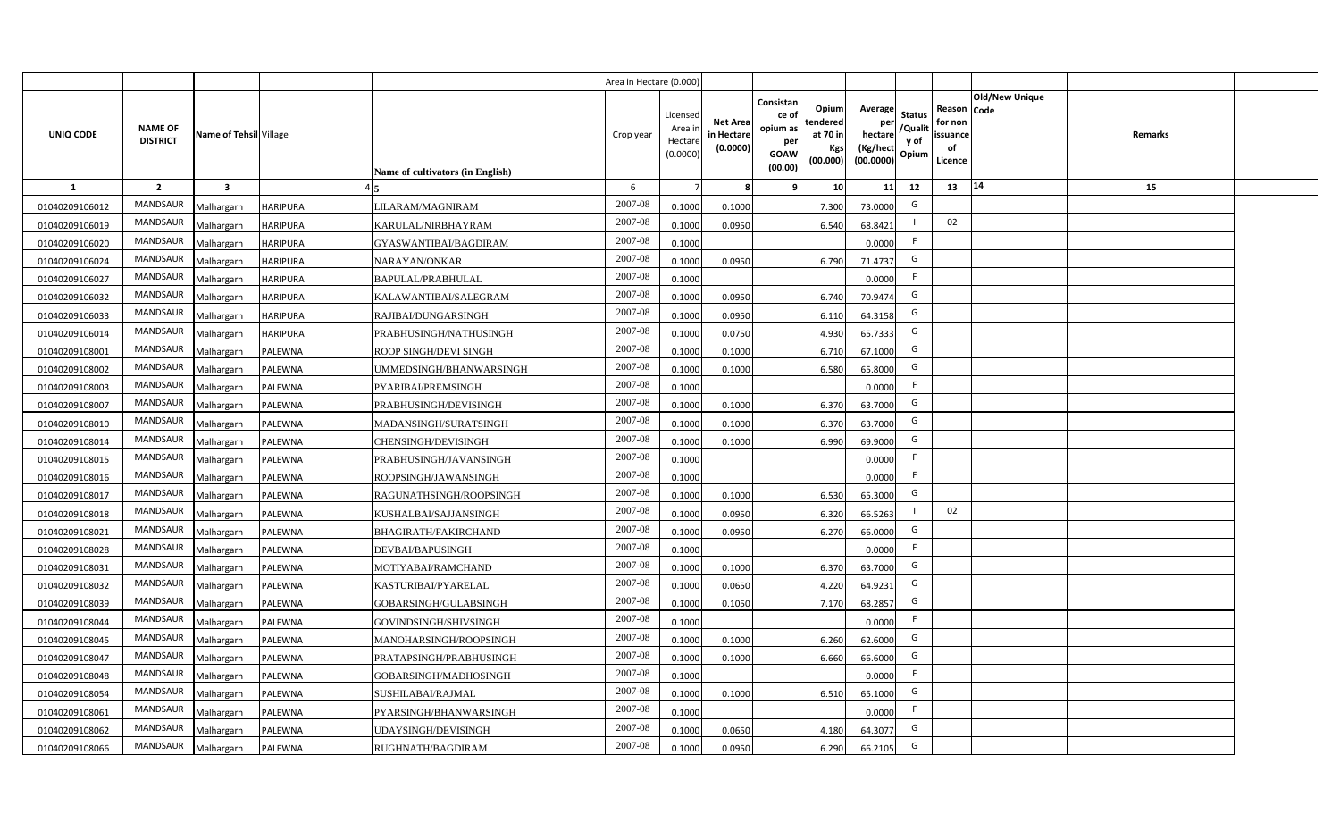|                |                                   |                         |                 |                                  | Area in Hectare (0.000) |                                           |                                           |                                                                                                                     |                                                    |                                           |                                                     |                       |         |  |
|----------------|-----------------------------------|-------------------------|-----------------|----------------------------------|-------------------------|-------------------------------------------|-------------------------------------------|---------------------------------------------------------------------------------------------------------------------|----------------------------------------------------|-------------------------------------------|-----------------------------------------------------|-----------------------|---------|--|
| UNIQ CODE      | <b>NAME OF</b><br><b>DISTRICT</b> | Name of Tehsil Village  |                 | Name of cultivators (in English) | Crop year               | Licensed<br>Area i<br>Hectare<br>(0.0000) | <b>Net Area</b><br>in Hectare<br>(0.0000) | Consistan<br>Opium<br>ce of<br>tendered<br>opium as<br>at 70 in<br>per<br>Kgs<br><b>GOAW</b><br>(00.000)<br>(00.00) | Average<br>per<br>hectare<br>(Kg/hect<br>(00.0000) | <b>Status</b><br>/Qualit<br>y of<br>Opium | Reason Code<br>for non<br>issuance<br>of<br>Licence | <b>Old/New Unique</b> | Remarks |  |
| 1              | $\overline{2}$                    | $\overline{\mathbf{3}}$ |                 |                                  | 6                       |                                           | 8                                         | 10 <sup>1</sup><br>-9                                                                                               | 11                                                 | 12                                        | 13                                                  | 14                    | 15      |  |
| 01040209106012 | MANDSAUR                          | Malhargarh              | <b>HARIPURA</b> | LILARAM/MAGNIRAM                 | 2007-08                 | 0.1000                                    | 0.1000                                    | 7.300                                                                                                               | 73.0000                                            | G                                         |                                                     |                       |         |  |
| 01040209106019 | MANDSAUR                          | Malhargarh              | <b>HARIPURA</b> | KARULAL/NIRBHAYRAM               | 2007-08                 | 0.1000                                    | 0.0950                                    | 6.540                                                                                                               | 68.8421                                            |                                           | 02                                                  |                       |         |  |
| 01040209106020 | <b>MANDSAUR</b>                   | Malhargarh              | <b>HARIPURA</b> | GYASWANTIBAI/BAGDIRAM            | 2007-08                 | 0.1000                                    |                                           |                                                                                                                     | 0.0000                                             | -F                                        |                                                     |                       |         |  |
| 01040209106024 | MANDSAUR                          | Malhargarh              | <b>HARIPURA</b> | NARAYAN/ONKAR                    | 2007-08                 | 0.1000                                    | 0.0950                                    | 6.790                                                                                                               | 71.4737                                            | G                                         |                                                     |                       |         |  |
| 01040209106027 | MANDSAUR                          | Malhargarh              | <b>HARIPURA</b> | <b>BAPULAL/PRABHULAL</b>         | 2007-08                 | 0.1000                                    |                                           |                                                                                                                     | 0.0000                                             | F.                                        |                                                     |                       |         |  |
| 01040209106032 | MANDSAUR                          | Malhargarh              | <b>HARIPURA</b> | KALAWANTIBAI/SALEGRAM            | 2007-08                 | 0.1000                                    | 0.0950                                    | 6.740                                                                                                               | 70.9474                                            | G                                         |                                                     |                       |         |  |
| 01040209106033 | MANDSAUR                          | Malhargarh              | <b>HARIPURA</b> | RAJIBAI/DUNGARSINGH              | 2007-08                 | 0.1000                                    | 0.0950                                    | 6.110                                                                                                               | 64.3158                                            | G                                         |                                                     |                       |         |  |
| 01040209106014 | MANDSAUR                          | Malhargarh              | <b>HARIPURA</b> | PRABHUSINGH/NATHUSINGH           | 2007-08                 | 0.1000                                    | 0.0750                                    | 4.930                                                                                                               | 65.7333                                            | G                                         |                                                     |                       |         |  |
| 01040209108001 | MANDSAUR                          | Malhargarh              | PALEWNA         | ROOP SINGH/DEVI SINGH            | 2007-08                 | 0.1000                                    | 0.1000                                    | 6.710                                                                                                               | 67.1000                                            | G                                         |                                                     |                       |         |  |
| 01040209108002 | MANDSAUR                          | Malhargarh              | PALEWNA         | UMMEDSINGH/BHANWARSINGH          | 2007-08                 | 0.1000                                    | 0.1000                                    | 6.580                                                                                                               | 65.8000                                            | G                                         |                                                     |                       |         |  |
| 01040209108003 | MANDSAUR                          | Malhargarh              | PALEWNA         | PYARIBAI/PREMSINGH               | 2007-08                 | 0.1000                                    |                                           |                                                                                                                     | 0.0000                                             | F                                         |                                                     |                       |         |  |
| 01040209108007 | MANDSAUR                          | Malhargarh              | PALEWNA         | PRABHUSINGH/DEVISINGH            | 2007-08                 | 0.1000                                    | 0.1000                                    | 6.370                                                                                                               | 63.7000                                            | G                                         |                                                     |                       |         |  |
| 01040209108010 | <b>MANDSAUR</b>                   | Malhargarh              | PALEWNA         | MADANSINGH/SURATSINGH            | 2007-08                 | 0.1000                                    | 0.1000                                    | 6.370                                                                                                               | 63.7000                                            | G                                         |                                                     |                       |         |  |
| 01040209108014 | <b>MANDSAUR</b>                   | Malhargarh              | PALEWNA         | <b>CHENSINGH/DEVISINGH</b>       | 2007-08                 | 0.1000                                    | 0.1000                                    | 6.990                                                                                                               | 69.9000                                            | G                                         |                                                     |                       |         |  |
| 01040209108015 | MANDSAUR                          | Malhargarh              | PALEWNA         | PRABHUSINGH/JAVANSINGH           | 2007-08                 | 0.1000                                    |                                           |                                                                                                                     | 0.0000                                             | F                                         |                                                     |                       |         |  |
| 01040209108016 | <b>MANDSAUR</b>                   | Malhargarh              | PALEWNA         | ROOPSINGH/JAWANSINGH             | 2007-08                 | 0.1000                                    |                                           |                                                                                                                     | 0.0000                                             | F.                                        |                                                     |                       |         |  |
| 01040209108017 | <b>MANDSAUR</b>                   | Malhargarh              | PALEWNA         | RAGUNATHSINGH/ROOPSINGH          | 2007-08                 | 0.1000                                    | 0.1000                                    | 6.530                                                                                                               | 65.3000                                            | G                                         |                                                     |                       |         |  |
| 01040209108018 | <b>MANDSAUR</b>                   | Malhargarh              | PALEWNA         | KUSHALBAI/SAJJANSINGH            | 2007-08                 | 0.1000                                    | 0.0950                                    | 6.320                                                                                                               | 66.5263                                            |                                           | 02                                                  |                       |         |  |
| 01040209108021 | <b>MANDSAUR</b>                   | Malhargarh              | PALEWNA         | <b>BHAGIRATH/FAKIRCHAND</b>      | 2007-08                 | 0.1000                                    | 0.0950                                    | 6.270                                                                                                               | 66.0000                                            | G                                         |                                                     |                       |         |  |
| 01040209108028 | <b>MANDSAUR</b>                   | Malhargarh              | PALEWNA         | DEVBAI/BAPUSINGH                 | 2007-08                 | 0.1000                                    |                                           |                                                                                                                     | 0.0000                                             | F                                         |                                                     |                       |         |  |
| 01040209108031 | <b>MANDSAUR</b>                   | Malhargarh              | PALEWNA         | MOTIYABAI/RAMCHAND               | 2007-08                 | 0.1000                                    | 0.1000                                    | 6.370                                                                                                               | 63.7000                                            | G                                         |                                                     |                       |         |  |
| 01040209108032 | MANDSAUR                          | Malhargarh              | PALEWNA         | KASTURIBAI/PYARELAL              | 2007-08                 | 0.1000                                    | 0.0650                                    | 4.220                                                                                                               | 64.9231                                            | G                                         |                                                     |                       |         |  |
| 01040209108039 | MANDSAUR                          | Malhargarh              | PALEWNA         | GOBARSINGH/GULABSINGH            | 2007-08                 | 0.1000                                    | 0.1050                                    | 7.170                                                                                                               | 68.2857                                            | G                                         |                                                     |                       |         |  |
| 01040209108044 | MANDSAUR                          | Malhargarh              | PALEWNA         | GOVINDSINGH/SHIVSINGH            | 2007-08                 | 0.1000                                    |                                           |                                                                                                                     | 0.0000                                             | F.                                        |                                                     |                       |         |  |
| 01040209108045 | MANDSAUR                          | Malhargarh              | PALEWNA         | MANOHARSINGH/ROOPSINGH           | 2007-08                 | 0.1000                                    | 0.1000                                    | 6.260                                                                                                               | 62.6000                                            | G                                         |                                                     |                       |         |  |
| 01040209108047 | MANDSAUR                          | Malhargarh              | PALEWNA         | PRATAPSINGH/PRABHUSINGH          | 2007-08                 | 0.1000                                    | 0.1000                                    | 6.660                                                                                                               | 66.6000                                            | G                                         |                                                     |                       |         |  |
| 01040209108048 | MANDSAUR                          | Malhargarh              | PALEWNA         | GOBARSINGH/MADHOSINGH            | 2007-08                 | 0.1000                                    |                                           |                                                                                                                     | 0.0000                                             | F                                         |                                                     |                       |         |  |
| 01040209108054 | MANDSAUR                          | Malhargarh              | PALEWNA         | SUSHILABAI/RAJMAL                | 2007-08                 | 0.1000                                    | 0.1000                                    | 6.510                                                                                                               | 65.1000                                            | G                                         |                                                     |                       |         |  |
| 01040209108061 | MANDSAUR                          | Malhargarh              | PALEWNA         | PYARSINGH/BHANWARSINGH           | 2007-08                 | 0.1000                                    |                                           |                                                                                                                     | 0.0000                                             | F                                         |                                                     |                       |         |  |
| 01040209108062 | MANDSAUR                          | Malhargarh              | PALEWNA         | JDAYSINGH/DEVISINGH              | 2007-08                 | 0.1000                                    | 0.0650                                    | 4.180                                                                                                               | 64.3077                                            | G                                         |                                                     |                       |         |  |
| 01040209108066 | MANDSAUR                          | Malhargarh              | PALEWNA         | RUGHNATH/BAGDIRAM                | 2007-08                 | 0.1000                                    | 0.0950                                    | 6.290                                                                                                               | 66.2105                                            | G                                         |                                                     |                       |         |  |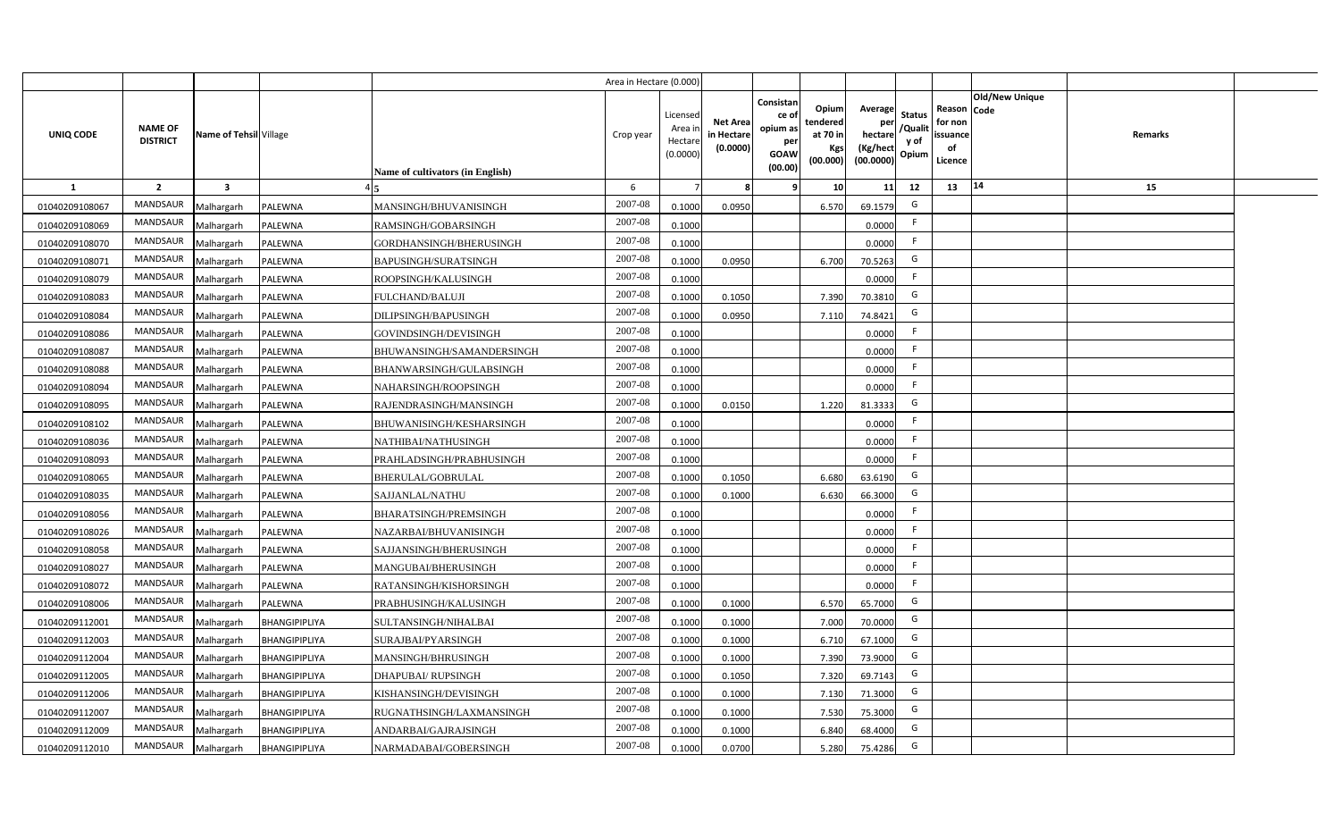|                  |                                   |                         |               |                                  | Area in Hectare (0.000 |                                          |                                           |                                                                 |                                                  |                                                    |                                           |                                                     |                       |         |  |
|------------------|-----------------------------------|-------------------------|---------------|----------------------------------|------------------------|------------------------------------------|-------------------------------------------|-----------------------------------------------------------------|--------------------------------------------------|----------------------------------------------------|-------------------------------------------|-----------------------------------------------------|-----------------------|---------|--|
| <b>UNIQ CODE</b> | <b>NAME OF</b><br><b>DISTRICT</b> | Name of Tehsil Village  |               | Name of cultivators (in English) | Crop year              | Licensec<br>Area i<br>Hectar<br>(0.0000) | <b>Net Area</b><br>in Hectare<br>(0.0000) | Consistan<br>ce of<br>opium as<br>per<br><b>GOAW</b><br>(00.00) | Opium<br>tendered<br>at 70 in<br>Kgs<br>(00.000) | Average<br>per<br>hectare<br>(Kg/hect<br>(00.0000) | <b>Status</b><br>/Qualit<br>y of<br>Opium | Reason Code<br>for non<br>issuance<br>of<br>Licence | <b>Old/New Unique</b> | Remarks |  |
| 1                | $\overline{2}$                    | $\overline{\mathbf{3}}$ |               |                                  | 6                      |                                          |                                           | ۹                                                               | 10 <sup>1</sup>                                  | 11                                                 | 12                                        | 13                                                  | 14                    | 15      |  |
| 01040209108067   | MANDSAUR                          | Malhargarh              | PALEWNA       | MANSINGH/BHUVANISINGH            | 2007-08                | 0.1000                                   | 0.0950                                    |                                                                 | 6.570                                            | 69.1579                                            | G                                         |                                                     |                       |         |  |
| 01040209108069   | MANDSAUR                          | Malhargarh              | PALEWNA       | RAMSINGH/GOBARSINGH              | 2007-08                | 0.1000                                   |                                           |                                                                 |                                                  | 0.0000                                             | F.                                        |                                                     |                       |         |  |
| 01040209108070   | MANDSAUR                          | Malhargarh              | PALEWNA       | GORDHANSINGH/BHERUSINGH          | 2007-08                | 0.1000                                   |                                           |                                                                 |                                                  | 0.0000                                             | -F                                        |                                                     |                       |         |  |
| 01040209108071   | <b>MANDSAUR</b>                   | Malhargarh              | PALEWNA       | <b>BAPUSINGH/SURATSINGH</b>      | 2007-08                | 0.100                                    | 0.0950                                    |                                                                 | 6.700                                            | 70.5263                                            | G                                         |                                                     |                       |         |  |
| 01040209108079   | MANDSAUR                          | Malhargarh              | PALEWNA       | ROOPSINGH/KALUSINGH              | 2007-08                | 0.1000                                   |                                           |                                                                 |                                                  | 0.0000                                             |                                           |                                                     |                       |         |  |
| 01040209108083   | MANDSAUR                          | Malhargarh              | PALEWNA       | FULCHAND/BALUJI                  | 2007-08                | 0.1000                                   | 0.1050                                    |                                                                 | 7.390                                            | 70.3810                                            | G                                         |                                                     |                       |         |  |
| 01040209108084   | MANDSAUR                          | Malhargarh              | PALEWNA       | DILIPSINGH/BAPUSINGH             | 2007-08                | 0.100                                    | 0.0950                                    |                                                                 | 7.110                                            | 74.8421                                            | G                                         |                                                     |                       |         |  |
| 01040209108086   | MANDSAUR                          | Malhargarh              | PALEWNA       | GOVINDSINGH/DEVISINGH            | 2007-08                | 0.1000                                   |                                           |                                                                 |                                                  | 0.0000                                             |                                           |                                                     |                       |         |  |
| 01040209108087   | MANDSAUR                          | Malhargarh              | PALEWNA       | BHUWANSINGH/SAMANDERSINGH        | 2007-08                | 0.1000                                   |                                           |                                                                 |                                                  | 0.0000                                             | -F                                        |                                                     |                       |         |  |
| 01040209108088   | MANDSAUR                          | Malhargarh              | PALEWNA       | BHANWARSINGH/GULABSINGH          | 2007-08                | 0.1000                                   |                                           |                                                                 |                                                  | 0.0000                                             | F.                                        |                                                     |                       |         |  |
| 01040209108094   | MANDSAUR                          | Malhargarh              | PALEWNA       | NAHARSINGH/ROOPSINGH             | 2007-08                | 0.1000                                   |                                           |                                                                 |                                                  | 0.0000                                             | -F                                        |                                                     |                       |         |  |
| 01040209108095   | <b>MANDSAUR</b>                   | Malhargarh              | PALEWNA       | RAJENDRASINGH/MANSINGH           | 2007-08                | 0.1000                                   | 0.0150                                    |                                                                 | 1.220                                            | 81.3333                                            | G                                         |                                                     |                       |         |  |
| 01040209108102   | <b>MANDSAUR</b>                   | Malhargarh              | PALEWNA       | BHUWANISINGH/KESHARSINGH         | 2007-08                | 0.1000                                   |                                           |                                                                 |                                                  | 0.0000                                             | F.                                        |                                                     |                       |         |  |
| 01040209108036   | <b>MANDSAUR</b>                   | Malhargarh              | PALEWNA       | NATHIBAI/NATHUSINGH              | 2007-08                | 0.1000                                   |                                           |                                                                 |                                                  | 0.0000                                             | E                                         |                                                     |                       |         |  |
| 01040209108093   | <b>MANDSAUR</b>                   | Malhargarh              | PALEWNA       | PRAHLADSINGH/PRABHUSINGH         | 2007-08                | 0.1000                                   |                                           |                                                                 |                                                  | 0.0000                                             | F                                         |                                                     |                       |         |  |
| 01040209108065   | MANDSAUR                          | Malhargarh              | PALEWNA       | BHERULAL/GOBRULAL                | 2007-08                | 0.1000                                   | 0.1050                                    |                                                                 | 6.680                                            | 63.6190                                            | G                                         |                                                     |                       |         |  |
| 01040209108035   | <b>MANDSAUR</b>                   | Malhargarh              | PALEWNA       | SAJJANLAL/NATHU                  | 2007-08                | 0.100                                    | 0.1000                                    |                                                                 | 6.630                                            | 66.3000                                            | G                                         |                                                     |                       |         |  |
| 01040209108056   | <b>MANDSAUR</b>                   | Malhargarh              | PALEWNA       | BHARATSINGH/PREMSINGH            | 2007-08                | 0.1000                                   |                                           |                                                                 |                                                  | 0.0000                                             | F.                                        |                                                     |                       |         |  |
| 01040209108026   | MANDSAUR                          | Malhargarh              | PALEWNA       | NAZARBAI/BHUVANISINGH            | 2007-08                | 0.1000                                   |                                           |                                                                 |                                                  | 0.0000                                             | F.                                        |                                                     |                       |         |  |
| 01040209108058   | <b>MANDSAUR</b>                   | Malhargarh              | PALEWNA       | SAJJANSINGH/BHERUSINGH           | 2007-08                | 0.100                                    |                                           |                                                                 |                                                  | 0.0000                                             | F.                                        |                                                     |                       |         |  |
| 01040209108027   | MANDSAUR                          | Malhargarh              | PALEWNA       | MANGUBAI/BHERUSINGH              | $2007 - 08$            | 0.1000                                   |                                           |                                                                 |                                                  | 0.0000                                             | E                                         |                                                     |                       |         |  |
| 01040209108072   | MANDSAUR                          | Malhargarh              | PALEWNA       | RATANSINGH/KISHORSINGH           | 2007-08                | 0.1000                                   |                                           |                                                                 |                                                  | 0.0000                                             | E                                         |                                                     |                       |         |  |
| 01040209108006   | <b>MANDSAUR</b>                   | Malhargarh              | PALEWNA       | PRABHUSINGH/KALUSINGH            | 2007-08                | 0.1000                                   | 0.1000                                    |                                                                 | 6.570                                            | 65.7000                                            | G                                         |                                                     |                       |         |  |
| 01040209112001   | MANDSAUR                          | Malhargarh              | BHANGIPIPLIYA | SULTANSINGH/NIHALBAI             | 2007-08                | 0.1000                                   | 0.1000                                    |                                                                 | 7.000                                            | 70.0000                                            | G                                         |                                                     |                       |         |  |
| 01040209112003   | MANDSAUR                          | Malhargarh              | BHANGIPIPLIYA | SURAJBAI/PYARSINGH               | 2007-08                | 0.1000                                   | 0.1000                                    |                                                                 | 6.710                                            | 67.1000                                            | G                                         |                                                     |                       |         |  |
| 01040209112004   | MANDSAUR                          | Malhargarh              | BHANGIPIPLIYA | <b>MANSINGH/BHRUSINGH</b>        | 2007-08                | 0.1000                                   | 0.1000                                    |                                                                 | 7.390                                            | 73.9000                                            | G                                         |                                                     |                       |         |  |
| 01040209112005   | MANDSAUR                          | Malhargarh              | BHANGIPIPLIYA | <b>DHAPUBAI/ RUPSINGH</b>        | 2007-08                | 0.1000                                   | 0.105                                     |                                                                 | 7.320                                            | 69.7143                                            | G                                         |                                                     |                       |         |  |
| 01040209112006   | MANDSAUR                          | Malhargarh              | BHANGIPIPLIYA | KISHANSINGH/DEVISINGH            | 2007-08                | 0.1000                                   | 0.1000                                    |                                                                 | 7.130                                            | 71.3000                                            | G                                         |                                                     |                       |         |  |
| 01040209112007   | MANDSAUR                          | Malhargarh              | BHANGIPIPLIYA | RUGNATHSINGH/LAXMANSINGH         | 2007-08                | 0.1000                                   | 0.1000                                    |                                                                 | 7.530                                            | 75.3000                                            | G                                         |                                                     |                       |         |  |
| 01040209112009   | MANDSAUR                          | Malhargarh              | BHANGIPIPLIYA | ANDARBAI/GAJRAJSINGH             | 2007-08                | 0.1000                                   | 0.1000                                    |                                                                 | 6.840                                            | 68.4000                                            | G                                         |                                                     |                       |         |  |
| 01040209112010   | MANDSAUR                          | Malhargarh              | BHANGIPIPLIYA | NARMADABAI/GOBERSINGH            | 2007-08                | 0.1000                                   | 0.0700                                    |                                                                 | 5.280                                            | 75.4286                                            | G                                         |                                                     |                       |         |  |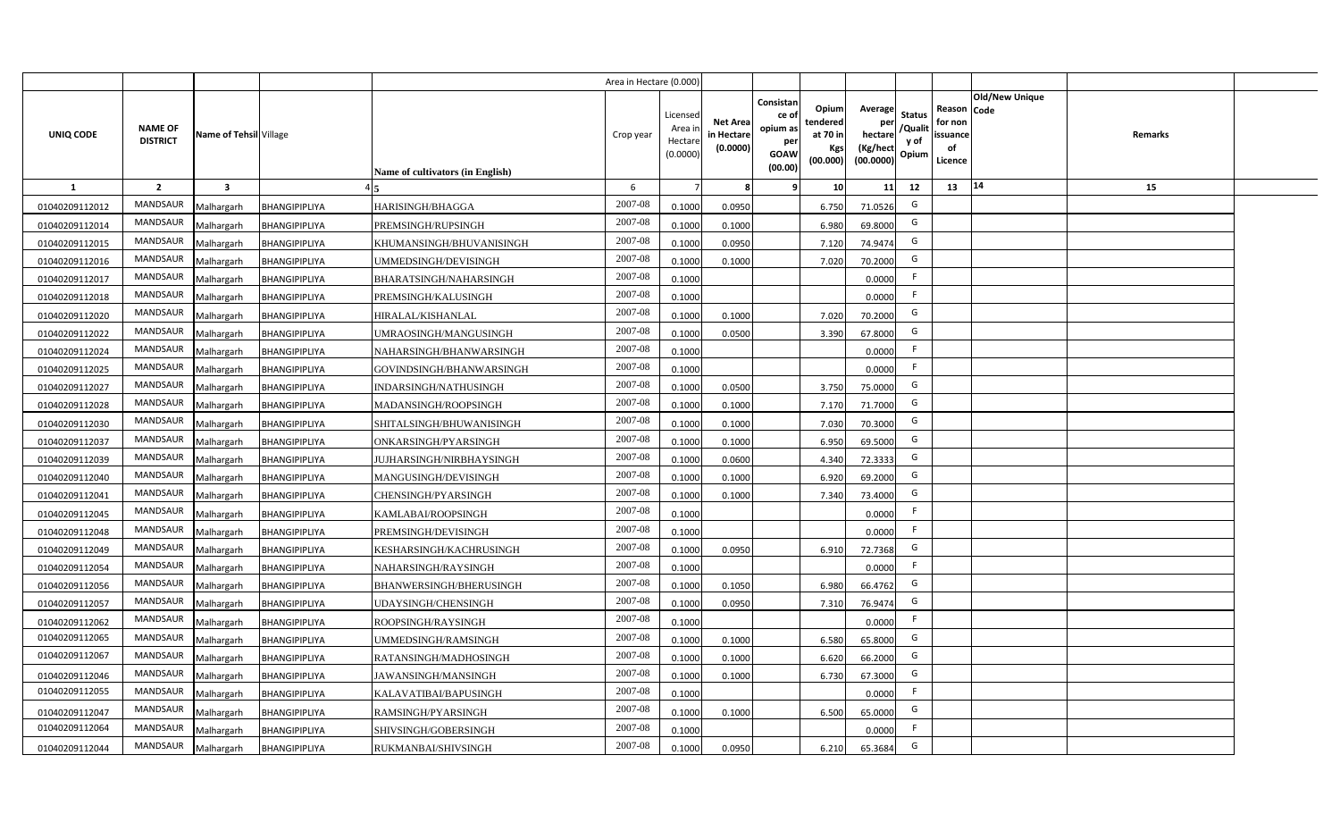|                |                                   |                         |                      |                                  | Area in Hectare (0.000) |                                           |                                           |                                                                 |                                                  |                                                    |                                           |                                                     |                       |                |  |
|----------------|-----------------------------------|-------------------------|----------------------|----------------------------------|-------------------------|-------------------------------------------|-------------------------------------------|-----------------------------------------------------------------|--------------------------------------------------|----------------------------------------------------|-------------------------------------------|-----------------------------------------------------|-----------------------|----------------|--|
| UNIQ CODE      | <b>NAME OF</b><br><b>DISTRICT</b> | Name of Tehsil Village  |                      | Name of cultivators (in English) | Crop year               | Licensed<br>Area i<br>Hectare<br>(0.0000) | <b>Net Area</b><br>in Hectare<br>(0.0000) | Consistan<br>ce of<br>opium as<br>per<br><b>GOAW</b><br>(00.00) | Opium<br>tendered<br>at 70 in<br>Kgs<br>(00.000) | Average<br>per<br>hectare<br>(Kg/hect<br>(00.0000) | <b>Status</b><br>/Qualit<br>y of<br>Opium | Reason Code<br>for non<br>issuance<br>of<br>Licence | <b>Old/New Unique</b> | <b>Remarks</b> |  |
| $\mathbf{1}$   | $\overline{2}$                    | $\overline{\mathbf{3}}$ |                      |                                  | 6                       |                                           | 8                                         | 9                                                               | 10                                               | 11                                                 | 12                                        | 13                                                  | 14                    | 15             |  |
| 01040209112012 | MANDSAUR                          | Malhargarh              | BHANGIPIPLIYA        | HARISINGH/BHAGGA                 | 2007-08                 | 0.1000                                    | 0.0950                                    |                                                                 | 6.750                                            | 71.0526                                            | G                                         |                                                     |                       |                |  |
| 01040209112014 | <b>MANDSAUR</b>                   | Malhargarh              | BHANGIPIPLIYA        | PREMSINGH/RUPSINGH               | 2007-08                 | 0.1000                                    | 0.1000                                    |                                                                 | 6.980                                            | 69.8000                                            | G                                         |                                                     |                       |                |  |
| 01040209112015 | MANDSAUR                          | Malhargarh              | BHANGIPIPLIYA        | KHUMANSINGH/BHUVANISINGH         | 2007-08                 | 0.1000                                    | 0.0950                                    |                                                                 | 7.120                                            | 74.9474                                            | G                                         |                                                     |                       |                |  |
| 01040209112016 | MANDSAUR                          | Malhargarh              | BHANGIPIPLIYA        | UMMEDSINGH/DEVISINGH             | 2007-08                 | 0.1000                                    | 0.1000                                    |                                                                 | 7.020                                            | 70.2000                                            | G                                         |                                                     |                       |                |  |
| 01040209112017 | MANDSAUR                          | Malhargarh              | BHANGIPIPLIYA        | BHARATSINGH/NAHARSINGH           | 2007-08                 | 0.1000                                    |                                           |                                                                 |                                                  | 0.0000                                             | F.                                        |                                                     |                       |                |  |
| 01040209112018 | <b>MANDSAUR</b>                   | Malhargarh              | BHANGIPIPLIYA        | PREMSINGH/KALUSINGH              | 2007-08                 | 0.1000                                    |                                           |                                                                 |                                                  | 0.0000                                             | F.                                        |                                                     |                       |                |  |
| 01040209112020 | MANDSAUR                          | Malhargarh              | BHANGIPIPLIYA        | HIRALAL/KISHANLAL                | 2007-08                 | 0.1000                                    | 0.1000                                    |                                                                 | 7.020                                            | 70.2000                                            | G                                         |                                                     |                       |                |  |
| 01040209112022 | <b>MANDSAUR</b>                   | Malhargarh              | BHANGIPIPLIYA        | UMRAOSINGH/MANGUSINGH            | 2007-08                 | 0.1000                                    | 0.0500                                    |                                                                 | 3.390                                            | 67.8000                                            | G                                         |                                                     |                       |                |  |
| 01040209112024 | <b>MANDSAUR</b>                   | Malhargarh              | BHANGIPIPLIYA        | NAHARSINGH/BHANWARSINGH          | 2007-08                 | 0.1000                                    |                                           |                                                                 |                                                  | 0.0000                                             | F.                                        |                                                     |                       |                |  |
| 01040209112025 | MANDSAUR                          | Malhargarh              | BHANGIPIPLIYA        | GOVINDSINGH/BHANWARSINGH         | 2007-08                 | 0.1000                                    |                                           |                                                                 |                                                  | 0.0000                                             | F.                                        |                                                     |                       |                |  |
| 01040209112027 | <b>MANDSAUR</b>                   | Malhargarh              | BHANGIPIPLIYA        | INDARSINGH/NATHUSINGH            | 2007-08                 | 0.1000                                    | 0.0500                                    |                                                                 | 3.750                                            | 75.0000                                            | G                                         |                                                     |                       |                |  |
| 01040209112028 | <b>MANDSAUR</b>                   | Malhargarh              | BHANGIPIPLIYA        | MADANSINGH/ROOPSINGH             | 2007-08                 | 0.1000                                    | 0.1000                                    |                                                                 | 7.170                                            | 71.7000                                            | G                                         |                                                     |                       |                |  |
| 01040209112030 | <b>MANDSAUR</b>                   | Malhargarh              | BHANGIPIPLIYA        | SHITALSINGH/BHUWANISINGH         | 2007-08                 | 0.1000                                    | 0.1000                                    |                                                                 | 7.030                                            | 70.3000                                            | G                                         |                                                     |                       |                |  |
| 01040209112037 | <b>MANDSAUR</b>                   | Malhargarh              | BHANGIPIPLIYA        | ONKARSINGH/PYARSINGH             | 2007-08                 | 0.1000                                    | 0.1000                                    |                                                                 | 6.950                                            | 69.5000                                            | G                                         |                                                     |                       |                |  |
| 01040209112039 | <b>MANDSAUR</b>                   | Malhargarh              | BHANGIPIPLIYA        | JUJHARSINGH/NIRBHAYSINGH         | 2007-08                 | 0.1000                                    | 0.0600                                    |                                                                 | 4.340                                            | 72.3333                                            | G                                         |                                                     |                       |                |  |
| 01040209112040 | <b>MANDSAUR</b>                   | Malhargarh              | BHANGIPIPLIYA        | MANGUSINGH/DEVISINGH             | 2007-08                 | 0.1000                                    | 0.1000                                    |                                                                 | 6.920                                            | 69.2000                                            | G                                         |                                                     |                       |                |  |
| 01040209112041 | MANDSAUR                          | Malhargarh              | BHANGIPIPLIYA        | CHENSINGH/PYARSINGH              | 2007-08                 | 0.1000                                    | 0.1000                                    |                                                                 | 7.340                                            | 73.4000                                            | G                                         |                                                     |                       |                |  |
| 01040209112045 | <b>MANDSAUR</b>                   | Malhargarh              | BHANGIPIPLIYA        | KAMLABAI/ROOPSINGH               | 2007-08                 | 0.1000                                    |                                           |                                                                 |                                                  | 0.0000                                             | F                                         |                                                     |                       |                |  |
| 01040209112048 | <b>MANDSAUR</b>                   | Malhargarh              | BHANGIPIPLIYA        | PREMSINGH/DEVISINGH              | $2007 - 08$             | 0.1000                                    |                                           |                                                                 |                                                  | 0.0000                                             | F.                                        |                                                     |                       |                |  |
| 01040209112049 | <b>MANDSAUR</b>                   | Malhargarh              | BHANGIPIPLIYA        | KESHARSINGH/KACHRUSINGH          | 2007-08                 | 0.1000                                    | 0.0950                                    |                                                                 | 6.91                                             | 72.7368                                            | G                                         |                                                     |                       |                |  |
| 01040209112054 | <b>MANDSAUR</b>                   | Malhargarh              | BHANGIPIPLIYA        | NAHARSINGH/RAYSINGH              | 2007-08                 | 0.1000                                    |                                           |                                                                 |                                                  | 0.0000                                             | F                                         |                                                     |                       |                |  |
| 01040209112056 | MANDSAUR                          | Malhargarh              | BHANGIPIPLIYA        | BHANWERSINGH/BHERUSINGH          | 2007-08                 | 0.1000                                    | 0.1050                                    |                                                                 | 6.980                                            | 66.4762                                            | G                                         |                                                     |                       |                |  |
| 01040209112057 | <b>MANDSAUR</b>                   | Malhargarh              | BHANGIPIPLIYA        | UDAYSINGH/CHENSINGH              | 2007-08                 | 0.1000                                    | 0.0950                                    |                                                                 | 7.310                                            | 76.9474                                            | G                                         |                                                     |                       |                |  |
| 01040209112062 | <b>MANDSAUR</b>                   | Malhargarh              | <b>BHANGIPIPLIYA</b> | ROOPSINGH/RAYSINGH               | 2007-08                 | 0.1000                                    |                                           |                                                                 |                                                  | 0.0000                                             | F                                         |                                                     |                       |                |  |
| 01040209112065 | MANDSAUR                          | Malhargarh              | BHANGIPIPLIYA        | UMMEDSINGH/RAMSINGH              | 2007-08                 | 0.1000                                    | 0.1000                                    |                                                                 | 6.580                                            | 65.8000                                            | G                                         |                                                     |                       |                |  |
| 01040209112067 | MANDSAUR                          | Malhargarh              | <b>BHANGIPIPLIYA</b> | RATANSINGH/MADHOSINGH            | 2007-08                 | 0.1000                                    | 0.1000                                    |                                                                 | 6.620                                            | 66.2000                                            | G                                         |                                                     |                       |                |  |
| 01040209112046 | MANDSAUR                          | Malhargarh              | BHANGIPIPLIYA        | JAWANSINGH/MANSINGH              | 2007-08                 | 0.1000                                    | 0.1000                                    |                                                                 | 6.730                                            | 67.3000                                            | G                                         |                                                     |                       |                |  |
| 01040209112055 | MANDSAUR                          | Malhargarh              | BHANGIPIPLIYA        | KALAVATIBAI/BAPUSINGH            | 2007-08                 | 0.1000                                    |                                           |                                                                 |                                                  | 0.0000                                             | F                                         |                                                     |                       |                |  |
| 01040209112047 | MANDSAUR                          | Malhargarh              | <b>BHANGIPIPLIYA</b> | RAMSINGH/PYARSINGH               | 2007-08                 | 0.1000                                    | 0.1000                                    |                                                                 | 6.500                                            | 65.0000                                            | G                                         |                                                     |                       |                |  |
| 01040209112064 | MANDSAUR                          | Malhargarh              | BHANGIPIPLIYA        | SHIVSINGH/GOBERSINGH             | 2007-08                 | 0.1000                                    |                                           |                                                                 |                                                  | 0.0000                                             | F                                         |                                                     |                       |                |  |
| 01040209112044 | MANDSAUR                          | Malhargarh              | BHANGIPIPLIYA        | RUKMANBAI/SHIVSINGH              | 2007-08                 | 0.1000                                    | 0.0950                                    |                                                                 | 6.210                                            | 65.3684                                            | G                                         |                                                     |                       |                |  |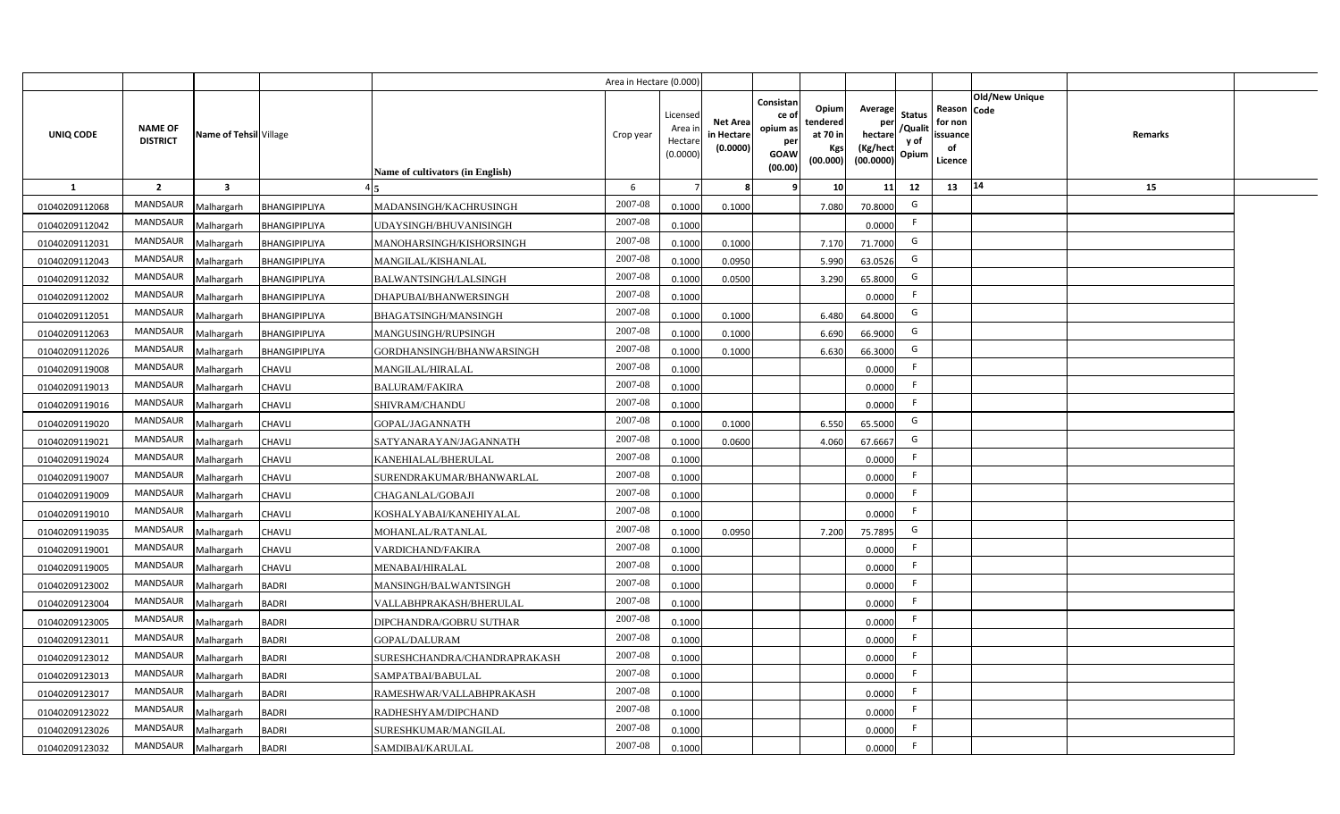|                  |                                   |                         |               |                                  | Area in Hectare (0.000 |                                          |                                          |                                                                 |                                                  |                                                    |                                           |                                                     |                       |         |  |
|------------------|-----------------------------------|-------------------------|---------------|----------------------------------|------------------------|------------------------------------------|------------------------------------------|-----------------------------------------------------------------|--------------------------------------------------|----------------------------------------------------|-------------------------------------------|-----------------------------------------------------|-----------------------|---------|--|
| <b>UNIQ CODE</b> | <b>NAME OF</b><br><b>DISTRICT</b> | Name of Tehsil Village  |               | Name of cultivators (in English) | Crop year              | Licensed<br>Area i<br>Hectar<br>(0.0000) | <b>Net Area</b><br>in Hectar<br>(0.0000) | Consistan<br>ce of<br>opium as<br>per<br><b>GOAW</b><br>(00.00) | Opium<br>tendered<br>at 70 in<br>Kgs<br>(00.000) | Average<br>per<br>hectare<br>(Kg/hect<br>(00.0000) | <b>Status</b><br>/Qualit<br>y of<br>Opium | Reason Code<br>for non<br>issuance<br>of<br>Licence | <b>Old/New Unique</b> | Remarks |  |
| $\mathbf{1}$     | $\overline{2}$                    | $\overline{\mathbf{3}}$ |               |                                  | 6                      |                                          |                                          | 9                                                               | 10 <sup>1</sup>                                  | 11                                                 | 12                                        | 13                                                  | 14                    | 15      |  |
| 01040209112068   | MANDSAUR                          | Malhargarh              | BHANGIPIPLIYA | MADANSINGH/KACHRUSINGH           | 2007-08                | 0.1000                                   | 0.1000                                   |                                                                 | 7.080                                            | 70.8000                                            | G                                         |                                                     |                       |         |  |
| 01040209112042   | MANDSAUR                          | Malhargarh              | BHANGIPIPLIYA | UDAYSINGH/BHUVANISINGH           | 2007-08                | 0.1000                                   |                                          |                                                                 |                                                  | 0.0000                                             | -F                                        |                                                     |                       |         |  |
| 01040209112031   | MANDSAUR                          | Malhargarh              | BHANGIPIPLIYA | MANOHARSINGH/KISHORSINGH         | 2007-08                | 0.1000                                   | 0.1000                                   |                                                                 | 7.170                                            | 71.7000                                            | G                                         |                                                     |                       |         |  |
| 01040209112043   | <b>MANDSAUR</b>                   | Malhargarh              | BHANGIPIPLIYA | MANGILAL/KISHANLAL               | 2007-08                | 0.100                                    | 0.0950                                   |                                                                 | 5.990                                            | 63.0526                                            | G                                         |                                                     |                       |         |  |
| 01040209112032   | MANDSAUR                          | Malhargarh              | BHANGIPIPLIYA | BALWANTSINGH/LALSINGH            | 2007-08                | 0.1000                                   | 0.0500                                   |                                                                 | 3.290                                            | 65.8000                                            | G                                         |                                                     |                       |         |  |
| 01040209112002   | MANDSAUR                          | Malhargarh              | BHANGIPIPLIYA | DHAPUBAI/BHANWERSINGH            | 2007-08                | 0.1000                                   |                                          |                                                                 |                                                  | 0.0000                                             | F.                                        |                                                     |                       |         |  |
| 01040209112051   | MANDSAUR                          | Malhargarh              | BHANGIPIPLIYA | BHAGATSINGH/MANSINGH             | 2007-08                | 0.100                                    | 0.1000                                   |                                                                 | 6.480                                            | 64.8000                                            | G                                         |                                                     |                       |         |  |
| 01040209112063   | MANDSAUR                          | Malhargarh              | BHANGIPIPLIYA | MANGUSINGH/RUPSINGH              | 2007-08                | 0.1000                                   | 0.1000                                   |                                                                 | 6.690                                            | 66.9000                                            | G                                         |                                                     |                       |         |  |
| 01040209112026   | MANDSAUR                          | Malhargarh              | BHANGIPIPLIYA | GORDHANSINGH/BHANWARSINGH        | 2007-08                | 0.100                                    | 0.1000                                   |                                                                 | 6.630                                            | 66.3000                                            | G                                         |                                                     |                       |         |  |
| 01040209119008   | MANDSAUR                          | Malhargarh              | <b>CHAVLI</b> | MANGILAL/HIRALAL                 | 2007-08                | 0.1000                                   |                                          |                                                                 |                                                  | 0.0000                                             | F.                                        |                                                     |                       |         |  |
| 01040209119013   | <b>MANDSAUR</b>                   | Malhargarh              | <b>CHAVLI</b> | <b>BALURAM/FAKIRA</b>            | 2007-08                | 0.1000                                   |                                          |                                                                 |                                                  | 0.0000                                             | -F                                        |                                                     |                       |         |  |
| 01040209119016   | <b>MANDSAUR</b>                   | Malhargarh              | <b>CHAVLI</b> | SHIVRAM/CHANDU                   | 2007-08                | 0.1000                                   |                                          |                                                                 |                                                  | 0.0000                                             | -F                                        |                                                     |                       |         |  |
| 01040209119020   | <b>MANDSAUR</b>                   | Malhargarh              | <b>CHAVLI</b> | <b>GOPAL/JAGANNATH</b>           | 2007-08                | 0.1000                                   | 0.1000                                   |                                                                 | 6.550                                            | 65.5000                                            | G                                         |                                                     |                       |         |  |
| 01040209119021   | <b>MANDSAUR</b>                   | Malhargarh              | <b>CHAVLI</b> | SATYANARAYAN/JAGANNATH           | 2007-08                | 0.1000                                   | 0.0600                                   |                                                                 | 4.060                                            | 67.6667                                            | G                                         |                                                     |                       |         |  |
| 01040209119024   | <b>MANDSAUR</b>                   | Malhargarh              | <b>CHAVLI</b> | KANEHIALAL/BHERULAL              | 2007-08                | 0.1000                                   |                                          |                                                                 |                                                  | 0.0000                                             | F                                         |                                                     |                       |         |  |
| 01040209119007   | <b>MANDSAUR</b>                   | Malhargarh              | <b>CHAVLI</b> | SURENDRAKUMAR/BHANWARLAL         | 2007-08                | 0.1000                                   |                                          |                                                                 |                                                  | 0.0000                                             | F.                                        |                                                     |                       |         |  |
| 01040209119009   | <b>MANDSAUR</b>                   | Malhargarh              | <b>CHAVLI</b> | CHAGANLAL/GOBAJI                 | 2007-08                | 0.1000                                   |                                          |                                                                 |                                                  | 0.0000                                             | -F                                        |                                                     |                       |         |  |
| 01040209119010   | <b>MANDSAUR</b>                   | Malhargarh              | <b>CHAVLI</b> | KOSHALYABAI/KANEHIYALAL          | 2007-08                | 0.1000                                   |                                          |                                                                 |                                                  | 0.0000                                             | F.                                        |                                                     |                       |         |  |
| 01040209119035   | <b>MANDSAUR</b>                   | Malhargarh              | <b>CHAVLI</b> | MOHANLAL/RATANLAL                | 2007-08                | 0.1000                                   | 0.0950                                   |                                                                 | 7.200                                            | 75.7895                                            | G                                         |                                                     |                       |         |  |
| 01040209119001   | <b>MANDSAUR</b>                   | Malhargarh              | <b>CHAVLI</b> | VARDICHAND/FAKIRA                | 2007-08                | 0.100                                    |                                          |                                                                 |                                                  | 0.0000                                             | F.                                        |                                                     |                       |         |  |
| 01040209119005   | MANDSAUR                          | Malhargarh              | <b>CHAVLI</b> | MENABAI/HIRALAL                  | $2007 - 08$            | 0.1000                                   |                                          |                                                                 |                                                  | 0.0000                                             | E                                         |                                                     |                       |         |  |
| 01040209123002   | MANDSAUR                          | Malhargarh              | <b>BADRI</b>  | MANSINGH/BALWANTSINGH            | 2007-08                | 0.1000                                   |                                          |                                                                 |                                                  | 0.0000                                             | -F                                        |                                                     |                       |         |  |
| 01040209123004   | <b>MANDSAUR</b>                   | Malhargarh              | <b>BADRI</b>  | VALLABHPRAKASH/BHERULAL          | 2007-08                | 0.1000                                   |                                          |                                                                 |                                                  | 0.0000                                             | -F                                        |                                                     |                       |         |  |
| 01040209123005   | MANDSAUR                          | Malhargarh              | <b>BADRI</b>  | DIPCHANDRA/GOBRU SUTHAR          | 2007-08                | 0.1000                                   |                                          |                                                                 |                                                  | 0.0000                                             | E                                         |                                                     |                       |         |  |
| 01040209123011   | MANDSAUR                          | Malhargarh              | <b>BADRI</b>  | GOPAL/DALURAM                    | 2007-08                | 0.1000                                   |                                          |                                                                 |                                                  | 0.0000                                             | F                                         |                                                     |                       |         |  |
| 01040209123012   | MANDSAUR                          | Malhargarh              | <b>BADRI</b>  | SURESHCHANDRA/CHANDRAPRAKASH     | 2007-08                | 0.1000                                   |                                          |                                                                 |                                                  | 0.0000                                             | -F                                        |                                                     |                       |         |  |
| 01040209123013   | MANDSAUR                          | Malhargarh              | <b>BADRI</b>  | SAMPATBAI/BABULAL                | 2007-08                | 0.1000                                   |                                          |                                                                 |                                                  | 0.0000                                             | E                                         |                                                     |                       |         |  |
| 01040209123017   | MANDSAUR                          | Malhargarh              | <b>BADRI</b>  | RAMESHWAR/VALLABHPRAKASH         | 2007-08                | 0.1000                                   |                                          |                                                                 |                                                  | 0.0000                                             | E                                         |                                                     |                       |         |  |
| 01040209123022   | MANDSAUR                          | Malhargarh              | <b>BADRI</b>  | RADHESHYAM/DIPCHAND              | 2007-08                | 0.1000                                   |                                          |                                                                 |                                                  | 0.0000                                             | E                                         |                                                     |                       |         |  |
| 01040209123026   | MANDSAUR                          | Malhargarh              | <b>BADRI</b>  | SURESHKUMAR/MANGILAL             | 2007-08                | 0.1000                                   |                                          |                                                                 |                                                  | 0.0000                                             | -F                                        |                                                     |                       |         |  |
| 01040209123032   | MANDSAUR                          | Malhargarh              | <b>BADRI</b>  | SAMDIBAI/KARULAL                 | 2007-08                | 0.1000                                   |                                          |                                                                 |                                                  | 0.0000                                             | -F                                        |                                                     |                       |         |  |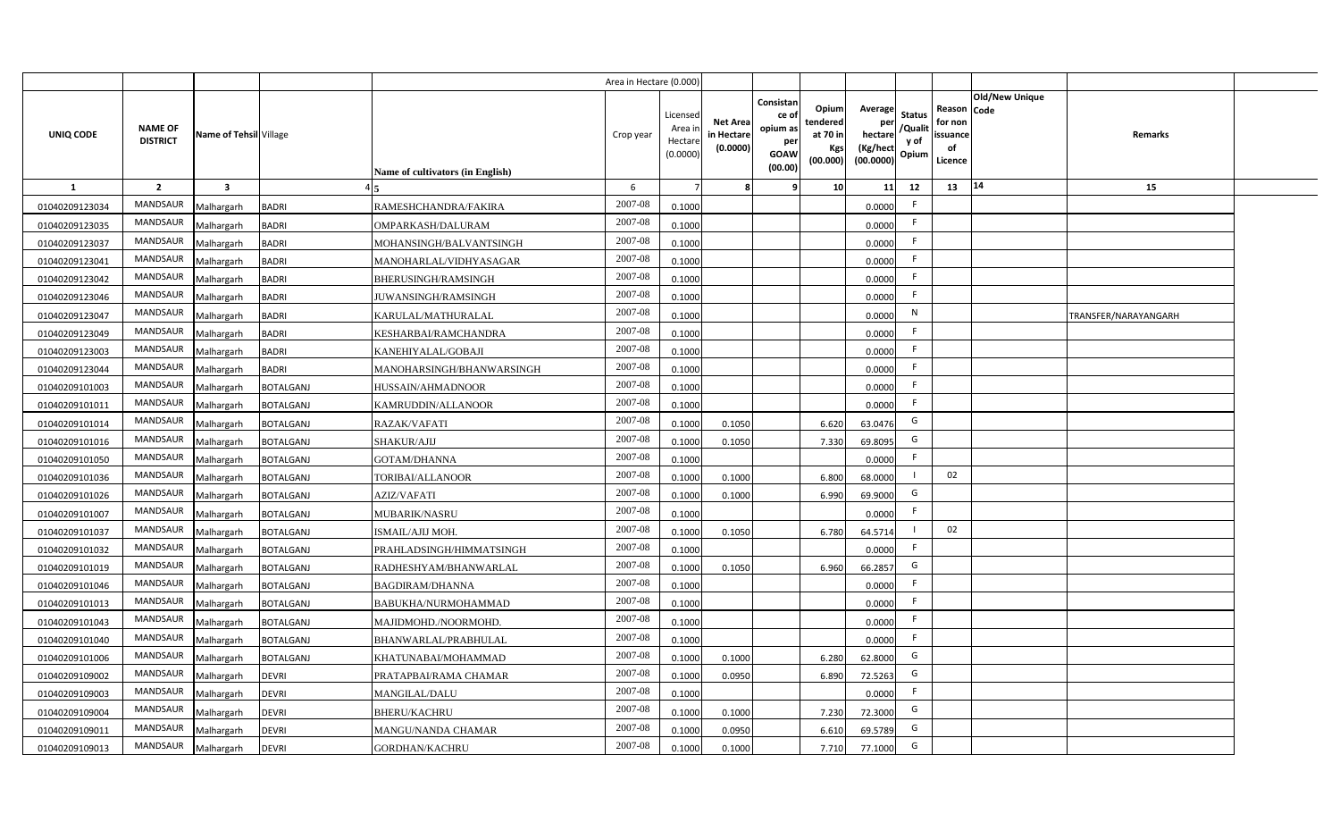|                |                                   |                         |                  |                                  | Area in Hectare (0.000) |                                          |                                           |                                                         |                                                          |                                                            |                                  |                                                     |                       |                      |  |
|----------------|-----------------------------------|-------------------------|------------------|----------------------------------|-------------------------|------------------------------------------|-------------------------------------------|---------------------------------------------------------|----------------------------------------------------------|------------------------------------------------------------|----------------------------------|-----------------------------------------------------|-----------------------|----------------------|--|
| UNIQ CODE      | <b>NAME OF</b><br><b>DISTRICT</b> | Name of Tehsil Village  |                  | Name of cultivators (in English) | Crop year               | Licensed<br>Area i<br>Hectar<br>(0.0000) | <b>Net Area</b><br>in Hectare<br>(0.0000) | Consistan<br>ce o<br>opium as<br>per<br>GOAW<br>(00.00) | Opiuml<br>tendered<br>at 70 in<br><b>Kgs</b><br>(00.000) | Average<br>per<br>hectare<br>(Kg/hect<br>$(00.0000)$ Opium | <b>Status</b><br>/Qualit<br>y of | Reason Code<br>for non<br>issuance<br>of<br>Licence | <b>Old/New Unique</b> | Remarks              |  |
| 1              | $\overline{2}$                    | $\overline{\mathbf{3}}$ |                  |                                  | 6                       |                                          |                                           |                                                         | 10                                                       | 11                                                         | 12                               | 13                                                  | 14                    | 15                   |  |
| 01040209123034 | <b>MANDSAUR</b>                   | Malhargarh              | BADRI            | RAMESHCHANDRA/FAKIRA             | 2007-08                 | 0.1000                                   |                                           |                                                         |                                                          | 0.0000                                                     | F.                               |                                                     |                       |                      |  |
| 01040209123035 | <b>MANDSAUR</b>                   | Malhargarh              | <b>BADRI</b>     | OMPARKASH/DALURAM                | 2007-08                 | 0.1000                                   |                                           |                                                         |                                                          | 0.0000                                                     | F.                               |                                                     |                       |                      |  |
| 01040209123037 | <b>MANDSAUR</b>                   | Malhargarh              | BADRI            | MOHANSINGH/BALVANTSINGH          | 2007-08                 | 0.1000                                   |                                           |                                                         |                                                          | 0.0000                                                     | F.                               |                                                     |                       |                      |  |
| 01040209123041 | <b>MANDSAUR</b>                   | Malhargarh              | BADRI            | MANOHARLAL/VIDHYASAGAR           | 2007-08                 | 0.1000                                   |                                           |                                                         |                                                          | 0.0000                                                     | F.                               |                                                     |                       |                      |  |
| 01040209123042 | MANDSAUR                          | Malhargarh              | BADRI            | BHERUSINGH/RAMSINGH              | 2007-08                 | 0.1000                                   |                                           |                                                         |                                                          | 0.0000                                                     | F.                               |                                                     |                       |                      |  |
| 01040209123046 | <b>MANDSAUR</b>                   | Malhargarh              | BADRI            | <b>JUWANSINGH/RAMSINGH</b>       | 2007-08                 | 0.1000                                   |                                           |                                                         |                                                          | 0.0000                                                     | F.                               |                                                     |                       |                      |  |
| 01040209123047 | <b>MANDSAUR</b>                   | Malhargarh              | BADRI            | KARULAL/MATHURALAL               | 2007-08                 | 0.1000                                   |                                           |                                                         |                                                          | 0.0000                                                     | N                                |                                                     |                       | TRANSFER/NARAYANGARH |  |
| 01040209123049 | MANDSAUR                          | Malhargarh              | BADRI            | KESHARBAI/RAMCHANDRA             | 2007-08                 | 0.1000                                   |                                           |                                                         |                                                          | 0.0000                                                     | F.                               |                                                     |                       |                      |  |
| 01040209123003 | <b>MANDSAUR</b>                   | Malhargarh              | BADRI            | KANEHIYALAL/GOBAJI               | 2007-08                 | 0.1000                                   |                                           |                                                         |                                                          | 0.0000                                                     | F                                |                                                     |                       |                      |  |
| 01040209123044 | <b>MANDSAUR</b>                   | Malhargarh              | <b>BADRI</b>     | MANOHARSINGH/BHANWARSINGH        | 2007-08                 | 0.1000                                   |                                           |                                                         |                                                          | 0.0000                                                     | F                                |                                                     |                       |                      |  |
| 01040209101003 | MANDSAUR                          | Malhargarh              | <b>BOTALGANJ</b> | HUSSAIN/AHMADNOOR                | 2007-08                 | 0.1000                                   |                                           |                                                         |                                                          | 0.0000                                                     | F.                               |                                                     |                       |                      |  |
| 01040209101011 | <b>MANDSAUR</b>                   | Malhargarh              | BOTALGANJ        | KAMRUDDIN/ALLANOOR               | 2007-08                 | 0.1000                                   |                                           |                                                         |                                                          | 0.0000                                                     | F.                               |                                                     |                       |                      |  |
| 01040209101014 | MANDSAUR                          | Malhargarh              | <b>BOTALGANJ</b> | RAZAK/VAFATI                     | 2007-08                 | 0.1000                                   | 0.1050                                    |                                                         | 6.620                                                    | 63.0476                                                    | G                                |                                                     |                       |                      |  |
| 01040209101016 | MANDSAUR                          | Malhargarh              | <b>BOTALGANJ</b> | SHAKUR/AJIJ                      | 2007-08                 | 0.1000                                   | 0.1050                                    |                                                         | 7.330                                                    | 69.8095                                                    | G                                |                                                     |                       |                      |  |
| 01040209101050 | MANDSAUR                          | Malhargarh              | <b>BOTALGANJ</b> | GOTAM/DHANNA                     | 2007-08                 | 0.1000                                   |                                           |                                                         |                                                          | 0.0000                                                     | F.                               |                                                     |                       |                      |  |
| 01040209101036 | MANDSAUR                          | Malhargarh              | <b>BOTALGANJ</b> | TORIBAI/ALLANOOR                 | 2007-08                 | 0.1000                                   | 0.1000                                    |                                                         | 6.800                                                    | 68.0000                                                    |                                  | 02                                                  |                       |                      |  |
| 01040209101026 | <b>MANDSAUR</b>                   | Malhargarh              | BOTALGANJ        | AZIZ/VAFATI                      | 2007-08                 | 0.1000                                   | 0.1000                                    |                                                         | 6.990                                                    | 69.9000                                                    | G                                |                                                     |                       |                      |  |
| 01040209101007 | <b>MANDSAUR</b>                   | Malhargarh              | BOTALGANJ        | <b>MUBARIK/NASRU</b>             | 2007-08                 | 0.1000                                   |                                           |                                                         |                                                          | 0.0000                                                     | F.                               |                                                     |                       |                      |  |
| 01040209101037 | MANDSAUR                          | Malhargarh              | <b>BOTALGANJ</b> | ISMAIL/AJIJ MOH.                 | 2007-08                 | 0.1000                                   | 0.1050                                    |                                                         | 6.780                                                    | 64.5714                                                    |                                  | 02                                                  |                       |                      |  |
| 01040209101032 | <b>MANDSAUR</b>                   | Malhargarh              | BOTALGANJ        | PRAHLADSINGH/HIMMATSINGH         | 2007-08                 | 0.1000                                   |                                           |                                                         |                                                          | 0.0000                                                     | F.                               |                                                     |                       |                      |  |
| 01040209101019 | <b>MANDSAUR</b>                   | Malhargarh              | BOTALGANJ        | RADHESHYAM/BHANWARLAL            | 2007-08                 | 0.1000                                   | 0.1050                                    |                                                         | 6.960                                                    | 66.2857                                                    | G                                |                                                     |                       |                      |  |
| 01040209101046 | <b>MANDSAUR</b>                   | Malhargarh              | BOTALGANJ        | <b>BAGDIRAM/DHANNA</b>           | 2007-08                 | 0.1000                                   |                                           |                                                         |                                                          | 0.0000                                                     | F.                               |                                                     |                       |                      |  |
| 01040209101013 | <b>MANDSAUR</b>                   | Malhargarh              | BOTALGANJ        | BABUKHA/NURMOHAMMAD              | 2007-08                 | 0.1000                                   |                                           |                                                         |                                                          | 0.0000                                                     | F.                               |                                                     |                       |                      |  |
| 01040209101043 | MANDSAUR                          | Malhargarh              | <b>BOTALGANJ</b> | MAJIDMOHD./NOORMOHD.             | 2007-08                 | 0.1000                                   |                                           |                                                         |                                                          | 0.0000                                                     | F.                               |                                                     |                       |                      |  |
| 01040209101040 | MANDSAUR                          | Malhargarh              | <b>BOTALGANJ</b> | BHANWARLAL/PRABHULAL             | 2007-08                 | 0.1000                                   |                                           |                                                         |                                                          | 0.0000                                                     | F.                               |                                                     |                       |                      |  |
| 01040209101006 | MANDSAUR                          | Malhargarh              | BOTALGANJ        | KHATUNABAI/MOHAMMAD              | 2007-08                 | 0.100                                    | 0.1000                                    |                                                         | 6.280                                                    | 62.8000                                                    | G                                |                                                     |                       |                      |  |
| 01040209109002 | MANDSAUR                          | Malhargarh              | devri            | PRATAPBAI/RAMA CHAMAR            | 2007-08                 | 0.100                                    | 0.0950                                    |                                                         | 6.890                                                    | 72.5263                                                    | G                                |                                                     |                       |                      |  |
| 01040209109003 | <b>MANDSAUR</b>                   | Malhargarh              | DEVRI            | MANGILAL/DALU                    | 2007-08                 | 0.1000                                   |                                           |                                                         |                                                          | 0.0000                                                     | F.                               |                                                     |                       |                      |  |
| 01040209109004 | <b>MANDSAUR</b>                   | Malhargarh              | devri            | <b>BHERU/KACHRU</b>              | 2007-08                 | 0.1000                                   | 0.1000                                    |                                                         | 7.230                                                    | 72.3000                                                    | G                                |                                                     |                       |                      |  |
| 01040209109011 | <b>MANDSAUR</b>                   | Malhargarh              | DEVRI            | MANGU/NANDA CHAMAR               | 2007-08                 | 0.1000                                   | 0.0950                                    |                                                         | 6.610                                                    | 69.5789                                                    | G                                |                                                     |                       |                      |  |
| 01040209109013 | <b>MANDSAUR</b>                   | Malhargarh              | <b>DEVRI</b>     | <b>GORDHAN/KACHRU</b>            | 2007-08                 | 0.1000                                   | 0.1000                                    |                                                         | 7.710                                                    | 77.1000                                                    | G                                |                                                     |                       |                      |  |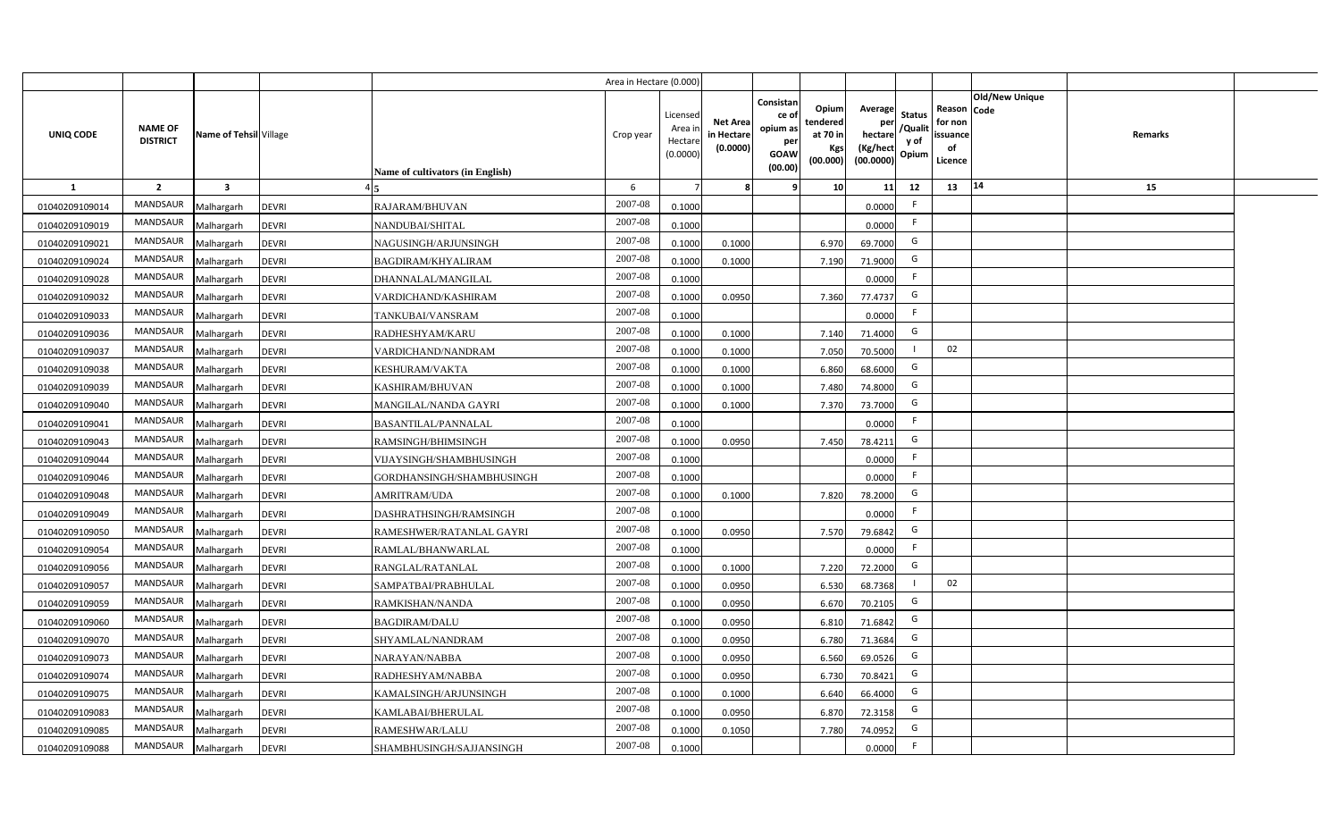|                |                                   |                         |              |                                  | Area in Hectare (0.000) |                                          |                                           |                                                         |                                                  |                                                    |                                           |                                                                       |         |  |
|----------------|-----------------------------------|-------------------------|--------------|----------------------------------|-------------------------|------------------------------------------|-------------------------------------------|---------------------------------------------------------|--------------------------------------------------|----------------------------------------------------|-------------------------------------------|-----------------------------------------------------------------------|---------|--|
| UNIQ CODE      | <b>NAME OF</b><br><b>DISTRICT</b> | Name of Tehsil Village  |              | Name of cultivators (in English) | Crop year               | Licensec<br>Area i<br>Hectar<br>(0.0000) | <b>Net Area</b><br>in Hectare<br>(0.0000) | Consistan<br>ce o<br>opium as<br>per<br>GOAW<br>(00.00) | Opium<br>tendered<br>at 70 in<br>Kgs<br>(00.000) | Average<br>per<br>hectare<br>(Kg/hect<br>(00.0000) | <b>Status</b><br>/Qualit<br>y of<br>Opium | Old/New Unique<br>Reason Code<br>for non<br>issuance<br>of<br>Licence | Remarks |  |
| $\mathbf{1}$   | $\overline{2}$                    | $\overline{\mathbf{3}}$ |              |                                  | 6                       |                                          |                                           |                                                         | 10                                               | 11                                                 | 12                                        | 14<br>13                                                              | 15      |  |
| 01040209109014 | MANDSAUR                          | Malhargarh              | <b>DEVRI</b> | RAJARAM/BHUVAN                   | 2007-08                 | 0.1000                                   |                                           |                                                         |                                                  | 0.0000                                             | F.                                        |                                                                       |         |  |
| 01040209109019 | MANDSAUR                          | Malhargarh              | <b>DEVRI</b> | NANDUBAI/SHITAL                  | 2007-08                 | 0.1000                                   |                                           |                                                         |                                                  | 0.0000                                             | F.                                        |                                                                       |         |  |
| 01040209109021 | MANDSAUR                          | Malhargarh              | <b>DEVRI</b> | NAGUSINGH/ARJUNSINGH             | 2007-08                 | 0.1000                                   | 0.1000                                    |                                                         | 6.970                                            | 69.7000                                            | G                                         |                                                                       |         |  |
| 01040209109024 | MANDSAUR                          | Malhargarh              | <b>DEVRI</b> | <b>BAGDIRAM/KHYALIRAM</b>        | 2007-08                 | 0.100                                    | 0.1000                                    |                                                         | 7.190                                            | 71.9000                                            | G                                         |                                                                       |         |  |
| 01040209109028 | MANDSAUR                          | Malhargarh              | <b>DEVRI</b> | DHANNALAL/MANGILAL               | 2007-08                 | 0.1000                                   |                                           |                                                         |                                                  | 0.0000                                             | -F                                        |                                                                       |         |  |
| 01040209109032 | MANDSAUR                          | Malhargarh              | <b>DEVRI</b> | VARDICHAND/KASHIRAM              | 2007-08                 | 0.1000                                   | 0.0950                                    |                                                         | 7.360                                            | 77.4737                                            | G                                         |                                                                       |         |  |
| 01040209109033 | <b>MANDSAUR</b>                   | Malhargarh              | <b>DEVRI</b> | TANKUBAI/VANSRAM                 | 2007-08                 | 0.1000                                   |                                           |                                                         |                                                  | 0.0000                                             | F.                                        |                                                                       |         |  |
| 01040209109036 | MANDSAUR                          | Malhargarh              | <b>DEVRI</b> | RADHESHYAM/KARU                  | 2007-08                 | 0.1000                                   | 0.1000                                    |                                                         | 7.140                                            | 71.4000                                            | G                                         |                                                                       |         |  |
| 01040209109037 | <b>MANDSAUR</b>                   | Malhargarh              | <b>DEVRI</b> | VARDICHAND/NANDRAM               | 2007-08                 | 0.1000                                   | 0.1000                                    |                                                         | 7.050                                            | 70.5000                                            |                                           | 02                                                                    |         |  |
| 01040209109038 | <b>MANDSAUR</b>                   | Malhargarh              | <b>DEVRI</b> | KESHURAM/VAKTA                   | 2007-08                 | 0.1000                                   | 0.1000                                    |                                                         | 6.860                                            | 68.6000                                            | G                                         |                                                                       |         |  |
| 01040209109039 | MANDSAUR                          | Malhargarh              | <b>DEVRI</b> | KASHIRAM/BHUVAN                  | 2007-08                 | 0.1000                                   | 0.1000                                    |                                                         | 7.480                                            | 74.8000                                            | G                                         |                                                                       |         |  |
| 01040209109040 | MANDSAUR                          | Malhargarh              | <b>DEVRI</b> | MANGILAL/NANDA GAYRI             | 2007-08                 | 0.1000                                   | 0.1000                                    |                                                         | 7.370                                            | 73.7000                                            | G                                         |                                                                       |         |  |
| 01040209109041 | MANDSAUR                          | Malhargarh              | <b>DEVRI</b> | BASANTILAL/PANNALAL              | $2007 - 08$             | 0.1000                                   |                                           |                                                         |                                                  | 0.0000                                             | -F                                        |                                                                       |         |  |
| 01040209109043 | MANDSAUR                          | Malhargarh              | <b>DEVRI</b> | RAMSINGH/BHIMSINGH               | 2007-08                 | 0.1000                                   | 0.0950                                    |                                                         | 7.450                                            | 78.4211                                            | G                                         |                                                                       |         |  |
| 01040209109044 | MANDSAUR                          | Malhargarh              | <b>DEVRI</b> | VIJAYSINGH/SHAMBHUSINGH          | 2007-08                 | 0.1000                                   |                                           |                                                         |                                                  | 0.0000                                             | F.                                        |                                                                       |         |  |
| 01040209109046 | MANDSAUR                          | Malhargarh              | <b>DEVRI</b> | GORDHANSINGH/SHAMBHUSINGH        | 2007-08                 | 0.1000                                   |                                           |                                                         |                                                  | 0.0000                                             | F.                                        |                                                                       |         |  |
| 01040209109048 | MANDSAUR                          | Malhargarh              | <b>DEVRI</b> | AMRITRAM/UDA                     | 2007-08                 | 0.1000                                   | 0.1000                                    |                                                         | 7.820                                            | 78.2000                                            | G                                         |                                                                       |         |  |
| 01040209109049 | MANDSAUR                          | Malhargarh              | <b>DEVRI</b> | DASHRATHSINGH/RAMSINGH           | 2007-08                 | 0.1000                                   |                                           |                                                         |                                                  | 0.0000                                             | F.                                        |                                                                       |         |  |
| 01040209109050 | <b>MANDSAUR</b>                   | Malhargarh              | <b>DEVRI</b> | RAMESHWER/RATANLAL GAYRI         | 2007-08                 | 0.100                                    | 0.0950                                    |                                                         | 7.570                                            | 79.6842                                            | G                                         |                                                                       |         |  |
| 01040209109054 | MANDSAUR                          | Malhargarh              | <b>DEVRI</b> | RAMLAL/BHANWARLAL                | 2007-08                 | 0.1000                                   |                                           |                                                         |                                                  | 0.0000                                             | F.                                        |                                                                       |         |  |
| 01040209109056 | MANDSAUR                          | Malhargarh              | <b>DEVRI</b> | RANGLAL/RATANLAL                 | 2007-08                 | 0.1000                                   | 0.1000                                    |                                                         | 7.220                                            | 72.2000                                            | G                                         |                                                                       |         |  |
| 01040209109057 | <b>MANDSAUR</b>                   | Malhargarh              | <b>DEVRI</b> | SAMPATBAI/PRABHULAL              | 2007-08                 | 0.1000                                   | 0.0950                                    |                                                         | 6.530                                            | 68.7368                                            |                                           | 02                                                                    |         |  |
| 01040209109059 | <b>MANDSAUR</b>                   | Malhargarh              | <b>DEVRI</b> | RAMKISHAN/NANDA                  | 2007-08                 | 0.1000                                   | 0.0950                                    |                                                         | 6.670                                            | 70.2105                                            | G                                         |                                                                       |         |  |
| 01040209109060 | <b>MANDSAUR</b>                   | Malhargarh              | <b>DEVRI</b> | BAGDIRAM/DALU                    | 2007-08                 | 0.1000                                   | 0.0950                                    |                                                         | 6.810                                            | 71.6842                                            | G                                         |                                                                       |         |  |
| 01040209109070 | <b>MANDSAUR</b>                   | Malhargarh              | <b>DEVRI</b> | SHYAMLAL/NANDRAM                 | 2007-08                 | 0.1000                                   | 0.0950                                    |                                                         | 6.780                                            | 71.3684                                            | G                                         |                                                                       |         |  |
| 01040209109073 | MANDSAUR                          | Malhargarh              | <b>DEVRI</b> | NARAYAN/NABBA                    | 2007-08                 | 0.1000                                   | 0.0950                                    |                                                         | 6.560                                            | 69.0526                                            | G                                         |                                                                       |         |  |
| 01040209109074 | <b>MANDSAUR</b>                   | Malhargarh              | <b>DEVRI</b> | RADHESHYAM/NABBA                 | 2007-08                 | 0.1000                                   | 0.0950                                    |                                                         | 6.730                                            | 70.8421                                            | G                                         |                                                                       |         |  |
| 01040209109075 | MANDSAUR                          | Malhargarh              | <b>DEVRI</b> | KAMALSINGH/ARJUNSINGH            | 2007-08                 | 0.1000                                   | 0.1000                                    |                                                         | 6.640                                            | 66.4000                                            | G                                         |                                                                       |         |  |
| 01040209109083 | MANDSAUR                          | Malhargarh              | <b>DEVRI</b> | KAMLABAI/BHERULAL                | 2007-08                 | 0.1000                                   | 0.0950                                    |                                                         | 6.870                                            | 72.3158                                            | G                                         |                                                                       |         |  |
| 01040209109085 | MANDSAUR                          | Malhargarh              | <b>DEVRI</b> | RAMESHWAR/LALU                   | 2007-08                 | 0.1000                                   | 0.1050                                    |                                                         | 7.780                                            | 74.0952                                            | G                                         |                                                                       |         |  |
| 01040209109088 | MANDSAUR                          | Malhargarh              | <b>DEVRI</b> | SHAMBHUSINGH/SAJJANSINGH         | 2007-08                 | 0.1000                                   |                                           |                                                         |                                                  | 0.0000                                             | F.                                        |                                                                       |         |  |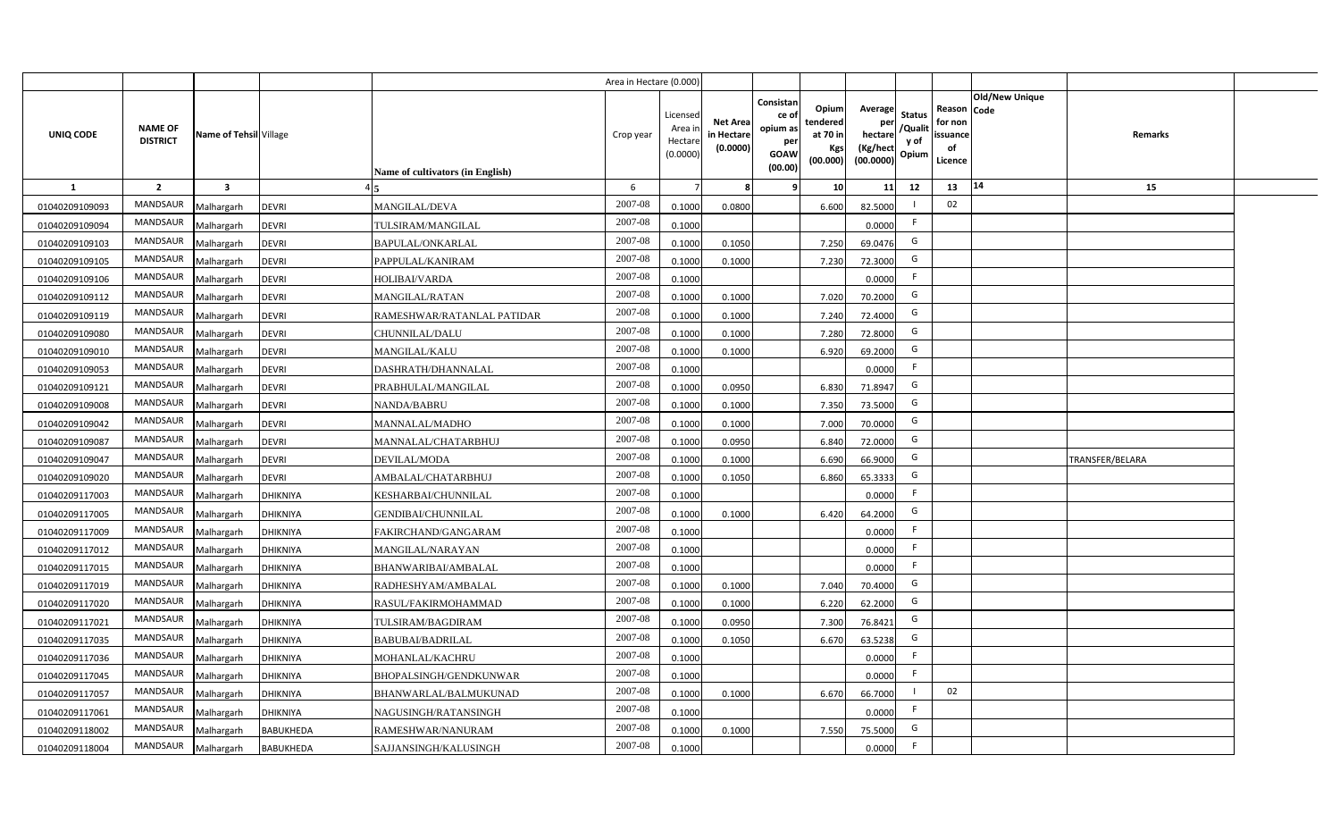|                  |                                   |                         |                  |                                  | Area in Hectare (0.000 |                                          |                                          |                                                                 |                                                  |                                                    |                                           |                                                     |                       |                 |  |
|------------------|-----------------------------------|-------------------------|------------------|----------------------------------|------------------------|------------------------------------------|------------------------------------------|-----------------------------------------------------------------|--------------------------------------------------|----------------------------------------------------|-------------------------------------------|-----------------------------------------------------|-----------------------|-----------------|--|
| <b>UNIQ CODE</b> | <b>NAME OF</b><br><b>DISTRICT</b> | Name of Tehsil Village  |                  | Name of cultivators (in English) | Crop year              | Licensed<br>Area i<br>Hectar<br>(0.0000) | <b>Net Area</b><br>in Hectar<br>(0.0000) | Consistan<br>ce of<br>opium as<br>per<br><b>GOAW</b><br>(00.00) | Opium<br>tendered<br>at 70 in<br>Kgs<br>(00.000) | Average<br>per<br>hectare<br>(Kg/hect<br>(00.0000) | <b>Status</b><br>/Qualit<br>y of<br>Opium | Reason Code<br>for non<br>issuance<br>of<br>Licence | <b>Old/New Unique</b> | Remarks         |  |
| $\mathbf{1}$     | $\overline{2}$                    | $\overline{\mathbf{3}}$ |                  |                                  | 6                      |                                          |                                          | 9                                                               | 10 <sup>1</sup>                                  | 11                                                 | 12                                        | 13                                                  | 14                    | 15              |  |
| 01040209109093   | MANDSAUR                          | Malhargarh              | <b>DEVRI</b>     | <b>MANGILAL/DEVA</b>             | 2007-08                | 0.1000                                   | 0.0800                                   |                                                                 | 6.600                                            | 82.5000                                            |                                           | 02                                                  |                       |                 |  |
| 01040209109094   | MANDSAUR                          | Malhargarh              | <b>DEVRI</b>     | TULSIRAM/MANGILAL                | 2007-08                | 0.1000                                   |                                          |                                                                 |                                                  | 0.0000                                             | F.                                        |                                                     |                       |                 |  |
| 01040209109103   | MANDSAUR                          | Malhargarh              | <b>DEVRI</b>     | <b>BAPULAL/ONKARLAL</b>          | 2007-08                | 0.1000                                   | 0.1050                                   |                                                                 | 7.250                                            | 69.0476                                            | G                                         |                                                     |                       |                 |  |
| 01040209109105   | <b>MANDSAUR</b>                   | Malhargarh              | <b>DEVRI</b>     | PAPPULAL/KANIRAM                 | 2007-08                | 0.100                                    | 0.1000                                   |                                                                 | 7.230                                            | 72.3000                                            | G                                         |                                                     |                       |                 |  |
| 01040209109106   | MANDSAUR                          | Malhargarh              | <b>DEVRI</b>     | HOLIBAI/VARDA                    | 2007-08                | 0.1000                                   |                                          |                                                                 |                                                  | 0.0000                                             |                                           |                                                     |                       |                 |  |
| 01040209109112   | MANDSAUR                          | Malhargarh              | <b>DEVRI</b>     | <b>MANGILAL/RATAN</b>            | 2007-08                | 0.1000                                   | 0.1000                                   |                                                                 | 7.020                                            | 70.2000                                            | G                                         |                                                     |                       |                 |  |
| 01040209109119   | MANDSAUR                          | Malhargarh              | <b>DEVRI</b>     | RAMESHWAR/RATANLAL PATIDAR       | 2007-08                | 0.100                                    | 0.1000                                   |                                                                 | 7.240                                            | 72.4000                                            | G                                         |                                                     |                       |                 |  |
| 01040209109080   | MANDSAUR                          | Malhargarh              | <b>DEVRI</b>     | CHUNNILAL/DALU                   | 2007-08                | 0.1000                                   | 0.1000                                   |                                                                 | 7.280                                            | 72.8000                                            | G                                         |                                                     |                       |                 |  |
| 01040209109010   | MANDSAUR                          | Malhargarh              | <b>DEVRI</b>     | <b>MANGILAL/KALU</b>             | 2007-08                | 0.100                                    | 0.1000                                   |                                                                 | 6.920                                            | 69.2000                                            | G                                         |                                                     |                       |                 |  |
| 01040209109053   | MANDSAUR                          | Malhargarh              | <b>DEVRI</b>     | DASHRATH/DHANNALAL               | 2007-08                | 0.1000                                   |                                          |                                                                 |                                                  | 0.0000                                             | F.                                        |                                                     |                       |                 |  |
| 01040209109121   | <b>MANDSAUR</b>                   | Malhargarh              | <b>DEVRI</b>     | PRABHULAL/MANGILAL               | 2007-08                | 0.1000                                   | 0.0950                                   |                                                                 | 6.830                                            | 71.8947                                            | G                                         |                                                     |                       |                 |  |
| 01040209109008   | <b>MANDSAUR</b>                   | Malhargarh              | <b>DEVRI</b>     | <b>NANDA/BABRU</b>               | 2007-08                | 0.1000                                   | 0.1000                                   |                                                                 | 7.350                                            | 73.5000                                            | G                                         |                                                     |                       |                 |  |
| 01040209109042   | <b>MANDSAUR</b>                   | Malhargarh              | <b>DEVRI</b>     | <b>MANNALAL/MADHO</b>            | 2007-08                | 0.1000                                   | 0.1000                                   |                                                                 | 7.000                                            | 70.0000                                            | G                                         |                                                     |                       |                 |  |
| 01040209109087   | <b>MANDSAUR</b>                   | Malhargarh              | <b>DEVRI</b>     | MANNALAL/CHATARBHUJ              | 2007-08                | 0.1000                                   | 0.0950                                   |                                                                 | 6.840                                            | 72.0000                                            | G                                         |                                                     |                       |                 |  |
| 01040209109047   | <b>MANDSAUR</b>                   | Malhargarh              | <b>DEVRI</b>     | DEVILAL/MODA                     | 2007-08                | 0.1000                                   | 0.1000                                   |                                                                 | 6.690                                            | 66.9000                                            | G                                         |                                                     |                       | TRANSFER/BELARA |  |
| 01040209109020   | <b>MANDSAUR</b>                   | Malhargarh              | <b>DEVRI</b>     | AMBALAL/CHATARBHUJ               | 2007-08                | 0.100                                    | 0.1050                                   |                                                                 | 6.860                                            | 65.3333                                            | G                                         |                                                     |                       |                 |  |
| 01040209117003   | <b>MANDSAUR</b>                   | Malhargarh              | DHIKNIYA         | KESHARBAI/CHUNNILAL              | 2007-08                | 0.1000                                   |                                          |                                                                 |                                                  | 0.0000                                             | E                                         |                                                     |                       |                 |  |
| 01040209117005   | <b>MANDSAUR</b>                   | Malhargarh              | DHIKNIYA         | GENDIBAI/CHUNNILAL               | 2007-08                | 0.100                                    | 0.1000                                   |                                                                 | 6.420                                            | 64.2000                                            | G                                         |                                                     |                       |                 |  |
| 01040209117009   | <b>MANDSAUR</b>                   | Malhargarh              | <b>DHIKNIYA</b>  | FAKIRCHAND/GANGARAM              | 2007-08                | 0.1000                                   |                                          |                                                                 |                                                  | 0.0000                                             | -F                                        |                                                     |                       |                 |  |
| 01040209117012   | <b>MANDSAUR</b>                   | Malhargarh              | <b>DHIKNIYA</b>  | MANGILAL/NARAYAN                 | 2007-08                | 0.100                                    |                                          |                                                                 |                                                  | 0.0000                                             | F.                                        |                                                     |                       |                 |  |
| 01040209117015   | MANDSAUR                          | Malhargarh              | <b>DHIKNIYA</b>  | BHANWARIBAI/AMBALAL              | $2007 - 08$            | 0.1000                                   |                                          |                                                                 |                                                  | 0.0000                                             | E                                         |                                                     |                       |                 |  |
| 01040209117019   | MANDSAUR                          | Malhargarh              | DHIKNIYA         | RADHESHYAM/AMBALAL               | 2007-08                | 0.1000                                   | 0.1000                                   |                                                                 | 7.040                                            | 70.4000                                            | G                                         |                                                     |                       |                 |  |
| 01040209117020   | <b>MANDSAUR</b>                   | Malhargarh              | DHIKNIYA         | RASUL/FAKIRMOHAMMAD              | 2007-08                | 0.100                                    | 0.1000                                   |                                                                 | 6.220                                            | 62.2000                                            | G                                         |                                                     |                       |                 |  |
| 01040209117021   | MANDSAUR                          | Malhargarh              | <b>DHIKNIYA</b>  | TULSIRAM/BAGDIRAM                | 2007-08                | 0.1000                                   | 0.0950                                   |                                                                 | 7.300                                            | 76.8421                                            | G                                         |                                                     |                       |                 |  |
| 01040209117035   | MANDSAUR                          | Malhargarh              | <b>DHIKNIYA</b>  | BABUBAI/BADRILAL                 | 2007-08                | 0.1000                                   | 0.1050                                   |                                                                 | 6.670                                            | 63.5238                                            | G                                         |                                                     |                       |                 |  |
| 01040209117036   | MANDSAUR                          | Malhargarh              | <b>DHIKNIYA</b>  | MOHANLAL/KACHRU                  | 2007-08                | 0.1000                                   |                                          |                                                                 |                                                  | 0.0000                                             | F                                         |                                                     |                       |                 |  |
| 01040209117045   | MANDSAUR                          | Malhargarh              | DHIKNIYA         | BHOPALSINGH/GENDKUNWAR           | 2007-08                | 0.1000                                   |                                          |                                                                 |                                                  | 0.0000                                             | E                                         |                                                     |                       |                 |  |
| 01040209117057   | MANDSAUR                          | Malhargarh              | <b>DHIKNIYA</b>  | BHANWARLAL/BALMUKUNAD            | 2007-08                | 0.1000                                   | 0.1000                                   |                                                                 | 6.670                                            | 66.7000                                            |                                           | 02                                                  |                       |                 |  |
| 01040209117061   | MANDSAUR                          | Malhargarh              | <b>DHIKNIYA</b>  | NAGUSINGH/RATANSINGH             | 2007-08                | 0.1000                                   |                                          |                                                                 |                                                  | 0.0000                                             | E                                         |                                                     |                       |                 |  |
| 01040209118002   | MANDSAUR                          | Malhargarh              | <b>BABUKHEDA</b> | RAMESHWAR/NANURAM                | 2007-08                | 0.1000                                   | 0.1000                                   |                                                                 | 7.550                                            | 75.5000                                            | G                                         |                                                     |                       |                 |  |
| 01040209118004   | MANDSAUR                          | Malhargarh              | <b>BABUKHEDA</b> | SAJJANSINGH/KALUSINGH            | 2007-08                | 0.1000                                   |                                          |                                                                 |                                                  | 0.0000                                             | F                                         |                                                     |                       |                 |  |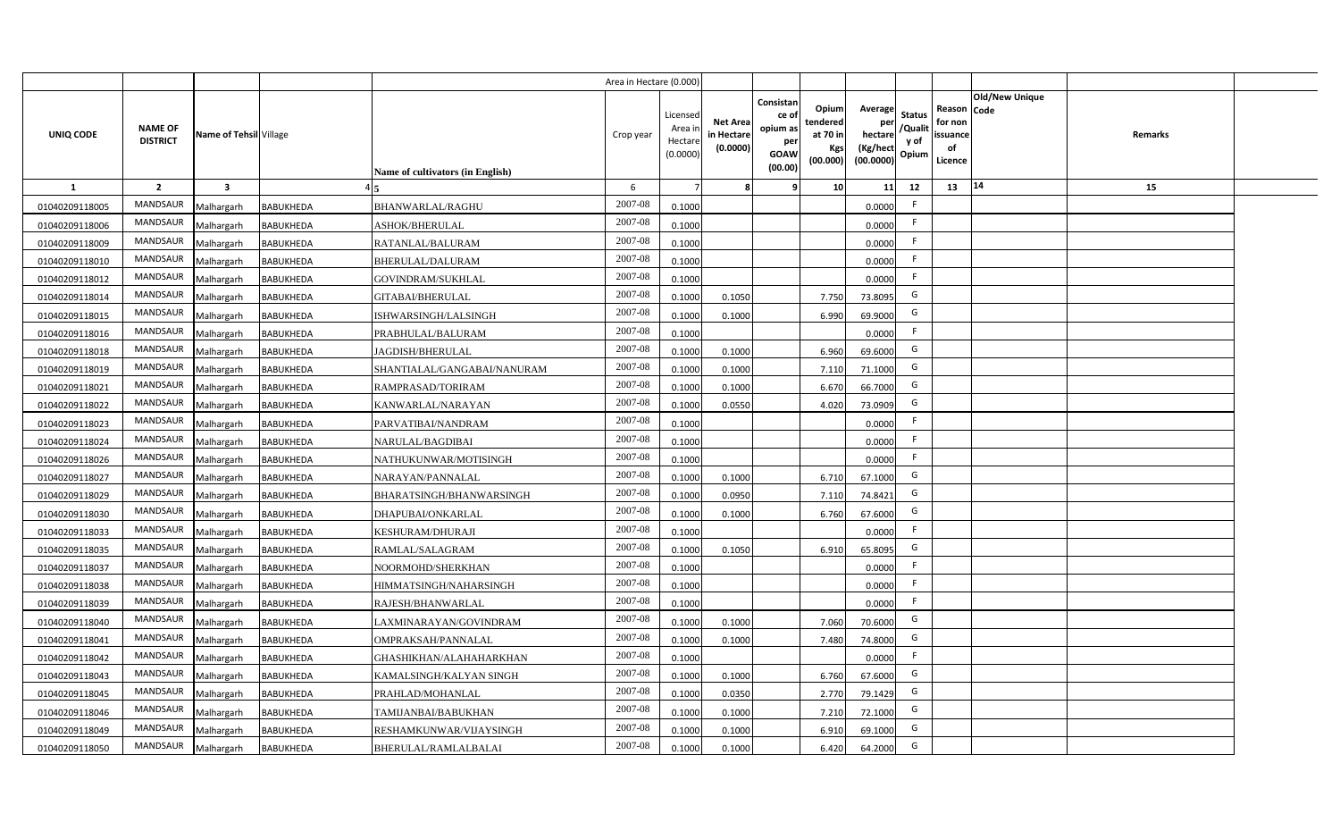|                |                                   |                         |                  |                                  | Area in Hectare (0.000 |                                          |                                           |                                                                 |                                                  |                                                    |                                           |                                                     |                       |         |  |
|----------------|-----------------------------------|-------------------------|------------------|----------------------------------|------------------------|------------------------------------------|-------------------------------------------|-----------------------------------------------------------------|--------------------------------------------------|----------------------------------------------------|-------------------------------------------|-----------------------------------------------------|-----------------------|---------|--|
| UNIQ CODE      | <b>NAME OF</b><br><b>DISTRICT</b> | Name of Tehsil Village  |                  | Name of cultivators (in English) | Crop year              | Licensec<br>Area i<br>Hectar<br>(0.0000) | <b>Net Area</b><br>in Hectare<br>(0.0000) | Consistan<br>ce of<br>opium as<br>per<br><b>GOAW</b><br>(00.00) | Opium<br>tendered<br>at 70 in<br>Kgs<br>(00.000) | Average<br>per<br>hectare<br>(Kg/hect<br>(00.0000) | <b>Status</b><br>/Qualit<br>y of<br>Opium | Reason Code<br>for non<br>issuance<br>of<br>Licence | <b>Old/New Unique</b> | Remarks |  |
| $\mathbf{1}$   | $\overline{2}$                    | $\overline{\mathbf{3}}$ |                  |                                  | 6                      |                                          |                                           | q                                                               | 10                                               | 11                                                 | 12                                        | 13                                                  | 14                    | 15      |  |
| 01040209118005 | MANDSAUR                          | Malhargarh              | <b>BABUKHEDA</b> | <b>BHANWARLAL/RAGHU</b>          | 2007-08                | 0.1000                                   |                                           |                                                                 |                                                  | 0.0000                                             | -F                                        |                                                     |                       |         |  |
| 01040209118006 | <b>MANDSAUR</b>                   | Malhargarh              | <b>BABUKHEDA</b> | ASHOK/BHERULAL                   | 2007-08                | 0.1000                                   |                                           |                                                                 |                                                  | 0.0000                                             | -F                                        |                                                     |                       |         |  |
| 01040209118009 | <b>MANDSAUR</b>                   | Malhargarh              | <b>BABUKHEDA</b> | RATANLAL/BALURAM                 | 2007-08                | 0.1000                                   |                                           |                                                                 |                                                  | 0.0000                                             |                                           |                                                     |                       |         |  |
| 01040209118010 | MANDSAUR                          | Malhargarh              | <b>BABUKHEDA</b> | BHERULAL/DALURAM                 | 2007-08                | 0.1000                                   |                                           |                                                                 |                                                  | 0.0000                                             |                                           |                                                     |                       |         |  |
| 01040209118012 | MANDSAUR                          | Malhargarh              | <b>BABUKHEDA</b> | GOVINDRAM/SUKHLAL                | 2007-08                | 0.1000                                   |                                           |                                                                 |                                                  | 0.0000                                             | -F                                        |                                                     |                       |         |  |
| 01040209118014 | MANDSAUR                          | Malhargarh              | <b>BABUKHEDA</b> | <b>GITABAI/BHERULAL</b>          | 2007-08                | 0.1000                                   | 0.1050                                    |                                                                 | 7.750                                            | 73.8095                                            | G                                         |                                                     |                       |         |  |
| 01040209118015 | MANDSAUR                          | Malhargarh              | <b>BABUKHEDA</b> | ISHWARSINGH/LALSINGH             | 2007-08                | 0.1000                                   | 0.1000                                    |                                                                 | 6.990                                            | 69.9000                                            | G                                         |                                                     |                       |         |  |
| 01040209118016 | MANDSAUR                          | Malhargarh              | <b>BABUKHEDA</b> | PRABHULAL/BALURAM                | 2007-08                | 0.1000                                   |                                           |                                                                 |                                                  | 0.0000                                             | E                                         |                                                     |                       |         |  |
| 01040209118018 | <b>MANDSAUR</b>                   | Malhargarh              | <b>BABUKHEDA</b> | JAGDISH/BHERULAL                 | 2007-08                | 0.1000                                   | 0.1000                                    |                                                                 | 6.960                                            | 69.6000                                            | G                                         |                                                     |                       |         |  |
| 01040209118019 | MANDSAUR                          | Malhargarh              | <b>BABUKHEDA</b> | SHANTIALAL/GANGABAI/NANURAM      | 2007-08                | 0.1000                                   | 0.1000                                    |                                                                 | 7.110                                            | 71.1000                                            | G                                         |                                                     |                       |         |  |
| 01040209118021 | <b>MANDSAUR</b>                   | Malhargarh              | <b>BABUKHEDA</b> | RAMPRASAD/TORIRAM                | 2007-08                | 0.100                                    | 0.1000                                    |                                                                 | 6.670                                            | 66.7000                                            | G                                         |                                                     |                       |         |  |
| 01040209118022 | <b>MANDSAUR</b>                   | Malhargarh              | <b>BABUKHEDA</b> | KANWARLAL/NARAYAN                | 2007-08                | 0.1000                                   | 0.0550                                    |                                                                 | 4.020                                            | 73.0909                                            | G                                         |                                                     |                       |         |  |
| 01040209118023 | <b>MANDSAUR</b>                   | Malhargarh              | <b>BABUKHEDA</b> | PARVATIBAI/NANDRAM               | 2007-08                | 0.1000                                   |                                           |                                                                 |                                                  | 0.0000                                             | -F                                        |                                                     |                       |         |  |
| 01040209118024 | <b>MANDSAUR</b>                   | Malhargarh              | <b>BABUKHEDA</b> | NARULAL/BAGDIBAI                 | 2007-08                | 0.1000                                   |                                           |                                                                 |                                                  | 0.0000                                             | -F                                        |                                                     |                       |         |  |
| 01040209118026 | <b>MANDSAUR</b>                   | Malhargarh              | <b>BABUKHEDA</b> | NATHUKUNWAR/MOTISINGH            | 2007-08                | 0.1000                                   |                                           |                                                                 |                                                  | 0.0000                                             | E                                         |                                                     |                       |         |  |
| 01040209118027 | <b>MANDSAUR</b>                   | Malhargarh              | <b>BABUKHEDA</b> | NARAYAN/PANNALAL                 | 2007-08                | 0.1000                                   | 0.1000                                    |                                                                 | 6.710                                            | 67.1000                                            | G                                         |                                                     |                       |         |  |
| 01040209118029 | MANDSAUR                          | Malhargarh              | <b>BABUKHEDA</b> | BHARATSINGH/BHANWARSINGH         | 2007-08                | 0.100                                    | 0.0950                                    |                                                                 | 7.110                                            | 74.8421                                            | G                                         |                                                     |                       |         |  |
| 01040209118030 | <b>MANDSAUR</b>                   | Malhargarh              | <b>BABUKHEDA</b> | DHAPUBAI/ONKARLAL                | 2007-08                | 0.100                                    | 0.1000                                    |                                                                 | 6.760                                            | 67.6000                                            | G                                         |                                                     |                       |         |  |
| 01040209118033 | <b>MANDSAUR</b>                   | Malhargarh              | <b>BABUKHEDA</b> | KESHURAM/DHURAJI                 | 2007-08                | 0.1000                                   |                                           |                                                                 |                                                  | 0.0000                                             | F.                                        |                                                     |                       |         |  |
| 01040209118035 | <b>MANDSAUR</b>                   | Malhargarh              | <b>BABUKHEDA</b> | RAMLAL/SALAGRAM                  | $2007 - 08$            | 0.100                                    | 0.1050                                    |                                                                 | 6.910                                            | 65.8095                                            | G                                         |                                                     |                       |         |  |
| 01040209118037 | <b>MANDSAUR</b>                   | Malhargarh              | <b>BABUKHEDA</b> | NOORMOHD/SHERKHAN                | 2007-08                | 0.100                                    |                                           |                                                                 |                                                  | 0.0000                                             | E                                         |                                                     |                       |         |  |
| 01040209118038 | <b>MANDSAUR</b>                   | Malhargarh              | <b>BABUKHEDA</b> | HIMMATSINGH/NAHARSINGH           | $2007 - 08$            | 0.1000                                   |                                           |                                                                 |                                                  | 0.0000                                             | E                                         |                                                     |                       |         |  |
| 01040209118039 | <b>MANDSAUR</b>                   | Malhargarh              | <b>BABUKHEDA</b> | RAJESH/BHANWARLAL                | 2007-08                | 0.1000                                   |                                           |                                                                 |                                                  | 0.0000                                             | F.                                        |                                                     |                       |         |  |
| 01040209118040 | MANDSAUR                          | Malhargarh              | <b>BABUKHEDA</b> | LAXMINARAYAN/GOVINDRAM           | 2007-08                | 0.1000                                   | 0.1000                                    |                                                                 | 7.060                                            | 70.6000                                            | G                                         |                                                     |                       |         |  |
| 01040209118041 | MANDSAUR                          | Malhargarh              | <b>BABUKHEDA</b> | OMPRAKSAH/PANNALAL               | 2007-08                | 0.1000                                   | 0.1000                                    |                                                                 | 7.480                                            | 74.8000                                            | G                                         |                                                     |                       |         |  |
| 01040209118042 | MANDSAUR                          | Malhargarh              | <b>BABUKHEDA</b> | GHASHIKHAN/ALAHAHARKHAN          | 2007-08                | 0.1000                                   |                                           |                                                                 |                                                  | 0.0000                                             | F.                                        |                                                     |                       |         |  |
| 01040209118043 | MANDSAUR                          | Malhargarh              | BABUKHEDA        | KAMALSINGH/KALYAN SINGH          | 2007-08                | 0.1000                                   | 0.1000                                    |                                                                 | 6.760                                            | 67.6000                                            | G                                         |                                                     |                       |         |  |
| 01040209118045 | MANDSAUR                          | Malhargarh              | <b>BABUKHEDA</b> | PRAHLAD/MOHANLAL                 | 2007-08                | 0.1000                                   | 0.035                                     |                                                                 | 2.770                                            | 79.1429                                            | G                                         |                                                     |                       |         |  |
| 01040209118046 | MANDSAUR                          | Malhargarh              | <b>BABUKHEDA</b> | TAMIJANBAI/BABUKHAN              | 2007-08                | 0.1000                                   | 0.1000                                    |                                                                 | 7.210                                            | 72.1000                                            | G                                         |                                                     |                       |         |  |
| 01040209118049 | <b>MANDSAUR</b>                   | Malhargarh              | <b>BABUKHEDA</b> | RESHAMKUNWAR/VIJAYSINGH          | 2007-08                | 0.1000                                   | 0.1000                                    |                                                                 | 6.910                                            | 69.1000                                            | G                                         |                                                     |                       |         |  |
| 01040209118050 | MANDSAUR                          | Malhargarh              | <b>BABUKHEDA</b> | BHERULAL/RAMLALBALAI             | 2007-08                | 0.1000                                   | 0.1000                                    |                                                                 | 6.420                                            | 64.2000                                            | G                                         |                                                     |                       |         |  |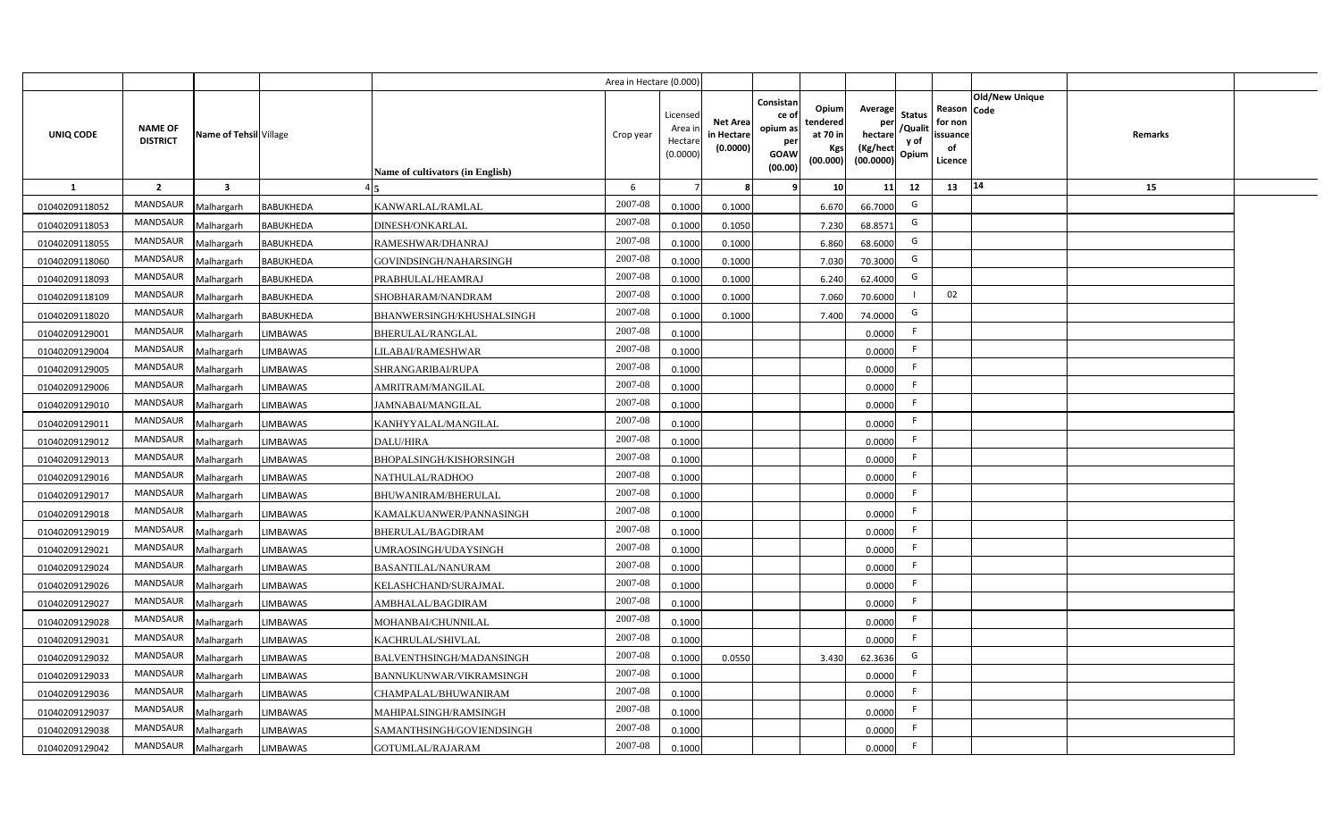|                |                                   |                         |                  |                                  | Area in Hectare (0.000) |                                           |                                           |                                                                                                                            |                                                    |                                           |                                                     |                       |         |  |
|----------------|-----------------------------------|-------------------------|------------------|----------------------------------|-------------------------|-------------------------------------------|-------------------------------------------|----------------------------------------------------------------------------------------------------------------------------|----------------------------------------------------|-------------------------------------------|-----------------------------------------------------|-----------------------|---------|--|
| UNIQ CODE      | <b>NAME OF</b><br><b>DISTRICT</b> | Name of Tehsil Village  |                  | Name of cultivators (in English) | Crop year               | Licensed<br>Area i<br>Hectare<br>(0.0000) | <b>Net Area</b><br>in Hectare<br>(0.0000) | Consistan<br>Opium<br>ce of<br>tendered<br>opium as<br>at 70 in<br>per<br><b>Kgs</b><br><b>GOAW</b><br>(00.000)<br>(00.00) | Average<br>per<br>hectare<br>(Kg/hect<br>(00.0000) | <b>Status</b><br>/Qualit<br>y of<br>Opium | Reason Code<br>for non<br>issuance<br>of<br>Licence | <b>Old/New Unique</b> | Remarks |  |
| 1              | $\overline{2}$                    | $\overline{\mathbf{3}}$ |                  |                                  | 6                       |                                           | 8                                         | 10 <sup>1</sup><br>٩                                                                                                       | 11                                                 | 12                                        | 13                                                  | 14                    | 15      |  |
| 01040209118052 | MANDSAUR                          | Malhargarh              | <b>BABUKHEDA</b> | KANWARLAL/RAMLAL                 | 2007-08                 | 0.1000                                    | 0.1000                                    | 6.670                                                                                                                      | 66.7000                                            | G                                         |                                                     |                       |         |  |
| 01040209118053 | MANDSAUR                          | Malhargarh              | <b>BABUKHEDA</b> | <b>DINESH/ONKARLAL</b>           | 2007-08                 | 0.1000                                    | 0.1050                                    | 7.230                                                                                                                      | 68.8571                                            | G                                         |                                                     |                       |         |  |
| 01040209118055 | MANDSAUR                          | Malhargarh              | <b>BABUKHEDA</b> | RAMESHWAR/DHANRAJ                | 2007-08                 | 0.1000                                    | 0.1000                                    | 6.860                                                                                                                      | 68.6000                                            | G                                         |                                                     |                       |         |  |
| 01040209118060 | MANDSAUR                          | Malhargarh              | <b>BABUKHEDA</b> | GOVINDSINGH/NAHARSINGH           | 2007-08                 | 0.1000                                    | 0.1000                                    | 7.030                                                                                                                      | 70.3000                                            | G                                         |                                                     |                       |         |  |
| 01040209118093 | <b>MANDSAUR</b>                   | Malhargarh              | <b>BABUKHEDA</b> | PRABHULAL/HEAMRAJ                | 2007-08                 | 0.1000                                    | 0.1000                                    | 6.240                                                                                                                      | 62.4000                                            | G                                         |                                                     |                       |         |  |
| 01040209118109 | <b>MANDSAUR</b>                   | Malhargarh              | <b>BABUKHEDA</b> | SHOBHARAM/NANDRAM                | 2007-08                 | 0.1000                                    | 0.1000                                    | 7.060                                                                                                                      | 70.6000                                            |                                           | 02                                                  |                       |         |  |
| 01040209118020 | MANDSAUR                          | Malhargarh              | <b>BABUKHEDA</b> | BHANWERSINGH/KHUSHALSINGH        | 2007-08                 | 0.1000                                    | 0.1000                                    | 7.400                                                                                                                      | 74.0000                                            | G                                         |                                                     |                       |         |  |
| 01040209129001 | MANDSAUR                          | Malhargarh              | <b>LIMBAWAS</b>  | <b>BHERULAL/RANGLAL</b>          | 2007-08                 | 0.1000                                    |                                           |                                                                                                                            | 0.0000                                             | F                                         |                                                     |                       |         |  |
| 01040209129004 | <b>MANDSAUR</b>                   | Malhargarh              | <b>LIMBAWAS</b>  | LILABAI/RAMESHWAR                | 2007-08                 | 0.1000                                    |                                           |                                                                                                                            | 0.0000                                             | F                                         |                                                     |                       |         |  |
| 01040209129005 | MANDSAUR                          | Malhargarh              | <b>LIMBAWAS</b>  | SHRANGARIBAI/RUPA                | 2007-08                 | 0.1000                                    |                                           |                                                                                                                            | 0.0000                                             | F                                         |                                                     |                       |         |  |
| 01040209129006 | <b>MANDSAUR</b>                   | Malhargarh              | <b>LIMBAWAS</b>  | AMRITRAM/MANGILAL                | 2007-08                 | 0.1000                                    |                                           |                                                                                                                            | 0.0000                                             | F.                                        |                                                     |                       |         |  |
| 01040209129010 | <b>MANDSAUR</b>                   | Malhargarh              | <b>LIMBAWAS</b>  | JAMNABAI/MANGILAL                | 2007-08                 | 0.1000                                    |                                           |                                                                                                                            | 0.0000                                             | F.                                        |                                                     |                       |         |  |
| 01040209129011 | <b>MANDSAUR</b>                   | Malhargarh              | <b>LIMBAWAS</b>  | KANHYYALAL/MANGILAL              | 2007-08                 | 0.1000                                    |                                           |                                                                                                                            | 0.0000                                             | F                                         |                                                     |                       |         |  |
| 01040209129012 | <b>MANDSAUR</b>                   | Malhargarh              | <b>LIMBAWAS</b>  | <b>DALU/HIRA</b>                 | 2007-08                 | 0.1000                                    |                                           |                                                                                                                            | 0.0000                                             | F.                                        |                                                     |                       |         |  |
| 01040209129013 | MANDSAUR                          | Malhargarh              | <b>LIMBAWAS</b>  | BHOPALSINGH/KISHORSINGH          | 2007-08                 | 0.1000                                    |                                           |                                                                                                                            | 0.0000                                             | -F                                        |                                                     |                       |         |  |
| 01040209129016 | <b>MANDSAUR</b>                   | Malhargarh              | <b>LIMBAWAS</b>  | <b>NATHULAL/RADHOO</b>           | 2007-08                 | 0.1000                                    |                                           |                                                                                                                            | 0.0000                                             | F.                                        |                                                     |                       |         |  |
| 01040209129017 | <b>MANDSAUR</b>                   | Malhargarh              | <b>LIMBAWAS</b>  | BHUWANIRAM/BHERULAL              | 2007-08                 | 0.1000                                    |                                           |                                                                                                                            | 0.0000                                             | F.                                        |                                                     |                       |         |  |
| 01040209129018 | MANDSAUR                          | Malhargarh              | <b>LIMBAWAS</b>  | KAMALKUANWER/PANNASINGH          | 2007-08                 | 0.1000                                    |                                           |                                                                                                                            | 0.0000                                             | F                                         |                                                     |                       |         |  |
| 01040209129019 | <b>MANDSAUR</b>                   | Malhargarh              | LIMBAWAS         | BHERULAL/BAGDIRAM                | 2007-08                 | 0.1000                                    |                                           |                                                                                                                            | 0.0000                                             | F                                         |                                                     |                       |         |  |
| 01040209129021 | <b>MANDSAUR</b>                   | Malhargarh              | <b>LIMBAWAS</b>  | UMRAOSINGH/UDAYSINGH             | 2007-08                 | 0.1000                                    |                                           |                                                                                                                            | 0.0000                                             | F.                                        |                                                     |                       |         |  |
| 01040209129024 | MANDSAUR                          | Malhargarh              | <b>LIMBAWAS</b>  | <b>BASANTILAL/NANURAM</b>        | $2007 - 08$             | 0.1000                                    |                                           |                                                                                                                            | 0.0000                                             | F                                         |                                                     |                       |         |  |
| 01040209129026 | MANDSAUR                          | Malhargarh              | <b>LIMBAWAS</b>  | KELASHCHAND/SURAJMAL             | 2007-08                 | 0.1000                                    |                                           |                                                                                                                            | 0.0000                                             | F                                         |                                                     |                       |         |  |
| 01040209129027 | <b>MANDSAUR</b>                   | Malhargarh              | <b>LIMBAWAS</b>  | AMBHALAL/BAGDIRAM                | 2007-08                 | 0.1000                                    |                                           |                                                                                                                            | 0.0000                                             | -F                                        |                                                     |                       |         |  |
| 01040209129028 | <b>MANDSAUR</b>                   | Malhargarh              | <b>LIMBAWAS</b>  | MOHANBAI/CHUNNILAL               | 2007-08                 | 0.1000                                    |                                           |                                                                                                                            | 0.0000                                             | F                                         |                                                     |                       |         |  |
| 01040209129031 | MANDSAUR                          | Malhargarh              | <b>LIMBAWAS</b>  | KACHRULAL/SHIVLAL                | 2007-08                 | 0.1000                                    |                                           |                                                                                                                            | 0.0000                                             | F                                         |                                                     |                       |         |  |
| 01040209129032 | MANDSAUR                          | Malhargarh              | <b>LIMBAWAS</b>  | BALVENTHSINGH/MADANSINGH         | 2007-08                 | 0.1000                                    | 0.0550                                    | 3.430                                                                                                                      | 62.3636                                            | G                                         |                                                     |                       |         |  |
| 01040209129033 | MANDSAUR                          | Malhargarh              | LIMBAWAS         | BANNUKUNWAR/VIKRAMSINGH          | 2007-08                 | 0.1000                                    |                                           |                                                                                                                            | 0.0000                                             | F                                         |                                                     |                       |         |  |
| 01040209129036 | MANDSAUR                          | Malhargarh              | <b>LIMBAWAS</b>  | CHAMPALAL/BHUWANIRAM             | 2007-08                 | 0.1000                                    |                                           |                                                                                                                            | 0.0000                                             | F                                         |                                                     |                       |         |  |
| 01040209129037 | MANDSAUR                          | Malhargarh              | <b>LIMBAWAS</b>  | MAHIPALSINGH/RAMSINGH            | 2007-08                 | 0.1000                                    |                                           |                                                                                                                            | 0.0000                                             | F                                         |                                                     |                       |         |  |
| 01040209129038 | MANDSAUR                          | Malhargarh              | LIMBAWAS         | SAMANTHSINGH/GOVIENDSINGH        | 2007-08                 | 0.1000                                    |                                           |                                                                                                                            | 0.0000                                             | F                                         |                                                     |                       |         |  |
| 01040209129042 | MANDSAUR                          | Malhargarh              | <b>LIMBAWAS</b>  | GOTUMLAL/RAJARAM                 | 2007-08                 | 0.1000                                    |                                           |                                                                                                                            | 0.0000                                             | F                                         |                                                     |                       |         |  |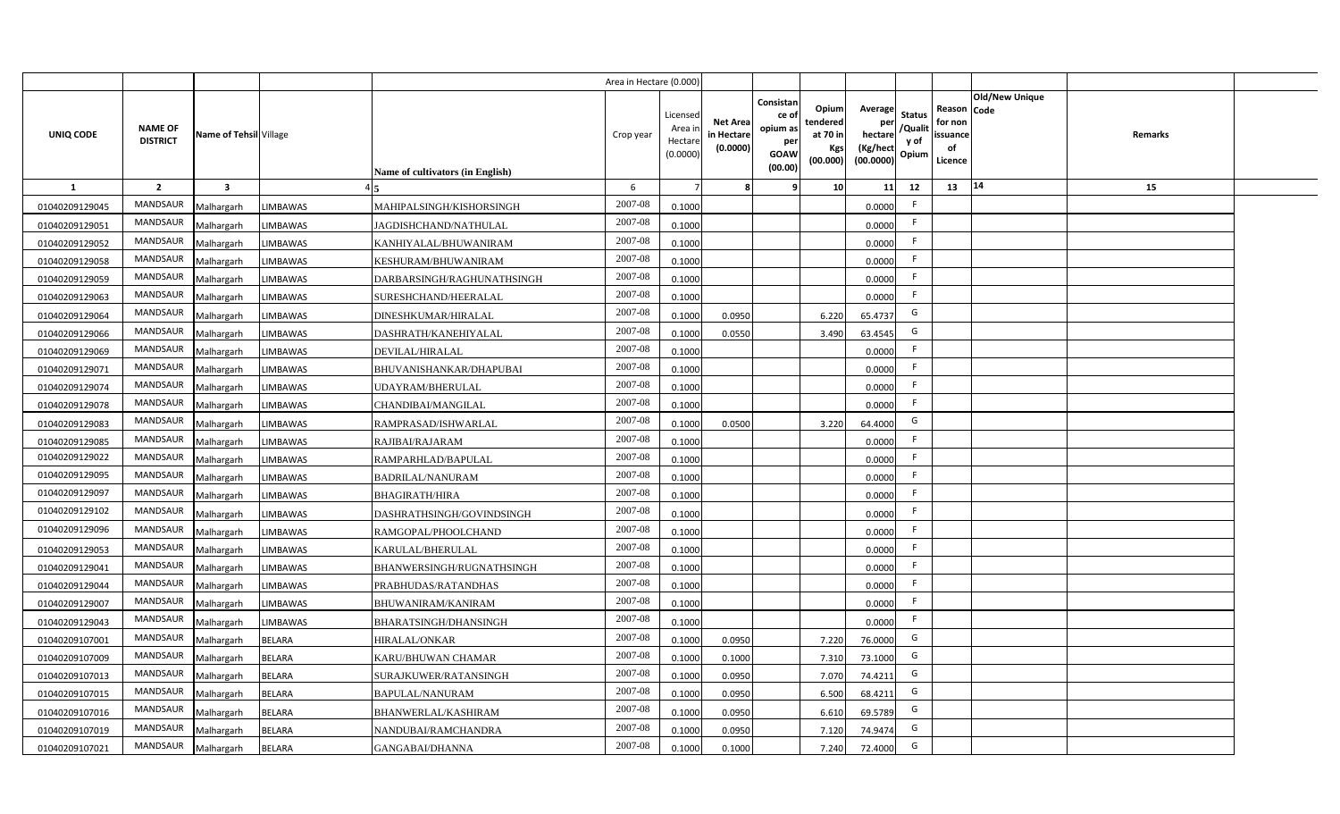|                |                                   |                         |                 |                                  | Area in Hectare (0.000 |                                          |                                          |                                                                 |                                                  |                                                    |                                           |                                                     |                |                |  |
|----------------|-----------------------------------|-------------------------|-----------------|----------------------------------|------------------------|------------------------------------------|------------------------------------------|-----------------------------------------------------------------|--------------------------------------------------|----------------------------------------------------|-------------------------------------------|-----------------------------------------------------|----------------|----------------|--|
| UNIQ CODE      | <b>NAME OF</b><br><b>DISTRICT</b> | Name of Tehsil Village  |                 | Name of cultivators (in English) | Crop year              | Licensed<br>Area i<br>Hectar<br>(0.0000) | <b>Net Area</b><br>in Hectar<br>(0.0000) | Consistan<br>ce of<br>opium as<br>per<br><b>GOAW</b><br>(00.00) | Opium<br>tendered<br>at 70 in<br>Kgs<br>(00.000) | Average<br>per<br>hectare<br>(Kg/hect<br>(00.0000) | <b>Status</b><br>/Qualit<br>y of<br>Opium | Reason Code<br>for non<br>issuance<br>of<br>Licence | Old/New Unique | <b>Remarks</b> |  |
| $\mathbf{1}$   | $\overline{2}$                    | $\overline{\mathbf{3}}$ |                 |                                  | 6                      |                                          |                                          | ٠q                                                              | 10 <sup>1</sup>                                  | 11                                                 | 12                                        | 13                                                  | 14             | 15             |  |
| 01040209129045 | MANDSAUR                          | Malhargarh              | <b>LIMBAWAS</b> | MAHIPALSINGH/KISHORSINGH         | 2007-08                | 0.1000                                   |                                          |                                                                 |                                                  | 0.0000                                             | E                                         |                                                     |                |                |  |
| 01040209129051 | MANDSAUR                          | Malhargarh              | <b>LIMBAWAS</b> | JAGDISHCHAND/NATHULAL            | 2007-08                | 0.1000                                   |                                          |                                                                 |                                                  | 0.0000                                             | F.                                        |                                                     |                |                |  |
| 01040209129052 | <b>MANDSAUR</b>                   | Malhargarh              | <b>LIMBAWAS</b> | KANHIYALAL/BHUWANIRAM            | 2007-08                | 0.1000                                   |                                          |                                                                 |                                                  | 0.0000                                             | - F                                       |                                                     |                |                |  |
| 01040209129058 | <b>MANDSAUR</b>                   | Malhargarh              | <b>LIMBAWAS</b> | KESHURAM/BHUWANIRAM              | 2007-08                | 0.1000                                   |                                          |                                                                 |                                                  | 0.0000                                             | -F                                        |                                                     |                |                |  |
| 01040209129059 | MANDSAUR                          | Malhargarh              | <b>LIMBAWAS</b> | DARBARSINGH/RAGHUNATHSINGH       | 2007-08                | 0.1000                                   |                                          |                                                                 |                                                  | 0.0000                                             |                                           |                                                     |                |                |  |
| 01040209129063 | <b>MANDSAUR</b>                   | Malhargarh              | <b>LIMBAWAS</b> | SURESHCHAND/HEERALAL             | 2007-08                | 0.1000                                   |                                          |                                                                 |                                                  | 0.0000                                             | F.                                        |                                                     |                |                |  |
| 01040209129064 | MANDSAUR                          | Malhargarh              | <b>LIMBAWAS</b> | DINESHKUMAR/HIRALAL              | 2007-08                | 0.1000                                   | 0.0950                                   |                                                                 | 6.220                                            | 65.4737                                            | G                                         |                                                     |                |                |  |
| 01040209129066 | MANDSAUR                          | Malhargarh              | <b>LIMBAWAS</b> | DASHRATH/KANEHIYALAL             | 2007-08                | 0.1000                                   | 0.0550                                   |                                                                 | 3.490                                            | 63.4545                                            | G                                         |                                                     |                |                |  |
| 01040209129069 | MANDSAUR                          | Malhargarh              | <b>LIMBAWAS</b> | DEVILAL/HIRALAL                  | 2007-08                | 0.1000                                   |                                          |                                                                 |                                                  | 0.0000                                             | F.                                        |                                                     |                |                |  |
| 01040209129071 | MANDSAUR                          | Malhargarh              | <b>LIMBAWAS</b> | BHUVANISHANKAR/DHAPUBAI          | 2007-08                | 0.1000                                   |                                          |                                                                 |                                                  | 0.0000                                             | -F                                        |                                                     |                |                |  |
| 01040209129074 | MANDSAUR                          | Malhargarh              | <b>LIMBAWAS</b> | <b>JDAYRAM/BHERULAL</b>          | 2007-08                | 0.1000                                   |                                          |                                                                 |                                                  | 0.0000                                             |                                           |                                                     |                |                |  |
| 01040209129078 | MANDSAUR                          | Malhargarh              | <b>LIMBAWAS</b> | CHANDIBAI/MANGILAL               | 2007-08                | 0.1000                                   |                                          |                                                                 |                                                  | 0.0000                                             | F.                                        |                                                     |                |                |  |
| 01040209129083 | <b>MANDSAUR</b>                   | Malhargarh              | <b>LIMBAWAS</b> | RAMPRASAD/ISHWARLAL              | 2007-08                | 0.1000                                   | 0.0500                                   |                                                                 | 3.220                                            | 64.4000                                            | G                                         |                                                     |                |                |  |
| 01040209129085 | <b>MANDSAUR</b>                   | Malhargarh              | <b>LIMBAWAS</b> | RAJIBAI/RAJARAM                  | 2007-08                | 0.1000                                   |                                          |                                                                 |                                                  | 0.0000                                             | F.                                        |                                                     |                |                |  |
| 01040209129022 | <b>MANDSAUR</b>                   | Malhargarh              | <b>LIMBAWAS</b> | RAMPARHLAD/BAPULAL               | 2007-08                | 0.1000                                   |                                          |                                                                 |                                                  | 0.0000                                             | -F                                        |                                                     |                |                |  |
| 01040209129095 | <b>MANDSAUR</b>                   | Malhargarh              | <b>LIMBAWAS</b> | <b>BADRILAL/NANURAM</b>          | 2007-08                | 0.1000                                   |                                          |                                                                 |                                                  | 0.0000                                             | F.                                        |                                                     |                |                |  |
| 01040209129097 | MANDSAUR                          | Malhargarh              | <b>LIMBAWAS</b> | <b>BHAGIRATH/HIRA</b>            | 2007-08                | 0.1000                                   |                                          |                                                                 |                                                  | 0.0000                                             | -F                                        |                                                     |                |                |  |
| 01040209129102 | <b>MANDSAUR</b>                   | Malhargarh              | <b>LIMBAWAS</b> | DASHRATHSINGH/GOVINDSINGH        | 2007-08                | 0.1000                                   |                                          |                                                                 |                                                  | 0.0000                                             | F.                                        |                                                     |                |                |  |
| 01040209129096 | <b>MANDSAUR</b>                   | Malhargarh              | <b>LIMBAWAS</b> | RAMGOPAL/PHOOLCHAND              | 2007-08                | 0.1000                                   |                                          |                                                                 |                                                  | 0.0000                                             | F.                                        |                                                     |                |                |  |
| 01040209129053 | <b>MANDSAUR</b>                   | Malhargarh              | <b>LIMBAWAS</b> | KARULAL/BHERULAL                 | 2007-08                | 0.1000                                   |                                          |                                                                 |                                                  | 0.0000                                             | F.                                        |                                                     |                |                |  |
| 01040209129041 | <b>MANDSAUR</b>                   | Malhargarh              | LIMBAWAS        | BHANWERSINGH/RUGNATHSINGH        | 2007-08                | 0.1000                                   |                                          |                                                                 |                                                  | 0.0000                                             | -F                                        |                                                     |                |                |  |
| 01040209129044 | MANDSAUR                          | Malhargarh              | <b>LIMBAWAS</b> | PRABHUDAS/RATANDHAS              | 2007-08                | 0.100                                    |                                          |                                                                 |                                                  | 0.0000                                             | -F                                        |                                                     |                |                |  |
| 01040209129007 | MANDSAUR                          | Malhargarh              | LIMBAWAS        | BHUWANIRAM/KANIRAM               | 2007-08                | 0.1000                                   |                                          |                                                                 |                                                  | 0.0000                                             | -F                                        |                                                     |                |                |  |
| 01040209129043 | <b>MANDSAUR</b>                   | Malhargarh              | <b>LIMBAWAS</b> | BHARATSINGH/DHANSINGH            | 2007-08                | 0.1000                                   |                                          |                                                                 |                                                  | 0.0000                                             | -F                                        |                                                     |                |                |  |
| 01040209107001 | MANDSAUR                          | Malhargarh              | <b>BELARA</b>   | HIRALAL/ONKAR                    | 2007-08                | 0.1000                                   | 0.0950                                   |                                                                 | 7.220                                            | 76.0000                                            | G                                         |                                                     |                |                |  |
| 01040209107009 | MANDSAUR                          | Malhargarh              | <b>BELARA</b>   | KARU/BHUWAN CHAMAR               | 2007-08                | 0.1000                                   | 0.1000                                   |                                                                 | 7.310                                            | 73.1000                                            | G                                         |                                                     |                |                |  |
| 01040209107013 | MANDSAUR                          | Malhargarh              | <b>BELARA</b>   | SURAJKUWER/RATANSINGH            | 2007-08                | 0.1000                                   | 0.0950                                   |                                                                 | 7.070                                            | 74.4211                                            | G                                         |                                                     |                |                |  |
| 01040209107015 | MANDSAUR                          | Malhargarh              | <b>BELARA</b>   | <b>BAPULAL/NANURAM</b>           | 2007-08                | 0.1000                                   | 0.095                                    |                                                                 | 6.500                                            | 68.4211                                            | G                                         |                                                     |                |                |  |
| 01040209107016 | MANDSAUR                          | Malhargarh              | <b>BELARA</b>   | <b>BHANWERLAL/KASHIRAM</b>       | 2007-08                | 0.1000                                   | 0.095                                    |                                                                 | 6.610                                            | 69.5789                                            | G                                         |                                                     |                |                |  |
| 01040209107019 | MANDSAUR                          | Malhargarh              | <b>BELARA</b>   | NANDUBAI/RAMCHANDRA              | 2007-08                | 0.1000                                   | 0.0950                                   |                                                                 | 7.120                                            | 74.9474                                            | G                                         |                                                     |                |                |  |
| 01040209107021 | MANDSAUR                          | Malhargarh              | <b>BELARA</b>   | GANGABAI/DHANNA                  | 2007-08                | 0.1000                                   | 0.1000                                   |                                                                 | 7.240                                            | 72.4000                                            | G                                         |                                                     |                |                |  |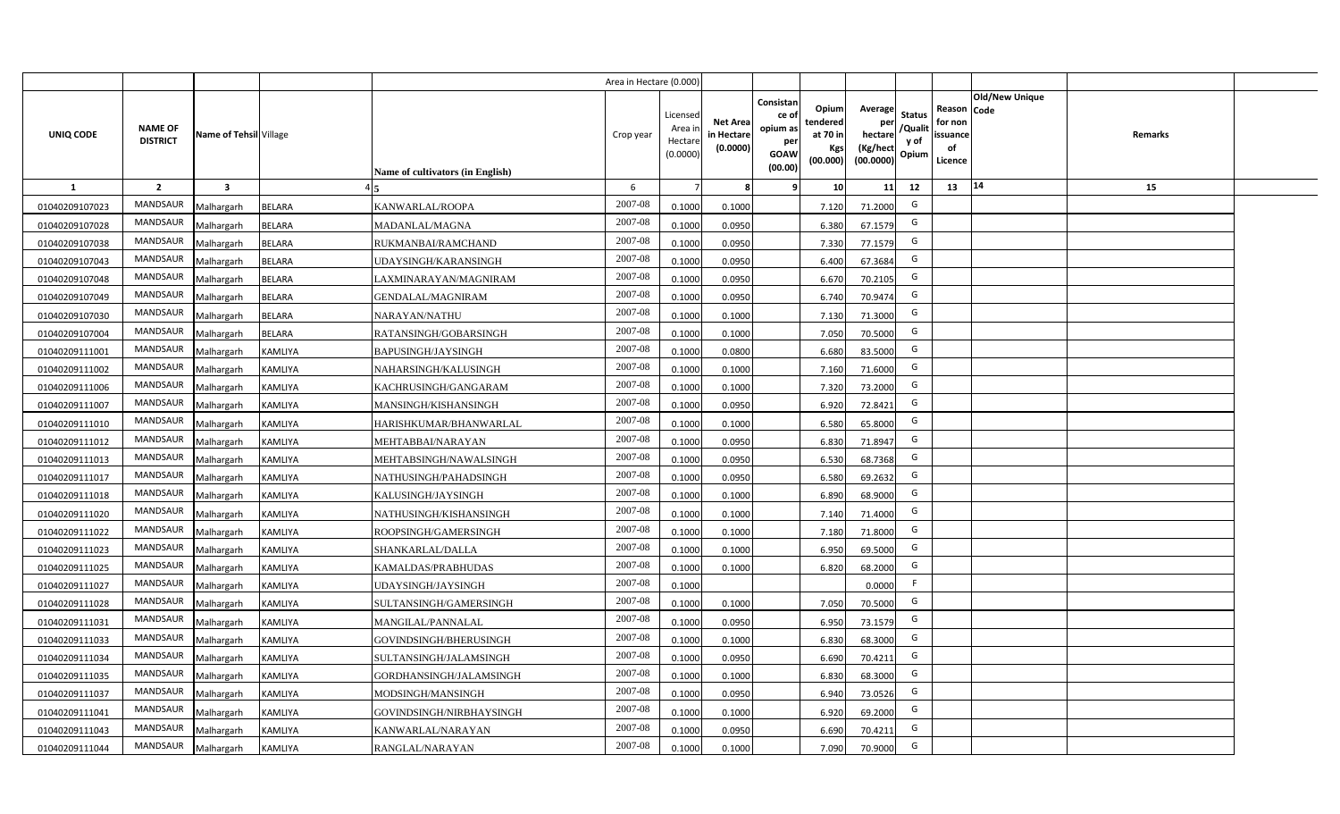|                |                                   |                         |                |                                  | Area in Hectare (0.000) |                                          |                                           |                                                         |                                                  |                                                    |                                           |                                                                              |                |  |
|----------------|-----------------------------------|-------------------------|----------------|----------------------------------|-------------------------|------------------------------------------|-------------------------------------------|---------------------------------------------------------|--------------------------------------------------|----------------------------------------------------|-------------------------------------------|------------------------------------------------------------------------------|----------------|--|
| UNIQ CODE      | <b>NAME OF</b><br><b>DISTRICT</b> | Name of Tehsil Village  |                | Name of cultivators (in English) | Crop year               | Licensec<br>Area i<br>Hectar<br>(0.0000) | <b>Net Area</b><br>in Hectare<br>(0.0000) | Consistan<br>ce o<br>opium as<br>per<br>GOAW<br>(00.00) | Opium<br>tendered<br>at 70 in<br>Kgs<br>(00.000) | Average<br>per<br>hectare<br>(Kg/hect<br>(00.0000) | <b>Status</b><br>/Qualit<br>y of<br>Opium | <b>Old/New Unique</b><br>Reason Code<br>for non<br>issuance<br>of<br>Licence | <b>Remarks</b> |  |
| $\mathbf{1}$   | $\overline{2}$                    | $\overline{\mathbf{3}}$ |                |                                  | 6                       |                                          |                                           |                                                         | 10                                               | 11                                                 | 12                                        | 14<br>13                                                                     | 15             |  |
| 01040209107023 | MANDSAUR                          | Malhargarh              | <b>BELARA</b>  | KANWARLAL/ROOPA                  | 2007-08                 | 0.1000                                   | 0.1000                                    |                                                         | 7.120                                            | 71.2000                                            | G                                         |                                                                              |                |  |
| 01040209107028 | MANDSAUR                          | Malhargarh              | <b>BELARA</b>  | MADANLAL/MAGNA                   | 2007-08                 | 0.1000                                   | 0.0950                                    |                                                         | 6.380                                            | 67.1579                                            | G                                         |                                                                              |                |  |
| 01040209107038 | <b>MANDSAUR</b>                   | Malhargarh              | <b>BELARA</b>  | RUKMANBAI/RAMCHAND               | 2007-08                 | 0.1000                                   | 0.0950                                    |                                                         | 7.330                                            | 77.1579                                            | G                                         |                                                                              |                |  |
| 01040209107043 | MANDSAUR                          | Malhargarh              | BELARA         | UDAYSINGH/KARANSINGH             | 2007-08                 | 0.100                                    | 0.0950                                    |                                                         | 6.400                                            | 67.3684                                            | G                                         |                                                                              |                |  |
| 01040209107048 | MANDSAUR                          | Malhargarh              | <b>BELARA</b>  | AXMINARAYAN/MAGNIRAM             | 2007-08                 | 0.1000                                   | 0.0950                                    |                                                         | 6.670                                            | 70.2105                                            | G                                         |                                                                              |                |  |
| 01040209107049 | MANDSAUR                          | Malhargarh              | BELARA         | <b>GENDALAL/MAGNIRAM</b>         | 2007-08                 | 0.1000                                   | 0.0950                                    |                                                         | 6.740                                            | 70.9474                                            | G                                         |                                                                              |                |  |
| 01040209107030 | <b>MANDSAUR</b>                   | Malhargarh              | <b>BELARA</b>  | NARAYAN/NATHU                    | 2007-08                 | 0.1000                                   | 0.1000                                    |                                                         | 7.130                                            | 71.3000                                            | G                                         |                                                                              |                |  |
| 01040209107004 | MANDSAUR                          | Malhargarh              | <b>BELARA</b>  | RATANSINGH/GOBARSINGH            | 2007-08                 | 0.1000                                   | 0.1000                                    |                                                         | 7.050                                            | 70.5000                                            | G                                         |                                                                              |                |  |
| 01040209111001 | <b>MANDSAUR</b>                   | Malhargarh              | KAMLIYA        | BAPUSINGH/JAYSINGH               | 2007-08                 | 0.1000                                   | 0.0800                                    |                                                         | 6.680                                            | 83.5000                                            | G                                         |                                                                              |                |  |
| 01040209111002 | <b>MANDSAUR</b>                   | Malhargarh              | <b>KAMLIYA</b> | NAHARSINGH/KALUSINGH             | 2007-08                 | 0.1000                                   | 0.1000                                    |                                                         | 7.160                                            | 71.6000                                            | G                                         |                                                                              |                |  |
| 01040209111006 | MANDSAUR                          | Malhargarh              | <b>KAMLIYA</b> | KACHRUSINGH/GANGARAM             | 2007-08                 | 0.1000                                   | 0.1000                                    |                                                         | 7.320                                            | 73.2000                                            | G                                         |                                                                              |                |  |
| 01040209111007 | MANDSAUR                          | Malhargarh              | <b>KAMLIYA</b> | MANSINGH/KISHANSINGH             | 2007-08                 | 0.1000                                   | 0.0950                                    |                                                         | 6.920                                            | 72.8421                                            | G                                         |                                                                              |                |  |
| 01040209111010 | MANDSAUR                          | Malhargarh              | <b>KAMLIYA</b> | HARISHKUMAR/BHANWARLAL           | 2007-08                 | 0.1000                                   | 0.1000                                    |                                                         | 6.580                                            | 65.8000                                            | G                                         |                                                                              |                |  |
| 01040209111012 | MANDSAUR                          | Malhargarh              | <b>KAMLIYA</b> | MEHTABBAI/NARAYAN                | 2007-08                 | 0.1000                                   | 0.0950                                    |                                                         | 6.830                                            | 71.8947                                            | G                                         |                                                                              |                |  |
| 01040209111013 | MANDSAUR                          | Malhargarh              | KAMLIYA        | MEHTABSINGH/NAWALSINGH           | 2007-08                 | 0.1000                                   | 0.0950                                    |                                                         | 6.530                                            | 68.7368                                            | G                                         |                                                                              |                |  |
| 01040209111017 | MANDSAUR                          | Malhargarh              | <b>KAMLIYA</b> | NATHUSINGH/PAHADSINGH            | 2007-08                 | 0.1000                                   | 0.0950                                    |                                                         | 6.580                                            | 69.2632                                            | G                                         |                                                                              |                |  |
| 01040209111018 | MANDSAUR                          | Malhargarh              | <b>KAMLIYA</b> | KALUSINGH/JAYSINGH               | 2007-08                 | 0.1000                                   | 0.1000                                    |                                                         | 6.890                                            | 68.9000                                            | G                                         |                                                                              |                |  |
| 01040209111020 | MANDSAUR                          | Malhargarh              | KAMLIYA        | NATHUSINGH/KISHANSINGH           | 2007-08                 | 0.1000                                   | 0.1000                                    |                                                         | 7.140                                            | 71.4000                                            | G                                         |                                                                              |                |  |
| 01040209111022 | MANDSAUR                          | Malhargarh              | KAMLIYA        | ROOPSINGH/GAMERSINGH             | 2007-08                 | 0.100                                    | 0.1000                                    |                                                         | 7.180                                            | 71.8000                                            | G                                         |                                                                              |                |  |
| 01040209111023 | MANDSAUR                          | Malhargarh              | <b>KAMLIYA</b> | SHANKARLAL/DALLA                 | 2007-08                 | 0.1000                                   | 0.1000                                    |                                                         | 6.950                                            | 69.5000                                            | G                                         |                                                                              |                |  |
| 01040209111025 | MANDSAUR                          | Malhargarh              | KAMLIYA        | KAMALDAS/PRABHUDAS               | 2007-08                 | 0.100                                    | 0.1000                                    |                                                         | 6.820                                            | 68.2000                                            | G                                         |                                                                              |                |  |
| 01040209111027 | <b>MANDSAUR</b>                   | Malhargarh              | <b>KAMLIYA</b> | UDAYSINGH/JAYSINGH               | 2007-08                 | 0.1000                                   |                                           |                                                         |                                                  | 0.0000                                             | F.                                        |                                                                              |                |  |
| 01040209111028 | MANDSAUR                          | Malhargarh              | <b>KAMLIYA</b> | SULTANSINGH/GAMERSINGH           | 2007-08                 | 0.1000                                   | 0.1000                                    |                                                         | 7.050                                            | 70.5000                                            | G                                         |                                                                              |                |  |
| 01040209111031 | <b>MANDSAUR</b>                   | Malhargarh              | KAMLIYA        | MANGILAL/PANNALAL                | 2007-08                 | 0.1000                                   | 0.0950                                    |                                                         | 6.950                                            | 73.1579                                            | G                                         |                                                                              |                |  |
| 01040209111033 | MANDSAUR                          | Malhargarh              | <b>KAMLIYA</b> | GOVINDSINGH/BHERUSINGH           | 2007-08                 | 0.1000                                   | 0.1000                                    |                                                         | 6.830                                            | 68.3000                                            | G                                         |                                                                              |                |  |
| 01040209111034 | MANDSAUR                          | Malhargarh              | <b>KAMLIYA</b> | SULTANSINGH/JALAMSINGH           | 2007-08                 | 0.1000                                   | 0.0950                                    |                                                         | 6.690                                            | 70.4211                                            | G                                         |                                                                              |                |  |
| 01040209111035 | MANDSAUR                          | Malhargarh              | <b>KAMLIYA</b> | GORDHANSINGH/JALAMSINGH          | 2007-08                 | 0.1000                                   | 0.1000                                    |                                                         | 6.830                                            | 68.3000                                            | G                                         |                                                                              |                |  |
| 01040209111037 | MANDSAUR                          | Malhargarh              | KAMLIYA        | MODSINGH/MANSINGH                | 2007-08                 | 0.1000                                   | 0.0950                                    |                                                         | 6.940                                            | 73.0526                                            | G                                         |                                                                              |                |  |
| 01040209111041 | MANDSAUR                          | Malhargarh              | KAMLIYA        | GOVINDSINGH/NIRBHAYSINGH         | 2007-08                 | 0.1000                                   | 0.1000                                    |                                                         | 6.920                                            | 69.2000                                            | G                                         |                                                                              |                |  |
| 01040209111043 | MANDSAUR                          | Malhargarh              | KAMLIYA        | KANWARLAL/NARAYAN                | 2007-08                 | 0.1000                                   | 0.0950                                    |                                                         | 6.690                                            | 70.4211                                            | G                                         |                                                                              |                |  |
| 01040209111044 | MANDSAUR                          | Malhargarh              | <b>KAMLIYA</b> | RANGLAL/NARAYAN                  | 2007-08                 | 0.1000                                   | 0.1000                                    |                                                         | 7.090                                            | 70.9000                                            | G                                         |                                                                              |                |  |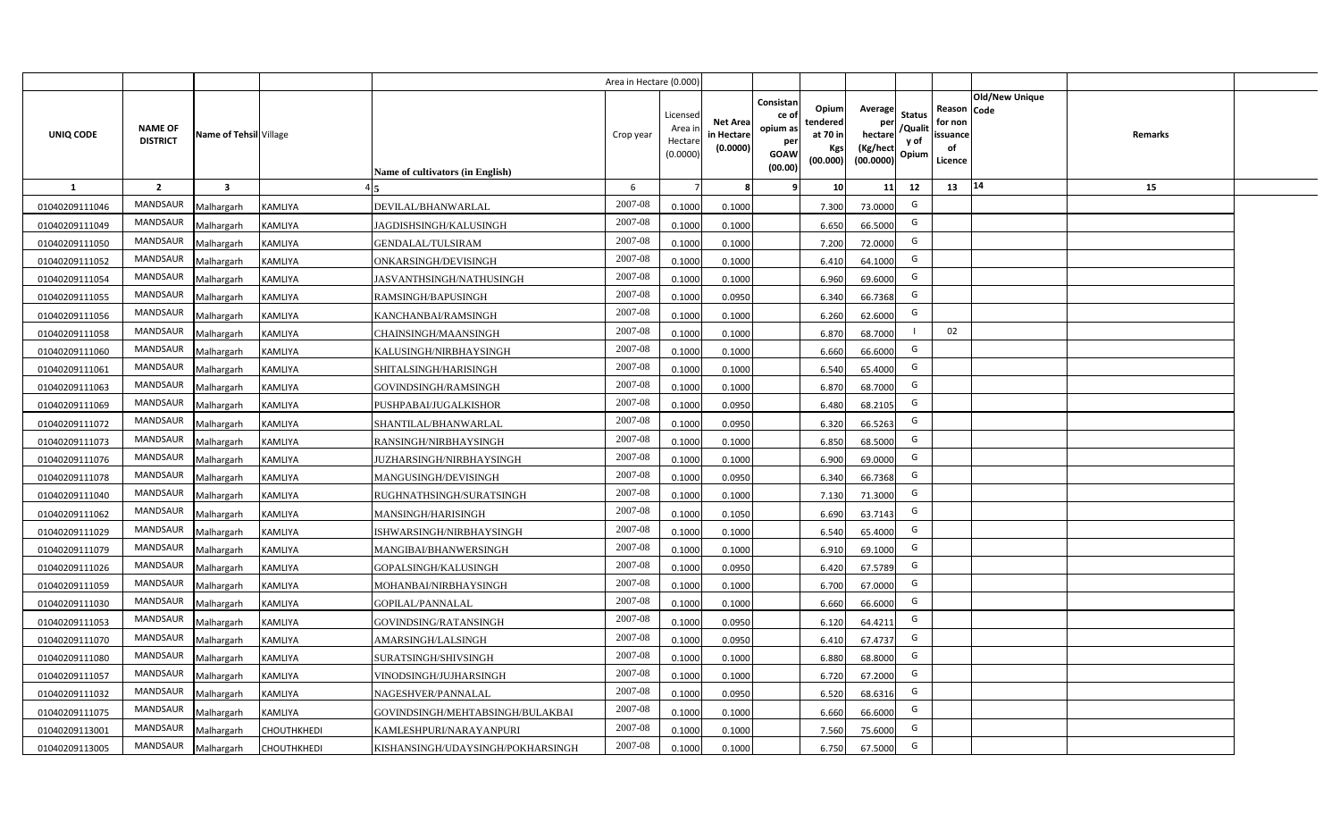|                  |                                   |                         |                    |                                         | Area in Hectare (0.000) |                                           |                                           |                                                                                                                     |                                                    |                                           |                                                     |                       |         |  |
|------------------|-----------------------------------|-------------------------|--------------------|-----------------------------------------|-------------------------|-------------------------------------------|-------------------------------------------|---------------------------------------------------------------------------------------------------------------------|----------------------------------------------------|-------------------------------------------|-----------------------------------------------------|-----------------------|---------|--|
| <b>UNIQ CODE</b> | <b>NAME OF</b><br><b>DISTRICT</b> | Name of Tehsil Village  |                    | <b>Name of cultivators (in English)</b> | Crop year               | Licensed<br>Area i<br>Hectare<br>(0.0000) | <b>Net Area</b><br>in Hectare<br>(0.0000) | Consistan<br>Opium<br>ce of<br>tendered<br>opium as<br>at 70 in<br>per<br>Kgs<br><b>GOAW</b><br>(00.000)<br>(00.00) | Average<br>per<br>hectare<br>(Kg/hect<br>(00.0000) | <b>Status</b><br>/Qualit<br>y of<br>Opium | Reason Code<br>for non<br>issuance<br>of<br>Licence | <b>Old/New Unique</b> | Remarks |  |
| 1                | $\overline{2}$                    | $\overline{\mathbf{3}}$ |                    |                                         | 6                       |                                           | 8                                         | 10 <sup>1</sup><br>-9                                                                                               | 11                                                 | 12                                        | 13                                                  | 14                    | 15      |  |
| 01040209111046   | MANDSAUR                          | Malhargarh              | KAMLIYA            | DEVILAL/BHANWARLAL                      | 2007-08                 | 0.1000                                    | 0.1000                                    | 7.300                                                                                                               | 73.0000                                            | G                                         |                                                     |                       |         |  |
| 01040209111049   | MANDSAUR                          | Malhargarh              | <b>KAMLIYA</b>     | JAGDISHSINGH/KALUSINGH                  | 2007-08                 | 0.1000                                    | 0.1000                                    | 6.650                                                                                                               | 66.5000                                            | G                                         |                                                     |                       |         |  |
| 01040209111050   | MANDSAUR                          | Malhargarh              | KAMLIYA            | <b>GENDALAL/TULSIRAM</b>                | 2007-08                 | 0.1000                                    | 0.1000                                    | 7.200                                                                                                               | 72.0000                                            | G                                         |                                                     |                       |         |  |
| 01040209111052   | <b>MANDSAUR</b>                   | Malhargarh              | <b>KAMLIYA</b>     | ONKARSINGH/DEVISINGH                    | 2007-08                 | 0.1000                                    | 0.1000                                    | 6.410                                                                                                               | 64.1000                                            | G                                         |                                                     |                       |         |  |
| 01040209111054   | MANDSAUR                          | Malhargarh              | KAMLIYA            | JASVANTHSINGH/NATHUSINGH                | 2007-08                 | 0.1000                                    | 0.1000                                    | 6.960                                                                                                               | 69.6000                                            | G                                         |                                                     |                       |         |  |
| 01040209111055   | MANDSAUR                          | Malhargarh              | KAMLIYA            | RAMSINGH/BAPUSINGH                      | 2007-08                 | 0.1000                                    | 0.0950                                    | 6.340                                                                                                               | 66.7368                                            | G                                         |                                                     |                       |         |  |
| 01040209111056   | MANDSAUR                          | Malhargarh              | KAMLIYA            | KANCHANBAI/RAMSINGH                     | 2007-08                 | 0.1000                                    | 0.1000                                    | 6.260                                                                                                               | 62.6000                                            | G                                         |                                                     |                       |         |  |
| 01040209111058   | MANDSAUR                          | Malhargarh              | KAMLIYA            | CHAINSINGH/MAANSINGH                    | 2007-08                 | 0.1000                                    | 0.1000                                    | 6.870                                                                                                               | 68.7000                                            |                                           | 02                                                  |                       |         |  |
| 01040209111060   | <b>MANDSAUR</b>                   | Malhargarh              | <b>KAMLIYA</b>     | KALUSINGH/NIRBHAYSINGH                  | 2007-08                 | 0.1000                                    | 0.1000                                    | 6.660                                                                                                               | 66.6000                                            | G                                         |                                                     |                       |         |  |
| 01040209111061   | <b>MANDSAUR</b>                   | Malhargarh              | KAMLIYA            | SHITALSINGH/HARISINGH                   | 2007-08                 | 0.1000                                    | 0.1000                                    | 6.540                                                                                                               | 65.4000                                            | G                                         |                                                     |                       |         |  |
| 01040209111063   | MANDSAUR                          | Malhargarh              | KAMLIYA            | GOVINDSINGH/RAMSINGH                    | 2007-08                 | 0.1000                                    | 0.1000                                    | 6.870                                                                                                               | 68.7000                                            | G                                         |                                                     |                       |         |  |
| 01040209111069   | <b>MANDSAUR</b>                   | Malhargarh              | <b>KAMLIYA</b>     | PUSHPABAI/JUGALKISHOR                   | 2007-08                 | 0.1000                                    | 0.0950                                    | 6.480                                                                                                               | 68.2105                                            | G                                         |                                                     |                       |         |  |
| 01040209111072   | <b>MANDSAUR</b>                   | Malhargarh              | KAMLIYA            | SHANTILAL/BHANWARLAL                    | 2007-08                 | 0.1000                                    | 0.0950                                    | 6.320                                                                                                               | 66.5263                                            | G                                         |                                                     |                       |         |  |
| 01040209111073   | <b>MANDSAUR</b>                   | Malhargarh              | KAMLIYA            | RANSINGH/NIRBHAYSINGH                   | 2007-08                 | 0.1000                                    | 0.1000                                    | 6.850                                                                                                               | 68.5000                                            | G                                         |                                                     |                       |         |  |
| 01040209111076   | <b>MANDSAUR</b>                   | Malhargarh              | KAMLIYA            | <b>JUZHARSINGH/NIRBHAYSINGH</b>         | 2007-08                 | 0.1000                                    | 0.1000                                    | 6.900                                                                                                               | 69.0000                                            | G                                         |                                                     |                       |         |  |
| 01040209111078   | <b>MANDSAUR</b>                   | Malhargarh              | KAMLIYA            | MANGUSINGH/DEVISINGH                    | 2007-08                 | 0.1000                                    | 0.0950                                    | 6.340                                                                                                               | 66.7368                                            | G                                         |                                                     |                       |         |  |
| 01040209111040   | <b>MANDSAUR</b>                   | Malhargarh              | KAMLIYA            | RUGHNATHSINGH/SURATSINGH                | 2007-08                 | 0.1000                                    | 0.1000                                    | 7.130                                                                                                               | 71.3000                                            | G                                         |                                                     |                       |         |  |
| 01040209111062   | <b>MANDSAUR</b>                   | Malhargarh              | KAMLIYA            | MANSINGH/HARISINGH                      | 2007-08                 | 0.1000                                    | 0.1050                                    | 6.690                                                                                                               | 63.7143                                            | G                                         |                                                     |                       |         |  |
| 01040209111029   | <b>MANDSAUR</b>                   | Malhargarh              | KAMLIYA            | ISHWARSINGH/NIRBHAYSINGH                | 2007-08                 | 0.1000                                    | 0.1000                                    | 6.540                                                                                                               | 65.4000                                            | G                                         |                                                     |                       |         |  |
| 01040209111079   | <b>MANDSAUR</b>                   | Malhargarh              | KAMLIYA            | MANGIBAI/BHANWERSINGH                   | 2007-08                 | 0.1000                                    | 0.1000                                    | 6.91                                                                                                                | 69.1000                                            | G                                         |                                                     |                       |         |  |
| 01040209111026   | MANDSAUR                          | Malhargarh              | <b>KAMLIYA</b>     | GOPALSINGH/KALUSINGH                    | 2007-08                 | 0.1000                                    | 0.0950                                    | 6.420                                                                                                               | 67.5789                                            | G                                         |                                                     |                       |         |  |
| 01040209111059   | <b>MANDSAUR</b>                   | Malhargarh              | KAMLIYA            | MOHANBAI/NIRBHAYSINGH                   | 2007-08                 | 0.1000                                    | 0.1000                                    | 6.700                                                                                                               | 67.0000                                            | G                                         |                                                     |                       |         |  |
| 01040209111030   | <b>MANDSAUR</b>                   | Malhargarh              | KAMLIYA            | GOPILAL/PANNALAL                        | 2007-08                 | 0.1000                                    | 0.1000                                    | 6.660                                                                                                               | 66.6000                                            | G                                         |                                                     |                       |         |  |
| 01040209111053   | MANDSAUR                          | Malhargarh              | <b>KAMLIYA</b>     | GOVINDSING/RATANSINGH                   | 2007-08                 | 0.1000                                    | 0.0950                                    | 6.120                                                                                                               | 64.4211                                            | G                                         |                                                     |                       |         |  |
| 01040209111070   | MANDSAUR                          | Malhargarh              | KAMLIYA            | AMARSINGH/LALSINGH                      | 2007-08                 | 0.1000                                    | 0.0950                                    | 6.410                                                                                                               | 67.4737                                            | G                                         |                                                     |                       |         |  |
| 01040209111080   | MANDSAUR                          | Malhargarh              | KAMLIYA            | SURATSINGH/SHIVSINGH                    | 2007-08                 | 0.1000                                    | 0.1000                                    | 6.880                                                                                                               | 68.8000                                            | G                                         |                                                     |                       |         |  |
| 01040209111057   | MANDSAUR                          | Malhargarh              | KAMLIYA            | VINODSINGH/JUJHARSINGH                  | 2007-08                 | 0.1000                                    | 0.1000                                    | 6.720                                                                                                               | 67.2000                                            | G                                         |                                                     |                       |         |  |
| 01040209111032   | MANDSAUR                          | Malhargarh              | KAMLIYA            | NAGESHVER/PANNALAL                      | 2007-08                 | 0.1000                                    | 0.0950                                    | 6.520                                                                                                               | 68.6316                                            | G                                         |                                                     |                       |         |  |
| 01040209111075   | MANDSAUR                          | Malhargarh              | KAMLIYA            | GOVINDSINGH/MEHTABSINGH/BULAKBAI        | 2007-08                 | 0.1000                                    | 0.1000                                    | 6.660                                                                                                               | 66.6000                                            | G                                         |                                                     |                       |         |  |
| 01040209113001   | MANDSAUR                          | Malhargarh              | CHOUTHKHEDI        | KAMLESHPURI/NARAYANPURI                 | 2007-08                 | 0.1000                                    | 0.1000                                    | 7.560                                                                                                               | 75.6000                                            | G                                         |                                                     |                       |         |  |
| 01040209113005   | MANDSAUR                          | Malhargarh              | <b>CHOUTHKHEDI</b> | KISHANSINGH/UDAYSINGH/POKHARSINGH       | 2007-08                 | 0.1000                                    | 0.1000                                    | 6.750                                                                                                               | 67.5000                                            | G                                         |                                                     |                       |         |  |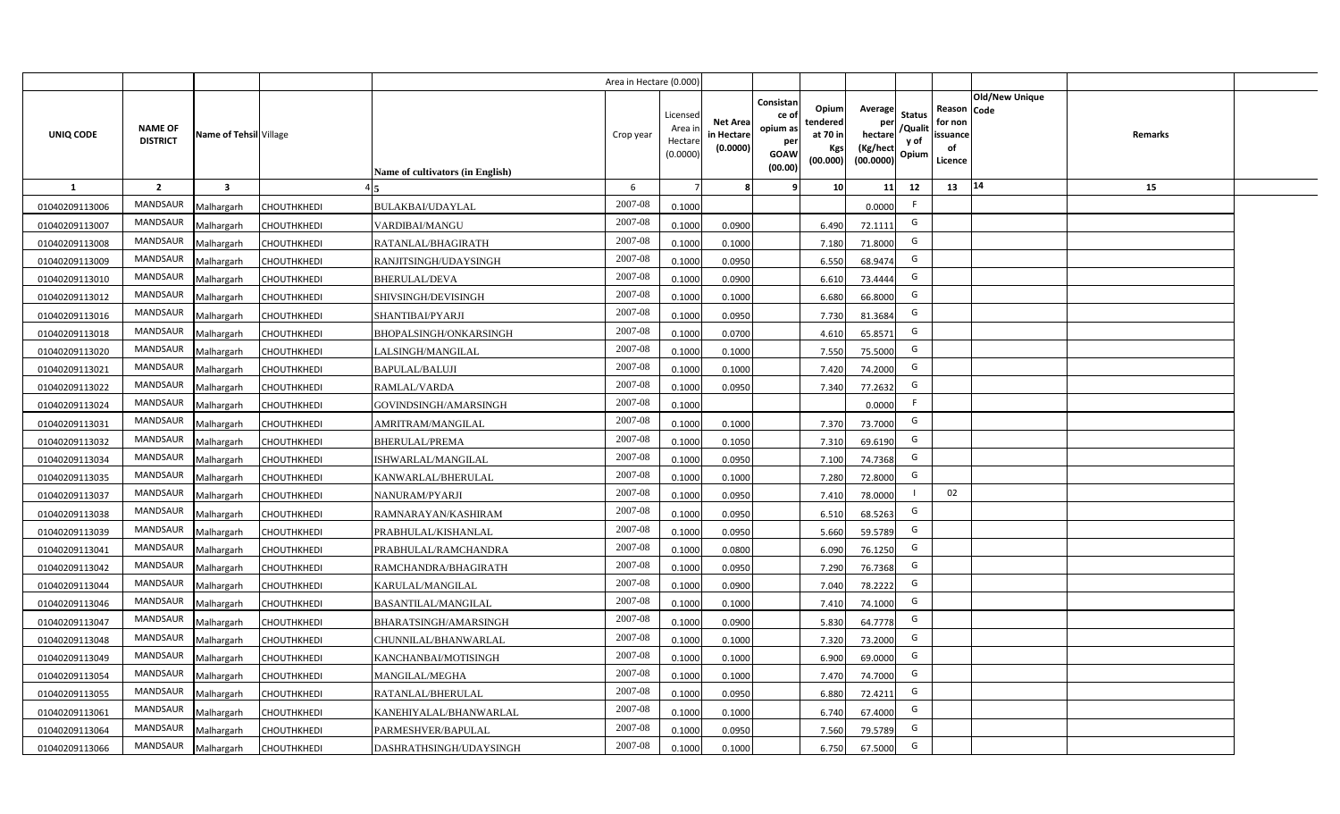|                |                                   |                         |                    |                                  | Area in Hectare (0.000 |                                          |                                           |                                                                 |                                                  |                                                    |                                           |                                                     |                       |                |  |
|----------------|-----------------------------------|-------------------------|--------------------|----------------------------------|------------------------|------------------------------------------|-------------------------------------------|-----------------------------------------------------------------|--------------------------------------------------|----------------------------------------------------|-------------------------------------------|-----------------------------------------------------|-----------------------|----------------|--|
| UNIQ CODE      | <b>NAME OF</b><br><b>DISTRICT</b> | Name of Tehsil Village  |                    | Name of cultivators (in English) | Crop year              | Licensec<br>Area i<br>Hectar<br>(0.0000) | <b>Net Area</b><br>in Hectare<br>(0.0000) | Consistan<br>ce of<br>opium as<br>per<br><b>GOAW</b><br>(00.00) | Opium<br>tendered<br>at 70 in<br>Kgs<br>(00.000) | Average<br>per<br>hectare<br>(Kg/hect<br>(00.0000) | <b>Status</b><br>/Qualit<br>y of<br>Opium | Reason Code<br>for non<br>issuance<br>of<br>Licence | <b>Old/New Unique</b> | <b>Remarks</b> |  |
| 1              | $\overline{2}$                    | $\overline{\mathbf{3}}$ |                    |                                  | 6                      |                                          |                                           | 9                                                               | 10 <sup>1</sup>                                  | 11                                                 | 12                                        | 13                                                  | $\vert 14$            | 15             |  |
| 01040209113006 | MANDSAUR                          | Malhargarh              | CHOUTHKHEDI        | BULAKBAI/UDAYLAL                 | 2007-08                | 0.1000                                   |                                           |                                                                 |                                                  | 0.0000                                             | -F                                        |                                                     |                       |                |  |
| 01040209113007 | MANDSAUR                          | Malhargarh              | CHOUTHKHEDI        | VARDIBAI/MANGU                   | 2007-08                | 0.1000                                   | 0.0900                                    |                                                                 | 6.490                                            | 72.1111                                            | G                                         |                                                     |                       |                |  |
| 01040209113008 | <b>MANDSAUR</b>                   | Malhargarh              | CHOUTHKHEDI        | RATANLAL/BHAGIRATH               | 2007-08                | 0.1000                                   | 0.1000                                    |                                                                 | 7.180                                            | 71.8000                                            | G                                         |                                                     |                       |                |  |
| 01040209113009 | MANDSAUR                          | Malhargarh              | CHOUTHKHEDI        | RANJITSINGH/UDAYSINGH            | 2007-08                | 0.100                                    | 0.0950                                    |                                                                 | 6.550                                            | 68.9474                                            | G                                         |                                                     |                       |                |  |
| 01040209113010 | MANDSAUR                          | Malhargarh              | <b>CHOUTHKHEDI</b> | <b>BHERULAL/DEVA</b>             | 2007-08                | 0.100                                    | 0.0900                                    |                                                                 | 6.610                                            | 73.4444                                            | G                                         |                                                     |                       |                |  |
| 01040209113012 | MANDSAUR                          | Malhargarh              | CHOUTHKHEDI        | SHIVSINGH/DEVISINGH              | 2007-08                | 0.1000                                   | 0.1000                                    |                                                                 | 6.680                                            | 66.8000                                            | G                                         |                                                     |                       |                |  |
| 01040209113016 | MANDSAUR                          | Malhargarh              | CHOUTHKHEDI        | <b>SHANTIBAI/PYARJI</b>          | 2007-08                | 0.1000                                   | 0.0950                                    |                                                                 | 7.730                                            | 81.3684                                            | G                                         |                                                     |                       |                |  |
| 01040209113018 | MANDSAUR                          | Malhargarh              | <b>CHOUTHKHEDI</b> | <b>BHOPALSINGH/ONKARSINGH</b>    | 2007-08                | 0.1000                                   | 0.0700                                    |                                                                 | 4.610                                            | 65.8571                                            | G                                         |                                                     |                       |                |  |
| 01040209113020 | MANDSAUR                          | Malhargarh              | CHOUTHKHEDI        | LALSINGH/MANGILAL                | 2007-08                | 0.100                                    | 0.1000                                    |                                                                 | 7.550                                            | 75.5000                                            | G                                         |                                                     |                       |                |  |
| 01040209113021 | MANDSAUR                          | Malhargarh              | <b>CHOUTHKHEDI</b> | <b>BAPULAL/BALUJI</b>            | 2007-08                | 0.1000                                   | 0.1000                                    |                                                                 | 7.420                                            | 74.2000                                            | G                                         |                                                     |                       |                |  |
| 01040209113022 | MANDSAUR                          | Malhargarh              | <b>CHOUTHKHEDI</b> | RAMLAL/VARDA                     | 2007-08                | 0.1000                                   | 0.0950                                    |                                                                 | 7.340                                            | 77.2632                                            | G                                         |                                                     |                       |                |  |
| 01040209113024 | MANDSAUR                          | Malhargarh              | CHOUTHKHEDI        | GOVINDSINGH/AMARSINGH            | 2007-08                | 0.1000                                   |                                           |                                                                 |                                                  | 0.0000                                             | -F                                        |                                                     |                       |                |  |
| 01040209113031 | <b>MANDSAUR</b>                   | Malhargarh              | <b>CHOUTHKHEDI</b> | AMRITRAM/MANGILAL                | 2007-08                | 0.1000                                   | 0.1000                                    |                                                                 | 7.370                                            | 73.7000                                            | G                                         |                                                     |                       |                |  |
| 01040209113032 | <b>MANDSAUR</b>                   | Malhargarh              | <b>CHOUTHKHEDI</b> | <b>BHERULAL/PREMA</b>            | 2007-08                | 0.1000                                   | 0.1050                                    |                                                                 | 7.310                                            | 69.6190                                            | G                                         |                                                     |                       |                |  |
| 01040209113034 | MANDSAUR                          | Malhargarh              | <b>CHOUTHKHEDI</b> | ISHWARLAL/MANGILAL               | 2007-08                | 0.1000                                   | 0.0950                                    |                                                                 | 7.100                                            | 74.7368                                            | G                                         |                                                     |                       |                |  |
| 01040209113035 | <b>MANDSAUR</b>                   | Malhargarh              | <b>CHOUTHKHEDI</b> | KANWARLAL/BHERULAL               | 2007-08                | 0.1000                                   | 0.1000                                    |                                                                 | 7.280                                            | 72.8000                                            | G                                         |                                                     |                       |                |  |
| 01040209113037 | <b>MANDSAUR</b>                   | Malhargarh              | CHOUTHKHEDI        | NANURAM/PYARJI                   | 2007-08                | 0.1000                                   | 0.0950                                    |                                                                 | 7.410                                            | 78.0000                                            |                                           | 02                                                  |                       |                |  |
| 01040209113038 | <b>MANDSAUR</b>                   | Malhargarh              | CHOUTHKHEDI        | RAMNARAYAN/KASHIRAM              | 2007-08                | 0.100                                    | 0.0950                                    |                                                                 | 6.510                                            | 68.5263                                            | G                                         |                                                     |                       |                |  |
| 01040209113039 | <b>MANDSAUR</b>                   | Malhargarh              | CHOUTHKHEDI        | PRABHULAL/KISHANLAL              | 2007-08                | 0.100                                    | 0.0950                                    |                                                                 | 5.660                                            | 59.5789                                            | G                                         |                                                     |                       |                |  |
| 01040209113041 | <b>MANDSAUR</b>                   | Malhargarh              | <b>CHOUTHKHEDI</b> | PRABHULAL/RAMCHANDRA             | 2007-08                | 0.1000                                   | 0.0800                                    |                                                                 | 6.090                                            | 76.1250                                            | G                                         |                                                     |                       |                |  |
| 01040209113042 | <b>MANDSAUR</b>                   | Malhargarh              | CHOUTHKHEDI        | RAMCHANDRA/BHAGIRATH             | 2007-08                | 0.100                                    | 0.0950                                    |                                                                 | 7.290                                            | 76.7368                                            | G                                         |                                                     |                       |                |  |
| 01040209113044 | <b>MANDSAUR</b>                   | Malhargarh              | <b>CHOUTHKHEDI</b> | KARULAL/MANGILAL                 | 2007-08                | 0.100                                    | 0.0900                                    |                                                                 | 7.040                                            | 78.2222                                            | G                                         |                                                     |                       |                |  |
| 01040209113046 | MANDSAUR                          | Malhargarh              | CHOUTHKHEDI        | <b>BASANTILAL/MANGILAL</b>       | 2007-08                | 0.100                                    | 0.1000                                    |                                                                 | 7.410                                            | 74.1000                                            | G                                         |                                                     |                       |                |  |
| 01040209113047 | <b>MANDSAUR</b>                   | Malhargarh              | <b>CHOUTHKHEDI</b> | BHARATSINGH/AMARSINGH            | 2007-08                | 0.100                                    | 0.0900                                    |                                                                 | 5.830                                            | 64.7778                                            | G                                         |                                                     |                       |                |  |
| 01040209113048 | <b>MANDSAUR</b>                   | Malhargarh              | CHOUTHKHEDI        | CHUNNILAL/BHANWARLAL             | 2007-08                | 0.1000                                   | 0.1000                                    |                                                                 | 7.320                                            | 73.2000                                            | G                                         |                                                     |                       |                |  |
| 01040209113049 | MANDSAUR                          | Malhargarh              | CHOUTHKHEDI        | KANCHANBAI/MOTISINGH             | 2007-08                | 0.1000                                   | 0.1000                                    |                                                                 | 6.900                                            | 69.0000                                            | G                                         |                                                     |                       |                |  |
| 01040209113054 | MANDSAUR                          | Malhargarh              | CHOUTHKHEDI        | MANGILAL/MEGHA                   | 2007-08                | 0.1000                                   | 0.1000                                    |                                                                 | 7.470                                            | 74.7000                                            | G                                         |                                                     |                       |                |  |
| 01040209113055 | MANDSAUR                          | Malhargarh              | CHOUTHKHEDI        | RATANLAL/BHERULAL                | 2007-08                | 0.1000                                   | 0.095                                     |                                                                 | 6.880                                            | 72.4211                                            | G                                         |                                                     |                       |                |  |
| 01040209113061 | MANDSAUR                          | Malhargarh              | CHOUTHKHEDI        | KANEHIYALAL/BHANWARLAL           | 2007-08                | 0.1000                                   | 0.1000                                    |                                                                 | 6.740                                            | 67.4000                                            | G                                         |                                                     |                       |                |  |
| 01040209113064 | MANDSAUR                          | Malhargarh              | CHOUTHKHEDI        | PARMESHVER/BAPULAL               | 2007-08                | 0.1000                                   | 0.0950                                    |                                                                 | 7.560                                            | 79.5789                                            | G                                         |                                                     |                       |                |  |
| 01040209113066 | MANDSAUR                          | Malhargarh              | CHOUTHKHEDI        | DASHRATHSINGH/UDAYSINGH          | 2007-08                | 0.1000                                   | 0.1000                                    |                                                                 | 6.750                                            | 67.5000                                            | G                                         |                                                     |                       |                |  |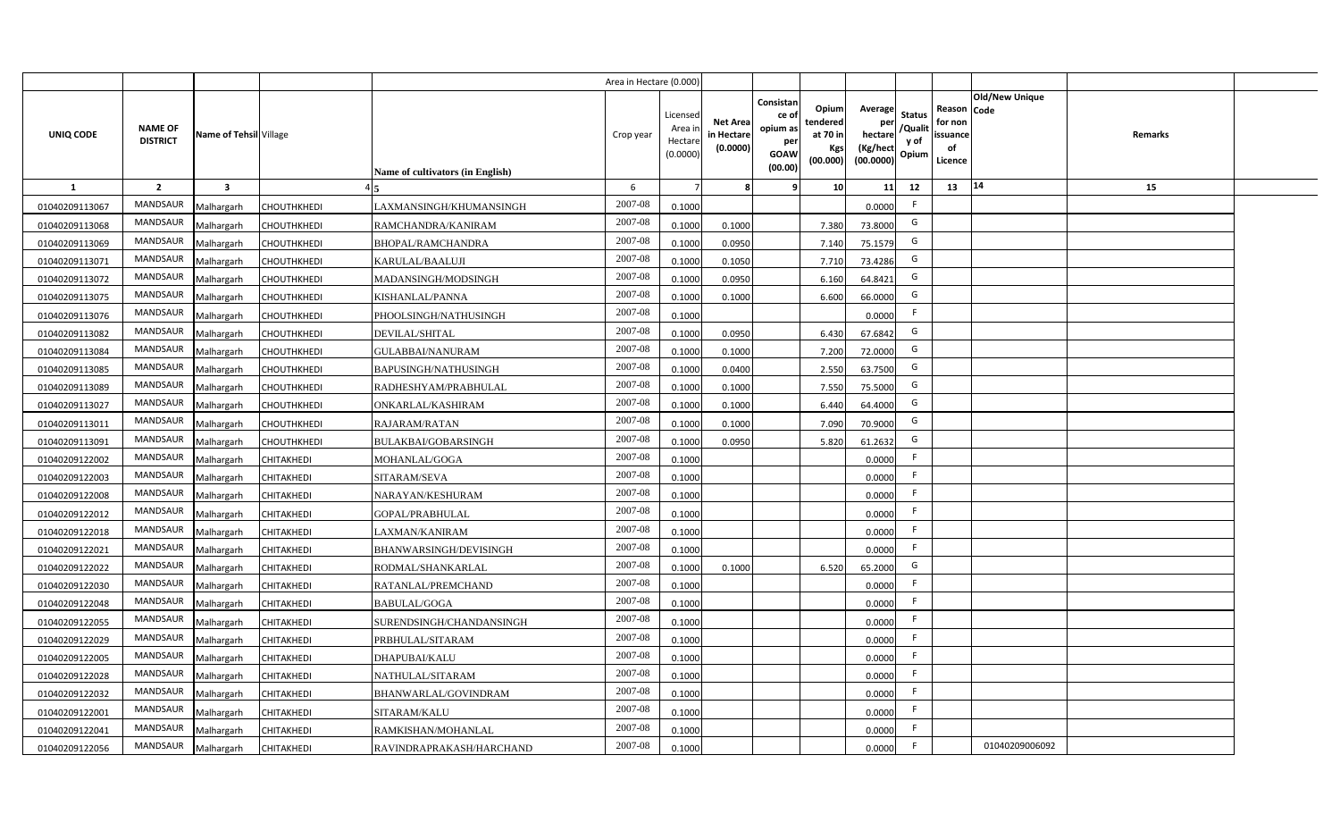|                |                                   |                         |                    |                                         | Area in Hectare (0.000) |                                          |                                           |                                                         |                                                  |                                                    |                                           |                                                                       |         |  |
|----------------|-----------------------------------|-------------------------|--------------------|-----------------------------------------|-------------------------|------------------------------------------|-------------------------------------------|---------------------------------------------------------|--------------------------------------------------|----------------------------------------------------|-------------------------------------------|-----------------------------------------------------------------------|---------|--|
| UNIQ CODE      | <b>NAME OF</b><br><b>DISTRICT</b> | Name of Tehsil Village  |                    | <b>Name of cultivators (in English)</b> | Crop year               | Licensec<br>Area i<br>Hectar<br>(0.0000) | <b>Net Area</b><br>in Hectare<br>(0.0000) | Consistan<br>ce o<br>opium as<br>per<br>GOAW<br>(00.00) | Opium<br>tendered<br>at 70 in<br>Kgs<br>(00.000) | Average<br>per<br>hectare<br>(Kg/hect<br>(00.0000) | <b>Status</b><br>/Qualit<br>y of<br>Opium | Old/New Unique<br>Reason Code<br>for non<br>issuance<br>of<br>Licence | Remarks |  |
| $\mathbf{1}$   | $\overline{2}$                    | $\overline{\mathbf{3}}$ |                    |                                         | 6                       |                                          |                                           |                                                         | 10                                               | 11                                                 | 12                                        | 14<br>13                                                              | 15      |  |
| 01040209113067 | MANDSAUR                          | Malhargarh              | CHOUTHKHEDI        | AXMANSINGH/KHUMANSINGH                  | 2007-08                 | 0.1000                                   |                                           |                                                         |                                                  | 0.0000                                             | -F                                        |                                                                       |         |  |
| 01040209113068 | MANDSAUR                          | Malhargarh              | CHOUTHKHEDI        | RAMCHANDRA/KANIRAM                      | 2007-08                 | 0.1000                                   | 0.1000                                    |                                                         | 7.380                                            | 73.8000                                            | G                                         |                                                                       |         |  |
| 01040209113069 | <b>MANDSAUR</b>                   | Malhargarh              | CHOUTHKHEDI        | BHOPAL/RAMCHANDRA                       | 2007-08                 | 0.100                                    | 0.0950                                    |                                                         | 7.140                                            | 75.1579                                            | G                                         |                                                                       |         |  |
| 01040209113071 | MANDSAUR                          | Malhargarh              | CHOUTHKHEDI        | KARULAL/BAALUJI                         | 2007-08                 | 0.100                                    | 0.1050                                    |                                                         | 7.710                                            | 73.4286                                            | G                                         |                                                                       |         |  |
| 01040209113072 | MANDSAUR                          | Malhargarh              | <b>CHOUTHKHEDI</b> | MADANSINGH/MODSINGH                     | 2007-08                 | 0.1000                                   | 0.0950                                    |                                                         | 6.160                                            | 64.8421                                            | G                                         |                                                                       |         |  |
| 01040209113075 | MANDSAUR                          | Malhargarh              | CHOUTHKHEDI        | KISHANLAL/PANNA                         | 2007-08                 | 0.100                                    | 0.1000                                    |                                                         | 6.600                                            | 66.0000                                            | G                                         |                                                                       |         |  |
| 01040209113076 | <b>MANDSAUR</b>                   | Malhargarh              | CHOUTHKHEDI        | PHOOLSINGH/NATHUSINGH                   | 2007-08                 | 0.1000                                   |                                           |                                                         |                                                  | 0.0000                                             | F.                                        |                                                                       |         |  |
| 01040209113082 | MANDSAUR                          | Malhargarh              | <b>CHOUTHKHEDI</b> | DEVILAL/SHITAL                          | 2007-08                 | 0.1000                                   | 0.0950                                    |                                                         | 6.430                                            | 67.6842                                            | G                                         |                                                                       |         |  |
| 01040209113084 | MANDSAUR                          | Malhargarh              | CHOUTHKHEDI        | <b>GULABBAI/NANURAM</b>                 | 2007-08                 | 0.1000                                   | 0.1000                                    |                                                         | 7.200                                            | 72.0000                                            | G                                         |                                                                       |         |  |
| 01040209113085 | <b>MANDSAUR</b>                   | Malhargarh              | CHOUTHKHEDI        | BAPUSINGH/NATHUSINGH                    | 2007-08                 | 0.1000                                   | 0.0400                                    |                                                         | 2.550                                            | 63.7500                                            | G                                         |                                                                       |         |  |
| 01040209113089 | MANDSAUR                          | Malhargarh              | CHOUTHKHEDI        | RADHESHYAM/PRABHULAL                    | 2007-08                 | 0.1000                                   | 0.1000                                    |                                                         | 7.550                                            | 75.5000                                            | G                                         |                                                                       |         |  |
| 01040209113027 | MANDSAUR                          | Malhargarh              | CHOUTHKHEDI        | ONKARLAL/KASHIRAM                       | 2007-08                 | 0.1000                                   | 0.1000                                    |                                                         | 6.440                                            | 64.4000                                            | G                                         |                                                                       |         |  |
| 01040209113011 | MANDSAUR                          | Malhargarh              | CHOUTHKHEDI        | RAJARAM/RATAN                           | 2007-08                 | 0.1000                                   | 0.1000                                    |                                                         | 7.090                                            | 70.9000                                            | G                                         |                                                                       |         |  |
| 01040209113091 | MANDSAUR                          | Malhargarh              | CHOUTHKHEDI        | <b>BULAKBAI/GOBARSINGH</b>              | 2007-08                 | 0.1000                                   | 0.0950                                    |                                                         | 5.820                                            | 61.2632                                            | G                                         |                                                                       |         |  |
| 01040209122002 | MANDSAUR                          | Malhargarh              | <b>CHITAKHEDI</b>  | MOHANLAL/GOGA                           | 2007-08                 | 0.1000                                   |                                           |                                                         |                                                  | 0.0000                                             | F.                                        |                                                                       |         |  |
| 01040209122003 | MANDSAUR                          | Malhargarh              | CHITAKHEDI         | SITARAM/SEVA                            | $2007 - 08$             | 0.1000                                   |                                           |                                                         |                                                  | 0.0000                                             | F.                                        |                                                                       |         |  |
| 01040209122008 | MANDSAUR                          | Malhargarh              | CHITAKHEDI         | NARAYAN/KESHURAM                        | 2007-08                 | 0.1000                                   |                                           |                                                         |                                                  | 0.0000                                             | F.                                        |                                                                       |         |  |
| 01040209122012 | MANDSAUR                          | Malhargarh              | CHITAKHEDI         | GOPAL/PRABHULAL                         | 2007-08                 | 0.1000                                   |                                           |                                                         |                                                  | 0.0000                                             | F.                                        |                                                                       |         |  |
| 01040209122018 | MANDSAUR                          | Malhargarh              | CHITAKHEDI         | AXMAN/KANIRAM                           | 2007-08                 | 0.1000                                   |                                           |                                                         |                                                  | 0.0000                                             | F.                                        |                                                                       |         |  |
| 01040209122021 | <b>MANDSAUR</b>                   | Malhargarh              | CHITAKHEDI         | BHANWARSINGH/DEVISINGH                  | $2007 - 08$             | 0.1000                                   |                                           |                                                         |                                                  | 0.0000                                             | F.                                        |                                                                       |         |  |
| 01040209122022 | MANDSAUR                          | Malhargarh              | CHITAKHEDI         | RODMAL/SHANKARLAL                       | 2007-08                 | 0.100                                    | 0.1000                                    |                                                         | 6.520                                            | 65.2000                                            | G                                         |                                                                       |         |  |
| 01040209122030 | <b>MANDSAUR</b>                   | Malhargarh              | CHITAKHEDI         | RATANLAL/PREMCHAND                      | 2007-08                 | 0.1000                                   |                                           |                                                         |                                                  | 0.0000                                             | F.                                        |                                                                       |         |  |
| 01040209122048 | MANDSAUR                          | Malhargarh              | CHITAKHEDI         | BABULAL/GOGA                            | 2007-08                 | 0.1000                                   |                                           |                                                         |                                                  | 0.0000                                             | $\mathsf{F}$                              |                                                                       |         |  |
| 01040209122055 | MANDSAUR                          | Malhargarh              | CHITAKHEDI         | SURENDSINGH/CHANDANSINGH                | 2007-08                 | 0.1000                                   |                                           |                                                         |                                                  | 0.0000                                             | F                                         |                                                                       |         |  |
| 01040209122029 | MANDSAUR                          | Malhargarh              | CHITAKHEDI         | PRBHULAL/SITARAM                        | 2007-08                 | 0.1000                                   |                                           |                                                         |                                                  | 0.0000                                             | $\mathsf{F}$                              |                                                                       |         |  |
| 01040209122005 | MANDSAUR                          | Malhargarh              | CHITAKHEDI         | DHAPUBAI/KALU                           | 2007-08                 | 0.1000                                   |                                           |                                                         |                                                  | 0.0000                                             | $\mathsf{F}$                              |                                                                       |         |  |
| 01040209122028 | MANDSAUR                          | Malhargarh              | CHITAKHEDI         | NATHULAL/SITARAM                        | 2007-08                 | 0.1000                                   |                                           |                                                         |                                                  | 0.0000                                             | F.                                        |                                                                       |         |  |
| 01040209122032 | MANDSAUR                          | Malhargarh              | CHITAKHEDI         | BHANWARLAL/GOVINDRAM                    | 2007-08                 | 0.1000                                   |                                           |                                                         |                                                  | 0.0000                                             | F.                                        |                                                                       |         |  |
| 01040209122001 | MANDSAUR                          | Malhargarh              | CHITAKHEDI         | SITARAM/KALU                            | 2007-08                 | 0.1000                                   |                                           |                                                         |                                                  | 0.0000                                             | $\mathsf{F}$                              |                                                                       |         |  |
| 01040209122041 | MANDSAUR                          | Malhargarh              | CHITAKHEDI         | RAMKISHAN/MOHANLAL                      | 2007-08                 | 0.1000                                   |                                           |                                                         |                                                  | 0.0000                                             | F.                                        |                                                                       |         |  |
| 01040209122056 | MANDSAUR                          | Malhargarh              | <b>CHITAKHEDI</b>  | RAVINDRAPRAKASH/HARCHAND                | 2007-08                 | 0.1000                                   |                                           |                                                         |                                                  | 0.0000                                             | F.                                        | 01040209006092                                                        |         |  |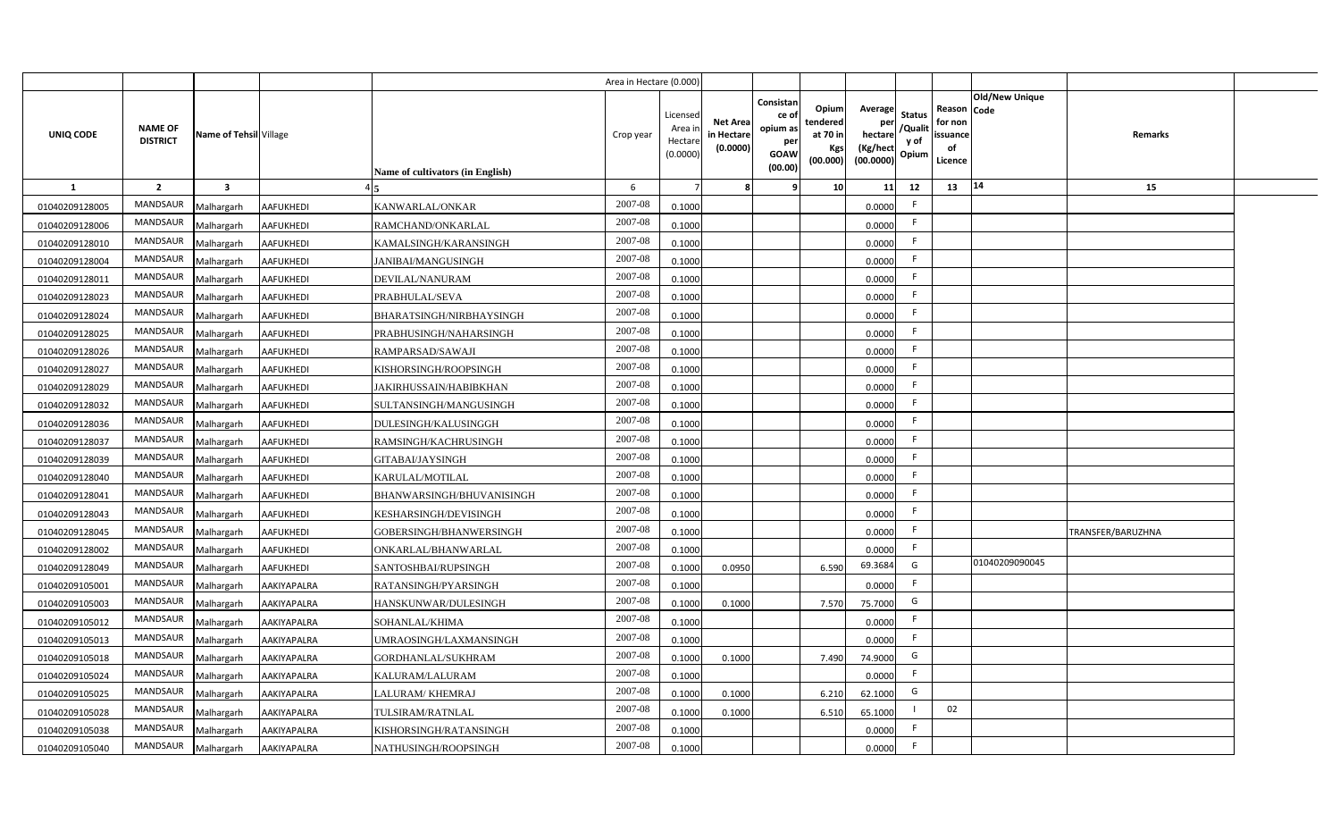|                |                                   |                         |                    |                                  | Area in Hectare (0.000) |                                          |                                           |                                                         |                                                         |                                                            |                                  |                                                     |                       |                   |  |
|----------------|-----------------------------------|-------------------------|--------------------|----------------------------------|-------------------------|------------------------------------------|-------------------------------------------|---------------------------------------------------------|---------------------------------------------------------|------------------------------------------------------------|----------------------------------|-----------------------------------------------------|-----------------------|-------------------|--|
| UNIQ CODE      | <b>NAME OF</b><br><b>DISTRICT</b> | Name of Tehsil Village  |                    | Name of cultivators (in English) | Crop year               | Licensed<br>Area i<br>Hectar<br>(0.0000) | <b>Net Area</b><br>in Hectare<br>(0.0000) | Consistan<br>ce o<br>opium as<br>per<br>GOAW<br>(00.00) | Opium<br>tendered<br>at 70 in<br><b>Kgs</b><br>(00.000) | Average<br>per<br>hectare<br>(Kg/hect<br>$(00.0000)$ Opium | <b>Status</b><br>/Qualit<br>y of | Reason Code<br>for non<br>issuance<br>of<br>Licence | <b>Old/New Unique</b> | <b>Remarks</b>    |  |
| 1              | $\overline{2}$                    | $\overline{\mathbf{3}}$ |                    |                                  | 6                       |                                          |                                           |                                                         | 10                                                      | 11                                                         | 12                               | 13                                                  | 14                    | 15                |  |
| 01040209128005 | <b>MANDSAUR</b>                   | Malhargarh              | AAFUKHEDI          | KANWARLAL/ONKAR                  | 2007-08                 | 0.1000                                   |                                           |                                                         |                                                         | 0.0000                                                     | F.                               |                                                     |                       |                   |  |
| 01040209128006 | <b>MANDSAUR</b>                   | Malhargarh              | AAFUKHEDI          | RAMCHAND/ONKARLAL                | 2007-08                 | 0.1000                                   |                                           |                                                         |                                                         | 0.0000                                                     | F.                               |                                                     |                       |                   |  |
| 01040209128010 | <b>MANDSAUR</b>                   | Malhargarh              | AAFUKHEDI          | KAMALSINGH/KARANSINGH            | 2007-08                 | 0.1000                                   |                                           |                                                         |                                                         | 0.0000                                                     | F.                               |                                                     |                       |                   |  |
| 01040209128004 | MANDSAUR                          | Malhargarh              | AAFUKHEDI          | JANIBAI/MANGUSINGH               | 2007-08                 | 0.1000                                   |                                           |                                                         |                                                         | 0.0000                                                     | F.                               |                                                     |                       |                   |  |
| 01040209128011 | <b>MANDSAUR</b>                   | Malhargarh              | AAFUKHEDI          | DEVILAL/NANURAM                  | 2007-08                 | 0.1000                                   |                                           |                                                         |                                                         | 0.0000                                                     | F.                               |                                                     |                       |                   |  |
| 01040209128023 | MANDSAUR                          | Malhargarh              | AAFUKHEDI          | PRABHULAL/SEVA                   | 2007-08                 | 0.1000                                   |                                           |                                                         |                                                         | 0.0000                                                     | F.                               |                                                     |                       |                   |  |
| 01040209128024 | <b>MANDSAUR</b>                   | Malhargarh              | AAFUKHEDI          | BHARATSINGH/NIRBHAYSINGH         | 2007-08                 | 0.1000                                   |                                           |                                                         |                                                         | 0.0000                                                     | F.                               |                                                     |                       |                   |  |
| 01040209128025 | <b>MANDSAUR</b>                   | Malhargarh              | AAFUKHEDI          | PRABHUSINGH/NAHARSINGH           | 2007-08                 | 0.1000                                   |                                           |                                                         |                                                         | 0.0000                                                     | F.                               |                                                     |                       |                   |  |
| 01040209128026 | <b>MANDSAUR</b>                   | Malhargarh              | AAFUKHEDI          | RAMPARSAD/SAWAJI                 | 2007-08                 | 0.1000                                   |                                           |                                                         |                                                         | 0.0000                                                     | F.                               |                                                     |                       |                   |  |
| 01040209128027 | MANDSAUR                          | Malhargarh              | AAFUKHEDI          | KISHORSINGH/ROOPSINGH            | 2007-08                 | 0.1000                                   |                                           |                                                         |                                                         | 0.0000                                                     | F.                               |                                                     |                       |                   |  |
| 01040209128029 | <b>MANDSAUR</b>                   | Malhargarh              | AAFUKHEDI          | <b>JAKIRHUSSAIN/HABIBKHAN</b>    | 2007-08                 | 0.1000                                   |                                           |                                                         |                                                         | 0.0000                                                     | F.                               |                                                     |                       |                   |  |
| 01040209128032 | MANDSAUR                          | Malhargarh              | AAFUKHEDI          | SULTANSINGH/MANGUSINGH           | 2007-08                 | 0.1000                                   |                                           |                                                         |                                                         | 0.0000                                                     | F.                               |                                                     |                       |                   |  |
| 01040209128036 | <b>MANDSAUR</b>                   | Malhargarh              | AAFUKHEDI          | DULESINGH/KALUSINGGH             | 2007-08                 | 0.1000                                   |                                           |                                                         |                                                         | 0.0000                                                     | F.                               |                                                     |                       |                   |  |
| 01040209128037 | <b>MANDSAUR</b>                   | Malhargarh              | AAFUKHEDI          | RAMSINGH/KACHRUSINGH             | 2007-08                 | 0.1000                                   |                                           |                                                         |                                                         | 0.0000                                                     | F.                               |                                                     |                       |                   |  |
| 01040209128039 | MANDSAUR                          | Malhargarh              | AAFUKHEDI          | GITABAI/JAYSINGH                 | 2007-08                 | 0.1000                                   |                                           |                                                         |                                                         | 0.0000                                                     | F.                               |                                                     |                       |                   |  |
| 01040209128040 | <b>MANDSAUR</b>                   | Malhargarh              | AAFUKHEDI          | KARULAL/MOTILAL                  | 2007-08                 | 0.1000                                   |                                           |                                                         |                                                         | 0.0000                                                     | F.                               |                                                     |                       |                   |  |
| 01040209128041 | <b>MANDSAUR</b>                   | Malhargarh              | <b>AAFUKHEDI</b>   | BHANWARSINGH/BHUVANISINGH        | 2007-08                 | 0.1000                                   |                                           |                                                         |                                                         | 0.0000                                                     | F.                               |                                                     |                       |                   |  |
| 01040209128043 | <b>MANDSAUR</b>                   | Malhargarh              | AAFUKHEDI          | KESHARSINGH/DEVISINGH            | 2007-08                 | 0.1000                                   |                                           |                                                         |                                                         | 0.0000                                                     | F.                               |                                                     |                       |                   |  |
| 01040209128045 | <b>MANDSAUR</b>                   | Malhargarh              | AAFUKHEDI          | GOBERSINGH/BHANWERSINGH          | 2007-08                 | 0.1000                                   |                                           |                                                         |                                                         | 0.0000                                                     | F.                               |                                                     |                       | TRANSFER/BARUZHNA |  |
| 01040209128002 | MANDSAUR                          | Malhargarh              | AAFUKHEDI          | ONKARLAL/BHANWARLAL              | 2007-08                 | 0.1000                                   |                                           |                                                         |                                                         | 0.0000                                                     | F                                |                                                     |                       |                   |  |
| 01040209128049 | MANDSAUR                          | Malhargarh              | AAFUKHEDI          | <b>SANTOSHBAI/RUPSINGH</b>       | 2007-08                 | 0.1000                                   | 0.0950                                    |                                                         | 6.590                                                   | 69.3684                                                    | G                                |                                                     | 01040209090045        |                   |  |
| 01040209105001 | <b>MANDSAUR</b>                   | Malhargarh              | AAKIYAPALRA        | RATANSINGH/PYARSINGH             | 2007-08                 | 0.1000                                   |                                           |                                                         |                                                         | 0.0000                                                     | F.                               |                                                     |                       |                   |  |
| 01040209105003 | <b>MANDSAUR</b>                   | Malhargarh              | <b>AAKIYAPALRA</b> | HANSKUNWAR/DULESINGH             | 2007-08                 | 0.1000                                   | 0.1000                                    |                                                         | 7.570                                                   | 75.7000                                                    | G                                |                                                     |                       |                   |  |
| 01040209105012 | <b>MANDSAUR</b>                   | Malhargarh              | AAKIYAPALRA        | SOHANLAL/KHIMA                   | 2007-08                 | 0.1000                                   |                                           |                                                         |                                                         | 0.0000                                                     | F.                               |                                                     |                       |                   |  |
| 01040209105013 | MANDSAUR                          | Malhargarh              | AAKIYAPALRA        | UMRAOSINGH/LAXMANSINGH           | 2007-08                 | 0.1000                                   |                                           |                                                         |                                                         | 0.0000                                                     | F.                               |                                                     |                       |                   |  |
| 01040209105018 | <b>MANDSAUR</b>                   | Malhargarh              | AAKIYAPALRA        | GORDHANLAL/SUKHRAM               | 2007-08                 | 0.100                                    | 0.1000                                    |                                                         | 7.490                                                   | 74.9000                                                    | G                                |                                                     |                       |                   |  |
| 01040209105024 | MANDSAUR                          | Malhargarh              | AAKIYAPALRA        | KALURAM/LALURAM                  | 2007-08                 | 0.1000                                   |                                           |                                                         |                                                         | 0.0000                                                     | F.                               |                                                     |                       |                   |  |
| 01040209105025 | MANDSAUR                          | Malhargarh              | AAKIYAPALRA        | LALURAM/KHEMRAJ                  | 2007-08                 | 0.1000                                   | 0.1000                                    |                                                         | 6.210                                                   | 62.1000                                                    | G                                |                                                     |                       |                   |  |
| 01040209105028 | <b>MANDSAUR</b>                   | Malhargarh              | AAKIYAPALRA        | TULSIRAM/RATNLAL                 | 2007-08                 | 0.1000                                   | 0.1000                                    |                                                         | 6.510                                                   | 65.1000                                                    |                                  | 02                                                  |                       |                   |  |
| 01040209105038 | MANDSAUR                          | Malhargarh              | AAKIYAPALRA        | KISHORSINGH/RATANSINGH           | 2007-08                 | 0.1000                                   |                                           |                                                         |                                                         | 0.0000                                                     | -F                               |                                                     |                       |                   |  |
| 01040209105040 | MANDSAUR                          | Malhargarh              | <b>AAKIYAPALRA</b> | NATHUSINGH/ROOPSINGH             | 2007-08                 | 0.1000                                   |                                           |                                                         |                                                         | 0.0000                                                     | F                                |                                                     |                       |                   |  |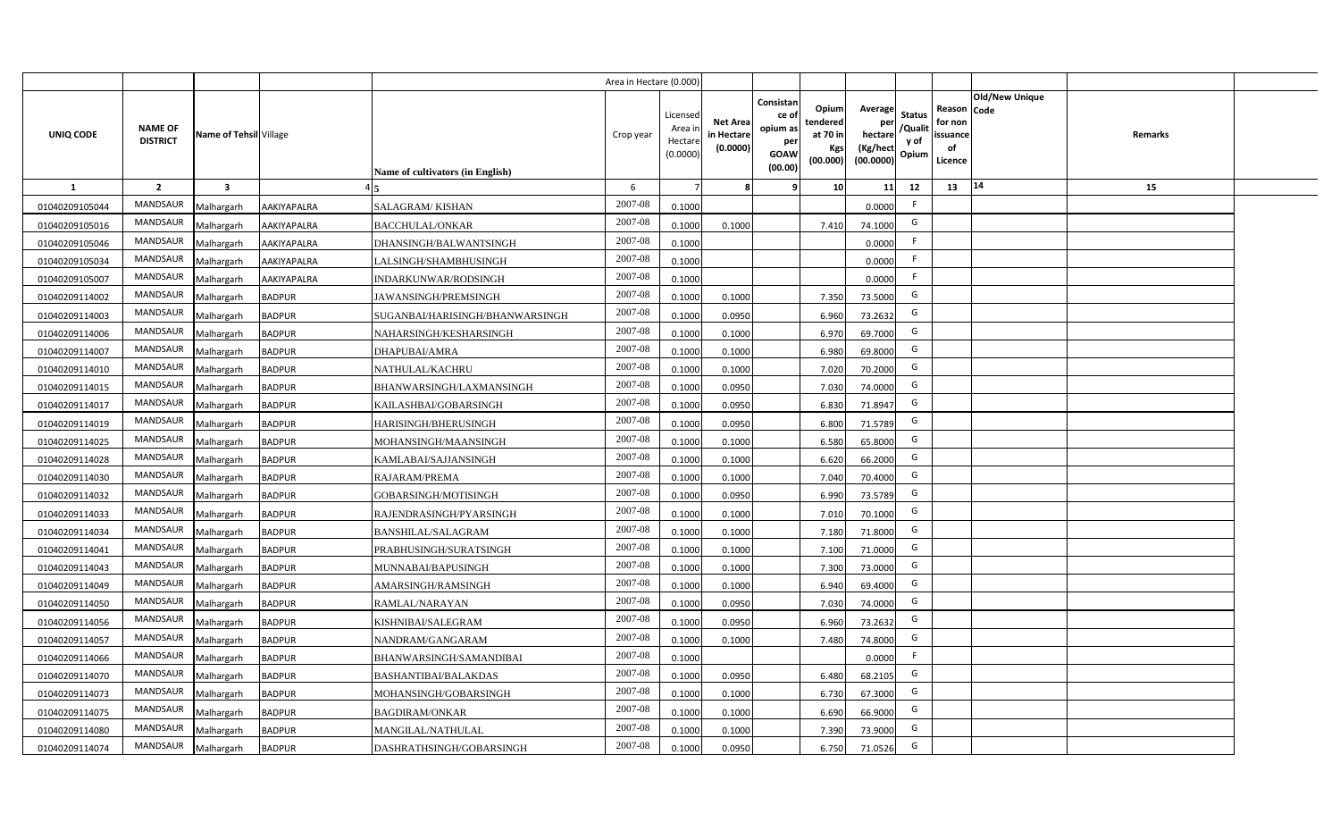|                |                                   |                         |               |                                  | Area in Hectare (0.000 |                                          |                                           |                                                                 |                                                  |                                                    |                                           |                                                     |                |                |  |
|----------------|-----------------------------------|-------------------------|---------------|----------------------------------|------------------------|------------------------------------------|-------------------------------------------|-----------------------------------------------------------------|--------------------------------------------------|----------------------------------------------------|-------------------------------------------|-----------------------------------------------------|----------------|----------------|--|
| UNIQ CODE      | <b>NAME OF</b><br><b>DISTRICT</b> | Name of Tehsil Village  |               | Name of cultivators (in English) | Crop year              | Licensec<br>Area i<br>Hectar<br>(0.0000) | <b>Net Area</b><br>in Hectare<br>(0.0000) | Consistan<br>ce of<br>opium as<br>per<br><b>GOAW</b><br>(00.00) | Opium<br>tendered<br>at 70 in<br>Kgs<br>(00.000) | Average<br>per<br>hectare<br>(Kg/hect<br>(00.0000) | <b>Status</b><br>/Qualit<br>y of<br>Opium | Reason Code<br>for non<br>issuance<br>of<br>Licence | Old/New Unique | <b>Remarks</b> |  |
| 1              | $\overline{2}$                    | $\overline{\mathbf{3}}$ |               |                                  | 6                      |                                          |                                           | 9                                                               | 10 <sup>1</sup>                                  | 11                                                 | 12                                        | 13                                                  | $\vert 14$     | 15             |  |
| 01040209105044 | MANDSAUR                          | Malhargarh              | AAKIYAPALRA   | SALAGRAM/KISHAN                  | 2007-08                | 0.1000                                   |                                           |                                                                 |                                                  | 0.0000                                             | $\mathsf{F}$                              |                                                     |                |                |  |
| 01040209105016 | MANDSAUR                          | Malhargarh              | AAKIYAPALRA   | <b>BACCHULAL/ONKAR</b>           | 2007-08                | 0.1000                                   | 0.1000                                    |                                                                 | 7.410                                            | 74.1000                                            | G                                         |                                                     |                |                |  |
| 01040209105046 | <b>MANDSAUR</b>                   | Malhargarh              | AAKIYAPALRA   | DHANSINGH/BALWANTSINGH           | 2007-08                | 0.1000                                   |                                           |                                                                 |                                                  | 0.0000                                             |                                           |                                                     |                |                |  |
| 01040209105034 | MANDSAUR                          | Malhargarh              | AAKIYAPALRA   | LALSINGH/SHAMBHUSINGH            | 2007-08                | 0.1000                                   |                                           |                                                                 |                                                  | 0.0000                                             | -F                                        |                                                     |                |                |  |
| 01040209105007 | MANDSAUR                          | Malhargarh              | AAKIYAPALRA   | INDARKUNWAR/RODSINGH             | 2007-08                | 0.1000                                   |                                           |                                                                 |                                                  | 0.0000                                             |                                           |                                                     |                |                |  |
| 01040209114002 | <b>MANDSAUR</b>                   | Malhargarh              | <b>BADPUR</b> | <b>JAWANSINGH/PREMSINGH</b>      | 2007-08                | 0.1000                                   | 0.1000                                    |                                                                 | 7.350                                            | 73.5000                                            | G                                         |                                                     |                |                |  |
| 01040209114003 | MANDSAUR                          | Malhargarh              | <b>BADPUR</b> | SUGANBAI/HARISINGH/BHANWARSINGH  | 2007-08                | 0.1000                                   | 0.0950                                    |                                                                 | 6.960                                            | 73.2632                                            | G                                         |                                                     |                |                |  |
| 01040209114006 | MANDSAUR                          | Malhargarh              | <b>BADPUR</b> | NAHARSINGH/KESHARSINGH           | 2007-08                | 0.1000                                   | 0.1000                                    |                                                                 | 6.970                                            | 69.7000                                            | G                                         |                                                     |                |                |  |
| 01040209114007 | MANDSAUR                          | Malhargarh              | <b>BADPUR</b> | DHAPUBAI/AMRA                    | 2007-08                | 0.100                                    | 0.1000                                    |                                                                 | 6.980                                            | 69.8000                                            | G                                         |                                                     |                |                |  |
| 01040209114010 | MANDSAUR                          | Malhargarh              | <b>BADPUR</b> | <b>NATHULAL/KACHRU</b>           | 2007-08                | 0.1000                                   | 0.1000                                    |                                                                 | 7.020                                            | 70.2000                                            | G                                         |                                                     |                |                |  |
| 01040209114015 | MANDSAUR                          | Malhargarh              | <b>BADPUR</b> | BHANWARSINGH/LAXMANSINGH         | 2007-08                | 0.1000                                   | 0.0950                                    |                                                                 | 7.030                                            | 74.0000                                            | G                                         |                                                     |                |                |  |
| 01040209114017 | MANDSAUR                          | Malhargarh              | <b>BADPUR</b> | KAILASHBAI/GOBARSINGH            | 2007-08                | 0.1000                                   | 0.0950                                    |                                                                 | 6.830                                            | 71.8947                                            | G                                         |                                                     |                |                |  |
| 01040209114019 | <b>MANDSAUR</b>                   | Malhargarh              | <b>BADPUR</b> | HARISINGH/BHERUSINGH             | 2007-08                | 0.1000                                   | 0.0950                                    |                                                                 | 6.800                                            | 71.5789                                            | G                                         |                                                     |                |                |  |
| 01040209114025 | <b>MANDSAUR</b>                   | Malhargarh              | <b>BADPUR</b> | MOHANSINGH/MAANSINGH             | 2007-08                | 0.1000                                   | 0.1000                                    |                                                                 | 6.580                                            | 65.8000                                            | G                                         |                                                     |                |                |  |
| 01040209114028 | MANDSAUR                          | Malhargarh              | <b>BADPUR</b> | KAMLABAI/SAJJANSINGH             | 2007-08                | 0.1000                                   | 0.1000                                    |                                                                 | 6.620                                            | 66.2000                                            | G                                         |                                                     |                |                |  |
| 01040209114030 | <b>MANDSAUR</b>                   | Malhargarh              | <b>BADPUR</b> | RAJARAM/PREMA                    | 2007-08                | 0.1000                                   | 0.1000                                    |                                                                 | 7.040                                            | 70.4000                                            | G                                         |                                                     |                |                |  |
| 01040209114032 | <b>MANDSAUR</b>                   | Malhargarh              | <b>BADPUR</b> | GOBARSINGH/MOTISINGH             | 2007-08                | 0.1000                                   | 0.0950                                    |                                                                 | 6.990                                            | 73.5789                                            | G                                         |                                                     |                |                |  |
| 01040209114033 | <b>MANDSAUR</b>                   | Malhargarh              | <b>BADPUR</b> | RAJENDRASINGH/PYARSINGH          | 2007-08                | 0.100                                    | 0.1000                                    |                                                                 | 7.010                                            | 70.1000                                            | G                                         |                                                     |                |                |  |
| 01040209114034 | <b>MANDSAUR</b>                   | Malhargarh              | <b>BADPUR</b> | BANSHILAL/SALAGRAM               | 2007-08                | 0.100                                    | 0.1000                                    |                                                                 | 7.180                                            | 71.8000                                            | G                                         |                                                     |                |                |  |
| 01040209114041 | <b>MANDSAUR</b>                   | Malhargarh              | <b>BADPUR</b> | PRABHUSINGH/SURATSINGH           | 2007-08                | 0.1000                                   | 0.1000                                    |                                                                 | 7.100                                            | 71.0000                                            | G                                         |                                                     |                |                |  |
| 01040209114043 | <b>MANDSAUR</b>                   | Malhargarh              | <b>BADPUR</b> | MUNNABAI/BAPUSINGH               | 2007-08                | 0.100                                    | 0.1000                                    |                                                                 | 7.300                                            | 73.0000                                            | G                                         |                                                     |                |                |  |
| 01040209114049 | MANDSAUR                          | Malhargarh              | <b>BADPUR</b> | AMARSINGH/RAMSINGH               | 2007-08                | 0.100                                    | 0.1000                                    |                                                                 | 6.940                                            | 69.4000                                            | G                                         |                                                     |                |                |  |
| 01040209114050 | MANDSAUR                          | Malhargarh              | <b>BADPUR</b> | RAMLAL/NARAYAN                   | 2007-08                | 0.100                                    | 0.0950                                    |                                                                 | 7.030                                            | 74.0000                                            | G                                         |                                                     |                |                |  |
| 01040209114056 | MANDSAUR                          | Malhargarh              | <b>BADPUR</b> | KISHNIBAI/SALEGRAM               | 2007-08                | 0.100                                    | 0.0950                                    |                                                                 | 6.960                                            | 73.2632                                            | G                                         |                                                     |                |                |  |
| 01040209114057 | MANDSAUR                          | Malhargarh              | <b>BADPUR</b> | NANDRAM/GANGARAM                 | 2007-08                | 0.1000                                   | 0.1000                                    |                                                                 | 7.480                                            | 74.8000                                            | G                                         |                                                     |                |                |  |
| 01040209114066 | MANDSAUR                          | Malhargarh              | <b>BADPUR</b> | BHANWARSINGH/SAMANDIBAI          | 2007-08                | 0.1000                                   |                                           |                                                                 |                                                  | 0.0000                                             | F                                         |                                                     |                |                |  |
| 01040209114070 | MANDSAUR                          | Malhargarh              | <b>BADPUR</b> | <b>BASHANTIBAI/BALAKDAS</b>      | 2007-08                | 0.1000                                   | 0.0950                                    |                                                                 | 6.480                                            | 68.2105                                            | G                                         |                                                     |                |                |  |
| 01040209114073 | MANDSAUR                          | Malhargarh              | <b>BADPUR</b> | MOHANSINGH/GOBARSINGH            | 2007-08                | 0.1000                                   | 0.1000                                    |                                                                 | 6.730                                            | 67.3000                                            | G                                         |                                                     |                |                |  |
| 01040209114075 | MANDSAUR                          | Malhargarh              | <b>BADPUR</b> | <b>BAGDIRAM/ONKAR</b>            | 2007-08                | 0.1000                                   | 0.1000                                    |                                                                 | 6.690                                            | 66.9000                                            | G                                         |                                                     |                |                |  |
| 01040209114080 | MANDSAUR                          | Malhargarh              | <b>BADPUR</b> | MANGILAL/NATHULAL                | 2007-08                | 0.1000                                   | 0.1000                                    |                                                                 | 7.390                                            | 73.9000                                            | G                                         |                                                     |                |                |  |
| 01040209114074 | MANDSAUR                          | Malhargarh              | <b>BADPUR</b> | DASHRATHSINGH/GOBARSINGH         | 2007-08                | 0.1000                                   | 0.0950                                    |                                                                 | 6.750                                            | 71.0526                                            | G                                         |                                                     |                |                |  |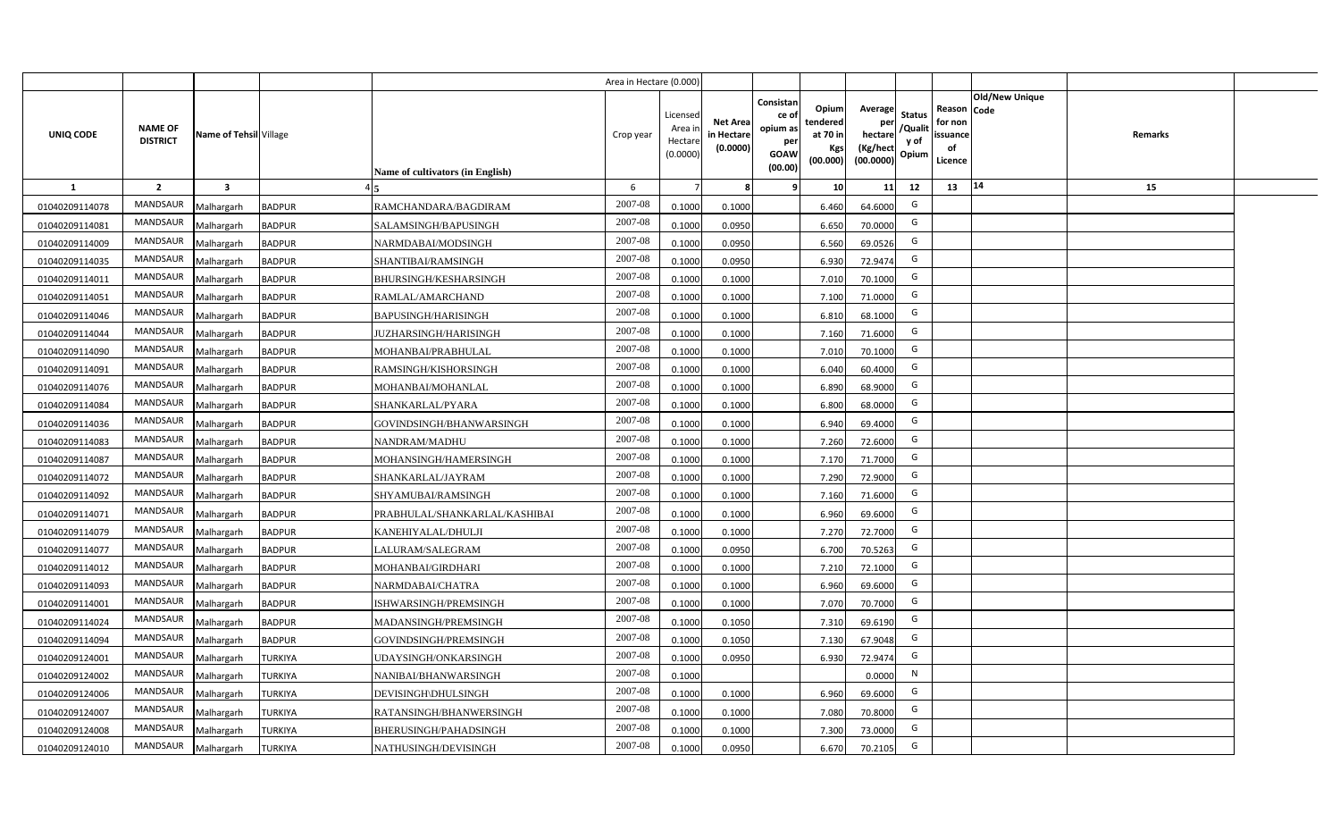|                |                                   |                         |                |                                  | Area in Hectare (0.000) |                                          |                                           |                                                         |                                                  |                                                    |                                           |                                                                              |         |  |
|----------------|-----------------------------------|-------------------------|----------------|----------------------------------|-------------------------|------------------------------------------|-------------------------------------------|---------------------------------------------------------|--------------------------------------------------|----------------------------------------------------|-------------------------------------------|------------------------------------------------------------------------------|---------|--|
| UNIQ CODE      | <b>NAME OF</b><br><b>DISTRICT</b> | Name of Tehsil Village  |                | Name of cultivators (in English) | Crop year               | Licensec<br>Area i<br>Hectar<br>(0.0000) | <b>Net Area</b><br>in Hectare<br>(0.0000) | Consistan<br>ce o<br>opium as<br>per<br>GOAW<br>(00.00) | Opium<br>tendered<br>at 70 in<br>Kgs<br>(00.000) | Average<br>per<br>hectare<br>(Kg/hect<br>(00.0000) | <b>Status</b><br>/Qualit<br>y of<br>Opium | <b>Old/New Unique</b><br>Reason Code<br>for non<br>issuance<br>of<br>Licence | Remarks |  |
| <b>1</b>       | $\overline{2}$                    | $\overline{\mathbf{3}}$ |                |                                  | 6                       |                                          |                                           |                                                         | 10                                               | 11                                                 | 12                                        | 14<br>13                                                                     | 15      |  |
| 01040209114078 | MANDSAUR                          | Malhargarh              | <b>BADPUR</b>  | RAMCHANDARA/BAGDIRAM             | 2007-08                 | 0.1000                                   | 0.1000                                    |                                                         | 6.460                                            | 64.6000                                            | G                                         |                                                                              |         |  |
| 01040209114081 | MANDSAUR                          | Malhargarh              | <b>BADPUR</b>  | SALAMSINGH/BAPUSINGH             | 2007-08                 | 0.1000                                   | 0.0950                                    |                                                         | 6.650                                            | 70.0000                                            | G                                         |                                                                              |         |  |
| 01040209114009 | <b>MANDSAUR</b>                   | Malhargarh              | <b>BADPUR</b>  | NARMDABAI/MODSINGH               | 2007-08                 | 0.1000                                   | 0.0950                                    |                                                         | 6.560                                            | 69.0526                                            | G                                         |                                                                              |         |  |
| 01040209114035 | MANDSAUR                          | Malhargarh              | <b>BADPUR</b>  | SHANTIBAI/RAMSINGH               | 2007-08                 | 0.100                                    | 0.0950                                    |                                                         | 6.930                                            | 72.9474                                            | G                                         |                                                                              |         |  |
| 01040209114011 | MANDSAUR                          | Malhargarh              | <b>BADPUR</b>  | BHURSINGH/KESHARSINGH            | 2007-08                 | 0.100                                    | 0.1000                                    |                                                         | 7.010                                            | 70.1000                                            | G                                         |                                                                              |         |  |
| 01040209114051 | MANDSAUR                          | Malhargarh              | <b>BADPUR</b>  | RAMLAL/AMARCHAND                 | 2007-08                 | 0.100                                    | 0.1000                                    |                                                         | 7.100                                            | 71.0000                                            | G                                         |                                                                              |         |  |
| 01040209114046 | MANDSAUR                          | Malhargarh              | <b>BADPUR</b>  | <b>BAPUSINGH/HARISINGH</b>       | 2007-08                 | 0.1000                                   | 0.1000                                    |                                                         | 6.810                                            | 68.1000                                            | G                                         |                                                                              |         |  |
| 01040209114044 | MANDSAUR                          | Malhargarh              | <b>BADPUR</b>  | <b>JUZHARSINGH/HARISINGH</b>     | 2007-08                 | 0.1000                                   | 0.1000                                    |                                                         | 7.160                                            | 71.6000                                            | G                                         |                                                                              |         |  |
| 01040209114090 | <b>MANDSAUR</b>                   | Malhargarh              | <b>BADPUR</b>  | MOHANBAI/PRABHULAL               | 2007-08                 | 0.1000                                   | 0.1000                                    |                                                         | 7.010                                            | 70.1000                                            | G                                         |                                                                              |         |  |
| 01040209114091 | <b>MANDSAUR</b>                   | Malhargarh              | <b>BADPUR</b>  | RAMSINGH/KISHORSINGH             | 2007-08                 | 0.1000                                   | 0.1000                                    |                                                         | 6.040                                            | 60.4000                                            | G                                         |                                                                              |         |  |
| 01040209114076 | MANDSAUR                          | Malhargarh              | <b>BADPUR</b>  | MOHANBAI/MOHANLAL                | 2007-08                 | 0.1000                                   | 0.1000                                    |                                                         | 6.890                                            | 68.9000                                            | G                                         |                                                                              |         |  |
| 01040209114084 | MANDSAUR                          | Malhargarh              | <b>BADPUR</b>  | SHANKARLAL/PYARA                 | 2007-08                 | 0.1000                                   | 0.1000                                    |                                                         | 6.800                                            | 68.0000                                            | G                                         |                                                                              |         |  |
| 01040209114036 | MANDSAUR                          | Malhargarh              | <b>BADPUR</b>  | GOVINDSINGH/BHANWARSINGH         | 2007-08                 | 0.1000                                   | 0.1000                                    |                                                         | 6.940                                            | 69.4000                                            | G                                         |                                                                              |         |  |
| 01040209114083 | MANDSAUR                          | Malhargarh              | <b>BADPUR</b>  | NANDRAM/MADHU                    | 2007-08                 | 0.1000                                   | 0.1000                                    |                                                         | 7.260                                            | 72.6000                                            | G                                         |                                                                              |         |  |
| 01040209114087 | MANDSAUR                          | Malhargarh              | <b>BADPUR</b>  | MOHANSINGH/HAMERSINGH            | 2007-08                 | 0.1000                                   | 0.1000                                    |                                                         | 7.170                                            | 71.7000                                            | G                                         |                                                                              |         |  |
| 01040209114072 | MANDSAUR                          | Malhargarh              | <b>BADPUR</b>  | SHANKARLAL/JAYRAM                | 2007-08                 | 0.1000                                   | 0.1000                                    |                                                         | 7.290                                            | 72.9000                                            | G                                         |                                                                              |         |  |
| 01040209114092 | MANDSAUR                          | Malhargarh              | <b>BADPUR</b>  | <b>SHYAMUBAI/RAMSINGH</b>        | 2007-08                 | 0.1000                                   | 0.1000                                    |                                                         | 7.160                                            | 71.6000                                            | G                                         |                                                                              |         |  |
| 01040209114071 | MANDSAUR                          | Malhargarh              | <b>BADPUR</b>  | PRABHULAL/SHANKARLAL/KASHIBAI    | 2007-08                 | 0.100                                    | 0.1000                                    |                                                         | 6.960                                            | 69.6000                                            | G                                         |                                                                              |         |  |
| 01040209114079 | MANDSAUR                          | Malhargarh              | <b>BADPUR</b>  | KANEHIYALAL/DHULJI               | 2007-08                 | 0.100                                    | 0.1000                                    |                                                         | 7.270                                            | 72.7000                                            | G                                         |                                                                              |         |  |
| 01040209114077 | MANDSAUR                          | Malhargarh              | <b>BADPUR</b>  | ALURAM/SALEGRAM                  | 2007-08                 | 0.1000                                   | 0.0950                                    |                                                         | 6.700                                            | 70.5263                                            | G                                         |                                                                              |         |  |
| 01040209114012 | MANDSAUR                          | Malhargarh              | <b>BADPUR</b>  | MOHANBAI/GIRDHARI                | 2007-08                 | 0.1000                                   | 0.1000                                    |                                                         | 7.210                                            | 72.1000                                            | G                                         |                                                                              |         |  |
| 01040209114093 | MANDSAUR                          | Malhargarh              | <b>BADPUR</b>  | NARMDABAI/CHATRA                 | 2007-08                 | 0.1000                                   | 0.1000                                    |                                                         | 6.960                                            | 69.6000                                            | G                                         |                                                                              |         |  |
| 01040209114001 | MANDSAUR                          | Malhargarh              | <b>BADPUR</b>  | ISHWARSINGH/PREMSINGH            | 2007-08                 | 0.1000                                   | 0.1000                                    |                                                         | 7.070                                            | 70.7000                                            | G                                         |                                                                              |         |  |
| 01040209114024 | <b>MANDSAUR</b>                   | Malhargarh              | <b>BADPUR</b>  | MADANSINGH/PREMSINGH             | 2007-08                 | 0.1000                                   | 0.1050                                    |                                                         | 7.310                                            | 69.6190                                            | G                                         |                                                                              |         |  |
| 01040209114094 | MANDSAUR                          | Malhargarh              | <b>BADPUR</b>  | GOVINDSINGH/PREMSINGH            | 2007-08                 | 0.100                                    | 0.1050                                    |                                                         | 7.130                                            | 67.9048                                            | G                                         |                                                                              |         |  |
| 01040209124001 | MANDSAUR                          | Malhargarh              | <b>TURKIYA</b> | <b>JDAYSINGH/ONKARSINGH</b>      | 2007-08                 | 0.1000                                   | 0.0950                                    |                                                         | 6.930                                            | 72.9474                                            | G                                         |                                                                              |         |  |
| 01040209124002 | MANDSAUR                          | Malhargarh              | <b>TURKIYA</b> | NANIBAI/BHANWARSINGH             | 2007-08                 | 0.1000                                   |                                           |                                                         |                                                  | 0.0000                                             | $\mathsf{N}$                              |                                                                              |         |  |
| 01040209124006 | MANDSAUR                          | Malhargarh              | <b>TURKIYA</b> | DEVISINGH\DHULSINGH              | 2007-08                 | 0.1000                                   | 0.1000                                    |                                                         | 6.960                                            | 69.6000                                            | G                                         |                                                                              |         |  |
| 01040209124007 | MANDSAUR                          | Malhargarh              | <b>TURKIYA</b> | RATANSINGH/BHANWERSINGH          | 2007-08                 | 0.1000                                   | 0.1000                                    |                                                         | 7.080                                            | 70.8000                                            | G                                         |                                                                              |         |  |
| 01040209124008 | MANDSAUR                          | Malhargarh              | <b>TURKIYA</b> | BHERUSINGH/PAHADSINGH            | 2007-08                 | 0.1000                                   | 0.1000                                    |                                                         | 7.300                                            | 73.0000                                            | G                                         |                                                                              |         |  |
| 01040209124010 | MANDSAUR                          | Malhargarh              | <b>TURKIYA</b> | NATHUSINGH/DEVISINGH             | 2007-08                 | 0.1000                                   | 0.0950                                    |                                                         | 6.670                                            | 70.2105                                            | G                                         |                                                                              |         |  |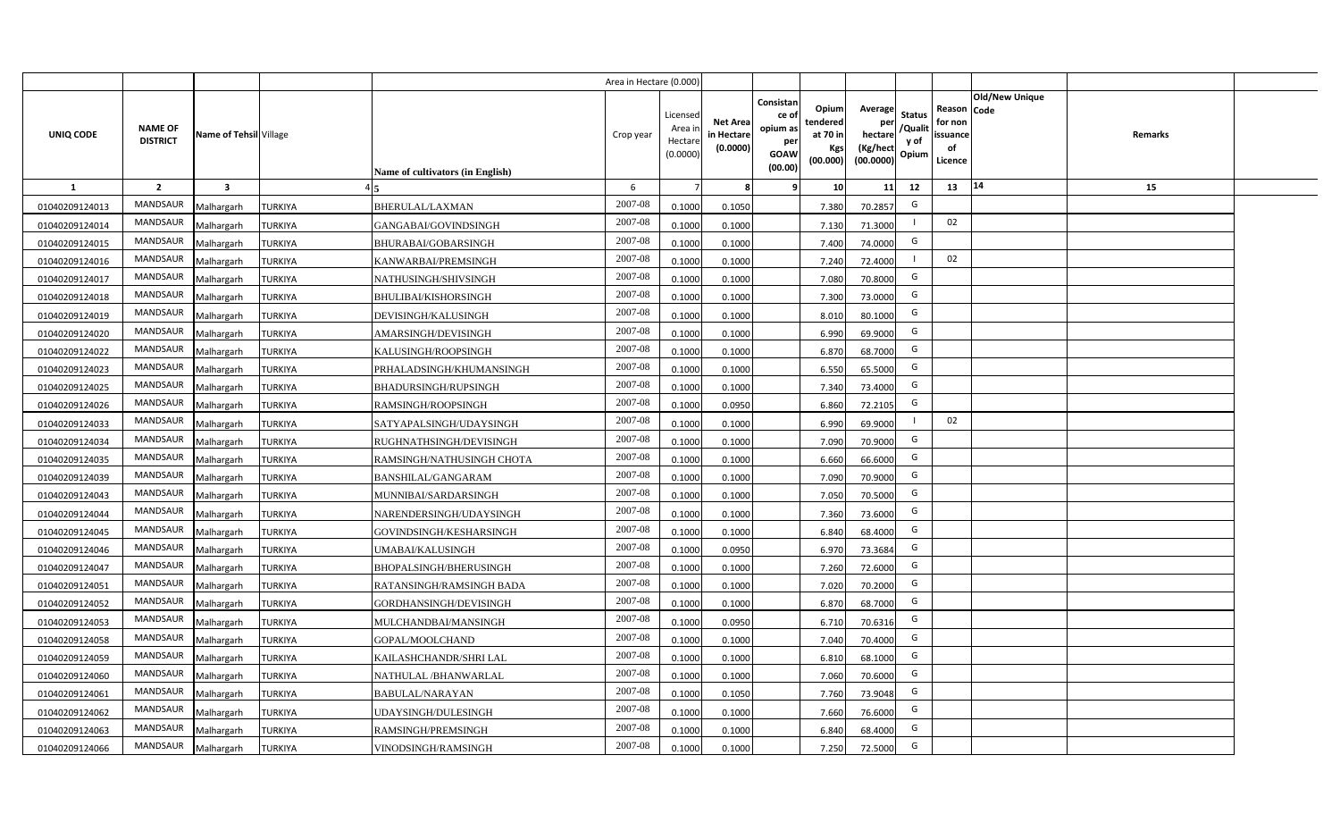|                |                                   |                         |                |                                  | Area in Hectare (0.000) |                                           |                                           |                                                                                                                     |                                                    |                                           |                                                     |                       |         |  |
|----------------|-----------------------------------|-------------------------|----------------|----------------------------------|-------------------------|-------------------------------------------|-------------------------------------------|---------------------------------------------------------------------------------------------------------------------|----------------------------------------------------|-------------------------------------------|-----------------------------------------------------|-----------------------|---------|--|
| UNIQ CODE      | <b>NAME OF</b><br><b>DISTRICT</b> | Name of Tehsil Village  |                | Name of cultivators (in English) | Crop year               | Licensed<br>Area i<br>Hectare<br>(0.0000) | <b>Net Area</b><br>in Hectare<br>(0.0000) | Consistan<br>Opium<br>ce of<br>tendered<br>opium as<br>at 70 in<br>per<br>Kgs<br><b>GOAW</b><br>(00.000)<br>(00.00) | Average<br>per<br>hectare<br>(Kg/hect<br>(00.0000) | <b>Status</b><br>/Qualit<br>y of<br>Opium | Reason Code<br>for non<br>issuance<br>of<br>Licence | <b>Old/New Unique</b> | Remarks |  |
| 1              | $\overline{2}$                    | $\overline{\mathbf{3}}$ |                |                                  | 6                       |                                           | 8                                         | 10 <sup>1</sup><br>-9                                                                                               | 11                                                 | 12                                        | 13                                                  | 14                    | 15      |  |
| 01040209124013 | MANDSAUR                          | Malhargarh              | <b>TURKIYA</b> | <b>BHERULAL/LAXMAN</b>           | 2007-08                 | 0.1000                                    | 0.1050                                    | 7.380                                                                                                               | 70.2857                                            | G                                         |                                                     |                       |         |  |
| 01040209124014 | MANDSAUR                          | Malhargarh              | <b>TURKIYA</b> | GANGABAI/GOVINDSINGH             | 2007-08                 | 0.1000                                    | 0.1000                                    | 7.130                                                                                                               | 71.3000                                            |                                           | 02                                                  |                       |         |  |
| 01040209124015 | <b>MANDSAUR</b>                   | Malhargarh              | <b>TURKIYA</b> | <b>BHURABAI/GOBARSINGH</b>       | 2007-08                 | 0.1000                                    | 0.1000                                    | 7.400                                                                                                               | 74.0000                                            | G                                         |                                                     |                       |         |  |
| 01040209124016 | MANDSAUR                          | Malhargarh              | <b>TURKIYA</b> | KANWARBAI/PREMSINGH              | 2007-08                 | 0.1000                                    | 0.1000                                    | 7.240                                                                                                               | 72.4000                                            |                                           | 02                                                  |                       |         |  |
| 01040209124017 | MANDSAUR                          | Malhargarh              | <b>TURKIYA</b> | NATHUSINGH/SHIVSINGH             | 2007-08                 | 0.1000                                    | 0.1000                                    | 7.080                                                                                                               | 70.8000                                            | G                                         |                                                     |                       |         |  |
| 01040209124018 | MANDSAUR                          | Malhargarh              | <b>TURKIYA</b> | <b>BHULIBAI/KISHORSINGH</b>      | 2007-08                 | 0.1000                                    | 0.1000                                    | 7.300                                                                                                               | 73.0000                                            | G                                         |                                                     |                       |         |  |
| 01040209124019 | MANDSAUR                          | Malhargarh              | <b>TURKIYA</b> | DEVISINGH/KALUSINGH              | 2007-08                 | 0.1000                                    | 0.1000                                    | 8.010                                                                                                               | 80.1000                                            | G                                         |                                                     |                       |         |  |
| 01040209124020 | MANDSAUR                          | Malhargarh              | <b>TURKIYA</b> | AMARSINGH/DEVISINGH              | 2007-08                 | 0.1000                                    | 0.1000                                    | 6.990                                                                                                               | 69.9000                                            | G                                         |                                                     |                       |         |  |
| 01040209124022 | MANDSAUR                          | Malhargarh              | <b>TURKIYA</b> | KALUSINGH/ROOPSINGH              | 2007-08                 | 0.1000                                    | 0.1000                                    | 6.870                                                                                                               | 68.7000                                            | G                                         |                                                     |                       |         |  |
| 01040209124023 | MANDSAUR                          | Malhargarh              | <b>TURKIYA</b> | PRHALADSINGH/KHUMANSINGH         | 2007-08                 | 0.1000                                    | 0.1000                                    | 6.550                                                                                                               | 65.5000                                            | G                                         |                                                     |                       |         |  |
| 01040209124025 | MANDSAUR                          | Malhargarh              | <b>TURKIYA</b> | <b>BHADURSINGH/RUPSINGH</b>      | 2007-08                 | 0.1000                                    | 0.1000                                    | 7.340                                                                                                               | 73.4000                                            | G                                         |                                                     |                       |         |  |
| 01040209124026 | MANDSAUR                          | Malhargarh              | <b>TURKIYA</b> | RAMSINGH/ROOPSINGH               | 2007-08                 | 0.1000                                    | 0.0950                                    | 6.860                                                                                                               | 72.2105                                            | G                                         |                                                     |                       |         |  |
| 01040209124033 | MANDSAUR                          | Malhargarh              | <b>TURKIYA</b> | SATYAPALSINGH/UDAYSINGH          | 2007-08                 | 0.1000                                    | 0.1000                                    | 6.990                                                                                                               | 69.9000                                            |                                           | 02                                                  |                       |         |  |
| 01040209124034 | <b>MANDSAUR</b>                   | Malhargarh              | <b>TURKIYA</b> | RUGHNATHSINGH/DEVISINGH          | 2007-08                 | 0.1000                                    | 0.1000                                    | 7.090                                                                                                               | 70.9000                                            | G                                         |                                                     |                       |         |  |
| 01040209124035 | MANDSAUR                          | Malhargarh              | <b>TURKIYA</b> | RAMSINGH/NATHUSINGH CHOTA        | 2007-08                 | 0.1000                                    | 0.1000                                    | 6.660                                                                                                               | 66.6000                                            | G                                         |                                                     |                       |         |  |
| 01040209124039 | MANDSAUR                          | Malhargarh              | <b>TURKIYA</b> | <b>BANSHILAL/GANGARAM</b>        | 2007-08                 | 0.1000                                    | 0.1000                                    | 7.090                                                                                                               | 70.9000                                            | G                                         |                                                     |                       |         |  |
| 01040209124043 | <b>MANDSAUR</b>                   | Malhargarh              | <b>TURKIYA</b> | MUNNIBAI/SARDARSINGH             | 2007-08                 | 0.1000                                    | 0.1000                                    | 7.050                                                                                                               | 70.5000                                            | G                                         |                                                     |                       |         |  |
| 01040209124044 | <b>MANDSAUR</b>                   | Malhargarh              | <b>TURKIYA</b> | NARENDERSINGH/UDAYSINGH          | 2007-08                 | 0.1000                                    | 0.1000                                    | 7.360                                                                                                               | 73.6000                                            | G                                         |                                                     |                       |         |  |
| 01040209124045 | <b>MANDSAUR</b>                   | Malhargarh              | <b>TURKIYA</b> | GOVINDSINGH/KESHARSINGH          | 2007-08                 | 0.1000                                    | 0.1000                                    | 6.840                                                                                                               | 68.4000                                            | G                                         |                                                     |                       |         |  |
| 01040209124046 | <b>MANDSAUR</b>                   | Malhargarh              | <b>TURKIYA</b> | UMABAI/KALUSINGH                 | 2007-08                 | 0.1000                                    | 0.0950                                    | 6.970                                                                                                               | 73.3684                                            | G                                         |                                                     |                       |         |  |
| 01040209124047 | <b>MANDSAUR</b>                   | Malhargarh              | <b>TURKIYA</b> | BHOPALSINGH/BHERUSINGH           | 2007-08                 | 0.1000                                    | 0.1000                                    | 7.260                                                                                                               | 72.6000                                            | G                                         |                                                     |                       |         |  |
| 01040209124051 | MANDSAUR                          | Malhargarh              | <b>TURKIYA</b> | RATANSINGH/RAMSINGH BADA         | 2007-08                 | 0.1000                                    | 0.1000                                    | 7.020                                                                                                               | 70.2000                                            | G                                         |                                                     |                       |         |  |
| 01040209124052 | MANDSAUR                          | Malhargarh              | <b>TURKIYA</b> | GORDHANSINGH/DEVISINGH           | 2007-08                 | 0.1000                                    | 0.1000                                    | 6.870                                                                                                               | 68.7000                                            | G                                         |                                                     |                       |         |  |
| 01040209124053 | <b>MANDSAUR</b>                   | Malhargarh              | <b>TURKIYA</b> | MULCHANDBAI/MANSINGH             | 2007-08                 | 0.1000                                    | 0.0950                                    | 6.710                                                                                                               | 70.6316                                            | G                                         |                                                     |                       |         |  |
| 01040209124058 | MANDSAUR                          | Malhargarh              | <b>TURKIYA</b> | GOPAL/MOOLCHAND                  | 2007-08                 | 0.1000                                    | 0.1000                                    | 7.040                                                                                                               | 70.4000                                            | G                                         |                                                     |                       |         |  |
| 01040209124059 | MANDSAUR                          | Malhargarh              | <b>TURKIYA</b> | KAILASHCHANDR/SHRI LAL           | 2007-08                 | 0.1000                                    | 0.1000                                    | 6.810                                                                                                               | 68.1000                                            | G                                         |                                                     |                       |         |  |
| 01040209124060 | MANDSAUR                          | Malhargarh              | <b>TURKIYA</b> | NATHULAL /BHANWARLAL             | 2007-08                 | 0.1000                                    | 0.1000                                    | 7.060                                                                                                               | 70.6000                                            | G                                         |                                                     |                       |         |  |
| 01040209124061 | MANDSAUR                          | Malhargarh              | <b>TURKIYA</b> | <b>BABULAL/NARAYAN</b>           | 2007-08                 | 0.1000                                    | 0.1050                                    | 7.760                                                                                                               | 73.9048                                            | G                                         |                                                     |                       |         |  |
| 01040209124062 | MANDSAUR                          | Malhargarh              | <b>TURKIYA</b> | UDAYSINGH/DULESINGH              | 2007-08                 | 0.1000                                    | 0.1000                                    | 7.660                                                                                                               | 76.6000                                            | G                                         |                                                     |                       |         |  |
| 01040209124063 | MANDSAUR                          | Malhargarh              | <b>TURKIYA</b> | RAMSINGH/PREMSINGH               | 2007-08                 | 0.1000                                    | 0.1000                                    | 6.840                                                                                                               | 68.4000                                            | G                                         |                                                     |                       |         |  |
| 01040209124066 | MANDSAUR                          | Malhargarh              | <b>TURKIYA</b> | VINODSINGH/RAMSINGH              | 2007-08                 | 0.1000                                    | 0.1000                                    | 7.250                                                                                                               | 72.5000                                            | G                                         |                                                     |                       |         |  |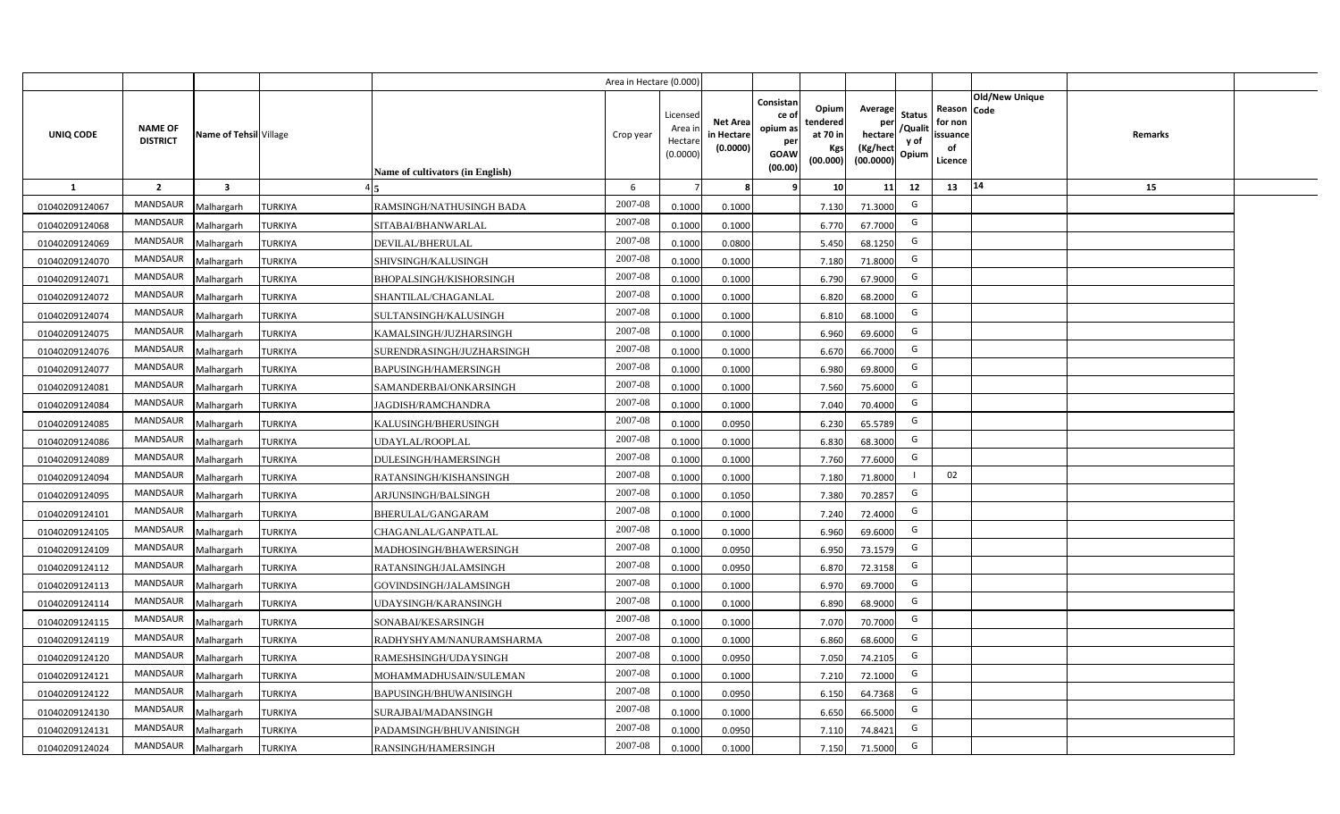|                |                                   |                         |                |                                  | Area in Hectare (0.000) |                                          |                                           |                                                         |                                                  |                                                    |                                           |                                                                       |         |  |
|----------------|-----------------------------------|-------------------------|----------------|----------------------------------|-------------------------|------------------------------------------|-------------------------------------------|---------------------------------------------------------|--------------------------------------------------|----------------------------------------------------|-------------------------------------------|-----------------------------------------------------------------------|---------|--|
| UNIQ CODE      | <b>NAME OF</b><br><b>DISTRICT</b> | Name of Tehsil Village  |                | Name of cultivators (in English) | Crop year               | Licensec<br>Area i<br>Hectar<br>(0.0000) | <b>Net Area</b><br>in Hectare<br>(0.0000) | Consistan<br>ce o<br>opium as<br>per<br>GOAW<br>(00.00) | Opium<br>tendered<br>at 70 in<br>Kgs<br>(00.000) | Average<br>per<br>hectare<br>(Kg/hect<br>(00.0000) | <b>Status</b><br>/Qualit<br>y of<br>Opium | Old/New Unique<br>Reason Code<br>for non<br>issuance<br>of<br>Licence | Remarks |  |
| <b>1</b>       | $\overline{2}$                    | $\overline{\mathbf{3}}$ |                |                                  | 6                       |                                          |                                           |                                                         | 10                                               | 11                                                 | 12                                        | 14<br>13                                                              | 15      |  |
| 01040209124067 | MANDSAUR                          | Malhargarh              | <b>TURKIYA</b> | RAMSINGH/NATHUSINGH BADA         | 2007-08                 | 0.1000                                   | 0.1000                                    |                                                         | 7.130                                            | 71.3000                                            | G                                         |                                                                       |         |  |
| 01040209124068 | MANDSAUR                          | Malhargarh              | <b>TURKIYA</b> | SITABAI/BHANWARLAL               | 2007-08                 | 0.1000                                   | 0.1000                                    |                                                         | 6.770                                            | 67.7000                                            | G                                         |                                                                       |         |  |
| 01040209124069 | MANDSAUR                          | Malhargarh              | <b>TURKIYA</b> | DEVILAL/BHERULAL                 | 2007-08                 | 0.1000                                   | 0.0800                                    |                                                         | 5.450                                            | 68.1250                                            | G                                         |                                                                       |         |  |
| 01040209124070 | <b>MANDSAUR</b>                   | Malhargarh              | <b>TURKIYA</b> | SHIVSINGH/KALUSINGH              | 2007-08                 | 0.100                                    | 0.1000                                    |                                                         | 7.180                                            | 71.8000                                            | G                                         |                                                                       |         |  |
| 01040209124071 | MANDSAUR                          | Malhargarh              | <b>TURKIYA</b> | BHOPALSINGH/KISHORSINGH          | 2007-08                 | 0.100                                    | 0.1000                                    |                                                         | 6.790                                            | 67.9000                                            | G                                         |                                                                       |         |  |
| 01040209124072 | MANDSAUR                          | Malhargarh              | <b>TURKIYA</b> | SHANTILAL/CHAGANLAL              | 2007-08                 | 0.1000                                   | 0.1000                                    |                                                         | 6.820                                            | 68.2000                                            | G                                         |                                                                       |         |  |
| 01040209124074 | MANDSAUR                          | Malhargarh              | <b>TURKIYA</b> | SULTANSINGH/KALUSINGH            | 2007-08                 | 0.1000                                   | 0.1000                                    |                                                         | 6.810                                            | 68.1000                                            | G                                         |                                                                       |         |  |
| 01040209124075 | <b>MANDSAUR</b>                   | Malhargarh              | <b>TURKIYA</b> | KAMALSINGH/JUZHARSINGH           | 2007-08                 | 0.1000                                   | 0.1000                                    |                                                         | 6.960                                            | 69.6000                                            | G                                         |                                                                       |         |  |
| 01040209124076 | MANDSAUR                          | Malhargarh              | <b>TURKIYA</b> | SURENDRASINGH/JUZHARSINGH        | 2007-08                 | 0.100                                    | 0.1000                                    |                                                         | 6.670                                            | 66.7000                                            | G                                         |                                                                       |         |  |
| 01040209124077 | <b>MANDSAUR</b>                   | Malhargarh              | <b>TURKIYA</b> | BAPUSINGH/HAMERSINGH             | 2007-08                 | 0.1000                                   | 0.1000                                    |                                                         | 6.980                                            | 69.8000                                            | G                                         |                                                                       |         |  |
| 01040209124081 | MANDSAUR                          | Malhargarh              | <b>TURKIYA</b> | SAMANDERBAI/ONKARSINGH           | 2007-08                 | 0.1000                                   | 0.1000                                    |                                                         | 7.560                                            | 75.6000                                            | G                                         |                                                                       |         |  |
| 01040209124084 | MANDSAUR                          | Malhargarh              | <b>TURKIYA</b> | JAGDISH/RAMCHANDRA               | 2007-08                 | 0.1000                                   | 0.1000                                    |                                                         | 7.040                                            | 70.4000                                            | G                                         |                                                                       |         |  |
| 01040209124085 | MANDSAUR                          | Malhargarh              | <b>TURKIYA</b> | KALUSINGH/BHERUSINGH             | 2007-08                 | 0.1000                                   | 0.0950                                    |                                                         | 6.230                                            | 65.5789                                            | G                                         |                                                                       |         |  |
| 01040209124086 | MANDSAUR                          | Malhargarh              | <b>TURKIYA</b> | <b>JDAYLAL/ROOPLAL</b>           | 2007-08                 | 0.1000                                   | 0.1000                                    |                                                         | 6.830                                            | 68.3000                                            | G                                         |                                                                       |         |  |
| 01040209124089 | MANDSAUR                          | Malhargarh              | <b>TURKIYA</b> | DULESINGH/HAMERSINGH             | 2007-08                 | 0.1000                                   | 0.1000                                    |                                                         | 7.760                                            | 77.6000                                            | G                                         |                                                                       |         |  |
| 01040209124094 | MANDSAUR                          | Malhargarh              | <b>TURKIYA</b> | RATANSINGH/KISHANSINGH           | 2007-08                 | 0.1000                                   | 0.1000                                    |                                                         | 7.180                                            | 71.8000                                            |                                           | 02                                                                    |         |  |
| 01040209124095 | MANDSAUR                          | Malhargarh              | <b>TURKIYA</b> | ARJUNSINGH/BALSINGH              | 2007-08                 | 0.100                                    | 0.1050                                    |                                                         | 7.380                                            | 70.2857                                            | G                                         |                                                                       |         |  |
| 01040209124101 | MANDSAUR                          | Malhargarh              | <b>TURKIYA</b> | BHERULAL/GANGARAM                | 2007-08                 | 0.100                                    | 0.1000                                    |                                                         | 7.240                                            | 72.4000                                            | G                                         |                                                                       |         |  |
| 01040209124105 | MANDSAUR                          | Malhargarh              | <b>TURKIYA</b> | CHAGANLAL/GANPATLAL              | 2007-08                 | 0.1000                                   | 0.1000                                    |                                                         | 6.960                                            | 69.6000                                            | G                                         |                                                                       |         |  |
| 01040209124109 | MANDSAUR                          | Malhargarh              | <b>TURKIYA</b> | MADHOSINGH/BHAWERSINGH           | 2007-08                 | 0.100                                    | 0.0950                                    |                                                         | 6.950                                            | 73.1579                                            | G                                         |                                                                       |         |  |
| 01040209124112 | <b>MANDSAUR</b>                   | Malhargarh              | <b>TURKIYA</b> | RATANSINGH/JALAMSINGH            | $2007 - 08$             | 0.100                                    | 0.0950                                    |                                                         | 6.870                                            | 72.3158                                            | G                                         |                                                                       |         |  |
| 01040209124113 | <b>MANDSAUR</b>                   | Malhargarh              | <b>TURKIYA</b> | GOVINDSINGH/JALAMSINGH           | 2007-08                 | 0.100                                    | 0.1000                                    |                                                         | 6.970                                            | 69.7000                                            | G                                         |                                                                       |         |  |
| 01040209124114 | <b>MANDSAUR</b>                   | Malhargarh              | <b>TURKIYA</b> | JDAYSINGH/KARANSINGH             | 2007-08                 | 0.1000                                   | 0.1000                                    |                                                         | 6.890                                            | 68.9000                                            | G                                         |                                                                       |         |  |
| 01040209124115 | MANDSAUR                          | Malhargarh              | <b>TURKIYA</b> | SONABAI/KESARSINGH               | 2007-08                 | 0.1000                                   | 0.1000                                    |                                                         | 7.070                                            | 70.7000                                            | G                                         |                                                                       |         |  |
| 01040209124119 | <b>MANDSAUR</b>                   | Malhargarh              | <b>TURKIYA</b> | RADHYSHYAM/NANURAMSHARMA         | 2007-08                 | 0.1000                                   | 0.1000                                    |                                                         | 6.860                                            | 68.6000                                            | G                                         |                                                                       |         |  |
| 01040209124120 | MANDSAUR                          | Malhargarh              | <b>TURKIYA</b> | RAMESHSINGH/UDAYSINGH            | 2007-08                 | 0.1000                                   | 0.0950                                    |                                                         | 7.050                                            | 74.2105                                            | G                                         |                                                                       |         |  |
| 01040209124121 | MANDSAUR                          | Malhargarh              | <b>TURKIYA</b> | MOHAMMADHUSAIN/SULEMAN           | 2007-08                 | 0.1000                                   | 0.1000                                    |                                                         | 7.210                                            | 72.1000                                            | G                                         |                                                                       |         |  |
| 01040209124122 | MANDSAUR                          | Malhargarh              | <b>TURKIYA</b> | BAPUSINGH/BHUWANISINGH           | 2007-08                 | 0.1000                                   | 0.0950                                    |                                                         | 6.150                                            | 64.7368                                            | G                                         |                                                                       |         |  |
| 01040209124130 | MANDSAUR                          | Malhargarh              | <b>TURKIYA</b> | SURAJBAI/MADANSINGH              | 2007-08                 | 0.1000                                   | 0.1000                                    |                                                         | 6.650                                            | 66.5000                                            | G                                         |                                                                       |         |  |
| 01040209124131 | MANDSAUR                          | Malhargarh              | <b>TURKIYA</b> | PADAMSINGH/BHUVANISINGH          | 2007-08                 | 0.1000                                   | 0.0950                                    |                                                         | 7.110                                            | 74.8421                                            | G                                         |                                                                       |         |  |
| 01040209124024 | MANDSAUR                          | Malhargarh              | <b>TURKIYA</b> | RANSINGH/HAMERSINGH              | 2007-08                 | 0.1000                                   | 0.1000                                    |                                                         | 7.150                                            | 71.5000                                            | G                                         |                                                                       |         |  |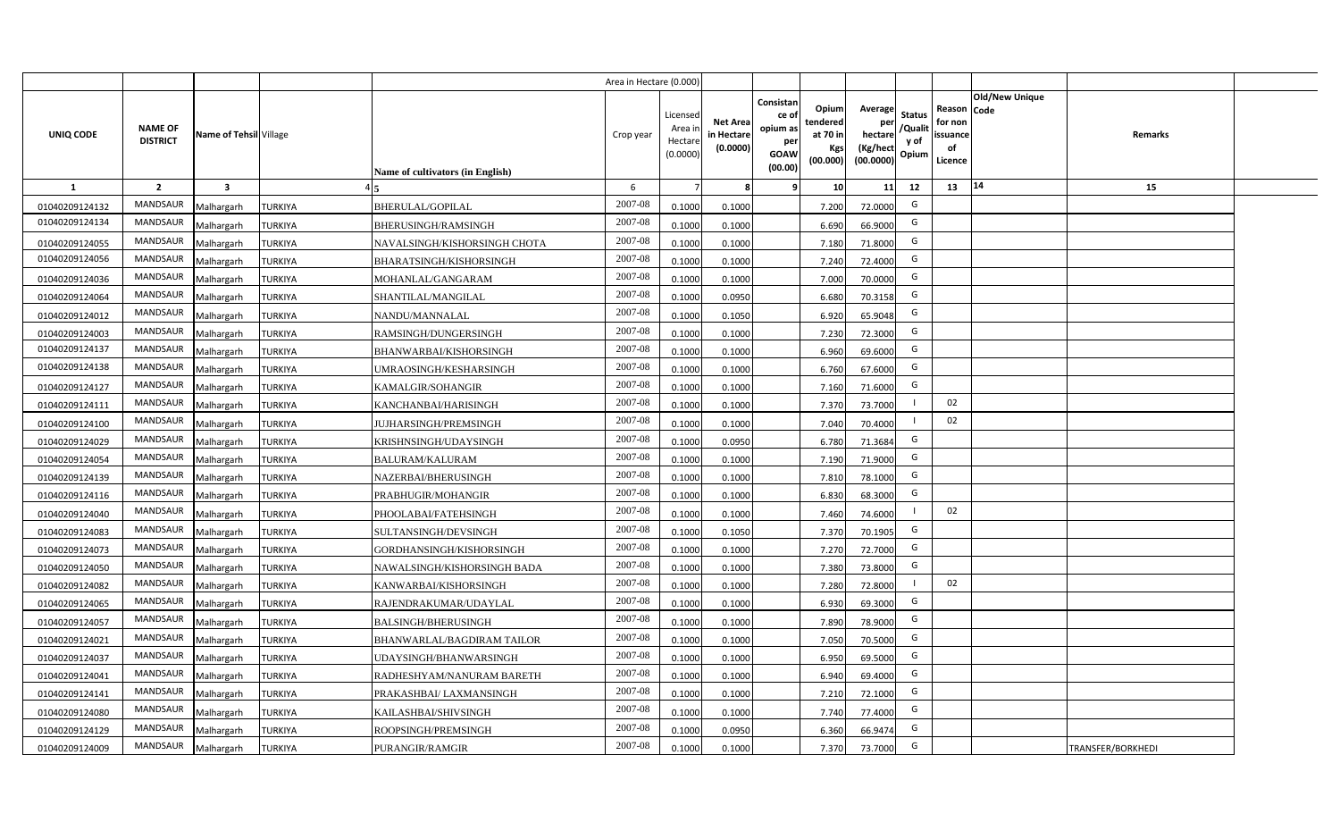|                  |                                   |                         |                |                                  | Area in Hectare (0.000 |                                          |                                          |                                                                 |                                                  |                                                    |                                           |                                                     |                |                   |  |
|------------------|-----------------------------------|-------------------------|----------------|----------------------------------|------------------------|------------------------------------------|------------------------------------------|-----------------------------------------------------------------|--------------------------------------------------|----------------------------------------------------|-------------------------------------------|-----------------------------------------------------|----------------|-------------------|--|
| <b>UNIQ CODE</b> | <b>NAME OF</b><br><b>DISTRICT</b> | Name of Tehsil Village  |                | Name of cultivators (in English) | Crop year              | Licensec<br>Area i<br>Hectar<br>(0.0000) | <b>Net Area</b><br>in Hectar<br>(0.0000) | Consistan<br>ce of<br>opium as<br>per<br><b>GOAW</b><br>(00.00) | Opium<br>tendered<br>at 70 in<br>Kgs<br>(00.000) | Average<br>per<br>hectare<br>(Kg/hect<br>(00.0000) | <b>Status</b><br>/Qualit<br>y of<br>Opium | Reason Code<br>for non<br>issuance<br>of<br>Licence | Old/New Unique | Remarks           |  |
| 1                | $\overline{2}$                    | $\overline{\mathbf{3}}$ |                |                                  | 6                      |                                          |                                          | 9                                                               | 10 <sup>1</sup>                                  | 11                                                 | 12                                        | 13                                                  | 14             | 15                |  |
| 01040209124132   | MANDSAUR                          | Malhargarh              | <b>TURKIYA</b> | <b>BHERULAL/GOPILAL</b>          | 2007-08                | 0.1000                                   | 0.1000                                   |                                                                 | 7.200                                            | 72.0000                                            | G                                         |                                                     |                |                   |  |
| 01040209124134   | MANDSAUR                          | Malhargarh              | <b>TURKIYA</b> | BHERUSINGH/RAMSINGH              | 2007-08                | 0.100                                    | 0.1000                                   |                                                                 | 6.690                                            | 66.9000                                            | G                                         |                                                     |                |                   |  |
| 01040209124055   | MANDSAUR                          | Malhargarh              | <b>TURKIYA</b> | NAVALSINGH/KISHORSINGH CHOTA     | 2007-08                | 0.1000                                   | 0.1000                                   |                                                                 | 7.180                                            | 71.8000                                            | G                                         |                                                     |                |                   |  |
| 01040209124056   | <b>MANDSAUR</b>                   | Malhargarh              | <b>TURKIYA</b> | <b>BHARATSINGH/KISHORSINGH</b>   | 2007-08                | 0.100                                    | 0.1000                                   |                                                                 | 7.240                                            | 72.4000                                            | G                                         |                                                     |                |                   |  |
| 01040209124036   | <b>MANDSAUR</b>                   | Malhargarh              | <b>TURKIYA</b> | MOHANLAL/GANGARAM                | 2007-08                | 0.1000                                   | 0.1000                                   |                                                                 | 7.000                                            | 70.0000                                            | G                                         |                                                     |                |                   |  |
| 01040209124064   | MANDSAUR                          | Malhargarh              | <b>TURKIYA</b> | SHANTILAL/MANGILAL               | 2007-08                | 0.1000                                   | 0.0950                                   |                                                                 | 6.680                                            | 70.3158                                            | G                                         |                                                     |                |                   |  |
| 01040209124012   | MANDSAUR                          | Malhargarh              | <b>TURKIYA</b> | NANDU/MANNALAL                   | 2007-08                | 0.100                                    | 0.1050                                   |                                                                 | 6.920                                            | 65.9048                                            | G                                         |                                                     |                |                   |  |
| 01040209124003   | MANDSAUR                          | Malhargarh              | <b>TURKIYA</b> | RAMSINGH/DUNGERSINGH             | 2007-08                | 0.1000                                   | 0.1000                                   |                                                                 | 7.230                                            | 72.3000                                            | G                                         |                                                     |                |                   |  |
| 01040209124137   | <b>MANDSAUR</b>                   | Malhargarh              | <b>TURKIYA</b> | BHANWARBAI/KISHORSINGH           | 2007-08                | 0.1000                                   | 0.1000                                   |                                                                 | 6.960                                            | 69.6000                                            | G                                         |                                                     |                |                   |  |
| 01040209124138   | MANDSAUR                          | Malhargarh              | <b>TURKIYA</b> | <b>JMRAOSINGH/KESHARSINGH</b>    | 2007-08                | 0.1000                                   | 0.1000                                   |                                                                 | 6.760                                            | 67.6000                                            | G                                         |                                                     |                |                   |  |
| 01040209124127   | <b>MANDSAUR</b>                   | Malhargarh              | <b>TURKIYA</b> | KAMALGIR/SOHANGIR                | 2007-08                | 0.1000                                   | 0.1000                                   |                                                                 | 7.160                                            | 71.6000                                            | G                                         |                                                     |                |                   |  |
| 01040209124111   | <b>MANDSAUR</b>                   | Malhargarh              | <b>TURKIYA</b> | KANCHANBAI/HARISINGH             | 2007-08                | 0.1000                                   | 0.1000                                   |                                                                 | 7.370                                            | 73.7000                                            |                                           | 02                                                  |                |                   |  |
| 01040209124100   | <b>MANDSAUR</b>                   | Malhargarh              | <b>TURKIYA</b> | <b>JUJHARSINGH/PREMSINGH</b>     | 2007-08                | 0.1000                                   | 0.1000                                   |                                                                 | 7.040                                            | 70.4000                                            |                                           | 02                                                  |                |                   |  |
| 01040209124029   | <b>MANDSAUR</b>                   | Malhargarh              | <b>TURKIYA</b> | KRISHNSINGH/UDAYSINGH            | 2007-08                | 0.1000                                   | 0.0950                                   |                                                                 | 6.780                                            | 71.3684                                            | G                                         |                                                     |                |                   |  |
| 01040209124054   | <b>MANDSAUR</b>                   | Malhargarh              | <b>TURKIYA</b> | <b>BALURAM/KALURAM</b>           | 2007-08                | 0.1000                                   | 0.1000                                   |                                                                 | 7.190                                            | 71.9000                                            | G                                         |                                                     |                |                   |  |
| 01040209124139   | <b>MANDSAUR</b>                   | Malhargarh              | <b>TURKIYA</b> | NAZERBAI/BHERUSINGH              | 2007-08                | 0.1000                                   | 0.1000                                   |                                                                 | 7.810                                            | 78.1000                                            | G                                         |                                                     |                |                   |  |
| 01040209124116   | <b>MANDSAUR</b>                   | Malhargarh              | <b>TURKIYA</b> | PRABHUGIR/MOHANGIR               | 2007-08                | 0.100                                    | 0.1000                                   |                                                                 | 6.830                                            | 68.3000                                            | G                                         |                                                     |                |                   |  |
| 01040209124040   | <b>MANDSAUR</b>                   | Malhargarh              | <b>TURKIYA</b> | PHOOLABAI/FATEHSINGH             | 2007-08                | 0.100                                    | 0.1000                                   |                                                                 | 7.460                                            | 74.6000                                            |                                           | 02                                                  |                |                   |  |
| 01040209124083   | MANDSAUR                          | Malhargarh              | <b>TURKIYA</b> | SULTANSINGH/DEVSINGH             | 2007-08                | 0.1000                                   | 0.1050                                   |                                                                 | 7.370                                            | 70.1905                                            | G                                         |                                                     |                |                   |  |
| 01040209124073   | <b>MANDSAUR</b>                   | Malhargarh              | <b>TURKIYA</b> | GORDHANSINGH/KISHORSINGH         | 2007-08                | 0.100                                    | 0.1000                                   |                                                                 | 7.270                                            | 72.7000                                            | G                                         |                                                     |                |                   |  |
| 01040209124050   | MANDSAUR                          | Malhargarh              | <b>TURKIYA</b> | NAWALSINGH/KISHORSINGH BADA      | $2007 - 08$            | 0.100                                    | 0.1000                                   |                                                                 | 7.380                                            | 73.8000                                            | G                                         |                                                     |                |                   |  |
| 01040209124082   | MANDSAUR                          | Malhargarh              | <b>TURKIYA</b> | KANWARBAI/KISHORSINGH            | 2007-08                | 0.1000                                   | 0.1000                                   |                                                                 | 7.280                                            | 72.8000                                            |                                           | 02                                                  |                |                   |  |
| 01040209124065   | <b>MANDSAUR</b>                   | Malhargarh              | <b>TURKIYA</b> | RAJENDRAKUMAR/UDAYLAL            | 2007-08                | 0.100                                    | 0.1000                                   |                                                                 | 6.930                                            | 69.3000                                            | G                                         |                                                     |                |                   |  |
| 01040209124057   | MANDSAUR                          | Malhargarh              | <b>TURKIYA</b> | <b>BALSINGH/BHERUSINGH</b>       | 2007-08                | 0.1000                                   | 0.1000                                   |                                                                 | 7.890                                            | 78.9000                                            | G                                         |                                                     |                |                   |  |
| 01040209124021   | MANDSAUR                          | Malhargarh              | <b>TURKIYA</b> | BHANWARLAL/BAGDIRAM TAILOR       | 2007-08                | 0.1000                                   | 0.1000                                   |                                                                 | 7.050                                            | 70.5000                                            | G                                         |                                                     |                |                   |  |
| 01040209124037   | MANDSAUR                          | Malhargarh              | <b>TURKIYA</b> | JDAYSINGH/BHANWARSINGH           | 2007-08                | 0.1000                                   | 0.1000                                   |                                                                 | 6.950                                            | 69.5000                                            | G                                         |                                                     |                |                   |  |
| 01040209124041   | MANDSAUR                          | Malhargarh              | <b>TURKIYA</b> | RADHESHYAM/NANURAM BARETH        | 2007-08                | 0.1000                                   | 0.1000                                   |                                                                 | 6.940                                            | 69.4000                                            | G                                         |                                                     |                |                   |  |
| 01040209124141   | MANDSAUR                          | Malhargarh              | <b>TURKIYA</b> | PRAKASHBAI/ LAXMANSINGH          | 2007-08                | 0.1000                                   | 0.1000                                   |                                                                 | 7.210                                            | 72.1000                                            | G                                         |                                                     |                |                   |  |
| 01040209124080   | MANDSAUR                          | Malhargarh              | <b>TURKIYA</b> | KAILASHBAI/SHIVSINGH             | 2007-08                | 0.1000                                   | 0.1000                                   |                                                                 | 7.740                                            | 77.4000                                            | G                                         |                                                     |                |                   |  |
| 01040209124129   | MANDSAUR                          | Malhargarh              | <b>TURKIYA</b> | ROOPSINGH/PREMSINGH              | 2007-08                | 0.1000                                   | 0.0950                                   |                                                                 | 6.360                                            | 66.9474                                            | G                                         |                                                     |                |                   |  |
| 01040209124009   | MANDSAUR                          | Malhargarh              | <b>TURKIYA</b> | PURANGIR/RAMGIR                  | 2007-08                | 0.1000                                   | 0.1000                                   |                                                                 | 7.370                                            | 73.7000                                            | G                                         |                                                     |                | TRANSFER/BORKHEDI |  |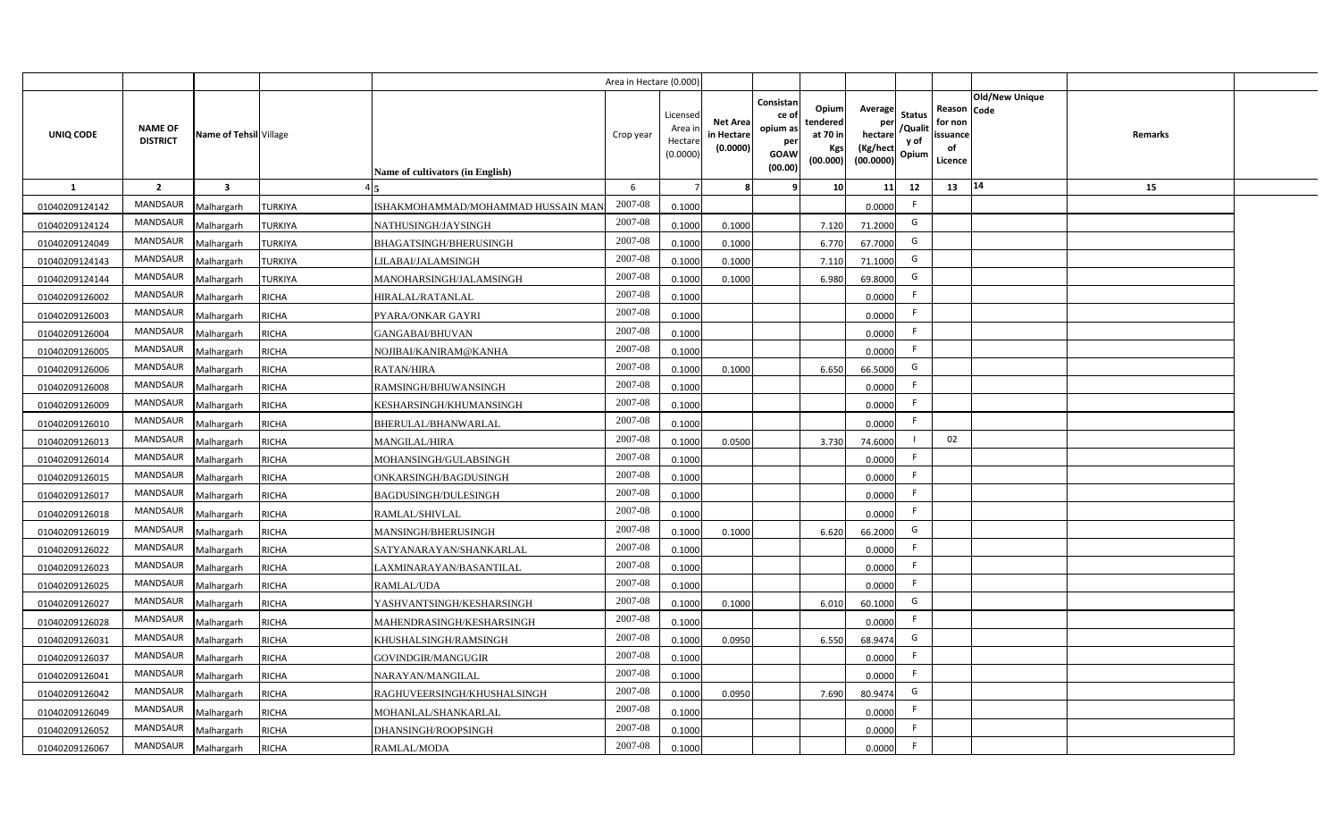|                |                                   |                         |                |                                    | Area in Hectare (0.000) |                                          |                                           |                                                         |                                                  |                                                    |                                           |                                                                              |         |  |
|----------------|-----------------------------------|-------------------------|----------------|------------------------------------|-------------------------|------------------------------------------|-------------------------------------------|---------------------------------------------------------|--------------------------------------------------|----------------------------------------------------|-------------------------------------------|------------------------------------------------------------------------------|---------|--|
| UNIQ CODE      | <b>NAME OF</b><br><b>DISTRICT</b> | Name of Tehsil Village  |                | Name of cultivators (in English)   | Crop year               | Licensec<br>Area i<br>Hectar<br>(0.0000) | <b>Net Area</b><br>in Hectare<br>(0.0000) | Consistan<br>ce o<br>opium as<br>per<br>GOAW<br>(00.00) | Opium<br>tendered<br>at 70 in<br>Kgs<br>(00.000) | Average<br>per<br>hectare<br>(Kg/hect<br>(00.0000) | <b>Status</b><br>/Qualit<br>y of<br>Opium | <b>Old/New Unique</b><br>Reason Code<br>for non<br>issuance<br>of<br>Licence | Remarks |  |
| $\mathbf{1}$   | $\overline{2}$                    | $\overline{\mathbf{3}}$ |                |                                    | 6                       |                                          |                                           |                                                         | 10                                               | 11                                                 | 12                                        | 14<br>13                                                                     | 15      |  |
| 01040209124142 | MANDSAUR                          | Malhargarh              | <b>TURKIYA</b> | ISHAKMOHAMMAD/MOHAMMAD HUSSAIN MAN | 2007-08                 | 0.1000                                   |                                           |                                                         |                                                  | 0.0000                                             | F.                                        |                                                                              |         |  |
| 01040209124124 | MANDSAUR                          | Malhargarh              | <b>TURKIYA</b> | NATHUSINGH/JAYSINGH                | 2007-08                 | 0.1000                                   | 0.1000                                    |                                                         | 7.120                                            | 71.2000                                            | G                                         |                                                                              |         |  |
| 01040209124049 | <b>MANDSAUR</b>                   | Malhargarh              | <b>TURKIYA</b> | BHAGATSINGH/BHERUSINGH             | 2007-08                 | 0.1000                                   | 0.1000                                    |                                                         | 6.770                                            | 67.7000                                            | G                                         |                                                                              |         |  |
| 01040209124143 | MANDSAUR                          | Malhargarh              | <b>TURKIYA</b> | LILABAI/JALAMSINGH                 | 2007-08                 | 0.100                                    | 0.1000                                    |                                                         | 7.110                                            | 71.1000                                            | G                                         |                                                                              |         |  |
| 01040209124144 | MANDSAUR                          | Malhargarh              | <b>TURKIYA</b> | MANOHARSINGH/JALAMSINGH            | 2007-08                 | 0.1000                                   | 0.1000                                    |                                                         | 6.980                                            | 69.8000                                            | G                                         |                                                                              |         |  |
| 01040209126002 | MANDSAUR                          | Malhargarh              | <b>RICHA</b>   | HIRALAL/RATANLAL                   | 2007-08                 | 0.1000                                   |                                           |                                                         |                                                  | 0.0000                                             | F                                         |                                                                              |         |  |
| 01040209126003 | MANDSAUR                          | Malhargarh              | <b>RICHA</b>   | PYARA/ONKAR GAYRI                  | 2007-08                 | 0.1000                                   |                                           |                                                         |                                                  | 0.0000                                             | F.                                        |                                                                              |         |  |
| 01040209126004 | MANDSAUR                          | Malhargarh              | <b>RICHA</b>   | GANGABAI/BHUVAN                    | 2007-08                 | 0.1000                                   |                                           |                                                         |                                                  | 0.0000                                             | F.                                        |                                                                              |         |  |
| 01040209126005 | <b>MANDSAUR</b>                   | Malhargarh              | <b>RICHA</b>   | NOJIBAI/KANIRAM@KANHA              | 2007-08                 | 0.1000                                   |                                           |                                                         |                                                  | 0.0000                                             | F.                                        |                                                                              |         |  |
| 01040209126006 | <b>MANDSAUR</b>                   | Malhargarh              | <b>RICHA</b>   | <b>RATAN/HIRA</b>                  | 2007-08                 | 0.1000                                   | 0.1000                                    |                                                         | 6.650                                            | 66.5000                                            | G                                         |                                                                              |         |  |
| 01040209126008 | MANDSAUR                          | Malhargarh              | <b>RICHA</b>   | RAMSINGH/BHUWANSINGH               | 2007-08                 | 0.1000                                   |                                           |                                                         |                                                  | 0.0000                                             | $\mathsf{F}$                              |                                                                              |         |  |
| 01040209126009 | MANDSAUR                          | Malhargarh              | <b>RICHA</b>   | KESHARSINGH/KHUMANSINGH            | 2007-08                 | 0.1000                                   |                                           |                                                         |                                                  | 0.0000                                             | F.                                        |                                                                              |         |  |
| 01040209126010 | MANDSAUR                          | Malhargarh              | <b>RICHA</b>   | BHERULAL/BHANWARLAL                | 2007-08                 | 0.1000                                   |                                           |                                                         |                                                  | 0.0000                                             | F.                                        |                                                                              |         |  |
| 01040209126013 | MANDSAUR                          | Malhargarh              | <b>RICHA</b>   | <b>MANGILAL/HIRA</b>               | 2007-08                 | 0.1000                                   | 0.0500                                    |                                                         | 3.730                                            | 74.6000                                            |                                           | 02                                                                           |         |  |
| 01040209126014 | MANDSAUR                          | Malhargarh              | <b>RICHA</b>   | MOHANSINGH/GULABSINGH              | 2007-08                 | 0.1000                                   |                                           |                                                         |                                                  | 0.0000                                             | F.                                        |                                                                              |         |  |
| 01040209126015 | MANDSAUR                          | Malhargarh              | <b>RICHA</b>   | ONKARSINGH/BAGDUSINGH              | 2007-08                 | 0.1000                                   |                                           |                                                         |                                                  | 0.0000                                             | F.                                        |                                                                              |         |  |
| 01040209126017 | MANDSAUR                          | Malhargarh              | <b>RICHA</b>   | BAGDUSINGH/DULESINGH               | 2007-08                 | 0.1000                                   |                                           |                                                         |                                                  | 0.0000                                             | F.                                        |                                                                              |         |  |
| 01040209126018 | MANDSAUR                          | Malhargarh              | <b>RICHA</b>   | RAMLAL/SHIVLAL                     | 2007-08                 | 0.1000                                   |                                           |                                                         |                                                  | 0.0000                                             | F.                                        |                                                                              |         |  |
| 01040209126019 | MANDSAUR                          | Malhargarh              | <b>RICHA</b>   | MANSINGH/BHERUSINGH                | 2007-08                 | 0.100                                    | 0.1000                                    |                                                         | 6.620                                            | 66.2000                                            | G                                         |                                                                              |         |  |
| 01040209126022 | MANDSAUR                          | Malhargarh              | <b>RICHA</b>   | SATYANARAYAN/SHANKARLAL            | 2007-08                 | 0.1000                                   |                                           |                                                         |                                                  | 0.0000                                             | F.                                        |                                                                              |         |  |
| 01040209126023 | MANDSAUR                          | Malhargarh              | <b>RICHA</b>   | AXMINARAYAN/BASANTILAL             | 2007-08                 | 0.1000                                   |                                           |                                                         |                                                  | 0.0000                                             | F.                                        |                                                                              |         |  |
| 01040209126025 | <b>MANDSAUR</b>                   | Malhargarh              | <b>RICHA</b>   | RAMLAL/UDA                         | 2007-08                 | 0.1000                                   |                                           |                                                         |                                                  | 0.0000                                             | F.                                        |                                                                              |         |  |
| 01040209126027 | MANDSAUR                          | Malhargarh              | <b>RICHA</b>   | YASHVANTSINGH/KESHARSINGH          | 2007-08                 | 0.1000                                   | 0.1000                                    |                                                         | 6.010                                            | 60.1000                                            | G                                         |                                                                              |         |  |
| 01040209126028 | <b>MANDSAUR</b>                   | Malhargarh              | <b>RICHA</b>   | MAHENDRASINGH/KESHARSINGH          | 2007-08                 | 0.1000                                   |                                           |                                                         |                                                  | 0.0000                                             | F.                                        |                                                                              |         |  |
| 01040209126031 | MANDSAUR                          | Malhargarh              | <b>RICHA</b>   | KHUSHALSINGH/RAMSINGH              | 2007-08                 | 0.1000                                   | 0.0950                                    |                                                         | 6.550                                            | 68.9474                                            | G                                         |                                                                              |         |  |
| 01040209126037 | MANDSAUR                          | Malhargarh              | <b>RICHA</b>   | GOVINDGIR/MANGUGIR                 | 2007-08                 | 0.1000                                   |                                           |                                                         |                                                  | 0.0000                                             | F                                         |                                                                              |         |  |
| 01040209126041 | MANDSAUR                          | Malhargarh              | <b>RICHA</b>   | NARAYAN/MANGILAL                   | 2007-08                 | 0.1000                                   |                                           |                                                         |                                                  | 0.0000                                             | F                                         |                                                                              |         |  |
| 01040209126042 | MANDSAUR                          | Malhargarh              | <b>RICHA</b>   | RAGHUVEERSINGH/KHUSHALSINGH        | 2007-08                 | 0.1000                                   | 0.0950                                    |                                                         | 7.690                                            | 80.9474                                            | G                                         |                                                                              |         |  |
| 01040209126049 | MANDSAUR                          | Malhargarh              | <b>RICHA</b>   | MOHANLAL/SHANKARLAL                | 2007-08                 | 0.1000                                   |                                           |                                                         |                                                  | 0.0000                                             | E                                         |                                                                              |         |  |
| 01040209126052 | MANDSAUR                          | Malhargarh              | <b>RICHA</b>   | DHANSINGH/ROOPSINGH                | 2007-08                 | 0.1000                                   |                                           |                                                         |                                                  | 0.0000                                             | E                                         |                                                                              |         |  |
| 01040209126067 | MANDSAUR                          | Malhargarh              | <b>RICHA</b>   | RAMLAL/MODA                        | 2007-08                 | 0.1000                                   |                                           |                                                         |                                                  | 0.0000                                             | E                                         |                                                                              |         |  |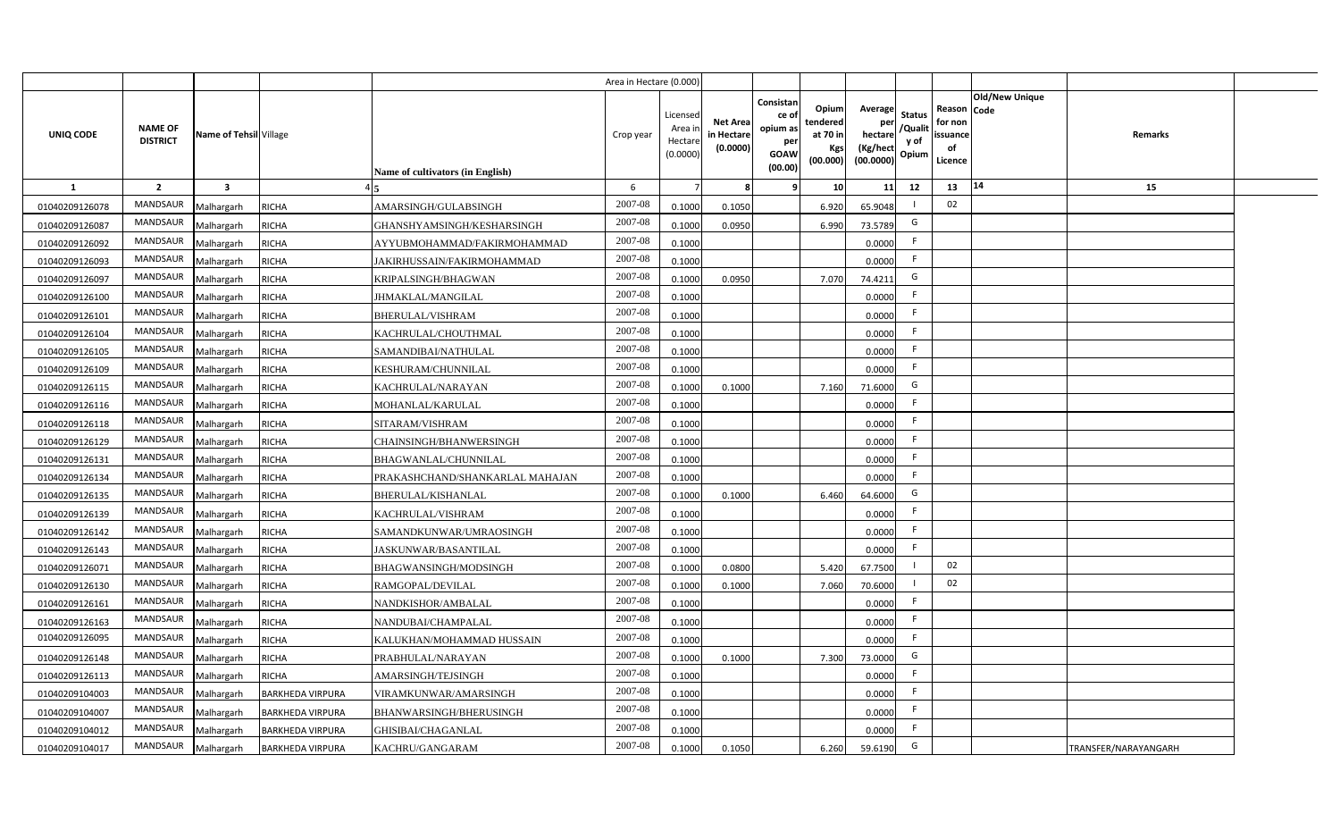|                |                                   |                         |                         |                                         | Area in Hectare (0.000) |                                          |                                           |                                                         |                                                  |                                                    |                                           |                                                                       |                      |  |
|----------------|-----------------------------------|-------------------------|-------------------------|-----------------------------------------|-------------------------|------------------------------------------|-------------------------------------------|---------------------------------------------------------|--------------------------------------------------|----------------------------------------------------|-------------------------------------------|-----------------------------------------------------------------------|----------------------|--|
| UNIQ CODE      | <b>NAME OF</b><br><b>DISTRICT</b> | Name of Tehsil Village  |                         | <b>Name of cultivators (in English)</b> | Crop year               | Licensec<br>Area i<br>Hectar<br>(0.0000) | <b>Net Area</b><br>in Hectare<br>(0.0000) | Consistan<br>ce o<br>opium as<br>per<br>GOAW<br>(00.00) | Opium<br>tendered<br>at 70 in<br>Kgs<br>(00.000) | Average<br>per<br>hectare<br>(Kg/hect<br>(00.0000) | <b>Status</b><br>/Qualit<br>y of<br>Opium | Old/New Unique<br>Reason Code<br>for non<br>issuance<br>of<br>Licence | Remarks              |  |
| $\mathbf{1}$   | $\overline{2}$                    | $\overline{\mathbf{3}}$ |                         |                                         | 6                       |                                          |                                           |                                                         | 10                                               | 11                                                 | 12                                        | 14<br>13                                                              | 15                   |  |
| 01040209126078 | MANDSAUR                          | Malhargarh              | <b>RICHA</b>            | AMARSINGH/GULABSINGH                    | 2007-08                 | 0.1000                                   | 0.1050                                    |                                                         | 6.920                                            | 65.9048                                            |                                           | 02                                                                    |                      |  |
| 01040209126087 | MANDSAUR                          | Malhargarh              | <b>RICHA</b>            | GHANSHYAMSINGH/KESHARSINGH              | 2007-08                 | 0.1000                                   | 0.0950                                    |                                                         | 6.990                                            | 73.5789                                            | G                                         |                                                                       |                      |  |
| 01040209126092 | <b>MANDSAUR</b>                   | Malhargarh              | <b>RICHA</b>            | AYYUBMOHAMMAD/FAKIRMOHAMMAD             | 2007-08                 | 0.1000                                   |                                           |                                                         |                                                  | 0.0000                                             | F.                                        |                                                                       |                      |  |
| 01040209126093 | MANDSAUR                          | Malhargarh              | <b>RICHA</b>            | JAKIRHUSSAIN/FAKIRMOHAMMAD              | 2007-08                 | 0.1000                                   |                                           |                                                         |                                                  | 0.0000                                             | F.                                        |                                                                       |                      |  |
| 01040209126097 | MANDSAUR                          | Malhargarh              | <b>RICHA</b>            | KRIPALSINGH/BHAGWAN                     | 2007-08                 | 0.1000                                   | 0.0950                                    |                                                         | 7.070                                            | 74.4211                                            | G                                         |                                                                       |                      |  |
| 01040209126100 | MANDSAUR                          | Malhargarh              | <b>RICHA</b>            | JHMAKLAL/MANGILAL                       | 2007-08                 | 0.1000                                   |                                           |                                                         |                                                  | 0.0000                                             | F                                         |                                                                       |                      |  |
| 01040209126101 | <b>MANDSAUR</b>                   | Malhargarh              | <b>RICHA</b>            | BHERULAL/VISHRAM                        | 2007-08                 | 0.1000                                   |                                           |                                                         |                                                  | 0.0000                                             | F.                                        |                                                                       |                      |  |
| 01040209126104 | MANDSAUR                          | Malhargarh              | <b>RICHA</b>            | KACHRULAL/CHOUTHMAL                     | 2007-08                 | 0.1000                                   |                                           |                                                         |                                                  | 0.0000                                             | F.                                        |                                                                       |                      |  |
| 01040209126105 | MANDSAUR                          | Malhargarh              | <b>RICHA</b>            | SAMANDIBAI/NATHULAL                     | 2007-08                 | 0.1000                                   |                                           |                                                         |                                                  | 0.0000                                             | -F                                        |                                                                       |                      |  |
| 01040209126109 | <b>MANDSAUR</b>                   | Malhargarh              | <b>RICHA</b>            | KESHURAM/CHUNNILAL                      | 2007-08                 | 0.1000                                   |                                           |                                                         |                                                  | 0.0000                                             | F.                                        |                                                                       |                      |  |
| 01040209126115 | MANDSAUR                          | Malhargarh              | <b>RICHA</b>            | KACHRULAL/NARAYAN                       | 2007-08                 | 0.1000                                   | 0.1000                                    |                                                         | 7.160                                            | 71.6000                                            | G                                         |                                                                       |                      |  |
| 01040209126116 | MANDSAUR                          | Malhargarh              | <b>RICHA</b>            | MOHANLAL/KARULAL                        | 2007-08                 | 0.1000                                   |                                           |                                                         |                                                  | 0.0000                                             | F.                                        |                                                                       |                      |  |
| 01040209126118 | MANDSAUR                          | Malhargarh              | <b>RICHA</b>            | SITARAM/VISHRAM                         | 2007-08                 | 0.1000                                   |                                           |                                                         |                                                  | 0.0000                                             | F.                                        |                                                                       |                      |  |
| 01040209126129 | MANDSAUR                          | Malhargarh              | <b>RICHA</b>            | CHAINSINGH/BHANWERSINGH                 | 2007-08                 | 0.1000                                   |                                           |                                                         |                                                  | 0.0000                                             | F                                         |                                                                       |                      |  |
| 01040209126131 | MANDSAUR                          | Malhargarh              | <b>RICHA</b>            | BHAGWANLAL/CHUNNILAL                    | 2007-08                 | 0.1000                                   |                                           |                                                         |                                                  | 0.0000                                             | F.                                        |                                                                       |                      |  |
| 01040209126134 | MANDSAUR                          | Malhargarh              | <b>RICHA</b>            | PRAKASHCHAND/SHANKARLAL MAHAJAN         | 2007-08                 | 0.1000                                   |                                           |                                                         |                                                  | 0.0000                                             | F.                                        |                                                                       |                      |  |
| 01040209126135 | MANDSAUR                          | Malhargarh              | <b>RICHA</b>            | BHERULAL/KISHANLAL                      | 2007-08                 | 0.1000                                   | 0.1000                                    |                                                         | 6.460                                            | 64.6000                                            | G                                         |                                                                       |                      |  |
| 01040209126139 | MANDSAUR                          | Malhargarh              | <b>RICHA</b>            | KACHRULAL/VISHRAM                       | 2007-08                 | 0.1000                                   |                                           |                                                         |                                                  | 0.0000                                             | F.                                        |                                                                       |                      |  |
| 01040209126142 | MANDSAUR                          | Malhargarh              | <b>RICHA</b>            | SAMANDKUNWAR/UMRAOSINGH                 | 2007-08                 | 0.1000                                   |                                           |                                                         |                                                  | 0.0000                                             | F.                                        |                                                                       |                      |  |
| 01040209126143 | <b>MANDSAUR</b>                   | Malhargarh              | <b>RICHA</b>            | JASKUNWAR/BASANTILAL                    | $2007 - 08$             | 0.1000                                   |                                           |                                                         |                                                  | 0.0000                                             | F.                                        |                                                                       |                      |  |
| 01040209126071 | MANDSAUR                          | Malhargarh              | <b>RICHA</b>            | BHAGWANSINGH/MODSINGH                   | 2007-08                 | 0.100                                    | 0.0800                                    |                                                         | 5.420                                            | 67.7500                                            |                                           | 02                                                                    |                      |  |
| 01040209126130 | <b>MANDSAUR</b>                   | Malhargarh              | <b>RICHA</b>            | RAMGOPAL/DEVILAL                        | 2007-08                 | 0.100                                    | 0.1000                                    |                                                         | 7.060                                            | 70.6000                                            |                                           | 02                                                                    |                      |  |
| 01040209126161 | MANDSAUR                          | Malhargarh              | <b>RICHA</b>            | NANDKISHOR/AMBALAL                      | $2007 - 08$             | 0.1000                                   |                                           |                                                         |                                                  | 0.0000                                             | E                                         |                                                                       |                      |  |
| 01040209126163 | MANDSAUR                          | Malhargarh              | <b>RICHA</b>            | NANDUBAI/CHAMPALAL                      | 2007-08                 | 0.1000                                   |                                           |                                                         |                                                  | 0.0000                                             | F.                                        |                                                                       |                      |  |
| 01040209126095 | MANDSAUR                          | Malhargarh              | <b>RICHA</b>            | KALUKHAN/MOHAMMAD HUSSAIN               | 2007-08                 | 0.1000                                   |                                           |                                                         |                                                  | 0.0000                                             | E                                         |                                                                       |                      |  |
| 01040209126148 | MANDSAUR                          | Malhargarh              | <b>RICHA</b>            | PRABHULAL/NARAYAN                       | 2007-08                 | 0.1000                                   | 0.1000                                    |                                                         | 7.300                                            | 73.0000                                            | G                                         |                                                                       |                      |  |
| 01040209126113 | MANDSAUR                          | Malhargarh              | <b>RICHA</b>            | AMARSINGH/TEJSINGH                      | 2007-08                 | 0.1000                                   |                                           |                                                         |                                                  | 0.0000                                             | F.                                        |                                                                       |                      |  |
| 01040209104003 | MANDSAUR                          | Malhargarh              | <b>BARKHEDA VIRPURA</b> | VIRAMKUNWAR/AMARSINGH                   | 2007-08                 | 0.1000                                   |                                           |                                                         |                                                  | 0.0000                                             | -F                                        |                                                                       |                      |  |
| 01040209104007 | MANDSAUR                          | Malhargarh              | <b>BARKHEDA VIRPURA</b> | BHANWARSINGH/BHERUSINGH                 | 2007-08                 | 0.1000                                   |                                           |                                                         |                                                  | 0.0000                                             | E                                         |                                                                       |                      |  |
| 01040209104012 | MANDSAUR                          | Malhargarh              | <b>BARKHEDA VIRPURA</b> | GHISIBAI/CHAGANLAL                      | 2007-08                 | 0.1000                                   |                                           |                                                         |                                                  | 0.0000                                             | F.                                        |                                                                       |                      |  |
| 01040209104017 | MANDSAUR                          | Malhargarh              | <b>BARKHEDA VIRPURA</b> | KACHRU/GANGARAM                         | 2007-08                 | 0.1000                                   | 0.1050                                    |                                                         | 6.260                                            | 59.6190                                            | G                                         |                                                                       | TRANSFER/NARAYANGARH |  |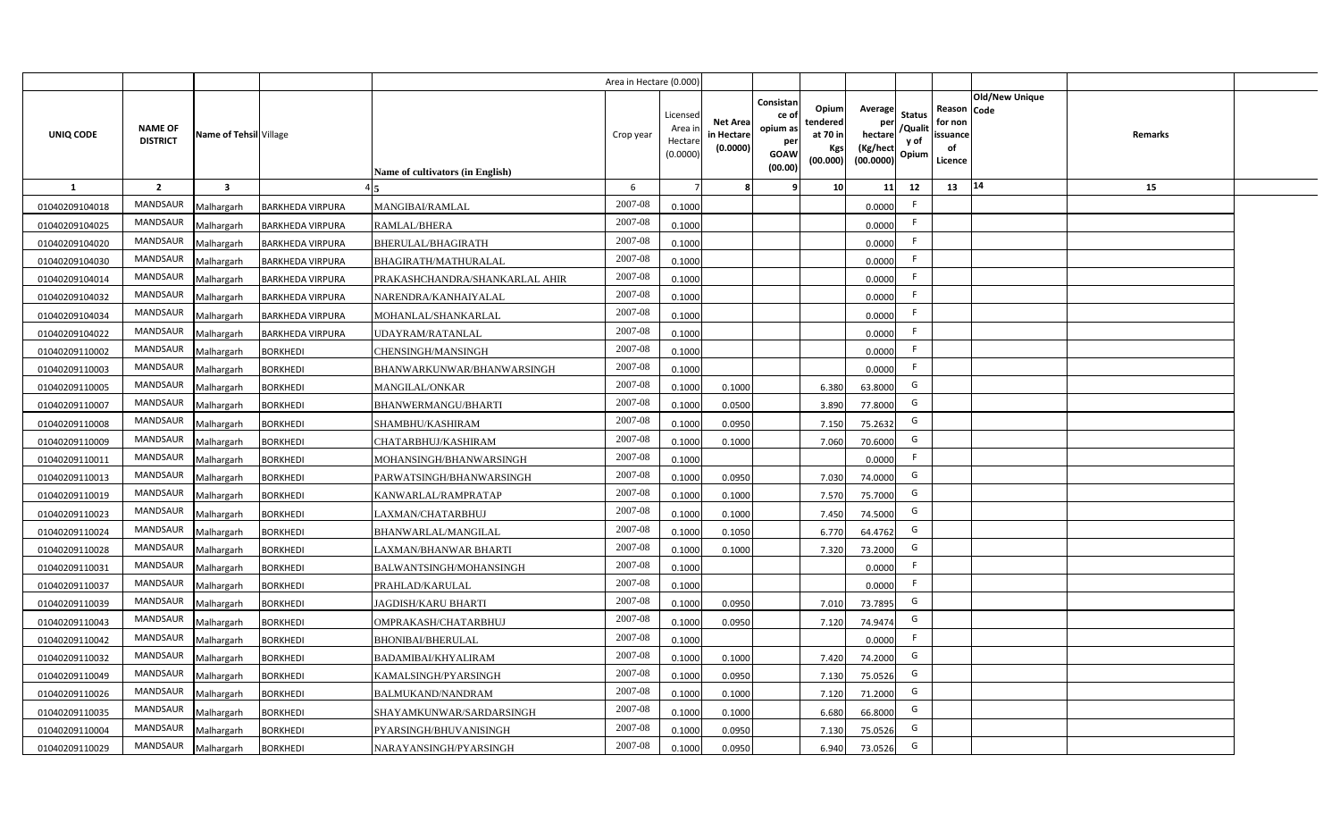|                |                                   |                         |                         |                                  | Area in Hectare (0.000 |                                          |                                           |                                                                 |                                                  |                                                    |                                           |                                                     |                |         |  |
|----------------|-----------------------------------|-------------------------|-------------------------|----------------------------------|------------------------|------------------------------------------|-------------------------------------------|-----------------------------------------------------------------|--------------------------------------------------|----------------------------------------------------|-------------------------------------------|-----------------------------------------------------|----------------|---------|--|
| UNIQ CODE      | <b>NAME OF</b><br><b>DISTRICT</b> | Name of Tehsil Village  |                         | Name of cultivators (in English) | Crop year              | Licensec<br>Area i<br>Hectar<br>(0.0000) | <b>Net Area</b><br>in Hectare<br>(0.0000) | Consistan<br>ce of<br>opium as<br>per<br><b>GOAW</b><br>(00.00) | Opium<br>tendered<br>at 70 in<br>Kgs<br>(00.000) | Average<br>per<br>hectare<br>(Kg/hect<br>(00.0000) | <b>Status</b><br>/Qualit<br>y of<br>Opium | Reason Code<br>for non<br>issuance<br>of<br>Licence | Old/New Unique | Remarks |  |
| 1              | $\overline{2}$                    | $\overline{\mathbf{3}}$ |                         |                                  | 6                      |                                          |                                           | ٠q                                                              | 10 <sup>1</sup>                                  | 11                                                 | 12                                        | 13                                                  | $\vert 14$     | 15      |  |
| 01040209104018 | MANDSAUR                          | Malhargarh              | <b>BARKHEDA VIRPURA</b> | MANGIBAI/RAMLAL                  | 2007-08                | 0.1000                                   |                                           |                                                                 |                                                  | 0.0000                                             | -F                                        |                                                     |                |         |  |
| 01040209104025 | MANDSAUR                          | Malhargarh              | <b>BARKHEDA VIRPURA</b> | RAMLAL/BHERA                     | 2007-08                | 0.1000                                   |                                           |                                                                 |                                                  | 0.0000                                             | F.                                        |                                                     |                |         |  |
| 01040209104020 | <b>MANDSAUR</b>                   | Malhargarh              | <b>BARKHEDA VIRPURA</b> | BHERULAL/BHAGIRATH               | 2007-08                | 0.1000                                   |                                           |                                                                 |                                                  | 0.0000                                             |                                           |                                                     |                |         |  |
| 01040209104030 | MANDSAUR                          | Malhargarh              | <b>BARKHEDA VIRPURA</b> | BHAGIRATH/MATHURALAL             | 2007-08                | 0.1000                                   |                                           |                                                                 |                                                  | 0.0000                                             | -F                                        |                                                     |                |         |  |
| 01040209104014 | MANDSAUR                          | Malhargarh              | <b>BARKHEDA VIRPURA</b> | PRAKASHCHANDRA/SHANKARLAL AHIR   | 2007-08                | 0.1000                                   |                                           |                                                                 |                                                  | 0.0000                                             |                                           |                                                     |                |         |  |
| 01040209104032 | MANDSAUR                          | Malhargarh              | <b>BARKHEDA VIRPURA</b> | NARENDRA/KANHAIYALAL             | 2007-08                | 0.1000                                   |                                           |                                                                 |                                                  | 0.0000                                             | F.                                        |                                                     |                |         |  |
| 01040209104034 | MANDSAUR                          | Malhargarh              | <b>BARKHEDA VIRPURA</b> | MOHANLAL/SHANKARLAL              | 2007-08                | 0.1000                                   |                                           |                                                                 |                                                  | 0.0000                                             |                                           |                                                     |                |         |  |
| 01040209104022 | MANDSAUR                          | Malhargarh              | <b>BARKHEDA VIRPURA</b> | <b>JDAYRAM/RATANLAL</b>          | 2007-08                | 0.1000                                   |                                           |                                                                 |                                                  | 0.0000                                             | E                                         |                                                     |                |         |  |
| 01040209110002 | MANDSAUR                          | Malhargarh              | <b>BORKHEDI</b>         | CHENSINGH/MANSINGH               | 2007-08                | 0.1000                                   |                                           |                                                                 |                                                  | 0.0000                                             | F.                                        |                                                     |                |         |  |
| 01040209110003 | MANDSAUR                          | Malhargarh              | <b>BORKHEDI</b>         | BHANWARKUNWAR/BHANWARSINGH       | 2007-08                | 0.1000                                   |                                           |                                                                 |                                                  | 0.0000                                             | -F                                        |                                                     |                |         |  |
| 01040209110005 | MANDSAUR                          | Malhargarh              | <b>BORKHEDI</b>         | <b>MANGILAL/ONKAR</b>            | 2007-08                | 0.1000                                   | 0.1000                                    |                                                                 | 6.380                                            | 63.8000                                            | G                                         |                                                     |                |         |  |
| 01040209110007 | MANDSAUR                          | Malhargarh              | <b>BORKHEDI</b>         | <b>BHANWERMANGU/BHARTI</b>       | 2007-08                | 0.1000                                   | 0.0500                                    |                                                                 | 3.890                                            | 77.8000                                            | G                                         |                                                     |                |         |  |
| 01040209110008 | <b>MANDSAUR</b>                   | Malhargarh              | <b>BORKHEDI</b>         | SHAMBHU/KASHIRAM                 | 2007-08                | 0.1000                                   | 0.0950                                    |                                                                 | 7.150                                            | 75.2632                                            | G                                         |                                                     |                |         |  |
| 01040209110009 | <b>MANDSAUR</b>                   | Malhargarh              | <b>BORKHEDI</b>         | CHATARBHUJ/KASHIRAM              | 2007-08                | 0.1000                                   | 0.1000                                    |                                                                 | 7.060                                            | 70.6000                                            | G                                         |                                                     |                |         |  |
| 01040209110011 | MANDSAUR                          | Malhargarh              | <b>BORKHEDI</b>         | MOHANSINGH/BHANWARSINGH          | 2007-08                | 0.1000                                   |                                           |                                                                 |                                                  | 0.0000                                             | -F                                        |                                                     |                |         |  |
| 01040209110013 | <b>MANDSAUR</b>                   | Malhargarh              | <b>BORKHEDI</b>         | PARWATSINGH/BHANWARSINGH         | 2007-08                | 0.1000                                   | 0.0950                                    |                                                                 | 7.030                                            | 74.0000                                            | G                                         |                                                     |                |         |  |
| 01040209110019 | <b>MANDSAUR</b>                   | Malhargarh              | <b>BORKHEDI</b>         | KANWARLAL/RAMPRATAP              | 2007-08                | 0.1000                                   | 0.1000                                    |                                                                 | 7.570                                            | 75.7000                                            | G                                         |                                                     |                |         |  |
| 01040209110023 | <b>MANDSAUR</b>                   | Malhargarh              | <b>BORKHEDI</b>         | LAXMAN/CHATARBHUJ                | 2007-08                | 0.100                                    | 0.1000                                    |                                                                 | 7.450                                            | 74.5000                                            | G                                         |                                                     |                |         |  |
| 01040209110024 | <b>MANDSAUR</b>                   | Malhargarh              | <b>BORKHEDI</b>         | BHANWARLAL/MANGILAL              | 2007-08                | 0.100                                    | 0.1050                                    |                                                                 | 6.770                                            | 64.4762                                            | G                                         |                                                     |                |         |  |
| 01040209110028 | <b>MANDSAUR</b>                   | Malhargarh              | <b>BORKHEDI</b>         | LAXMAN/BHANWAR BHARTI            | 2007-08                | 0.1000                                   | 0.1000                                    |                                                                 | 7.320                                            | 73.2000                                            | G                                         |                                                     |                |         |  |
| 01040209110031 | <b>MANDSAUR</b>                   | Malhargarh              | <b>BORKHEDI</b>         | BALWANTSINGH/MOHANSINGH          | 2007-08                | 0.1000                                   |                                           |                                                                 |                                                  | 0.0000                                             |                                           |                                                     |                |         |  |
| 01040209110037 | <b>MANDSAUR</b>                   | Malhargarh              | <b>BORKHEDI</b>         | PRAHLAD/KARULAL                  | 2007-08                | 0.100                                    |                                           |                                                                 |                                                  | 0.0000                                             | -F                                        |                                                     |                |         |  |
| 01040209110039 | MANDSAUR                          | Malhargarh              | <b>BORKHEDI</b>         | JAGDISH/KARU BHARTI              | 2007-08                | 0.100                                    | 0.0950                                    |                                                                 | 7.010                                            | 73.7895                                            | G                                         |                                                     |                |         |  |
| 01040209110043 | <b>MANDSAUR</b>                   | Malhargarh              | <b>BORKHEDI</b>         | OMPRAKASH/CHATARBHUJ             | 2007-08                | 0.100                                    | 0.0950                                    |                                                                 | 7.120                                            | 74.9474                                            | G                                         |                                                     |                |         |  |
| 01040209110042 | MANDSAUR                          | Malhargarh              | <b>BORKHEDI</b>         | <b>BHONIBAI/BHERULAL</b>         | 2007-08                | 0.1000                                   |                                           |                                                                 |                                                  | 0.0000                                             | F.                                        |                                                     |                |         |  |
| 01040209110032 | MANDSAUR                          | Malhargarh              | <b>BORKHEDI</b>         | BADAMIBAI/KHYALIRAM              | 2007-08                | 0.1000                                   | 0.1000                                    |                                                                 | 7.420                                            | 74.2000                                            | G                                         |                                                     |                |         |  |
| 01040209110049 | MANDSAUR                          | Malhargarh              | <b>BORKHEDI</b>         | KAMALSINGH/PYARSINGH             | 2007-08                | 0.1000                                   | 0.0950                                    |                                                                 | 7.130                                            | 75.0526                                            | G                                         |                                                     |                |         |  |
| 01040209110026 | MANDSAUR                          | Malhargarh              | <b>BORKHEDI</b>         | BALMUKAND/NANDRAM                | 2007-08                | 0.1000                                   | 0.1000                                    |                                                                 | 7.120                                            | 71.2000                                            | G                                         |                                                     |                |         |  |
| 01040209110035 | MANDSAUR                          | Malhargarh              | <b>BORKHEDI</b>         | SHAYAMKUNWAR/SARDARSINGH         | 2007-08                | 0.1000                                   | 0.1000                                    |                                                                 | 6.680                                            | 66.8000                                            | G                                         |                                                     |                |         |  |
| 01040209110004 | MANDSAUR                          | Malhargarh              | <b>BORKHEDI</b>         | PYARSINGH/BHUVANISINGH           | 2007-08                | 0.1000                                   | 0.0950                                    |                                                                 | 7.130                                            | 75.0526                                            | G                                         |                                                     |                |         |  |
| 01040209110029 | MANDSAUR                          | Malhargarh              | <b>BORKHEDI</b>         | NARAYANSINGH/PYARSINGH           | 2007-08                | 0.1000                                   | 0.0950                                    |                                                                 | 6.940                                            | 73.0526                                            | G                                         |                                                     |                |         |  |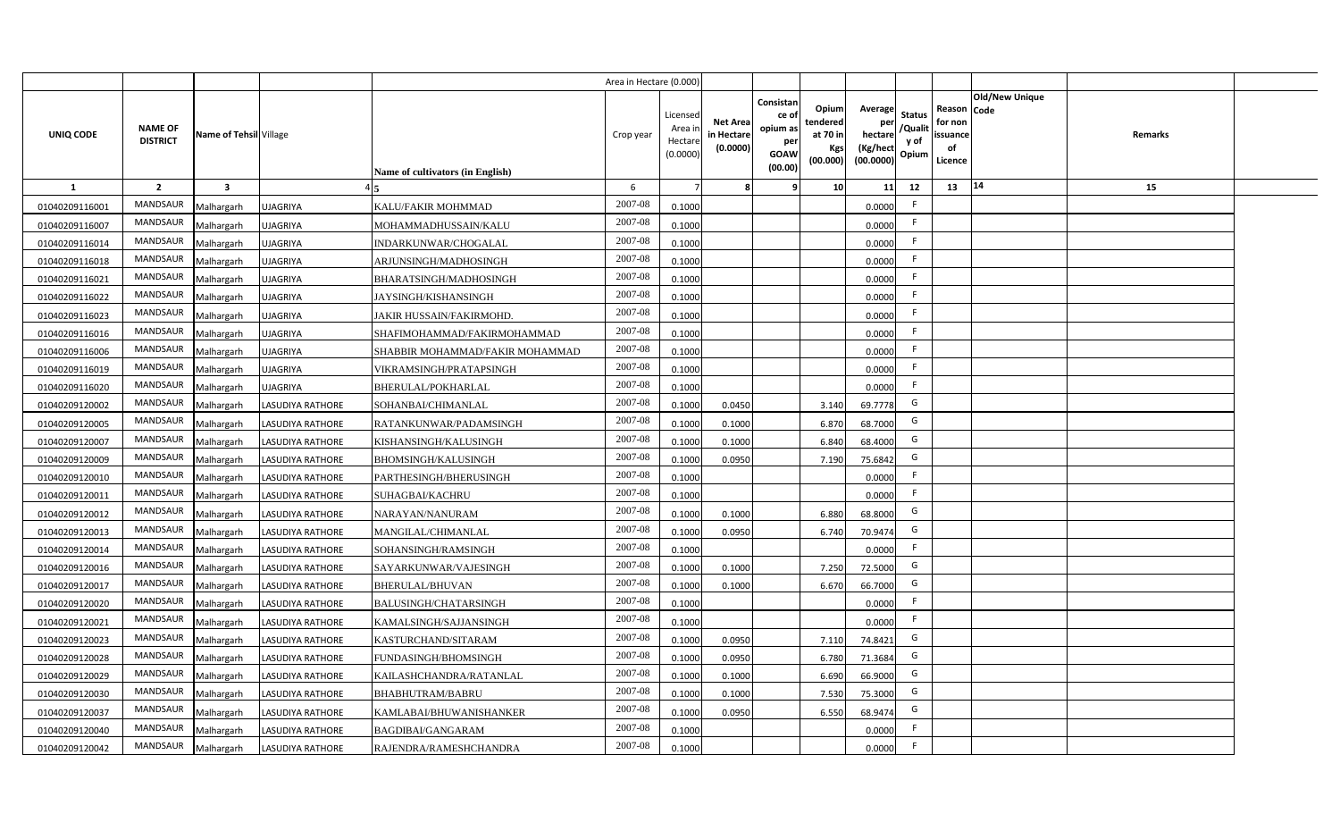|                |                                   |                         |                         |                                  | Area in Hectare (0.000 |                                          |                                           |                                                                 |                                                  |                                                    |                                           |                                                     |                |         |  |
|----------------|-----------------------------------|-------------------------|-------------------------|----------------------------------|------------------------|------------------------------------------|-------------------------------------------|-----------------------------------------------------------------|--------------------------------------------------|----------------------------------------------------|-------------------------------------------|-----------------------------------------------------|----------------|---------|--|
| UNIQ CODE      | <b>NAME OF</b><br><b>DISTRICT</b> | Name of Tehsil Village  |                         | Name of cultivators (in English) | Crop year              | Licensec<br>Area i<br>Hectar<br>(0.0000) | <b>Net Area</b><br>in Hectare<br>(0.0000) | Consistan<br>ce of<br>opium as<br>per<br><b>GOAW</b><br>(00.00) | Opium<br>tendered<br>at 70 in<br>Kgs<br>(00.000) | Average<br>per<br>hectare<br>(Kg/hect<br>(00.0000) | <b>Status</b><br>/Qualit<br>y of<br>Opium | Reason Code<br>for non<br>issuance<br>of<br>Licence | Old/New Unique | Remarks |  |
| $\mathbf{1}$   | $\overline{2}$                    | $\overline{\mathbf{3}}$ |                         |                                  | 6                      |                                          |                                           | q                                                               | 10 <sup>1</sup>                                  | 11                                                 | 12                                        | 13                                                  | $\vert 14$     | 15      |  |
| 01040209116001 | MANDSAUR                          | Malhargarh              | <b>UJAGRIYA</b>         | KALU/FAKIR MOHMMAD               | 2007-08                | 0.1000                                   |                                           |                                                                 |                                                  | 0.0000                                             | -F                                        |                                                     |                |         |  |
| 01040209116007 | MANDSAUR                          | Malhargarh              | <b>UJAGRIYA</b>         | MOHAMMADHUSSAIN/KALU             | 2007-08                | 0.1000                                   |                                           |                                                                 |                                                  | 0.0000                                             | F.                                        |                                                     |                |         |  |
| 01040209116014 | MANDSAUR                          | Malhargarh              | <b>UJAGRIYA</b>         | INDARKUNWAR/CHOGALAL             | 2007-08                | 0.1000                                   |                                           |                                                                 |                                                  | 0.0000                                             | -F                                        |                                                     |                |         |  |
| 01040209116018 | <b>MANDSAUR</b>                   | Malhargarh              | <b>UJAGRIYA</b>         | ARJUNSINGH/MADHOSINGH            | 2007-08                | 0.1000                                   |                                           |                                                                 |                                                  | 0.0000                                             | -F                                        |                                                     |                |         |  |
| 01040209116021 | MANDSAUR                          | Malhargarh              | <b>UJAGRIYA</b>         | BHARATSINGH/MADHOSINGH           | 2007-08                | 0.1000                                   |                                           |                                                                 |                                                  | 0.0000                                             |                                           |                                                     |                |         |  |
| 01040209116022 | MANDSAUR                          | Malhargarh              | <b>UJAGRIYA</b>         | JAYSINGH/KISHANSINGH             | 2007-08                | 0.1000                                   |                                           |                                                                 |                                                  | 0.0000                                             | F.                                        |                                                     |                |         |  |
| 01040209116023 | MANDSAUR                          | Malhargarh              | <b>UJAGRIYA</b>         | JAKIR HUSSAIN/FAKIRMOHD.         | 2007-08                | 0.1000                                   |                                           |                                                                 |                                                  | 0.0000                                             | -F                                        |                                                     |                |         |  |
| 01040209116016 | MANDSAUR                          | Malhargarh              | <b>UJAGRIYA</b>         | SHAFIMOHAMMAD/FAKIRMOHAMMAD      | 2007-08                | 0.1000                                   |                                           |                                                                 |                                                  | 0.0000                                             |                                           |                                                     |                |         |  |
| 01040209116006 | MANDSAUR                          | Malhargarh              | <b>UJAGRIYA</b>         | SHABBIR MOHAMMAD/FAKIR MOHAMMAD  | 2007-08                | 0.1000                                   |                                           |                                                                 |                                                  | 0.0000                                             | -F                                        |                                                     |                |         |  |
| 01040209116019 | MANDSAUR                          | Malhargarh              | <b>UJAGRIYA</b>         | VIKRAMSINGH/PRATAPSINGH          | 2007-08                | 0.1000                                   |                                           |                                                                 |                                                  | 0.0000                                             | F.                                        |                                                     |                |         |  |
| 01040209116020 | MANDSAUR                          | Malhargarh              | <b>UJAGRIYA</b>         | <b>BHERULAL/POKHARLAL</b>        | 2007-08                | 0.1000                                   |                                           |                                                                 |                                                  | 0.0000                                             | -F                                        |                                                     |                |         |  |
| 01040209120002 | MANDSAUR                          | Malhargarh              | <b>LASUDIYA RATHORE</b> | SOHANBAI/CHIMANLAL               | 2007-08                | 0.1000                                   | 0.0450                                    |                                                                 | 3.140                                            | 69.7778                                            | G                                         |                                                     |                |         |  |
| 01040209120005 | <b>MANDSAUR</b>                   | Malhargarh              | <b>LASUDIYA RATHORE</b> | RATANKUNWAR/PADAMSINGH           | 2007-08                | 0.1000                                   | 0.1000                                    |                                                                 | 6.870                                            | 68.7000                                            | G                                         |                                                     |                |         |  |
| 01040209120007 | <b>MANDSAUR</b>                   | Malhargarh              | <b>LASUDIYA RATHORE</b> | KISHANSINGH/KALUSINGH            | 2007-08                | 0.1000                                   | 0.1000                                    |                                                                 | 6.840                                            | 68.4000                                            | G                                         |                                                     |                |         |  |
| 01040209120009 | <b>MANDSAUR</b>                   | Malhargarh              | <b>LASUDIYA RATHORE</b> | BHOMSINGH/KALUSINGH              | 2007-08                | 0.1000                                   | 0.0950                                    |                                                                 | 7.190                                            | 75.6842                                            | G                                         |                                                     |                |         |  |
| 01040209120010 | <b>MANDSAUR</b>                   | Malhargarh              | <b>LASUDIYA RATHORE</b> | PARTHESINGH/BHERUSINGH           | 2007-08                | 0.1000                                   |                                           |                                                                 |                                                  | 0.0000                                             | F.                                        |                                                     |                |         |  |
| 01040209120011 | <b>MANDSAUR</b>                   | Malhargarh              | <b>LASUDIYA RATHORE</b> | SUHAGBAI/KACHRU                  | 2007-08                | 0.1000                                   |                                           |                                                                 |                                                  | 0.0000                                             | F.                                        |                                                     |                |         |  |
| 01040209120012 | <b>MANDSAUR</b>                   | Malhargarh              | <b>LASUDIYA RATHORE</b> | NARAYAN/NANURAM                  | 2007-08                | 0.1000                                   | 0.1000                                    |                                                                 | 6.880                                            | 68.8000                                            | G                                         |                                                     |                |         |  |
| 01040209120013 | MANDSAUR                          | Malhargarh              | <b>LASUDIYA RATHORE</b> | MANGILAL/CHIMANLAL               | 2007-08                | 0.1000                                   | 0.095                                     |                                                                 | 6.740                                            | 70.9474                                            | G                                         |                                                     |                |         |  |
| 01040209120014 | <b>MANDSAUR</b>                   | Malhargarh              | <b>LASUDIYA RATHORE</b> | SOHANSINGH/RAMSINGH              | 2007-08                | 0.100                                    |                                           |                                                                 |                                                  | 0.0000                                             | F.                                        |                                                     |                |         |  |
| 01040209120016 | MANDSAUR                          | Malhargarh              | <b>LASUDIYA RATHORE</b> | SAYARKUNWAR/VAJESINGH            | $2007 - 08$            | 0.100                                    | 0.1000                                    |                                                                 | 7.250                                            | 72.5000                                            | G                                         |                                                     |                |         |  |
| 01040209120017 | MANDSAUR                          | Malhargarh              | <b>LASUDIYA RATHORE</b> | BHERULAL/BHUVAN                  | 2007-08                | 0.100                                    | 0.1000                                    |                                                                 | 6.670                                            | 66.7000                                            | G                                         |                                                     |                |         |  |
| 01040209120020 | <b>MANDSAUR</b>                   | Malhargarh              | <b>LASUDIYA RATHORE</b> | BALUSINGH/CHATARSINGH            | 2007-08                | 0.100                                    |                                           |                                                                 |                                                  | 0.0000                                             | -F                                        |                                                     |                |         |  |
| 01040209120021 | MANDSAUR                          | Malhargarh              | <b>LASUDIYA RATHORE</b> | KAMALSINGH/SAJJANSINGH           | 2007-08                | 0.1000                                   |                                           |                                                                 |                                                  | 0.0000                                             | E                                         |                                                     |                |         |  |
| 01040209120023 | MANDSAUR                          | Malhargarh              | <b>LASUDIYA RATHORE</b> | KASTURCHAND/SITARAM              | 2007-08                | 0.1000                                   | 0.0950                                    |                                                                 | 7.110                                            | 74.8421                                            | G                                         |                                                     |                |         |  |
| 01040209120028 | MANDSAUR                          | Malhargarh              | <b>LASUDIYA RATHORE</b> | FUNDASINGH/BHOMSINGH             | 2007-08                | 0.1000                                   | 0.095                                     |                                                                 | 6.780                                            | 71.3684                                            | G                                         |                                                     |                |         |  |
| 01040209120029 | MANDSAUR                          | Malhargarh              | <b>LASUDIYA RATHORE</b> | KAILASHCHANDRA/RATANLAL          | 2007-08                | 0.1000                                   | 0.1000                                    |                                                                 | 6.690                                            | 66.9000                                            | G                                         |                                                     |                |         |  |
| 01040209120030 | MANDSAUR                          | Malhargarh              | <b>LASUDIYA RATHORE</b> | <b>BHABHUTRAM/BABRU</b>          | 2007-08                | 0.1000                                   | 0.1000                                    |                                                                 | 7.530                                            | 75.3000                                            | G                                         |                                                     |                |         |  |
| 01040209120037 | MANDSAUR                          | Malhargarh              | <b>LASUDIYA RATHORE</b> | KAMLABAI/BHUWANISHANKER          | 2007-08                | 0.1000                                   | 0.0950                                    |                                                                 | 6.550                                            | 68.9474                                            | G                                         |                                                     |                |         |  |
| 01040209120040 | MANDSAUR                          | Malhargarh              | <b>LASUDIYA RATHORE</b> | BAGDIBAI/GANGARAM                | 2007-08                | 0.1000                                   |                                           |                                                                 |                                                  | 0.0000                                             | -F                                        |                                                     |                |         |  |
| 01040209120042 | MANDSAUR                          | Malhargarh              | <b>LASUDIYA RATHORE</b> | RAJENDRA/RAMESHCHANDRA           | 2007-08                | 0.1000                                   |                                           |                                                                 |                                                  | 0.0000                                             | -F                                        |                                                     |                |         |  |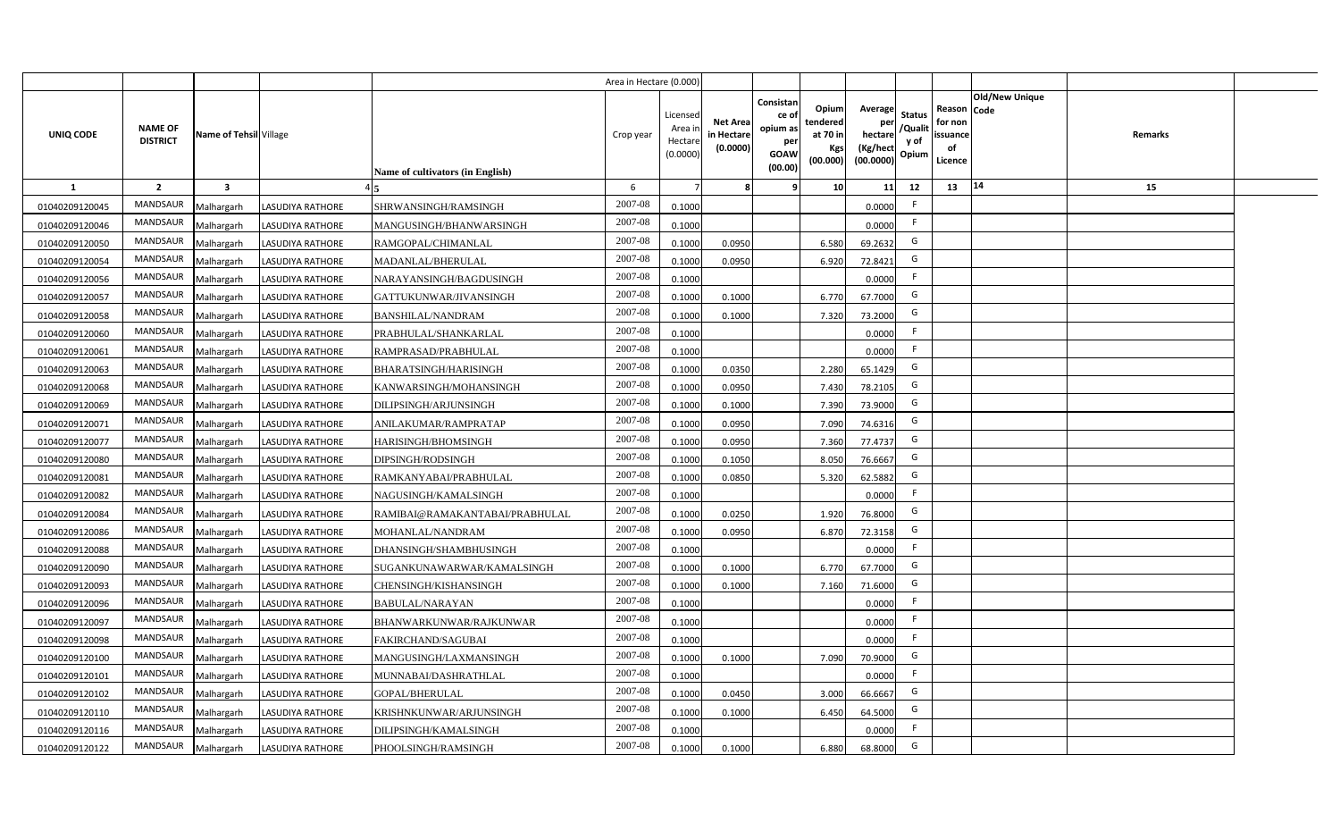|                |                                   |                         |                         |                                  | Area in Hectare (0.000 |                                          |                                           |                                                                 |                                                  |                                                    |                                           |                                                     |                       |         |  |
|----------------|-----------------------------------|-------------------------|-------------------------|----------------------------------|------------------------|------------------------------------------|-------------------------------------------|-----------------------------------------------------------------|--------------------------------------------------|----------------------------------------------------|-------------------------------------------|-----------------------------------------------------|-----------------------|---------|--|
| UNIQ CODE      | <b>NAME OF</b><br><b>DISTRICT</b> | Name of Tehsil Village  |                         | Name of cultivators (in English) | Crop year              | Licensec<br>Area i<br>Hectar<br>(0.0000) | <b>Net Area</b><br>in Hectare<br>(0.0000) | Consistan<br>ce of<br>opium as<br>per<br><b>GOAW</b><br>(00.00) | Opium<br>tendered<br>at 70 in<br>Kgs<br>(00.000) | Average<br>per<br>hectare<br>(Kg/hect<br>(00.0000) | <b>Status</b><br>/Qualit<br>y of<br>Opium | Reason Code<br>for non<br>issuance<br>of<br>Licence | <b>Old/New Unique</b> | Remarks |  |
| $\mathbf{1}$   | $\overline{2}$                    | $\overline{\mathbf{3}}$ |                         |                                  | 6                      |                                          |                                           | q                                                               | 10                                               | 11                                                 | 12                                        | 13                                                  | 14                    | 15      |  |
| 01040209120045 | MANDSAUR                          | Malhargarh              | <b>LASUDIYA RATHORE</b> | SHRWANSINGH/RAMSINGH             | 2007-08                | 0.1000                                   |                                           |                                                                 |                                                  | 0.0000                                             | -F                                        |                                                     |                       |         |  |
| 01040209120046 | <b>MANDSAUR</b>                   | Malhargarh              | LASUDIYA RATHORE        | MANGUSINGH/BHANWARSINGH          | 2007-08                | 0.1000                                   |                                           |                                                                 |                                                  | 0.0000                                             | -F                                        |                                                     |                       |         |  |
| 01040209120050 | MANDSAUR                          | Malhargarh              | <b>LASUDIYA RATHORE</b> | RAMGOPAL/CHIMANLAL               | 2007-08                | 0.100                                    | 0.0950                                    |                                                                 | 6.580                                            | 69.2632                                            | G                                         |                                                     |                       |         |  |
| 01040209120054 | MANDSAUR                          | Malhargarh              | <b>LASUDIYA RATHORE</b> | MADANLAL/BHERULAL                | 2007-08                | 0.100                                    | 0.0950                                    |                                                                 | 6.920                                            | 72.8421                                            | G                                         |                                                     |                       |         |  |
| 01040209120056 | <b>MANDSAUR</b>                   | Malhargarh              | <b>LASUDIYA RATHORE</b> | NARAYANSINGH/BAGDUSINGH          | 2007-08                | 0.1000                                   |                                           |                                                                 |                                                  | 0.0000                                             | -F                                        |                                                     |                       |         |  |
| 01040209120057 | <b>MANDSAUR</b>                   | Malhargarh              | <b>LASUDIYA RATHORE</b> | GATTUKUNWAR/JIVANSINGH           | 2007-08                | 0.1000                                   | 0.1000                                    |                                                                 | 6.770                                            | 67.7000                                            | G                                         |                                                     |                       |         |  |
| 01040209120058 | MANDSAUR                          | Malhargarh              | <b>LASUDIYA RATHORE</b> | <b>BANSHILAL/NANDRAM</b>         | 2007-08                | 0.1000                                   | 0.1000                                    |                                                                 | 7.320                                            | 73.2000                                            | G                                         |                                                     |                       |         |  |
| 01040209120060 | MANDSAUR                          | Malhargarh              | <b>LASUDIYA RATHORE</b> | PRABHULAL/SHANKARLAL             | 2007-08                | 0.1000                                   |                                           |                                                                 |                                                  | 0.0000                                             | -F                                        |                                                     |                       |         |  |
| 01040209120061 | <b>MANDSAUR</b>                   | Malhargarh              | <b>LASUDIYA RATHORE</b> | RAMPRASAD/PRABHULAL              | 2007-08                | 0.1000                                   |                                           |                                                                 |                                                  | 0.0000                                             | -F                                        |                                                     |                       |         |  |
| 01040209120063 | MANDSAUR                          | Malhargarh              | <b>LASUDIYA RATHORE</b> | BHARATSINGH/HARISINGH            | 2007-08                | 0.1000                                   | 0.0350                                    |                                                                 | 2.280                                            | 65.1429                                            | G                                         |                                                     |                       |         |  |
| 01040209120068 | <b>MANDSAUR</b>                   | Malhargarh              | <b>LASUDIYA RATHORE</b> | KANWARSINGH/MOHANSINGH           | 2007-08                | 0.1000                                   | 0.0950                                    |                                                                 | 7.430                                            | 78.2105                                            | G                                         |                                                     |                       |         |  |
| 01040209120069 | <b>MANDSAUR</b>                   | Malhargarh              | <b>LASUDIYA RATHORE</b> | DILIPSINGH/ARJUNSINGH            | 2007-08                | 0.1000                                   | 0.1000                                    |                                                                 | 7.390                                            | 73.9000                                            | G                                         |                                                     |                       |         |  |
| 01040209120071 | <b>MANDSAUR</b>                   | Malhargarh              | <b>LASUDIYA RATHORE</b> | ANILAKUMAR/RAMPRATAP             | 2007-08                | 0.1000                                   | 0.0950                                    |                                                                 | 7.090                                            | 74.6316                                            | G                                         |                                                     |                       |         |  |
| 01040209120077 | <b>MANDSAUR</b>                   | Malhargarh              | <b>LASUDIYA RATHORE</b> | HARISINGH/BHOMSINGH              | 2007-08                | 0.1000                                   | 0.0950                                    |                                                                 | 7.360                                            | 77.4737                                            | G                                         |                                                     |                       |         |  |
| 01040209120080 | <b>MANDSAUR</b>                   | Malhargarh              | LASUDIYA RATHORE        | DIPSINGH/RODSINGH                | 2007-08                | 0.1000                                   | 0.1050                                    |                                                                 | 8.050                                            | 76.6667                                            | G                                         |                                                     |                       |         |  |
| 01040209120081 | <b>MANDSAUR</b>                   | Malhargarh              | <b>LASUDIYA RATHORE</b> | RAMKANYABAI/PRABHULAL            | 2007-08                | 0.100                                    | 0.0850                                    |                                                                 | 5.320                                            | 62.5882                                            | G                                         |                                                     |                       |         |  |
| 01040209120082 | MANDSAUR                          | Malhargarh              | <b>LASUDIYA RATHORE</b> | NAGUSINGH/KAMALSINGH             | 2007-08                | 0.1000                                   |                                           |                                                                 |                                                  | 0.0000                                             | E                                         |                                                     |                       |         |  |
| 01040209120084 | <b>MANDSAUR</b>                   | Malhargarh              | <b>LASUDIYA RATHORE</b> | RAMIBAI@RAMAKANTABAI/PRABHULAL   | 2007-08                | 0.100                                    | 0.0250                                    |                                                                 | 1.920                                            | 76.8000                                            | G                                         |                                                     |                       |         |  |
| 01040209120086 | <b>MANDSAUR</b>                   | Malhargarh              | <b>LASUDIYA RATHORE</b> | MOHANLAL/NANDRAM                 | $2007 - 08$            | 0.100                                    | 0.0950                                    |                                                                 | 6.870                                            | 72.3158                                            | G                                         |                                                     |                       |         |  |
| 01040209120088 | <b>MANDSAUR</b>                   | Malhargarh              | <b>LASUDIYA RATHORE</b> | DHANSINGH/SHAMBHUSINGH           | $2007 - 08$            | 0.100                                    |                                           |                                                                 |                                                  | 0.0000                                             | -F                                        |                                                     |                       |         |  |
| 01040209120090 | <b>MANDSAUR</b>                   | Malhargarh              | <b>LASUDIYA RATHORE</b> | SUGANKUNAWARWAR/KAMALSINGH       | 2007-08                | 0.100                                    | 0.1000                                    |                                                                 | 6.770                                            | 67.7000                                            | G                                         |                                                     |                       |         |  |
| 01040209120093 | <b>MANDSAUR</b>                   | Malhargarh              | <b>LASUDIYA RATHORE</b> | CHENSINGH/KISHANSINGH            | 2007-08                | 0.100                                    | 0.1000                                    |                                                                 | 7.160                                            | 71.6000                                            | G                                         |                                                     |                       |         |  |
| 01040209120096 | <b>MANDSAUR</b>                   | Malhargarh              | LASUDIYA RATHORE        | BABULAL/NARAYAN                  | 2007-08                | 0.1000                                   |                                           |                                                                 |                                                  | 0.0000                                             | F.                                        |                                                     |                       |         |  |
| 01040209120097 | MANDSAUR                          | Malhargarh              | <b>LASUDIYA RATHORE</b> | BHANWARKUNWAR/RAJKUNWAR          | 2007-08                | 0.1000                                   |                                           |                                                                 |                                                  | 0.0000                                             | -F                                        |                                                     |                       |         |  |
| 01040209120098 | MANDSAUR                          | Malhargarh              | <b>LASUDIYA RATHORE</b> | FAKIRCHAND/SAGUBAI               | 2007-08                | 0.1000                                   |                                           |                                                                 |                                                  | 0.0000                                             | F                                         |                                                     |                       |         |  |
| 01040209120100 | MANDSAUR                          | Malhargarh              | <b>LASUDIYA RATHORE</b> | MANGUSINGH/LAXMANSINGH           | 2007-08                | 0.1000                                   | 0.1000                                    |                                                                 | 7.090                                            | 70.9000                                            | G                                         |                                                     |                       |         |  |
| 01040209120101 | MANDSAUR                          | Malhargarh              | <b>LASUDIYA RATHORE</b> | MUNNABAI/DASHRATHLAL             | 2007-08                | 0.1000                                   |                                           |                                                                 |                                                  | 0.0000                                             | E                                         |                                                     |                       |         |  |
| 01040209120102 | MANDSAUR                          | Malhargarh              | <b>LASUDIYA RATHORE</b> | GOPAL/BHERULAL                   | 2007-08                | 0.1000                                   | 0.0450                                    |                                                                 | 3.000                                            | 66.6667                                            | G                                         |                                                     |                       |         |  |
| 01040209120110 | MANDSAUR                          | Malhargarh              | <b>LASUDIYA RATHORE</b> | KRISHNKUNWAR/ARJUNSINGH          | 2007-08                | 0.1000                                   | 0.1000                                    |                                                                 | 6.450                                            | 64.5000                                            | G                                         |                                                     |                       |         |  |
| 01040209120116 | MANDSAUR                          | Malhargarh              | <b>LASUDIYA RATHORE</b> | DILIPSINGH/KAMALSINGH            | 2007-08                | 0.1000                                   |                                           |                                                                 |                                                  | 0.0000                                             | -F                                        |                                                     |                       |         |  |
| 01040209120122 | MANDSAUR                          | Malhargarh              | <b>LASUDIYA RATHORE</b> | PHOOLSINGH/RAMSINGH              | 2007-08                | 0.1000                                   | 0.1000                                    |                                                                 | 6.880                                            | 68.8000                                            | G                                         |                                                     |                       |         |  |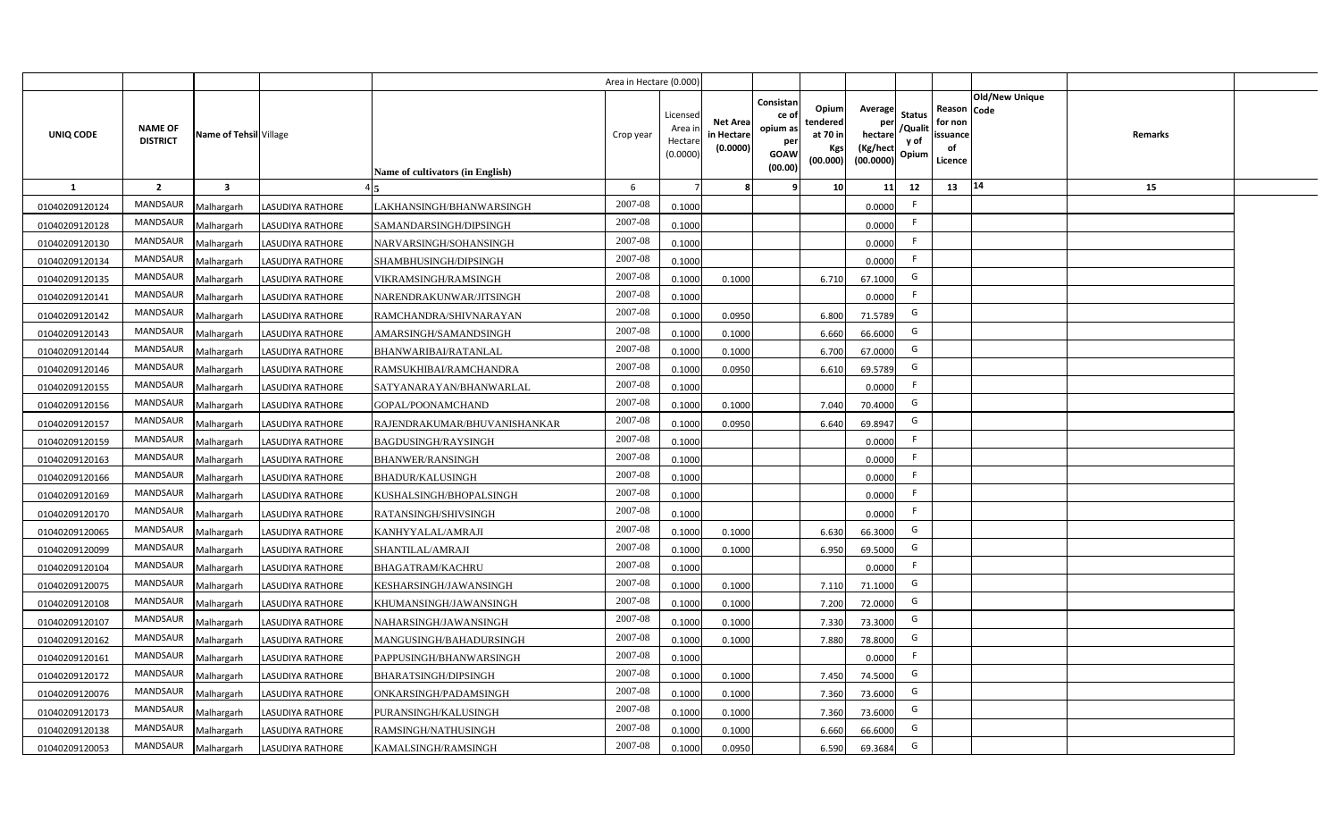|                |                                   |                         |                         |                                  | Area in Hectare (0.000 |                                          |                                           |                                                                 |                                                  |                                                    |                                           |                                                     |                |         |  |
|----------------|-----------------------------------|-------------------------|-------------------------|----------------------------------|------------------------|------------------------------------------|-------------------------------------------|-----------------------------------------------------------------|--------------------------------------------------|----------------------------------------------------|-------------------------------------------|-----------------------------------------------------|----------------|---------|--|
| UNIQ CODE      | <b>NAME OF</b><br><b>DISTRICT</b> | Name of Tehsil Village  |                         | Name of cultivators (in English) | Crop year              | Licensec<br>Area i<br>Hectar<br>(0.0000) | <b>Net Area</b><br>in Hectare<br>(0.0000) | Consistan<br>ce of<br>opium as<br>per<br><b>GOAW</b><br>(00.00) | Opium<br>tendered<br>at 70 in<br>Kgs<br>(00.000) | Average<br>per<br>hectare<br>(Kg/hect<br>(00.0000) | <b>Status</b><br>/Qualit<br>y of<br>Opium | Reason Code<br>for non<br>issuance<br>of<br>Licence | Old/New Unique | Remarks |  |
| 1              | $\overline{2}$                    | $\overline{\mathbf{3}}$ |                         |                                  | -6                     |                                          |                                           | ٠q                                                              | 10 <sup>1</sup>                                  | 11                                                 | 12                                        | 13                                                  | 14             | 15      |  |
| 01040209120124 | MANDSAUR                          | Malhargarh              | <b>LASUDIYA RATHORE</b> | LAKHANSINGH/BHANWARSINGH         | 2007-08                | 0.1000                                   |                                           |                                                                 |                                                  | 0.0000                                             | -F                                        |                                                     |                |         |  |
| 01040209120128 | MANDSAUR                          | Malhargarh              | <b>LASUDIYA RATHORE</b> | SAMANDARSINGH/DIPSINGH           | 2007-08                | 0.1000                                   |                                           |                                                                 |                                                  | 0.0000                                             | F.                                        |                                                     |                |         |  |
| 01040209120130 | <b>MANDSAUR</b>                   | Malhargarh              | <b>LASUDIYA RATHORE</b> | NARVARSINGH/SOHANSINGH           | 2007-08                | 0.1000                                   |                                           |                                                                 |                                                  | 0.0000                                             | - F                                       |                                                     |                |         |  |
| 01040209120134 | MANDSAUR                          | Malhargarh              | <b>LASUDIYA RATHORE</b> | SHAMBHUSINGH/DIPSINGH            | 2007-08                | 0.1000                                   |                                           |                                                                 |                                                  | 0.0000                                             | -F                                        |                                                     |                |         |  |
| 01040209120135 | MANDSAUR                          | Malhargarh              | <b>LASUDIYA RATHORE</b> | VIKRAMSINGH/RAMSINGH             | 2007-08                | 0.1000                                   | 0.1000                                    |                                                                 | 6.710                                            | 67.1000                                            | G                                         |                                                     |                |         |  |
| 01040209120141 | <b>MANDSAUR</b>                   | Malhargarh              | <b>LASUDIYA RATHORE</b> | NARENDRAKUNWAR/JITSINGH          | 2007-08                | 0.1000                                   |                                           |                                                                 |                                                  | 0.0000                                             | F.                                        |                                                     |                |         |  |
| 01040209120142 | MANDSAUR                          | Malhargarh              | <b>LASUDIYA RATHORE</b> | RAMCHANDRA/SHIVNARAYAN           | 2007-08                | 0.1000                                   | 0.0950                                    |                                                                 | 6.800                                            | 71.5789                                            | G                                         |                                                     |                |         |  |
| 01040209120143 | MANDSAUR                          | Malhargarh              | <b>LASUDIYA RATHORE</b> | AMARSINGH/SAMANDSINGH            | 2007-08                | 0.100                                    | 0.1000                                    |                                                                 | 6.660                                            | 66.6000                                            | G                                         |                                                     |                |         |  |
| 01040209120144 | MANDSAUR                          | Malhargarh              | <b>LASUDIYA RATHORE</b> | BHANWARIBAI/RATANLAL             | 2007-08                | 0.100                                    | 0.1000                                    |                                                                 | 6.700                                            | 67.0000                                            | G                                         |                                                     |                |         |  |
| 01040209120146 | MANDSAUR                          | Malhargarh              | <b>LASUDIYA RATHORE</b> | RAMSUKHIBAI/RAMCHANDRA           | 2007-08                | 0.1000                                   | 0.0950                                    |                                                                 | 6.610                                            | 69.5789                                            | G                                         |                                                     |                |         |  |
| 01040209120155 | MANDSAUR                          | Malhargarh              | <b>LASUDIYA RATHORE</b> | SATYANARAYAN/BHANWARLAL          | 2007-08                | 0.1000                                   |                                           |                                                                 |                                                  | 0.0000                                             |                                           |                                                     |                |         |  |
| 01040209120156 | MANDSAUR                          | Malhargarh              | <b>LASUDIYA RATHORE</b> | GOPAL/POONAMCHAND                | 2007-08                | 0.1000                                   | 0.1000                                    |                                                                 | 7.040                                            | 70.4000                                            | G                                         |                                                     |                |         |  |
| 01040209120157 | <b>MANDSAUR</b>                   | Malhargarh              | <b>LASUDIYA RATHORE</b> | RAJENDRAKUMAR/BHUVANISHANKAR     | 2007-08                | 0.1000                                   | 0.0950                                    |                                                                 | 6.640                                            | 69.8947                                            | G                                         |                                                     |                |         |  |
| 01040209120159 | <b>MANDSAUR</b>                   | Malhargarh              | <b>LASUDIYA RATHORE</b> | BAGDUSINGH/RAYSINGH              | 2007-08                | 0.1000                                   |                                           |                                                                 |                                                  | 0.0000                                             | -F                                        |                                                     |                |         |  |
| 01040209120163 | MANDSAUR                          | Malhargarh              | <b>LASUDIYA RATHORE</b> | <b>BHANWER/RANSINGH</b>          | 2007-08                | 0.1000                                   |                                           |                                                                 |                                                  | 0.0000                                             | -F                                        |                                                     |                |         |  |
| 01040209120166 | <b>MANDSAUR</b>                   | Malhargarh              | <b>LASUDIYA RATHORE</b> | <b>BHADUR/KALUSINGH</b>          | 2007-08                | 0.1000                                   |                                           |                                                                 |                                                  | 0.0000                                             | F.                                        |                                                     |                |         |  |
| 01040209120169 | <b>MANDSAUR</b>                   | Malhargarh              | <b>LASUDIYA RATHORE</b> | KUSHALSINGH/BHOPALSINGH          | 2007-08                | 0.1000                                   |                                           |                                                                 |                                                  | 0.0000                                             | -F                                        |                                                     |                |         |  |
| 01040209120170 | <b>MANDSAUR</b>                   | Malhargarh              | <b>LASUDIYA RATHORE</b> | RATANSINGH/SHIVSINGH             | 2007-08                | 0.1000                                   |                                           |                                                                 |                                                  | 0.0000                                             | F.                                        |                                                     |                |         |  |
| 01040209120065 | <b>MANDSAUR</b>                   | Malhargarh              | <b>LASUDIYA RATHORE</b> | KANHYYALAL/AMRAJI                | 2007-08                | 0.1000                                   | 0.1000                                    |                                                                 | 6.630                                            | 66.3000                                            | G                                         |                                                     |                |         |  |
| 01040209120099 | <b>MANDSAUR</b>                   | Malhargarh              | <b>LASUDIYA RATHORE</b> | SHANTILAL/AMRAJI                 | 2007-08                | 0.1000                                   | 0.1000                                    |                                                                 | 6.950                                            | 69.5000                                            | G                                         |                                                     |                |         |  |
| 01040209120104 | <b>MANDSAUR</b>                   | Malhargarh              | LASUDIYA RATHORE        | <b>BHAGATRAM/KACHRU</b>          | 2007-08                | 0.1000                                   |                                           |                                                                 |                                                  | 0.0000                                             | -F                                        |                                                     |                |         |  |
| 01040209120075 | MANDSAUR                          | Malhargarh              | <b>LASUDIYA RATHORE</b> | KESHARSINGH/JAWANSINGH           | 2007-08                | 0.100                                    | 0.1000                                    |                                                                 | 7.110                                            | 71.1000                                            | G                                         |                                                     |                |         |  |
| 01040209120108 | MANDSAUR                          | Malhargarh              | <b>LASUDIYA RATHORE</b> | KHUMANSINGH/JAWANSINGH           | 2007-08                | 0.100                                    | 0.1000                                    |                                                                 | 7.200                                            | 72.0000                                            | G                                         |                                                     |                |         |  |
| 01040209120107 | MANDSAUR                          | Malhargarh              | <b>LASUDIYA RATHORE</b> | NAHARSINGH/JAWANSINGH            | 2007-08                | 0.100                                    | 0.1000                                    |                                                                 | 7.330                                            | 73.3000                                            | G                                         |                                                     |                |         |  |
| 01040209120162 | MANDSAUR                          | Malhargarh              | <b>LASUDIYA RATHORE</b> | MANGUSINGH/BAHADURSINGH          | 2007-08                | 0.1000                                   | 0.1000                                    |                                                                 | 7.880                                            | 78.8000                                            | G                                         |                                                     |                |         |  |
| 01040209120161 | MANDSAUR                          | Malhargarh              | <b>LASUDIYA RATHORE</b> | PAPPUSINGH/BHANWARSINGH          | 2007-08                | 0.1000                                   |                                           |                                                                 |                                                  | 0.0000                                             | F                                         |                                                     |                |         |  |
| 01040209120172 | MANDSAUR                          | Malhargarh              | <b>LASUDIYA RATHORE</b> | <b>BHARATSINGH/DIPSINGH</b>      | 2007-08                | 0.1000                                   | 0.1000                                    |                                                                 | 7.450                                            | 74.5000                                            | G                                         |                                                     |                |         |  |
| 01040209120076 | MANDSAUR                          | Malhargarh              | <b>LASUDIYA RATHORE</b> | ONKARSINGH/PADAMSINGH            | 2007-08                | 0.1000                                   | 0.1000                                    |                                                                 | 7.360                                            | 73.6000                                            | G                                         |                                                     |                |         |  |
| 01040209120173 | MANDSAUR                          | Malhargarh              | <b>LASUDIYA RATHORE</b> | PURANSINGH/KALUSINGH             | 2007-08                | 0.1000                                   | 0.1000                                    |                                                                 | 7.360                                            | 73.6000                                            | G                                         |                                                     |                |         |  |
| 01040209120138 | MANDSAUR                          | Malhargarh              | <b>LASUDIYA RATHORE</b> | RAMSINGH/NATHUSINGH              | 2007-08                | 0.1000                                   | 0.1000                                    |                                                                 | 6.660                                            | 66.6000                                            | G                                         |                                                     |                |         |  |
| 01040209120053 | MANDSAUR                          | Malhargarh              | <b>LASUDIYA RATHORE</b> | KAMALSINGH/RAMSINGH              | 2007-08                | 0.1000                                   | 0.0950                                    |                                                                 | 6.590                                            | 69.3684                                            | G                                         |                                                     |                |         |  |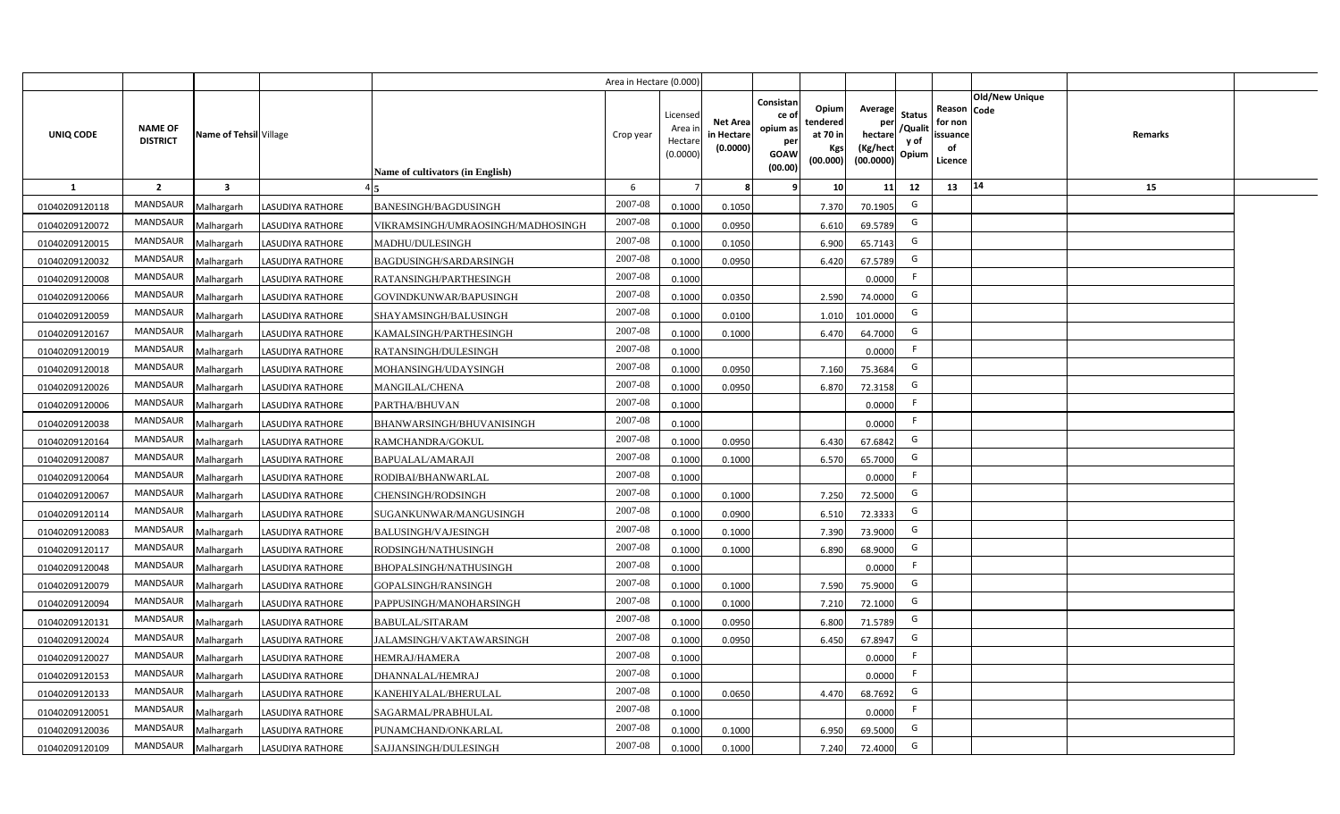|                |                                   |                         |                         |                                   | Area in Hectare (0.000) |                                           |                                           |                                                                                                                     |                                                    |                                           |                                                     |                       |         |  |
|----------------|-----------------------------------|-------------------------|-------------------------|-----------------------------------|-------------------------|-------------------------------------------|-------------------------------------------|---------------------------------------------------------------------------------------------------------------------|----------------------------------------------------|-------------------------------------------|-----------------------------------------------------|-----------------------|---------|--|
| UNIQ CODE      | <b>NAME OF</b><br><b>DISTRICT</b> | Name of Tehsil Village  |                         | Name of cultivators (in English)  | Crop year               | Licensed<br>Area i<br>Hectare<br>(0.0000) | <b>Net Area</b><br>in Hectare<br>(0.0000) | Consistan<br>Opium<br>ce of<br>tendered<br>opium as<br>at 70 in<br>per<br>Kgs<br><b>GOAW</b><br>(00.000)<br>(00.00) | Average<br>per<br>hectare<br>(Kg/hect<br>(00.0000) | <b>Status</b><br>/Qualit<br>y of<br>Opium | Reason Code<br>for non<br>issuance<br>of<br>Licence | <b>Old/New Unique</b> | Remarks |  |
| 1              | $\overline{2}$                    | $\overline{\mathbf{3}}$ |                         |                                   | 6                       |                                           | 8                                         | 10<br>-9                                                                                                            | 11                                                 | 12                                        | 13                                                  | 14                    | 15      |  |
| 01040209120118 | MANDSAUR                          | Malhargarh              | <b>LASUDIYA RATHORE</b> | <b>BANESINGH/BAGDUSINGH</b>       | 2007-08                 | 0.1000                                    | 0.1050                                    | 7.370                                                                                                               | 70.1905                                            | G                                         |                                                     |                       |         |  |
| 01040209120072 | MANDSAUR                          | Malhargarh              | <b>LASUDIYA RATHORE</b> | VIKRAMSINGH/UMRAOSINGH/MADHOSINGH | 2007-08                 | 0.1000                                    | 0.0950                                    | 6.610                                                                                                               | 69.5789                                            | G                                         |                                                     |                       |         |  |
| 01040209120015 | <b>MANDSAUR</b>                   | Malhargarh              | <b>LASUDIYA RATHORE</b> | MADHU/DULESINGH                   | 2007-08                 | 0.1000                                    | 0.1050                                    | 6.900                                                                                                               | 65.7143                                            | G                                         |                                                     |                       |         |  |
| 01040209120032 | MANDSAUR                          | Malhargarh              | <b>LASUDIYA RATHORE</b> | BAGDUSINGH/SARDARSINGH            | 2007-08                 | 0.1000                                    | 0.0950                                    | 6.420                                                                                                               | 67.5789                                            | G                                         |                                                     |                       |         |  |
| 01040209120008 | MANDSAUR                          | Malhargarh              | <b>LASUDIYA RATHORE</b> | RATANSINGH/PARTHESINGH            | 2007-08                 | 0.1000                                    |                                           |                                                                                                                     | 0.0000                                             | -F                                        |                                                     |                       |         |  |
| 01040209120066 | <b>MANDSAUR</b>                   | Malhargarh              | <b>LASUDIYA RATHORE</b> | GOVINDKUNWAR/BAPUSINGH            | 2007-08                 | 0.1000                                    | 0.0350                                    | 2.590                                                                                                               | 74.0000                                            | G                                         |                                                     |                       |         |  |
| 01040209120059 | MANDSAUR                          | Malhargarh              | <b>LASUDIYA RATHORE</b> | SHAYAMSINGH/BALUSINGH             | 2007-08                 | 0.1000                                    | 0.0100                                    | 1.010                                                                                                               | 101.0000                                           | G                                         |                                                     |                       |         |  |
| 01040209120167 | MANDSAUR                          | Malhargarh              | <b>LASUDIYA RATHORE</b> | KAMALSINGH/PARTHESINGH            | 2007-08                 | 0.1000                                    | 0.1000                                    | 6.470                                                                                                               | 64.7000                                            | G                                         |                                                     |                       |         |  |
| 01040209120019 | MANDSAUR                          | Malhargarh              | <b>LASUDIYA RATHORE</b> | RATANSINGH/DULESINGH              | 2007-08                 | 0.1000                                    |                                           |                                                                                                                     | 0.0000                                             | F.                                        |                                                     |                       |         |  |
| 01040209120018 | MANDSAUR                          | Malhargarh              | <b>LASUDIYA RATHORE</b> | MOHANSINGH/UDAYSINGH              | 2007-08                 | 0.1000                                    | 0.0950                                    | 7.160                                                                                                               | 75.3684                                            | G                                         |                                                     |                       |         |  |
| 01040209120026 | MANDSAUR                          | Malhargarh              | <b>LASUDIYA RATHORE</b> | MANGILAL/CHENA                    | 2007-08                 | 0.1000                                    | 0.0950                                    | 6.870                                                                                                               | 72.3158                                            | G                                         |                                                     |                       |         |  |
| 01040209120006 | <b>MANDSAUR</b>                   | Malhargarh              | <b>LASUDIYA RATHORE</b> | PARTHA/BHUVAN                     | 2007-08                 | 0.1000                                    |                                           |                                                                                                                     | 0.0000                                             | F.                                        |                                                     |                       |         |  |
| 01040209120038 | <b>MANDSAUR</b>                   | Malhargarh              | <b>LASUDIYA RATHORE</b> | BHANWARSINGH/BHUVANISINGH         | 2007-08                 | 0.1000                                    |                                           |                                                                                                                     | 0.0000                                             | F                                         |                                                     |                       |         |  |
| 01040209120164 | <b>MANDSAUR</b>                   | Malhargarh              | <b>LASUDIYA RATHORE</b> | RAMCHANDRA/GOKUL                  | 2007-08                 | 0.1000                                    | 0.0950                                    | 6.430                                                                                                               | 67.6842                                            | G                                         |                                                     |                       |         |  |
| 01040209120087 | MANDSAUR                          | Malhargarh              | <b>LASUDIYA RATHORE</b> | BAPUALAL/AMARAJI                  | 2007-08                 | 0.1000                                    | 0.1000                                    | 6.570                                                                                                               | 65.7000                                            | G                                         |                                                     |                       |         |  |
| 01040209120064 | <b>MANDSAUR</b>                   | Malhargarh              | <b>LASUDIYA RATHORE</b> | RODIBAI/BHANWARLAL                | 2007-08                 | 0.1000                                    |                                           |                                                                                                                     | 0.0000                                             | F.                                        |                                                     |                       |         |  |
| 01040209120067 | <b>MANDSAUR</b>                   | Malhargarh              | <b>LASUDIYA RATHORE</b> | CHENSINGH/RODSINGH                | 2007-08                 | 0.1000                                    | 0.1000                                    | 7.250                                                                                                               | 72.5000                                            | G                                         |                                                     |                       |         |  |
| 01040209120114 | <b>MANDSAUR</b>                   | Malhargarh              | <b>LASUDIYA RATHORE</b> | SUGANKUNWAR/MANGUSINGH            | 2007-08                 | 0.1000                                    | 0.0900                                    | 6.510                                                                                                               | 72.3333                                            | G                                         |                                                     |                       |         |  |
| 01040209120083 | <b>MANDSAUR</b>                   | Malhargarh              | <b>LASUDIYA RATHORE</b> | BALUSINGH/VAJESINGH               | 2007-08                 | 0.1000                                    | 0.1000                                    | 7.390                                                                                                               | 73.9000                                            | G                                         |                                                     |                       |         |  |
| 01040209120117 | <b>MANDSAUR</b>                   | Malhargarh              | <b>LASUDIYA RATHORE</b> | RODSINGH/NATHUSINGH               | 2007-08                 | 0.1000                                    | 0.1000                                    | 6.890                                                                                                               | 68.9000                                            | G                                         |                                                     |                       |         |  |
| 01040209120048 | <b>MANDSAUR</b>                   | Malhargarh              | <b>LASUDIYA RATHORE</b> | BHOPALSINGH/NATHUSINGH            | 2007-08                 | 0.1000                                    |                                           |                                                                                                                     | 0.0000                                             | F.                                        |                                                     |                       |         |  |
| 01040209120079 | MANDSAUR                          | Malhargarh              | <b>LASUDIYA RATHORE</b> | GOPALSINGH/RANSINGH               | 2007-08                 | 0.1000                                    | 0.1000                                    | 7.590                                                                                                               | 75.9000                                            | G                                         |                                                     |                       |         |  |
| 01040209120094 | MANDSAUR                          | Malhargarh              | <b>LASUDIYA RATHORE</b> | PAPPUSINGH/MANOHARSINGH           | 2007-08                 | 0.1000                                    | 0.1000                                    | 7.21                                                                                                                | 72.1000                                            | G                                         |                                                     |                       |         |  |
| 01040209120131 | <b>MANDSAUR</b>                   | Malhargarh              | <b>LASUDIYA RATHORE</b> | <b>BABULAL/SITARAM</b>            | 2007-08                 | 0.1000                                    | 0.0950                                    | 6.800                                                                                                               | 71.5789                                            | G                                         |                                                     |                       |         |  |
| 01040209120024 | MANDSAUR                          | Malhargarh              | <b>LASUDIYA RATHORE</b> | JALAMSINGH/VAKTAWARSINGH          | 2007-08                 | 0.1000                                    | 0.0950                                    | 6.450                                                                                                               | 67.8947                                            | G                                         |                                                     |                       |         |  |
| 01040209120027 | MANDSAUR                          | Malhargarh              | <b>LASUDIYA RATHORE</b> | HEMRAJ/HAMERA                     | 2007-08                 | 0.1000                                    |                                           |                                                                                                                     | 0.0000                                             | F                                         |                                                     |                       |         |  |
| 01040209120153 | MANDSAUR                          | Malhargarh              | <b>LASUDIYA RATHORE</b> | DHANNALAL/HEMRAJ                  | 2007-08                 | 0.1000                                    |                                           |                                                                                                                     | 0.0000                                             | F                                         |                                                     |                       |         |  |
| 01040209120133 | MANDSAUR                          | Malhargarh              | <b>LASUDIYA RATHORE</b> | KANEHIYALAL/BHERULAL              | 2007-08                 | 0.1000                                    | 0.0650                                    | 4.470                                                                                                               | 68.7692                                            | G                                         |                                                     |                       |         |  |
| 01040209120051 | MANDSAUR                          | Malhargarh              | <b>LASUDIYA RATHORE</b> | SAGARMAL/PRABHULAL                | 2007-08                 | 0.1000                                    |                                           |                                                                                                                     | 0.0000                                             | F.                                        |                                                     |                       |         |  |
| 01040209120036 | MANDSAUR                          | Malhargarh              | <b>LASUDIYA RATHORE</b> | PUNAMCHAND/ONKARLAL               | 2007-08                 | 0.1000                                    | 0.1000                                    | 6.950                                                                                                               | 69.5000                                            | G                                         |                                                     |                       |         |  |
| 01040209120109 | MANDSAUR                          | Malhargarh              | <b>LASUDIYA RATHORE</b> | SAJJANSINGH/DULESINGH             | 2007-08                 | 0.1000                                    | 0.1000                                    | 7.240                                                                                                               | 72.4000                                            | G                                         |                                                     |                       |         |  |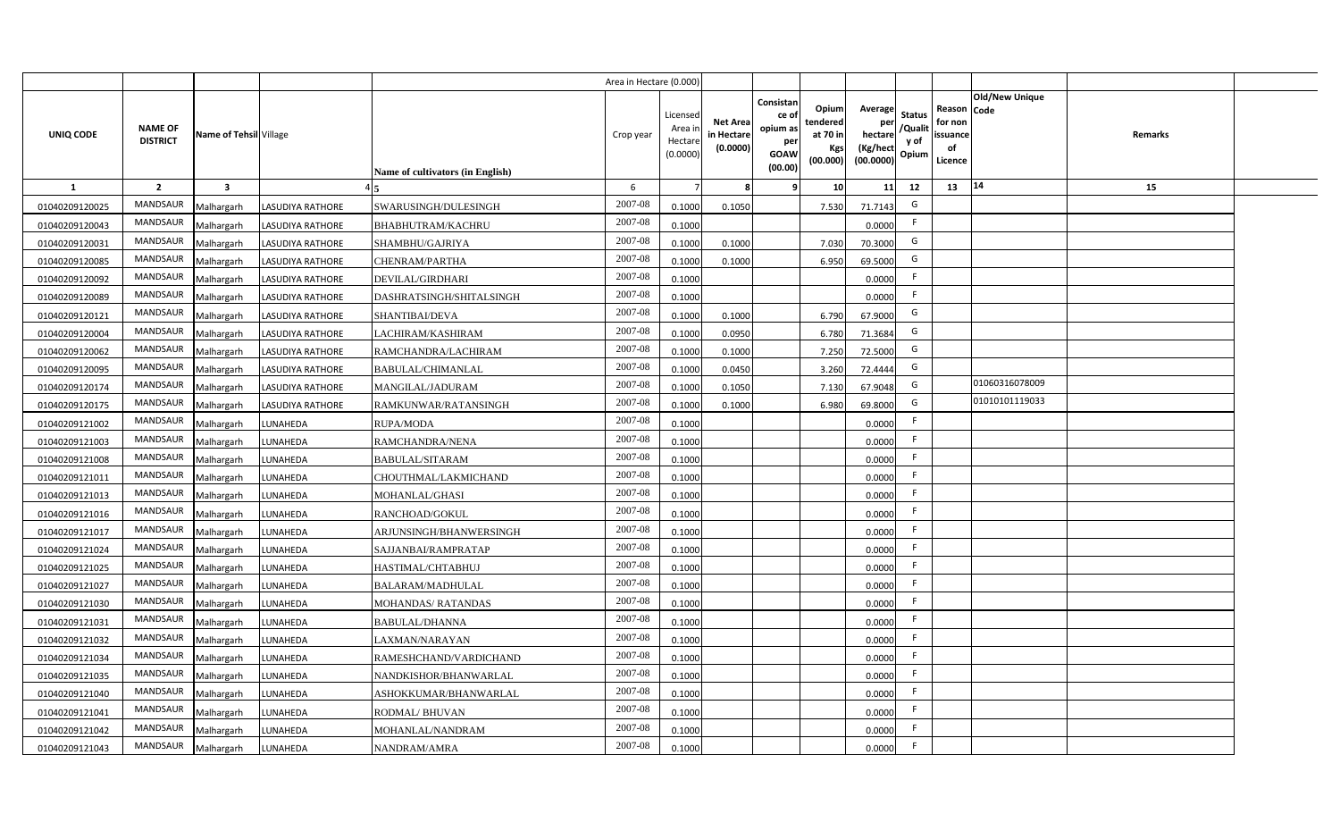|                  |                                   |                         |                         |                                  | Area in Hectare (0.000) |                                           |                                           |                                                                 |                                                  |                                                    |                                           |                                                     |                       |                |  |
|------------------|-----------------------------------|-------------------------|-------------------------|----------------------------------|-------------------------|-------------------------------------------|-------------------------------------------|-----------------------------------------------------------------|--------------------------------------------------|----------------------------------------------------|-------------------------------------------|-----------------------------------------------------|-----------------------|----------------|--|
| <b>UNIQ CODE</b> | <b>NAME OF</b><br><b>DISTRICT</b> | Name of Tehsil Village  |                         | Name of cultivators (in English) | Crop year               | Licensed<br>Area i<br>Hectare<br>(0.0000) | <b>Net Area</b><br>in Hectare<br>(0.0000) | Consistan<br>ce of<br>opium as<br>per<br><b>GOAW</b><br>(00.00) | Opium<br>tendered<br>at 70 in<br>Kgs<br>(00.000) | Average<br>per<br>hectare<br>(Kg/hect<br>(00.0000) | <b>Status</b><br>/Qualit<br>y of<br>Opium | Reason Code<br>for non<br>issuance<br>of<br>Licence | <b>Old/New Unique</b> | <b>Remarks</b> |  |
| $\mathbf{1}$     | $\overline{2}$                    | $\overline{\mathbf{3}}$ |                         |                                  | 6                       |                                           | 8                                         | 9                                                               | 10                                               | 11                                                 | 12                                        | 13                                                  | 14                    | 15             |  |
| 01040209120025   | MANDSAUR                          | Malhargarh              | <b>LASUDIYA RATHORE</b> | SWARUSINGH/DULESINGH             | 2007-08                 | 0.1000                                    | 0.1050                                    |                                                                 | 7.530                                            | 71.7143                                            | G                                         |                                                     |                       |                |  |
| 01040209120043   | <b>MANDSAUR</b>                   | Malhargarh              | <b>LASUDIYA RATHORE</b> | BHABHUTRAM/KACHRU                | 2007-08                 | 0.1000                                    |                                           |                                                                 |                                                  | 0.0000                                             | F.                                        |                                                     |                       |                |  |
| 01040209120031   | <b>MANDSAUR</b>                   | Malhargarh              | <b>LASUDIYA RATHORE</b> | SHAMBHU/GAJRIYA                  | 2007-08                 | 0.1000                                    | 0.1000                                    |                                                                 | 7.030                                            | 70.3000                                            | G                                         |                                                     |                       |                |  |
| 01040209120085   | MANDSAUR                          | Malhargarh              | <b>LASUDIYA RATHORE</b> | CHENRAM/PARTHA                   | 2007-08                 | 0.1000                                    | 0.1000                                    |                                                                 | 6.950                                            | 69.5000                                            | G                                         |                                                     |                       |                |  |
| 01040209120092   | MANDSAUR                          | Malhargarh              | <b>LASUDIYA RATHORE</b> | DEVILAL/GIRDHARI                 | 2007-08                 | 0.1000                                    |                                           |                                                                 |                                                  | 0.0000                                             | F.                                        |                                                     |                       |                |  |
| 01040209120089   | <b>MANDSAUR</b>                   | Malhargarh              | <b>LASUDIYA RATHORE</b> | DASHRATSINGH/SHITALSINGH         | 2007-08                 | 0.1000                                    |                                           |                                                                 |                                                  | 0.0000                                             | F.                                        |                                                     |                       |                |  |
| 01040209120121   | MANDSAUR                          | Malhargarh              | <b>LASUDIYA RATHORE</b> | SHANTIBAI/DEVA                   | 2007-08                 | 0.1000                                    | 0.1000                                    |                                                                 | 6.790                                            | 67.9000                                            | G                                         |                                                     |                       |                |  |
| 01040209120004   | <b>MANDSAUR</b>                   | Malhargarh              | <b>LASUDIYA RATHORE</b> | LACHIRAM/KASHIRAM                | 2007-08                 | 0.1000                                    | 0.0950                                    |                                                                 | 6.780                                            | 71.3684                                            | G                                         |                                                     |                       |                |  |
| 01040209120062   | <b>MANDSAUR</b>                   | Malhargarh              | <b>LASUDIYA RATHORE</b> | RAMCHANDRA/LACHIRAM              | 2007-08                 | 0.1000                                    | 0.1000                                    |                                                                 | 7.250                                            | 72.5000                                            | G                                         |                                                     |                       |                |  |
| 01040209120095   | MANDSAUR                          | Malhargarh              | <b>LASUDIYA RATHORE</b> | <b>BABULAL/CHIMANLAL</b>         | 2007-08                 | 0.1000                                    | 0.0450                                    |                                                                 | 3.260                                            | 72.4444                                            | G                                         |                                                     |                       |                |  |
| 01040209120174   | <b>MANDSAUR</b>                   | Malhargarh              | <b>LASUDIYA RATHORE</b> | MANGILAL/JADURAM                 | 2007-08                 | 0.1000                                    | 0.1050                                    |                                                                 | 7.130                                            | 67.9048                                            | G                                         |                                                     | 01060316078009        |                |  |
| 01040209120175   | <b>MANDSAUR</b>                   | Malhargarh              | <b>LASUDIYA RATHORE</b> | RAMKUNWAR/RATANSINGH             | 2007-08                 | 0.1000                                    | 0.1000                                    |                                                                 | 6.980                                            | 69.8000                                            | G                                         |                                                     | 01010101119033        |                |  |
| 01040209121002   | <b>MANDSAUR</b>                   | Malhargarh              | LUNAHEDA                | <b>RUPA/MODA</b>                 | 2007-08                 | 0.1000                                    |                                           |                                                                 |                                                  | 0.0000                                             | F                                         |                                                     |                       |                |  |
| 01040209121003   | <b>MANDSAUR</b>                   | Malhargarh              | LUNAHEDA                | RAMCHANDRA/NENA                  | 2007-08                 | 0.1000                                    |                                           |                                                                 |                                                  | 0.0000                                             | -F                                        |                                                     |                       |                |  |
| 01040209121008   | <b>MANDSAUR</b>                   | Malhargarh              | LUNAHEDA                | <b>BABULAL/SITARAM</b>           | 2007-08                 | 0.1000                                    |                                           |                                                                 |                                                  | 0.0000                                             | F                                         |                                                     |                       |                |  |
| 01040209121011   | <b>MANDSAUR</b>                   | Malhargarh              | LUNAHEDA                | CHOUTHMAL/LAKMICHAND             | 2007-08                 | 0.1000                                    |                                           |                                                                 |                                                  | 0.0000                                             | F                                         |                                                     |                       |                |  |
| 01040209121013   | MANDSAUR                          | Malhargarh              | LUNAHEDA                | MOHANLAL/GHASI                   | 2007-08                 | 0.1000                                    |                                           |                                                                 |                                                  | 0.0000                                             | F                                         |                                                     |                       |                |  |
| 01040209121016   | <b>MANDSAUR</b>                   | Malhargarh              | LUNAHEDA                | RANCHOAD/GOKUL                   | 2007-08                 | 0.1000                                    |                                           |                                                                 |                                                  | 0.0000                                             | F                                         |                                                     |                       |                |  |
| 01040209121017   | <b>MANDSAUR</b>                   | Malhargarh              | LUNAHEDA                | ARJUNSINGH/BHANWERSINGH          | 2007-08                 | 0.1000                                    |                                           |                                                                 |                                                  | 0.0000                                             | F.                                        |                                                     |                       |                |  |
| 01040209121024   | <b>MANDSAUR</b>                   | Malhargarh              | LUNAHEDA                | SAJJANBAI/RAMPRATAP              | $2007 - 08$             | 0.1000                                    |                                           |                                                                 |                                                  | 0.0000                                             | F                                         |                                                     |                       |                |  |
| 01040209121025   | <b>MANDSAUR</b>                   | Malhargarh              | LUNAHEDA                | HASTIMAL/CHTABHUJ                | 2007-08                 | 0.1000                                    |                                           |                                                                 |                                                  | 0.0000                                             | F                                         |                                                     |                       |                |  |
| 01040209121027   | <b>MANDSAUR</b>                   | Malhargarh              | LUNAHEDA                | BALARAM/MADHULAL                 | 2007-08                 | 0.1000                                    |                                           |                                                                 |                                                  | 0.0000                                             | F                                         |                                                     |                       |                |  |
| 01040209121030   | <b>MANDSAUR</b>                   | Malhargarh              | LUNAHEDA                | <b>MOHANDAS/ RATANDAS</b>        | 2007-08                 | 0.1000                                    |                                           |                                                                 |                                                  | 0.0000                                             | F                                         |                                                     |                       |                |  |
| 01040209121031   | MANDSAUR                          | Malhargarh              | LUNAHEDA                | <b>BABULAL/DHANNA</b>            | 2007-08                 | 0.1000                                    |                                           |                                                                 |                                                  | 0.0000                                             | F                                         |                                                     |                       |                |  |
| 01040209121032   | MANDSAUR                          | Malhargarh              | LUNAHEDA                | LAXMAN/NARAYAN                   | 2007-08                 | 0.1000                                    |                                           |                                                                 |                                                  | 0.0000                                             | F                                         |                                                     |                       |                |  |
| 01040209121034   | MANDSAUR                          | Malhargarh              | LUNAHEDA                | RAMESHCHAND/VARDICHAND           | 2007-08                 | 0.1000                                    |                                           |                                                                 |                                                  | 0.0000                                             | F                                         |                                                     |                       |                |  |
| 01040209121035   | MANDSAUR                          | Malhargarh              | LUNAHEDA                | NANDKISHOR/BHANWARLAL            | 2007-08                 | 0.1000                                    |                                           |                                                                 |                                                  | 0.0000                                             | F                                         |                                                     |                       |                |  |
| 01040209121040   | MANDSAUR                          | Malhargarh              | LUNAHEDA                | ASHOKKUMAR/BHANWARLAL            | 2007-08                 | 0.1000                                    |                                           |                                                                 |                                                  | 0.0000                                             | F                                         |                                                     |                       |                |  |
| 01040209121041   | MANDSAUR                          | Malhargarh              | LUNAHEDA                | <b>RODMAL/ BHUVAN</b>            | 2007-08                 | 0.1000                                    |                                           |                                                                 |                                                  | 0.0000                                             | F                                         |                                                     |                       |                |  |
| 01040209121042   | <b>MANDSAUR</b>                   | Malhargarh              | LUNAHEDA                | MOHANLAL/NANDRAM                 | 2007-08                 | 0.1000                                    |                                           |                                                                 |                                                  | 0.0000                                             | F                                         |                                                     |                       |                |  |
| 01040209121043   | MANDSAUR                          | Malhargarh              | LUNAHEDA                | NANDRAM/AMRA                     | 2007-08                 | 0.1000                                    |                                           |                                                                 |                                                  | 0.0000                                             | F                                         |                                                     |                       |                |  |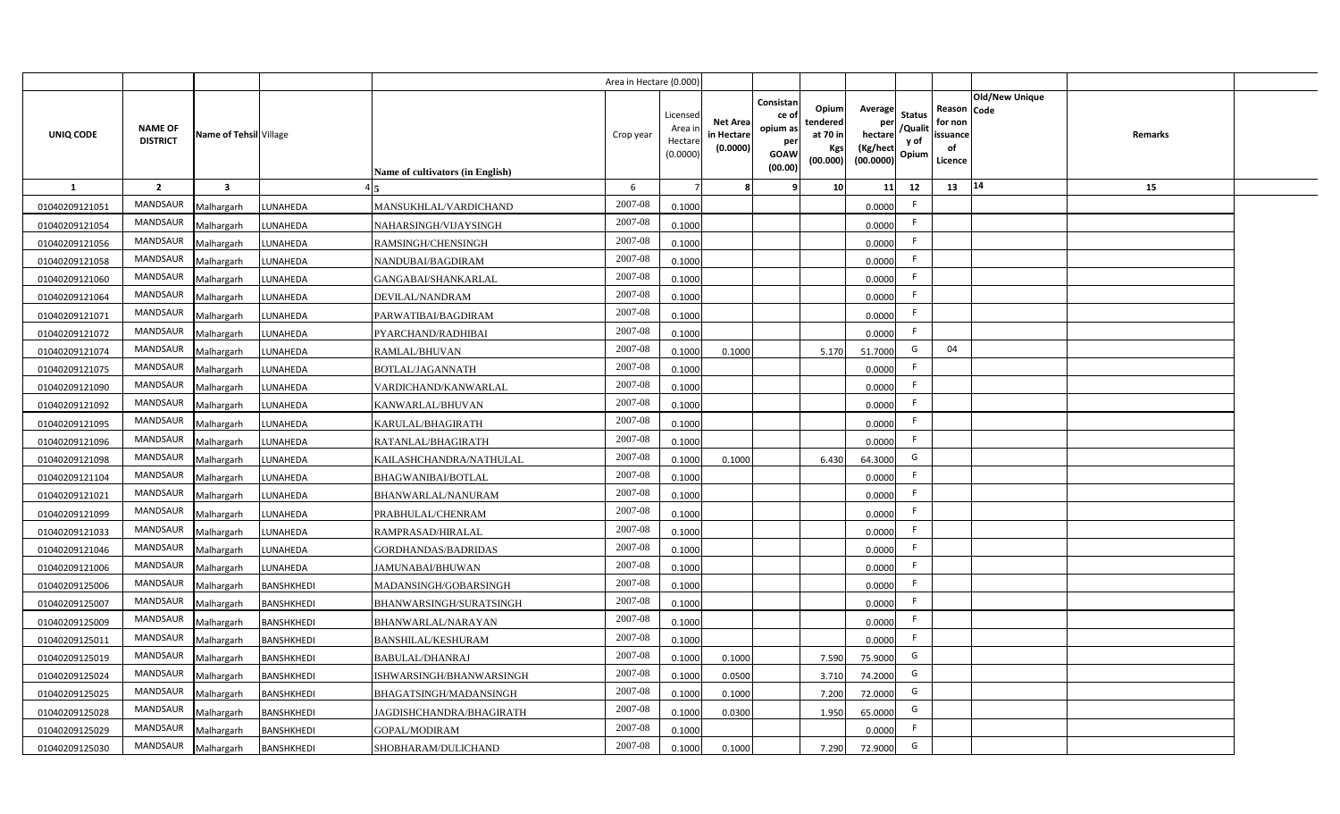|                |                                   |                         |                   |                                  | Area in Hectare (0.000 |                                          |                                          |                                                                 |                                                  |                                                    |                                           |                                                     |                |         |  |
|----------------|-----------------------------------|-------------------------|-------------------|----------------------------------|------------------------|------------------------------------------|------------------------------------------|-----------------------------------------------------------------|--------------------------------------------------|----------------------------------------------------|-------------------------------------------|-----------------------------------------------------|----------------|---------|--|
| UNIQ CODE      | <b>NAME OF</b><br><b>DISTRICT</b> | Name of Tehsil Village  |                   | Name of cultivators (in English) | Crop year              | Licenseo<br>Area i<br>Hectar<br>(0.0000) | <b>Net Area</b><br>in Hectar<br>(0.0000) | Consistan<br>ce of<br>opium as<br>per<br><b>GOAW</b><br>(00.00) | Opium<br>tendered<br>at 70 in<br>Kgs<br>(00.000) | Average<br>per<br>hectare<br>(Kg/hect<br>(00.0000) | <b>Status</b><br>/Qualit<br>y of<br>Opium | Reason Code<br>for non<br>issuance<br>of<br>Licence | Old/New Unique | Remarks |  |
| $\mathbf{1}$   | $\overline{2}$                    | $\overline{\mathbf{3}}$ |                   |                                  | 6                      |                                          |                                          | q                                                               | 10 <sup>1</sup>                                  | 11                                                 | 12                                        | 13                                                  | 14             | 15      |  |
| 01040209121051 | MANDSAUR                          | Malhargarh              | LUNAHEDA          | MANSUKHLAL/VARDICHAND            | 2007-08                | 0.1000                                   |                                          |                                                                 |                                                  | 0.0000                                             |                                           |                                                     |                |         |  |
| 01040209121054 | MANDSAUR                          | Malhargarh              | LUNAHEDA          | NAHARSINGH/VIJAYSINGH            | 2007-08                | 0.1000                                   |                                          |                                                                 |                                                  | 0.0000                                             | -F                                        |                                                     |                |         |  |
| 01040209121056 | MANDSAUR                          | Malhargarh              | LUNAHEDA          | RAMSINGH/CHENSINGH               | 2007-08                | 0.1000                                   |                                          |                                                                 |                                                  | 0.0000                                             | -F                                        |                                                     |                |         |  |
| 01040209121058 | MANDSAUR                          | Malhargarh              | LUNAHEDA          | NANDUBAI/BAGDIRAM                | 2007-08                | 0.1000                                   |                                          |                                                                 |                                                  | 0.0000                                             | -F                                        |                                                     |                |         |  |
| 01040209121060 | MANDSAUR                          | Malhargarh              | LUNAHEDA          | GANGABAI/SHANKARLAL              | 2007-08                | 0.1000                                   |                                          |                                                                 |                                                  | 0.0000                                             |                                           |                                                     |                |         |  |
| 01040209121064 | MANDSAUR                          | Malhargarh              | LUNAHEDA          | DEVILAL/NANDRAM                  | 2007-08                | 0.1000                                   |                                          |                                                                 |                                                  | 0.0000                                             | F.                                        |                                                     |                |         |  |
| 01040209121071 | <b>MANDSAUR</b>                   | Malhargarh              | LUNAHEDA          | PARWATIBAI/BAGDIRAM              | 2007-08                | 0.1000                                   |                                          |                                                                 |                                                  | 0.0000                                             | E                                         |                                                     |                |         |  |
| 01040209121072 | MANDSAUR                          | Malhargarh              | LUNAHEDA          | PYARCHAND/RADHIBAI               | 2007-08                | 0.1000                                   |                                          |                                                                 |                                                  | 0.0000                                             | -F                                        |                                                     |                |         |  |
| 01040209121074 | MANDSAUR                          | Malhargarh              | LUNAHEDA          | RAMLAL/BHUVAN                    | 2007-08                | 0.1000                                   | 0.1000                                   |                                                                 | 5.170                                            | 51.7000                                            | G                                         | 04                                                  |                |         |  |
| 01040209121075 | <b>MANDSAUR</b>                   | Malhargarh              | LUNAHEDA          | BOTLAL/JAGANNATH                 | 2007-08                | 0.1000                                   |                                          |                                                                 |                                                  | 0.0000                                             | -F                                        |                                                     |                |         |  |
| 01040209121090 | <b>MANDSAUR</b>                   | Malhargarh              | LUNAHEDA          | VARDICHAND/KANWARLAL             | 2007-08                | 0.1000                                   |                                          |                                                                 |                                                  | 0.0000                                             | F.                                        |                                                     |                |         |  |
| 01040209121092 | <b>MANDSAUR</b>                   | Malhargarh              | LUNAHEDA          | KANWARLAL/BHUVAN                 | 2007-08                | 0.1000                                   |                                          |                                                                 |                                                  | 0.0000                                             | -F                                        |                                                     |                |         |  |
| 01040209121095 | <b>MANDSAUR</b>                   | Malhargarh              | LUNAHEDA          | KARULAL/BHAGIRATH                | 2007-08                | 0.1000                                   |                                          |                                                                 |                                                  | 0.0000                                             | F.                                        |                                                     |                |         |  |
| 01040209121096 | <b>MANDSAUR</b>                   | Malhargarh              | LUNAHEDA          | RATANLAL/BHAGIRATH               | 2007-08                | 0.1000                                   |                                          |                                                                 |                                                  | 0.0000                                             | F.                                        |                                                     |                |         |  |
| 01040209121098 | MANDSAUR                          | Malhargarh              | LUNAHEDA          | KAILASHCHANDRA/NATHULAL          | 2007-08                | 0.1000                                   | 0.1000                                   |                                                                 | 6.430                                            | 64.3000                                            | G                                         |                                                     |                |         |  |
| 01040209121104 | <b>MANDSAUR</b>                   | Malhargarh              | LUNAHEDA          | BHAGWANIBAI/BOTLAL               | 2007-08                | 0.100                                    |                                          |                                                                 |                                                  | 0.0000                                             | F.                                        |                                                     |                |         |  |
| 01040209121021 | <b>MANDSAUR</b>                   | Malhargarh              | LUNAHEDA          | BHANWARLAL/NANURAM               | 2007-08                | 0.1000                                   |                                          |                                                                 |                                                  | 0.0000                                             | F.                                        |                                                     |                |         |  |
| 01040209121099 | <b>MANDSAUR</b>                   | Malhargarh              | LUNAHEDA          | PRABHULAL/CHENRAM                | 2007-08                | 0.1000                                   |                                          |                                                                 |                                                  | 0.0000                                             | F.                                        |                                                     |                |         |  |
| 01040209121033 | <b>MANDSAUR</b>                   | Malhargarh              | LUNAHEDA          | RAMPRASAD/HIRALAL                | 2007-08                | 0.100                                    |                                          |                                                                 |                                                  | 0.0000                                             | F.                                        |                                                     |                |         |  |
| 01040209121046 | MANDSAUR                          | Malhargarh              | LUNAHEDA          | <b>GORDHANDAS/BADRIDAS</b>       | $2007 - 08$            | 0.100                                    |                                          |                                                                 |                                                  | 0.0000                                             | -F                                        |                                                     |                |         |  |
| 01040209121006 | <b>MANDSAUR</b>                   | Malhargarh              | LUNAHEDA          | JAMUNABAI/BHUWAN                 | 2007-08                | 0.1000                                   |                                          |                                                                 |                                                  | 0.0000                                             | F.                                        |                                                     |                |         |  |
| 01040209125006 | MANDSAUR                          | Malhargarh              | <b>BANSHKHEDI</b> | MADANSINGH/GOBARSINGH            | 2007-08                | 0.1000                                   |                                          |                                                                 |                                                  | 0.0000                                             | F.                                        |                                                     |                |         |  |
| 01040209125007 | MANDSAUR                          | Malhargarh              | <b>BANSHKHEDI</b> | BHANWARSINGH/SURATSINGH          | 2007-08                | 0.1000                                   |                                          |                                                                 |                                                  | 0.0000                                             | E                                         |                                                     |                |         |  |
| 01040209125009 | MANDSAUR                          | Malhargarh              | <b>BANSHKHEDI</b> | BHANWARLAL/NARAYAN               | 2007-08                | 0.1000                                   |                                          |                                                                 |                                                  | 0.0000                                             | F                                         |                                                     |                |         |  |
| 01040209125011 | MANDSAUR                          | Malhargarh              | <b>BANSHKHEDI</b> | BANSHILAL/KESHURAM               | 2007-08                | 0.1000                                   |                                          |                                                                 |                                                  | 0.0000                                             | -F                                        |                                                     |                |         |  |
| 01040209125019 | MANDSAUR                          | Malhargarh              | <b>BANSHKHEDI</b> | <b>BABULAL/DHANRAJ</b>           | 2007-08                | 0.1000                                   | 0.1000                                   |                                                                 | 7.590                                            | 75.9000                                            | G                                         |                                                     |                |         |  |
| 01040209125024 | MANDSAUR                          | Malhargarh              | <b>BANSHKHEDI</b> | ISHWARSINGH/BHANWARSINGH         | 2007-08                | 0.1000                                   | 0.0500                                   |                                                                 | 3.710                                            | 74.2000                                            | G                                         |                                                     |                |         |  |
| 01040209125025 | MANDSAUR                          | Malhargarh              | <b>BANSHKHEDI</b> | BHAGATSINGH/MADANSINGH           | 2007-08                | 0.1000                                   | 0.1000                                   |                                                                 | 7.200                                            | 72.0000                                            | G                                         |                                                     |                |         |  |
| 01040209125028 | MANDSAUR                          | Malhargarh              | <b>BANSHKHEDI</b> | JAGDISHCHANDRA/BHAGIRATH         | 2007-08                | 0.1000                                   | 0.0300                                   |                                                                 | 1.950                                            | 65.0000                                            | G                                         |                                                     |                |         |  |
| 01040209125029 | <b>MANDSAUR</b>                   | Malhargarh              | <b>BANSHKHEDI</b> | GOPAL/MODIRAM                    | 2007-08                | 0.1000                                   |                                          |                                                                 |                                                  | 0.0000                                             | -F                                        |                                                     |                |         |  |
| 01040209125030 | MANDSAUR                          | Malhargarh              | <b>BANSHKHEDI</b> | SHOBHARAM/DULICHAND              | 2007-08                | 0.1000                                   | 0.1000                                   |                                                                 | 7.290                                            | 72.9000                                            | G                                         |                                                     |                |         |  |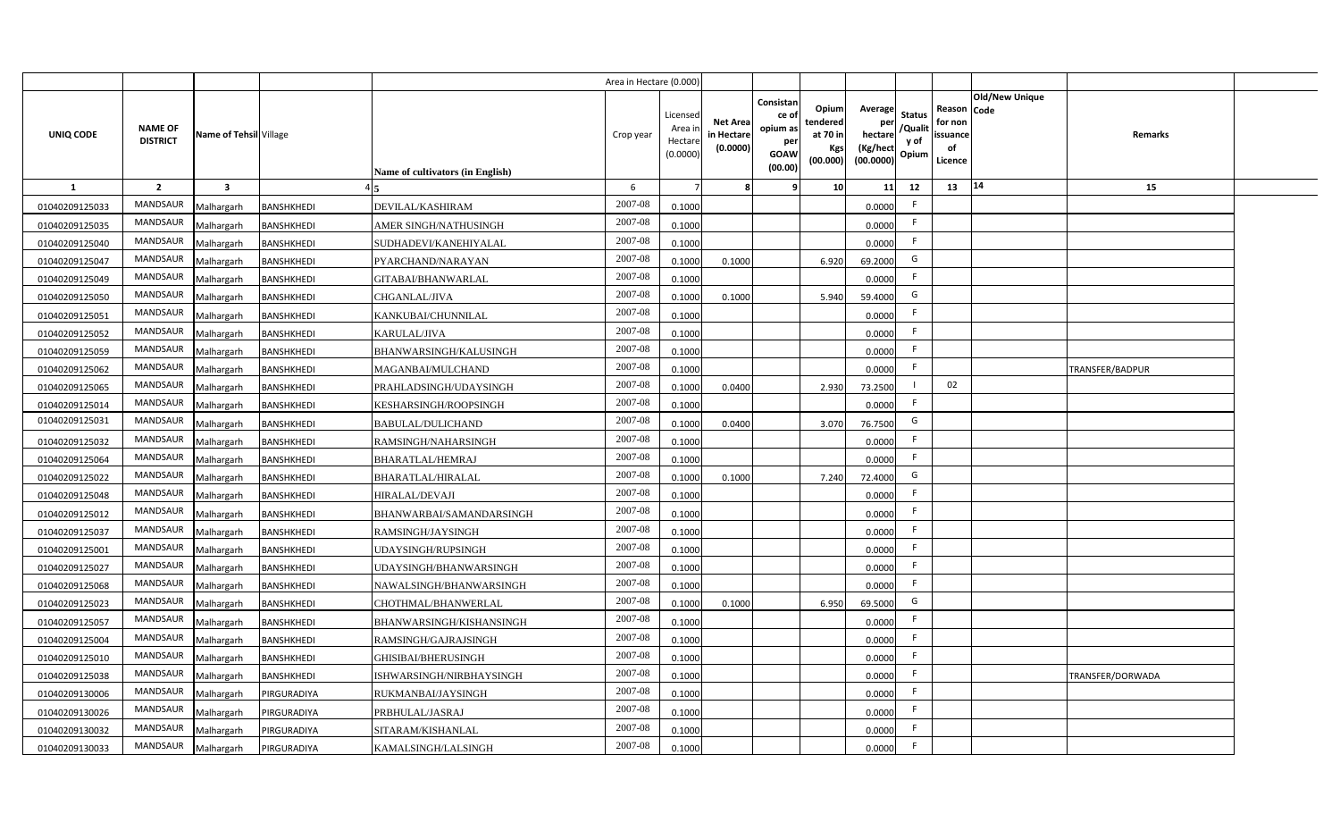|                |                                   |                         |                   |                                  | Area in Hectare (0.000 |                                          |                                          |                                                                 |                                                  |                                                    |                                           |                                                     |                |                  |  |
|----------------|-----------------------------------|-------------------------|-------------------|----------------------------------|------------------------|------------------------------------------|------------------------------------------|-----------------------------------------------------------------|--------------------------------------------------|----------------------------------------------------|-------------------------------------------|-----------------------------------------------------|----------------|------------------|--|
| UNIQ CODE      | <b>NAME OF</b><br><b>DISTRICT</b> | Name of Tehsil Village  |                   | Name of cultivators (in English) | Crop year              | Licenseo<br>Area i<br>Hectar<br>(0.0000) | <b>Net Area</b><br>in Hectar<br>(0.0000) | Consistan<br>ce of<br>opium as<br>per<br><b>GOAW</b><br>(00.00) | Opium<br>tendered<br>at 70 in<br>Kgs<br>(00.000) | Average<br>per<br>hectare<br>(Kg/hect<br>(00.0000) | <b>Status</b><br>/Qualit<br>y of<br>Opium | Reason Code<br>for non<br>issuance<br>of<br>Licence | Old/New Unique | Remarks          |  |
| $\mathbf{1}$   | $\overline{2}$                    | $\overline{\mathbf{3}}$ |                   |                                  | 6                      |                                          |                                          | q                                                               | 10 <sup>1</sup>                                  | 11                                                 | 12                                        | 13                                                  | 14             | 15               |  |
| 01040209125033 | MANDSAUR                          | Malhargarh              | <b>BANSHKHEDI</b> | DEVILAL/KASHIRAM                 | 2007-08                | 0.1000                                   |                                          |                                                                 |                                                  | 0.0000                                             | -F                                        |                                                     |                |                  |  |
| 01040209125035 | MANDSAUR                          | Malhargarh              | <b>BANSHKHEDI</b> | AMER SINGH/NATHUSINGH            | $2007 - 08$            | 0.1000                                   |                                          |                                                                 |                                                  | 0.0000                                             | F.                                        |                                                     |                |                  |  |
| 01040209125040 | MANDSAUR                          | Malhargarh              | <b>BANSHKHEDI</b> | SUDHADEVI/KANEHIYALAL            | 2007-08                | 0.1000                                   |                                          |                                                                 |                                                  | 0.0000                                             | -F                                        |                                                     |                |                  |  |
| 01040209125047 | <b>MANDSAUR</b>                   | Malhargarh              | <b>BANSHKHEDI</b> | PYARCHAND/NARAYAN                | 2007-08                | 0.100                                    | 0.1000                                   |                                                                 | 6.920                                            | 69.2000                                            | G                                         |                                                     |                |                  |  |
| 01040209125049 | MANDSAUR                          | Malhargarh              | <b>BANSHKHEDI</b> | GITABAI/BHANWARLAL               | 2007-08                | 0.1000                                   |                                          |                                                                 |                                                  | 0.0000                                             | -F                                        |                                                     |                |                  |  |
| 01040209125050 | MANDSAUR                          | Malhargarh              | <b>BANSHKHEDI</b> | CHGANLAL/JIVA                    | 2007-08                | 0.1000                                   | 0.1000                                   |                                                                 | 5.940                                            | 59.4000                                            | G                                         |                                                     |                |                  |  |
| 01040209125051 | MANDSAUR                          | Malhargarh              | <b>BANSHKHEDI</b> | KANKUBAI/CHUNNILAL               | 2007-08                | 0.1000                                   |                                          |                                                                 |                                                  | 0.0000                                             | E                                         |                                                     |                |                  |  |
| 01040209125052 | MANDSAUR                          | Malhargarh              | <b>BANSHKHEDI</b> | KARULAL/JIVA                     | 2007-08                | 0.1000                                   |                                          |                                                                 |                                                  | 0.0000                                             | F.                                        |                                                     |                |                  |  |
| 01040209125059 | MANDSAUR                          | Malhargarh              | <b>BANSHKHEDI</b> | BHANWARSINGH/KALUSINGH           | 2007-08                | 0.1000                                   |                                          |                                                                 |                                                  | 0.0000                                             | E                                         |                                                     |                |                  |  |
| 01040209125062 | MANDSAUR                          | Malhargarh              | BANSHKHEDI        | MAGANBAI/MULCHAND                | 2007-08                | 0.1000                                   |                                          |                                                                 |                                                  | 0.0000                                             | E                                         |                                                     |                | TRANSFER/BADPUR  |  |
| 01040209125065 | <b>MANDSAUR</b>                   | Malhargarh              | <b>BANSHKHEDI</b> | PRAHLADSINGH/UDAYSINGH           | 2007-08                | 0.1000                                   | 0.0400                                   |                                                                 | 2.930                                            | 73.2500                                            |                                           | 02                                                  |                |                  |  |
| 01040209125014 | <b>MANDSAUR</b>                   | Malhargarh              | <b>BANSHKHEDI</b> | KESHARSINGH/ROOPSINGH            | 2007-08                | 0.1000                                   |                                          |                                                                 |                                                  | 0.0000                                             | -F                                        |                                                     |                |                  |  |
| 01040209125031 | <b>MANDSAUR</b>                   | Malhargarh              | <b>BANSHKHEDI</b> | <b>BABULAL/DULICHAND</b>         | 2007-08                | 0.1000                                   | 0.0400                                   |                                                                 | 3.070                                            | 76.7500                                            | G                                         |                                                     |                |                  |  |
| 01040209125032 | <b>MANDSAUR</b>                   | Malhargarh              | <b>BANSHKHEDI</b> | RAMSINGH/NAHARSINGH              | $2007 - 08$            | 0.1000                                   |                                          |                                                                 |                                                  | 0.0000                                             | E                                         |                                                     |                |                  |  |
| 01040209125064 | <b>MANDSAUR</b>                   | Malhargarh              | BANSHKHEDI        | BHARATLAL/HEMRAJ                 | 2007-08                | 0.1000                                   |                                          |                                                                 |                                                  | 0.0000                                             | F                                         |                                                     |                |                  |  |
| 01040209125022 | MANDSAUR                          | Malhargarh              | <b>BANSHKHEDI</b> | BHARATLAL/HIRALAL                | 2007-08                | 0.1000                                   | 0.1000                                   |                                                                 | 7.240                                            | 72.4000                                            | G                                         |                                                     |                |                  |  |
| 01040209125048 | <b>MANDSAUR</b>                   | Malhargarh              | <b>BANSHKHEDI</b> | HIRALAL/DEVAJI                   | 2007-08                | 0.1000                                   |                                          |                                                                 |                                                  | 0.0000                                             | F.                                        |                                                     |                |                  |  |
| 01040209125012 | <b>MANDSAUR</b>                   | Malhargarh              | BANSHKHEDI        | BHANWARBAI/SAMANDARSINGH         | 2007-08                | 0.1000                                   |                                          |                                                                 |                                                  | 0.0000                                             | F.                                        |                                                     |                |                  |  |
| 01040209125037 | <b>MANDSAUR</b>                   | Malhargarh              | <b>BANSHKHEDI</b> | RAMSINGH/JAYSINGH                | 2007-08                | 0.1000                                   |                                          |                                                                 |                                                  | 0.0000                                             | F.                                        |                                                     |                |                  |  |
| 01040209125001 | <b>MANDSAUR</b>                   | Malhargarh              | <b>BANSHKHEDI</b> | JDAYSINGH/RUPSINGH               | 2007-08                | 0.100                                    |                                          |                                                                 |                                                  | 0.0000                                             | F.                                        |                                                     |                |                  |  |
| 01040209125027 | MANDSAUR                          | Malhargarh              | <b>BANSHKHEDI</b> | JDAYSINGH/BHANWARSINGH           | $2007 - 08$            | 0.1000                                   |                                          |                                                                 |                                                  | 0.0000                                             | E                                         |                                                     |                |                  |  |
| 01040209125068 | MANDSAUR                          | Malhargarh              | <b>BANSHKHEDI</b> | NAWALSINGH/BHANWARSINGH          | 2007-08                | 0.1000                                   |                                          |                                                                 |                                                  | 0.0000                                             | E                                         |                                                     |                |                  |  |
| 01040209125023 | <b>MANDSAUR</b>                   | Malhargarh              | <b>BANSHKHEDI</b> | CHOTHMAL/BHANWERLAL              | 2007-08                | 0.1000                                   | 0.1000                                   |                                                                 | 6.950                                            | 69.5000                                            | G                                         |                                                     |                |                  |  |
| 01040209125057 | MANDSAUR                          | Malhargarh              | <b>BANSHKHEDI</b> | BHANWARSINGH/KISHANSINGH         | 2007-08                | 0.1000                                   |                                          |                                                                 |                                                  | 0.0000                                             | F                                         |                                                     |                |                  |  |
| 01040209125004 | MANDSAUR                          | Malhargarh              | <b>BANSHKHEDI</b> | RAMSINGH/GAJRAJSINGH             | 2007-08                | 0.1000                                   |                                          |                                                                 |                                                  | 0.0000                                             | F                                         |                                                     |                |                  |  |
| 01040209125010 | MANDSAUR                          | Malhargarh              | <b>BANSHKHEDI</b> | GHISIBAI/BHERUSINGH              | 2007-08                | 0.1000                                   |                                          |                                                                 |                                                  | 0.0000                                             | -F                                        |                                                     |                |                  |  |
| 01040209125038 | MANDSAUR                          | Malhargarh              | <b>BANSHKHEDI</b> | ISHWARSINGH/NIRBHAYSINGH         | 2007-08                | 0.1000                                   |                                          |                                                                 |                                                  | 0.0000                                             | E                                         |                                                     |                | TRANSFER/DORWADA |  |
| 01040209130006 | MANDSAUR                          | Malhargarh              | PIRGURADIYA       | RUKMANBAI/JAYSINGH               | 2007-08                | 0.1000                                   |                                          |                                                                 |                                                  | 0.0000                                             | E                                         |                                                     |                |                  |  |
| 01040209130026 | MANDSAUR                          | Malhargarh              | PIRGURADIYA       | PRBHULAL/JASRAJ                  | 2007-08                | 0.1000                                   |                                          |                                                                 |                                                  | 0.0000                                             | E                                         |                                                     |                |                  |  |
| 01040209130032 | MANDSAUR                          | Malhargarh              | PIRGURADIYA       | SITARAM/KISHANLAL                | 2007-08                | 0.1000                                   |                                          |                                                                 |                                                  | 0.0000                                             | -F                                        |                                                     |                |                  |  |
| 01040209130033 | MANDSAUR                          | Malhargarh              | PIRGURADIYA       | KAMALSINGH/LALSINGH              | 2007-08                | 0.1000                                   |                                          |                                                                 |                                                  | 0.0000                                             | -F                                        |                                                     |                |                  |  |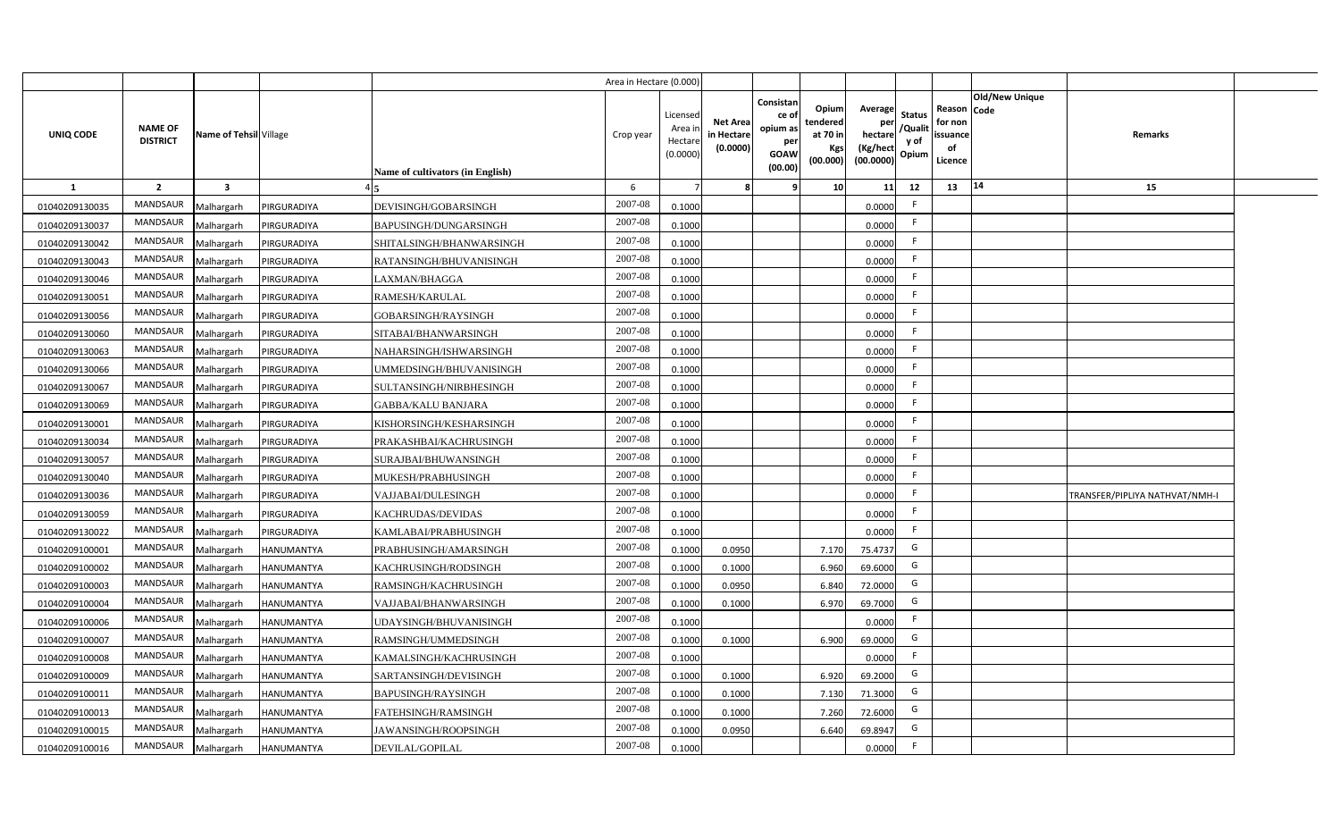|                |                                   |                         |                   |                                  | Area in Hectare (0.000 |                                          |                                          |                                                                 |                                                  |                                                    |                                           |                                                     |                |                                |  |
|----------------|-----------------------------------|-------------------------|-------------------|----------------------------------|------------------------|------------------------------------------|------------------------------------------|-----------------------------------------------------------------|--------------------------------------------------|----------------------------------------------------|-------------------------------------------|-----------------------------------------------------|----------------|--------------------------------|--|
| UNIQ CODE      | <b>NAME OF</b><br><b>DISTRICT</b> | Name of Tehsil Village  |                   | Name of cultivators (in English) | Crop year              | Licensec<br>Area i<br>Hectar<br>(0.0000) | <b>Net Area</b><br>in Hectar<br>(0.0000) | Consistan<br>ce of<br>opium as<br>per<br><b>GOAW</b><br>(00.00) | Opium<br>tendered<br>at 70 in<br>Kgs<br>(00.000) | Average<br>per<br>hectare<br>(Kg/hect<br>(00.0000) | <b>Status</b><br>/Qualit<br>y of<br>Opium | Reason Code<br>for non<br>issuance<br>of<br>Licence | Old/New Unique | <b>Remarks</b>                 |  |
| 1              | $\overline{2}$                    | $\overline{\mathbf{3}}$ |                   |                                  | 6                      |                                          |                                          | ٠q                                                              | 10 <sup>1</sup>                                  | 11                                                 | 12                                        | 13                                                  | 14             | 15                             |  |
| 01040209130035 | MANDSAUR                          | Malhargarh              | PIRGURADIYA       | DEVISINGH/GOBARSINGH             | 2007-08                | 0.1000                                   |                                          |                                                                 |                                                  | 0.0000                                             | -F                                        |                                                     |                |                                |  |
| 01040209130037 | MANDSAUR                          | Malhargarh              | PIRGURADIYA       | BAPUSINGH/DUNGARSINGH            | 2007-08                | 0.1000                                   |                                          |                                                                 |                                                  | 0.0000                                             | F.                                        |                                                     |                |                                |  |
| 01040209130042 | <b>MANDSAUR</b>                   | Malhargarh              | PIRGURADIYA       | SHITALSINGH/BHANWARSINGH         | 2007-08                | 0.1000                                   |                                          |                                                                 |                                                  | 0.0000                                             |                                           |                                                     |                |                                |  |
| 01040209130043 | MANDSAUR                          | Malhargarh              | PIRGURADIYA       | RATANSINGH/BHUVANISINGH          | 2007-08                | 0.1000                                   |                                          |                                                                 |                                                  | 0.0000                                             | -F                                        |                                                     |                |                                |  |
| 01040209130046 | MANDSAUR                          | Malhargarh              | PIRGURADIYA       | LAXMAN/BHAGGA                    | 2007-08                | 0.1000                                   |                                          |                                                                 |                                                  | 0.0000                                             |                                           |                                                     |                |                                |  |
| 01040209130051 | MANDSAUR                          | Malhargarh              | PIRGURADIYA       | RAMESH/KARULAL                   | 2007-08                | 0.1000                                   |                                          |                                                                 |                                                  | 0.0000                                             | F.                                        |                                                     |                |                                |  |
| 01040209130056 | MANDSAUR                          | Malhargarh              | PIRGURADIYA       | GOBARSINGH/RAYSINGH              | 2007-08                | 0.1000                                   |                                          |                                                                 |                                                  | 0.0000                                             | F.                                        |                                                     |                |                                |  |
| 01040209130060 | MANDSAUR                          | Malhargarh              | PIRGURADIYA       | SITABAI/BHANWARSINGH             | 2007-08                | 0.1000                                   |                                          |                                                                 |                                                  | 0.0000                                             | E                                         |                                                     |                |                                |  |
| 01040209130063 | MANDSAUR                          | Malhargarh              | PIRGURADIYA       | NAHARSINGH/ISHWARSINGH           | 2007-08                | 0.1000                                   |                                          |                                                                 |                                                  | 0.0000                                             | F.                                        |                                                     |                |                                |  |
| 01040209130066 | MANDSAUR                          | Malhargarh              | PIRGURADIYA       | UMMEDSINGH/BHUVANISINGH          | 2007-08                | 0.1000                                   |                                          |                                                                 |                                                  | 0.0000                                             | -F                                        |                                                     |                |                                |  |
| 01040209130067 | MANDSAUR                          | Malhargarh              | PIRGURADIYA       | SULTANSINGH/NIRBHESINGH          | 2007-08                | 0.1000                                   |                                          |                                                                 |                                                  | 0.0000                                             |                                           |                                                     |                |                                |  |
| 01040209130069 | MANDSAUR                          | Malhargarh              | PIRGURADIYA       | <b>GABBA/KALU BANJARA</b>        | 2007-08                | 0.1000                                   |                                          |                                                                 |                                                  | 0.0000                                             | -F                                        |                                                     |                |                                |  |
| 01040209130001 | <b>MANDSAUR</b>                   | Malhargarh              | PIRGURADIYA       | KISHORSINGH/KESHARSINGH          | 2007-08                | 0.1000                                   |                                          |                                                                 |                                                  | 0.0000                                             | -F                                        |                                                     |                |                                |  |
| 01040209130034 | <b>MANDSAUR</b>                   | Malhargarh              | PIRGURADIYA       | PRAKASHBAI/KACHRUSINGH           | 2007-08                | 0.1000                                   |                                          |                                                                 |                                                  | 0.0000                                             | F.                                        |                                                     |                |                                |  |
| 01040209130057 | MANDSAUR                          | Malhargarh              | PIRGURADIYA       | SURAJBAI/BHUWANSINGH             | 2007-08                | 0.1000                                   |                                          |                                                                 |                                                  | 0.0000                                             | $\mathsf{F}$                              |                                                     |                |                                |  |
| 01040209130040 | <b>MANDSAUR</b>                   | Malhargarh              | PIRGURADIYA       | MUKESH/PRABHUSINGH               | 2007-08                | 0.1000                                   |                                          |                                                                 |                                                  | 0.0000                                             | F.                                        |                                                     |                |                                |  |
| 01040209130036 | <b>MANDSAUR</b>                   | Malhargarh              | PIRGURADIYA       | VAJJABAI/DULESINGH               | 2007-08                | 0.1000                                   |                                          |                                                                 |                                                  | 0.0000                                             | -F                                        |                                                     |                | TRANSFER/PIPLIYA NATHVAT/NMH-I |  |
| 01040209130059 | <b>MANDSAUR</b>                   | Malhargarh              | PIRGURADIYA       | KACHRUDAS/DEVIDAS                | 2007-08                | 0.1000                                   |                                          |                                                                 |                                                  | 0.0000                                             | F.                                        |                                                     |                |                                |  |
| 01040209130022 | <b>MANDSAUR</b>                   | Malhargarh              | PIRGURADIYA       | KAMLABAI/PRABHUSINGH             | 2007-08                | 0.1000                                   |                                          |                                                                 |                                                  | 0.0000                                             | F.                                        |                                                     |                |                                |  |
| 01040209100001 | <b>MANDSAUR</b>                   | Malhargarh              | <b>HANUMANTYA</b> | PRABHUSINGH/AMARSINGH            | 2007-08                | 0.1000                                   | 0.0950                                   |                                                                 | 7.170                                            | 75.4737                                            | G                                         |                                                     |                |                                |  |
| 01040209100002 | <b>MANDSAUR</b>                   | Malhargarh              | HANUMANTYA        | KACHRUSINGH/RODSINGH             | 2007-08                | 0.100                                    | 0.1000                                   |                                                                 | 6.960                                            | 69.6000                                            | G                                         |                                                     |                |                                |  |
| 01040209100003 | <b>MANDSAUR</b>                   | Malhargarh              | HANUMANTYA        | RAMSINGH/KACHRUSINGH             | 2007-08                | 0.100                                    | 0.0950                                   |                                                                 | 6.840                                            | 72.0000                                            | G                                         |                                                     |                |                                |  |
| 01040209100004 | MANDSAUR                          | Malhargarh              | <b>HANUMANTYA</b> | VAJJABAI/BHANWARSINGH            | 2007-08                | 0.100                                    | 0.1000                                   |                                                                 | 6.970                                            | 69.7000                                            | G                                         |                                                     |                |                                |  |
| 01040209100006 | MANDSAUR                          | Malhargarh              | HANUMANTYA        | JDAYSINGH/BHUVANISINGH           | 2007-08                | 0.100                                    |                                          |                                                                 |                                                  | 0.0000                                             | -F                                        |                                                     |                |                                |  |
| 01040209100007 | MANDSAUR                          | Malhargarh              | HANUMANTYA        | RAMSINGH/UMMEDSINGH              | 2007-08                | 0.1000                                   | 0.1000                                   |                                                                 | 6.900                                            | 69.0000                                            | G                                         |                                                     |                |                                |  |
| 01040209100008 | MANDSAUR                          | Malhargarh              | HANUMANTYA        | KAMALSINGH/KACHRUSINGH           | 2007-08                | 0.1000                                   |                                          |                                                                 |                                                  | 0.0000                                             | F                                         |                                                     |                |                                |  |
| 01040209100009 | MANDSAUR                          | Malhargarh              | <b>HANUMANTYA</b> | SARTANSINGH/DEVISINGH            | 2007-08                | 0.1000                                   | 0.1000                                   |                                                                 | 6.920                                            | 69.2000                                            | G                                         |                                                     |                |                                |  |
| 01040209100011 | MANDSAUR                          | Malhargarh              | HANUMANTYA        | <b>BAPUSINGH/RAYSINGH</b>        | 2007-08                | 0.1000                                   | 0.1000                                   |                                                                 | 7.130                                            | 71.3000                                            | G                                         |                                                     |                |                                |  |
| 01040209100013 | MANDSAUR                          | Malhargarh              | <b>HANUMANTYA</b> | FATEHSINGH/RAMSINGH              | 2007-08                | 0.1000                                   | 0.1000                                   |                                                                 | 7.260                                            | 72.6000                                            | G                                         |                                                     |                |                                |  |
| 01040209100015 | MANDSAUR                          | Malhargarh              | <b>HANUMANTYA</b> | JAWANSINGH/ROOPSINGH             | 2007-08                | 0.1000                                   | 0.0950                                   |                                                                 | 6.640                                            | 69.8947                                            | G                                         |                                                     |                |                                |  |
| 01040209100016 | MANDSAUR                          | Malhargarh              | <b>HANUMANTYA</b> | DEVILAL/GOPILAL                  | 2007-08                | 0.1000                                   |                                          |                                                                 |                                                  | 0.0000                                             | $\mathsf{F}$                              |                                                     |                |                                |  |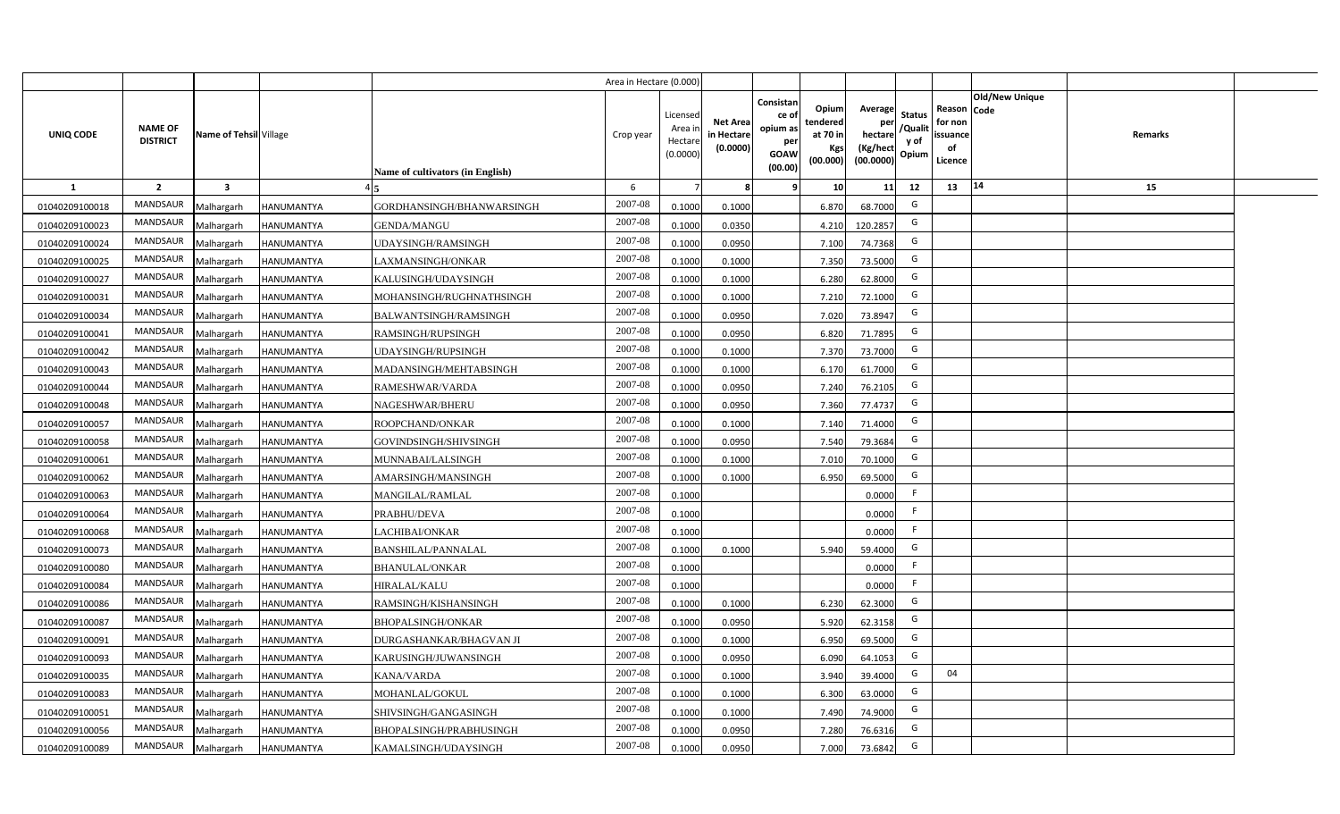|                |                                   |                         |                   |                                         | Area in Hectare (0.000) |                                           |                                           |                                                                |                                                         |                                                    |                                           |                                                     |                                  |  |
|----------------|-----------------------------------|-------------------------|-------------------|-----------------------------------------|-------------------------|-------------------------------------------|-------------------------------------------|----------------------------------------------------------------|---------------------------------------------------------|----------------------------------------------------|-------------------------------------------|-----------------------------------------------------|----------------------------------|--|
| UNIQ CODE      | <b>NAME OF</b><br><b>DISTRICT</b> | Name of Tehsil Village  |                   | <b>Name of cultivators (in English)</b> | Crop year               | Licensed<br>Area i<br>Hectare<br>(0.0000) | <b>Net Area</b><br>in Hectare<br>(0.0000) | Consistan<br>ce o<br>opium as<br>per<br><b>GOAW</b><br>(00.00) | Opium<br>tendered<br>at 70 in<br><b>Kgs</b><br>(00.000) | Average<br>per<br>hectare<br>(Kg/hect<br>(00.0000) | <b>Status</b><br>/Qualit<br>y of<br>Opium | Reason Code<br>for non<br>issuance<br>of<br>Licence | <b>Old/New Unique</b><br>Remarks |  |
| 1              | $\overline{2}$                    | $\overline{\mathbf{3}}$ |                   |                                         | 6                       |                                           | 8                                         | 9                                                              | 10 <sup>1</sup>                                         | 11                                                 | 12                                        | 13                                                  | 14<br>15                         |  |
| 01040209100018 | MANDSAUR                          | Malhargarh              | <b>HANUMANTYA</b> | GORDHANSINGH/BHANWARSINGH               | 2007-08                 | 0.1000                                    | 0.1000                                    |                                                                | 6.870                                                   | 68.7000                                            | G                                         |                                                     |                                  |  |
| 01040209100023 | MANDSAUR                          | Malhargarh              | <b>HANUMANTYA</b> | <b>GENDA/MANGU</b>                      | 2007-08                 | 0.1000                                    | 0.0350                                    |                                                                | 4.210                                                   | 120.2857                                           | G                                         |                                                     |                                  |  |
| 01040209100024 | <b>MANDSAUR</b>                   | Malhargarh              | <b>HANUMANTYA</b> | UDAYSINGH/RAMSINGH                      | 2007-08                 | 0.1000                                    | 0.0950                                    |                                                                | 7.100                                                   | 74.7368                                            | G                                         |                                                     |                                  |  |
| 01040209100025 | <b>MANDSAUR</b>                   | Malhargarh              | <b>HANUMANTYA</b> | LAXMANSINGH/ONKAR                       | 2007-08                 | 0.1000                                    | 0.1000                                    |                                                                | 7.350                                                   | 73.5000                                            | G                                         |                                                     |                                  |  |
| 01040209100027 | MANDSAUR                          | Malhargarh              | HANUMANTYA        | KALUSINGH/UDAYSINGH                     | 2007-08                 | 0.1000                                    | 0.1000                                    |                                                                | 6.280                                                   | 62.8000                                            | G                                         |                                                     |                                  |  |
| 01040209100031 | <b>MANDSAUR</b>                   | Malhargarh              | <b>HANUMANTYA</b> | MOHANSINGH/RUGHNATHSINGH                | 2007-08                 | 0.1000                                    | 0.1000                                    |                                                                | 7.210                                                   | 72.1000                                            | G                                         |                                                     |                                  |  |
| 01040209100034 | <b>MANDSAUR</b>                   | Malhargarh              | <b>HANUMANTYA</b> | BALWANTSINGH/RAMSINGH                   | 2007-08                 | 0.1000                                    | 0.0950                                    |                                                                | 7.020                                                   | 73.8947                                            | G                                         |                                                     |                                  |  |
| 01040209100041 | <b>MANDSAUR</b>                   | Malhargarh              | <b>HANUMANTYA</b> | RAMSINGH/RUPSINGH                       | 2007-08                 | 0.1000                                    | 0.0950                                    |                                                                | 6.820                                                   | 71.7895                                            | G                                         |                                                     |                                  |  |
| 01040209100042 | <b>MANDSAUR</b>                   | Malhargarh              | HANUMANTYA        | UDAYSINGH/RUPSINGH                      | 2007-08                 | 0.1000                                    | 0.1000                                    |                                                                | 7.370                                                   | 73.7000                                            | G                                         |                                                     |                                  |  |
| 01040209100043 | <b>MANDSAUR</b>                   | Malhargarh              | HANUMANTYA        | MADANSINGH/MEHTABSINGH                  | 2007-08                 | 0.1000                                    | 0.1000                                    |                                                                | 6.170                                                   | 61.7000                                            | G                                         |                                                     |                                  |  |
| 01040209100044 | <b>MANDSAUR</b>                   | Malhargarh              | <b>HANUMANTYA</b> | RAMESHWAR/VARDA                         | 2007-08                 | 0.1000                                    | 0.0950                                    |                                                                | 7.240                                                   | 76.2105                                            | G                                         |                                                     |                                  |  |
| 01040209100048 | <b>MANDSAUR</b>                   | Malhargarh              | <b>HANUMANTYA</b> | NAGESHWAR/BHERU                         | 2007-08                 | 0.1000                                    | 0.0950                                    |                                                                | 7.360                                                   | 77.4737                                            | G                                         |                                                     |                                  |  |
| 01040209100057 | <b>MANDSAUR</b>                   | Malhargarh              | <b>HANUMANTYA</b> | ROOPCHAND/ONKAR                         | 2007-08                 | 0.1000                                    | 0.1000                                    |                                                                | 7.140                                                   | 71.4000                                            | G                                         |                                                     |                                  |  |
| 01040209100058 | <b>MANDSAUR</b>                   | Malhargarh              | HANUMANTYA        | GOVINDSINGH/SHIVSINGH                   | 2007-08                 | 0.1000                                    | 0.0950                                    |                                                                | 7.540                                                   | 79.3684                                            | G                                         |                                                     |                                  |  |
| 01040209100061 | <b>MANDSAUR</b>                   | Malhargarh              | HANUMANTYA        | MUNNABAI/LALSINGH                       | 2007-08                 | 0.1000                                    | 0.1000                                    |                                                                | 7.010                                                   | 70.1000                                            | G                                         |                                                     |                                  |  |
| 01040209100062 | <b>MANDSAUR</b>                   | Malhargarh              | <b>HANUMANTYA</b> | AMARSINGH/MANSINGH                      | 2007-08                 | 0.1000                                    | 0.1000                                    |                                                                | 6.950                                                   | 69.5000                                            | G                                         |                                                     |                                  |  |
| 01040209100063 | <b>MANDSAUR</b>                   | Malhargarh              | HANUMANTYA        | <b>MANGILAL/RAMLAL</b>                  | 2007-08                 | 0.1000                                    |                                           |                                                                |                                                         | 0.0000                                             | F                                         |                                                     |                                  |  |
| 01040209100064 | <b>MANDSAUR</b>                   | Malhargarh              | <b>HANUMANTYA</b> | PRABHU/DEVA                             | 2007-08                 | 0.1000                                    |                                           |                                                                |                                                         | 0.0000                                             | F                                         |                                                     |                                  |  |
| 01040209100068 | <b>MANDSAUR</b>                   | Malhargarh              | <b>HANUMANTYA</b> | LACHIBAI/ONKAR                          | 2007-08                 | 0.1000                                    |                                           |                                                                |                                                         | 0.0000                                             | F                                         |                                                     |                                  |  |
| 01040209100073 | <b>MANDSAUR</b>                   | Malhargarh              | HANUMANTYA        | <b>BANSHILAL/PANNALAL</b>               | 2007-08                 | 0.1000                                    | 0.1000                                    |                                                                | 5.940                                                   | 59.4000                                            | G                                         |                                                     |                                  |  |
| 01040209100080 | <b>MANDSAUR</b>                   | Malhargarh              | <b>HANUMANTYA</b> | <b>BHANULAL/ONKAR</b>                   | 2007-08                 | 0.1000                                    |                                           |                                                                |                                                         | 0.0000                                             | F                                         |                                                     |                                  |  |
| 01040209100084 | <b>MANDSAUR</b>                   | Malhargarh              | HANUMANTYA        | <b>HIRALAL/KALU</b>                     | $2007 - 08$             | 0.1000                                    |                                           |                                                                |                                                         | 0.0000                                             | -F                                        |                                                     |                                  |  |
| 01040209100086 | <b>MANDSAUR</b>                   | Malhargarh              | HANUMANTYA        | RAMSINGH/KISHANSINGH                    | 2007-08                 | 0.1000                                    | 0.1000                                    |                                                                | 6.230                                                   | 62.3000                                            | G                                         |                                                     |                                  |  |
| 01040209100087 | <b>MANDSAUR</b>                   | Malhargarh              | <b>HANUMANTYA</b> | <b>BHOPALSINGH/ONKAR</b>                | 2007-08                 | 0.1000                                    | 0.0950                                    |                                                                | 5.920                                                   | 62.3158                                            | G                                         |                                                     |                                  |  |
| 01040209100091 | MANDSAUR                          | Malhargarh              | HANUMANTYA        | DURGASHANKAR/BHAGVAN JI                 | 2007-08                 | 0.1000                                    | 0.1000                                    |                                                                | 6.950                                                   | 69.5000                                            | G                                         |                                                     |                                  |  |
| 01040209100093 | MANDSAUR                          | Malhargarh              | <b>HANUMANTYA</b> | KARUSINGH/JUWANSINGH                    | 2007-08                 | 0.1000                                    | 0.0950                                    |                                                                | 6.090                                                   | 64.1053                                            | G                                         |                                                     |                                  |  |
| 01040209100035 | MANDSAUR                          | Malhargarh              | HANUMANTYA        | <b>KANA/VARDA</b>                       | 2007-08                 | 0.1000                                    | 0.1000                                    |                                                                | 3.940                                                   | 39.4000                                            | G                                         | 04                                                  |                                  |  |
| 01040209100083 | MANDSAUR                          | Malhargarh              | <b>HANUMANTYA</b> | MOHANLAL/GOKUL                          | 2007-08                 | 0.1000                                    | 0.1000                                    |                                                                | 6.300                                                   | 63.0000                                            | G                                         |                                                     |                                  |  |
| 01040209100051 | MANDSAUR                          | Malhargarh              | <b>HANUMANTYA</b> | SHIVSINGH/GANGASINGH                    | 2007-08                 | 0.1000                                    | 0.1000                                    |                                                                | 7.490                                                   | 74.9000                                            | G                                         |                                                     |                                  |  |
| 01040209100056 | MANDSAUR                          | Malhargarh              | HANUMANTYA        | BHOPALSINGH/PRABHUSINGH                 | 2007-08                 | 0.1000                                    | 0.0950                                    |                                                                | 7.280                                                   | 76.6316                                            | G                                         |                                                     |                                  |  |
| 01040209100089 | MANDSAUR                          | Malhargarh              | <b>HANUMANTYA</b> | KAMALSINGH/UDAYSINGH                    | 2007-08                 | 0.1000                                    | 0.0950                                    |                                                                | 7.000                                                   | 73.6842                                            | G                                         |                                                     |                                  |  |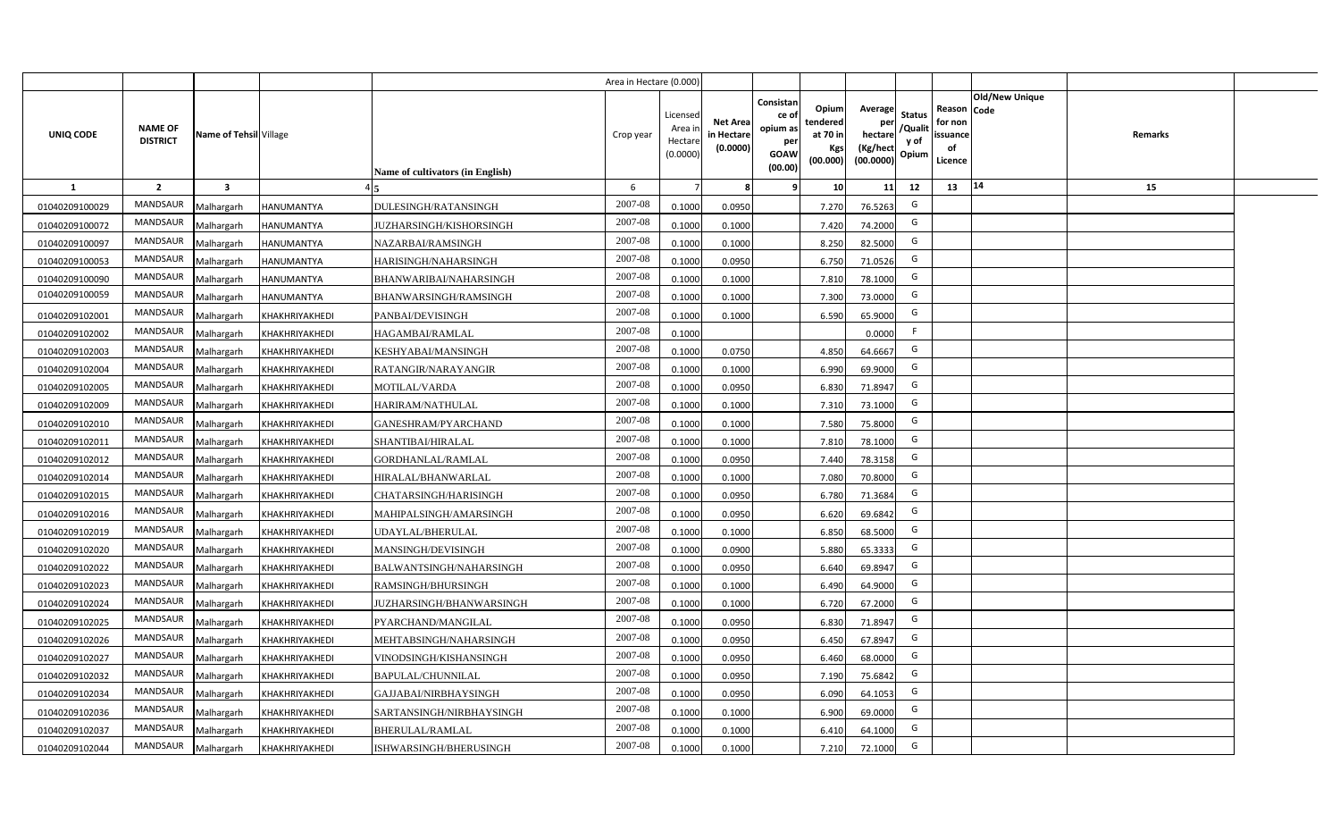|                |                                   |                         |                       |                                  | Area in Hectare (0.000) |                                           |                                           |                                                                                                                     |                                                    |                                           |                                                     |                       |         |  |
|----------------|-----------------------------------|-------------------------|-----------------------|----------------------------------|-------------------------|-------------------------------------------|-------------------------------------------|---------------------------------------------------------------------------------------------------------------------|----------------------------------------------------|-------------------------------------------|-----------------------------------------------------|-----------------------|---------|--|
| UNIQ CODE      | <b>NAME OF</b><br><b>DISTRICT</b> | Name of Tehsil Village  |                       | Name of cultivators (in English) | Crop year               | Licensed<br>Area i<br>Hectare<br>(0.0000) | <b>Net Area</b><br>in Hectare<br>(0.0000) | Consistan<br>Opium<br>ce of<br>tendered<br>opium as<br>at 70 in<br>per<br>Kgs<br><b>GOAW</b><br>(00.000)<br>(00.00) | Average<br>per<br>hectare<br>(Kg/hect<br>(00.0000) | <b>Status</b><br>/Qualit<br>y of<br>Opium | Reason Code<br>for non<br>issuance<br>of<br>Licence | <b>Old/New Unique</b> | Remarks |  |
| 1              | $\overline{2}$                    | $\overline{\mathbf{3}}$ |                       |                                  | 6                       |                                           | 8                                         | -9<br>10 <sup>1</sup>                                                                                               | 11                                                 | 12                                        | 13                                                  | 14                    | 15      |  |
| 01040209100029 | MANDSAUR                          | Malhargarh              | <b>HANUMANTYA</b>     | DULESINGH/RATANSINGH             | 2007-08                 | 0.1000                                    | 0.0950                                    | 7.270                                                                                                               | 76.5263                                            | G                                         |                                                     |                       |         |  |
| 01040209100072 | MANDSAUR                          | Malhargarh              | HANUMANTYA            | JUZHARSINGH/KISHORSINGH          | 2007-08                 | 0.1000                                    | 0.1000                                    | 7.420                                                                                                               | 74.2000                                            | G                                         |                                                     |                       |         |  |
| 01040209100097 | <b>MANDSAUR</b>                   | Malhargarh              | <b>HANUMANTYA</b>     | NAZARBAI/RAMSINGH                | 2007-08                 | 0.1000                                    | 0.1000                                    | 8.250                                                                                                               | 82.5000                                            | G                                         |                                                     |                       |         |  |
| 01040209100053 | MANDSAUR                          | Malhargarh              | HANUMANTYA            | HARISINGH/NAHARSINGH             | 2007-08                 | 0.1000                                    | 0.0950                                    | 6.750                                                                                                               | 71.0526                                            | G                                         |                                                     |                       |         |  |
| 01040209100090 | MANDSAUR                          | Malhargarh              | <b>HANUMANTYA</b>     | BHANWARIBAI/NAHARSINGH           | 2007-08                 | 0.1000                                    | 0.1000                                    | 7.810                                                                                                               | 78.1000                                            | G                                         |                                                     |                       |         |  |
| 01040209100059 | <b>MANDSAUR</b>                   | Malhargarh              | HANUMANTYA            | BHANWARSINGH/RAMSINGH            | 2007-08                 | 0.1000                                    | 0.1000                                    | 7.300                                                                                                               | 73.0000                                            | G                                         |                                                     |                       |         |  |
| 01040209102001 | <b>MANDSAUR</b>                   | Malhargarh              | KHAKHRIYAKHEDI        | PANBAI/DEVISINGH                 | 2007-08                 | 0.1000                                    | 0.1000                                    | 6.590                                                                                                               | 65.9000                                            | G                                         |                                                     |                       |         |  |
| 01040209102002 | MANDSAUR                          | Malhargarh              | KHAKHRIYAKHEDI        | HAGAMBAI/RAMLAL                  | 2007-08                 | 0.1000                                    |                                           |                                                                                                                     | 0.0000                                             | F                                         |                                                     |                       |         |  |
| 01040209102003 | MANDSAUR                          | Malhargarh              | KHAKHRIYAKHEDI        | KESHYABAI/MANSINGH               | 2007-08                 | 0.1000                                    | 0.0750                                    | 4.850                                                                                                               | 64.6667                                            | G                                         |                                                     |                       |         |  |
| 01040209102004 | MANDSAUR                          | Malhargarh              | KHAKHRIYAKHEDI        | RATANGIR/NARAYANGIR              | 2007-08                 | 0.1000                                    | 0.1000                                    | 6.990                                                                                                               | 69.9000                                            | G                                         |                                                     |                       |         |  |
| 01040209102005 | MANDSAUR                          | Malhargarh              | KHAKHRIYAKHEDI        | <b>MOTILAL/VARDA</b>             | 2007-08                 | 0.1000                                    | 0.0950                                    | 6.830                                                                                                               | 71.8947                                            | G                                         |                                                     |                       |         |  |
| 01040209102009 | <b>MANDSAUR</b>                   | Malhargarh              | KHAKHRIYAKHEDI        | HARIRAM/NATHULAL                 | 2007-08                 | 0.1000                                    | 0.1000                                    | 7.310                                                                                                               | 73.1000                                            | G                                         |                                                     |                       |         |  |
| 01040209102010 | <b>MANDSAUR</b>                   | Malhargarh              | KHAKHRIYAKHEDI        | <b>GANESHRAM/PYARCHAND</b>       | 2007-08                 | 0.1000                                    | 0.1000                                    | 7.580                                                                                                               | 75.8000                                            | G                                         |                                                     |                       |         |  |
| 01040209102011 | <b>MANDSAUR</b>                   | Malhargarh              | KHAKHRIYAKHEDI        | SHANTIBAI/HIRALAL                | 2007-08                 | 0.1000                                    | 0.1000                                    | 7.810                                                                                                               | 78.1000                                            | G                                         |                                                     |                       |         |  |
| 01040209102012 | MANDSAUR                          | Malhargarh              | KHAKHRIYAKHEDI        | GORDHANLAL/RAMLAL                | 2007-08                 | 0.1000                                    | 0.0950                                    | 7.440                                                                                                               | 78.3158                                            | G                                         |                                                     |                       |         |  |
| 01040209102014 | <b>MANDSAUR</b>                   | Malhargarh              | KHAKHRIYAKHEDI        | HIRALAL/BHANWARLAL               | 2007-08                 | 0.1000                                    | 0.1000                                    | 7.080                                                                                                               | 70.8000                                            | G                                         |                                                     |                       |         |  |
| 01040209102015 | <b>MANDSAUR</b>                   | Malhargarh              | KHAKHRIYAKHEDI        | CHATARSINGH/HARISINGH            | 2007-08                 | 0.1000                                    | 0.0950                                    | 6.780                                                                                                               | 71.3684                                            | G                                         |                                                     |                       |         |  |
| 01040209102016 | <b>MANDSAUR</b>                   | Malhargarh              | KHAKHRIYAKHEDI        | MAHIPALSINGH/AMARSINGH           | 2007-08                 | 0.1000                                    | 0.0950                                    | 6.620                                                                                                               | 69.6842                                            | G                                         |                                                     |                       |         |  |
| 01040209102019 | <b>MANDSAUR</b>                   | Malhargarh              | KHAKHRIYAKHEDI        | UDAYLAL/BHERULAL                 | 2007-08                 | 0.1000                                    | 0.1000                                    | 6.850                                                                                                               | 68.5000                                            | G                                         |                                                     |                       |         |  |
| 01040209102020 | <b>MANDSAUR</b>                   | Malhargarh              | KHAKHRIYAKHEDI        | MANSINGH/DEVISINGH               | 2007-08                 | 0.1000                                    | 0.0900                                    | 5.880                                                                                                               | 65.3333                                            | G                                         |                                                     |                       |         |  |
| 01040209102022 | <b>MANDSAUR</b>                   | Malhargarh              | KHAKHRIYAKHEDI        | BALWANTSINGH/NAHARSINGH          | 2007-08                 | 0.1000                                    | 0.0950                                    | 6.640                                                                                                               | 69.8947                                            | G                                         |                                                     |                       |         |  |
| 01040209102023 | MANDSAUR                          | Malhargarh              | KHAKHRIYAKHEDI        | RAMSINGH/BHURSINGH               | 2007-08                 | 0.1000                                    | 0.1000                                    | 6.490                                                                                                               | 64.9000                                            | G                                         |                                                     |                       |         |  |
| 01040209102024 | MANDSAUR                          | Malhargarh              | KHAKHRIYAKHEDI        | JUZHARSINGH/BHANWARSINGH         | 2007-08                 | 0.1000                                    | 0.1000                                    | 6.720                                                                                                               | 67.2000                                            | G                                         |                                                     |                       |         |  |
| 01040209102025 | <b>MANDSAUR</b>                   | Malhargarh              | KHAKHRIYAKHEDI        | PYARCHAND/MANGILAL               | 2007-08                 | 0.1000                                    | 0.0950                                    | 6.830                                                                                                               | 71.8947                                            | G                                         |                                                     |                       |         |  |
| 01040209102026 | MANDSAUR                          | Malhargarh              | KHAKHRIYAKHEDI        | MEHTABSINGH/NAHARSINGH           | 2007-08                 | 0.1000                                    | 0.0950                                    | 6.450                                                                                                               | 67.8947                                            | G                                         |                                                     |                       |         |  |
| 01040209102027 | MANDSAUR                          | Malhargarh              | KHAKHRIYAKHEDI        | VINODSINGH/KISHANSINGH           | 2007-08                 | 0.1000                                    | 0.0950                                    | 6.460                                                                                                               | 68.0000                                            | G                                         |                                                     |                       |         |  |
| 01040209102032 | MANDSAUR                          | Malhargarh              | KHAKHRIYAKHEDI        | BAPULAL/CHUNNILAL                | 2007-08                 | 0.1000                                    | 0.0950                                    | 7.190                                                                                                               | 75.6842                                            | G                                         |                                                     |                       |         |  |
| 01040209102034 | MANDSAUR                          | Malhargarh              | KHAKHRIYAKHEDI        | GAJJABAI/NIRBHAYSINGH            | 2007-08                 | 0.1000                                    | 0.0950                                    | 6.090                                                                                                               | 64.1053                                            | G                                         |                                                     |                       |         |  |
| 01040209102036 | MANDSAUR                          | Malhargarh              | KHAKHRIYAKHEDI        | SARTANSINGH/NIRBHAYSINGH         | 2007-08                 | 0.1000                                    | 0.1000                                    | 6.900                                                                                                               | 69.0000                                            | G                                         |                                                     |                       |         |  |
| 01040209102037 | MANDSAUR                          | Malhargarh              | KHAKHRIYAKHEDI        | <b>BHERULAL/RAMLAL</b>           | 2007-08                 | 0.1000                                    | 0.1000                                    | 6.410                                                                                                               | 64.1000                                            | G                                         |                                                     |                       |         |  |
| 01040209102044 | MANDSAUR                          | Malhargarh              | <b>KHAKHRIYAKHEDI</b> | ISHWARSINGH/BHERUSINGH           | 2007-08                 | 0.1000                                    | 0.1000                                    | 7.210                                                                                                               | 72.1000                                            | G                                         |                                                     |                       |         |  |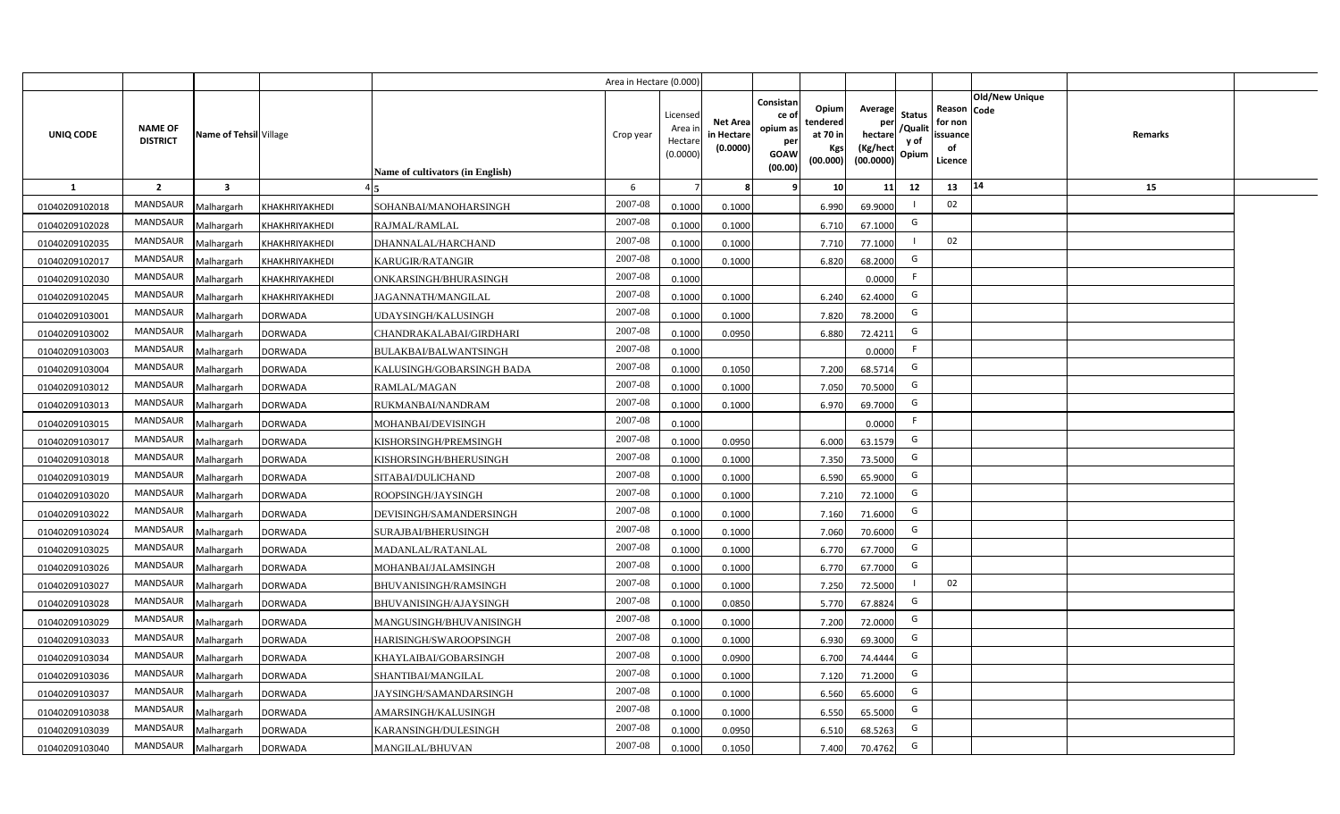|                |                                   |                         |                |                                         | Area in Hectare (0.000) |                                           |                                           |                                                                |                                                         |                                                    |                                           |                                                     |                                  |  |
|----------------|-----------------------------------|-------------------------|----------------|-----------------------------------------|-------------------------|-------------------------------------------|-------------------------------------------|----------------------------------------------------------------|---------------------------------------------------------|----------------------------------------------------|-------------------------------------------|-----------------------------------------------------|----------------------------------|--|
| UNIQ CODE      | <b>NAME OF</b><br><b>DISTRICT</b> | Name of Tehsil Village  |                | <b>Name of cultivators (in English)</b> | Crop year               | Licensed<br>Area i<br>Hectare<br>(0.0000) | <b>Net Area</b><br>in Hectare<br>(0.0000) | Consistan<br>ce o<br>opium as<br>per<br><b>GOAW</b><br>(00.00) | Opium<br>tendered<br>at 70 in<br><b>Kgs</b><br>(00.000) | Average<br>per<br>hectare<br>(Kg/hect<br>(00.0000) | <b>Status</b><br>/Qualit<br>y of<br>Opium | Reason Code<br>for non<br>issuance<br>of<br>Licence | <b>Old/New Unique</b><br>Remarks |  |
| 1              | $\overline{2}$                    | $\overline{\mathbf{3}}$ |                |                                         | 6                       |                                           | -8                                        | 9                                                              | 10 <sup>1</sup>                                         | 11                                                 | 12                                        | 13                                                  | 14<br>15                         |  |
| 01040209102018 | MANDSAUR                          | Malhargarh              | KHAKHRIYAKHEDI | SOHANBAI/MANOHARSINGH                   | 2007-08                 | 0.1000                                    | 0.1000                                    |                                                                | 6.990                                                   | 69.9000                                            |                                           | 02                                                  |                                  |  |
| 01040209102028 | MANDSAUR                          | Malhargarh              | KHAKHRIYAKHEDI | RAJMAL/RAMLAL                           | 2007-08                 | 0.1000                                    | 0.1000                                    |                                                                | 6.710                                                   | 67.1000                                            | G                                         |                                                     |                                  |  |
| 01040209102035 | <b>MANDSAUR</b>                   | Malhargarh              | KHAKHRIYAKHEDI | DHANNALAL/HARCHAND                      | 2007-08                 | 0.1000                                    | 0.1000                                    |                                                                | 7.710                                                   | 77.1000                                            |                                           | 02                                                  |                                  |  |
| 01040209102017 | <b>MANDSAUR</b>                   | Malhargarh              | KHAKHRIYAKHEDI | <b>KARUGIR/RATANGIR</b>                 | 2007-08                 | 0.1000                                    | 0.1000                                    |                                                                | 6.820                                                   | 68.2000                                            | G                                         |                                                     |                                  |  |
| 01040209102030 | MANDSAUR                          | Malhargarh              | KHAKHRIYAKHEDI | ONKARSINGH/BHURASINGH                   | 2007-08                 | 0.1000                                    |                                           |                                                                |                                                         | 0.0000                                             | F.                                        |                                                     |                                  |  |
| 01040209102045 | <b>MANDSAUR</b>                   | Malhargarh              | KHAKHRIYAKHEDI | JAGANNATH/MANGILAL                      | 2007-08                 | 0.1000                                    | 0.1000                                    |                                                                | 6.240                                                   | 62.4000                                            | G                                         |                                                     |                                  |  |
| 01040209103001 | <b>MANDSAUR</b>                   | Malhargarh              | <b>DORWADA</b> | UDAYSINGH/KALUSINGH                     | 2007-08                 | 0.1000                                    | 0.1000                                    |                                                                | 7.820                                                   | 78.2000                                            | G                                         |                                                     |                                  |  |
| 01040209103002 | MANDSAUR                          | Malhargarh              | <b>DORWADA</b> | CHANDRAKALABAI/GIRDHARI                 | 2007-08                 | 0.1000                                    | 0.0950                                    |                                                                | 6.880                                                   | 72.4211                                            | G                                         |                                                     |                                  |  |
| 01040209103003 | <b>MANDSAUR</b>                   | Malhargarh              | <b>DORWADA</b> | BULAKBAI/BALWANTSINGH                   | 2007-08                 | 0.1000                                    |                                           |                                                                |                                                         | 0.0000                                             | F                                         |                                                     |                                  |  |
| 01040209103004 | <b>MANDSAUR</b>                   | Malhargarh              | <b>DORWADA</b> | KALUSINGH/GOBARSINGH BADA               | 2007-08                 | 0.1000                                    | 0.1050                                    |                                                                | 7.200                                                   | 68.5714                                            | G                                         |                                                     |                                  |  |
| 01040209103012 | MANDSAUR                          | Malhargarh              | <b>DORWADA</b> | RAMLAL/MAGAN                            | 2007-08                 | 0.1000                                    | 0.1000                                    |                                                                | 7.050                                                   | 70.5000                                            | G                                         |                                                     |                                  |  |
| 01040209103013 | <b>MANDSAUR</b>                   | Malhargarh              | <b>DORWADA</b> | RUKMANBAI/NANDRAM                       | 2007-08                 | 0.1000                                    | 0.1000                                    |                                                                | 6.970                                                   | 69.7000                                            | G                                         |                                                     |                                  |  |
| 01040209103015 | <b>MANDSAUR</b>                   | Malhargarh              | <b>DORWADA</b> | MOHANBAI/DEVISINGH                      | 2007-08                 | 0.1000                                    |                                           |                                                                |                                                         | 0.0000                                             | F                                         |                                                     |                                  |  |
| 01040209103017 | <b>MANDSAUR</b>                   | Malhargarh              | <b>DORWADA</b> | KISHORSINGH/PREMSINGH                   | 2007-08                 | 0.1000                                    | 0.0950                                    |                                                                | 6.000                                                   | 63.1579                                            | G                                         |                                                     |                                  |  |
| 01040209103018 | MANDSAUR                          | Malhargarh              | <b>DORWADA</b> | KISHORSINGH/BHERUSINGH                  | 2007-08                 | 0.1000                                    | 0.1000                                    |                                                                | 7.350                                                   | 73.5000                                            | G                                         |                                                     |                                  |  |
| 01040209103019 | <b>MANDSAUR</b>                   | Malhargarh              | <b>DORWADA</b> | SITABAI/DULICHAND                       | 2007-08                 | 0.1000                                    | 0.1000                                    |                                                                | 6.590                                                   | 65.9000                                            | G                                         |                                                     |                                  |  |
| 01040209103020 | <b>MANDSAUR</b>                   | Malhargarh              | <b>DORWADA</b> | ROOPSINGH/JAYSINGH                      | 2007-08                 | 0.1000                                    | 0.1000                                    |                                                                | 7.210                                                   | 72.1000                                            | G                                         |                                                     |                                  |  |
| 01040209103022 | <b>MANDSAUR</b>                   | Malhargarh              | <b>DORWADA</b> | DEVISINGH/SAMANDERSINGH                 | 2007-08                 | 0.1000                                    | 0.1000                                    |                                                                | 7.160                                                   | 71.6000                                            | G                                         |                                                     |                                  |  |
| 01040209103024 | <b>MANDSAUR</b>                   | Malhargarh              | <b>DORWADA</b> | SURAJBAI/BHERUSINGH                     | 2007-08                 | 0.1000                                    | 0.1000                                    |                                                                | 7.060                                                   | 70.6000                                            | G                                         |                                                     |                                  |  |
| 01040209103025 | <b>MANDSAUR</b>                   | Malhargarh              | <b>DORWADA</b> | MADANLAL/RATANLAL                       | 2007-08                 | 0.1000                                    | 0.1000                                    |                                                                | 6.770                                                   | 67.7000                                            | G                                         |                                                     |                                  |  |
| 01040209103026 | <b>MANDSAUR</b>                   | Malhargarh              | <b>DORWADA</b> | MOHANBAI/JALAMSINGH                     | 2007-08                 | 0.1000                                    | 0.1000                                    |                                                                | 6.770                                                   | 67.7000                                            | G                                         |                                                     |                                  |  |
| 01040209103027 | MANDSAUR                          | Malhargarh              | <b>DORWADA</b> | <b>BHUVANISINGH/RAMSINGH</b>            | 2007-08                 | 0.1000                                    | 0.1000                                    |                                                                | 7.250                                                   | 72.5000                                            |                                           | 02                                                  |                                  |  |
| 01040209103028 | <b>MANDSAUR</b>                   | Malhargarh              | <b>DORWADA</b> | BHUVANISINGH/AJAYSINGH                  | 2007-08                 | 0.1000                                    | 0.0850                                    |                                                                | 5.770                                                   | 67.8824                                            | G                                         |                                                     |                                  |  |
| 01040209103029 | <b>MANDSAUR</b>                   | Malhargarh              | <b>DORWADA</b> | MANGUSINGH/BHUVANISINGH                 | 2007-08                 | 0.1000                                    | 0.1000                                    |                                                                | 7.200                                                   | 72.0000                                            | G                                         |                                                     |                                  |  |
| 01040209103033 | <b>MANDSAUR</b>                   | Malhargarh              | <b>DORWADA</b> | HARISINGH/SWAROOPSINGH                  | $2007 - 08$             | 0.1000                                    | 0.1000                                    |                                                                | 6.930                                                   | 69.3000                                            | G                                         |                                                     |                                  |  |
| 01040209103034 | MANDSAUR                          | Malhargarh              | <b>DORWADA</b> | KHAYLAIBAI/GOBARSINGH                   | 2007-08                 | 0.1000                                    | 0.0900                                    |                                                                | 6.700                                                   | 74.4444                                            | G                                         |                                                     |                                  |  |
| 01040209103036 | MANDSAUR                          | Malhargarh              | <b>DORWADA</b> | SHANTIBAI/MANGILAL                      | 2007-08                 | 0.1000                                    | 0.1000                                    |                                                                | 7.120                                                   | 71.2000                                            | G                                         |                                                     |                                  |  |
| 01040209103037 | MANDSAUR                          | Malhargarh              | <b>DORWADA</b> | JAYSINGH/SAMANDARSINGH                  | 2007-08                 | 0.1000                                    | 0.1000                                    |                                                                | 6.560                                                   | 65.6000                                            | G                                         |                                                     |                                  |  |
| 01040209103038 | MANDSAUR                          | Malhargarh              | <b>DORWADA</b> | AMARSINGH/KALUSINGH                     | 2007-08                 | 0.1000                                    | 0.1000                                    |                                                                | 6.550                                                   | 65.5000                                            | G                                         |                                                     |                                  |  |
| 01040209103039 | MANDSAUR                          | Malhargarh              | <b>DORWADA</b> | KARANSINGH/DULESINGH                    | 2007-08                 | 0.1000                                    | 0.0950                                    |                                                                | 6.510                                                   | 68.5263                                            | G                                         |                                                     |                                  |  |
| 01040209103040 | MANDSAUR                          | Malhargarh              | <b>DORWADA</b> | MANGILAL/BHUVAN                         | 2007-08                 | 0.1000                                    | 0.1050                                    |                                                                | 7.400                                                   | 70.4762                                            | G                                         |                                                     |                                  |  |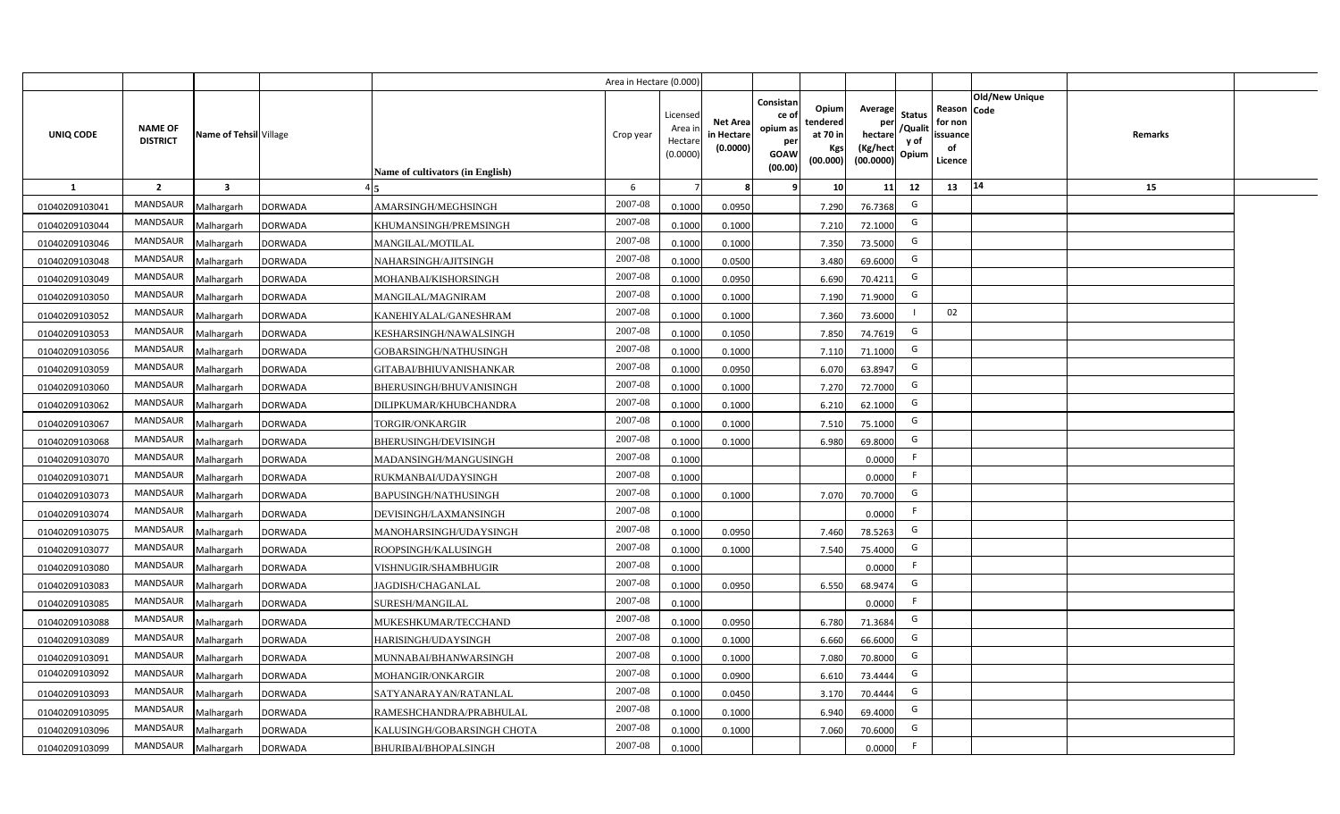|                |                                   |                         |                |                                  | Area in Hectare (0.000) |                                           |                                           |                                                                                                                     |                                                    |                                           |                                                     |                       |         |  |
|----------------|-----------------------------------|-------------------------|----------------|----------------------------------|-------------------------|-------------------------------------------|-------------------------------------------|---------------------------------------------------------------------------------------------------------------------|----------------------------------------------------|-------------------------------------------|-----------------------------------------------------|-----------------------|---------|--|
| UNIQ CODE      | <b>NAME OF</b><br><b>DISTRICT</b> | Name of Tehsil Village  |                | Name of cultivators (in English) | Crop year               | Licensed<br>Area i<br>Hectare<br>(0.0000) | <b>Net Area</b><br>in Hectare<br>(0.0000) | Consistan<br>Opium<br>ce of<br>tendered<br>opium as<br>at 70 in<br>per<br>Kgs<br><b>GOAW</b><br>(00.000)<br>(00.00) | Average<br>per<br>hectare<br>(Kg/hect<br>(00.0000) | <b>Status</b><br>/Qualit<br>y of<br>Opium | Reason Code<br>for non<br>issuance<br>of<br>Licence | <b>Old/New Unique</b> | Remarks |  |
| 1              | $\overline{2}$                    | $\overline{\mathbf{3}}$ |                |                                  | 6                       |                                           | 8                                         | 10<br>-9                                                                                                            | 11                                                 | 12                                        | 13                                                  | 14                    | 15      |  |
| 01040209103041 | MANDSAUR                          | Malhargarh              | <b>DORWADA</b> | AMARSINGH/MEGHSINGH              | 2007-08                 | 0.1000                                    | 0.0950                                    | 7.290                                                                                                               | 76.7368                                            | G                                         |                                                     |                       |         |  |
| 01040209103044 | MANDSAUR                          | Malhargarh              | <b>DORWADA</b> | KHUMANSINGH/PREMSINGH            | 2007-08                 | 0.1000                                    | 0.1000                                    | 7.210                                                                                                               | 72.1000                                            | G                                         |                                                     |                       |         |  |
| 01040209103046 | <b>MANDSAUR</b>                   | Malhargarh              | <b>DORWADA</b> | MANGILAL/MOTILAL                 | 2007-08                 | 0.1000                                    | 0.1000                                    | 7.350                                                                                                               | 73.5000                                            | G                                         |                                                     |                       |         |  |
| 01040209103048 | MANDSAUR                          | Malhargarh              | <b>DORWADA</b> | NAHARSINGH/AJITSINGH             | 2007-08                 | 0.1000                                    | 0.0500                                    | 3.480                                                                                                               | 69.6000                                            | G                                         |                                                     |                       |         |  |
| 01040209103049 | MANDSAUR                          | Malhargarh              | <b>DORWADA</b> | MOHANBAI/KISHORSINGH             | 2007-08                 | 0.1000                                    | 0.0950                                    | 6.690                                                                                                               | 70.4211                                            | G                                         |                                                     |                       |         |  |
| 01040209103050 | MANDSAUR                          | Malhargarh              | <b>DORWADA</b> | MANGILAL/MAGNIRAM                | 2007-08                 | 0.1000                                    | 0.1000                                    | 7.190                                                                                                               | 71.9000                                            | G                                         |                                                     |                       |         |  |
| 01040209103052 | MANDSAUR                          | Malhargarh              | <b>DORWADA</b> | KANEHIYALAL/GANESHRAM            | 2007-08                 | 0.1000                                    | 0.1000                                    | 7.360                                                                                                               | 73.6000                                            |                                           | 02                                                  |                       |         |  |
| 01040209103053 | MANDSAUR                          | Malhargarh              | <b>DORWADA</b> | KESHARSINGH/NAWALSINGH           | 2007-08                 | 0.1000                                    | 0.1050                                    | 7.850                                                                                                               | 74.7619                                            | G                                         |                                                     |                       |         |  |
| 01040209103056 | MANDSAUR                          | Malhargarh              | <b>DORWADA</b> | GOBARSINGH/NATHUSINGH            | 2007-08                 | 0.1000                                    | 0.1000                                    | 7.110                                                                                                               | 71.1000                                            | G                                         |                                                     |                       |         |  |
| 01040209103059 | MANDSAUR                          | Malhargarh              | <b>DORWADA</b> | GITABAI/BHIUVANISHANKAR          | 2007-08                 | 0.1000                                    | 0.0950                                    | 6.070                                                                                                               | 63.8947                                            | G                                         |                                                     |                       |         |  |
| 01040209103060 | MANDSAUR                          | Malhargarh              | <b>DORWADA</b> | BHERUSINGH/BHUVANISINGH          | 2007-08                 | 0.1000                                    | 0.1000                                    | 7.270                                                                                                               | 72.7000                                            | G                                         |                                                     |                       |         |  |
| 01040209103062 | MANDSAUR                          | Malhargarh              | <b>DORWADA</b> | DILIPKUMAR/KHUBCHANDRA           | 2007-08                 | 0.1000                                    | 0.1000                                    | 6.210                                                                                                               | 62.1000                                            | G                                         |                                                     |                       |         |  |
| 01040209103067 | <b>MANDSAUR</b>                   | Malhargarh              | <b>DORWADA</b> | <b>TORGIR/ONKARGIR</b>           | 2007-08                 | 0.1000                                    | 0.1000                                    | 7.510                                                                                                               | 75.1000                                            | G                                         |                                                     |                       |         |  |
| 01040209103068 | <b>MANDSAUR</b>                   | Malhargarh              | <b>DORWADA</b> | <b>BHERUSINGH/DEVISINGH</b>      | 2007-08                 | 0.1000                                    | 0.1000                                    | 6.980                                                                                                               | 69.8000                                            | G                                         |                                                     |                       |         |  |
| 01040209103070 | MANDSAUR                          | Malhargarh              | <b>DORWADA</b> | MADANSINGH/MANGUSINGH            | 2007-08                 | 0.1000                                    |                                           |                                                                                                                     | 0.0000                                             | F                                         |                                                     |                       |         |  |
| 01040209103071 | <b>MANDSAUR</b>                   | Malhargarh              | <b>DORWADA</b> | RUKMANBAI/UDAYSINGH              | 2007-08                 | 0.1000                                    |                                           |                                                                                                                     | 0.0000                                             | F.                                        |                                                     |                       |         |  |
| 01040209103073 | <b>MANDSAUR</b>                   | Malhargarh              | <b>DORWADA</b> | BAPUSINGH/NATHUSINGH             | 2007-08                 | 0.1000                                    | 0.1000                                    | 7.070                                                                                                               | 70.7000                                            | G                                         |                                                     |                       |         |  |
| 01040209103074 | <b>MANDSAUR</b>                   | Malhargarh              | <b>DORWADA</b> | DEVISINGH/LAXMANSINGH            | 2007-08                 | 0.1000                                    |                                           |                                                                                                                     | 0.0000                                             | F                                         |                                                     |                       |         |  |
| 01040209103075 | <b>MANDSAUR</b>                   | Malhargarh              | <b>DORWADA</b> | MANOHARSINGH/UDAYSINGH           | 2007-08                 | 0.1000                                    | 0.0950                                    | 7.460                                                                                                               | 78.5263                                            | G                                         |                                                     |                       |         |  |
| 01040209103077 | <b>MANDSAUR</b>                   | Malhargarh              | <b>DORWADA</b> | ROOPSINGH/KALUSINGH              | 2007-08                 | 0.1000                                    | 0.1000                                    | 7.540                                                                                                               | 75.4000                                            | G                                         |                                                     |                       |         |  |
| 01040209103080 | <b>MANDSAUR</b>                   | Malhargarh              | <b>DORWADA</b> | VISHNUGIR/SHAMBHUGIR             | 2007-08                 | 0.1000                                    |                                           |                                                                                                                     | 0.0000                                             | F.                                        |                                                     |                       |         |  |
| 01040209103083 | MANDSAUR                          | Malhargarh              | <b>DORWADA</b> | JAGDISH/CHAGANLAL                | 2007-08                 | 0.1000                                    | 0.0950                                    | 6.550                                                                                                               | 68.9474                                            | G                                         |                                                     |                       |         |  |
| 01040209103085 | MANDSAUR                          | Malhargarh              | <b>DORWADA</b> | SURESH/MANGILAL                  | 2007-08                 | 0.1000                                    |                                           |                                                                                                                     | 0.0000                                             | F                                         |                                                     |                       |         |  |
| 01040209103088 | <b>MANDSAUR</b>                   | Malhargarh              | <b>DORWADA</b> | MUKESHKUMAR/TECCHAND             | 2007-08                 | 0.1000                                    | 0.0950                                    | 6.780                                                                                                               | 71.3684                                            | G                                         |                                                     |                       |         |  |
| 01040209103089 | MANDSAUR                          | Malhargarh              | <b>DORWADA</b> | HARISINGH/UDAYSINGH              | 2007-08                 | 0.1000                                    | 0.1000                                    | 6.660                                                                                                               | 66.6000                                            | G                                         |                                                     |                       |         |  |
| 01040209103091 | MANDSAUR                          | Malhargarh              | <b>DORWADA</b> | MUNNABAI/BHANWARSINGH            | 2007-08                 | 0.1000                                    | 0.1000                                    | 7.080                                                                                                               | 70.8000                                            | G                                         |                                                     |                       |         |  |
| 01040209103092 | MANDSAUR                          | Malhargarh              | <b>DORWADA</b> | MOHANGIR/ONKARGIR                | 2007-08                 | 0.1000                                    | 0.0900                                    | 6.610                                                                                                               | 73.4444                                            | G                                         |                                                     |                       |         |  |
| 01040209103093 | MANDSAUR                          | Malhargarh              | <b>DORWADA</b> | SATYANARAYAN/RATANLAL            | 2007-08                 | 0.1000                                    | 0.0450                                    | 3.170                                                                                                               | 70.4444                                            | G                                         |                                                     |                       |         |  |
| 01040209103095 | MANDSAUR                          | Malhargarh              | <b>DORWADA</b> | RAMESHCHANDRA/PRABHULAL          | 2007-08                 | 0.1000                                    | 0.1000                                    | 6.940                                                                                                               | 69.4000                                            | G                                         |                                                     |                       |         |  |
| 01040209103096 | MANDSAUR                          | Malhargarh              | <b>DORWADA</b> | KALUSINGH/GOBARSINGH CHOTA       | 2007-08                 | 0.1000                                    | 0.1000                                    | 7.060                                                                                                               | 70.6000                                            | G                                         |                                                     |                       |         |  |
| 01040209103099 | MANDSAUR                          | Malhargarh              | <b>DORWADA</b> | <b>BHURIBAI/BHOPALSINGH</b>      | 2007-08                 | 0.1000                                    |                                           |                                                                                                                     | 0.0000                                             | F.                                        |                                                     |                       |         |  |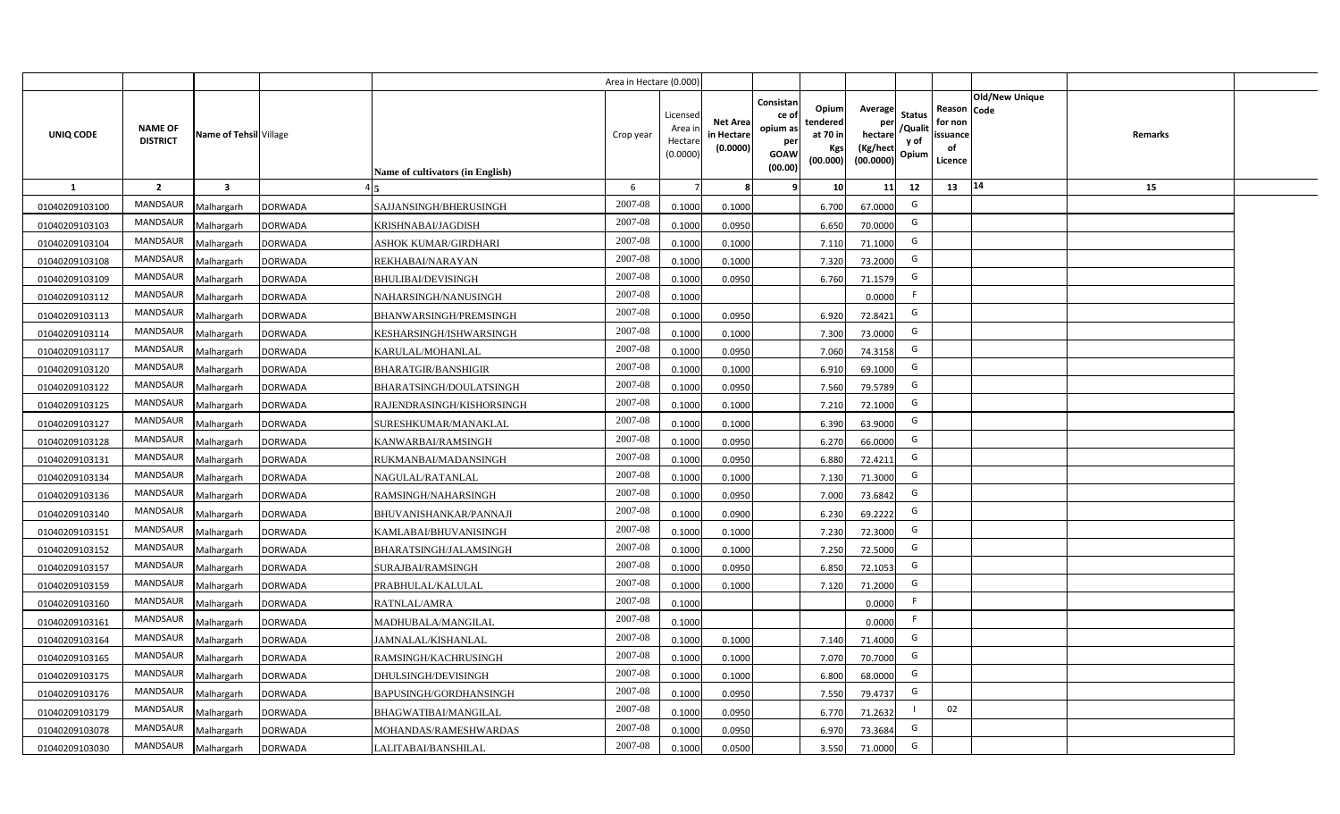|                |                                   |                         |                |                                  | Area in Hectare (0.000) |                                          |                                           |                                                         |                                                  |                                                    |                                           |                                                                       |         |  |
|----------------|-----------------------------------|-------------------------|----------------|----------------------------------|-------------------------|------------------------------------------|-------------------------------------------|---------------------------------------------------------|--------------------------------------------------|----------------------------------------------------|-------------------------------------------|-----------------------------------------------------------------------|---------|--|
| UNIQ CODE      | <b>NAME OF</b><br><b>DISTRICT</b> | Name of Tehsil Village  |                | Name of cultivators (in English) | Crop year               | Licensec<br>Area i<br>Hectar<br>(0.0000) | <b>Net Area</b><br>in Hectare<br>(0.0000) | Consistan<br>ce o<br>opium as<br>per<br>GOAW<br>(00.00) | Opium<br>tendered<br>at 70 in<br>Kgs<br>(00.000) | Average<br>per<br>hectare<br>(Kg/hect<br>(00.0000) | <b>Status</b><br>/Qualit<br>y of<br>Opium | Old/New Unique<br>Reason Code<br>for non<br>issuance<br>of<br>Licence | Remarks |  |
| $\mathbf{1}$   | $\overline{2}$                    | $\overline{\mathbf{3}}$ |                |                                  | 6                       |                                          |                                           |                                                         | 10                                               | 11                                                 | 12                                        | 14<br>13                                                              | 15      |  |
| 01040209103100 | MANDSAUR                          | Malhargarh              | <b>DORWADA</b> | SAJJANSINGH/BHERUSINGH           | 2007-08                 | 0.1000                                   | 0.1000                                    |                                                         | 6.700                                            | 67.0000                                            | G                                         |                                                                       |         |  |
| 01040209103103 | MANDSAUR                          | Malhargarh              | <b>DORWADA</b> | KRISHNABAI/JAGDISH               | 2007-08                 | 0.1000                                   | 0.0950                                    |                                                         | 6.650                                            | 70.0000                                            | G                                         |                                                                       |         |  |
| 01040209103104 | MANDSAUR                          | Malhargarh              | <b>DORWADA</b> | <b>ASHOK KUMAR/GIRDHARI</b>      | 2007-08                 | 0.1000                                   | 0.1000                                    |                                                         | 7.110                                            | 71.1000                                            | G                                         |                                                                       |         |  |
| 01040209103108 | <b>MANDSAUR</b>                   | Malhargarh              | <b>DORWADA</b> | REKHABAI/NARAYAN                 | 2007-08                 | 0.100                                    | 0.1000                                    |                                                         | 7.320                                            | 73.2000                                            | G                                         |                                                                       |         |  |
| 01040209103109 | MANDSAUR                          | Malhargarh              | <b>DORWADA</b> | <b>BHULIBAI/DEVISINGH</b>        | 2007-08                 | 0.100                                    | 0.0950                                    |                                                         | 6.760                                            | 71.1579                                            | G                                         |                                                                       |         |  |
| 01040209103112 | MANDSAUR                          | Malhargarh              | <b>DORWADA</b> | NAHARSINGH/NANUSINGH             | 2007-08                 | 0.1000                                   |                                           |                                                         |                                                  | 0.0000                                             | F.                                        |                                                                       |         |  |
| 01040209103113 | <b>MANDSAUR</b>                   | Malhargarh              | <b>DORWADA</b> | BHANWARSINGH/PREMSINGH           | 2007-08                 | 0.1000                                   | 0.0950                                    |                                                         | 6.920                                            | 72.8421                                            | G                                         |                                                                       |         |  |
| 01040209103114 | <b>MANDSAUR</b>                   | Malhargarh              | <b>DORWADA</b> | KESHARSINGH/ISHWARSINGH          | 2007-08                 | 0.1000                                   | 0.1000                                    |                                                         | 7.300                                            | 73.0000                                            | G                                         |                                                                       |         |  |
| 01040209103117 | MANDSAUR                          | Malhargarh              | <b>DORWADA</b> | KARULAL/MOHANLAL                 | 2007-08                 | 0.100                                    | 0.0950                                    |                                                         | 7.060                                            | 74.3158                                            | G                                         |                                                                       |         |  |
| 01040209103120 | <b>MANDSAUR</b>                   | Malhargarh              | <b>DORWADA</b> | BHARATGIR/BANSHIGIR              | 2007-08                 | 0.1000                                   | 0.1000                                    |                                                         | 6.910                                            | 69.1000                                            | G                                         |                                                                       |         |  |
| 01040209103122 | MANDSAUR                          | Malhargarh              | <b>DORWADA</b> | BHARATSINGH/DOULATSINGH          | 2007-08                 | 0.1000                                   | 0.0950                                    |                                                         | 7.560                                            | 79.5789                                            | G                                         |                                                                       |         |  |
| 01040209103125 | MANDSAUR                          | Malhargarh              | DORWADA        | RAJENDRASINGH/KISHORSINGH        | 2007-08                 | 0.1000                                   | 0.1000                                    |                                                         | 7.210                                            | 72.1000                                            | G                                         |                                                                       |         |  |
| 01040209103127 | MANDSAUR                          | Malhargarh              | <b>DORWADA</b> | SURESHKUMAR/MANAKLAL             | 2007-08                 | 0.1000                                   | 0.1000                                    |                                                         | 6.390                                            | 63.9000                                            | G                                         |                                                                       |         |  |
| 01040209103128 | MANDSAUR                          | Malhargarh              | <b>DORWADA</b> | KANWARBAI/RAMSINGH               | 2007-08                 | 0.1000                                   | 0.0950                                    |                                                         | 6.270                                            | 66.0000                                            | G                                         |                                                                       |         |  |
| 01040209103131 | MANDSAUR                          | Malhargarh              | <b>DORWADA</b> | RUKMANBAI/MADANSINGH             | 2007-08                 | 0.1000                                   | 0.0950                                    |                                                         | 6.880                                            | 72.4211                                            | G                                         |                                                                       |         |  |
| 01040209103134 | MANDSAUR                          | Malhargarh              | <b>DORWADA</b> | NAGULAL/RATANLAL                 | 2007-08                 | 0.1000                                   | 0.1000                                    |                                                         | 7.130                                            | 71.3000                                            | G                                         |                                                                       |         |  |
| 01040209103136 | MANDSAUR                          | Malhargarh              | <b>DORWADA</b> | RAMSINGH/NAHARSINGH              | 2007-08                 | 0.100                                    | 0.0950                                    |                                                         | 7.000                                            | 73.6842                                            | G                                         |                                                                       |         |  |
| 01040209103140 | MANDSAUR                          | Malhargarh              | <b>DORWADA</b> | BHUVANISHANKAR/PANNAJI           | 2007-08                 | 0.1000                                   | 0.0900                                    |                                                         | 6.230                                            | 69.2222                                            | G                                         |                                                                       |         |  |
| 01040209103151 | MANDSAUR                          | Malhargarh              | <b>DORWADA</b> | KAMLABAI/BHUVANISINGH            | 2007-08                 | 0.1000                                   | 0.1000                                    |                                                         | 7.230                                            | 72.3000                                            | G                                         |                                                                       |         |  |
| 01040209103152 | MANDSAUR                          | Malhargarh              | <b>DORWADA</b> | BHARATSINGH/JALAMSINGH           | 2007-08                 | 0.100                                    | 0.1000                                    |                                                         | 7.250                                            | 72.5000                                            | G                                         |                                                                       |         |  |
| 01040209103157 | <b>MANDSAUR</b>                   | Malhargarh              | <b>DORWADA</b> | SURAJBAI/RAMSINGH                | $2007 - 08$             | 0.100                                    | 0.0950                                    |                                                         | 6.850                                            | 72.1053                                            | G                                         |                                                                       |         |  |
| 01040209103159 | <b>MANDSAUR</b>                   | Malhargarh              | DORWADA        | PRABHULAL/KALULAL                | 2007-08                 | 0.100                                    | 0.1000                                    |                                                         | 7.120                                            | 71.2000                                            | G                                         |                                                                       |         |  |
| 01040209103160 | MANDSAUR                          | Malhargarh              | DORWADA        | RATNLAL/AMRA                     | 2007-08                 | 0.1000                                   |                                           |                                                         |                                                  | 0.0000                                             | -F                                        |                                                                       |         |  |
| 01040209103161 | MANDSAUR                          | Malhargarh              | DORWADA        | MADHUBALA/MANGILAL               | 2007-08                 | 0.1000                                   |                                           |                                                         |                                                  | 0.0000                                             | $\mathsf{F}$                              |                                                                       |         |  |
| 01040209103164 | MANDSAUR                          | Malhargarh              | DORWADA        | JAMNALAL/KISHANLAL               | 2007-08                 | 0.1000                                   | 0.1000                                    |                                                         | 7.140                                            | 71.4000                                            | G                                         |                                                                       |         |  |
| 01040209103165 | <b>MANDSAUR</b>                   | Malhargarh              | <b>DORWADA</b> | RAMSINGH/KACHRUSINGH             | 2007-08                 | 0.1000                                   | 0.1000                                    |                                                         | 7.070                                            | 70.7000                                            | G                                         |                                                                       |         |  |
| 01040209103175 | MANDSAUR                          | Malhargarh              | <b>DORWADA</b> | DHULSINGH/DEVISINGH              | 2007-08                 | 0.1000                                   | 0.1000                                    |                                                         | 6.800                                            | 68.0000                                            | G                                         |                                                                       |         |  |
| 01040209103176 | MANDSAUR                          | Malhargarh              | <b>DORWADA</b> | BAPUSINGH/GORDHANSINGH           | 2007-08                 | 0.1000                                   | 0.0950                                    |                                                         | 7.550                                            | 79.4737                                            | G                                         |                                                                       |         |  |
| 01040209103179 | MANDSAUR                          | Malhargarh              | DORWADA        | BHAGWATIBAI/MANGILAL             | 2007-08                 | 0.1000                                   | 0.0950                                    |                                                         | 6.770                                            | 71.2632                                            |                                           | 02                                                                    |         |  |
| 01040209103078 | MANDSAUR                          | Malhargarh              | DORWADA        | MOHANDAS/RAMESHWARDAS            | 2007-08                 | 0.1000                                   | 0.0950                                    |                                                         | 6.970                                            | 73.3684                                            | G                                         |                                                                       |         |  |
| 01040209103030 | MANDSAUR                          | Malhargarh              | <b>DORWADA</b> | LALITABAI/BANSHILAL              | 2007-08                 | 0.1000                                   | 0.0500                                    |                                                         | 3.550                                            | 71.0000                                            | G                                         |                                                                       |         |  |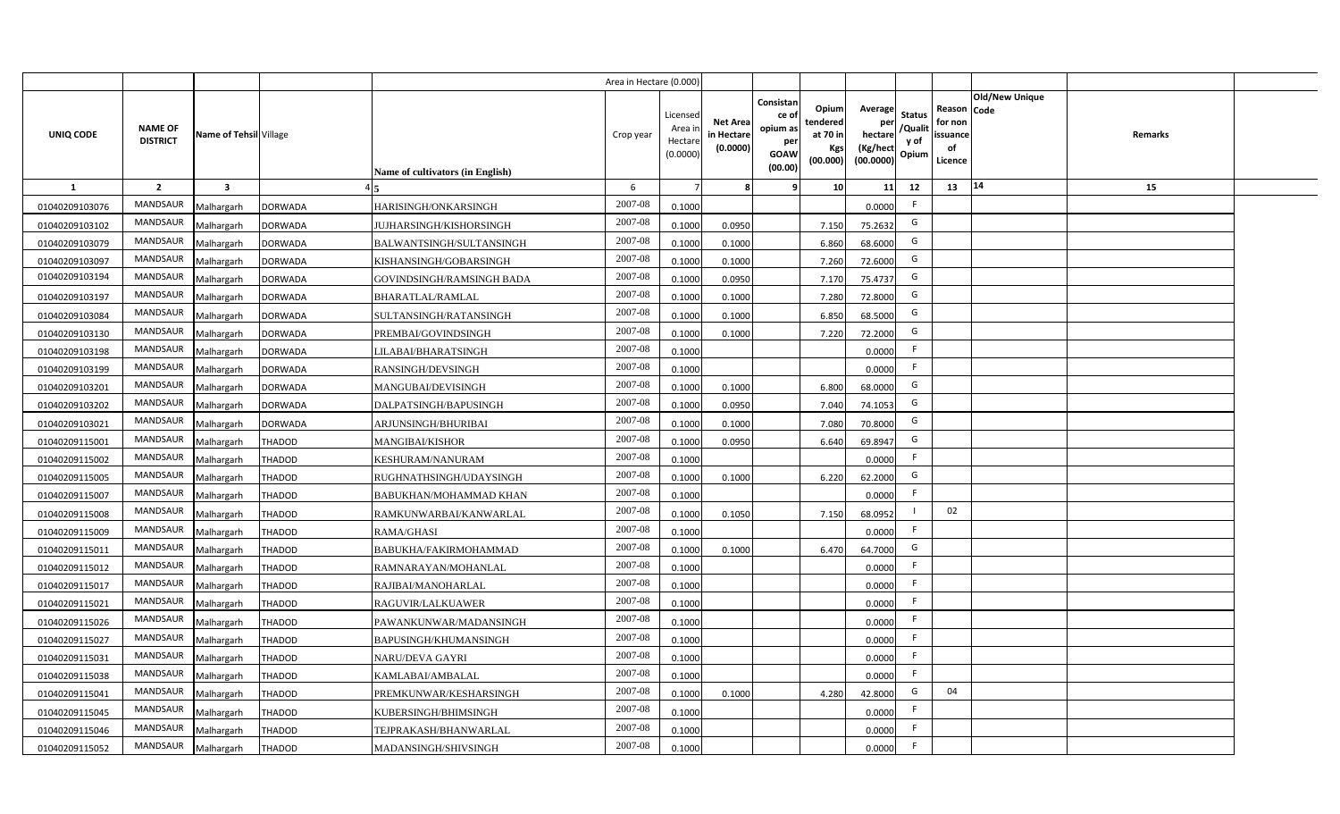|                  |                                   |                         |                |                                  | Area in Hectare (0.000 |                                          |                                           |                                                                 |                                                  |                                                    |                                           |                                                     |                |         |  |
|------------------|-----------------------------------|-------------------------|----------------|----------------------------------|------------------------|------------------------------------------|-------------------------------------------|-----------------------------------------------------------------|--------------------------------------------------|----------------------------------------------------|-------------------------------------------|-----------------------------------------------------|----------------|---------|--|
| <b>UNIQ CODE</b> | <b>NAME OF</b><br><b>DISTRICT</b> | Name of Tehsil Village  |                | Name of cultivators (in English) | Crop year              | Licensec<br>Area i<br>Hectar<br>(0.0000) | <b>Net Area</b><br>in Hectare<br>(0.0000) | Consistan<br>ce of<br>opium as<br>per<br><b>GOAW</b><br>(00.00) | Opium<br>tendered<br>at 70 in<br>Kgs<br>(00.000) | Average<br>per<br>hectare<br>(Kg/hect<br>(00.0000) | <b>Status</b><br>/Qualit<br>y of<br>Opium | Reason Code<br>for non<br>issuance<br>of<br>Licence | Old/New Unique | Remarks |  |
| 1                | $\overline{2}$                    | $\overline{\mathbf{3}}$ |                |                                  | 6                      |                                          |                                           | 9                                                               | 10 <sup>1</sup>                                  | 11                                                 | 12                                        | 13                                                  | 14             | 15      |  |
| 01040209103076   | MANDSAUR                          | Malhargarh              | <b>DORWADA</b> | HARISINGH/ONKARSINGH             | 2007-08                | 0.1000                                   |                                           |                                                                 |                                                  | 0.0000                                             | $\mathsf{F}$                              |                                                     |                |         |  |
| 01040209103102   | MANDSAUR                          | Malhargarh              | <b>DORWADA</b> | JUJHARSINGH/KISHORSINGH          | 2007-08                | 0.1000                                   | 0.0950                                    |                                                                 | 7.150                                            | 75.2632                                            | G                                         |                                                     |                |         |  |
| 01040209103079   | MANDSAUR                          | Malhargarh              | <b>DORWADA</b> | BALWANTSINGH/SULTANSINGH         | 2007-08                | 0.1000                                   | 0.1000                                    |                                                                 | 6.860                                            | 68.6000                                            | G                                         |                                                     |                |         |  |
| 01040209103097   | <b>MANDSAUR</b>                   | Malhargarh              | <b>DORWADA</b> | KISHANSINGH/GOBARSINGH           | 2007-08                | 0.100                                    | 0.1000                                    |                                                                 | 7.260                                            | 72.6000                                            | G                                         |                                                     |                |         |  |
| 01040209103194   | MANDSAUR                          | Malhargarh              | <b>DORWADA</b> | GOVINDSINGH/RAMSINGH BADA        | 2007-08                | 0.1000                                   | 0.0950                                    |                                                                 | 7.170                                            | 75.4737                                            | G                                         |                                                     |                |         |  |
| 01040209103197   | MANDSAUR                          | Malhargarh              | <b>DORWADA</b> | <b>BHARATLAL/RAMLAL</b>          | 2007-08                | 0.1000                                   | 0.1000                                    |                                                                 | 7.280                                            | 72.8000                                            | G                                         |                                                     |                |         |  |
| 01040209103084   | MANDSAUR                          | Malhargarh              | <b>DORWADA</b> | SULTANSINGH/RATANSINGH           | 2007-08                | 0.100                                    | 0.1000                                    |                                                                 | 6.850                                            | 68.5000                                            | G                                         |                                                     |                |         |  |
| 01040209103130   | MANDSAUR                          | Malhargarh              | <b>DORWADA</b> | PREMBAI/GOVINDSINGH              | 2007-08                | 0.1000                                   | 0.1000                                    |                                                                 | 7.220                                            | 72.2000                                            | G                                         |                                                     |                |         |  |
| 01040209103198   | MANDSAUR                          | Malhargarh              | <b>DORWADA</b> | LILABAI/BHARATSINGH              | 2007-08                | 0.1000                                   |                                           |                                                                 |                                                  | 0.0000                                             | -F                                        |                                                     |                |         |  |
| 01040209103199   | MANDSAUR                          | Malhargarh              | <b>DORWADA</b> | RANSINGH/DEVSINGH                | 2007-08                | 0.1000                                   |                                           |                                                                 |                                                  | 0.0000                                             | F.                                        |                                                     |                |         |  |
| 01040209103201   | MANDSAUR                          | Malhargarh              | <b>DORWADA</b> | MANGUBAI/DEVISINGH               | 2007-08                | 0.1000                                   | 0.1000                                    |                                                                 | 6.800                                            | 68.0000                                            | G                                         |                                                     |                |         |  |
| 01040209103202   | MANDSAUR                          | Malhargarh              | <b>DORWADA</b> | DALPATSINGH/BAPUSINGH            | 2007-08                | 0.1000                                   | 0.0950                                    |                                                                 | 7.040                                            | 74.1053                                            | G                                         |                                                     |                |         |  |
| 01040209103021   | <b>MANDSAUR</b>                   | Malhargarh              | <b>DORWADA</b> | ARJUNSINGH/BHURIBAI              | 2007-08                | 0.1000                                   | 0.1000                                    |                                                                 | 7.080                                            | 70.8000                                            | G                                         |                                                     |                |         |  |
| 01040209115001   | <b>MANDSAUR</b>                   | Malhargarh              | THADOD         | <b>MANGIBAI/KISHOR</b>           | 2007-08                | 0.1000                                   | 0.0950                                    |                                                                 | 6.640                                            | 69.8947                                            | G                                         |                                                     |                |         |  |
| 01040209115002   | <b>MANDSAUR</b>                   | Malhargarh              | <b>THADOD</b>  | KESHURAM/NANURAM                 | 2007-08                | 0.1000                                   |                                           |                                                                 |                                                  | 0.0000                                             | F                                         |                                                     |                |         |  |
| 01040209115005   | MANDSAUR                          | Malhargarh              | <b>THADOD</b>  | RUGHNATHSINGH/UDAYSINGH          | 2007-08                | 0.1000                                   | 0.1000                                    |                                                                 | 6.220                                            | 62.2000                                            | G                                         |                                                     |                |         |  |
| 01040209115007   | <b>MANDSAUR</b>                   | Malhargarh              | <b>THADOD</b>  | BABUKHAN/MOHAMMAD KHAN           | 2007-08                | 0.1000                                   |                                           |                                                                 |                                                  | 0.0000                                             | F                                         |                                                     |                |         |  |
| 01040209115008   | <b>MANDSAUR</b>                   | Malhargarh              | <b>THADOD</b>  | RAMKUNWARBAI/KANWARLAL           | 2007-08                | 0.1000                                   | 0.1050                                    |                                                                 | 7.150                                            | 68.0952                                            |                                           | 02                                                  |                |         |  |
| 01040209115009   | MANDSAUR                          | Malhargarh              | <b>THADOD</b>  | <b>RAMA/GHASI</b>                | 2007-08                | 0.1000                                   |                                           |                                                                 |                                                  | 0.0000                                             | F.                                        |                                                     |                |         |  |
| 01040209115011   | MANDSAUR                          | Malhargarh              | <b>THADOD</b>  | BABUKHA/FAKIRMOHAMMAD            | 2007-08                | 0.100                                    | 0.1000                                    |                                                                 | 6.470                                            | 64.7000                                            | G                                         |                                                     |                |         |  |
| 01040209115012   | MANDSAUR                          | Malhargarh              | <b>THADOD</b>  | RAMNARAYAN/MOHANLAL              | $2007 - 08$            | 0.100                                    |                                           |                                                                 |                                                  | 0.0000                                             | $\mathsf{F}$                              |                                                     |                |         |  |
| 01040209115017   | MANDSAUR                          | Malhargarh              | <b>THADOD</b>  | RAJIBAI/MANOHARLAL               | 2007-08                | 0.1000                                   |                                           |                                                                 |                                                  | 0.0000                                             | -F                                        |                                                     |                |         |  |
| 01040209115021   | MANDSAUR                          | Malhargarh              | <b>THADOD</b>  | RAGUVIR/LALKUAWER                | 2007-08                | 0.1000                                   |                                           |                                                                 |                                                  | 0.0000                                             | -F                                        |                                                     |                |         |  |
| 01040209115026   | MANDSAUR                          | Malhargarh              | <b>THADOD</b>  | PAWANKUNWAR/MADANSINGH           | 2007-08                | 0.1000                                   |                                           |                                                                 |                                                  | 0.0000                                             | $\mathsf{F}$                              |                                                     |                |         |  |
| 01040209115027   | MANDSAUR                          | Malhargarh              | <b>THADOD</b>  | BAPUSINGH/KHUMANSINGH            | 2007-08                | 0.1000                                   |                                           |                                                                 |                                                  | 0.0000                                             | F                                         |                                                     |                |         |  |
| 01040209115031   | MANDSAUR                          | Malhargarh              | <b>THADOD</b>  | <b>NARU/DEVA GAYRI</b>           | 2007-08                | 0.1000                                   |                                           |                                                                 |                                                  | 0.0000                                             | F                                         |                                                     |                |         |  |
| 01040209115038   | MANDSAUR                          | Malhargarh              | <b>THADOD</b>  | KAMLABAI/AMBALAL                 | 2007-08                | 0.1000                                   |                                           |                                                                 |                                                  | 0.0000                                             | $\mathsf{F}$                              |                                                     |                |         |  |
| 01040209115041   | MANDSAUR                          | Malhargarh              | <b>THADOD</b>  | PREMKUNWAR/KESHARSINGH           | 2007-08                | 0.1000                                   | 0.1000                                    |                                                                 | 4.280                                            | 42.8000                                            | G                                         | 04                                                  |                |         |  |
| 01040209115045   | MANDSAUR                          | Malhargarh              | <b>THADOD</b>  | KUBERSINGH/BHIMSINGH             | 2007-08                | 0.1000                                   |                                           |                                                                 |                                                  | 0.0000                                             | $\mathsf{F}$                              |                                                     |                |         |  |
| 01040209115046   | MANDSAUR                          | Malhargarh              | THADOD         | TEJPRAKASH/BHANWARLAL            | 2007-08                | 0.1000                                   |                                           |                                                                 |                                                  | 0.0000                                             | -F                                        |                                                     |                |         |  |
| 01040209115052   | MANDSAUR                          | Malhargarh              | <b>THADOD</b>  | MADANSINGH/SHIVSINGH             | 2007-08                | 0.1000                                   |                                           |                                                                 |                                                  | 0.0000                                             | -F                                        |                                                     |                |         |  |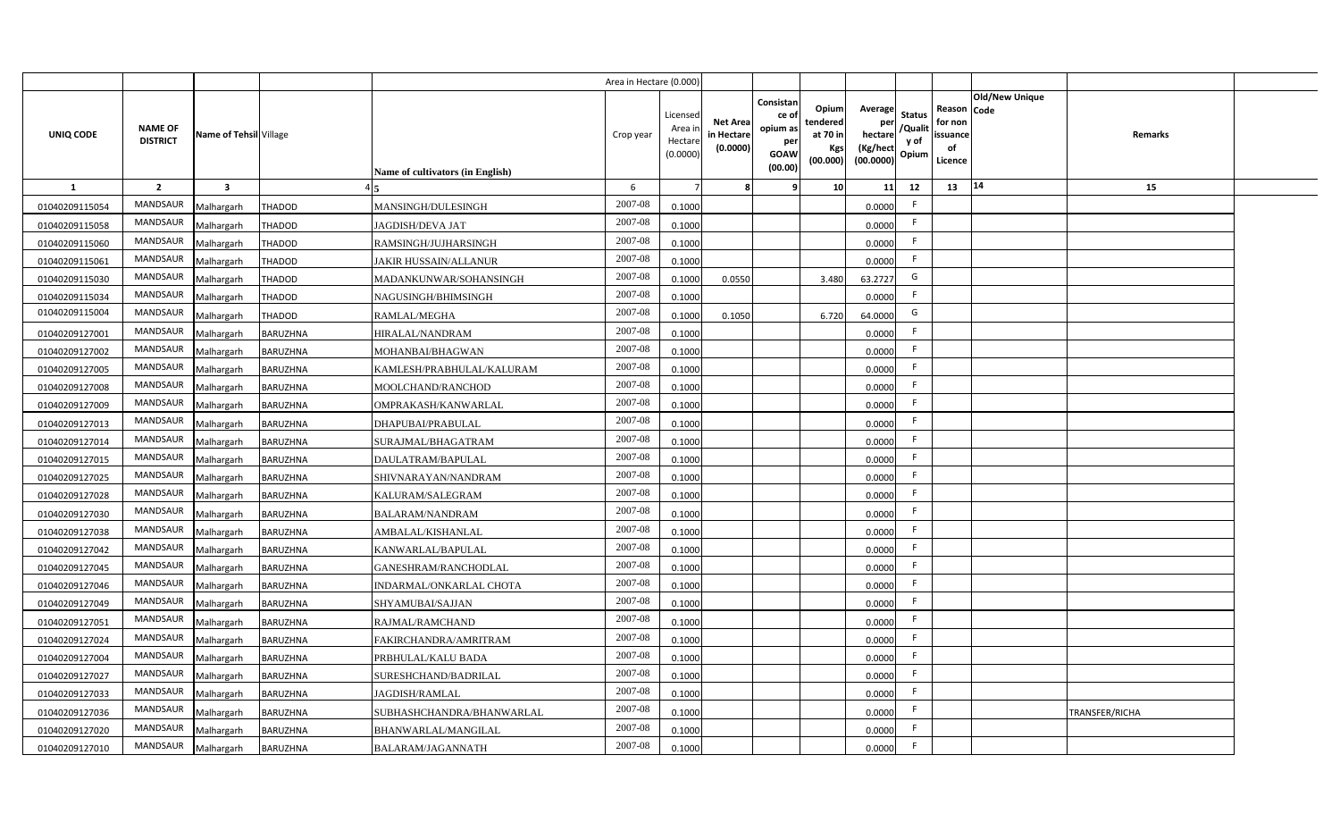|                |                                   |                         |                 |                                         | Area in Hectare (0.000 |                                          |                                          |                                                                 |                                                  |                                                    |                                           |                                                     |                       |                       |  |
|----------------|-----------------------------------|-------------------------|-----------------|-----------------------------------------|------------------------|------------------------------------------|------------------------------------------|-----------------------------------------------------------------|--------------------------------------------------|----------------------------------------------------|-------------------------------------------|-----------------------------------------------------|-----------------------|-----------------------|--|
| UNIQ CODE      | <b>NAME OF</b><br><b>DISTRICT</b> | Name of Tehsil Village  |                 | <b>Name of cultivators (in English)</b> | Crop year              | Licensed<br>Area i<br>Hectar<br>(0.0000) | <b>Net Area</b><br>in Hectar<br>(0.0000) | Consistan<br>ce of<br>opium as<br>per<br><b>GOAW</b><br>(00.00) | Opium<br>tendered<br>at 70 in<br>Kgs<br>(00.000) | Average<br>per<br>hectare<br>(Kg/hect<br>(00.0000) | <b>Status</b><br>/Qualit<br>y of<br>Opium | Reason Code<br>for non<br>issuance<br>of<br>Licence | <b>Old/New Unique</b> | Remarks               |  |
| $\mathbf{1}$   | $\overline{2}$                    | $\overline{\mathbf{3}}$ |                 |                                         | 6                      |                                          |                                          | q                                                               | 10                                               | 11                                                 | 12                                        | 13                                                  | 14                    | 15                    |  |
| 01040209115054 | MANDSAUR                          | Malhargarh              | <b>THADOD</b>   | MANSINGH/DULESINGH                      | 2007-08                | 0.1000                                   |                                          |                                                                 |                                                  | 0.0000                                             | F.                                        |                                                     |                       |                       |  |
| 01040209115058 | MANDSAUR                          | Malhargarh              | <b>THADOD</b>   | <b>JAGDISH/DEVA JAT</b>                 | 2007-08                | 0.1000                                   |                                          |                                                                 |                                                  | 0.0000                                             | F.                                        |                                                     |                       |                       |  |
| 01040209115060 | MANDSAUR                          | Malhargarh              | <b>THADOD</b>   | RAMSINGH/JUJHARSINGH                    | 2007-08                | 0.1000                                   |                                          |                                                                 |                                                  | 0.0000                                             | -F                                        |                                                     |                       |                       |  |
| 01040209115061 | MANDSAUR                          | Malhargarh              | <b>THADOD</b>   | <b>JAKIR HUSSAIN/ALLANUR</b>            | 2007-08                | 0.1000                                   |                                          |                                                                 |                                                  | 0.0000                                             | -F                                        |                                                     |                       |                       |  |
| 01040209115030 | MANDSAUR                          | Malhargarh              | <b>THADOD</b>   | MADANKUNWAR/SOHANSINGH                  | 2007-08                | 0.1000                                   | 0.0550                                   |                                                                 | 3.480                                            | 63.2727                                            | G                                         |                                                     |                       |                       |  |
| 01040209115034 | MANDSAUR                          | Malhargarh              | <b>THADOD</b>   | NAGUSINGH/BHIMSINGH                     | 2007-08                | 0.1000                                   |                                          |                                                                 |                                                  | 0.0000                                             | F                                         |                                                     |                       |                       |  |
| 01040209115004 | <b>MANDSAUR</b>                   | Malhargarh              | <b>THADOD</b>   | RAMLAL/MEGHA                            | 2007-08                | 0.1000                                   | 0.1050                                   |                                                                 | 6.720                                            | 64.0000                                            | G                                         |                                                     |                       |                       |  |
| 01040209127001 | MANDSAUR                          | Malhargarh              | <b>BARUZHNA</b> | HIRALAL/NANDRAM                         | 2007-08                | 0.1000                                   |                                          |                                                                 |                                                  | 0.0000                                             | -F                                        |                                                     |                       |                       |  |
| 01040209127002 | MANDSAUR                          | Malhargarh              | <b>BARUZHNA</b> | MOHANBAI/BHAGWAN                        | 2007-08                | 0.1000                                   |                                          |                                                                 |                                                  | 0.0000                                             | -F                                        |                                                     |                       |                       |  |
| 01040209127005 | <b>MANDSAUR</b>                   | Malhargarh              | <b>BARUZHNA</b> | KAMLESH/PRABHULAL/KALURAM               | 2007-08                | 0.1000                                   |                                          |                                                                 |                                                  | 0.0000                                             | $\mathsf{F}$                              |                                                     |                       |                       |  |
| 01040209127008 | <b>MANDSAUR</b>                   | Malhargarh              | <b>BARUZHNA</b> | MOOLCHAND/RANCHOD                       | 2007-08                | 0.1000                                   |                                          |                                                                 |                                                  | 0.0000                                             | F.                                        |                                                     |                       |                       |  |
| 01040209127009 | <b>MANDSAUR</b>                   | Malhargarh              | <b>BARUZHNA</b> | OMPRAKASH/KANWARLAL                     | 2007-08                | 0.1000                                   |                                          |                                                                 |                                                  | 0.0000                                             | F.                                        |                                                     |                       |                       |  |
| 01040209127013 | <b>MANDSAUR</b>                   | Malhargarh              | <b>BARUZHNA</b> | DHAPUBAI/PRABULAL                       | 2007-08                | 0.1000                                   |                                          |                                                                 |                                                  | 0.0000                                             | -F                                        |                                                     |                       |                       |  |
| 01040209127014 | <b>MANDSAUR</b>                   | Malhargarh              | <b>BARUZHNA</b> | SURAJMAL/BHAGATRAM                      | 2007-08                | 0.1000                                   |                                          |                                                                 |                                                  | 0.0000                                             | F.                                        |                                                     |                       |                       |  |
| 01040209127015 | MANDSAUR                          | Malhargarh              | <b>BARUZHNA</b> | DAULATRAM/BAPULAL                       | 2007-08                | 0.1000                                   |                                          |                                                                 |                                                  | 0.0000                                             | F.                                        |                                                     |                       |                       |  |
| 01040209127025 | <b>MANDSAUR</b>                   | Malhargarh              | BARUZHNA        | SHIVNARAYAN/NANDRAM                     | 2007-08                | 0.1000                                   |                                          |                                                                 |                                                  | 0.0000                                             | F.                                        |                                                     |                       |                       |  |
| 01040209127028 | <b>MANDSAUR</b>                   | Malhargarh              | <b>BARUZHNA</b> | KALURAM/SALEGRAM                        | 2007-08                | 0.1000                                   |                                          |                                                                 |                                                  | 0.0000                                             | F.                                        |                                                     |                       |                       |  |
| 01040209127030 | <b>MANDSAUR</b>                   | Malhargarh              | <b>BARUZHNA</b> | <b>BALARAM/NANDRAM</b>                  | 2007-08                | 0.1000                                   |                                          |                                                                 |                                                  | 0.0000                                             | F.                                        |                                                     |                       |                       |  |
| 01040209127038 | <b>MANDSAUR</b>                   | Malhargarh              | BARUZHNA        | AMBALAL/KISHANLAL                       | 2007-08                | 0.100                                    |                                          |                                                                 |                                                  | 0.0000                                             | F.                                        |                                                     |                       |                       |  |
| 01040209127042 | MANDSAUR                          | Malhargarh              | <b>BARUZHNA</b> | KANWARLAL/BAPULAL                       | $2007 - 08$            | 0.1000                                   |                                          |                                                                 |                                                  | 0.0000                                             | -F                                        |                                                     |                       |                       |  |
| 01040209127045 | <b>MANDSAUR</b>                   | Malhargarh              | BARUZHNA        | GANESHRAM/RANCHODLAL                    | 2007-08                | 0.1000                                   |                                          |                                                                 |                                                  | 0.0000                                             | F.                                        |                                                     |                       |                       |  |
| 01040209127046 | <b>MANDSAUR</b>                   | Malhargarh              | <b>BARUZHNA</b> | INDARMAL/ONKARLAL CHOTA                 | 2007-08                | 0.1000                                   |                                          |                                                                 |                                                  | 0.0000                                             | F.                                        |                                                     |                       |                       |  |
| 01040209127049 | <b>MANDSAUR</b>                   | Malhargarh              | <b>BARUZHNA</b> | SHYAMUBAI/SAJJAN                        | 2007-08                | 0.1000                                   |                                          |                                                                 |                                                  | 0.0000                                             | $\mathsf{F}$                              |                                                     |                       |                       |  |
| 01040209127051 | MANDSAUR                          | Malhargarh              | <b>BARUZHNA</b> | RAJMAL/RAMCHAND                         | 2007-08                | 0.1000                                   |                                          |                                                                 |                                                  | 0.0000                                             | F                                         |                                                     |                       |                       |  |
| 01040209127024 | MANDSAUR                          | Malhargarh              | <b>BARUZHNA</b> | FAKIRCHANDRA/AMRITRAM                   | 2007-08                | 0.1000                                   |                                          |                                                                 |                                                  | 0.0000                                             | -F                                        |                                                     |                       |                       |  |
| 01040209127004 | MANDSAUR                          | Malhargarh              | <b>BARUZHNA</b> | PRBHULAL/KALU BADA                      | 2007-08                | 0.1000                                   |                                          |                                                                 |                                                  | 0.0000                                             | $\mathsf{F}$                              |                                                     |                       |                       |  |
| 01040209127027 | MANDSAUR                          | Malhargarh              | <b>BARUZHNA</b> | SURESHCHAND/BADRILAL                    | 2007-08                | 0.1000                                   |                                          |                                                                 |                                                  | 0.0000                                             | F.                                        |                                                     |                       |                       |  |
| 01040209127033 | MANDSAUR                          | Malhargarh              | <b>BARUZHNA</b> | JAGDISH/RAMLAL                          | 2007-08                | 0.1000                                   |                                          |                                                                 |                                                  | 0.0000                                             | -F                                        |                                                     |                       |                       |  |
| 01040209127036 | MANDSAUR                          | Malhargarh              | <b>BARUZHNA</b> | SUBHASHCHANDRA/BHANWARLAL               | 2007-08                | 0.1000                                   |                                          |                                                                 |                                                  | 0.0000                                             | -F                                        |                                                     |                       | <b>TRANSFER/RICHA</b> |  |
| 01040209127020 | <b>MANDSAUR</b>                   | Malhargarh              | <b>BARUZHNA</b> | BHANWARLAL/MANGILAL                     | 2007-08                | 0.1000                                   |                                          |                                                                 |                                                  | 0.0000                                             | -F                                        |                                                     |                       |                       |  |
| 01040209127010 | MANDSAUR                          | Malhargarh              | <b>BARUZHNA</b> | BALARAM/JAGANNATH                       | $2007 - 08$            | 0.1000                                   |                                          |                                                                 |                                                  | 0.0000                                             | $\mathsf{F}$                              |                                                     |                       |                       |  |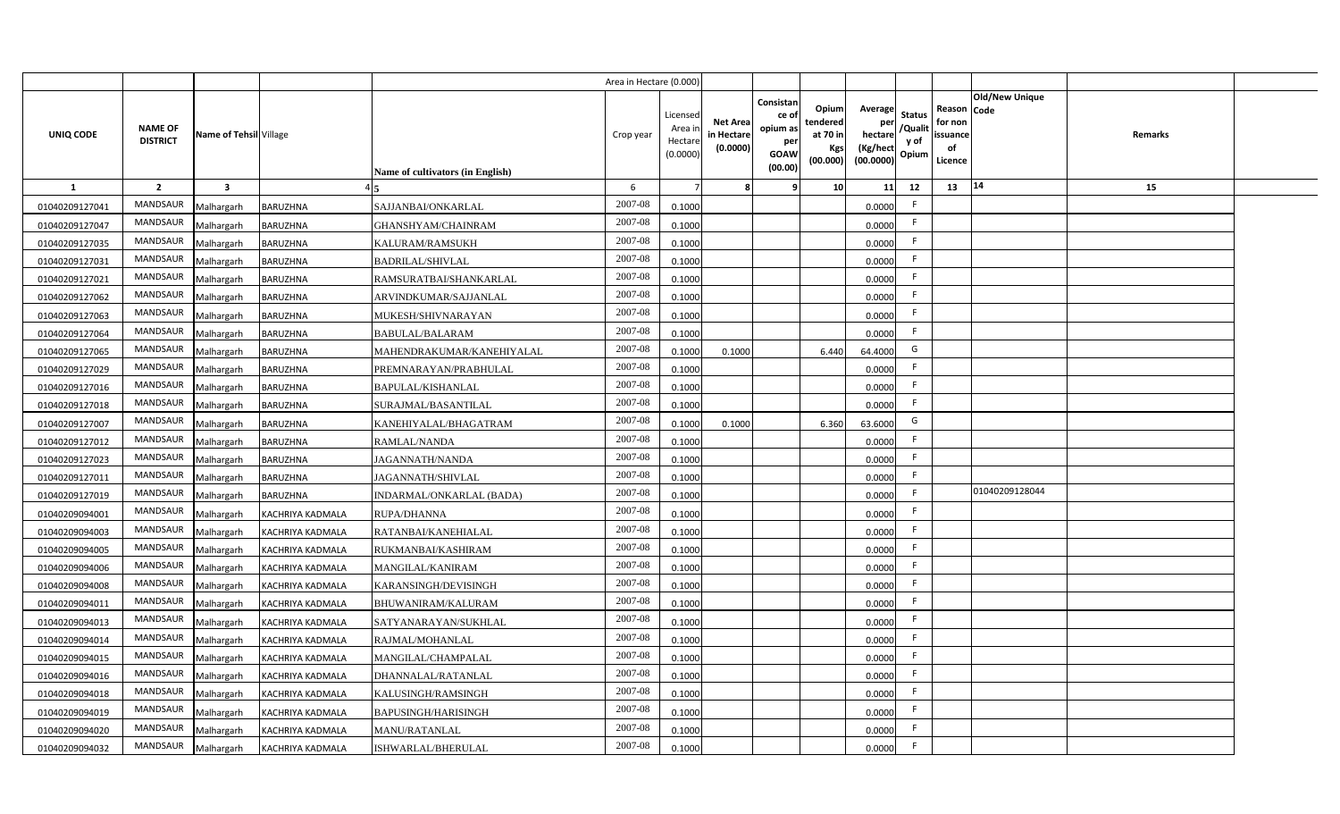|                |                                   |                         |                         |                                  | Area in Hectare (0.000 |                                          |                                          |                                                                 |                                                  |                                                    |                                           |                                                     |                |         |  |
|----------------|-----------------------------------|-------------------------|-------------------------|----------------------------------|------------------------|------------------------------------------|------------------------------------------|-----------------------------------------------------------------|--------------------------------------------------|----------------------------------------------------|-------------------------------------------|-----------------------------------------------------|----------------|---------|--|
| UNIQ CODE      | <b>NAME OF</b><br><b>DISTRICT</b> | Name of Tehsil Village  |                         | Name of cultivators (in English) | Crop year              | Licensed<br>Area i<br>Hectar<br>(0.0000) | <b>Net Area</b><br>in Hectar<br>(0.0000) | Consistan<br>ce of<br>opium as<br>per<br><b>GOAW</b><br>(00.00) | Opium<br>tendered<br>at 70 in<br>Kgs<br>(00.000) | Average<br>per<br>hectare<br>(Kg/hect<br>(00.0000) | <b>Status</b><br>/Qualit<br>y of<br>Opium | Reason Code<br>for non<br>issuance<br>of<br>Licence | Old/New Unique | Remarks |  |
| $\mathbf{1}$   | $\overline{2}$                    | $\overline{\mathbf{3}}$ |                         |                                  | 6                      |                                          |                                          | q                                                               | 10 <sup>1</sup>                                  | 11                                                 | 12                                        | 13                                                  | 14             | 15      |  |
| 01040209127041 | MANDSAUR                          | Malhargarh              | <b>BARUZHNA</b>         | SAJJANBAI/ONKARLAL               | 2007-08                | 0.1000                                   |                                          |                                                                 |                                                  | 0.0000                                             | -F                                        |                                                     |                |         |  |
| 01040209127047 | MANDSAUR                          | Malhargarh              | <b>BARUZHNA</b>         | GHANSHYAM/CHAINRAM               | 2007-08                | 0.1000                                   |                                          |                                                                 |                                                  | 0.0000                                             | -F                                        |                                                     |                |         |  |
| 01040209127035 | MANDSAUR                          | Malhargarh              | <b>BARUZHNA</b>         | KALURAM/RAMSUKH                  | 2007-08                | 0.1000                                   |                                          |                                                                 |                                                  | 0.0000                                             | -F                                        |                                                     |                |         |  |
| 01040209127031 | <b>MANDSAUR</b>                   | Malhargarh              | <b>BARUZHNA</b>         | <b>BADRILAL/SHIVLAL</b>          | 2007-08                | 0.1000                                   |                                          |                                                                 |                                                  | 0.0000                                             | -F                                        |                                                     |                |         |  |
| 01040209127021 | MANDSAUR                          | Malhargarh              | <b>BARUZHNA</b>         | RAMSURATBAI/SHANKARLAL           | 2007-08                | 0.1000                                   |                                          |                                                                 |                                                  | 0.0000                                             |                                           |                                                     |                |         |  |
| 01040209127062 | MANDSAUR                          | Malhargarh              | <b>BARUZHNA</b>         | ARVINDKUMAR/SAJJANLAL            | 2007-08                | 0.1000                                   |                                          |                                                                 |                                                  | 0.0000                                             | F.                                        |                                                     |                |         |  |
| 01040209127063 | MANDSAUR                          | Malhargarh              | BARUZHNA                | MUKESH/SHIVNARAYAN               | 2007-08                | 0.1000                                   |                                          |                                                                 |                                                  | 0.0000                                             | -F                                        |                                                     |                |         |  |
| 01040209127064 | MANDSAUR                          | Malhargarh              | <b>BARUZHNA</b>         | <b>BABULAL/BALARAM</b>           | 2007-08                | 0.1000                                   |                                          |                                                                 |                                                  | 0.0000                                             | F.                                        |                                                     |                |         |  |
| 01040209127065 | MANDSAUR                          | Malhargarh              | <b>BARUZHNA</b>         | MAHENDRAKUMAR/KANEHIYALAL        | 2007-08                | 0.1000                                   | 0.1000                                   |                                                                 | 6.440                                            | 64.4000                                            | G                                         |                                                     |                |         |  |
| 01040209127029 | MANDSAUR                          | Malhargarh              | <b>BARUZHNA</b>         | PREMNARAYAN/PRABHULAL            | 2007-08                | 0.1000                                   |                                          |                                                                 |                                                  | 0.0000                                             | F.                                        |                                                     |                |         |  |
| 01040209127016 | MANDSAUR                          | Malhargarh              | <b>BARUZHNA</b>         | BAPULAL/KISHANLAL                | 2007-08                | 0.1000                                   |                                          |                                                                 |                                                  | 0.0000                                             | -F                                        |                                                     |                |         |  |
| 01040209127018 | <b>MANDSAUR</b>                   | Malhargarh              | <b>BARUZHNA</b>         | SURAJMAL/BASANTILAL              | 2007-08                | 0.1000                                   |                                          |                                                                 |                                                  | 0.0000                                             | -F                                        |                                                     |                |         |  |
| 01040209127007 | MANDSAUR                          | Malhargarh              | <b>BARUZHNA</b>         | KANEHIYALAL/BHAGATRAM            | 2007-08                | 0.1000                                   | 0.1000                                   |                                                                 | 6.360                                            | 63.6000                                            | G                                         |                                                     |                |         |  |
| 01040209127012 | <b>MANDSAUR</b>                   | Malhargarh              | <b>BARUZHNA</b>         | RAMLAL/NANDA                     | 2007-08                | 0.1000                                   |                                          |                                                                 |                                                  | 0.0000                                             | $\mathsf{F}$                              |                                                     |                |         |  |
| 01040209127023 | <b>MANDSAUR</b>                   | Malhargarh              | BARUZHNA                | AGANNATH/NANDA                   | 2007-08                | 0.1000                                   |                                          |                                                                 |                                                  | 0.0000                                             | F.                                        |                                                     |                |         |  |
| 01040209127011 | <b>MANDSAUR</b>                   | Malhargarh              | <b>BARUZHNA</b>         | AGANNATH/SHIVLAL                 | 2007-08                | 0.1000                                   |                                          |                                                                 |                                                  | 0.0000                                             | F.                                        |                                                     |                |         |  |
| 01040209127019 | <b>MANDSAUR</b>                   | Malhargarh              | <b>BARUZHNA</b>         | INDARMAL/ONKARLAL (BADA)         | 2007-08                | 0.1000                                   |                                          |                                                                 |                                                  | 0.0000                                             | -F                                        |                                                     | 01040209128044 |         |  |
| 01040209094001 | <b>MANDSAUR</b>                   | Malhargarh              | KACHRIYA KADMALA        | RUPA/DHANNA                      | 2007-08                | 0.1000                                   |                                          |                                                                 |                                                  | 0.0000                                             | F.                                        |                                                     |                |         |  |
| 01040209094003 | <b>MANDSAUR</b>                   | Malhargarh              | KACHRIYA KADMALA        | RATANBAI/KANEHIALAL              | 2007-08                | 0.1000                                   |                                          |                                                                 |                                                  | 0.0000                                             | -F                                        |                                                     |                |         |  |
| 01040209094005 | <b>MANDSAUR</b>                   | Malhargarh              | KACHRIYA KADMALA        | RUKMANBAI/KASHIRAM               | 2007-08                | 0.100                                    |                                          |                                                                 |                                                  | 0.0000                                             | F.                                        |                                                     |                |         |  |
| 01040209094006 | MANDSAUR                          | Malhargarh              | <b>KACHRIYA KADMALA</b> | MANGILAL/KANIRAM                 | $2007 - 08$            | 0.100                                    |                                          |                                                                 |                                                  | 0.0000                                             | $\mathsf{F}$                              |                                                     |                |         |  |
| 01040209094008 | MANDSAUR                          | Malhargarh              | KACHRIYA KADMALA        | KARANSINGH/DEVISINGH             | 2007-08                | 0.1000                                   |                                          |                                                                 |                                                  | 0.0000                                             | -F                                        |                                                     |                |         |  |
| 01040209094011 | <b>MANDSAUR</b>                   | Malhargarh              | KACHRIYA KADMALA        | BHUWANIRAM/KALURAM               | 2007-08                | 0.1000                                   |                                          |                                                                 |                                                  | 0.0000                                             | -F                                        |                                                     |                |         |  |
| 01040209094013 | MANDSAUR                          | Malhargarh              | KACHRIYA KADMALA        | SATYANARAYAN/SUKHLAL             | 2007-08                | 0.1000                                   |                                          |                                                                 |                                                  | 0.0000                                             | E                                         |                                                     |                |         |  |
| 01040209094014 | MANDSAUR                          | Malhargarh              | KACHRIYA KADMALA        | RAJMAL/MOHANLAL                  | 2007-08                | 0.1000                                   |                                          |                                                                 |                                                  | 0.0000                                             | F                                         |                                                     |                |         |  |
| 01040209094015 | MANDSAUR                          | Malhargarh              | <b>KACHRIYA KADMALA</b> | MANGILAL/CHAMPALAL               | 2007-08                | 0.1000                                   |                                          |                                                                 |                                                  | 0.0000                                             | -F                                        |                                                     |                |         |  |
| 01040209094016 | MANDSAUR                          | Malhargarh              | KACHRIYA KADMALA        | DHANNALAL/RATANLAL               | 2007-08                | 0.1000                                   |                                          |                                                                 |                                                  | 0.0000                                             | E                                         |                                                     |                |         |  |
| 01040209094018 | MANDSAUR                          | Malhargarh              | KACHRIYA KADMALA        | KALUSINGH/RAMSINGH               | 2007-08                | 0.1000                                   |                                          |                                                                 |                                                  | 0.0000                                             | E                                         |                                                     |                |         |  |
| 01040209094019 | MANDSAUR                          | Malhargarh              | KACHRIYA KADMALA        | BAPUSINGH/HARISINGH              | 2007-08                | 0.1000                                   |                                          |                                                                 |                                                  | 0.0000                                             | E                                         |                                                     |                |         |  |
| 01040209094020 | MANDSAUR                          | Malhargarh              | KACHRIYA KADMALA        | MANU/RATANLAL                    | 2007-08                | 0.1000                                   |                                          |                                                                 |                                                  | 0.0000                                             | -F                                        |                                                     |                |         |  |
| 01040209094032 | MANDSAUR                          | Malhargarh              | KACHRIYA KADMALA        | ISHWARLAL/BHERULAL               | 2007-08                | 0.1000                                   |                                          |                                                                 |                                                  | 0.0000                                             | -F                                        |                                                     |                |         |  |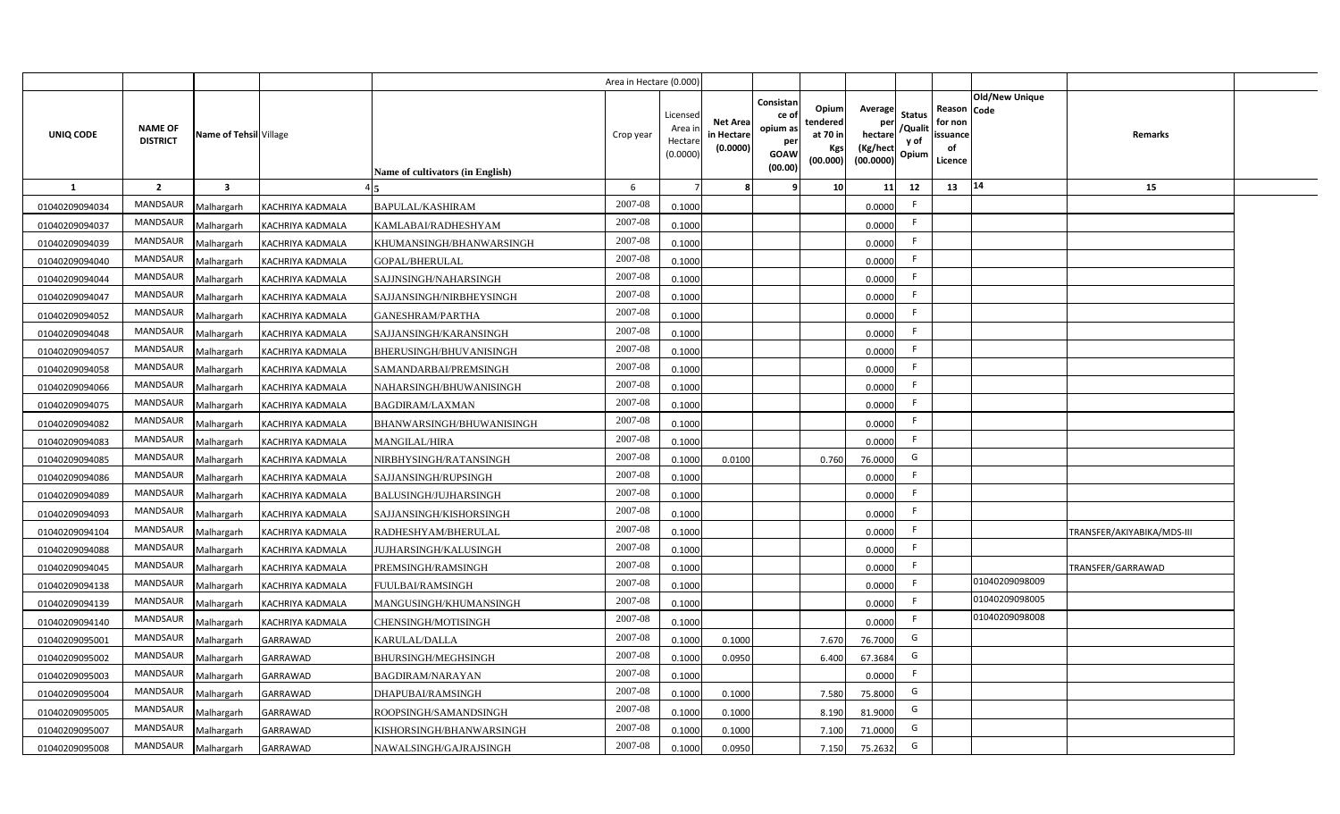|                |                                   |                         |                         |                                  | Area in Hectare (0.000 |                                          |                                           |                                                                 |                                                  |                                                    |                                           |                                                     |                       |                            |  |
|----------------|-----------------------------------|-------------------------|-------------------------|----------------------------------|------------------------|------------------------------------------|-------------------------------------------|-----------------------------------------------------------------|--------------------------------------------------|----------------------------------------------------|-------------------------------------------|-----------------------------------------------------|-----------------------|----------------------------|--|
| UNIQ CODE      | <b>NAME OF</b><br><b>DISTRICT</b> | Name of Tehsil Village  |                         | Name of cultivators (in English) | Crop year              | Licensec<br>Area i<br>Hectar<br>(0.0000) | <b>Net Area</b><br>in Hectare<br>(0.0000) | Consistan<br>ce of<br>opium as<br>per<br><b>GOAW</b><br>(00.00) | Opium<br>tendered<br>at 70 in<br>Kgs<br>(00.000) | Average<br>per<br>hectare<br>(Kg/hect<br>(00.0000) | <b>Status</b><br>/Qualit<br>y of<br>Opium | Reason Code<br>for non<br>issuance<br>of<br>Licence | <b>Old/New Unique</b> | Remarks                    |  |
| 1              | $\overline{2}$                    | $\overline{\mathbf{3}}$ |                         |                                  | 6                      |                                          |                                           | q                                                               | 10                                               | 11                                                 | 12                                        | 13                                                  | 14                    | 15                         |  |
| 01040209094034 | MANDSAUR                          | Malhargarh              | KACHRIYA KADMALA        | <b>BAPULAL/KASHIRAM</b>          | 2007-08                | 0.1000                                   |                                           |                                                                 |                                                  | 0.0000                                             | -F                                        |                                                     |                       |                            |  |
| 01040209094037 | <b>MANDSAUR</b>                   | Malhargarh              | KACHRIYA KADMALA        | KAMLABAI/RADHESHYAM              | 2007-08                | 0.1000                                   |                                           |                                                                 |                                                  | 0.0000                                             | -F                                        |                                                     |                       |                            |  |
| 01040209094039 | MANDSAUR                          | Malhargarh              | KACHRIYA KADMALA        | KHUMANSINGH/BHANWARSINGH         | 2007-08                | 0.1000                                   |                                           |                                                                 |                                                  | 0.0000                                             |                                           |                                                     |                       |                            |  |
| 01040209094040 | MANDSAUR                          | Malhargarh              | KACHRIYA KADMALA        | GOPAL/BHERULAL                   | 2007-08                | 0.1000                                   |                                           |                                                                 |                                                  | 0.0000                                             |                                           |                                                     |                       |                            |  |
| 01040209094044 | MANDSAUR                          | Malhargarh              | KACHRIYA KADMALA        | SAJJNSINGH/NAHARSINGH            | 2007-08                | 0.1000                                   |                                           |                                                                 |                                                  | 0.0000                                             | -F                                        |                                                     |                       |                            |  |
| 01040209094047 | MANDSAUR                          | Malhargarh              | KACHRIYA KADMALA        | SAJJANSINGH/NIRBHEYSINGH         | 2007-08                | 0.1000                                   |                                           |                                                                 |                                                  | 0.0000                                             | -F                                        |                                                     |                       |                            |  |
| 01040209094052 | MANDSAUR                          | Malhargarh              | <b>KACHRIYA KADMALA</b> | <b>GANESHRAM/PARTHA</b>          | 2007-08                | 0.1000                                   |                                           |                                                                 |                                                  | 0.0000                                             | F.                                        |                                                     |                       |                            |  |
| 01040209094048 | MANDSAUR                          | Malhargarh              | <b>KACHRIYA KADMALA</b> | SAJJANSINGH/KARANSINGH           | 2007-08                | 0.1000                                   |                                           |                                                                 |                                                  | 0.0000                                             | -F                                        |                                                     |                       |                            |  |
| 01040209094057 | <b>MANDSAUR</b>                   | Malhargarh              | <b>KACHRIYA KADMALA</b> | BHERUSINGH/BHUVANISINGH          | 2007-08                | 0.1000                                   |                                           |                                                                 |                                                  | 0.0000                                             | F.                                        |                                                     |                       |                            |  |
| 01040209094058 | MANDSAUR                          | Malhargarh              | <b>KACHRIYA KADMALA</b> | SAMANDARBAI/PREMSINGH            | 2007-08                | 0.1000                                   |                                           |                                                                 |                                                  | 0.0000                                             | E                                         |                                                     |                       |                            |  |
| 01040209094066 | <b>MANDSAUR</b>                   | Malhargarh              | <b>KACHRIYA KADMALA</b> | NAHARSINGH/BHUWANISINGH          | 2007-08                | 0.1000                                   |                                           |                                                                 |                                                  | 0.0000                                             | -F                                        |                                                     |                       |                            |  |
| 01040209094075 | <b>MANDSAUR</b>                   | Malhargarh              | <b>KACHRIYA KADMALA</b> | <b>BAGDIRAM/LAXMAN</b>           | 2007-08                | 0.1000                                   |                                           |                                                                 |                                                  | 0.0000                                             | -F                                        |                                                     |                       |                            |  |
| 01040209094082 | <b>MANDSAUR</b>                   | Malhargarh              | <b>KACHRIYA KADMALA</b> | BHANWARSINGH/BHUWANISINGH        | 2007-08                | 0.1000                                   |                                           |                                                                 |                                                  | 0.0000                                             | E                                         |                                                     |                       |                            |  |
| 01040209094083 | <b>MANDSAUR</b>                   | Malhargarh              | <b>KACHRIYA KADMALA</b> | <b>MANGILAL/HIRA</b>             | 2007-08                | 0.1000                                   |                                           |                                                                 |                                                  | 0.0000                                             | -F                                        |                                                     |                       |                            |  |
| 01040209094085 | <b>MANDSAUR</b>                   | Malhargarh              | KACHRIYA KADMALA        | NIRBHYSINGH/RATANSINGH           | 2007-08                | 0.1000                                   | 0.0100                                    |                                                                 | 0.760                                            | 76.0000                                            | G                                         |                                                     |                       |                            |  |
| 01040209094086 | <b>MANDSAUR</b>                   | Malhargarh              | <b>KACHRIYA KADMALA</b> | SAJJANSINGH/RUPSINGH             | 2007-08                | 0.1000                                   |                                           |                                                                 |                                                  | 0.0000                                             | F.                                        |                                                     |                       |                            |  |
| 01040209094089 | MANDSAUR                          | Malhargarh              | KACHRIYA KADMALA        | BALUSINGH/JUJHARSINGH            | 2007-08                | 0.1000                                   |                                           |                                                                 |                                                  | 0.0000                                             | E                                         |                                                     |                       |                            |  |
| 01040209094093 | <b>MANDSAUR</b>                   | Malhargarh              | KACHRIYA KADMALA        | SAJJANSINGH/KISHORSINGH          | 2007-08                | 0.100                                    |                                           |                                                                 |                                                  | 0.0000                                             |                                           |                                                     |                       |                            |  |
| 01040209094104 | <b>MANDSAUR</b>                   | Malhargarh              | KACHRIYA KADMALA        | RADHESHYAM/BHERULAL              | 2007-08                | 0.1000                                   |                                           |                                                                 |                                                  | 0.0000                                             | F.                                        |                                                     |                       | TRANSFER/AKIYABIKA/MDS-III |  |
| 01040209094088 | <b>MANDSAUR</b>                   | Malhargarh              | KACHRIYA KADMALA        | UJHARSINGH/KALUSINGH             | $2007 - 08$            | 0.100                                    |                                           |                                                                 |                                                  | 0.0000                                             | -F                                        |                                                     |                       |                            |  |
| 01040209094045 | <b>MANDSAUR</b>                   | Malhargarh              | KACHRIYA KADMALA        | PREMSINGH/RAMSINGH               | 2007-08                | 0.100                                    |                                           |                                                                 |                                                  | 0.0000                                             | E                                         |                                                     |                       | TRANSFER/GARRAWAD          |  |
| 01040209094138 | MANDSAUR                          | Malhargarh              | KACHRIYA KADMALA        | FUULBAI/RAMSINGH                 | 2007-08                | 0.1000                                   |                                           |                                                                 |                                                  | 0.0000                                             | E                                         |                                                     | 01040209098009        |                            |  |
| 01040209094139 | <b>MANDSAUR</b>                   | Malhargarh              | KACHRIYA KADMALA        | MANGUSINGH/KHUMANSINGH           | 2007-08                | 0.1000                                   |                                           |                                                                 |                                                  | 0.0000                                             | F.                                        |                                                     | 01040209098005        |                            |  |
| 01040209094140 | MANDSAUR                          | Malhargarh              | KACHRIYA KADMALA        | CHENSINGH/MOTISINGH              | 2007-08                | 0.1000                                   |                                           |                                                                 |                                                  | 0.0000                                             | F                                         |                                                     | 01040209098008        |                            |  |
| 01040209095001 | MANDSAUR                          | Malhargarh              | GARRAWAD                | KARULAL/DALLA                    | 2007-08                | 0.1000                                   | 0.1000                                    |                                                                 | 7.670                                            | 76.7000                                            | G                                         |                                                     |                       |                            |  |
| 01040209095002 | MANDSAUR                          | Malhargarh              | GARRAWAD                | BHURSINGH/MEGHSINGH              | 2007-08                | 0.1000                                   | 0.095                                     |                                                                 | 6.400                                            | 67.3684                                            | G                                         |                                                     |                       |                            |  |
| 01040209095003 | MANDSAUR                          | Malhargarh              | GARRAWAD                | <b>BAGDIRAM/NARAYAN</b>          | 2007-08                | 0.1000                                   |                                           |                                                                 |                                                  | 0.0000                                             | E                                         |                                                     |                       |                            |  |
| 01040209095004 | MANDSAUR                          | Malhargarh              | GARRAWAD                | DHAPUBAI/RAMSINGH                | 2007-08                | 0.1000                                   | 0.1000                                    |                                                                 | 7.580                                            | 75.8000                                            | G                                         |                                                     |                       |                            |  |
| 01040209095005 | MANDSAUR                          | Malhargarh              | GARRAWAD                | ROOPSINGH/SAMANDSINGH            | 2007-08                | 0.1000                                   | 0.1000                                    |                                                                 | 8.190                                            | 81.9000                                            | G                                         |                                                     |                       |                            |  |
| 01040209095007 | MANDSAUR                          | Malhargarh              | <b>GARRAWAD</b>         | KISHORSINGH/BHANWARSINGH         | 2007-08                | 0.1000                                   | 0.1000                                    |                                                                 | 7.100                                            | 71.0000                                            | G                                         |                                                     |                       |                            |  |
| 01040209095008 | MANDSAUR                          | Malhargarh              | GARRAWAD                | NAWALSINGH/GAJRAJSINGH           | 2007-08                | 0.1000                                   | 0.0950                                    |                                                                 | 7.150                                            | 75.2632                                            | G                                         |                                                     |                       |                            |  |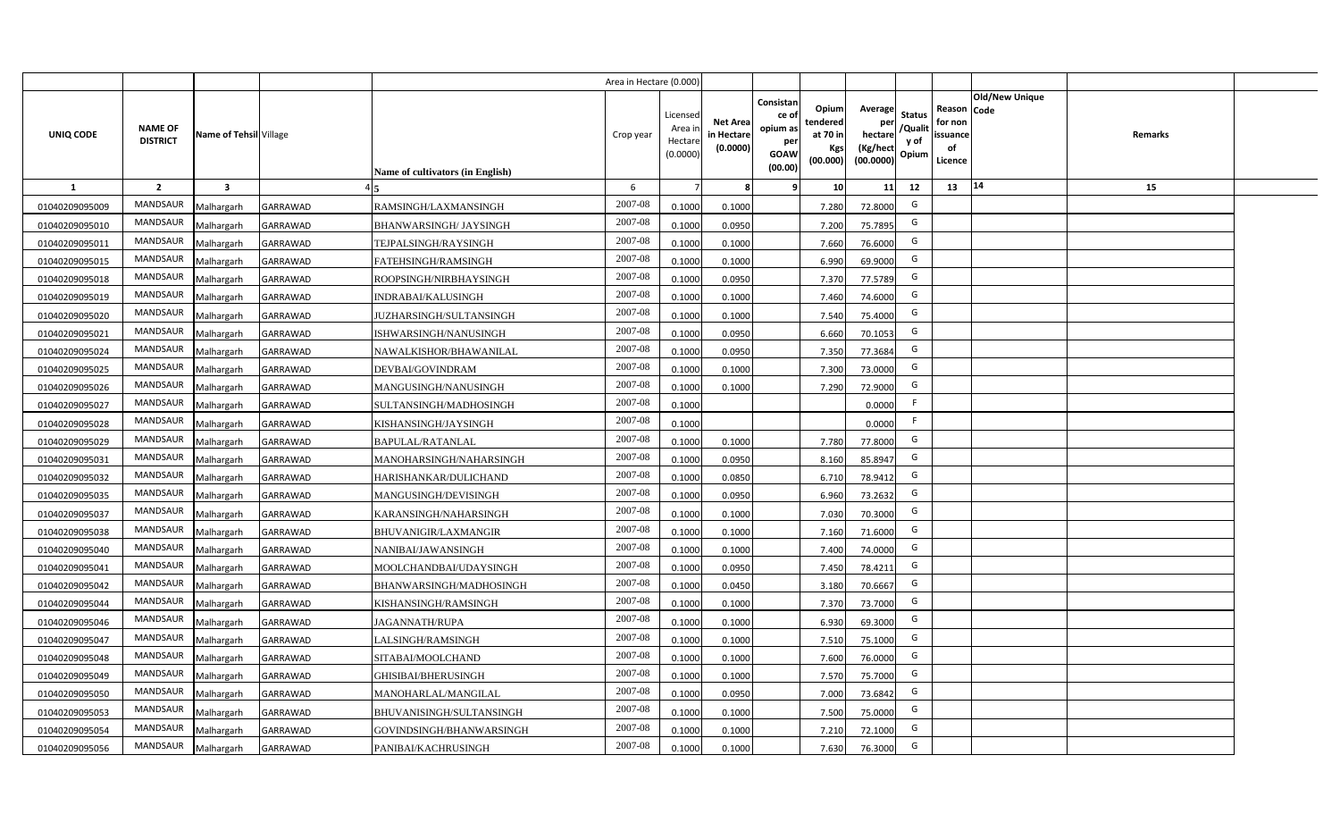|                |                                   |                         |                 |                                  | Area in Hectare (0.000) |                                          |                                           |                                                         |                                                  |                                                    |                                           |                                                                              |         |  |
|----------------|-----------------------------------|-------------------------|-----------------|----------------------------------|-------------------------|------------------------------------------|-------------------------------------------|---------------------------------------------------------|--------------------------------------------------|----------------------------------------------------|-------------------------------------------|------------------------------------------------------------------------------|---------|--|
| UNIQ CODE      | <b>NAME OF</b><br><b>DISTRICT</b> | Name of Tehsil Village  |                 | Name of cultivators (in English) | Crop year               | Licensec<br>Area i<br>Hectar<br>(0.0000) | <b>Net Area</b><br>in Hectare<br>(0.0000) | Consistan<br>ce o<br>opium as<br>per<br>GOAW<br>(00.00) | Opium<br>tendered<br>at 70 in<br>Kgs<br>(00.000) | Average<br>per<br>hectare<br>(Kg/hect<br>(00.0000) | <b>Status</b><br>/Qualit<br>y of<br>Opium | <b>Old/New Unique</b><br>Reason Code<br>for non<br>issuance<br>of<br>Licence | Remarks |  |
| $\mathbf{1}$   | $\overline{2}$                    | $\overline{\mathbf{3}}$ |                 |                                  | 6                       |                                          |                                           |                                                         | 10                                               | 11                                                 | 12                                        | 14<br>13                                                                     | 15      |  |
| 01040209095009 | MANDSAUR                          | Malhargarh              | <b>GARRAWAD</b> | RAMSINGH/LAXMANSINGH             | 2007-08                 | 0.1000                                   | 0.1000                                    |                                                         | 7.280                                            | 72.8000                                            | G                                         |                                                                              |         |  |
| 01040209095010 | MANDSAUR                          | Malhargarh              | GARRAWAD        | <b>BHANWARSINGH/ JAYSINGH</b>    | 2007-08                 | 0.1000                                   | 0.0950                                    |                                                         | 7.200                                            | 75.7895                                            | G                                         |                                                                              |         |  |
| 01040209095011 | MANDSAUR                          | Malhargarh              | GARRAWAD        | TEJPALSINGH/RAYSINGH             | 2007-08                 | 0.1000                                   | 0.1000                                    |                                                         | 7.660                                            | 76.6000                                            | G                                         |                                                                              |         |  |
| 01040209095015 | <b>MANDSAUR</b>                   | Malhargarh              | GARRAWAD        | FATEHSINGH/RAMSINGH              | 2007-08                 | 0.100                                    | 0.1000                                    |                                                         | 6.990                                            | 69.9000                                            | G                                         |                                                                              |         |  |
| 01040209095018 | MANDSAUR                          | Malhargarh              | GARRAWAD        | ROOPSINGH/NIRBHAYSINGH           | 2007-08                 | 0.100                                    | 0.0950                                    |                                                         | 7.370                                            | 77.5789                                            | G                                         |                                                                              |         |  |
| 01040209095019 | MANDSAUR                          | Malhargarh              | GARRAWAD        | INDRABAI/KALUSINGH               | 2007-08                 | 0.1000                                   | 0.1000                                    |                                                         | 7.460                                            | 74.6000                                            | G                                         |                                                                              |         |  |
| 01040209095020 | MANDSAUR                          | Malhargarh              | GARRAWAD        | JUZHARSINGH/SULTANSINGH          | 2007-08                 | 0.1000                                   | 0.1000                                    |                                                         | 7.540                                            | 75.4000                                            | G                                         |                                                                              |         |  |
| 01040209095021 | <b>MANDSAUR</b>                   | Malhargarh              | GARRAWAD        | ISHWARSINGH/NANUSINGH            | 2007-08                 | 0.1000                                   | 0.0950                                    |                                                         | 6.660                                            | 70.1053                                            | G                                         |                                                                              |         |  |
| 01040209095024 | MANDSAUR                          | Malhargarh              | GARRAWAD        | NAWALKISHOR/BHAWANILAL           | 2007-08                 | 0.100                                    | 0.0950                                    |                                                         | 7.350                                            | 77.3684                                            | G                                         |                                                                              |         |  |
| 01040209095025 | <b>MANDSAUR</b>                   | Malhargarh              | GARRAWAD        | DEVBAI/GOVINDRAM                 | 2007-08                 | 0.1000                                   | 0.1000                                    |                                                         | 7.300                                            | 73.0000                                            | G                                         |                                                                              |         |  |
| 01040209095026 | MANDSAUR                          | Malhargarh              | GARRAWAD        | MANGUSINGH/NANUSINGH             | 2007-08                 | 0.1000                                   | 0.1000                                    |                                                         | 7.290                                            | 72.9000                                            | G                                         |                                                                              |         |  |
| 01040209095027 | MANDSAUR                          | Malhargarh              | GARRAWAD        | SULTANSINGH/MADHOSINGH           | 2007-08                 | 0.1000                                   |                                           |                                                         |                                                  | 0.0000                                             | -F                                        |                                                                              |         |  |
| 01040209095028 | MANDSAUR                          | Malhargarh              | GARRAWAD        | KISHANSINGH/JAYSINGH             | 2007-08                 | 0.1000                                   |                                           |                                                         |                                                  | 0.0000                                             | F.                                        |                                                                              |         |  |
| 01040209095029 | MANDSAUR                          | Malhargarh              | GARRAWAD        | BAPULAL/RATANLAL                 | 2007-08                 | 0.1000                                   | 0.1000                                    |                                                         | 7.780                                            | 77.8000                                            | G                                         |                                                                              |         |  |
| 01040209095031 | MANDSAUR                          | Malhargarh              | GARRAWAD        | MANOHARSINGH/NAHARSINGH          | 2007-08                 | 0.1000                                   | 0.0950                                    |                                                         | 8.160                                            | 85.8947                                            | G                                         |                                                                              |         |  |
| 01040209095032 | MANDSAUR                          | Malhargarh              | GARRAWAD        | HARISHANKAR/DULICHAND            | 2007-08                 | 0.1000                                   | 0.0850                                    |                                                         | 6.710                                            | 78.9412                                            | G                                         |                                                                              |         |  |
| 01040209095035 | MANDSAUR                          | Malhargarh              | GARRAWAD        | MANGUSINGH/DEVISINGH             | 2007-08                 | 0.100                                    | 0.0950                                    |                                                         | 6.960                                            | 73.2632                                            | G                                         |                                                                              |         |  |
| 01040209095037 | MANDSAUR                          | Malhargarh              | GARRAWAD        | KARANSINGH/NAHARSINGH            | 2007-08                 | 0.100                                    | 0.1000                                    |                                                         | 7.030                                            | 70.3000                                            | G                                         |                                                                              |         |  |
| 01040209095038 | MANDSAUR                          | Malhargarh              | GARRAWAD        | BHUVANIGIR/LAXMANGIR             | 2007-08                 | 0.1000                                   | 0.1000                                    |                                                         | 7.160                                            | 71.6000                                            | G                                         |                                                                              |         |  |
| 01040209095040 | MANDSAUR                          | Malhargarh              | GARRAWAD        | NANIBAI/JAWANSINGH               | 2007-08                 | 0.100                                    | 0.1000                                    |                                                         | 7.400                                            | 74.0000                                            | G                                         |                                                                              |         |  |
| 01040209095041 | MANDSAUR                          | Malhargarh              | GARRAWAD        | MOOLCHANDBAI/UDAYSINGH           | $2007 - 08$             | 0.100                                    | 0.0950                                    |                                                         | 7.450                                            | 78.4211                                            | G                                         |                                                                              |         |  |
| 01040209095042 | <b>MANDSAUR</b>                   | Malhargarh              | GARRAWAD        | BHANWARSINGH/MADHOSINGH          | 2007-08                 | 0.100                                    | 0.0450                                    |                                                         | 3.180                                            | 70.6667                                            | G                                         |                                                                              |         |  |
| 01040209095044 | <b>MANDSAUR</b>                   | Malhargarh              | GARRAWAD        | KISHANSINGH/RAMSINGH             | 2007-08                 | 0.1000                                   | 0.1000                                    |                                                         | 7.370                                            | 73.7000                                            | G                                         |                                                                              |         |  |
| 01040209095046 | MANDSAUR                          | Malhargarh              | GARRAWAD        | <b>IAGANNATH/RUPA</b>            | 2007-08                 | 0.1000                                   | 0.1000                                    |                                                         | 6.930                                            | 69.3000                                            | G                                         |                                                                              |         |  |
| 01040209095047 | MANDSAUR                          | Malhargarh              | GARRAWAD        | ALSINGH/RAMSINGH                 | 2007-08                 | 0.1000                                   | 0.1000                                    |                                                         | 7.510                                            | 75.1000                                            | G                                         |                                                                              |         |  |
| 01040209095048 | <b>MANDSAUR</b>                   | Malhargarh              | GARRAWAD        | SITABAI/MOOLCHAND                | 2007-08                 | 0.1000                                   | 0.1000                                    |                                                         | 7.600                                            | 76.0000                                            | G                                         |                                                                              |         |  |
| 01040209095049 | MANDSAUR                          | Malhargarh              | GARRAWAD        | GHISIBAI/BHERUSINGH              | 2007-08                 | 0.1000                                   | 0.1000                                    |                                                         | 7.570                                            | 75.7000                                            | G                                         |                                                                              |         |  |
| 01040209095050 | MANDSAUR                          | Malhargarh              | GARRAWAD        | MANOHARLAL/MANGILAL              | 2007-08                 | 0.1000                                   | 0.0950                                    |                                                         | 7.000                                            | 73.6842                                            | G                                         |                                                                              |         |  |
| 01040209095053 | MANDSAUR                          | Malhargarh              | GARRAWAD        | BHUVANISINGH/SULTANSINGH         | 2007-08                 | 0.1000                                   | 0.1000                                    |                                                         | 7.500                                            | 75.0000                                            | G                                         |                                                                              |         |  |
| 01040209095054 | MANDSAUR                          | Malhargarh              | GARRAWAD        | GOVINDSINGH/BHANWARSINGH         | 2007-08                 | 0.1000                                   | 0.1000                                    |                                                         | 7.210                                            | 72.1000                                            | G                                         |                                                                              |         |  |
| 01040209095056 | MANDSAUR                          | Malhargarh              | GARRAWAD        | PANIBAI/KACHRUSINGH              | 2007-08                 | 0.1000                                   | 0.1000                                    |                                                         | 7.630                                            | 76.3000                                            | G                                         |                                                                              |         |  |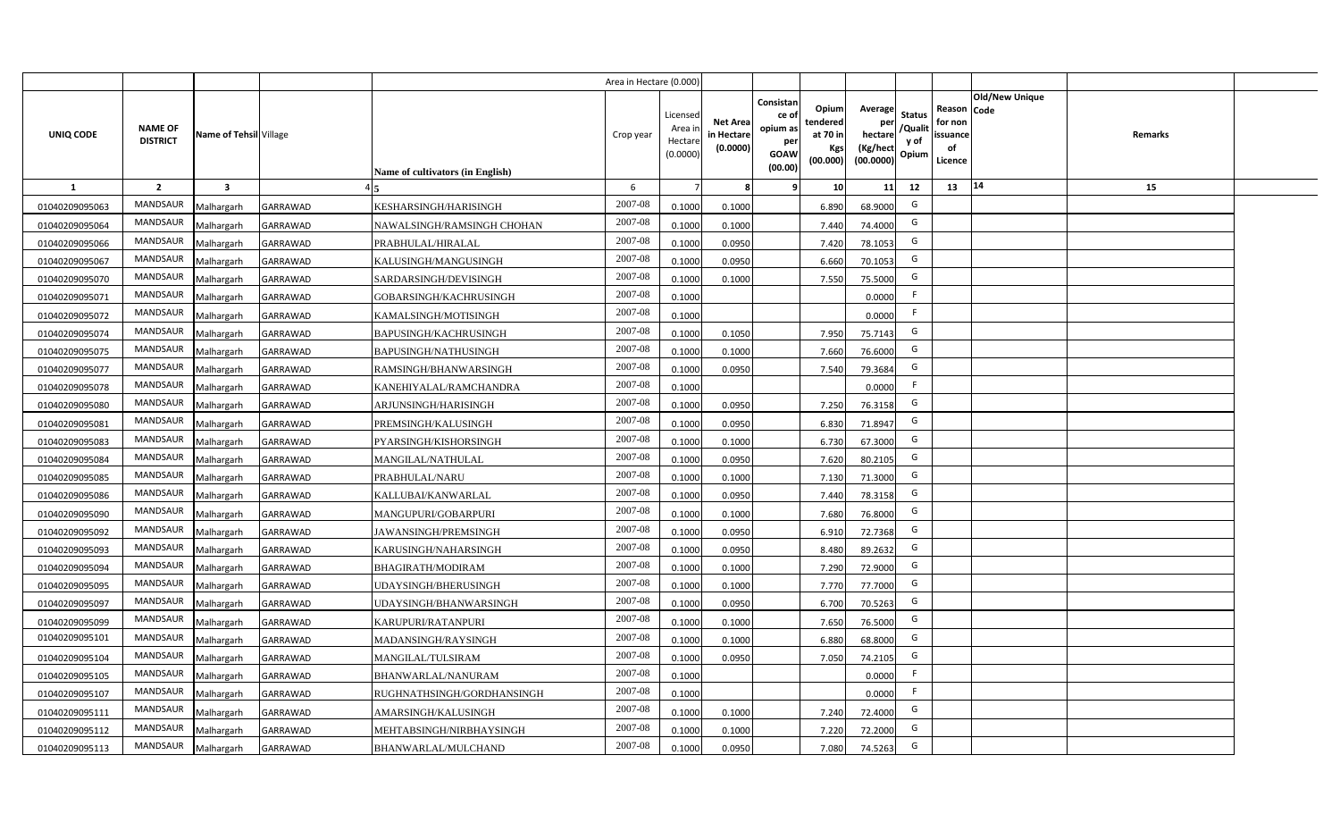|                  |                                   |                         |                 |                                  | Area in Hectare (0.000 |                                          |                                           |                                                                 |                                                  |                                                    |                                           |                                                     |                       |         |  |
|------------------|-----------------------------------|-------------------------|-----------------|----------------------------------|------------------------|------------------------------------------|-------------------------------------------|-----------------------------------------------------------------|--------------------------------------------------|----------------------------------------------------|-------------------------------------------|-----------------------------------------------------|-----------------------|---------|--|
| <b>UNIQ CODE</b> | <b>NAME OF</b><br><b>DISTRICT</b> | Name of Tehsil Village  |                 | Name of cultivators (in English) | Crop year              | Licensec<br>Area i<br>Hectar<br>(0.0000) | <b>Net Area</b><br>in Hectare<br>(0.0000) | Consistan<br>ce of<br>opium as<br>per<br><b>GOAW</b><br>(00.00) | Opium<br>tendered<br>at 70 in<br>Kgs<br>(00.000) | Average<br>per<br>hectare<br>(Kg/hect<br>(00.0000) | <b>Status</b><br>/Qualit<br>y of<br>Opium | Reason Code<br>for non<br>issuance<br>of<br>Licence | <b>Old/New Unique</b> | Remarks |  |
| $\mathbf{1}$     | $\overline{2}$                    | $\overline{\mathbf{3}}$ |                 |                                  | 6                      |                                          |                                           | q                                                               | 10                                               | 11                                                 | 12                                        | 13                                                  | 14                    | 15      |  |
| 01040209095063   | MANDSAUR                          | Malhargarh              | GARRAWAD        | KESHARSINGH/HARISINGH            | 2007-08                | 0.1000                                   | 0.1000                                    |                                                                 | 6.890                                            | 68.9000                                            | G                                         |                                                     |                       |         |  |
| 01040209095064   | <b>MANDSAUR</b>                   | Malhargarh              | GARRAWAD        | NAWALSINGH/RAMSINGH CHOHAN       | 2007-08                | 0.100                                    | 0.1000                                    |                                                                 | 7.440                                            | 74.4000                                            | G                                         |                                                     |                       |         |  |
| 01040209095066   | MANDSAUR                          | Malhargarh              | GARRAWAD        | PRABHULAL/HIRALAL                | 2007-08                | 0.100                                    | 0.0950                                    |                                                                 | 7.420                                            | 78.1053                                            | G                                         |                                                     |                       |         |  |
| 01040209095067   | MANDSAUR                          | Malhargarh              | GARRAWAD        | KALUSINGH/MANGUSINGH             | 2007-08                | 0.100                                    | 0.0950                                    |                                                                 | 6.660                                            | 70.1053                                            | G                                         |                                                     |                       |         |  |
| 01040209095070   | MANDSAUR                          | Malhargarh              | GARRAWAD        | SARDARSINGH/DEVISINGH            | 2007-08                | 0.1000                                   | 0.1000                                    |                                                                 | 7.550                                            | 75.5000                                            | G                                         |                                                     |                       |         |  |
| 01040209095071   | MANDSAUR                          | Malhargarh              | GARRAWAD        | GOBARSINGH/KACHRUSINGH           | 2007-08                | 0.1000                                   |                                           |                                                                 |                                                  | 0.0000                                             | -F                                        |                                                     |                       |         |  |
| 01040209095072   | MANDSAUR                          | Malhargarh              | GARRAWAD        | KAMALSINGH/MOTISINGH             | 2007-08                | 0.1000                                   |                                           |                                                                 |                                                  | 0.0000                                             | F.                                        |                                                     |                       |         |  |
| 01040209095074   | MANDSAUR                          | Malhargarh              | GARRAWAD        | BAPUSINGH/KACHRUSINGH            | 2007-08                | 0.1000                                   | 0.1050                                    |                                                                 | 7.950                                            | 75.7143                                            | G                                         |                                                     |                       |         |  |
| 01040209095075   | <b>MANDSAUR</b>                   | Malhargarh              | GARRAWAD        | BAPUSINGH/NATHUSINGH             | 2007-08                | 0.100                                    | 0.1000                                    |                                                                 | 7.660                                            | 76.6000                                            | G                                         |                                                     |                       |         |  |
| 01040209095077   | MANDSAUR                          | Malhargarh              | GARRAWAD        | RAMSINGH/BHANWARSINGH            | 2007-08                | 0.1000                                   | 0.0950                                    |                                                                 | 7.540                                            | 79.3684                                            | G                                         |                                                     |                       |         |  |
| 01040209095078   | <b>MANDSAUR</b>                   | Malhargarh              | GARRAWAD        | KANEHIYALAL/RAMCHANDRA           | 2007-08                | 0.1000                                   |                                           |                                                                 |                                                  | 0.0000                                             | -F                                        |                                                     |                       |         |  |
| 01040209095080   | <b>MANDSAUR</b>                   | Malhargarh              | GARRAWAD        | ARJUNSINGH/HARISINGH             | 2007-08                | 0.1000                                   | 0.0950                                    |                                                                 | 7.250                                            | 76.3158                                            | G                                         |                                                     |                       |         |  |
| 01040209095081   | <b>MANDSAUR</b>                   | Malhargarh              | GARRAWAD        | PREMSINGH/KALUSINGH              | 2007-08                | 0.1000                                   | 0.0950                                    |                                                                 | 6.830                                            | 71.8947                                            | G                                         |                                                     |                       |         |  |
| 01040209095083   | <b>MANDSAUR</b>                   | Malhargarh              | GARRAWAD        | PYARSINGH/KISHORSINGH            | 2007-08                | 0.1000                                   | 0.1000                                    |                                                                 | 6.730                                            | 67.3000                                            | G                                         |                                                     |                       |         |  |
| 01040209095084   | <b>MANDSAUR</b>                   | Malhargarh              | GARRAWAD        | MANGILAL/NATHULAL                | 2007-08                | 0.1000                                   | 0.0950                                    |                                                                 | 7.620                                            | 80.2105                                            | G                                         |                                                     |                       |         |  |
| 01040209095085   | <b>MANDSAUR</b>                   | Malhargarh              | GARRAWAD        | PRABHULAL/NARU                   | 2007-08                | 0.1000                                   | 0.1000                                    |                                                                 | 7.130                                            | 71.3000                                            | G                                         |                                                     |                       |         |  |
| 01040209095086   | MANDSAUR                          | Malhargarh              | GARRAWAD        | KALLUBAI/KANWARLAL               | 2007-08                | 0.100                                    | 0.0950                                    |                                                                 | 7.440                                            | 78.3158                                            | G                                         |                                                     |                       |         |  |
| 01040209095090   | <b>MANDSAUR</b>                   | Malhargarh              | GARRAWAD        | MANGUPURI/GOBARPURI              | 2007-08                | 0.100                                    | 0.1000                                    |                                                                 | 7.680                                            | 76.8000                                            | G                                         |                                                     |                       |         |  |
| 01040209095092   | <b>MANDSAUR</b>                   | Malhargarh              | GARRAWAD        | <b>JAWANSINGH/PREMSINGH</b>      | 2007-08                | 0.1000                                   | 0.0950                                    |                                                                 | 6.910                                            | 72.7368                                            | G                                         |                                                     |                       |         |  |
| 01040209095093   | <b>MANDSAUR</b>                   | Malhargarh              | GARRAWAD        | KARUSINGH/NAHARSINGH             | $2007 - 08$            | 0.100                                    | 0.0950                                    |                                                                 | 8.480                                            | 89.2632                                            | G                                         |                                                     |                       |         |  |
| 01040209095094   | <b>MANDSAUR</b>                   | Malhargarh              | GARRAWAD        | BHAGIRATH/MODIRAM                | 2007-08                | 0.100                                    | 0.1000                                    |                                                                 | 7.290                                            | 72.9000                                            | G                                         |                                                     |                       |         |  |
| 01040209095095   | <b>MANDSAUR</b>                   | Malhargarh              | GARRAWAD        | JDAYSINGH/BHERUSINGH             | 2007-08                | 0.1000                                   | 0.1000                                    |                                                                 | 7.770                                            | 77.7000                                            | G                                         |                                                     |                       |         |  |
| 01040209095097   | <b>MANDSAUR</b>                   | Malhargarh              | GARRAWAD        | <b>JDAYSINGH/BHANWARSINGH</b>    | 2007-08                | 0.1000                                   | 0.095                                     |                                                                 | 6.700                                            | 70.5263                                            | G                                         |                                                     |                       |         |  |
| 01040209095099   | MANDSAUR                          | Malhargarh              | GARRAWAD        | KARUPURI/RATANPURI               | 2007-08                | 0.100                                    | 0.1000                                    |                                                                 | 7.650                                            | 76.5000                                            | G                                         |                                                     |                       |         |  |
| 01040209095101   | MANDSAUR                          | Malhargarh              | GARRAWAD        | MADANSINGH/RAYSINGH              | 2007-08                | 0.1000                                   | 0.1000                                    |                                                                 | 6.880                                            | 68.8000                                            | G                                         |                                                     |                       |         |  |
| 01040209095104   | MANDSAUR                          | Malhargarh              | GARRAWAD        | MANGILAL/TULSIRAM                | 2007-08                | 0.1000                                   | 0.095                                     |                                                                 | 7.050                                            | 74.2105                                            | G                                         |                                                     |                       |         |  |
| 01040209095105   | MANDSAUR                          | Malhargarh              | <b>GARRAWAD</b> | BHANWARLAL/NANURAM               | 2007-08                | 0.1000                                   |                                           |                                                                 |                                                  | 0.0000                                             | E                                         |                                                     |                       |         |  |
| 01040209095107   | MANDSAUR                          | Malhargarh              | GARRAWAD        | RUGHNATHSINGH/GORDHANSINGH       | 2007-08                | 0.1000                                   |                                           |                                                                 |                                                  | 0.0000                                             | F.                                        |                                                     |                       |         |  |
| 01040209095111   | MANDSAUR                          | Malhargarh              | GARRAWAD        | AMARSINGH/KALUSINGH              | 2007-08                | 0.1000                                   | 0.1000                                    |                                                                 | 7.240                                            | 72.4000                                            | G                                         |                                                     |                       |         |  |
| 01040209095112   | MANDSAUR                          | Malhargarh              | <b>GARRAWAD</b> | MEHTABSINGH/NIRBHAYSINGH         | 2007-08                | 0.1000                                   | 0.1000                                    |                                                                 | 7.220                                            | 72.2000                                            | G                                         |                                                     |                       |         |  |
| 01040209095113   | MANDSAUR                          | Malhargarh              | GARRAWAD        | BHANWARLAL/MULCHAND              | 2007-08                | 0.1000                                   | 0.0950                                    |                                                                 | 7.080                                            | 74.5263                                            | G                                         |                                                     |                       |         |  |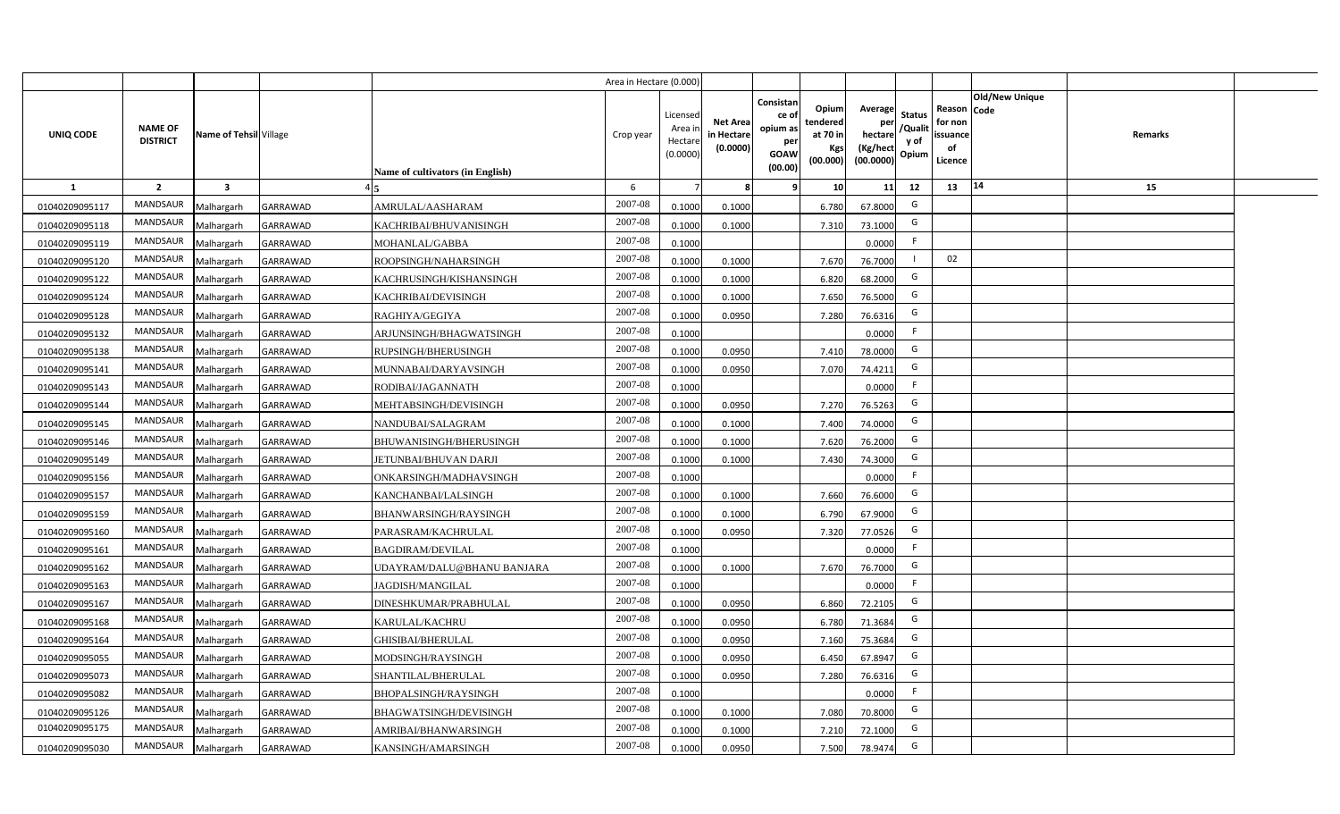|                |                                   |                         |                 |                                  | Area in Hectare (0.000) |                                           |                                           |                                                                                                                     |                                                    |                                           |                                                     |                       |         |  |
|----------------|-----------------------------------|-------------------------|-----------------|----------------------------------|-------------------------|-------------------------------------------|-------------------------------------------|---------------------------------------------------------------------------------------------------------------------|----------------------------------------------------|-------------------------------------------|-----------------------------------------------------|-----------------------|---------|--|
| UNIQ CODE      | <b>NAME OF</b><br><b>DISTRICT</b> | Name of Tehsil Village  |                 | Name of cultivators (in English) | Crop year               | Licensed<br>Area i<br>Hectare<br>(0.0000) | <b>Net Area</b><br>in Hectare<br>(0.0000) | Consistan<br>Opium<br>ce of<br>tendered<br>opium as<br>at 70 in<br>per<br>Kgs<br><b>GOAW</b><br>(00.000)<br>(00.00) | Average<br>per<br>hectare<br>(Kg/hect<br>(00.0000) | <b>Status</b><br>/Qualit<br>y of<br>Opium | Reason Code<br>for non<br>issuance<br>of<br>Licence | <b>Old/New Unique</b> | Remarks |  |
| 1              | $\overline{2}$                    | $\overline{\mathbf{3}}$ |                 |                                  | 6                       |                                           | 8                                         | 10 <sup>1</sup><br>-9                                                                                               | 11                                                 | 12                                        | 13                                                  | 14                    | 15      |  |
| 01040209095117 | MANDSAUR                          | Malhargarh              | GARRAWAD        | AMRULAL/AASHARAM                 | 2007-08                 | 0.1000                                    | 0.1000                                    | 6.780                                                                                                               | 67.8000                                            | G                                         |                                                     |                       |         |  |
| 01040209095118 | MANDSAUR                          | Malhargarh              | GARRAWAD        | KACHRIBAI/BHUVANISINGH           | 2007-08                 | 0.1000                                    | 0.1000                                    | 7.310                                                                                                               | 73.1000                                            | G                                         |                                                     |                       |         |  |
| 01040209095119 | <b>MANDSAUR</b>                   | Malhargarh              | GARRAWAD        | MOHANLAL/GABBA                   | 2007-08                 | 0.1000                                    |                                           |                                                                                                                     | 0.0000                                             | -F                                        |                                                     |                       |         |  |
| 01040209095120 | MANDSAUR                          | Malhargarh              | <b>GARRAWAD</b> | ROOPSINGH/NAHARSINGH             | 2007-08                 | 0.1000                                    | 0.1000                                    | 7.670                                                                                                               | 76.7000                                            |                                           | 02                                                  |                       |         |  |
| 01040209095122 | MANDSAUR                          | Malhargarh              | <b>GARRAWAD</b> | KACHRUSINGH/KISHANSINGH          | 2007-08                 | 0.1000                                    | 0.1000                                    | 6.820                                                                                                               | 68.2000                                            | G                                         |                                                     |                       |         |  |
| 01040209095124 | MANDSAUR                          | Malhargarh              | GARRAWAD        | KACHRIBAI/DEVISINGH              | 2007-08                 | 0.1000                                    | 0.1000                                    | 7.650                                                                                                               | 76.5000                                            | G                                         |                                                     |                       |         |  |
| 01040209095128 | MANDSAUR                          | Malhargarh              | GARRAWAD        | RAGHIYA/GEGIYA                   | 2007-08                 | 0.1000                                    | 0.0950                                    | 7.280                                                                                                               | 76.6316                                            | G                                         |                                                     |                       |         |  |
| 01040209095132 | MANDSAUR                          | Malhargarh              | GARRAWAD        | ARJUNSINGH/BHAGWATSINGH          | 2007-08                 | 0.1000                                    |                                           |                                                                                                                     | 0.0000                                             | F                                         |                                                     |                       |         |  |
| 01040209095138 | MANDSAUR                          | Malhargarh              | GARRAWAD        | RUPSINGH/BHERUSINGH              | 2007-08                 | 0.1000                                    | 0.0950                                    | 7.410                                                                                                               | 78.0000                                            | G                                         |                                                     |                       |         |  |
| 01040209095141 | MANDSAUR                          | Malhargarh              | GARRAWAD        | MUNNABAI/DARYAVSINGH             | 2007-08                 | 0.1000                                    | 0.0950                                    | 7.070                                                                                                               | 74.4211                                            | G                                         |                                                     |                       |         |  |
| 01040209095143 | MANDSAUR                          | Malhargarh              | GARRAWAD        | RODIBAI/JAGANNATH                | 2007-08                 | 0.1000                                    |                                           |                                                                                                                     | 0.0000                                             | F                                         |                                                     |                       |         |  |
| 01040209095144 | MANDSAUR                          | Malhargarh              | <b>GARRAWAD</b> | MEHTABSINGH/DEVISINGH            | 2007-08                 | 0.1000                                    | 0.0950                                    | 7.270                                                                                                               | 76.5263                                            | G                                         |                                                     |                       |         |  |
| 01040209095145 | MANDSAUR                          | Malhargarh              | GARRAWAD        | NANDUBAI/SALAGRAM                | 2007-08                 | 0.1000                                    | 0.1000                                    | 7.400                                                                                                               | 74.0000                                            | G                                         |                                                     |                       |         |  |
| 01040209095146 | <b>MANDSAUR</b>                   | Malhargarh              | <b>GARRAWAD</b> | <b>BHUWANISINGH/BHERUSINGH</b>   | 2007-08                 | 0.1000                                    | 0.1000                                    | 7.620                                                                                                               | 76.2000                                            | G                                         |                                                     |                       |         |  |
| 01040209095149 | MANDSAUR                          | Malhargarh              | GARRAWAD        | JETUNBAI/BHUVAN DARJI            | 2007-08                 | 0.1000                                    | 0.1000                                    | 7.430                                                                                                               | 74.3000                                            | G                                         |                                                     |                       |         |  |
| 01040209095156 | MANDSAUR                          | Malhargarh              | GARRAWAD        | ONKARSINGH/MADHAVSINGH           | 2007-08                 | 0.1000                                    |                                           |                                                                                                                     | 0.0000                                             | F.                                        |                                                     |                       |         |  |
| 01040209095157 | <b>MANDSAUR</b>                   | Malhargarh              | GARRAWAD        | KANCHANBAI/LALSINGH              | 2007-08                 | 0.1000                                    | 0.1000                                    | 7.660                                                                                                               | 76.6000                                            | G                                         |                                                     |                       |         |  |
| 01040209095159 | <b>MANDSAUR</b>                   | Malhargarh              | GARRAWAD        | BHANWARSINGH/RAYSINGH            | 2007-08                 | 0.1000                                    | 0.1000                                    | 6.790                                                                                                               | 67.9000                                            | G                                         |                                                     |                       |         |  |
| 01040209095160 | MANDSAUR                          | Malhargarh              | GARRAWAD        | PARASRAM/KACHRULAL               | 2007-08                 | 0.1000                                    | 0.0950                                    | 7.320                                                                                                               | 77.0526                                            | G                                         |                                                     |                       |         |  |
| 01040209095161 | <b>MANDSAUR</b>                   | Malhargarh              | GARRAWAD        | <b>BAGDIRAM/DEVILAL</b>          | 2007-08                 | 0.1000                                    |                                           |                                                                                                                     | 0.0000                                             | F                                         |                                                     |                       |         |  |
| 01040209095162 | MANDSAUR                          | Malhargarh              | GARRAWAD        | JDAYRAM/DALU@BHANU BANJARA       | 2007-08                 | 0.1000                                    | 0.1000                                    | 7.670                                                                                                               | 76.7000                                            | G                                         |                                                     |                       |         |  |
| 01040209095163 | MANDSAUR                          | Malhargarh              | GARRAWAD        | JAGDISH/MANGILAL                 | 2007-08                 | 0.1000                                    |                                           |                                                                                                                     | 0.0000                                             | F                                         |                                                     |                       |         |  |
| 01040209095167 | MANDSAUR                          | Malhargarh              | GARRAWAD        | DINESHKUMAR/PRABHULAL            | 2007-08                 | 0.1000                                    | 0.0950                                    | 6.860                                                                                                               | 72.2105                                            | G                                         |                                                     |                       |         |  |
| 01040209095168 | <b>MANDSAUR</b>                   | Malhargarh              | GARRAWAD        | KARULAL/KACHRU                   | 2007-08                 | 0.1000                                    | 0.0950                                    | 6.780                                                                                                               | 71.3684                                            | G                                         |                                                     |                       |         |  |
| 01040209095164 | MANDSAUR                          | Malhargarh              | GARRAWAD        | <b>GHISIBAI/BHERULAL</b>         | 2007-08                 | 0.1000                                    | 0.0950                                    | 7.160                                                                                                               | 75.3684                                            | G                                         |                                                     |                       |         |  |
| 01040209095055 | MANDSAUR                          | Malhargarh              | GARRAWAD        | MODSINGH/RAYSINGH                | 2007-08                 | 0.1000                                    | 0.0950                                    | 6.450                                                                                                               | 67.8947                                            | G                                         |                                                     |                       |         |  |
| 01040209095073 | MANDSAUR                          | Malhargarh              | GARRAWAD        | SHANTILAL/BHERULAL               | 2007-08                 | 0.1000                                    | 0.0950                                    | 7.280                                                                                                               | 76.6316                                            | G                                         |                                                     |                       |         |  |
| 01040209095082 | MANDSAUR                          | Malhargarh              | GARRAWAD        | BHOPALSINGH/RAYSINGH             | 2007-08                 | 0.1000                                    |                                           |                                                                                                                     | 0.0000                                             | F                                         |                                                     |                       |         |  |
| 01040209095126 | MANDSAUR                          | Malhargarh              | <b>GARRAWAD</b> | <b>BHAGWATSINGH/DEVISINGH</b>    | 2007-08                 | 0.1000                                    | 0.1000                                    | 7.080                                                                                                               | 70.8000                                            | G                                         |                                                     |                       |         |  |
| 01040209095175 | MANDSAUR                          | Malhargarh              | <b>GARRAWAD</b> | AMRIBAI/BHANWARSINGH             | 2007-08                 | 0.1000                                    | 0.1000                                    | 7.210                                                                                                               | 72.1000                                            | G                                         |                                                     |                       |         |  |
| 01040209095030 | MANDSAUR                          | Malhargarh              | <b>GARRAWAD</b> | KANSINGH/AMARSINGH               | 2007-08                 | 0.1000                                    | 0.0950                                    | 7.500                                                                                                               | 78.9474                                            | G                                         |                                                     |                       |         |  |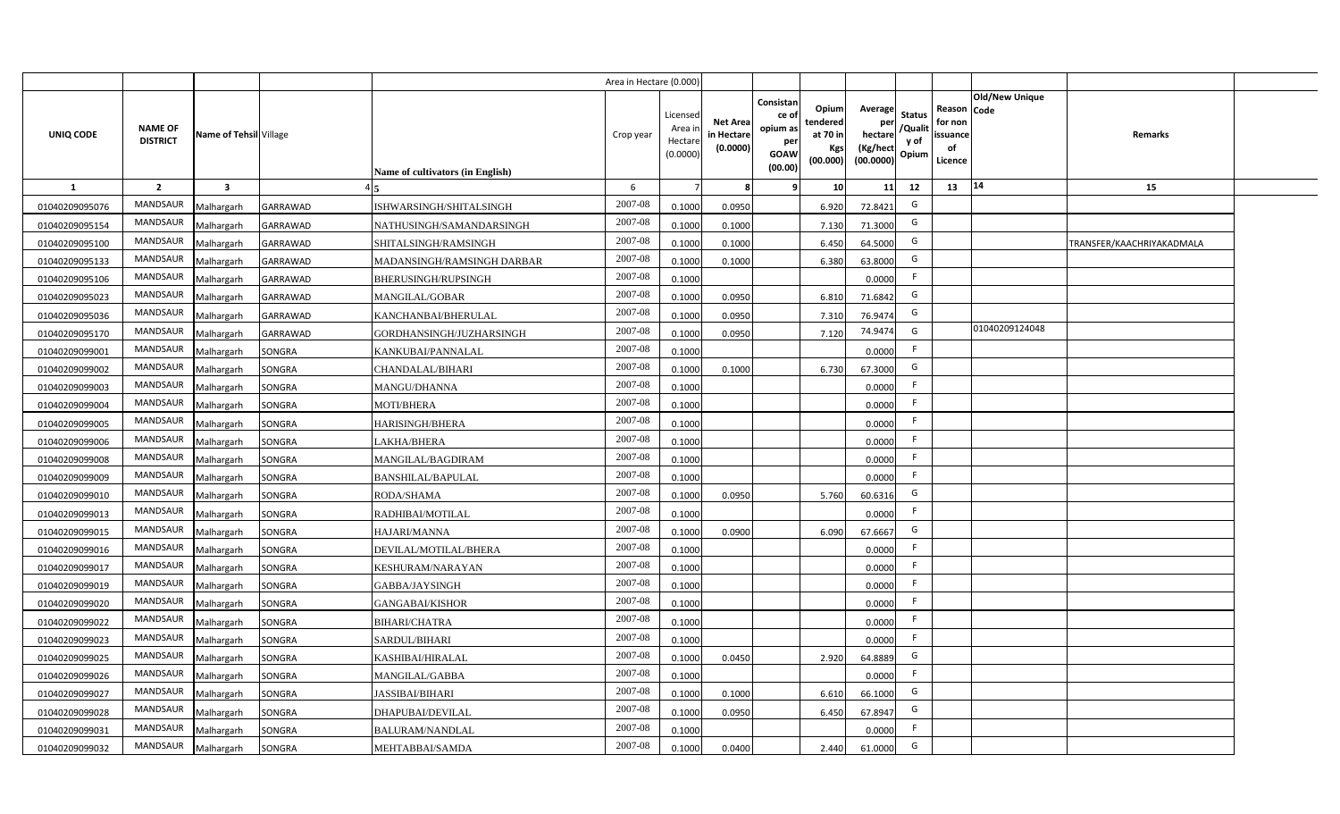|                |                                   |                         |                 |                                  | Area in Hectare (0.000) |                                          |                                           |                                                         |                                                  |                                                    |                                           |                                                     |                       |                           |  |
|----------------|-----------------------------------|-------------------------|-----------------|----------------------------------|-------------------------|------------------------------------------|-------------------------------------------|---------------------------------------------------------|--------------------------------------------------|----------------------------------------------------|-------------------------------------------|-----------------------------------------------------|-----------------------|---------------------------|--|
| UNIQ CODE      | <b>NAME OF</b><br><b>DISTRICT</b> | Name of Tehsil Village  |                 | Name of cultivators (in English) | Crop year               | Licensec<br>Area i<br>Hectar<br>(0.0000) | <b>Net Area</b><br>in Hectare<br>(0.0000) | Consistan<br>ce o<br>opium as<br>per<br>GOAW<br>(00.00) | Opium<br>tendered<br>at 70 in<br>Kgs<br>(00.000) | Average<br>per<br>hectare<br>(Kg/hect<br>(00.0000) | <b>Status</b><br>/Qualit<br>y of<br>Opium | Reason Code<br>for non<br>issuance<br>of<br>Licence | <b>Old/New Unique</b> | Remarks                   |  |
| $\mathbf{1}$   | $\overline{2}$                    | $\overline{\mathbf{3}}$ |                 |                                  | 6                       |                                          |                                           |                                                         | 10                                               | 11                                                 | 12                                        | 14<br>13                                            |                       | 15                        |  |
| 01040209095076 | MANDSAUR                          | Malhargarh              | <b>GARRAWAD</b> | <b>ISHWARSINGH/SHITALSINGH</b>   | 2007-08                 | 0.1000                                   | 0.0950                                    |                                                         | 6.920                                            | 72.8421                                            | G                                         |                                                     |                       |                           |  |
| 01040209095154 | MANDSAUR                          | Malhargarh              | GARRAWAD        | NATHUSINGH/SAMANDARSINGH         | 2007-08                 | 0.1000                                   | 0.1000                                    |                                                         | 7.130                                            | 71.3000                                            | G                                         |                                                     |                       |                           |  |
| 01040209095100 | MANDSAUR                          | Malhargarh              | GARRAWAD        | SHITALSINGH/RAMSINGH             | 2007-08                 | 0.1000                                   | 0.1000                                    |                                                         | 6.450                                            | 64.5000                                            | G                                         |                                                     |                       | TRANSFER/KAACHRIYAKADMALA |  |
| 01040209095133 | <b>MANDSAUR</b>                   | Malhargarh              | GARRAWAD        | MADANSINGH/RAMSINGH DARBAR       | 2007-08                 | 0.100                                    | 0.1000                                    |                                                         | 6.380                                            | 63.8000                                            | G                                         |                                                     |                       |                           |  |
| 01040209095106 | MANDSAUR                          | Malhargarh              | GARRAWAD        | BHERUSINGH/RUPSINGH              | 2007-08                 | 0.1000                                   |                                           |                                                         |                                                  | 0.0000                                             | F.                                        |                                                     |                       |                           |  |
| 01040209095023 | MANDSAUR                          | Malhargarh              | GARRAWAD        | MANGILAL/GOBAR                   | 2007-08                 | 0.1000                                   | 0.0950                                    |                                                         | 6.810                                            | 71.6842                                            | G                                         |                                                     |                       |                           |  |
| 01040209095036 | MANDSAUR                          | Malhargarh              | GARRAWAD        | KANCHANBAI/BHERULAL              | 2007-08                 | 0.1000                                   | 0.0950                                    |                                                         | 7.310                                            | 76.9474                                            | G                                         |                                                     |                       |                           |  |
| 01040209095170 | <b>MANDSAUR</b>                   | Malhargarh              | GARRAWAD        | GORDHANSINGH/JUZHARSINGH         | 2007-08                 | 0.1000                                   | 0.0950                                    |                                                         | 7.120                                            | 74.9474                                            | G                                         |                                                     | 01040209124048        |                           |  |
| 01040209099001 | <b>MANDSAUR</b>                   | Malhargarh              | SONGRA          | KANKUBAI/PANNALAL                | $2007 - 08$             | 0.1000                                   |                                           |                                                         |                                                  | 0.0000                                             | E                                         |                                                     |                       |                           |  |
| 01040209099002 | <b>MANDSAUR</b>                   | Malhargarh              | SONGRA          | CHANDALAL/BIHARI                 | 2007-08                 | 0.1000                                   | 0.1000                                    |                                                         | 6.730                                            | 67.3000                                            | G                                         |                                                     |                       |                           |  |
| 01040209099003 | MANDSAUR                          | Malhargarh              | SONGRA          | MANGU/DHANNA                     | 2007-08                 | 0.1000                                   |                                           |                                                         |                                                  | 0.0000                                             | F.                                        |                                                     |                       |                           |  |
| 01040209099004 | MANDSAUR                          | Malhargarh              | SONGRA          | <b>MOTI/BHERA</b>                | $2007 - 08$             | 0.1000                                   |                                           |                                                         |                                                  | 0.0000                                             | -F                                        |                                                     |                       |                           |  |
| 01040209099005 | MANDSAUR                          | Malhargarh              | SONGRA          | HARISINGH/BHERA                  | 2007-08                 | 0.1000                                   |                                           |                                                         |                                                  | 0.0000                                             | F.                                        |                                                     |                       |                           |  |
| 01040209099006 | MANDSAUR                          | Malhargarh              | SONGRA          | AKHA/BHERA                       | 2007-08                 | 0.1000                                   |                                           |                                                         |                                                  | 0.0000                                             | F                                         |                                                     |                       |                           |  |
| 01040209099008 | MANDSAUR                          | Malhargarh              | SONGRA          | MANGILAL/BAGDIRAM                | 2007-08                 | 0.1000                                   |                                           |                                                         |                                                  | 0.0000                                             | F.                                        |                                                     |                       |                           |  |
| 01040209099009 | MANDSAUR                          | Malhargarh              | SONGRA          | <b>BANSHILAL/BAPULAL</b>         | $2007 - 08$             | 0.1000                                   |                                           |                                                         |                                                  | 0.0000                                             | F.                                        |                                                     |                       |                           |  |
| 01040209099010 | MANDSAUR                          | Malhargarh              | SONGRA          | RODA/SHAMA                       | 2007-08                 | 0.1000                                   | 0.0950                                    |                                                         | 5.760                                            | 60.6316                                            | G                                         |                                                     |                       |                           |  |
| 01040209099013 | MANDSAUR                          | Malhargarh              | SONGRA          | RADHIBAI/MOTILAL                 | 2007-08                 | 0.1000                                   |                                           |                                                         |                                                  | 0.0000                                             | F                                         |                                                     |                       |                           |  |
| 01040209099015 | MANDSAUR                          | Malhargarh              | SONGRA          | HAJARI/MANNA                     | 2007-08                 | 0.1000                                   | 0.0900                                    |                                                         | 6.090                                            | 67.6667                                            | G                                         |                                                     |                       |                           |  |
| 01040209099016 | MANDSAUR                          | Malhargarh              | SONGRA          | DEVILAL/MOTILAL/BHERA            | 2007-08                 | 0.1000                                   |                                           |                                                         |                                                  | 0.0000                                             | F.                                        |                                                     |                       |                           |  |
| 01040209099017 | MANDSAUR                          | Malhargarh              | SONGRA          | KESHURAM/NARAYAN                 | $2007 - 08$             | 0.1000                                   |                                           |                                                         |                                                  | 0.0000                                             | F.                                        |                                                     |                       |                           |  |
| 01040209099019 | MANDSAUR                          | Malhargarh              | SONGRA          | GABBA/JAYSINGH                   | $2007 - 08$             | 0.1000                                   |                                           |                                                         |                                                  | 0.0000                                             | F.                                        |                                                     |                       |                           |  |
| 01040209099020 | MANDSAUR                          | Malhargarh              | SONGRA          | <b>GANGABAI/KISHOR</b>           | 2007-08                 | 0.1000                                   |                                           |                                                         |                                                  | 0.0000                                             | F                                         |                                                     |                       |                           |  |
| 01040209099022 | MANDSAUR                          | Malhargarh              | SONGRA          | BIHARI/CHATRA                    | 2007-08                 | 0.1000                                   |                                           |                                                         |                                                  | 0.0000                                             | E                                         |                                                     |                       |                           |  |
| 01040209099023 | MANDSAUR                          | Malhargarh              | SONGRA          | SARDUL/BIHARI                    | 2007-08                 | 0.1000                                   |                                           |                                                         |                                                  | 0.0000                                             | F                                         |                                                     |                       |                           |  |
| 01040209099025 | <b>MANDSAUR</b>                   | Malhargarh              | SONGRA          | KASHIBAI/HIRALAL                 | 2007-08                 | 0.1000                                   | 0.0450                                    |                                                         | 2.920                                            | 64.8889                                            | G                                         |                                                     |                       |                           |  |
| 01040209099026 | MANDSAUR                          | Malhargarh              | SONGRA          | MANGILAL/GABBA                   | 2007-08                 | 0.1000                                   |                                           |                                                         |                                                  | 0.0000                                             | E                                         |                                                     |                       |                           |  |
| 01040209099027 | MANDSAUR                          | Malhargarh              | SONGRA          | <b>JASSIBAI/BIHARI</b>           | 2007-08                 | 0.1000                                   | 0.1000                                    |                                                         | 6.610                                            | 66.1000                                            | G                                         |                                                     |                       |                           |  |
| 01040209099028 | MANDSAUR                          | Malhargarh              | SONGRA          | DHAPUBAI/DEVILAL                 | 2007-08                 | 0.1000                                   | 0.0950                                    |                                                         | 6.450                                            | 67.8947                                            | G                                         |                                                     |                       |                           |  |
| 01040209099031 | MANDSAUR                          | Malhargarh              | SONGRA          | BALURAM/NANDLAL                  | 2007-08                 | 0.1000                                   |                                           |                                                         |                                                  | 0.0000                                             | E                                         |                                                     |                       |                           |  |
| 01040209099032 | MANDSAUR                          | Malhargarh              | SONGRA          | MEHTABBAI/SAMDA                  | 2007-08                 | 0.1000                                   | 0.0400                                    |                                                         | 2.440                                            | 61.0000                                            | G                                         |                                                     |                       |                           |  |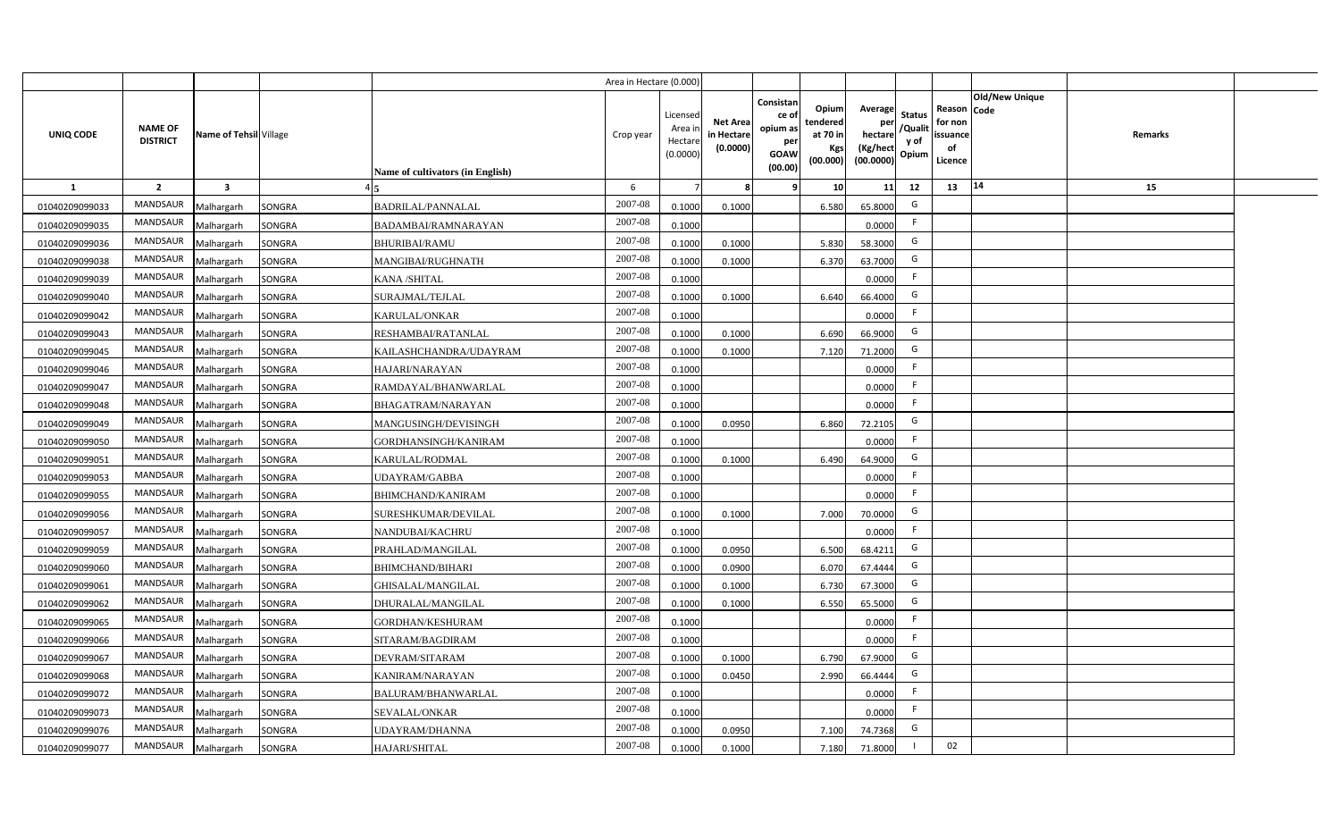|                |                                   |                         |        |                                  | Area in Hectare (0.000) |                                          |                                           |                                                         |                                                  |                                                    |                                           |                                                                       |         |  |
|----------------|-----------------------------------|-------------------------|--------|----------------------------------|-------------------------|------------------------------------------|-------------------------------------------|---------------------------------------------------------|--------------------------------------------------|----------------------------------------------------|-------------------------------------------|-----------------------------------------------------------------------|---------|--|
| UNIQ CODE      | <b>NAME OF</b><br><b>DISTRICT</b> | Name of Tehsil Village  |        | Name of cultivators (in English) | Crop year               | Licensec<br>Area i<br>Hectar<br>(0.0000) | <b>Net Area</b><br>in Hectare<br>(0.0000) | Consistan<br>ce o<br>opium as<br>per<br>GOAW<br>(00.00) | Opium<br>tendered<br>at 70 in<br>Kgs<br>(00.000) | Average<br>per<br>hectare<br>(Kg/hect<br>(00.0000) | <b>Status</b><br>/Qualit<br>y of<br>Opium | Old/New Unique<br>Reason Code<br>for non<br>issuance<br>of<br>Licence | Remarks |  |
| $\mathbf{1}$   | $\overline{2}$                    | $\overline{\mathbf{3}}$ |        |                                  | 6                       |                                          |                                           |                                                         | 10                                               | 11                                                 | 12                                        | 14<br>13                                                              | 15      |  |
| 01040209099033 | MANDSAUR                          | Malhargarh              | SONGRA | BADRILAL/PANNALAL                | 2007-08                 | 0.1000                                   | 0.1000                                    |                                                         | 6.580                                            | 65.8000                                            | G                                         |                                                                       |         |  |
| 01040209099035 | MANDSAUR                          | Malhargarh              | SONGRA | BADAMBAI/RAMNARAYAN              | 2007-08                 | 0.1000                                   |                                           |                                                         |                                                  | 0.0000                                             | F.                                        |                                                                       |         |  |
| 01040209099036 | MANDSAUR                          | Malhargarh              | SONGRA | <b>BHURIBAI/RAMU</b>             | 2007-08                 | 0.1000                                   | 0.1000                                    |                                                         | 5.830                                            | 58.3000                                            | G                                         |                                                                       |         |  |
| 01040209099038 | MANDSAUR                          | Malhargarh              | SONGRA | MANGIBAI/RUGHNATH                | 2007-08                 | 0.100                                    | 0.1000                                    |                                                         | 6.370                                            | 63.7000                                            | G                                         |                                                                       |         |  |
| 01040209099039 | MANDSAUR                          | Malhargarh              | SONGRA | KANA /SHITAL                     | 2007-08                 | 0.1000                                   |                                           |                                                         |                                                  | 0.0000                                             | F.                                        |                                                                       |         |  |
| 01040209099040 | MANDSAUR                          | Malhargarh              | SONGRA | SURAJMAL/TEJLAL                  | 2007-08                 | 0.1000                                   | 0.1000                                    |                                                         | 6.640                                            | 66.4000                                            | G                                         |                                                                       |         |  |
| 01040209099042 | MANDSAUR                          | Malhargarh              | SONGRA | KARULAL/ONKAR                    | 2007-08                 | 0.1000                                   |                                           |                                                         |                                                  | 0.0000                                             | F.                                        |                                                                       |         |  |
| 01040209099043 | MANDSAUR                          | Malhargarh              | SONGRA | RESHAMBAI/RATANLAL               | 2007-08                 | 0.1000                                   | 0.1000                                    |                                                         | 6.690                                            | 66.9000                                            | G                                         |                                                                       |         |  |
| 01040209099045 | <b>MANDSAUR</b>                   | Malhargarh              | SONGRA | KAILASHCHANDRA/UDAYRAM           | 2007-08                 | 0.100                                    | 0.1000                                    |                                                         | 7.120                                            | 71.2000                                            | G                                         |                                                                       |         |  |
| 01040209099046 | <b>MANDSAUR</b>                   | Malhargarh              | SONGRA | HAJARI/NARAYAN                   | 2007-08                 | 0.1000                                   |                                           |                                                         |                                                  | 0.0000                                             | F.                                        |                                                                       |         |  |
| 01040209099047 | MANDSAUR                          | Malhargarh              | SONGRA | RAMDAYAL/BHANWARLAL              | 2007-08                 | 0.1000                                   |                                           |                                                         |                                                  | 0.0000                                             | E                                         |                                                                       |         |  |
| 01040209099048 | MANDSAUR                          | Malhargarh              | SONGRA | BHAGATRAM/NARAYAN                | 2007-08                 | 0.1000                                   |                                           |                                                         |                                                  | 0.0000                                             | F.                                        |                                                                       |         |  |
| 01040209099049 | MANDSAUR                          | Malhargarh              | SONGRA | MANGUSINGH/DEVISINGH             | 2007-08                 | 0.1000                                   | 0.0950                                    |                                                         | 6.860                                            | 72.2105                                            | G                                         |                                                                       |         |  |
| 01040209099050 | MANDSAUR                          | Malhargarh              | SONGRA | GORDHANSINGH/KANIRAM             | 2007-08                 | 0.1000                                   |                                           |                                                         |                                                  | 0.0000                                             | F                                         |                                                                       |         |  |
| 01040209099051 | MANDSAUR                          | Malhargarh              | SONGRA | KARULAL/RODMAL                   | 2007-08                 | 0.1000                                   | 0.1000                                    |                                                         | 6.490                                            | 64.9000                                            | G                                         |                                                                       |         |  |
| 01040209099053 | MANDSAUR                          | Malhargarh              | SONGRA | <b>JDAYRAM/GABBA</b>             | 2007-08                 | 0.1000                                   |                                           |                                                         |                                                  | 0.0000                                             | F.                                        |                                                                       |         |  |
| 01040209099055 | MANDSAUR                          | Malhargarh              | SONGRA | <b>BHIMCHAND/KANIRAM</b>         | 2007-08                 | 0.1000                                   |                                           |                                                         |                                                  | 0.0000                                             | F.                                        |                                                                       |         |  |
| 01040209099056 | MANDSAUR                          | Malhargarh              | SONGRA | SURESHKUMAR/DEVILAL              | 2007-08                 | 0.1000                                   | 0.1000                                    |                                                         | 7.000                                            | 70.0000                                            | G                                         |                                                                       |         |  |
| 01040209099057 | MANDSAUR                          | Malhargarh              | SONGRA | NANDUBAI/KACHRU                  | 2007-08                 | 0.1000                                   |                                           |                                                         |                                                  | 0.0000                                             | F.                                        |                                                                       |         |  |
| 01040209099059 | MANDSAUR                          | Malhargarh              | SONGRA | PRAHLAD/MANGILAL                 | 2007-08                 | 0.1000                                   | 0.0950                                    |                                                         | 6.500                                            | 68.4211                                            | G                                         |                                                                       |         |  |
| 01040209099060 | MANDSAUR                          | Malhargarh              | SONGRA | BHIMCHAND/BIHARI                 | 2007-08                 | 0.1000                                   | 0.0900                                    |                                                         | 6.070                                            | 67.4444                                            | G                                         |                                                                       |         |  |
| 01040209099061 | <b>MANDSAUR</b>                   | Malhargarh              | SONGRA | <b>GHISALAL/MANGILAL</b>         | 2007-08                 | 0.1000                                   | 0.1000                                    |                                                         | 6.730                                            | 67.3000                                            | G                                         |                                                                       |         |  |
| 01040209099062 | MANDSAUR                          | Malhargarh              | SONGRA | DHURALAL/MANGILAL                | 2007-08                 | 0.1000                                   | 0.1000                                    |                                                         | 6.550                                            | 65.5000                                            | G                                         |                                                                       |         |  |
| 01040209099065 | <b>MANDSAUR</b>                   | Malhargarh              | SONGRA | GORDHAN/KESHURAM                 | 2007-08                 | 0.1000                                   |                                           |                                                         |                                                  | 0.0000                                             | F.                                        |                                                                       |         |  |
| 01040209099066 | MANDSAUR                          | Malhargarh              | SONGRA | SITARAM/BAGDIRAM                 | 2007-08                 | 0.1000                                   |                                           |                                                         |                                                  | 0.0000                                             | E                                         |                                                                       |         |  |
| 01040209099067 | MANDSAUR                          | Malhargarh              | SONGRA | DEVRAM/SITARAM                   | 2007-08                 | 0.1000                                   | 0.1000                                    |                                                         | 6.790                                            | 67.9000                                            | G                                         |                                                                       |         |  |
| 01040209099068 | MANDSAUR                          | Malhargarh              | SONGRA | KANIRAM/NARAYAN                  | 2007-08                 | 0.1000                                   | 0.0450                                    |                                                         | 2.990                                            | 66.4444                                            | G                                         |                                                                       |         |  |
| 01040209099072 | MANDSAUR                          | Malhargarh              | SONGRA | BALURAM/BHANWARLAL               | 2007-08                 | 0.1000                                   |                                           |                                                         |                                                  | 0.0000                                             | E                                         |                                                                       |         |  |
| 01040209099073 | MANDSAUR                          | Malhargarh              | SONGRA | SEVALAL/ONKAR                    | 2007-08                 | 0.1000                                   |                                           |                                                         |                                                  | 0.0000                                             | F                                         |                                                                       |         |  |
| 01040209099076 | MANDSAUR                          | Malhargarh              | SONGRA | <b>JDAYRAM/DHANNA</b>            | 2007-08                 | 0.1000                                   | 0.0950                                    |                                                         | 7.100                                            | 74.7368                                            | G                                         |                                                                       |         |  |
| 01040209099077 | MANDSAUR                          | Malhargarh              | SONGRA | HAJARI/SHITAL                    | 2007-08                 | 0.1000                                   | 0.1000                                    |                                                         | 7.180                                            | 71.8000                                            |                                           | 02                                                                    |         |  |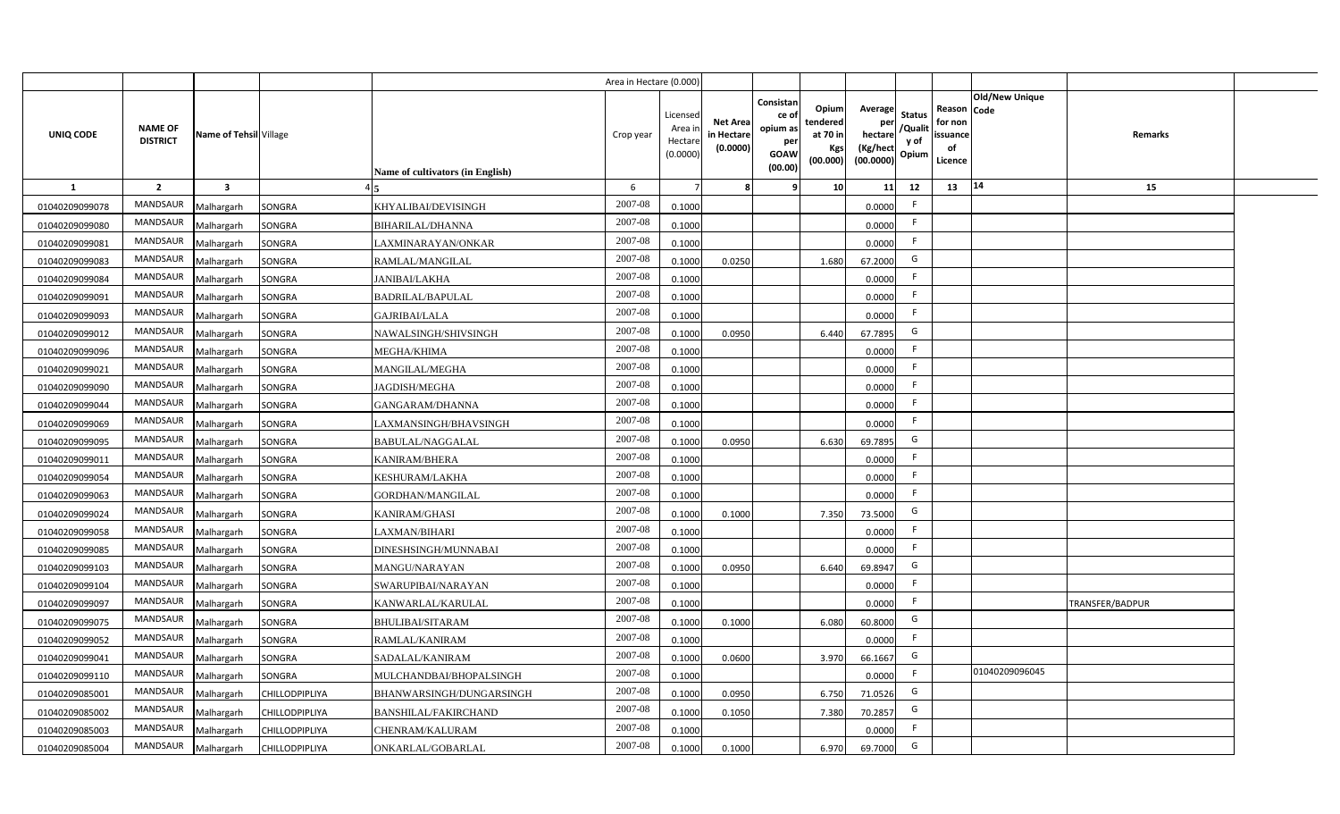|                |                                   |                         |                       |                                  | Area in Hectare (0.000 |                                          |                                           |                                                          |                                                  |                                                      |                                |                                                     |                       |                 |  |
|----------------|-----------------------------------|-------------------------|-----------------------|----------------------------------|------------------------|------------------------------------------|-------------------------------------------|----------------------------------------------------------|--------------------------------------------------|------------------------------------------------------|--------------------------------|-----------------------------------------------------|-----------------------|-----------------|--|
| UNIQ CODE      | <b>NAME OF</b><br><b>DISTRICT</b> | Name of Tehsil Village  |                       | Name of cultivators (in English) | Crop year              | Licensed<br>Area i<br>Hectar<br>(0.0000) | <b>Net Area</b><br>in Hectare<br>(0.0000) | Consistan<br>ce of<br>opium as<br>per<br>GOAW<br>(00.00) | Opium<br>tendered<br>at 70 in<br>Kgs<br>(00.000) | Average<br>hectare / Qualit<br>(Kg/hect<br>(00.0000) | <b>Status</b><br>y of<br>Opium | Reason Code<br>for non<br>issuance<br>of<br>Licence | <b>Old/New Unique</b> | Remarks         |  |
| $\mathbf{1}$   | $\overline{2}$                    | $\overline{\mathbf{3}}$ |                       |                                  | 6                      |                                          |                                           |                                                          | 10 <sup>1</sup>                                  | 11                                                   | 12                             | 13                                                  | $ 14\rangle$          | 15              |  |
| 01040209099078 | MANDSAUR                          | Malhargarh              | <b>SONGRA</b>         | KHYALIBAI/DEVISINGH              | 2007-08                | 0.1000                                   |                                           |                                                          |                                                  | 0.0000                                               | F.                             |                                                     |                       |                 |  |
| 01040209099080 | MANDSAUR                          | Malhargarh              | SONGRA                | BIHARILAL/DHANNA                 | 2007-08                | 0.1000                                   |                                           |                                                          |                                                  | 0.0000                                               | F.                             |                                                     |                       |                 |  |
| 01040209099081 | MANDSAUR                          | Malhargarh              | SONGRA                | LAXMINARAYAN/ONKAR               | 2007-08                | 0.1000                                   |                                           |                                                          |                                                  | 0.0000                                               | F.                             |                                                     |                       |                 |  |
| 01040209099083 | MANDSAUR                          | Malhargarh              | SONGRA                | RAMLAL/MANGILAL                  | 2007-08                | 0.1000                                   | 0.0250                                    |                                                          | 1.680                                            | 67.2000                                              | G                              |                                                     |                       |                 |  |
| 01040209099084 | MANDSAUR                          | Malhargarh              | SONGRA                | <b>JANIBAI/LAKHA</b>             | 2007-08                | 0.1000                                   |                                           |                                                          |                                                  | 0.0000                                               | F.                             |                                                     |                       |                 |  |
| 01040209099091 | <b>MANDSAUR</b>                   | Malhargarh              | SONGRA                | <b>BADRILAL/BAPULAL</b>          | 2007-08                | 0.1000                                   |                                           |                                                          |                                                  | 0.0000                                               | F.                             |                                                     |                       |                 |  |
| 01040209099093 | <b>MANDSAUR</b>                   | Malhargarh              | SONGRA                | <b>GAJRIBAI/LALA</b>             | 2007-08                | 0.1000                                   |                                           |                                                          |                                                  | 0.0000                                               | F                              |                                                     |                       |                 |  |
| 01040209099012 | MANDSAUR                          | Malhargarh              | SONGRA                | NAWALSINGH/SHIVSINGH             | 2007-08                | 0.1000                                   | 0.0950                                    |                                                          | 6.440                                            | 67.7895                                              | G                              |                                                     |                       |                 |  |
| 01040209099096 | MANDSAUR                          | Malhargarh              | SONGRA                | MEGHA/KHIMA                      | 2007-08                | 0.1000                                   |                                           |                                                          |                                                  | 0.0000                                               | F.                             |                                                     |                       |                 |  |
| 01040209099021 | MANDSAUR                          | Malhargarh              | SONGRA                | MANGILAL/MEGHA                   | 2007-08                | 0.1000                                   |                                           |                                                          |                                                  | 0.0000                                               | F                              |                                                     |                       |                 |  |
| 01040209099090 | MANDSAUR                          | Malhargarh              | SONGRA                | JAGDISH/MEGHA                    | 2007-08                | 0.1000                                   |                                           |                                                          |                                                  | 0.0000                                               | F.                             |                                                     |                       |                 |  |
| 01040209099044 | MANDSAUR                          | Malhargarh              | SONGRA                | GANGARAM/DHANNA                  | 2007-08                | 0.1000                                   |                                           |                                                          |                                                  | 0.0000                                               | F.                             |                                                     |                       |                 |  |
| 01040209099069 | MANDSAUR                          | Malhargarh              | <b>SONGRA</b>         | LAXMANSINGH/BHAVSINGH            | 2007-08                | 0.1000                                   |                                           |                                                          |                                                  | 0.0000                                               | F                              |                                                     |                       |                 |  |
| 01040209099095 | MANDSAUR                          | Malhargarh              | SONGRA                | BABULAL/NAGGALAL                 | 2007-08                | 0.1000                                   | 0.0950                                    |                                                          | 6.630                                            | 69.7895                                              | G                              |                                                     |                       |                 |  |
| 01040209099011 | MANDSAUR                          | Malhargarh              | SONGRA                | KANIRAM/BHERA                    | 2007-08                | 0.100                                    |                                           |                                                          |                                                  | 0.0000                                               | F.                             |                                                     |                       |                 |  |
| 01040209099054 | MANDSAUR                          | Malhargarh              | SONGRA                | KESHURAM/LAKHA                   | 2007-08                | 0.1000                                   |                                           |                                                          |                                                  | 0.0000                                               | F.                             |                                                     |                       |                 |  |
| 01040209099063 | MANDSAUR                          | Malhargarh              | <b>SONGRA</b>         | GORDHAN/MANGILAL                 | 2007-08                | 0.1000                                   |                                           |                                                          |                                                  | 0.0000                                               | F.                             |                                                     |                       |                 |  |
| 01040209099024 | <b>MANDSAUR</b>                   | Malhargarh              | SONGRA                | KANIRAM/GHASI                    | 2007-08                | 0.1000                                   | 0.1000                                    |                                                          | 7.350                                            | 73.5000                                              | G                              |                                                     |                       |                 |  |
| 01040209099058 | MANDSAUR                          | Malhargarh              | <b>SONGRA</b>         | LAXMAN/BIHARI                    | 2007-08                | 0.1000                                   |                                           |                                                          |                                                  | 0.0000                                               | F.                             |                                                     |                       |                 |  |
| 01040209099085 | MANDSAUR                          | Malhargarh              | SONGRA                | DINESHSINGH/MUNNABAI             | 2007-08                | 0.1000                                   |                                           |                                                          |                                                  | 0.0000                                               | F.                             |                                                     |                       |                 |  |
| 01040209099103 | <b>MANDSAUR</b>                   | Malhargarh              | SONGRA                | MANGU/NARAYAN                    | 2007-08                | 0.100                                    | 0.0950                                    |                                                          | 6.640                                            | 69.8947                                              | G                              |                                                     |                       |                 |  |
| 01040209099104 | MANDSAUR                          | Malhargarh              | SONGRA                | SWARUPIBAI/NARAYAN               | 2007-08                | 0.1000                                   |                                           |                                                          |                                                  | 0.0000                                               | F.                             |                                                     |                       |                 |  |
| 01040209099097 | <b>MANDSAUR</b>                   | Malhargarh              | SONGRA                | KANWARLAL/KARULAL                | 2007-08                | 0.1000                                   |                                           |                                                          |                                                  | 0.0000                                               | F.                             |                                                     |                       | TRANSFER/BADPUR |  |
| 01040209099075 | <b>MANDSAUR</b>                   | Malhargarh              | <b>SONGRA</b>         | <b>BHULIBAI/SITARAM</b>          | 2007-08                | 0.100                                    | 0.1000                                    |                                                          | 6.080                                            | 60.8000                                              | G                              |                                                     |                       |                 |  |
| 01040209099052 | <b>MANDSAUR</b>                   | Malhargarh              | SONGRA                | RAMLAL/KANIRAM                   | 2007-08                | 0.100                                    |                                           |                                                          |                                                  | 0.0000                                               | F.                             |                                                     |                       |                 |  |
| 01040209099041 | <b>MANDSAUR</b>                   | Malhargarh              | SONGRA                | SADALAL/KANIRAM                  | 2007-08                | 0.1000                                   | 0.0600                                    |                                                          | 3.970                                            | 66.1667                                              | G                              |                                                     |                       |                 |  |
| 01040209099110 | MANDSAUR                          | Malhargarh              | SONGRA                | MULCHANDBAI/BHOPALSINGH          | 2007-08                | 0.1000                                   |                                           |                                                          |                                                  | 0.0000                                               | F                              |                                                     | 01040209096045        |                 |  |
| 01040209085001 | MANDSAUR                          | Malhargarh              | CHILLODPIPLIYA        | BHANWARSINGH/DUNGARSINGH         | 2007-08                | 0.1000                                   | 0.0950                                    |                                                          | 6.750                                            | 71.0526                                              | G                              |                                                     |                       |                 |  |
| 01040209085002 | MANDSAUR                          | Malhargarh              | CHILLODPIPLIYA        | BANSHILAL/FAKIRCHAND             | 2007-08                | 0.1000                                   | 0.1050                                    |                                                          | 7.380                                            | 70.2857                                              | G                              |                                                     |                       |                 |  |
| 01040209085003 | MANDSAUR                          | Malhargarh              | CHILLODPIPLIYA        | CHENRAM/KALURAM                  | 2007-08                | 0.1000                                   |                                           |                                                          |                                                  | 0.0000                                               | F.                             |                                                     |                       |                 |  |
| 01040209085004 | MANDSAUR                          | Malhargarh              | <b>CHILLODPIPLIYA</b> | ONKARLAL/GOBARLAL                | 2007-08                | 0.1000                                   | 0.1000                                    |                                                          | 6.970                                            | 69.7000                                              | G                              |                                                     |                       |                 |  |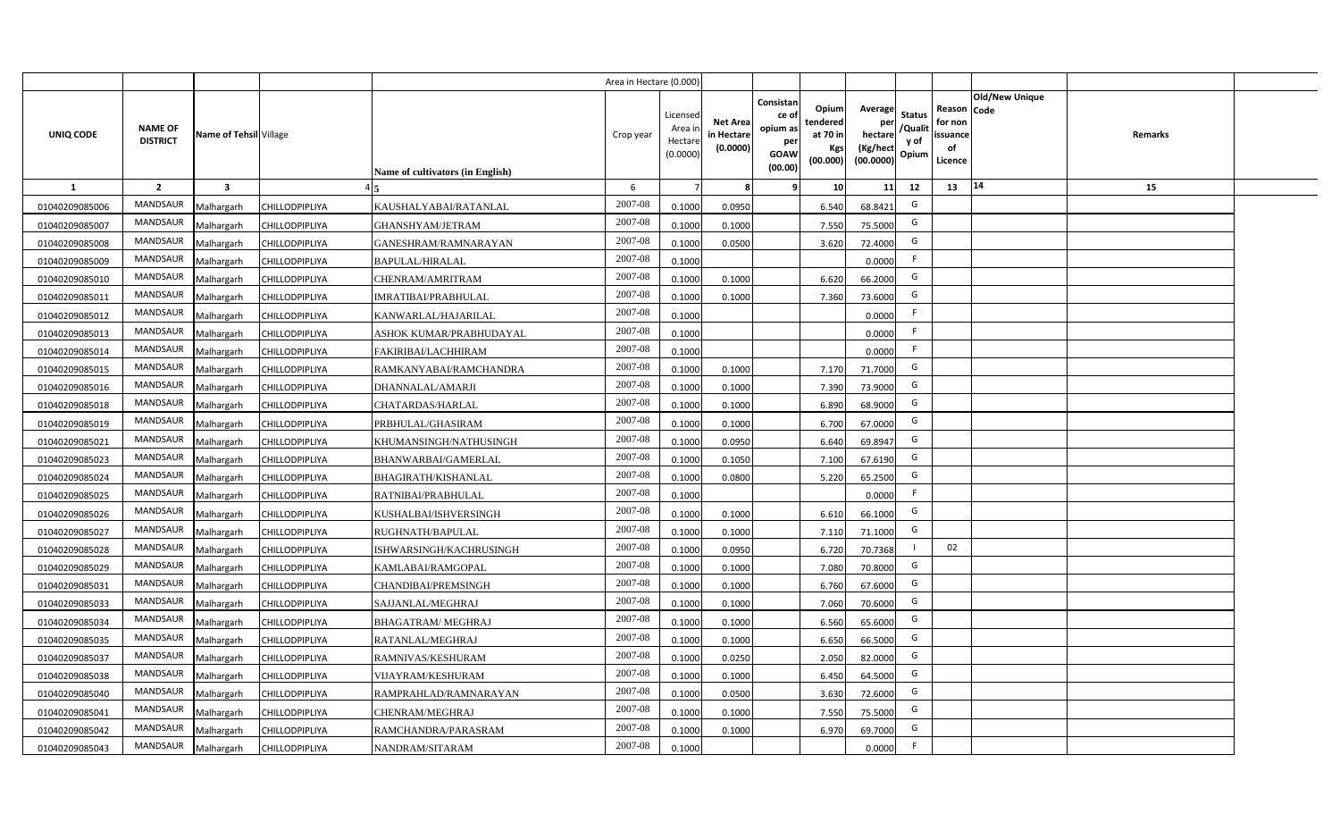|                |                                   |                         |                       |                                  | Area in Hectare (0.000) |                                           |                                           |                                                                                                                     |                                                    |                                           |                                                     |                       |         |  |
|----------------|-----------------------------------|-------------------------|-----------------------|----------------------------------|-------------------------|-------------------------------------------|-------------------------------------------|---------------------------------------------------------------------------------------------------------------------|----------------------------------------------------|-------------------------------------------|-----------------------------------------------------|-----------------------|---------|--|
| UNIQ CODE      | <b>NAME OF</b><br><b>DISTRICT</b> | Name of Tehsil Village  |                       | Name of cultivators (in English) | Crop year               | Licensed<br>Area i<br>Hectare<br>(0.0000) | <b>Net Area</b><br>in Hectare<br>(0.0000) | Consistan<br>Opium<br>ce of<br>tendered<br>opium as<br>at 70 in<br>per<br>Kgs<br><b>GOAW</b><br>(00.000)<br>(00.00) | Average<br>per<br>hectare<br>(Kg/hect<br>(00.0000) | <b>Status</b><br>/Qualit<br>y of<br>Opium | Reason Code<br>for non<br>issuance<br>of<br>Licence | <b>Old/New Unique</b> | Remarks |  |
| 1              | $\overline{2}$                    | $\overline{\mathbf{3}}$ |                       |                                  | 6                       |                                           | 8                                         | -9<br>10                                                                                                            | 11                                                 | 12                                        | 13                                                  | 14                    | 15      |  |
| 01040209085006 | MANDSAUR                          | Malhargarh              | <b>CHILLODPIPLIYA</b> | KAUSHALYABAI/RATANLAL            | 2007-08                 | 0.1000                                    | 0.0950                                    | 6.540                                                                                                               | 68.8421                                            | G                                         |                                                     |                       |         |  |
| 01040209085007 | MANDSAUR                          | Malhargarh              | CHILLODPIPLIYA        | GHANSHYAM/JETRAM                 | 2007-08                 | 0.1000                                    | 0.1000                                    | 7.550                                                                                                               | 75.5000                                            | G                                         |                                                     |                       |         |  |
| 01040209085008 | <b>MANDSAUR</b>                   | Malhargarh              | CHILLODPIPLIYA        | GANESHRAM/RAMNARAYAN             | 2007-08                 | 0.1000                                    | 0.0500                                    | 3.620                                                                                                               | 72.4000                                            | G                                         |                                                     |                       |         |  |
| 01040209085009 | <b>MANDSAUR</b>                   | Malhargarh              | CHILLODPIPLIYA        | <b>BAPULAL/HIRALAL</b>           | 2007-08                 | 0.1000                                    |                                           |                                                                                                                     | 0.0000                                             | -F                                        |                                                     |                       |         |  |
| 01040209085010 | MANDSAUR                          | Malhargarh              | CHILLODPIPLIYA        | CHENRAM/AMRITRAM                 | 2007-08                 | 0.1000                                    | 0.1000                                    | 6.620                                                                                                               | 66.2000                                            | G                                         |                                                     |                       |         |  |
| 01040209085011 | <b>MANDSAUR</b>                   | Malhargarh              | CHILLODPIPLIYA        | <b>IMRATIBAI/PRABHULAL</b>       | 2007-08                 | 0.1000                                    | 0.1000                                    | 7.360                                                                                                               | 73.6000                                            | G                                         |                                                     |                       |         |  |
| 01040209085012 | <b>MANDSAUR</b>                   | Malhargarh              | CHILLODPIPLIYA        | KANWARLAL/HAJARILAL              | 2007-08                 | 0.1000                                    |                                           |                                                                                                                     | 0.0000                                             | F                                         |                                                     |                       |         |  |
| 01040209085013 | MANDSAUR                          | Malhargarh              | <b>CHILLODPIPLIYA</b> | ASHOK KUMAR/PRABHUDAYAL          | 2007-08                 | 0.1000                                    |                                           |                                                                                                                     | 0.0000                                             | F                                         |                                                     |                       |         |  |
| 01040209085014 | MANDSAUR                          | Malhargarh              | CHILLODPIPLIYA        | FAKIRIBAI/LACHHIRAM              | 2007-08                 | 0.1000                                    |                                           |                                                                                                                     | 0.0000                                             | F.                                        |                                                     |                       |         |  |
| 01040209085015 | MANDSAUR                          | Malhargarh              | <b>CHILLODPIPLIYA</b> | RAMKANYABAI/RAMCHANDRA           | 2007-08                 | 0.1000                                    | 0.1000                                    | 7.170                                                                                                               | 71.7000                                            | G                                         |                                                     |                       |         |  |
| 01040209085016 | MANDSAUR                          | Malhargarh              | CHILLODPIPLIYA        | DHANNALAL/AMARJI                 | 2007-08                 | 0.1000                                    | 0.1000                                    | 7.390                                                                                                               | 73.9000                                            | G                                         |                                                     |                       |         |  |
| 01040209085018 | <b>MANDSAUR</b>                   | Malhargarh              | <b>CHILLODPIPLIYA</b> | CHATARDAS/HARLAL                 | 2007-08                 | 0.1000                                    | 0.1000                                    | 6.890                                                                                                               | 68.9000                                            | G                                         |                                                     |                       |         |  |
| 01040209085019 | <b>MANDSAUR</b>                   | Malhargarh              | CHILLODPIPLIYA        | PRBHULAL/GHASIRAM                | 2007-08                 | 0.1000                                    | 0.1000                                    | 6.700                                                                                                               | 67.0000                                            | G                                         |                                                     |                       |         |  |
| 01040209085021 | <b>MANDSAUR</b>                   | Malhargarh              | <b>CHILLODPIPLIYA</b> | KHUMANSINGH/NATHUSINGH           | 2007-08                 | 0.1000                                    | 0.0950                                    | 6.640                                                                                                               | 69.8947                                            | G                                         |                                                     |                       |         |  |
| 01040209085023 | MANDSAUR                          | Malhargarh              | CHILLODPIPLIYA        | BHANWARBAI/GAMERLAL              | 2007-08                 | 0.1000                                    | 0.1050                                    | 7.100                                                                                                               | 67.6190                                            | G                                         |                                                     |                       |         |  |
| 01040209085024 | <b>MANDSAUR</b>                   | Malhargarh              | CHILLODPIPLIYA        | <b>BHAGIRATH/KISHANLAL</b>       | 2007-08                 | 0.1000                                    | 0.0800                                    | 5.220                                                                                                               | 65.2500                                            | G                                         |                                                     |                       |         |  |
| 01040209085025 | <b>MANDSAUR</b>                   | Malhargarh              | <b>CHILLODPIPLIYA</b> | RATNIBAI/PRABHULAL               | 2007-08                 | 0.1000                                    |                                           |                                                                                                                     | 0.0000                                             | F.                                        |                                                     |                       |         |  |
| 01040209085026 | <b>MANDSAUR</b>                   | Malhargarh              | CHILLODPIPLIYA        | KUSHALBAI/ISHVERSINGH            | 2007-08                 | 0.1000                                    | 0.1000                                    | 6.610                                                                                                               | 66.1000                                            | G                                         |                                                     |                       |         |  |
| 01040209085027 | <b>MANDSAUR</b>                   | Malhargarh              | CHILLODPIPLIYA        | RUGHNATH/BAPULAL                 | 2007-08                 | 0.1000                                    | 0.1000                                    | 7.110                                                                                                               | 71.1000                                            | G                                         |                                                     |                       |         |  |
| 01040209085028 | <b>MANDSAUR</b>                   | Malhargarh              | CHILLODPIPLIYA        | ISHWARSINGH/KACHRUSINGH          | 2007-08                 | 0.1000                                    | 0.0950                                    | 6.720                                                                                                               | 70.7368                                            | $\mathbf{I}$                              | 02                                                  |                       |         |  |
| 01040209085029 | <b>MANDSAUR</b>                   | Malhargarh              | CHILLODPIPLIYA        | KAMLABAI/RAMGOPAL                | 2007-08                 | 0.1000                                    | 0.1000                                    | 7.080                                                                                                               | 70.8000                                            | G                                         |                                                     |                       |         |  |
| 01040209085031 | MANDSAUR                          | Malhargarh              | CHILLODPIPLIYA        | <b>CHANDIBAI/PREMSINGH</b>       | 2007-08                 | 0.1000                                    | 0.1000                                    | 6.760                                                                                                               | 67.6000                                            | G                                         |                                                     |                       |         |  |
| 01040209085033 | MANDSAUR                          | Malhargarh              | CHILLODPIPLIYA        | SAJJANLAL/MEGHRAJ                | 2007-08                 | 0.1000                                    | 0.1000                                    | 7.060                                                                                                               | 70.6000                                            | G                                         |                                                     |                       |         |  |
| 01040209085034 | <b>MANDSAUR</b>                   | Malhargarh              | CHILLODPIPLIYA        | <b>BHAGATRAM/ MEGHRAJ</b>        | 2007-08                 | 0.1000                                    | 0.1000                                    | 6.560                                                                                                               | 65.6000                                            | G                                         |                                                     |                       |         |  |
| 01040209085035 | <b>MANDSAUR</b>                   | Malhargarh              | CHILLODPIPLIYA        | RATANLAL/MEGHRAJ                 | 2007-08                 | 0.1000                                    | 0.1000                                    | 6.650                                                                                                               | 66.5000                                            | G                                         |                                                     |                       |         |  |
| 01040209085037 | MANDSAUR                          | Malhargarh              | CHILLODPIPLIYA        | RAMNIVAS/KESHURAM                | 2007-08                 | 0.1000                                    | 0.0250                                    | 2.050                                                                                                               | 82.0000                                            | G                                         |                                                     |                       |         |  |
| 01040209085038 | MANDSAUR                          | Malhargarh              | CHILLODPIPLIYA        | VIJAYRAM/KESHURAM                | 2007-08                 | 0.1000                                    | 0.1000                                    | 6.450                                                                                                               | 64.5000                                            | G                                         |                                                     |                       |         |  |
| 01040209085040 | MANDSAUR                          | Malhargarh              | CHILLODPIPLIYA        | RAMPRAHLAD/RAMNARAYAN            | 2007-08                 | 0.1000                                    | 0.0500                                    | 3.630                                                                                                               | 72.6000                                            | G                                         |                                                     |                       |         |  |
| 01040209085041 | MANDSAUR                          | Malhargarh              | <b>CHILLODPIPLIYA</b> | CHENRAM/MEGHRAJ                  | 2007-08                 | 0.1000                                    | 0.1000                                    | 7.550                                                                                                               | 75.5000                                            | G                                         |                                                     |                       |         |  |
| 01040209085042 | MANDSAUR                          | Malhargarh              | CHILLODPIPLIYA        | RAMCHANDRA/PARASRAM              | 2007-08                 | 0.1000                                    | 0.1000                                    | 6.970                                                                                                               | 69.7000                                            | G                                         |                                                     |                       |         |  |
| 01040209085043 | MANDSAUR                          | Malhargarh              | <b>CHILLODPIPLIYA</b> | NANDRAM/SITARAM                  | 2007-08                 | 0.1000                                    |                                           |                                                                                                                     | 0.0000                                             | F.                                        |                                                     |                       |         |  |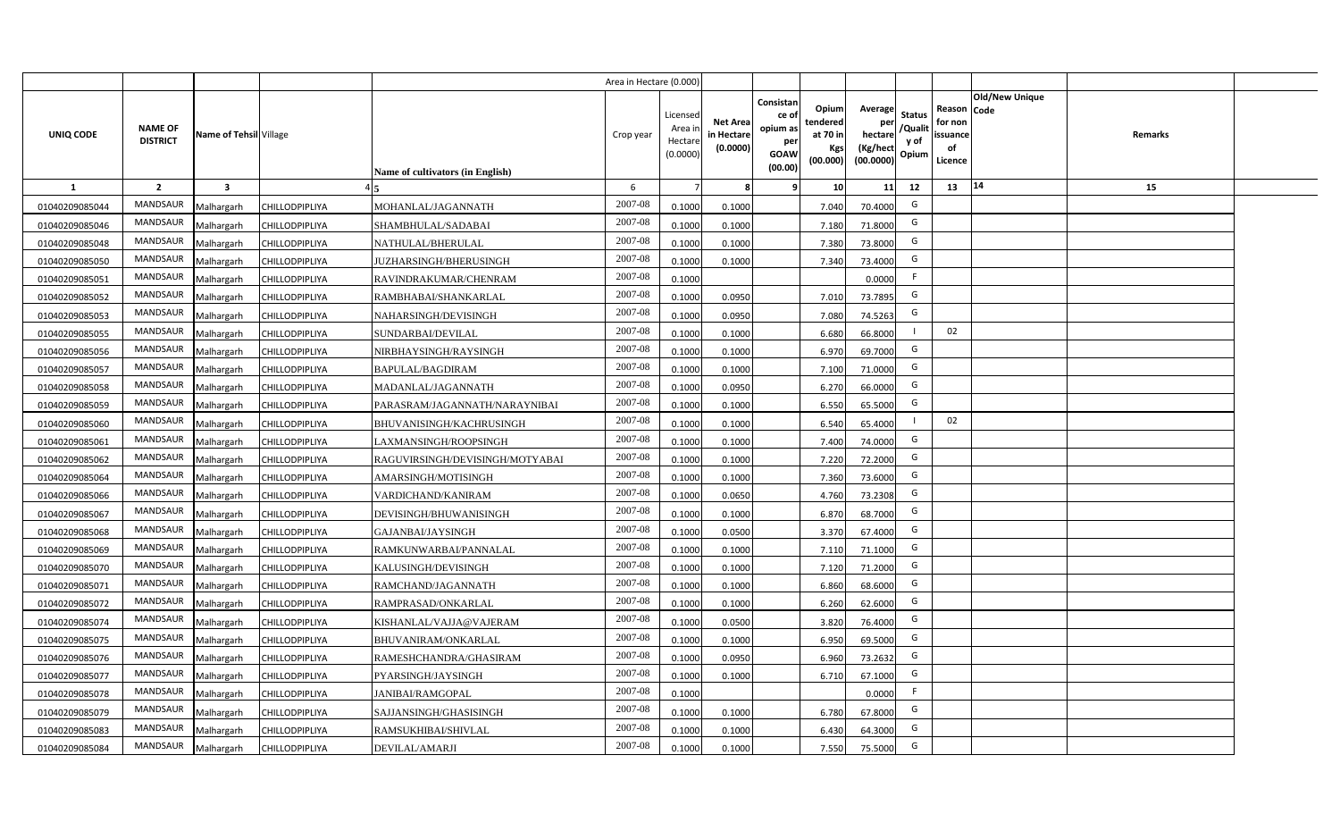|                  |                                   |                         |                       |                                  | Area in Hectare (0.000) |                                           |                                           |                                                         |                                                  |                                                    |                                           |                                                     |                                  |  |
|------------------|-----------------------------------|-------------------------|-----------------------|----------------------------------|-------------------------|-------------------------------------------|-------------------------------------------|---------------------------------------------------------|--------------------------------------------------|----------------------------------------------------|-------------------------------------------|-----------------------------------------------------|----------------------------------|--|
| <b>UNIQ CODE</b> | <b>NAME OF</b><br><b>DISTRICT</b> | Name of Tehsil Village  |                       | Name of cultivators (in English) | Crop year               | Licensed<br>Area i<br>Hectare<br>(0.0000) | <b>Net Area</b><br>in Hectare<br>(0.0000) | Consistan<br>ce o<br>opium as<br>per<br>GOAW<br>(00.00) | Opium<br>tendered<br>at 70 in<br>Kgs<br>(00.000) | Average<br>per<br>hectare<br>(Kg/hect<br>(00.0000) | <b>Status</b><br>/Qualit<br>y of<br>Opium | Reason Code<br>for non<br>issuance<br>of<br>Licence | <b>Old/New Unique</b><br>Remarks |  |
| 1                | $\overline{2}$                    | $\overline{\mathbf{3}}$ |                       |                                  | 6                       |                                           | 8                                         | ۹                                                       | 10                                               | 11                                                 | 12                                        | 13                                                  | 14<br>15                         |  |
| 01040209085044   | <b>MANDSAUR</b>                   | Malhargarh              | CHILLODPIPLIYA        | MOHANLAL/JAGANNATH               | 2007-08                 | 0.1000                                    | 0.1000                                    |                                                         | 7.040                                            | 70.4000                                            | G                                         |                                                     |                                  |  |
| 01040209085046   | <b>MANDSAUR</b>                   | Malhargarh              | CHILLODPIPLIYA        | SHAMBHULAL/SADABAI               | 2007-08                 | 0.1000                                    | 0.1000                                    |                                                         | 7.180                                            | 71.8000                                            | G                                         |                                                     |                                  |  |
| 01040209085048   | <b>MANDSAUR</b>                   | Malhargarh              | CHILLODPIPLIYA        | NATHULAL/BHERULAL                | 2007-08                 | 0.1000                                    | 0.1000                                    |                                                         | 7.380                                            | 73.8000                                            | G                                         |                                                     |                                  |  |
| 01040209085050   | <b>MANDSAUR</b>                   | Malhargarh              | CHILLODPIPLIYA        | JUZHARSINGH/BHERUSINGH           | 2007-08                 | 0.1000                                    | 0.1000                                    |                                                         | 7.340                                            | 73.4000                                            | G                                         |                                                     |                                  |  |
| 01040209085051   | <b>MANDSAUR</b>                   | Malhargarh              | CHILLODPIPLIYA        | RAVINDRAKUMAR/CHENRAM            | 2007-08                 | 0.1000                                    |                                           |                                                         |                                                  | 0.0000                                             | F                                         |                                                     |                                  |  |
| 01040209085052   | <b>MANDSAUR</b>                   | Malhargarh              | CHILLODPIPLIYA        | RAMBHABAI/SHANKARLAL             | 2007-08                 | 0.1000                                    | 0.0950                                    |                                                         | 7.010                                            | 73.7895                                            | G                                         |                                                     |                                  |  |
| 01040209085053   | <b>MANDSAUR</b>                   | Malhargarh              | <b>CHILLODPIPLIYA</b> | NAHARSINGH/DEVISINGH             | 2007-08                 | 0.1000                                    | 0.0950                                    |                                                         | 7.080                                            | 74.5263                                            | G                                         |                                                     |                                  |  |
| 01040209085055   | <b>MANDSAUR</b>                   | Malhargarh              | CHILLODPIPLIYA        | SUNDARBAI/DEVILAL                | 2007-08                 | 0.1000                                    | 0.1000                                    |                                                         | 6.680                                            | 66.8000                                            |                                           | 02                                                  |                                  |  |
| 01040209085056   | <b>MANDSAUR</b>                   | Malhargarh              | CHILLODPIPLIYA        | NIRBHAYSINGH/RAYSINGH            | 2007-08                 | 0.1000                                    | 0.1000                                    |                                                         | 6.970                                            | 69.7000                                            | G                                         |                                                     |                                  |  |
| 01040209085057   | MANDSAUR                          | Malhargarh              | CHILLODPIPLIYA        | <b>BAPULAL/BAGDIRAM</b>          | 2007-08                 | 0.1000                                    | 0.1000                                    |                                                         | 7.100                                            | 71.0000                                            | G                                         |                                                     |                                  |  |
| 01040209085058   | <b>MANDSAUR</b>                   | Malhargarh              | CHILLODPIPLIYA        | MADANLAL/JAGANNATH               | 2007-08                 | 0.1000                                    | 0.0950                                    |                                                         | 6.270                                            | 66.0000                                            | G                                         |                                                     |                                  |  |
| 01040209085059   | <b>MANDSAUR</b>                   | Malhargarh              | CHILLODPIPLIYA        | PARASRAM/JAGANNATH/NARAYNIBAI    | 2007-08                 | 0.1000                                    | 0.1000                                    |                                                         | 6.550                                            | 65.5000                                            | G                                         |                                                     |                                  |  |
| 01040209085060   | <b>MANDSAUR</b>                   | Malhargarh              | CHILLODPIPLIYA        | BHUVANISINGH/KACHRUSINGH         | 2007-08                 | 0.1000                                    | 0.1000                                    |                                                         | 6.540                                            | 65.4000                                            |                                           | 02                                                  |                                  |  |
| 01040209085061   | <b>MANDSAUR</b>                   | Malhargarh              | <b>CHILLODPIPLIYA</b> | LAXMANSINGH/ROOPSINGH            | 2007-08                 | 0.1000                                    | 0.1000                                    |                                                         | 7.400                                            | 74.0000                                            | G                                         |                                                     |                                  |  |
| 01040209085062   | MANDSAUR                          | Malhargarh              | CHILLODPIPLIYA        | RAGUVIRSINGH/DEVISINGH/MOTYABAI  | 2007-08                 | 0.1000                                    | 0.1000                                    |                                                         | 7.220                                            | 72.2000                                            | G                                         |                                                     |                                  |  |
| 01040209085064   | MANDSAUR                          | Malhargarh              | CHILLODPIPLIYA        | AMARSINGH/MOTISINGH              | 2007-08                 | 0.1000                                    | 0.1000                                    |                                                         | 7.360                                            | 73.6000                                            | G                                         |                                                     |                                  |  |
| 01040209085066   | <b>MANDSAUR</b>                   | Malhargarh              | CHILLODPIPLIYA        | VARDICHAND/KANIRAM               | 2007-08                 | 0.1000                                    | 0.0650                                    |                                                         | 4.760                                            | 73.2308                                            | G                                         |                                                     |                                  |  |
| 01040209085067   | <b>MANDSAUR</b>                   | Malhargarh              | CHILLODPIPLIYA        | DEVISINGH/BHUWANISINGH           | 2007-08                 | 0.1000                                    | 0.1000                                    |                                                         | 6.870                                            | 68.7000                                            | G                                         |                                                     |                                  |  |
| 01040209085068   | <b>MANDSAUR</b>                   | Malhargarh              | <b>CHILLODPIPLIYA</b> | GAJANBAI/JAYSINGH                | 2007-08                 | 0.1000                                    | 0.0500                                    |                                                         | 3.370                                            | 67.4000                                            | G                                         |                                                     |                                  |  |
| 01040209085069   | MANDSAUR                          | Malhargarh              | CHILLODPIPLIYA        | RAMKUNWARBAI/PANNALAL            | 2007-08                 | 0.1000                                    | 0.1000                                    |                                                         | 7.11                                             | 71.1000                                            | G                                         |                                                     |                                  |  |
| 01040209085070   | <b>MANDSAUR</b>                   | Malhargarh              | CHILLODPIPLIYA        | KALUSINGH/DEVISINGH              | 2007-08                 | 0.1000                                    | 0.1000                                    |                                                         | 7.120                                            | 71.2000                                            | G                                         |                                                     |                                  |  |
| 01040209085071   | <b>MANDSAUR</b>                   | Malhargarh              | CHILLODPIPLIYA        | RAMCHAND/JAGANNATH               | $2007 - 08$             | 0.1000                                    | 0.1000                                    |                                                         | 6.860                                            | 68.6000                                            | G                                         |                                                     |                                  |  |
| 01040209085072   | <b>MANDSAUR</b>                   | Malhargarh              | CHILLODPIPLIYA        | RAMPRASAD/ONKARLAL               | 2007-08                 | 0.1000                                    | 0.1000                                    |                                                         | 6.260                                            | 62.6000                                            | G                                         |                                                     |                                  |  |
| 01040209085074   | <b>MANDSAUR</b>                   | Malhargarh              | <b>CHILLODPIPLIYA</b> | KISHANLAL/VAJJA@VAJERAM          | 2007-08                 | 0.1000                                    | 0.0500                                    |                                                         | 3.820                                            | 76.4000                                            | G                                         |                                                     |                                  |  |
| 01040209085075   | <b>MANDSAUR</b>                   | Malhargarh              | CHILLODPIPLIYA        | BHUVANIRAM/ONKARLAL              | 2007-08                 | 0.1000                                    | 0.1000                                    |                                                         | 6.950                                            | 69.5000                                            | G                                         |                                                     |                                  |  |
| 01040209085076   | <b>MANDSAUR</b>                   | Malhargarh              | <b>CHILLODPIPLIYA</b> | RAMESHCHANDRA/GHASIRAM           | 2007-08                 | 0.1000                                    | 0.0950                                    |                                                         | 6.960                                            | 73.2632                                            | G                                         |                                                     |                                  |  |
| 01040209085077   | <b>MANDSAUR</b>                   | Malhargarh              | CHILLODPIPLIYA        | PYARSINGH/JAYSINGH               | 2007-08                 | 0.1000                                    | 0.1000                                    |                                                         | 6.710                                            | 67.1000                                            | G                                         |                                                     |                                  |  |
| 01040209085078   | MANDSAUR                          | Malhargarh              | CHILLODPIPLIYA        | JANIBAI/RAMGOPAL                 | 2007-08                 | 0.1000                                    |                                           |                                                         |                                                  | 0.0000                                             | F                                         |                                                     |                                  |  |
| 01040209085079   | MANDSAUR                          | Malhargarh              | <b>CHILLODPIPLIYA</b> | SAJJANSINGH/GHASISINGH           | 2007-08                 | 0.1000                                    | 0.1000                                    |                                                         | 6.780                                            | 67.8000                                            | G                                         |                                                     |                                  |  |
| 01040209085083   | MANDSAUR                          | Malhargarh              | CHILLODPIPLIYA        | RAMSUKHIBAI/SHIVLAL              | 2007-08                 | 0.1000                                    | 0.1000                                    |                                                         | 6.430                                            | 64.3000                                            | G                                         |                                                     |                                  |  |
| 01040209085084   | MANDSAUR                          | Malhargarh              | <b>CHILLODPIPLIYA</b> | DEVILAL/AMARJI                   | 2007-08                 | 0.1000                                    | 0.1000                                    |                                                         | 7.550                                            | 75.5000                                            | G                                         |                                                     |                                  |  |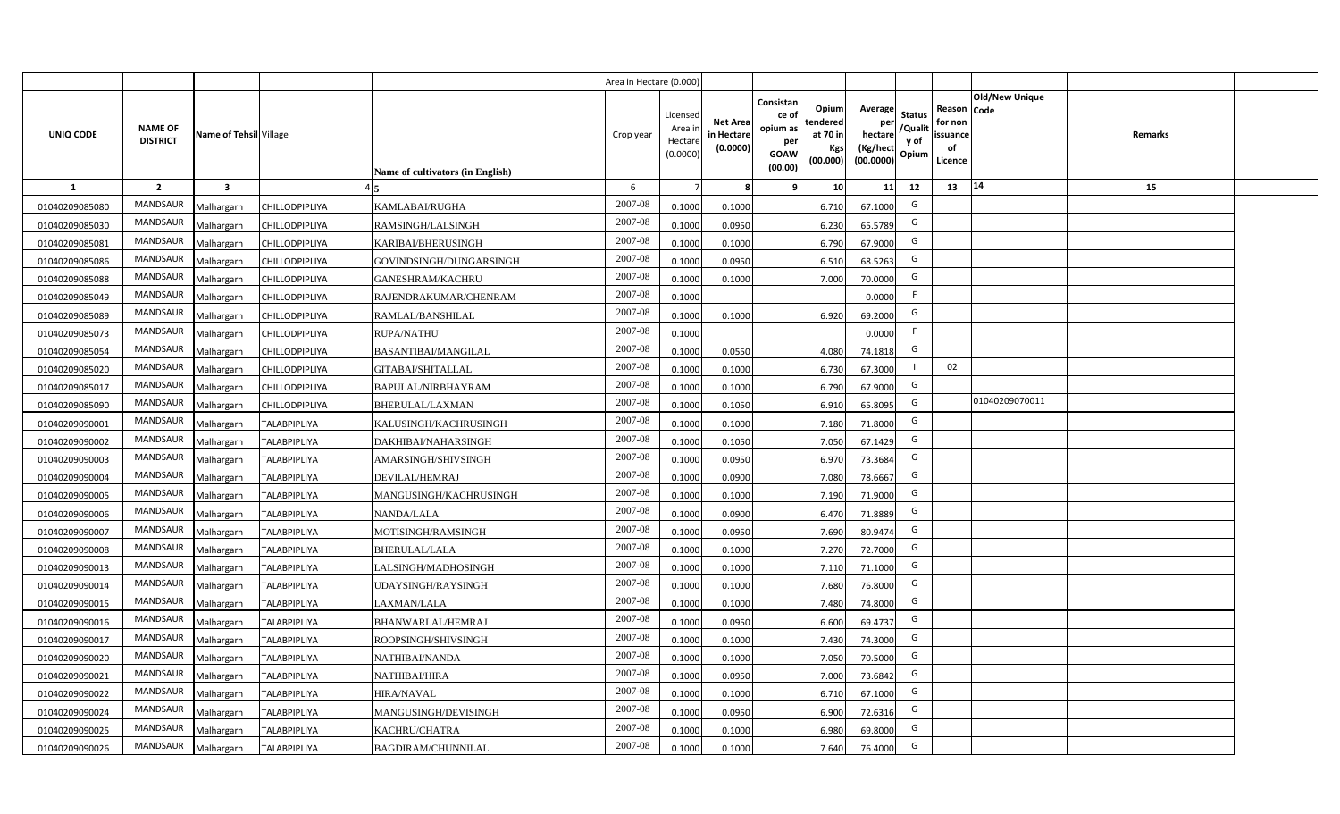|                |                                   |                         |                       |                                         | Area in Hectare (0.000) |                                           |                                           |                                                                |                                                         |                                                    |                                           |                                                     |                                  |  |
|----------------|-----------------------------------|-------------------------|-----------------------|-----------------------------------------|-------------------------|-------------------------------------------|-------------------------------------------|----------------------------------------------------------------|---------------------------------------------------------|----------------------------------------------------|-------------------------------------------|-----------------------------------------------------|----------------------------------|--|
| UNIQ CODE      | <b>NAME OF</b><br><b>DISTRICT</b> | Name of Tehsil Village  |                       | <b>Name of cultivators (in English)</b> | Crop year               | Licensed<br>Area i<br>Hectare<br>(0.0000) | <b>Net Area</b><br>in Hectare<br>(0.0000) | Consistan<br>ce o<br>opium as<br>per<br><b>GOAW</b><br>(00.00) | Opium<br>tendered<br>at 70 in<br><b>Kgs</b><br>(00.000) | Average<br>per<br>hectare<br>(Kg/hect<br>(00.0000) | <b>Status</b><br>/Qualit<br>y of<br>Opium | Reason Code<br>for non<br>issuance<br>of<br>Licence | <b>Old/New Unique</b><br>Remarks |  |
| 1              | $\overline{2}$                    | $\overline{\mathbf{3}}$ |                       |                                         | 6                       |                                           | -8                                        | 9                                                              | 10 <sup>1</sup>                                         | 11                                                 | 12                                        | 13                                                  | 14<br>15                         |  |
| 01040209085080 | MANDSAUR                          | Malhargarh              | <b>CHILLODPIPLIYA</b> | KAMLABAI/RUGHA                          | 2007-08                 | 0.1000                                    | 0.1000                                    |                                                                | 6.710                                                   | 67.1000                                            | G                                         |                                                     |                                  |  |
| 01040209085030 | MANDSAUR                          | Malhargarh              | CHILLODPIPLIYA        | RAMSINGH/LALSINGH                       | 2007-08                 | 0.1000                                    | 0.0950                                    |                                                                | 6.230                                                   | 65.5789                                            | G                                         |                                                     |                                  |  |
| 01040209085081 | <b>MANDSAUR</b>                   | Malhargarh              | CHILLODPIPLIYA        | KARIBAI/BHERUSINGH                      | 2007-08                 | 0.1000                                    | 0.1000                                    |                                                                | 6.790                                                   | 67.9000                                            | G                                         |                                                     |                                  |  |
| 01040209085086 | <b>MANDSAUR</b>                   | Malhargarh              | CHILLODPIPLIYA        | GOVINDSINGH/DUNGARSINGH                 | 2007-08                 | 0.1000                                    | 0.0950                                    |                                                                | 6.510                                                   | 68.5263                                            | G                                         |                                                     |                                  |  |
| 01040209085088 | MANDSAUR                          | Malhargarh              | CHILLODPIPLIYA        | <b>GANESHRAM/KACHRU</b>                 | 2007-08                 | 0.1000                                    | 0.1000                                    |                                                                | 7.000                                                   | 70.0000                                            | G                                         |                                                     |                                  |  |
| 01040209085049 | <b>MANDSAUR</b>                   | Malhargarh              | CHILLODPIPLIYA        | RAJENDRAKUMAR/CHENRAM                   | 2007-08                 | 0.1000                                    |                                           |                                                                |                                                         | 0.0000                                             | F                                         |                                                     |                                  |  |
| 01040209085089 | MANDSAUR                          | Malhargarh              | <b>CHILLODPIPLIYA</b> | RAMLAL/BANSHILAL                        | 2007-08                 | 0.1000                                    | 0.1000                                    |                                                                | 6.920                                                   | 69.2000                                            | G                                         |                                                     |                                  |  |
| 01040209085073 | MANDSAUR                          | Malhargarh              | <b>CHILLODPIPLIYA</b> | <b>RUPA/NATHU</b>                       | 2007-08                 | 0.1000                                    |                                           |                                                                |                                                         | 0.0000                                             | F                                         |                                                     |                                  |  |
| 01040209085054 | <b>MANDSAUR</b>                   | Malhargarh              | CHILLODPIPLIYA        | <b>BASANTIBAI/MANGILAL</b>              | 2007-08                 | 0.1000                                    | 0.0550                                    |                                                                | 4.080                                                   | 74.1818                                            | G                                         |                                                     |                                  |  |
| 01040209085020 | <b>MANDSAUR</b>                   | Malhargarh              | <b>CHILLODPIPLIYA</b> | GITABAI/SHITALLAL                       | 2007-08                 | 0.1000                                    | 0.1000                                    |                                                                | 6.730                                                   | 67.3000                                            |                                           | 02                                                  |                                  |  |
| 01040209085017 | <b>MANDSAUR</b>                   | Malhargarh              | CHILLODPIPLIYA        | BAPULAL/NIRBHAYRAM                      | 2007-08                 | 0.1000                                    | 0.1000                                    |                                                                | 6.790                                                   | 67.9000                                            | G                                         |                                                     |                                  |  |
| 01040209085090 | MANDSAUR                          | Malhargarh              | <b>CHILLODPIPLIYA</b> | <b>BHERULAL/LAXMAN</b>                  | 2007-08                 | 0.1000                                    | 0.1050                                    |                                                                | 6.910                                                   | 65.8095                                            | G                                         |                                                     | 01040209070011                   |  |
| 01040209090001 | MANDSAUR                          | Malhargarh              | <b>TALABPIPLIYA</b>   | KALUSINGH/KACHRUSINGH                   | 2007-08                 | 0.1000                                    | 0.1000                                    |                                                                | 7.180                                                   | 71.8000                                            | G                                         |                                                     |                                  |  |
| 01040209090002 | MANDSAUR                          | Malhargarh              | <b>TALABPIPLIYA</b>   | DAKHIBAI/NAHARSINGH                     | 2007-08                 | 0.1000                                    | 0.1050                                    |                                                                | 7.050                                                   | 67.1429                                            | G                                         |                                                     |                                  |  |
| 01040209090003 | MANDSAUR                          | Malhargarh              | <b>TALABPIPLIYA</b>   | AMARSINGH/SHIVSINGH                     | 2007-08                 | 0.1000                                    | 0.0950                                    |                                                                | 6.970                                                   | 73.3684                                            | G                                         |                                                     |                                  |  |
| 01040209090004 | MANDSAUR                          | Malhargarh              | <b>TALABPIPLIYA</b>   | DEVILAL/HEMRAJ                          | 2007-08                 | 0.1000                                    | 0.0900                                    |                                                                | 7.080                                                   | 78.6667                                            | G                                         |                                                     |                                  |  |
| 01040209090005 | <b>MANDSAUR</b>                   | Malhargarh              | <b>TALABPIPLIYA</b>   | MANGUSINGH/KACHRUSINGH                  | 2007-08                 | 0.1000                                    | 0.1000                                    |                                                                | 7.190                                                   | 71.9000                                            | G                                         |                                                     |                                  |  |
| 01040209090006 | <b>MANDSAUR</b>                   | Malhargarh              | <b>TALABPIPLIYA</b>   | NANDA/LALA                              | 2007-08                 | 0.1000                                    | 0.0900                                    |                                                                | 6.470                                                   | 71.8889                                            | G                                         |                                                     |                                  |  |
| 01040209090007 | MANDSAUR                          | Malhargarh              | <b>TALABPIPLIYA</b>   | MOTISINGH/RAMSINGH                      | 2007-08                 | 0.1000                                    | 0.0950                                    |                                                                | 7.690                                                   | 80.9474                                            | G                                         |                                                     |                                  |  |
| 01040209090008 | <b>MANDSAUR</b>                   | Malhargarh              | <b>TALABPIPLIYA</b>   | <b>BHERULAL/LALA</b>                    | 2007-08                 | 0.1000                                    | 0.1000                                    |                                                                | 7.270                                                   | 72.7000                                            | G                                         |                                                     |                                  |  |
| 01040209090013 | MANDSAUR                          | Malhargarh              | <b>TALABPIPLIYA</b>   | LALSINGH/MADHOSINGH                     | 2007-08                 | 0.1000                                    | 0.1000                                    |                                                                | 7.110                                                   | 71.1000                                            | G                                         |                                                     |                                  |  |
| 01040209090014 | <b>MANDSAUR</b>                   | Malhargarh              | <b>TALABPIPLIYA</b>   | UDAYSINGH/RAYSINGH                      | 2007-08                 | 0.1000                                    | 0.1000                                    |                                                                | 7.680                                                   | 76.8000                                            | G                                         |                                                     |                                  |  |
| 01040209090015 | <b>MANDSAUR</b>                   | Malhargarh              | <b>TALABPIPLIYA</b>   | LAXMAN/LALA                             | 2007-08                 | 0.1000                                    | 0.1000                                    |                                                                | 7.480                                                   | 74.8000                                            | G                                         |                                                     |                                  |  |
| 01040209090016 | MANDSAUR                          | Malhargarh              | <b>TALABPIPLIYA</b>   | <b>BHANWARLAL/HEMRAJ</b>                | 2007-08                 | 0.1000                                    | 0.0950                                    |                                                                | 6.600                                                   | 69.4737                                            | G                                         |                                                     |                                  |  |
| 01040209090017 | <b>MANDSAUR</b>                   | Malhargarh              | <b>TALABPIPLIYA</b>   | ROOPSINGH/SHIVSINGH                     | $2007 - 08$             | 0.1000                                    | 0.1000                                    |                                                                | 7.430                                                   | 74.3000                                            | G                                         |                                                     |                                  |  |
| 01040209090020 | <b>MANDSAUR</b>                   | Malhargarh              | TALABPIPLIYA          | NATHIBAI/NANDA                          | 2007-08                 | 0.1000                                    | 0.1000                                    |                                                                | 7.050                                                   | 70.5000                                            | G                                         |                                                     |                                  |  |
| 01040209090021 | MANDSAUR                          | Malhargarh              | <b>TALABPIPLIYA</b>   | NATHIBAI/HIRA                           | 2007-08                 | 0.1000                                    | 0.0950                                    |                                                                | 7.000                                                   | 73.6842                                            | G                                         |                                                     |                                  |  |
| 01040209090022 | MANDSAUR                          | Malhargarh              | TALABPIPLIYA          | <b>HIRA/NAVAL</b>                       | 2007-08                 | 0.1000                                    | 0.1000                                    |                                                                | 6.710                                                   | 67.1000                                            | G                                         |                                                     |                                  |  |
| 01040209090024 | MANDSAUR                          | Malhargarh              | <b>TALABPIPLIYA</b>   | MANGUSINGH/DEVISINGH                    | 2007-08                 | 0.1000                                    | 0.0950                                    |                                                                | 6.900                                                   | 72.6316                                            | G                                         |                                                     |                                  |  |
| 01040209090025 | MANDSAUR                          | Malhargarh              | <b>TALABPIPLIYA</b>   | KACHRU/CHATRA                           | 2007-08                 | 0.1000                                    | 0.1000                                    |                                                                | 6.980                                                   | 69.8000                                            | G                                         |                                                     |                                  |  |
| 01040209090026 | MANDSAUR                          | Malhargarh              | <b>TALABPIPLIYA</b>   | <b>BAGDIRAM/CHUNNILAL</b>               | 2007-08                 | 0.1000                                    | 0.1000                                    |                                                                | 7.640                                                   | 76.4000                                            | G                                         |                                                     |                                  |  |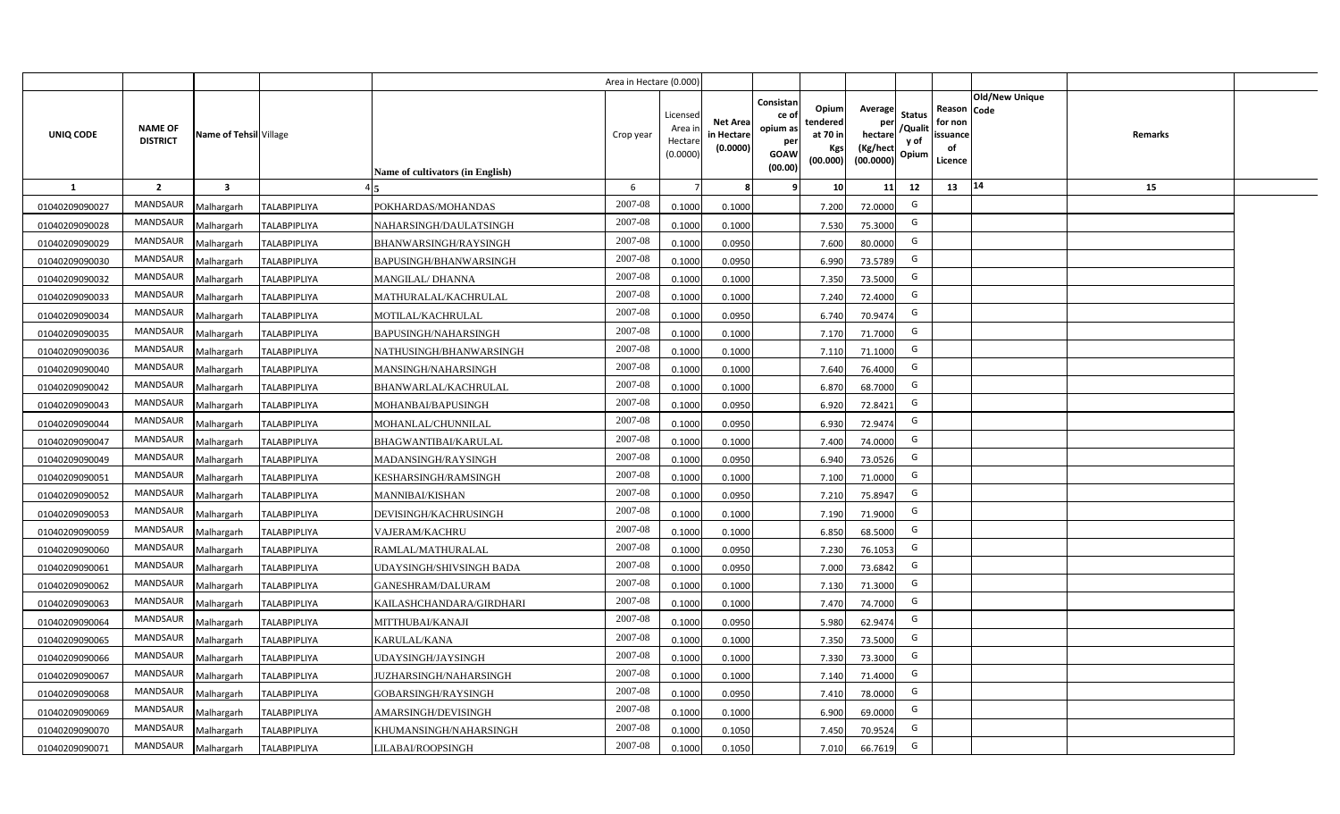|                |                                   |                         |                     |                                  | Area in Hectare (0.000) |                                           |                                           |                                                                                                                     |                                                    |                                           |                                                     |                       |                |  |
|----------------|-----------------------------------|-------------------------|---------------------|----------------------------------|-------------------------|-------------------------------------------|-------------------------------------------|---------------------------------------------------------------------------------------------------------------------|----------------------------------------------------|-------------------------------------------|-----------------------------------------------------|-----------------------|----------------|--|
| UNIQ CODE      | <b>NAME OF</b><br><b>DISTRICT</b> | Name of Tehsil Village  |                     | Name of cultivators (in English) | Crop year               | Licensed<br>Area i<br>Hectare<br>(0.0000) | <b>Net Area</b><br>in Hectare<br>(0.0000) | Consistan<br>Opium<br>ce of<br>tendered<br>opium as<br>at 70 in<br>per<br>Kgs<br><b>GOAW</b><br>(00.000)<br>(00.00) | Average<br>per<br>hectare<br>(Kg/hect<br>(00.0000) | <b>Status</b><br>/Qualit<br>y of<br>Opium | Reason Code<br>for non<br>issuance<br>of<br>Licence | <b>Old/New Unique</b> | <b>Remarks</b> |  |
| $\mathbf{1}$   | $\overline{2}$                    | $\overline{\mathbf{3}}$ |                     |                                  | 6                       |                                           | 8                                         | 10<br>9                                                                                                             | 11                                                 | 12                                        | 13                                                  | 14                    | 15             |  |
| 01040209090027 | MANDSAUR                          | Malhargarh              | <b>TALABPIPLIYA</b> | POKHARDAS/MOHANDAS               | 2007-08                 | 0.1000                                    | 0.1000                                    | 7.200                                                                                                               | 72.0000                                            | G                                         |                                                     |                       |                |  |
| 01040209090028 | MANDSAUR                          | Malhargarh              | <b>TALABPIPLIYA</b> | NAHARSINGH/DAULATSINGH           | 2007-08                 | 0.1000                                    | 0.1000                                    | 7.530                                                                                                               | 75.3000                                            | G                                         |                                                     |                       |                |  |
| 01040209090029 | <b>MANDSAUR</b>                   | Malhargarh              | <b>TALABPIPLIYA</b> | BHANWARSINGH/RAYSINGH            | 2007-08                 | 0.1000                                    | 0.0950                                    | 7.600                                                                                                               | 80.0000                                            | G                                         |                                                     |                       |                |  |
| 01040209090030 | MANDSAUR                          | Malhargarh              | <b>TALABPIPLIYA</b> | BAPUSINGH/BHANWARSINGH           | 2007-08                 | 0.1000                                    | 0.0950                                    | 6.990                                                                                                               | 73.5789                                            | G                                         |                                                     |                       |                |  |
| 01040209090032 | MANDSAUR                          | Malhargarh              | <b>TALABPIPLIYA</b> | <b>MANGILAL/ DHANNA</b>          | 2007-08                 | 0.1000                                    | 0.1000                                    | 7.350                                                                                                               | 73.5000                                            | G                                         |                                                     |                       |                |  |
| 01040209090033 | <b>MANDSAUR</b>                   | Malhargarh              | <b>TALABPIPLIYA</b> | MATHURALAL/KACHRULAL             | 2007-08                 | 0.1000                                    | 0.1000                                    | 7.240                                                                                                               | 72.4000                                            | G                                         |                                                     |                       |                |  |
| 01040209090034 | MANDSAUR                          | Malhargarh              | <b>TALABPIPLIYA</b> | MOTILAL/KACHRULAL                | 2007-08                 | 0.1000                                    | 0.0950                                    | 6.740                                                                                                               | 70.9474                                            | G                                         |                                                     |                       |                |  |
| 01040209090035 | MANDSAUR                          | Malhargarh              | <b>TALABPIPLIYA</b> | <b>BAPUSINGH/NAHARSINGH</b>      | 2007-08                 | 0.1000                                    | 0.1000                                    | 7.170                                                                                                               | 71.7000                                            | G                                         |                                                     |                       |                |  |
| 01040209090036 | MANDSAUR                          | Malhargarh              | <b>TALABPIPLIYA</b> | NATHUSINGH/BHANWARSINGH          | 2007-08                 | 0.1000                                    | 0.1000                                    | 7.110                                                                                                               | 71.1000                                            | G                                         |                                                     |                       |                |  |
| 01040209090040 | MANDSAUR                          | Malhargarh              | <b>TALABPIPLIYA</b> | MANSINGH/NAHARSINGH              | 2007-08                 | 0.1000                                    | 0.1000                                    | 7.640                                                                                                               | 76.4000                                            | G                                         |                                                     |                       |                |  |
| 01040209090042 | MANDSAUR                          | Malhargarh              | <b>TALABPIPLIYA</b> | BHANWARLAL/KACHRULAL             | 2007-08                 | 0.1000                                    | 0.1000                                    | 6.870                                                                                                               | 68.7000                                            | G                                         |                                                     |                       |                |  |
| 01040209090043 | MANDSAUR                          | Malhargarh              | <b>TALABPIPLIYA</b> | MOHANBAI/BAPUSINGH               | 2007-08                 | 0.1000                                    | 0.0950                                    | 6.920                                                                                                               | 72.8421                                            | G                                         |                                                     |                       |                |  |
| 01040209090044 | <b>MANDSAUR</b>                   | Malhargarh              | <b>TALABPIPLIYA</b> | MOHANLAL/CHUNNILAL               | 2007-08                 | 0.1000                                    | 0.0950                                    | 6.930                                                                                                               | 72.9474                                            | G                                         |                                                     |                       |                |  |
| 01040209090047 | MANDSAUR                          | Malhargarh              | <b>TALABPIPLIYA</b> | <b>BHAGWANTIBAI/KARULAL</b>      | 2007-08                 | 0.1000                                    | 0.1000                                    | 7.400                                                                                                               | 74.0000                                            | G                                         |                                                     |                       |                |  |
| 01040209090049 | <b>MANDSAUR</b>                   | Malhargarh              | <b>TALABPIPLIYA</b> | MADANSINGH/RAYSINGH              | 2007-08                 | 0.1000                                    | 0.0950                                    | 6.940                                                                                                               | 73.0526                                            | G                                         |                                                     |                       |                |  |
| 01040209090051 | <b>MANDSAUR</b>                   | Malhargarh              | <b>TALABPIPLIYA</b> | KESHARSINGH/RAMSINGH             | 2007-08                 | 0.1000                                    | 0.1000                                    | 7.100                                                                                                               | 71.0000                                            | G                                         |                                                     |                       |                |  |
| 01040209090052 | <b>MANDSAUR</b>                   | Malhargarh              | <b>TALABPIPLIYA</b> | MANNIBAI/KISHAN                  | 2007-08                 | 0.1000                                    | 0.0950                                    | 7.210                                                                                                               | 75.8947                                            | G                                         |                                                     |                       |                |  |
| 01040209090053 | <b>MANDSAUR</b>                   | Malhargarh              | <b>TALABPIPLIYA</b> | DEVISINGH/KACHRUSINGH            | 2007-08                 | 0.1000                                    | 0.1000                                    | 7.190                                                                                                               | 71.9000                                            | G                                         |                                                     |                       |                |  |
| 01040209090059 | <b>MANDSAUR</b>                   | Malhargarh              | <b>TALABPIPLIYA</b> | VAJERAM/KACHRU                   | 2007-08                 | 0.1000                                    | 0.1000                                    | 6.850                                                                                                               | 68.5000                                            | G                                         |                                                     |                       |                |  |
| 01040209090060 | <b>MANDSAUR</b>                   | Malhargarh              | <b>TALABPIPLIYA</b> | RAMLAL/MATHURALAL                | 2007-08                 | 0.1000                                    | 0.0950                                    | 7.230                                                                                                               | 76.1053                                            | G                                         |                                                     |                       |                |  |
| 01040209090061 | <b>MANDSAUR</b>                   | Malhargarh              | <b>TALABPIPLIYA</b> | UDAYSINGH/SHIVSINGH BADA         | 2007-08                 | 0.1000                                    | 0.0950                                    | 7.000                                                                                                               | 73.6842                                            | G                                         |                                                     |                       |                |  |
| 01040209090062 | <b>MANDSAUR</b>                   | Malhargarh              | <b>TALABPIPLIYA</b> | GANESHRAM/DALURAM                | 2007-08                 | 0.1000                                    | 0.1000                                    | 7.130                                                                                                               | 71.3000                                            | G                                         |                                                     |                       |                |  |
| 01040209090063 | <b>MANDSAUR</b>                   | Malhargarh              | <b>TALABPIPLIYA</b> | KAILASHCHANDARA/GIRDHARI         | 2007-08                 | 0.1000                                    | 0.1000                                    | 7.470                                                                                                               | 74.7000                                            | G                                         |                                                     |                       |                |  |
| 01040209090064 | MANDSAUR                          | Malhargarh              | <b>TALABPIPLIYA</b> | MITTHUBAI/KANAJI                 | 2007-08                 | 0.1000                                    | 0.0950                                    | 5.980                                                                                                               | 62.9474                                            | G                                         |                                                     |                       |                |  |
| 01040209090065 | MANDSAUR                          | Malhargarh              | <b>TALABPIPLIYA</b> | KARULAL/KANA                     | 2007-08                 | 0.1000                                    | 0.1000                                    | 7.350                                                                                                               | 73.5000                                            | G                                         |                                                     |                       |                |  |
| 01040209090066 | MANDSAUR                          | Malhargarh              | <b>TALABPIPLIYA</b> | UDAYSINGH/JAYSINGH               | 2007-08                 | 0.1000                                    | 0.1000                                    | 7.330                                                                                                               | 73.3000                                            | G                                         |                                                     |                       |                |  |
| 01040209090067 | MANDSAUR                          | Malhargarh              | <b>TALABPIPLIYA</b> | <b>JUZHARSINGH/NAHARSINGH</b>    | 2007-08                 | 0.1000                                    | 0.1000                                    | 7.140                                                                                                               | 71.4000                                            | G                                         |                                                     |                       |                |  |
| 01040209090068 | MANDSAUR                          | Malhargarh              | <b>TALABPIPLIYA</b> | GOBARSINGH/RAYSINGH              | 2007-08                 | 0.1000                                    | 0.0950                                    | 7.410                                                                                                               | 78.0000                                            | G                                         |                                                     |                       |                |  |
| 01040209090069 | MANDSAUR                          | Malhargarh              | <b>TALABPIPLIYA</b> | AMARSINGH/DEVISINGH              | 2007-08                 | 0.1000                                    | 0.1000                                    | 6.900                                                                                                               | 69.0000                                            | G                                         |                                                     |                       |                |  |
| 01040209090070 | <b>MANDSAUR</b>                   | Malhargarh              | <b>TALABPIPLIYA</b> | KHUMANSINGH/NAHARSINGH           | 2007-08                 | 0.1000                                    | 0.1050                                    | 7.450                                                                                                               | 70.9524                                            | G                                         |                                                     |                       |                |  |
| 01040209090071 | MANDSAUR                          | Malhargarh              | <b>TALABPIPLIYA</b> | LILABAI/ROOPSINGH                | 2007-08                 | 0.1000                                    | 0.1050                                    | 7.010                                                                                                               | 66.7619                                            | G                                         |                                                     |                       |                |  |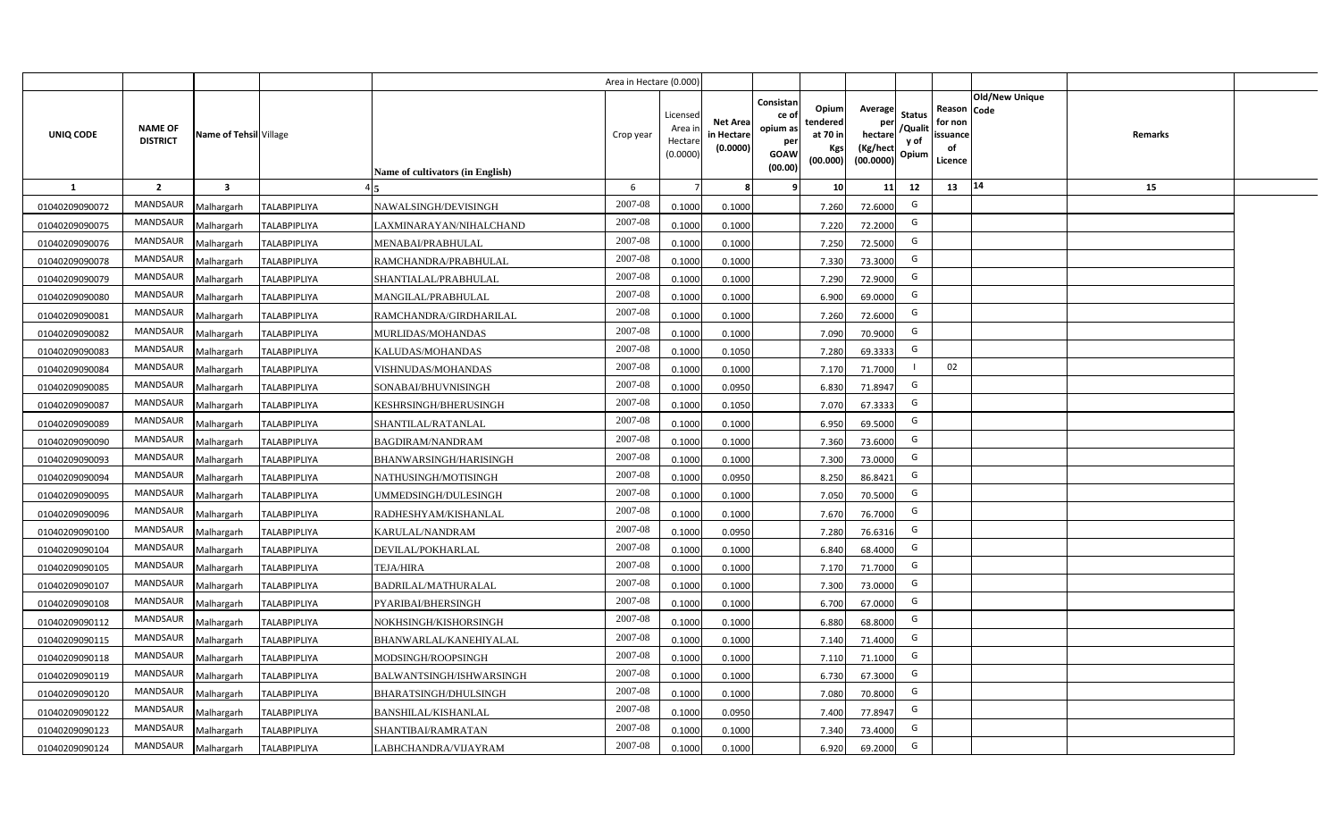|                |                                   |                         |                     |                                  | Area in Hectare (0.000) |                                          |                                           |                                                                |                                                  |                                                    |                                           |                                                                              |         |  |
|----------------|-----------------------------------|-------------------------|---------------------|----------------------------------|-------------------------|------------------------------------------|-------------------------------------------|----------------------------------------------------------------|--------------------------------------------------|----------------------------------------------------|-------------------------------------------|------------------------------------------------------------------------------|---------|--|
| UNIQ CODE      | <b>NAME OF</b><br><b>DISTRICT</b> | Name of Tehsil Village  |                     | Name of cultivators (in English) | Crop year               | Licensec<br>Area i<br>Hectar<br>(0.0000) | <b>Net Area</b><br>in Hectare<br>(0.0000) | Consistan<br>ce o<br>opium as<br>per<br><b>GOAW</b><br>(00.00) | Opium<br>tendered<br>at 70 in<br>Kgs<br>(00.000) | Average<br>per<br>hectare<br>(Kg/hect<br>(00.0000) | <b>Status</b><br>/Qualit<br>y of<br>Opium | <b>Old/New Unique</b><br>Reason Code<br>for non<br>issuance<br>of<br>Licence | Remarks |  |
| $\mathbf{1}$   | $\overline{2}$                    | $\overline{\mathbf{3}}$ |                     |                                  | 6                       |                                          |                                           |                                                                | 10                                               | 11                                                 | 12                                        | 14<br>13                                                                     | 15      |  |
| 01040209090072 | MANDSAUR                          | Malhargarh              | <b>TALABPIPLIYA</b> | NAWALSINGH/DEVISINGH             | 2007-08                 | 0.1000                                   | 0.1000                                    |                                                                | 7.260                                            | 72.6000                                            | G                                         |                                                                              |         |  |
| 01040209090075 | MANDSAUR                          | Malhargarh              | <b>TALABPIPLIYA</b> | LAXMINARAYAN/NIHALCHAND          | 2007-08                 | 0.1000                                   | 0.1000                                    |                                                                | 7.220                                            | 72.2000                                            | G                                         |                                                                              |         |  |
| 01040209090076 | MANDSAUR                          | Malhargarh              | <b>TALABPIPLIYA</b> | MENABAI/PRABHULAL                | 2007-08                 | 0.1000                                   | 0.1000                                    |                                                                | 7.250                                            | 72.5000                                            | G                                         |                                                                              |         |  |
| 01040209090078 | <b>MANDSAUR</b>                   | Malhargarh              | <b>TALABPIPLIYA</b> | RAMCHANDRA/PRABHULAL             | 2007-08                 | 0.100                                    | 0.1000                                    |                                                                | 7.330                                            | 73.3000                                            | G                                         |                                                                              |         |  |
| 01040209090079 | MANDSAUR                          | Malhargarh              | <b>TALABPIPLIYA</b> | SHANTIALAL/PRABHULAL             | 2007-08                 | 0.100                                    | 0.1000                                    |                                                                | 7.290                                            | 72.9000                                            | G                                         |                                                                              |         |  |
| 01040209090080 | MANDSAUR                          | Malhargarh              | <b>TALABPIPLIYA</b> | MANGILAL/PRABHULAL               | 2007-08                 | 0.1000                                   | 0.1000                                    |                                                                | 6.900                                            | 69.0000                                            | G                                         |                                                                              |         |  |
| 01040209090081 | MANDSAUR                          | Malhargarh              | <b>TALABPIPLIYA</b> | RAMCHANDRA/GIRDHARILAL           | 2007-08                 | 0.1000                                   | 0.1000                                    |                                                                | 7.260                                            | 72.6000                                            | G                                         |                                                                              |         |  |
| 01040209090082 | <b>MANDSAUR</b>                   | Malhargarh              | <b>TALABPIPLIYA</b> | MURLIDAS/MOHANDAS                | 2007-08                 | 0.1000                                   | 0.1000                                    |                                                                | 7.090                                            | 70.9000                                            | G                                         |                                                                              |         |  |
| 01040209090083 | MANDSAUR                          | Malhargarh              | <b>TALABPIPLIYA</b> | KALUDAS/MOHANDAS                 | 2007-08                 | 0.100                                    | 0.1050                                    |                                                                | 7.280                                            | 69.3333                                            | G                                         |                                                                              |         |  |
| 01040209090084 | <b>MANDSAUR</b>                   | Malhargarh              | <b>TALABPIPLIYA</b> | VISHNUDAS/MOHANDAS               | 2007-08                 | 0.1000                                   | 0.1000                                    |                                                                | 7.170                                            | 71.7000                                            |                                           | 02                                                                           |         |  |
| 01040209090085 | MANDSAUR                          | Malhargarh              | <b>TALABPIPLIYA</b> | SONABAI/BHUVNISINGH              | 2007-08                 | 0.1000                                   | 0.0950                                    |                                                                | 6.830                                            | 71.8947                                            | G                                         |                                                                              |         |  |
| 01040209090087 | MANDSAUR                          | Malhargarh              | <b>TALABPIPLIYA</b> | KESHRSINGH/BHERUSINGH            | 2007-08                 | 0.1000                                   | 0.1050                                    |                                                                | 7.070                                            | 67.3333                                            | G                                         |                                                                              |         |  |
| 01040209090089 | MANDSAUR                          | Malhargarh              | <b>TALABPIPLIYA</b> | SHANTILAL/RATANLAL               | 2007-08                 | 0.1000                                   | 0.1000                                    |                                                                | 6.950                                            | 69.5000                                            | G                                         |                                                                              |         |  |
| 01040209090090 | MANDSAUR                          | Malhargarh              | <b>TALABPIPLIYA</b> | <b>BAGDIRAM/NANDRAM</b>          | 2007-08                 | 0.1000                                   | 0.1000                                    |                                                                | 7.360                                            | 73.6000                                            | G                                         |                                                                              |         |  |
| 01040209090093 | MANDSAUR                          | Malhargarh              | <b>TALABPIPLIYA</b> | BHANWARSINGH/HARISINGH           | 2007-08                 | 0.1000                                   | 0.1000                                    |                                                                | 7.300                                            | 73.0000                                            | G                                         |                                                                              |         |  |
| 01040209090094 | MANDSAUR                          | Malhargarh              | <b>TALABPIPLIYA</b> | NATHUSINGH/MOTISINGH             | 2007-08                 | 0.1000                                   | 0.0950                                    |                                                                | 8.250                                            | 86.8421                                            | G                                         |                                                                              |         |  |
| 01040209090095 | MANDSAUR                          | Malhargarh              | <b>TALABPIPLIYA</b> | JMMEDSINGH/DULESINGH             | 2007-08                 | 0.100                                    | 0.1000                                    |                                                                | 7.050                                            | 70.5000                                            | G                                         |                                                                              |         |  |
| 01040209090096 | MANDSAUR                          | Malhargarh              | TALABPIPLIYA        | RADHESHYAM/KISHANLAL             | 2007-08                 | 0.100                                    | 0.1000                                    |                                                                | 7.670                                            | 76.7000                                            | G                                         |                                                                              |         |  |
| 01040209090100 | MANDSAUR                          | Malhargarh              | <b>TALABPIPLIYA</b> | KARULAL/NANDRAM                  | 2007-08                 | 0.1000                                   | 0.0950                                    |                                                                | 7.280                                            | 76.6316                                            | G                                         |                                                                              |         |  |
| 01040209090104 | MANDSAUR                          | Malhargarh              | <b>TALABPIPLIYA</b> | DEVILAL/POKHARLAL                | 2007-08                 | 0.100                                    | 0.1000                                    |                                                                | 6.840                                            | 68.4000                                            | G                                         |                                                                              |         |  |
| 01040209090105 | MANDSAUR                          | Malhargarh              | <b>TALABPIPLIYA</b> | <b>TEJA/HIRA</b>                 | $2007 - 08$             | 0.1000                                   | 0.1000                                    |                                                                | 7.170                                            | 71.7000                                            | G                                         |                                                                              |         |  |
| 01040209090107 | <b>MANDSAUR</b>                   | Malhargarh              | <b>TALABPIPLIYA</b> | BADRILAL/MATHURALAL              | 2007-08                 | 0.100                                    | 0.1000                                    |                                                                | 7.300                                            | 73.0000                                            | G                                         |                                                                              |         |  |
| 01040209090108 | <b>MANDSAUR</b>                   | Malhargarh              | TALABPIPLIYA        | PYARIBAI/BHERSINGH               | 2007-08                 | 0.1000                                   | 0.1000                                    |                                                                | 6.700                                            | 67.0000                                            | G                                         |                                                                              |         |  |
| 01040209090112 | MANDSAUR                          | Malhargarh              | TALABPIPLIYA        | NOKHSINGH/KISHORSINGH            | 2007-08                 | 0.1000                                   | 0.1000                                    |                                                                | 6.880                                            | 68.8000                                            | G                                         |                                                                              |         |  |
| 01040209090115 | MANDSAUR                          | Malhargarh              | <b>TALABPIPLIYA</b> | BHANWARLAL/KANEHIYALAL           | 2007-08                 | 0.1000                                   | 0.1000                                    |                                                                | 7.140                                            | 71.4000                                            | G                                         |                                                                              |         |  |
| 01040209090118 | MANDSAUR                          | Malhargarh              | <b>TALABPIPLIYA</b> | MODSINGH/ROOPSINGH               | 2007-08                 | 0.1000                                   | 0.1000                                    |                                                                | 7.110                                            | 71.1000                                            | G                                         |                                                                              |         |  |
| 01040209090119 | MANDSAUR                          | Malhargarh              | <b>TALABPIPLIYA</b> | BALWANTSINGH/ISHWARSINGH         | 2007-08                 | 0.1000                                   | 0.1000                                    |                                                                | 6.730                                            | 67.3000                                            | G                                         |                                                                              |         |  |
| 01040209090120 | MANDSAUR                          | Malhargarh              | <b>TALABPIPLIYA</b> | BHARATSINGH/DHULSINGH            | 2007-08                 | 0.1000                                   | 0.1000                                    |                                                                | 7.080                                            | 70.8000                                            | G                                         |                                                                              |         |  |
| 01040209090122 | MANDSAUR                          | Malhargarh              | <b>TALABPIPLIYA</b> | BANSHILAL/KISHANLAL              | 2007-08                 | 0.1000                                   | 0.0950                                    |                                                                | 7.400                                            | 77.8947                                            | G                                         |                                                                              |         |  |
| 01040209090123 | MANDSAUR                          | Malhargarh              | <b>TALABPIPLIYA</b> | SHANTIBAI/RAMRATAN               | 2007-08                 | 0.1000                                   | 0.1000                                    |                                                                | 7.340                                            | 73.4000                                            | G                                         |                                                                              |         |  |
| 01040209090124 | MANDSAUR                          | Malhargarh              | <b>TALABPIPLIYA</b> | LABHCHANDRA/VIJAYRAM             | 2007-08                 | 0.1000                                   | 0.1000                                    |                                                                | 6.920                                            | 69.2000                                            | G                                         |                                                                              |         |  |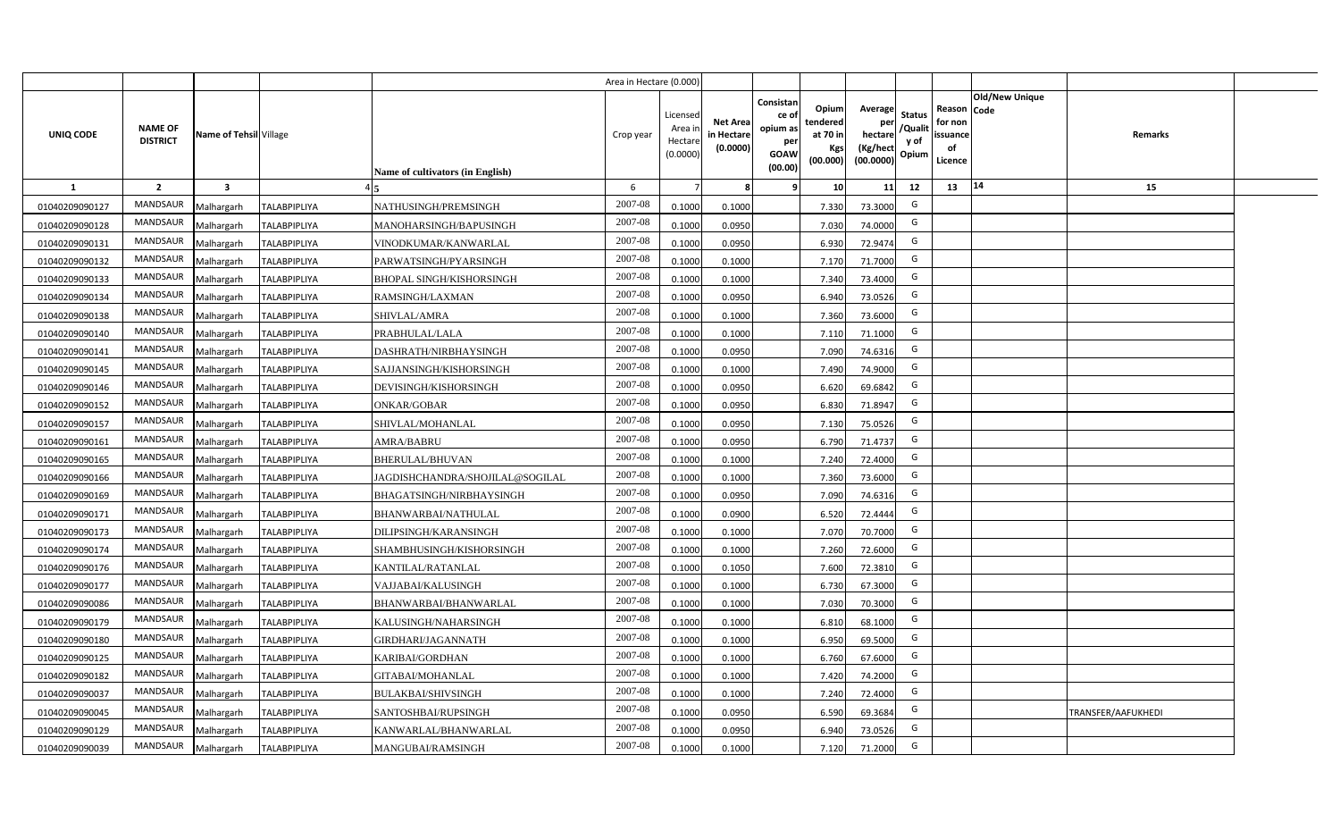|                |                                   |                         |                     |                                  | Area in Hectare (0.000) |                                           |                                           |                                                                                                              |                                                           |                                           |                                                     |                |                    |  |
|----------------|-----------------------------------|-------------------------|---------------------|----------------------------------|-------------------------|-------------------------------------------|-------------------------------------------|--------------------------------------------------------------------------------------------------------------|-----------------------------------------------------------|-------------------------------------------|-----------------------------------------------------|----------------|--------------------|--|
| UNIQ CODE      | <b>NAME OF</b><br><b>DISTRICT</b> | Name of Tehsil Village  |                     | Name of cultivators (in English) | Crop year               | Licensed<br>Area i<br>Hectare<br>(0.0000) | <b>Net Area</b><br>in Hectare<br>(0.0000) | Consistan<br>Opium<br>ce of<br>tendered<br>opium as<br>at 70 in<br>per<br><b>GOAW</b><br>(00.000)<br>(00.00) | Average<br>per<br>hectare<br>(Kg/hect<br>Kgs<br>(00.0000) | <b>Status</b><br>/Qualit<br>y of<br>Opium | Reason Code<br>for non<br>issuance<br>of<br>Licence | Old/New Unique | <b>Remarks</b>     |  |
| $\mathbf{1}$   | $\overline{2}$                    | $\overline{\mathbf{3}}$ |                     |                                  | 6                       |                                           | 8                                         | 9                                                                                                            | 10                                                        | 11<br>12                                  | 13                                                  | 14             | 15                 |  |
| 01040209090127 | <b>MANDSAUR</b>                   | Malhargarh              | <b>TALABPIPLIYA</b> | NATHUSINGH/PREMSINGH             | 2007-08                 | 0.1000                                    | 0.1000                                    | 7.330                                                                                                        | 73.3000                                                   | G                                         |                                                     |                |                    |  |
| 01040209090128 | <b>MANDSAUR</b>                   | Malhargarh              | <b>TALABPIPLIYA</b> | MANOHARSINGH/BAPUSINGH           | 2007-08                 | 0.1000                                    | 0.0950                                    | 7.030                                                                                                        | 74.0000                                                   | G                                         |                                                     |                |                    |  |
| 01040209090131 | <b>MANDSAUR</b>                   | Malhargarh              | <b>TALABPIPLIYA</b> | VINODKUMAR/KANWARLAL             | 2007-08                 | 0.1000                                    | 0.0950                                    | 6.930                                                                                                        | 72.9474                                                   | G                                         |                                                     |                |                    |  |
| 01040209090132 | MANDSAUR                          | Malhargarh              | <b>TALABPIPLIYA</b> | PARWATSINGH/PYARSINGH            | 2007-08                 | 0.1000                                    | 0.1000                                    | 7.170                                                                                                        | 71.7000                                                   | G                                         |                                                     |                |                    |  |
| 01040209090133 | MANDSAUR                          | Malhargarh              | <b>TALABPIPLIYA</b> | <b>BHOPAL SINGH/KISHORSINGH</b>  | 2007-08                 | 0.1000                                    | 0.1000                                    | 7.340                                                                                                        | 73.4000                                                   | G                                         |                                                     |                |                    |  |
| 01040209090134 | <b>MANDSAUR</b>                   | Malhargarh              | <b>TALABPIPLIYA</b> | RAMSINGH/LAXMAN                  | 2007-08                 | 0.1000                                    | 0.0950                                    | 6.940                                                                                                        | 73.0526                                                   | G                                         |                                                     |                |                    |  |
| 01040209090138 | MANDSAUR                          | Malhargarh              | <b>TALABPIPLIYA</b> | SHIVLAL/AMRA                     | 2007-08                 | 0.1000                                    | 0.1000                                    | 7.360                                                                                                        | 73.6000                                                   | G                                         |                                                     |                |                    |  |
| 01040209090140 | <b>MANDSAUR</b>                   | Malhargarh              | <b>TALABPIPLIYA</b> | PRABHULAL/LALA                   | 2007-08                 | 0.1000                                    | 0.1000                                    | 7.110                                                                                                        | 71.1000                                                   | G                                         |                                                     |                |                    |  |
| 01040209090141 | <b>MANDSAUR</b>                   | Malhargarh              | <b>TALABPIPLIYA</b> | DASHRATH/NIRBHAYSINGH            | 2007-08                 | 0.1000                                    | 0.0950                                    | 7.090                                                                                                        | 74.6316                                                   | G                                         |                                                     |                |                    |  |
| 01040209090145 | MANDSAUR                          | Malhargarh              | <b>TALABPIPLIYA</b> | SAJJANSINGH/KISHORSINGH          | 2007-08                 | 0.1000                                    | 0.1000                                    | 7.490                                                                                                        | 74.9000                                                   | G                                         |                                                     |                |                    |  |
| 01040209090146 | <b>MANDSAUR</b>                   | Malhargarh              | <b>TALABPIPLIYA</b> | DEVISINGH/KISHORSINGH            | 2007-08                 | 0.1000                                    | 0.0950                                    | 6.620                                                                                                        | 69.6842                                                   | G                                         |                                                     |                |                    |  |
| 01040209090152 | <b>MANDSAUR</b>                   | Malhargarh              | <b>TALABPIPLIYA</b> | <b>ONKAR/GOBAR</b>               | 2007-08                 | 0.1000                                    | 0.0950                                    | 6.830                                                                                                        | 71.8947                                                   | G                                         |                                                     |                |                    |  |
| 01040209090157 | <b>MANDSAUR</b>                   | Malhargarh              | <b>TALABPIPLIYA</b> | SHIVLAL/MOHANLAL                 | 2007-08                 | 0.1000                                    | 0.0950                                    | 7.130                                                                                                        | 75.0526                                                   | G                                         |                                                     |                |                    |  |
| 01040209090161 | <b>MANDSAUR</b>                   | Malhargarh              | <b>TALABPIPLIYA</b> | <b>AMRA/BABRU</b>                | 2007-08                 | 0.1000                                    | 0.0950                                    | 6.790                                                                                                        | 71.4737                                                   | G                                         |                                                     |                |                    |  |
| 01040209090165 | <b>MANDSAUR</b>                   | Malhargarh              | <b>TALABPIPLIYA</b> | <b>BHERULAL/BHUVAN</b>           | 2007-08                 | 0.1000                                    | 0.1000                                    | 7.240                                                                                                        | 72.4000                                                   | G                                         |                                                     |                |                    |  |
| 01040209090166 | <b>MANDSAUR</b>                   | Malhargarh              | <b>TALABPIPLIYA</b> | JAGDISHCHANDRA/SHOJILAL@SOGILAL  | 2007-08                 | 0.1000                                    | 0.1000                                    | 7.360                                                                                                        | 73.6000                                                   | G                                         |                                                     |                |                    |  |
| 01040209090169 | <b>MANDSAUR</b>                   | Malhargarh              | <b>TALABPIPLIYA</b> | BHAGATSINGH/NIRBHAYSINGH         | 2007-08                 | 0.1000                                    | 0.0950                                    | 7.090                                                                                                        | 74.6316                                                   | G                                         |                                                     |                |                    |  |
| 01040209090171 | <b>MANDSAUR</b>                   | Malhargarh              | <b>TALABPIPLIYA</b> | BHANWARBAI/NATHULAL              | 2007-08                 | 0.1000                                    | 0.0900                                    | 6.520                                                                                                        | 72.4444                                                   | G                                         |                                                     |                |                    |  |
| 01040209090173 | <b>MANDSAUR</b>                   | Malhargarh              | <b>TALABPIPLIYA</b> | DILIPSINGH/KARANSINGH            | 2007-08                 | 0.1000                                    | 0.1000                                    | 7.070                                                                                                        | 70.7000                                                   | G                                         |                                                     |                |                    |  |
| 01040209090174 | <b>MANDSAUR</b>                   | Malhargarh              | <b>TALABPIPLIYA</b> | SHAMBHUSINGH/KISHORSINGH         | 2007-08                 | 0.1000                                    | 0.1000                                    | 7.260                                                                                                        | 72.6000                                                   | G                                         |                                                     |                |                    |  |
| 01040209090176 | <b>MANDSAUR</b>                   | Malhargarh              | <b>TALABPIPLIYA</b> | KANTILAL/RATANLAL                | 2007-08                 | 0.1000                                    | 0.1050                                    | 7.600                                                                                                        | 72.3810                                                   | G                                         |                                                     |                |                    |  |
| 01040209090177 | <b>MANDSAUR</b>                   | Malhargarh              | <b>TALABPIPLIYA</b> | VAJJABAI/KALUSINGH               | 2007-08                 | 0.1000                                    | 0.1000                                    | 6.730                                                                                                        | 67.3000                                                   | G                                         |                                                     |                |                    |  |
| 01040209090086 | <b>MANDSAUR</b>                   | Malhargarh              | <b>TALABPIPLIYA</b> | BHANWARBAI/BHANWARLAL            | 2007-08                 | 0.1000                                    | 0.1000                                    | 7.030                                                                                                        | 70.3000                                                   | G                                         |                                                     |                |                    |  |
| 01040209090179 | MANDSAUR                          | Malhargarh              | <b>TALABPIPLIYA</b> | KALUSINGH/NAHARSINGH             | 2007-08                 | 0.1000                                    | 0.1000                                    | 6.81                                                                                                         | 68.1000                                                   | G                                         |                                                     |                |                    |  |
| 01040209090180 | <b>MANDSAUR</b>                   | Malhargarh              | <b>TALABPIPLIYA</b> | GIRDHARI/JAGANNATH               | 2007-08                 | 0.1000                                    | 0.1000                                    | 6.950                                                                                                        | 69.5000                                                   | G                                         |                                                     |                |                    |  |
| 01040209090125 | MANDSAUR                          | Malhargarh              | <b>TALABPIPLIYA</b> | KARIBAI/GORDHAN                  | 2007-08                 | 0.1000                                    | 0.1000                                    | 6.760                                                                                                        | 67.6000                                                   | G                                         |                                                     |                |                    |  |
| 01040209090182 | MANDSAUR                          | Malhargarh              | <b>TALABPIPLIYA</b> | GITABAI/MOHANLAL                 | 2007-08                 | 0.1000                                    | 0.1000                                    | 7.420                                                                                                        | 74.2000                                                   | G                                         |                                                     |                |                    |  |
| 01040209090037 | MANDSAUR                          | Malhargarh              | <b>TALABPIPLIYA</b> | <b>BULAKBAI/SHIVSINGH</b>        | 2007-08                 | 0.1000                                    | 0.1000                                    | 7.240                                                                                                        | 72.4000                                                   | G                                         |                                                     |                |                    |  |
| 01040209090045 | <b>MANDSAUR</b>                   | Malhargarh              | <b>TALABPIPLIYA</b> | <b>SANTOSHBAI/RUPSINGH</b>       | 2007-08                 | 0.1000                                    | 0.0950                                    | 6.590                                                                                                        | 69.3684                                                   | G                                         |                                                     |                | TRANSFER/AAFUKHEDI |  |
| 01040209090129 | <b>MANDSAUR</b>                   | Malhargarh              | <b>TALABPIPLIYA</b> | KANWARLAL/BHANWARLAL             | 2007-08                 | 0.1000                                    | 0.0950                                    | 6.940                                                                                                        | 73.0526                                                   | G                                         |                                                     |                |                    |  |
| 01040209090039 | MANDSAUR                          | Malhargarh              | <b>TALABPIPLIYA</b> | MANGUBAI/RAMSINGH                | 2007-08                 | 0.1000                                    | 0.1000                                    | 7.120                                                                                                        | 71.2000                                                   | G                                         |                                                     |                |                    |  |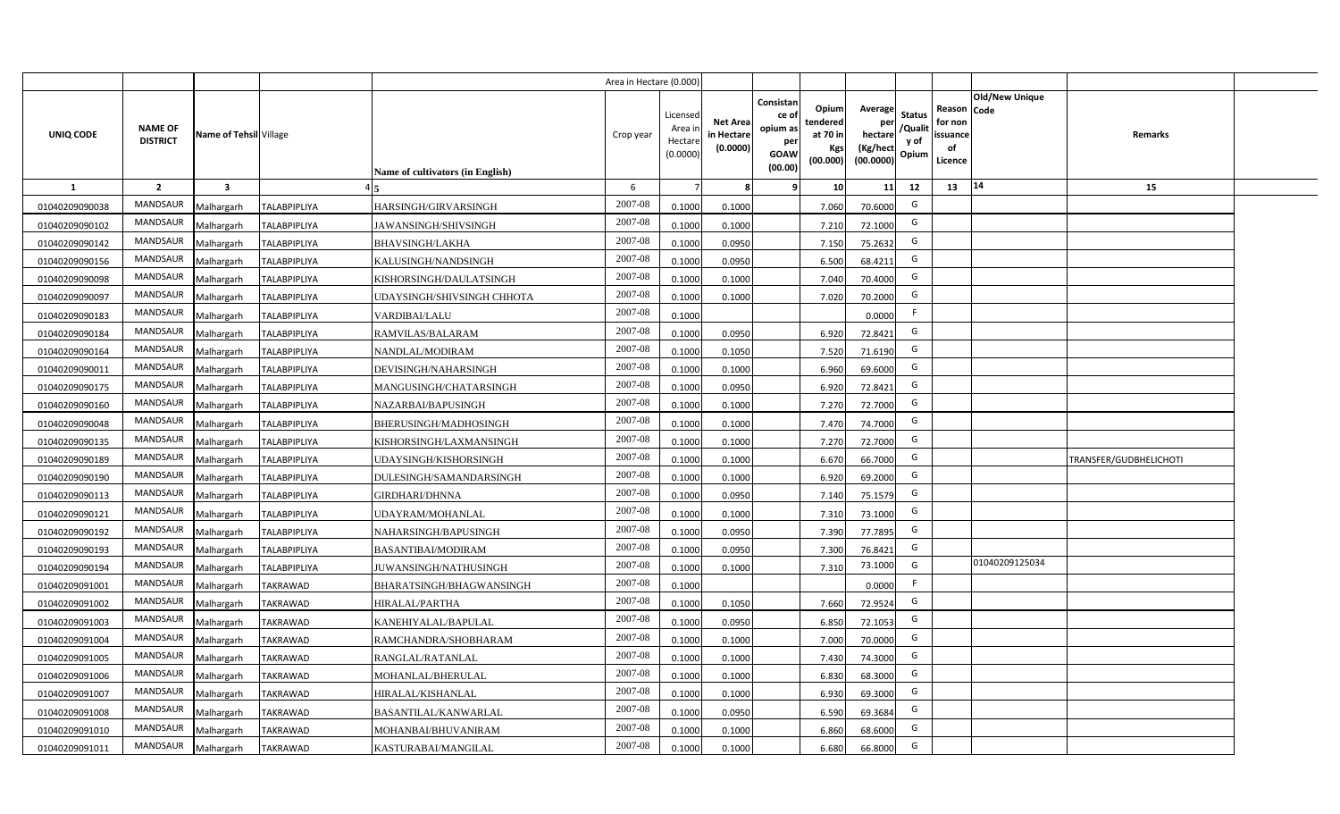|                |                                   |                         |                     |                                  | Area in Hectare (0.000 |                                          |                                          |                                                                 |                                                  |                                                    |                                           |                                                     |                |                        |  |
|----------------|-----------------------------------|-------------------------|---------------------|----------------------------------|------------------------|------------------------------------------|------------------------------------------|-----------------------------------------------------------------|--------------------------------------------------|----------------------------------------------------|-------------------------------------------|-----------------------------------------------------|----------------|------------------------|--|
| UNIQ CODE      | <b>NAME OF</b><br><b>DISTRICT</b> | Name of Tehsil Village  |                     | Name of cultivators (in English) | Crop year              | Licensed<br>Area i<br>Hectar<br>(0.0000) | <b>Net Area</b><br>in Hectar<br>(0.0000) | Consistan<br>ce of<br>opium as<br>per<br><b>GOAW</b><br>(00.00) | Opium<br>tendered<br>at 70 in<br>Kgs<br>(00.000) | Average<br>per<br>hectare<br>(Kg/hect<br>(00.0000) | <b>Status</b><br>/Qualit<br>y of<br>Opium | Reason Code<br>for non<br>issuance<br>of<br>Licence | Old/New Unique | <b>Remarks</b>         |  |
| 1              | $\overline{2}$                    | $\overline{\mathbf{3}}$ |                     |                                  | 6                      |                                          |                                          | -9                                                              | 10 <sup>1</sup>                                  | 11                                                 | 12                                        | 13                                                  | 14             | 15                     |  |
| 01040209090038 | MANDSAUR                          | Malhargarh              | <b>TALABPIPLIYA</b> | HARSINGH/GIRVARSINGH             | 2007-08                | 0.1000                                   | 0.1000                                   |                                                                 | 7.060                                            | 70.6000                                            | G                                         |                                                     |                |                        |  |
| 01040209090102 | MANDSAUR                          | Malhargarh              | <b>TALABPIPLIYA</b> | JAWANSINGH/SHIVSINGH             | 2007-08                | 0.1000                                   | 0.1000                                   |                                                                 | 7.210                                            | 72.1000                                            | G                                         |                                                     |                |                        |  |
| 01040209090142 | <b>MANDSAUR</b>                   | Malhargarh              | <b>TALABPIPLIYA</b> | <b>BHAVSINGH/LAKHA</b>           | 2007-08                | 0.1000                                   | 0.0950                                   |                                                                 | 7.150                                            | 75.2632                                            | G                                         |                                                     |                |                        |  |
| 01040209090156 | MANDSAUR                          | Malhargarh              | <b>TALABPIPLIYA</b> | KALUSINGH/NANDSINGH              | 2007-08                | 0.100                                    | 0.0950                                   |                                                                 | 6.500                                            | 68.4211                                            | G                                         |                                                     |                |                        |  |
| 01040209090098 | MANDSAUR                          | Malhargarh              | <b>TALABPIPLIYA</b> | KISHORSINGH/DAULATSINGH          | 2007-08                | 0.1000                                   | 0.1000                                   |                                                                 | 7.040                                            | 70.4000                                            | G                                         |                                                     |                |                        |  |
| 01040209090097 | <b>MANDSAUR</b>                   | Malhargarh              | <b>TALABPIPLIYA</b> | UDAYSINGH/SHIVSINGH CHHOTA       | 2007-08                | 0.1000                                   | 0.1000                                   |                                                                 | 7.020                                            | 70.2000                                            | G                                         |                                                     |                |                        |  |
| 01040209090183 | MANDSAUR                          | Malhargarh              | <b>TALABPIPLIYA</b> | <b>VARDIBAI/LALU</b>             | 2007-08                | 0.1000                                   |                                          |                                                                 |                                                  | 0.0000                                             | F.                                        |                                                     |                |                        |  |
| 01040209090184 | MANDSAUR                          | Malhargarh              | <b>TALABPIPLIYA</b> | RAMVILAS/BALARAM                 | 2007-08                | 0.1000                                   | 0.0950                                   |                                                                 | 6.920                                            | 72.8421                                            | G                                         |                                                     |                |                        |  |
| 01040209090164 | MANDSAUR                          | Malhargarh              | <b>TALABPIPLIYA</b> | NANDLAL/MODIRAM                  | 2007-08                | 0.100                                    | 0.1050                                   |                                                                 | 7.520                                            | 71.6190                                            | G                                         |                                                     |                |                        |  |
| 01040209090011 | MANDSAUR                          | Malhargarh              | <b>TALABPIPLIYA</b> | DEVISINGH/NAHARSINGH             | 2007-08                | 0.1000                                   | 0.1000                                   |                                                                 | 6.960                                            | 69.6000                                            | G                                         |                                                     |                |                        |  |
| 01040209090175 | MANDSAUR                          | Malhargarh              | <b>TALABPIPLIYA</b> | MANGUSINGH/CHATARSINGH           | 2007-08                | 0.1000                                   | 0.0950                                   |                                                                 | 6.920                                            | 72.8421                                            | G                                         |                                                     |                |                        |  |
| 01040209090160 | MANDSAUR                          | Malhargarh              | <b>TALABPIPLIYA</b> | NAZARBAI/BAPUSINGH               | 2007-08                | 0.1000                                   | 0.1000                                   |                                                                 | 7.270                                            | 72.7000                                            | G                                         |                                                     |                |                        |  |
| 01040209090048 | <b>MANDSAUR</b>                   | Malhargarh              | <b>TALABPIPLIYA</b> | BHERUSINGH/MADHOSINGH            | 2007-08                | 0.1000                                   | 0.1000                                   |                                                                 | 7.470                                            | 74.7000                                            | G                                         |                                                     |                |                        |  |
| 01040209090135 | <b>MANDSAUR</b>                   | Malhargarh              | <b>TALABPIPLIYA</b> | KISHORSINGH/LAXMANSINGH          | 2007-08                | 0.1000                                   | 0.1000                                   |                                                                 | 7.270                                            | 72.7000                                            | G                                         |                                                     |                |                        |  |
| 01040209090189 | <b>MANDSAUR</b>                   | Malhargarh              | <b>TALABPIPLIYA</b> | JDAYSINGH/KISHORSINGH            | 2007-08                | 0.1000                                   | 0.1000                                   |                                                                 | 6.670                                            | 66.7000                                            | G                                         |                                                     |                | TRANSFER/GUDBHELICHOTI |  |
| 01040209090190 | MANDSAUR                          | Malhargarh              | <b>TALABPIPLIYA</b> | DULESINGH/SAMANDARSINGH          | 2007-08                | 0.1000                                   | 0.1000                                   |                                                                 | 6.920                                            | 69.2000                                            | G                                         |                                                     |                |                        |  |
| 01040209090113 | <b>MANDSAUR</b>                   | Malhargarh              | <b>TALABPIPLIYA</b> | <b>GIRDHARI/DHNNA</b>            | 2007-08                | 0.1000                                   | 0.0950                                   |                                                                 | 7.140                                            | 75.1579                                            | G                                         |                                                     |                |                        |  |
| 01040209090121 | <b>MANDSAUR</b>                   | Malhargarh              | <b>TALABPIPLIYA</b> | <b>JDAYRAM/MOHANLAL</b>          | 2007-08                | 0.100                                    | 0.1000                                   |                                                                 | 7.310                                            | 73.1000                                            | G                                         |                                                     |                |                        |  |
| 01040209090192 | MANDSAUR                          | Malhargarh              | <b>TALABPIPLIYA</b> | NAHARSINGH/BAPUSINGH             | 2007-08                | 0.100                                    | 0.0950                                   |                                                                 | 7.390                                            | 77.7895                                            | G                                         |                                                     |                |                        |  |
| 01040209090193 | <b>MANDSAUR</b>                   | Malhargarh              | <b>TALABPIPLIYA</b> | <b>BASANTIBAI/MODIRAM</b>        | 2007-08                | 0.1000                                   | 0.0950                                   |                                                                 | 7.300                                            | 76.8421                                            | G                                         |                                                     |                |                        |  |
| 01040209090194 | MANDSAUR                          | Malhargarh              | <b>TALABPIPLIYA</b> | IUWANSINGH/NATHUSINGH            | 2007-08                | 0.100                                    | 0.1000                                   |                                                                 | 7.310                                            | 73.1000                                            | G                                         |                                                     | 01040209125034 |                        |  |
| 01040209091001 | MANDSAUR                          | Malhargarh              | <b>TAKRAWAD</b>     | BHARATSINGH/BHAGWANSINGH         | 2007-08                | 0.100                                    |                                          |                                                                 |                                                  | 0.0000                                             | -F                                        |                                                     |                |                        |  |
| 01040209091002 | MANDSAUR                          | Malhargarh              | <b>TAKRAWAD</b>     | HIRALAL/PARTHA                   | 2007-08                | 0.100                                    | 0.1050                                   |                                                                 | 7.660                                            | 72.9524                                            | G                                         |                                                     |                |                        |  |
| 01040209091003 | <b>MANDSAUR</b>                   | Malhargarh              | <b>TAKRAWAD</b>     | KANEHIYALAL/BAPULAL              | 2007-08                | 0.100                                    | 0.0950                                   |                                                                 | 6.850                                            | 72.1053                                            | G                                         |                                                     |                |                        |  |
| 01040209091004 | MANDSAUR                          | Malhargarh              | <b>TAKRAWAD</b>     | RAMCHANDRA/SHOBHARAM             | 2007-08                | 0.1000                                   | 0.1000                                   |                                                                 | 7.000                                            | 70.0000                                            | G                                         |                                                     |                |                        |  |
| 01040209091005 | MANDSAUR                          | Malhargarh              | <b>TAKRAWAD</b>     | RANGLAL/RATANLAL                 | 2007-08                | 0.1000                                   | 0.1000                                   |                                                                 | 7.430                                            | 74.3000                                            | G                                         |                                                     |                |                        |  |
| 01040209091006 | MANDSAUR                          | Malhargarh              | <b>TAKRAWAD</b>     | MOHANLAL/BHERULAL                | 2007-08                | 0.1000                                   | 0.1000                                   |                                                                 | 6.830                                            | 68.3000                                            | G                                         |                                                     |                |                        |  |
| 01040209091007 | MANDSAUR                          | Malhargarh              | <b>TAKRAWAD</b>     | HIRALAL/KISHANLAL                | 2007-08                | 0.1000                                   | 0.1000                                   |                                                                 | 6.930                                            | 69.3000                                            | G                                         |                                                     |                |                        |  |
| 01040209091008 | MANDSAUR                          | Malhargarh              | <b>TAKRAWAD</b>     | <b>BASANTILAL/KANWARLAL</b>      | 2007-08                | 0.1000                                   | 0.095                                    |                                                                 | 6.590                                            | 69.3684                                            | G                                         |                                                     |                |                        |  |
| 01040209091010 | MANDSAUR                          | Malhargarh              | <b>TAKRAWAD</b>     | MOHANBAI/BHUVANIRAM              | 2007-08                | 0.1000                                   | 0.1000                                   |                                                                 | 6.860                                            | 68.6000                                            | G                                         |                                                     |                |                        |  |
| 01040209091011 | MANDSAUR                          | Malhargarh              | <b>TAKRAWAD</b>     | KASTURABAI/MANGILAL              | 2007-08                | 0.1000                                   | 0.1000                                   |                                                                 | 6.680                                            | 66.8000                                            | G                                         |                                                     |                |                        |  |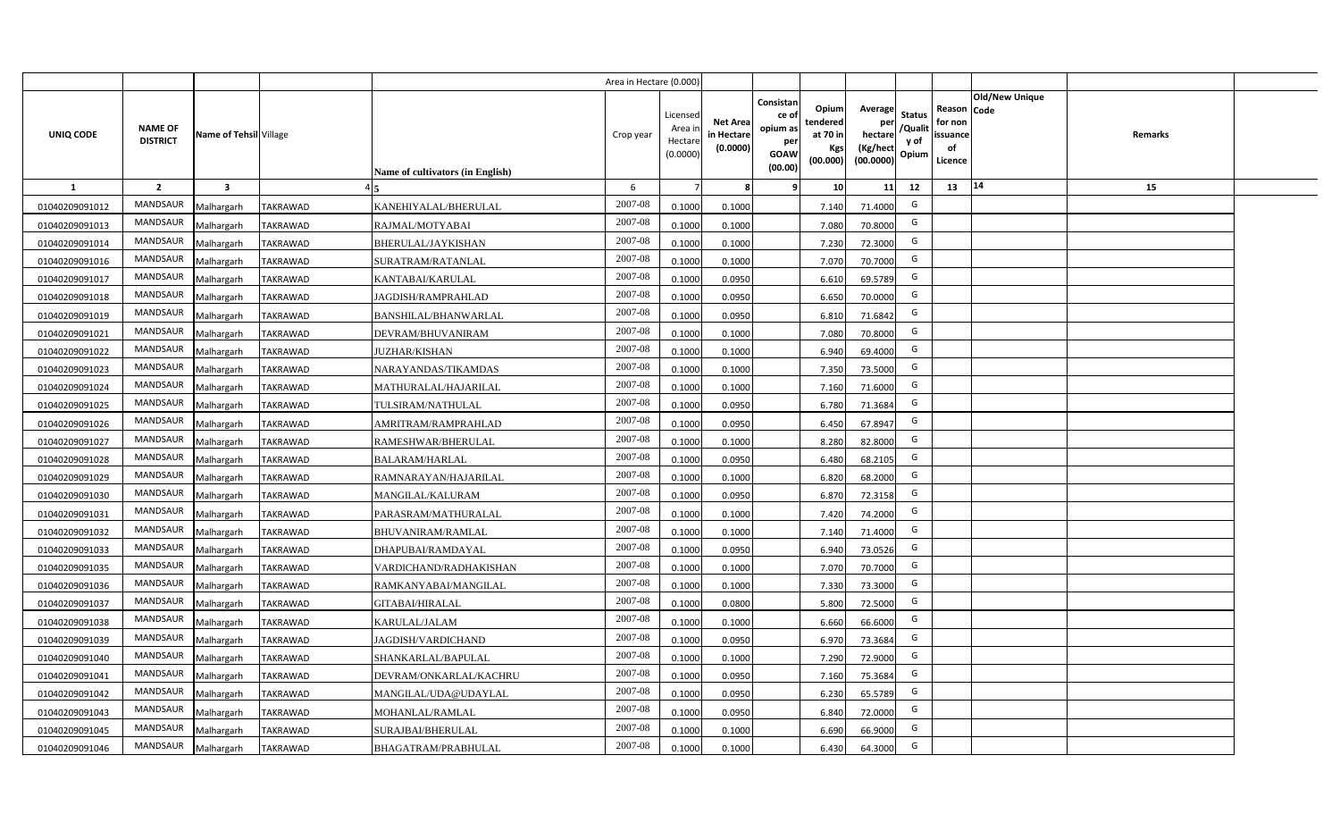|                |                                   |                         |                 |                                  | Area in Hectare (0.000) |                                          |                                           |                                                         |                                                  |                                                    |                                           |                                                                       |         |  |
|----------------|-----------------------------------|-------------------------|-----------------|----------------------------------|-------------------------|------------------------------------------|-------------------------------------------|---------------------------------------------------------|--------------------------------------------------|----------------------------------------------------|-------------------------------------------|-----------------------------------------------------------------------|---------|--|
| UNIQ CODE      | <b>NAME OF</b><br><b>DISTRICT</b> | Name of Tehsil Village  |                 | Name of cultivators (in English) | Crop year               | Licensec<br>Area i<br>Hectar<br>(0.0000) | <b>Net Area</b><br>in Hectare<br>(0.0000) | Consistan<br>ce o<br>opium as<br>per<br>GOAW<br>(00.00) | Opium<br>tendered<br>at 70 in<br>Kgs<br>(00.000) | Average<br>per<br>hectare<br>(Kg/hect<br>(00.0000) | <b>Status</b><br>/Qualit<br>y of<br>Opium | Old/New Unique<br>Reason Code<br>for non<br>issuance<br>of<br>Licence | Remarks |  |
| $\mathbf{1}$   | $\overline{2}$                    | $\overline{\mathbf{3}}$ |                 |                                  | 6                       |                                          |                                           |                                                         | 10                                               | 11                                                 | 12                                        | 14<br>13                                                              | 15      |  |
| 01040209091012 | MANDSAUR                          | Malhargarh              | <b>TAKRAWAD</b> | KANEHIYALAL/BHERULAL             | 2007-08                 | 0.1000                                   | 0.1000                                    |                                                         | 7.140                                            | 71.4000                                            | G                                         |                                                                       |         |  |
| 01040209091013 | MANDSAUR                          | Malhargarh              | <b>TAKRAWAD</b> | RAJMAL/MOTYABAI                  | 2007-08                 | 0.1000                                   | 0.1000                                    |                                                         | 7.080                                            | 70.8000                                            | G                                         |                                                                       |         |  |
| 01040209091014 | <b>MANDSAUR</b>                   | Malhargarh              | <b>TAKRAWAD</b> | BHERULAL/JAYKISHAN               | 2007-08                 | 0.1000                                   | 0.1000                                    |                                                         | 7.230                                            | 72.3000                                            | G                                         |                                                                       |         |  |
| 01040209091016 | MANDSAUR                          | Malhargarh              | <b>TAKRAWAD</b> | SURATRAM/RATANLAL                | 2007-08                 | 0.100                                    | 0.1000                                    |                                                         | 7.070                                            | 70.7000                                            | G                                         |                                                                       |         |  |
| 01040209091017 | MANDSAUR                          | Malhargarh              | <b>TAKRAWAD</b> | KANTABAI/KARULAL                 | 2007-08                 | 0.1000                                   | 0.0950                                    |                                                         | 6.610                                            | 69.5789                                            | G                                         |                                                                       |         |  |
| 01040209091018 | MANDSAUR                          | Malhargarh              | <b>TAKRAWAD</b> | JAGDISH/RAMPRAHLAD               | 2007-08                 | 0.1000                                   | 0.0950                                    |                                                         | 6.650                                            | 70.0000                                            | G                                         |                                                                       |         |  |
| 01040209091019 | MANDSAUR                          | Malhargarh              | <b>TAKRAWAD</b> | BANSHILAL/BHANWARLAL             | 2007-08                 | 0.1000                                   | 0.0950                                    |                                                         | 6.810                                            | 71.6842                                            | G                                         |                                                                       |         |  |
| 01040209091021 | MANDSAUR                          | Malhargarh              | <b>TAKRAWAD</b> | DEVRAM/BHUVANIRAM                | 2007-08                 | 0.1000                                   | 0.1000                                    |                                                         | 7.080                                            | 70.8000                                            | G                                         |                                                                       |         |  |
| 01040209091022 | <b>MANDSAUR</b>                   | Malhargarh              | <b>TAKRAWAD</b> | <b>JUZHAR/KISHAN</b>             | 2007-08                 | 0.1000                                   | 0.1000                                    |                                                         | 6.940                                            | 69.4000                                            | G                                         |                                                                       |         |  |
| 01040209091023 | <b>MANDSAUR</b>                   | Malhargarh              | <b>TAKRAWAD</b> | NARAYANDAS/TIKAMDAS              | 2007-08                 | 0.1000                                   | 0.1000                                    |                                                         | 7.350                                            | 73.5000                                            | G                                         |                                                                       |         |  |
| 01040209091024 | MANDSAUR                          | Malhargarh              | <b>TAKRAWAD</b> | MATHURALAL/HAJARILAL             | 2007-08                 | 0.1000                                   | 0.1000                                    |                                                         | 7.160                                            | 71.6000                                            | G                                         |                                                                       |         |  |
| 01040209091025 | MANDSAUR                          | Malhargarh              | <b>TAKRAWAD</b> | TULSIRAM/NATHULAL                | 2007-08                 | 0.1000                                   | 0.0950                                    |                                                         | 6.780                                            | 71.3684                                            | G                                         |                                                                       |         |  |
| 01040209091026 | MANDSAUR                          | Malhargarh              | <b>TAKRAWAD</b> | AMRITRAM/RAMPRAHLAD              | $2007 - 08$             | 0.1000                                   | 0.0950                                    |                                                         | 6.450                                            | 67.8947                                            | G                                         |                                                                       |         |  |
| 01040209091027 | MANDSAUR                          | Malhargarh              | <b>TAKRAWAD</b> | RAMESHWAR/BHERULAL               | 2007-08                 | 0.1000                                   | 0.1000                                    |                                                         | 8.280                                            | 82.8000                                            | G                                         |                                                                       |         |  |
| 01040209091028 | MANDSAUR                          | Malhargarh              | <b>TAKRAWAD</b> | BALARAM/HARLAL                   | 2007-08                 | 0.1000                                   | 0.0950                                    |                                                         | 6.480                                            | 68.2105                                            | G                                         |                                                                       |         |  |
| 01040209091029 | MANDSAUR                          | Malhargarh              | <b>TAKRAWAD</b> | RAMNARAYAN/HAJARILAL             | 2007-08                 | 0.1000                                   | 0.1000                                    |                                                         | 6.820                                            | 68.2000                                            | G                                         |                                                                       |         |  |
| 01040209091030 | MANDSAUR                          | Malhargarh              | <b>TAKRAWAD</b> | MANGILAL/KALURAM                 | 2007-08                 | 0.1000                                   | 0.0950                                    |                                                         | 6.870                                            | 72.3158                                            | G                                         |                                                                       |         |  |
| 01040209091031 | MANDSAUR                          | Malhargarh              | <b>TAKRAWAD</b> | PARASRAM/MATHURALAL              | 2007-08                 | 0.100                                    | 0.1000                                    |                                                         | 7.420                                            | 74.2000                                            | G                                         |                                                                       |         |  |
| 01040209091032 | MANDSAUR                          | Malhargarh              | TAKRAWAD        | BHUVANIRAM/RAMLAL                | 2007-08                 | 0.100                                    | 0.1000                                    |                                                         | 7.140                                            | 71.4000                                            | G                                         |                                                                       |         |  |
| 01040209091033 | MANDSAUR                          | Malhargarh              | <b>TAKRAWAD</b> | DHAPUBAI/RAMDAYAL                | 2007-08                 | 0.1000                                   | 0.0950                                    |                                                         | 6.940                                            | 73.0526                                            | G                                         |                                                                       |         |  |
| 01040209091035 | MANDSAUR                          | Malhargarh              | TAKRAWAD        | VARDICHAND/RADHAKISHAN           | 2007-08                 | 0.1000                                   | 0.1000                                    |                                                         | 7.070                                            | 70.7000                                            | G                                         |                                                                       |         |  |
| 01040209091036 | <b>MANDSAUR</b>                   | Malhargarh              | <b>TAKRAWAD</b> | RAMKANYABAI/MANGILAL             | 2007-08                 | 0.1000                                   | 0.1000                                    |                                                         | 7.330                                            | 73.3000                                            | G                                         |                                                                       |         |  |
| 01040209091037 | MANDSAUR                          | Malhargarh              | <b>TAKRAWAD</b> | GITABAI/HIRALAL                  | 2007-08                 | 0.1000                                   | 0.0800                                    |                                                         | 5.800                                            | 72.5000                                            | G                                         |                                                                       |         |  |
| 01040209091038 | <b>MANDSAUR</b>                   | Malhargarh              | <b>TAKRAWAD</b> | KARULAL/JALAM                    | 2007-08                 | 0.1000                                   | 0.1000                                    |                                                         | 6.660                                            | 66.6000                                            | G                                         |                                                                       |         |  |
| 01040209091039 | MANDSAUR                          | Malhargarh              | <b>TAKRAWAD</b> | JAGDISH/VARDICHAND               | 2007-08                 | 0.1000                                   | 0.0950                                    |                                                         | 6.970                                            | 73.3684                                            | G                                         |                                                                       |         |  |
| 01040209091040 | MANDSAUR                          | Malhargarh              | <b>TAKRAWAD</b> | SHANKARLAL/BAPULAL               | 2007-08                 | 0.1000                                   | 0.1000                                    |                                                         | 7.290                                            | 72.9000                                            | G                                         |                                                                       |         |  |
| 01040209091041 | <b>MANDSAUR</b>                   | Malhargarh              | <b>TAKRAWAD</b> | DEVRAM/ONKARLAL/KACHRU           | 2007-08                 | 0.1000                                   | 0.0950                                    |                                                         | 7.160                                            | 75.3684                                            | G                                         |                                                                       |         |  |
| 01040209091042 | MANDSAUR                          | Malhargarh              | TAKRAWAD        | MANGILAL/UDA@UDAYLAL             | 2007-08                 | 0.1000                                   | 0.0950                                    |                                                         | 6.230                                            | 65.5789                                            | G                                         |                                                                       |         |  |
| 01040209091043 | MANDSAUR                          | Malhargarh              | <b>TAKRAWAD</b> | MOHANLAL/RAMLAL                  | 2007-08                 | 0.1000                                   | 0.0950                                    |                                                         | 6.840                                            | 72.0000                                            | G                                         |                                                                       |         |  |
| 01040209091045 | MANDSAUR                          | Malhargarh              | <b>TAKRAWAD</b> | SURAJBAI/BHERULAL                | 2007-08                 | 0.1000                                   | 0.1000                                    |                                                         | 6.690                                            | 66.9000                                            | G                                         |                                                                       |         |  |
| 01040209091046 | MANDSAUR                          | Malhargarh              | <b>TAKRAWAD</b> | BHAGATRAM/PRABHULAL              | 2007-08                 | 0.1000                                   | 0.1000                                    |                                                         | 6.430                                            | 64.3000                                            | G                                         |                                                                       |         |  |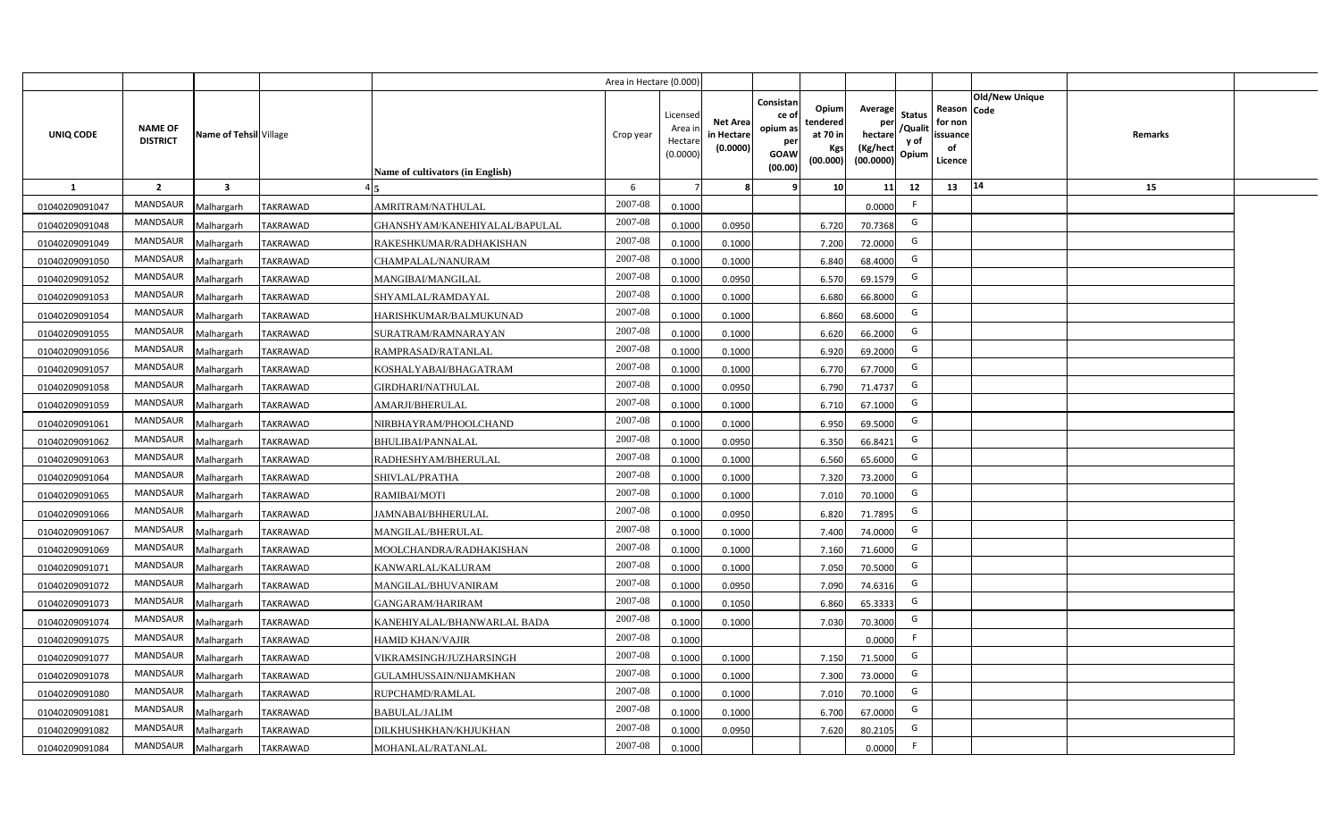|                |                                   |                         |                 |                                  | Area in Hectare (0.000) |                                          |                                           |                                                                |                                                  |                                                    |                                           |                                                                              |         |  |
|----------------|-----------------------------------|-------------------------|-----------------|----------------------------------|-------------------------|------------------------------------------|-------------------------------------------|----------------------------------------------------------------|--------------------------------------------------|----------------------------------------------------|-------------------------------------------|------------------------------------------------------------------------------|---------|--|
| UNIQ CODE      | <b>NAME OF</b><br><b>DISTRICT</b> | Name of Tehsil Village  |                 | Name of cultivators (in English) | Crop year               | Licensec<br>Area i<br>Hectar<br>(0.0000) | <b>Net Area</b><br>in Hectare<br>(0.0000) | Consistan<br>ce o<br>opium as<br>per<br><b>GOAW</b><br>(00.00) | Opium<br>tendered<br>at 70 in<br>Kgs<br>(00.000) | Average<br>per<br>hectare<br>(Kg/hect<br>(00.0000) | <b>Status</b><br>/Qualit<br>y of<br>Opium | <b>Old/New Unique</b><br>Reason Code<br>for non<br>issuance<br>of<br>Licence | Remarks |  |
| $\mathbf{1}$   | $\overline{2}$                    | $\overline{\mathbf{3}}$ |                 |                                  | 6                       |                                          |                                           |                                                                | 10                                               | 11                                                 | 12                                        | 14<br>13                                                                     | 15      |  |
| 01040209091047 | MANDSAUR                          | Malhargarh              | <b>TAKRAWAD</b> | AMRITRAM/NATHULAL                | 2007-08                 | 0.1000                                   |                                           |                                                                |                                                  | 0.0000                                             | F.                                        |                                                                              |         |  |
| 01040209091048 | MANDSAUR                          | Malhargarh              | <b>TAKRAWAD</b> | GHANSHYAM/KANEHIYALAL/BAPULAL    | 2007-08                 | 0.1000                                   | 0.0950                                    |                                                                | 6.720                                            | 70.7368                                            | G                                         |                                                                              |         |  |
| 01040209091049 | <b>MANDSAUR</b>                   | Malhargarh              | <b>TAKRAWAD</b> | RAKESHKUMAR/RADHAKISHAN          | 2007-08                 | 0.1000                                   | 0.1000                                    |                                                                | 7.200                                            | 72.0000                                            | G                                         |                                                                              |         |  |
| 01040209091050 | MANDSAUR                          | Malhargarh              | <b>TAKRAWAD</b> | CHAMPALAL/NANURAM                | 2007-08                 | 0.100                                    | 0.1000                                    |                                                                | 6.840                                            | 68.4000                                            | G                                         |                                                                              |         |  |
| 01040209091052 | MANDSAUR                          | Malhargarh              | <b>TAKRAWAD</b> | MANGIBAI/MANGILAL                | 2007-08                 | 0.100                                    | 0.0950                                    |                                                                | 6.570                                            | 69.1579                                            | G                                         |                                                                              |         |  |
| 01040209091053 | MANDSAUR                          | Malhargarh              | <b>TAKRAWAD</b> | SHYAMLAL/RAMDAYAL                | 2007-08                 | 0.1000                                   | 0.1000                                    |                                                                | 6.680                                            | 66.8000                                            | G                                         |                                                                              |         |  |
| 01040209091054 | MANDSAUR                          | Malhargarh              | <b>TAKRAWAD</b> | HARISHKUMAR/BALMUKUNAD           | 2007-08                 | 0.1000                                   | 0.1000                                    |                                                                | 6.860                                            | 68.6000                                            | G                                         |                                                                              |         |  |
| 01040209091055 | MANDSAUR                          | Malhargarh              | <b>TAKRAWAD</b> | SURATRAM/RAMNARAYAN              | 2007-08                 | 0.1000                                   | 0.1000                                    |                                                                | 6.620                                            | 66.2000                                            | G                                         |                                                                              |         |  |
| 01040209091056 | <b>MANDSAUR</b>                   | Malhargarh              | <b>TAKRAWAD</b> | RAMPRASAD/RATANLAL               | 2007-08                 | 0.1000                                   | 0.1000                                    |                                                                | 6.920                                            | 69.2000                                            | G                                         |                                                                              |         |  |
| 01040209091057 | <b>MANDSAUR</b>                   | Malhargarh              | <b>TAKRAWAD</b> | KOSHALYABAI/BHAGATRAM            | 2007-08                 | 0.1000                                   | 0.1000                                    |                                                                | 6.770                                            | 67.7000                                            | G                                         |                                                                              |         |  |
| 01040209091058 | MANDSAUR                          | Malhargarh              | <b>TAKRAWAD</b> | GIRDHARI/NATHULAL                | 2007-08                 | 0.1000                                   | 0.0950                                    |                                                                | 6.790                                            | 71.4737                                            | G                                         |                                                                              |         |  |
| 01040209091059 | MANDSAUR                          | Malhargarh              | <b>TAKRAWAD</b> | <b>AMARJI/BHERULAL</b>           | 2007-08                 | 0.1000                                   | 0.1000                                    |                                                                | 6.710                                            | 67.1000                                            | G                                         |                                                                              |         |  |
| 01040209091061 | MANDSAUR                          | Malhargarh              | <b>TAKRAWAD</b> | NIRBHAYRAM/PHOOLCHAND            | 2007-08                 | 0.1000                                   | 0.1000                                    |                                                                | 6.950                                            | 69.5000                                            | G                                         |                                                                              |         |  |
| 01040209091062 | MANDSAUR                          | Malhargarh              | <b>TAKRAWAD</b> | <b>BHULIBAI/PANNALAL</b>         | 2007-08                 | 0.1000                                   | 0.0950                                    |                                                                | 6.350                                            | 66.8421                                            | G                                         |                                                                              |         |  |
| 01040209091063 | MANDSAUR                          | Malhargarh              | <b>TAKRAWAD</b> | RADHESHYAM/BHERULAL              | 2007-08                 | 0.1000                                   | 0.1000                                    |                                                                | 6.560                                            | 65.6000                                            | G                                         |                                                                              |         |  |
| 01040209091064 | MANDSAUR                          | Malhargarh              | <b>TAKRAWAD</b> | SHIVLAL/PRATHA                   | 2007-08                 | 0.1000                                   | 0.1000                                    |                                                                | 7.320                                            | 73.2000                                            | G                                         |                                                                              |         |  |
| 01040209091065 | MANDSAUR                          | Malhargarh              | <b>TAKRAWAD</b> | RAMIBAI/MOTI                     | 2007-08                 | 0.1000                                   | 0.1000                                    |                                                                | 7.010                                            | 70.1000                                            | G                                         |                                                                              |         |  |
| 01040209091066 | MANDSAUR                          | Malhargarh              | <b>TAKRAWAD</b> | JAMNABAI/BHHERULAL               | 2007-08                 | 0.100                                    | 0.0950                                    |                                                                | 6.820                                            | 71.7895                                            | G                                         |                                                                              |         |  |
| 01040209091067 | MANDSAUR                          | Malhargarh              | TAKRAWAD        | MANGILAL/BHERULAL                | 2007-08                 | 0.100                                    | 0.1000                                    |                                                                | 7.400                                            | 74.0000                                            | G                                         |                                                                              |         |  |
| 01040209091069 | MANDSAUR                          | Malhargarh              | <b>TAKRAWAD</b> | MOOLCHANDRA/RADHAKISHAN          | 2007-08                 | 0.1000                                   | 0.1000                                    |                                                                | 7.160                                            | 71.6000                                            | G                                         |                                                                              |         |  |
| 01040209091071 | MANDSAUR                          | Malhargarh              | TAKRAWAD        | KANWARLAL/KALURAM                | 2007-08                 | 0.1000                                   | 0.1000                                    |                                                                | 7.050                                            | 70.5000                                            | G                                         |                                                                              |         |  |
| 01040209091072 | <b>MANDSAUR</b>                   | Malhargarh              | <b>TAKRAWAD</b> | MANGILAL/BHUVANIRAM              | 2007-08                 | 0.1000                                   | 0.0950                                    |                                                                | 7.090                                            | 74.6316                                            | G                                         |                                                                              |         |  |
| 01040209091073 | MANDSAUR                          | Malhargarh              | <b>TAKRAWAD</b> | GANGARAM/HARIRAM                 | 2007-08                 | 0.1000                                   | 0.1050                                    |                                                                | 6.860                                            | 65.3333                                            | G                                         |                                                                              |         |  |
| 01040209091074 | <b>MANDSAUR</b>                   | Malhargarh              | <b>TAKRAWAD</b> | KANEHIYALAL/BHANWARLAL BADA      | 2007-08                 | 0.1000                                   | 0.1000                                    |                                                                | 7.030                                            | 70.3000                                            | G                                         |                                                                              |         |  |
| 01040209091075 | MANDSAUR                          | Malhargarh              | <b>TAKRAWAD</b> | HAMID KHAN/VAJIR                 | 2007-08                 | 0.1000                                   |                                           |                                                                |                                                  | 0.0000                                             | E                                         |                                                                              |         |  |
| 01040209091077 | MANDSAUR                          | Malhargarh              | <b>TAKRAWAD</b> | VIKRAMSINGH/JUZHARSINGH          | 2007-08                 | 0.1000                                   | 0.1000                                    |                                                                | 7.150                                            | 71.5000                                            | G                                         |                                                                              |         |  |
| 01040209091078 | MANDSAUR                          | Malhargarh              | <b>TAKRAWAD</b> | GULAMHUSSAIN/NIJAMKHAN           | 2007-08                 | 0.1000                                   | 0.1000                                    |                                                                | 7.300                                            | 73.0000                                            | G                                         |                                                                              |         |  |
| 01040209091080 | MANDSAUR                          | Malhargarh              | TAKRAWAD        | RUPCHAMD/RAMLAL                  | 2007-08                 | 0.1000                                   | 0.1000                                    |                                                                | 7.010                                            | 70.1000                                            | G                                         |                                                                              |         |  |
| 01040209091081 | MANDSAUR                          | Malhargarh              | <b>TAKRAWAD</b> | BABULAL/JALIM                    | 2007-08                 | 0.1000                                   | 0.1000                                    |                                                                | 6.700                                            | 67.0000                                            | G                                         |                                                                              |         |  |
| 01040209091082 | MANDSAUR                          | Malhargarh              | <b>TAKRAWAD</b> | DILKHUSHKHAN/KHJUKHAN            | 2007-08                 | 0.1000                                   | 0.0950                                    |                                                                | 7.620                                            | 80.2105                                            | G                                         |                                                                              |         |  |
| 01040209091084 | MANDSAUR                          | Malhargarh              | <b>TAKRAWAD</b> | MOHANLAL/RATANLAL                | 2007-08                 | 0.1000                                   |                                           |                                                                |                                                  | 0.0000                                             | F.                                        |                                                                              |         |  |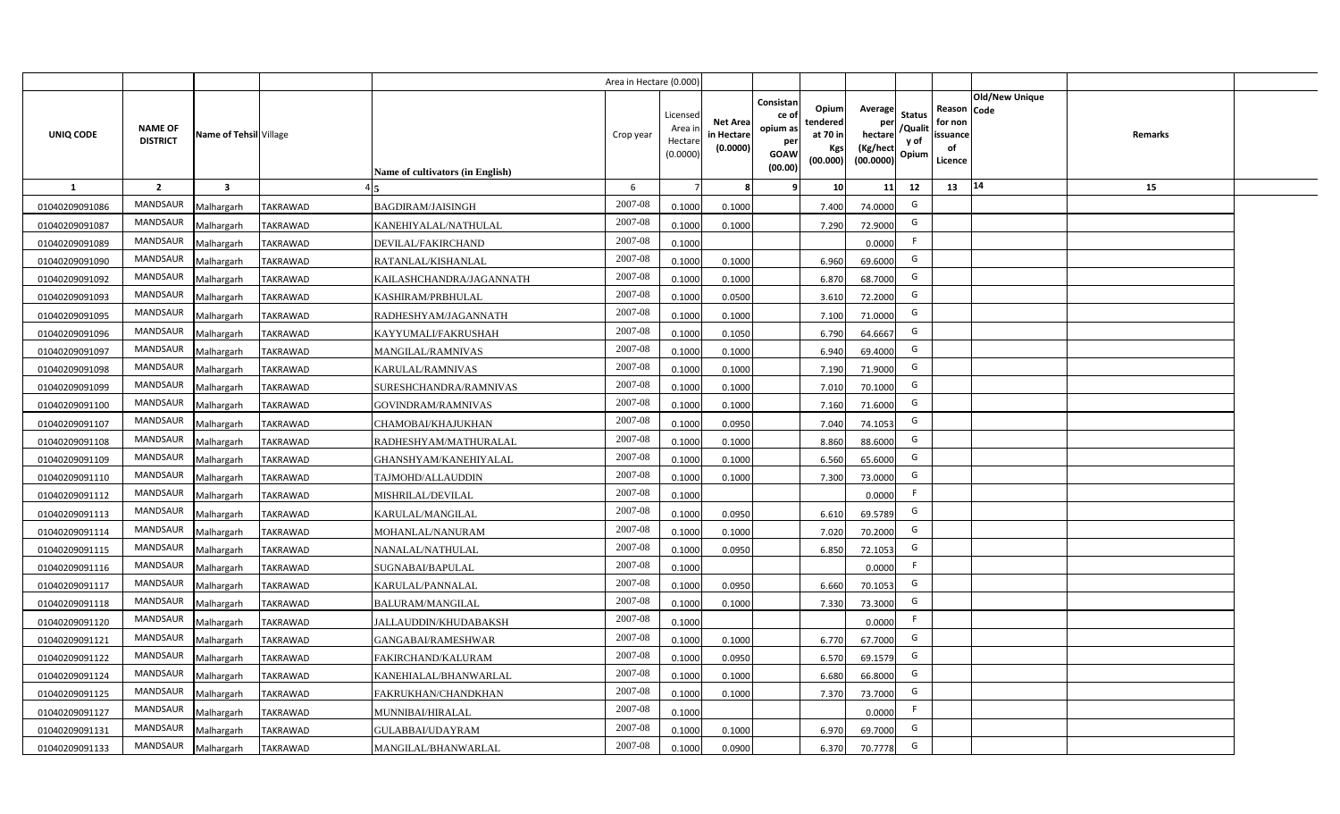|                |                                   |                         |                 |                                  | Area in Hectare (0.000) |                                          |                                           |                                                         |                                                  |                                                    |                                           |                                                                              |         |  |
|----------------|-----------------------------------|-------------------------|-----------------|----------------------------------|-------------------------|------------------------------------------|-------------------------------------------|---------------------------------------------------------|--------------------------------------------------|----------------------------------------------------|-------------------------------------------|------------------------------------------------------------------------------|---------|--|
| UNIQ CODE      | <b>NAME OF</b><br><b>DISTRICT</b> | Name of Tehsil Village  |                 | Name of cultivators (in English) | Crop year               | Licensec<br>Area i<br>Hectar<br>(0.0000) | <b>Net Area</b><br>in Hectare<br>(0.0000) | Consistan<br>ce o<br>opium as<br>per<br>GOAW<br>(00.00) | Opium<br>tendered<br>at 70 in<br>Kgs<br>(00.000) | Average<br>per<br>hectare<br>(Kg/hect<br>(00.0000) | <b>Status</b><br>/Qualit<br>y of<br>Opium | <b>Old/New Unique</b><br>Reason Code<br>for non<br>issuance<br>of<br>Licence | Remarks |  |
| 1              | $\overline{2}$                    | $\overline{\mathbf{3}}$ |                 |                                  | 6                       |                                          |                                           |                                                         | 10                                               | 11                                                 | 12                                        | 14<br>13                                                                     | 15      |  |
| 01040209091086 | MANDSAUR                          | Malhargarh              | <b>TAKRAWAD</b> | <b>BAGDIRAM/JAISINGH</b>         | 2007-08                 | 0.1000                                   | 0.1000                                    |                                                         | 7.400                                            | 74.0000                                            | G                                         |                                                                              |         |  |
| 01040209091087 | MANDSAUR                          | Malhargarh              | <b>TAKRAWAD</b> | KANEHIYALAL/NATHULAL             | 2007-08                 | 0.100                                    | 0.1000                                    |                                                         | 7.290                                            | 72.9000                                            | G                                         |                                                                              |         |  |
| 01040209091089 | MANDSAUR                          | Malhargarh              | <b>TAKRAWAD</b> | <b>DEVILAL/FAKIRCHAND</b>        | 2007-08                 | 0.100                                    |                                           |                                                         |                                                  | 0.0000                                             | F                                         |                                                                              |         |  |
| 01040209091090 | MANDSAUR                          | Malhargarh              | <b>TAKRAWAD</b> | RATANLAL/KISHANLAL               | 2007-08                 | 0.100                                    | 0.1000                                    |                                                         | 6.960                                            | 69.6000                                            | G                                         |                                                                              |         |  |
| 01040209091092 | MANDSAUR                          | Malhargarh              | <b>TAKRAWAD</b> | KAILASHCHANDRA/JAGANNATH         | 2007-08                 | 0.100                                    | 0.1000                                    |                                                         | 6.870                                            | 68.7000                                            | G                                         |                                                                              |         |  |
| 01040209091093 | MANDSAUR                          | Malhargarh              | <b>TAKRAWAD</b> | KASHIRAM/PRBHULAL                | 2007-08                 | 0.1000                                   | 0.0500                                    |                                                         | 3.610                                            | 72.2000                                            | G                                         |                                                                              |         |  |
| 01040209091095 | MANDSAUR                          | Malhargarh              | <b>TAKRAWAD</b> | RADHESHYAM/JAGANNATH             | 2007-08                 | 0.1000                                   | 0.1000                                    |                                                         | 7.100                                            | 71.0000                                            | G                                         |                                                                              |         |  |
| 01040209091096 | <b>MANDSAUR</b>                   | Malhargarh              | <b>TAKRAWAD</b> | KAYYUMALI/FAKRUSHAH              | 2007-08                 | 0.1000                                   | 0.1050                                    |                                                         | 6.790                                            | 64.6667                                            | G                                         |                                                                              |         |  |
| 01040209091097 | MANDSAUR                          | Malhargarh              | <b>TAKRAWAD</b> | <b>MANGILAL/RAMNIVAS</b>         | 2007-08                 | 0.100                                    | 0.1000                                    |                                                         | 6.940                                            | 69.4000                                            | G                                         |                                                                              |         |  |
| 01040209091098 | MANDSAUR                          | Malhargarh              | <b>TAKRAWAD</b> | KARULAL/RAMNIVAS                 | 2007-08                 | 0.1000                                   | 0.1000                                    |                                                         | 7.190                                            | 71.9000                                            | G                                         |                                                                              |         |  |
| 01040209091099 | <b>MANDSAUR</b>                   | Malhargarh              | <b>TAKRAWAD</b> | SURESHCHANDRA/RAMNIVAS           | 2007-08                 | 0.1000                                   | 0.1000                                    |                                                         | 7.010                                            | 70.1000                                            | G                                         |                                                                              |         |  |
| 01040209091100 | MANDSAUR                          | Malhargarh              | <b>TAKRAWAD</b> | GOVINDRAM/RAMNIVAS               | 2007-08                 | 0.1000                                   | 0.1000                                    |                                                         | 7.160                                            | 71.6000                                            | G                                         |                                                                              |         |  |
| 01040209091107 | <b>MANDSAUR</b>                   | Malhargarh              | <b>TAKRAWAD</b> | CHAMOBAI/KHAJUKHAN               | 2007-08                 | 0.1000                                   | 0.0950                                    |                                                         | 7.040                                            | 74.1053                                            | G                                         |                                                                              |         |  |
| 01040209091108 | MANDSAUR                          | Malhargarh              | TAKRAWAD        | RADHESHYAM/MATHURALAL            | 2007-08                 | 0.1000                                   | 0.1000                                    |                                                         | 8.860                                            | 88.6000                                            | G                                         |                                                                              |         |  |
| 01040209091109 | MANDSAUR                          | Malhargarh              | <b>TAKRAWAD</b> | GHANSHYAM/KANEHIYALAL            | 2007-08                 | 0.100                                    | 0.1000                                    |                                                         | 6.560                                            | 65.6000                                            | G                                         |                                                                              |         |  |
| 01040209091110 | MANDSAUR                          | Malhargarh              | <b>TAKRAWAD</b> | TAJMOHD/ALLAUDDIN                | 2007-08                 | 0.1000                                   | 0.1000                                    |                                                         | 7.300                                            | 73.0000                                            | G                                         |                                                                              |         |  |
| 01040209091112 | <b>MANDSAUR</b>                   | Malhargarh              | <b>TAKRAWAD</b> | MISHRILAL/DEVILAL                | 2007-08                 | 0.1000                                   |                                           |                                                         |                                                  | 0.0000                                             | F.                                        |                                                                              |         |  |
| 01040209091113 | MANDSAUR                          | Malhargarh              | <b>TAKRAWAD</b> | KARULAL/MANGILAL                 | 2007-08                 | 0.1000                                   | 0.0950                                    |                                                         | 6.610                                            | 69.5789                                            | G                                         |                                                                              |         |  |
| 01040209091114 | MANDSAUR                          | Malhargarh              | <b>TAKRAWAD</b> | MOHANLAL/NANURAM                 | 2007-08                 | 0.1000                                   | 0.1000                                    |                                                         | 7.020                                            | 70.2000                                            | G                                         |                                                                              |         |  |
| 01040209091115 | MANDSAUR                          | Malhargarh              | TAKRAWAD        | NANALAL/NATHULAL                 | 2007-08                 | 0.100                                    | 0.0950                                    |                                                         | 6.850                                            | 72.1053                                            | G                                         |                                                                              |         |  |
| 01040209091116 | MANDSAUR                          | Malhargarh              | TAKRAWAD        | SUGNABAI/BAPULAL                 | 2007-08                 | 0.1000                                   |                                           |                                                         |                                                  | 0.0000                                             | F.                                        |                                                                              |         |  |
| 01040209091117 | MANDSAUR                          | Malhargarh              | TAKRAWAD        | KARULAL/PANNALAL                 | 2007-08                 | 0.1000                                   | 0.0950                                    |                                                         | 6.660                                            | 70.1053                                            | G                                         |                                                                              |         |  |
| 01040209091118 | MANDSAUR                          | Malhargarh              | <b>TAKRAWAD</b> | BALURAM/MANGILAL                 | 2007-08                 | 0.1000                                   | 0.1000                                    |                                                         | 7.330                                            | 73.3000                                            | G                                         |                                                                              |         |  |
| 01040209091120 | MANDSAUR                          | Malhargarh              | <b>TAKRAWAD</b> | <b>JALLAUDDIN/KHUDABAKSH</b>     | 2007-08                 | 0.1000                                   |                                           |                                                         |                                                  | 0.0000                                             | E                                         |                                                                              |         |  |
| 01040209091121 | <b>MANDSAUR</b>                   | Malhargarh              | <b>TAKRAWAD</b> | GANGABAI/RAMESHWAR               | 2007-08                 | 0.1000                                   | 0.1000                                    |                                                         | 6.770                                            | 67.7000                                            | G                                         |                                                                              |         |  |
| 01040209091122 | MANDSAUR                          | Malhargarh              | <b>TAKRAWAD</b> | FAKIRCHAND/KALURAM               | 2007-08                 | 0.100                                    | 0.0950                                    |                                                         | 6.570                                            | 69.1579                                            | G                                         |                                                                              |         |  |
| 01040209091124 | MANDSAUR                          | Malhargarh              | <b>TAKRAWAD</b> | KANEHIALAL/BHANWARLAL            | 2007-08                 | 0.1000                                   | 0.1000                                    |                                                         | 6.680                                            | 66.8000                                            | G                                         |                                                                              |         |  |
| 01040209091125 | <b>MANDSAUR</b>                   | Malhargarh              | <b>TAKRAWAD</b> | FAKRUKHAN/CHANDKHAN              | 2007-08                 | 0.1000                                   | 0.1000                                    |                                                         | 7.370                                            | 73.7000                                            | G                                         |                                                                              |         |  |
| 01040209091127 | MANDSAUR                          | Malhargarh              | TAKRAWAD        | MUNNIBAI/HIRALAL                 | 2007-08                 | 0.1000                                   |                                           |                                                         |                                                  | 0.0000                                             | E                                         |                                                                              |         |  |
| 01040209091131 | MANDSAUR                          | Malhargarh              | <b>TAKRAWAD</b> | GULABBAI/UDAYRAM                 | 2007-08                 | 0.1000                                   | 0.1000                                    |                                                         | 6.970                                            | 69.7000                                            | G                                         |                                                                              |         |  |
| 01040209091133 | MANDSAUR                          | Malhargarh              | <b>TAKRAWAD</b> | MANGILAL/BHANWARLAL              | 2007-08                 | 0.1000                                   | 0.0900                                    |                                                         | 6.370                                            | 70.7778                                            | G                                         |                                                                              |         |  |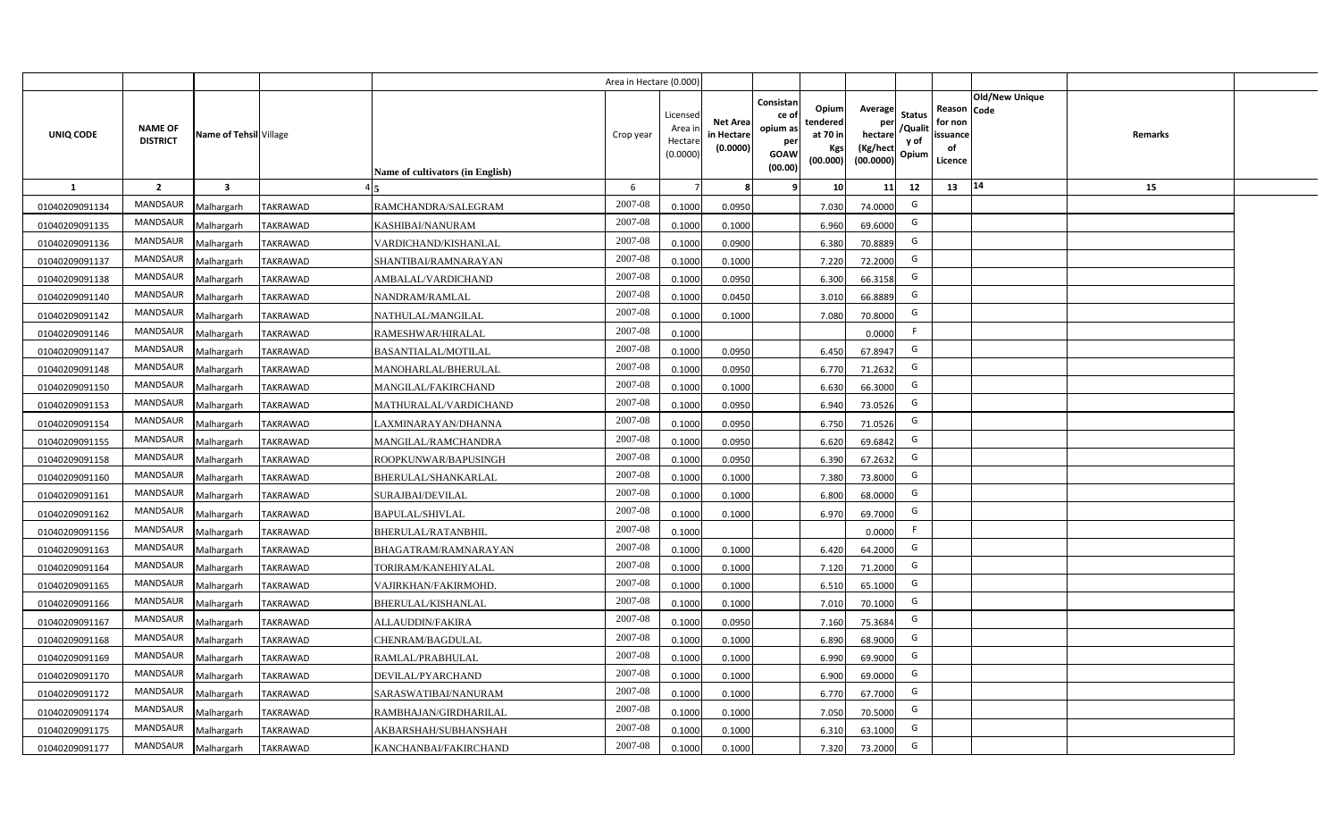|                  |                                   |                         |                 |                                  | Area in Hectare (0.000) |                                           |                                           |                                                                                                                     |                                                    |                                           |                                                     |                       |         |  |
|------------------|-----------------------------------|-------------------------|-----------------|----------------------------------|-------------------------|-------------------------------------------|-------------------------------------------|---------------------------------------------------------------------------------------------------------------------|----------------------------------------------------|-------------------------------------------|-----------------------------------------------------|-----------------------|---------|--|
| <b>UNIQ CODE</b> | <b>NAME OF</b><br><b>DISTRICT</b> | Name of Tehsil Village  |                 | Name of cultivators (in English) | Crop year               | Licensed<br>Area i<br>Hectare<br>(0.0000) | <b>Net Area</b><br>in Hectare<br>(0.0000) | Consistan<br>Opium<br>ce of<br>tendered<br>opium as<br>at 70 in<br>per<br>Kgs<br><b>GOAW</b><br>(00.000)<br>(00.00) | Average<br>per<br>hectare<br>(Kg/hect<br>(00.0000) | <b>Status</b><br>/Qualit<br>y of<br>Opium | Reason Code<br>for non<br>issuance<br>of<br>Licence | <b>Old/New Unique</b> | Remarks |  |
| $\mathbf{1}$     | $\overline{2}$                    | $\overline{\mathbf{3}}$ |                 |                                  | 6                       |                                           | 8                                         | 9<br>10                                                                                                             | 11                                                 | 12                                        | 13                                                  | 14                    | 15      |  |
| 01040209091134   | MANDSAUR                          | Malhargarh              | <b>TAKRAWAD</b> | RAMCHANDRA/SALEGRAM              | 2007-08                 | 0.1000                                    | 0.0950                                    | 7.030                                                                                                               | 74.0000                                            | G                                         |                                                     |                       |         |  |
| 01040209091135   | <b>MANDSAUR</b>                   | Malhargarh              | <b>TAKRAWAD</b> | KASHIBAI/NANURAM                 | 2007-08                 | 0.1000                                    | 0.1000                                    | 6.960                                                                                                               | 69.6000                                            | G                                         |                                                     |                       |         |  |
| 01040209091136   | <b>MANDSAUR</b>                   | Malhargarh              | <b>TAKRAWAD</b> | VARDICHAND/KISHANLAL             | 2007-08                 | 0.1000                                    | 0.0900                                    | 6.380                                                                                                               | 70.8889                                            | G                                         |                                                     |                       |         |  |
| 01040209091137   | MANDSAUR                          | Malhargarh              | <b>TAKRAWAD</b> | SHANTIBAI/RAMNARAYAN             | 2007-08                 | 0.1000                                    | 0.1000                                    | 7.220                                                                                                               | 72.2000                                            | G                                         |                                                     |                       |         |  |
| 01040209091138   | MANDSAUR                          | Malhargarh              | TAKRAWAD        | AMBALAL/VARDICHAND               | 2007-08                 | 0.1000                                    | 0.0950                                    | 6.300                                                                                                               | 66.3158                                            | G                                         |                                                     |                       |         |  |
| 01040209091140   | MANDSAUR                          | Malhargarh              | <b>TAKRAWAD</b> | NANDRAM/RAMLAL                   | 2007-08                 | 0.1000                                    | 0.0450                                    | 3.010                                                                                                               | 66.8889                                            | G                                         |                                                     |                       |         |  |
| 01040209091142   | MANDSAUR                          | Malhargarh              | <b>TAKRAWAD</b> | NATHULAL/MANGILAL                | 2007-08                 | 0.1000                                    | 0.1000                                    | 7.080                                                                                                               | 70.8000                                            | G                                         |                                                     |                       |         |  |
| 01040209091146   | MANDSAUR                          | Malhargarh              | <b>TAKRAWAD</b> | RAMESHWAR/HIRALAL                | 2007-08                 | 0.1000                                    |                                           |                                                                                                                     | 0.0000                                             | F                                         |                                                     |                       |         |  |
| 01040209091147   | <b>MANDSAUR</b>                   | Malhargarh              | <b>TAKRAWAD</b> | <b>BASANTIALAL/MOTILAL</b>       | 2007-08                 | 0.1000                                    | 0.0950                                    | 6.450                                                                                                               | 67.8947                                            | G                                         |                                                     |                       |         |  |
| 01040209091148   | MANDSAUR                          | Malhargarh              | <b>TAKRAWAD</b> | MANOHARLAL/BHERULAL              | 2007-08                 | 0.1000                                    | 0.0950                                    | 6.770                                                                                                               | 71.2632                                            | G                                         |                                                     |                       |         |  |
| 01040209091150   | <b>MANDSAUR</b>                   | Malhargarh              | <b>TAKRAWAD</b> | MANGILAL/FAKIRCHAND              | 2007-08                 | 0.1000                                    | 0.1000                                    | 6.630                                                                                                               | 66.3000                                            | G                                         |                                                     |                       |         |  |
| 01040209091153   | <b>MANDSAUR</b>                   | Malhargarh              | <b>TAKRAWAD</b> | MATHURALAL/VARDICHAND            | 2007-08                 | 0.1000                                    | 0.0950                                    | 6.940                                                                                                               | 73.0526                                            | G                                         |                                                     |                       |         |  |
| 01040209091154   | <b>MANDSAUR</b>                   | Malhargarh              | <b>TAKRAWAD</b> | LAXMINARAYAN/DHANNA              | $2007 - 08$             | 0.1000                                    | 0.0950                                    | 6.750                                                                                                               | 71.0526                                            | G                                         |                                                     |                       |         |  |
| 01040209091155   | <b>MANDSAUR</b>                   | Malhargarh              | <b>TAKRAWAD</b> | MANGILAL/RAMCHANDRA              | 2007-08                 | 0.1000                                    | 0.0950                                    | 6.620                                                                                                               | 69.6842                                            | G                                         |                                                     |                       |         |  |
| 01040209091158   | <b>MANDSAUR</b>                   | Malhargarh              | <b>TAKRAWAD</b> | ROOPKUNWAR/BAPUSINGH             | 2007-08                 | 0.1000                                    | 0.0950                                    | 6.390                                                                                                               | 67.2632                                            | G                                         |                                                     |                       |         |  |
| 01040209091160   | <b>MANDSAUR</b>                   | Malhargarh              | <b>TAKRAWAD</b> | BHERULAL/SHANKARLAL              | 2007-08                 | 0.1000                                    | 0.1000                                    | 7.380                                                                                                               | 73.8000                                            | G                                         |                                                     |                       |         |  |
| 01040209091161   | MANDSAUR                          | Malhargarh              | <b>TAKRAWAD</b> | SURAJBAI/DEVILAL                 | 2007-08                 | 0.1000                                    | 0.1000                                    | 6.800                                                                                                               | 68.0000                                            | G                                         |                                                     |                       |         |  |
| 01040209091162   | <b>MANDSAUR</b>                   | Malhargarh              | <b>TAKRAWAD</b> | <b>BAPULAL/SHIVLAL</b>           | 2007-08                 | 0.1000                                    | 0.1000                                    | 6.970                                                                                                               | 69.7000                                            | G                                         |                                                     |                       |         |  |
| 01040209091156   | MANDSAUR                          | Malhargarh              | <b>TAKRAWAD</b> | <b>BHERULAL/RATANBHIL</b>        | 2007-08                 | 0.1000                                    |                                           |                                                                                                                     | 0.0000                                             | F                                         |                                                     |                       |         |  |
| 01040209091163   | <b>MANDSAUR</b>                   | Malhargarh              | <b>TAKRAWAD</b> | BHAGATRAM/RAMNARAYAN             | 2007-08                 | 0.1000                                    | 0.1000                                    | 6.420                                                                                                               | 64.2000                                            | G                                         |                                                     |                       |         |  |
| 01040209091164   | MANDSAUR                          | Malhargarh              | <b>TAKRAWAD</b> | TORIRAM/KANEHIYALAL              | 2007-08                 | 0.1000                                    | 0.1000                                    | 7.120                                                                                                               | 71.2000                                            | G                                         |                                                     |                       |         |  |
| 01040209091165   | <b>MANDSAUR</b>                   | Malhargarh              | <b>TAKRAWAD</b> | VAJIRKHAN/FAKIRMOHD.             | 2007-08                 | 0.1000                                    | 0.1000                                    | 6.510                                                                                                               | 65.1000                                            | G                                         |                                                     |                       |         |  |
| 01040209091166   | <b>MANDSAUR</b>                   | Malhargarh              | <b>TAKRAWAD</b> | BHERULAL/KISHANLAL               | 2007-08                 | 0.1000                                    | 0.1000                                    | 7.010                                                                                                               | 70.1000                                            | G                                         |                                                     |                       |         |  |
| 01040209091167   | <b>MANDSAUR</b>                   | Malhargarh              | <b>TAKRAWAD</b> | ALLAUDDIN/FAKIRA                 | $2007 - 08$             | 0.1000                                    | 0.0950                                    | 7.160                                                                                                               | 75.3684                                            | G                                         |                                                     |                       |         |  |
| 01040209091168   | <b>MANDSAUR</b>                   | Malhargarh              | <b>TAKRAWAD</b> | CHENRAM/BAGDULAL                 | 2007-08                 | 0.1000                                    | 0.1000                                    | 6.890                                                                                                               | 68.9000                                            | G                                         |                                                     |                       |         |  |
| 01040209091169   | <b>MANDSAUR</b>                   | Malhargarh              | <b>TAKRAWAD</b> | RAMLAL/PRABHULAL                 | 2007-08                 | 0.1000                                    | 0.1000                                    | 6.990                                                                                                               | 69.9000                                            | G                                         |                                                     |                       |         |  |
| 01040209091170   | <b>MANDSAUR</b>                   | Malhargarh              | <b>TAKRAWAD</b> | DEVILAL/PYARCHAND                | 2007-08                 | 0.1000                                    | 0.1000                                    | 6.900                                                                                                               | 69.0000                                            | G                                         |                                                     |                       |         |  |
| 01040209091172   | MANDSAUR                          | Malhargarh              | <b>TAKRAWAD</b> | SARASWATIBAI/NANURAM             | 2007-08                 | 0.1000                                    | 0.1000                                    | 6.770                                                                                                               | 67.7000                                            | G                                         |                                                     |                       |         |  |
| 01040209091174   | MANDSAUR                          | Malhargarh              | TAKRAWAD        | RAMBHAJAN/GIRDHARILAL            | 2007-08                 | 0.1000                                    | 0.1000                                    | 7.050                                                                                                               | 70.5000                                            | G                                         |                                                     |                       |         |  |
| 01040209091175   | <b>MANDSAUR</b>                   | Malhargarh              | <b>TAKRAWAD</b> | AKBARSHAH/SUBHANSHAH             | 2007-08                 | 0.1000                                    | 0.1000                                    | 6.310                                                                                                               | 63.1000                                            | G                                         |                                                     |                       |         |  |
| 01040209091177   | MANDSAUR                          | Malhargarh              | <b>TAKRAWAD</b> | KANCHANBAI/FAKIRCHAND            | 2007-08                 | 0.1000                                    | 0.1000                                    | 7.320                                                                                                               | 73.2000                                            | G                                         |                                                     |                       |         |  |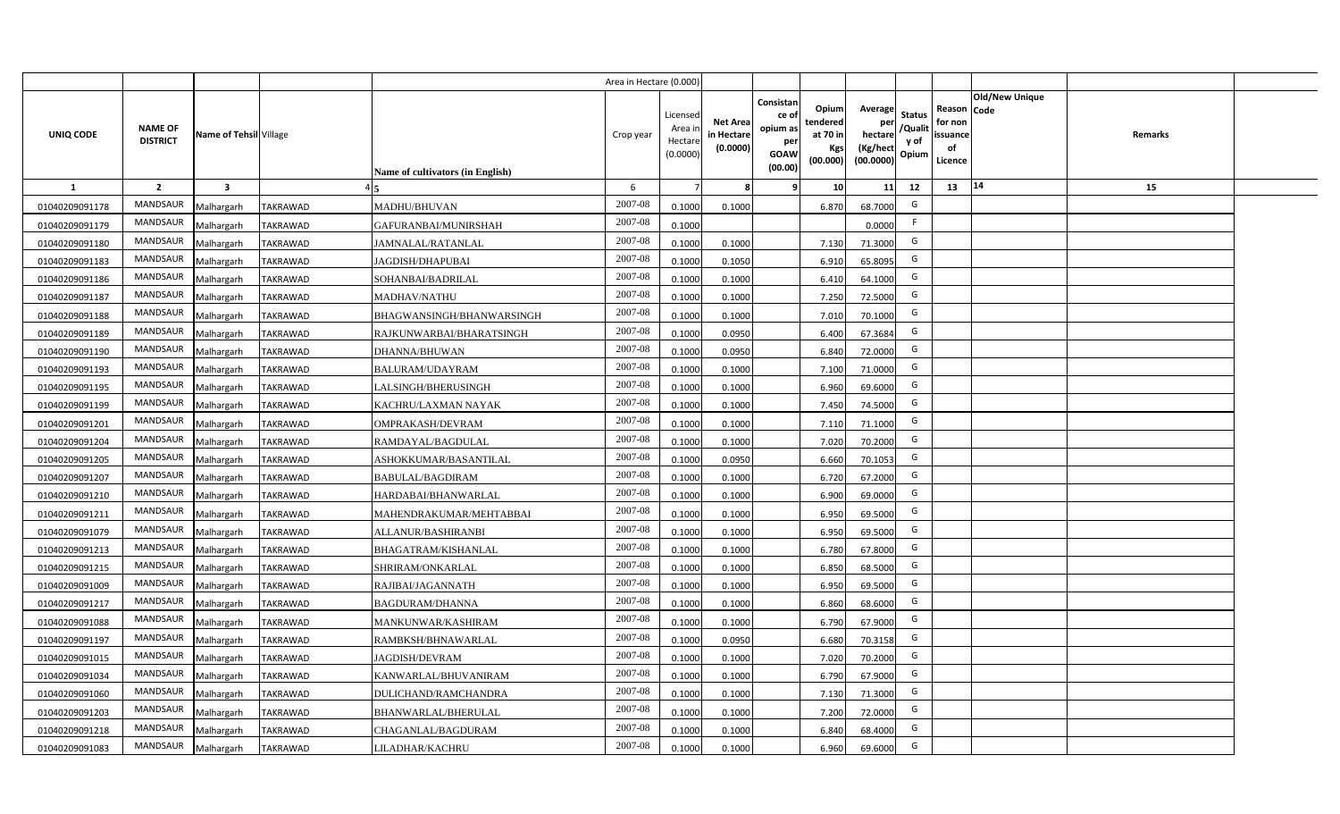|                |                                   |                         |                 |                                  | Area in Hectare (0.000) |                                           |                                           |                                                                                                                     |                                                    |                                           |                                                     |                       |         |  |
|----------------|-----------------------------------|-------------------------|-----------------|----------------------------------|-------------------------|-------------------------------------------|-------------------------------------------|---------------------------------------------------------------------------------------------------------------------|----------------------------------------------------|-------------------------------------------|-----------------------------------------------------|-----------------------|---------|--|
| UNIQ CODE      | <b>NAME OF</b><br><b>DISTRICT</b> | Name of Tehsil Village  |                 | Name of cultivators (in English) | Crop year               | Licensed<br>Area i<br>Hectare<br>(0.0000) | <b>Net Area</b><br>in Hectare<br>(0.0000) | Consistan<br>Opium<br>ce of<br>tendered<br>opium as<br>at 70 in<br>per<br>Kgs<br><b>GOAW</b><br>(00.000)<br>(00.00) | Average<br>per<br>hectare<br>(Kg/hect<br>(00.0000) | <b>Status</b><br>/Qualit<br>y of<br>Opium | Reason Code<br>for non<br>issuance<br>of<br>Licence | <b>Old/New Unique</b> | Remarks |  |
| 1              | $\overline{2}$                    | $\overline{\mathbf{3}}$ |                 |                                  | 6                       |                                           | 8                                         | 10 <sup>1</sup><br>-9                                                                                               | 11                                                 | 12                                        | 13                                                  | 14                    | 15      |  |
| 01040209091178 | MANDSAUR                          | Malhargarh              | <b>TAKRAWAD</b> | MADHU/BHUVAN                     | 2007-08                 | 0.1000                                    | 0.1000                                    | 6.870                                                                                                               | 68.7000                                            | G                                         |                                                     |                       |         |  |
| 01040209091179 | MANDSAUR                          | Malhargarh              | <b>TAKRAWAD</b> | GAFURANBAI/MUNIRSHAH             | 2007-08                 | 0.1000                                    |                                           |                                                                                                                     | 0.0000                                             | F.                                        |                                                     |                       |         |  |
| 01040209091180 | <b>MANDSAUR</b>                   | Malhargarh              | <b>TAKRAWAD</b> | JAMNALAL/RATANLAL                | 2007-08                 | 0.1000                                    | 0.1000                                    | 7.130                                                                                                               | 71.3000                                            | G                                         |                                                     |                       |         |  |
| 01040209091183 | MANDSAUR                          | Malhargarh              | <b>TAKRAWAD</b> | JAGDISH/DHAPUBAI                 | 2007-08                 | 0.1000                                    | 0.1050                                    | 6.910                                                                                                               | 65.8095                                            | G                                         |                                                     |                       |         |  |
| 01040209091186 | MANDSAUR                          | Malhargarh              | <b>TAKRAWAD</b> | SOHANBAI/BADRILAL                | 2007-08                 | 0.1000                                    | 0.1000                                    | 6.410                                                                                                               | 64.1000                                            | G                                         |                                                     |                       |         |  |
| 01040209091187 | MANDSAUR                          | Malhargarh              | TAKRAWAD        | MADHAV/NATHU                     | 2007-08                 | 0.1000                                    | 0.1000                                    | 7.250                                                                                                               | 72.5000                                            | G                                         |                                                     |                       |         |  |
| 01040209091188 | <b>MANDSAUR</b>                   | Malhargarh              | TAKRAWAD        | BHAGWANSINGH/BHANWARSINGH        | 2007-08                 | 0.1000                                    | 0.1000                                    | 7.010                                                                                                               | 70.1000                                            | G                                         |                                                     |                       |         |  |
| 01040209091189 | MANDSAUR                          | Malhargarh              | <b>TAKRAWAD</b> | RAJKUNWARBAI/BHARATSINGH         | 2007-08                 | 0.1000                                    | 0.0950                                    | 6.400                                                                                                               | 67.3684                                            | G                                         |                                                     |                       |         |  |
| 01040209091190 | MANDSAUR                          | Malhargarh              | TAKRAWAD        | DHANNA/BHUWAN                    | 2007-08                 | 0.1000                                    | 0.0950                                    | 6.840                                                                                                               | 72.0000                                            | G                                         |                                                     |                       |         |  |
| 01040209091193 | MANDSAUR                          | Malhargarh              | <b>TAKRAWAD</b> | <b>BALURAM/UDAYRAM</b>           | 2007-08                 | 0.1000                                    | 0.1000                                    | 7.100                                                                                                               | 71.0000                                            | G                                         |                                                     |                       |         |  |
| 01040209091195 | MANDSAUR                          | Malhargarh              | <b>TAKRAWAD</b> | LALSINGH/BHERUSINGH              | 2007-08                 | 0.1000                                    | 0.1000                                    | 6.960                                                                                                               | 69.6000                                            | G                                         |                                                     |                       |         |  |
| 01040209091199 | <b>MANDSAUR</b>                   | Malhargarh              | <b>TAKRAWAD</b> | KACHRU/LAXMAN NAYAK              | 2007-08                 | 0.1000                                    | 0.1000                                    | 7.450                                                                                                               | 74.5000                                            | G                                         |                                                     |                       |         |  |
| 01040209091201 | <b>MANDSAUR</b>                   | Malhargarh              | <b>TAKRAWAD</b> | OMPRAKASH/DEVRAM                 | 2007-08                 | 0.1000                                    | 0.1000                                    | 7.110                                                                                                               | 71.1000                                            | G                                         |                                                     |                       |         |  |
| 01040209091204 | <b>MANDSAUR</b>                   | Malhargarh              | <b>TAKRAWAD</b> | RAMDAYAL/BAGDULAL                | 2007-08                 | 0.1000                                    | 0.1000                                    | 7.020                                                                                                               | 70.2000                                            | G                                         |                                                     |                       |         |  |
| 01040209091205 | MANDSAUR                          | Malhargarh              | <b>TAKRAWAD</b> | ASHOKKUMAR/BASANTILAL            | 2007-08                 | 0.1000                                    | 0.0950                                    | 6.660                                                                                                               | 70.1053                                            | G                                         |                                                     |                       |         |  |
| 01040209091207 | <b>MANDSAUR</b>                   | Malhargarh              | <b>TAKRAWAD</b> | <b>BABULAL/BAGDIRAM</b>          | 2007-08                 | 0.1000                                    | 0.1000                                    | 6.720                                                                                                               | 67.2000                                            | G                                         |                                                     |                       |         |  |
| 01040209091210 | <b>MANDSAUR</b>                   | Malhargarh              | <b>TAKRAWAD</b> | HARDABAI/BHANWARLAL              | 2007-08                 | 0.1000                                    | 0.1000                                    | 6.900                                                                                                               | 69.0000                                            | G                                         |                                                     |                       |         |  |
| 01040209091211 | <b>MANDSAUR</b>                   | Malhargarh              | <b>TAKRAWAD</b> | MAHENDRAKUMAR/MEHTABBAI          | 2007-08                 | 0.1000                                    | 0.1000                                    | 6.950                                                                                                               | 69.5000                                            | G                                         |                                                     |                       |         |  |
| 01040209091079 | <b>MANDSAUR</b>                   | Malhargarh              | <b>TAKRAWAD</b> | ALLANUR/BASHIRANBI               | 2007-08                 | 0.1000                                    | 0.1000                                    | 6.950                                                                                                               | 69.5000                                            | G                                         |                                                     |                       |         |  |
| 01040209091213 | <b>MANDSAUR</b>                   | Malhargarh              | <b>TAKRAWAD</b> | BHAGATRAM/KISHANLAL              | 2007-08                 | 0.1000                                    | 0.1000                                    | 6.780                                                                                                               | 67.8000                                            | G                                         |                                                     |                       |         |  |
| 01040209091215 | <b>MANDSAUR</b>                   | Malhargarh              | <b>TAKRAWAD</b> | SHRIRAM/ONKARLAL                 | 2007-08                 | 0.1000                                    | 0.1000                                    | 6.850                                                                                                               | 68.5000                                            | G                                         |                                                     |                       |         |  |
| 01040209091009 | <b>MANDSAUR</b>                   | Malhargarh              | <b>TAKRAWAD</b> | RAJIBAI/JAGANNATH                | 2007-08                 | 0.1000                                    | 0.1000                                    | 6.950                                                                                                               | 69.5000                                            | G                                         |                                                     |                       |         |  |
| 01040209091217 | <b>MANDSAUR</b>                   | Malhargarh              | <b>TAKRAWAD</b> | <b>BAGDURAM/DHANNA</b>           | 2007-08                 | 0.1000                                    | 0.1000                                    | 6.860                                                                                                               | 68.6000                                            | G                                         |                                                     |                       |         |  |
| 01040209091088 | <b>MANDSAUR</b>                   | Malhargarh              | <b>TAKRAWAD</b> | MANKUNWAR/KASHIRAM               | 2007-08                 | 0.1000                                    | 0.1000                                    | 6.790                                                                                                               | 67.9000                                            | G                                         |                                                     |                       |         |  |
| 01040209091197 | <b>MANDSAUR</b>                   | Malhargarh              | <b>TAKRAWAD</b> | RAMBKSH/BHNAWARLAL               | 2007-08                 | 0.1000                                    | 0.0950                                    | 6.680                                                                                                               | 70.3158                                            | G                                         |                                                     |                       |         |  |
| 01040209091015 | MANDSAUR                          | Malhargarh              | TAKRAWAD        | JAGDISH/DEVRAM                   | 2007-08                 | 0.1000                                    | 0.1000                                    | 7.020                                                                                                               | 70.2000                                            | G                                         |                                                     |                       |         |  |
| 01040209091034 | MANDSAUR                          | Malhargarh              | <b>TAKRAWAD</b> | KANWARLAL/BHUVANIRAM             | 2007-08                 | 0.1000                                    | 0.1000                                    | 6.790                                                                                                               | 67.9000                                            | G                                         |                                                     |                       |         |  |
| 01040209091060 | MANDSAUR                          | Malhargarh              | <b>TAKRAWAD</b> | DULICHAND/RAMCHANDRA             | 2007-08                 | 0.1000                                    | 0.1000                                    | 7.130                                                                                                               | 71.3000                                            | G                                         |                                                     |                       |         |  |
| 01040209091203 | MANDSAUR                          | Malhargarh              | <b>TAKRAWAD</b> | <b>BHANWARLAL/BHERULAL</b>       | 2007-08                 | 0.1000                                    | 0.1000                                    | 7.200                                                                                                               | 72.0000                                            | G                                         |                                                     |                       |         |  |
| 01040209091218 | MANDSAUR                          | Malhargarh              | <b>TAKRAWAD</b> | CHAGANLAL/BAGDURAM               | 2007-08                 | 0.1000                                    | 0.1000                                    | 6.840                                                                                                               | 68.4000                                            | G                                         |                                                     |                       |         |  |
| 01040209091083 | MANDSAUR                          | Malhargarh              | <b>TAKRAWAD</b> | <b>LILADHAR/KACHRU</b>           | 2007-08                 | 0.1000                                    | 0.1000                                    | 6.960                                                                                                               | 69.6000                                            | G                                         |                                                     |                       |         |  |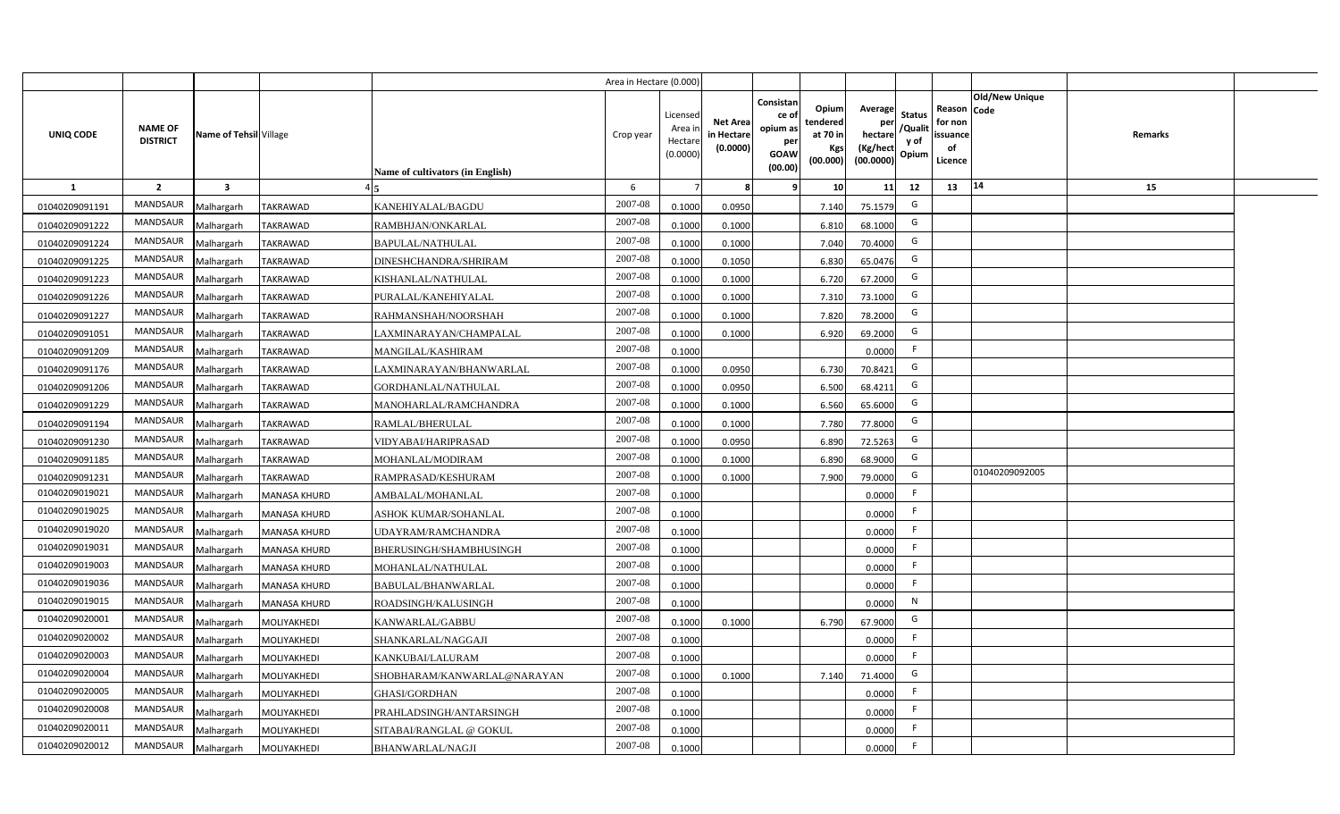|                  |                                   |                         |                     |                                  | Area in Hectare (0.000) |                                           |                                           |                                                                                                                     |                                                    |                                           |                                                     |                       |         |  |
|------------------|-----------------------------------|-------------------------|---------------------|----------------------------------|-------------------------|-------------------------------------------|-------------------------------------------|---------------------------------------------------------------------------------------------------------------------|----------------------------------------------------|-------------------------------------------|-----------------------------------------------------|-----------------------|---------|--|
| <b>UNIQ CODE</b> | <b>NAME OF</b><br><b>DISTRICT</b> | Name of Tehsil Village  |                     | Name of cultivators (in English) | Crop year               | Licensed<br>Area i<br>Hectare<br>(0.0000) | <b>Net Area</b><br>in Hectare<br>(0.0000) | Consistan<br>Opium<br>ce of<br>tendered<br>opium as<br>at 70 in<br>per<br>Kgs<br><b>GOAW</b><br>(00.000)<br>(00.00) | Average<br>per<br>hectare<br>(Kg/hect<br>(00.0000) | <b>Status</b><br>/Qualit<br>y of<br>Opium | Reason Code<br>for non<br>issuance<br>of<br>Licence | <b>Old/New Unique</b> | Remarks |  |
| $\mathbf{1}$     | $\overline{2}$                    | $\overline{\mathbf{3}}$ |                     |                                  | 6                       |                                           | 8                                         | -9<br>10 <sup>1</sup>                                                                                               | 11                                                 | 12                                        | 13                                                  | 14                    | 15      |  |
| 01040209091191   | MANDSAUR                          | Malhargarh              | <b>TAKRAWAD</b>     | KANEHIYALAL/BAGDU                | 2007-08                 | 0.1000                                    | 0.0950                                    | 7.140                                                                                                               | 75.1579                                            | G                                         |                                                     |                       |         |  |
| 01040209091222   | MANDSAUR                          | Malhargarh              | <b>TAKRAWAD</b>     | RAMBHJAN/ONKARLAL                | 2007-08                 | 0.1000                                    | 0.1000                                    | 6.810                                                                                                               | 68.1000                                            | G                                         |                                                     |                       |         |  |
| 01040209091224   | MANDSAUR                          | Malhargarh              | <b>TAKRAWAD</b>     | <b>BAPULAL/NATHULAL</b>          | 2007-08                 | 0.1000                                    | 0.1000                                    | 7.040                                                                                                               | 70.4000                                            | G                                         |                                                     |                       |         |  |
| 01040209091225   | MANDSAUR                          | Malhargarh              | <b>TAKRAWAD</b>     | DINESHCHANDRA/SHRIRAM            | 2007-08                 | 0.1000                                    | 0.1050                                    | 6.830                                                                                                               | 65.0476                                            | G                                         |                                                     |                       |         |  |
| 01040209091223   | MANDSAUR                          | Malhargarh              | TAKRAWAD            | KISHANLAL/NATHULAL               | 2007-08                 | 0.1000                                    | 0.1000                                    | 6.720                                                                                                               | 67.2000                                            | G                                         |                                                     |                       |         |  |
| 01040209091226   | <b>MANDSAUR</b>                   | Malhargarh              | TAKRAWAD            | PURALAL/KANEHIYALAL              | 2007-08                 | 0.1000                                    | 0.1000                                    | 7.310                                                                                                               | 73.1000                                            | G                                         |                                                     |                       |         |  |
| 01040209091227   | <b>MANDSAUR</b>                   | Malhargarh              | <b>TAKRAWAD</b>     | RAHMANSHAH/NOORSHAH              | 2007-08                 | 0.1000                                    | 0.1000                                    | 7.820                                                                                                               | 78.2000                                            | G                                         |                                                     |                       |         |  |
| 01040209091051   | MANDSAUR                          | Malhargarh              | <b>TAKRAWAD</b>     | LAXMINARAYAN/CHAMPALAL           | 2007-08                 | 0.1000                                    | 0.1000                                    | 6.920                                                                                                               | 69.2000                                            | G                                         |                                                     |                       |         |  |
| 01040209091209   | MANDSAUR                          | Malhargarh              | <b>TAKRAWAD</b>     | MANGILAL/KASHIRAM                | 2007-08                 | 0.1000                                    |                                           |                                                                                                                     | 0.0000                                             | F.                                        |                                                     |                       |         |  |
| 01040209091176   | <b>MANDSAUR</b>                   | Malhargarh              | <b>TAKRAWAD</b>     | LAXMINARAYAN/BHANWARLAL          | 2007-08                 | 0.1000                                    | 0.0950                                    | 6.730                                                                                                               | 70.8421                                            | G                                         |                                                     |                       |         |  |
| 01040209091206   | <b>MANDSAUR</b>                   | Malhargarh              | <b>TAKRAWAD</b>     | GORDHANLAL/NATHULAL              | 2007-08                 | 0.1000                                    | 0.0950                                    | 6.500                                                                                                               | 68.4211                                            | G                                         |                                                     |                       |         |  |
| 01040209091229   | <b>MANDSAUR</b>                   | Malhargarh              | <b>TAKRAWAD</b>     | MANOHARLAL/RAMCHANDRA            | 2007-08                 | 0.1000                                    | 0.1000                                    | 6.560                                                                                                               | 65.6000                                            | G                                         |                                                     |                       |         |  |
| 01040209091194   | <b>MANDSAUR</b>                   | Malhargarh              | <b>TAKRAWAD</b>     | RAMLAL/BHERULAL                  | 2007-08                 | 0.1000                                    | 0.1000                                    | 7.780                                                                                                               | 77.8000                                            | G                                         |                                                     |                       |         |  |
| 01040209091230   | <b>MANDSAUR</b>                   | Malhargarh              | <b>TAKRAWAD</b>     | VIDYABAI/HARIPRASAD              | 2007-08                 | 0.1000                                    | 0.0950                                    | 6.890                                                                                                               | 72.5263                                            | G                                         |                                                     |                       |         |  |
| 01040209091185   | MANDSAUR                          | Malhargarh              | <b>TAKRAWAD</b>     | MOHANLAL/MODIRAM                 | 2007-08                 | 0.1000                                    | 0.1000                                    | 6.890                                                                                                               | 68.9000                                            | G                                         |                                                     |                       |         |  |
| 01040209091231   | <b>MANDSAUR</b>                   | Malhargarh              | TAKRAWAD            | RAMPRASAD/KESHURAM               | 2007-08                 | 0.1000                                    | 0.1000                                    | 7.900                                                                                                               | 79.0000                                            | G                                         |                                                     | 01040209092005        |         |  |
| 01040209019021   | <b>MANDSAUR</b>                   | Malhargarh              | <b>MANASA KHURD</b> | AMBALAL/MOHANLAL                 | 2007-08                 | 0.1000                                    |                                           |                                                                                                                     | 0.0000                                             | F.                                        |                                                     |                       |         |  |
| 01040209019025   | <b>MANDSAUR</b>                   | Malhargarh              | <b>MANASA KHURD</b> | ASHOK KUMAR/SOHANLAL             | 2007-08                 | 0.1000                                    |                                           |                                                                                                                     | 0.0000                                             | F.                                        |                                                     |                       |         |  |
| 01040209019020   | <b>MANDSAUR</b>                   | Malhargarh              | <b>MANASA KHURD</b> | <b>JDAYRAM/RAMCHANDRA</b>        | 2007-08                 | 0.1000                                    |                                           |                                                                                                                     | 0.0000                                             | F                                         |                                                     |                       |         |  |
| 01040209019031   | MANDSAUR                          | Malhargarh              | <b>MANASA KHURD</b> | BHERUSINGH/SHAMBHUSINGH          | 2007-08                 | 0.1000                                    |                                           |                                                                                                                     | 0.0000                                             | F                                         |                                                     |                       |         |  |
| 01040209019003   | <b>MANDSAUR</b>                   | Malhargarh              | <b>MANASA KHURD</b> | MOHANLAL/NATHULAL                | 2007-08                 | 0.1000                                    |                                           |                                                                                                                     | 0.0000                                             | F                                         |                                                     |                       |         |  |
| 01040209019036   | <b>MANDSAUR</b>                   | Malhargarh              | <b>MANASA KHURD</b> | BABULAL/BHANWARLAL               | 2007-08                 | 0.1000                                    |                                           |                                                                                                                     | 0.0000                                             | F.                                        |                                                     |                       |         |  |
| 01040209019015   | <b>MANDSAUR</b>                   | Malhargarh              | <b>MANASA KHURD</b> | ROADSINGH/KALUSINGH              | 2007-08                 | 0.1000                                    |                                           |                                                                                                                     | 0.0000                                             | $\mathsf{N}$                              |                                                     |                       |         |  |
| 01040209020001   | MANDSAUR                          | Malhargarh              | MOLIYAKHEDI         | KANWARLAL/GABBU                  | 2007-08                 | 0.1000                                    | 0.1000                                    | 6.790                                                                                                               | 67.9000                                            | G                                         |                                                     |                       |         |  |
| 01040209020002   | MANDSAUR                          | Malhargarh              | MOLIYAKHEDI         | SHANKARLAL/NAGGAJI               | 2007-08                 | 0.1000                                    |                                           |                                                                                                                     | 0.0000                                             | F                                         |                                                     |                       |         |  |
| 01040209020003   | MANDSAUR                          | Malhargarh              | MOLIYAKHEDI         | KANKUBAI/LALURAM                 | 2007-08                 | 0.1000                                    |                                           |                                                                                                                     | 0.0000                                             | F                                         |                                                     |                       |         |  |
| 01040209020004   | MANDSAUR                          | Malhargarh              | MOLIYAKHEDI         | SHOBHARAM/KANWARLAL@NARAYAN      | 2007-08                 | 0.1000                                    | 0.1000                                    | 7.140                                                                                                               | 71.4000                                            | G                                         |                                                     |                       |         |  |
| 01040209020005   | MANDSAUR                          | Malhargarh              | MOLIYAKHEDI         | <b>GHASI/GORDHAN</b>             | 2007-08                 | 0.1000                                    |                                           |                                                                                                                     | 0.0000                                             | F.                                        |                                                     |                       |         |  |
| 01040209020008   | MANDSAUR                          | Malhargarh              | MOLIYAKHEDI         | PRAHLADSINGH/ANTARSINGH          | 2007-08                 | 0.1000                                    |                                           |                                                                                                                     | 0.0000                                             | F                                         |                                                     |                       |         |  |
| 01040209020011   | <b>MANDSAUR</b>                   | Malhargarh              | MOLIYAKHEDI         | SITABAI/RANGLAL @ GOKUL          | 2007-08                 | 0.1000                                    |                                           |                                                                                                                     | 0.0000                                             | F.                                        |                                                     |                       |         |  |
| 01040209020012   | MANDSAUR                          | Malhargarh              | MOLIYAKHEDI         | <b>BHANWARLAL/NAGJI</b>          | 2007-08                 | 0.1000                                    |                                           |                                                                                                                     | 0.0000                                             | F                                         |                                                     |                       |         |  |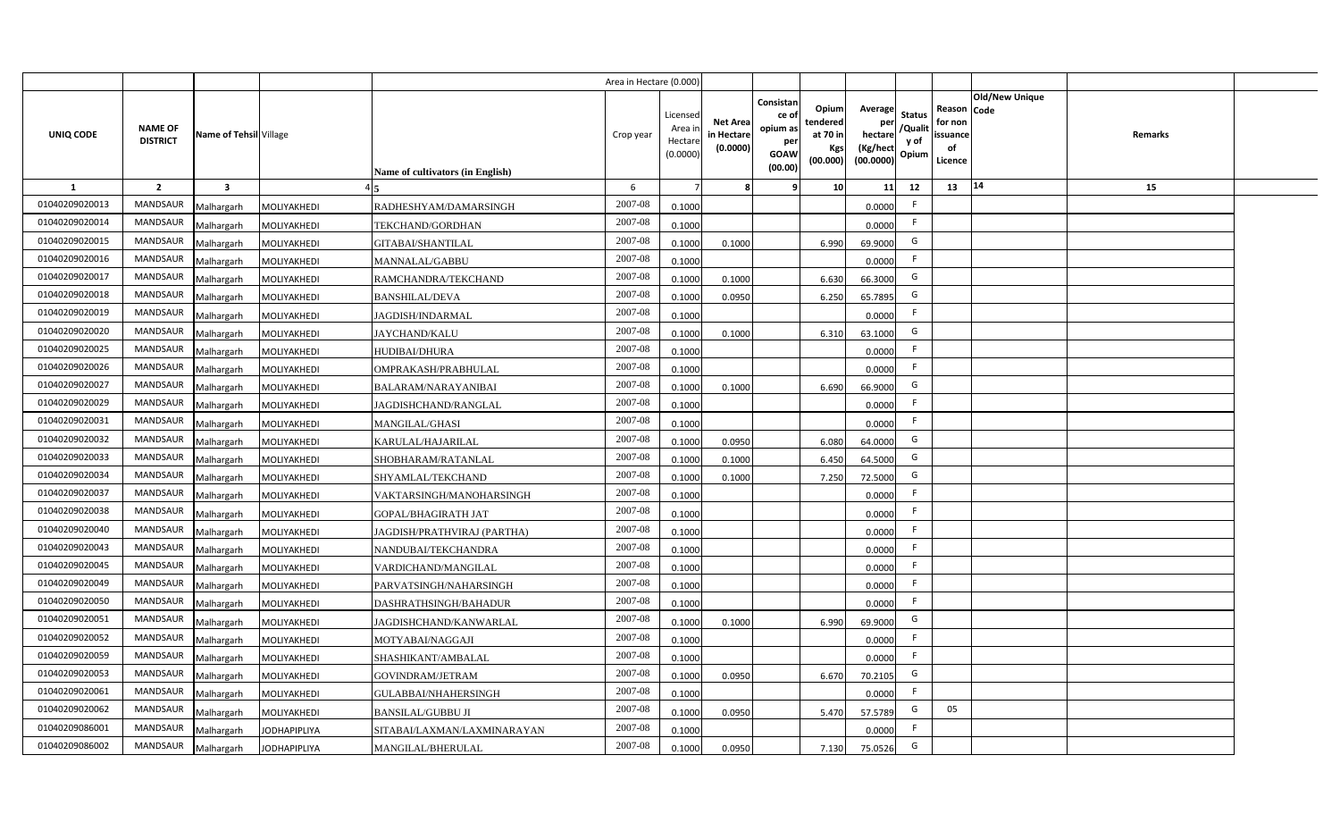|                |                                   |                         |                     |                                         | Area in Hectare (0.000) |                                           |                                           |                                                                 |                                                  |                                                                                                 |                                                     |                       |         |  |
|----------------|-----------------------------------|-------------------------|---------------------|-----------------------------------------|-------------------------|-------------------------------------------|-------------------------------------------|-----------------------------------------------------------------|--------------------------------------------------|-------------------------------------------------------------------------------------------------|-----------------------------------------------------|-----------------------|---------|--|
| UNIQ CODE      | <b>NAME OF</b><br><b>DISTRICT</b> | Name of Tehsil Village  |                     | <b>Name of cultivators (in English)</b> | Crop year               | Licensed<br>Area i<br>Hectare<br>(0.0000) | <b>Net Area</b><br>in Hectare<br>(0.0000) | Consistan<br>ce of<br>opium as<br>per<br><b>GOAW</b><br>(00.00) | Opium<br>tendered<br>at 70 in<br>Kgs<br>(00.000) | Average<br><b>Status</b><br>per<br>/Qualit<br>hectare<br>y of<br>(Kg/hect<br>Opium<br>(00.0000) | Reason Code<br>for non<br>issuance<br>of<br>Licence | <b>Old/New Unique</b> | Remarks |  |
| <b>1</b>       | $\overline{2}$                    | $\overline{\mathbf{3}}$ |                     |                                         | 6                       |                                           |                                           | -9                                                              | 10                                               | 11<br>12                                                                                        | 13                                                  | 14                    | 15      |  |
| 01040209020013 | <b>MANDSAUR</b>                   | Malhargarh              | MOLIYAKHEDI         | RADHESHYAM/DAMARSINGH                   | 2007-08                 | 0.1000                                    |                                           |                                                                 |                                                  | -F<br>0.0000                                                                                    |                                                     |                       |         |  |
| 01040209020014 | <b>MANDSAUR</b>                   | Malhargarh              | MOLIYAKHEDI         | TEKCHAND/GORDHAN                        | 2007-08                 | 0.1000                                    |                                           |                                                                 |                                                  | F.<br>0.0000                                                                                    |                                                     |                       |         |  |
| 01040209020015 | MANDSAUR                          | Malhargarh              | MOLIYAKHEDI         | GITABAI/SHANTILAL                       | 2007-08                 | 0.1000                                    | 0.1000                                    |                                                                 | 6.990                                            | G<br>69.9000                                                                                    |                                                     |                       |         |  |
| 01040209020016 | MANDSAUR                          | Malhargarh              | MOLIYAKHEDI         | MANNALAL/GABBU                          | 2007-08                 | 0.1000                                    |                                           |                                                                 |                                                  | -F<br>0.0000                                                                                    |                                                     |                       |         |  |
| 01040209020017 | MANDSAUR                          | Malhargarh              | MOLIYAKHEDI         | RAMCHANDRA/TEKCHAND                     | 2007-08                 | 0.1000                                    | 0.1000                                    |                                                                 | 6.630                                            | G<br>66.3000                                                                                    |                                                     |                       |         |  |
| 01040209020018 | MANDSAUR                          | Malhargarh              | MOLIYAKHEDI         | <b>BANSHILAL/DEVA</b>                   | 2007-08                 | 0.1000                                    | 0.0950                                    |                                                                 | 6.250                                            | G<br>65.7895                                                                                    |                                                     |                       |         |  |
| 01040209020019 | MANDSAUR                          | Malhargarh              | MOLIYAKHEDI         | JAGDISH/INDARMAL                        | 2007-08                 | 0.1000                                    |                                           |                                                                 |                                                  | F<br>0.0000                                                                                     |                                                     |                       |         |  |
| 01040209020020 | MANDSAUR                          | Malhargarh              | MOLIYAKHEDI         | JAYCHAND/KALU                           | 2007-08                 | 0.1000                                    | 0.1000                                    |                                                                 | 6.310                                            | G<br>63.1000                                                                                    |                                                     |                       |         |  |
| 01040209020025 | MANDSAUR                          | Malhargarh              | MOLIYAKHEDI         | HUDIBAI/DHURA                           | 2007-08                 | 0.1000                                    |                                           |                                                                 |                                                  | -F<br>0.0000                                                                                    |                                                     |                       |         |  |
| 01040209020026 | MANDSAUR                          | Malhargarh              | MOLIYAKHEDI         | OMPRAKASH/PRABHULAL                     | 2007-08                 | 0.1000                                    |                                           |                                                                 |                                                  | F<br>0.0000                                                                                     |                                                     |                       |         |  |
| 01040209020027 | MANDSAUR                          | Malhargarh              | MOLIYAKHEDI         | <b>BALARAM/NARAYANIBAI</b>              | 2007-08                 | 0.1000                                    | 0.1000                                    |                                                                 | 6.690                                            | G<br>66.9000                                                                                    |                                                     |                       |         |  |
| 01040209020029 | MANDSAUR                          | Malhargarh              | MOLIYAKHEDI         | JAGDISHCHAND/RANGLAL                    | 2007-08                 | 0.1000                                    |                                           |                                                                 |                                                  | -F<br>0.0000                                                                                    |                                                     |                       |         |  |
| 01040209020031 | MANDSAUR                          | Malhargarh              | MOLIYAKHEDI         | <b>MANGILAL/GHASI</b>                   | 2007-08                 | 0.1000                                    |                                           |                                                                 |                                                  | F<br>0.0000                                                                                     |                                                     |                       |         |  |
| 01040209020032 | MANDSAUR                          | Malhargarh              | MOLIYAKHEDI         | KARULAL/HAJARILAL                       | 2007-08                 | 0.1000                                    | 0.0950                                    |                                                                 | 6.080                                            | G<br>64.0000                                                                                    |                                                     |                       |         |  |
| 01040209020033 | MANDSAUR                          | Malhargarh              | MOLIYAKHEDI         | SHOBHARAM/RATANLAL                      | 2007-08                 | 0.1000                                    | 0.1000                                    |                                                                 | 6.450                                            | G<br>64.5000                                                                                    |                                                     |                       |         |  |
| 01040209020034 | MANDSAUR                          | Malhargarh              | MOLIYAKHEDI         | SHYAMLAL/TEKCHAND                       | 2007-08                 | 0.1000                                    | 0.1000                                    |                                                                 | 7.250                                            | G<br>72.5000                                                                                    |                                                     |                       |         |  |
| 01040209020037 | MANDSAUR                          | Malhargarh              | MOLIYAKHEDI         | VAKTARSINGH/MANOHARSINGH                | 2007-08                 | 0.1000                                    |                                           |                                                                 |                                                  | F.<br>0.0000                                                                                    |                                                     |                       |         |  |
| 01040209020038 | MANDSAUR                          | Malhargarh              | MOLIYAKHEDI         | GOPAL/BHAGIRATH JAT                     | 2007-08                 | 0.1000                                    |                                           |                                                                 |                                                  | F.<br>0.0000                                                                                    |                                                     |                       |         |  |
| 01040209020040 | MANDSAUR                          | Malhargarh              | MOLIYAKHEDI         | JAGDISH/PRATHVIRAJ (PARTHA)             | 2007-08                 | 0.1000                                    |                                           |                                                                 |                                                  | F<br>0.0000                                                                                     |                                                     |                       |         |  |
| 01040209020043 | MANDSAUR                          | Malhargarh              | MOLIYAKHEDI         | NANDUBAI/TEKCHANDRA                     | 2007-08                 | 0.1000                                    |                                           |                                                                 |                                                  | F.<br>0.0000                                                                                    |                                                     |                       |         |  |
| 01040209020045 | MANDSAUR                          | Malhargarh              | MOLIYAKHEDI         | VARDICHAND/MANGILAL                     | $2007 - 08$             | 0.1000                                    |                                           |                                                                 |                                                  | F.<br>0.0000                                                                                    |                                                     |                       |         |  |
| 01040209020049 | MANDSAUR                          | Malhargarh              | MOLIYAKHEDI         | PARVATSINGH/NAHARSINGH                  | 2007-08                 | 0.1000                                    |                                           |                                                                 |                                                  | F.<br>0.0000                                                                                    |                                                     |                       |         |  |
| 01040209020050 | MANDSAUR                          | Malhargarh              | MOLIYAKHEDI         | DASHRATHSINGH/BAHADUR                   | 2007-08                 | 0.1000                                    |                                           |                                                                 |                                                  | F<br>0.0000                                                                                     |                                                     |                       |         |  |
| 01040209020051 | MANDSAUR                          | Malhargarh              | MOLIYAKHEDI         | JAGDISHCHAND/KANWARLAL                  | 2007-08                 | 0.1000                                    | 0.1000                                    |                                                                 | 6.990                                            | G<br>69.9000                                                                                    |                                                     |                       |         |  |
| 01040209020052 | MANDSAUR                          | Malhargarh              | MOLIYAKHEDI         | MOTYABAI/NAGGAJI                        | 2007-08                 | 0.1000                                    |                                           |                                                                 |                                                  | F.<br>0.0000                                                                                    |                                                     |                       |         |  |
| 01040209020059 | MANDSAUR                          | Malhargarh              | MOLIYAKHEDI         | SHASHIKANT/AMBALAL                      | 2007-08                 | 0.1000                                    |                                           |                                                                 |                                                  | F<br>0.0000                                                                                     |                                                     |                       |         |  |
| 01040209020053 | MANDSAUR                          | Malhargarh              | MOLIYAKHEDI         | GOVINDRAM/JETRAM                        | 2007-08                 | 0.1000                                    | 0.0950                                    |                                                                 | 6.670                                            | G<br>70.2105                                                                                    |                                                     |                       |         |  |
| 01040209020061 | MANDSAUR                          | Malhargarh              | MOLIYAKHEDI         | GULABBAI/NHAHERSINGH                    | 2007-08                 | 0.1000                                    |                                           |                                                                 |                                                  | F.<br>0.0000                                                                                    |                                                     |                       |         |  |
| 01040209020062 | MANDSAUR                          | Malhargarh              | MOLIYAKHEDI         | <b>BANSILAL/GUBBU JI</b>                | 2007-08                 | 0.1000                                    | 0.0950                                    |                                                                 | 5.470                                            | G<br>57.5789                                                                                    | 05                                                  |                       |         |  |
| 01040209086001 | <b>MANDSAUR</b>                   | Malhargarh              | <b>JODHAPIPLIYA</b> | SITABAI/LAXMAN/LAXMINARAYAN             | 2007-08                 | 0.1000                                    |                                           |                                                                 |                                                  | -F<br>0.0000                                                                                    |                                                     |                       |         |  |
| 01040209086002 | <b>MANDSAUR</b>                   | Malhargarh              | <b>JODHAPIPLIYA</b> | MANGILAL/BHERULAL                       | 2007-08                 | 0.1000                                    | 0.0950                                    |                                                                 | 7.130                                            | G<br>75.0526                                                                                    |                                                     |                       |         |  |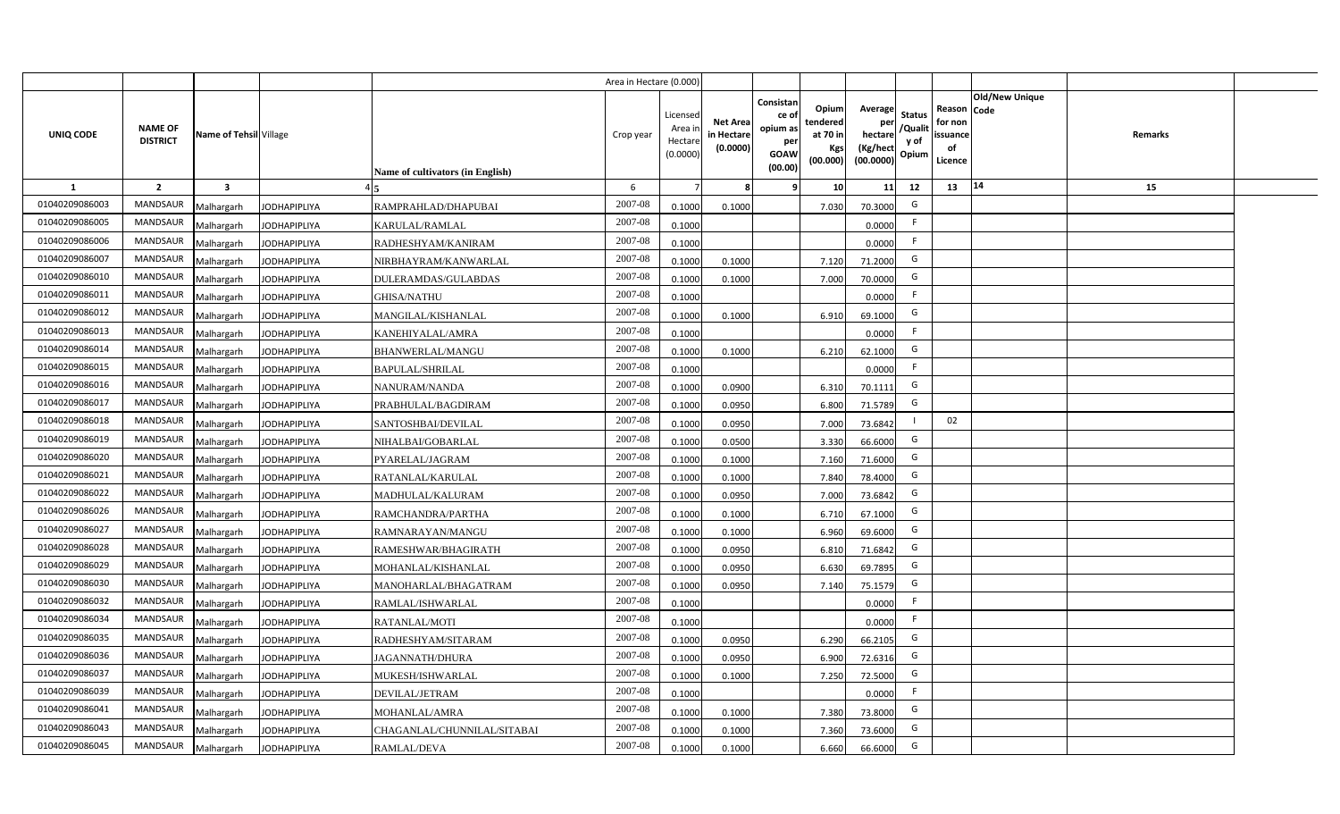|                |                                   |                         |                     |                                  | Area in Hectare (0.000 |                                          |                                           |                                                                 |                                                  |                                                    |                                           |                                                     |                       |                |  |
|----------------|-----------------------------------|-------------------------|---------------------|----------------------------------|------------------------|------------------------------------------|-------------------------------------------|-----------------------------------------------------------------|--------------------------------------------------|----------------------------------------------------|-------------------------------------------|-----------------------------------------------------|-----------------------|----------------|--|
| UNIQ CODE      | <b>NAME OF</b><br><b>DISTRICT</b> | Name of Tehsil Village  |                     | Name of cultivators (in English) | Crop year              | Licensed<br>Area i<br>Hectar<br>(0.0000) | <b>Net Area</b><br>in Hectare<br>(0.0000) | Consistan<br>ce of<br>opium as<br>per<br><b>GOAW</b><br>(00.00) | Opium<br>tendered<br>at 70 in<br>Kgs<br>(00.000) | Average<br>per<br>hectare<br>(Kg/hect<br>(00.0000) | <b>Status</b><br>/Qualit<br>y of<br>Opium | Reason Code<br>for non<br>issuance<br>of<br>Licence | <b>Old/New Unique</b> | <b>Remarks</b> |  |
| 1              | $\overline{2}$                    | $\overline{\mathbf{3}}$ |                     |                                  | 6                      |                                          |                                           | <b>q</b>                                                        | 10                                               | 11                                                 | 12                                        | 13                                                  | 14                    | 15             |  |
| 01040209086003 | <b>MANDSAUR</b>                   | Malhargarh              | <b>JODHAPIPLIYA</b> | RAMPRAHLAD/DHAPUBAI              | 2007-08                | 0.1000                                   | 0.1000                                    |                                                                 | 7.030                                            | 70.3000                                            | G                                         |                                                     |                       |                |  |
| 01040209086005 | <b>MANDSAUR</b>                   | Malhargarh              | <b>JODHAPIPLIYA</b> | KARULAL/RAMLAL                   | 2007-08                | 0.1000                                   |                                           |                                                                 |                                                  | 0.0000                                             | -F                                        |                                                     |                       |                |  |
| 01040209086006 | <b>MANDSAUR</b>                   | Malhargarh              | <b>JODHAPIPLIYA</b> | RADHESHYAM/KANIRAM               | 2007-08                | 0.1000                                   |                                           |                                                                 |                                                  | 0.0000                                             |                                           |                                                     |                       |                |  |
| 01040209086007 | <b>MANDSAUR</b>                   | Malhargarh              | <b>JODHAPIPLIYA</b> | NIRBHAYRAM/KANWARLAL             | 2007-08                | 0.100                                    | 0.1000                                    |                                                                 | 7.120                                            | 71.2000                                            | G                                         |                                                     |                       |                |  |
| 01040209086010 | <b>MANDSAUR</b>                   | Malhargarh              | <b>JODHAPIPLIYA</b> | DULERAMDAS/GULABDAS              | 2007-08                | 0.100                                    | 0.1000                                    |                                                                 | 7.000                                            | 70.0000                                            | G                                         |                                                     |                       |                |  |
| 01040209086011 | <b>MANDSAUR</b>                   | Malhargarh              | <b>JODHAPIPLIYA</b> | <b>GHISA/NATHU</b>               | 2007-08                | 0.1000                                   |                                           |                                                                 |                                                  | 0.0000                                             | -F                                        |                                                     |                       |                |  |
| 01040209086012 | MANDSAUR                          | Malhargarh              | <b>JODHAPIPLIYA</b> | MANGILAL/KISHANLAL               | 2007-08                | 0.1000                                   | 0.1000                                    |                                                                 | 6.910                                            | 69.1000                                            | G                                         |                                                     |                       |                |  |
| 01040209086013 | <b>MANDSAUR</b>                   | Malhargarh              | <b>JODHAPIPLIYA</b> | KANEHIYALAL/AMRA                 | 2007-08                | 0.1000                                   |                                           |                                                                 |                                                  | 0.0000                                             | E                                         |                                                     |                       |                |  |
| 01040209086014 | <b>MANDSAUR</b>                   | Malhargarh              | <b>JODHAPIPLIYA</b> | BHANWERLAL/MANGU                 | 2007-08                | 0.1000                                   | 0.1000                                    |                                                                 | 6.210                                            | 62.1000                                            | G                                         |                                                     |                       |                |  |
| 01040209086015 | <b>MANDSAUR</b>                   | Malhargarh              | <b>JODHAPIPLIYA</b> | <b>BAPULAL/SHRILAL</b>           | 2007-08                | 0.1000                                   |                                           |                                                                 |                                                  | 0.0000                                             | F.                                        |                                                     |                       |                |  |
| 01040209086016 | <b>MANDSAUR</b>                   | Malhargarh              | <b>JODHAPIPLIYA</b> | NANURAM/NANDA                    | 2007-08                | 0.1000                                   | 0.0900                                    |                                                                 | 6.310                                            | 70.1111                                            | G                                         |                                                     |                       |                |  |
| 01040209086017 | <b>MANDSAUR</b>                   | Malhargarh              | <b>JODHAPIPLIYA</b> | PRABHULAL/BAGDIRAM               | 2007-08                | 0.1000                                   | 0.0950                                    |                                                                 | 6.800                                            | 71.5789                                            | G                                         |                                                     |                       |                |  |
| 01040209086018 | <b>MANDSAUR</b>                   | Malhargarh              | <b>JODHAPIPLIYA</b> | SANTOSHBAI/DEVILAL               | 2007-08                | 0.1000                                   | 0.0950                                    |                                                                 | 7.000                                            | 73.6842                                            |                                           | 02                                                  |                       |                |  |
| 01040209086019 | <b>MANDSAUR</b>                   | Malhargarh              | <b>JODHAPIPLIYA</b> | NIHALBAI/GOBARLAL                | 2007-08                | 0.1000                                   | 0.0500                                    |                                                                 | 3.330                                            | 66.6000                                            | G                                         |                                                     |                       |                |  |
| 01040209086020 | <b>MANDSAUR</b>                   | Malhargarh              | <b>JODHAPIPLIYA</b> | PYARELAL/JAGRAM                  | 2007-08                | 0.1000                                   | 0.1000                                    |                                                                 | 7.160                                            | 71.6000                                            | G                                         |                                                     |                       |                |  |
| 01040209086021 | <b>MANDSAUR</b>                   | Malhargarh              | <b>JODHAPIPLIYA</b> | RATANLAL/KARULAL                 | 2007-08                | 0.1000                                   | 0.1000                                    |                                                                 | 7.840                                            | 78.4000                                            | G                                         |                                                     |                       |                |  |
| 01040209086022 | <b>MANDSAUR</b>                   | Malhargarh              | <b>JODHAPIPLIYA</b> | MADHULAL/KALURAM                 | 2007-08                | 0.100                                    | 0.0950                                    |                                                                 | 7.000                                            | 73.6842                                            | G                                         |                                                     |                       |                |  |
| 01040209086026 | <b>MANDSAUR</b>                   | Malhargarh              | <b>JODHAPIPLIYA</b> | RAMCHANDRA/PARTHA                | 2007-08                | 0.100                                    | 0.1000                                    |                                                                 | 6.710                                            | 67.1000                                            | G                                         |                                                     |                       |                |  |
| 01040209086027 | <b>MANDSAUR</b>                   | Malhargarh              | <b>JODHAPIPLIYA</b> | RAMNARAYAN/MANGU                 | 2007-08                | 0.1000                                   | 0.1000                                    |                                                                 | 6.960                                            | 69.6000                                            | G                                         |                                                     |                       |                |  |
| 01040209086028 | <b>MANDSAUR</b>                   | Malhargarh              | <b>JODHAPIPLIYA</b> | RAMESHWAR/BHAGIRATH              | $2007 - 08$            | 0.100                                    | 0.0950                                    |                                                                 | 6.810                                            | 71.6842                                            | G                                         |                                                     |                       |                |  |
| 01040209086029 | <b>MANDSAUR</b>                   | Malhargarh              | <b>JODHAPIPLIYA</b> | MOHANLAL/KISHANLAL               | 2007-08                | 0.100                                    | 0.0950                                    |                                                                 | 6.630                                            | 69.7895                                            | G                                         |                                                     |                       |                |  |
| 01040209086030 | <b>MANDSAUR</b>                   | Malhargarh              | <b>JODHAPIPLIYA</b> | MANOHARLAL/BHAGATRAM             | 2007-08                | 0.1000                                   | 0.0950                                    |                                                                 | 7.140                                            | 75.1579                                            | G                                         |                                                     |                       |                |  |
| 01040209086032 | <b>MANDSAUR</b>                   | Malhargarh              | <b>JODHAPIPLIYA</b> | RAMLAL/ISHWARLAL                 | 2007-08                | 0.1000                                   |                                           |                                                                 |                                                  | 0.0000                                             | F.                                        |                                                     |                       |                |  |
| 01040209086034 | MANDSAUR                          | Malhargarh              | <b>JODHAPIPLIYA</b> | RATANLAL/MOTI                    | 2007-08                | 0.1000                                   |                                           |                                                                 |                                                  | 0.0000                                             | -F                                        |                                                     |                       |                |  |
| 01040209086035 | MANDSAUR                          | Malhargarh              | <b>JODHAPIPLIYA</b> | RADHESHYAM/SITARAM               | 2007-08                | 0.1000                                   | 0.0950                                    |                                                                 | 6.290                                            | 66.2105                                            | G                                         |                                                     |                       |                |  |
| 01040209086036 | MANDSAUR                          | Malhargarh              | <b>JODHAPIPLIYA</b> | JAGANNATH/DHURA                  | 2007-08                | 0.1000                                   | 0.095                                     |                                                                 | 6.900                                            | 72.6316                                            | G                                         |                                                     |                       |                |  |
| 01040209086037 | MANDSAUR                          | Malhargarh              | <b>JODHAPIPLIYA</b> | MUKESH/ISHWARLAL                 | 2007-08                | 0.1000                                   | 0.1000                                    |                                                                 | 7.250                                            | 72.5000                                            | G                                         |                                                     |                       |                |  |
| 01040209086039 | MANDSAUR                          | Malhargarh              | <b>JODHAPIPLIYA</b> | DEVILAL/JETRAM                   | 2007-08                | 0.1000                                   |                                           |                                                                 |                                                  | 0.0000                                             | F.                                        |                                                     |                       |                |  |
| 01040209086041 | <b>MANDSAUR</b>                   | Malhargarh              | <b>JODHAPIPLIYA</b> | MOHANLAL/AMRA                    | 2007-08                | 0.1000                                   | 0.1000                                    |                                                                 | 7.380                                            | 73.8000                                            | G                                         |                                                     |                       |                |  |
| 01040209086043 | <b>MANDSAUR</b>                   | Malhargarh              | <b>JODHAPIPLIYA</b> | CHAGANLAL/CHUNNILAL/SITABAI      | 2007-08                | 0.1000                                   | 0.1000                                    |                                                                 | 7.360                                            | 73.6000                                            | G                                         |                                                     |                       |                |  |
| 01040209086045 | MANDSAUR                          | Malhargarh              | <b>JODHAPIPLIYA</b> | RAMLAL/DEVA                      | 2007-08                | 0.1000                                   | 0.1000                                    |                                                                 | 6.660                                            | 66.6000                                            | G                                         |                                                     |                       |                |  |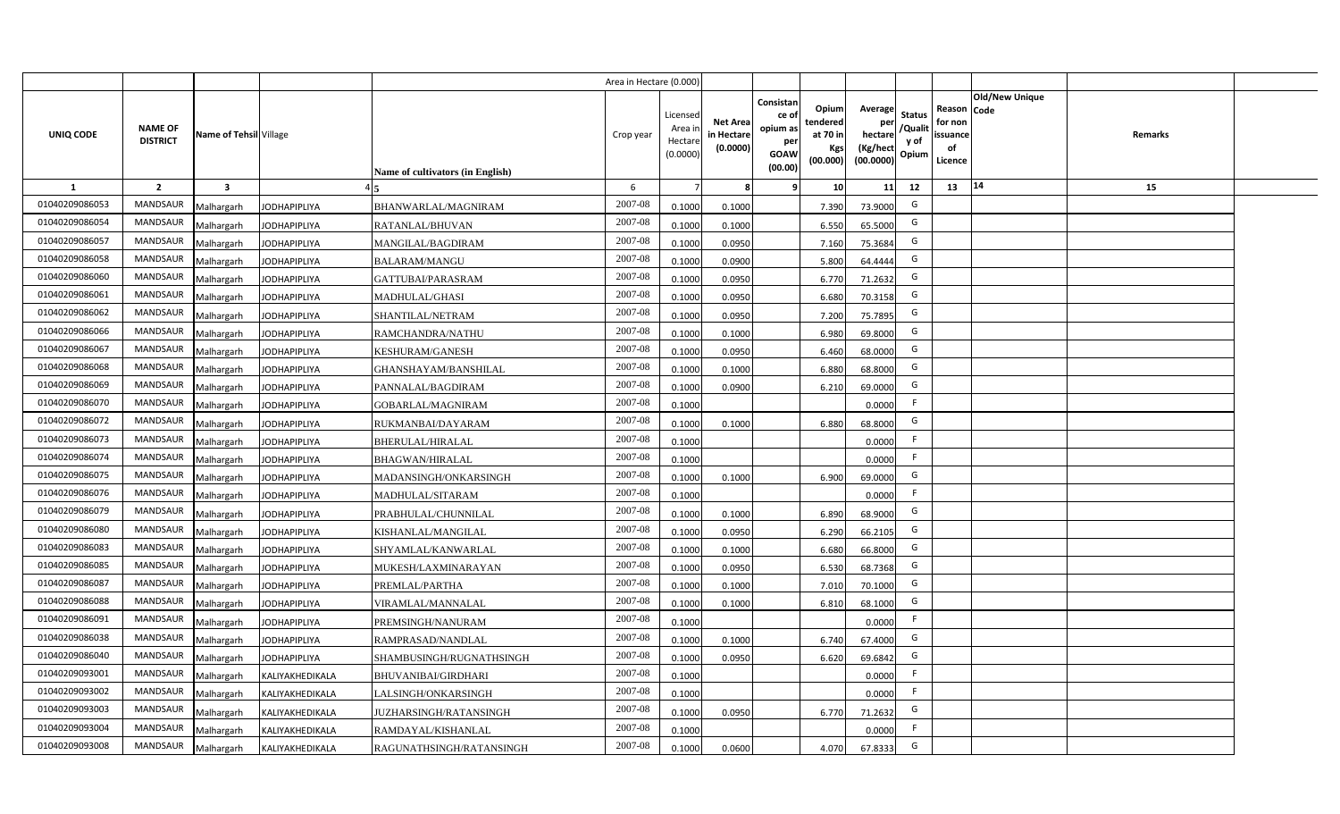|                |                                   |                         |                     |                                  | Area in Hectare (0.000) |                                           |                                           |                                                                                                                     |                                                    |                                           |                                                     |                |                |  |
|----------------|-----------------------------------|-------------------------|---------------------|----------------------------------|-------------------------|-------------------------------------------|-------------------------------------------|---------------------------------------------------------------------------------------------------------------------|----------------------------------------------------|-------------------------------------------|-----------------------------------------------------|----------------|----------------|--|
| UNIQ CODE      | <b>NAME OF</b><br><b>DISTRICT</b> | Name of Tehsil Village  |                     | Name of cultivators (in English) | Crop year               | Licensed<br>Area i<br>Hectare<br>(0.0000) | <b>Net Area</b><br>in Hectare<br>(0.0000) | Consistan<br>Opium<br>ce of<br>tendered<br>opium as<br>at 70 in<br>per<br>Kgs<br><b>GOAW</b><br>(00.000)<br>(00.00) | Average<br>per<br>hectare<br>(Kg/hect<br>(00.0000) | <b>Status</b><br>/Qualit<br>y of<br>Opium | Reason Code<br>for non<br>issuance<br>of<br>Licence | Old/New Unique | <b>Remarks</b> |  |
| 1              | $\overline{2}$                    | $\overline{\mathbf{3}}$ |                     |                                  | 6                       |                                           | 8                                         | 10<br>9                                                                                                             | 11                                                 | 12                                        | 13                                                  | 14             | 15             |  |
| 01040209086053 | <b>MANDSAUR</b>                   | Malhargarh              | <b>JODHAPIPLIYA</b> | BHANWARLAL/MAGNIRAM              | 2007-08                 | 0.1000                                    | 0.1000                                    | 7.390                                                                                                               | 73.9000                                            | G                                         |                                                     |                |                |  |
| 01040209086054 | <b>MANDSAUR</b>                   | Malhargarh              | <b>JODHAPIPLIYA</b> | RATANLAL/BHUVAN                  | 2007-08                 | 0.1000                                    | 0.1000                                    | 6.550                                                                                                               | 65.5000                                            | G                                         |                                                     |                |                |  |
| 01040209086057 | <b>MANDSAUR</b>                   | Malhargarh              | <b>JODHAPIPLIYA</b> | MANGILAL/BAGDIRAM                | 2007-08                 | 0.1000                                    | 0.0950                                    | 7.160                                                                                                               | 75.3684                                            | G                                         |                                                     |                |                |  |
| 01040209086058 | <b>MANDSAUR</b>                   | Malhargarh              | <b>JODHAPIPLIYA</b> | <b>BALARAM/MANGU</b>             | 2007-08                 | 0.1000                                    | 0.0900                                    | 5.800                                                                                                               | 64.4444                                            | G                                         |                                                     |                |                |  |
| 01040209086060 | <b>MANDSAUR</b>                   | Malhargarh              | <b>JODHAPIPLIYA</b> | GATTUBAI/PARASRAM                | 2007-08                 | 0.1000                                    | 0.0950                                    | 6.770                                                                                                               | 71.2632                                            | G                                         |                                                     |                |                |  |
| 01040209086061 | <b>MANDSAUR</b>                   | Malhargarh              | <b>JODHAPIPLIYA</b> | MADHULAL/GHASI                   | 2007-08                 | 0.1000                                    | 0.0950                                    | 6.680                                                                                                               | 70.3158                                            | G                                         |                                                     |                |                |  |
| 01040209086062 | <b>MANDSAUR</b>                   | Malhargarh              | <b>JODHAPIPLIYA</b> | SHANTILAL/NETRAM                 | 2007-08                 | 0.1000                                    | 0.0950                                    | 7.200                                                                                                               | 75.7895                                            | G                                         |                                                     |                |                |  |
| 01040209086066 | <b>MANDSAUR</b>                   | Malhargarh              | <b>JODHAPIPLIYA</b> | RAMCHANDRA/NATHU                 | 2007-08                 | 0.1000                                    | 0.1000                                    | 6.980                                                                                                               | 69.8000                                            | G                                         |                                                     |                |                |  |
| 01040209086067 | <b>MANDSAUR</b>                   | Malhargarh              | <b>JODHAPIPLIYA</b> | KESHURAM/GANESH                  | 2007-08                 | 0.1000                                    | 0.0950                                    | 6.460                                                                                                               | 68.0000                                            | G                                         |                                                     |                |                |  |
| 01040209086068 | <b>MANDSAUR</b>                   | Malhargarh              | <b>JODHAPIPLIYA</b> | GHANSHAYAM/BANSHILAL             | 2007-08                 | 0.1000                                    | 0.1000                                    | 6.880                                                                                                               | 68.8000                                            | G                                         |                                                     |                |                |  |
| 01040209086069 | <b>MANDSAUR</b>                   | Malhargarh              | <b>JODHAPIPLIYA</b> | PANNALAL/BAGDIRAM                | 2007-08                 | 0.1000                                    | 0.0900                                    | 6.210                                                                                                               | 69.0000                                            | G                                         |                                                     |                |                |  |
| 01040209086070 | <b>MANDSAUR</b>                   | Malhargarh              | <b>JODHAPIPLIYA</b> | GOBARLAL/MAGNIRAM                | 2007-08                 | 0.1000                                    |                                           |                                                                                                                     | 0.0000                                             | -F                                        |                                                     |                |                |  |
| 01040209086072 | <b>MANDSAUR</b>                   | Malhargarh              | <b>JODHAPIPLIYA</b> | RUKMANBAI/DAYARAM                | 2007-08                 | 0.1000                                    | 0.1000                                    | 6.880                                                                                                               | 68.8000                                            | G                                         |                                                     |                |                |  |
| 01040209086073 | MANDSAUR                          | Malhargarh              | <b>JODHAPIPLIYA</b> | <b>BHERULAL/HIRALAL</b>          | 2007-08                 | 0.1000                                    |                                           |                                                                                                                     | 0.0000                                             | -F                                        |                                                     |                |                |  |
| 01040209086074 | <b>MANDSAUR</b>                   | Malhargarh              | <b>JODHAPIPLIYA</b> | <b>BHAGWAN/HIRALAL</b>           | 2007-08                 | 0.1000                                    |                                           |                                                                                                                     | 0.0000                                             | F                                         |                                                     |                |                |  |
| 01040209086075 | <b>MANDSAUR</b>                   | Malhargarh              | <b>JODHAPIPLIYA</b> | MADANSINGH/ONKARSINGH            | 2007-08                 | 0.1000                                    | 0.1000                                    | 6.900                                                                                                               | 69.0000                                            | G                                         |                                                     |                |                |  |
| 01040209086076 | <b>MANDSAUR</b>                   | Malhargarh              | <b>JODHAPIPLIYA</b> | MADHULAL/SITARAM                 | 2007-08                 | 0.1000                                    |                                           |                                                                                                                     | 0.0000                                             | F                                         |                                                     |                |                |  |
| 01040209086079 | <b>MANDSAUR</b>                   | Malhargarh              | <b>JODHAPIPLIYA</b> | PRABHULAL/CHUNNILAL              | 2007-08                 | 0.1000                                    | 0.1000                                    | 6.890                                                                                                               | 68.9000                                            | G                                         |                                                     |                |                |  |
| 01040209086080 | <b>MANDSAUR</b>                   | Malhargarh              | <b>JODHAPIPLIYA</b> | KISHANLAL/MANGILAL               | 2007-08                 | 0.1000                                    | 0.0950                                    | 6.290                                                                                                               | 66.2105                                            | G                                         |                                                     |                |                |  |
| 01040209086083 | <b>MANDSAUR</b>                   | Malhargarh              | <b>JODHAPIPLIYA</b> | SHYAMLAL/KANWARLAL               | 2007-08                 | 0.1000                                    | 0.1000                                    | 6.680                                                                                                               | 66.8000                                            | G                                         |                                                     |                |                |  |
| 01040209086085 | <b>MANDSAUR</b>                   | Malhargarh              | <b>JODHAPIPLIYA</b> | MUKESH/LAXMINARAYAN              | 2007-08                 | 0.1000                                    | 0.0950                                    | 6.530                                                                                                               | 68.7368                                            | G                                         |                                                     |                |                |  |
| 01040209086087 | <b>MANDSAUR</b>                   | Malhargarh              | <b>JODHAPIPLIYA</b> | PREMLAL/PARTHA                   | 2007-08                 | 0.1000                                    | 0.1000                                    | 7.01                                                                                                                | 70.1000                                            | G                                         |                                                     |                |                |  |
| 01040209086088 | <b>MANDSAUR</b>                   | Malhargarh              | <b>JODHAPIPLIYA</b> | VIRAMLAL/MANNALAL                | 2007-08                 | 0.1000                                    | 0.1000                                    | 6.81                                                                                                                | 68.1000                                            | G                                         |                                                     |                |                |  |
| 01040209086091 | MANDSAUR                          | Malhargarh              | <b>JODHAPIPLIYA</b> | PREMSINGH/NANURAM                | 2007-08                 | 0.1000                                    |                                           |                                                                                                                     | 0.0000                                             | F                                         |                                                     |                |                |  |
| 01040209086038 | <b>MANDSAUR</b>                   | Malhargarh              | <b>JODHAPIPLIYA</b> | RAMPRASAD/NANDLAL                | 2007-08                 | 0.1000                                    | 0.1000                                    | 6.740                                                                                                               | 67.4000                                            | G                                         |                                                     |                |                |  |
| 01040209086040 | MANDSAUR                          | Malhargarh              | <b>JODHAPIPLIYA</b> | SHAMBUSINGH/RUGNATHSINGH         | 2007-08                 | 0.1000                                    | 0.0950                                    | 6.620                                                                                                               | 69.6842                                            | G                                         |                                                     |                |                |  |
| 01040209093001 | MANDSAUR                          | Malhargarh              | KALIYAKHEDIKALA     | <b>BHUVANIBAI/GIRDHARI</b>       | 2007-08                 | 0.1000                                    |                                           |                                                                                                                     | 0.0000                                             | F                                         |                                                     |                |                |  |
| 01040209093002 | MANDSAUR                          | Malhargarh              | KALIYAKHEDIKALA     | LALSINGH/ONKARSINGH              | 2007-08                 | 0.1000                                    |                                           |                                                                                                                     | 0.0000                                             | F                                         |                                                     |                |                |  |
| 01040209093003 | MANDSAUR                          | Malhargarh              | KALIYAKHEDIKALA     | JUZHARSINGH/RATANSINGH           | 2007-08                 | 0.1000                                    | 0.0950                                    | 6.770                                                                                                               | 71.2632                                            | G                                         |                                                     |                |                |  |
| 01040209093004 | <b>MANDSAUR</b>                   | Malhargarh              | KALIYAKHEDIKALA     | RAMDAYAL/KISHANLAL               | 2007-08                 | 0.1000                                    |                                           |                                                                                                                     | 0.0000                                             | F                                         |                                                     |                |                |  |
| 01040209093008 | MANDSAUR                          | Malhargarh              | KALIYAKHEDIKALA     | RAGUNATHSINGH/RATANSINGH         | 2007-08                 | 0.1000                                    | 0.0600                                    | 4.070                                                                                                               | 67.8333                                            | G                                         |                                                     |                |                |  |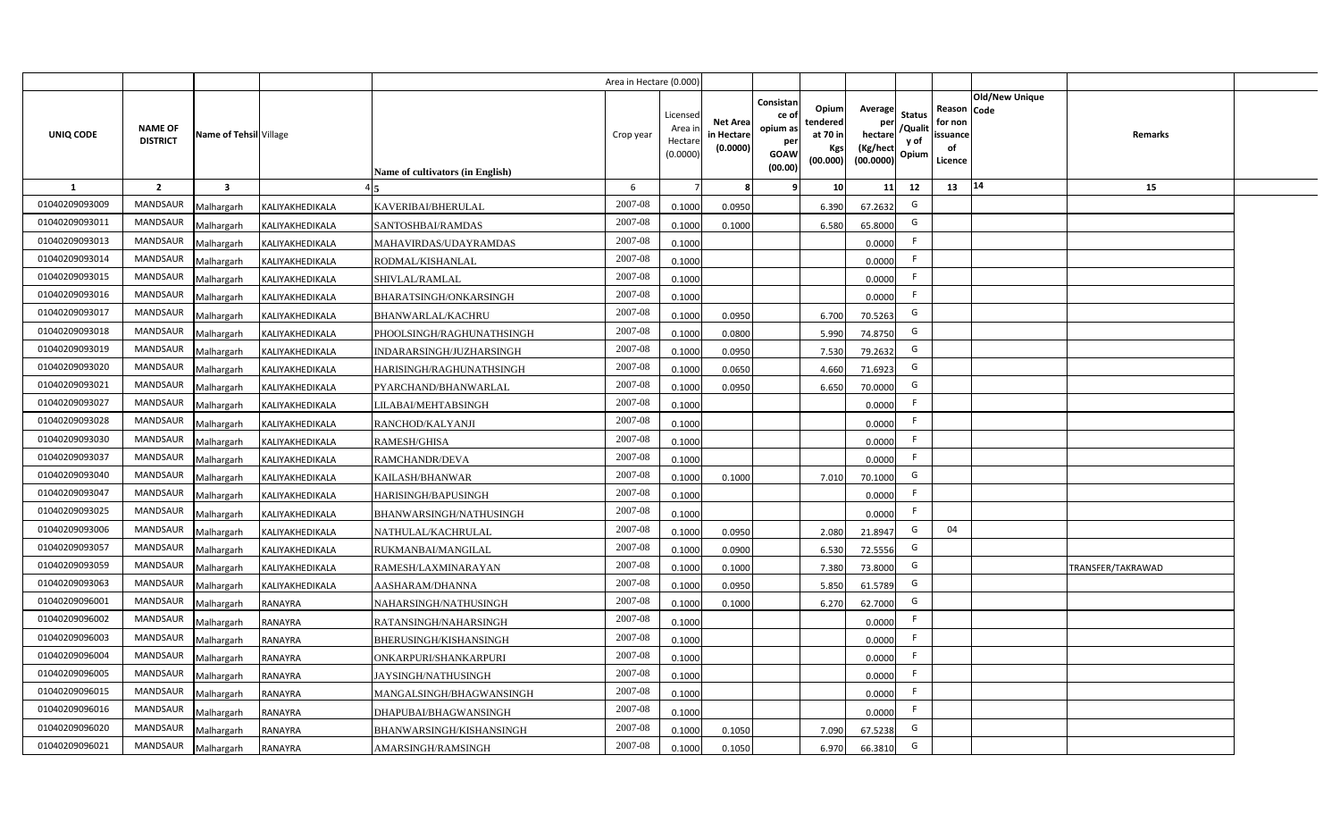|                |                                   |                         |                 |                                  | Area in Hectare (0.000 |                                          |                                           |                                                                 |                                                  |                                                    |                                           |                                                     |                       |                   |  |
|----------------|-----------------------------------|-------------------------|-----------------|----------------------------------|------------------------|------------------------------------------|-------------------------------------------|-----------------------------------------------------------------|--------------------------------------------------|----------------------------------------------------|-------------------------------------------|-----------------------------------------------------|-----------------------|-------------------|--|
| UNIQ CODE      | <b>NAME OF</b><br><b>DISTRICT</b> | Name of Tehsil Village  |                 | Name of cultivators (in English) | Crop year              | Licensec<br>Area i<br>Hectar<br>(0.0000) | <b>Net Area</b><br>in Hectare<br>(0.0000) | Consistan<br>ce of<br>opium as<br>per<br><b>GOAW</b><br>(00.00) | Opium<br>tendered<br>at 70 in<br>Kgs<br>(00.000) | Average<br>per<br>hectare<br>(Kg/hect<br>(00.0000) | <b>Status</b><br>/Qualit<br>y of<br>Opium | Reason Code<br>for non<br>issuance<br>of<br>Licence | <b>Old/New Unique</b> | Remarks           |  |
| 1              | $\overline{2}$                    | $\overline{\mathbf{3}}$ |                 |                                  | 6                      |                                          |                                           | <b>q</b>                                                        | 10                                               | 11                                                 | 12                                        | 13                                                  | 14                    | 15                |  |
| 01040209093009 | <b>MANDSAUR</b>                   | Malhargarh              | KALIYAKHEDIKALA | KAVERIBAI/BHERULAL               | 2007-08                | 0.100                                    | 0.0950                                    |                                                                 | 6.390                                            | 67.2632                                            | G                                         |                                                     |                       |                   |  |
| 01040209093011 | <b>MANDSAUR</b>                   | Malhargarh              | KALIYAKHEDIKALA | SANTOSHBAI/RAMDAS                | 2007-08                | 0.100                                    | 0.1000                                    |                                                                 | 6.580                                            | 65.8000                                            | G                                         |                                                     |                       |                   |  |
| 01040209093013 | <b>MANDSAUR</b>                   | Malhargarh              | KALIYAKHEDIKALA | MAHAVIRDAS/UDAYRAMDAS            | 2007-08                | 0.1000                                   |                                           |                                                                 |                                                  | 0.0000                                             |                                           |                                                     |                       |                   |  |
| 01040209093014 | MANDSAUR                          | Malhargarh              | KALIYAKHEDIKALA | RODMAL/KISHANLAL                 | 2007-08                | 0.1000                                   |                                           |                                                                 |                                                  | 0.0000                                             |                                           |                                                     |                       |                   |  |
| 01040209093015 | MANDSAUR                          | Malhargarh              | KALIYAKHEDIKALA | SHIVLAL/RAMLAL                   | 2007-08                | 0.1000                                   |                                           |                                                                 |                                                  | 0.0000                                             | -F                                        |                                                     |                       |                   |  |
| 01040209093016 | <b>MANDSAUR</b>                   | Malhargarh              | KALIYAKHEDIKALA | BHARATSINGH/ONKARSINGH           | 2007-08                | 0.1000                                   |                                           |                                                                 |                                                  | 0.0000                                             | -F                                        |                                                     |                       |                   |  |
| 01040209093017 | MANDSAUR                          | Malhargarh              | KALIYAKHEDIKALA | <b>BHANWARLAL/KACHRU</b>         | 2007-08                | 0.1000                                   | 0.0950                                    |                                                                 | 6.700                                            | 70.5263                                            | G                                         |                                                     |                       |                   |  |
| 01040209093018 | <b>MANDSAUR</b>                   | Malhargarh              | KALIYAKHEDIKALA | PHOOLSINGH/RAGHUNATHSINGH        | 2007-08                | 0.1000                                   | 0.0800                                    |                                                                 | 5.990                                            | 74.8750                                            | G                                         |                                                     |                       |                   |  |
| 01040209093019 | MANDSAUR                          | Malhargarh              | KALIYAKHEDIKALA | INDARARSINGH/JUZHARSINGH         | 2007-08                | 0.1000                                   | 0.0950                                    |                                                                 | 7.530                                            | 79.2632                                            | G                                         |                                                     |                       |                   |  |
| 01040209093020 | <b>MANDSAUR</b>                   | Malhargarh              | KALIYAKHEDIKALA | HARISINGH/RAGHUNATHSINGH         | 2007-08                | 0.1000                                   | 0.0650                                    |                                                                 | 4.660                                            | 71.6923                                            | G                                         |                                                     |                       |                   |  |
| 01040209093021 | MANDSAUR                          | Malhargarh              | KALIYAKHEDIKALA | PYARCHAND/BHANWARLAL             | 2007-08                | 0.100                                    | 0.0950                                    |                                                                 | 6.650                                            | 70.0000                                            | G                                         |                                                     |                       |                   |  |
| 01040209093027 | MANDSAUR                          | Malhargarh              | KALIYAKHEDIKALA | <b>LILABAI/MEHTABSINGH</b>       | 2007-08                | 0.1000                                   |                                           |                                                                 |                                                  | 0.0000                                             | -F                                        |                                                     |                       |                   |  |
| 01040209093028 | <b>MANDSAUR</b>                   | Malhargarh              | KALIYAKHEDIKALA | RANCHOD/KALYANJI                 | 2007-08                | 0.1000                                   |                                           |                                                                 |                                                  | 0.0000                                             | E                                         |                                                     |                       |                   |  |
| 01040209093030 | MANDSAUR                          | Malhargarh              | KALIYAKHEDIKALA | <b>RAMESH/GHISA</b>              | 2007-08                | 0.1000                                   |                                           |                                                                 |                                                  | 0.0000                                             | -F                                        |                                                     |                       |                   |  |
| 01040209093037 | <b>MANDSAUR</b>                   | Malhargarh              | KALIYAKHEDIKALA | <b>RAMCHANDR/DEVA</b>            | 2007-08                | 0.1000                                   |                                           |                                                                 |                                                  | 0.0000                                             | E                                         |                                                     |                       |                   |  |
| 01040209093040 | <b>MANDSAUR</b>                   | Malhargarh              | KALIYAKHEDIKALA | KAILASH/BHANWAR                  | 2007-08                | 0.1000                                   | 0.1000                                    |                                                                 | 7.010                                            | 70.1000                                            | G                                         |                                                     |                       |                   |  |
| 01040209093047 | <b>MANDSAUR</b>                   | Malhargarh              | KALIYAKHEDIKALA | HARISINGH/BAPUSINGH              | 2007-08                | 0.1000                                   |                                           |                                                                 |                                                  | 0.0000                                             | F.                                        |                                                     |                       |                   |  |
| 01040209093025 | <b>MANDSAUR</b>                   | Malhargarh              | KALIYAKHEDIKALA | BHANWARSINGH/NATHUSINGH          | 2007-08                | 0.100                                    |                                           |                                                                 |                                                  | 0.0000                                             | E                                         |                                                     |                       |                   |  |
| 01040209093006 | <b>MANDSAUR</b>                   | Malhargarh              | KALIYAKHEDIKALA | NATHULAL/KACHRULAL               | 2007-08                | 0.1000                                   | 0.0950                                    |                                                                 | 2.080                                            | 21.8947                                            | G                                         | 04                                                  |                       |                   |  |
| 01040209093057 | <b>MANDSAUR</b>                   | Malhargarh              | KALIYAKHEDIKALA | RUKMANBAI/MANGILAL               | 2007-08                | 0.100                                    | 0.0900                                    |                                                                 | 6.530                                            | 72.5556                                            | G                                         |                                                     |                       |                   |  |
| 01040209093059 | <b>MANDSAUR</b>                   | Malhargarh              | KALIYAKHEDIKALA | RAMESH/LAXMINARAYAN              | 2007-08                | 0.100                                    | 0.1000                                    |                                                                 | 7.380                                            | 73.8000                                            | G                                         |                                                     |                       | TRANSFER/TAKRAWAD |  |
| 01040209093063 | <b>MANDSAUR</b>                   | Malhargarh              | KALIYAKHEDIKALA | AASHARAM/DHANNA                  | 2007-08                | 0.1000                                   | 0.0950                                    |                                                                 | 5.850                                            | 61.5789                                            | G                                         |                                                     |                       |                   |  |
| 01040209096001 | <b>MANDSAUR</b>                   | Malhargarh              | RANAYRA         | NAHARSINGH/NATHUSINGH            | 2007-08                | 0.1000                                   | 0.1000                                    |                                                                 | 6.270                                            | 62.7000                                            | G                                         |                                                     |                       |                   |  |
| 01040209096002 | MANDSAUR                          | Malhargarh              | <b>RANAYRA</b>  | RATANSINGH/NAHARSINGH            | 2007-08                | 0.1000                                   |                                           |                                                                 |                                                  | 0.0000                                             | -F                                        |                                                     |                       |                   |  |
| 01040209096003 | MANDSAUR                          | Malhargarh              | <b>RANAYRA</b>  | BHERUSINGH/KISHANSINGH           | 2007-08                | 0.1000                                   |                                           |                                                                 |                                                  | 0.0000                                             | F                                         |                                                     |                       |                   |  |
| 01040209096004 | MANDSAUR                          | Malhargarh              | <b>RANAYRA</b>  | ONKARPURI/SHANKARPURI            | 2007-08                | 0.1000                                   |                                           |                                                                 |                                                  | 0.0000                                             | F.                                        |                                                     |                       |                   |  |
| 01040209096005 | MANDSAUR                          | Malhargarh              | <b>RANAYRA</b>  | JAYSINGH/NATHUSINGH              | 2007-08                | 0.1000                                   |                                           |                                                                 |                                                  | 0.0000                                             | $\mathsf{F}$                              |                                                     |                       |                   |  |
| 01040209096015 | MANDSAUR                          | Malhargarh              | <b>RANAYRA</b>  | MANGALSINGH/BHAGWANSINGH         | 2007-08                | 0.1000                                   |                                           |                                                                 |                                                  | 0.0000                                             | F.                                        |                                                     |                       |                   |  |
| 01040209096016 | MANDSAUR                          | Malhargarh              | <b>RANAYRA</b>  | DHAPUBAI/BHAGWANSINGH            | 2007-08                | 0.1000                                   |                                           |                                                                 |                                                  | 0.0000                                             | $\mathsf{F}$                              |                                                     |                       |                   |  |
| 01040209096020 | MANDSAUR                          | Malhargarh              | <b>RANAYRA</b>  | BHANWARSINGH/KISHANSINGH         | 2007-08                | 0.1000                                   | 0.1050                                    |                                                                 | 7.090                                            | 67.5238                                            | G                                         |                                                     |                       |                   |  |
| 01040209096021 | MANDSAUR                          | Malhargarh              | <b>RANAYRA</b>  | AMARSINGH/RAMSINGH               | 2007-08                | 0.1000                                   | 0.1050                                    |                                                                 | 6.970                                            | 66.3810                                            | G                                         |                                                     |                       |                   |  |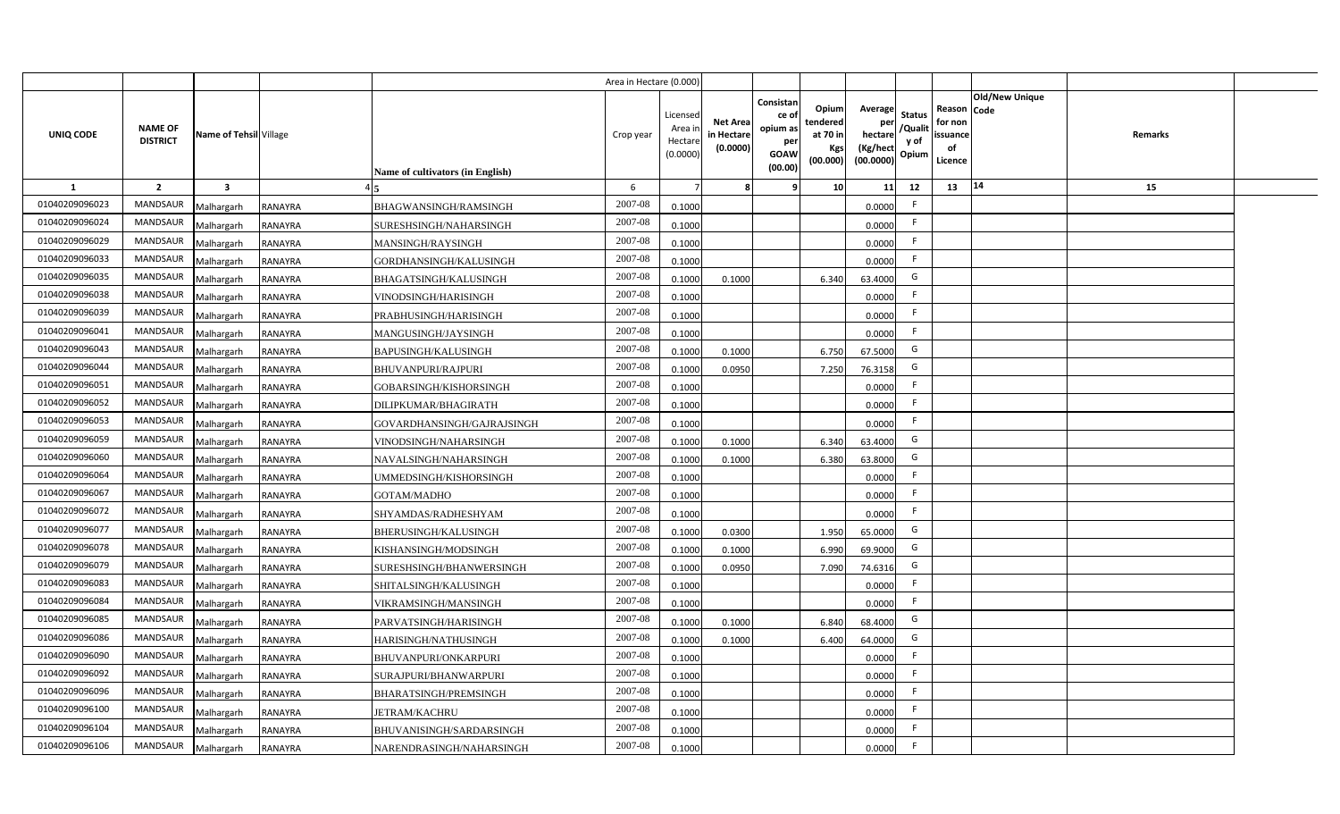|                |                                   |                         |                |                                  | Area in Hectare (0.000 |                                          |                                           |                                                                 |                                                  |                                                    |                                           |                                                     |                |         |  |
|----------------|-----------------------------------|-------------------------|----------------|----------------------------------|------------------------|------------------------------------------|-------------------------------------------|-----------------------------------------------------------------|--------------------------------------------------|----------------------------------------------------|-------------------------------------------|-----------------------------------------------------|----------------|---------|--|
| UNIQ CODE      | <b>NAME OF</b><br><b>DISTRICT</b> | Name of Tehsil Village  |                | Name of cultivators (in English) | Crop year              | Licensec<br>Area i<br>Hectar<br>(0.0000) | <b>Net Area</b><br>in Hectare<br>(0.0000) | Consistan<br>ce of<br>opium as<br>per<br><b>GOAW</b><br>(00.00) | Opium<br>tendered<br>at 70 in<br>Kgs<br>(00.000) | Average<br>per<br>hectare<br>(Kg/hect<br>(00.0000) | <b>Status</b><br>/Qualit<br>y of<br>Opium | Reason Code<br>for non<br>issuance<br>of<br>Licence | Old/New Unique | Remarks |  |
| 1              | $\overline{2}$                    | $\overline{\mathbf{3}}$ |                |                                  | 6                      |                                          |                                           | ٠q                                                              | 10 <sup>1</sup>                                  | 11                                                 | 12                                        | 13                                                  | 14             | 15      |  |
| 01040209096023 | MANDSAUR                          | Malhargarh              | <b>RANAYRA</b> | BHAGWANSINGH/RAMSINGH            | 2007-08                | 0.1000                                   |                                           |                                                                 |                                                  | 0.0000                                             | $\mathsf{F}$                              |                                                     |                |         |  |
| 01040209096024 | MANDSAUR                          | Malhargarh              | RANAYRA        | SURESHSINGH/NAHARSINGH           | 2007-08                | 0.1000                                   |                                           |                                                                 |                                                  | 0.0000                                             | F.                                        |                                                     |                |         |  |
| 01040209096029 | <b>MANDSAUR</b>                   | Malhargarh              | <b>RANAYRA</b> | MANSINGH/RAYSINGH                | 2007-08                | 0.1000                                   |                                           |                                                                 |                                                  | 0.0000                                             | - F                                       |                                                     |                |         |  |
| 01040209096033 | <b>MANDSAUR</b>                   | Malhargarh              | <b>RANAYRA</b> | GORDHANSINGH/KALUSINGH           | 2007-08                | 0.1000                                   |                                           |                                                                 |                                                  | 0.0000                                             | F.                                        |                                                     |                |         |  |
| 01040209096035 | MANDSAUR                          | Malhargarh              | <b>RANAYRA</b> | BHAGATSINGH/KALUSINGH            | 2007-08                | 0.100                                    | 0.1000                                    |                                                                 | 6.340                                            | 63.4000                                            | G                                         |                                                     |                |         |  |
| 01040209096038 | <b>MANDSAUR</b>                   | Malhargarh              | <b>RANAYRA</b> | VINODSINGH/HARISINGH             | 2007-08                | 0.1000                                   |                                           |                                                                 |                                                  | 0.0000                                             | F.                                        |                                                     |                |         |  |
| 01040209096039 | MANDSAUR                          | Malhargarh              | <b>RANAYRA</b> | PRABHUSINGH/HARISINGH            | 2007-08                | 0.1000                                   |                                           |                                                                 |                                                  | 0.0000                                             | F.                                        |                                                     |                |         |  |
| 01040209096041 | MANDSAUR                          | Malhargarh              | <b>RANAYRA</b> | MANGUSINGH/JAYSINGH              | 2007-08                | 0.1000                                   |                                           |                                                                 |                                                  | 0.0000                                             | $\mathsf{F}$                              |                                                     |                |         |  |
| 01040209096043 | MANDSAUR                          | Malhargarh              | <b>RANAYRA</b> | BAPUSINGH/KALUSINGH              | 2007-08                | 0.1000                                   | 0.1000                                    |                                                                 | 6.750                                            | 67.5000                                            | G                                         |                                                     |                |         |  |
| 01040209096044 | MANDSAUR                          | Malhargarh              | <b>RANAYRA</b> | <b>BHUVANPURI/RAJPURI</b>        | 2007-08                | 0.100                                    | 0.0950                                    |                                                                 | 7.250                                            | 76.3158                                            | G                                         |                                                     |                |         |  |
| 01040209096051 | MANDSAUR                          | Malhargarh              | <b>RANAYRA</b> | GOBARSINGH/KISHORSINGH           | 2007-08                | 0.1000                                   |                                           |                                                                 |                                                  | 0.0000                                             |                                           |                                                     |                |         |  |
| 01040209096052 | MANDSAUR                          | Malhargarh              | <b>RANAYRA</b> | DILIPKUMAR/BHAGIRATH             | 2007-08                | 0.1000                                   |                                           |                                                                 |                                                  | 0.0000                                             | -F                                        |                                                     |                |         |  |
| 01040209096053 | <b>MANDSAUR</b>                   | Malhargarh              | <b>RANAYRA</b> | GOVARDHANSINGH/GAJRAJSINGH       | 2007-08                | 0.1000                                   |                                           |                                                                 |                                                  | 0.0000                                             | -F                                        |                                                     |                |         |  |
| 01040209096059 | <b>MANDSAUR</b>                   | Malhargarh              | <b>RANAYRA</b> | VINODSINGH/NAHARSINGH            | 2007-08                | 0.1000                                   | 0.1000                                    |                                                                 | 6.340                                            | 63.4000                                            | G                                         |                                                     |                |         |  |
| 01040209096060 | <b>MANDSAUR</b>                   | Malhargarh              | <b>RANAYRA</b> | NAVALSINGH/NAHARSINGH            | 2007-08                | 0.1000                                   | 0.1000                                    |                                                                 | 6.380                                            | 63.8000                                            | G                                         |                                                     |                |         |  |
| 01040209096064 | <b>MANDSAUR</b>                   | Malhargarh              | <b>RANAYRA</b> | UMMEDSINGH/KISHORSINGH           | 2007-08                | 0.1000                                   |                                           |                                                                 |                                                  | 0.0000                                             | F.                                        |                                                     |                |         |  |
| 01040209096067 | MANDSAUR                          | Malhargarh              | <b>RANAYRA</b> | GOTAM/MADHO                      | 2007-08                | 0.1000                                   |                                           |                                                                 |                                                  | 0.0000                                             | -F                                        |                                                     |                |         |  |
| 01040209096072 | <b>MANDSAUR</b>                   | Malhargarh              | <b>RANAYRA</b> | SHYAMDAS/RADHESHYAM              | 2007-08                | 0.1000                                   |                                           |                                                                 |                                                  | 0.0000                                             | F.                                        |                                                     |                |         |  |
| 01040209096077 | <b>MANDSAUR</b>                   | Malhargarh              | <b>RANAYRA</b> | BHERUSINGH/KALUSINGH             | 2007-08                | 0.1000                                   | 0.0300                                    |                                                                 | 1.950                                            | 65.0000                                            | G                                         |                                                     |                |         |  |
| 01040209096078 | <b>MANDSAUR</b>                   | Malhargarh              | <b>RANAYRA</b> | KISHANSINGH/MODSINGH             | 2007-08                | 0.1000                                   | 0.1000                                    |                                                                 | 6.990                                            | 69.9000                                            | G                                         |                                                     |                |         |  |
| 01040209096079 | <b>MANDSAUR</b>                   | Malhargarh              | <b>RANAYRA</b> | SURESHSINGH/BHANWERSINGH         | 2007-08                | 0.100                                    | 0.0950                                    |                                                                 | 7.090                                            | 74.6316                                            | G                                         |                                                     |                |         |  |
| 01040209096083 | MANDSAUR                          | Malhargarh              | <b>RANAYRA</b> | SHITALSINGH/KALUSINGH            | 2007-08                | 0.100                                    |                                           |                                                                 |                                                  | 0.0000                                             | F.                                        |                                                     |                |         |  |
| 01040209096084 | MANDSAUR                          | Malhargarh              | <b>RANAYRA</b> | VIKRAMSINGH/MANSINGH             | 2007-08                | 0.100                                    |                                           |                                                                 |                                                  | 0.0000                                             | -F                                        |                                                     |                |         |  |
| 01040209096085 | MANDSAUR                          | Malhargarh              | <b>RANAYRA</b> | PARVATSINGH/HARISINGH            | 2007-08                | 0.100                                    | 0.1000                                    |                                                                 | 6.840                                            | 68.4000                                            | G                                         |                                                     |                |         |  |
| 01040209096086 | MANDSAUR                          | Malhargarh              | <b>RANAYRA</b> | HARISINGH/NATHUSINGH             | 2007-08                | 0.1000                                   | 0.1000                                    |                                                                 | 6.400                                            | 64.0000                                            | G                                         |                                                     |                |         |  |
| 01040209096090 | MANDSAUR                          | Malhargarh              | RANAYRA        | BHUVANPURI/ONKARPURI             | 2007-08                | 0.1000                                   |                                           |                                                                 |                                                  | 0.0000                                             | F                                         |                                                     |                |         |  |
| 01040209096092 | MANDSAUR                          | Malhargarh              | <b>RANAYRA</b> | SURAJPURI/BHANWARPURI            | 2007-08                | 0.1000                                   |                                           |                                                                 |                                                  | 0.0000                                             | F                                         |                                                     |                |         |  |
| 01040209096096 | MANDSAUR                          | Malhargarh              | <b>RANAYRA</b> | BHARATSINGH/PREMSINGH            | 2007-08                | 0.1000                                   |                                           |                                                                 |                                                  | 0.0000                                             | F                                         |                                                     |                |         |  |
| 01040209096100 | MANDSAUR                          | Malhargarh              | <b>RANAYRA</b> | <b>JETRAM/KACHRU</b>             | 2007-08                | 0.1000                                   |                                           |                                                                 |                                                  | 0.0000                                             | -F                                        |                                                     |                |         |  |
| 01040209096104 | MANDSAUR                          | Malhargarh              | <b>RANAYRA</b> | BHUVANISINGH/SARDARSINGH         | 2007-08                | 0.1000                                   |                                           |                                                                 |                                                  | 0.0000                                             | $\mathsf{F}$                              |                                                     |                |         |  |
| 01040209096106 | MANDSAUR                          | Malhargarh              | <b>RANAYRA</b> | NARENDRASINGH/NAHARSINGH         | 2007-08                | 0.1000                                   |                                           |                                                                 |                                                  | 0.0000                                             | -F                                        |                                                     |                |         |  |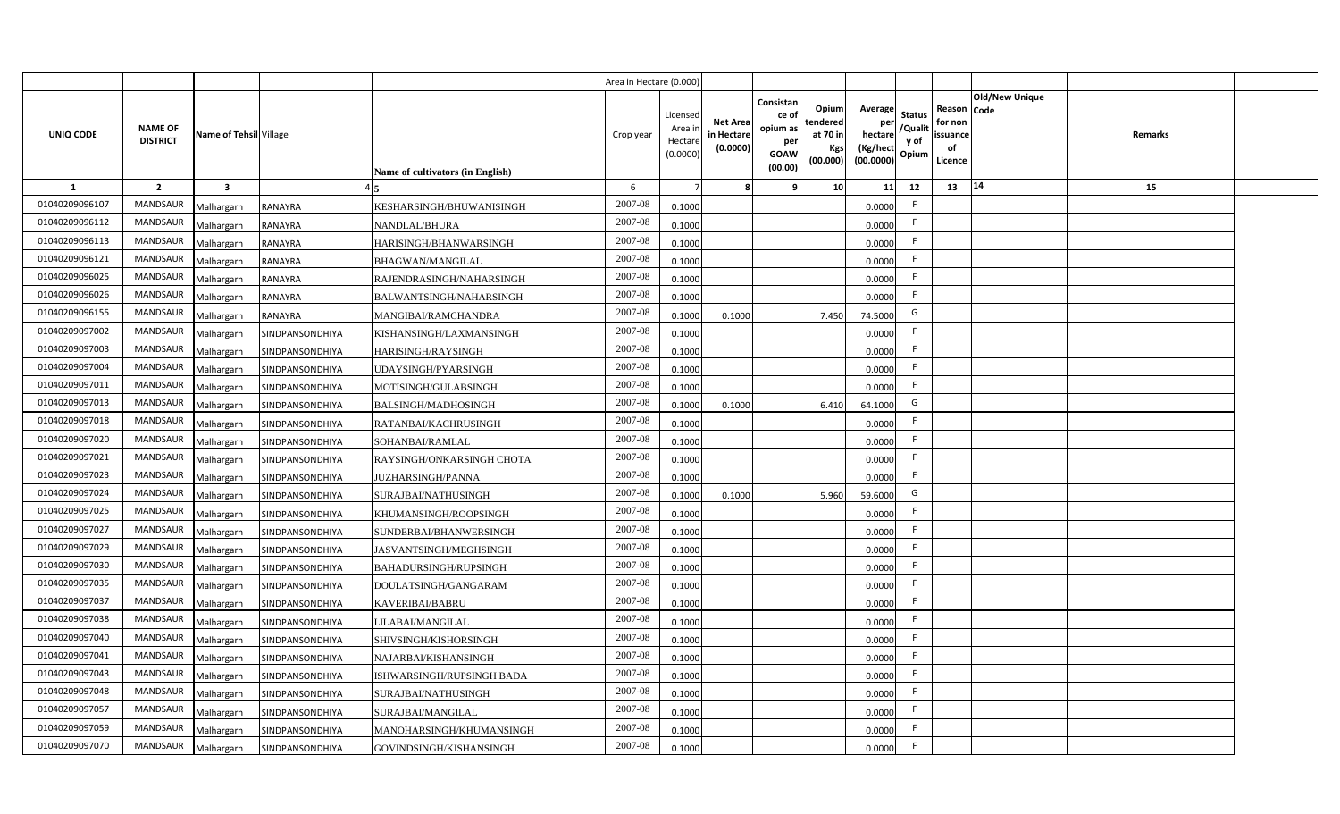|                  |                                   |                         |                        |                                  | Area in Hectare (0.000 |                                          |                                          |                                                                 |                                                  |                                                    |                                           |                                                     |                |         |  |
|------------------|-----------------------------------|-------------------------|------------------------|----------------------------------|------------------------|------------------------------------------|------------------------------------------|-----------------------------------------------------------------|--------------------------------------------------|----------------------------------------------------|-------------------------------------------|-----------------------------------------------------|----------------|---------|--|
| <b>UNIQ CODE</b> | <b>NAME OF</b><br><b>DISTRICT</b> | Name of Tehsil Village  |                        | Name of cultivators (in English) | Crop year              | Licensec<br>Area i<br>Hectar<br>(0.0000) | <b>Net Area</b><br>in Hectar<br>(0.0000) | Consistan<br>ce of<br>opium as<br>per<br><b>GOAW</b><br>(00.00) | Opium<br>tendered<br>at 70 in<br>Kgs<br>(00.000) | Average<br>per<br>hectare<br>(Kg/hect<br>(00.0000) | <b>Status</b><br>/Qualit<br>y of<br>Opium | Reason Code<br>for non<br>issuance<br>of<br>Licence | Old/New Unique | Remarks |  |
| 1                | $\overline{2}$                    | $\overline{\mathbf{3}}$ |                        |                                  | 6                      |                                          |                                          | q                                                               | 10 <sup>1</sup>                                  | 11                                                 | 12                                        | 13                                                  | 14             | 15      |  |
| 01040209096107   | MANDSAUR                          | Malhargarh              | <b>RANAYRA</b>         | KESHARSINGH/BHUWANISINGH         | 2007-08                | 0.1000                                   |                                          |                                                                 |                                                  | 0.0000                                             |                                           |                                                     |                |         |  |
| 01040209096112   | <b>MANDSAUR</b>                   | Malhargarh              | <b>RANAYRA</b>         | <b>NANDLAL/BHURA</b>             | 2007-08                | 0.1000                                   |                                          |                                                                 |                                                  | 0.0000                                             | -F                                        |                                                     |                |         |  |
| 01040209096113   | MANDSAUR                          | Malhargarh              | <b>RANAYRA</b>         | HARISINGH/BHANWARSINGH           | 2007-08                | 0.1000                                   |                                          |                                                                 |                                                  | 0.0000                                             | -F                                        |                                                     |                |         |  |
| 01040209096121   | MANDSAUR                          | Malhargarh              | <b>RANAYRA</b>         | <b>BHAGWAN/MANGILAL</b>          | 2007-08                | 0.1000                                   |                                          |                                                                 |                                                  | 0.0000                                             | -F                                        |                                                     |                |         |  |
| 01040209096025   | <b>MANDSAUR</b>                   | Malhargarh              | <b>RANAYRA</b>         | RAJENDRASINGH/NAHARSINGH         | 2007-08                | 0.1000                                   |                                          |                                                                 |                                                  | 0.0000                                             |                                           |                                                     |                |         |  |
| 01040209096026   | MANDSAUR                          | Malhargarh              | RANAYRA                | BALWANTSINGH/NAHARSINGH          | 2007-08                | 0.1000                                   |                                          |                                                                 |                                                  | 0.0000                                             | F.                                        |                                                     |                |         |  |
| 01040209096155   | <b>MANDSAUR</b>                   | Malhargarh              | <b>RANAYRA</b>         | MANGIBAI/RAMCHANDRA              | 2007-08                | 0.1000                                   | 0.1000                                   |                                                                 | 7.450                                            | 74.5000                                            | G                                         |                                                     |                |         |  |
| 01040209097002   | MANDSAUR                          | Malhargarh              | SINDPANSONDHIYA        | KISHANSINGH/LAXMANSINGH          | 2007-08                | 0.1000                                   |                                          |                                                                 |                                                  | 0.0000                                             |                                           |                                                     |                |         |  |
| 01040209097003   | MANDSAUR                          | Malhargarh              | SINDPANSONDHIYA        | HARISINGH/RAYSINGH               | 2007-08                | 0.1000                                   |                                          |                                                                 |                                                  | 0.0000                                             | -F                                        |                                                     |                |         |  |
| 01040209097004   | <b>MANDSAUR</b>                   | Malhargarh              | SINDPANSONDHIYA        | JDAYSINGH/PYARSINGH              | 2007-08                | 0.1000                                   |                                          |                                                                 |                                                  | 0.0000                                             | $\mathsf{F}$                              |                                                     |                |         |  |
| 01040209097011   | <b>MANDSAUR</b>                   | Malhargarh              | SINDPANSONDHIYA        | MOTISINGH/GULABSINGH             | 2007-08                | 0.1000                                   |                                          |                                                                 |                                                  | 0.0000                                             | F.                                        |                                                     |                |         |  |
| 01040209097013   | <b>MANDSAUR</b>                   | Malhargarh              | <b>SINDPANSONDHIYA</b> | <b>BALSINGH/MADHOSINGH</b>       | 2007-08                | 0.1000                                   | 0.1000                                   |                                                                 | 6.410                                            | 64.1000                                            | G                                         |                                                     |                |         |  |
| 01040209097018   | <b>MANDSAUR</b>                   | Malhargarh              | SINDPANSONDHIYA        | RATANBAI/KACHRUSINGH             | 2007-08                | 0.1000                                   |                                          |                                                                 |                                                  | 0.0000                                             | -F                                        |                                                     |                |         |  |
| 01040209097020   | <b>MANDSAUR</b>                   | Malhargarh              | <b>SINDPANSONDHIYA</b> | <b>SOHANBAI/RAMLAL</b>           | 2007-08                | 0.1000                                   |                                          |                                                                 |                                                  | 0.0000                                             | F.                                        |                                                     |                |         |  |
| 01040209097021   | <b>MANDSAUR</b>                   | Malhargarh              | SINDPANSONDHIYA        | RAYSINGH/ONKARSINGH CHOTA        | 2007-08                | 0.1000                                   |                                          |                                                                 |                                                  | 0.0000                                             | F.                                        |                                                     |                |         |  |
| 01040209097023   | <b>MANDSAUR</b>                   | Malhargarh              | SINDPANSONDHIYA        | JUZHARSINGH/PANNA                | 2007-08                | 0.1000                                   |                                          |                                                                 |                                                  | 0.0000                                             | F.                                        |                                                     |                |         |  |
| 01040209097024   | <b>MANDSAUR</b>                   | Malhargarh              | SINDPANSONDHIYA        | SURAJBAI/NATHUSINGH              | 2007-08                | 0.1000                                   | 0.1000                                   |                                                                 | 5.960                                            | 59.6000                                            | G                                         |                                                     |                |         |  |
| 01040209097025   | <b>MANDSAUR</b>                   | Malhargarh              | SINDPANSONDHIYA        | KHUMANSINGH/ROOPSINGH            | 2007-08                | 0.1000                                   |                                          |                                                                 |                                                  | 0.0000                                             | F.                                        |                                                     |                |         |  |
| 01040209097027   | <b>MANDSAUR</b>                   | Malhargarh              | SINDPANSONDHIYA        | SUNDERBAI/BHANWERSINGH           | 2007-08                | 0.100                                    |                                          |                                                                 |                                                  | 0.0000                                             | F.                                        |                                                     |                |         |  |
| 01040209097029   | MANDSAUR                          | Malhargarh              | SINDPANSONDHIYA        | JASVANTSINGH/MEGHSINGH           | 2007-08                | 0.1000                                   |                                          |                                                                 |                                                  | 0.0000                                             | -F                                        |                                                     |                |         |  |
| 01040209097030   | <b>MANDSAUR</b>                   | Malhargarh              | SINDPANSONDHIYA        | BAHADURSINGH/RUPSINGH            | 2007-08                | 0.1000                                   |                                          |                                                                 |                                                  | 0.0000                                             | F.                                        |                                                     |                |         |  |
| 01040209097035   | MANDSAUR                          | Malhargarh              | SINDPANSONDHIYA        | DOULATSINGH/GANGARAM             | 2007-08                | 0.1000                                   |                                          |                                                                 |                                                  | 0.0000                                             | F.                                        |                                                     |                |         |  |
| 01040209097037   | <b>MANDSAUR</b>                   | Malhargarh              | SINDPANSONDHIYA        | KAVERIBAI/BABRU                  | 2007-08                | 0.1000                                   |                                          |                                                                 |                                                  | 0.0000                                             | E                                         |                                                     |                |         |  |
| 01040209097038   | MANDSAUR                          | Malhargarh              | SINDPANSONDHIYA        | LILABAI/MANGILAL                 | 2007-08                | 0.1000                                   |                                          |                                                                 |                                                  | 0.0000                                             | F                                         |                                                     |                |         |  |
| 01040209097040   | MANDSAUR                          | Malhargarh              | SINDPANSONDHIYA        | SHIVSINGH/KISHORSINGH            | 2007-08                | 0.1000                                   |                                          |                                                                 |                                                  | 0.0000                                             | -F                                        |                                                     |                |         |  |
| 01040209097041   | MANDSAUR                          | Malhargarh              | SINDPANSONDHIYA        | NAJARBAI/KISHANSINGH             | 2007-08                | 0.1000                                   |                                          |                                                                 |                                                  | 0.0000                                             | E                                         |                                                     |                |         |  |
| 01040209097043   | MANDSAUR                          | Malhargarh              | SINDPANSONDHIYA        | ISHWARSINGH/RUPSINGH BADA        | 2007-08                | 0.1000                                   |                                          |                                                                 |                                                  | 0.0000                                             | F.                                        |                                                     |                |         |  |
| 01040209097048   | MANDSAUR                          | Malhargarh              | SINDPANSONDHIYA        | SURAJBAI/NATHUSINGH              | 2007-08                | 0.1000                                   |                                          |                                                                 |                                                  | 0.0000                                             | -F                                        |                                                     |                |         |  |
| 01040209097057   | MANDSAUR                          | Malhargarh              | SINDPANSONDHIYA        | SURAJBAI/MANGILAL                | 2007-08                | 0.1000                                   |                                          |                                                                 |                                                  | 0.0000                                             | -F                                        |                                                     |                |         |  |
| 01040209097059   | <b>MANDSAUR</b>                   | Malhargarh              | SINDPANSONDHIYA        | MANOHARSINGH/KHUMANSINGH         | 2007-08                | 0.1000                                   |                                          |                                                                 |                                                  | 0.0000                                             | -F                                        |                                                     |                |         |  |
| 01040209097070   | MANDSAUR                          | Malhargarh              | SINDPANSONDHIYA        | GOVINDSINGH/KISHANSINGH          | 2007-08                | 0.1000                                   |                                          |                                                                 |                                                  | 0.0000                                             | E                                         |                                                     |                |         |  |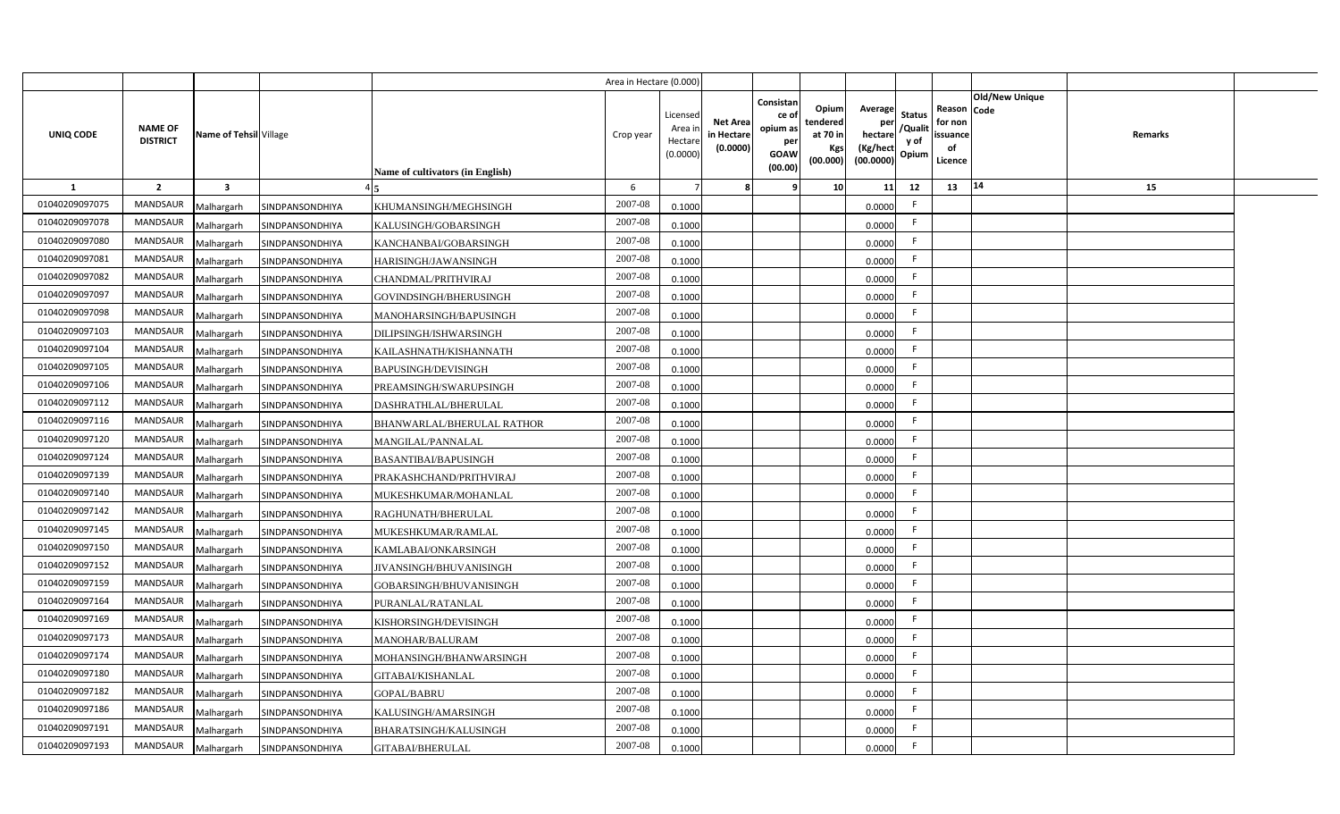|                |                                   |                         |                        |                                  | Area in Hectare (0.000 |                                          |                                          |                                                                 |                                                  |                                                    |                                           |                                                     |                |         |  |
|----------------|-----------------------------------|-------------------------|------------------------|----------------------------------|------------------------|------------------------------------------|------------------------------------------|-----------------------------------------------------------------|--------------------------------------------------|----------------------------------------------------|-------------------------------------------|-----------------------------------------------------|----------------|---------|--|
| UNIQ CODE      | <b>NAME OF</b><br><b>DISTRICT</b> | Name of Tehsil Village  |                        | Name of cultivators (in English) | Crop year              | Licensec<br>Area i<br>Hectar<br>(0.0000) | <b>Net Area</b><br>in Hectar<br>(0.0000) | Consistan<br>ce of<br>opium as<br>per<br><b>GOAW</b><br>(00.00) | Opium<br>tendered<br>at 70 in<br>Kgs<br>(00.000) | Average<br>per<br>hectare<br>(Kg/hect<br>(00.0000) | <b>Status</b><br>/Qualit<br>y of<br>Opium | Reason Code<br>for non<br>issuance<br>of<br>Licence | Old/New Unique | Remarks |  |
| 1              | $\overline{2}$                    | $\overline{\mathbf{3}}$ |                        |                                  | 6                      |                                          |                                          | q                                                               | 10 <sup>1</sup>                                  | 11                                                 | 12                                        | 13                                                  | 14             | 15      |  |
| 01040209097075 | MANDSAUR                          | Malhargarh              | SINDPANSONDHIYA        | KHUMANSINGH/MEGHSINGH            | 2007-08                | 0.1000                                   |                                          |                                                                 |                                                  | 0.0000                                             |                                           |                                                     |                |         |  |
| 01040209097078 | <b>MANDSAUR</b>                   | Malhargarh              | SINDPANSONDHIYA        | KALUSINGH/GOBARSINGH             | 2007-08                | 0.1000                                   |                                          |                                                                 |                                                  | 0.0000                                             | -F                                        |                                                     |                |         |  |
| 01040209097080 | <b>MANDSAUR</b>                   | Malhargarh              | SINDPANSONDHIYA        | KANCHANBAI/GOBARSINGH            | 2007-08                | 0.1000                                   |                                          |                                                                 |                                                  | 0.0000                                             | -F                                        |                                                     |                |         |  |
| 01040209097081 | MANDSAUR                          | Malhargarh              | SINDPANSONDHIYA        | HARISINGH/JAWANSINGH             | 2007-08                | 0.1000                                   |                                          |                                                                 |                                                  | 0.0000                                             | -F                                        |                                                     |                |         |  |
| 01040209097082 | <b>MANDSAUR</b>                   | Malhargarh              | SINDPANSONDHIYA        | CHANDMAL/PRITHVIRAJ              | 2007-08                | 0.1000                                   |                                          |                                                                 |                                                  | 0.0000                                             |                                           |                                                     |                |         |  |
| 01040209097097 | <b>MANDSAUR</b>                   | Malhargarh              | SINDPANSONDHIYA        | GOVINDSINGH/BHERUSINGH           | 2007-08                | 0.1000                                   |                                          |                                                                 |                                                  | 0.0000                                             | F.                                        |                                                     |                |         |  |
| 01040209097098 | <b>MANDSAUR</b>                   | Malhargarh              | SINDPANSONDHIYA        | MANOHARSINGH/BAPUSINGH           | 2007-08                | 0.1000                                   |                                          |                                                                 |                                                  | 0.0000                                             | -F                                        |                                                     |                |         |  |
| 01040209097103 | MANDSAUR                          | Malhargarh              | SINDPANSONDHIYA        | DILIPSINGH/ISHWARSINGH           | 2007-08                | 0.1000                                   |                                          |                                                                 |                                                  | 0.0000                                             |                                           |                                                     |                |         |  |
| 01040209097104 | MANDSAUR                          | Malhargarh              | SINDPANSONDHIYA        | KAILASHNATH/KISHANNATH           | 2007-08                | 0.1000                                   |                                          |                                                                 |                                                  | 0.0000                                             | -F                                        |                                                     |                |         |  |
| 01040209097105 | <b>MANDSAUR</b>                   | Malhargarh              | SINDPANSONDHIYA        | <b>BAPUSINGH/DEVISINGH</b>       | 2007-08                | 0.1000                                   |                                          |                                                                 |                                                  | 0.0000                                             | -F                                        |                                                     |                |         |  |
| 01040209097106 | <b>MANDSAUR</b>                   | Malhargarh              | SINDPANSONDHIYA        | PREAMSINGH/SWARUPSINGH           | 2007-08                | 0.1000                                   |                                          |                                                                 |                                                  | 0.0000                                             | F.                                        |                                                     |                |         |  |
| 01040209097112 | <b>MANDSAUR</b>                   | Malhargarh              | <b>SINDPANSONDHIYA</b> | DASHRATHLAL/BHERULAL             | 2007-08                | 0.1000                                   |                                          |                                                                 |                                                  | 0.0000                                             | -F                                        |                                                     |                |         |  |
| 01040209097116 | <b>MANDSAUR</b>                   | Malhargarh              | SINDPANSONDHIYA        | BHANWARLAL/BHERULAL RATHOR       | 2007-08                | 0.1000                                   |                                          |                                                                 |                                                  | 0.0000                                             | -F                                        |                                                     |                |         |  |
| 01040209097120 | <b>MANDSAUR</b>                   | Malhargarh              | <b>SINDPANSONDHIYA</b> | MANGILAL/PANNALAL                | 2007-08                | 0.1000                                   |                                          |                                                                 |                                                  | 0.0000                                             | F.                                        |                                                     |                |         |  |
| 01040209097124 | <b>MANDSAUR</b>                   | Malhargarh              | SINDPANSONDHIYA        | <b>BASANTIBAI/BAPUSINGH</b>      | 2007-08                | 0.1000                                   |                                          |                                                                 |                                                  | 0.0000                                             | F.                                        |                                                     |                |         |  |
| 01040209097139 | <b>MANDSAUR</b>                   | Malhargarh              | SINDPANSONDHIYA        | PRAKASHCHAND/PRITHVIRAJ          | 2007-08                | 0.1000                                   |                                          |                                                                 |                                                  | 0.0000                                             | F.                                        |                                                     |                |         |  |
| 01040209097140 | <b>MANDSAUR</b>                   | Malhargarh              | SINDPANSONDHIYA        | MUKESHKUMAR/MOHANLAL             | 2007-08                | 0.1000                                   |                                          |                                                                 |                                                  | 0.0000                                             | F.                                        |                                                     |                |         |  |
| 01040209097142 | <b>MANDSAUR</b>                   | Malhargarh              | SINDPANSONDHIYA        | RAGHUNATH/BHERULAL               | 2007-08                | 0.1000                                   |                                          |                                                                 |                                                  | 0.0000                                             | F.                                        |                                                     |                |         |  |
| 01040209097145 | <b>MANDSAUR</b>                   | Malhargarh              | SINDPANSONDHIYA        | MUKESHKUMAR/RAMLAL               | 2007-08                | 0.100                                    |                                          |                                                                 |                                                  | 0.0000                                             | F.                                        |                                                     |                |         |  |
| 01040209097150 | MANDSAUR                          | Malhargarh              | SINDPANSONDHIYA        | KAMLABAI/ONKARSINGH              | 2007-08                | 0.1000                                   |                                          |                                                                 |                                                  | 0.0000                                             | -F                                        |                                                     |                |         |  |
| 01040209097152 | <b>MANDSAUR</b>                   | Malhargarh              | SINDPANSONDHIYA        | JIVANSINGH/BHUVANISINGH          | 2007-08                | 0.1000                                   |                                          |                                                                 |                                                  | 0.0000                                             | F.                                        |                                                     |                |         |  |
| 01040209097159 | <b>MANDSAUR</b>                   | Malhargarh              | SINDPANSONDHIYA        | GOBARSINGH/BHUVANISINGH          | 2007-08                | 0.1000                                   |                                          |                                                                 |                                                  | 0.0000                                             | F.                                        |                                                     |                |         |  |
| 01040209097164 | <b>MANDSAUR</b>                   | Malhargarh              | SINDPANSONDHIYA        | PURANLAL/RATANLAL                | 2007-08                | 0.1000                                   |                                          |                                                                 |                                                  | 0.0000                                             | E                                         |                                                     |                |         |  |
| 01040209097169 | MANDSAUR                          | Malhargarh              | SINDPANSONDHIYA        | KISHORSINGH/DEVISINGH            | 2007-08                | 0.1000                                   |                                          |                                                                 |                                                  | 0.0000                                             | F                                         |                                                     |                |         |  |
| 01040209097173 | MANDSAUR                          | Malhargarh              | SINDPANSONDHIYA        | MANOHAR/BALURAM                  | 2007-08                | 0.1000                                   |                                          |                                                                 |                                                  | 0.0000                                             | -F                                        |                                                     |                |         |  |
| 01040209097174 | MANDSAUR                          | Malhargarh              | SINDPANSONDHIYA        | MOHANSINGH/BHANWARSINGH          | 2007-08                | 0.1000                                   |                                          |                                                                 |                                                  | 0.0000                                             | E                                         |                                                     |                |         |  |
| 01040209097180 | MANDSAUR                          | Malhargarh              | SINDPANSONDHIYA        | GITABAI/KISHANLAL                | 2007-08                | 0.1000                                   |                                          |                                                                 |                                                  | 0.0000                                             | F                                         |                                                     |                |         |  |
| 01040209097182 | MANDSAUR                          | Malhargarh              | SINDPANSONDHIYA        | GOPAL/BABRU                      | 2007-08                | 0.1000                                   |                                          |                                                                 |                                                  | 0.0000                                             | -F                                        |                                                     |                |         |  |
| 01040209097186 | MANDSAUR                          | Malhargarh              | SINDPANSONDHIYA        | KALUSINGH/AMARSINGH              | 2007-08                | 0.1000                                   |                                          |                                                                 |                                                  | 0.0000                                             | -F                                        |                                                     |                |         |  |
| 01040209097191 | <b>MANDSAUR</b>                   | Malhargarh              | SINDPANSONDHIYA        | BHARATSINGH/KALUSINGH            | 2007-08                | 0.1000                                   |                                          |                                                                 |                                                  | 0.0000                                             | -F                                        |                                                     |                |         |  |
| 01040209097193 | MANDSAUR                          | Malhargarh              | SINDPANSONDHIYA        | <b>GITABAI/BHERULAL</b>          | 2007-08                | 0.1000                                   |                                          |                                                                 |                                                  | 0.0000                                             | E                                         |                                                     |                |         |  |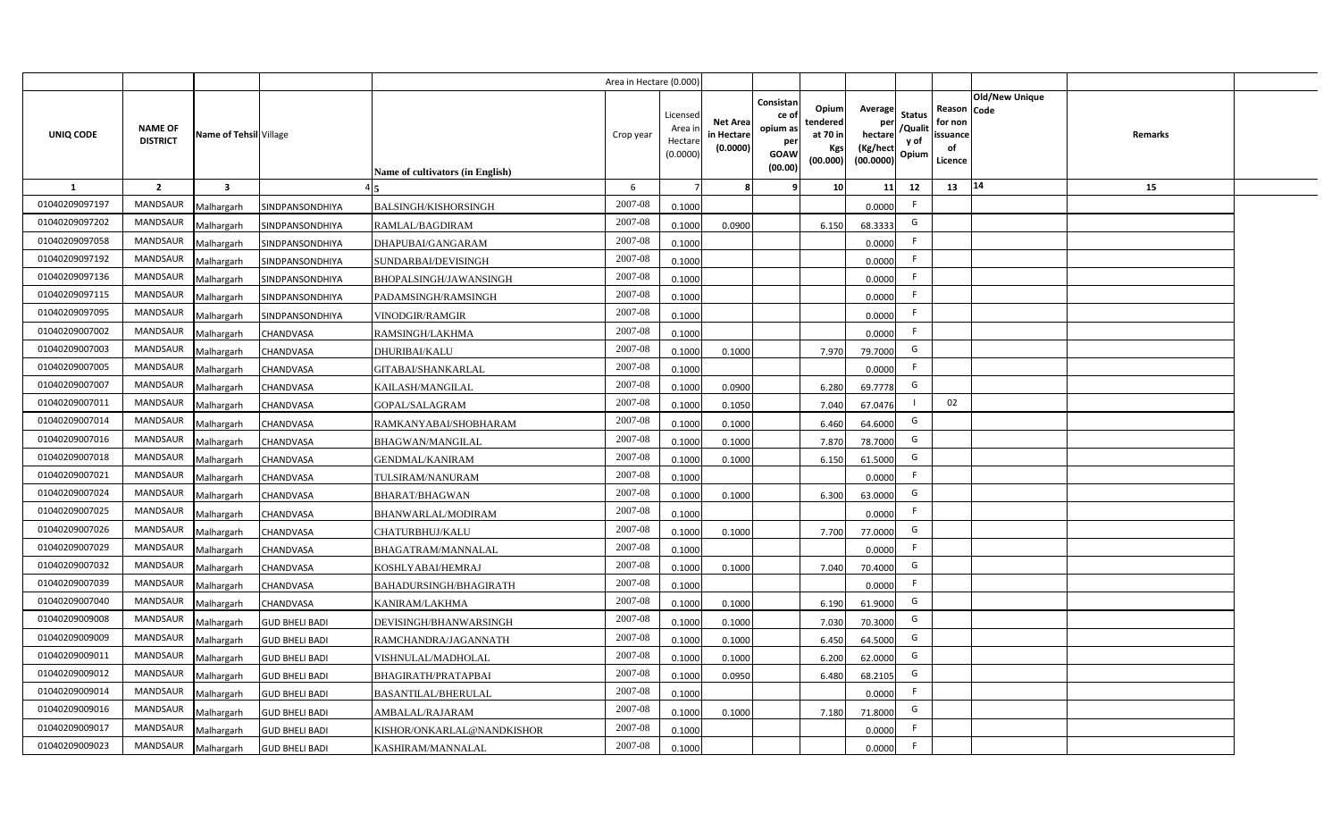|                |                                   |                         |                       |                                  | Area in Hectare (0.000) |                                           |                                           |                                                                 |                                                  |                                                    |                                           |                                                     |                       |         |  |
|----------------|-----------------------------------|-------------------------|-----------------------|----------------------------------|-------------------------|-------------------------------------------|-------------------------------------------|-----------------------------------------------------------------|--------------------------------------------------|----------------------------------------------------|-------------------------------------------|-----------------------------------------------------|-----------------------|---------|--|
| UNIQ CODE      | <b>NAME OF</b><br><b>DISTRICT</b> | Name of Tehsil Village  |                       | Name of cultivators (in English) | Crop year               | Licensed<br>Area i<br>Hectare<br>(0.0000) | <b>Net Area</b><br>in Hectare<br>(0.0000) | Consistan<br>ce of<br>opium as<br>per<br><b>GOAW</b><br>(00.00) | Opium<br>tendered<br>at 70 in<br>Kgs<br>(00.000) | Average<br>per<br>hectare<br>(Kg/hect<br>(00.0000) | <b>Status</b><br>/Qualit<br>y of<br>Opium | Reason Code<br>for non<br>issuance<br>of<br>Licence | <b>Old/New Unique</b> | Remarks |  |
| 1              | $\overline{2}$                    | $\overline{\mathbf{3}}$ |                       |                                  | 6                       |                                           | 8                                         | 9                                                               | 10 <sup>1</sup>                                  | 11                                                 | 12                                        | 13                                                  | 14                    | 15      |  |
| 01040209097197 | <b>MANDSAUR</b>                   | Malhargarh              | SINDPANSONDHIYA       | <b>BALSINGH/KISHORSINGH</b>      | 2007-08                 | 0.1000                                    |                                           |                                                                 |                                                  | 0.0000                                             | F                                         |                                                     |                       |         |  |
| 01040209097202 | MANDSAUR                          | Malhargarh              | SINDPANSONDHIYA       | RAMLAL/BAGDIRAM                  | 2007-08                 | 0.1000                                    | 0.0900                                    |                                                                 | 6.150                                            | 68.3333                                            | G                                         |                                                     |                       |         |  |
| 01040209097058 | <b>MANDSAUR</b>                   | Malhargarh              | SINDPANSONDHIYA       | DHAPUBAI/GANGARAM                | 2007-08                 | 0.1000                                    |                                           |                                                                 |                                                  | 0.0000                                             | -F                                        |                                                     |                       |         |  |
| 01040209097192 | <b>MANDSAUR</b>                   | Malhargarh              | SINDPANSONDHIYA       | SUNDARBAI/DEVISINGH              | 2007-08                 | 0.1000                                    |                                           |                                                                 |                                                  | 0.0000                                             | -F                                        |                                                     |                       |         |  |
| 01040209097136 | MANDSAUR                          | Malhargarh              | SINDPANSONDHIYA       | BHOPALSINGH/JAWANSINGH           | 2007-08                 | 0.1000                                    |                                           |                                                                 |                                                  | 0.0000                                             | -F                                        |                                                     |                       |         |  |
| 01040209097115 | <b>MANDSAUR</b>                   | Malhargarh              | SINDPANSONDHIYA       | PADAMSINGH/RAMSINGH              | 2007-08                 | 0.1000                                    |                                           |                                                                 |                                                  | 0.0000                                             | F                                         |                                                     |                       |         |  |
| 01040209097095 | <b>MANDSAUR</b>                   | Malhargarh              | SINDPANSONDHIYA       | <b>VINODGIR/RAMGIR</b>           | 2007-08                 | 0.1000                                    |                                           |                                                                 |                                                  | 0.0000                                             | F                                         |                                                     |                       |         |  |
| 01040209007002 | MANDSAUR                          | Malhargarh              | CHANDVASA             | RAMSINGH/LAKHMA                  | 2007-08                 | 0.1000                                    |                                           |                                                                 |                                                  | 0.0000                                             | F                                         |                                                     |                       |         |  |
| 01040209007003 | MANDSAUR                          | Malhargarh              | CHANDVASA             | <b>DHURIBAI/KALU</b>             | 2007-08                 | 0.1000                                    | 0.1000                                    |                                                                 | 7.970                                            | 79.7000                                            | G                                         |                                                     |                       |         |  |
| 01040209007005 | MANDSAUR                          | Malhargarh              | CHANDVASA             | GITABAI/SHANKARLAL               | 2007-08                 | 0.1000                                    |                                           |                                                                 |                                                  | 0.0000                                             | F                                         |                                                     |                       |         |  |
| 01040209007007 | <b>MANDSAUR</b>                   | Malhargarh              | CHANDVASA             | KAILASH/MANGILAL                 | 2007-08                 | 0.1000                                    | 0.0900                                    |                                                                 | 6.280                                            | 69.7778                                            | G                                         |                                                     |                       |         |  |
| 01040209007011 | <b>MANDSAUR</b>                   | Malhargarh              | CHANDVASA             | <b>GOPAL/SALAGRAM</b>            | 2007-08                 | 0.1000                                    | 0.1050                                    |                                                                 | 7.040                                            | 67.0476                                            |                                           | 02                                                  |                       |         |  |
| 01040209007014 | <b>MANDSAUR</b>                   | Malhargarh              | CHANDVASA             | RAMKANYABAI/SHOBHARAM            | 2007-08                 | 0.1000                                    | 0.1000                                    |                                                                 | 6.460                                            | 64.6000                                            | G                                         |                                                     |                       |         |  |
| 01040209007016 | <b>MANDSAUR</b>                   | Malhargarh              | CHANDVASA             | BHAGWAN/MANGILAL                 | 2007-08                 | 0.1000                                    | 0.1000                                    |                                                                 | 7.870                                            | 78.7000                                            | G                                         |                                                     |                       |         |  |
| 01040209007018 | <b>MANDSAUR</b>                   | Malhargarh              | CHANDVASA             | <b>GENDMAL/KANIRAM</b>           | 2007-08                 | 0.1000                                    | 0.1000                                    |                                                                 | 6.150                                            | 61.5000                                            | G                                         |                                                     |                       |         |  |
| 01040209007021 | MANDSAUR                          | Malhargarh              | CHANDVASA             | TULSIRAM/NANURAM                 | 2007-08                 | 0.1000                                    |                                           |                                                                 |                                                  | 0.0000                                             | F.                                        |                                                     |                       |         |  |
| 01040209007024 | MANDSAUR                          | Malhargarh              | CHANDVASA             | <b>BHARAT/BHAGWAN</b>            | 2007-08                 | 0.1000                                    | 0.1000                                    |                                                                 | 6.300                                            | 63.0000                                            | G                                         |                                                     |                       |         |  |
| 01040209007025 | <b>MANDSAUR</b>                   | Malhargarh              | CHANDVASA             | BHANWARLAL/MODIRAM               | 2007-08                 | 0.1000                                    |                                           |                                                                 |                                                  | 0.0000                                             | F                                         |                                                     |                       |         |  |
| 01040209007026 | MANDSAUR                          | Malhargarh              | CHANDVASA             | CHATURBHUJ/KALU                  | 2007-08                 | 0.1000                                    | 0.1000                                    |                                                                 | 7.700                                            | 77.0000                                            | G                                         |                                                     |                       |         |  |
| 01040209007029 | <b>MANDSAUR</b>                   | Malhargarh              | CHANDVASA             | BHAGATRAM/MANNALAL               | 2007-08                 | 0.1000                                    |                                           |                                                                 |                                                  | 0.0000                                             | F.                                        |                                                     |                       |         |  |
| 01040209007032 | <b>MANDSAUR</b>                   | Malhargarh              | CHANDVASA             | KOSHLYABAI/HEMRAJ                | 2007-08                 | 0.1000                                    | 0.1000                                    |                                                                 | 7.040                                            | 70.4000                                            | G                                         |                                                     |                       |         |  |
| 01040209007039 | <b>MANDSAUR</b>                   | Malhargarh              | CHANDVASA             | <b>BAHADURSINGH/BHAGIRATH</b>    | 2007-08                 | 0.1000                                    |                                           |                                                                 |                                                  | 0.0000                                             | F                                         |                                                     |                       |         |  |
| 01040209007040 | MANDSAUR                          | Malhargarh              | CHANDVASA             | KANIRAM/LAKHMA                   | 2007-08                 | 0.1000                                    | 0.1000                                    |                                                                 | 6.190                                            | 61.9000                                            | G                                         |                                                     |                       |         |  |
| 01040209009008 | <b>MANDSAUR</b>                   | Malhargarh              | <b>GUD BHELI BADI</b> | DEVISINGH/BHANWARSINGH           | 2007-08                 | 0.1000                                    | 0.1000                                    |                                                                 | 7.030                                            | 70.3000                                            | G                                         |                                                     |                       |         |  |
| 01040209009009 | <b>MANDSAUR</b>                   | Malhargarh              | <b>GUD BHELI BADI</b> | RAMCHANDRA/JAGANNATH             | 2007-08                 | 0.1000                                    | 0.1000                                    |                                                                 | 6.450                                            | 64.5000                                            | G                                         |                                                     |                       |         |  |
| 01040209009011 | MANDSAUR                          | Malhargarh              | <b>GUD BHELI BADI</b> | VISHNULAL/MADHOLAL               | 2007-08                 | 0.1000                                    | 0.1000                                    |                                                                 | 6.200                                            | 62.0000                                            | G                                         |                                                     |                       |         |  |
| 01040209009012 | MANDSAUR                          | Malhargarh              | <b>GUD BHELI BADI</b> | BHAGIRATH/PRATAPBAI              | 2007-08                 | 0.1000                                    | 0.0950                                    |                                                                 | 6.480                                            | 68.2105                                            | G                                         |                                                     |                       |         |  |
| 01040209009014 | MANDSAUR                          | Malhargarh              | <b>GUD BHELI BADI</b> | <b>BASANTILAL/BHERULAL</b>       | 2007-08                 | 0.1000                                    |                                           |                                                                 |                                                  | 0.0000                                             | F                                         |                                                     |                       |         |  |
| 01040209009016 | MANDSAUR                          | Malhargarh              | <b>GUD BHELI BADI</b> | AMBALAL/RAJARAM                  | 2007-08                 | 0.1000                                    | 0.1000                                    |                                                                 | 7.180                                            | 71.8000                                            | G                                         |                                                     |                       |         |  |
| 01040209009017 | MANDSAUR                          | Malhargarh              | <b>GUD BHELI BADI</b> | KISHOR/ONKARLAL@NANDKISHOR       | 2007-08                 | 0.1000                                    |                                           |                                                                 |                                                  | 0.0000                                             | F.                                        |                                                     |                       |         |  |
| 01040209009023 | MANDSAUR                          | Malhargarh              | <b>GUD BHELI BADI</b> | KASHIRAM/MANNALAL                | 2007-08                 | 0.1000                                    |                                           |                                                                 |                                                  | 0.0000                                             | F.                                        |                                                     |                       |         |  |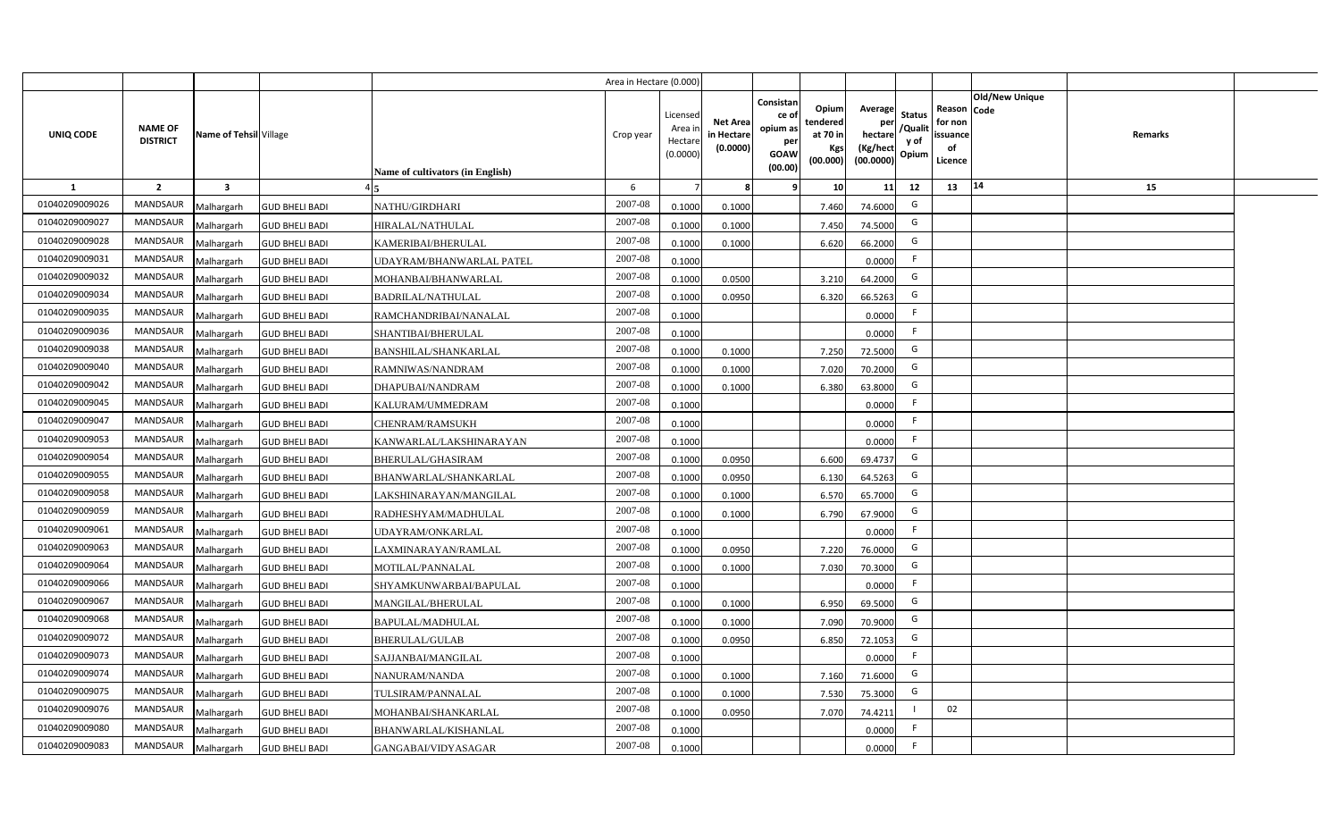|                |                                   |                         |                       |                                  | Area in Hectare (0.000) |                                           |                                           |                                                                                                                     |                                                    |                                           |                                                     |                       |         |  |
|----------------|-----------------------------------|-------------------------|-----------------------|----------------------------------|-------------------------|-------------------------------------------|-------------------------------------------|---------------------------------------------------------------------------------------------------------------------|----------------------------------------------------|-------------------------------------------|-----------------------------------------------------|-----------------------|---------|--|
| UNIQ CODE      | <b>NAME OF</b><br><b>DISTRICT</b> | Name of Tehsil Village  |                       | Name of cultivators (in English) | Crop year               | Licensed<br>Area i<br>Hectare<br>(0.0000) | <b>Net Area</b><br>in Hectare<br>(0.0000) | Consistan<br>Opium<br>ce of<br>tendered<br>opium as<br>at 70 in<br>per<br>Kgs<br><b>GOAW</b><br>(00.000)<br>(00.00) | Average<br>per<br>hectare<br>(Kg/hect<br>(00.0000) | <b>Status</b><br>/Qualit<br>y of<br>Opium | Reason Code<br>for non<br>issuance<br>of<br>Licence | <b>Old/New Unique</b> | Remarks |  |
| 1              | $\overline{2}$                    | $\overline{\mathbf{3}}$ |                       |                                  | 6                       |                                           | 8                                         | 10 <sup>1</sup><br>-9                                                                                               | 11                                                 | 12                                        | 13                                                  | 14                    | 15      |  |
| 01040209009026 | <b>MANDSAUR</b>                   | Malhargarh              | <b>GUD BHELI BADI</b> | NATHU/GIRDHARI                   | 2007-08                 | 0.1000                                    | 0.1000                                    | 7.460                                                                                                               | 74.6000                                            | G                                         |                                                     |                       |         |  |
| 01040209009027 | MANDSAUR                          | Malhargarh              | <b>GUD BHELI BADI</b> | HIRALAL/NATHULAL                 | 2007-08                 | 0.1000                                    | 0.1000                                    | 7.450                                                                                                               | 74.5000                                            | G                                         |                                                     |                       |         |  |
| 01040209009028 | <b>MANDSAUR</b>                   | Malhargarh              | <b>GUD BHELI BADI</b> | KAMERIBAI/BHERULAL               | 2007-08                 | 0.1000                                    | 0.1000                                    | 6.620                                                                                                               | 66.2000                                            | G                                         |                                                     |                       |         |  |
| 01040209009031 | <b>MANDSAUR</b>                   | Malhargarh              | <b>GUD BHELI BADI</b> | UDAYRAM/BHANWARLAL PATEL         | 2007-08                 | 0.1000                                    |                                           |                                                                                                                     | 0.0000                                             | -F                                        |                                                     |                       |         |  |
| 01040209009032 | MANDSAUR                          | Malhargarh              | <b>GUD BHELI BADI</b> | MOHANBAI/BHANWARLAL              | 2007-08                 | 0.1000                                    | 0.0500                                    | 3.210                                                                                                               | 64.2000                                            | G                                         |                                                     |                       |         |  |
| 01040209009034 | <b>MANDSAUR</b>                   | Malhargarh              | <b>GUD BHELI BADI</b> | <b>BADRILAL/NATHULAL</b>         | 2007-08                 | 0.1000                                    | 0.0950                                    | 6.320                                                                                                               | 66.5263                                            | G                                         |                                                     |                       |         |  |
| 01040209009035 | <b>MANDSAUR</b>                   | Malhargarh              | <b>GUD BHELI BADI</b> | RAMCHANDRIBAI/NANALAL            | 2007-08                 | 0.1000                                    |                                           |                                                                                                                     | 0.0000                                             | F                                         |                                                     |                       |         |  |
| 01040209009036 | MANDSAUR                          | Malhargarh              | <b>GUD BHELI BADI</b> | SHANTIBAI/BHERULAL               | 2007-08                 | 0.1000                                    |                                           |                                                                                                                     | 0.0000                                             | F                                         |                                                     |                       |         |  |
| 01040209009038 | MANDSAUR                          | Malhargarh              | <b>GUD BHELI BADI</b> | <b>BANSHILAL/SHANKARLAL</b>      | 2007-08                 | 0.1000                                    | 0.1000                                    | 7.250                                                                                                               | 72.5000                                            | G                                         |                                                     |                       |         |  |
| 01040209009040 | MANDSAUR                          | Malhargarh              | <b>GUD BHELI BADI</b> | RAMNIWAS/NANDRAM                 | 2007-08                 | 0.1000                                    | 0.1000                                    | 7.020                                                                                                               | 70.2000                                            | G                                         |                                                     |                       |         |  |
| 01040209009042 | <b>MANDSAUR</b>                   | Malhargarh              | <b>GUD BHELI BADI</b> | DHAPUBAI/NANDRAM                 | 2007-08                 | 0.1000                                    | 0.1000                                    | 6.380                                                                                                               | 63.8000                                            | G                                         |                                                     |                       |         |  |
| 01040209009045 | MANDSAUR                          | Malhargarh              | <b>GUD BHELI BADI</b> | KALURAM/UMMEDRAM                 | 2007-08                 | 0.1000                                    |                                           |                                                                                                                     | 0.0000                                             | -F                                        |                                                     |                       |         |  |
| 01040209009047 | <b>MANDSAUR</b>                   | Malhargarh              | <b>GUD BHELI BADI</b> | CHENRAM/RAMSUKH                  | 2007-08                 | 0.1000                                    |                                           |                                                                                                                     | 0.0000                                             | F                                         |                                                     |                       |         |  |
| 01040209009053 | <b>MANDSAUR</b>                   | Malhargarh              | <b>GUD BHELI BADI</b> | KANWARLAL/LAKSHINARAYAN          | 2007-08                 | 0.1000                                    |                                           |                                                                                                                     | 0.0000                                             | F                                         |                                                     |                       |         |  |
| 01040209009054 | <b>MANDSAUR</b>                   | Malhargarh              | <b>GUD BHELI BADI</b> | BHERULAL/GHASIRAM                | 2007-08                 | 0.1000                                    | 0.0950                                    | 6.600                                                                                                               | 69.4737                                            | G                                         |                                                     |                       |         |  |
| 01040209009055 | MANDSAUR                          | Malhargarh              | <b>GUD BHELI BADI</b> | BHANWARLAL/SHANKARLAL            | 2007-08                 | 0.1000                                    | 0.0950                                    | 6.130                                                                                                               | 64.5263                                            | G                                         |                                                     |                       |         |  |
| 01040209009058 | MANDSAUR                          | Malhargarh              | <b>GUD BHELI BADI</b> | LAKSHINARAYAN/MANGILAL           | 2007-08                 | 0.1000                                    | 0.1000                                    | 6.570                                                                                                               | 65.7000                                            | G                                         |                                                     |                       |         |  |
| 01040209009059 | <b>MANDSAUR</b>                   | Malhargarh              | <b>GUD BHELI BADI</b> | RADHESHYAM/MADHULAL              | 2007-08                 | 0.1000                                    | 0.1000                                    | 6.790                                                                                                               | 67.9000                                            | G                                         |                                                     |                       |         |  |
| 01040209009061 | MANDSAUR                          | Malhargarh              | <b>GUD BHELI BADI</b> | UDAYRAM/ONKARLAL                 | 2007-08                 | 0.1000                                    |                                           |                                                                                                                     | 0.0000                                             | F.                                        |                                                     |                       |         |  |
| 01040209009063 | <b>MANDSAUR</b>                   | Malhargarh              | <b>GUD BHELI BADI</b> | LAXMINARAYAN/RAMLAL              | 2007-08                 | 0.1000                                    | 0.0950                                    | 7.220                                                                                                               | 76.0000                                            | G                                         |                                                     |                       |         |  |
| 01040209009064 | <b>MANDSAUR</b>                   | Malhargarh              | <b>GUD BHELI BADI</b> | MOTILAL/PANNALAL                 | 2007-08                 | 0.1000                                    | 0.1000                                    | 7.030                                                                                                               | 70.3000                                            | G                                         |                                                     |                       |         |  |
| 01040209009066 | <b>MANDSAUR</b>                   | Malhargarh              | <b>GUD BHELI BADI</b> | SHYAMKUNWARBAI/BAPULAL           | 2007-08                 | 0.1000                                    |                                           |                                                                                                                     | 0.0000                                             | -F                                        |                                                     |                       |         |  |
| 01040209009067 | <b>MANDSAUR</b>                   | Malhargarh              | <b>GUD BHELI BADI</b> | MANGILAL/BHERULAL                | 2007-08                 | 0.1000                                    | 0.1000                                    | 6.950                                                                                                               | 69.5000                                            | G                                         |                                                     |                       |         |  |
| 01040209009068 | <b>MANDSAUR</b>                   | Malhargarh              | <b>GUD BHELI BADI</b> | <b>BAPULAL/MADHULAL</b>          | 2007-08                 | 0.1000                                    | 0.1000                                    | 7.090                                                                                                               | 70.9000                                            | G                                         |                                                     |                       |         |  |
| 01040209009072 | <b>MANDSAUR</b>                   | Malhargarh              | <b>GUD BHELI BADI</b> | <b>BHERULAL/GULAB</b>            | 2007-08                 | 0.1000                                    | 0.0950                                    | 6.850                                                                                                               | 72.1053                                            | G                                         |                                                     |                       |         |  |
| 01040209009073 | MANDSAUR                          | Malhargarh              | <b>GUD BHELI BADI</b> | SAJJANBAI/MANGILAL               | 2007-08                 | 0.1000                                    |                                           |                                                                                                                     | 0.0000                                             | F                                         |                                                     |                       |         |  |
| 01040209009074 | MANDSAUR                          | Malhargarh              | <b>GUD BHELI BADI</b> | NANURAM/NANDA                    | 2007-08                 | 0.1000                                    | 0.1000                                    | 7.160                                                                                                               | 71.6000                                            | G                                         |                                                     |                       |         |  |
| 01040209009075 | MANDSAUR                          | Malhargarh              | <b>GUD BHELI BADI</b> | TULSIRAM/PANNALAL                | 2007-08                 | 0.1000                                    | 0.1000                                    | 7.530                                                                                                               | 75.3000                                            | G                                         |                                                     |                       |         |  |
| 01040209009076 | MANDSAUR                          | Malhargarh              | <b>GUD BHELI BADI</b> | MOHANBAI/SHANKARLAL              | 2007-08                 | 0.1000                                    | 0.0950                                    | 7.070                                                                                                               | 74.4211                                            | - 1                                       | 02                                                  |                       |         |  |
| 01040209009080 | MANDSAUR                          | Malhargarh              | <b>GUD BHELI BADI</b> | BHANWARLAL/KISHANLAL             | 2007-08                 | 0.1000                                    |                                           |                                                                                                                     | 0.0000                                             | F.                                        |                                                     |                       |         |  |
| 01040209009083 | MANDSAUR                          | Malhargarh              | <b>GUD BHELI BADI</b> | GANGABAI/VIDYASAGAR              | 2007-08                 | 0.1000                                    |                                           |                                                                                                                     | 0.0000                                             | F.                                        |                                                     |                       |         |  |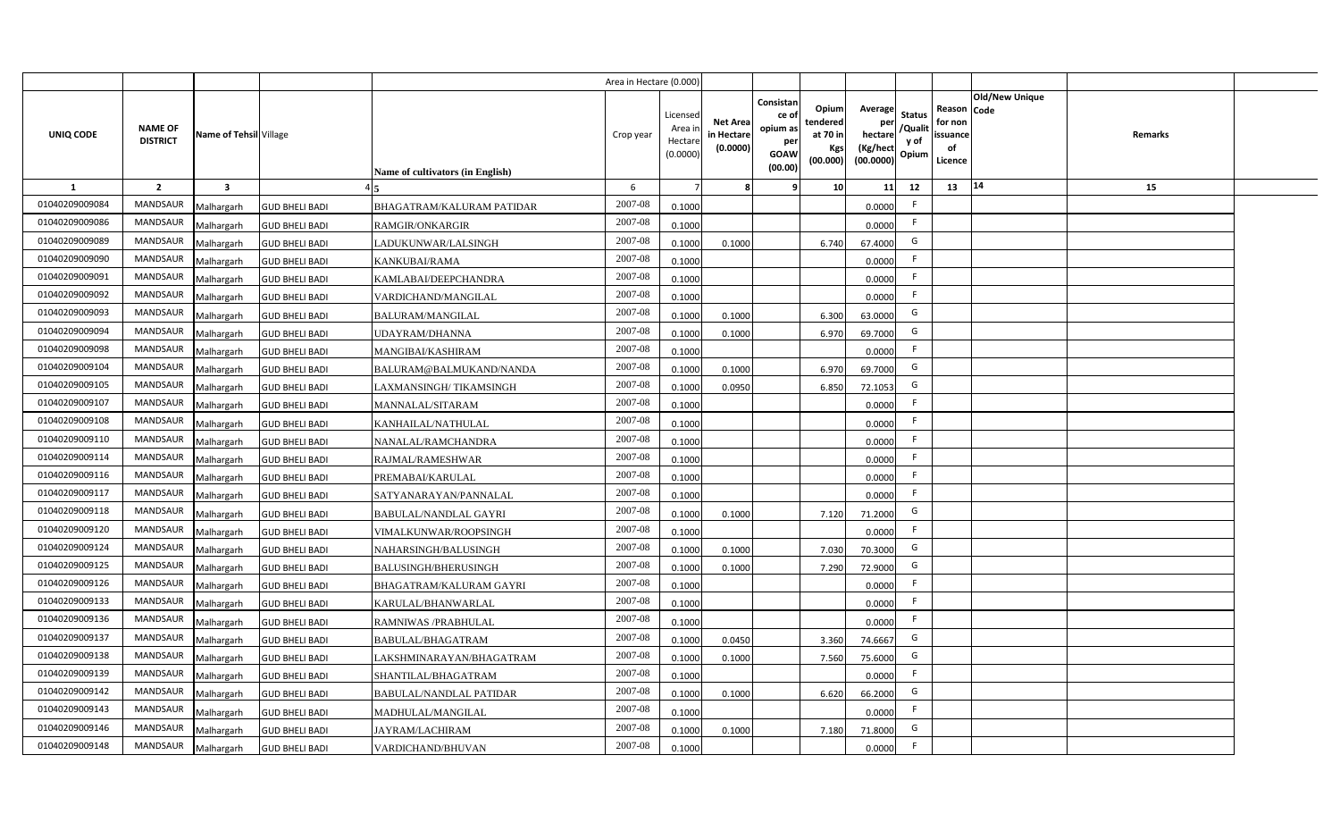|                |                                   |                         |                       |                                  | Area in Hectare (0.000 |                                          |                                          |                                                                 |                                                  |                                                    |                                           |                                                     |                |         |  |
|----------------|-----------------------------------|-------------------------|-----------------------|----------------------------------|------------------------|------------------------------------------|------------------------------------------|-----------------------------------------------------------------|--------------------------------------------------|----------------------------------------------------|-------------------------------------------|-----------------------------------------------------|----------------|---------|--|
| UNIQ CODE      | <b>NAME OF</b><br><b>DISTRICT</b> | Name of Tehsil Village  |                       | Name of cultivators (in English) | Crop year              | Licensec<br>Area i<br>Hectar<br>(0.0000) | <b>Net Area</b><br>in Hectar<br>(0.0000) | Consistan<br>ce of<br>opium as<br>per<br><b>GOAW</b><br>(00.00) | Opium<br>tendered<br>at 70 in<br>Kgs<br>(00.000) | Average<br>per<br>hectare<br>(Kg/hect<br>(00.0000) | <b>Status</b><br>/Qualit<br>y of<br>Opium | Reason Code<br>for non<br>issuance<br>of<br>Licence | Old/New Unique | Remarks |  |
| 1              | $\overline{2}$                    | $\overline{\mathbf{3}}$ |                       |                                  | -6                     |                                          |                                          | 9                                                               | 10 <sup>1</sup>                                  | 11                                                 | 12                                        | 13                                                  | 14             | 15      |  |
| 01040209009084 | <b>MANDSAUR</b>                   | Malhargarh              | <b>GUD BHELI BADI</b> | BHAGATRAM/KALURAM PATIDAR        | 2007-08                | 0.1000                                   |                                          |                                                                 |                                                  | 0.0000                                             | -F                                        |                                                     |                |         |  |
| 01040209009086 | MANDSAUR                          | Malhargarh              | <b>GUD BHELI BADI</b> | <b>RAMGIR/ONKARGIR</b>           | 2007-08                | 0.1000                                   |                                          |                                                                 |                                                  | 0.0000                                             | F.                                        |                                                     |                |         |  |
| 01040209009089 | <b>MANDSAUR</b>                   | Malhargarh              | <b>GUD BHELI BADI</b> | LADUKUNWAR/LALSINGH              | 2007-08                | 0.1000                                   | 0.1000                                   |                                                                 | 6.740                                            | 67.4000                                            | G                                         |                                                     |                |         |  |
| 01040209009090 | <b>MANDSAUR</b>                   | Malhargarh              | <b>GUD BHELI BADI</b> | KANKUBAI/RAMA                    | 2007-08                | 0.1000                                   |                                          |                                                                 |                                                  | 0.0000                                             | -F                                        |                                                     |                |         |  |
| 01040209009091 | MANDSAUR                          | Malhargarh              | <b>GUD BHELI BADI</b> | KAMLABAI/DEEPCHANDRA             | 2007-08                | 0.1000                                   |                                          |                                                                 |                                                  | 0.0000                                             |                                           |                                                     |                |         |  |
| 01040209009092 | <b>MANDSAUR</b>                   | Malhargarh              | <b>GUD BHELI BADI</b> | VARDICHAND/MANGILAL              | 2007-08                | 0.1000                                   |                                          |                                                                 |                                                  | 0.0000                                             | F                                         |                                                     |                |         |  |
| 01040209009093 | <b>MANDSAUR</b>                   | Malhargarh              | <b>GUD BHELI BADI</b> | <b>BALURAM/MANGILAL</b>          | 2007-08                | 0.1000                                   | 0.1000                                   |                                                                 | 6.300                                            | 63.0000                                            | G                                         |                                                     |                |         |  |
| 01040209009094 | MANDSAUR                          | Malhargarh              | <b>GUD BHELI BADI</b> | <b>JDAYRAM/DHANNA</b>            | 2007-08                | 0.1000                                   | 0.1000                                   |                                                                 | 6.970                                            | 69.7000                                            | G                                         |                                                     |                |         |  |
| 01040209009098 | MANDSAUR                          | Malhargarh              | <b>GUD BHELI BADI</b> | MANGIBAI/KASHIRAM                | 2007-08                | 0.1000                                   |                                          |                                                                 |                                                  | 0.0000                                             | F                                         |                                                     |                |         |  |
| 01040209009104 | MANDSAUR                          | Malhargarh              | <b>GUD BHELI BADI</b> | BALURAM@BALMUKAND/NANDA          | 2007-08                | 0.100                                    | 0.1000                                   |                                                                 | 6.970                                            | 69.7000                                            | G                                         |                                                     |                |         |  |
| 01040209009105 | MANDSAUR                          | Malhargarh              | <b>GUD BHELI BADI</b> | LAXMANSINGH/TIKAMSINGH           | 2007-08                | 0.1000                                   | 0.0950                                   |                                                                 | 6.850                                            | 72.1053                                            | G                                         |                                                     |                |         |  |
| 01040209009107 | <b>MANDSAUR</b>                   | Malhargarh              | <b>GUD BHELI BADI</b> | MANNALAL/SITARAM                 | 2007-08                | 0.1000                                   |                                          |                                                                 |                                                  | 0.0000                                             | -F                                        |                                                     |                |         |  |
| 01040209009108 | <b>MANDSAUR</b>                   | Malhargarh              | <b>GUD BHELI BADI</b> | KANHAILAL/NATHULAL               | 2007-08                | 0.1000                                   |                                          |                                                                 |                                                  | 0.0000                                             |                                           |                                                     |                |         |  |
| 01040209009110 | <b>MANDSAUR</b>                   | Malhargarh              | <b>GUD BHELI BADI</b> | NANALAL/RAMCHANDRA               | 2007-08                | 0.1000                                   |                                          |                                                                 |                                                  | 0.0000                                             | F.                                        |                                                     |                |         |  |
| 01040209009114 | <b>MANDSAUR</b>                   | Malhargarh              | <b>GUD BHELI BADI</b> | RAJMAL/RAMESHWAR                 | 2007-08                | 0.1000                                   |                                          |                                                                 |                                                  | 0.0000                                             | -F                                        |                                                     |                |         |  |
| 01040209009116 | <b>MANDSAUR</b>                   | Malhargarh              | <b>GUD BHELI BADI</b> | PREMABAI/KARULAL                 | 2007-08                | 0.1000                                   |                                          |                                                                 |                                                  | 0.0000                                             | F.                                        |                                                     |                |         |  |
| 01040209009117 | <b>MANDSAUR</b>                   | Malhargarh              | <b>GUD BHELI BADI</b> | SATYANARAYAN/PANNALAL            | 2007-08                | 0.1000                                   |                                          |                                                                 |                                                  | 0.0000                                             | -F                                        |                                                     |                |         |  |
| 01040209009118 | <b>MANDSAUR</b>                   | Malhargarh              | <b>GUD BHELI BADI</b> | <b>BABULAL/NANDLAL GAYRI</b>     | 2007-08                | 0.1000                                   | 0.1000                                   |                                                                 | 7.120                                            | 71.2000                                            | G                                         |                                                     |                |         |  |
| 01040209009120 | <b>MANDSAUR</b>                   | Malhargarh              | <b>GUD BHELI BADI</b> | VIMALKUNWAR/ROOPSINGH            | 2007-08                | 0.1000                                   |                                          |                                                                 |                                                  | 0.0000                                             | F.                                        |                                                     |                |         |  |
| 01040209009124 | <b>MANDSAUR</b>                   | Malhargarh              | <b>GUD BHELI BADI</b> | NAHARSINGH/BALUSINGH             | 2007-08                | 0.1000                                   | 0.1000                                   |                                                                 | 7.030                                            | 70.3000                                            | G                                         |                                                     |                |         |  |
| 01040209009125 | <b>MANDSAUR</b>                   | Malhargarh              | <b>GUD BHELI BADI</b> | BALUSINGH/BHERUSINGH             | 2007-08                | 0.100                                    | 0.1000                                   |                                                                 | 7.290                                            | 72.9000                                            | G                                         |                                                     |                |         |  |
| 01040209009126 | <b>MANDSAUR</b>                   | Malhargarh              | <b>GUD BHELI BADI</b> | BHAGATRAM/KALURAM GAYRI          | 2007-08                | 0.100                                    |                                          |                                                                 |                                                  | 0.0000                                             | -F                                        |                                                     |                |         |  |
| 01040209009133 | MANDSAUR                          | Malhargarh              | <b>GUD BHELI BADI</b> | KARULAL/BHANWARLAL               | 2007-08                | 0.100                                    |                                          |                                                                 |                                                  | 0.0000                                             | -F                                        |                                                     |                |         |  |
| 01040209009136 | <b>MANDSAUR</b>                   | Malhargarh              | <b>GUD BHELI BADI</b> | RAMNIWAS / PRABHULAL             | 2007-08                | 0.1000                                   |                                          |                                                                 |                                                  | 0.0000                                             | -F                                        |                                                     |                |         |  |
| 01040209009137 | <b>MANDSAUR</b>                   | Malhargarh              | <b>GUD BHELI BADI</b> | BABULAL/BHAGATRAM                | 2007-08                | 0.1000                                   | 0.0450                                   |                                                                 | 3.360                                            | 74.6667                                            | G                                         |                                                     |                |         |  |
| 01040209009138 | MANDSAUR                          | Malhargarh              | <b>GUD BHELI BADI</b> | LAKSHMINARAYAN/BHAGATRAM         | 2007-08                | 0.1000                                   | 0.1000                                   |                                                                 | 7.560                                            | 75.6000                                            | G                                         |                                                     |                |         |  |
| 01040209009139 | MANDSAUR                          | Malhargarh              | <b>GUD BHELI BADI</b> | SHANTILAL/BHAGATRAM              | 2007-08                | 0.1000                                   |                                          |                                                                 |                                                  | 0.0000                                             | F                                         |                                                     |                |         |  |
| 01040209009142 | MANDSAUR                          | Malhargarh              | <b>GUD BHELI BADI</b> | <b>BABULAL/NANDLAL PATIDAR</b>   | 2007-08                | 0.1000                                   | 0.1000                                   |                                                                 | 6.620                                            | 66.2000                                            | G                                         |                                                     |                |         |  |
| 01040209009143 | MANDSAUR                          | Malhargarh              | <b>GUD BHELI BADI</b> | MADHULAL/MANGILAL                | 2007-08                | 0.1000                                   |                                          |                                                                 |                                                  | 0.0000                                             | -F                                        |                                                     |                |         |  |
| 01040209009146 | MANDSAUR                          | Malhargarh              | <b>GUD BHELI BADI</b> | JAYRAM/LACHIRAM                  | 2007-08                | 0.1000                                   | 0.1000                                   |                                                                 | 7.180                                            | 71.8000                                            | G                                         |                                                     |                |         |  |
| 01040209009148 | MANDSAUR                          | Malhargarh              | <b>GUD BHELI BADI</b> | VARDICHAND/BHUVAN                | 2007-08                | 0.1000                                   |                                          |                                                                 |                                                  | 0.0000                                             | -F                                        |                                                     |                |         |  |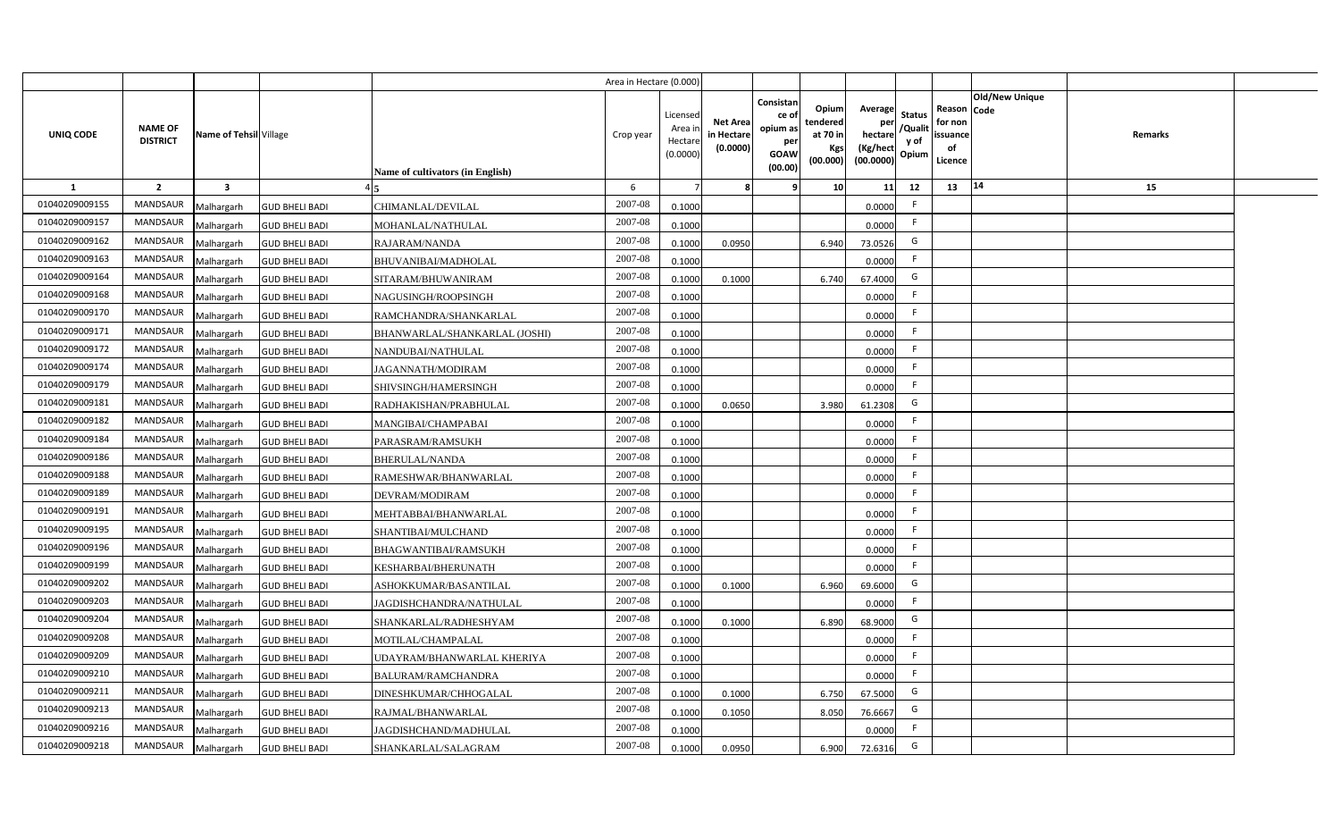|                  |                                   |                         |                       |                                  | Area in Hectare (0.000 |                                          |                                           |                                                                 |                                                  |                                                    |                                           |                                                     |                       |         |  |
|------------------|-----------------------------------|-------------------------|-----------------------|----------------------------------|------------------------|------------------------------------------|-------------------------------------------|-----------------------------------------------------------------|--------------------------------------------------|----------------------------------------------------|-------------------------------------------|-----------------------------------------------------|-----------------------|---------|--|
| <b>UNIQ CODE</b> | <b>NAME OF</b><br><b>DISTRICT</b> | Name of Tehsil Village  |                       | Name of cultivators (in English) | Crop year              | Licensec<br>Area i<br>Hectar<br>(0.0000) | <b>Net Area</b><br>in Hectare<br>(0.0000) | Consistan<br>ce of<br>opium as<br>per<br><b>GOAW</b><br>(00.00) | Opium<br>tendered<br>at 70 in<br>Kgs<br>(00.000) | Average<br>per<br>hectare<br>(Kg/hect<br>(00.0000) | <b>Status</b><br>/Qualit<br>y of<br>Opium | Reason Code<br>for non<br>issuance<br>of<br>Licence | <b>Old/New Unique</b> | Remarks |  |
| 1                | $\overline{2}$                    | $\overline{\mathbf{3}}$ |                       |                                  | 6                      |                                          |                                           | q                                                               | 10                                               | 11                                                 | 12                                        | 13                                                  | 14                    | 15      |  |
| 01040209009155   | <b>MANDSAUR</b>                   | Malhargarh              | <b>GUD BHELI BADI</b> | CHIMANLAL/DEVILAL                | 2007-08                | 0.1000                                   |                                           |                                                                 |                                                  | 0.0000                                             | -F                                        |                                                     |                       |         |  |
| 01040209009157   | <b>MANDSAUR</b>                   | Malhargarh              | <b>GUD BHELI BADI</b> | MOHANLAL/NATHULAL                | 2007-08                | 0.1000                                   |                                           |                                                                 |                                                  | 0.0000                                             | -F                                        |                                                     |                       |         |  |
| 01040209009162   | <b>MANDSAUR</b>                   | Malhargarh              | <b>GUD BHELI BADI</b> | RAJARAM/NANDA                    | 2007-08                | 0.100                                    | 0.0950                                    |                                                                 | 6.940                                            | 73.0526                                            | G                                         |                                                     |                       |         |  |
| 01040209009163   | <b>MANDSAUR</b>                   | Malhargarh              | <b>GUD BHELI BADI</b> | BHUVANIBAI/MADHOLAL              | 2007-08                | 0.1000                                   |                                           |                                                                 |                                                  | 0.0000                                             |                                           |                                                     |                       |         |  |
| 01040209009164   | MANDSAUR                          | Malhargarh              | <b>GUD BHELI BADI</b> | SITARAM/BHUWANIRAM               | 2007-08                | 0.100                                    | 0.1000                                    |                                                                 | 6.740                                            | 67.4000                                            | G                                         |                                                     |                       |         |  |
| 01040209009168   | <b>MANDSAUR</b>                   | Malhargarh              | <b>GUD BHELI BADI</b> | NAGUSINGH/ROOPSINGH              | 2007-08                | 0.1000                                   |                                           |                                                                 |                                                  | 0.0000                                             | -F                                        |                                                     |                       |         |  |
| 01040209009170   | MANDSAUR                          | Malhargarh              | <b>GUD BHELI BADI</b> | RAMCHANDRA/SHANKARLAL            | 2007-08                | 0.1000                                   |                                           |                                                                 |                                                  | 0.0000                                             | F.                                        |                                                     |                       |         |  |
| 01040209009171   | <b>MANDSAUR</b>                   | Malhargarh              | <b>GUD BHELI BADI</b> | BHANWARLAL/SHANKARLAL (JOSHI)    | 2007-08                | 0.1000                                   |                                           |                                                                 |                                                  | 0.0000                                             | -F                                        |                                                     |                       |         |  |
| 01040209009172   | <b>MANDSAUR</b>                   | Malhargarh              | <b>GUD BHELI BADI</b> | NANDUBAI/NATHULAL                | 2007-08                | 0.1000                                   |                                           |                                                                 |                                                  | 0.0000                                             |                                           |                                                     |                       |         |  |
| 01040209009174   | <b>MANDSAUR</b>                   | Malhargarh              | <b>GUD BHELI BADI</b> | JAGANNATH/MODIRAM                | 2007-08                | 0.1000                                   |                                           |                                                                 |                                                  | 0.0000                                             |                                           |                                                     |                       |         |  |
| 01040209009179   | <b>MANDSAUR</b>                   | Malhargarh              | <b>GUD BHELI BADI</b> | SHIVSINGH/HAMERSINGH             | 2007-08                | 0.1000                                   |                                           |                                                                 |                                                  | 0.0000                                             | -F                                        |                                                     |                       |         |  |
| 01040209009181   | <b>MANDSAUR</b>                   | Malhargarh              | <b>GUD BHELI BADI</b> | RADHAKISHAN/PRABHULAL            | 2007-08                | 0.1000                                   | 0.0650                                    |                                                                 | 3.980                                            | 61.2308                                            | G                                         |                                                     |                       |         |  |
| 01040209009182   | <b>MANDSAUR</b>                   | Malhargarh              | <b>GUD BHELI BADI</b> | MANGIBAI/CHAMPABAI               | 2007-08                | 0.1000                                   |                                           |                                                                 |                                                  | 0.0000                                             | -F                                        |                                                     |                       |         |  |
| 01040209009184   | <b>MANDSAUR</b>                   | Malhargarh              | <b>GUD BHELI BADI</b> | PARASRAM/RAMSUKH                 | 2007-08                | 0.1000                                   |                                           |                                                                 |                                                  | 0.0000                                             | -F                                        |                                                     |                       |         |  |
| 01040209009186   | <b>MANDSAUR</b>                   | Malhargarh              | <b>GUD BHELI BADI</b> | <b>BHERULAL/NANDA</b>            | 2007-08                | 0.1000                                   |                                           |                                                                 |                                                  | 0.0000                                             | -F                                        |                                                     |                       |         |  |
| 01040209009188   | <b>MANDSAUR</b>                   | Malhargarh              | <b>GUD BHELI BADI</b> | RAMESHWAR/BHANWARLAL             | 2007-08                | 0.1000                                   |                                           |                                                                 |                                                  | 0.0000                                             | F.                                        |                                                     |                       |         |  |
| 01040209009189   | <b>MANDSAUR</b>                   | Malhargarh              | <b>GUD BHELI BADI</b> | DEVRAM/MODIRAM                   | 2007-08                | 0.1000                                   |                                           |                                                                 |                                                  | 0.0000                                             | $\mathsf{F}$                              |                                                     |                       |         |  |
| 01040209009191   | <b>MANDSAUR</b>                   | Malhargarh              | <b>GUD BHELI BADI</b> | MEHTABBAI/BHANWARLAL             | 2007-08                | 0.100                                    |                                           |                                                                 |                                                  | 0.0000                                             | -F                                        |                                                     |                       |         |  |
| 01040209009195   | <b>MANDSAUR</b>                   | Malhargarh              | <b>GUD BHELI BADI</b> | SHANTIBAI/MULCHAND               | 2007-08                | 0.1000                                   |                                           |                                                                 |                                                  | 0.0000                                             | -F                                        |                                                     |                       |         |  |
| 01040209009196   | <b>MANDSAUR</b>                   | Malhargarh              | <b>GUD BHELI BADI</b> | BHAGWANTIBAI/RAMSUKH             | $2007 - 08$            | 0.100                                    |                                           |                                                                 |                                                  | 0.0000                                             | -F                                        |                                                     |                       |         |  |
| 01040209009199   | <b>MANDSAUR</b>                   | Malhargarh              | <b>GUD BHELI BADI</b> | KESHARBAI/BHERUNATH              | 2007-08                | 0.100                                    |                                           |                                                                 |                                                  | 0.0000                                             | F.                                        |                                                     |                       |         |  |
| 01040209009202   | <b>MANDSAUR</b>                   | Malhargarh              | <b>GUD BHELI BADI</b> | ASHOKKUMAR/BASANTILAL            | 2007-08                | 0.1000                                   | 0.1000                                    |                                                                 | 6.960                                            | 69.6000                                            | G                                         |                                                     |                       |         |  |
| 01040209009203   | <b>MANDSAUR</b>                   | Malhargarh              | <b>GUD BHELI BADI</b> | AGDISHCHANDRA/NATHULAL           | 2007-08                | 0.1000                                   |                                           |                                                                 |                                                  | 0.0000                                             | F.                                        |                                                     |                       |         |  |
| 01040209009204   | MANDSAUR                          | Malhargarh              | <b>GUD BHELI BADI</b> | SHANKARLAL/RADHESHYAM            | 2007-08                | 0.100                                    | 0.1000                                    |                                                                 | 6.890                                            | 68.9000                                            | G                                         |                                                     |                       |         |  |
| 01040209009208   | MANDSAUR                          | Malhargarh              | <b>GUD BHELI BADI</b> | MOTILAL/CHAMPALAL                | 2007-08                | 0.1000                                   |                                           |                                                                 |                                                  | 0.0000                                             | F                                         |                                                     |                       |         |  |
| 01040209009209   | MANDSAUR                          | Malhargarh              | <b>GUD BHELI BADI</b> | JDAYRAM/BHANWARLAL KHERIYA       | 2007-08                | 0.1000                                   |                                           |                                                                 |                                                  | 0.0000                                             | F.                                        |                                                     |                       |         |  |
| 01040209009210   | MANDSAUR                          | Malhargarh              | <b>GUD BHELI BADI</b> | BALURAM/RAMCHANDRA               | 2007-08                | 0.1000                                   |                                           |                                                                 |                                                  | 0.0000                                             | $\mathsf{F}$                              |                                                     |                       |         |  |
| 01040209009211   | MANDSAUR                          | Malhargarh              | <b>GUD BHELI BADI</b> | DINESHKUMAR/CHHOGALAL            | 2007-08                | 0.1000                                   | 0.1000                                    |                                                                 | 6.750                                            | 67.5000                                            | G                                         |                                                     |                       |         |  |
| 01040209009213   | MANDSAUR                          | Malhargarh              | <b>GUD BHELI BADI</b> | RAJMAL/BHANWARLAL                | 2007-08                | 0.1000                                   | 0.1050                                    |                                                                 | 8.050                                            | 76.6667                                            | G                                         |                                                     |                       |         |  |
| 01040209009216   | <b>MANDSAUR</b>                   | Malhargarh              | <b>GUD BHELI BADI</b> | JAGDISHCHAND/MADHULAL            | 2007-08                | 0.1000                                   |                                           |                                                                 |                                                  | 0.0000                                             | -F                                        |                                                     |                       |         |  |
| 01040209009218   | MANDSAUR                          | Malhargarh              | <b>GUD BHELI BADI</b> | SHANKARLAL/SALAGRAM              | 2007-08                | 0.1000                                   | 0.0950                                    |                                                                 | 6.900                                            | 72.6316                                            | G                                         |                                                     |                       |         |  |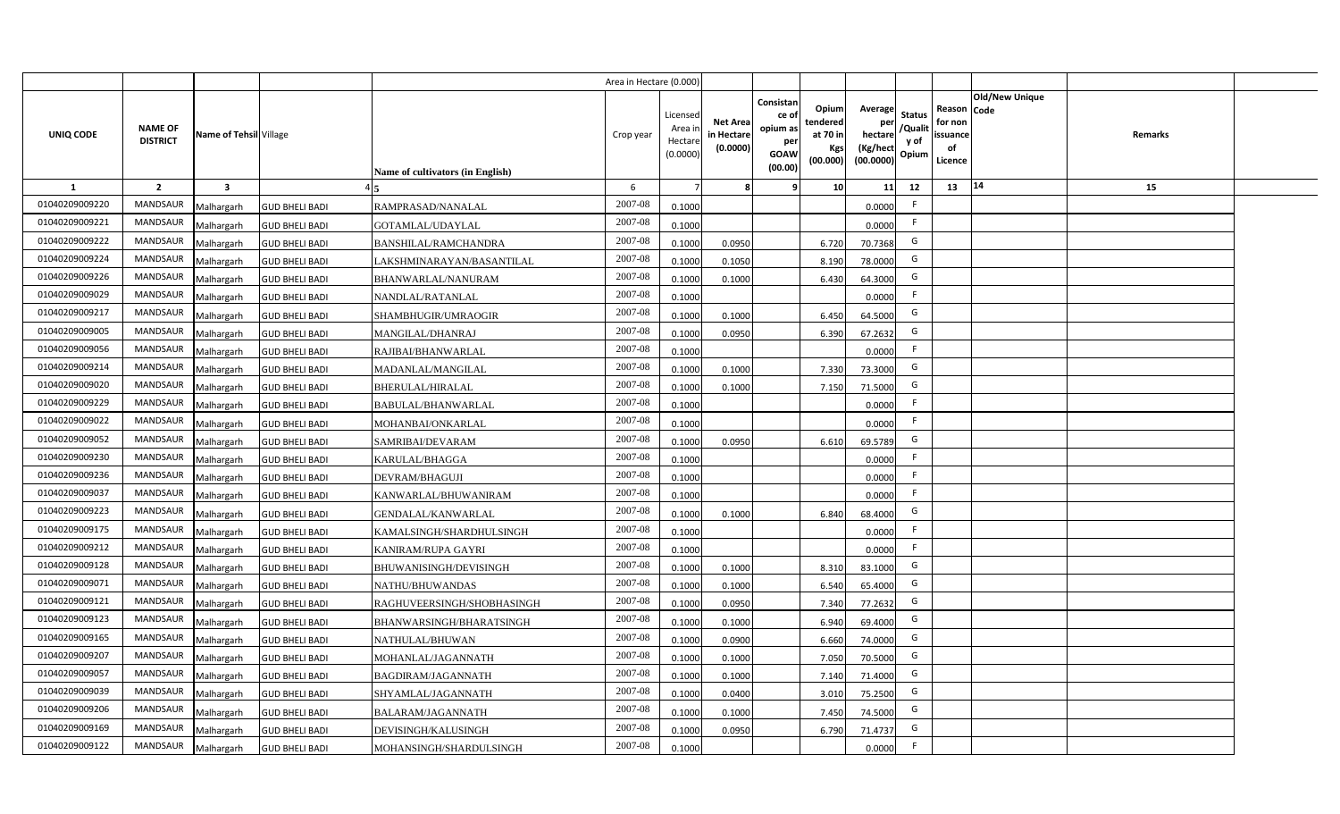|                |                                   |                         |                       |                                  | Area in Hectare (0.000 |                                          |                                           |                                                                 |                                                  |                                                    |                                           |                                                     |                |         |  |
|----------------|-----------------------------------|-------------------------|-----------------------|----------------------------------|------------------------|------------------------------------------|-------------------------------------------|-----------------------------------------------------------------|--------------------------------------------------|----------------------------------------------------|-------------------------------------------|-----------------------------------------------------|----------------|---------|--|
| UNIQ CODE      | <b>NAME OF</b><br><b>DISTRICT</b> | Name of Tehsil Village  |                       | Name of cultivators (in English) | Crop year              | Licensec<br>Area i<br>Hectar<br>(0.0000) | <b>Net Area</b><br>in Hectare<br>(0.0000) | Consistan<br>ce of<br>opium as<br>per<br><b>GOAW</b><br>(00.00) | Opium<br>tendered<br>at 70 in<br>Kgs<br>(00.000) | Average<br>per<br>hectare<br>(Kg/hect<br>(00.0000) | <b>Status</b><br>/Qualit<br>y of<br>Opium | Reason Code<br>for non<br>issuance<br>of<br>Licence | Old/New Unique | Remarks |  |
| 1              | $\overline{2}$                    | $\overline{\mathbf{3}}$ |                       |                                  | 6                      |                                          |                                           | 9                                                               | 10 <sup>1</sup>                                  | 11                                                 | 12                                        | 13                                                  | $\vert 14$     | 15      |  |
| 01040209009220 | MANDSAUR                          | Malhargarh              | <b>GUD BHELI BADI</b> | RAMPRASAD/NANALAL                | 2007-08                | 0.1000                                   |                                           |                                                                 |                                                  | 0.0000                                             | -F                                        |                                                     |                |         |  |
| 01040209009221 | MANDSAUR                          | Malhargarh              | <b>GUD BHELI BADI</b> | GOTAMLAL/UDAYLAL                 | 2007-08                | 0.1000                                   |                                           |                                                                 |                                                  | 0.0000                                             | F.                                        |                                                     |                |         |  |
| 01040209009222 | MANDSAUR                          | Malhargarh              | <b>GUD BHELI BADI</b> | <b>BANSHILAL/RAMCHANDRA</b>      | 2007-08                | 0.1000                                   | 0.0950                                    |                                                                 | 6.720                                            | 70.7368                                            | G                                         |                                                     |                |         |  |
| 01040209009224 | <b>MANDSAUR</b>                   | Malhargarh              | <b>GUD BHELI BADI</b> | LAKSHMINARAYAN/BASANTILAL        | 2007-08                | 0.100                                    | 0.1050                                    |                                                                 | 8.190                                            | 78.0000                                            | G                                         |                                                     |                |         |  |
| 01040209009226 | <b>MANDSAUR</b>                   | Malhargarh              | <b>GUD BHELI BADI</b> | BHANWARLAL/NANURAM               | 2007-08                | 0.1000                                   | 0.1000                                    |                                                                 | 6.430                                            | 64.3000                                            | G                                         |                                                     |                |         |  |
| 01040209009029 | MANDSAUR                          | Malhargarh              | <b>GUD BHELI BADI</b> | NANDLAL/RATANLAL                 | 2007-08                | 0.1000                                   |                                           |                                                                 |                                                  | 0.0000                                             | F.                                        |                                                     |                |         |  |
| 01040209009217 | <b>MANDSAUR</b>                   | Malhargarh              | <b>GUD BHELI BADI</b> | SHAMBHUGIR/UMRAOGIR              | 2007-08                | 0.1000                                   | 0.1000                                    |                                                                 | 6.450                                            | 64.5000                                            | G                                         |                                                     |                |         |  |
| 01040209009005 | MANDSAUR                          | Malhargarh              | <b>GUD BHELI BADI</b> | MANGILAL/DHANRAJ                 | 2007-08                | 0.1000                                   | 0.0950                                    |                                                                 | 6.390                                            | 67.2632                                            | G                                         |                                                     |                |         |  |
| 01040209009056 | <b>MANDSAUR</b>                   | Malhargarh              | <b>GUD BHELI BADI</b> | RAJIBAI/BHANWARLAL               | 2007-08                | 0.1000                                   |                                           |                                                                 |                                                  | 0.0000                                             | -F                                        |                                                     |                |         |  |
| 01040209009214 | <b>MANDSAUR</b>                   | Malhargarh              | <b>GUD BHELI BADI</b> | MADANLAL/MANGILAL                | 2007-08                | 0.100                                    | 0.1000                                    |                                                                 | 7.330                                            | 73.3000                                            | G                                         |                                                     |                |         |  |
| 01040209009020 | <b>MANDSAUR</b>                   | Malhargarh              | <b>GUD BHELI BADI</b> | BHERULAL/HIRALAL                 | 2007-08                | 0.1000                                   | 0.1000                                    |                                                                 | 7.150                                            | 71.5000                                            | G                                         |                                                     |                |         |  |
| 01040209009229 | <b>MANDSAUR</b>                   | Malhargarh              | <b>GUD BHELI BADI</b> | BABULAL/BHANWARLAL               | 2007-08                | 0.1000                                   |                                           |                                                                 |                                                  | 0.0000                                             |                                           |                                                     |                |         |  |
| 01040209009022 | <b>MANDSAUR</b>                   | Malhargarh              | <b>GUD BHELI BADI</b> | MOHANBAI/ONKARLAL                | 2007-08                | 0.1000                                   |                                           |                                                                 |                                                  | 0.0000                                             | -F                                        |                                                     |                |         |  |
| 01040209009052 | <b>MANDSAUR</b>                   | Malhargarh              | <b>GUD BHELI BADI</b> | SAMRIBAI/DEVARAM                 | 2007-08                | 0.1000                                   | 0.0950                                    |                                                                 | 6.610                                            | 69.5789                                            | G                                         |                                                     |                |         |  |
| 01040209009230 | <b>MANDSAUR</b>                   | Malhargarh              | <b>GUD BHELI BADI</b> | KARULAL/BHAGGA                   | 2007-08                | 0.1000                                   |                                           |                                                                 |                                                  | 0.0000                                             | F.                                        |                                                     |                |         |  |
| 01040209009236 | MANDSAUR                          | Malhargarh              | <b>GUD BHELI BADI</b> | DEVRAM/BHAGUJI                   | 2007-08                | 0.1000                                   |                                           |                                                                 |                                                  | 0.0000                                             | F.                                        |                                                     |                |         |  |
| 01040209009037 | <b>MANDSAUR</b>                   | Malhargarh              | <b>GUD BHELI BADI</b> | KANWARLAL/BHUWANIRAM             | 2007-08                | 0.1000                                   |                                           |                                                                 |                                                  | 0.0000                                             | -F                                        |                                                     |                |         |  |
| 01040209009223 | <b>MANDSAUR</b>                   | Malhargarh              | <b>GUD BHELI BADI</b> | GENDALAL/KANWARLAL               | 2007-08                | 0.100                                    | 0.1000                                    |                                                                 | 6.840                                            | 68.4000                                            | G                                         |                                                     |                |         |  |
| 01040209009175 | <b>MANDSAUR</b>                   | Malhargarh              | <b>GUD BHELI BADI</b> | KAMALSINGH/SHARDHULSINGH         | 2007-08                | 0.1000                                   |                                           |                                                                 |                                                  | 0.0000                                             | F.                                        |                                                     |                |         |  |
| 01040209009212 | <b>MANDSAUR</b>                   | Malhargarh              | <b>GUD BHELI BADI</b> | KANIRAM/RUPA GAYRI               | 2007-08                | 0.100                                    |                                           |                                                                 |                                                  | 0.0000                                             | F.                                        |                                                     |                |         |  |
| 01040209009128 | MANDSAUR                          | Malhargarh              | <b>GUD BHELI BADI</b> | BHUWANISINGH/DEVISINGH           | $2007 - 08$            | 0.100                                    | 0.1000                                    |                                                                 | 8.310                                            | 83.1000                                            | G                                         |                                                     |                |         |  |
| 01040209009071 | MANDSAUR                          | Malhargarh              | <b>GUD BHELI BADI</b> | NATHU/BHUWANDAS                  | 2007-08                | 0.1000                                   | 0.1000                                    |                                                                 | 6.540                                            | 65.4000                                            | G                                         |                                                     |                |         |  |
| 01040209009121 | <b>MANDSAUR</b>                   | Malhargarh              | <b>GUD BHELI BADI</b> | RAGHUVEERSINGH/SHOBHASINGH       | 2007-08                | 0.100                                    | 0.0950                                    |                                                                 | 7.340                                            | 77.2632                                            | G                                         |                                                     |                |         |  |
| 01040209009123 | MANDSAUR                          | Malhargarh              | <b>GUD BHELI BADI</b> | BHANWARSINGH/BHARATSINGH         | 2007-08                | 0.1000                                   | 0.1000                                    |                                                                 | 6.940                                            | 69.4000                                            | G                                         |                                                     |                |         |  |
| 01040209009165 | MANDSAUR                          | Malhargarh              | <b>GUD BHELI BADI</b> | NATHULAL/BHUWAN                  | 2007-08                | 0.1000                                   | 0.0900                                    |                                                                 | 6.660                                            | 74.0000                                            | G                                         |                                                     |                |         |  |
| 01040209009207 | MANDSAUR                          | Malhargarh              | <b>GUD BHELI BADI</b> | MOHANLAL/JAGANNATH               | 2007-08                | 0.1000                                   | 0.1000                                    |                                                                 | 7.050                                            | 70.5000                                            | G                                         |                                                     |                |         |  |
| 01040209009057 | MANDSAUR                          | Malhargarh              | <b>GUD BHELI BADI</b> | BAGDIRAM/JAGANNATH               | 2007-08                | 0.1000                                   | 0.1000                                    |                                                                 | 7.140                                            | 71.4000                                            | G                                         |                                                     |                |         |  |
| 01040209009039 | MANDSAUR                          | Malhargarh              | <b>GUD BHELI BADI</b> | SHYAMLAL/JAGANNATH               | 2007-08                | 0.1000                                   | 0.0400                                    |                                                                 | 3.010                                            | 75.2500                                            | G                                         |                                                     |                |         |  |
| 01040209009206 | MANDSAUR                          | Malhargarh              | <b>GUD BHELI BADI</b> | BALARAM/JAGANNATH                | 2007-08                | 0.1000                                   | 0.1000                                    |                                                                 | 7.450                                            | 74.5000                                            | G                                         |                                                     |                |         |  |
| 01040209009169 | MANDSAUR                          | Malhargarh              | <b>GUD BHELI BADI</b> | DEVISINGH/KALUSINGH              | 2007-08                | 0.1000                                   | 0.095                                     |                                                                 | 6.790                                            | 71.4737                                            | G                                         |                                                     |                |         |  |
| 01040209009122 | MANDSAUR                          | Malhargarh              | <b>GUD BHELI BADI</b> | MOHANSINGH/SHARDULSINGH          | 2007-08                | 0.1000                                   |                                           |                                                                 |                                                  | 0.0000                                             | -F                                        |                                                     |                |         |  |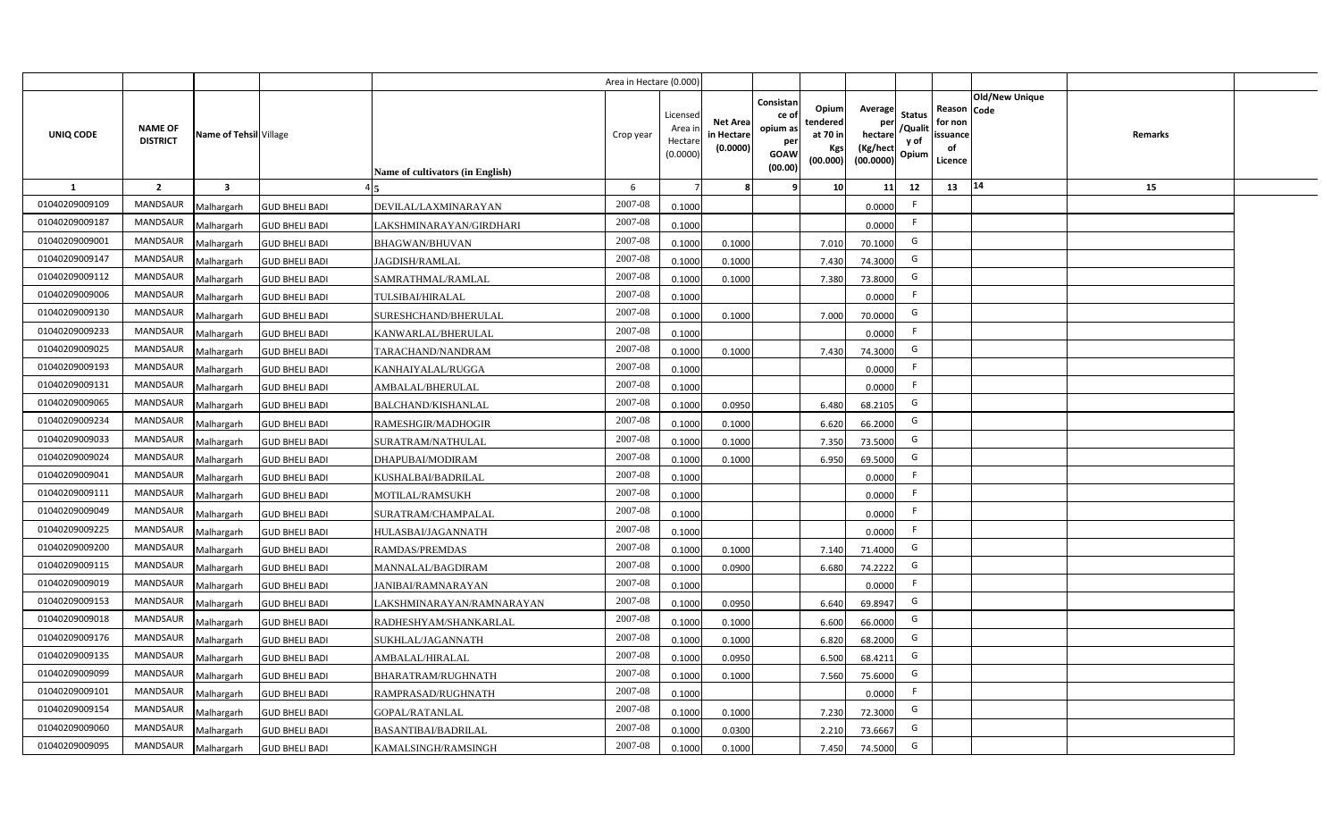|                |                                   |                         |                       |                                  | Area in Hectare (0.000) |                                           |                                           |                                                                                                                     |                                                    |                                           |                                                     |                       |         |  |
|----------------|-----------------------------------|-------------------------|-----------------------|----------------------------------|-------------------------|-------------------------------------------|-------------------------------------------|---------------------------------------------------------------------------------------------------------------------|----------------------------------------------------|-------------------------------------------|-----------------------------------------------------|-----------------------|---------|--|
| UNIQ CODE      | <b>NAME OF</b><br><b>DISTRICT</b> | Name of Tehsil Village  |                       | Name of cultivators (in English) | Crop year               | Licensed<br>Area i<br>Hectare<br>(0.0000) | <b>Net Area</b><br>in Hectare<br>(0.0000) | Consistan<br>Opium<br>ce of<br>tendered<br>opium as<br>at 70 in<br>per<br>Kgs<br><b>GOAW</b><br>(00.000)<br>(00.00) | Average<br>per<br>hectare<br>(Kg/hect<br>(00.0000) | <b>Status</b><br>/Qualit<br>y of<br>Opium | Reason Code<br>for non<br>issuance<br>of<br>Licence | <b>Old/New Unique</b> | Remarks |  |
| 1              | $\overline{2}$                    | $\overline{\mathbf{3}}$ |                       |                                  | 6                       |                                           |                                           | -9                                                                                                                  | 10 <sup>1</sup><br>11                              | 12                                        | 13                                                  | 14                    | 15      |  |
| 01040209009109 | <b>MANDSAUR</b>                   | Malhargarh              | <b>GUD BHELI BADI</b> | <b>DEVILAL/LAXMINARAYAN</b>      | 2007-08                 | 0.1000                                    |                                           |                                                                                                                     | 0.0000                                             | F                                         |                                                     |                       |         |  |
| 01040209009187 | MANDSAUR                          | Malhargarh              | <b>GUD BHELI BADI</b> | LAKSHMINARAYAN/GIRDHARI          | 2007-08                 | 0.1000                                    |                                           |                                                                                                                     | 0.0000                                             | F.                                        |                                                     |                       |         |  |
| 01040209009001 | <b>MANDSAUR</b>                   | Malhargarh              | <b>GUD BHELI BADI</b> | <b>BHAGWAN/BHUVAN</b>            | 2007-08                 | 0.1000                                    | 0.1000                                    | 7.010                                                                                                               | 70.1000                                            | G                                         |                                                     |                       |         |  |
| 01040209009147 | <b>MANDSAUR</b>                   | Malhargarh              | <b>GUD BHELI BADI</b> | <b>JAGDISH/RAMLAL</b>            | 2007-08                 | 0.1000                                    | 0.1000                                    | 7.430                                                                                                               | 74.3000                                            | G                                         |                                                     |                       |         |  |
| 01040209009112 | MANDSAUR                          | Malhargarh              | <b>GUD BHELI BADI</b> | SAMRATHMAL/RAMLAL                | 2007-08                 | 0.1000                                    | 0.1000                                    | 7.380                                                                                                               | 73.8000                                            | G                                         |                                                     |                       |         |  |
| 01040209009006 | <b>MANDSAUR</b>                   | Malhargarh              | <b>GUD BHELI BADI</b> | TULSIBAI/HIRALAL                 | 2007-08                 | 0.1000                                    |                                           |                                                                                                                     | 0.0000                                             | F                                         |                                                     |                       |         |  |
| 01040209009130 | <b>MANDSAUR</b>                   | Malhargarh              | <b>GUD BHELI BADI</b> | SURESHCHAND/BHERULAL             | 2007-08                 | 0.1000                                    | 0.1000                                    | 7.000                                                                                                               | 70.0000                                            | G                                         |                                                     |                       |         |  |
| 01040209009233 | MANDSAUR                          | Malhargarh              | <b>GUD BHELI BADI</b> | KANWARLAL/BHERULAL               | 2007-08                 | 0.1000                                    |                                           |                                                                                                                     | 0.0000                                             | F                                         |                                                     |                       |         |  |
| 01040209009025 | MANDSAUR                          | Malhargarh              | <b>GUD BHELI BADI</b> | TARACHAND/NANDRAM                | 2007-08                 | 0.1000                                    | 0.1000                                    | 7.430                                                                                                               | 74.3000                                            | G                                         |                                                     |                       |         |  |
| 01040209009193 | MANDSAUR                          | Malhargarh              | <b>GUD BHELI BADI</b> | KANHAIYALAL/RUGGA                | 2007-08                 | 0.1000                                    |                                           |                                                                                                                     | 0.0000                                             | F                                         |                                                     |                       |         |  |
| 01040209009131 | <b>MANDSAUR</b>                   | Malhargarh              | <b>GUD BHELI BADI</b> | AMBALAL/BHERULAL                 | 2007-08                 | 0.1000                                    |                                           |                                                                                                                     | 0.0000                                             | F.                                        |                                                     |                       |         |  |
| 01040209009065 | MANDSAUR                          | Malhargarh              | <b>GUD BHELI BADI</b> | <b>BALCHAND/KISHANLAL</b>        | 2007-08                 | 0.1000                                    | 0.0950                                    | 6.480                                                                                                               | 68.2105                                            | G                                         |                                                     |                       |         |  |
| 01040209009234 | <b>MANDSAUR</b>                   | Malhargarh              | <b>GUD BHELI BADI</b> | RAMESHGIR/MADHOGIR               | 2007-08                 | 0.1000                                    | 0.1000                                    | 6.620                                                                                                               | 66.2000                                            | G                                         |                                                     |                       |         |  |
| 01040209009033 | <b>MANDSAUR</b>                   | Malhargarh              | <b>GUD BHELI BADI</b> | SURATRAM/NATHULAL                | 2007-08                 | 0.1000                                    | 0.1000                                    | 7.350                                                                                                               | 73.5000                                            | G                                         |                                                     |                       |         |  |
| 01040209009024 | <b>MANDSAUR</b>                   | Malhargarh              | <b>GUD BHELI BADI</b> | DHAPUBAI/MODIRAM                 | 2007-08                 | 0.1000                                    | 0.1000                                    | 6.950                                                                                                               | 69.5000                                            | G                                         |                                                     |                       |         |  |
| 01040209009041 | MANDSAUR                          | Malhargarh              | <b>GUD BHELI BADI</b> | KUSHALBAI/BADRILAL               | 2007-08                 | 0.1000                                    |                                           |                                                                                                                     | 0.0000                                             | F.                                        |                                                     |                       |         |  |
| 01040209009111 | MANDSAUR                          | Malhargarh              | <b>GUD BHELI BADI</b> | MOTILAL/RAMSUKH                  | 2007-08                 | 0.1000                                    |                                           |                                                                                                                     | 0.0000                                             | F.                                        |                                                     |                       |         |  |
| 01040209009049 | <b>MANDSAUR</b>                   | Malhargarh              | <b>GUD BHELI BADI</b> | SURATRAM/CHAMPALAL               | 2007-08                 | 0.1000                                    |                                           |                                                                                                                     | 0.0000                                             | F                                         |                                                     |                       |         |  |
| 01040209009225 | MANDSAUR                          | Malhargarh              | <b>GUD BHELI BADI</b> | HULASBAI/JAGANNATH               | 2007-08                 | 0.1000                                    |                                           |                                                                                                                     | 0.0000                                             | F.                                        |                                                     |                       |         |  |
| 01040209009200 | <b>MANDSAUR</b>                   | Malhargarh              | <b>GUD BHELI BADI</b> | <b>RAMDAS/PREMDAS</b>            | 2007-08                 | 0.1000                                    | 0.1000                                    | 7.140                                                                                                               | 71.4000                                            | G                                         |                                                     |                       |         |  |
| 01040209009115 | MANDSAUR                          | Malhargarh              | <b>GUD BHELI BADI</b> | MANNALAL/BAGDIRAM                | 2007-08                 | 0.1000                                    | 0.0900                                    | 6.680                                                                                                               | 74.2222                                            | G                                         |                                                     |                       |         |  |
| 01040209009019 | <b>MANDSAUR</b>                   | Malhargarh              | <b>GUD BHELI BADI</b> | <b>JANIBAI/RAMNARAYAN</b>        | 2007-08                 | 0.1000                                    |                                           |                                                                                                                     | 0.0000                                             | F                                         |                                                     |                       |         |  |
| 01040209009153 | MANDSAUR                          | Malhargarh              | <b>GUD BHELI BADI</b> | LAKSHMINARAYAN/RAMNARAYAN        | 2007-08                 | 0.1000                                    | 0.0950                                    | 6.640                                                                                                               | 69.8947                                            | G                                         |                                                     |                       |         |  |
| 01040209009018 | <b>MANDSAUR</b>                   | Malhargarh              | <b>GUD BHELI BADI</b> | RADHESHYAM/SHANKARLAL            | 2007-08                 | 0.1000                                    | 0.1000                                    | 6.600                                                                                                               | 66.0000                                            | G                                         |                                                     |                       |         |  |
| 01040209009176 | <b>MANDSAUR</b>                   | Malhargarh              | <b>GUD BHELI BADI</b> | SUKHLAL/JAGANNATH                | 2007-08                 | 0.1000                                    | 0.1000                                    | 6.820                                                                                                               | 68.2000                                            | G                                         |                                                     |                       |         |  |
| 01040209009135 | MANDSAUR                          | Malhargarh              | <b>GUD BHELI BADI</b> | AMBALAL/HIRALAL                  | 2007-08                 | 0.1000                                    | 0.0950                                    | 6.500                                                                                                               | 68.4211                                            | G                                         |                                                     |                       |         |  |
| 01040209009099 | MANDSAUR                          | Malhargarh              | <b>GUD BHELI BADI</b> | BHARATRAM/RUGHNATH               | 2007-08                 | 0.1000                                    | 0.1000                                    | 7.560                                                                                                               | 75.6000                                            | G                                         |                                                     |                       |         |  |
| 01040209009101 | MANDSAUR                          | Malhargarh              | <b>GUD BHELI BADI</b> | RAMPRASAD/RUGHNATH               | 2007-08                 | 0.1000                                    |                                           |                                                                                                                     | 0.0000                                             | F                                         |                                                     |                       |         |  |
| 01040209009154 | MANDSAUR                          | Malhargarh              | <b>GUD BHELI BADI</b> | <b>GOPAL/RATANLAL</b>            | 2007-08                 | 0.1000                                    | 0.1000                                    | 7.230                                                                                                               | 72.3000                                            | G                                         |                                                     |                       |         |  |
| 01040209009060 | MANDSAUR                          | Malhargarh              | <b>GUD BHELI BADI</b> | <b>BASANTIBAI/BADRILAL</b>       | 2007-08                 | 0.1000                                    | 0.0300                                    | 2.210                                                                                                               | 73.6667                                            | G                                         |                                                     |                       |         |  |
| 01040209009095 | MANDSAUR                          | Malhargarh              | <b>GUD BHELI BADI</b> | KAMALSINGH/RAMSINGH              | 2007-08                 | 0.1000                                    | 0.1000                                    | 7.450                                                                                                               | 74.5000                                            | G                                         |                                                     |                       |         |  |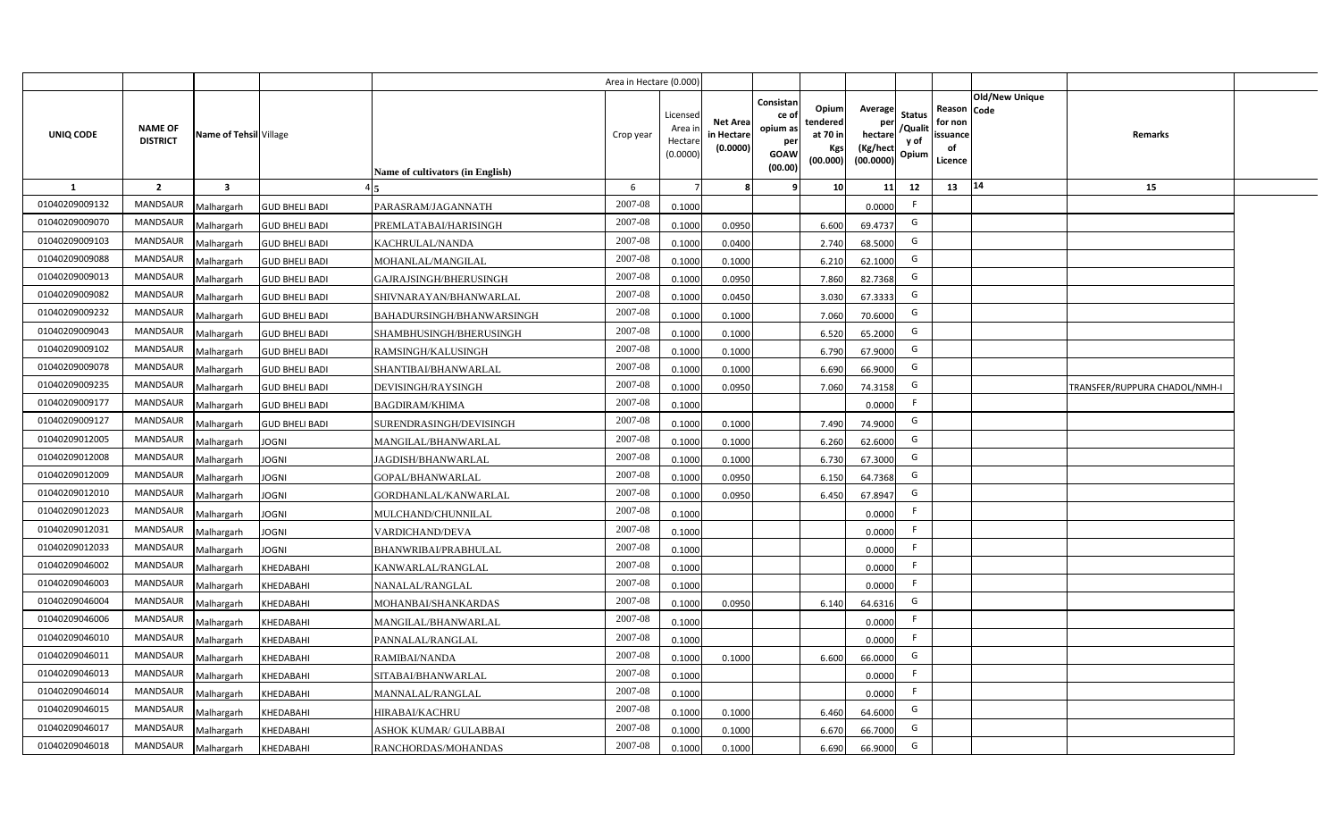|                |                                   |                         |                       |                                  | Area in Hectare (0.000 |                                          |                                          |                                                                 |                                                  |                                                    |                                           |                                                     |                |                               |  |
|----------------|-----------------------------------|-------------------------|-----------------------|----------------------------------|------------------------|------------------------------------------|------------------------------------------|-----------------------------------------------------------------|--------------------------------------------------|----------------------------------------------------|-------------------------------------------|-----------------------------------------------------|----------------|-------------------------------|--|
| UNIQ CODE      | <b>NAME OF</b><br><b>DISTRICT</b> | Name of Tehsil Village  |                       | Name of cultivators (in English) | Crop year              | Licensec<br>Area i<br>Hectar<br>(0.0000) | <b>Net Area</b><br>in Hectar<br>(0.0000) | Consistan<br>ce of<br>opium as<br>per<br><b>GOAW</b><br>(00.00) | Opium<br>tendered<br>at 70 in<br>Kgs<br>(00.000) | Average<br>per<br>hectare<br>(Kg/hect<br>(00.0000) | <b>Status</b><br>/Qualit<br>y of<br>Opium | Reason Code<br>for non<br>issuance<br>of<br>Licence | Old/New Unique | Remarks                       |  |
| 1              | $\overline{2}$                    | $\overline{\mathbf{3}}$ |                       |                                  | 6                      |                                          |                                          | 9                                                               | 10 <sup>1</sup>                                  | 11                                                 | 12                                        | 13                                                  | 14             | 15                            |  |
| 01040209009132 | <b>MANDSAUR</b>                   | Malhargarh              | <b>GUD BHELI BADI</b> | PARASRAM/JAGANNATH               | 2007-08                | 0.1000                                   |                                          |                                                                 |                                                  | 0.0000                                             | -F                                        |                                                     |                |                               |  |
| 01040209009070 | MANDSAUR                          | Malhargarh              | <b>GUD BHELI BADI</b> | PREMLATABAI/HARISINGH            | 2007-08                | 0.1000                                   | 0.0950                                   |                                                                 | 6.600                                            | 69.4737                                            | G                                         |                                                     |                |                               |  |
| 01040209009103 | <b>MANDSAUR</b>                   | Malhargarh              | <b>GUD BHELI BADI</b> | KACHRULAL/NANDA                  | 2007-08                | 0.1000                                   | 0.0400                                   |                                                                 | 2.740                                            | 68.5000                                            | G                                         |                                                     |                |                               |  |
| 01040209009088 | <b>MANDSAUR</b>                   | Malhargarh              | <b>GUD BHELI BADI</b> | MOHANLAL/MANGILAL                | 2007-08                | 0.100                                    | 0.1000                                   |                                                                 | 6.210                                            | 62.1000                                            | G                                         |                                                     |                |                               |  |
| 01040209009013 | MANDSAUR                          | Malhargarh              | <b>GUD BHELI BADI</b> | GAJRAJSINGH/BHERUSINGH           | 2007-08                | 0.1000                                   | 0.0950                                   |                                                                 | 7.860                                            | 82.7368                                            | G                                         |                                                     |                |                               |  |
| 01040209009082 | <b>MANDSAUR</b>                   | Malhargarh              | <b>GUD BHELI BADI</b> | SHIVNARAYAN/BHANWARLAL           | 2007-08                | 0.1000                                   | 0.0450                                   |                                                                 | 3.030                                            | 67.3333                                            | G                                         |                                                     |                |                               |  |
| 01040209009232 | <b>MANDSAUR</b>                   | Malhargarh              | <b>GUD BHELI BADI</b> | BAHADURSINGH/BHANWARSINGH        | 2007-08                | 0.1000                                   | 0.1000                                   |                                                                 | 7.060                                            | 70.6000                                            | G                                         |                                                     |                |                               |  |
| 01040209009043 | MANDSAUR                          | Malhargarh              | <b>GUD BHELI BADI</b> | SHAMBHUSINGH/BHERUSINGH          | 2007-08                | 0.1000                                   | 0.1000                                   |                                                                 | 6.520                                            | 65.2000                                            | G                                         |                                                     |                |                               |  |
| 01040209009102 | MANDSAUR                          | Malhargarh              | <b>GUD BHELI BADI</b> | RAMSINGH/KALUSINGH               | 2007-08                | 0.100                                    | 0.1000                                   |                                                                 | 6.790                                            | 67.9000                                            | G                                         |                                                     |                |                               |  |
| 01040209009078 | MANDSAUR                          | Malhargarh              | <b>GUD BHELI BADI</b> | SHANTIBAI/BHANWARLAL             | 2007-08                | 0.1000                                   | 0.1000                                   |                                                                 | 6.690                                            | 66.9000                                            | G                                         |                                                     |                |                               |  |
| 01040209009235 | MANDSAUR                          | Malhargarh              | <b>GUD BHELI BADI</b> | DEVISINGH/RAYSINGH               | 2007-08                | 0.1000                                   | 0.0950                                   |                                                                 | 7.060                                            | 74.3158                                            | G                                         |                                                     |                | TRANSFER/RUPPURA CHADOL/NMH-I |  |
| 01040209009177 | <b>MANDSAUR</b>                   | Malhargarh              | <b>GUD BHELI BADI</b> | <b>BAGDIRAM/KHIMA</b>            | 2007-08                | 0.1000                                   |                                          |                                                                 |                                                  | 0.0000                                             | F.                                        |                                                     |                |                               |  |
| 01040209009127 | <b>MANDSAUR</b>                   | Malhargarh              | <b>GUD BHELI BADI</b> | SURENDRASINGH/DEVISINGH          | 2007-08                | 0.1000                                   | 0.1000                                   |                                                                 | 7.490                                            | 74.9000                                            | G                                         |                                                     |                |                               |  |
| 01040209012005 | <b>MANDSAUR</b>                   | Malhargarh              | <b>JOGNI</b>          | MANGILAL/BHANWARLAL              | 2007-08                | 0.1000                                   | 0.1000                                   |                                                                 | 6.260                                            | 62.6000                                            | G                                         |                                                     |                |                               |  |
| 01040209012008 | <b>MANDSAUR</b>                   | Malhargarh              | <b>JOGNI</b>          | JAGDISH/BHANWARLAL               | 2007-08                | 0.1000                                   | 0.1000                                   |                                                                 | 6.730                                            | 67.3000                                            | G                                         |                                                     |                |                               |  |
| 01040209012009 | <b>MANDSAUR</b>                   | Malhargarh              | <b>JOGNI</b>          | GOPAL/BHANWARLAL                 | 2007-08                | 0.1000                                   | 0.0950                                   |                                                                 | 6.150                                            | 64.7368                                            | G                                         |                                                     |                |                               |  |
| 01040209012010 | <b>MANDSAUR</b>                   | Malhargarh              | <b>JOGNI</b>          | GORDHANLAL/KANWARLAL             | 2007-08                | 0.1000                                   | 0.0950                                   |                                                                 | 6.450                                            | 67.8947                                            | G                                         |                                                     |                |                               |  |
| 01040209012023 | <b>MANDSAUR</b>                   | Malhargarh              | <b>JOGNI</b>          | MULCHAND/CHUNNILAL               | 2007-08                | 0.1000                                   |                                          |                                                                 |                                                  | 0.0000                                             | F.                                        |                                                     |                |                               |  |
| 01040209012031 | <b>MANDSAUR</b>                   | Malhargarh              | <b>JOGNI</b>          | VARDICHAND/DEVA                  | 2007-08                | 0.100                                    |                                          |                                                                 |                                                  | 0.0000                                             | F.                                        |                                                     |                |                               |  |
| 01040209012033 | <b>MANDSAUR</b>                   | Malhargarh              | <b>JOGNI</b>          | BHANWRIBAI/PRABHULAL             | 2007-08                | 0.1000                                   |                                          |                                                                 |                                                  | 0.0000                                             | F.                                        |                                                     |                |                               |  |
| 01040209046002 | <b>MANDSAUR</b>                   | Malhargarh              | KHEDABAHI             | KANWARLAL/RANGLAL                | 2007-08                | 0.1000                                   |                                          |                                                                 |                                                  | 0.0000                                             | -F                                        |                                                     |                |                               |  |
| 01040209046003 | <b>MANDSAUR</b>                   | Malhargarh              | KHEDABAHI             | NANALAL/RANGLAL                  | 2007-08                | 0.100                                    |                                          |                                                                 |                                                  | 0.0000                                             | -F                                        |                                                     |                |                               |  |
| 01040209046004 | <b>MANDSAUR</b>                   | Malhargarh              | KHEDABAHI             | MOHANBAI/SHANKARDAS              | 2007-08                | 0.100                                    | 0.0950                                   |                                                                 | 6.140                                            | 64.6316                                            | G                                         |                                                     |                |                               |  |
| 01040209046006 | <b>MANDSAUR</b>                   | Malhargarh              | KHEDABAHI             | MANGILAL/BHANWARLAL              | 2007-08                | 0.100                                    |                                          |                                                                 |                                                  | 0.0000                                             | -F                                        |                                                     |                |                               |  |
| 01040209046010 | <b>MANDSAUR</b>                   | Malhargarh              | KHEDABAHI             | PANNALAL/RANGLAL                 | 2007-08                | 0.1000                                   |                                          |                                                                 |                                                  | 0.0000                                             | -F                                        |                                                     |                |                               |  |
| 01040209046011 | MANDSAUR                          | Malhargarh              | KHEDABAHI             | RAMIBAI/NANDA                    | 2007-08                | 0.1000                                   | 0.1000                                   |                                                                 | 6.600                                            | 66,0000                                            | G                                         |                                                     |                |                               |  |
| 01040209046013 | MANDSAUR                          | Malhargarh              | KHEDABAHI             | SITABAI/BHANWARLAL               | 2007-08                | 0.1000                                   |                                          |                                                                 |                                                  | 0.0000                                             | F                                         |                                                     |                |                               |  |
| 01040209046014 | MANDSAUR                          | Malhargarh              | KHEDABAHI             | <b>MANNALAL/RANGLAL</b>          | 2007-08                | 0.1000                                   |                                          |                                                                 |                                                  | 0.0000                                             | F                                         |                                                     |                |                               |  |
| 01040209046015 | MANDSAUR                          | Malhargarh              | KHEDABAHI             | <b>HIRABAI/KACHRU</b>            | 2007-08                | 0.1000                                   | 0.1000                                   |                                                                 | 6.460                                            | 64.6000                                            | G                                         |                                                     |                |                               |  |
| 01040209046017 | MANDSAUR                          | Malhargarh              | KHEDABAHI             | ASHOK KUMAR/ GULABBAI            | 2007-08                | 0.1000                                   | 0.1000                                   |                                                                 | 6.670                                            | 66.7000                                            | G                                         |                                                     |                |                               |  |
| 01040209046018 | MANDSAUR                          | Malhargarh              | KHEDABAHI             | RANCHORDAS/MOHANDAS              | 2007-08                | 0.1000                                   | 0.1000                                   |                                                                 | 6.690                                            | 66.9000                                            | G                                         |                                                     |                |                               |  |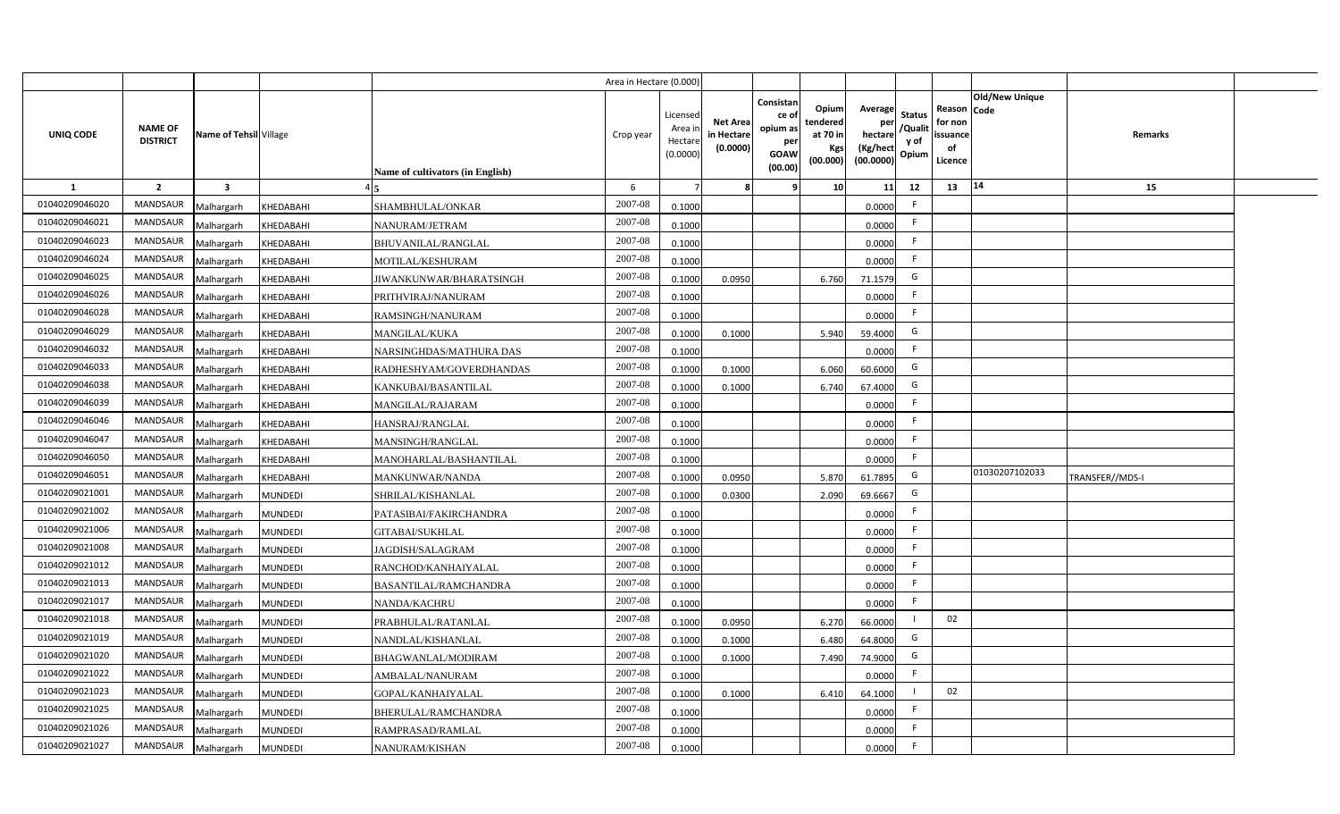|                |                                   |                         |                |                                  | Area in Hectare (0.000) |                                          |                                           |                                                         |                                                          |                                                            |                                  |                                                     |                       |                 |  |
|----------------|-----------------------------------|-------------------------|----------------|----------------------------------|-------------------------|------------------------------------------|-------------------------------------------|---------------------------------------------------------|----------------------------------------------------------|------------------------------------------------------------|----------------------------------|-----------------------------------------------------|-----------------------|-----------------|--|
| UNIQ CODE      | <b>NAME OF</b><br><b>DISTRICT</b> | Name of Tehsil Village  |                | Name of cultivators (in English) | Crop year               | Licensed<br>Area i<br>Hectar<br>(0.0000) | <b>Net Area</b><br>in Hectare<br>(0.0000) | Consistan<br>ce o<br>opium as<br>per<br>GOAW<br>(00.00) | Opiuml<br>tendered<br>at 70 in<br><b>Kgs</b><br>(00.000) | Average<br>per<br>hectare<br>(Kg/hect<br>$(00.0000)$ Opium | <b>Status</b><br>/Qualit<br>y of | Reason Code<br>for non<br>issuance<br>of<br>Licence | <b>Old/New Unique</b> | <b>Remarks</b>  |  |
| <b>1</b>       | $\overline{2}$                    | $\overline{\mathbf{3}}$ |                |                                  | 6                       |                                          |                                           |                                                         | 10                                                       | 11                                                         | 12                               | 13                                                  | 14                    | 15              |  |
| 01040209046020 | <b>MANDSAUR</b>                   | Malhargarh              | KHEDABAHI      | SHAMBHULAL/ONKAR                 | 2007-08                 | 0.1000                                   |                                           |                                                         |                                                          | 0.0000                                                     | F.                               |                                                     |                       |                 |  |
| 01040209046021 | <b>MANDSAUR</b>                   | Malhargarh              | KHEDABAHI      | NANURAM/JETRAM                   | 2007-08                 | 0.1000                                   |                                           |                                                         |                                                          | 0.0000                                                     | F.                               |                                                     |                       |                 |  |
| 01040209046023 | <b>MANDSAUR</b>                   | Malhargarh              | KHEDABAHI      | <b>BHUVANILAL/RANGLAL</b>        | 2007-08                 | 0.1000                                   |                                           |                                                         |                                                          | 0.0000                                                     | F.                               |                                                     |                       |                 |  |
| 01040209046024 | <b>MANDSAUR</b>                   | Malhargarh              | KHEDABAHI      | MOTILAL/KESHURAM                 | 2007-08                 | 0.1000                                   |                                           |                                                         |                                                          | 0.0000                                                     | F.                               |                                                     |                       |                 |  |
| 01040209046025 | <b>MANDSAUR</b>                   | Malhargarh              | KHEDABAHI      | JIWANKUNWAR/BHARATSINGH          | 2007-08                 | 0.1000                                   | 0.0950                                    |                                                         | 6.760                                                    | 71.1579                                                    | G                                |                                                     |                       |                 |  |
| 01040209046026 | <b>MANDSAUR</b>                   | Malhargarh              | KHEDABAHI      | PRITHVIRAJ/NANURAM               | 2007-08                 | 0.1000                                   |                                           |                                                         |                                                          | 0.0000                                                     | F.                               |                                                     |                       |                 |  |
| 01040209046028 | <b>MANDSAUR</b>                   | Malhargarh              | KHEDABAHI      | RAMSINGH/NANURAM                 | 2007-08                 | 0.1000                                   |                                           |                                                         |                                                          | 0.0000                                                     | F.                               |                                                     |                       |                 |  |
| 01040209046029 | <b>MANDSAUR</b>                   | Malhargarh              | KHEDABAHI      | <b>MANGILAL/KUKA</b>             | 2007-08                 | 0.1000                                   | 0.1000                                    |                                                         | 5.940                                                    | 59.4000                                                    | G                                |                                                     |                       |                 |  |
| 01040209046032 | <b>MANDSAUR</b>                   | Malhargarh              | KHEDABAHI      | NARSINGHDAS/MATHURA DAS          | 2007-08                 | 0.1000                                   |                                           |                                                         |                                                          | 0.0000                                                     | F.                               |                                                     |                       |                 |  |
| 01040209046033 | <b>MANDSAUR</b>                   | Malhargarh              | KHEDABAHI      | RADHESHYAM/GOVERDHANDAS          | 2007-08                 | 0.1000                                   | 0.1000                                    |                                                         | 6.060                                                    | 60.6000                                                    | G                                |                                                     |                       |                 |  |
| 01040209046038 | <b>MANDSAUR</b>                   | Malhargarh              | KHEDABAHI      | KANKUBAI/BASANTILAL              | 2007-08                 | 0.1000                                   | 0.1000                                    |                                                         | 6.740                                                    | 67.4000                                                    | G                                |                                                     |                       |                 |  |
| 01040209046039 | MANDSAUR                          | Malhargarh              | KHEDABAHI      | MANGILAL/RAJARAM                 | 2007-08                 | 0.1000                                   |                                           |                                                         |                                                          | 0.0000                                                     | F.                               |                                                     |                       |                 |  |
| 01040209046046 | <b>MANDSAUR</b>                   | Malhargarh              | KHEDABAHI      | HANSRAJ/RANGLAL                  | 2007-08                 | 0.1000                                   |                                           |                                                         |                                                          | 0.0000                                                     | F.                               |                                                     |                       |                 |  |
| 01040209046047 | <b>MANDSAUR</b>                   | Malhargarh              | KHEDABAHI      | MANSINGH/RANGLAL                 | 2007-08                 | 0.1000                                   |                                           |                                                         |                                                          | 0.0000                                                     | F.                               |                                                     |                       |                 |  |
| 01040209046050 | <b>MANDSAUR</b>                   | Malhargarh              | KHEDABAHI      | MANOHARLAL/BASHANTILAL           | 2007-08                 | 0.1000                                   |                                           |                                                         |                                                          | 0.0000                                                     | F.                               |                                                     |                       |                 |  |
| 01040209046051 | <b>MANDSAUR</b>                   | Malhargarh              | KHEDABAHI      | MANKUNWAR/NANDA                  | 2007-08                 | 0.1000                                   | 0.0950                                    |                                                         | 5.870                                                    | 61.7895                                                    | G                                |                                                     | 01030207102033        | TRANSFER//MDS-I |  |
| 01040209021001 | <b>MANDSAUR</b>                   | Malhargarh              | MUNDEDI        | SHRILAL/KISHANLAL                | 2007-08                 | 0.1000                                   | 0.0300                                    |                                                         | 2.090                                                    | 69.6667                                                    | G                                |                                                     |                       |                 |  |
| 01040209021002 | <b>MANDSAUR</b>                   | Malhargarh              | MUNDEDI        | PATASIBAI/FAKIRCHANDRA           | 2007-08                 | 0.1000                                   |                                           |                                                         |                                                          | 0.0000                                                     | F.                               |                                                     |                       |                 |  |
| 01040209021006 | <b>MANDSAUR</b>                   | Malhargarh              | MUNDEDI        | GITABAI/SUKHLAL                  | 2007-08                 | 0.1000                                   |                                           |                                                         |                                                          | 0.0000                                                     | F.                               |                                                     |                       |                 |  |
| 01040209021008 | MANDSAUR                          | Malhargarh              | MUNDEDI        | JAGDISH/SALAGRAM                 | 2007-08                 | 0.1000                                   |                                           |                                                         |                                                          | 0.0000                                                     | F.                               |                                                     |                       |                 |  |
| 01040209021012 | MANDSAUR                          | Malhargarh              | MUNDEDI        | RANCHOD/KANHAIYALAL              | 2007-08                 | 0.1000                                   |                                           |                                                         |                                                          | 0.0000                                                     | F                                |                                                     |                       |                 |  |
| 01040209021013 | <b>MANDSAUR</b>                   | Malhargarh              | MUNDEDI        | <b>BASANTILAL/RAMCHANDRA</b>     | 2007-08                 | 0.1000                                   |                                           |                                                         |                                                          | 0.0000                                                     | F.                               |                                                     |                       |                 |  |
| 01040209021017 | <b>MANDSAUR</b>                   | Malhargarh              | MUNDEDI        | NANDA/KACHRU                     | 2007-08                 | 0.1000                                   |                                           |                                                         |                                                          | 0.0000                                                     | F.                               |                                                     |                       |                 |  |
| 01040209021018 | <b>MANDSAUR</b>                   | Malhargarh              | MUNDEDI        | PRABHULAL/RATANLAL               | 2007-08                 | 0.1000                                   | 0.0950                                    |                                                         | 6.270                                                    | 66.0000                                                    |                                  | 02                                                  |                       |                 |  |
| 01040209021019 | <b>MANDSAUR</b>                   | Malhargarh              | MUNDEDI        | NANDLAL/KISHANLAL                | 2007-08                 | 0.1000                                   | 0.1000                                    |                                                         | 6.480                                                    | 64.8000                                                    | G                                |                                                     |                       |                 |  |
| 01040209021020 | <b>MANDSAUR</b>                   | Malhargarh              | MUNDEDI        | BHAGWANLAL/MODIRAM               | 2007-08                 | 0.100                                    | 0.1000                                    |                                                         | 7.490                                                    | 74.9000                                                    | G                                |                                                     |                       |                 |  |
| 01040209021022 | <b>MANDSAUR</b>                   | Malhargarh              | MUNDEDI        | AMBALAL/NANURAM                  | 2007-08                 | 0.1000                                   |                                           |                                                         |                                                          | 0.0000                                                     | F.                               |                                                     |                       |                 |  |
| 01040209021023 | <b>MANDSAUR</b>                   | Malhargarh              | MUNDEDI        | GOPAL/KANHAIYALAL                | 2007-08                 | 0.1000                                   | 0.1000                                    |                                                         | 6.410                                                    | 64.1000                                                    |                                  | 02                                                  |                       |                 |  |
| 01040209021025 | <b>MANDSAUR</b>                   | Malhargarh              | MUNDEDI        | BHERULAL/RAMCHANDRA              | 2007-08                 | 0.1000                                   |                                           |                                                         |                                                          | 0.0000                                                     | F.                               |                                                     |                       |                 |  |
| 01040209021026 | MANDSAUR                          | Malhargarh              | MUNDEDI        | RAMPRASAD/RAMLAL                 | 2007-08                 | 0.1000                                   |                                           |                                                         |                                                          | 0.0000                                                     | F                                |                                                     |                       |                 |  |
| 01040209021027 | MANDSAUR                          | Malhargarh              | <b>MUNDEDI</b> | NANURAM/KISHAN                   | 2007-08                 | 0.1000                                   |                                           |                                                         |                                                          | 0.0000                                                     | F                                |                                                     |                       |                 |  |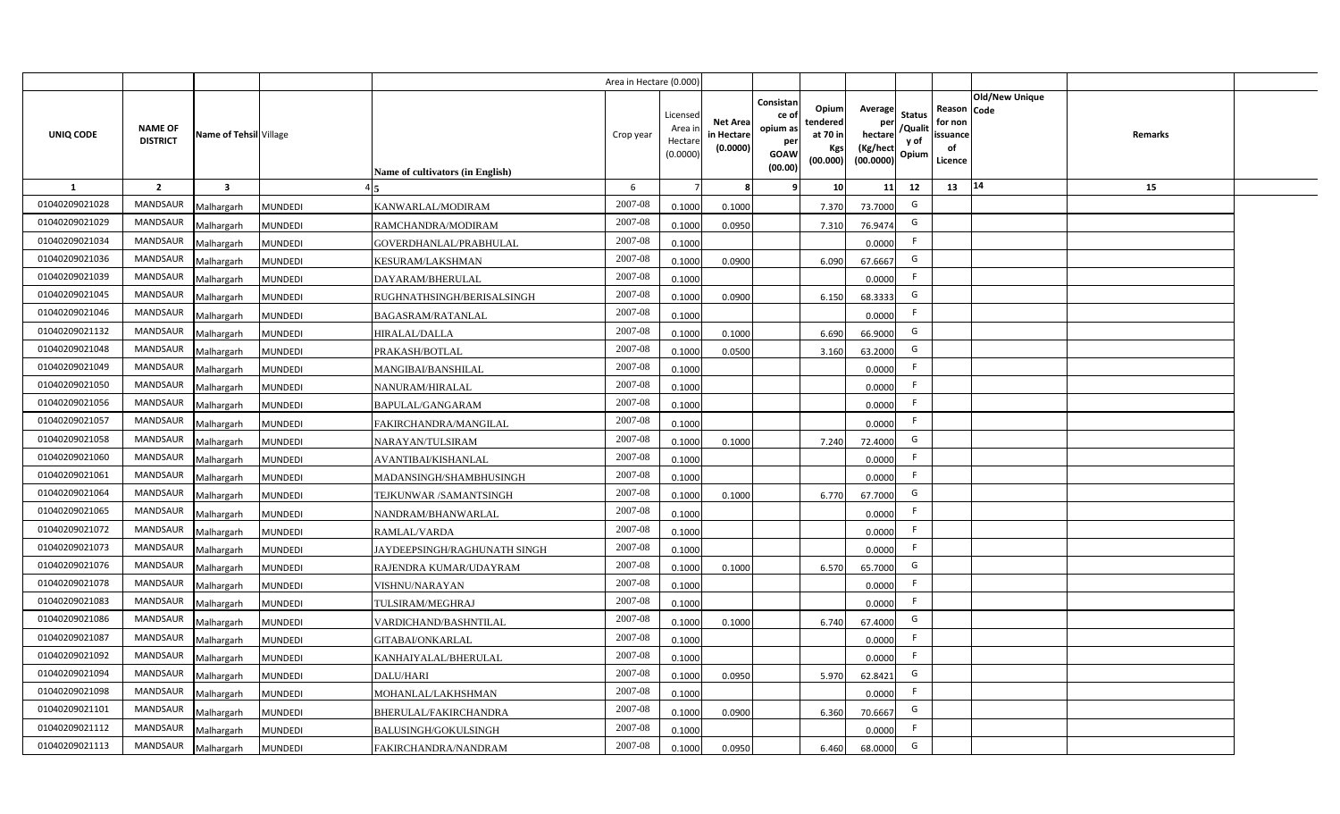|                  |                                   |                         |                |                                  | Area in Hectare (0.000 |                                          |                                           |                                                                 |                                                  |                                                    |                                           |                                                     |                       |         |  |
|------------------|-----------------------------------|-------------------------|----------------|----------------------------------|------------------------|------------------------------------------|-------------------------------------------|-----------------------------------------------------------------|--------------------------------------------------|----------------------------------------------------|-------------------------------------------|-----------------------------------------------------|-----------------------|---------|--|
| <b>UNIQ CODE</b> | <b>NAME OF</b><br><b>DISTRICT</b> | Name of Tehsil Village  |                | Name of cultivators (in English) | Crop year              | Licensed<br>Area i<br>Hectar<br>(0.0000) | <b>Net Area</b><br>in Hectare<br>(0.0000) | Consistan<br>ce of<br>opium as<br>per<br><b>GOAW</b><br>(00.00) | Opium<br>tendered<br>at 70 in<br>Kgs<br>(00.000) | Average<br>per<br>hectare<br>(Kg/hect<br>(00.0000) | <b>Status</b><br>/Qualit<br>y of<br>Opium | Reason Code<br>for non<br>issuance<br>of<br>Licence | <b>Old/New Unique</b> | Remarks |  |
| 1                | $\overline{2}$                    | $\overline{\mathbf{3}}$ |                |                                  | 6                      |                                          |                                           | <b>q</b>                                                        | 10                                               | 11                                                 | 12                                        | 13                                                  | 14                    | 15      |  |
| 01040209021028   | <b>MANDSAUR</b>                   | Malhargarh              | <b>MUNDEDI</b> | KANWARLAL/MODIRAM                | 2007-08                | 0.100                                    | 0.1000                                    |                                                                 | 7.370                                            | 73.7000                                            | G                                         |                                                     |                       |         |  |
| 01040209021029   | <b>MANDSAUR</b>                   | Malhargarh              | <b>MUNDEDI</b> | RAMCHANDRA/MODIRAM               | 2007-08                | 0.100                                    | 0.0950                                    |                                                                 | 7.310                                            | 76.9474                                            | G                                         |                                                     |                       |         |  |
| 01040209021034   | MANDSAUR                          | Malhargarh              | <b>MUNDEDI</b> | GOVERDHANLAL/PRABHULAL           | 2007-08                | 0.1000                                   |                                           |                                                                 |                                                  | 0.0000                                             | E                                         |                                                     |                       |         |  |
| 01040209021036   | MANDSAUR                          | Malhargarh              | <b>MUNDEDI</b> | KESURAM/LAKSHMAN                 | 2007-08                | 0.100                                    | 0.0900                                    |                                                                 | 6.090                                            | 67.6667                                            | G                                         |                                                     |                       |         |  |
| 01040209021039   | <b>MANDSAUR</b>                   | Malhargarh              | <b>MUNDEDI</b> | DAYARAM/BHERULAL                 | 2007-08                | 0.1000                                   |                                           |                                                                 |                                                  | 0.0000                                             | -F                                        |                                                     |                       |         |  |
| 01040209021045   | <b>MANDSAUR</b>                   | Malhargarh              | <b>MUNDEDI</b> | RUGHNATHSINGH/BERISALSINGH       | 2007-08                | 0.1000                                   | 0.0900                                    |                                                                 | 6.150                                            | 68.3333                                            | G                                         |                                                     |                       |         |  |
| 01040209021046   | MANDSAUR                          | Malhargarh              | <b>MUNDEDI</b> | <b>BAGASRAM/RATANLAL</b>         | 2007-08                | 0.1000                                   |                                           |                                                                 |                                                  | 0.0000                                             | F.                                        |                                                     |                       |         |  |
| 01040209021132   | MANDSAUR                          | Malhargarh              | <b>MUNDEDI</b> | HIRALAL/DALLA                    | 2007-08                | 0.1000                                   | 0.1000                                    |                                                                 | 6.690                                            | 66.9000                                            | G                                         |                                                     |                       |         |  |
| 01040209021048   | <b>MANDSAUR</b>                   | Malhargarh              | <b>MUNDEDI</b> | PRAKASH/BOTLAL                   | 2007-08                | 0.1000                                   | 0.0500                                    |                                                                 | 3.160                                            | 63.2000                                            | G                                         |                                                     |                       |         |  |
| 01040209021049   | <b>MANDSAUR</b>                   | Malhargarh              | <b>MUNDEDI</b> | MANGIBAI/BANSHILAL               | 2007-08                | 0.1000                                   |                                           |                                                                 |                                                  | 0.0000                                             |                                           |                                                     |                       |         |  |
| 01040209021050   | <b>MANDSAUR</b>                   | Malhargarh              | <b>MUNDEDI</b> | NANURAM/HIRALAL                  | 2007-08                | 0.1000                                   |                                           |                                                                 |                                                  | 0.0000                                             | -F                                        |                                                     |                       |         |  |
| 01040209021056   | <b>MANDSAUR</b>                   | Malhargarh              | <b>MUNDEDI</b> | BAPULAL/GANGARAM                 | 2007-08                | 0.1000                                   |                                           |                                                                 |                                                  | 0.0000                                             | -F                                        |                                                     |                       |         |  |
| 01040209021057   | <b>MANDSAUR</b>                   | Malhargarh              | <b>MUNDEDI</b> | FAKIRCHANDRA/MANGILAL            | 2007-08                | 0.1000                                   |                                           |                                                                 |                                                  | 0.0000                                             | E                                         |                                                     |                       |         |  |
| 01040209021058   | <b>MANDSAUR</b>                   | Malhargarh              | <b>MUNDEDI</b> | NARAYAN/TULSIRAM                 | 2007-08                | 0.1000                                   | 0.1000                                    |                                                                 | 7.240                                            | 72.4000                                            | G                                         |                                                     |                       |         |  |
| 01040209021060   | <b>MANDSAUR</b>                   | Malhargarh              | <b>MUNDEDI</b> | AVANTIBAI/KISHANLAL              | 2007-08                | 0.1000                                   |                                           |                                                                 |                                                  | 0.0000                                             | E                                         |                                                     |                       |         |  |
| 01040209021061   | <b>MANDSAUR</b>                   | Malhargarh              | <b>MUNDEDI</b> | MADANSINGH/SHAMBHUSINGH          | 2007-08                | 0.1000                                   |                                           |                                                                 |                                                  | 0.0000                                             | F.                                        |                                                     |                       |         |  |
| 01040209021064   | <b>MANDSAUR</b>                   | Malhargarh              | <b>MUNDEDI</b> | TEJKUNWAR /SAMANTSINGH           | 2007-08                | 0.100                                    | 0.1000                                    |                                                                 | 6.770                                            | 67.7000                                            | G                                         |                                                     |                       |         |  |
| 01040209021065   | <b>MANDSAUR</b>                   | Malhargarh              | <b>MUNDEDI</b> | NANDRAM/BHANWARLAL               | 2007-08                | 0.100                                    |                                           |                                                                 |                                                  | 0.0000                                             | E                                         |                                                     |                       |         |  |
| 01040209021072   | <b>MANDSAUR</b>                   | Malhargarh              | <b>MUNDEDI</b> | RAMLAL/VARDA                     | 2007-08                | 0.1000                                   |                                           |                                                                 |                                                  | 0.0000                                             | F.                                        |                                                     |                       |         |  |
| 01040209021073   | <b>MANDSAUR</b>                   | Malhargarh              | <b>MUNDEDI</b> | JAYDEEPSINGH/RAGHUNATH SINGH     | $2007 - 08$            | 0.100                                    |                                           |                                                                 |                                                  | 0.0000                                             | -F                                        |                                                     |                       |         |  |
| 01040209021076   | <b>MANDSAUR</b>                   | Malhargarh              | <b>MUNDEDI</b> | RAJENDRA KUMAR/UDAYRAM           | 2007-08                | 0.100                                    | 0.1000                                    |                                                                 | 6.570                                            | 65.7000                                            | G                                         |                                                     |                       |         |  |
| 01040209021078   | <b>MANDSAUR</b>                   | Malhargarh              | <b>MUNDEDI</b> | VISHNU/NARAYAN                   | 2007-08                | 0.1000                                   |                                           |                                                                 |                                                  | 0.0000                                             | $\mathsf{F}$                              |                                                     |                       |         |  |
| 01040209021083   | <b>MANDSAUR</b>                   | Malhargarh              | <b>MUNDEDI</b> | TULSIRAM/MEGHRAJ                 | 2007-08                | 0.1000                                   |                                           |                                                                 |                                                  | 0.0000                                             | F.                                        |                                                     |                       |         |  |
| 01040209021086   | MANDSAUR                          | Malhargarh              | <b>MUNDEDI</b> | VARDICHAND/BASHNTILAL            | 2007-08                | 0.1000                                   | 0.1000                                    |                                                                 | 6.740                                            | 67.4000                                            | G                                         |                                                     |                       |         |  |
| 01040209021087   | MANDSAUR                          | Malhargarh              | <b>MUNDEDI</b> | GITABAI/ONKARLAL                 | 2007-08                | 0.1000                                   |                                           |                                                                 |                                                  | 0.0000                                             | F                                         |                                                     |                       |         |  |
| 01040209021092   | MANDSAUR                          | Malhargarh              | <b>MUNDEDI</b> | KANHAIYALAL/BHERULAL             | 2007-08                | 0.1000                                   |                                           |                                                                 |                                                  | 0.0000                                             | F                                         |                                                     |                       |         |  |
| 01040209021094   | MANDSAUR                          | Malhargarh              | <b>MUNDEDI</b> | DALU/HARI                        | 2007-08                | 0.1000                                   | 0.0950                                    |                                                                 | 5.970                                            | 62.8421                                            | G                                         |                                                     |                       |         |  |
| 01040209021098   | MANDSAUR                          | Malhargarh              | <b>MUNDEDI</b> | MOHANLAL/LAKHSHMAN               | 2007-08                | 0.1000                                   |                                           |                                                                 |                                                  | 0.0000                                             | F.                                        |                                                     |                       |         |  |
| 01040209021101   | MANDSAUR                          | Malhargarh              | <b>MUNDEDI</b> | BHERULAL/FAKIRCHANDRA            | 2007-08                | 0.1000                                   | 0.0900                                    |                                                                 | 6.360                                            | 70.6667                                            | G                                         |                                                     |                       |         |  |
| 01040209021112   | MANDSAUR                          | Malhargarh              | <b>MUNDEDI</b> | <b>BALUSINGH/GOKULSINGH</b>      | 2007-08                | 0.1000                                   |                                           |                                                                 |                                                  | 0.0000                                             | -F                                        |                                                     |                       |         |  |
| 01040209021113   | MANDSAUR                          | Malhargarh              | <b>MUNDEDI</b> | FAKIRCHANDRA/NANDRAM             | 2007-08                | 0.1000                                   | 0.0950                                    |                                                                 | 6.460                                            | 68.0000                                            | G                                         |                                                     |                       |         |  |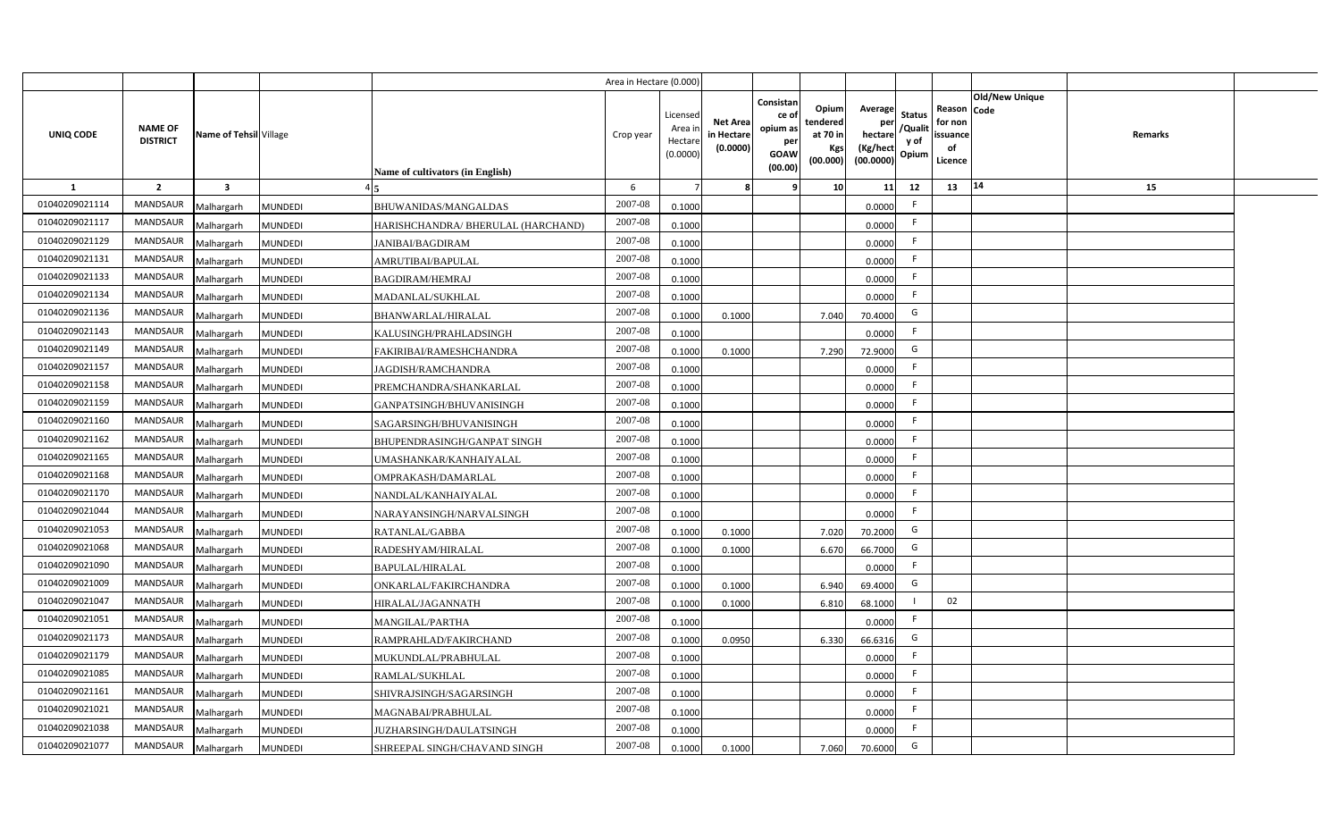|                  |                                   |                         |                |                                    | Area in Hectare (0.000 |                                          |                                          |                                                                 |                                                  |                                                    |                                           |                                                     |                       |         |  |
|------------------|-----------------------------------|-------------------------|----------------|------------------------------------|------------------------|------------------------------------------|------------------------------------------|-----------------------------------------------------------------|--------------------------------------------------|----------------------------------------------------|-------------------------------------------|-----------------------------------------------------|-----------------------|---------|--|
| <b>UNIQ CODE</b> | <b>NAME OF</b><br><b>DISTRICT</b> | Name of Tehsil Village  |                | Name of cultivators (in English)   | Crop year              | Licensec<br>Area i<br>Hectar<br>(0.0000) | <b>Net Area</b><br>in Hectar<br>(0.0000) | Consistan<br>ce of<br>opium as<br>per<br><b>GOAW</b><br>(00.00) | Opium<br>tendered<br>at 70 in<br>Kgs<br>(00.000) | Average<br>per<br>hectare<br>(Kg/hect<br>(00.0000) | <b>Status</b><br>/Qualit<br>y of<br>Opium | Reason Code<br>for non<br>issuance<br>of<br>Licence | <b>Old/New Unique</b> | Remarks |  |
| 1                | $\overline{2}$                    | $\overline{\mathbf{3}}$ |                |                                    | 6                      |                                          |                                          | q                                                               | 10 <sup>1</sup>                                  | 11                                                 | 12                                        | 13                                                  | 14                    | 15      |  |
| 01040209021114   | MANDSAUR                          | Malhargarh              | <b>MUNDEDI</b> | BHUWANIDAS/MANGALDAS               | 2007-08                | 0.1000                                   |                                          |                                                                 |                                                  | 0.0000                                             | -F                                        |                                                     |                       |         |  |
| 01040209021117   | MANDSAUR                          | Malhargarh              | <b>MUNDEDI</b> | HARISHCHANDRA/ BHERULAL (HARCHAND) | 2007-08                | 0.1000                                   |                                          |                                                                 |                                                  | 0.0000                                             | F.                                        |                                                     |                       |         |  |
| 01040209021129   | MANDSAUR                          | Malhargarh              | <b>MUNDEDI</b> | <b>JANIBAI/BAGDIRAM</b>            | 2007-08                | 0.1000                                   |                                          |                                                                 |                                                  | 0.0000                                             | -F                                        |                                                     |                       |         |  |
| 01040209021131   | <b>MANDSAUR</b>                   | Malhargarh              | <b>MUNDEDI</b> | AMRUTIBAI/BAPULAL                  | 2007-08                | 0.1000                                   |                                          |                                                                 |                                                  | 0.0000                                             | -F                                        |                                                     |                       |         |  |
| 01040209021133   | MANDSAUR                          | Malhargarh              | <b>MUNDEDI</b> | <b>BAGDIRAM/HEMRAJ</b>             | 2007-08                | 0.1000                                   |                                          |                                                                 |                                                  | 0.0000                                             |                                           |                                                     |                       |         |  |
| 01040209021134   | MANDSAUR                          | Malhargarh              | <b>MUNDEDI</b> | MADANLAL/SUKHLAL                   | 2007-08                | 0.1000                                   |                                          |                                                                 |                                                  | 0.0000                                             | F.                                        |                                                     |                       |         |  |
| 01040209021136   | MANDSAUR                          | Malhargarh              | <b>MUNDEDI</b> | <b>BHANWARLAL/HIRALAL</b>          | 2007-08                | 0.1000                                   | 0.1000                                   |                                                                 | 7.040                                            | 70.4000                                            | G                                         |                                                     |                       |         |  |
| 01040209021143   | MANDSAUR                          | Malhargarh              | <b>MUNDEDI</b> | KALUSINGH/PRAHLADSINGH             | 2007-08                | 0.1000                                   |                                          |                                                                 |                                                  | 0.0000                                             |                                           |                                                     |                       |         |  |
| 01040209021149   | <b>MANDSAUR</b>                   | Malhargarh              | <b>MUNDEDI</b> | FAKIRIBAI/RAMESHCHANDRA            | 2007-08                | 0.1000                                   | 0.1000                                   |                                                                 | 7.290                                            | 72.9000                                            | G                                         |                                                     |                       |         |  |
| 01040209021157   | MANDSAUR                          | Malhargarh              | <b>MUNDEDI</b> | <b>JAGDISH/RAMCHANDRA</b>          | 2007-08                | 0.1000                                   |                                          |                                                                 |                                                  | 0.0000                                             | F.                                        |                                                     |                       |         |  |
| 01040209021158   | <b>MANDSAUR</b>                   | Malhargarh              | <b>MUNDEDI</b> | PREMCHANDRA/SHANKARLAL             | 2007-08                | 0.1000                                   |                                          |                                                                 |                                                  | 0.0000                                             | -F                                        |                                                     |                       |         |  |
| 01040209021159   | <b>MANDSAUR</b>                   | Malhargarh              | <b>MUNDEDI</b> | GANPATSINGH/BHUVANISINGH           | 2007-08                | 0.1000                                   |                                          |                                                                 |                                                  | 0.0000                                             | -F                                        |                                                     |                       |         |  |
| 01040209021160   | <b>MANDSAUR</b>                   | Malhargarh              | <b>MUNDEDI</b> | SAGARSINGH/BHUVANISINGH            | 2007-08                | 0.1000                                   |                                          |                                                                 |                                                  | 0.0000                                             | F.                                        |                                                     |                       |         |  |
| 01040209021162   | <b>MANDSAUR</b>                   | Malhargarh              | <b>MUNDEDI</b> | BHUPENDRASINGH/GANPAT SINGH        | 2007-08                | 0.1000                                   |                                          |                                                                 |                                                  | 0.0000                                             | $\mathsf{F}$                              |                                                     |                       |         |  |
| 01040209021165   | <b>MANDSAUR</b>                   | Malhargarh              | <b>MUNDEDI</b> | JMASHANKAR/KANHAIYALAL             | 2007-08                | 0.1000                                   |                                          |                                                                 |                                                  | 0.0000                                             | F                                         |                                                     |                       |         |  |
| 01040209021168   | MANDSAUR                          | Malhargarh              | <b>MUNDEDI</b> | OMPRAKASH/DAMARLAL                 | 2007-08                | 0.1000                                   |                                          |                                                                 |                                                  | 0.0000                                             | F.                                        |                                                     |                       |         |  |
| 01040209021170   | <b>MANDSAUR</b>                   | Malhargarh              | <b>MUNDEDI</b> | NANDLAL/KANHAIYALAL                | 2007-08                | 0.1000                                   |                                          |                                                                 |                                                  | 0.0000                                             | F.                                        |                                                     |                       |         |  |
| 01040209021044   | <b>MANDSAUR</b>                   | Malhargarh              | <b>MUNDEDI</b> | NARAYANSINGH/NARVALSINGH           | 2007-08                | 0.1000                                   |                                          |                                                                 |                                                  | 0.0000                                             | F.                                        |                                                     |                       |         |  |
| 01040209021053   | MANDSAUR                          | Malhargarh              | <b>MUNDEDI</b> | RATANLAL/GABBA                     | 2007-08                | 0.1000                                   | 0.1000                                   |                                                                 | 7.020                                            | 70.2000                                            | G                                         |                                                     |                       |         |  |
| 01040209021068   | <b>MANDSAUR</b>                   | Malhargarh              | <b>MUNDEDI</b> | RADESHYAM/HIRALAL                  | 2007-08                | 0.100                                    | 0.1000                                   |                                                                 | 6.670                                            | 66.7000                                            | G                                         |                                                     |                       |         |  |
| 01040209021090   | MANDSAUR                          | Malhargarh              | <b>MUNDEDI</b> | <b>BAPULAL/HIRALAL</b>             | $2007 - 08$            | 0.1000                                   |                                          |                                                                 |                                                  | 0.0000                                             | $\mathsf{F}$                              |                                                     |                       |         |  |
| 01040209021009   | MANDSAUR                          | Malhargarh              | <b>MUNDEDI</b> | ONKARLAL/FAKIRCHANDRA              | 2007-08                | 0.1000                                   | 0.1000                                   |                                                                 | 6.940                                            | 69.4000                                            | G                                         |                                                     |                       |         |  |
| 01040209021047   | <b>MANDSAUR</b>                   | Malhargarh              | <b>MUNDEDI</b> | HIRALAL/JAGANNATH                  | 2007-08                | 0.100                                    | 0.1000                                   |                                                                 | 6.810                                            | 68.1000                                            |                                           | 02                                                  |                       |         |  |
| 01040209021051   | MANDSAUR                          | Malhargarh              | <b>MUNDEDI</b> | <b>MANGILAL/PARTHA</b>             | 2007-08                | 0.1000                                   |                                          |                                                                 |                                                  | 0.0000                                             | $\mathsf{F}$                              |                                                     |                       |         |  |
| 01040209021173   | MANDSAUR                          | Malhargarh              | <b>MUNDEDI</b> | RAMPRAHLAD/FAKIRCHAND              | 2007-08                | 0.1000                                   | 0.0950                                   |                                                                 | 6.330                                            | 66.6316                                            | G                                         |                                                     |                       |         |  |
| 01040209021179   | MANDSAUR                          | Malhargarh              | <b>MUNDEDI</b> | MUKUNDLAL/PRABHULAL                | 2007-08                | 0.1000                                   |                                          |                                                                 |                                                  | 0.0000                                             | F                                         |                                                     |                       |         |  |
| 01040209021085   | MANDSAUR                          | Malhargarh              | <b>MUNDEDI</b> | RAMLAL/SUKHLAL                     | 2007-08                | 0.1000                                   |                                          |                                                                 |                                                  | 0.0000                                             | $\mathsf{F}$                              |                                                     |                       |         |  |
| 01040209021161   | MANDSAUR                          | Malhargarh              | <b>MUNDEDI</b> | SHIVRAJSINGH/SAGARSINGH            | 2007-08                | 0.1000                                   |                                          |                                                                 |                                                  | 0.0000                                             | F.                                        |                                                     |                       |         |  |
| 01040209021021   | MANDSAUR                          | Malhargarh              | <b>MUNDEDI</b> | MAGNABAI/PRABHULAL                 | 2007-08                | 0.1000                                   |                                          |                                                                 |                                                  | 0.0000                                             | $\mathsf{F}$                              |                                                     |                       |         |  |
| 01040209021038   | MANDSAUR                          | Malhargarh              | <b>MUNDEDI</b> | JUZHARSINGH/DAULATSINGH            | 2007-08                | 0.1000                                   |                                          |                                                                 |                                                  | 0.0000                                             | -F                                        |                                                     |                       |         |  |
| 01040209021077   | MANDSAUR                          | Malhargarh              | <b>MUNDEDI</b> | SHREEPAL SINGH/CHAVAND SINGH       | 2007-08                | 0.1000                                   | 0.1000                                   |                                                                 | 7.060                                            | 70.6000                                            | G                                         |                                                     |                       |         |  |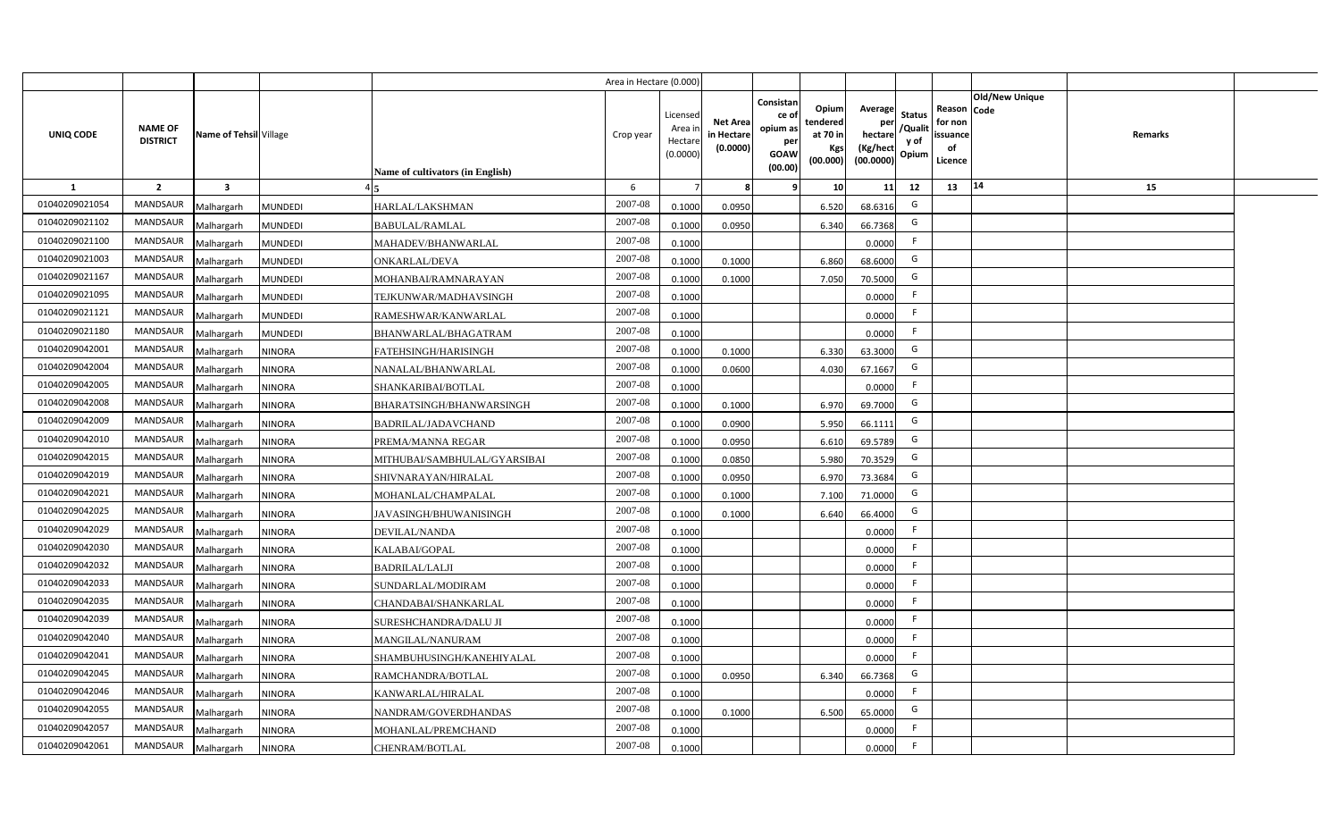|                |                                   |                         |                |                                  | Area in Hectare (0.000) |                                           |                                           |                                                                 |                                                  |                                                    |                                           |                                                     |                       |         |  |
|----------------|-----------------------------------|-------------------------|----------------|----------------------------------|-------------------------|-------------------------------------------|-------------------------------------------|-----------------------------------------------------------------|--------------------------------------------------|----------------------------------------------------|-------------------------------------------|-----------------------------------------------------|-----------------------|---------|--|
| UNIQ CODE      | <b>NAME OF</b><br><b>DISTRICT</b> | Name of Tehsil Village  |                | Name of cultivators (in English) | Crop year               | Licensed<br>Area i<br>Hectare<br>(0.0000) | <b>Net Area</b><br>in Hectare<br>(0.0000) | Consistan<br>ce of<br>opium as<br>per<br><b>GOAW</b><br>(00.00) | Opium<br>tendered<br>at 70 in<br>Kgs<br>(00.000) | Average<br>per<br>hectare<br>(Kg/hect<br>(00.0000) | <b>Status</b><br>/Qualit<br>y of<br>Opium | Reason Code<br>for non<br>issuance<br>of<br>Licence | <b>Old/New Unique</b> | Remarks |  |
| 1              | $\overline{2}$                    | $\overline{\mathbf{3}}$ |                |                                  | 6                       |                                           | 8                                         | -9                                                              | 10 <sup>1</sup>                                  | 11                                                 | 12                                        | 13                                                  | 14                    | 15      |  |
| 01040209021054 | <b>MANDSAUR</b>                   | Malhargarh              | <b>MUNDEDI</b> | HARLAL/LAKSHMAN                  | 2007-08                 | 0.1000                                    | 0.0950                                    |                                                                 | 6.520                                            | 68.6316                                            | G                                         |                                                     |                       |         |  |
| 01040209021102 | MANDSAUR                          | Malhargarh              | <b>MUNDEDI</b> | <b>BABULAL/RAMLAL</b>            | 2007-08                 | 0.1000                                    | 0.0950                                    |                                                                 | 6.340                                            | 66.7368                                            | G                                         |                                                     |                       |         |  |
| 01040209021100 | <b>MANDSAUR</b>                   | Malhargarh              | <b>MUNDEDI</b> | MAHADEV/BHANWARLAL               | 2007-08                 | 0.1000                                    |                                           |                                                                 |                                                  | 0.0000                                             | -F                                        |                                                     |                       |         |  |
| 01040209021003 | <b>MANDSAUR</b>                   | Malhargarh              | <b>MUNDEDI</b> | <b>ONKARLAL/DEVA</b>             | 2007-08                 | 0.1000                                    | 0.1000                                    |                                                                 | 6.860                                            | 68.6000                                            | G                                         |                                                     |                       |         |  |
| 01040209021167 | MANDSAUR                          | Malhargarh              | <b>MUNDEDI</b> | MOHANBAI/RAMNARAYAN              | 2007-08                 | 0.1000                                    | 0.1000                                    |                                                                 | 7.050                                            | 70.5000                                            | G                                         |                                                     |                       |         |  |
| 01040209021095 | <b>MANDSAUR</b>                   | Malhargarh              | <b>MUNDEDI</b> | TEJKUNWAR/MADHAVSINGH            | 2007-08                 | 0.1000                                    |                                           |                                                                 |                                                  | 0.0000                                             | F                                         |                                                     |                       |         |  |
| 01040209021121 | <b>MANDSAUR</b>                   | Malhargarh              | <b>MUNDEDI</b> | RAMESHWAR/KANWARLAL              | 2007-08                 | 0.1000                                    |                                           |                                                                 |                                                  | 0.0000                                             | F                                         |                                                     |                       |         |  |
| 01040209021180 | MANDSAUR                          | Malhargarh              | <b>MUNDEDI</b> | BHANWARLAL/BHAGATRAM             | 2007-08                 | 0.1000                                    |                                           |                                                                 |                                                  | 0.0000                                             | F                                         |                                                     |                       |         |  |
| 01040209042001 | MANDSAUR                          | Malhargarh              | <b>NINORA</b>  | FATEHSINGH/HARISINGH             | 2007-08                 | 0.1000                                    | 0.1000                                    |                                                                 | 6.330                                            | 63.3000                                            | G                                         |                                                     |                       |         |  |
| 01040209042004 | MANDSAUR                          | Malhargarh              | <b>NINORA</b>  | NANALAL/BHANWARLAL               | 2007-08                 | 0.1000                                    | 0.0600                                    |                                                                 | 4.030                                            | 67.1667                                            | G                                         |                                                     |                       |         |  |
| 01040209042005 | MANDSAUR                          | Malhargarh              | <b>NINORA</b>  | SHANKARIBAI/BOTLAL               | 2007-08                 | 0.1000                                    |                                           |                                                                 |                                                  | 0.0000                                             | F.                                        |                                                     |                       |         |  |
| 01040209042008 | MANDSAUR                          | Malhargarh              | <b>NINORA</b>  | <b>BHARATSINGH/BHANWARSINGH</b>  | 2007-08                 | 0.1000                                    | 0.1000                                    |                                                                 | 6.970                                            | 69.7000                                            | G                                         |                                                     |                       |         |  |
| 01040209042009 | <b>MANDSAUR</b>                   | Malhargarh              | <b>NINORA</b>  | <b>BADRILAL/JADAVCHAND</b>       | 2007-08                 | 0.1000                                    | 0.0900                                    |                                                                 | 5.950                                            | 66.1111                                            | G                                         |                                                     |                       |         |  |
| 01040209042010 | <b>MANDSAUR</b>                   | Malhargarh              | <b>NINORA</b>  | PREMA/MANNA REGAR                | 2007-08                 | 0.1000                                    | 0.0950                                    |                                                                 | 6.610                                            | 69.5789                                            | G                                         |                                                     |                       |         |  |
| 01040209042015 | <b>MANDSAUR</b>                   | Malhargarh              | <b>NINORA</b>  | MITHUBAI/SAMBHULAL/GYARSIBAI     | 2007-08                 | 0.1000                                    | 0.0850                                    |                                                                 | 5.980                                            | 70.3529                                            | G                                         |                                                     |                       |         |  |
| 01040209042019 | <b>MANDSAUR</b>                   | Malhargarh              | <b>NINORA</b>  | SHIVNARAYAN/HIRALAL              | 2007-08                 | 0.1000                                    | 0.0950                                    |                                                                 | 6.970                                            | 73.3684                                            | G                                         |                                                     |                       |         |  |
| 01040209042021 | MANDSAUR                          | Malhargarh              | <b>NINORA</b>  | MOHANLAL/CHAMPALAL               | 2007-08                 | 0.1000                                    | 0.1000                                    |                                                                 | 7.100                                            | 71.0000                                            | G                                         |                                                     |                       |         |  |
| 01040209042025 | <b>MANDSAUR</b>                   | Malhargarh              | <b>NINORA</b>  | JAVASINGH/BHUWANISINGH           | 2007-08                 | 0.1000                                    | 0.1000                                    |                                                                 | 6.640                                            | 66.4000                                            | G                                         |                                                     |                       |         |  |
| 01040209042029 | <b>MANDSAUR</b>                   | Malhargarh              | <b>NINORA</b>  | DEVILAL/NANDA                    | 2007-08                 | 0.1000                                    |                                           |                                                                 |                                                  | 0.0000                                             | F.                                        |                                                     |                       |         |  |
| 01040209042030 | <b>MANDSAUR</b>                   | Malhargarh              | <b>NINORA</b>  | KALABAI/GOPAL                    | 2007-08                 | 0.1000                                    |                                           |                                                                 |                                                  | 0.0000                                             | F.                                        |                                                     |                       |         |  |
| 01040209042032 | <b>MANDSAUR</b>                   | Malhargarh              | <b>NINORA</b>  | <b>BADRILAL/LALJI</b>            | 2007-08                 | 0.1000                                    |                                           |                                                                 |                                                  | 0.0000                                             | F.                                        |                                                     |                       |         |  |
| 01040209042033 | <b>MANDSAUR</b>                   | Malhargarh              | <b>NINORA</b>  | SUNDARLAL/MODIRAM                | 2007-08                 | 0.1000                                    |                                           |                                                                 |                                                  | 0.0000                                             | -F                                        |                                                     |                       |         |  |
| 01040209042035 | MANDSAUR                          | Malhargarh              | <b>NINORA</b>  | CHANDABAI/SHANKARLAL             | $2007 - 08$             | 0.1000                                    |                                           |                                                                 |                                                  | 0.0000                                             | F                                         |                                                     |                       |         |  |
| 01040209042039 | <b>MANDSAUR</b>                   | Malhargarh              | <b>NINORA</b>  | SURESHCHANDRA/DALU JI            | 2007-08                 | 0.1000                                    |                                           |                                                                 |                                                  | 0.0000                                             | F.                                        |                                                     |                       |         |  |
| 01040209042040 | <b>MANDSAUR</b>                   | Malhargarh              | <b>NINORA</b>  | MANGILAL/NANURAM                 | 2007-08                 | 0.1000                                    |                                           |                                                                 |                                                  | 0.0000                                             | F                                         |                                                     |                       |         |  |
| 01040209042041 | MANDSAUR                          | Malhargarh              | <b>NINORA</b>  | SHAMBUHUSINGH/KANEHIYALAL        | 2007-08                 | 0.1000                                    |                                           |                                                                 |                                                  | 0.0000                                             | F                                         |                                                     |                       |         |  |
| 01040209042045 | MANDSAUR                          | Malhargarh              | <b>NINORA</b>  | RAMCHANDRA/BOTLAL                | 2007-08                 | 0.1000                                    | 0.0950                                    |                                                                 | 6.340                                            | 66.7368                                            | G                                         |                                                     |                       |         |  |
| 01040209042046 | MANDSAUR                          | Malhargarh              | <b>NINORA</b>  | KANWARLAL/HIRALAL                | 2007-08                 | 0.1000                                    |                                           |                                                                 |                                                  | 0.0000                                             | F                                         |                                                     |                       |         |  |
| 01040209042055 | MANDSAUR                          | Malhargarh              | <b>NINORA</b>  | NANDRAM/GOVERDHANDAS             | 2007-08                 | 0.1000                                    | 0.1000                                    |                                                                 | 6.500                                            | 65.0000                                            | G                                         |                                                     |                       |         |  |
| 01040209042057 | MANDSAUR                          | Malhargarh              | <b>NINORA</b>  | MOHANLAL/PREMCHAND               | 2007-08                 | 0.1000                                    |                                           |                                                                 |                                                  | 0.0000                                             | F                                         |                                                     |                       |         |  |
| 01040209042061 | MANDSAUR                          | Malhargarh              | <b>NINORA</b>  | CHENRAM/BOTLAL                   | 2007-08                 | 0.1000                                    |                                           |                                                                 |                                                  | 0.0000                                             | F.                                        |                                                     |                       |         |  |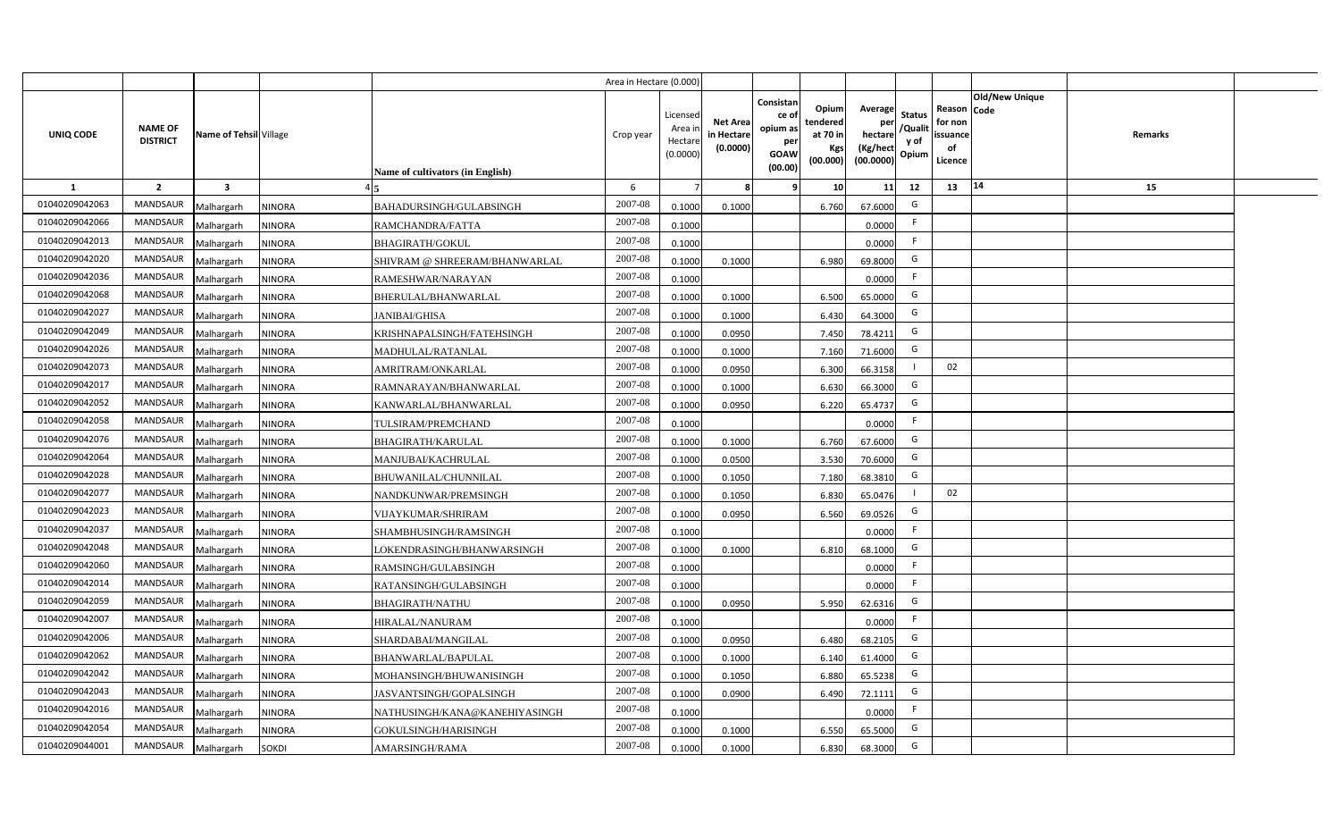|                |                                   |                         |               |                                  | Area in Hectare (0.000 |                                          |                                          |                                                                 |                                                  |                                                    |                                           |                                                     |                |                |  |
|----------------|-----------------------------------|-------------------------|---------------|----------------------------------|------------------------|------------------------------------------|------------------------------------------|-----------------------------------------------------------------|--------------------------------------------------|----------------------------------------------------|-------------------------------------------|-----------------------------------------------------|----------------|----------------|--|
| UNIQ CODE      | <b>NAME OF</b><br><b>DISTRICT</b> | Name of Tehsil Village  |               | Name of cultivators (in English) | Crop year              | Licensed<br>Area i<br>Hectar<br>(0.0000) | <b>Net Area</b><br>in Hectar<br>(0.0000) | Consistan<br>ce of<br>opium as<br>per<br><b>GOAW</b><br>(00.00) | Opium<br>tendered<br>at 70 in<br>Kgs<br>(00.000) | Average<br>per<br>hectare<br>(Kg/hect<br>(00.0000) | <b>Status</b><br>/Qualit<br>y of<br>Opium | Reason Code<br>for non<br>issuance<br>of<br>Licence | Old/New Unique | <b>Remarks</b> |  |
| 1              | $\overline{2}$                    | $\overline{\mathbf{3}}$ |               |                                  | 6                      |                                          |                                          | ٠q                                                              | 10 <sup>1</sup>                                  | 11                                                 | 12                                        | 13                                                  | 14             | 15             |  |
| 01040209042063 | <b>MANDSAUR</b>                   | Malhargarh              | <b>NINORA</b> | BAHADURSINGH/GULABSINGH          | 2007-08                | 0.1000                                   | 0.1000                                   |                                                                 | 6.760                                            | 67.6000                                            | G                                         |                                                     |                |                |  |
| 01040209042066 | MANDSAUR                          | Malhargarh              | <b>NINORA</b> | RAMCHANDRA/FATTA                 | 2007-08                | 0.1000                                   |                                          |                                                                 |                                                  | 0.0000                                             | F.                                        |                                                     |                |                |  |
| 01040209042013 | <b>MANDSAUR</b>                   | Malhargarh              | <b>NINORA</b> | <b>BHAGIRATH/GOKUL</b>           | 2007-08                | 0.1000                                   |                                          |                                                                 |                                                  | 0.0000                                             | - F                                       |                                                     |                |                |  |
| 01040209042020 | <b>MANDSAUR</b>                   | Malhargarh              | <b>NINORA</b> | SHIVRAM @ SHREERAM/BHANWARLAL    | 2007-08                | 0.100                                    | 0.1000                                   |                                                                 | 6.980                                            | 69.8000                                            | G                                         |                                                     |                |                |  |
| 01040209042036 | MANDSAUR                          | Malhargarh              | <b>NINORA</b> | RAMESHWAR/NARAYAN                | 2007-08                | 0.100                                    |                                          |                                                                 |                                                  | 0.0000                                             |                                           |                                                     |                |                |  |
| 01040209042068 | <b>MANDSAUR</b>                   | Malhargarh              | <b>NINORA</b> | BHERULAL/BHANWARLAL              | 2007-08                | 0.1000                                   | 0.1000                                   |                                                                 | 6.500                                            | 65.0000                                            | G                                         |                                                     |                |                |  |
| 01040209042027 | <b>MANDSAUR</b>                   | Malhargarh              | <b>NINORA</b> | <b>JANIBAI/GHISA</b>             | 2007-08                | 0.1000                                   | 0.1000                                   |                                                                 | 6.430                                            | 64.3000                                            | G                                         |                                                     |                |                |  |
| 01040209042049 | MANDSAUR                          | Malhargarh              | <b>NINORA</b> | KRISHNAPALSINGH/FATEHSINGH       | 2007-08                | 0.1000                                   | 0.0950                                   |                                                                 | 7.450                                            | 78.4211                                            | G                                         |                                                     |                |                |  |
| 01040209042026 | MANDSAUR                          | Malhargarh              | <b>NINORA</b> | MADHULAL/RATANLAL                | 2007-08                | 0.1000                                   | 0.1000                                   |                                                                 | 7.160                                            | 71.6000                                            | G                                         |                                                     |                |                |  |
| 01040209042073 | MANDSAUR                          | Malhargarh              | <b>NINORA</b> | AMRITRAM/ONKARLAL                | 2007-08                | 0.1000                                   | 0.0950                                   |                                                                 | 6.300                                            | 66.3158                                            |                                           | 02                                                  |                |                |  |
| 01040209042017 | MANDSAUR                          | Malhargarh              | <b>NINORA</b> | RAMNARAYAN/BHANWARLAL            | 2007-08                | 0.1000                                   | 0.1000                                   |                                                                 | 6.630                                            | 66.3000                                            | G                                         |                                                     |                |                |  |
| 01040209042052 | <b>MANDSAUR</b>                   | Malhargarh              | <b>NINORA</b> | KANWARLAL/BHANWARLAL             | 2007-08                | 0.1000                                   | 0.0950                                   |                                                                 | 6.220                                            | 65.4737                                            | G                                         |                                                     |                |                |  |
| 01040209042058 | <b>MANDSAUR</b>                   | Malhargarh              | <b>NINORA</b> | TULSIRAM/PREMCHAND               | 2007-08                | 0.1000                                   |                                          |                                                                 |                                                  | 0.0000                                             | -F                                        |                                                     |                |                |  |
| 01040209042076 | <b>MANDSAUR</b>                   | Malhargarh              | <b>NINORA</b> | <b>BHAGIRATH/KARULAL</b>         | 2007-08                | 0.1000                                   | 0.1000                                   |                                                                 | 6.760                                            | 67.6000                                            | G                                         |                                                     |                |                |  |
| 01040209042064 | <b>MANDSAUR</b>                   | Malhargarh              | <b>NINORA</b> | MANJUBAI/KACHRULAL               | 2007-08                | 0.1000                                   | 0.0500                                   |                                                                 | 3.530                                            | 70.6000                                            | G                                         |                                                     |                |                |  |
| 01040209042028 | <b>MANDSAUR</b>                   | Malhargarh              | <b>NINORA</b> | BHUWANILAL/CHUNNILAL             | 2007-08                | 0.1000                                   | 0.1050                                   |                                                                 | 7.180                                            | 68.3810                                            | G                                         |                                                     |                |                |  |
| 01040209042077 | <b>MANDSAUR</b>                   | Malhargarh              | <b>NINORA</b> | NANDKUNWAR/PREMSINGH             | 2007-08                | 0.1000                                   | 0.1050                                   |                                                                 | 6.830                                            | 65.0476                                            |                                           | 02                                                  |                |                |  |
| 01040209042023 | <b>MANDSAUR</b>                   | Malhargarh              | <b>NINORA</b> | <b>VIJAYKUMAR/SHRIRAM</b>        | 2007-08                | 0.1000                                   | 0.0950                                   |                                                                 | 6.560                                            | 69.0526                                            | G                                         |                                                     |                |                |  |
| 01040209042037 | <b>MANDSAUR</b>                   | Malhargarh              | <b>NINORA</b> | SHAMBHUSINGH/RAMSINGH            | 2007-08                | 0.100                                    |                                          |                                                                 |                                                  | 0.0000                                             | F.                                        |                                                     |                |                |  |
| 01040209042048 | <b>MANDSAUR</b>                   | Malhargarh              | <b>NINORA</b> | LOKENDRASINGH/BHANWARSINGH       | 2007-08                | 0.1000                                   | 0.1000                                   |                                                                 | 6.810                                            | 68.1000                                            | G                                         |                                                     |                |                |  |
| 01040209042060 | <b>MANDSAUR</b>                   | Malhargarh              | <b>NINORA</b> | RAMSINGH/GULABSINGH              | 2007-08                | 0.1000                                   |                                          |                                                                 |                                                  | 0.0000                                             | -F                                        |                                                     |                |                |  |
| 01040209042014 | <b>MANDSAUR</b>                   | Malhargarh              | <b>NINORA</b> | RATANSINGH/GULABSINGH            | 2007-08                | 0.100                                    |                                          |                                                                 |                                                  | 0.0000                                             | -F                                        |                                                     |                |                |  |
| 01040209042059 | MANDSAUR                          | Malhargarh              | <b>NINORA</b> | <b>BHAGIRATH/NATHU</b>           | 2007-08                | 0.100                                    | 0.0950                                   |                                                                 | 5.950                                            | 62.6316                                            | G                                         |                                                     |                |                |  |
| 01040209042007 | MANDSAUR                          | Malhargarh              | <b>NINORA</b> | HIRALAL/NANURAM                  | 2007-08                | 0.1000                                   |                                          |                                                                 |                                                  | 0.0000                                             | -F                                        |                                                     |                |                |  |
| 01040209042006 | MANDSAUR                          | Malhargarh              | <b>NINORA</b> | SHARDABAI/MANGILAL               | 2007-08                | 0.1000                                   | 0.0950                                   |                                                                 | 6.480                                            | 68.2105                                            | G                                         |                                                     |                |                |  |
| 01040209042062 | MANDSAUR                          | Malhargarh              | <b>NINORA</b> | BHANWARLAL/BAPULAL               | 2007-08                | 0.1000                                   | 0.1000                                   |                                                                 | 6.140                                            | 61.4000                                            | G                                         |                                                     |                |                |  |
| 01040209042042 | MANDSAUR                          | Malhargarh              | <b>NINORA</b> | MOHANSINGH/BHUWANISINGH          | 2007-08                | 0.1000                                   | 0.1050                                   |                                                                 | 6.880                                            | 65.5238                                            | G                                         |                                                     |                |                |  |
| 01040209042043 | MANDSAUR                          | Malhargarh              | <b>NINORA</b> | JASVANTSINGH/GOPALSINGH          | 2007-08                | 0.1000                                   | 0.0900                                   |                                                                 | 6.490                                            | 72.1111                                            | G                                         |                                                     |                |                |  |
| 01040209042016 | MANDSAUR                          | Malhargarh              | <b>NINORA</b> | NATHUSINGH/KANA@KANEHIYASINGH    | 2007-08                | 0.1000                                   |                                          |                                                                 |                                                  | 0.0000                                             | -F                                        |                                                     |                |                |  |
| 01040209042054 | MANDSAUR                          | Malhargarh              | <b>NINORA</b> | GOKULSINGH/HARISINGH             | 2007-08                | 0.1000                                   | 0.1000                                   |                                                                 | 6.550                                            | 65.5000                                            | G                                         |                                                     |                |                |  |
| 01040209044001 | MANDSAUR                          | Malhargarh              | <b>SOKDI</b>  | AMARSINGH/RAMA                   | 2007-08                | 0.1000                                   | 0.1000                                   |                                                                 | 6.830                                            | 68.3000                                            | G                                         |                                                     |                |                |  |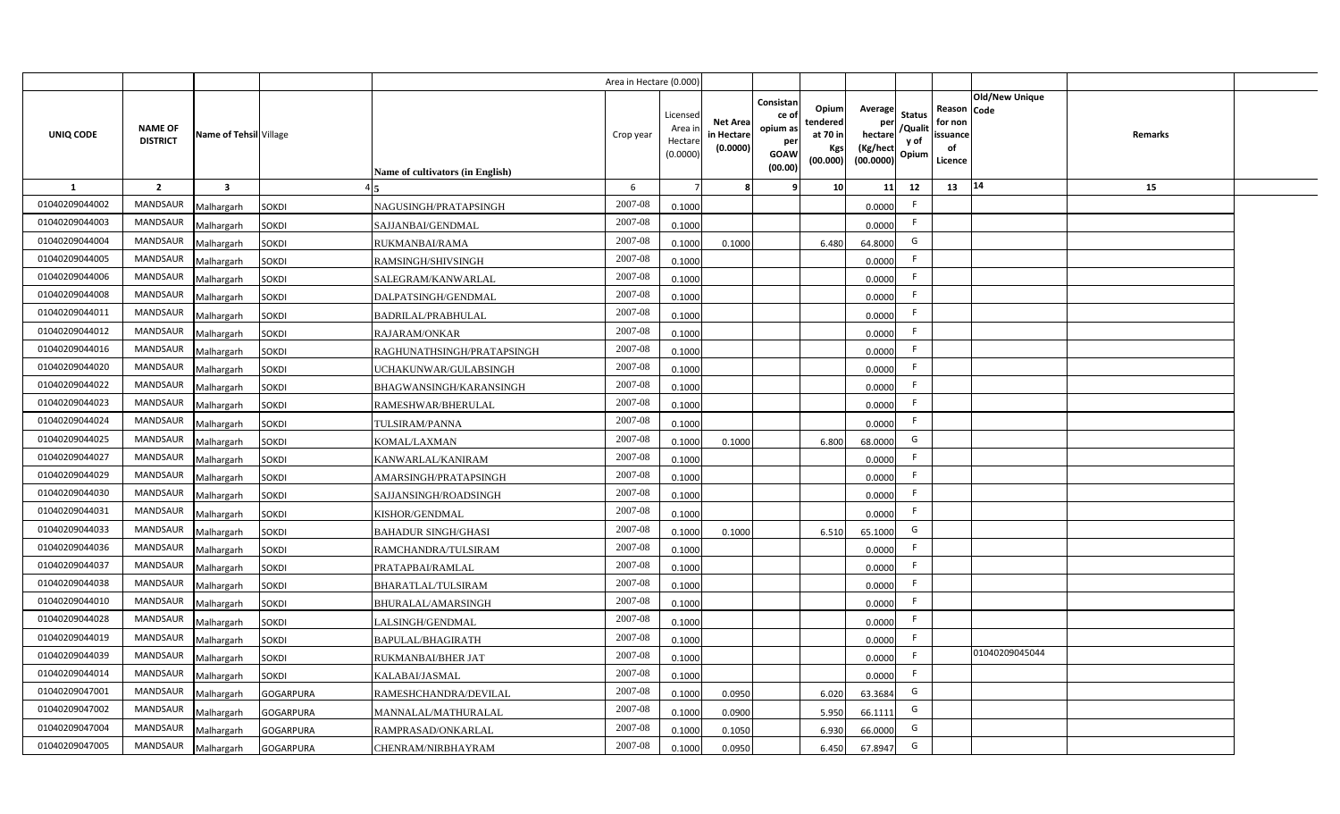|                |                                   |                                |                                  | Area in Hectare (0.000) |                                          |                                           |                                                                |                                                  |                                                    |                                           |                                                                       |         |  |
|----------------|-----------------------------------|--------------------------------|----------------------------------|-------------------------|------------------------------------------|-------------------------------------------|----------------------------------------------------------------|--------------------------------------------------|----------------------------------------------------|-------------------------------------------|-----------------------------------------------------------------------|---------|--|
| UNIQ CODE      | <b>NAME OF</b><br><b>DISTRICT</b> | Name of Tehsil Village         | Name of cultivators (in English) | Crop year               | Licensec<br>Area i<br>Hectar<br>(0.0000) | <b>Net Area</b><br>in Hectare<br>(0.0000) | Consistan<br>ce o<br>opium as<br>per<br><b>GOAW</b><br>(00.00) | Opium<br>tendered<br>at 70 in<br>Kgs<br>(00.000) | Average<br>per<br>hectare<br>(Kg/hect<br>(00.0000) | <b>Status</b><br>/Qualit<br>y of<br>Opium | Old/New Unique<br>Reason Code<br>for non<br>issuance<br>of<br>Licence | Remarks |  |
| <b>1</b>       | $\overline{2}$                    | $\overline{\mathbf{3}}$        |                                  | 6                       |                                          |                                           |                                                                | 10                                               | 11                                                 | 12                                        | 14<br>13                                                              | 15      |  |
| 01040209044002 | <b>MANDSAUR</b>                   | <b>SOKDI</b><br>Malhargarh     | NAGUSINGH/PRATAPSINGH            | 2007-08                 | 0.1000                                   |                                           |                                                                |                                                  | 0.0000                                             | F.                                        |                                                                       |         |  |
| 01040209044003 | MANDSAUR                          | Malhargarh<br><b>SOKDI</b>     | SAJJANBAI/GENDMAL                | 2007-08                 | 0.1000                                   |                                           |                                                                |                                                  | 0.0000                                             | F.                                        |                                                                       |         |  |
| 01040209044004 | <b>MANDSAUR</b>                   | <b>SOKDI</b><br>Malhargarh     | RUKMANBAI/RAMA                   | 2007-08                 | 0.1000                                   | 0.1000                                    |                                                                | 6.480                                            | 64.8000                                            | G                                         |                                                                       |         |  |
| 01040209044005 | <b>MANDSAUR</b>                   | <b>SOKDI</b><br>Malhargarh     | RAMSINGH/SHIVSINGH               | 2007-08                 | 0.1000                                   |                                           |                                                                |                                                  | 0.0000                                             | F.                                        |                                                                       |         |  |
| 01040209044006 | MANDSAUR                          | <b>SOKDI</b><br>Malhargarh     | SALEGRAM/KANWARLAL               | 2007-08                 | 0.1000                                   |                                           |                                                                |                                                  | 0.0000                                             | -F                                        |                                                                       |         |  |
| 01040209044008 | MANDSAUR                          | <b>SOKDI</b><br>Malhargarh     | DALPATSINGH/GENDMAL              | 2007-08                 | 0.1000                                   |                                           |                                                                |                                                  | 0.0000                                             | F.                                        |                                                                       |         |  |
| 01040209044011 | MANDSAUR                          | <b>SOKDI</b><br>Malhargarh     | BADRILAL/PRABHULAL               | 2007-08                 | 0.1000                                   |                                           |                                                                |                                                  | 0.0000                                             | F.                                        |                                                                       |         |  |
| 01040209044012 | MANDSAUR                          | <b>SOKDI</b><br>Malhargarh     | <b>RAJARAM/ONKAR</b>             | 2007-08                 | 0.1000                                   |                                           |                                                                |                                                  | 0.0000                                             | F.                                        |                                                                       |         |  |
| 01040209044016 | <b>MANDSAUR</b>                   | <b>SOKDI</b><br>Malhargarh     | RAGHUNATHSINGH/PRATAPSINGH       | 2007-08                 | 0.1000                                   |                                           |                                                                |                                                  | 0.0000                                             | F.                                        |                                                                       |         |  |
| 01040209044020 | <b>MANDSAUR</b>                   | <b>SOKDI</b><br>Malhargarh     | JCHAKUNWAR/GULABSINGH            | 2007-08                 | 0.1000                                   |                                           |                                                                |                                                  | 0.0000                                             | F.                                        |                                                                       |         |  |
| 01040209044022 | MANDSAUR                          | <b>SOKDI</b><br>Malhargarh     | BHAGWANSINGH/KARANSINGH          | 2007-08                 | 0.1000                                   |                                           |                                                                |                                                  | 0.0000                                             | $\mathsf{F}$                              |                                                                       |         |  |
| 01040209044023 | MANDSAUR                          | Malhargarh<br><b>SOKDI</b>     | RAMESHWAR/BHERULAL               | 2007-08                 | 0.1000                                   |                                           |                                                                |                                                  | 0.0000                                             | F.                                        |                                                                       |         |  |
| 01040209044024 | <b>MANDSAUR</b>                   | <b>SOKDI</b><br>Malhargarh     | TULSIRAM/PANNA                   | $2007 - 08$             | 0.1000                                   |                                           |                                                                |                                                  | 0.0000                                             | -F                                        |                                                                       |         |  |
| 01040209044025 | MANDSAUR                          | Malhargarh<br><b>SOKDI</b>     | KOMAL/LAXMAN                     | 2007-08                 | 0.1000                                   | 0.1000                                    |                                                                | 6.800                                            | 68.0000                                            | G                                         |                                                                       |         |  |
| 01040209044027 | <b>MANDSAUR</b>                   | <b>SOKDI</b><br>Malhargarh     | KANWARLAL/KANIRAM                | 2007-08                 | 0.1000                                   |                                           |                                                                |                                                  | 0.0000                                             | F.                                        |                                                                       |         |  |
| 01040209044029 | MANDSAUR                          | <b>SOKDI</b><br>Malhargarh     | AMARSINGH/PRATAPSINGH            | 2007-08                 | 0.1000                                   |                                           |                                                                |                                                  | 0.0000                                             | F.                                        |                                                                       |         |  |
| 01040209044030 | MANDSAUR                          | <b>SOKDI</b><br>Malhargarh     | SAJJANSINGH/ROADSINGH            | 2007-08                 | 0.1000                                   |                                           |                                                                |                                                  | 0.0000                                             | F.                                        |                                                                       |         |  |
| 01040209044031 | MANDSAUR                          | <b>SOKDI</b><br>Malhargarh     | KISHOR/GENDMAL                   | $2007 - 08$             | 0.1000                                   |                                           |                                                                |                                                  | 0.0000                                             | F.                                        |                                                                       |         |  |
| 01040209044033 | <b>MANDSAUR</b>                   | <b>SOKDI</b><br>Malhargarh     | BAHADUR SINGH/GHASI              | 2007-08                 | 0.100                                    | 0.1000                                    |                                                                | 6.510                                            | 65.1000                                            | G                                         |                                                                       |         |  |
| 01040209044036 | MANDSAUR                          | <b>SOKDI</b><br>Malhargarh     | RAMCHANDRA/TULSIRAM              | 2007-08                 | 0.1000                                   |                                           |                                                                |                                                  | 0.0000                                             | F.                                        |                                                                       |         |  |
| 01040209044037 | MANDSAUR                          | Malhargarh<br><b>SOKDI</b>     | PRATAPBAI/RAMLAL                 | 2007-08                 | 0.1000                                   |                                           |                                                                |                                                  | 0.0000                                             | -F                                        |                                                                       |         |  |
| 01040209044038 | <b>MANDSAUR</b>                   | <b>SOKDI</b><br>Malhargarh     | BHARATLAL/TULSIRAM               | 2007-08                 | 0.1000                                   |                                           |                                                                |                                                  | 0.0000                                             | F.                                        |                                                                       |         |  |
| 01040209044010 | MANDSAUR                          | Malhargarh<br><b>SOKDI</b>     | BHURALAL/AMARSINGH               | 2007-08                 | 0.1000                                   |                                           |                                                                |                                                  | 0.0000                                             | F.                                        |                                                                       |         |  |
| 01040209044028 | <b>MANDSAUR</b>                   | <b>SOKDI</b><br>Malhargarh     | ALSINGH/GENDMAL                  | 2007-08                 | 0.1000                                   |                                           |                                                                |                                                  | 0.0000                                             | F.                                        |                                                                       |         |  |
| 01040209044019 | MANDSAUR                          | <b>SOKDI</b><br>Malhargarh     | BAPULAL/BHAGIRATH                | 2007-08                 | 0.1000                                   |                                           |                                                                |                                                  | 0.0000                                             | F.                                        |                                                                       |         |  |
| 01040209044039 | MANDSAUR                          | <b>SOKDI</b><br>Malhargarh     | RUKMANBAI/BHER JAT               | 2007-08                 | 0.1000                                   |                                           |                                                                |                                                  | 0.0000                                             | F                                         | 01040209045044                                                        |         |  |
| 01040209044014 | MANDSAUR                          | <b>SOKDI</b><br>Malhargarh     | KALABAI/JASMAL                   | 2007-08                 | 0.1000                                   |                                           |                                                                |                                                  | 0.0000                                             | F.                                        |                                                                       |         |  |
| 01040209047001 | MANDSAUR                          | Malhargarh<br><b>GOGARPURA</b> | RAMESHCHANDRA/DEVILAL            | 2007-08                 | 0.1000                                   | 0.0950                                    |                                                                | 6.020                                            | 63.3684                                            | G                                         |                                                                       |         |  |
| 01040209047002 | MANDSAUR                          | <b>GOGARPURA</b><br>Malhargarh | MANNALAL/MATHURALAL              | 2007-08                 | 0.1000                                   | 0.0900                                    |                                                                | 5.950                                            | 66.1111                                            | G                                         |                                                                       |         |  |
| 01040209047004 | MANDSAUR                          | <b>GOGARPURA</b><br>Malhargarh | RAMPRASAD/ONKARLAL               | 2007-08                 | 0.1000                                   | 0.1050                                    |                                                                | 6.930                                            | 66.0000                                            | G                                         |                                                                       |         |  |
| 01040209047005 | MANDSAUR                          | Malhargarh<br><b>GOGARPURA</b> | CHENRAM/NIRBHAYRAM               | 2007-08                 | 0.1000                                   | 0.0950                                    |                                                                | 6.450                                            | 67.8947                                            | G                                         |                                                                       |         |  |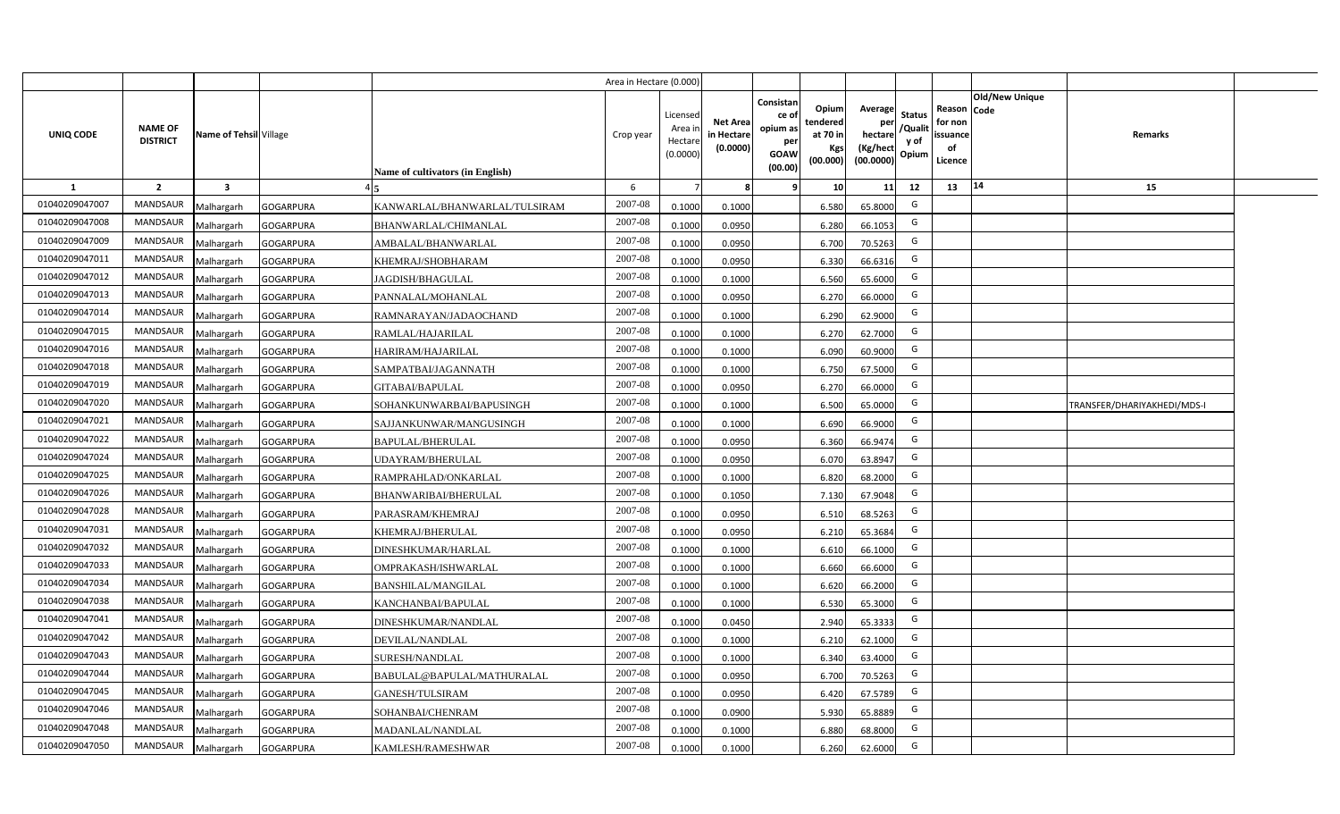|                |                                   |                         |                  |                                  | Area in Hectare (0.000) |                                           |                                           |                                                                                                                     |                                                    |                                           |                                                     |                       |                             |  |
|----------------|-----------------------------------|-------------------------|------------------|----------------------------------|-------------------------|-------------------------------------------|-------------------------------------------|---------------------------------------------------------------------------------------------------------------------|----------------------------------------------------|-------------------------------------------|-----------------------------------------------------|-----------------------|-----------------------------|--|
| UNIQ CODE      | <b>NAME OF</b><br><b>DISTRICT</b> | Name of Tehsil Village  |                  | Name of cultivators (in English) | Crop year               | Licensed<br>Area i<br>Hectare<br>(0.0000) | <b>Net Area</b><br>in Hectare<br>(0.0000) | Consistan<br>Opium<br>ce of<br>tendered<br>opium as<br>at 70 in<br>per<br>Kgs<br><b>GOAW</b><br>(00.000)<br>(00.00) | Average<br>per<br>hectare<br>(Kg/hect<br>(00.0000) | <b>Status</b><br>/Qualit<br>y of<br>Opium | Reason Code<br>for non<br>issuance<br>of<br>Licence | <b>Old/New Unique</b> | Remarks                     |  |
| 1              | $\overline{2}$                    | $\overline{\mathbf{3}}$ |                  |                                  | 6                       |                                           | 8                                         | 10 <sup>1</sup><br>-9                                                                                               | 11                                                 | 12                                        | 13                                                  | 14                    | 15                          |  |
| 01040209047007 | <b>MANDSAUR</b>                   | Malhargarh              | <b>GOGARPURA</b> | KANWARLAL/BHANWARLAL/TULSIRAM    | 2007-08                 | 0.1000                                    | 0.1000                                    | 6.580                                                                                                               | 65.8000                                            | G                                         |                                                     |                       |                             |  |
| 01040209047008 | MANDSAUR                          | Malhargarh              | <b>GOGARPURA</b> | BHANWARLAL/CHIMANLAL             | 2007-08                 | 0.1000                                    | 0.0950                                    | 6.280                                                                                                               | 66.1053                                            | G                                         |                                                     |                       |                             |  |
| 01040209047009 | <b>MANDSAUR</b>                   | Malhargarh              | <b>GOGARPURA</b> | AMBALAL/BHANWARLAL               | 2007-08                 | 0.1000                                    | 0.0950                                    | 6.700                                                                                                               | 70.5263                                            | G                                         |                                                     |                       |                             |  |
| 01040209047011 | <b>MANDSAUR</b>                   | Malhargarh              | <b>GOGARPURA</b> | KHEMRAJ/SHOBHARAM                | 2007-08                 | 0.1000                                    | 0.0950                                    | 6.330                                                                                                               | 66.6316                                            | G                                         |                                                     |                       |                             |  |
| 01040209047012 | MANDSAUR                          | Malhargarh              | <b>GOGARPURA</b> | JAGDISH/BHAGULAL                 | 2007-08                 | 0.1000                                    | 0.1000                                    | 6.560                                                                                                               | 65.6000                                            | G                                         |                                                     |                       |                             |  |
| 01040209047013 | <b>MANDSAUR</b>                   | Malhargarh              | <b>GOGARPURA</b> | PANNALAL/MOHANLAL                | 2007-08                 | 0.1000                                    | 0.0950                                    | 6.270                                                                                                               | 66.0000                                            | G                                         |                                                     |                       |                             |  |
| 01040209047014 | <b>MANDSAUR</b>                   | Malhargarh              | <b>GOGARPURA</b> | RAMNARAYAN/JADAOCHAND            | 2007-08                 | 0.1000                                    | 0.1000                                    | 6.290                                                                                                               | 62.9000                                            | G                                         |                                                     |                       |                             |  |
| 01040209047015 | MANDSAUR                          | Malhargarh              | <b>GOGARPURA</b> | RAMLAL/HAJARILAL                 | 2007-08                 | 0.1000                                    | 0.1000                                    | 6.270                                                                                                               | 62.7000                                            | G                                         |                                                     |                       |                             |  |
| 01040209047016 | MANDSAUR                          | Malhargarh              | <b>GOGARPURA</b> | HARIRAM/HAJARILAL                | 2007-08                 | 0.1000                                    | 0.1000                                    | 6.090                                                                                                               | 60.9000                                            | G                                         |                                                     |                       |                             |  |
| 01040209047018 | MANDSAUR                          | Malhargarh              | <b>GOGARPURA</b> | SAMPATBAI/JAGANNATH              | 2007-08                 | 0.1000                                    | 0.1000                                    | 6.750                                                                                                               | 67.5000                                            | G                                         |                                                     |                       |                             |  |
| 01040209047019 | <b>MANDSAUR</b>                   | Malhargarh              | <b>GOGARPURA</b> | GITABAI/BAPULAL                  | 2007-08                 | 0.1000                                    | 0.0950                                    | 6.270                                                                                                               | 66.0000                                            | G                                         |                                                     |                       |                             |  |
| 01040209047020 | MANDSAUR                          | Malhargarh              | <b>GOGARPURA</b> | SOHANKUNWARBAI/BAPUSINGH         | 2007-08                 | 0.1000                                    | 0.1000                                    | 6.500                                                                                                               | 65.0000                                            | G                                         |                                                     |                       | TRANSFER/DHARIYAKHEDI/MDS-I |  |
| 01040209047021 | <b>MANDSAUR</b>                   | Malhargarh              | <b>GOGARPURA</b> | SAJJANKUNWAR/MANGUSINGH          | 2007-08                 | 0.1000                                    | 0.1000                                    | 6.690                                                                                                               | 66.9000                                            | G                                         |                                                     |                       |                             |  |
| 01040209047022 | <b>MANDSAUR</b>                   | Malhargarh              | <b>GOGARPURA</b> | BAPULAL/BHERULAL                 | 2007-08                 | 0.1000                                    | 0.0950                                    | 6.360                                                                                                               | 66.9474                                            | G                                         |                                                     |                       |                             |  |
| 01040209047024 | <b>MANDSAUR</b>                   | Malhargarh              | <b>GOGARPURA</b> | UDAYRAM/BHERULAL                 | 2007-08                 | 0.1000                                    | 0.0950                                    | 6.070                                                                                                               | 63.8947                                            | G                                         |                                                     |                       |                             |  |
| 01040209047025 | MANDSAUR                          | Malhargarh              | <b>GOGARPURA</b> | RAMPRAHLAD/ONKARLAL              | 2007-08                 | 0.1000                                    | 0.1000                                    | 6.820                                                                                                               | 68.2000                                            | G                                         |                                                     |                       |                             |  |
| 01040209047026 | MANDSAUR                          | Malhargarh              | <b>GOGARPURA</b> | BHANWARIBAI/BHERULAL             | 2007-08                 | 0.1000                                    | 0.1050                                    | 7.130                                                                                                               | 67.9048                                            | G                                         |                                                     |                       |                             |  |
| 01040209047028 | <b>MANDSAUR</b>                   | Malhargarh              | <b>GOGARPURA</b> | PARASRAM/KHEMRAJ                 | 2007-08                 | 0.1000                                    | 0.0950                                    | 6.510                                                                                                               | 68.5263                                            | G                                         |                                                     |                       |                             |  |
| 01040209047031 | MANDSAUR                          | Malhargarh              | <b>GOGARPURA</b> | KHEMRAJ/BHERULAL                 | 2007-08                 | 0.1000                                    | 0.0950                                    | 6.210                                                                                                               | 65.3684                                            | G                                         |                                                     |                       |                             |  |
| 01040209047032 | <b>MANDSAUR</b>                   | Malhargarh              | <b>GOGARPURA</b> | DINESHKUMAR/HARLAL               | 2007-08                 | 0.1000                                    | 0.1000                                    | 6.610                                                                                                               | 66.1000                                            | G                                         |                                                     |                       |                             |  |
| 01040209047033 | <b>MANDSAUR</b>                   | Malhargarh              | <b>GOGARPURA</b> | OMPRAKASH/ISHWARLAL              | 2007-08                 | 0.1000                                    | 0.1000                                    | 6.660                                                                                                               | 66.6000                                            | G                                         |                                                     |                       |                             |  |
| 01040209047034 | MANDSAUR                          | Malhargarh              | <b>GOGARPURA</b> | <b>BANSHILAL/MANGILAL</b>        | 2007-08                 | 0.1000                                    | 0.1000                                    | 6.620                                                                                                               | 66.2000                                            | G                                         |                                                     |                       |                             |  |
| 01040209047038 | MANDSAUR                          | Malhargarh              | <b>GOGARPURA</b> | KANCHANBAI/BAPULAL               | 2007-08                 | 0.1000                                    | 0.1000                                    | 6.530                                                                                                               | 65.3000                                            | G                                         |                                                     |                       |                             |  |
| 01040209047041 | MANDSAUR                          | Malhargarh              | <b>GOGARPURA</b> | DINESHKUMAR/NANDLAL              | 2007-08                 | 0.1000                                    | 0.0450                                    | 2.940                                                                                                               | 65.3333                                            | G                                         |                                                     |                       |                             |  |
| 01040209047042 | MANDSAUR                          | Malhargarh              | <b>GOGARPURA</b> | DEVILAL/NANDLAL                  | 2007-08                 | 0.1000                                    | 0.1000                                    | 6.210                                                                                                               | 62.1000                                            | G                                         |                                                     |                       |                             |  |
| 01040209047043 | MANDSAUR                          | Malhargarh              | <b>GOGARPURA</b> | SURESH/NANDLAL                   | 2007-08                 | 0.1000                                    | 0.1000                                    | 6.340                                                                                                               | 63.4000                                            | G                                         |                                                     |                       |                             |  |
| 01040209047044 | MANDSAUR                          | Malhargarh              | <b>GOGARPURA</b> | BABULAL@BAPULAL/MATHURALAL       | 2007-08                 | 0.1000                                    | 0.0950                                    | 6.700                                                                                                               | 70.5263                                            | G                                         |                                                     |                       |                             |  |
| 01040209047045 | MANDSAUR                          | Malhargarh              | <b>GOGARPURA</b> | GANESH/TULSIRAM                  | 2007-08                 | 0.1000                                    | 0.0950                                    | 6.420                                                                                                               | 67.5789                                            | G                                         |                                                     |                       |                             |  |
| 01040209047046 | MANDSAUR                          | Malhargarh              | <b>GOGARPURA</b> | SOHANBAI/CHENRAM                 | 2007-08                 | 0.1000                                    | 0.0900                                    | 5.930                                                                                                               | 65.8889                                            | G                                         |                                                     |                       |                             |  |
| 01040209047048 | MANDSAUR                          | Malhargarh              | <b>GOGARPURA</b> | MADANLAL/NANDLAL                 | 2007-08                 | 0.1000                                    | 0.1000                                    | 6.880                                                                                                               | 68.8000                                            | G                                         |                                                     |                       |                             |  |
| 01040209047050 | MANDSAUR                          | Malhargarh              | <b>GOGARPURA</b> | KAMLESH/RAMESHWAR                | 2007-08                 | 0.1000                                    | 0.1000                                    | 6.260                                                                                                               | 62.6000                                            | G                                         |                                                     |                       |                             |  |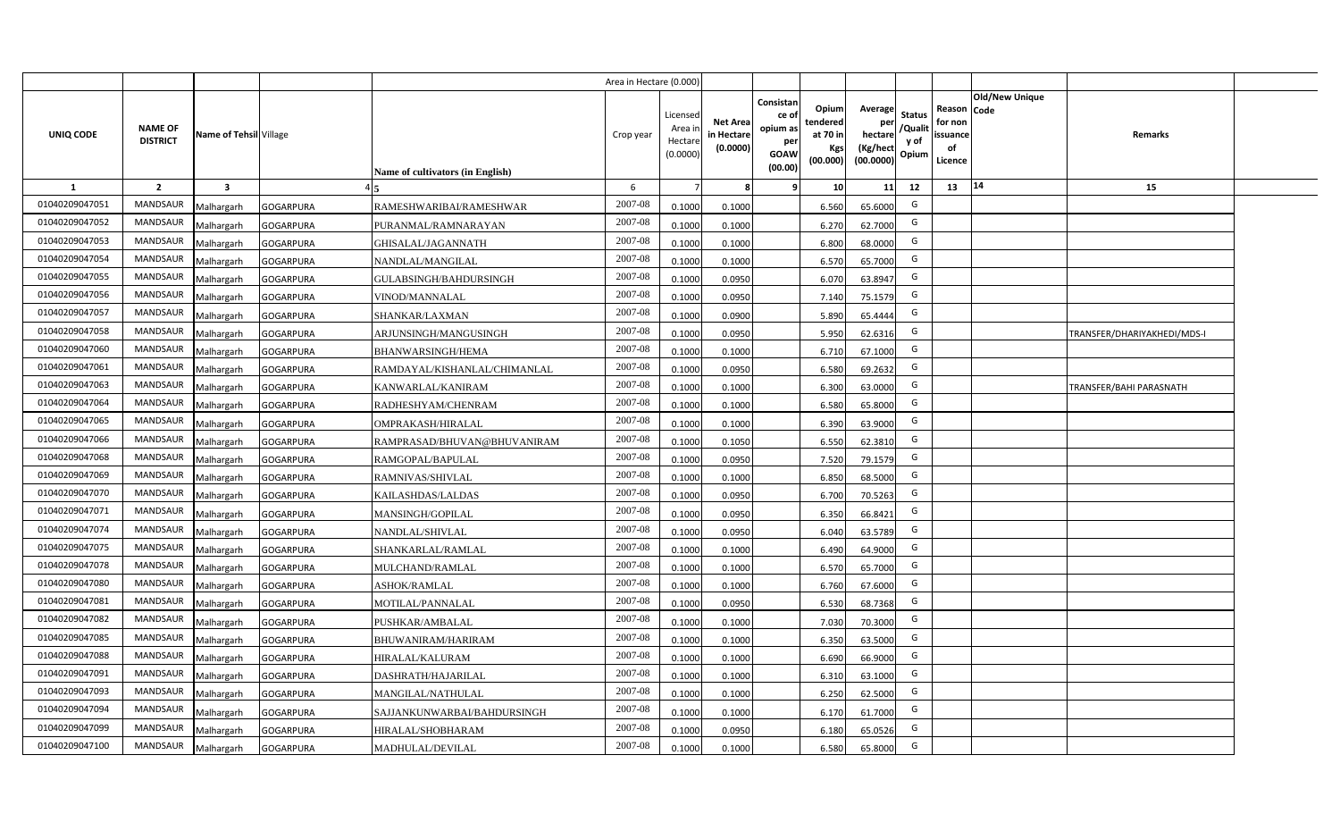|                |                                   |                         |                  |                                  | Area in Hectare (0.000 |                                          |                                          |                                                                 |                                                  |                                                    |                                           |                                                     |                |                             |  |
|----------------|-----------------------------------|-------------------------|------------------|----------------------------------|------------------------|------------------------------------------|------------------------------------------|-----------------------------------------------------------------|--------------------------------------------------|----------------------------------------------------|-------------------------------------------|-----------------------------------------------------|----------------|-----------------------------|--|
| UNIQ CODE      | <b>NAME OF</b><br><b>DISTRICT</b> | Name of Tehsil Village  |                  | Name of cultivators (in English) | Crop year              | Licensec<br>Area i<br>Hectar<br>(0.0000) | <b>Net Area</b><br>in Hectar<br>(0.0000) | Consistan<br>ce of<br>opium as<br>per<br><b>GOAW</b><br>(00.00) | Opium<br>tendered<br>at 70 in<br>Kgs<br>(00.000) | Average<br>per<br>hectare<br>(Kg/hect<br>(00.0000) | <b>Status</b><br>/Qualit<br>y of<br>Opium | Reason Code<br>for non<br>issuance<br>of<br>Licence | Old/New Unique | Remarks                     |  |
| 1              | $\overline{2}$                    | $\overline{\mathbf{3}}$ |                  |                                  | 6                      |                                          |                                          | -9                                                              | 10 <sup>1</sup>                                  | 11                                                 | 12                                        | 13                                                  | 14             | 15                          |  |
| 01040209047051 | <b>MANDSAUR</b>                   | Malhargarh              | <b>GOGARPURA</b> | RAMESHWARIBAI/RAMESHWAR          | 2007-08                | 0.1000                                   | 0.1000                                   |                                                                 | 6.560                                            | 65.6000                                            | G                                         |                                                     |                |                             |  |
| 01040209047052 | MANDSAUR                          | Malhargarh              | <b>GOGARPURA</b> | PURANMAL/RAMNARAYAN              | 2007-08                | 0.1000                                   | 0.1000                                   |                                                                 | 6.270                                            | 62.7000                                            | G                                         |                                                     |                |                             |  |
| 01040209047053 | <b>MANDSAUR</b>                   | Malhargarh              | <b>GOGARPURA</b> | GHISALAL/JAGANNATH               | 2007-08                | 0.1000                                   | 0.1000                                   |                                                                 | 6.800                                            | 68.0000                                            | G                                         |                                                     |                |                             |  |
| 01040209047054 | <b>MANDSAUR</b>                   | Malhargarh              | <b>GOGARPURA</b> | NANDLAL/MANGILAL                 | 2007-08                | 0.100                                    | 0.1000                                   |                                                                 | 6.570                                            | 65.7000                                            | G                                         |                                                     |                |                             |  |
| 01040209047055 | MANDSAUR                          | Malhargarh              | <b>GOGARPURA</b> | GULABSINGH/BAHDURSINGH           | 2007-08                | 0.1000                                   | 0.0950                                   |                                                                 | 6.070                                            | 63.8947                                            | G                                         |                                                     |                |                             |  |
| 01040209047056 | <b>MANDSAUR</b>                   | Malhargarh              | <b>GOGARPURA</b> | VINOD/MANNALAL                   | 2007-08                | 0.1000                                   | 0.0950                                   |                                                                 | 7.140                                            | 75.1579                                            | G                                         |                                                     |                |                             |  |
| 01040209047057 | <b>MANDSAUR</b>                   | Malhargarh              | <b>GOGARPURA</b> | SHANKAR/LAXMAN                   | 2007-08                | 0.1000                                   | 0.0900                                   |                                                                 | 5.890                                            | 65.4444                                            | G                                         |                                                     |                |                             |  |
| 01040209047058 | MANDSAUR                          | Malhargarh              | <b>GOGARPURA</b> | ARJUNSINGH/MANGUSINGH            | 2007-08                | 0.1000                                   | 0.0950                                   |                                                                 | 5.950                                            | 62.6316                                            | G                                         |                                                     |                | TRANSFER/DHARIYAKHEDI/MDS-I |  |
| 01040209047060 | MANDSAUR                          | Malhargarh              | <b>GOGARPURA</b> | <b>BHANWARSINGH/HEMA</b>         | 2007-08                | 0.100                                    | 0.1000                                   |                                                                 | 6.710                                            | 67.1000                                            | G                                         |                                                     |                |                             |  |
| 01040209047061 | MANDSAUR                          | Malhargarh              | <b>GOGARPURA</b> | RAMDAYAL/KISHANLAL/CHIMANLAL     | 2007-08                | 0.1000                                   | 0.0950                                   |                                                                 | 6.580                                            | 69.2632                                            | G                                         |                                                     |                |                             |  |
| 01040209047063 | MANDSAUR                          | Malhargarh              | <b>GOGARPURA</b> | KANWARLAL/KANIRAM                | 2007-08                | 0.1000                                   | 0.1000                                   |                                                                 | 6.300                                            | 63.0000                                            | G                                         |                                                     |                | TRANSFER/BAHI PARASNATH     |  |
| 01040209047064 | <b>MANDSAUR</b>                   | Malhargarh              | <b>GOGARPURA</b> | RADHESHYAM/CHENRAM               | 2007-08                | 0.1000                                   | 0.1000                                   |                                                                 | 6.580                                            | 65.8000                                            | G                                         |                                                     |                |                             |  |
| 01040209047065 | <b>MANDSAUR</b>                   | Malhargarh              | <b>GOGARPURA</b> | OMPRAKASH/HIRALAL                | 2007-08                | 0.1000                                   | 0.1000                                   |                                                                 | 6.390                                            | 63.9000                                            | G                                         |                                                     |                |                             |  |
| 01040209047066 | <b>MANDSAUR</b>                   | Malhargarh              | <b>GOGARPURA</b> | RAMPRASAD/BHUVAN@BHUVANIRAM      | 2007-08                | 0.1000                                   | 0.1050                                   |                                                                 | 6.550                                            | 62.3810                                            | G                                         |                                                     |                |                             |  |
| 01040209047068 | <b>MANDSAUR</b>                   | Malhargarh              | <b>GOGARPURA</b> | RAMGOPAL/BAPULAL                 | 2007-08                | 0.1000                                   | 0.0950                                   |                                                                 | 7.520                                            | 79.1579                                            | G                                         |                                                     |                |                             |  |
| 01040209047069 | <b>MANDSAUR</b>                   | Malhargarh              | <b>GOGARPURA</b> | RAMNIVAS/SHIVLAL                 | 2007-08                | 0.1000                                   | 0.1000                                   |                                                                 | 6.850                                            | 68.5000                                            | G                                         |                                                     |                |                             |  |
| 01040209047070 | <b>MANDSAUR</b>                   | Malhargarh              | <b>GOGARPURA</b> | KAILASHDAS/LALDAS                | 2007-08                | 0.1000                                   | 0.0950                                   |                                                                 | 6.700                                            | 70.5263                                            | G                                         |                                                     |                |                             |  |
| 01040209047071 | <b>MANDSAUR</b>                   | Malhargarh              | <b>GOGARPURA</b> | MANSINGH/GOPILAL                 | 2007-08                | 0.100                                    | 0.0950                                   |                                                                 | 6.350                                            | 66.8421                                            | G                                         |                                                     |                |                             |  |
| 01040209047074 | <b>MANDSAUR</b>                   | Malhargarh              | <b>GOGARPURA</b> | NANDLAL/SHIVLAL                  | 2007-08                | 0.100                                    | 0.0950                                   |                                                                 | 6.040                                            | 63.5789                                            | G                                         |                                                     |                |                             |  |
| 01040209047075 | <b>MANDSAUR</b>                   | Malhargarh              | <b>GOGARPURA</b> | SHANKARLAL/RAMLAL                | 2007-08                | 0.1000                                   | 0.1000                                   |                                                                 | 6.490                                            | 64.9000                                            | G                                         |                                                     |                |                             |  |
| 01040209047078 | <b>MANDSAUR</b>                   | Malhargarh              | <b>GOGARPURA</b> | MULCHAND/RAMLAL                  | 2007-08                | 0.100                                    | 0.1000                                   |                                                                 | 6.570                                            | 65.7000                                            | G                                         |                                                     |                |                             |  |
| 01040209047080 | <b>MANDSAUR</b>                   | Malhargarh              | <b>GOGARPURA</b> | ASHOK/RAMLAL                     | 2007-08                | 0.100                                    | 0.1000                                   |                                                                 | 6.760                                            | 67.6000                                            | G                                         |                                                     |                |                             |  |
| 01040209047081 | <b>MANDSAUR</b>                   | Malhargarh              | <b>GOGARPURA</b> | MOTILAL/PANNALAL                 | 2007-08                | 0.100                                    | 0.0950                                   |                                                                 | 6.530                                            | 68.7368                                            | G                                         |                                                     |                |                             |  |
| 01040209047082 | <b>MANDSAUR</b>                   | Malhargarh              | <b>GOGARPURA</b> | PUSHKAR/AMBALAL                  | 2007-08                | 0.100                                    | 0.1000                                   |                                                                 | 7.030                                            | 70.3000                                            | G                                         |                                                     |                |                             |  |
| 01040209047085 | <b>MANDSAUR</b>                   | Malhargarh              | <b>GOGARPURA</b> | <b>BHUWANIRAM/HARIRAM</b>        | 2007-08                | 0.1000                                   | 0.1000                                   |                                                                 | 6.350                                            | 63.5000                                            | G                                         |                                                     |                |                             |  |
| 01040209047088 | MANDSAUR                          | Malhargarh              | <b>GOGARPURA</b> | HIRALAL/KALURAM                  | 2007-08                | 0.1000                                   | 0.1000                                   |                                                                 | 6.690                                            | 66.9000                                            | G                                         |                                                     |                |                             |  |
| 01040209047091 | MANDSAUR                          | Malhargarh              | <b>GOGARPURA</b> | DASHRATH/HAJARILAL               | 2007-08                | 0.1000                                   | 0.1000                                   |                                                                 | 6.310                                            | 63.1000                                            | G                                         |                                                     |                |                             |  |
| 01040209047093 | MANDSAUR                          | Malhargarh              | <b>GOGARPURA</b> | MANGILAL/NATHULAL                | 2007-08                | 0.1000                                   | 0.1000                                   |                                                                 | 6.250                                            | 62.5000                                            | G                                         |                                                     |                |                             |  |
| 01040209047094 | MANDSAUR                          | Malhargarh              | <b>GOGARPURA</b> | SAJJANKUNWARBAI/BAHDURSINGH      | 2007-08                | 0.1000                                   | 0.1000                                   |                                                                 | 6.170                                            | 61.7000                                            | G                                         |                                                     |                |                             |  |
| 01040209047099 | MANDSAUR                          | Malhargarh              | <b>GOGARPURA</b> | HIRALAL/SHOBHARAM                | 2007-08                | 0.1000                                   | 0.0950                                   |                                                                 | 6.180                                            | 65.0526                                            | G                                         |                                                     |                |                             |  |
| 01040209047100 | MANDSAUR                          | Malhargarh              | <b>GOGARPURA</b> | MADHULAL/DEVILAL                 | 2007-08                | 0.1000                                   | 0.1000                                   |                                                                 | 6.580                                            | 65.8000                                            | G                                         |                                                     |                |                             |  |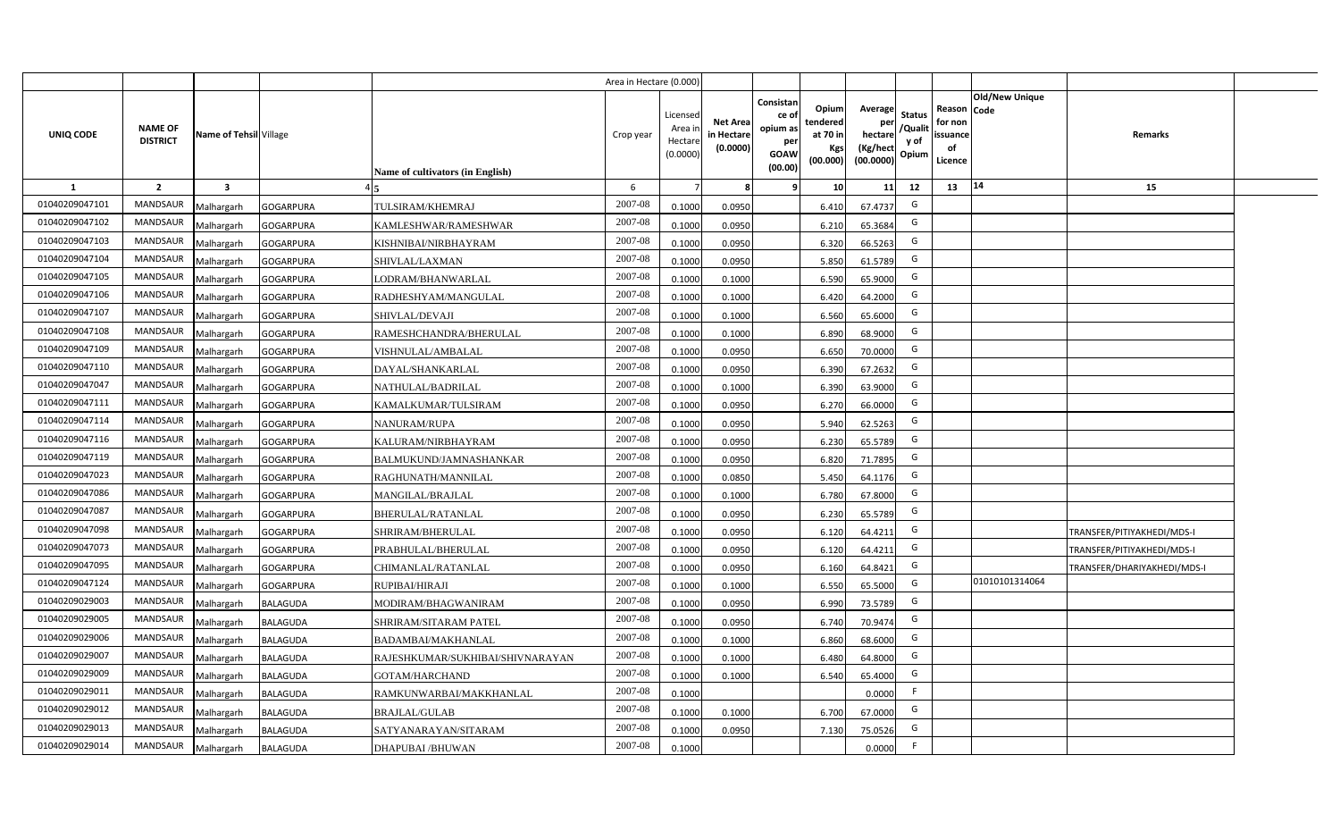|                |                                   |                         |                  |                                  | Area in Hectare (0.000 |                                          |                                          |                                                                 |                                                  |                                                    |                                           |                                                     |                |                             |  |
|----------------|-----------------------------------|-------------------------|------------------|----------------------------------|------------------------|------------------------------------------|------------------------------------------|-----------------------------------------------------------------|--------------------------------------------------|----------------------------------------------------|-------------------------------------------|-----------------------------------------------------|----------------|-----------------------------|--|
| UNIQ CODE      | <b>NAME OF</b><br><b>DISTRICT</b> | Name of Tehsil Village  |                  | Name of cultivators (in English) | Crop year              | Licensec<br>Area i<br>Hectar<br>(0.0000) | <b>Net Area</b><br>in Hectar<br>(0.0000) | Consistan<br>ce of<br>opium as<br>per<br><b>GOAW</b><br>(00.00) | Opium<br>tendered<br>at 70 in<br>Kgs<br>(00.000) | Average<br>per<br>hectare<br>(Kg/hect<br>(00.0000) | <b>Status</b><br>/Qualit<br>y of<br>Opium | Reason Code<br>for non<br>issuance<br>of<br>Licence | Old/New Unique | <b>Remarks</b>              |  |
| 1              | $\overline{2}$                    | $\overline{\mathbf{3}}$ |                  |                                  | 6                      |                                          |                                          | -9                                                              | 10 <sup>1</sup>                                  | 11                                                 | 12                                        | 13                                                  | 14             | 15                          |  |
| 01040209047101 | <b>MANDSAUR</b>                   | Malhargarh              | <b>GOGARPURA</b> | TULSIRAM/KHEMRAJ                 | 2007-08                | 0.1000                                   | 0.0950                                   |                                                                 | 6.410                                            | 67.4737                                            | G                                         |                                                     |                |                             |  |
| 01040209047102 | MANDSAUR                          | Malhargarh              | <b>GOGARPURA</b> | KAMLESHWAR/RAMESHWAR             | 2007-08                | 0.1000                                   | 0.0950                                   |                                                                 | 6.210                                            | 65.3684                                            | G                                         |                                                     |                |                             |  |
| 01040209047103 | <b>MANDSAUR</b>                   | Malhargarh              | <b>GOGARPURA</b> | KISHNIBAI/NIRBHAYRAM             | 2007-08                | 0.1000                                   | 0.0950                                   |                                                                 | 6.320                                            | 66.5263                                            | G                                         |                                                     |                |                             |  |
| 01040209047104 | <b>MANDSAUR</b>                   | Malhargarh              | <b>GOGARPURA</b> | SHIVLAL/LAXMAN                   | 2007-08                | 0.100                                    | 0.0950                                   |                                                                 | 5.850                                            | 61.5789                                            | G                                         |                                                     |                |                             |  |
| 01040209047105 | <b>MANDSAUR</b>                   | Malhargarh              | <b>GOGARPURA</b> | LODRAM/BHANWARLAL                | 2007-08                | 0.1000                                   | 0.1000                                   |                                                                 | 6.590                                            | 65.9000                                            | G                                         |                                                     |                |                             |  |
| 01040209047106 | <b>MANDSAUR</b>                   | Malhargarh              | <b>GOGARPURA</b> | RADHESHYAM/MANGULAL              | 2007-08                | 0.1000                                   | 0.1000                                   |                                                                 | 6.420                                            | 64.2000                                            | G                                         |                                                     |                |                             |  |
| 01040209047107 | <b>MANDSAUR</b>                   | Malhargarh              | <b>GOGARPURA</b> | SHIVLAL/DEVAJI                   | 2007-08                | 0.1000                                   | 0.1000                                   |                                                                 | 6.560                                            | 65.6000                                            | G                                         |                                                     |                |                             |  |
| 01040209047108 | MANDSAUR                          | Malhargarh              | <b>GOGARPURA</b> | RAMESHCHANDRA/BHERULAL           | 2007-08                | 0.1000                                   | 0.1000                                   |                                                                 | 6.890                                            | 68.9000                                            | G                                         |                                                     |                |                             |  |
| 01040209047109 | MANDSAUR                          | Malhargarh              | <b>GOGARPURA</b> | VISHNULAL/AMBALAL                | 2007-08                | 0.100                                    | 0.0950                                   |                                                                 | 6.650                                            | 70.0000                                            | G                                         |                                                     |                |                             |  |
| 01040209047110 | MANDSAUR                          | Malhargarh              | <b>GOGARPURA</b> | DAYAL/SHANKARLAL                 | 2007-08                | 0.1000                                   | 0.0950                                   |                                                                 | 6.390                                            | 67.2632                                            | G                                         |                                                     |                |                             |  |
| 01040209047047 | <b>MANDSAUR</b>                   | Malhargarh              | <b>GOGARPURA</b> | NATHULAL/BADRILAL                | 2007-08                | 0.1000                                   | 0.1000                                   |                                                                 | 6.390                                            | 63.9000                                            | G                                         |                                                     |                |                             |  |
| 01040209047111 | <b>MANDSAUR</b>                   | Malhargarh              | <b>GOGARPURA</b> | KAMALKUMAR/TULSIRAM              | 2007-08                | 0.1000                                   | 0.0950                                   |                                                                 | 6.270                                            | 66.0000                                            | G                                         |                                                     |                |                             |  |
| 01040209047114 | <b>MANDSAUR</b>                   | Malhargarh              | <b>GOGARPURA</b> | NANURAM/RUPA                     | 2007-08                | 0.1000                                   | 0.0950                                   |                                                                 | 5.940                                            | 62.5263                                            | G                                         |                                                     |                |                             |  |
| 01040209047116 | <b>MANDSAUR</b>                   | Malhargarh              | <b>GOGARPURA</b> | KALURAM/NIRBHAYRAM               | 2007-08                | 0.1000                                   | 0.0950                                   |                                                                 | 6.230                                            | 65.5789                                            | G                                         |                                                     |                |                             |  |
| 01040209047119 | <b>MANDSAUR</b>                   | Malhargarh              | <b>GOGARPURA</b> | BALMUKUND/JAMNASHANKAR           | 2007-08                | 0.1000                                   | 0.0950                                   |                                                                 | 6.820                                            | 71.7895                                            | G                                         |                                                     |                |                             |  |
| 01040209047023 | <b>MANDSAUR</b>                   | Malhargarh              | <b>GOGARPURA</b> | RAGHUNATH/MANNILAL               | 2007-08                | 0.1000                                   | 0.0850                                   |                                                                 | 5.450                                            | 64.1176                                            | G                                         |                                                     |                |                             |  |
| 01040209047086 | <b>MANDSAUR</b>                   | Malhargarh              | <b>GOGARPURA</b> | MANGILAL/BRAJLAL                 | 2007-08                | 0.1000                                   | 0.1000                                   |                                                                 | 6.780                                            | 67.8000                                            | G                                         |                                                     |                |                             |  |
| 01040209047087 | <b>MANDSAUR</b>                   | Malhargarh              | <b>GOGARPURA</b> | BHERULAL/RATANLAL                | 2007-08                | 0.100                                    | 0.0950                                   |                                                                 | 6.230                                            | 65.5789                                            | G                                         |                                                     |                |                             |  |
| 01040209047098 | <b>MANDSAUR</b>                   | Malhargarh              | <b>GOGARPURA</b> | SHRIRAM/BHERULAL                 | 2007-08                | 0.100                                    | 0.0950                                   |                                                                 | 6.120                                            | 64.4211                                            | G                                         |                                                     |                | TRANSFER/PITIYAKHEDI/MDS-I  |  |
| 01040209047073 | <b>MANDSAUR</b>                   | Malhargarh              | <b>GOGARPURA</b> | PRABHULAL/BHERULAL               | 2007-08                | 0.1000                                   | 0.0950                                   |                                                                 | 6.120                                            | 64.4211                                            | G                                         |                                                     |                | TRANSFER/PITIYAKHEDI/MDS-I  |  |
| 01040209047095 | <b>MANDSAUR</b>                   | Malhargarh              | <b>GOGARPURA</b> | CHIMANLAL/RATANLAL               | 2007-08                | 0.100                                    | 0.0950                                   |                                                                 | 6.160                                            | 64.8421                                            | G                                         |                                                     |                | TRANSFER/DHARIYAKHEDI/MDS-I |  |
| 01040209047124 | <b>MANDSAUR</b>                   | Malhargarh              | <b>GOGARPURA</b> | RUPIBAI/HIRAJI                   | 2007-08                | 0.100                                    | 0.1000                                   |                                                                 | 6.550                                            | 65.5000                                            | G                                         |                                                     | 01010101314064 |                             |  |
| 01040209029003 | <b>MANDSAUR</b>                   | Malhargarh              | <b>BALAGUDA</b>  | MODIRAM/BHAGWANIRAM              | 2007-08                | 0.100                                    | 0.0950                                   |                                                                 | 6.990                                            | 73.5789                                            | G                                         |                                                     |                |                             |  |
| 01040209029005 | <b>MANDSAUR</b>                   | Malhargarh              | <b>BALAGUDA</b>  | SHRIRAM/SITARAM PATEL            | 2007-08                | 0.100                                    | 0.0950                                   |                                                                 | 6.740                                            | 70.9474                                            | G                                         |                                                     |                |                             |  |
| 01040209029006 | <b>MANDSAUR</b>                   | Malhargarh              | <b>BALAGUDA</b>  | BADAMBAI/MAKHANLAL               | 2007-08                | 0.1000                                   | 0.1000                                   |                                                                 | 6.860                                            | 68.6000                                            | G                                         |                                                     |                |                             |  |
| 01040209029007 | MANDSAUR                          | Malhargarh              | <b>BALAGUDA</b>  | RAJESHKUMAR/SUKHIBAI/SHIVNARAYAN | 2007-08                | 0.1000                                   | 0.1000                                   |                                                                 | 6.480                                            | 64.8000                                            | G                                         |                                                     |                |                             |  |
| 01040209029009 | MANDSAUR                          | Malhargarh              | <b>BALAGUDA</b>  | <b>GOTAM/HARCHAND</b>            | 2007-08                | 0.1000                                   | 0.1000                                   |                                                                 | 6.540                                            | 65.4000                                            | G                                         |                                                     |                |                             |  |
| 01040209029011 | MANDSAUR                          | Malhargarh              | <b>BALAGUDA</b>  | RAMKUNWARBAI/MAKKHANLAL          | 2007-08                | 0.1000                                   |                                          |                                                                 |                                                  | 0.0000                                             | F                                         |                                                     |                |                             |  |
| 01040209029012 | MANDSAUR                          | Malhargarh              | <b>BALAGUDA</b>  | <b>BRAJLAL/GULAB</b>             | 2007-08                | 0.1000                                   | 0.1000                                   |                                                                 | 6.700                                            | 67.0000                                            | G                                         |                                                     |                |                             |  |
| 01040209029013 | MANDSAUR                          | Malhargarh              | <b>BALAGUDA</b>  | SATYANARAYAN/SITARAM             | 2007-08                | 0.1000                                   | 0.0950                                   |                                                                 | 7.130                                            | 75.0526                                            | G                                         |                                                     |                |                             |  |
| 01040209029014 | MANDSAUR                          | Malhargarh              | <b>BALAGUDA</b>  | DHAPUBAI /BHUWAN                 | 2007-08                | 0.1000                                   |                                          |                                                                 |                                                  | 0.0000                                             | -F                                        |                                                     |                |                             |  |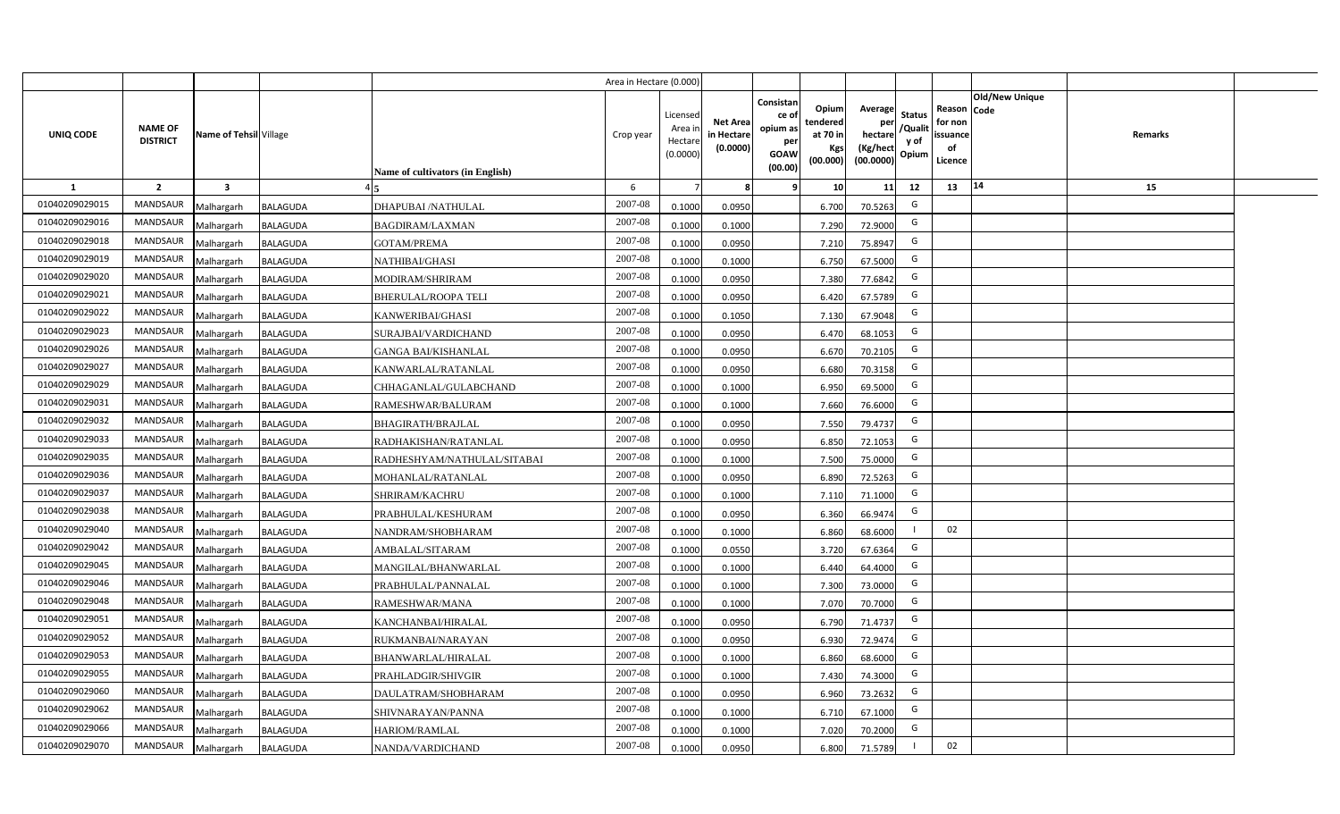|                |                                   |                         |                 |                                  | Area in Hectare (0.000) |                                           |                                           |                                                                                                                     |                                                    |                                           |                                                     |                       |         |  |
|----------------|-----------------------------------|-------------------------|-----------------|----------------------------------|-------------------------|-------------------------------------------|-------------------------------------------|---------------------------------------------------------------------------------------------------------------------|----------------------------------------------------|-------------------------------------------|-----------------------------------------------------|-----------------------|---------|--|
| UNIQ CODE      | <b>NAME OF</b><br><b>DISTRICT</b> | Name of Tehsil Village  |                 | Name of cultivators (in English) | Crop year               | Licensed<br>Area i<br>Hectare<br>(0.0000) | <b>Net Area</b><br>in Hectare<br>(0.0000) | Consistan<br>Opium<br>ce of<br>tendered<br>opium as<br>at 70 in<br>per<br>Kgs<br><b>GOAW</b><br>(00.000)<br>(00.00) | Average<br>per<br>hectare<br>(Kg/hect<br>(00.0000) | <b>Status</b><br>/Qualit<br>y of<br>Opium | Reason Code<br>for non<br>issuance<br>of<br>Licence | <b>Old/New Unique</b> | Remarks |  |
| 1              | $\overline{2}$                    | $\overline{\mathbf{3}}$ |                 |                                  | 6                       |                                           | 8                                         | 10 <sup>1</sup><br>-9                                                                                               | 11                                                 | 12                                        | 13                                                  | 14                    | 15      |  |
| 01040209029015 | <b>MANDSAUR</b>                   | Malhargarh              | <b>BALAGUDA</b> | <b>DHAPUBAI/NATHULAL</b>         | 2007-08                 | 0.1000                                    | 0.0950                                    | 6.700                                                                                                               | 70.5263                                            | G                                         |                                                     |                       |         |  |
| 01040209029016 | MANDSAUR                          | Malhargarh              | <b>BALAGUDA</b> | <b>BAGDIRAM/LAXMAN</b>           | 2007-08                 | 0.1000                                    | 0.1000                                    | 7.290                                                                                                               | 72.9000                                            | G                                         |                                                     |                       |         |  |
| 01040209029018 | <b>MANDSAUR</b>                   | Malhargarh              | <b>BALAGUDA</b> | <b>GOTAM/PREMA</b>               | 2007-08                 | 0.1000                                    | 0.0950                                    | 7.210                                                                                                               | 75.8947                                            | G                                         |                                                     |                       |         |  |
| 01040209029019 | <b>MANDSAUR</b>                   | Malhargarh              | <b>BALAGUDA</b> | NATHIBAI/GHASI                   | 2007-08                 | 0.1000                                    | 0.1000                                    | 6.750                                                                                                               | 67.5000                                            | G                                         |                                                     |                       |         |  |
| 01040209029020 | MANDSAUR                          | Malhargarh              | <b>BALAGUDA</b> | MODIRAM/SHRIRAM                  | 2007-08                 | 0.1000                                    | 0.0950                                    | 7.380                                                                                                               | 77.6842                                            | G                                         |                                                     |                       |         |  |
| 01040209029021 | <b>MANDSAUR</b>                   | Malhargarh              | <b>BALAGUDA</b> | <b>BHERULAL/ROOPA TELI</b>       | 2007-08                 | 0.1000                                    | 0.0950                                    | 6.420                                                                                                               | 67.5789                                            | G                                         |                                                     |                       |         |  |
| 01040209029022 | <b>MANDSAUR</b>                   | Malhargarh              | <b>BALAGUDA</b> | KANWERIBAI/GHASI                 | 2007-08                 | 0.1000                                    | 0.1050                                    | 7.130                                                                                                               | 67.9048                                            | G                                         |                                                     |                       |         |  |
| 01040209029023 | MANDSAUR                          | Malhargarh              | <b>BALAGUDA</b> | SURAJBAI/VARDICHAND              | 2007-08                 | 0.1000                                    | 0.0950                                    | 6.470                                                                                                               | 68.1053                                            | G                                         |                                                     |                       |         |  |
| 01040209029026 | MANDSAUR                          | Malhargarh              | <b>BALAGUDA</b> | <b>GANGA BAI/KISHANLAL</b>       | 2007-08                 | 0.1000                                    | 0.0950                                    | 6.670                                                                                                               | 70.2105                                            | G                                         |                                                     |                       |         |  |
| 01040209029027 | MANDSAUR                          | Malhargarh              | <b>BALAGUDA</b> | KANWARLAL/RATANLAL               | 2007-08                 | 0.1000                                    | 0.0950                                    | 6.680                                                                                                               | 70.3158                                            | G                                         |                                                     |                       |         |  |
| 01040209029029 | <b>MANDSAUR</b>                   | Malhargarh              | <b>BALAGUDA</b> | CHHAGANLAL/GULABCHAND            | 2007-08                 | 0.1000                                    | 0.1000                                    | 6.950                                                                                                               | 69.5000                                            | G                                         |                                                     |                       |         |  |
| 01040209029031 | <b>MANDSAUR</b>                   | Malhargarh              | <b>BALAGUDA</b> | RAMESHWAR/BALURAM                | 2007-08                 | 0.1000                                    | 0.1000                                    | 7.660                                                                                                               | 76.6000                                            | G                                         |                                                     |                       |         |  |
| 01040209029032 | <b>MANDSAUR</b>                   | Malhargarh              | <b>BALAGUDA</b> | <b>BHAGIRATH/BRAJLAL</b>         | 2007-08                 | 0.1000                                    | 0.0950                                    | 7.550                                                                                                               | 79.4737                                            | G                                         |                                                     |                       |         |  |
| 01040209029033 | <b>MANDSAUR</b>                   | Malhargarh              | <b>BALAGUDA</b> | RADHAKISHAN/RATANLAL             | 2007-08                 | 0.1000                                    | 0.0950                                    | 6.850                                                                                                               | 72.1053                                            | G                                         |                                                     |                       |         |  |
| 01040209029035 | <b>MANDSAUR</b>                   | Malhargarh              | <b>BALAGUDA</b> | RADHESHYAM/NATHULAL/SITABAI      | 2007-08                 | 0.1000                                    | 0.1000                                    | 7.500                                                                                                               | 75.0000                                            | G                                         |                                                     |                       |         |  |
| 01040209029036 | MANDSAUR                          | Malhargarh              | <b>BALAGUDA</b> | MOHANLAL/RATANLAL                | 2007-08                 | 0.1000                                    | 0.0950                                    | 6.890                                                                                                               | 72.5263                                            | G                                         |                                                     |                       |         |  |
| 01040209029037 | MANDSAUR                          | Malhargarh              | <b>BALAGUDA</b> | SHRIRAM/KACHRU                   | 2007-08                 | 0.1000                                    | 0.1000                                    | 7.110                                                                                                               | 71.1000                                            | G                                         |                                                     |                       |         |  |
| 01040209029038 | <b>MANDSAUR</b>                   | Malhargarh              | <b>BALAGUDA</b> | PRABHULAL/KESHURAM               | 2007-08                 | 0.1000                                    | 0.0950                                    | 6.360                                                                                                               | 66.9474                                            | G                                         |                                                     |                       |         |  |
| 01040209029040 | MANDSAUR                          | Malhargarh              | <b>BALAGUDA</b> | NANDRAM/SHOBHARAM                | 2007-08                 | 0.1000                                    | 0.1000                                    | 6.860                                                                                                               | 68.6000                                            |                                           | 02                                                  |                       |         |  |
| 01040209029042 | <b>MANDSAUR</b>                   | Malhargarh              | <b>BALAGUDA</b> | AMBALAL/SITARAM                  | 2007-08                 | 0.1000                                    | 0.0550                                    | 3.720                                                                                                               | 67.6364                                            | G                                         |                                                     |                       |         |  |
| 01040209029045 | <b>MANDSAUR</b>                   | Malhargarh              | <b>BALAGUDA</b> | MANGILAL/BHANWARLAL              | 2007-08                 | 0.1000                                    | 0.1000                                    | 6.440                                                                                                               | 64.4000                                            | G                                         |                                                     |                       |         |  |
| 01040209029046 | <b>MANDSAUR</b>                   | Malhargarh              | <b>BALAGUDA</b> | PRABHULAL/PANNALAL               | 2007-08                 | 0.1000                                    | 0.1000                                    | 7.300                                                                                                               | 73.0000                                            | G                                         |                                                     |                       |         |  |
| 01040209029048 | <b>MANDSAUR</b>                   | Malhargarh              | <b>BALAGUDA</b> | RAMESHWAR/MANA                   | 2007-08                 | 0.1000                                    | 0.1000                                    | 7.070                                                                                                               | 70.7000                                            | G                                         |                                                     |                       |         |  |
| 01040209029051 | <b>MANDSAUR</b>                   | Malhargarh              | <b>BALAGUDA</b> | KANCHANBAI/HIRALAL               | 2007-08                 | 0.1000                                    | 0.0950                                    | 6.790                                                                                                               | 71.4737                                            | G                                         |                                                     |                       |         |  |
| 01040209029052 | <b>MANDSAUR</b>                   | Malhargarh              | <b>BALAGUDA</b> | RUKMANBAI/NARAYAN                | 2007-08                 | 0.1000                                    | 0.0950                                    | 6.930                                                                                                               | 72.9474                                            | G                                         |                                                     |                       |         |  |
| 01040209029053 | MANDSAUR                          | Malhargarh              | <b>BALAGUDA</b> | BHANWARLAL/HIRALAL               | 2007-08                 | 0.1000                                    | 0.1000                                    | 6.860                                                                                                               | 68.6000                                            | G                                         |                                                     |                       |         |  |
| 01040209029055 | MANDSAUR                          | Malhargarh              | <b>BALAGUDA</b> | PRAHLADGIR/SHIVGIR               | 2007-08                 | 0.1000                                    | 0.1000                                    | 7.430                                                                                                               | 74.3000                                            | G                                         |                                                     |                       |         |  |
| 01040209029060 | MANDSAUR                          | Malhargarh              | <b>BALAGUDA</b> | DAULATRAM/SHOBHARAM              | 2007-08                 | 0.1000                                    | 0.0950                                    | 6.960                                                                                                               | 73.2632                                            | G                                         |                                                     |                       |         |  |
| 01040209029062 | MANDSAUR                          | Malhargarh              | <b>BALAGUDA</b> | SHIVNARAYAN/PANNA                | 2007-08                 | 0.1000                                    | 0.1000                                    | 6.710                                                                                                               | 67.1000                                            | G                                         |                                                     |                       |         |  |
| 01040209029066 | MANDSAUR                          | Malhargarh              | <b>BALAGUDA</b> | HARIOM/RAMLAL                    | 2007-08                 | 0.1000                                    | 0.1000                                    | 7.020                                                                                                               | 70.2000                                            | G                                         |                                                     |                       |         |  |
| 01040209029070 | MANDSAUR                          | Malhargarh              | <b>BALAGUDA</b> | NANDA/VARDICHAND                 | 2007-08                 | 0.1000                                    | 0.0950                                    | 6.800                                                                                                               | 71.5789                                            | $\overline{1}$                            | 02                                                  |                       |         |  |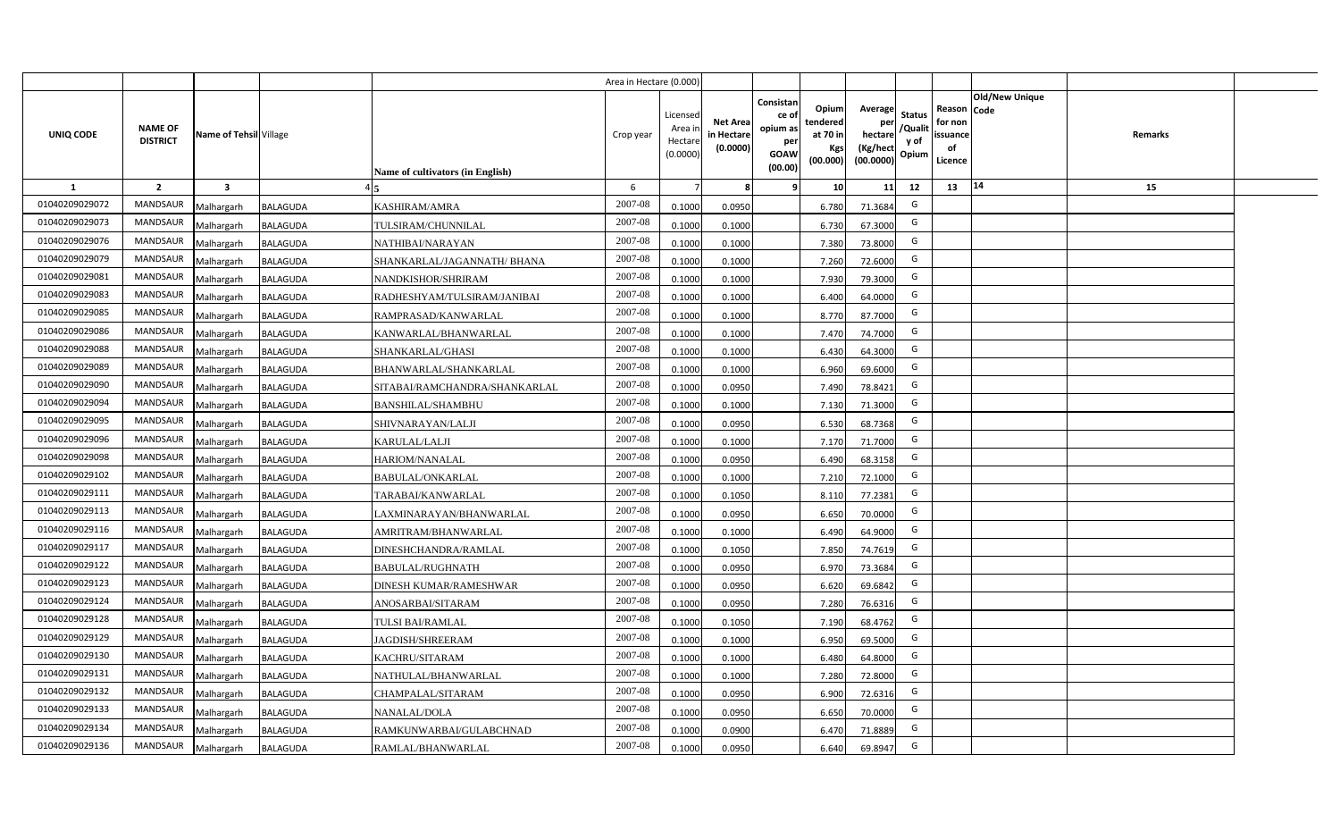|                |                                   |                         |                 |                                  | Area in Hectare (0.000) |                                           |                                           |                                                                                                                     |                                                    |                                           |                                                     |                       |         |  |
|----------------|-----------------------------------|-------------------------|-----------------|----------------------------------|-------------------------|-------------------------------------------|-------------------------------------------|---------------------------------------------------------------------------------------------------------------------|----------------------------------------------------|-------------------------------------------|-----------------------------------------------------|-----------------------|---------|--|
| UNIQ CODE      | <b>NAME OF</b><br><b>DISTRICT</b> | Name of Tehsil Village  |                 | Name of cultivators (in English) | Crop year               | Licensed<br>Area i<br>Hectare<br>(0.0000) | <b>Net Area</b><br>in Hectare<br>(0.0000) | Consistan<br>Opium<br>ce of<br>tendered<br>opium as<br>at 70 in<br>per<br>Kgs<br><b>GOAW</b><br>(00.000)<br>(00.00) | Average<br>per<br>hectare<br>(Kg/hect<br>(00.0000) | <b>Status</b><br>/Qualit<br>y of<br>Opium | Reason Code<br>for non<br>issuance<br>of<br>Licence | <b>Old/New Unique</b> | Remarks |  |
| 1              | $\overline{2}$                    | $\overline{\mathbf{3}}$ |                 |                                  | 6                       |                                           | 8                                         | 10 <sup>1</sup><br>-9                                                                                               | 11                                                 | 12                                        | 13                                                  | 14                    | 15      |  |
| 01040209029072 | <b>MANDSAUR</b>                   | Malhargarh              | <b>BALAGUDA</b> | KASHIRAM/AMRA                    | 2007-08                 | 0.1000                                    | 0.0950                                    | 6.780                                                                                                               | 71.3684                                            | G                                         |                                                     |                       |         |  |
| 01040209029073 | MANDSAUR                          | Malhargarh              | <b>BALAGUDA</b> | TULSIRAM/CHUNNILAL               | 2007-08                 | 0.1000                                    | 0.1000                                    | 6.730                                                                                                               | 67.3000                                            | G                                         |                                                     |                       |         |  |
| 01040209029076 | <b>MANDSAUR</b>                   | Malhargarh              | <b>BALAGUDA</b> | NATHIBAI/NARAYAN                 | 2007-08                 | 0.1000                                    | 0.1000                                    | 7.380                                                                                                               | 73.8000                                            | G                                         |                                                     |                       |         |  |
| 01040209029079 | <b>MANDSAUR</b>                   | Malhargarh              | <b>BALAGUDA</b> | SHANKARLAL/JAGANNATH/ BHANA      | 2007-08                 | 0.1000                                    | 0.1000                                    | 7.260                                                                                                               | 72.6000                                            | G                                         |                                                     |                       |         |  |
| 01040209029081 | MANDSAUR                          | Malhargarh              | <b>BALAGUDA</b> | NANDKISHOR/SHRIRAM               | 2007-08                 | 0.1000                                    | 0.1000                                    | 7.930                                                                                                               | 79.3000                                            | G                                         |                                                     |                       |         |  |
| 01040209029083 | <b>MANDSAUR</b>                   | Malhargarh              | <b>BALAGUDA</b> | RADHESHYAM/TULSIRAM/JANIBAI      | 2007-08                 | 0.1000                                    | 0.1000                                    | 6.400                                                                                                               | 64.0000                                            | G                                         |                                                     |                       |         |  |
| 01040209029085 | <b>MANDSAUR</b>                   | Malhargarh              | <b>BALAGUDA</b> | RAMPRASAD/KANWARLAL              | 2007-08                 | 0.1000                                    | 0.1000                                    | 8.770                                                                                                               | 87.7000                                            | G                                         |                                                     |                       |         |  |
| 01040209029086 | MANDSAUR                          | Malhargarh              | <b>BALAGUDA</b> | KANWARLAL/BHANWARLAL             | 2007-08                 | 0.1000                                    | 0.1000                                    | 7.470                                                                                                               | 74.7000                                            | G                                         |                                                     |                       |         |  |
| 01040209029088 | MANDSAUR                          | Malhargarh              | <b>BALAGUDA</b> | SHANKARLAL/GHASI                 | 2007-08                 | 0.1000                                    | 0.1000                                    | 6.430                                                                                                               | 64.3000                                            | G                                         |                                                     |                       |         |  |
| 01040209029089 | MANDSAUR                          | Malhargarh              | <b>BALAGUDA</b> | BHANWARLAL/SHANKARLAL            | 2007-08                 | 0.1000                                    | 0.1000                                    | 6.960                                                                                                               | 69.6000                                            | G                                         |                                                     |                       |         |  |
| 01040209029090 | <b>MANDSAUR</b>                   | Malhargarh              | <b>BALAGUDA</b> | SITABAI/RAMCHANDRA/SHANKARLAL    | 2007-08                 | 0.1000                                    | 0.0950                                    | 7.490                                                                                                               | 78.8421                                            | G                                         |                                                     |                       |         |  |
| 01040209029094 | <b>MANDSAUR</b>                   | Malhargarh              | <b>BALAGUDA</b> | <b>BANSHILAL/SHAMBHU</b>         | 2007-08                 | 0.1000                                    | 0.1000                                    | 7.130                                                                                                               | 71.3000                                            | G                                         |                                                     |                       |         |  |
| 01040209029095 | <b>MANDSAUR</b>                   | Malhargarh              | <b>BALAGUDA</b> | SHIVNARAYAN/LALJI                | 2007-08                 | 0.1000                                    | 0.0950                                    | 6.530                                                                                                               | 68.7368                                            | G                                         |                                                     |                       |         |  |
| 01040209029096 | <b>MANDSAUR</b>                   | Malhargarh              | <b>BALAGUDA</b> | KARULAL/LALJI                    | 2007-08                 | 0.1000                                    | 0.1000                                    | 7.170                                                                                                               | 71.7000                                            | G                                         |                                                     |                       |         |  |
| 01040209029098 | <b>MANDSAUR</b>                   | Malhargarh              | <b>BALAGUDA</b> | HARIOM/NANALAL                   | 2007-08                 | 0.1000                                    | 0.0950                                    | 6.490                                                                                                               | 68.3158                                            | G                                         |                                                     |                       |         |  |
| 01040209029102 | <b>MANDSAUR</b>                   | Malhargarh              | <b>BALAGUDA</b> | <b>BABULAL/ONKARLAL</b>          | 2007-08                 | 0.1000                                    | 0.1000                                    | 7.210                                                                                                               | 72.1000                                            | G                                         |                                                     |                       |         |  |
| 01040209029111 | MANDSAUR                          | Malhargarh              | <b>BALAGUDA</b> | TARABAI/KANWARLAL                | 2007-08                 | 0.1000                                    | 0.1050                                    | 8.110                                                                                                               | 77.2381                                            | G                                         |                                                     |                       |         |  |
| 01040209029113 | <b>MANDSAUR</b>                   | Malhargarh              | <b>BALAGUDA</b> | LAXMINARAYAN/BHANWARLAL          | 2007-08                 | 0.1000                                    | 0.0950                                    | 6.650                                                                                                               | 70.0000                                            | G                                         |                                                     |                       |         |  |
| 01040209029116 | MANDSAUR                          | Malhargarh              | <b>BALAGUDA</b> | AMRITRAM/BHANWARLAL              | 2007-08                 | 0.1000                                    | 0.1000                                    | 6.490                                                                                                               | 64.9000                                            | G                                         |                                                     |                       |         |  |
| 01040209029117 | <b>MANDSAUR</b>                   | Malhargarh              | <b>BALAGUDA</b> | DINESHCHANDRA/RAMLAL             | 2007-08                 | 0.1000                                    | 0.1050                                    | 7.850                                                                                                               | 74.7619                                            | G                                         |                                                     |                       |         |  |
| 01040209029122 | <b>MANDSAUR</b>                   | Malhargarh              | <b>BALAGUDA</b> | <b>BABULAL/RUGHNATH</b>          | 2007-08                 | 0.1000                                    | 0.0950                                    | 6.970                                                                                                               | 73.3684                                            | G                                         |                                                     |                       |         |  |
| 01040209029123 | <b>MANDSAUR</b>                   | Malhargarh              | <b>BALAGUDA</b> | <b>DINESH KUMAR/RAMESHWAR</b>    | 2007-08                 | 0.1000                                    | 0.0950                                    | 6.620                                                                                                               | 69.6842                                            | G                                         |                                                     |                       |         |  |
| 01040209029124 | <b>MANDSAUR</b>                   | Malhargarh              | <b>BALAGUDA</b> | ANOSARBAI/SITARAM                | 2007-08                 | 0.1000                                    | 0.0950                                    | 7.280                                                                                                               | 76.6316                                            | G                                         |                                                     |                       |         |  |
| 01040209029128 | <b>MANDSAUR</b>                   | Malhargarh              | <b>BALAGUDA</b> | TULSI BAI/RAMLAL                 | 2007-08                 | 0.1000                                    | 0.1050                                    | 7.190                                                                                                               | 68.4762                                            | G                                         |                                                     |                       |         |  |
| 01040209029129 | <b>MANDSAUR</b>                   | Malhargarh              | <b>BALAGUDA</b> | JAGDISH/SHREERAM                 | 2007-08                 | 0.1000                                    | 0.1000                                    | 6.950                                                                                                               | 69.5000                                            | G                                         |                                                     |                       |         |  |
| 01040209029130 | MANDSAUR                          | Malhargarh              | <b>BALAGUDA</b> | KACHRU/SITARAM                   | 2007-08                 | 0.1000                                    | 0.1000                                    | 6.480                                                                                                               | 64.8000                                            | G                                         |                                                     |                       |         |  |
| 01040209029131 | MANDSAUR                          | Malhargarh              | <b>BALAGUDA</b> | NATHULAL/BHANWARLAL              | 2007-08                 | 0.1000                                    | 0.1000                                    | 7.280                                                                                                               | 72.8000                                            | G                                         |                                                     |                       |         |  |
| 01040209029132 | MANDSAUR                          | Malhargarh              | <b>BALAGUDA</b> | CHAMPALAL/SITARAM                | 2007-08                 | 0.1000                                    | 0.0950                                    | 6.900                                                                                                               | 72.6316                                            | G                                         |                                                     |                       |         |  |
| 01040209029133 | MANDSAUR                          | Malhargarh              | <b>BALAGUDA</b> | <b>NANALAL/DOLA</b>              | 2007-08                 | 0.1000                                    | 0.0950                                    | 6.650                                                                                                               | 70.0000                                            | G                                         |                                                     |                       |         |  |
| 01040209029134 | MANDSAUR                          | Malhargarh              | <b>BALAGUDA</b> | RAMKUNWARBAI/GULABCHNAD          | 2007-08                 | 0.1000                                    | 0.0900                                    | 6.470                                                                                                               | 71.8889                                            | G                                         |                                                     |                       |         |  |
| 01040209029136 | MANDSAUR                          | Malhargarh              | <b>BALAGUDA</b> | RAMLAL/BHANWARLAL                | 2007-08                 | 0.1000                                    | 0.0950                                    | 6.640                                                                                                               | 69.8947                                            | G                                         |                                                     |                       |         |  |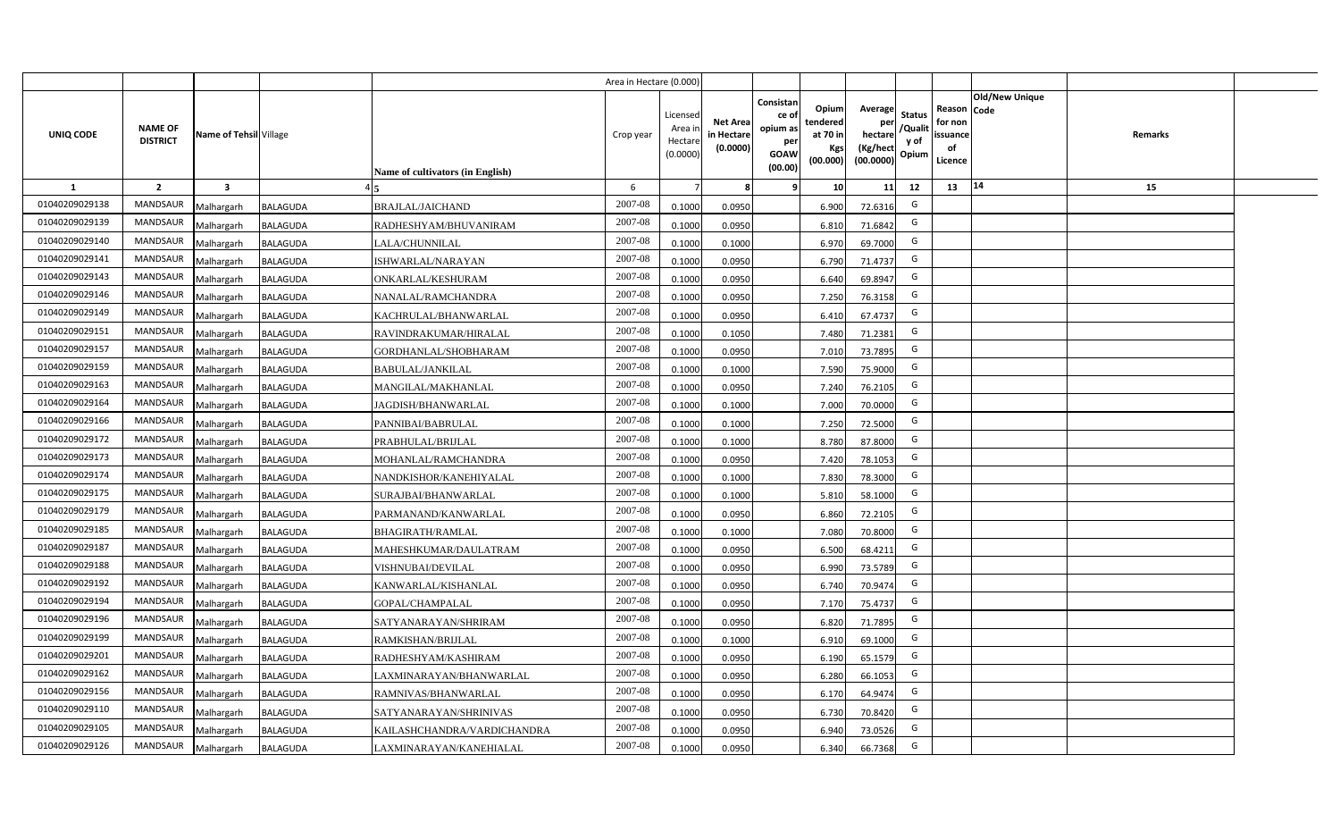|                |                                   |                         |                 |                                         | Area in Hectare (0.000) |                                           |                                           |                                                                                                                     |                                                    |                                           |                                                     |                       |         |  |
|----------------|-----------------------------------|-------------------------|-----------------|-----------------------------------------|-------------------------|-------------------------------------------|-------------------------------------------|---------------------------------------------------------------------------------------------------------------------|----------------------------------------------------|-------------------------------------------|-----------------------------------------------------|-----------------------|---------|--|
| UNIQ CODE      | <b>NAME OF</b><br><b>DISTRICT</b> | Name of Tehsil Village  |                 | <b>Name of cultivators (in English)</b> | Crop year               | Licensed<br>Area i<br>Hectare<br>(0.0000) | <b>Net Area</b><br>in Hectare<br>(0.0000) | Consistan<br>Opium<br>ce of<br>tendered<br>opium as<br>at 70 in<br>per<br>Kgs<br><b>GOAW</b><br>(00.000)<br>(00.00) | Average<br>per<br>hectare<br>(Kg/hect<br>(00.0000) | <b>Status</b><br>/Qualit<br>y of<br>Opium | Reason Code<br>for non<br>issuance<br>of<br>Licence | <b>Old/New Unique</b> | Remarks |  |
| 1              | $\overline{2}$                    | $\overline{\mathbf{3}}$ |                 |                                         | 6                       |                                           | 8                                         | -9<br>10 <sup>1</sup>                                                                                               | 11                                                 | 12                                        | 13                                                  | 14                    | 15      |  |
| 01040209029138 | <b>MANDSAUR</b>                   | Malhargarh              | <b>BALAGUDA</b> | <b>BRAJLAL/JAICHAND</b>                 | 2007-08                 | 0.1000                                    | 0.0950                                    | 6.900                                                                                                               | 72.6316                                            | G                                         |                                                     |                       |         |  |
| 01040209029139 | MANDSAUR                          | Malhargarh              | <b>BALAGUDA</b> | RADHESHYAM/BHUVANIRAM                   | 2007-08                 | 0.1000                                    | 0.0950                                    | 6.810                                                                                                               | 71.6842                                            | G                                         |                                                     |                       |         |  |
| 01040209029140 | <b>MANDSAUR</b>                   | Malhargarh              | <b>BALAGUDA</b> | LALA/CHUNNILAL                          | 2007-08                 | 0.1000                                    | 0.1000                                    | 6.970                                                                                                               | 69.7000                                            | G                                         |                                                     |                       |         |  |
| 01040209029141 | <b>MANDSAUR</b>                   | Malhargarh              | <b>BALAGUDA</b> | ISHWARLAL/NARAYAN                       | 2007-08                 | 0.1000                                    | 0.0950                                    | 6.790                                                                                                               | 71.4737                                            | G                                         |                                                     |                       |         |  |
| 01040209029143 | MANDSAUR                          | Malhargarh              | <b>BALAGUDA</b> | ONKARLAL/KESHURAM                       | 2007-08                 | 0.1000                                    | 0.0950                                    | 6.640                                                                                                               | 69.8947                                            | G                                         |                                                     |                       |         |  |
| 01040209029146 | <b>MANDSAUR</b>                   | Malhargarh              | <b>BALAGUDA</b> | NANALAL/RAMCHANDRA                      | 2007-08                 | 0.1000                                    | 0.0950                                    | 7.250                                                                                                               | 76.3158                                            | G                                         |                                                     |                       |         |  |
| 01040209029149 | <b>MANDSAUR</b>                   | Malhargarh              | <b>BALAGUDA</b> | KACHRULAL/BHANWARLAL                    | 2007-08                 | 0.1000                                    | 0.0950                                    | 6.410                                                                                                               | 67.4737                                            | G                                         |                                                     |                       |         |  |
| 01040209029151 | MANDSAUR                          | Malhargarh              | <b>BALAGUDA</b> | RAVINDRAKUMAR/HIRALAL                   | 2007-08                 | 0.1000                                    | 0.1050                                    | 7.480                                                                                                               | 71.2381                                            | G                                         |                                                     |                       |         |  |
| 01040209029157 | MANDSAUR                          | Malhargarh              | <b>BALAGUDA</b> | GORDHANLAL/SHOBHARAM                    | 2007-08                 | 0.1000                                    | 0.0950                                    | 7.010                                                                                                               | 73.7895                                            | G                                         |                                                     |                       |         |  |
| 01040209029159 | MANDSAUR                          | Malhargarh              | <b>BALAGUDA</b> | <b>BABULAL/JANKILAL</b>                 | 2007-08                 | 0.1000                                    | 0.1000                                    | 7.590                                                                                                               | 75.9000                                            | G                                         |                                                     |                       |         |  |
| 01040209029163 | <b>MANDSAUR</b>                   | Malhargarh              | <b>BALAGUDA</b> | MANGILAL/MAKHANLAL                      | 2007-08                 | 0.1000                                    | 0.0950                                    | 7.240                                                                                                               | 76.2105                                            | G                                         |                                                     |                       |         |  |
| 01040209029164 | MANDSAUR                          | Malhargarh              | <b>BALAGUDA</b> | JAGDISH/BHANWARLAL                      | 2007-08                 | 0.1000                                    | 0.1000                                    | 7.000                                                                                                               | 70.0000                                            | G                                         |                                                     |                       |         |  |
| 01040209029166 | <b>MANDSAUR</b>                   | Malhargarh              | <b>BALAGUDA</b> | PANNIBAI/BABRULAL                       | 2007-08                 | 0.1000                                    | 0.1000                                    | 7.250                                                                                                               | 72.5000                                            | G                                         |                                                     |                       |         |  |
| 01040209029172 | <b>MANDSAUR</b>                   | Malhargarh              | <b>BALAGUDA</b> | PRABHULAL/BRIJLAL                       | 2007-08                 | 0.1000                                    | 0.1000                                    | 8.780                                                                                                               | 87.8000                                            | G                                         |                                                     |                       |         |  |
| 01040209029173 | <b>MANDSAUR</b>                   | Malhargarh              | <b>BALAGUDA</b> | MOHANLAL/RAMCHANDRA                     | 2007-08                 | 0.1000                                    | 0.0950                                    | 7.420                                                                                                               | 78.1053                                            | G                                         |                                                     |                       |         |  |
| 01040209029174 | MANDSAUR                          | Malhargarh              | <b>BALAGUDA</b> | NANDKISHOR/KANEHIYALAL                  | 2007-08                 | 0.1000                                    | 0.1000                                    | 7.830                                                                                                               | 78.3000                                            | G                                         |                                                     |                       |         |  |
| 01040209029175 | MANDSAUR                          | Malhargarh              | <b>BALAGUDA</b> | SURAJBAI/BHANWARLAL                     | 2007-08                 | 0.1000                                    | 0.1000                                    | 5.810                                                                                                               | 58.1000                                            | G                                         |                                                     |                       |         |  |
| 01040209029179 | <b>MANDSAUR</b>                   | Malhargarh              | <b>BALAGUDA</b> | PARMANAND/KANWARLAL                     | 2007-08                 | 0.1000                                    | 0.0950                                    | 6.860                                                                                                               | 72.2105                                            | G                                         |                                                     |                       |         |  |
| 01040209029185 | MANDSAUR                          | Malhargarh              | <b>BALAGUDA</b> | <b>BHAGIRATH/RAMLAL</b>                 | 2007-08                 | 0.1000                                    | 0.1000                                    | 7.080                                                                                                               | 70.8000                                            | G                                         |                                                     |                       |         |  |
| 01040209029187 | <b>MANDSAUR</b>                   | Malhargarh              | <b>BALAGUDA</b> | MAHESHKUMAR/DAULATRAM                   | 2007-08                 | 0.1000                                    | 0.0950                                    | 6.500                                                                                                               | 68.4211                                            | G                                         |                                                     |                       |         |  |
| 01040209029188 | MANDSAUR                          | Malhargarh              | <b>BALAGUDA</b> | VISHNUBAI/DEVILAL                       | 2007-08                 | 0.1000                                    | 0.0950                                    | 6.990                                                                                                               | 73.5789                                            | G                                         |                                                     |                       |         |  |
| 01040209029192 | MANDSAUR                          | Malhargarh              | <b>BALAGUDA</b> | KANWARLAL/KISHANLAL                     | 2007-08                 | 0.1000                                    | 0.0950                                    | 6.740                                                                                                               | 70.9474                                            | G                                         |                                                     |                       |         |  |
| 01040209029194 | MANDSAUR                          | Malhargarh              | <b>BALAGUDA</b> | GOPAL/CHAMPALAL                         | 2007-08                 | 0.1000                                    | 0.0950                                    | 7.170                                                                                                               | 75.4737                                            | G                                         |                                                     |                       |         |  |
| 01040209029196 | MANDSAUR                          | Malhargarh              | <b>BALAGUDA</b> | SATYANARAYAN/SHRIRAM                    | 2007-08                 | 0.1000                                    | 0.0950                                    | 6.820                                                                                                               | 71.7895                                            | G                                         |                                                     |                       |         |  |
| 01040209029199 | <b>MANDSAUR</b>                   | Malhargarh              | <b>BALAGUDA</b> | RAMKISHAN/BRIJLAL                       | 2007-08                 | 0.1000                                    | 0.1000                                    | 6.91                                                                                                                | 69.1000                                            | G                                         |                                                     |                       |         |  |
| 01040209029201 | MANDSAUR                          | Malhargarh              | <b>BALAGUDA</b> | RADHESHYAM/KASHIRAM                     | 2007-08                 | 0.1000                                    | 0.0950                                    | 6.190                                                                                                               | 65.1579                                            | G                                         |                                                     |                       |         |  |
| 01040209029162 | MANDSAUR                          | Malhargarh              | <b>BALAGUDA</b> | LAXMINARAYAN/BHANWARLAL                 | 2007-08                 | 0.1000                                    | 0.0950                                    | 6.280                                                                                                               | 66.1053                                            | G                                         |                                                     |                       |         |  |
| 01040209029156 | MANDSAUR                          | Malhargarh              | <b>BALAGUDA</b> | RAMNIVAS/BHANWARLAL                     | 2007-08                 | 0.1000                                    | 0.0950                                    | 6.170                                                                                                               | 64.9474                                            | G                                         |                                                     |                       |         |  |
| 01040209029110 | MANDSAUR                          | Malhargarh              | <b>BALAGUDA</b> | SATYANARAYAN/SHRINIVAS                  | 2007-08                 | 0.1000                                    | 0.0950                                    | 6.730                                                                                                               | 70.8420                                            | G                                         |                                                     |                       |         |  |
| 01040209029105 | MANDSAUR                          | Malhargarh              | <b>BALAGUDA</b> | KAILASHCHANDRA/VARDICHANDRA             | 2007-08                 | 0.1000                                    | 0.0950                                    | 6.940                                                                                                               | 73.0526                                            | G                                         |                                                     |                       |         |  |
| 01040209029126 | MANDSAUR                          | Malhargarh              | <b>BALAGUDA</b> | LAXMINARAYAN/KANEHIALAL                 | 2007-08                 | 0.1000                                    | 0.0950                                    | 6.340                                                                                                               | 66.7368                                            | G                                         |                                                     |                       |         |  |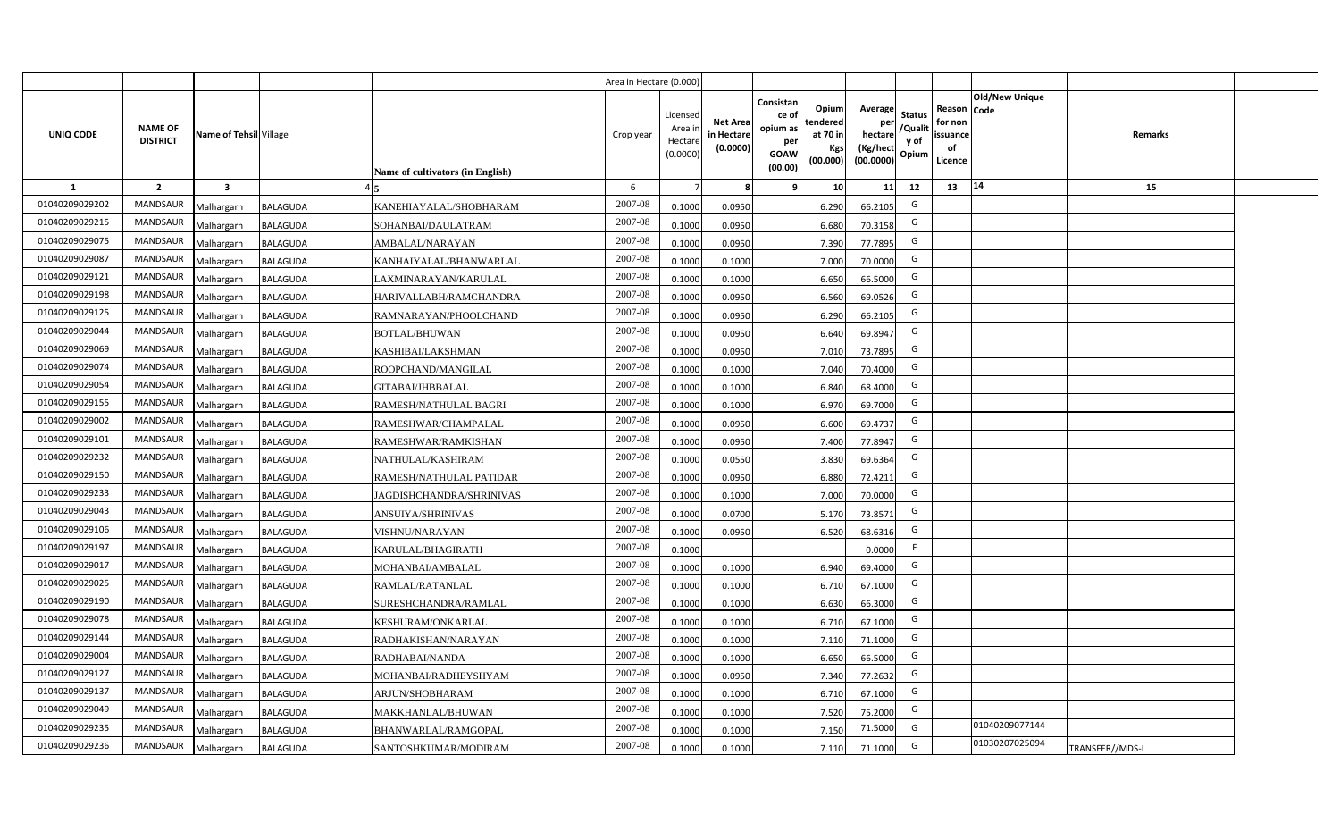|                  |                                   |                         |                 |                                  | Area in Hectare (0.000 |                                          |                                           |                                                                 |                                                  |                                                    |                                           |                                                     |                       |                 |  |
|------------------|-----------------------------------|-------------------------|-----------------|----------------------------------|------------------------|------------------------------------------|-------------------------------------------|-----------------------------------------------------------------|--------------------------------------------------|----------------------------------------------------|-------------------------------------------|-----------------------------------------------------|-----------------------|-----------------|--|
| <b>UNIQ CODE</b> | <b>NAME OF</b><br><b>DISTRICT</b> | Name of Tehsil Village  |                 | Name of cultivators (in English) | Crop year              | Licensec<br>Area i<br>Hectar<br>(0.0000) | <b>Net Area</b><br>in Hectare<br>(0.0000) | Consistan<br>ce of<br>opium as<br>per<br><b>GOAW</b><br>(00.00) | Opium<br>tendered<br>at 70 in<br>Kgs<br>(00.000) | Average<br>per<br>hectare<br>(Kg/hect<br>(00.0000) | <b>Status</b><br>/Qualit<br>y of<br>Opium | Reason Code<br>for non<br>issuance<br>of<br>Licence | <b>Old/New Unique</b> | Remarks         |  |
| 1                | $\overline{2}$                    | $\overline{\mathbf{3}}$ |                 |                                  | 6                      |                                          |                                           | <b>q</b>                                                        | 10                                               | 11                                                 | 12                                        | 13                                                  | 14                    | 15              |  |
| 01040209029202   | <b>MANDSAUR</b>                   | Malhargarh              | <b>BALAGUDA</b> | KANEHIAYALAL/SHOBHARAM           | 2007-08                | 0.100                                    | 0.0950                                    |                                                                 | 6.290                                            | 66.2105                                            | G                                         |                                                     |                       |                 |  |
| 01040209029215   | <b>MANDSAUR</b>                   | Malhargarh              | <b>BALAGUDA</b> | SOHANBAI/DAULATRAM               | 2007-08                | 0.100                                    | 0.0950                                    |                                                                 | 6.680                                            | 70.3158                                            | G                                         |                                                     |                       |                 |  |
| 01040209029075   | MANDSAUR                          | Malhargarh              | <b>BALAGUDA</b> | AMBALAL/NARAYAN                  | 2007-08                | 0.100                                    | 0.0950                                    |                                                                 | 7.390                                            | 77.7895                                            | G                                         |                                                     |                       |                 |  |
| 01040209029087   | <b>MANDSAUR</b>                   | Malhargarh              | <b>BALAGUDA</b> | KANHAIYALAL/BHANWARLAL           | 2007-08                | 0.100                                    | 0.1000                                    |                                                                 | 7.000                                            | 70.0000                                            | G                                         |                                                     |                       |                 |  |
| 01040209029121   | MANDSAUR                          | Malhargarh              | <b>BALAGUDA</b> | LAXMINARAYAN/KARULAL             | 2007-08                | 0.1000                                   | 0.1000                                    |                                                                 | 6.650                                            | 66.5000                                            | G                                         |                                                     |                       |                 |  |
| 01040209029198   | <b>MANDSAUR</b>                   | Malhargarh              | <b>BALAGUDA</b> | HARIVALLABH/RAMCHANDRA           | 2007-08                | 0.1000                                   | 0.0950                                    |                                                                 | 6.560                                            | 69.0526                                            | G                                         |                                                     |                       |                 |  |
| 01040209029125   | MANDSAUR                          | Malhargarh              | <b>BALAGUDA</b> | RAMNARAYAN/PHOOLCHAND            | 2007-08                | 0.1000                                   | 0.0950                                    |                                                                 | 6.290                                            | 66.2105                                            | G                                         |                                                     |                       |                 |  |
| 01040209029044   | <b>MANDSAUR</b>                   | Malhargarh              | <b>BALAGUDA</b> | <b>BOTLAL/BHUWAN</b>             | 2007-08                | 0.1000                                   | 0.0950                                    |                                                                 | 6.640                                            | 69.8947                                            | G                                         |                                                     |                       |                 |  |
| 01040209029069   | <b>MANDSAUR</b>                   | Malhargarh              | <b>BALAGUDA</b> | KASHIBAI/LAKSHMAN                | 2007-08                | 0.1000                                   | 0.0950                                    |                                                                 | 7.010                                            | 73.7895                                            | G                                         |                                                     |                       |                 |  |
| 01040209029074   | <b>MANDSAUR</b>                   | Malhargarh              | <b>BALAGUDA</b> | ROOPCHAND/MANGILAL               | 2007-08                | 0.1000                                   | 0.1000                                    |                                                                 | 7.040                                            | 70.4000                                            | G                                         |                                                     |                       |                 |  |
| 01040209029054   | <b>MANDSAUR</b>                   | Malhargarh              | <b>BALAGUDA</b> | GITABAI/JHBBALAL                 | 2007-08                | 0.1000                                   | 0.1000                                    |                                                                 | 6.840                                            | 68.4000                                            | G                                         |                                                     |                       |                 |  |
| 01040209029155   | <b>MANDSAUR</b>                   | Malhargarh              | <b>BALAGUDA</b> | RAMESH/NATHULAL BAGRI            | 2007-08                | 0.1000                                   | 0.1000                                    |                                                                 | 6.970                                            | 69.7000                                            | G                                         |                                                     |                       |                 |  |
| 01040209029002   | <b>MANDSAUR</b>                   | Malhargarh              | <b>BALAGUDA</b> | RAMESHWAR/CHAMPALAL              | 2007-08                | 0.1000                                   | 0.0950                                    |                                                                 | 6.600                                            | 69.4737                                            | G                                         |                                                     |                       |                 |  |
| 01040209029101   | <b>MANDSAUR</b>                   | Malhargarh              | <b>BALAGUDA</b> | RAMESHWAR/RAMKISHAN              | 2007-08                | 0.1000                                   | 0.0950                                    |                                                                 | 7.400                                            | 77.8947                                            | G                                         |                                                     |                       |                 |  |
| 01040209029232   | <b>MANDSAUR</b>                   | Malhargarh              | <b>BALAGUDA</b> | NATHULAL/KASHIRAM                | 2007-08                | 0.1000                                   | 0.0550                                    |                                                                 | 3.830                                            | 69.6364                                            | G                                         |                                                     |                       |                 |  |
| 01040209029150   | <b>MANDSAUR</b>                   | Malhargarh              | <b>BALAGUDA</b> | RAMESH/NATHULAL PATIDAR          | 2007-08                | 0.100                                    | 0.0950                                    |                                                                 | 6.880                                            | 72.4211                                            | G                                         |                                                     |                       |                 |  |
| 01040209029233   | <b>MANDSAUR</b>                   | Malhargarh              | <b>BALAGUDA</b> | AGDISHCHANDRA/SHRINIVAS          | 2007-08                | 0.100                                    | 0.1000                                    |                                                                 | 7.000                                            | 70.0000                                            | G                                         |                                                     |                       |                 |  |
| 01040209029043   | <b>MANDSAUR</b>                   | Malhargarh              | <b>BALAGUDA</b> | ANSUIYA/SHRINIVAS                | 2007-08                | 0.100                                    | 0.070                                     |                                                                 | 5.170                                            | 73.8571                                            | G                                         |                                                     |                       |                 |  |
| 01040209029106   | <b>MANDSAUR</b>                   | Malhargarh              | <b>BALAGUDA</b> | <b>VISHNU/NARAYAN</b>            | 2007-08                | 0.1000                                   | 0.0950                                    |                                                                 | 6.520                                            | 68.6316                                            | G                                         |                                                     |                       |                 |  |
| 01040209029197   | <b>MANDSAUR</b>                   | Malhargarh              | <b>BALAGUDA</b> | KARULAL/BHAGIRATH                | $2007 - 08$            | 0.100                                    |                                           |                                                                 |                                                  | 0.0000                                             | -F                                        |                                                     |                       |                 |  |
| 01040209029017   | <b>MANDSAUR</b>                   | Malhargarh              | <b>BALAGUDA</b> | MOHANBAI/AMBALAL                 | 2007-08                | 0.100                                    | 0.1000                                    |                                                                 | 6.940                                            | 69.4000                                            | G                                         |                                                     |                       |                 |  |
| 01040209029025   | <b>MANDSAUR</b>                   | Malhargarh              | <b>BALAGUDA</b> | RAMLAL/RATANLAL                  | 2007-08                | 0.100                                    | 0.1000                                    |                                                                 | 6.710                                            | 67.1000                                            | G                                         |                                                     |                       |                 |  |
| 01040209029190   | <b>MANDSAUR</b>                   | Malhargarh              | <b>BALAGUDA</b> | SURESHCHANDRA/RAMLAL             | 2007-08                | 0.1000                                   | 0.1000                                    |                                                                 | 6.630                                            | 66.3000                                            | G                                         |                                                     |                       |                 |  |
| 01040209029078   | MANDSAUR                          | Malhargarh              | <b>BALAGUDA</b> | KESHURAM/ONKARLAL                | 2007-08                | 0.100                                    | 0.1000                                    |                                                                 | 6.710                                            | 67.1000                                            | G                                         |                                                     |                       |                 |  |
| 01040209029144   | MANDSAUR                          | Malhargarh              | <b>BALAGUDA</b> | RADHAKISHAN/NARAYAN              | 2007-08                | 0.1000                                   | 0.1000                                    |                                                                 | 7.110                                            | 71.1000                                            | G                                         |                                                     |                       |                 |  |
| 01040209029004   | MANDSAUR                          | Malhargarh              | <b>BALAGUDA</b> | RADHABAI/NANDA                   | 2007-08                | 0.1000                                   | 0.1000                                    |                                                                 | 6.650                                            | 66.5000                                            | G                                         |                                                     |                       |                 |  |
| 01040209029127   | MANDSAUR                          | Malhargarh              | <b>BALAGUDA</b> | MOHANBAI/RADHEYSHYAM             | 2007-08                | 0.1000                                   | 0.0950                                    |                                                                 | 7.340                                            | 77.2632                                            | G                                         |                                                     |                       |                 |  |
| 01040209029137   | MANDSAUR                          | Malhargarh              | <b>BALAGUDA</b> | ARJUN/SHOBHARAM                  | 2007-08                | 0.1000                                   | 0.1000                                    |                                                                 | 6.710                                            | 67.1000                                            | G                                         |                                                     |                       |                 |  |
| 01040209029049   | MANDSAUR                          | Malhargarh              | <b>BALAGUDA</b> | MAKKHANLAL/BHUWAN                | 2007-08                | 0.1000                                   | 0.1000                                    |                                                                 | 7.520                                            | 75.2000                                            | G                                         |                                                     |                       |                 |  |
| 01040209029235   | <b>MANDSAUR</b>                   | Malhargarh              | <b>BALAGUDA</b> | BHANWARLAL/RAMGOPAL              | 2007-08                | 0.1000                                   | 0.1000                                    |                                                                 | 7.150                                            | 71.5000                                            | G                                         |                                                     | 01040209077144        |                 |  |
| 01040209029236   | MANDSAUR                          | Malhargarh              | <b>BALAGUDA</b> | SANTOSHKUMAR/MODIRAM             | 2007-08                | 0.1000                                   | 0.1000                                    |                                                                 | 7.110                                            | 71.1000                                            | G                                         |                                                     | 01030207025094        | TRANSFER//MDS-I |  |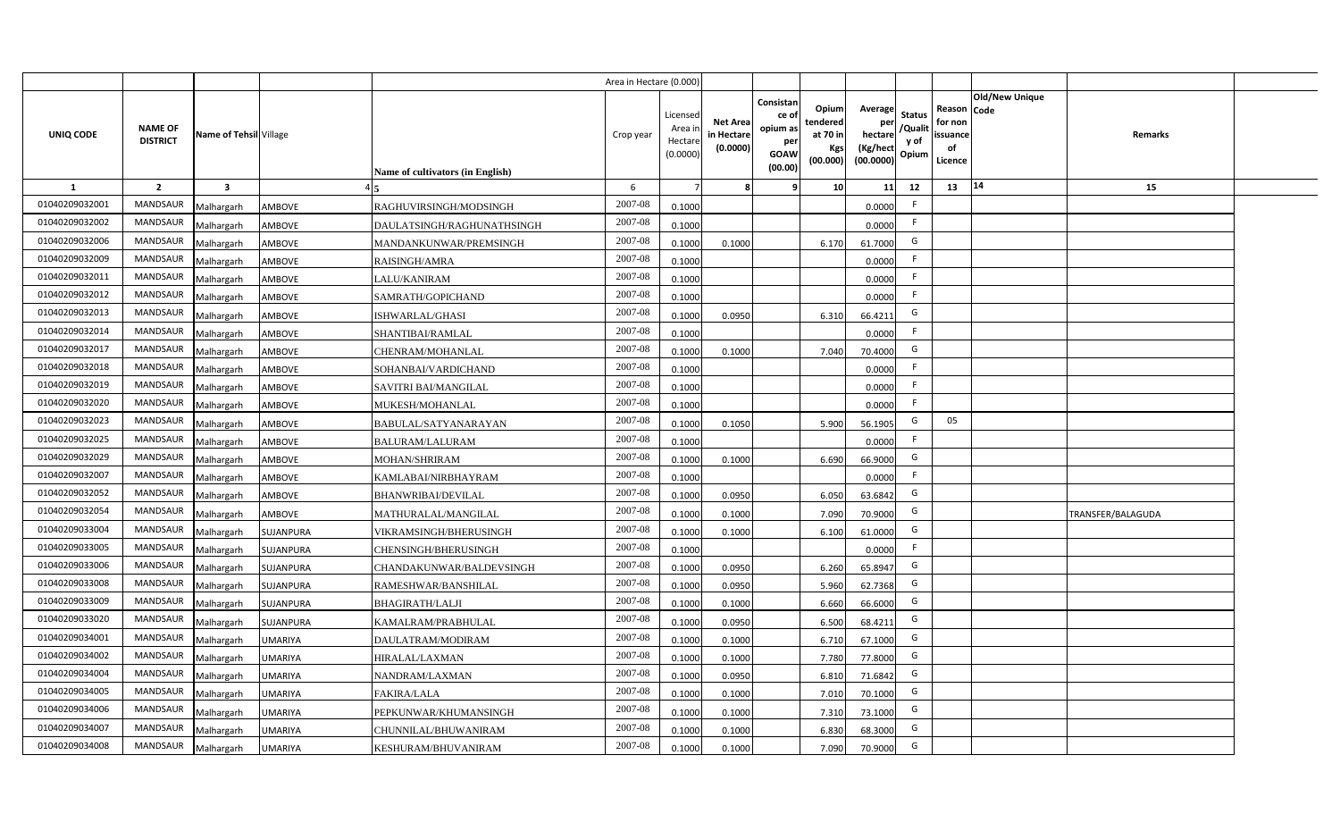|                |                                   |                         |                |                                  | Area in Hectare (0.000 |                                          |                                           |                                                                 |                                                  |                                                    |                                           |                                                     |                |                   |  |
|----------------|-----------------------------------|-------------------------|----------------|----------------------------------|------------------------|------------------------------------------|-------------------------------------------|-----------------------------------------------------------------|--------------------------------------------------|----------------------------------------------------|-------------------------------------------|-----------------------------------------------------|----------------|-------------------|--|
| UNIQ CODE      | <b>NAME OF</b><br><b>DISTRICT</b> | Name of Tehsil Village  |                | Name of cultivators (in English) | Crop year              | Licensed<br>Area i<br>Hectar<br>(0.0000) | <b>Net Area</b><br>in Hectare<br>(0.0000) | Consistan<br>ce of<br>opium as<br>per<br><b>GOAW</b><br>(00.00) | Opium<br>tendered<br>at 70 in<br>Kgs<br>(00.000) | Average<br>per<br>hectare<br>(Kg/hect<br>(00.0000) | <b>Status</b><br>/Qualit<br>y of<br>Opium | Reason Code<br>for non<br>issuance<br>of<br>Licence | Old/New Unique | Remarks           |  |
| 1              | $\overline{2}$                    | $\overline{\mathbf{3}}$ |                |                                  | 6                      |                                          |                                           | ٠q                                                              | 10 <sup>1</sup>                                  | 11                                                 | 12                                        | 13                                                  | 14             | 15                |  |
| 01040209032001 | <b>MANDSAUR</b>                   | Malhargarh              | <b>AMBOVE</b>  | RAGHUVIRSINGH/MODSINGH           | 2007-08                | 0.1000                                   |                                           |                                                                 |                                                  | 0.0000                                             | -F                                        |                                                     |                |                   |  |
| 01040209032002 | MANDSAUR                          | Malhargarh              | AMBOVE         | DAULATSINGH/RAGHUNATHSINGH       | 2007-08                | 0.1000                                   |                                           |                                                                 |                                                  | 0.0000                                             | F.                                        |                                                     |                |                   |  |
| 01040209032006 | <b>MANDSAUR</b>                   | Malhargarh              | <b>AMBOVE</b>  | MANDANKUNWAR/PREMSINGH           | 2007-08                | 0.1000                                   | 0.1000                                    |                                                                 | 6.170                                            | 61.7000                                            | G                                         |                                                     |                |                   |  |
| 01040209032009 | <b>MANDSAUR</b>                   | Malhargarh              | AMBOVE         | RAISINGH/AMRA                    | 2007-08                | 0.1000                                   |                                           |                                                                 |                                                  | 0.0000                                             | -F                                        |                                                     |                |                   |  |
| 01040209032011 | MANDSAUR                          | Malhargarh              | <b>AMBOVE</b>  | LALU/KANIRAM                     | 2007-08                | 0.1000                                   |                                           |                                                                 |                                                  | 0.0000                                             |                                           |                                                     |                |                   |  |
| 01040209032012 | <b>MANDSAUR</b>                   | Malhargarh              | <b>AMBOVE</b>  | SAMRATH/GOPICHAND                | 2007-08                | 0.1000                                   |                                           |                                                                 |                                                  | 0.0000                                             | F.                                        |                                                     |                |                   |  |
| 01040209032013 | MANDSAUR                          | Malhargarh              | <b>AMBOVE</b>  | ISHWARLAL/GHASI                  | 2007-08                | 0.1000                                   | 0.0950                                    |                                                                 | 6.310                                            | 66.4211                                            | G                                         |                                                     |                |                   |  |
| 01040209032014 | MANDSAUR                          | Malhargarh              | <b>AMBOVE</b>  | SHANTIBAI/RAMLAL                 | 2007-08                | 0.1000                                   |                                           |                                                                 |                                                  | 0.0000                                             | $\mathsf{F}$                              |                                                     |                |                   |  |
| 01040209032017 | MANDSAUR                          | Malhargarh              | AMBOVE         | CHENRAM/MOHANLAL                 | 2007-08                | 0.1000                                   | 0.1000                                    |                                                                 | 7.040                                            | 70.4000                                            | G                                         |                                                     |                |                   |  |
| 01040209032018 | MANDSAUR                          | Malhargarh              | <b>AMBOVE</b>  | SOHANBAI/VARDICHAND              | 2007-08                | 0.1000                                   |                                           |                                                                 |                                                  | 0.0000                                             | -F                                        |                                                     |                |                   |  |
| 01040209032019 | MANDSAUR                          | Malhargarh              | <b>AMBOVE</b>  | SAVITRI BAI/MANGILAL             | 2007-08                | 0.1000                                   |                                           |                                                                 |                                                  | 0.0000                                             | -F                                        |                                                     |                |                   |  |
| 01040209032020 | MANDSAUR                          | Malhargarh              | <b>AMBOVE</b>  | MUKESH/MOHANLAL                  | 2007-08                | 0.1000                                   |                                           |                                                                 |                                                  | 0.0000                                             | F.                                        |                                                     |                |                   |  |
| 01040209032023 | <b>MANDSAUR</b>                   | Malhargarh              | <b>AMBOVE</b>  | BABULAL/SATYANARAYAN             | 2007-08                | 0.1000                                   | 0.1050                                    |                                                                 | 5.900                                            | 56.1905                                            | G                                         | 05                                                  |                |                   |  |
| 01040209032025 | <b>MANDSAUR</b>                   | Malhargarh              | AMBOVE         | BALURAM/LALURAM                  | 2007-08                | 0.1000                                   |                                           |                                                                 |                                                  | 0.0000                                             | F.                                        |                                                     |                |                   |  |
| 01040209032029 | <b>MANDSAUR</b>                   | Malhargarh              | <b>AMBOVE</b>  | MOHAN/SHRIRAM                    | 2007-08                | 0.1000                                   | 0.1000                                    |                                                                 | 6.690                                            | 66.9000                                            | G                                         |                                                     |                |                   |  |
| 01040209032007 | <b>MANDSAUR</b>                   | Malhargarh              | <b>AMBOVE</b>  | KAMLABAI/NIRBHAYRAM              | 2007-08                | 0.1000                                   |                                           |                                                                 |                                                  | 0.0000                                             | F.                                        |                                                     |                |                   |  |
| 01040209032052 | MANDSAUR                          | Malhargarh              | <b>AMBOVE</b>  | <b>BHANWRIBAI/DEVILAL</b>        | 2007-08                | 0.1000                                   | 0.0950                                    |                                                                 | 6.050                                            | 63.6842                                            | G                                         |                                                     |                |                   |  |
| 01040209032054 | <b>MANDSAUR</b>                   | Malhargarh              | <b>AMBOVE</b>  | MATHURALAL/MANGILAL              | 2007-08                | 0.1000                                   | 0.1000                                    |                                                                 | 7.090                                            | 70.9000                                            | G                                         |                                                     |                | TRANSFER/BALAGUDA |  |
| 01040209033004 | <b>MANDSAUR</b>                   | Malhargarh              | SUJANPURA      | VIKRAMSINGH/BHERUSINGH           | 2007-08                | 0.100                                    | 0.1000                                    |                                                                 | 6.100                                            | 61.0000                                            | G                                         |                                                     |                |                   |  |
| 01040209033005 | <b>MANDSAUR</b>                   | Malhargarh              | SUJANPURA      | CHENSINGH/BHERUSINGH             | 2007-08                | 0.1000                                   |                                           |                                                                 |                                                  | 0.0000                                             | F.                                        |                                                     |                |                   |  |
| 01040209033006 | <b>MANDSAUR</b>                   | Malhargarh              | SUJANPURA      | CHANDAKUNWAR/BALDEVSINGH         | 2007-08                | 0.1000                                   | 0.0950                                    |                                                                 | 6.260                                            | 65.8947                                            | G                                         |                                                     |                |                   |  |
| 01040209033008 | <b>MANDSAUR</b>                   | Malhargarh              | SUJANPURA      | RAMESHWAR/BANSHILAL              | 2007-08                | 0.100                                    | 0.0950                                    |                                                                 | 5.960                                            | 62.7368                                            | G                                         |                                                     |                |                   |  |
| 01040209033009 | MANDSAUR                          | Malhargarh              | SUJANPURA      | <b>BHAGIRATH/LALJI</b>           | 2007-08                | 0.100                                    | 0.1000                                    |                                                                 | 6.660                                            | 66.6000                                            | G                                         |                                                     |                |                   |  |
| 01040209033020 | MANDSAUR                          | Malhargarh              | SUJANPURA      | KAMALRAM/PRABHULAL               | 2007-08                | 0.100                                    | 0.0950                                    |                                                                 | 6.500                                            | 68.4211                                            | G                                         |                                                     |                |                   |  |
| 01040209034001 | MANDSAUR                          | Malhargarh              | <b>UMARIYA</b> | DAULATRAM/MODIRAM                | 2007-08                | 0.1000                                   | 0.1000                                    |                                                                 | 6.710                                            | 67.1000                                            | G                                         |                                                     |                |                   |  |
| 01040209034002 | MANDSAUR                          | Malhargarh              | <b>UMARIYA</b> | HIRALAL/LAXMAN                   | 2007-08                | 0.1000                                   | 0.1000                                    |                                                                 | 7.780                                            | 77.8000                                            | G                                         |                                                     |                |                   |  |
| 01040209034004 | MANDSAUR                          | Malhargarh              | <b>UMARIYA</b> | NANDRAM/LAXMAN                   | 2007-08                | 0.1000                                   | 0.0950                                    |                                                                 | 6.810                                            | 71.6842                                            | G                                         |                                                     |                |                   |  |
| 01040209034005 | MANDSAUR                          | Malhargarh              | <b>UMARIYA</b> | <b>FAKIRA/LALA</b>               | 2007-08                | 0.1000                                   | 0.1000                                    |                                                                 | 7.010                                            | 70.1000                                            | G                                         |                                                     |                |                   |  |
| 01040209034006 | MANDSAUR                          | Malhargarh              | <b>UMARIYA</b> | PEPKUNWAR/KHUMANSINGH            | 2007-08                | 0.1000                                   | 0.1000                                    |                                                                 | 7.310                                            | 73.1000                                            | G                                         |                                                     |                |                   |  |
| 01040209034007 | MANDSAUR                          | Malhargarh              | <b>UMARIYA</b> | CHUNNILAL/BHUWANIRAM             | 2007-08                | 0.1000                                   | 0.1000                                    |                                                                 | 6.830                                            | 68.3000                                            | G                                         |                                                     |                |                   |  |
| 01040209034008 | MANDSAUR                          | Malhargarh              | <b>UMARIYA</b> | KESHURAM/BHUVANIRAM              | 2007-08                | 0.1000                                   | 0.1000                                    |                                                                 | 7.090                                            | 70.9000                                            | G                                         |                                                     |                |                   |  |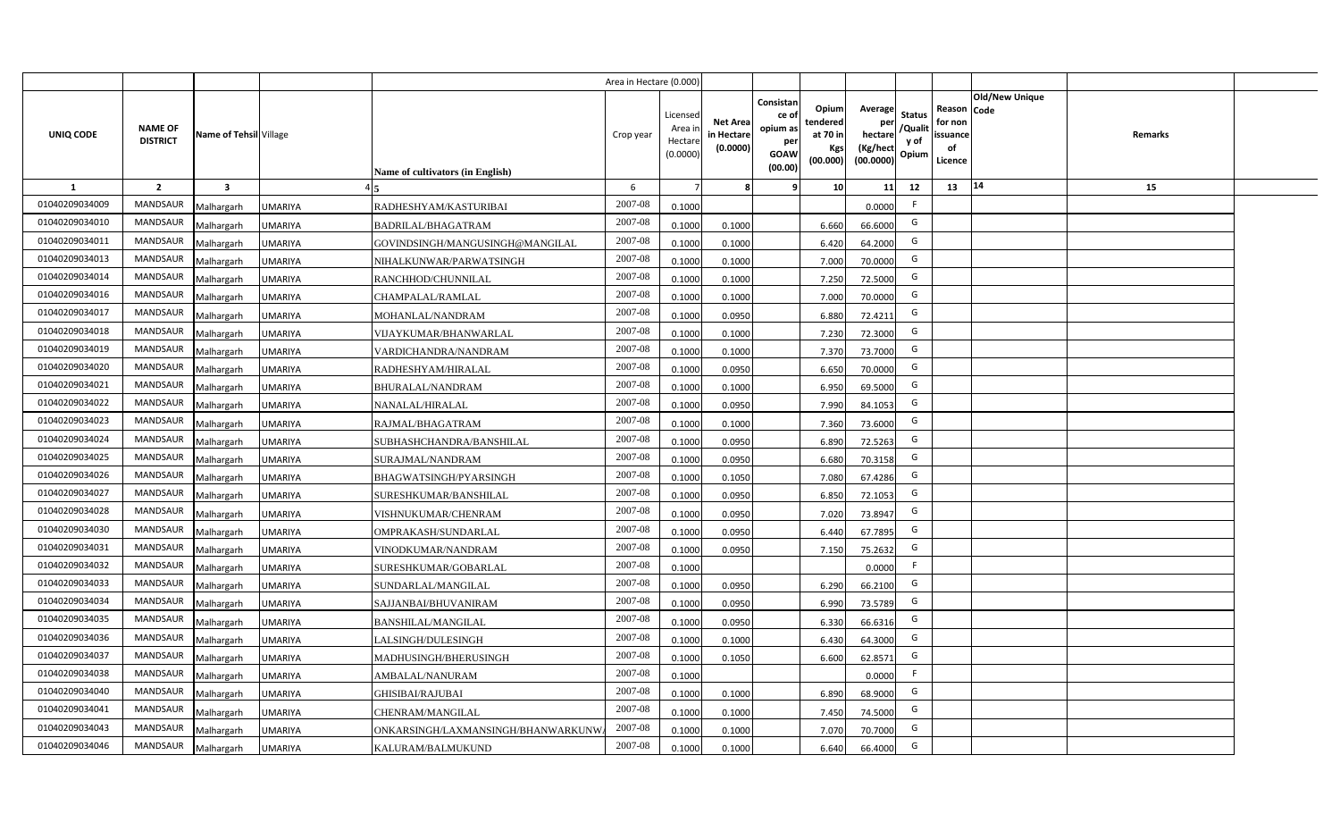|                  |                                   |                         |                |                                         | Area in Hectare (0.000) |                                           |                                           |                                                                                                                     |                                                    |                                           |                                                     |                       |         |  |
|------------------|-----------------------------------|-------------------------|----------------|-----------------------------------------|-------------------------|-------------------------------------------|-------------------------------------------|---------------------------------------------------------------------------------------------------------------------|----------------------------------------------------|-------------------------------------------|-----------------------------------------------------|-----------------------|---------|--|
| <b>UNIQ CODE</b> | <b>NAME OF</b><br><b>DISTRICT</b> | Name of Tehsil Village  |                | <b>Name of cultivators (in English)</b> | Crop year               | Licensed<br>Area i<br>Hectare<br>(0.0000) | <b>Net Area</b><br>in Hectare<br>(0.0000) | Consistan<br>Opium<br>ce of<br>tendered<br>opium as<br>at 70 in<br>per<br>Kgs<br><b>GOAW</b><br>(00.000)<br>(00.00) | Average<br>per<br>hectare<br>(Kg/hect<br>(00.0000) | <b>Status</b><br>/Qualit<br>y of<br>Opium | Reason Code<br>for non<br>issuance<br>of<br>Licence | <b>Old/New Unique</b> | Remarks |  |
| 1                | $\overline{2}$                    | $\overline{\mathbf{3}}$ |                |                                         | 6                       |                                           | 8                                         | 10 <sup>1</sup><br>9                                                                                                | 11                                                 | 12                                        | 13                                                  | 14                    | 15      |  |
| 01040209034009   | MANDSAUR                          | Malhargarh              | <b>UMARIYA</b> | RADHESHYAM/KASTURIBAI                   | 2007-08                 | 0.1000                                    |                                           |                                                                                                                     | 0.0000                                             | F                                         |                                                     |                       |         |  |
| 01040209034010   | MANDSAUR                          | Malhargarh              | <b>UMARIYA</b> | <b>BADRILAL/BHAGATRAM</b>               | 2007-08                 | 0.1000                                    | 0.1000                                    | 6.660                                                                                                               | 66.6000                                            | G                                         |                                                     |                       |         |  |
| 01040209034011   | MANDSAUR                          | Malhargarh              | <b>UMARIYA</b> | GOVINDSINGH/MANGUSINGH@MANGILAL         | 2007-08                 | 0.1000                                    | 0.1000                                    | 6.420                                                                                                               | 64.2000                                            | G                                         |                                                     |                       |         |  |
| 01040209034013   | <b>MANDSAUR</b>                   | Malhargarh              | <b>UMARIYA</b> | NIHALKUNWAR/PARWATSINGH                 | 2007-08                 | 0.1000                                    | 0.1000                                    | 7.000                                                                                                               | 70.0000                                            | G                                         |                                                     |                       |         |  |
| 01040209034014   | MANDSAUR                          | Malhargarh              | <b>UMARIYA</b> | RANCHHOD/CHUNNILAL                      | 2007-08                 | 0.1000                                    | 0.1000                                    | 7.250                                                                                                               | 72.5000                                            | G                                         |                                                     |                       |         |  |
| 01040209034016   | MANDSAUR                          | Malhargarh              | <b>UMARIYA</b> | CHAMPALAL/RAMLAL                        | 2007-08                 | 0.1000                                    | 0.1000                                    | 7.000                                                                                                               | 70.0000                                            | G                                         |                                                     |                       |         |  |
| 01040209034017   | MANDSAUR                          | Malhargarh              | <b>UMARIYA</b> | MOHANLAL/NANDRAM                        | 2007-08                 | 0.1000                                    | 0.0950                                    | 6.880                                                                                                               | 72.4211                                            | G                                         |                                                     |                       |         |  |
| 01040209034018   | MANDSAUR                          | Malhargarh              | <b>UMARIYA</b> | VIJAYKUMAR/BHANWARLAL                   | 2007-08                 | 0.1000                                    | 0.1000                                    | 7.230                                                                                                               | 72.3000                                            | G                                         |                                                     |                       |         |  |
| 01040209034019   | <b>MANDSAUR</b>                   | Malhargarh              | <b>UMARIYA</b> | VARDICHANDRA/NANDRAM                    | 2007-08                 | 0.1000                                    | 0.1000                                    | 7.370                                                                                                               | 73.7000                                            | G                                         |                                                     |                       |         |  |
| 01040209034020   | <b>MANDSAUR</b>                   | Malhargarh              | <b>UMARIYA</b> | RADHESHYAM/HIRALAL                      | 2007-08                 | 0.1000                                    | 0.0950                                    | 6.650                                                                                                               | 70.0000                                            | G                                         |                                                     |                       |         |  |
| 01040209034021   | MANDSAUR                          | Malhargarh              | <b>UMARIYA</b> | <b>BHURALAL/NANDRAM</b>                 | 2007-08                 | 0.1000                                    | 0.1000                                    | 6.950                                                                                                               | 69.5000                                            | G                                         |                                                     |                       |         |  |
| 01040209034022   | <b>MANDSAUR</b>                   | Malhargarh              | <b>UMARIYA</b> | NANALAL/HIRALAL                         | 2007-08                 | 0.1000                                    | 0.0950                                    | 7.990                                                                                                               | 84.1053                                            | G                                         |                                                     |                       |         |  |
| 01040209034023   | <b>MANDSAUR</b>                   | Malhargarh              | <b>UMARIYA</b> | RAJMAL/BHAGATRAM                        | 2007-08                 | 0.1000                                    | 0.1000                                    | 7.360                                                                                                               | 73.6000                                            | G                                         |                                                     |                       |         |  |
| 01040209034024   | <b>MANDSAUR</b>                   | Malhargarh              | <b>UMARIYA</b> | SUBHASHCHANDRA/BANSHILAL                | 2007-08                 | 0.1000                                    | 0.0950                                    | 6.890                                                                                                               | 72.5263                                            | G                                         |                                                     |                       |         |  |
| 01040209034025   | <b>MANDSAUR</b>                   | Malhargarh              | <b>UMARIYA</b> | SURAJMAL/NANDRAM                        | 2007-08                 | 0.1000                                    | 0.0950                                    | 6.680                                                                                                               | 70.3158                                            | G                                         |                                                     |                       |         |  |
| 01040209034026   | MANDSAUR                          | Malhargarh              | <b>UMARIYA</b> | BHAGWATSINGH/PYARSINGH                  | 2007-08                 | 0.1000                                    | 0.1050                                    | 7.080                                                                                                               | 67.4286                                            | G                                         |                                                     |                       |         |  |
| 01040209034027   | <b>MANDSAUR</b>                   | Malhargarh              | <b>UMARIYA</b> | SURESHKUMAR/BANSHILAL                   | 2007-08                 | 0.1000                                    | 0.0950                                    | 6.850                                                                                                               | 72.1053                                            | G                                         |                                                     |                       |         |  |
| 01040209034028   | MANDSAUR                          | Malhargarh              | <b>UMARIYA</b> | VISHNUKUMAR/CHENRAM                     | 2007-08                 | 0.1000                                    | 0.0950                                    | 7.020                                                                                                               | 73.8947                                            | G                                         |                                                     |                       |         |  |
| 01040209034030   | <b>MANDSAUR</b>                   | Malhargarh              | <b>UMARIYA</b> | OMPRAKASH/SUNDARLAL                     | 2007-08                 | 0.1000                                    | 0.0950                                    | 6.440                                                                                                               | 67.7895                                            | G                                         |                                                     |                       |         |  |
| 01040209034031   | <b>MANDSAUR</b>                   | Malhargarh              | <b>UMARIYA</b> | VINODKUMAR/NANDRAM                      | 2007-08                 | 0.1000                                    | 0.0950                                    | 7.150                                                                                                               | 75.2632                                            | G                                         |                                                     |                       |         |  |
| 01040209034032   | <b>MANDSAUR</b>                   | Malhargarh              | <b>UMARIYA</b> | SURESHKUMAR/GOBARLAL                    | 2007-08                 | 0.1000                                    |                                           |                                                                                                                     | 0.0000                                             | F                                         |                                                     |                       |         |  |
| 01040209034033   | <b>MANDSAUR</b>                   | Malhargarh              | <b>UMARIYA</b> | SUNDARLAL/MANGILAL                      | 2007-08                 | 0.1000                                    | 0.0950                                    | 6.290                                                                                                               | 66.2100                                            | G                                         |                                                     |                       |         |  |
| 01040209034034   | <b>MANDSAUR</b>                   | Malhargarh              | <b>UMARIYA</b> | SAJJANBAI/BHUVANIRAM                    | 2007-08                 | 0.1000                                    | 0.0950                                    | 6.990                                                                                                               | 73.5789                                            | G                                         |                                                     |                       |         |  |
| 01040209034035   | <b>MANDSAUR</b>                   | Malhargarh              | <b>UMARIYA</b> | <b>BANSHILAL/MANGILAL</b>               | 2007-08                 | 0.1000                                    | 0.0950                                    | 6.330                                                                                                               | 66.6316                                            | G                                         |                                                     |                       |         |  |
| 01040209034036   | MANDSAUR                          | Malhargarh              | <b>UMARIYA</b> | LALSINGH/DULESINGH                      | 2007-08                 | 0.1000                                    | 0.1000                                    | 6.430                                                                                                               | 64.3000                                            | G                                         |                                                     |                       |         |  |
| 01040209034037   | MANDSAUR                          | Malhargarh              | <b>UMARIYA</b> | MADHUSINGH/BHERUSINGH                   | 2007-08                 | 0.1000                                    | 0.1050                                    | 6.600                                                                                                               | 62.8571                                            | G                                         |                                                     |                       |         |  |
| 01040209034038   | MANDSAUR                          | Malhargarh              | <b>UMARIYA</b> | AMBALAL/NANURAM                         | 2007-08                 | 0.1000                                    |                                           |                                                                                                                     | 0.0000                                             | F                                         |                                                     |                       |         |  |
| 01040209034040   | MANDSAUR                          | Malhargarh              | <b>UMARIYA</b> | <b>GHISIBAI/RAJUBAI</b>                 | 2007-08                 | 0.1000                                    | 0.1000                                    | 6.890                                                                                                               | 68.9000                                            | G                                         |                                                     |                       |         |  |
| 01040209034041   | MANDSAUR                          | Malhargarh              | <b>UMARIYA</b> | CHENRAM/MANGILAL                        | 2007-08                 | 0.1000                                    | 0.1000                                    | 7.450                                                                                                               | 74.5000                                            | G                                         |                                                     |                       |         |  |
| 01040209034043   | MANDSAUR                          | Malhargarh              | <b>UMARIYA</b> | ONKARSINGH/LAXMANSINGH/BHANWARKUNW      | 2007-08                 | 0.1000                                    | 0.1000                                    | 7.070                                                                                                               | 70.7000                                            | G                                         |                                                     |                       |         |  |
| 01040209034046   | MANDSAUR                          | Malhargarh              | <b>UMARIYA</b> | KALURAM/BALMUKUND                       | 2007-08                 | 0.1000                                    | 0.1000                                    | 6.640                                                                                                               | 66.4000                                            | G                                         |                                                     |                       |         |  |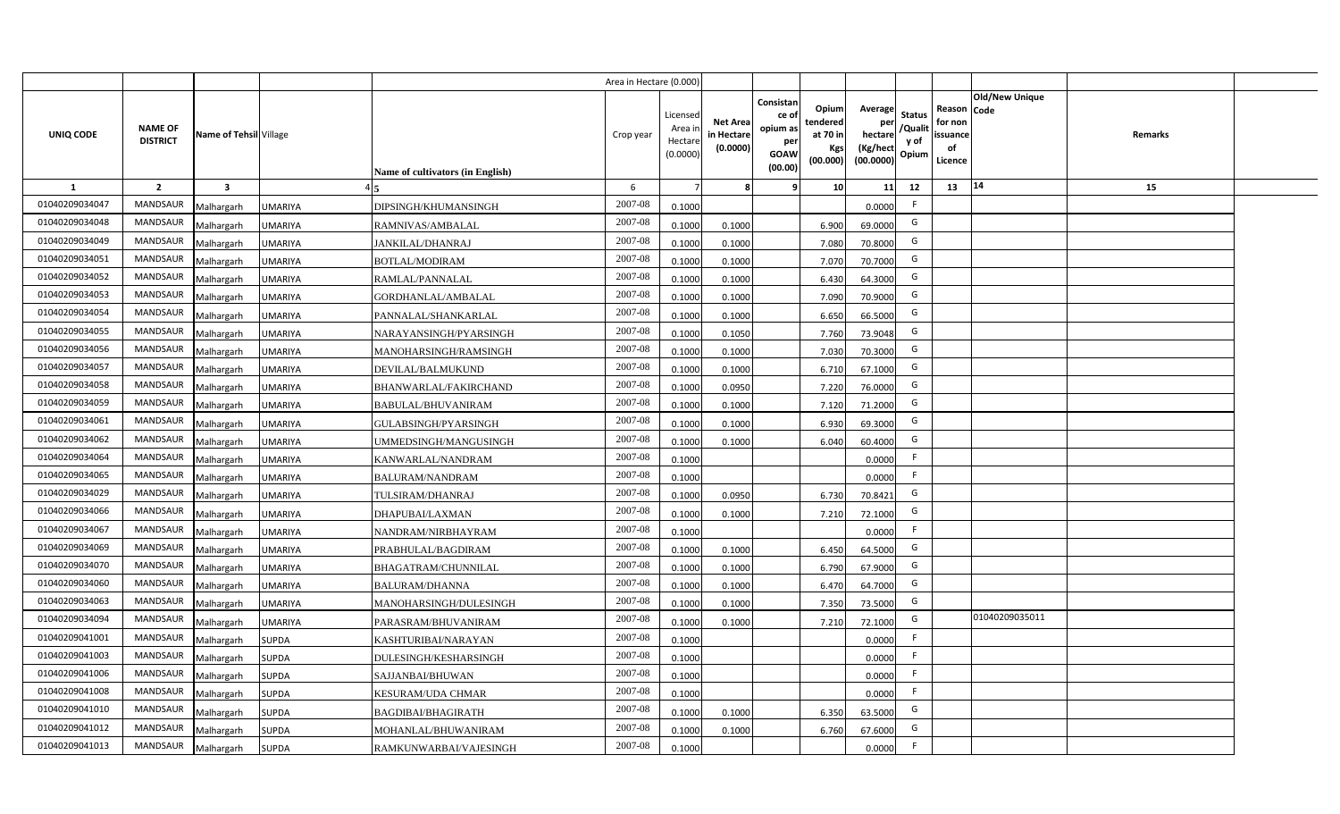|                |                                   |                         |                |                                  | Area in Hectare (0.000) |                                          |                                           |                                                                |                                                  |                                                    |                                           |                                                                       |         |  |
|----------------|-----------------------------------|-------------------------|----------------|----------------------------------|-------------------------|------------------------------------------|-------------------------------------------|----------------------------------------------------------------|--------------------------------------------------|----------------------------------------------------|-------------------------------------------|-----------------------------------------------------------------------|---------|--|
| UNIQ CODE      | <b>NAME OF</b><br><b>DISTRICT</b> | Name of Tehsil Village  |                | Name of cultivators (in English) | Crop year               | Licensec<br>Area i<br>Hectar<br>(0.0000) | <b>Net Area</b><br>in Hectare<br>(0.0000) | Consistan<br>ce o<br>opium as<br>per<br><b>GOAW</b><br>(00.00) | Opium<br>tendered<br>at 70 in<br>Kgs<br>(00.000) | Average<br>per<br>hectare<br>(Kg/hect<br>(00.0000) | <b>Status</b><br>/Qualit<br>y of<br>Opium | Old/New Unique<br>Reason Code<br>for non<br>issuance<br>of<br>Licence | Remarks |  |
| <b>1</b>       | $\overline{2}$                    | $\overline{\mathbf{3}}$ |                |                                  | 6                       |                                          |                                           |                                                                | 10                                               | 11                                                 | 12                                        | 14<br>13                                                              | 15      |  |
| 01040209034047 | <b>MANDSAUR</b>                   | Malhargarh              | <b>JMARIYA</b> | DIPSINGH/KHUMANSINGH             | 2007-08                 | 0.1000                                   |                                           |                                                                |                                                  | 0.0000                                             | F.                                        |                                                                       |         |  |
| 01040209034048 | MANDSAUR                          | Malhargarh              | UMARIYA        | RAMNIVAS/AMBALAL                 | 2007-08                 | 0.1000                                   | 0.1000                                    |                                                                | 6.900                                            | 69.0000                                            | G                                         |                                                                       |         |  |
| 01040209034049 | <b>MANDSAUR</b>                   | Malhargarh              | UMARIYA        | <b>JANKILAL/DHANRAJ</b>          | 2007-08                 | 0.1000                                   | 0.1000                                    |                                                                | 7.080                                            | 70.8000                                            | G                                         |                                                                       |         |  |
| 01040209034051 | <b>MANDSAUR</b>                   | Malhargarh              | UMARIYA        | BOTLAL/MODIRAM                   | 2007-08                 | 0.100                                    | 0.1000                                    |                                                                | 7.070                                            | 70.7000                                            | G                                         |                                                                       |         |  |
| 01040209034052 | <b>MANDSAUR</b>                   | Malhargarh              | UMARIYA        | RAMLAL/PANNALAL                  | 2007-08                 | 0.1000                                   | 0.1000                                    |                                                                | 6.430                                            | 64.3000                                            | G                                         |                                                                       |         |  |
| 01040209034053 | <b>MANDSAUR</b>                   | Malhargarh              | UMARIYA        | GORDHANLAL/AMBALAL               | 2007-08                 | 0.1000                                   | 0.1000                                    |                                                                | 7.090                                            | 70.9000                                            | G                                         |                                                                       |         |  |
| 01040209034054 | <b>MANDSAUR</b>                   | Malhargarh              | UMARIYA        | PANNALAL/SHANKARLAL              | 2007-08                 | 0.1000                                   | 0.1000                                    |                                                                | 6.650                                            | 66.5000                                            | G                                         |                                                                       |         |  |
| 01040209034055 | <b>MANDSAUR</b>                   | Malhargarh              | UMARIYA        | NARAYANSINGH/PYARSINGH           | 2007-08                 | 0.1000                                   | 0.1050                                    |                                                                | 7.760                                            | 73.9048                                            | G                                         |                                                                       |         |  |
| 01040209034056 | <b>MANDSAUR</b>                   | Malhargarh              | UMARIYA        | MANOHARSINGH/RAMSINGH            | 2007-08                 | 0.1000                                   | 0.1000                                    |                                                                | 7.030                                            | 70.3000                                            | G                                         |                                                                       |         |  |
| 01040209034057 | <b>MANDSAUR</b>                   | Malhargarh              | UMARIYA        | DEVILAL/BALMUKUND                | 2007-08                 | 0.1000                                   | 0.1000                                    |                                                                | 6.710                                            | 67.1000                                            | G                                         |                                                                       |         |  |
| 01040209034058 | <b>MANDSAUR</b>                   | Malhargarh              | UMARIYA        | BHANWARLAL/FAKIRCHAND            | 2007-08                 | 0.1000                                   | 0.0950                                    |                                                                | 7.220                                            | 76.0000                                            | G                                         |                                                                       |         |  |
| 01040209034059 | <b>MANDSAUR</b>                   | Malhargarh              | UMARIYA        | BABULAL/BHUVANIRAM               | 2007-08                 | 0.1000                                   | 0.1000                                    |                                                                | 7.120                                            | 71.2000                                            | G                                         |                                                                       |         |  |
| 01040209034061 | <b>MANDSAUR</b>                   | Malhargarh              | UMARIYA        | GULABSINGH/PYARSINGH             | 2007-08                 | 0.1000                                   | 0.1000                                    |                                                                | 6.930                                            | 69.3000                                            | G                                         |                                                                       |         |  |
| 01040209034062 | MANDSAUR                          | Malhargarh              | UMARIYA        | JMMEDSINGH/MANGUSINGH            | 2007-08                 | 0.1000                                   | 0.1000                                    |                                                                | 6.040                                            | 60.4000                                            | G                                         |                                                                       |         |  |
| 01040209034064 | <b>MANDSAUR</b>                   | Malhargarh              | UMARIYA        | KANWARLAL/NANDRAM                | 2007-08                 | 0.1000                                   |                                           |                                                                |                                                  | 0.0000                                             | F.                                        |                                                                       |         |  |
| 01040209034065 | MANDSAUR                          | Malhargarh              | UMARIYA        | <b>BALURAM/NANDRAM</b>           | 2007-08                 | 0.1000                                   |                                           |                                                                |                                                  | 0.0000                                             | F.                                        |                                                                       |         |  |
| 01040209034029 | MANDSAUR                          | Malhargarh              | UMARIYA        | TULSIRAM/DHANRAJ                 | 2007-08                 | 0.1000                                   | 0.0950                                    |                                                                | 6.730                                            | 70.8421                                            | G                                         |                                                                       |         |  |
| 01040209034066 | <b>MANDSAUR</b>                   | Malhargarh              | UMARIYA        | DHAPUBAI/LAXMAN                  | 2007-08                 | 0.1000                                   | 0.1000                                    |                                                                | 7.210                                            | 72.1000                                            | G                                         |                                                                       |         |  |
| 01040209034067 | <b>MANDSAUR</b>                   | Malhargarh              | <b>JMARIYA</b> | NANDRAM/NIRBHAYRAM               | 2007-08                 | 0.1000                                   |                                           |                                                                |                                                  | 0.0000                                             | F.                                        |                                                                       |         |  |
| 01040209034069 | MANDSAUR                          | Malhargarh              | JMARIYA        | PRABHULAL/BAGDIRAM               | 2007-08                 | 0.1000                                   | 0.1000                                    |                                                                | 6.450                                            | 64.5000                                            | G                                         |                                                                       |         |  |
| 01040209034070 | MANDSAUR                          | Malhargarh              | JMARIYA        | BHAGATRAM/CHUNNILAL              | 2007-08                 | 0.1000                                   | 0.1000                                    |                                                                | 6.790                                            | 67.9000                                            | G                                         |                                                                       |         |  |
| 01040209034060 | MANDSAUR                          | Malhargarh              | UMARIYA        | BALURAM/DHANNA                   | 2007-08                 | 0.1000                                   | 0.1000                                    |                                                                | 6.470                                            | 64.7000                                            | G                                         |                                                                       |         |  |
| 01040209034063 | <b>MANDSAUR</b>                   | Malhargarh              | UMARIYA        | MANOHARSINGH/DULESINGH           | 2007-08                 | 0.1000                                   | 0.1000                                    |                                                                | 7.350                                            | 73.5000                                            | G                                         |                                                                       |         |  |
| 01040209034094 | <b>MANDSAUR</b>                   | Malhargarh              | UMARIYA        | PARASRAM/BHUVANIRAM              | 2007-08                 | 0.1000                                   | 0.1000                                    |                                                                | 7.210                                            | 72.1000                                            | G                                         | 01040209035011                                                        |         |  |
| 01040209041001 | <b>MANDSAUR</b>                   | Malhargarh              | <b>SUPDA</b>   | KASHTURIBAI/NARAYAN              | 2007-08                 | 0.1000                                   |                                           |                                                                |                                                  | 0.0000                                             | F.                                        |                                                                       |         |  |
| 01040209041003 | <b>MANDSAUR</b>                   | Malhargarh              | <b>SUPDA</b>   | DULESINGH/KESHARSINGH            | 2007-08                 | 0.1000                                   |                                           |                                                                |                                                  | 0.0000                                             | F                                         |                                                                       |         |  |
| 01040209041006 | <b>MANDSAUR</b>                   | Malhargarh              | <b>SUPDA</b>   | SAJJANBAI/BHUWAN                 | 2007-08                 | 0.1000                                   |                                           |                                                                |                                                  | 0.0000                                             | F.                                        |                                                                       |         |  |
| 01040209041008 | MANDSAUR                          | Malhargarh              | <b>SUPDA</b>   | KESURAM/UDA CHMAR                | 2007-08                 | 0.1000                                   |                                           |                                                                |                                                  | 0.0000                                             | E                                         |                                                                       |         |  |
| 01040209041010 | MANDSAUR                          | Malhargarh              | <b>SUPDA</b>   | BAGDIBAI/BHAGIRATH               | 2007-08                 | 0.1000                                   | 0.1000                                    |                                                                | 6.350                                            | 63.5000                                            | G                                         |                                                                       |         |  |
| 01040209041012 | MANDSAUR                          | Malhargarh              | <b>SUPDA</b>   | MOHANLAL/BHUWANIRAM              | 2007-08                 | 0.1000                                   | 0.1000                                    |                                                                | 6.760                                            | 67.6000                                            | G                                         |                                                                       |         |  |
| 01040209041013 | MANDSAUR                          | Malhargarh              | <b>SUPDA</b>   | RAMKUNWARBAI/VAJESINGH           | 2007-08                 | 0.1000                                   |                                           |                                                                |                                                  | 0.0000                                             | F.                                        |                                                                       |         |  |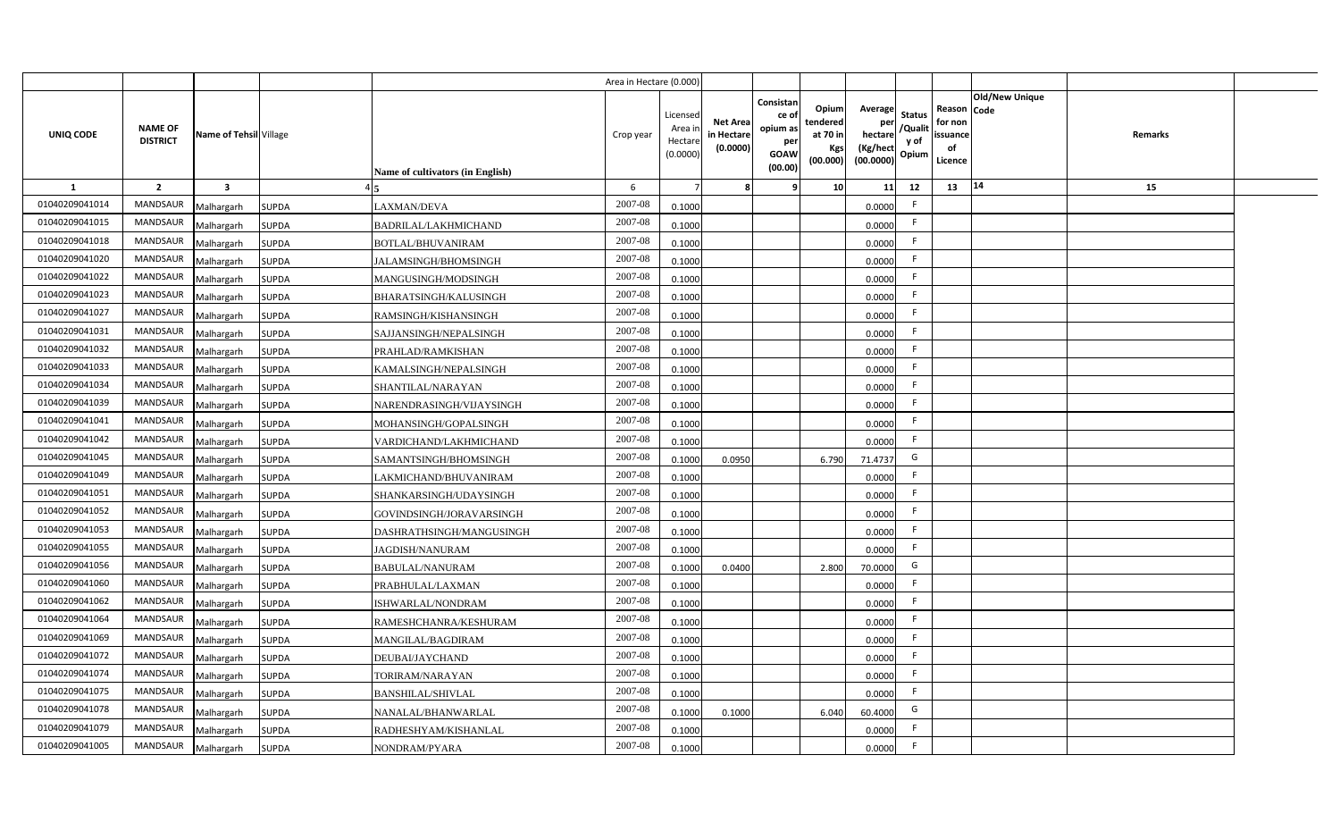|                |                                   |                         |              |                                  | Area in Hectare (0.000 |                                          |                                          |                                                                 |                                                  |                                                    |                                           |                                                     |                |         |  |
|----------------|-----------------------------------|-------------------------|--------------|----------------------------------|------------------------|------------------------------------------|------------------------------------------|-----------------------------------------------------------------|--------------------------------------------------|----------------------------------------------------|-------------------------------------------|-----------------------------------------------------|----------------|---------|--|
| UNIQ CODE      | <b>NAME OF</b><br><b>DISTRICT</b> | Name of Tehsil Village  |              | Name of cultivators (in English) | Crop year              | Licensed<br>Area i<br>Hectar<br>(0.0000) | <b>Net Area</b><br>in Hectar<br>(0.0000) | Consistan<br>ce of<br>opium as<br>per<br><b>GOAW</b><br>(00.00) | Opium<br>tendered<br>at 70 in<br>Kgs<br>(00.000) | Average<br>per<br>hectare<br>(Kg/hect<br>(00.0000) | <b>Status</b><br>/Qualit<br>y of<br>Opium | Reason Code<br>for non<br>issuance<br>of<br>Licence | Old/New Unique | Remarks |  |
| 1              | $\overline{2}$                    | $\overline{\mathbf{3}}$ |              |                                  | 6                      |                                          |                                          | q                                                               | 10 <sup>1</sup>                                  | 11                                                 | 12                                        | 13                                                  | 14             | 15      |  |
| 01040209041014 | <b>MANDSAUR</b>                   | Malhargarh              | <b>SUPDA</b> | LAXMAN/DEVA                      | 2007-08                | 0.1000                                   |                                          |                                                                 |                                                  | 0.0000                                             | E                                         |                                                     |                |         |  |
| 01040209041015 | MANDSAUR                          | Malhargarh              | <b>SUPDA</b> | <b>BADRILAL/LAKHMICHAND</b>      | 2007-08                | 0.1000                                   |                                          |                                                                 |                                                  | 0.0000                                             | F.                                        |                                                     |                |         |  |
| 01040209041018 | <b>MANDSAUR</b>                   | Malhargarh              | <b>SUPDA</b> | BOTLAL/BHUVANIRAM                | 2007-08                | 0.1000                                   |                                          |                                                                 |                                                  | 0.0000                                             | - F                                       |                                                     |                |         |  |
| 01040209041020 | <b>MANDSAUR</b>                   | Malhargarh              | <b>SUPDA</b> | JALAMSINGH/BHOMSINGH             | 2007-08                | 0.1000                                   |                                          |                                                                 |                                                  | 0.0000                                             | -F                                        |                                                     |                |         |  |
| 01040209041022 | MANDSAUR                          | Malhargarh              | <b>SUPDA</b> | MANGUSINGH/MODSINGH              | 2007-08                | 0.1000                                   |                                          |                                                                 |                                                  | 0.0000                                             |                                           |                                                     |                |         |  |
| 01040209041023 | <b>MANDSAUR</b>                   | Malhargarh              | <b>SUPDA</b> | BHARATSINGH/KALUSINGH            | 2007-08                | 0.1000                                   |                                          |                                                                 |                                                  | 0.0000                                             | F.                                        |                                                     |                |         |  |
| 01040209041027 | MANDSAUR                          | Malhargarh              | <b>SUPDA</b> | RAMSINGH/KISHANSINGH             | 2007-08                | 0.1000                                   |                                          |                                                                 |                                                  | 0.0000                                             | F.                                        |                                                     |                |         |  |
| 01040209041031 | MANDSAUR                          | Malhargarh              | <b>SUPDA</b> | SAJJANSINGH/NEPALSINGH           | 2007-08                | 0.1000                                   |                                          |                                                                 |                                                  | 0.0000                                             | E                                         |                                                     |                |         |  |
| 01040209041032 | MANDSAUR                          | Malhargarh              | <b>SUPDA</b> | PRAHLAD/RAMKISHAN                | 2007-08                | 0.1000                                   |                                          |                                                                 |                                                  | 0.0000                                             | F.                                        |                                                     |                |         |  |
| 01040209041033 | MANDSAUR                          | Malhargarh              | <b>SUPDA</b> | KAMALSINGH/NEPALSINGH            | 2007-08                | 0.1000                                   |                                          |                                                                 |                                                  | 0.0000                                             | -F                                        |                                                     |                |         |  |
| 01040209041034 | MANDSAUR                          | Malhargarh              | <b>SUPDA</b> | SHANTILAL/NARAYAN                | 2007-08                | 0.1000                                   |                                          |                                                                 |                                                  | 0.0000                                             | -F                                        |                                                     |                |         |  |
| 01040209041039 | MANDSAUR                          | Malhargarh              | <b>SUPDA</b> | NARENDRASINGH/VIJAYSINGH         | 2007-08                | 0.1000                                   |                                          |                                                                 |                                                  | 0.0000                                             | -F                                        |                                                     |                |         |  |
| 01040209041041 | <b>MANDSAUR</b>                   | Malhargarh              | <b>SUPDA</b> | MOHANSINGH/GOPALSINGH            | 2007-08                | 0.1000                                   |                                          |                                                                 |                                                  | 0.0000                                             | -F                                        |                                                     |                |         |  |
| 01040209041042 | <b>MANDSAUR</b>                   | Malhargarh              | <b>SUPDA</b> | VARDICHAND/LAKHMICHAND           | 2007-08                | 0.1000                                   |                                          |                                                                 |                                                  | 0.0000                                             | F.                                        |                                                     |                |         |  |
| 01040209041045 | <b>MANDSAUR</b>                   | Malhargarh              | <b>SUPDA</b> | SAMANTSINGH/BHOMSINGH            | 2007-08                | 0.1000                                   | 0.0950                                   |                                                                 | 6.790                                            | 71.4737                                            | G                                         |                                                     |                |         |  |
| 01040209041049 | <b>MANDSAUR</b>                   | Malhargarh              | <b>SUPDA</b> | LAKMICHAND/BHUVANIRAM            | 2007-08                | 0.1000                                   |                                          |                                                                 |                                                  | 0.0000                                             | F.                                        |                                                     |                |         |  |
| 01040209041051 | <b>MANDSAUR</b>                   | Malhargarh              | <b>SUPDA</b> | SHANKARSINGH/UDAYSINGH           | 2007-08                | 0.1000                                   |                                          |                                                                 |                                                  | 0.0000                                             | -F                                        |                                                     |                |         |  |
| 01040209041052 | <b>MANDSAUR</b>                   | Malhargarh              | <b>SUPDA</b> | GOVINDSINGH/JORAVARSINGH         | 2007-08                | 0.1000                                   |                                          |                                                                 |                                                  | 0.0000                                             | F.                                        |                                                     |                |         |  |
| 01040209041053 | <b>MANDSAUR</b>                   | Malhargarh              | <b>SUPDA</b> | DASHRATHSINGH/MANGUSINGH         | 2007-08                | 0.1000                                   |                                          |                                                                 |                                                  | 0.0000                                             | F.                                        |                                                     |                |         |  |
| 01040209041055 | <b>MANDSAUR</b>                   | Malhargarh              | <b>SUPDA</b> | JAGDISH/NANURAM                  | 2007-08                | 0.1000                                   |                                          |                                                                 |                                                  | 0.0000                                             | F.                                        |                                                     |                |         |  |
| 01040209041056 | <b>MANDSAUR</b>                   | Malhargarh              | <b>SUPDA</b> | BABULAL/NANURAM                  | 2007-08                | 0.1000                                   | 0.0400                                   |                                                                 | 2.800                                            | 70.0000                                            | G                                         |                                                     |                |         |  |
| 01040209041060 | <b>MANDSAUR</b>                   | Malhargarh              | <b>SUPDA</b> | PRABHULAL/LAXMAN                 | 2007-08                | 0.100                                    |                                          |                                                                 |                                                  | 0.0000                                             | -F                                        |                                                     |                |         |  |
| 01040209041062 | MANDSAUR                          | Malhargarh              | <b>SUPDA</b> | ISHWARLAL/NONDRAM                | 2007-08                | 0.100                                    |                                          |                                                                 |                                                  | 0.0000                                             | -F                                        |                                                     |                |         |  |
| 01040209041064 | MANDSAUR                          | Malhargarh              | <b>SUPDA</b> | RAMESHCHANRA/KESHURAM            | 2007-08                | 0.1000                                   |                                          |                                                                 |                                                  | 0.0000                                             | -F                                        |                                                     |                |         |  |
| 01040209041069 | MANDSAUR                          | Malhargarh              | <b>SUPDA</b> | MANGILAL/BAGDIRAM                | 2007-08                | 0.1000                                   |                                          |                                                                 |                                                  | 0.0000                                             | E                                         |                                                     |                |         |  |
| 01040209041072 | MANDSAUR                          | Malhargarh              | <b>SUPDA</b> | DEUBAI/JAYCHAND                  | 2007-08                | 0.1000                                   |                                          |                                                                 |                                                  | 0.0000                                             | F                                         |                                                     |                |         |  |
| 01040209041074 | MANDSAUR                          | Malhargarh              | <b>SUPDA</b> | TORIRAM/NARAYAN                  | 2007-08                | 0.1000                                   |                                          |                                                                 |                                                  | 0.0000                                             | F                                         |                                                     |                |         |  |
| 01040209041075 | MANDSAUR                          | Malhargarh              | <b>SUPDA</b> | <b>BANSHILAL/SHIVLAL</b>         | 2007-08                | 0.1000                                   |                                          |                                                                 |                                                  | 0.0000                                             | F                                         |                                                     |                |         |  |
| 01040209041078 | MANDSAUR                          | Malhargarh              | <b>SUPDA</b> | NANALAL/BHANWARLAL               | 2007-08                | 0.1000                                   | 0.1000                                   |                                                                 | 6.040                                            | 60.4000                                            | G                                         |                                                     |                |         |  |
| 01040209041079 | MANDSAUR                          | Malhargarh              | <b>SUPDA</b> | RADHESHYAM/KISHANLAL             | 2007-08                | 0.1000                                   |                                          |                                                                 |                                                  | 0.0000                                             | E                                         |                                                     |                |         |  |
| 01040209041005 | MANDSAUR                          | Malhargarh              | <b>SUPDA</b> | NONDRAM/PYARA                    | 2007-08                | 0.1000                                   |                                          |                                                                 |                                                  | 0.0000                                             | -F                                        |                                                     |                |         |  |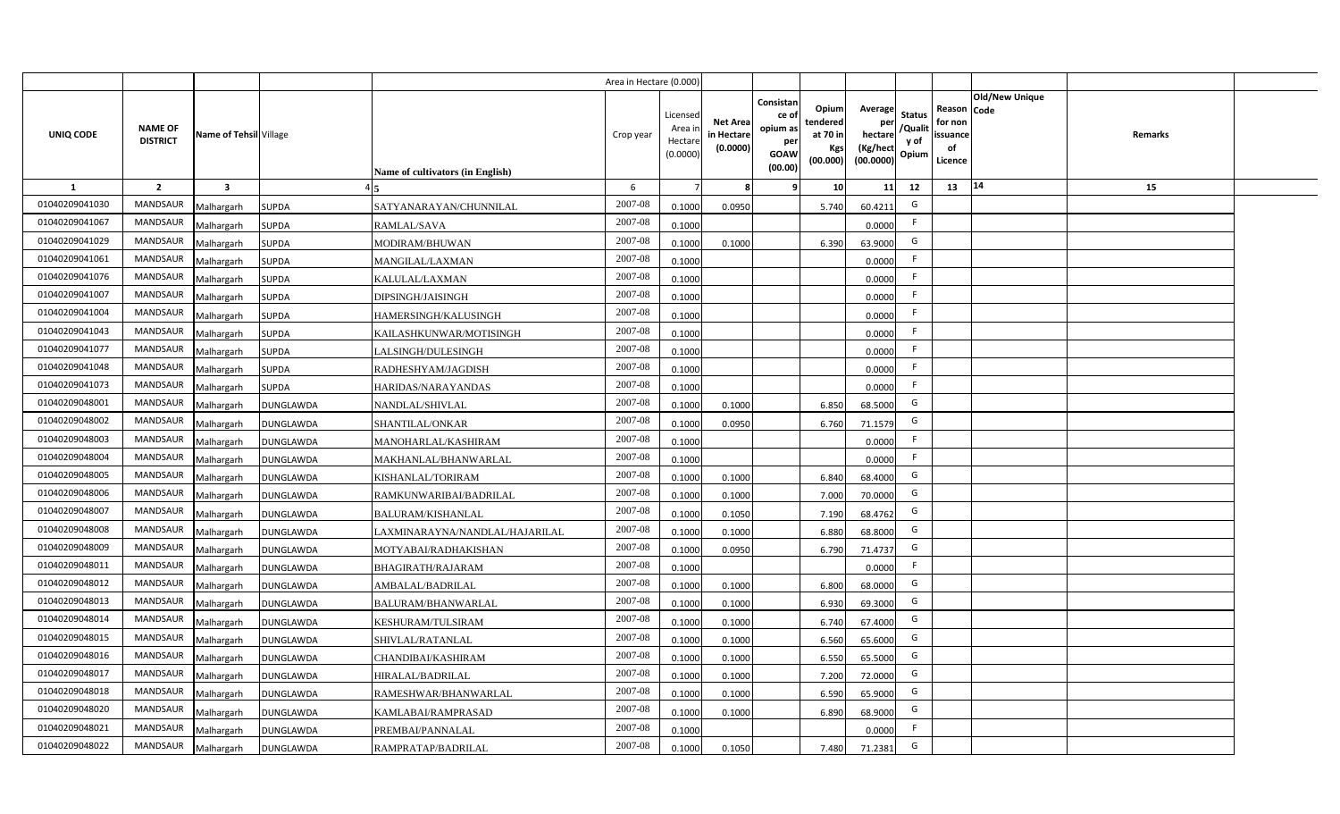|                  |                                   |                         |                  |                                  | Area in Hectare (0.000) |                                           |                                           |                                                                 |                                                  |                                                    |                                           |                                                     |                |                |  |
|------------------|-----------------------------------|-------------------------|------------------|----------------------------------|-------------------------|-------------------------------------------|-------------------------------------------|-----------------------------------------------------------------|--------------------------------------------------|----------------------------------------------------|-------------------------------------------|-----------------------------------------------------|----------------|----------------|--|
| <b>UNIQ CODE</b> | <b>NAME OF</b><br><b>DISTRICT</b> | Name of Tehsil Village  |                  | Name of cultivators (in English) | Crop year               | Licensed<br>Area i<br>Hectare<br>(0.0000) | <b>Net Area</b><br>in Hectare<br>(0.0000) | Consistan<br>ce of<br>opium as<br>per<br><b>GOAW</b><br>(00.00) | Opium<br>tendered<br>at 70 in<br>Kgs<br>(00.000) | Average<br>per<br>hectare<br>(Kg/hect<br>(00.0000) | <b>Status</b><br>/Qualit<br>y of<br>Opium | Reason Code<br>for non<br>issuance<br>of<br>Licence | Old/New Unique | <b>Remarks</b> |  |
| 1                | $\overline{2}$                    | $\overline{\mathbf{3}}$ |                  |                                  | 6                       |                                           | 8                                         | 9                                                               | 10                                               | 11                                                 | 12                                        | 13                                                  | 14             | 15             |  |
| 01040209041030   | <b>MANDSAUR</b>                   | Malhargarh              | <b>SUPDA</b>     | SATYANARAYAN/CHUNNILAL           | 2007-08                 | 0.1000                                    | 0.0950                                    |                                                                 | 5.740                                            | 60.4211                                            | G                                         |                                                     |                |                |  |
| 0104020904106    | <b>MANDSAUR</b>                   | Malhargarh              | <b>SUPDA</b>     | RAMLAL/SAVA                      | 2007-08                 | 0.1000                                    |                                           |                                                                 |                                                  | 0.0000                                             | F.                                        |                                                     |                |                |  |
| 01040209041029   | <b>MANDSAUR</b>                   | Malhargarh              | <b>SUPDA</b>     | MODIRAM/BHUWAN                   | 2007-08                 | 0.1000                                    | 0.1000                                    |                                                                 | 6.390                                            | 63.9000                                            | G                                         |                                                     |                |                |  |
| 01040209041061   | <b>MANDSAUR</b>                   | Malhargarh              | <b>SUPDA</b>     | MANGILAL/LAXMAN                  | 2007-08                 | 0.1000                                    |                                           |                                                                 |                                                  | 0.0000                                             | F.                                        |                                                     |                |                |  |
| 01040209041076   | MANDSAUR                          | Malhargarh              | <b>SUPDA</b>     | <b>KALULAL/LAXMAN</b>            | 2007-08                 | 0.1000                                    |                                           |                                                                 |                                                  | 0.0000                                             | F.                                        |                                                     |                |                |  |
| 01040209041007   | <b>MANDSAUR</b>                   | Malhargarh              | <b>SUPDA</b>     | DIPSINGH/JAISINGH                | 2007-08                 | 0.1000                                    |                                           |                                                                 |                                                  | 0.0000                                             | F.                                        |                                                     |                |                |  |
| 01040209041004   | <b>MANDSAUR</b>                   | Malhargarh              | <b>SUPDA</b>     | HAMERSINGH/KALUSINGH             | 2007-08                 | 0.1000                                    |                                           |                                                                 |                                                  | 0.0000                                             | F.                                        |                                                     |                |                |  |
| 01040209041043   | <b>MANDSAUR</b>                   | Malhargarh              | <b>SUPDA</b>     | KAILASHKUNWAR/MOTISINGH          | 2007-08                 | 0.1000                                    |                                           |                                                                 |                                                  | 0.0000                                             | F                                         |                                                     |                |                |  |
| 01040209041077   | <b>MANDSAUR</b>                   | Malhargarh              | <b>SUPDA</b>     | LALSINGH/DULESINGH               | 2007-08                 | 0.1000                                    |                                           |                                                                 |                                                  | 0.0000                                             | F.                                        |                                                     |                |                |  |
| 01040209041048   | <b>MANDSAUR</b>                   | Malhargarh              | <b>SUPDA</b>     | RADHESHYAM/JAGDISH               | 2007-08                 | 0.1000                                    |                                           |                                                                 |                                                  | 0.0000                                             | F.                                        |                                                     |                |                |  |
| 01040209041073   | <b>MANDSAUR</b>                   | Malhargarh              | <b>SUPDA</b>     | HARIDAS/NARAYANDAS               | 2007-08                 | 0.1000                                    |                                           |                                                                 |                                                  | 0.0000                                             | F                                         |                                                     |                |                |  |
| 01040209048001   | <b>MANDSAUR</b>                   | Malhargarh              | <b>DUNGLAWDA</b> | NANDLAL/SHIVLAL                  | 2007-08                 | 0.1000                                    | 0.1000                                    |                                                                 | 6.850                                            | 68.5000                                            | G                                         |                                                     |                |                |  |
| 01040209048002   | <b>MANDSAUR</b>                   | Malhargarh              | <b>DUNGLAWDA</b> | SHANTILAL/ONKAR                  | 2007-08                 | 0.1000                                    | 0.0950                                    |                                                                 | 6.760                                            | 71.1579                                            | G                                         |                                                     |                |                |  |
| 01040209048003   | MANDSAUR                          | Malhargarh              | <b>DUNGLAWDA</b> | MANOHARLAL/KASHIRAM              | 2007-08                 | 0.1000                                    |                                           |                                                                 |                                                  | 0.0000                                             | -F                                        |                                                     |                |                |  |
| 01040209048004   | <b>MANDSAUR</b>                   | Malhargarh              | <b>DUNGLAWDA</b> | MAKHANLAL/BHANWARLAL             | 2007-08                 | 0.1000                                    |                                           |                                                                 |                                                  | 0.0000                                             | F                                         |                                                     |                |                |  |
| 01040209048005   | <b>MANDSAUR</b>                   | Malhargarh              | <b>DUNGLAWDA</b> | KISHANLAL/TORIRAM                | 2007-08                 | 0.1000                                    | 0.1000                                    |                                                                 | 6.840                                            | 68.4000                                            | G                                         |                                                     |                |                |  |
| 01040209048006   | <b>MANDSAUR</b>                   | Malhargarh              | <b>DUNGLAWDA</b> | RAMKUNWARIBAI/BADRILAL           | 2007-08                 | 0.1000                                    | 0.1000                                    |                                                                 | 7.000                                            | 70.0000                                            | G                                         |                                                     |                |                |  |
| 01040209048007   | <b>MANDSAUR</b>                   | Malhargarh              | <b>DUNGLAWDA</b> | <b>BALURAM/KISHANLAL</b>         | 2007-08                 | 0.1000                                    | 0.1050                                    |                                                                 | 7.190                                            | 68.4762                                            | G                                         |                                                     |                |                |  |
| 01040209048008   | <b>MANDSAUR</b>                   | Malhargarh              | <b>DUNGLAWDA</b> | LAXMINARAYNA/NANDLAL/HAJARILAL   | 2007-08                 | 0.1000                                    | 0.1000                                    |                                                                 | 6.880                                            | 68.8000                                            | G                                         |                                                     |                |                |  |
| 01040209048009   | <b>MANDSAUR</b>                   | Malhargarh              | <b>DUNGLAWDA</b> | MOTYABAI/RADHAKISHAN             | $2007 - 08$             | 0.1000                                    | 0.0950                                    |                                                                 | 6.790                                            | 71.4737                                            | G                                         |                                                     |                |                |  |
| 01040209048011   | <b>MANDSAUR</b>                   | Malhargarh              | <b>DUNGLAWDA</b> | <b>BHAGIRATH/RAJARAM</b>         | 2007-08                 | 0.1000                                    |                                           |                                                                 |                                                  | 0.0000                                             | F                                         |                                                     |                |                |  |
| 01040209048012   | <b>MANDSAUR</b>                   | Malhargarh              | <b>DUNGLAWDA</b> | AMBALAL/BADRILAL                 | 2007-08                 | 0.1000                                    | 0.1000                                    |                                                                 | 6.800                                            | 68.0000                                            | G                                         |                                                     |                |                |  |
| 01040209048013   | <b>MANDSAUR</b>                   | Malhargarh              | <b>DUNGLAWDA</b> | BALURAM/BHANWARLAL               | 2007-08                 | 0.1000                                    | 0.1000                                    |                                                                 | 6.930                                            | 69.3000                                            | G                                         |                                                     |                |                |  |
| 01040209048014   | MANDSAUR                          | Malhargarh              | <b>DUNGLAWDA</b> | KESHURAM/TULSIRAM                | 2007-08                 | 0.1000                                    | 0.1000                                    |                                                                 | 6.740                                            | 67.4000                                            | G                                         |                                                     |                |                |  |
| 01040209048015   | <b>MANDSAUR</b>                   | Malhargarh              | <b>DUNGLAWDA</b> | SHIVLAL/RATANLAL                 | 2007-08                 | 0.1000                                    | 0.1000                                    |                                                                 | 6.560                                            | 65.6000                                            | G                                         |                                                     |                |                |  |
| 01040209048016   | MANDSAUR                          | Malhargarh              | <b>DUNGLAWDA</b> | CHANDIBAI/KASHIRAM               | 2007-08                 | 0.1000                                    | 0.1000                                    |                                                                 | 6.550                                            | 65.5000                                            | G                                         |                                                     |                |                |  |
| 01040209048017   | MANDSAUR                          | Malhargarh              | DUNGLAWDA        | HIRALAL/BADRILAL                 | 2007-08                 | 0.1000                                    | 0.1000                                    |                                                                 | 7.200                                            | 72.0000                                            | G                                         |                                                     |                |                |  |
| 01040209048018   | MANDSAUR                          | Malhargarh              | <b>DUNGLAWDA</b> | RAMESHWAR/BHANWARLAL             | 2007-08                 | 0.1000                                    | 0.1000                                    |                                                                 | 6.590                                            | 65.9000                                            | G                                         |                                                     |                |                |  |
| 01040209048020   | MANDSAUR                          | Malhargarh              | <b>DUNGLAWDA</b> | KAMLABAI/RAMPRASAD               | 2007-08                 | 0.1000                                    | 0.1000                                    |                                                                 | 6.890                                            | 68.9000                                            | G                                         |                                                     |                |                |  |
| 01040209048021   | <b>MANDSAUR</b>                   | Malhargarh              | <b>DUNGLAWDA</b> | PREMBAI/PANNALAL                 | 2007-08                 | 0.1000                                    |                                           |                                                                 |                                                  | 0.0000                                             | F                                         |                                                     |                |                |  |
| 01040209048022   | MANDSAUR                          | Malhargarh              | <b>DUNGLAWDA</b> | RAMPRATAP/BADRILAL               | 2007-08                 | 0.1000                                    | 0.1050                                    |                                                                 | 7.480                                            | 71.2381                                            | G                                         |                                                     |                |                |  |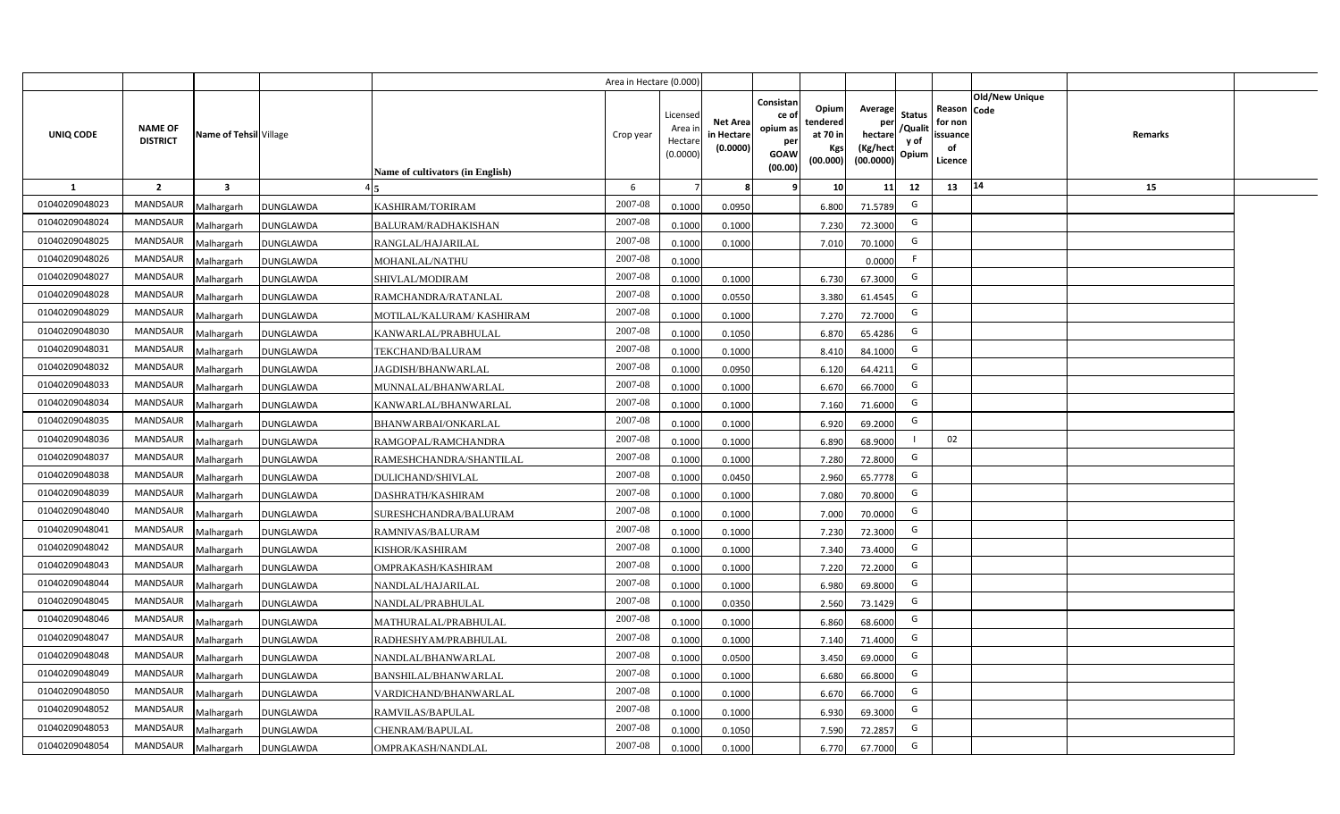|                |                                   |                         |                  |                                  | Area in Hectare (0.000) |                                           |                                           |                                                                                                                     |                                                    |                                           |                                                     |                       |         |  |
|----------------|-----------------------------------|-------------------------|------------------|----------------------------------|-------------------------|-------------------------------------------|-------------------------------------------|---------------------------------------------------------------------------------------------------------------------|----------------------------------------------------|-------------------------------------------|-----------------------------------------------------|-----------------------|---------|--|
| UNIQ CODE      | <b>NAME OF</b><br><b>DISTRICT</b> | Name of Tehsil Village  |                  | Name of cultivators (in English) | Crop year               | Licensed<br>Area i<br>Hectare<br>(0.0000) | <b>Net Area</b><br>in Hectare<br>(0.0000) | Consistan<br>Opium<br>ce of<br>tendered<br>opium as<br>at 70 in<br>per<br>Kgs<br><b>GOAW</b><br>(00.000)<br>(00.00) | Average<br>per<br>hectare<br>(Kg/hect<br>(00.0000) | <b>Status</b><br>/Qualit<br>y of<br>Opium | Reason Code<br>for non<br>issuance<br>of<br>Licence | <b>Old/New Unique</b> | Remarks |  |
| 1              | $\overline{2}$                    | $\overline{\mathbf{3}}$ |                  |                                  | 6                       |                                           | 8                                         | 10 <sup>1</sup><br>-9                                                                                               | 11                                                 | 12                                        | 13                                                  | 14                    | 15      |  |
| 01040209048023 | <b>MANDSAUR</b>                   | Malhargarh              | <b>DUNGLAWDA</b> | KASHIRAM/TORIRAM                 | 2007-08                 | 0.1000                                    | 0.0950                                    | 6.800                                                                                                               | 71.5789                                            | G                                         |                                                     |                       |         |  |
| 01040209048024 | MANDSAUR                          | Malhargarh              | <b>DUNGLAWDA</b> | BALURAM/RADHAKISHAN              | 2007-08                 | 0.1000                                    | 0.1000                                    | 7.230                                                                                                               | 72.3000                                            | G                                         |                                                     |                       |         |  |
| 01040209048025 | <b>MANDSAUR</b>                   | Malhargarh              | <b>DUNGLAWDA</b> | RANGLAL/HAJARILAL                | 2007-08                 | 0.1000                                    | 0.1000                                    | 7.010                                                                                                               | 70.1000                                            | G                                         |                                                     |                       |         |  |
| 01040209048026 | <b>MANDSAUR</b>                   | Malhargarh              | <b>DUNGLAWDA</b> | MOHANLAL/NATHU                   | 2007-08                 | 0.1000                                    |                                           |                                                                                                                     | 0.0000                                             | -F                                        |                                                     |                       |         |  |
| 01040209048027 | <b>MANDSAUR</b>                   | Malhargarh              | <b>DUNGLAWDA</b> | SHIVLAL/MODIRAM                  | 2007-08                 | 0.1000                                    | 0.1000                                    | 6.730                                                                                                               | 67.3000                                            | G                                         |                                                     |                       |         |  |
| 01040209048028 | <b>MANDSAUR</b>                   | Malhargarh              | <b>DUNGLAWDA</b> | RAMCHANDRA/RATANLAL              | 2007-08                 | 0.1000                                    | 0.0550                                    | 3.380                                                                                                               | 61.4545                                            | G                                         |                                                     |                       |         |  |
| 01040209048029 | <b>MANDSAUR</b>                   | Malhargarh              | DUNGLAWDA        | MOTILAL/KALURAM/KASHIRAM         | 2007-08                 | 0.1000                                    | 0.1000                                    | 7.270                                                                                                               | 72.7000                                            | G                                         |                                                     |                       |         |  |
| 01040209048030 | MANDSAUR                          | Malhargarh              | <b>DUNGLAWDA</b> | KANWARLAL/PRABHULAL              | 2007-08                 | 0.1000                                    | 0.1050                                    | 6.870                                                                                                               | 65.4286                                            | G                                         |                                                     |                       |         |  |
| 01040209048031 | MANDSAUR                          | Malhargarh              | <b>DUNGLAWDA</b> | TEKCHAND/BALURAM                 | 2007-08                 | 0.1000                                    | 0.1000                                    | 8.410                                                                                                               | 84.1000                                            | G                                         |                                                     |                       |         |  |
| 01040209048032 | MANDSAUR                          | Malhargarh              | <b>DUNGLAWDA</b> | <b>JAGDISH/BHANWARLAL</b>        | 2007-08                 | 0.1000                                    | 0.0950                                    | 6.120                                                                                                               | 64.4211                                            | G                                         |                                                     |                       |         |  |
| 01040209048033 | <b>MANDSAUR</b>                   | Malhargarh              | <b>DUNGLAWDA</b> | MUNNALAL/BHANWARLAL              | 2007-08                 | 0.1000                                    | 0.1000                                    | 6.670                                                                                                               | 66.7000                                            | G                                         |                                                     |                       |         |  |
| 01040209048034 | <b>MANDSAUR</b>                   | Malhargarh              | <b>DUNGLAWDA</b> | KANWARLAL/BHANWARLAL             | 2007-08                 | 0.1000                                    | 0.1000                                    | 7.160                                                                                                               | 71.6000                                            | G                                         |                                                     |                       |         |  |
| 01040209048035 | <b>MANDSAUR</b>                   | Malhargarh              | <b>DUNGLAWDA</b> | BHANWARBAI/ONKARLAL              | 2007-08                 | 0.1000                                    | 0.1000                                    | 6.920                                                                                                               | 69.2000                                            | G                                         |                                                     |                       |         |  |
| 01040209048036 | <b>MANDSAUR</b>                   | Malhargarh              | <b>DUNGLAWDA</b> | RAMGOPAL/RAMCHANDRA              | 2007-08                 | 0.1000                                    | 0.1000                                    | 6.890                                                                                                               | 68.9000                                            |                                           | 02                                                  |                       |         |  |
| 01040209048037 | <b>MANDSAUR</b>                   | Malhargarh              | <b>DUNGLAWDA</b> | RAMESHCHANDRA/SHANTILAL          | 2007-08                 | 0.1000                                    | 0.1000                                    | 7.280                                                                                                               | 72.8000                                            | G                                         |                                                     |                       |         |  |
| 01040209048038 | <b>MANDSAUR</b>                   | Malhargarh              | <b>DUNGLAWDA</b> | <b>DULICHAND/SHIVLAL</b>         | 2007-08                 | 0.1000                                    | 0.0450                                    | 2.960                                                                                                               | 65.7778                                            | G                                         |                                                     |                       |         |  |
| 01040209048039 | MANDSAUR                          | Malhargarh              | <b>DUNGLAWDA</b> | DASHRATH/KASHIRAM                | 2007-08                 | 0.1000                                    | 0.1000                                    | 7.080                                                                                                               | 70.8000                                            | G                                         |                                                     |                       |         |  |
| 01040209048040 | <b>MANDSAUR</b>                   | Malhargarh              | <b>DUNGLAWDA</b> | SURESHCHANDRA/BALURAM            | 2007-08                 | 0.1000                                    | 0.1000                                    | 7.000                                                                                                               | 70.0000                                            | G                                         |                                                     |                       |         |  |
| 01040209048041 | MANDSAUR                          | Malhargarh              | <b>DUNGLAWDA</b> | RAMNIVAS/BALURAM                 | 2007-08                 | 0.1000                                    | 0.1000                                    | 7.230                                                                                                               | 72.3000                                            | G                                         |                                                     |                       |         |  |
| 01040209048042 | <b>MANDSAUR</b>                   | Malhargarh              | <b>DUNGLAWDA</b> | KISHOR/KASHIRAM                  | 2007-08                 | 0.1000                                    | 0.1000                                    | 7.340                                                                                                               | 73.4000                                            | G                                         |                                                     |                       |         |  |
| 01040209048043 | <b>MANDSAUR</b>                   | Malhargarh              | <b>DUNGLAWDA</b> | OMPRAKASH/KASHIRAM               | 2007-08                 | 0.1000                                    | 0.1000                                    | 7.220                                                                                                               | 72.2000                                            | G                                         |                                                     |                       |         |  |
| 01040209048044 | <b>MANDSAUR</b>                   | Malhargarh              | <b>DUNGLAWDA</b> | NANDLAL/HAJARILAL                | 2007-08                 | 0.1000                                    | 0.1000                                    | 6.980                                                                                                               | 69.8000                                            | G                                         |                                                     |                       |         |  |
| 01040209048045 | <b>MANDSAUR</b>                   | Malhargarh              | <b>DUNGLAWDA</b> | NANDLAL/PRABHULAL                | 2007-08                 | 0.1000                                    | 0.0350                                    | 2.560                                                                                                               | 73.1429                                            | G                                         |                                                     |                       |         |  |
| 01040209048046 | <b>MANDSAUR</b>                   | Malhargarh              | <b>DUNGLAWDA</b> | MATHURALAL/PRABHULAL             | 2007-08                 | 0.1000                                    | 0.1000                                    | 6.860                                                                                                               | 68.6000                                            | G                                         |                                                     |                       |         |  |
| 01040209048047 | <b>MANDSAUR</b>                   | Malhargarh              | <b>DUNGLAWDA</b> | RADHESHYAM/PRABHULAL             | 2007-08                 | 0.1000                                    | 0.1000                                    | 7.140                                                                                                               | 71.4000                                            | G                                         |                                                     |                       |         |  |
| 01040209048048 | MANDSAUR                          | Malhargarh              | <b>DUNGLAWDA</b> | NANDLAL/BHANWARLAL               | 2007-08                 | 0.1000                                    | 0.0500                                    | 3.450                                                                                                               | 69.0000                                            | G                                         |                                                     |                       |         |  |
| 01040209048049 | MANDSAUR                          | Malhargarh              | <b>DUNGLAWDA</b> | BANSHILAL/BHANWARLAL             | 2007-08                 | 0.1000                                    | 0.1000                                    | 6.680                                                                                                               | 66.8000                                            | G                                         |                                                     |                       |         |  |
| 01040209048050 | MANDSAUR                          | Malhargarh              | <b>DUNGLAWDA</b> | VARDICHAND/BHANWARLAL            | 2007-08                 | 0.1000                                    | 0.1000                                    | 6.670                                                                                                               | 66.7000                                            | G                                         |                                                     |                       |         |  |
| 01040209048052 | MANDSAUR                          | Malhargarh              | <b>DUNGLAWDA</b> | RAMVILAS/BAPULAL                 | 2007-08                 | 0.1000                                    | 0.1000                                    | 6.930                                                                                                               | 69.3000                                            | G                                         |                                                     |                       |         |  |
| 01040209048053 | MANDSAUR                          | Malhargarh              | <b>DUNGLAWDA</b> | CHENRAM/BAPULAL                  | 2007-08                 | 0.1000                                    | 0.1050                                    | 7.590                                                                                                               | 72.2857                                            | G                                         |                                                     |                       |         |  |
| 01040209048054 | MANDSAUR                          | Malhargarh              | <b>DUNGLAWDA</b> | OMPRAKASH/NANDLAL                | 2007-08                 | 0.1000                                    | 0.1000                                    | 6.770                                                                                                               | 67.7000                                            | G                                         |                                                     |                       |         |  |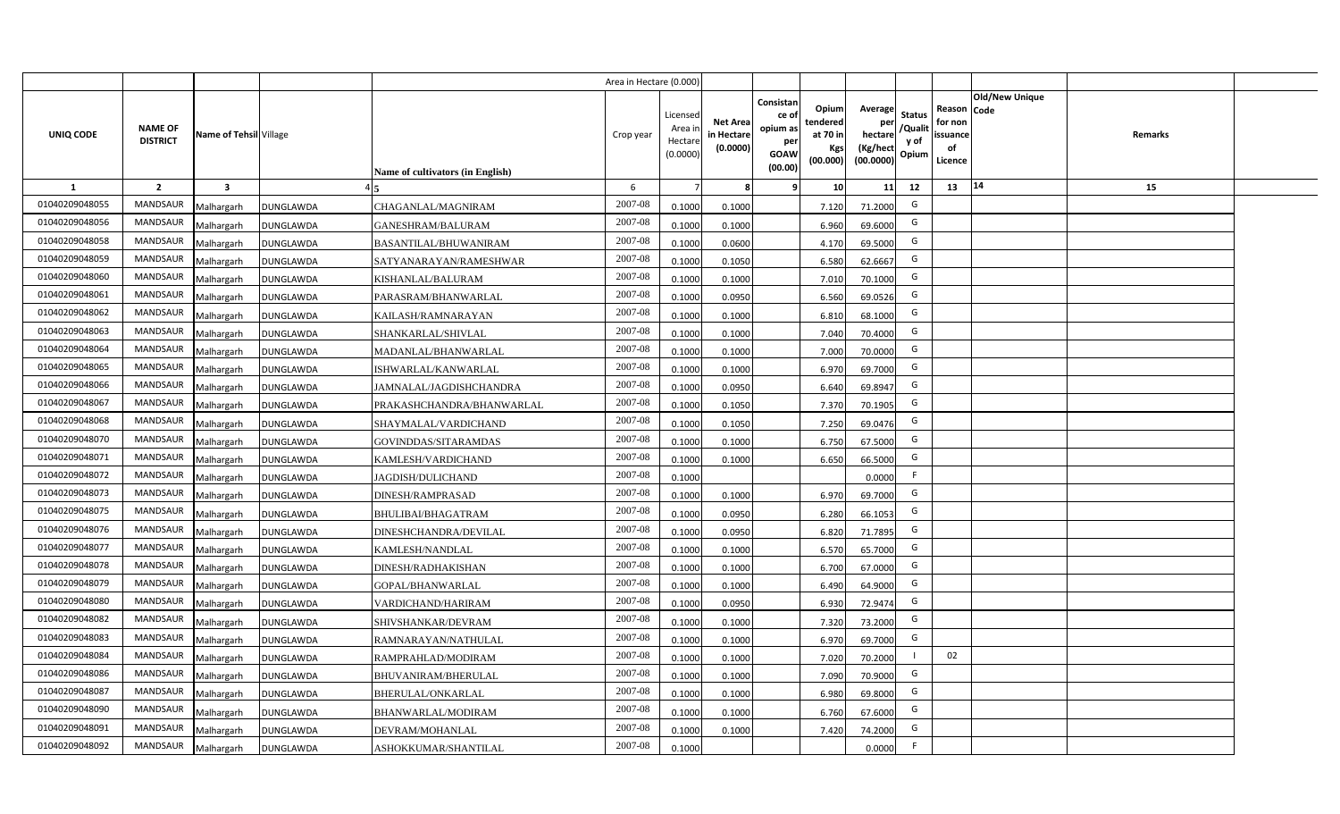|                |                                   |                         |                  |                                         | Area in Hectare (0.000) |                                           |                                           |                                                                                                                     |                                                    |                                           |                                                     |                       |         |  |
|----------------|-----------------------------------|-------------------------|------------------|-----------------------------------------|-------------------------|-------------------------------------------|-------------------------------------------|---------------------------------------------------------------------------------------------------------------------|----------------------------------------------------|-------------------------------------------|-----------------------------------------------------|-----------------------|---------|--|
| UNIQ CODE      | <b>NAME OF</b><br><b>DISTRICT</b> | Name of Tehsil Village  |                  | <b>Name of cultivators (in English)</b> | Crop year               | Licensed<br>Area i<br>Hectare<br>(0.0000) | <b>Net Area</b><br>in Hectare<br>(0.0000) | Consistan<br>Opium<br>ce of<br>tendered<br>opium as<br>at 70 in<br>per<br>Kgs<br><b>GOAW</b><br>(00.000)<br>(00.00) | Average<br>per<br>hectare<br>(Kg/hect<br>(00.0000) | <b>Status</b><br>/Qualit<br>y of<br>Opium | Reason Code<br>for non<br>issuance<br>of<br>Licence | <b>Old/New Unique</b> | Remarks |  |
| 1              | $\overline{2}$                    | $\overline{\mathbf{3}}$ |                  |                                         | 6                       |                                           | 8                                         | 10<br>-9                                                                                                            | 11                                                 | 12                                        | 13                                                  | 14                    | 15      |  |
| 01040209048055 | <b>MANDSAUR</b>                   | Malhargarh              | <b>DUNGLAWDA</b> | CHAGANLAL/MAGNIRAM                      | 2007-08                 | 0.1000                                    | 0.1000                                    | 7.120                                                                                                               | 71.2000                                            | G                                         |                                                     |                       |         |  |
| 01040209048056 | MANDSAUR                          | Malhargarh              | <b>DUNGLAWDA</b> | <b>GANESHRAM/BALURAM</b>                | 2007-08                 | 0.1000                                    | 0.1000                                    | 6.960                                                                                                               | 69.6000                                            | G                                         |                                                     |                       |         |  |
| 01040209048058 | <b>MANDSAUR</b>                   | Malhargarh              | <b>DUNGLAWDA</b> | <b>BASANTILAL/BHUWANIRAM</b>            | 2007-08                 | 0.1000                                    | 0.0600                                    | 4.170                                                                                                               | 69.5000                                            | G                                         |                                                     |                       |         |  |
| 01040209048059 | <b>MANDSAUR</b>                   | Malhargarh              | DUNGLAWDA        | SATYANARAYAN/RAMESHWAR                  | 2007-08                 | 0.1000                                    | 0.1050                                    | 6.580                                                                                                               | 62.6667                                            | G                                         |                                                     |                       |         |  |
| 01040209048060 | <b>MANDSAUR</b>                   | Malhargarh              | <b>DUNGLAWDA</b> | KISHANLAL/BALURAM                       | 2007-08                 | 0.1000                                    | 0.1000                                    | 7.010                                                                                                               | 70.1000                                            | G                                         |                                                     |                       |         |  |
| 01040209048061 | <b>MANDSAUR</b>                   | Malhargarh              | <b>DUNGLAWDA</b> | PARASRAM/BHANWARLAL                     | 2007-08                 | 0.1000                                    | 0.0950                                    | 6.560                                                                                                               | 69.0526                                            | G                                         |                                                     |                       |         |  |
| 01040209048062 | <b>MANDSAUR</b>                   | Malhargarh              | <b>DUNGLAWDA</b> | KAILASH/RAMNARAYAN                      | 2007-08                 | 0.1000                                    | 0.1000                                    | 6.810                                                                                                               | 68.1000                                            | G                                         |                                                     |                       |         |  |
| 01040209048063 | <b>MANDSAUR</b>                   | Malhargarh              | <b>DUNGLAWDA</b> | SHANKARLAL/SHIVLAL                      | 2007-08                 | 0.1000                                    | 0.1000                                    | 7.040                                                                                                               | 70.4000                                            | G                                         |                                                     |                       |         |  |
| 01040209048064 | MANDSAUR                          | Malhargarh              | <b>DUNGLAWDA</b> | MADANLAL/BHANWARLAL                     | 2007-08                 | 0.1000                                    | 0.1000                                    | 7.000                                                                                                               | 70.0000                                            | G                                         |                                                     |                       |         |  |
| 01040209048065 | MANDSAUR                          | Malhargarh              | <b>DUNGLAWDA</b> | ISHWARLAL/KANWARLAL                     | 2007-08                 | 0.1000                                    | 0.1000                                    | 6.970                                                                                                               | 69.7000                                            | G                                         |                                                     |                       |         |  |
| 01040209048066 | <b>MANDSAUR</b>                   | Malhargarh              | <b>DUNGLAWDA</b> | JAMNALAL/JAGDISHCHANDRA                 | 2007-08                 | 0.1000                                    | 0.0950                                    | 6.640                                                                                                               | 69.8947                                            | G                                         |                                                     |                       |         |  |
| 01040209048067 | <b>MANDSAUR</b>                   | Malhargarh              | <b>DUNGLAWDA</b> | PRAKASHCHANDRA/BHANWARLAL               | 2007-08                 | 0.1000                                    | 0.1050                                    | 7.370                                                                                                               | 70.1905                                            | G                                         |                                                     |                       |         |  |
| 01040209048068 | <b>MANDSAUR</b>                   | Malhargarh              | <b>DUNGLAWDA</b> | SHAYMALAL/VARDICHAND                    | 2007-08                 | 0.1000                                    | 0.1050                                    | 7.250                                                                                                               | 69.0476                                            | G                                         |                                                     |                       |         |  |
| 01040209048070 | <b>MANDSAUR</b>                   | Malhargarh              | <b>DUNGLAWDA</b> | GOVINDDAS/SITARAMDAS                    | 2007-08                 | 0.1000                                    | 0.1000                                    | 6.750                                                                                                               | 67.5000                                            | G                                         |                                                     |                       |         |  |
| 01040209048071 | <b>MANDSAUR</b>                   | Malhargarh              | <b>DUNGLAWDA</b> | KAMLESH/VARDICHAND                      | 2007-08                 | 0.1000                                    | 0.1000                                    | 6.650                                                                                                               | 66.5000                                            | G                                         |                                                     |                       |         |  |
| 01040209048072 | <b>MANDSAUR</b>                   | Malhargarh              | <b>DUNGLAWDA</b> | <b>JAGDISH/DULICHAND</b>                | 2007-08                 | 0.1000                                    |                                           |                                                                                                                     | 0.0000                                             | F.                                        |                                                     |                       |         |  |
| 01040209048073 | MANDSAUR                          | Malhargarh              | <b>DUNGLAWDA</b> | <b>DINESH/RAMPRASAD</b>                 | 2007-08                 | 0.1000                                    | 0.1000                                    | 6.970                                                                                                               | 69.7000                                            | G                                         |                                                     |                       |         |  |
| 01040209048075 | <b>MANDSAUR</b>                   | Malhargarh              | <b>DUNGLAWDA</b> | <b>BHULIBAI/BHAGATRAM</b>               | 2007-08                 | 0.1000                                    | 0.0950                                    | 6.280                                                                                                               | 66.1053                                            | G                                         |                                                     |                       |         |  |
| 01040209048076 | MANDSAUR                          | Malhargarh              | <b>DUNGLAWDA</b> | DINESHCHANDRA/DEVILAL                   | 2007-08                 | 0.1000                                    | 0.0950                                    | 6.820                                                                                                               | 71.7895                                            | G                                         |                                                     |                       |         |  |
| 01040209048077 | <b>MANDSAUR</b>                   | Malhargarh              | <b>DUNGLAWDA</b> | KAMLESH/NANDLAL                         | 2007-08                 | 0.1000                                    | 0.1000                                    | 6.570                                                                                                               | 65.7000                                            | G                                         |                                                     |                       |         |  |
| 01040209048078 | <b>MANDSAUR</b>                   | Malhargarh              | <b>DUNGLAWDA</b> | DINESH/RADHAKISHAN                      | 2007-08                 | 0.1000                                    | 0.1000                                    | 6.700                                                                                                               | 67.0000                                            | G                                         |                                                     |                       |         |  |
| 01040209048079 | <b>MANDSAUR</b>                   | Malhargarh              | <b>DUNGLAWDA</b> | GOPAL/BHANWARLAL                        | 2007-08                 | 0.1000                                    | 0.1000                                    | 6.490                                                                                                               | 64.9000                                            | G                                         |                                                     |                       |         |  |
| 01040209048080 | <b>MANDSAUR</b>                   | Malhargarh              | <b>DUNGLAWDA</b> | VARDICHAND/HARIRAM                      | 2007-08                 | 0.1000                                    | 0.0950                                    | 6.930                                                                                                               | 72.9474                                            | G                                         |                                                     |                       |         |  |
| 01040209048082 | <b>MANDSAUR</b>                   | Malhargarh              | <b>DUNGLAWDA</b> | SHIVSHANKAR/DEVRAM                      | 2007-08                 | 0.1000                                    | 0.1000                                    | 7.320                                                                                                               | 73.2000                                            | G                                         |                                                     |                       |         |  |
| 01040209048083 | <b>MANDSAUR</b>                   | Malhargarh              | <b>DUNGLAWDA</b> | RAMNARAYAN/NATHULAL                     | 2007-08                 | 0.1000                                    | 0.1000                                    | 6.970                                                                                                               | 69.7000                                            | G                                         |                                                     |                       |         |  |
| 01040209048084 | MANDSAUR                          | Malhargarh              | <b>DUNGLAWDA</b> | RAMPRAHLAD/MODIRAM                      | 2007-08                 | 0.1000                                    | 0.1000                                    | 7.020                                                                                                               | 70.2000                                            | $\overline{1}$                            | 02                                                  |                       |         |  |
| 01040209048086 | MANDSAUR                          | Malhargarh              | <b>DUNGLAWDA</b> | BHUVANIRAM/BHERULAL                     | 2007-08                 | 0.1000                                    | 0.1000                                    | 7.090                                                                                                               | 70.9000                                            | G                                         |                                                     |                       |         |  |
| 01040209048087 | MANDSAUR                          | Malhargarh              | <b>DUNGLAWDA</b> | BHERULAL/ONKARLAL                       | 2007-08                 | 0.1000                                    | 0.1000                                    | 6.980                                                                                                               | 69.8000                                            | G                                         |                                                     |                       |         |  |
| 01040209048090 | MANDSAUR                          | Malhargarh              | <b>DUNGLAWDA</b> | BHANWARLAL/MODIRAM                      | 2007-08                 | 0.1000                                    | 0.1000                                    | 6.760                                                                                                               | 67.6000                                            | G                                         |                                                     |                       |         |  |
| 01040209048091 | MANDSAUR                          | Malhargarh              | <b>DUNGLAWDA</b> | DEVRAM/MOHANLAL                         | 2007-08                 | 0.1000                                    | 0.1000                                    | 7.420                                                                                                               | 74.2000                                            | G                                         |                                                     |                       |         |  |
| 01040209048092 | MANDSAUR                          | Malhargarh              | <b>DUNGLAWDA</b> | ASHOKKUMAR/SHANTILAL                    | 2007-08                 | 0.1000                                    |                                           |                                                                                                                     | 0.0000                                             | F.                                        |                                                     |                       |         |  |